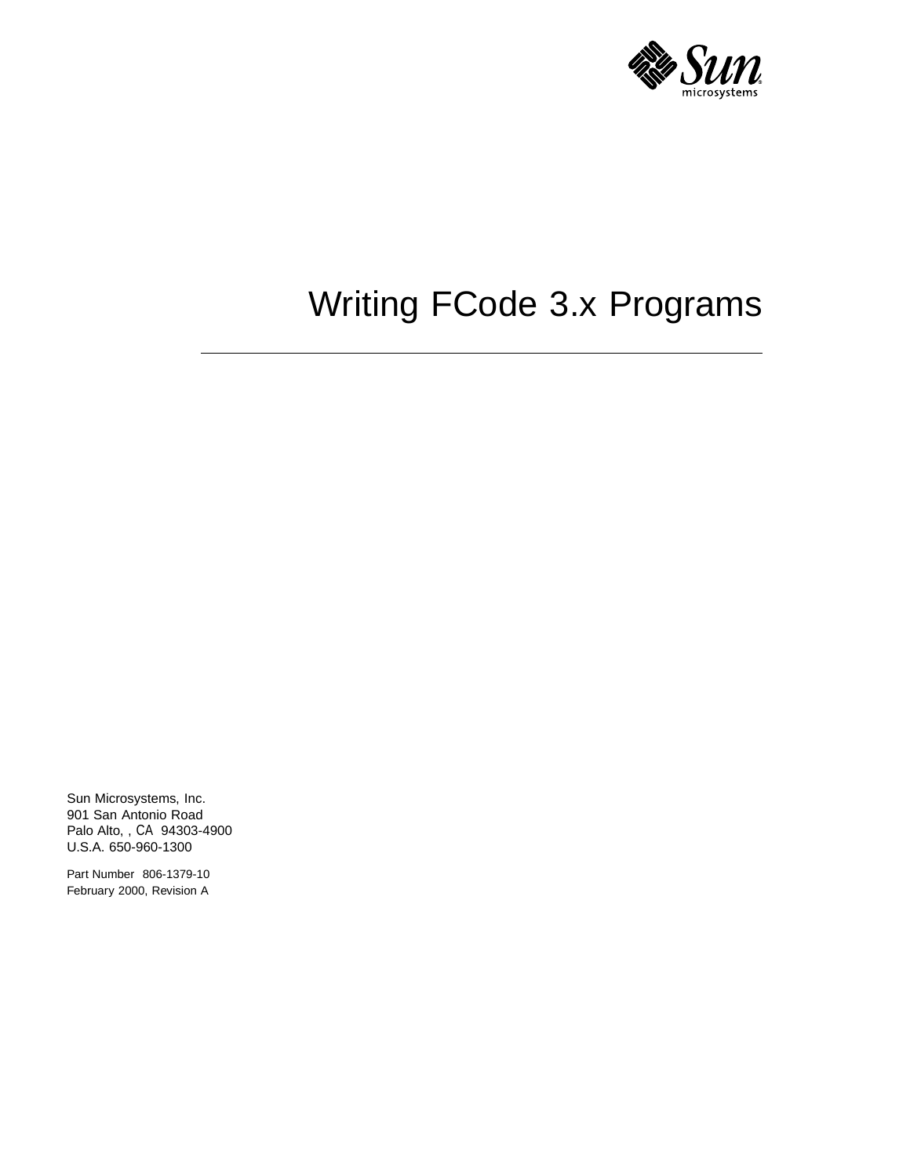

# Writing FCode 3.x Programs

Sun Microsystems, Inc. 901 San Antonio Road Palo Alto, , CA 94303-4900 U.S.A. 650-960-1300

Part Number 806-1379-10 February 2000, Revision A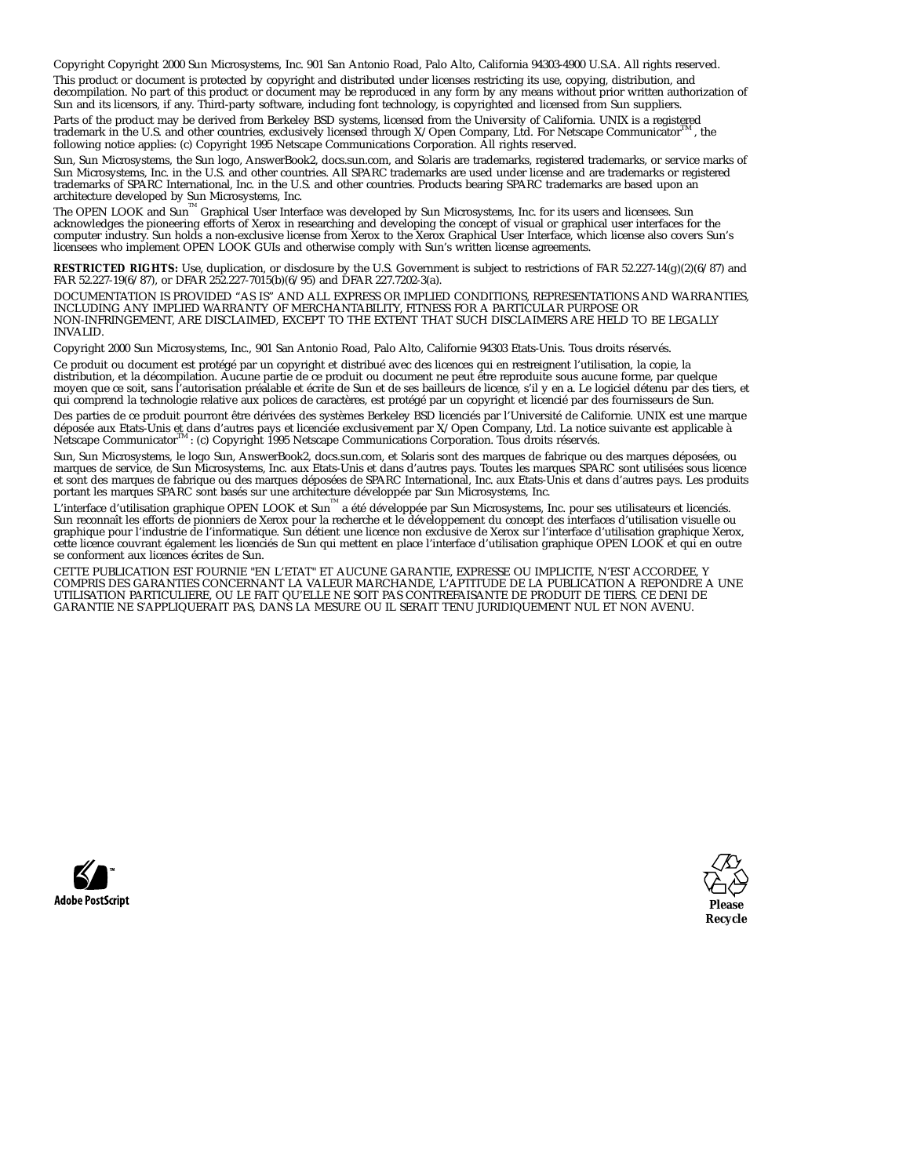Copyright Copyright 2000 Sun Microsystems, Inc. 901 San Antonio Road, Palo Alto, California 94303-4900 U.S.A. All rights reserved.

This product or document is protected by copyright and distributed under licenses restricting its use, copying, distribution, and<br>decompilation. No part of this product or document may be reproduced in any form by any mean Sun and its licensors, if any. Third-party software, including font technology, is copyrighted and licensed from Sun suppliers.

Parts of the product may be derived from Berkeley BSD systems, licensed from the University of California. UNIX is a registered trademark in the U.S. and other countries, exclusively licensed through  $X/O$  pen Company. Ltd trademark in the U.S. and other countries, exclusively licensed through X/Open Company, Ltd. For Netscape Communicator following notice applies: (c) Copyright 1995 Netscape Communications Corporation. All rights reserved.

Sun, Sun Microsystems, the Sun logo, AnswerBook2, docs.sun.com, and Solaris are trademarks, registered trademarks, or service marks of Sun Microsystems, Inc. in the U.S. and other countries. All SPARC trademarks are used under license and are trademarks or registered trademarks of SPARC International, Inc. in the U.S. and other countries. Products bearing SPARC trademarks are based upon an

architecture developed by Sun Microsystems, Inc.<br>The OPEN LOOK and Sun™ Graphical User Interface was developed by Sun Microsystems, Inc. for its users and licensees. Sun<br>acknowledges the pioneering efforts of Xerox in res licensees who implement OPEN LOOK GUIs and otherwise comply with Sun's written license agreements.

**RESTRICTED RIGHTS:** Use, duplication, or disclosure by the U.S. Government is subject to restrictions of FAR 52.227-14(g)(2)(6/87) and FAR 52.227-19(6/87), or DFAR 252.227-7015(b)(6/95) and DFAR 227.7202-3(a).

DOCUMENTATION IS PROVIDED "AS IS" AND ALL EXPRESS OR IMPLIED CONDITIONS, REPRESENTATIONS AND WARRANTIES,<br>INCLUDING ANY IMPLIED WARRANTY OF MERCHANTABILITY, FITNESS FOR A PARTICULAR PURPOSE OR NON-INFRINGEMENT, ARE DISCLAIMED, EXCEPT TO THE EXTENT THAT SUCH DISCLAIMERS ARE HELD TO BE LEGALLY INVALID.

Copyright 2000 Sun Microsystems, Inc., 901 San Antonio Road, Palo Alto, Californie 94303 Etats-Unis. Tous droits réservés.

Ce produit ou document est protégé par un copyright et distribué avec des licences qui en restreignent l'utilisation, la copie, la distribution, et la décompilation. Aucune partie de ce produit ou document ne peut être reproduite sous aucune forme, par quelque moyen que ce soit, sans l'autorisation préalable et écrite de Sun et de ses bailleurs de licence, s'il y en a. Le logiciel détenu par des tiers, et qui comprend la technologie relative aux polices de caractères, est protégé par un copyright et licencié par des fournisseurs de Sun.

Des parties de ce produit pourront être dérivées des systèmes Berkeley BSD licenciés par l'Université de Californie. UNIX est une marque déposée aux Etats-Unis et dans d'autres pays et licenciée exclusivement par X/Open Company, Ltd. La notice suivante est applicable à<br>Netscape Communicator™ : (c) Copyright 1995 Netscape Communications Corporation. Tous dr

Sun, Sun Microsystems, le logo Sun, AnswerBook2, docs.sun.com, et Solaris sont des marques de fabrique ou des marques déposées, ou marques de service, de Sun Microsystems, Inc. aux Etats-Unis et dans d'autres pays. Toutes les marques SPARC sont utilisées sous licence et sont des marques de fabrique ou des marques déposées de SPARC International, Inc. aux Etats-Unis et dans d'autres pays. Les produits<br>portant les marques SPARC sont basés sur une architecture développée par Sun Microsyst

L'interface d'utilisation graphique OPEN LOOK et Sun™ a été développée par Sun Microsystems, Inc. pour ses utilisateurs et licenciés.<br>Sun reconnaît les efforts de pionniers de Xerox pour la recherche et le développement d graphique pour l'industrie de l'informatique. Sun détient une licence non exclusive de Xerox sur l'interface d'utilisation graphique Xerox, cette licence couvrant également les licenciés de Sun qui mettent en place l'interface d'utilisation graphique OPEN LOOK et qui en outre se conforment aux licences écrites de Sun.

CETTE PUBLICATION EST FOURNIE "EN L'ETAT" ET AUCUNE GARANTIE, EXPRESSE OU IMPLICITE, N'EST ACCORDEE, Y COMPRIS DES GARANTIES CONCERNANT LA VALEUR MARCHANDE, L'APTITUDE DE LA PUBLICATION A REPONDRE A UNE UTILISATION PARTICULIERE, OU LE FAIT QU'ELLE NE SOIT PAS CONTREFAISANTE DE PRODUIT DE TIERS. CE DENI DE GARANTIE NE S'APPLIQUERAIT PAS, DANS LA MESURE OU IL SERAIT TENU JURIDIQUEMENT NUL ET NON AVENU.



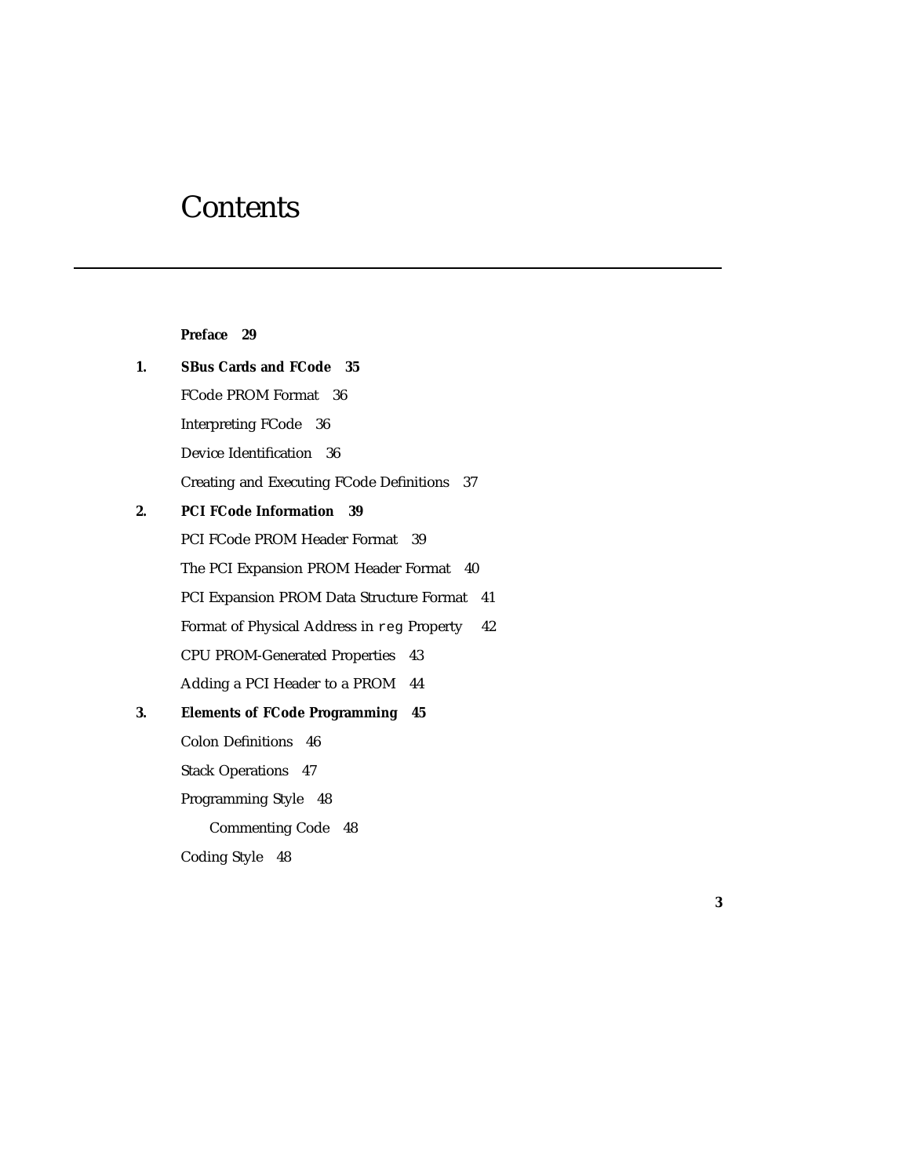## **Contents**

|    | Preface 29                                       |
|----|--------------------------------------------------|
| 1. | <b>SBus Cards and FCode</b> 35                   |
|    | FCode PROM Format 36                             |
|    | Interpreting FCode 36                            |
|    | Device Identification 36                         |
|    | Creating and Executing FCode Definitions 37      |
| 2. | <b>PCI FCode Information</b><br>- 39             |
|    | PCI FCode PROM Header Format 39                  |
|    | The PCI Expansion PROM Header Format 40          |
|    | PCI Expansion PROM Data Structure Format<br>41   |
|    | Format of Physical Address in reg Property<br>42 |
|    | <b>CPU PROM-Generated Properties</b><br>43       |
|    | Adding a PCI Header to a PROM<br>44              |
| 3. | <b>Elements of FCode Programming 45</b>          |
|    | <b>Colon Definitions</b><br>46                   |
|    | <b>Stack Operations 47</b>                       |
|    | Programming Style 48                             |
|    | <b>Commenting Code</b> 48                        |
|    | <b>Coding Style</b><br>48                        |

**3**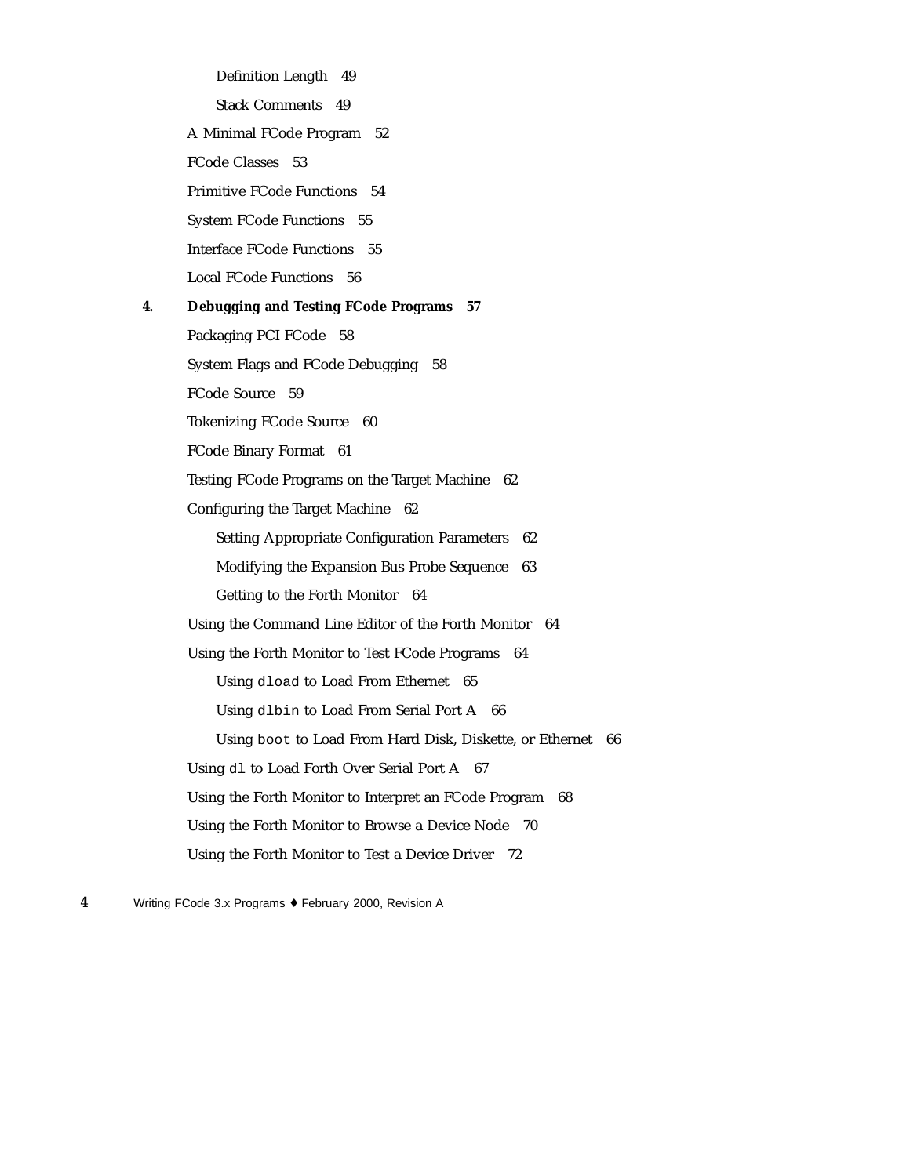Definition Length 49 Stack Comments 49 A Minimal FCode Program 52 FCode Classes 53 Primitive FCode Functions 54 System FCode Functions 55 Interface FCode Functions 55 Local FCode Functions 56 **4. Debugging and Testing FCode Programs 57** Packaging PCI FCode 58 System Flags and FCode Debugging 58 FCode Source 59 Tokenizing FCode Source 60 FCode Binary Format 61 Testing FCode Programs on the Target Machine 62 Configuring the Target Machine 62 Setting Appropriate Configuration Parameters 62 Modifying the Expansion Bus Probe Sequence 63 Getting to the Forth Monitor 64 Using the Command Line Editor of the Forth Monitor 64 Using the Forth Monitor to Test FCode Programs 64 Using dload to Load From Ethernet 65 Using dlbin to Load From Serial Port A 66 Using boot to Load From Hard Disk, Diskette, or Ethernet 66 Using dl to Load Forth Over Serial Port A 67 Using the Forth Monitor to Interpret an FCode Program 68 Using the Forth Monitor to Browse a Device Node 70 Using the Forth Monitor to Test a Device Driver 72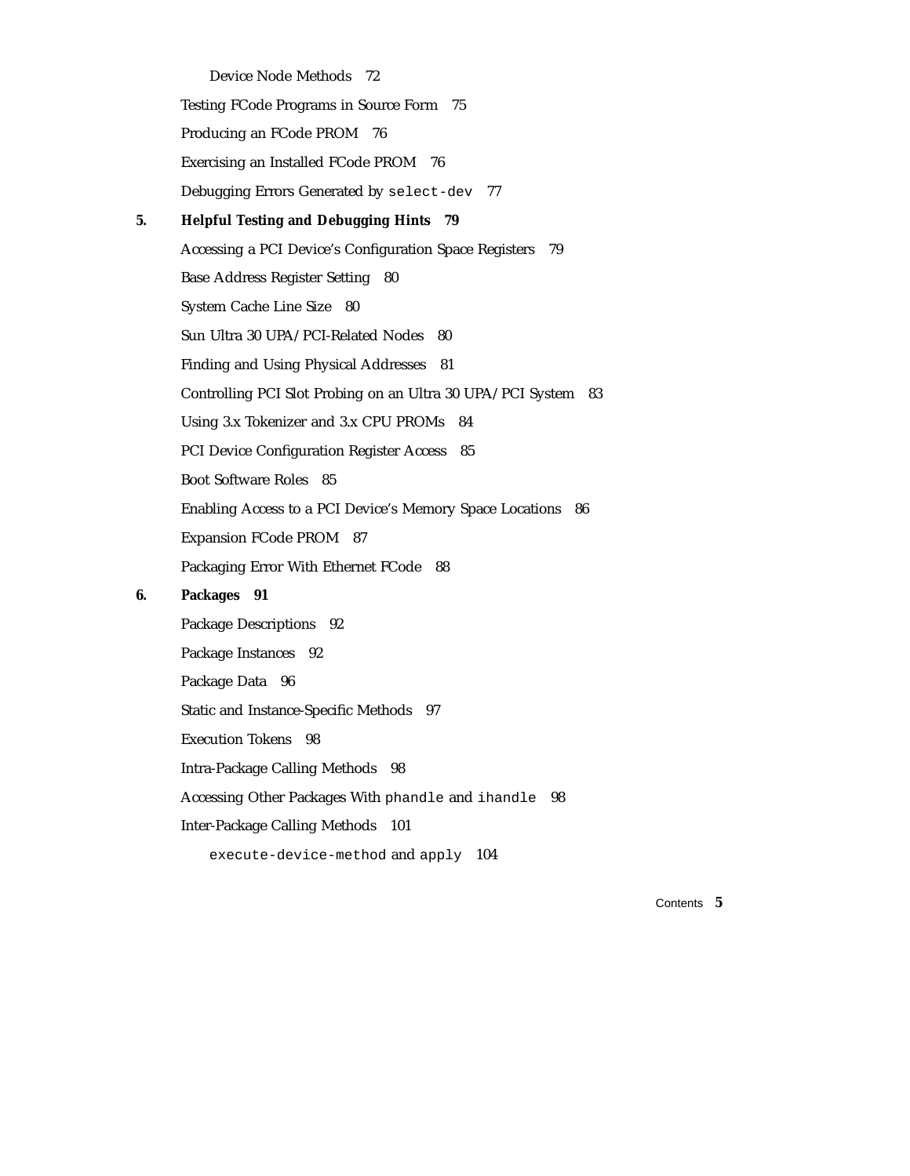Device Node Methods 72 Testing FCode Programs in Source Form 75 Producing an FCode PROM 76 Exercising an Installed FCode PROM 76 Debugging Errors Generated by select-dev 77 **5. Helpful Testing and Debugging Hints 79** Accessing a PCI Device's Configuration Space Registers 79 Base Address Register Setting 80 System Cache Line Size 80 Sun Ultra 30 UPA/PCI-Related Nodes 80 Finding and Using Physical Addresses 81 Controlling PCI Slot Probing on an Ultra 30 UPA/PCI System 83 Using 3.x Tokenizer and 3.x CPU PROMs 84 PCI Device Configuration Register Access 85 Boot Software Roles 85 Enabling Access to a PCI Device's Memory Space Locations 86 Expansion FCode PROM 87 Packaging Error With Ethernet FCode 88

#### **6. Packages 91**

Package Descriptions 92 Package Instances 92 Package Data 96 Static and Instance-Specific Methods 97 Execution Tokens 98 Intra-Package Calling Methods 98 Accessing Other Packages With phandle and ihandle 98 Inter-Package Calling Methods 101 execute-device-method and apply 104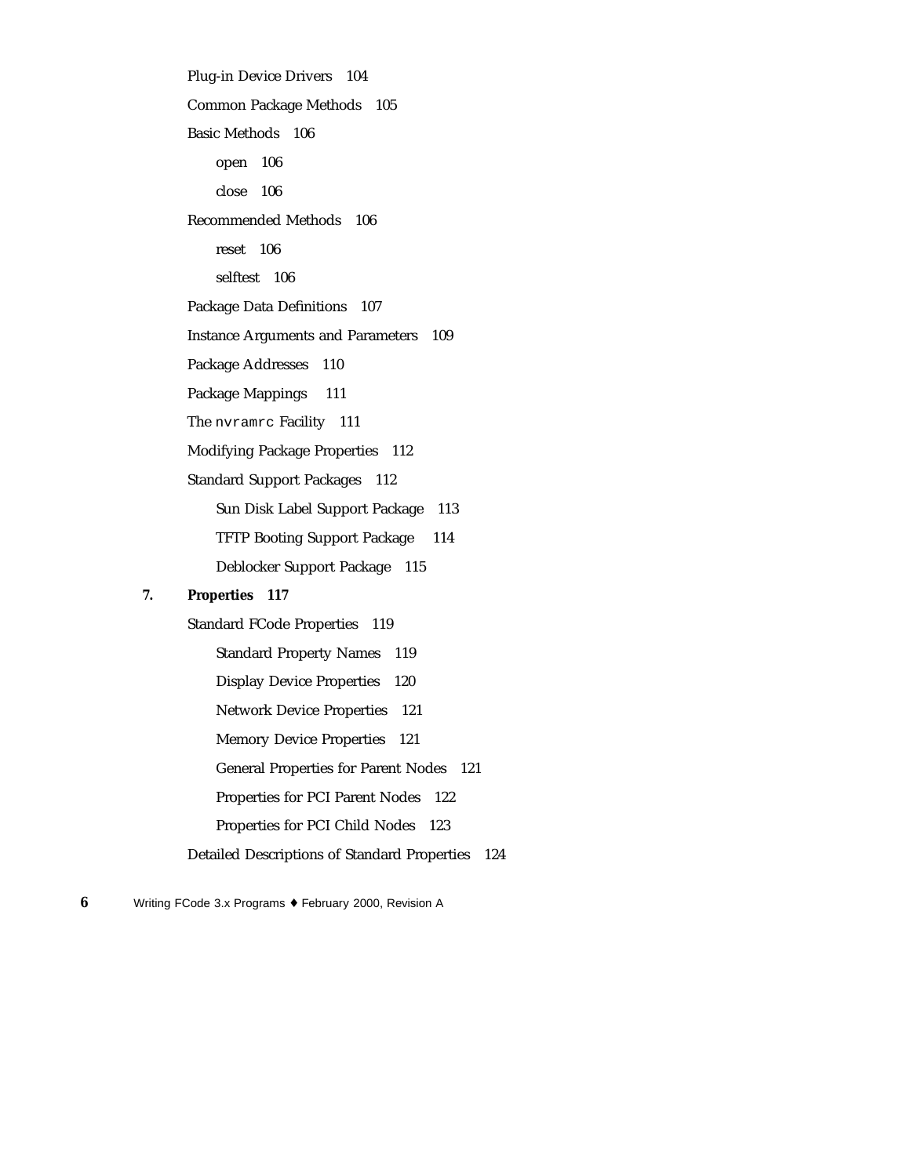Plug-in Device Drivers 104 Common Package Methods 105 Basic Methods 106 open 106 close 106 Recommended Methods 106 reset 106 selftest 106 Package Data Definitions 107 Instance Arguments and Parameters 109 Package Addresses 110 Package Mappings 111 The nvramrc Facility 111 Modifying Package Properties 112 Standard Support Packages 112 Sun Disk Label Support Package 113 TFTP Booting Support Package 114 Deblocker Support Package 115

#### **7. Properties 117**

Standard FCode Properties 119 Standard Property Names 119 Display Device Properties 120 Network Device Properties 121 Memory Device Properties 121 General Properties for Parent Nodes 121 Properties for PCI Parent Nodes 122 Properties for PCI Child Nodes 123 Detailed Descriptions of Standard Properties 124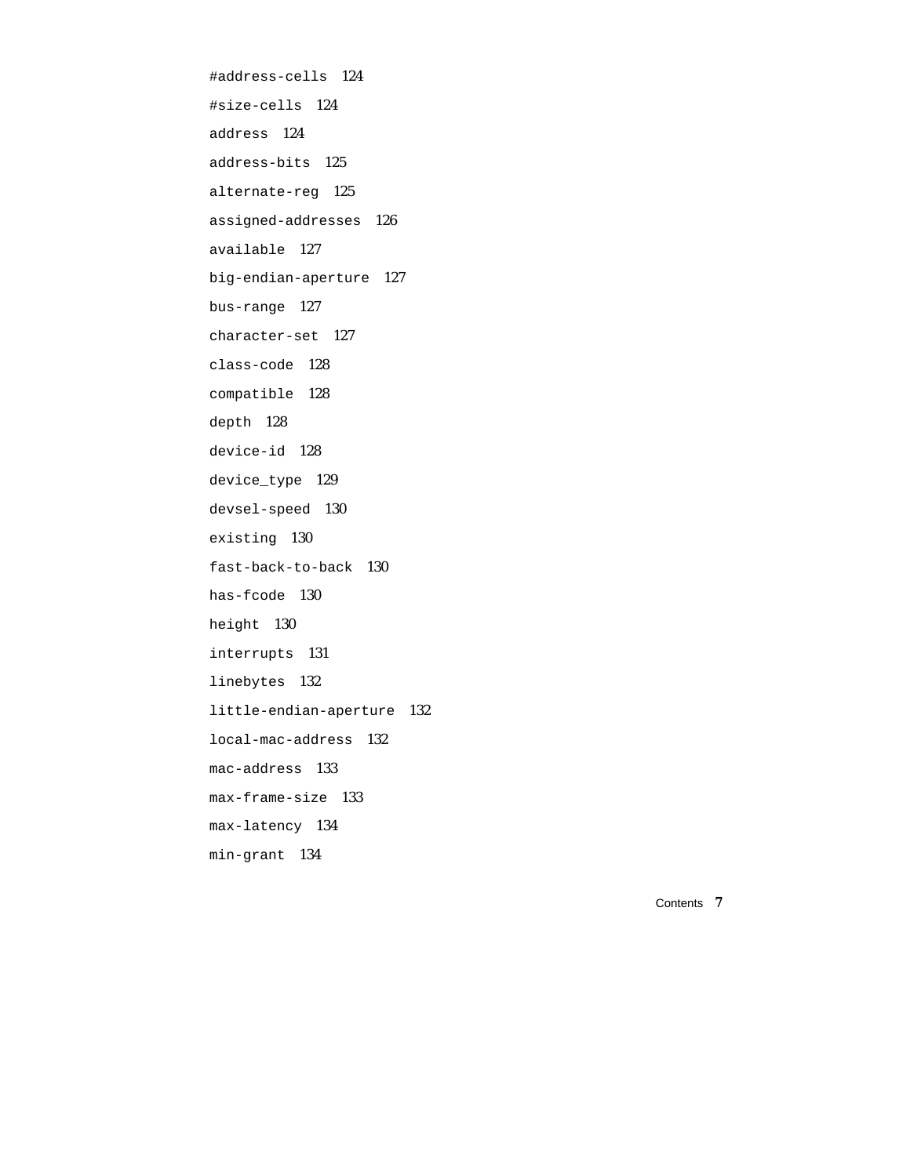#address-cells 124 #size-cells 124 address 124 address-bits 125 alternate-reg 125 assigned-addresses 126 available 127 big-endian-aperture 127 bus-range 127 character-set 127 class-code 128 compatible 128 depth 128 device-id 128 device\_type 129 devsel-speed 130 existing 130 fast-back-to-back 130 has-fcode 130 height 130 interrupts 131 linebytes 132 little-endian-aperture 132 local-mac-address 132 mac-address 133 max-frame-size 133 max-latency 134 min-grant 134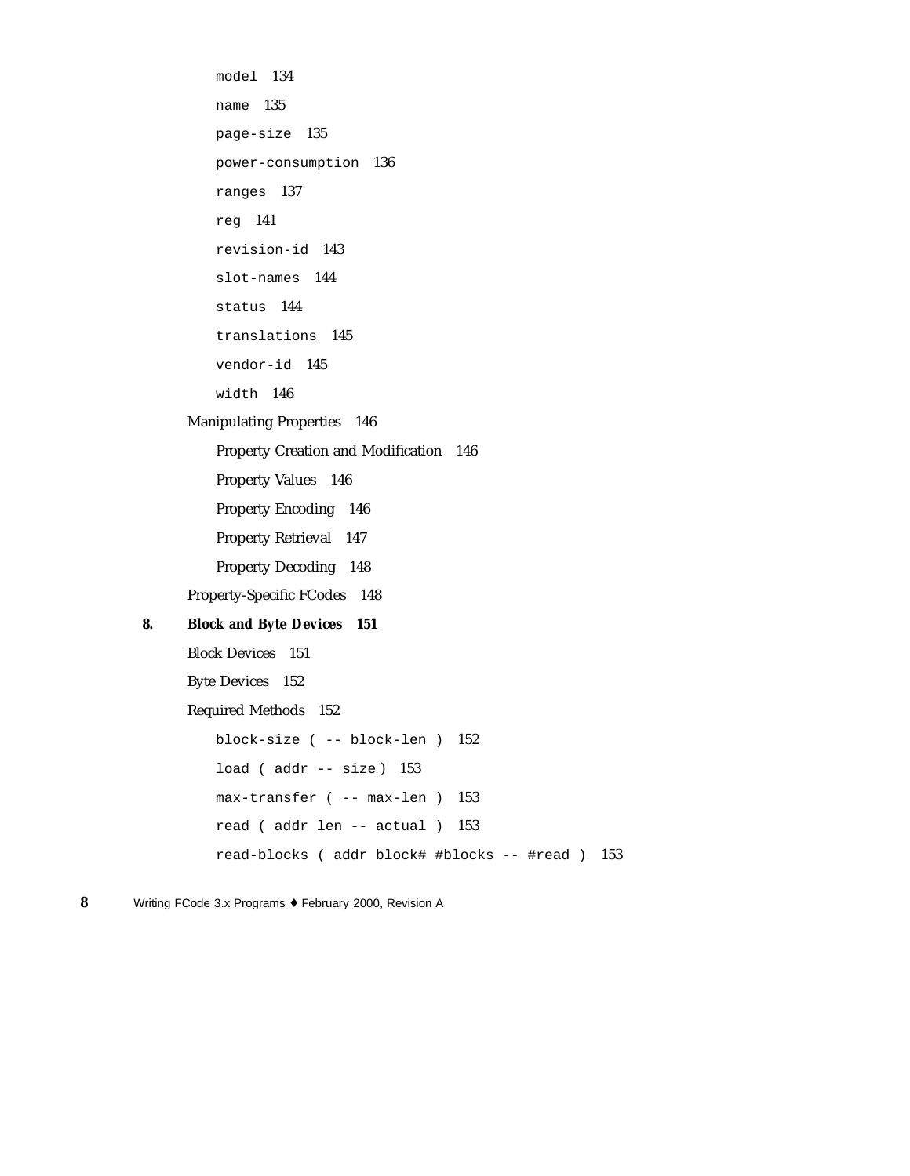```
model 134
         name 135
         page-size 135
         power-consumption 136
         ranges 137
         reg 141
         revision-id 143
         slot-names 144
         status 144
         translations 145
         vendor-id 145
         width 146
     Manipulating Properties 146
         Property Creation and Modification 146
         Property Values 146
         Property Encoding 146
         Property Retrieval 147
         Property Decoding 148
     Property-Specific FCodes 148
8. Block and Byte Devices 151
     Block Devices 151
     Byte Devices 152
     Required Methods 152
         block-size ( -- block-len ) 152
         load (addr -- size) 153
         max-transfer ( -- max-len ) 153
         read ( addr len -- actual ) 153
         read-blocks ( addr block# #blocks -- #read ) 153
```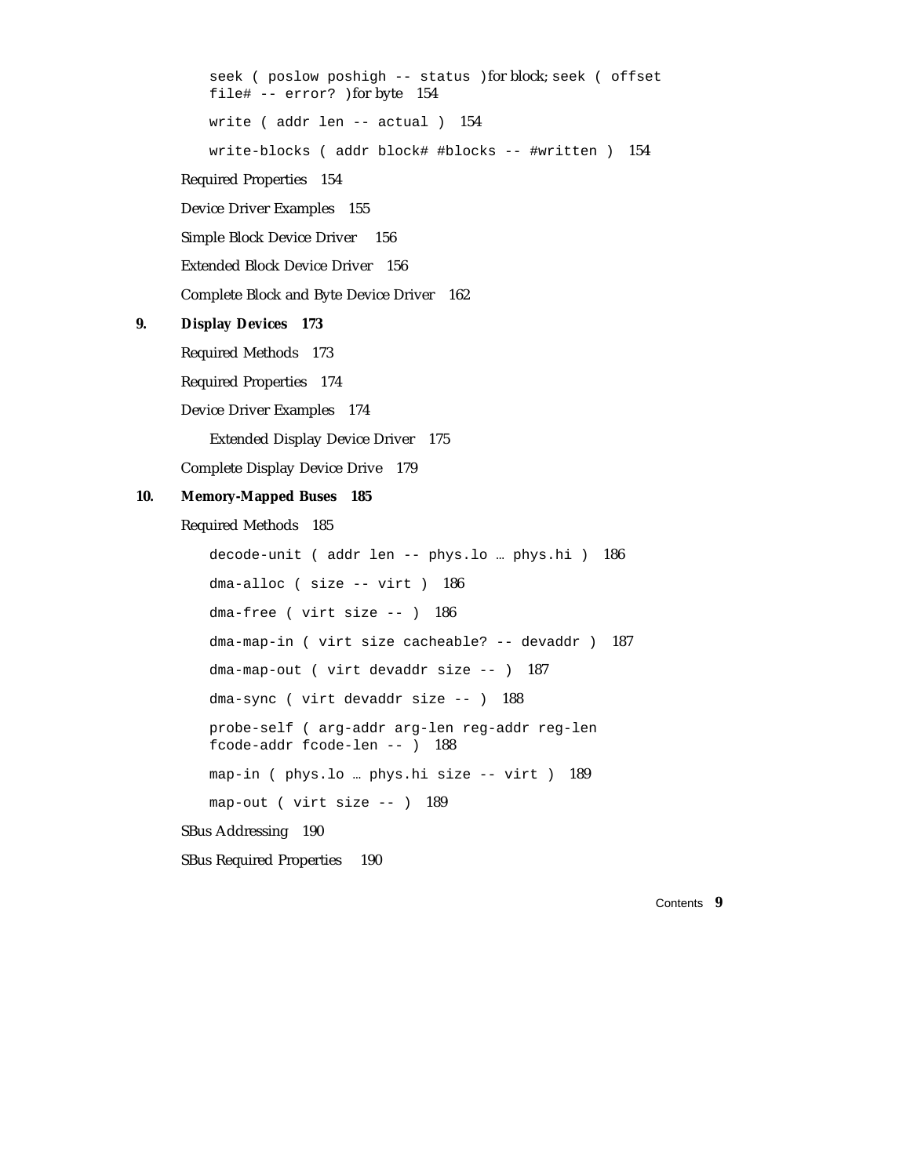seek ( poslow poshigh -- status )for block; seek ( offset file# -- error? )for byte 154 write ( addr len -- actual ) 154 write-blocks ( addr block# #blocks -- #written ) 154 Required Properties 154 Device Driver Examples 155 Simple Block Device Driver 156 Extended Block Device Driver 156 Complete Block and Byte Device Driver 162 **9. Display Devices 173** Required Methods 173 Required Properties 174 Device Driver Examples 174 Extended Display Device Driver 175

Complete Display Device Drive 179

#### **10. Memory-Mapped Buses 185**

Required Methods 185

```
decode-unit ( addr len -- phys.lo … phys.hi ) 186
   dma-alloc ( size -- virt ) 186
   dma-free ( virt size -- ) 186
   dma-map-in ( virt size cacheable? -- devaddr ) 187
   dma-map-out ( virt devaddr size -- ) 187
   dma-sync ( virt devaddr size -- ) 188
   probe-self ( arg-addr arg-len reg-addr reg-len
   fcode-addr fcode-len -- ) 188
   map-in ( phys.lo … phys.hi size -- virt ) 189
   map-out ( virt size -- ) 189
SBus Addressing 190
```
SBus Required Properties 190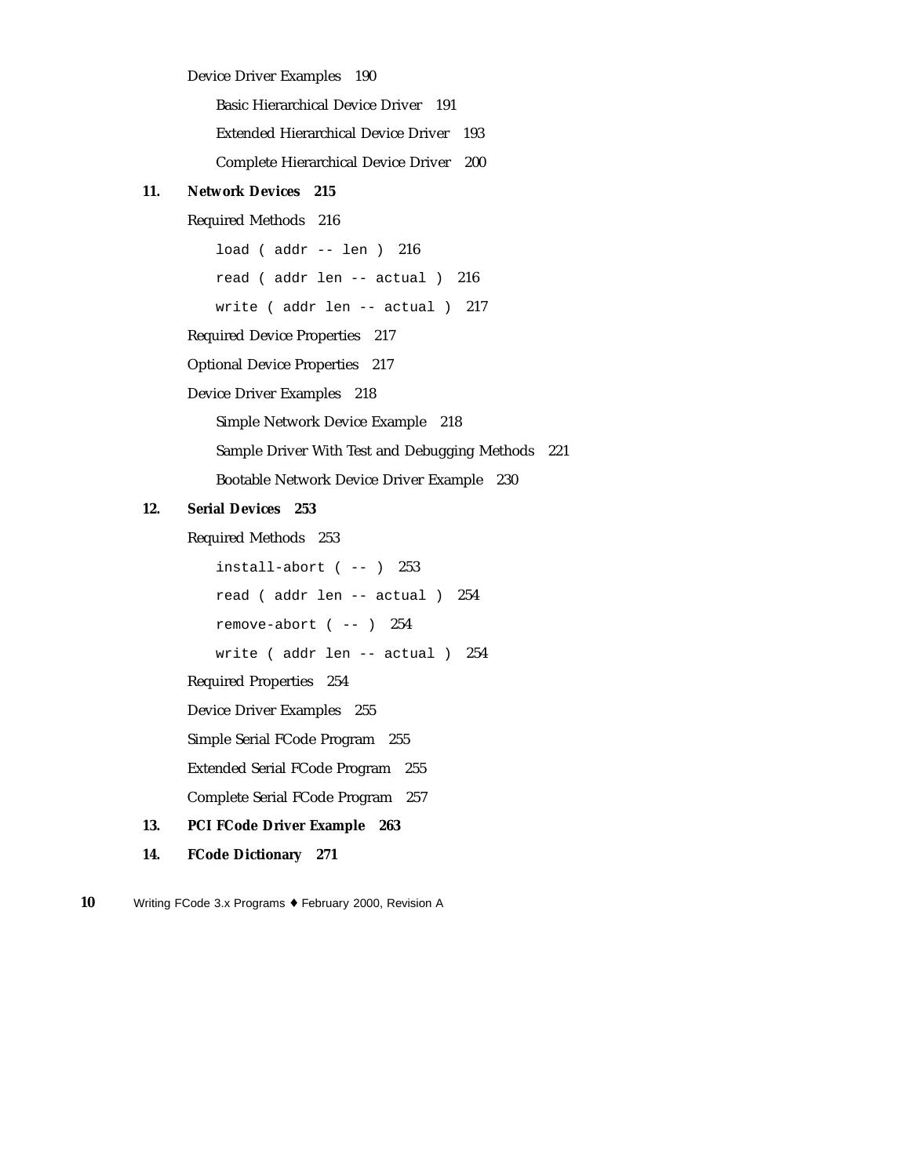#### Device Driver Examples 190

Basic Hierarchical Device Driver 191 Extended Hierarchical Device Driver 193 Complete Hierarchical Device Driver 200

#### **11. Network Devices 215**

#### Required Methods 216

load ( addr -- len ) 216 read ( addr len -- actual ) 216 write ( addr len -- actual ) 217 Required Device Properties 217

Optional Device Properties 217

Device Driver Examples 218

Simple Network Device Example 218

Sample Driver With Test and Debugging Methods 221

Bootable Network Device Driver Example 230

#### **12. Serial Devices 253**

Required Methods 253

 $install-abort$  ( -- )  $253$ read ( addr len -- actual ) 254 remove-abort ( -- ) 254 write ( addr len -- actual ) 254 Required Properties 254 Device Driver Examples 255

Simple Serial FCode Program 255

Extended Serial FCode Program 255

Complete Serial FCode Program 257

#### **13. PCI FCode Driver Example 263**

**14. FCode Dictionary 271**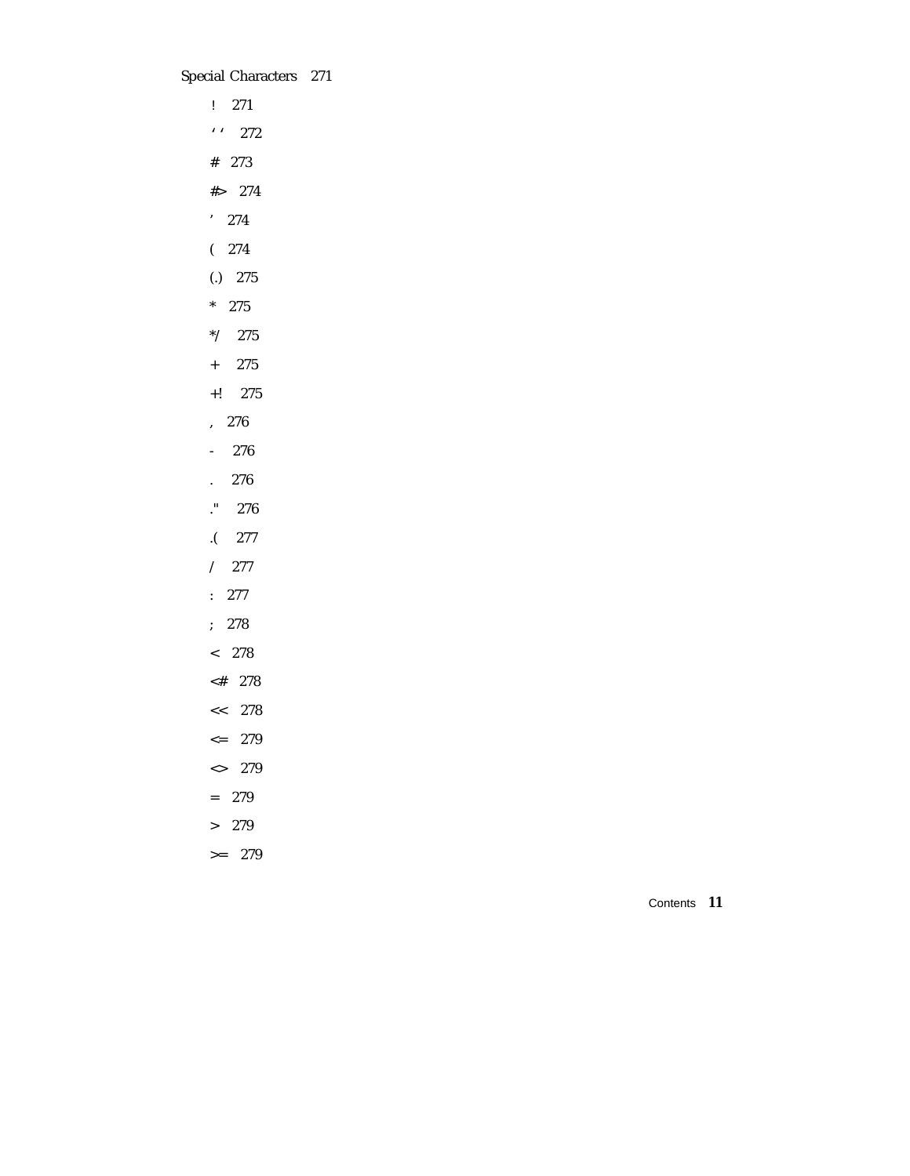Special Characters 271

! 271 '' 272 # 273 #> 274 ' 274  $(274)$ (.) 275 \* 275 \*/ 275 + 275 +! 275 , 276 - 276 . 276 ." 276 .( 277 / 277 : 277 ; 278 < 278 <# 278 << 278  $\leq$  279 <> 279 = 279 > 279  $>= 279$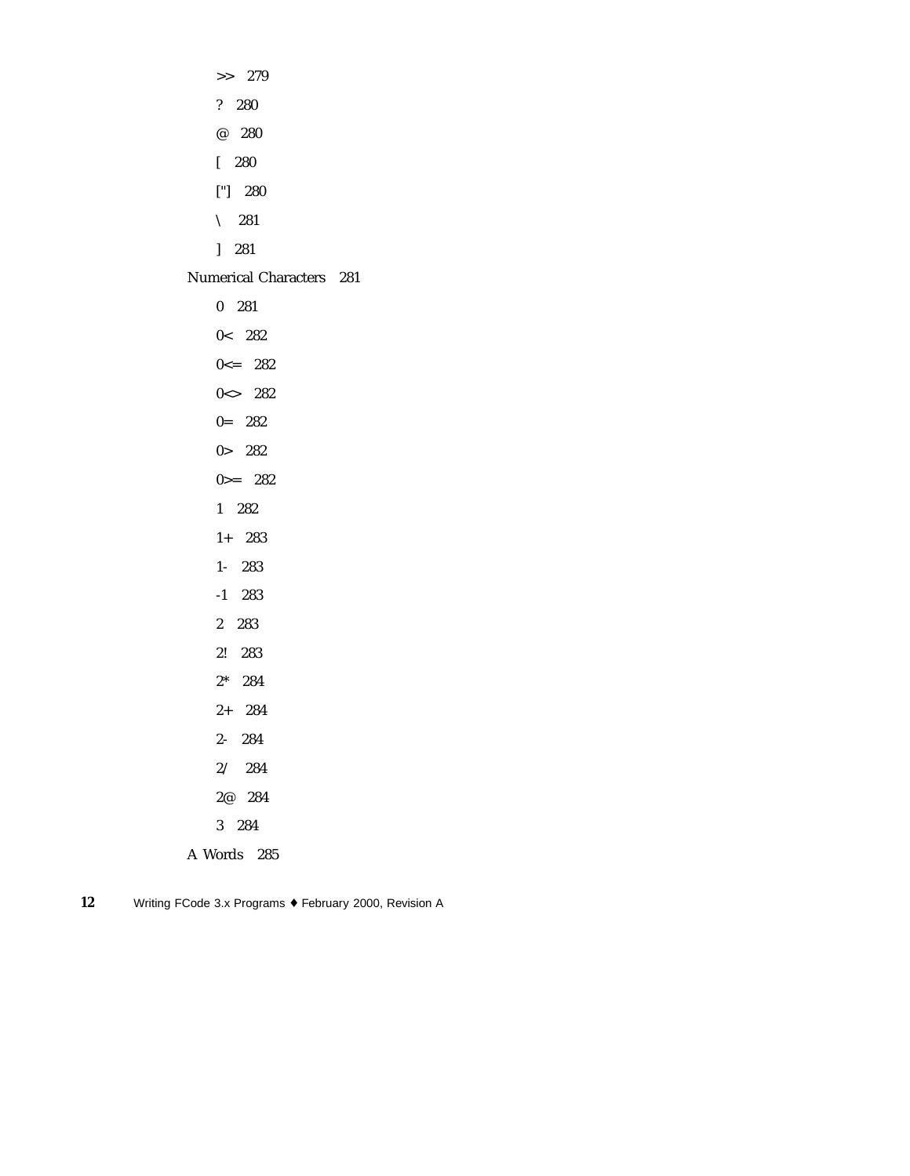>> 279 ? 280 @ 280 [ 280 ["] 280  $\setminus$  281 ] 281 Numerical Characters 281

0 281 0< 282  $0 \leq -282$ 0<> 282 0= 282 0> 282  $0 = 282$ 1 282 1+ 283 1- 283 -1 283 2 283 2! 283 2\* 284 2+ 284 2- 284 2/ 284 2@ 284 3 284 A Words 285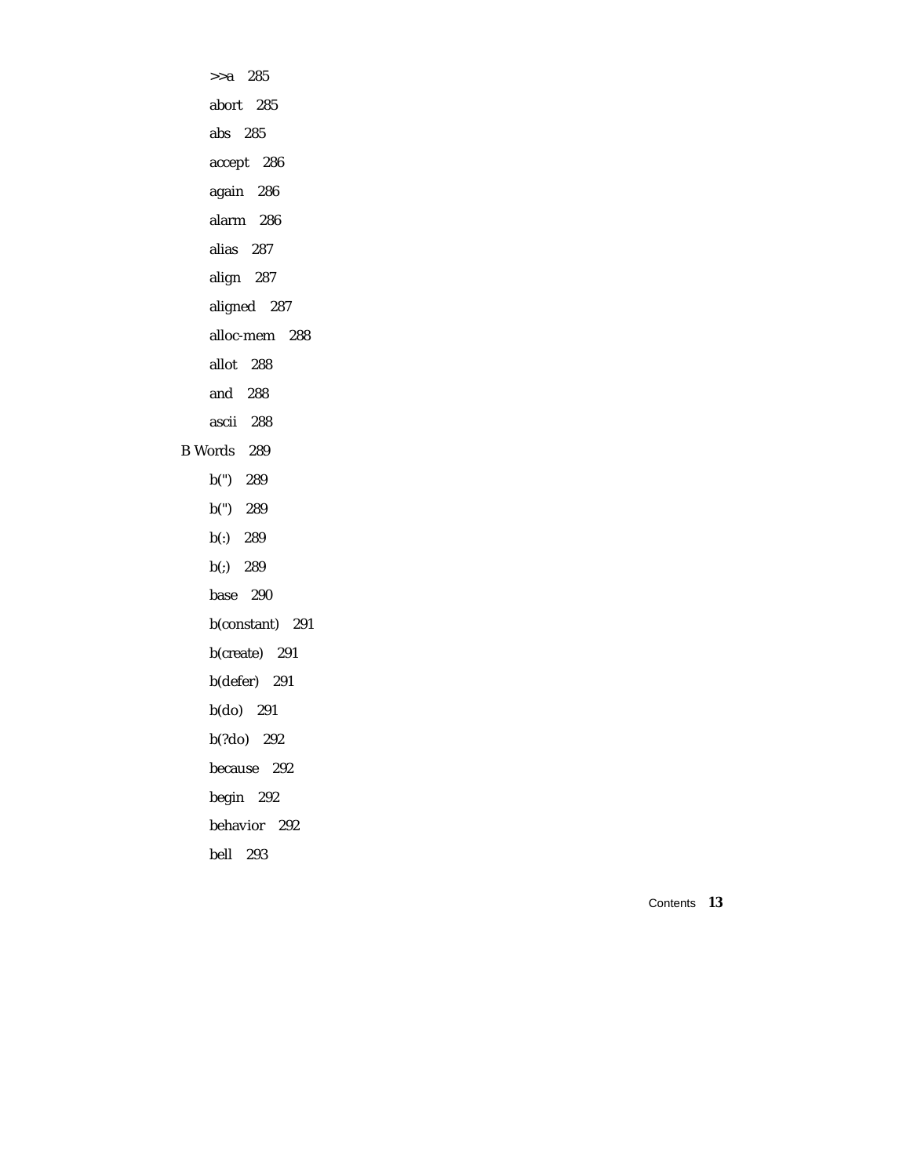>>a 285 abort 285 abs 285 accept 286 again 286 alarm 286 alias 287 align 287 aligned 287 alloc-mem 288 allot 288 and 288 ascii 288 B Words 289 b(") 289 b(") 289 b(:) 289 b(;) 289 base 290 b(constant) 291 b(create) 291 b(defer) 291 b(do) 291 b(?do) 292 because 292 begin 292 behavior 292 bell 293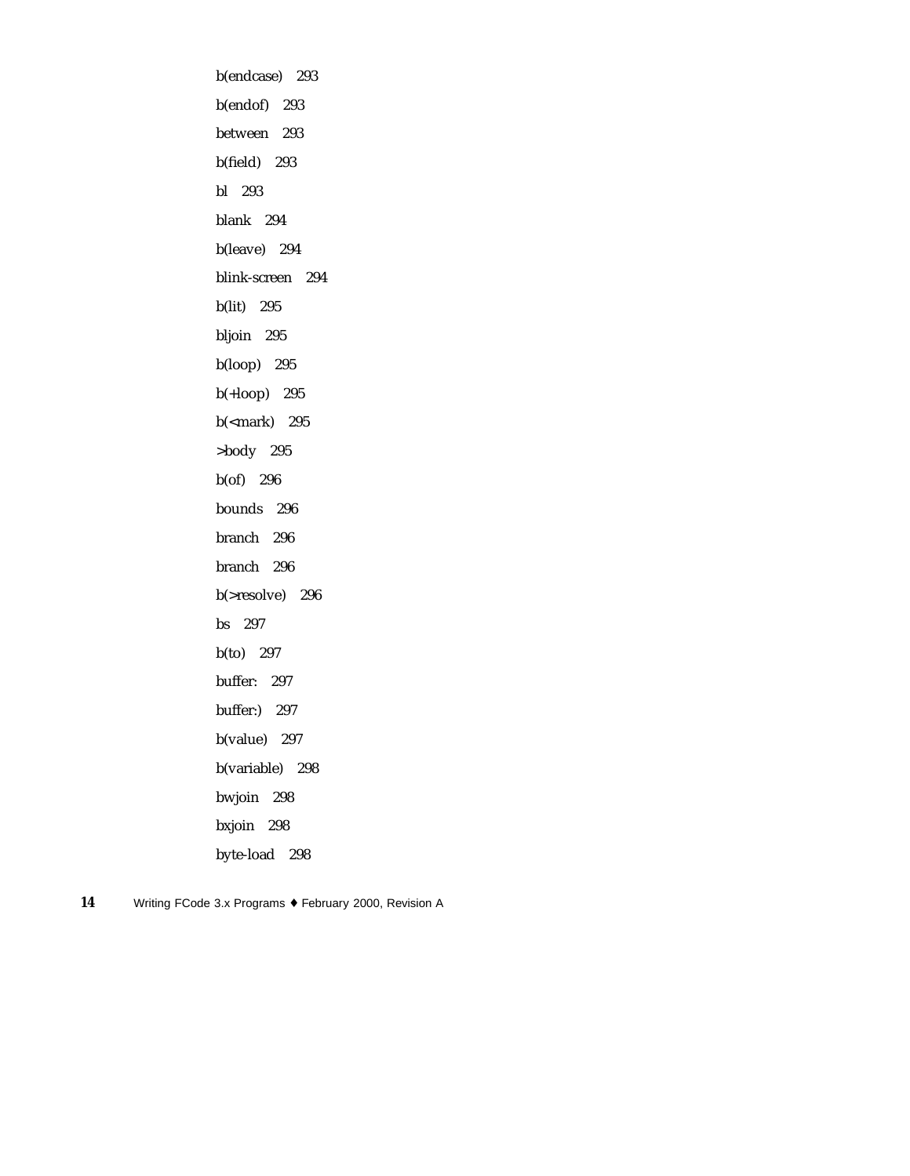b(endcase) 293 b(endof) 293 between 293 b(field) 293 bl 293 blank 294 b(leave) 294 blink-screen 294 b(lit) 295 bljoin 295 b(loop) 295 b(+loop) 295 b(<mark) 295 >body 295 b(of) 296 bounds 296 branch 296 branch 296 b(>resolve) 296 bs 297 b(to) 297 buffer: 297 buffer:) 297 b(value) 297 b(variable) 298 bwjoin 298 bxjoin 298 byte-load 298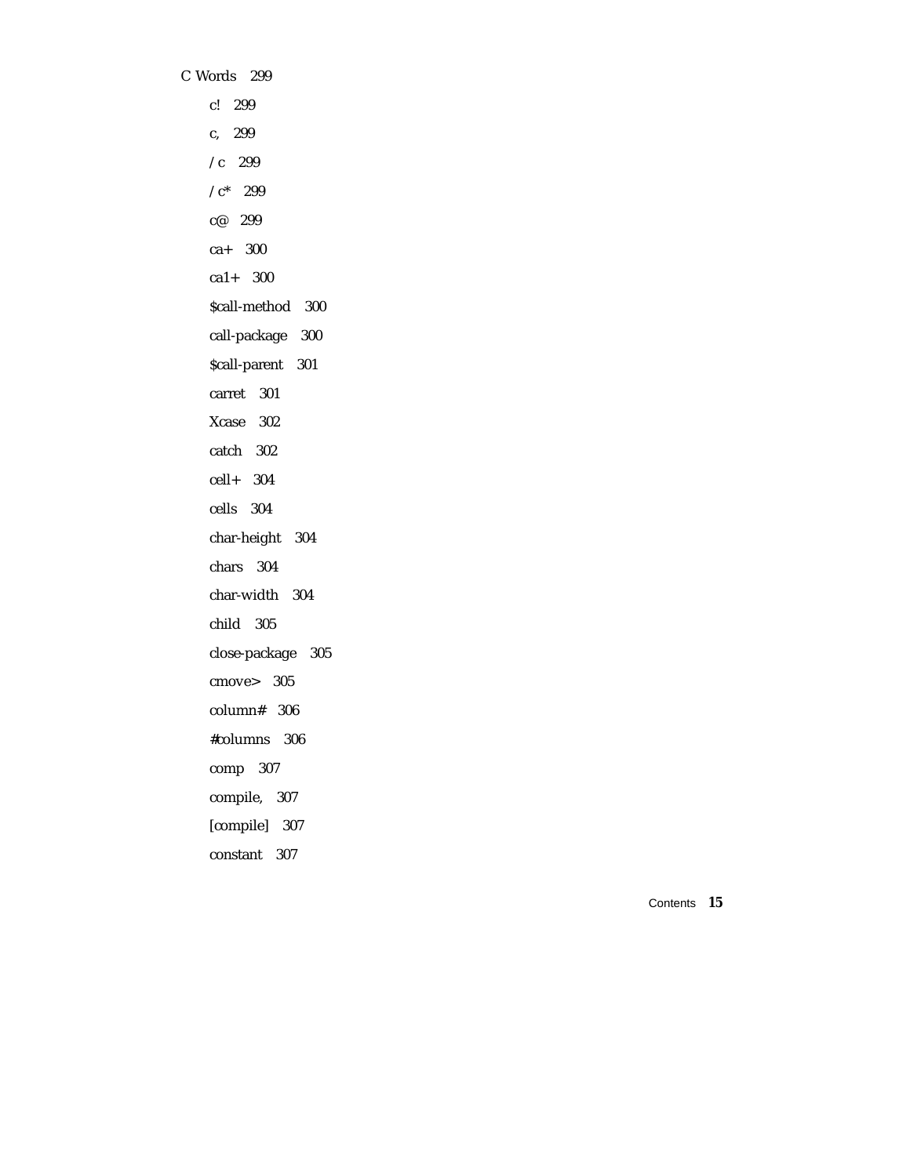C Words 299 c! 299 c, 299 /c 299  $/c^*$  299 c@ 299 ca+ 300 ca1+ 300 \$call-method 300 call-package 300 \$call-parent 301 carret 301 Xcase 302 catch 302 cell+ 304 cells 304 char-height 304 chars 304 char-width 304 child 305 close-package 305 cmove> 305 column# 306 #columns 306 comp 307 compile, 307 [compile] 307 constant 307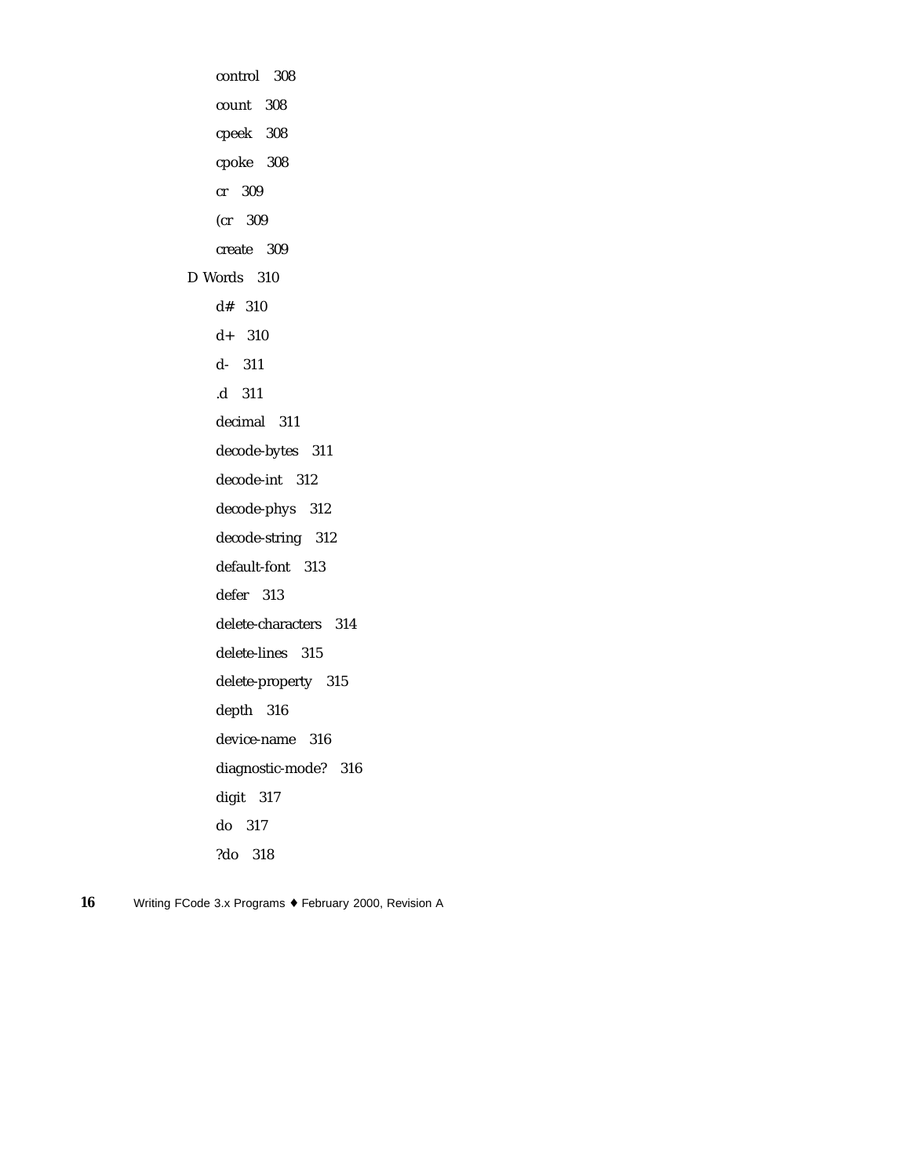control 308 count 308 cpeek 308 cpoke 308 cr 309 (cr 309 create 309 D Words 310 d# 310 d+ 310 d- 311 .d 311 decimal 311 decode-bytes 311 decode-int 312 decode-phys 312 decode-string 312 default-font 313 defer 313 delete-characters 314 delete-lines 315 delete-property 315 depth 316 device-name 316 diagnostic-mode? 316 digit 317 do 317 ?do 318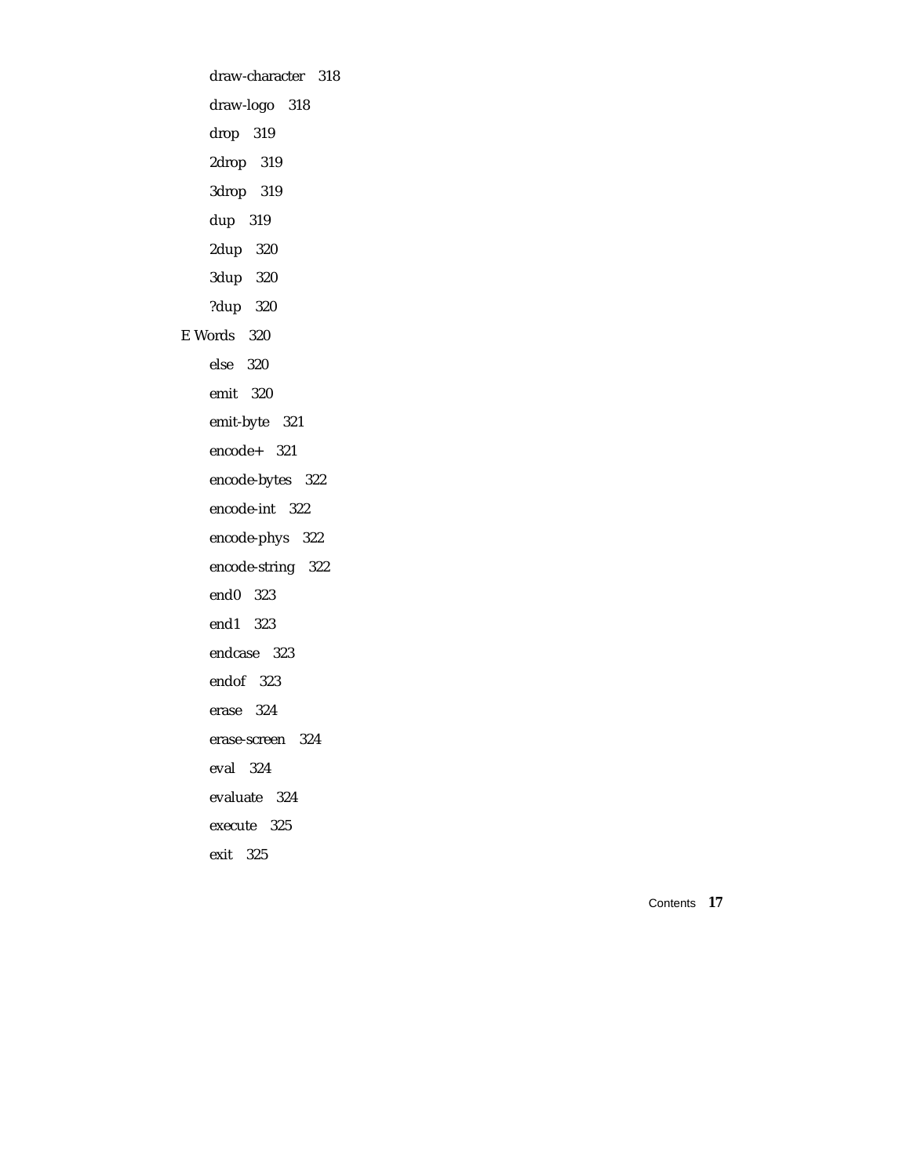draw-character 318 draw-logo 318 drop 319 2drop 319 3drop 319 dup 319 2dup 320 3dup 320 ?dup 320 E Words 320 else 320 emit 320 emit-byte 321 encode+ 321 encode-bytes 322 encode-int 322 encode-phys 322 encode-string 322 end0 323 end1 323 endcase 323 endof 323 erase 324 erase-screen 324 eval 324 evaluate 324 execute 325 exit 325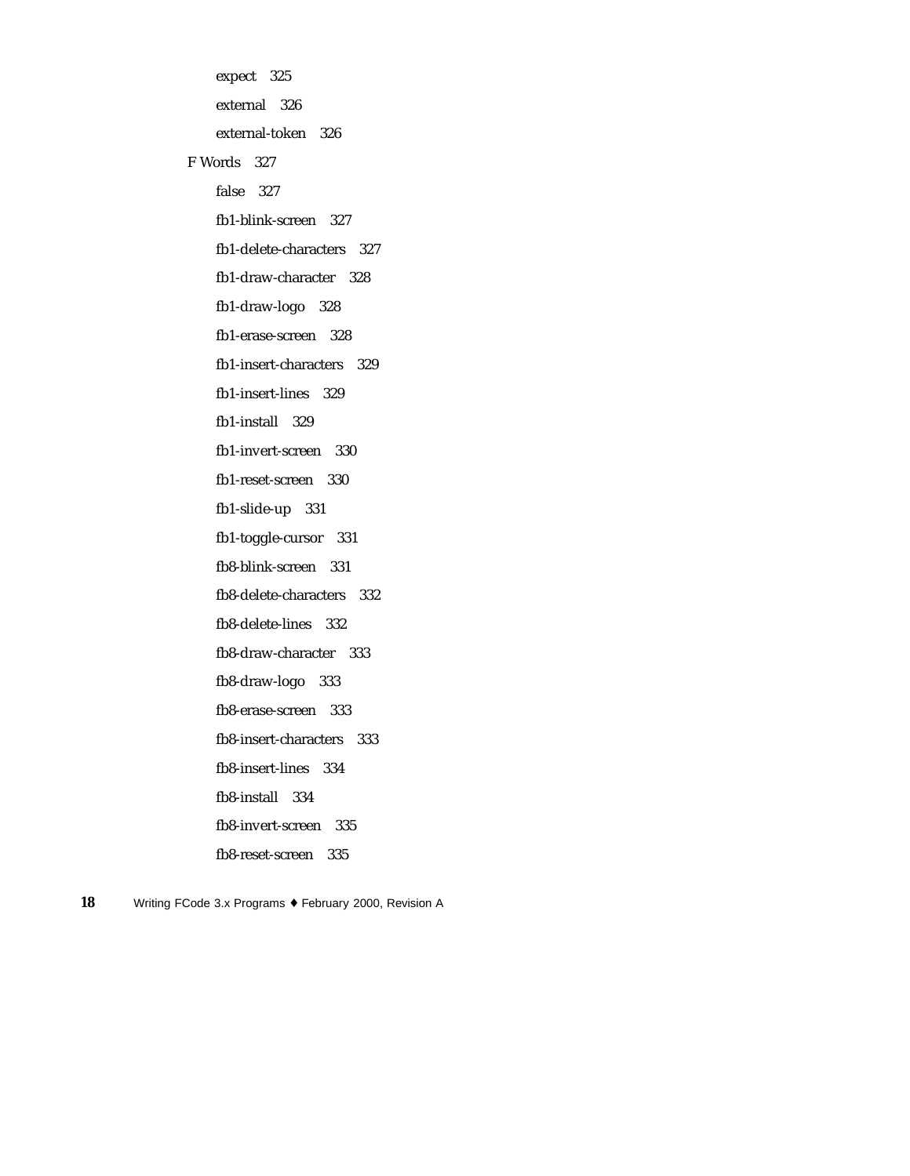expect 325 external 326 external-token 326 F Words 327 false 327 fb1-blink-screen 327 fb1-delete-characters 327 fb1-draw-character 328 fb1-draw-logo 328 fb1-erase-screen 328 fb1-insert-characters 329 fb1-insert-lines 329 fb1-install 329 fb1-invert-screen 330 fb1-reset-screen 330 fb1-slide-up 331 fb1-toggle-cursor 331 fb8-blink-screen 331 fb8-delete-characters 332 fb8-delete-lines 332 fb8-draw-character 333 fb8-draw-logo 333 fb8-erase-screen 333 fb8-insert-characters 333 fb8-insert-lines 334 fb8-install 334 fb8-invert-screen 335 fb8-reset-screen 335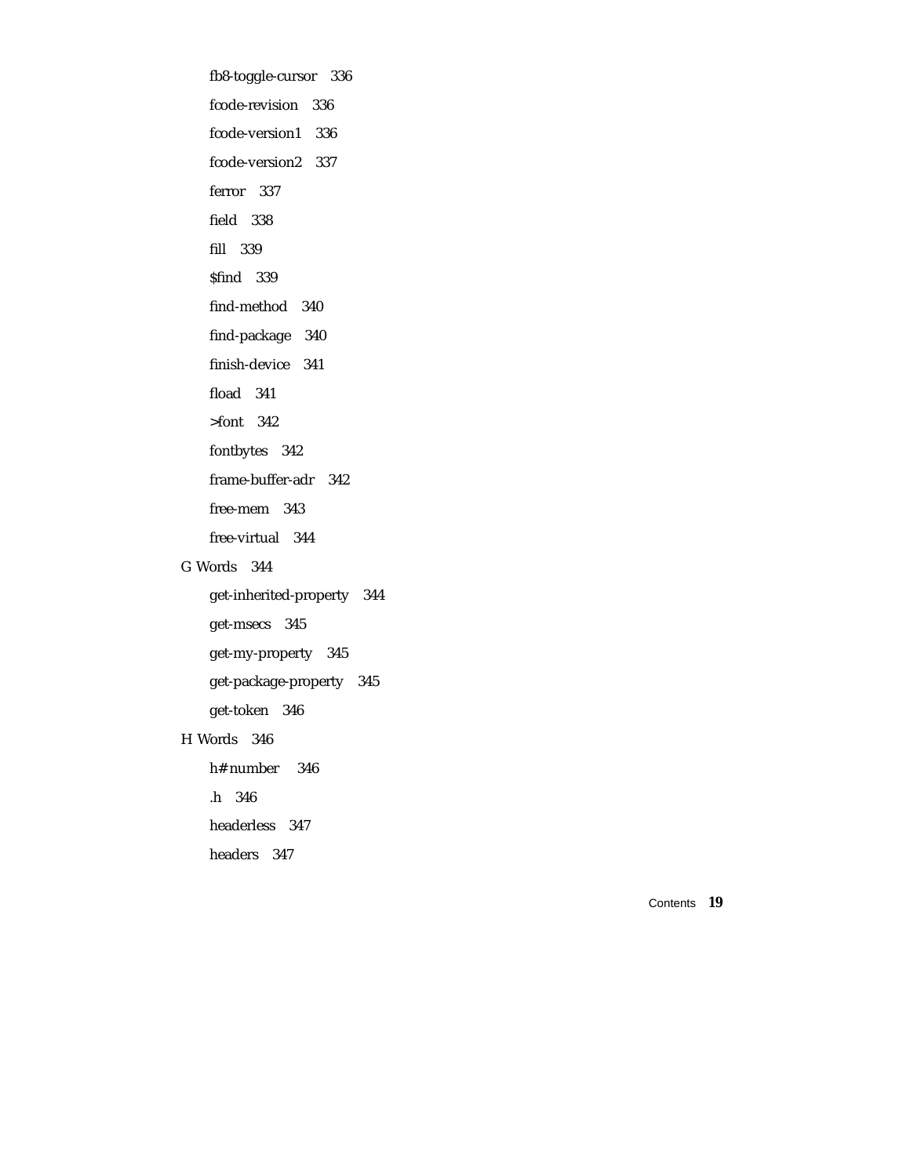fb8-toggle-cursor 336 fcode-revision 336 fcode-version1 336 fcode-version2 337 ferror 337 field 338 fill 339 \$find 339 find-method 340 find-package 340 finish-device 341 fload 341 >font 342 fontbytes 342 frame-buffer-adr 342 free-mem 343 free-virtual 344 G Words 344

> get-inherited-property 344 get-msecs 345 get-my-property 345 get-package-property 345 get-token 346

### H Words 346

h# number 346

.h 346

headerless 347

headers 347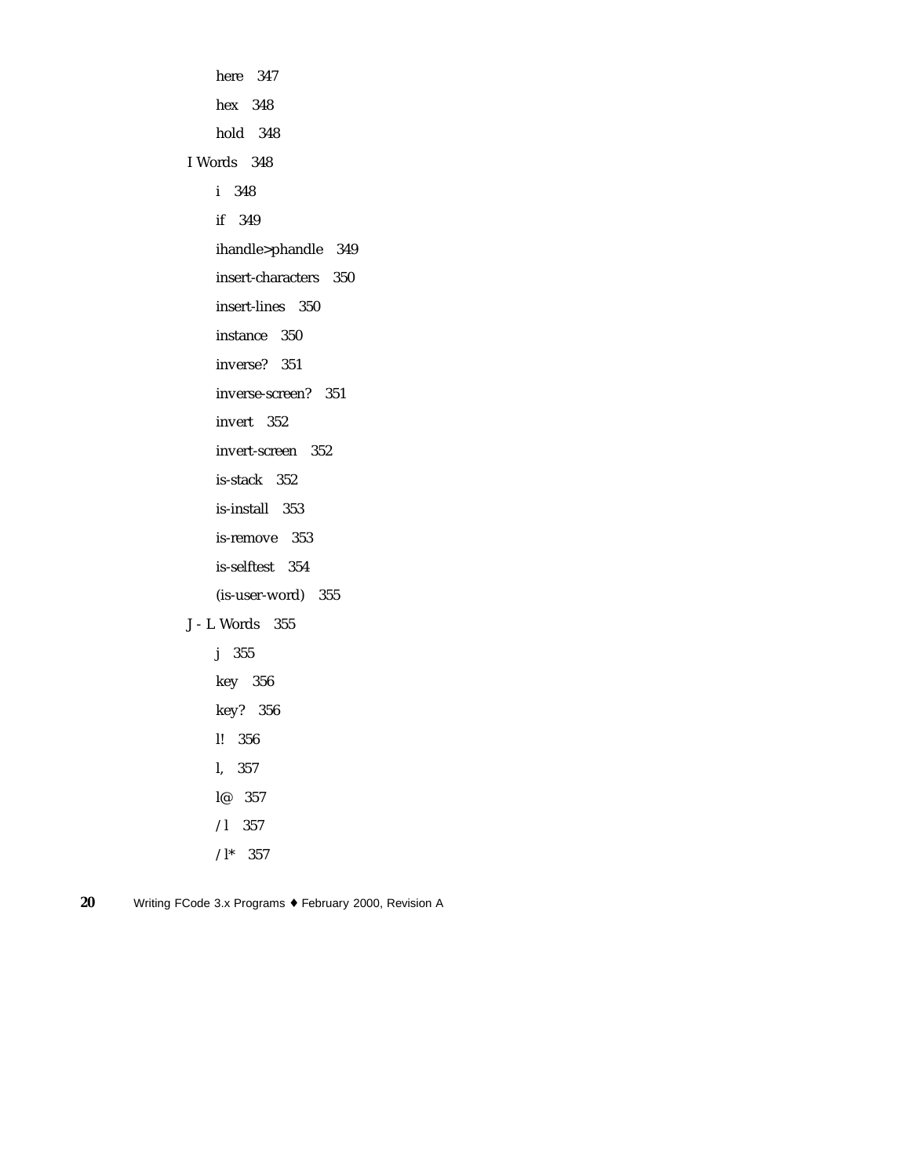here 347 hex 348 hold 348 I Words 348 i 348 if 349 ihandle>phandle 349 insert-characters 350 insert-lines 350 instance 350 inverse? 351 inverse-screen? 351 invert 352 invert-screen 352 is-stack 352 is-install 353 is-remove 353 is-selftest 354 (is-user-word) 355 J - L Words 355 j 355 key 356 key? 356 l! 356 l, 357

- l@ 357 /l 357
- $/$ l\* 357
- **20** Writing FCode 3.x Programs ♦ February 2000, Revision A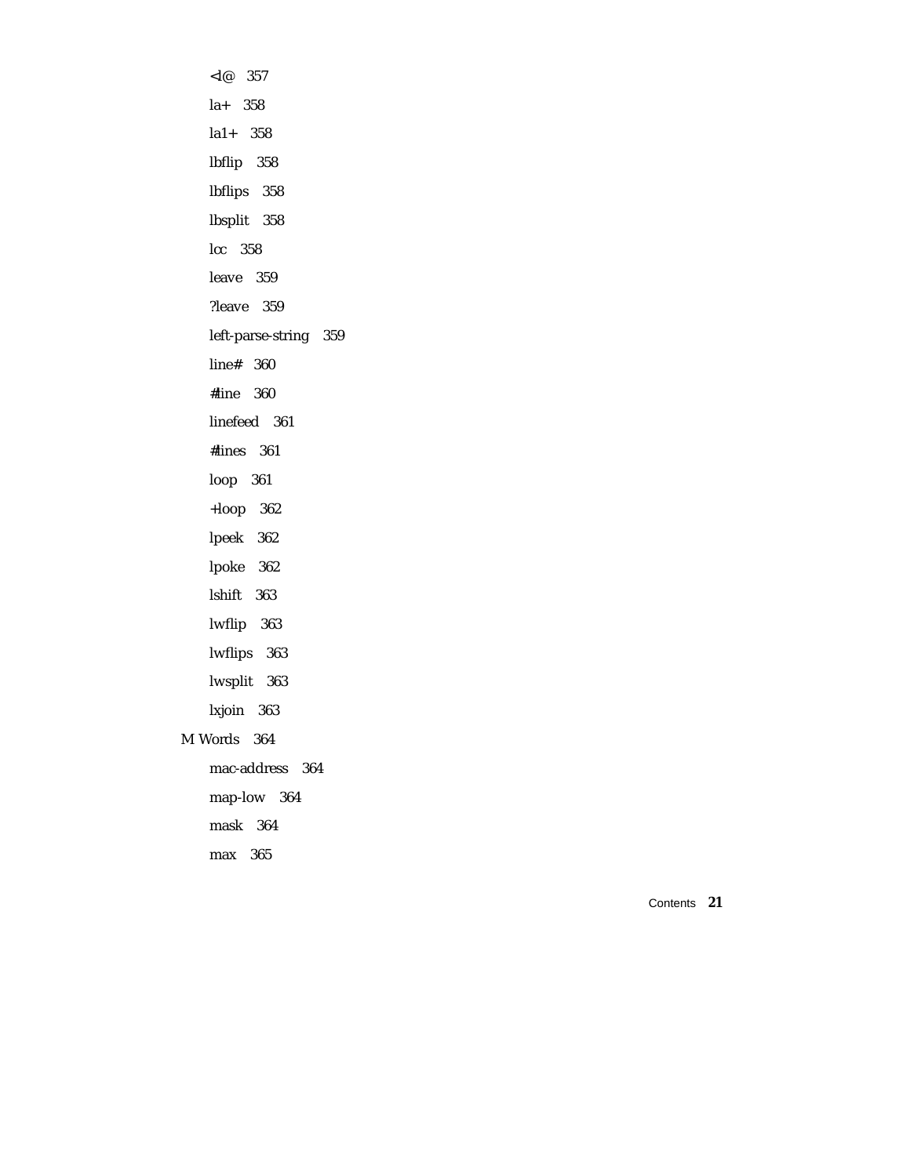$< l@ 357$ la+ 358 la1+ 358 lbflip 358 lbflips 358 lbsplit 358 lcc 358 leave 359 ?leave 359 left-parse-string 359 line# 360 #line 360 linefeed 361 #lines 361 loop 361 +loop 362 lpeek 362 lpoke 362 lshift 363 lwflip 363 lwflips 363 lwsplit 363 lxjoin 363 M Words 364 mac-address 364 map-low 364 mask 364 max 365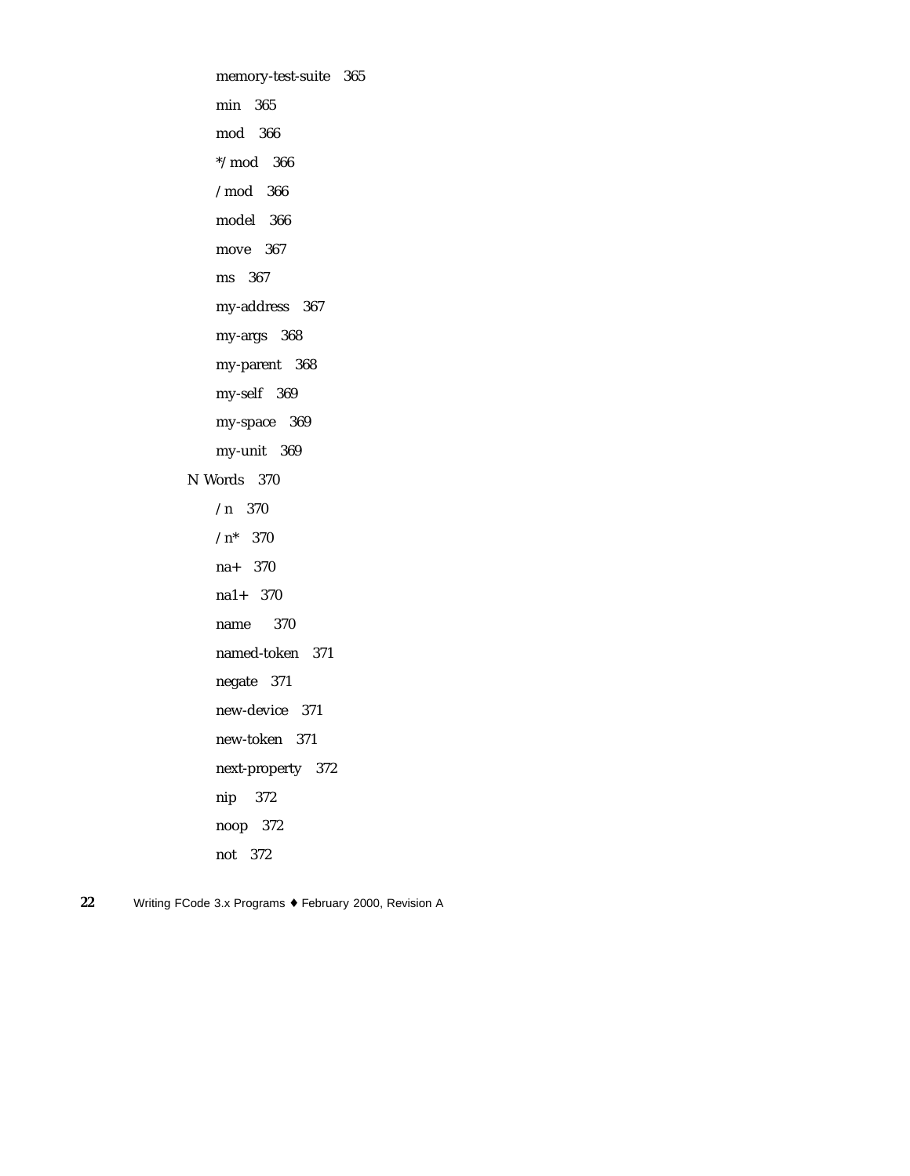memory-test-suite 365 min 365 mod 366 \*/mod 366 /mod 366 model 366 move 367 ms 367 my-address 367 my-args 368 my-parent 368 my-self 369 my-space 369 my-unit 369 N Words 370 /n 370  $/n^*$  370 na+ 370 na1+ 370 name 370 named-token 371 negate 371 new-device 371 new-token 371 next-property 372 nip 372 noop 372 not 372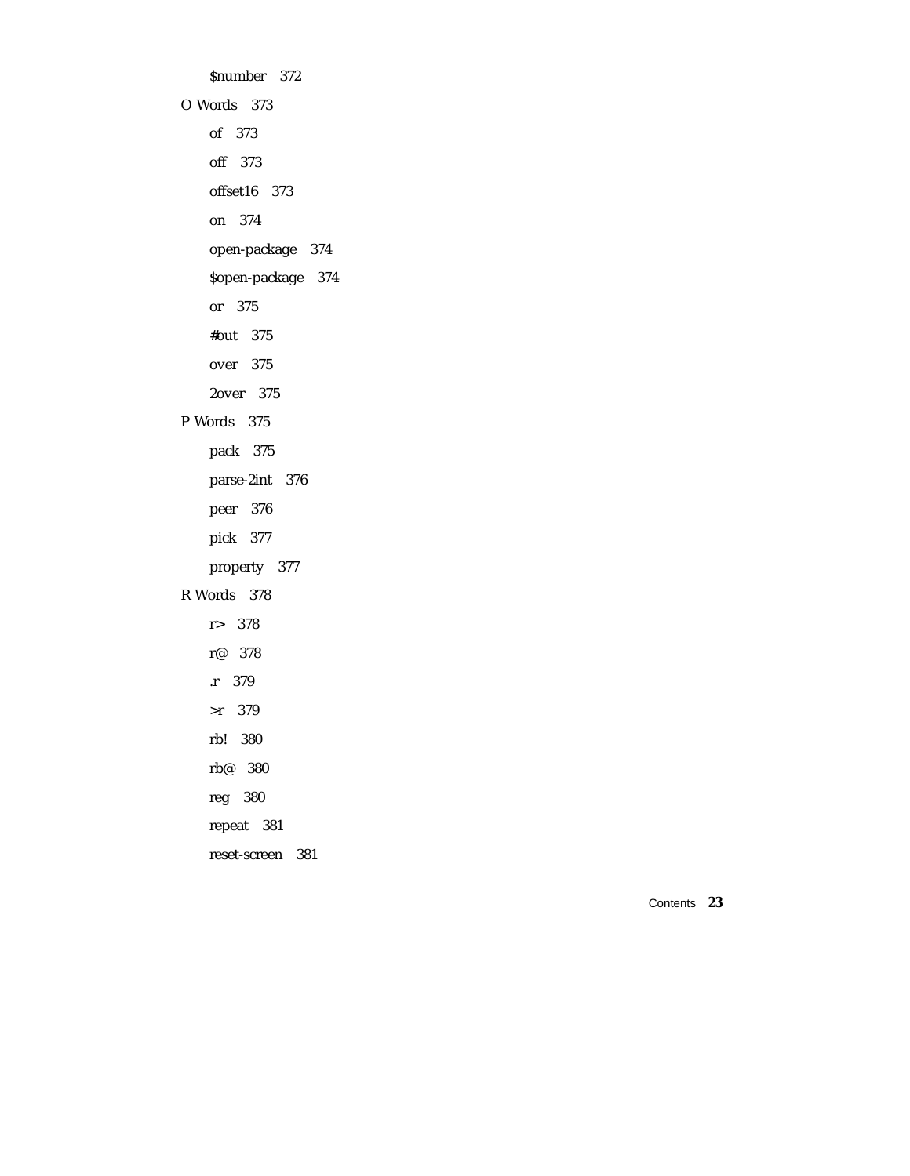\$number 372 O Words 373 of 373 off 373 offset16 373 on 374 open-package 374 \$open-package 374 or 375 #out 375 over 375 2over 375 P Words 375 pack 375 parse-2int 376 peer 376 pick 377 property 377 R Words 378 r> 378 r@ 378 .r 379 >r 379 rb! 380 rb@ 380 reg 380 repeat 381 reset-screen 381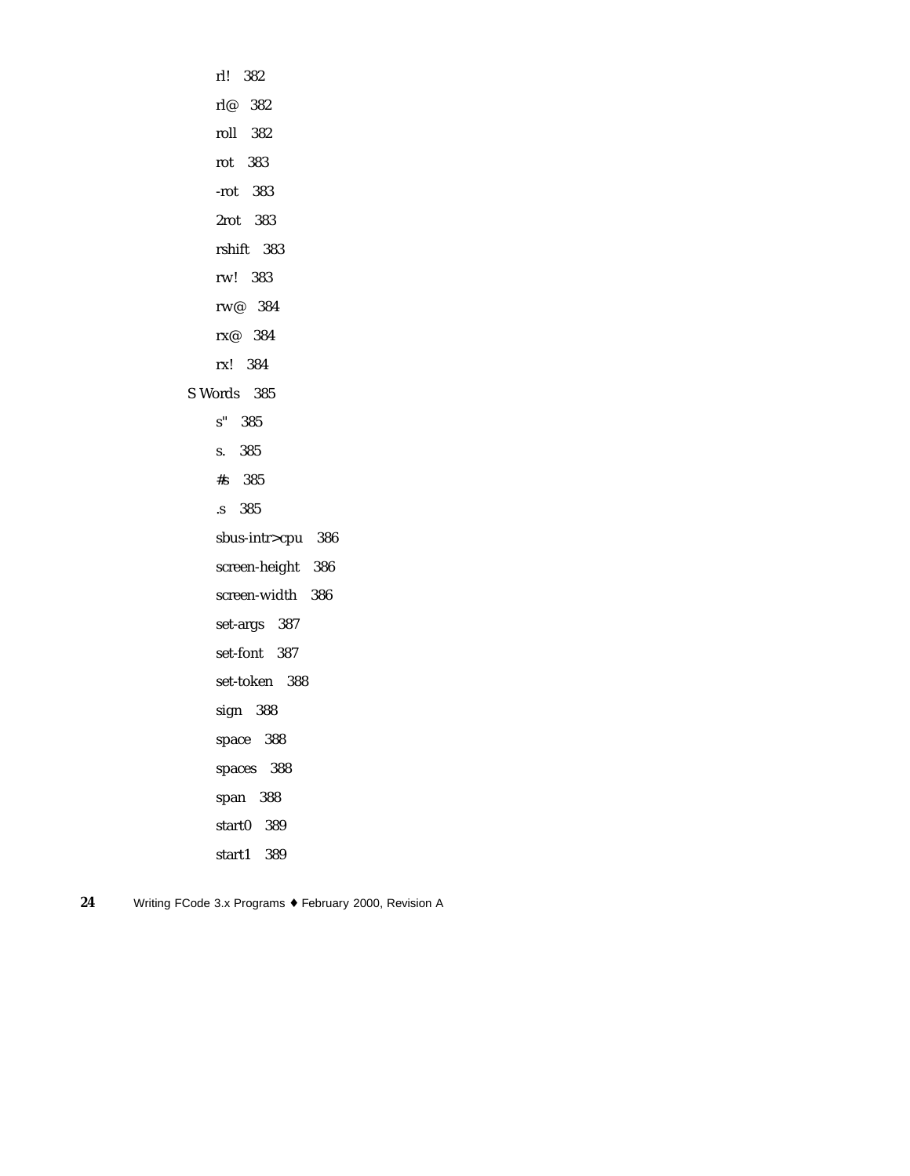rl! 382 rl@ 382 roll 382 rot 383 -rot 383 2rot 383 rshift 383 rw! 383 rw@ 384 rx@ 384 rx! 384 S Words 385 s" 385 s. 385 #s 385 .s 385 sbus-intr>cpu 386 screen-height 386 screen-width 386 set-args 387 set-font 387 set-token 388 sign 388 space 388 spaces 388 span 388 start0 389 start1 389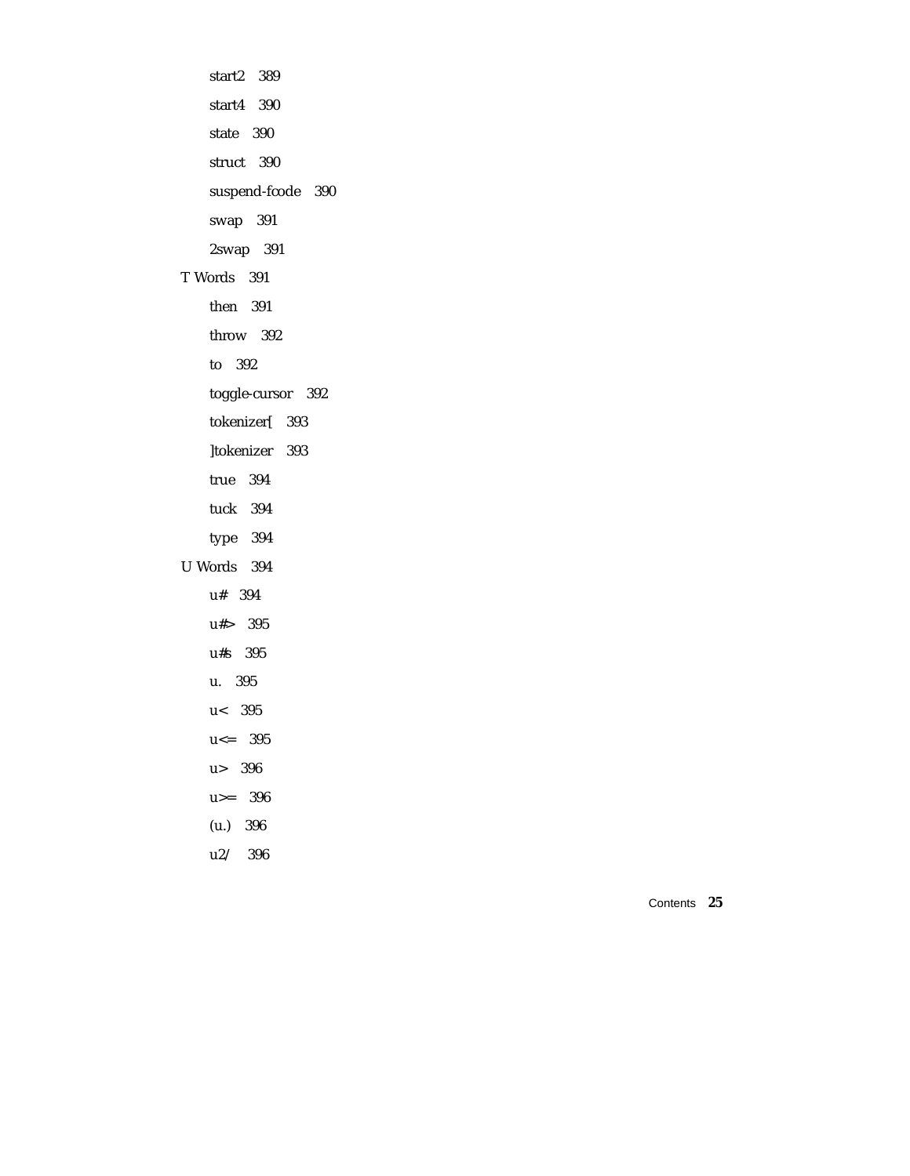start2 389 start4 390 state 390 struct 390 suspend-fcode 390 swap 391 2swap 391 T Words 391 then 391 throw 392 to 392 toggle-cursor 392 tokenizer[ 393 ]tokenizer 393 true 394 tuck 394 type 394 U Words 394 u# 394 u#> 395 u#s 395 u. 395 u< 395 u<= 395 u> 396 u>= 396 (u.) 396 u2/ 396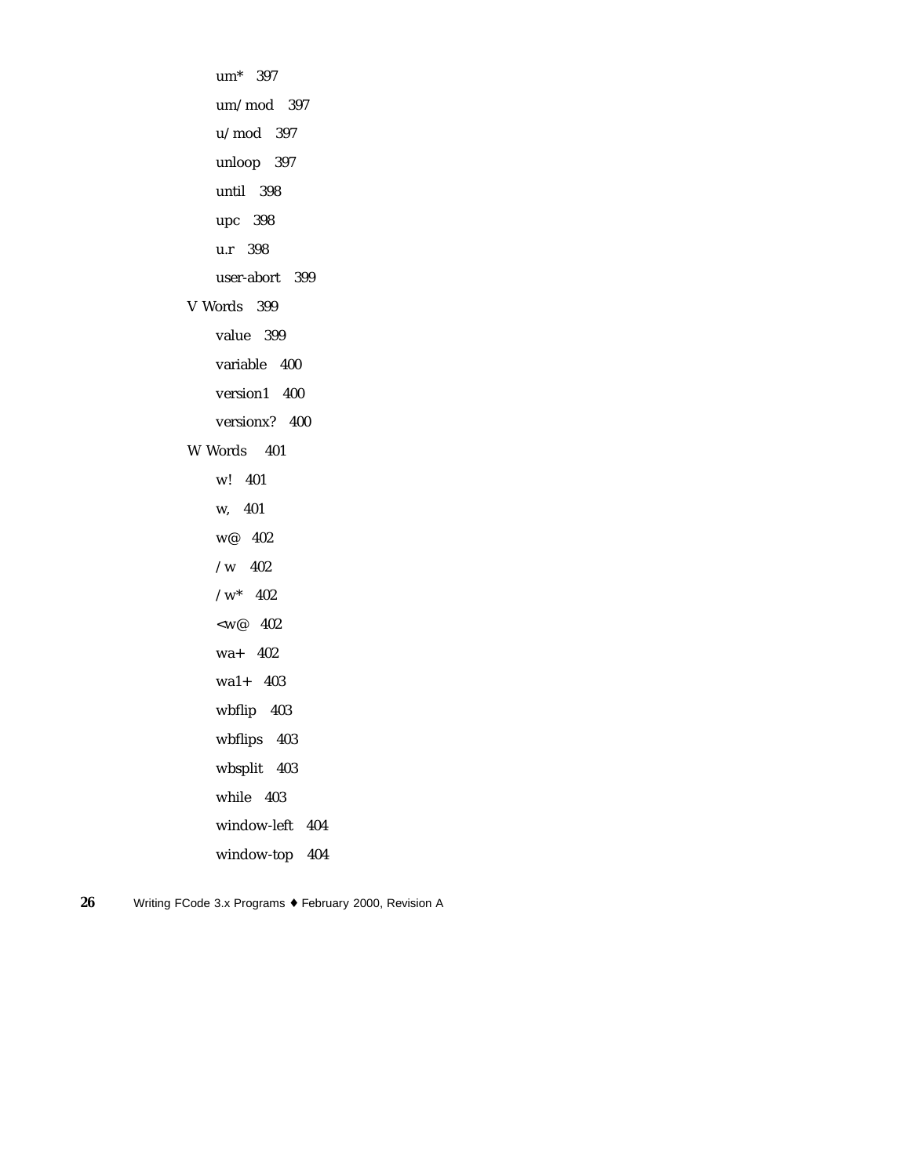um\* 397 um/mod 397 u/mod 397 unloop 397 until 398 upc 398 u.r 398 user-abort 399 V Words 399 value 399 variable 400 version1 400 versionx? 400 W Words 401 w! 401 w, 401 w@ 402 /w 402  $\sqrt{w^*}$  402  $<\!\!w^@$  402 wa+ 402 wa1+ 403 wbflip 403 wbflips 403 wbsplit 403 while 403 window-left 404 window-top 404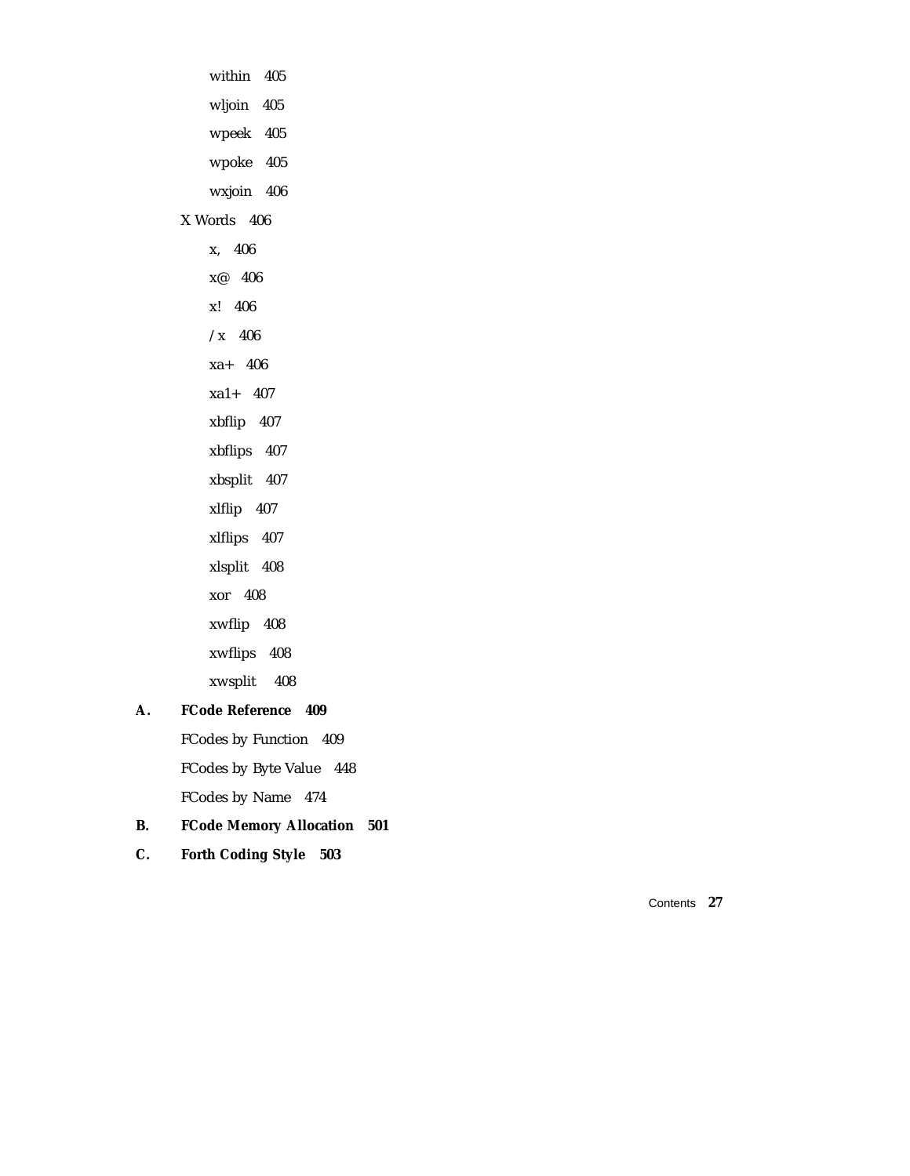within 405 wljoin 405 wpeek 405 wpoke 405 wxjoin 406 X Words 406 x, 406 x@ 406 x! 406  $\overline{X}$  406 xa+ 406 xa1+ 407 xbflip 407 xbflips 407 xbsplit 407 xlflip 407 xlflips 407 xlsplit 408 xor 408 xwflip 408 xwflips 408 xwsplit 408

#### **A. FCode Reference 409**

FCodes by Function 409 FCodes by Byte Value 448 FCodes by Name 474

### **B. FCode Memory Allocation 501**

**C. Forth Coding Style 503**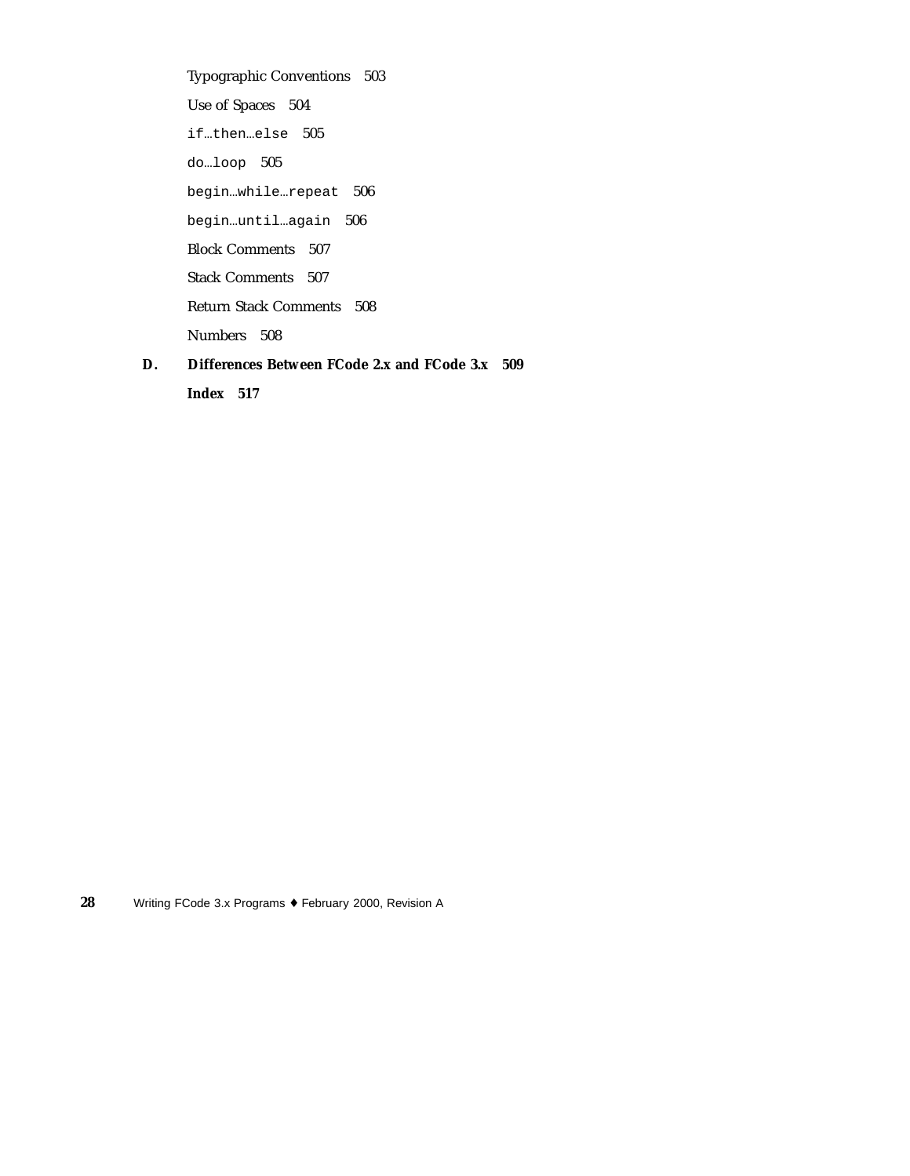Typographic Conventions 503 Use of Spaces 504 if…then…else 505 do…loop 505 begin…while…repeat 506 begin…until…again 506 Block Comments 507 Stack Comments 507 Return Stack Comments 508 Numbers 508 **D. Differences Between FCode 2.x and FCode 3.x 509**

**Index 517**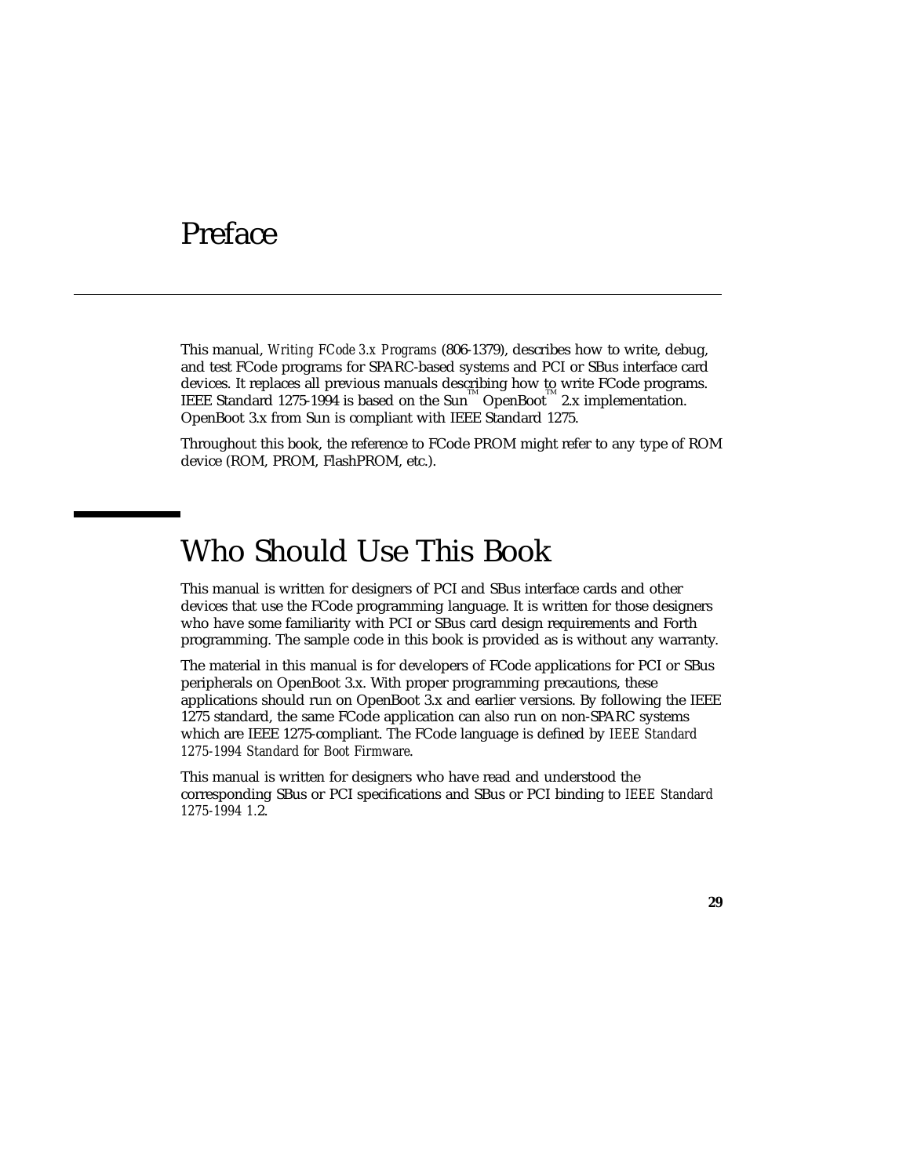### Preface

This manual, *Writing FCode 3.x Programs* (806-1379), describes how to write, debug, and test FCode programs for SPARC-based systems and PCI or SBus interface card devices. It replaces all previous manuals describing how to write FCode programs. IEEE Standard 1275-1994 is based on the Sun<sup>M</sup> OpenBoot<sup>M</sup> 2.x implementation. OpenBoot 3.x from Sun is compliant with IEEE Standard 1275.

Throughout this book, the reference to FCode PROM might refer to any type of ROM device (ROM, PROM, FlashPROM, etc.).

### Who Should Use This Book

This manual is written for designers of PCI and SBus interface cards and other devices that use the FCode programming language. It is written for those designers who have some familiarity with PCI or SBus card design requirements and Forth programming. The sample code in this book is provided as is without any warranty.

The material in this manual is for developers of FCode applications for PCI or SBus peripherals on OpenBoot 3.x. With proper programming precautions, these applications should run on OpenBoot 3.x and earlier versions. By following the IEEE 1275 standard, the same FCode application can also run on non-SPARC systems which are IEEE 1275-compliant. The FCode language is defined by *IEEE Standard 1275-1994 Standard for Boot Firmware*.

This manual is written for designers who have read and understood the corresponding SBus or PCI specifications and SBus or PCI binding to *IEEE Standard 1275-1994 1.*2.

**29**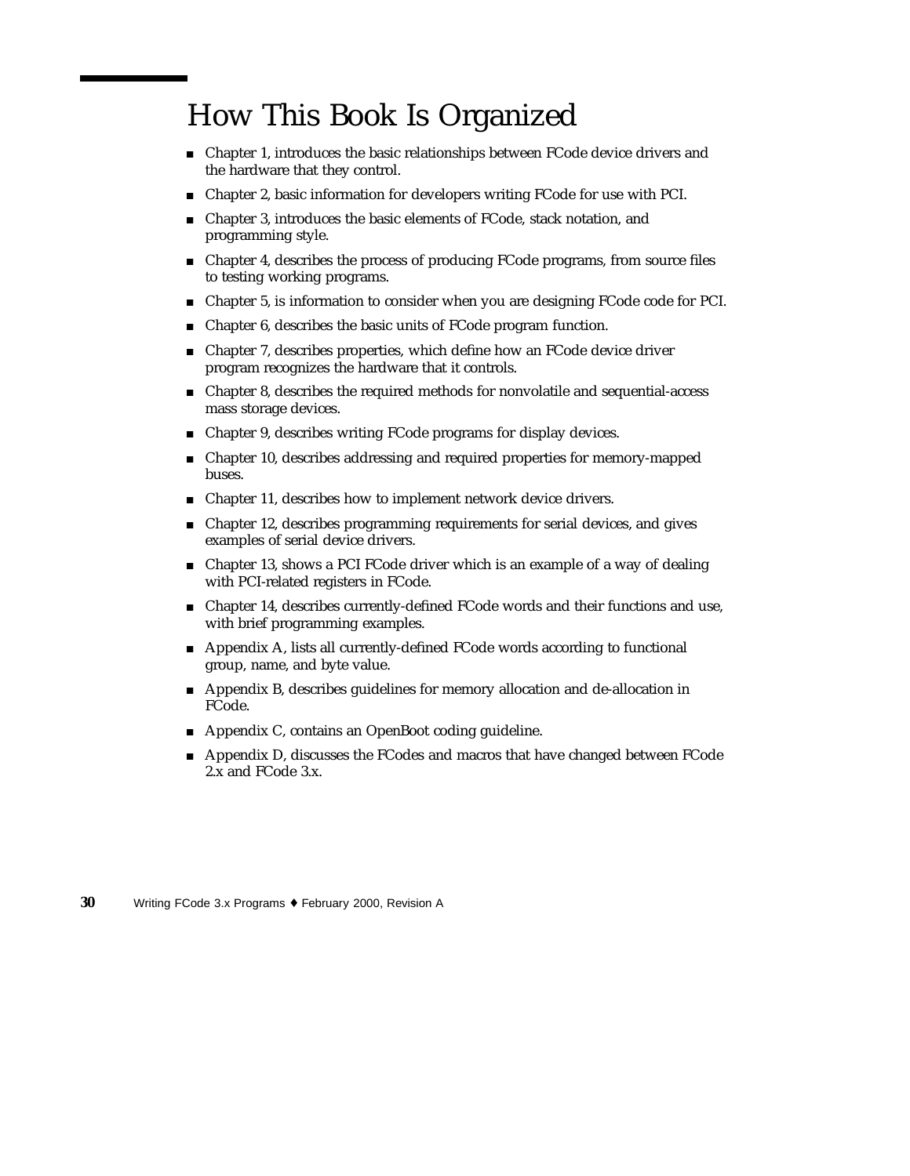### How This Book Is Organized

- Chapter 1, introduces the basic relationships between FCode device drivers and the hardware that they control.
- Chapter 2, basic information for developers writing FCode for use with PCI.
- Chapter 3, introduces the basic elements of FCode, stack notation, and programming style.
- Chapter 4, describes the process of producing FCode programs, from source files to testing working programs.
- Chapter 5, is information to consider when you are designing FCode code for PCI.
- Chapter 6, describes the basic units of FCode program function.
- Chapter 7, describes properties, which define how an FCode device driver program recognizes the hardware that it controls.
- Chapter 8, describes the required methods for nonvolatile and sequential-access mass storage devices.
- Chapter 9, describes writing FCode programs for display devices.
- Chapter 10, describes addressing and required properties for memory-mapped buses.
- Chapter 11, describes how to implement network device drivers.
- Chapter 12, describes programming requirements for serial devices, and gives examples of serial device drivers.
- Chapter 13, shows a PCI FCode driver which is an example of a way of dealing with PCI-related registers in FCode.
- Chapter 14, describes currently-defined FCode words and their functions and use, with brief programming examples.
- Appendix A, lists all currently-defined FCode words according to functional group, name, and byte value.
- Appendix B, describes guidelines for memory allocation and de-allocation in FCode.
- Appendix C, contains an OpenBoot coding guideline.
- Appendix D, discusses the FCodes and macros that have changed between FCode 2.x and FCode 3.x.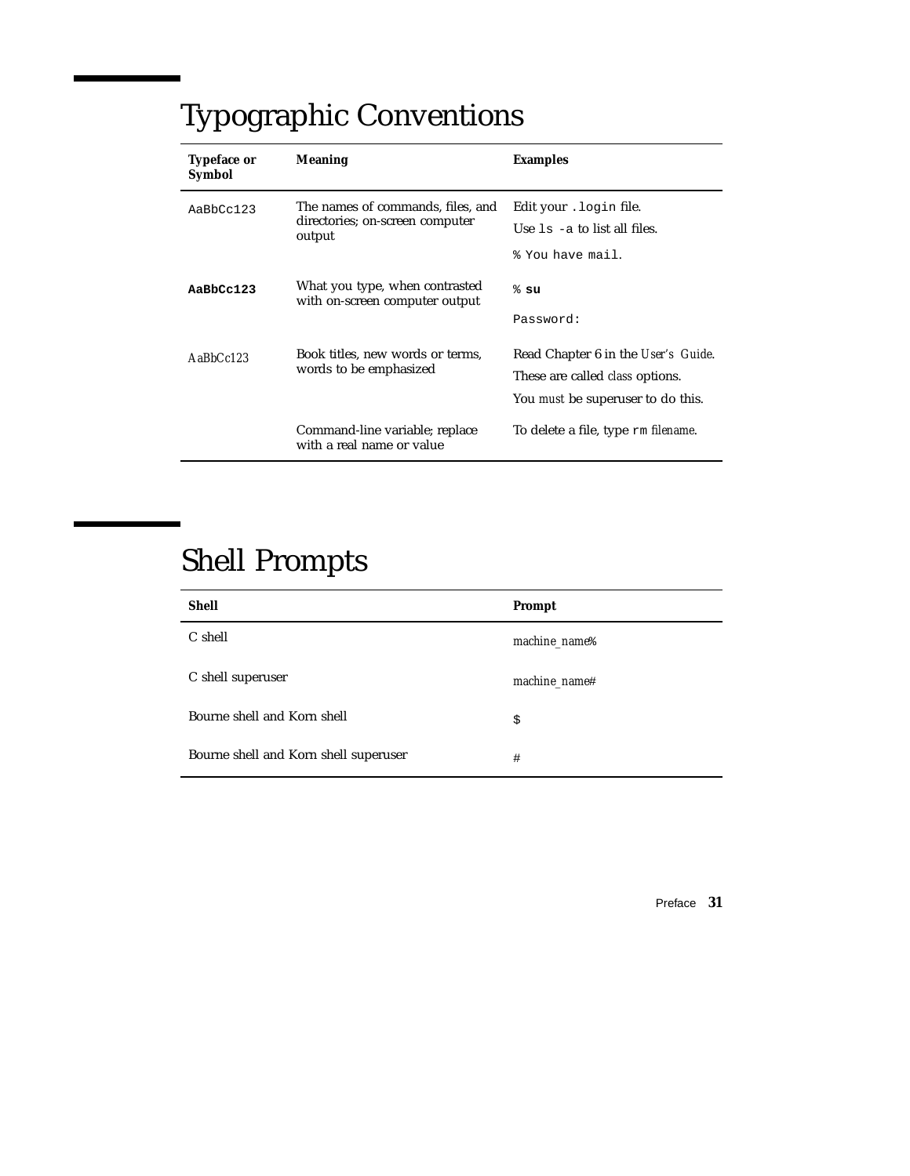# Typographic Conventions

| <b>Typeface or</b><br><b>Symbol</b> | <b>Meaning</b>                                                                 | <b>Examples</b>                                                                                                           |
|-------------------------------------|--------------------------------------------------------------------------------|---------------------------------------------------------------------------------------------------------------------------|
| AaBbCc123                           | The names of commands, files, and<br>directories; on-screen computer<br>output | Edit your . login file.<br>Use $1s - a$ to list all files.<br>% You have mail.                                            |
| $A$ a $Bb$ Cc $123$                 | What you type, when contrasted<br>with on-screen computer output               | $%$ su<br>Password:                                                                                                       |
| $A$ a $B$ h $Cc$ 123                | Book titles, new words or terms,<br>words to be emphasized                     | Read Chapter 6 in the User's Guide.<br>These are called <i>class</i> options.<br>You <i>must</i> be superuser to do this. |
|                                     | Command-line variable; replace<br>with a real name or value                    | To delete a file, type rm <i>filename</i> .                                                                               |

# Shell Prompts

| <b>Shell</b>                          | Prompt                    |
|---------------------------------------|---------------------------|
| C shell                               | machine_name <sup>§</sup> |
| C shell superuser                     | machine_name#             |
| Bourne shell and Korn shell           | \$                        |
| Bourne shell and Korn shell superuser | #                         |

Preface **31**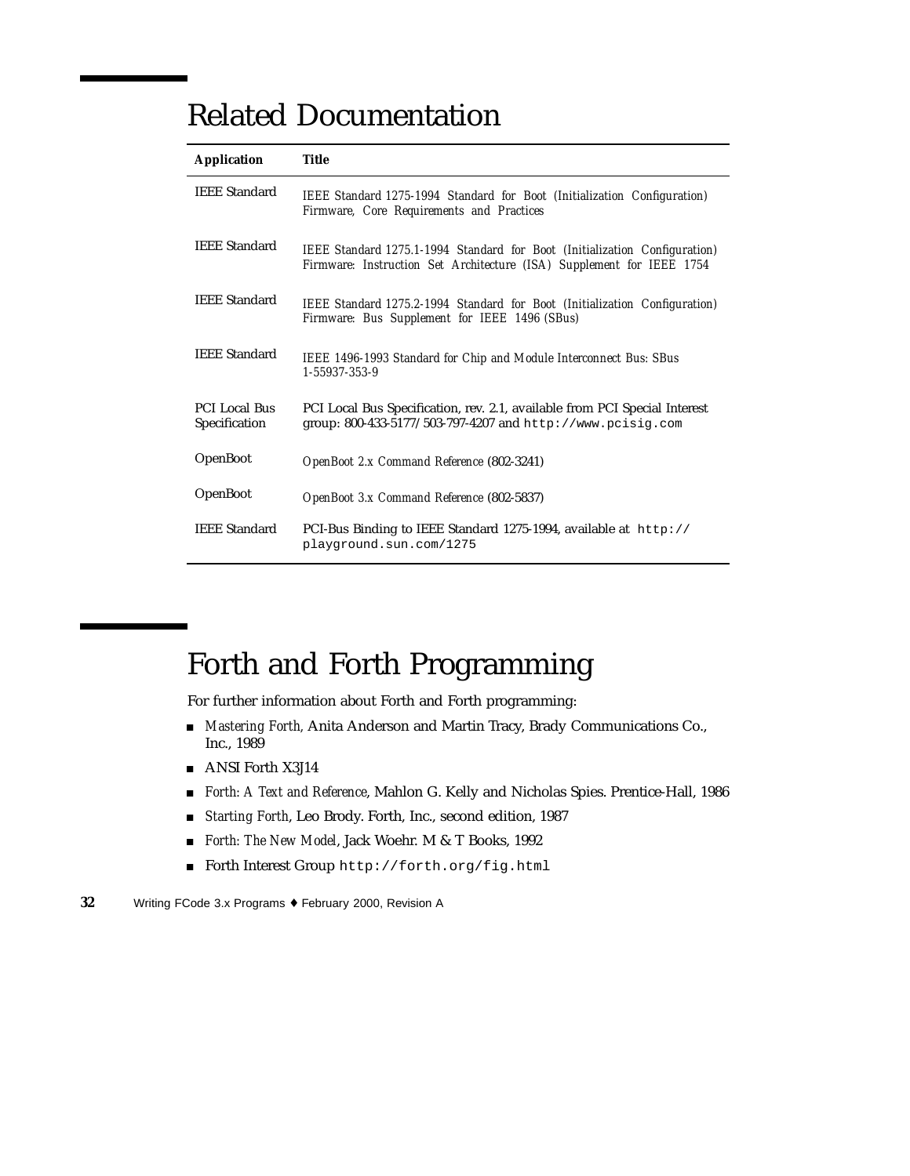### Related Documentation

| <b>Application</b>                    | Title                                                                                                                                               |
|---------------------------------------|-----------------------------------------------------------------------------------------------------------------------------------------------------|
| <b>IEEE Standard</b>                  | IEEE Standard 1275-1994 Standard for Boot (Initialization Configuration)<br>Firmware, Core Requirements and Practices                               |
| <b>IEEE Standard</b>                  | IEEE Standard 1275.1-1994 Standard for Boot (Initialization Configuration)<br>Firmware: Instruction Set Architecture (ISA) Supplement for IEEE 1754 |
| <b>IEEE Standard</b>                  | IEEE Standard 1275.2-1994 Standard for Boot (Initialization Configuration)<br>Firmware: Bus Supplement for IEEE 1496 (SBus)                         |
| <b>IEEE Standard</b>                  | IEEE 1496-1993 Standard for Chip and Module Interconnect Bus: SBus<br>1-55937-353-9                                                                 |
| <b>PCI Local Bus</b><br>Specification | PCI Local Bus Specification, rev. 2.1, available from PCI Special Interest<br>group: 800-433-5177/503-797-4207 and http://www.pcisig.com            |
| <b>OpenBoot</b>                       | OpenBoot 2.x Command Reference (802-3241)                                                                                                           |
| OpenBoot                              | OpenBoot 3.x Command Reference (802-5837)                                                                                                           |
| <b>IEEE Standard</b>                  | PCI-Bus Binding to IEEE Standard 1275-1994, available at $h_{\text{t}}/l$<br>playground.sun.com/1275                                                |

# Forth and Forth Programming

For further information about Forth and Forth programming:

- *Mastering Forth,* Anita Anderson and Martin Tracy, Brady Communications Co., Inc., 1989
- ANSI Forth X3J14
- *Forth: A Text and Reference*, Mahlon G. Kelly and Nicholas Spies. Prentice-Hall, 1986
- *Starting Forth*, Leo Brody. Forth, Inc., second edition, 1987
- *Forth: The New Model*, Jack Woehr. M & T Books, 1992
- Forth Interest Group http://forth.org/fig.html

**<sup>32</sup>** Writing FCode 3.x Programs ♦ February 2000, Revision A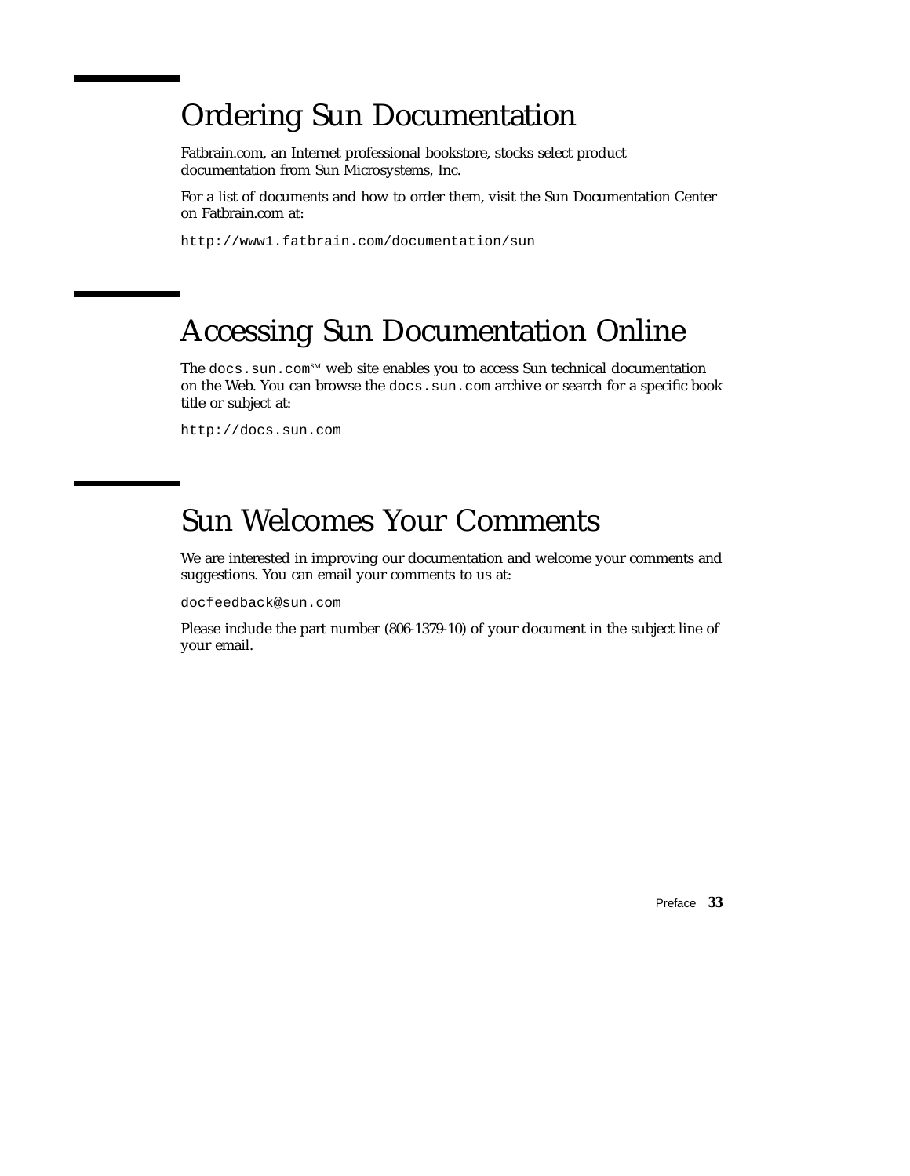### Ordering Sun Documentation

Fatbrain.com, an Internet professional bookstore, stocks select product documentation from Sun Microsystems, Inc.

For a list of documents and how to order them, visit the Sun Documentation Center on Fatbrain.com at:

http://www1.fatbrain.com/documentation/sun

### Accessing Sun Documentation Online

The docs.sun.com<sup>SM</sup> web site enables you to access Sun technical documentation on the Web. You can browse the docs.sun.com archive or search for a specific book title or subject at:

http://docs.sun.com

## Sun Welcomes Your Comments

We are interested in improving our documentation and welcome your comments and suggestions. You can email your comments to us at:

docfeedback@sun.com

Please include the part number (806-1379-10) of your document in the subject line of your email.

Preface **33**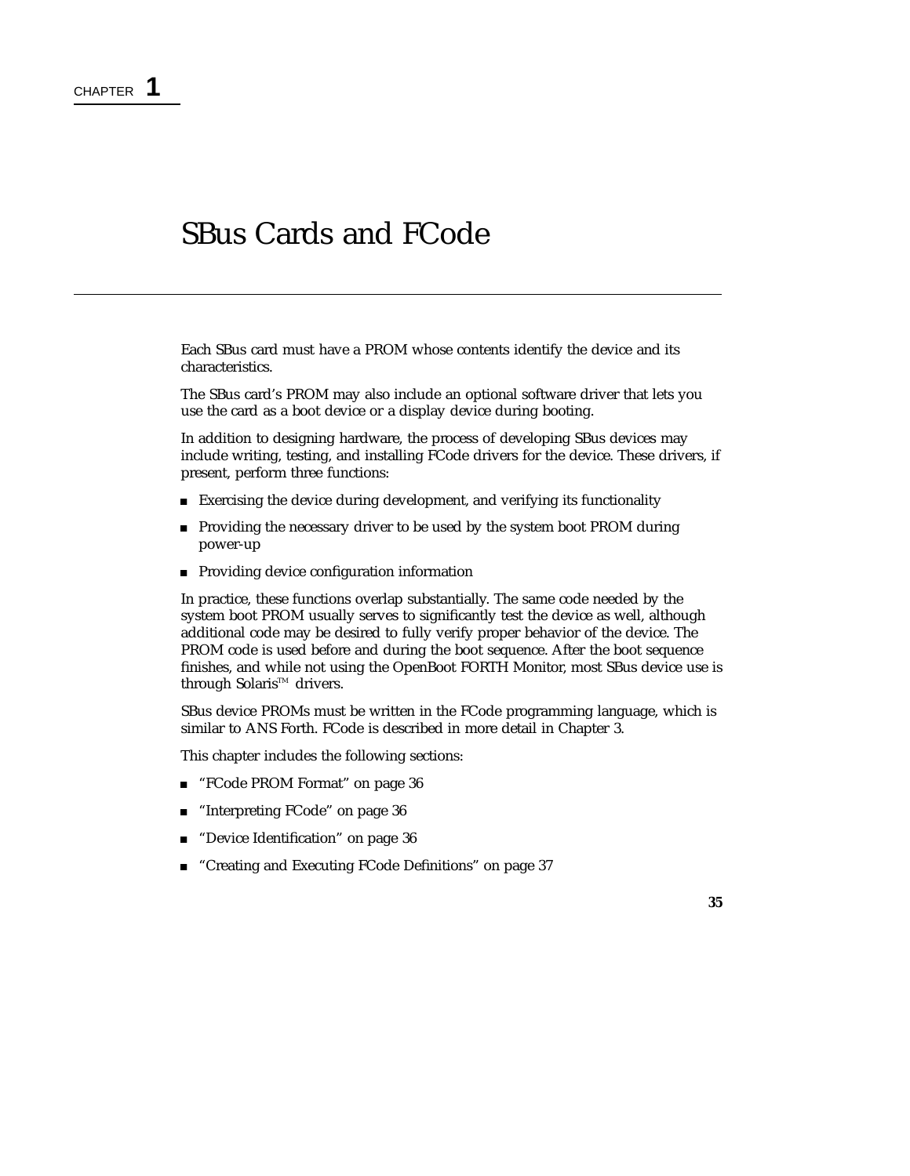### SBus Cards and FCode

Each SBus card must have a PROM whose contents identify the device and its characteristics.

The SBus card's PROM may also include an optional software driver that lets you use the card as a boot device or a display device during booting.

In addition to designing hardware, the process of developing SBus devices may include writing, testing, and installing FCode drivers for the device. These drivers, if present, perform three functions:

- Exercising the device during development, and verifying its functionality
- **Providing the necessary driver to be used by the system boot PROM during** power-up
- **Providing device configuration information**

In practice, these functions overlap substantially. The same code needed by the system boot PROM usually serves to significantly test the device as well, although additional code may be desired to fully verify proper behavior of the device. The PROM code is used before and during the boot sequence. After the boot sequence finishes, and while not using the OpenBoot FORTH Monitor, most SBus device use is through Solaris™ drivers.

SBus device PROMs must be written in the FCode programming language, which is similar to ANS Forth. FCode is described in more detail in Chapter 3.

This chapter includes the following sections:

- "FCode PROM Format" on page 36
- "Interpreting FCode" on page 36
- "Device Identification" on page 36
- "Creating and Executing FCode Definitions" on page 37

**35**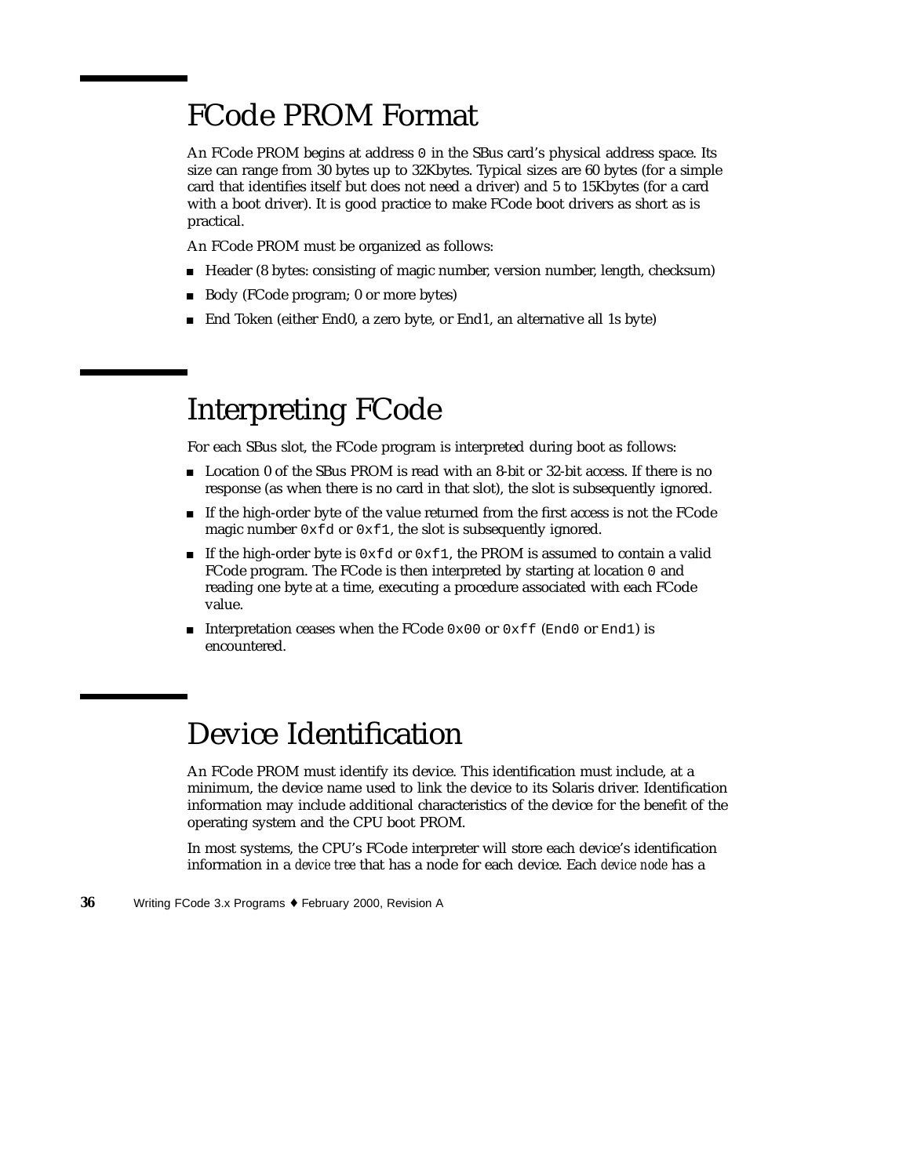### FCode PROM Format

An FCode PROM begins at address 0 in the SBus card's physical address space. Its size can range from 30 bytes up to 32Kbytes. Typical sizes are 60 bytes (for a simple card that identifies itself but does not need a driver) and 5 to 15Kbytes (for a card with a boot driver). It is good practice to make FCode boot drivers as short as is practical.

An FCode PROM must be organized as follows:

- Header (8 bytes: consisting of magic number, version number, length, checksum)
- Body (FCode program; 0 or more bytes)
- End Token (either End0, a zero byte, or End1, an alternative all 1s byte)

### Interpreting FCode

For each SBus slot, the FCode program is interpreted during boot as follows:

- **Location 0 of the SBus PROM is read with an 8-bit or 32-bit access. If there is no** response (as when there is no card in that slot), the slot is subsequently ignored.
- If the high-order byte of the value returned from the first access is not the FCode magic number 0xfd or 0xf1, the slot is subsequently ignored.
- If the high-order byte is  $0 \times f d$  or  $0 \times f 1$ , the PROM is assumed to contain a valid FCode program. The FCode is then interpreted by starting at location 0 and reading one byte at a time, executing a procedure associated with each FCode value.
- Interpretation ceases when the FCode  $0 \times 00$  or  $0 \times f f$  (End0 or End1) is encountered.

### Device Identification

An FCode PROM must identify its device. This identification must include, at a minimum, the device name used to link the device to its Solaris driver. Identification information may include additional characteristics of the device for the benefit of the operating system and the CPU boot PROM.

In most systems, the CPU's FCode interpreter will store each device's identification information in a *device tree* that has a node for each device. Each *device node* has a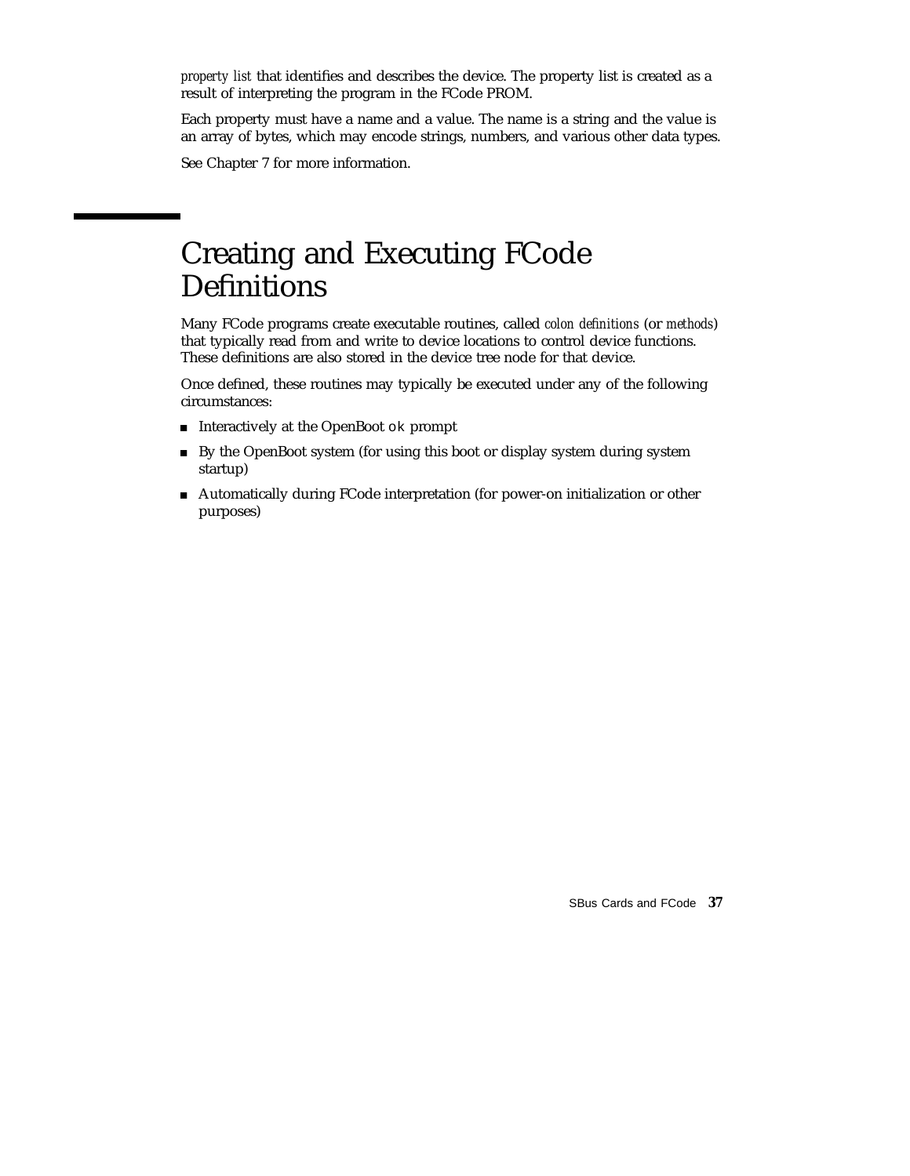*property list* that identifies and describes the device. The property list is created as a result of interpreting the program in the FCode PROM.

Each property must have a name and a value. The name is a string and the value is an array of bytes, which may encode strings, numbers, and various other data types.

See Chapter 7 for more information.

## Creating and Executing FCode Definitions

Many FCode programs create executable routines, called *colon definitions* (or *methods*) that typically read from and write to device locations to control device functions. These definitions are also stored in the device tree node for that device.

Once defined, these routines may typically be executed under any of the following circumstances:

- Interactively at the OpenBoot ok prompt
- By the OpenBoot system (for using this boot or display system during system startup)
- Automatically during FCode interpretation (for power-on initialization or other purposes)

SBus Cards and FCode **37**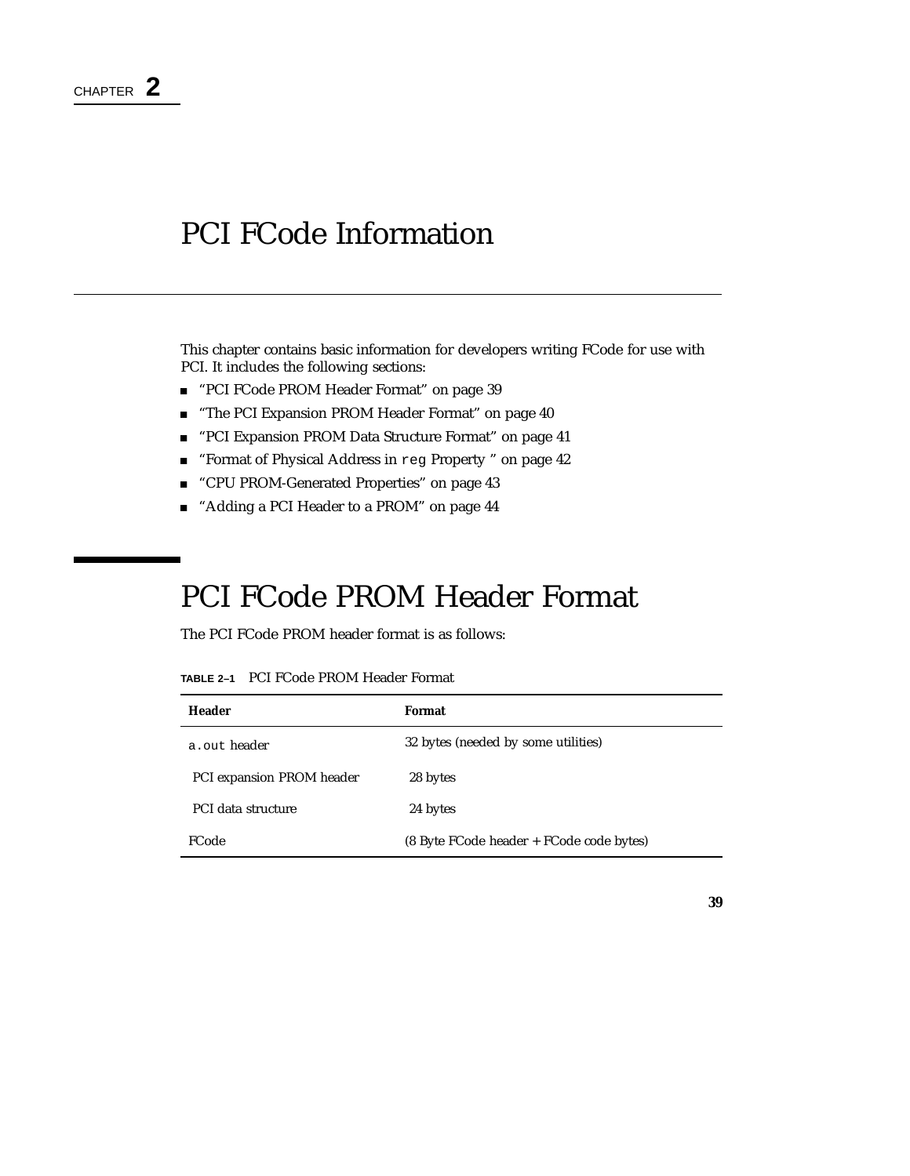## PCI FCode Information

This chapter contains basic information for developers writing FCode for use with PCI. It includes the following sections:

- "PCI FCode PROM Header Format" on page 39
- **The PCI Expansion PROM Header Format" on page 40**
- "PCI Expansion PROM Data Structure Format" on page 41
- "Format of Physical Address in reg Property " on page 42
- "CPU PROM-Generated Properties" on page 43
- "Adding a PCI Header to a PROM" on page 44

# PCI FCode PROM Header Format

The PCI FCode PROM header format is as follows:

|  | <b>TABLE 2–1</b> PCI FCode PROM Header Format |
|--|-----------------------------------------------|
|--|-----------------------------------------------|

| Header                    | Format                                   |
|---------------------------|------------------------------------------|
| a, out, header            | 32 bytes (needed by some utilities)      |
| PCI expansion PROM header | 28 bytes                                 |
| PCI data structure        | 24 bytes                                 |
| FCode                     | (8 Byte FCode header + FCode code bytes) |

**39**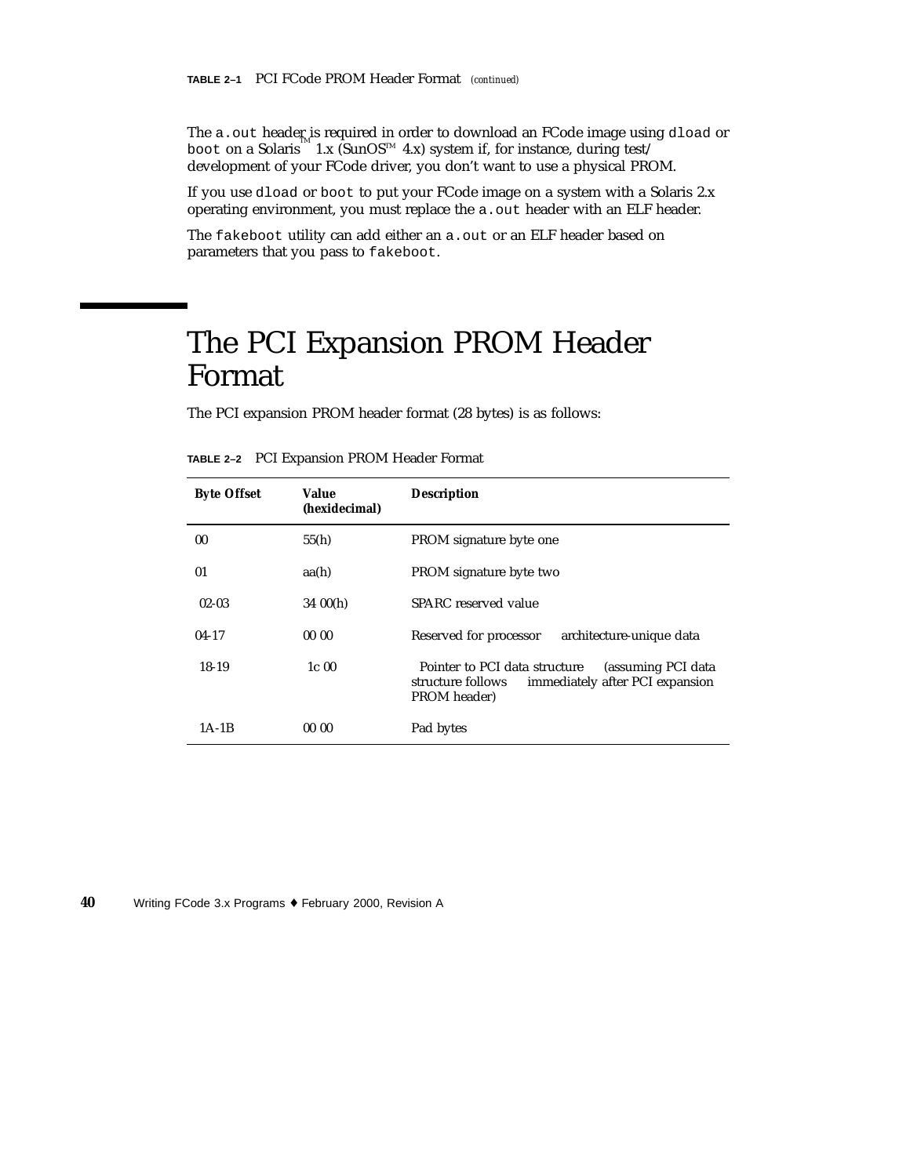The a.out header is required in order to download an FCode image using dload or boot on a Solaris  $\sum_{m=1}^{\infty} 1 \cdot x$  (SunOS<sup>TM</sup> 4.x) system if, for instance, during test/ development of your FCode driver, you don't want to use a physical PROM.

If you use dload or boot to put your FCode image on a system with a Solaris 2.x operating environment, you must replace the a.out header with an ELF header.

The fakeboot utility can add either an a.out or an ELF header based on parameters that you pass to fakeboot.

# The PCI Expansion PROM Header Format

The PCI expansion PROM header format (28 bytes) is as follows:

| <b>Byte Offset</b> | Value<br>(hexidecimal) | <b>Description</b>                                                                                                          |
|--------------------|------------------------|-----------------------------------------------------------------------------------------------------------------------------|
| 00                 | 55(h)                  | PROM signature byte one                                                                                                     |
| 01                 | aa(h)                  | PROM signature byte two                                                                                                     |
| $02 - 03$          | 3400(h)                | SPARC reserved value                                                                                                        |
| $04-17$            | 0000                   | Reserved for processor<br>architecture-unique data                                                                          |
| 18-19              | 1c <sub>00</sub>       | Pointer to PCI data structure<br>(assuming PCI data<br>immediately after PCI expansion<br>structure follows<br>PROM header) |
| 1A-1B              | 0000                   | Pad bytes                                                                                                                   |

**TABLE 2–2** PCI Expansion PROM Header Format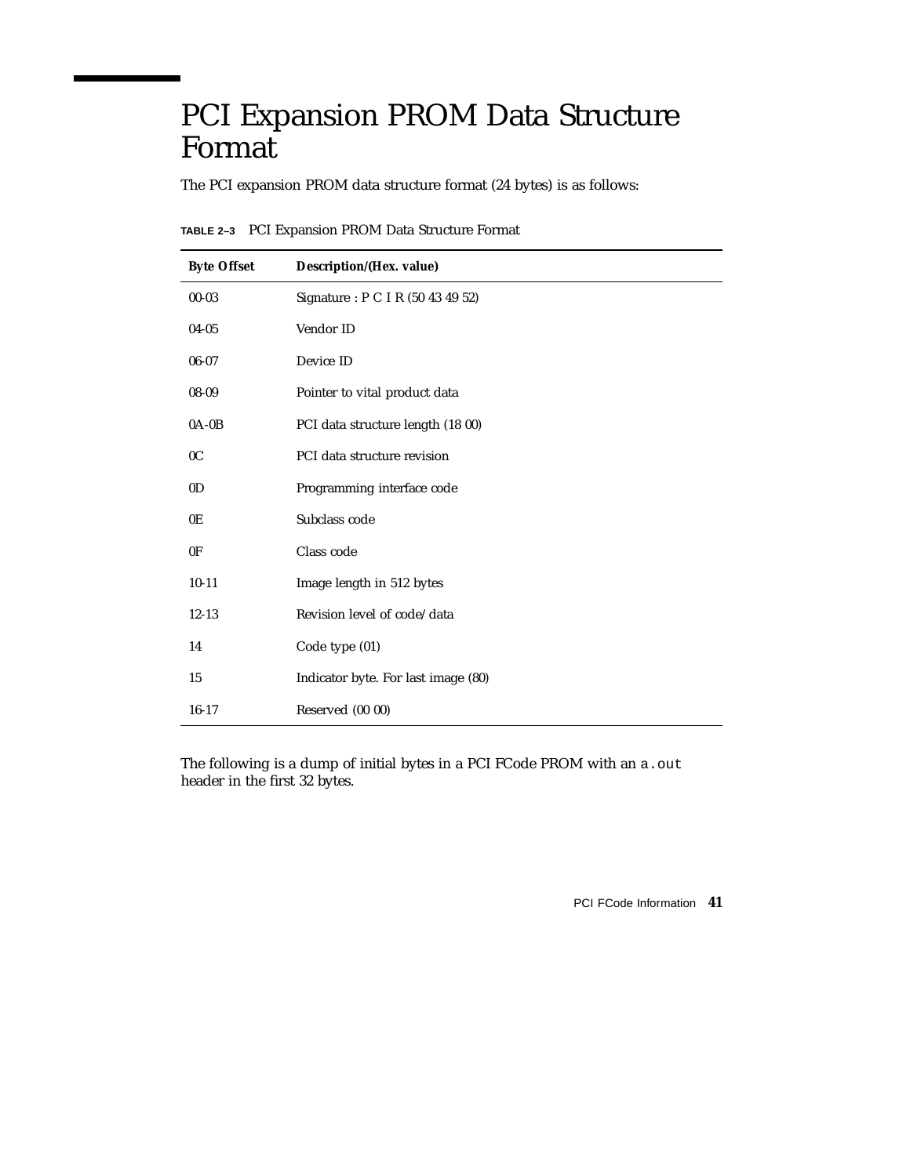# PCI Expansion PROM Data Structure Format

The PCI expansion PROM data structure format (24 bytes) is as follows:

| <b>Byte Offset</b> | Description/(Hex. value)            |
|--------------------|-------------------------------------|
| $00 - 03$          | Signature: P C I R (50 43 49 52)    |
| $04 - 05$          | Vendor ID                           |
| $06 - 07$          | Device ID                           |
| 08-09              | Pointer to vital product data       |
| $0A-0B$            | PCI data structure length (18 00)   |
| 0 <sup>C</sup>     | PCI data structure revision         |
| 0 <sub>D</sub>     | Programming interface code          |
| 0E                 | Subclass code                       |
| 0F                 | Class code                          |
| $10 - 11$          | Image length in 512 bytes           |
| $12 - 13$          | Revision level of code/data         |
| 14                 | Code type (01)                      |
| 15                 | Indicator byte. For last image (80) |
| $16-17$            | Reserved (00 00)                    |

**TABLE 2–3** PCI Expansion PROM Data Structure Format

The following is a dump of initial bytes in a PCI FCode PROM with an a.out header in the first 32 bytes.

PCI FCode Information **41**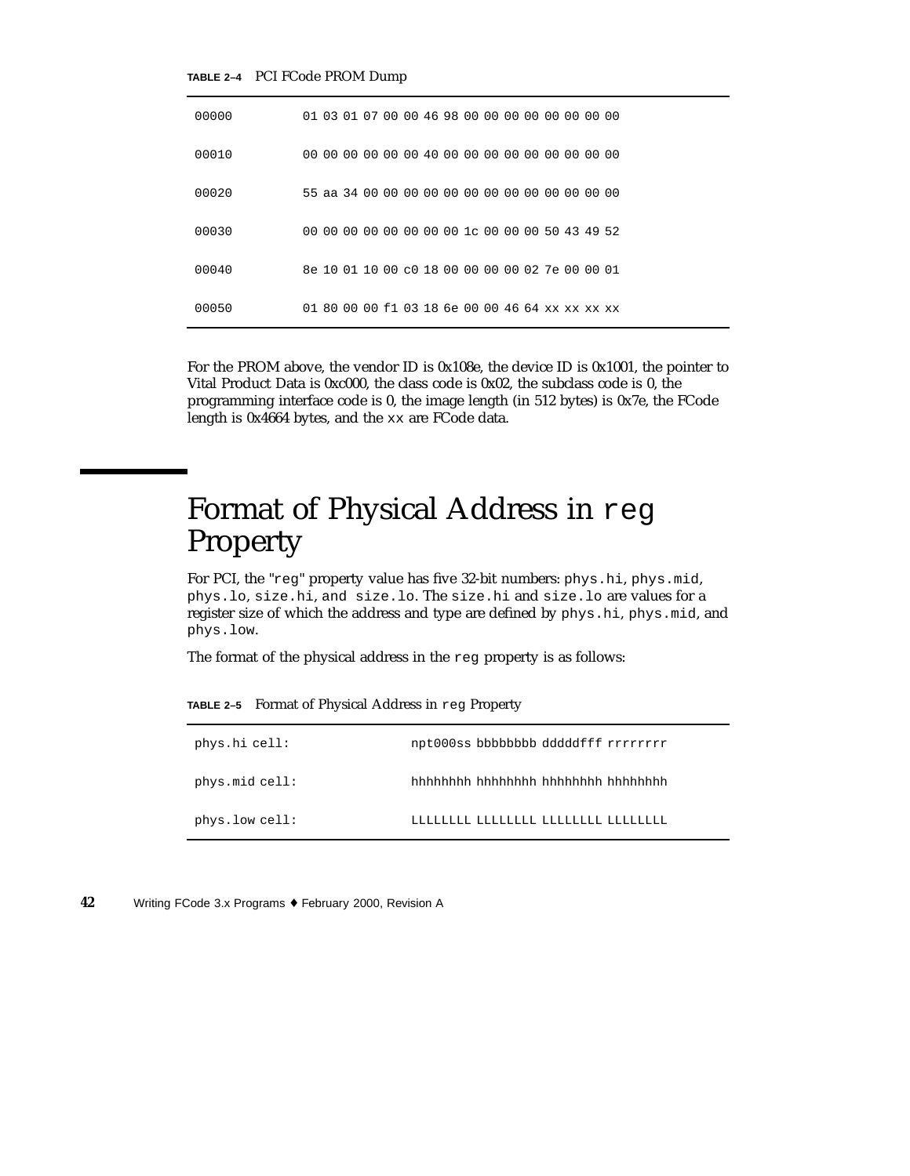#### **TABLE 2–4** PCI FCode PROM Dump

| 00000 | 01 03 01 07 00 00 46 98 00 00 00 00 00 00 00 00 |  |  |  |  |  |  |  |
|-------|-------------------------------------------------|--|--|--|--|--|--|--|
| 00010 |                                                 |  |  |  |  |  |  |  |
| 00020 |                                                 |  |  |  |  |  |  |  |
| 00030 | 00 00 00 00 00 00 00 00 1c 00 00 00 50 43 49 52 |  |  |  |  |  |  |  |
| 00040 | 8e 10 01 10 00 c0 18 00 00 00 00 02 7e 00 00 01 |  |  |  |  |  |  |  |
| 00050 | 01 80 00 00 f1 03 18 6e 00 00 46 64 xx xx xx xx |  |  |  |  |  |  |  |

For the PROM above, the vendor ID is 0x108e, the device ID is 0x1001, the pointer to Vital Product Data is 0xc000, the class code is 0x02, the subclass code is 0, the programming interface code is 0, the image length (in 512 bytes) is 0x7e, the FCode length is 0x4664 bytes, and the xx are FCode data.

## Format of Physical Address in reg Property

For PCI, the "reg" property value has five 32-bit numbers: phys.hi, phys.mid, phys.lo, size.hi, and size.lo. The size.hi and size.lo are values for a register size of which the address and type are defined by phys.hi, phys.mid, and phys.low.

The format of the physical address in the reg property is as follows:

**TABLE 2–5** Format of Physical Address in reg Property

| phys.hi cell:  | npt000ss bbbbbbbbb dddddfff rrrrrrrr |
|----------------|--------------------------------------|
| phys.mid cell: | hhhhhhhh hhhhhhh hhhhhhh hhhhhhhh    |
| phys.low cell: |                                      |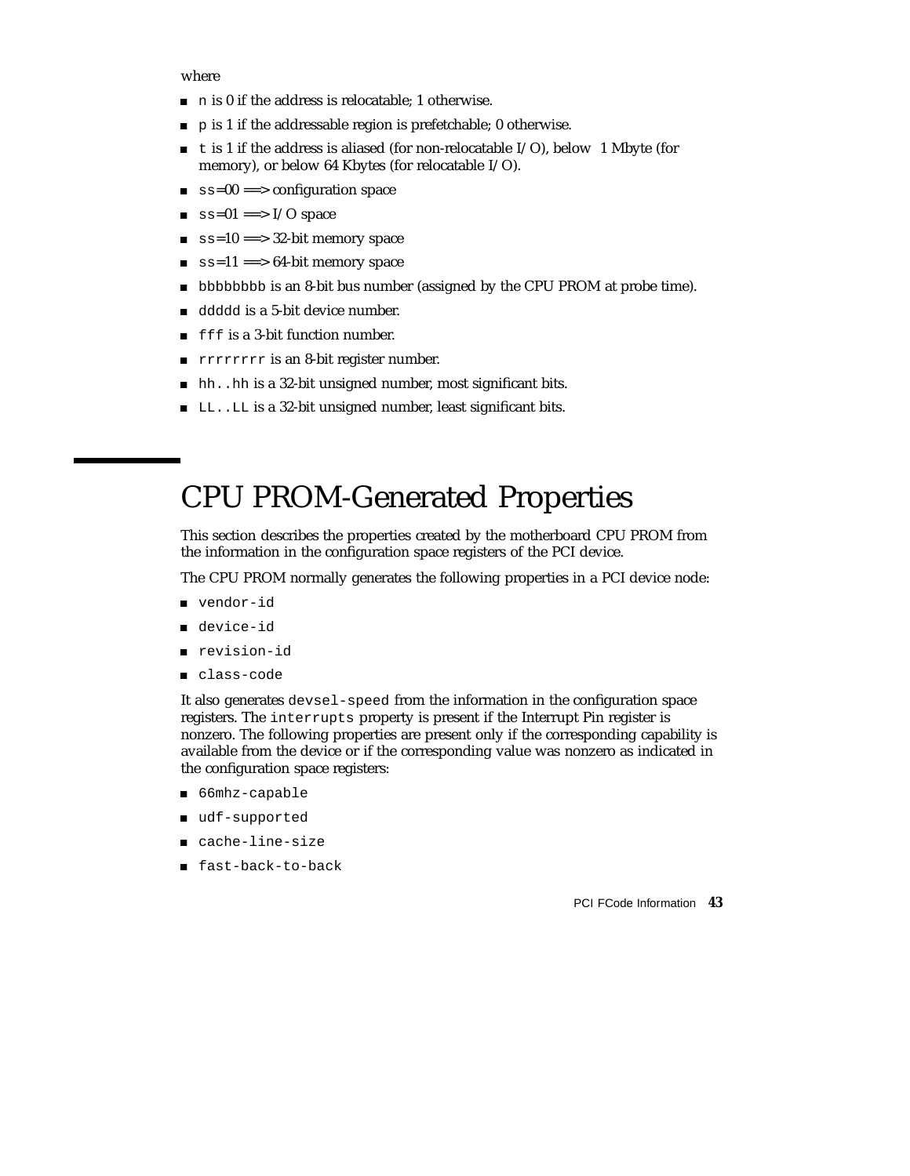where

- n is 0 if the address is relocatable; 1 otherwise.
- $\Box$  p is 1 if the addressable region is prefetchable; 0 otherwise.
- $\blacksquare$  t is 1 if the address is aliased (for non-relocatable I/O), below 1 Mbyte (for memory), or below 64 Kbytes (for relocatable I/O).
- ss=00 ==> configuration space
- $\Box$  ss=01 = = > I/O space
- $ss=10 ==$  32-bit memory space
- $\equiv$  ss=11 = = > 64-bit memory space
- bbbbbbbb is an 8-bit bus number (assigned by the CPU PROM at probe time).
- ddddd is a 5-bit device number.
- fff is a 3-bit function number.
- **rrrrrrrr** is an 8-bit register number.
- hh..hh is a 32-bit unsigned number, most significant bits.
- LL..LL is a 32-bit unsigned number, least significant bits.

# CPU PROM-Generated Properties

This section describes the properties created by the motherboard CPU PROM from the information in the configuration space registers of the PCI device.

The CPU PROM normally generates the following properties in a PCI device node:

- vendor-id
- device-id
- revision-id
- class-code

It also generates devsel-speed from the information in the configuration space registers. The interrupts property is present if the Interrupt Pin register is nonzero. The following properties are present only if the corresponding capability is available from the device or if the corresponding value was nonzero as indicated in the configuration space registers:

- 66mhz-capable
- udf-supported
- cache-line-size
- fast-back-to-back

PCI FCode Information **43**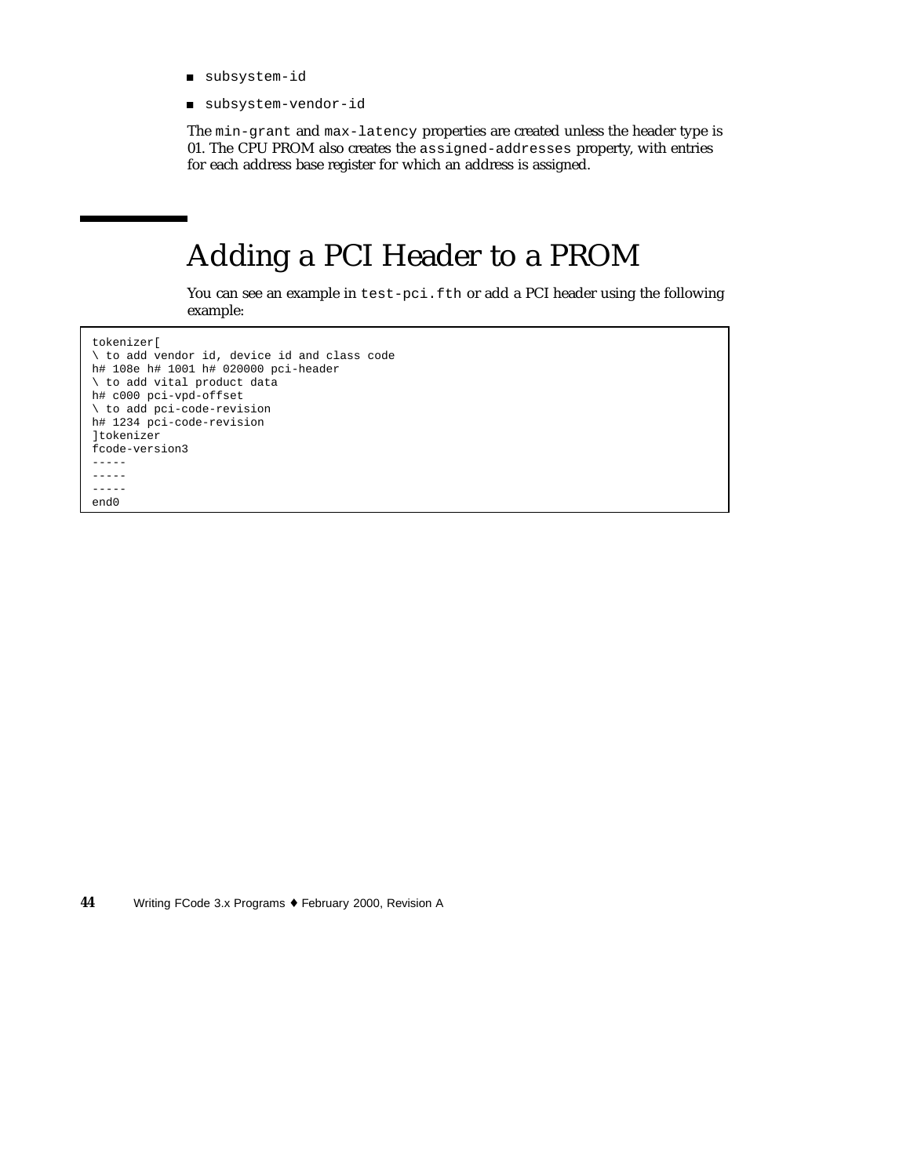- subsystem-id
- subsystem-vendor-id

The min-grant and max-latency properties are created unless the header type is 01. The CPU PROM also creates the assigned-addresses property, with entries for each address base register for which an address is assigned.

# Adding a PCI Header to a PROM

You can see an example in test-pci.fth or add a PCI header using the following example:

tokenizer[ \ to add vendor id, device id and class code h# 108e h# 1001 h# 020000 pci-header \ to add vital product data h# c000 pci-vpd-offset \ to add pci-code-revision h# 1234 pci-code-revision ]tokenizer fcode-version3 ----- ----- ---- end0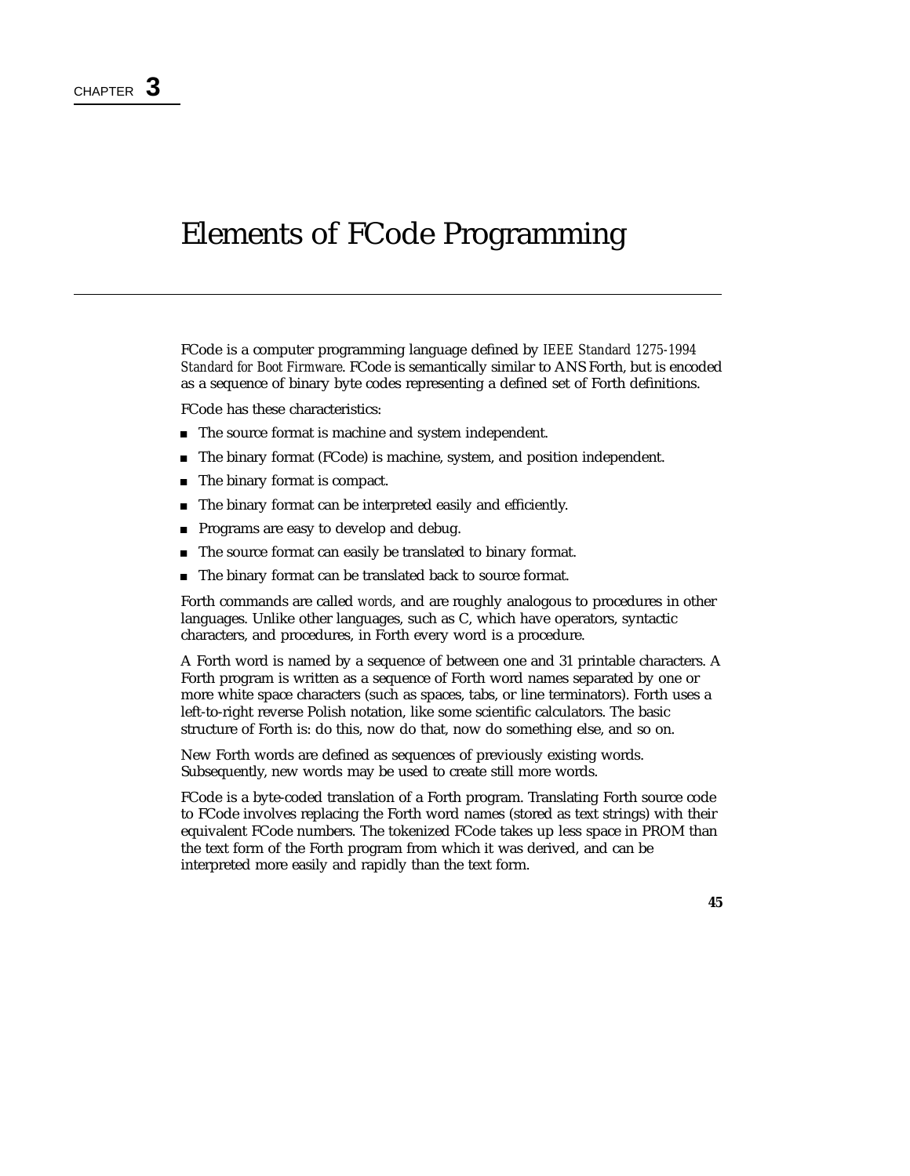## Elements of FCode Programming

FCode is a computer programming language defined by *IEEE Standard 1275-1994 Standard for Boot Firmware*. FCode is semantically similar to ANS Forth, but is encoded as a sequence of binary byte codes representing a defined set of Forth definitions.

FCode has these characteristics:

- The source format is machine and system independent.
- The binary format (FCode) is machine, system, and position independent.
- The binary format is compact.
- The binary format can be interpreted easily and efficiently.
- **Programs are easy to develop and debug.**
- The source format can easily be translated to binary format.
- The binary format can be translated back to source format.

Forth commands are called *words*, and are roughly analogous to procedures in other languages. Unlike other languages, such as C, which have operators, syntactic characters, and procedures, in Forth every word is a procedure.

A Forth word is named by a sequence of between one and 31 printable characters. A Forth program is written as a sequence of Forth word names separated by one or more white space characters (such as spaces, tabs, or line terminators). Forth uses a left-to-right reverse Polish notation, like some scientific calculators. The basic structure of Forth is: do this, now do that, now do something else, and so on.

New Forth words are defined as sequences of previously existing words. Subsequently, new words may be used to create still more words.

FCode is a byte-coded translation of a Forth program. Translating Forth source code to FCode involves replacing the Forth word names (stored as text strings) with their equivalent FCode numbers. The tokenized FCode takes up less space in PROM than the text form of the Forth program from which it was derived, and can be interpreted more easily and rapidly than the text form.

**45**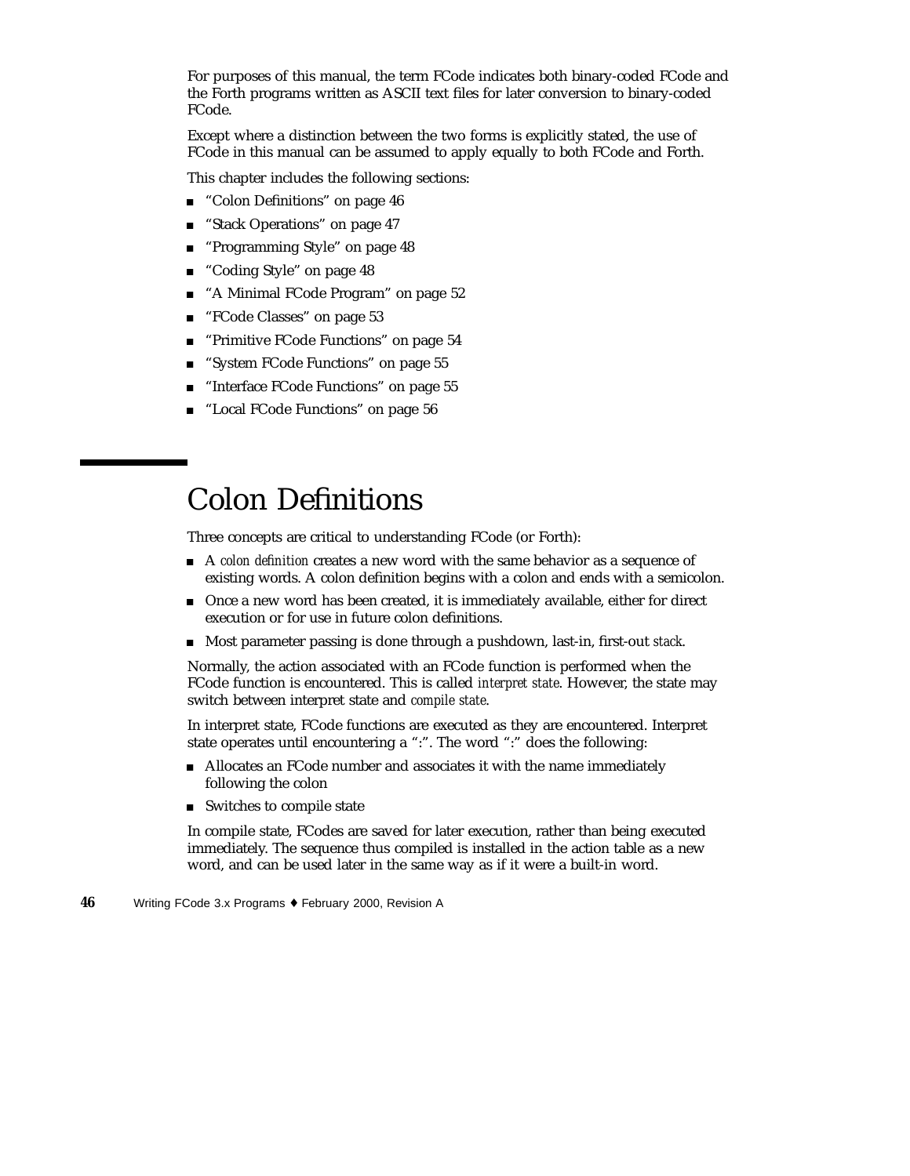For purposes of this manual, the term FCode indicates both binary-coded FCode and the Forth programs written as ASCII text files for later conversion to binary-coded FCode.

Except where a distinction between the two forms is explicitly stated, the use of FCode in this manual can be assumed to apply equally to both FCode and Forth.

This chapter includes the following sections:

- "Colon Definitions" on page 46
- **Example 13 Stack Operations**" on page 47
- **Programming Style"** on page 48
- "Coding Style" on page 48
- "A Minimal FCode Program" on page 52
- "FCode Classes" on page 53
- **FRIMIT PRIMIT PRIMITE:** "Primitive FCode Functions" on page 54
- "System FCode Functions" on page 55
- "Interface FCode Functions" on page 55
- "Local FCode Functions" on page 56

### Colon Definitions

Three concepts are critical to understanding FCode (or Forth):

- A *colon definition* creates a new word with the same behavior as a sequence of existing words. A colon definition begins with a colon and ends with a semicolon.
- Once a new word has been created, it is immediately available, either for direct execution or for use in future colon definitions.
- Most parameter passing is done through a pushdown, last-in, first-out *stack*.

Normally, the action associated with an FCode function is performed when the FCode function is encountered. This is called *interpret state*. However, the state may switch between interpret state and *compile state*.

In interpret state, FCode functions are executed as they are encountered. Interpret state operates until encountering a ":". The word ":" does the following:

- Allocates an FCode number and associates it with the name immediately following the colon
- Switches to compile state

In compile state, FCodes are saved for later execution, rather than being executed immediately. The sequence thus compiled is installed in the action table as a new word, and can be used later in the same way as if it were a built-in word.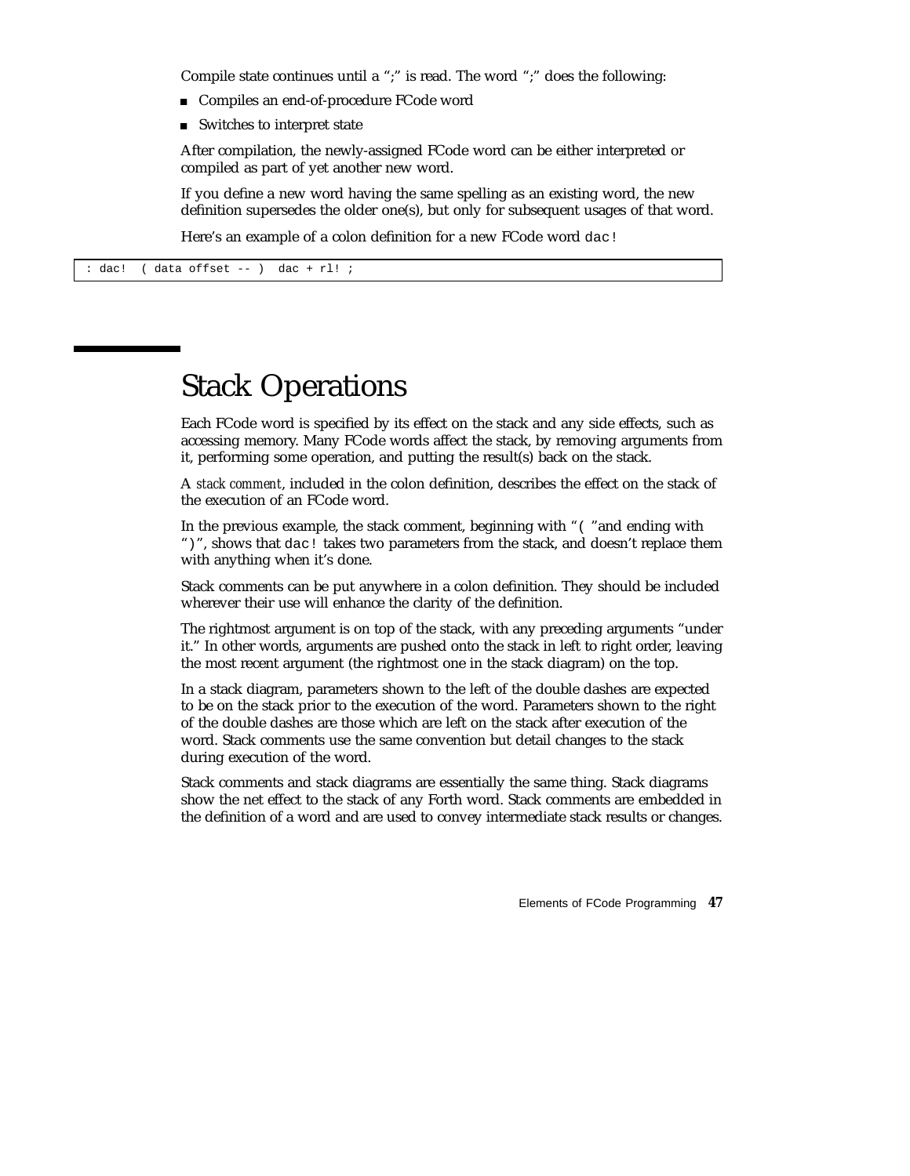Compile state continues until a ";" is read. The word ";" does the following:

- Compiles an end-of-procedure FCode word
- Switches to interpret state

After compilation, the newly-assigned FCode word can be either interpreted or compiled as part of yet another new word.

If you define a new word having the same spelling as an existing word, the new definition supersedes the older one(s), but only for subsequent usages of that word.

Here's an example of a colon definition for a new FCode word dac!

: dac! ( data offset -- ) dac + rl! ;

### Stack Operations

Each FCode word is specified by its effect on the stack and any side effects, such as accessing memory. Many FCode words affect the stack, by removing arguments from it, performing some operation, and putting the result(s) back on the stack.

A *stack comment*, included in the colon definition, describes the effect on the stack of the execution of an FCode word.

In the previous example, the stack comment, beginning with "( "and ending with ")", shows that dac! takes two parameters from the stack, and doesn't replace them with anything when it's done.

Stack comments can be put anywhere in a colon definition. They should be included wherever their use will enhance the clarity of the definition.

The rightmost argument is on top of the stack, with any preceding arguments "under it." In other words, arguments are pushed onto the stack in left to right order, leaving the most recent argument (the rightmost one in the stack diagram) on the top.

In a stack diagram, parameters shown to the left of the double dashes are expected to be on the stack prior to the execution of the word. Parameters shown to the right of the double dashes are those which are left on the stack after execution of the word. Stack comments use the same convention but detail changes to the stack during execution of the word.

Stack comments and stack diagrams are essentially the same thing. Stack diagrams show the net effect to the stack of any Forth word. Stack comments are embedded in the definition of a word and are used to convey intermediate stack results or changes.

Elements of FCode Programming **47**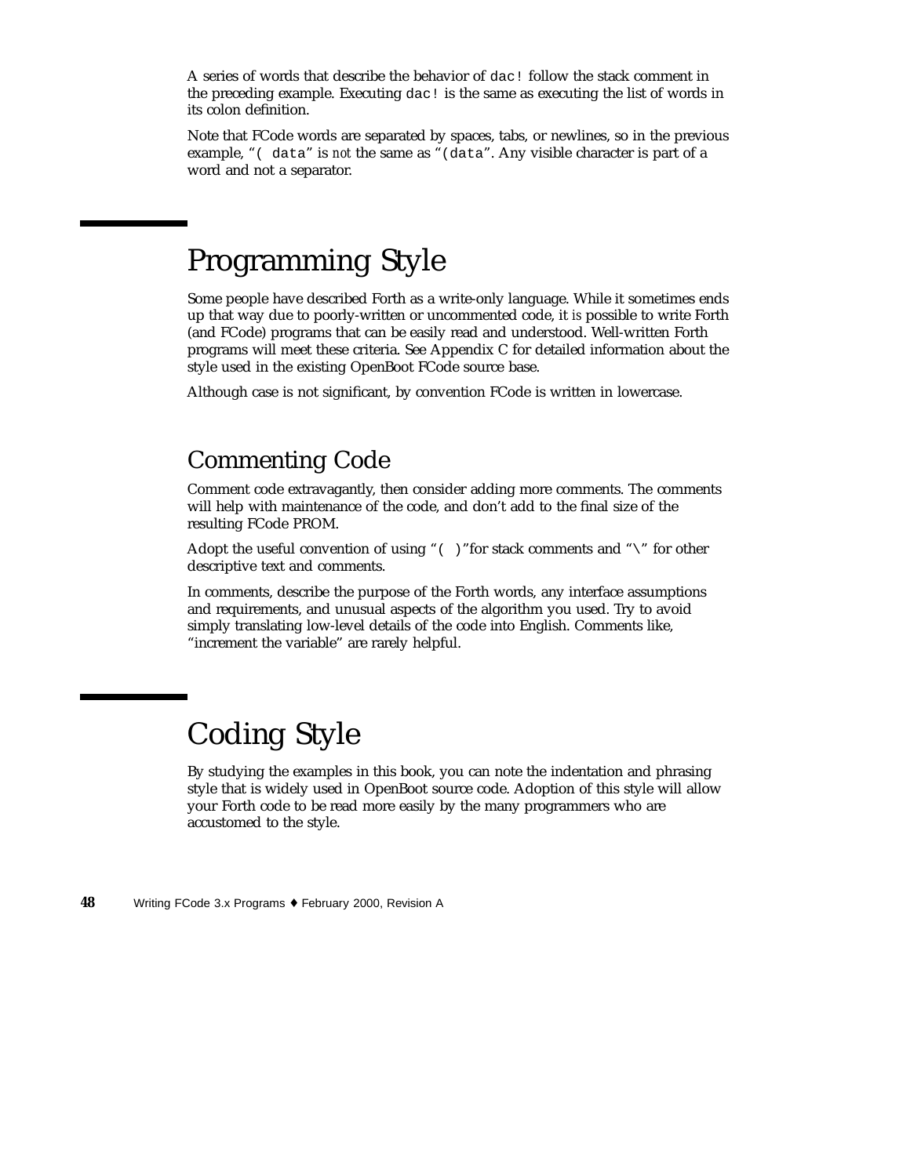A series of words that describe the behavior of dac! follow the stack comment in the preceding example. Executing dac! is the same as executing the list of words in its colon definition.

Note that FCode words are separated by spaces, tabs, or newlines, so in the previous example, "( data" is *not* the same as "(data". Any visible character is part of a word and not a separator.

## Programming Style

Some people have described Forth as a write-only language. While it sometimes ends up that way due to poorly-written or uncommented code, it *is* possible to write Forth (and FCode) programs that can be easily read and understood. Well-written Forth programs will meet these criteria. See Appendix C for detailed information about the style used in the existing OpenBoot FCode source base.

Although case is not significant, by convention FCode is written in lowercase.

#### Commenting Code

Comment code extravagantly, then consider adding more comments. The comments will help with maintenance of the code, and don't add to the final size of the resulting FCode PROM.

Adopt the useful convention of using "( )"for stack comments and "\" for other descriptive text and comments.

In comments, describe the purpose of the Forth words, any interface assumptions and requirements, and unusual aspects of the algorithm you used. Try to avoid simply translating low-level details of the code into English. Comments like, "increment the variable" are rarely helpful.

# Coding Style

By studying the examples in this book, you can note the indentation and phrasing style that is widely used in OpenBoot source code. Adoption of this style will allow your Forth code to be read more easily by the many programmers who are accustomed to the style.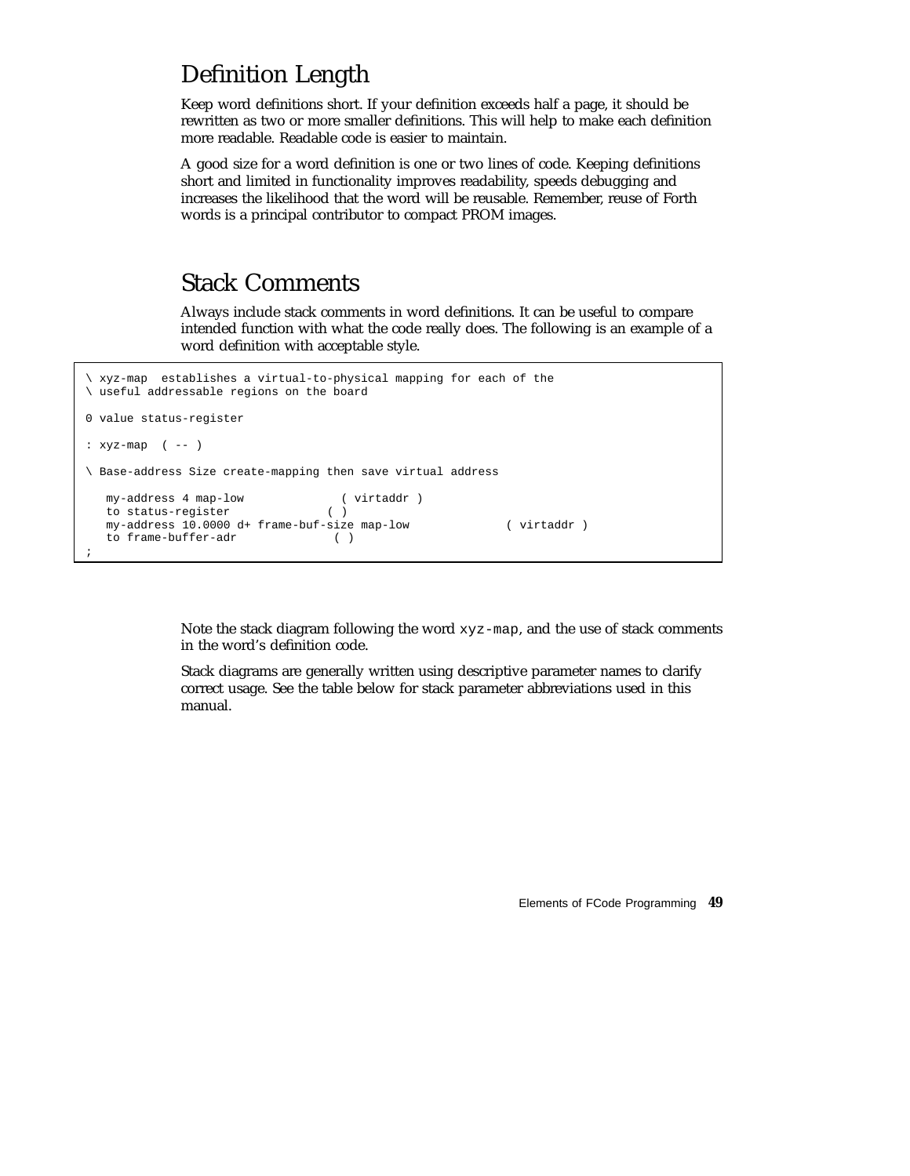#### Definition Length

Keep word definitions short. If your definition exceeds half a page, it should be rewritten as two or more smaller definitions. This will help to make each definition more readable. Readable code is easier to maintain.

A good size for a word definition is one or two lines of code. Keeping definitions short and limited in functionality improves readability, speeds debugging and increases the likelihood that the word will be reusable. Remember, reuse of Forth words is a principal contributor to compact PROM images.

#### Stack Comments

Always include stack comments in word definitions. It can be useful to compare intended function with what the code really does. The following is an example of a word definition with acceptable style.

```
\ xyz-map establishes a virtual-to-physical mapping for each of the
\ useful addressable regions on the board
0 value status-register
: xyz-map ( -- )
\ Base-address Size create-mapping then save virtual address
  my-address 4 map-low ( virtaddr )
  to status-register ( )
  my-address 10.0000 d+ frame-buf-size map-low ( virtaddr )
  to frame-buffer-adr ( )
;
```
Note the stack diagram following the word xyz-map, and the use of stack comments in the word's definition code.

Stack diagrams are generally written using descriptive parameter names to clarify correct usage. See the table below for stack parameter abbreviations used in this manual.

Elements of FCode Programming **49**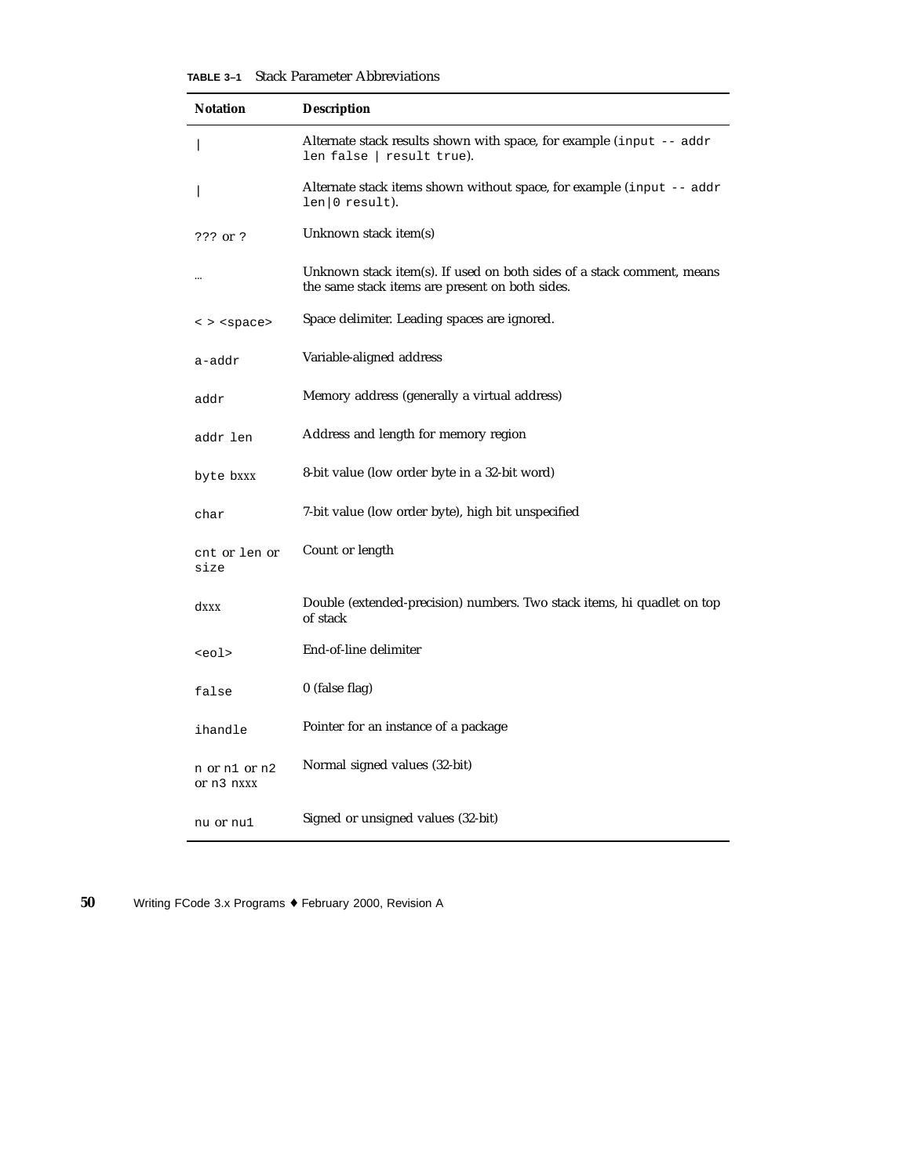**TABLE 3–1** Stack Parameter Abbreviations

| <b>Notation</b>              | <b>Description</b>                                                                                                        |
|------------------------------|---------------------------------------------------------------------------------------------------------------------------|
|                              | Alternate stack results shown with space, for example (input -- addr<br>len false   result true).                         |
|                              | Alternate stack items shown without space, for example (input $-$ addr<br>len(0 result).                                  |
| $???$ or $?$                 | Unknown stack item(s)                                                                                                     |
|                              | Unknown stack item(s). If used on both sides of a stack comment, means<br>the same stack items are present on both sides. |
| $\langle$ > $\langle$ space> | Space delimiter. Leading spaces are ignored.                                                                              |
| a-addr                       | Variable-aligned address                                                                                                  |
| addr                         | Memory address (generally a virtual address)                                                                              |
| addr len                     | Address and length for memory region                                                                                      |
| byte bxxx                    | 8-bit value (low order byte in a 32-bit word)                                                                             |
| char                         | 7-bit value (low order byte), high bit unspecified                                                                        |
| cnt or len or<br>size        | Count or length                                                                                                           |
| dxxx                         | Double (extended-precision) numbers. Two stack items, hi quadlet on top<br>of stack                                       |
| <eol></eol>                  | End-of-line delimiter                                                                                                     |
| false                        | 0 (false flag)                                                                                                            |
| ihandle                      | Pointer for an instance of a package                                                                                      |
| n or n1 or n2<br>or n3 nxxx  | Normal signed values (32-bit)                                                                                             |
| nu or nu1                    | Signed or unsigned values (32-bit)                                                                                        |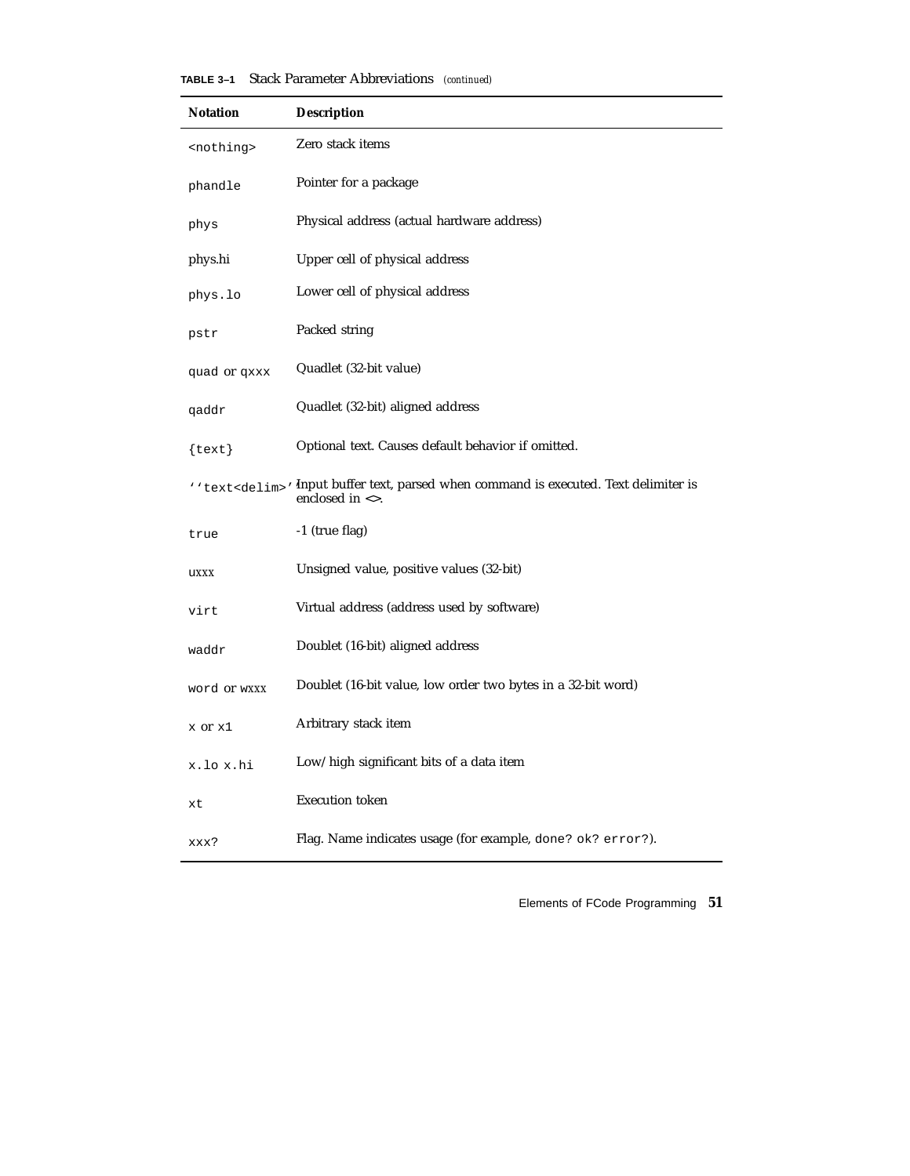| <b>Notation</b>     | <b>Description</b>                                                                                                                           |
|---------------------|----------------------------------------------------------------------------------------------------------------------------------------------|
| <nothing></nothing> | Zero stack items                                                                                                                             |
| phandle             | Pointer for a package                                                                                                                        |
| phys                | Physical address (actual hardware address)                                                                                                   |
| phys.hi             | Upper cell of physical address                                                                                                               |
| phys.lo             | Lower cell of physical address                                                                                                               |
| pstr                | Packed string                                                                                                                                |
| quad or qxxx        | Quadlet (32-bit value)                                                                                                                       |
| qaddr               | Quadlet (32-bit) aligned address                                                                                                             |
| $\{\texttt{text}\}$ | Optional text. Causes default behavior if omitted.                                                                                           |
|                     | ' 'text <delim>' Input buffer text, parsed when command is executed. Text delimiter is<br/>enclosed in <math>\langle \rangle</math>.</delim> |
| true                | -1 (true flag)                                                                                                                               |
| uxxx                | Unsigned value, positive values (32-bit)                                                                                                     |
| virt                | Virtual address (address used by software)                                                                                                   |
| waddr               | Doublet (16-bit) aligned address                                                                                                             |
| word or wxxx        | Doublet (16-bit value, low order two bytes in a 32-bit word)                                                                                 |
| x or x1             | Arbitrary stack item                                                                                                                         |
| x.lo x.hi           | Low/high significant bits of a data item                                                                                                     |
| xt                  | <b>Execution</b> token                                                                                                                       |
| xxx?                | Flag. Name indicates usage (for example, done? ok? error?).                                                                                  |

|  | <b>TABLE 3-1</b> Stack Parameter Abbreviations (continued) |  |  |
|--|------------------------------------------------------------|--|--|
|--|------------------------------------------------------------|--|--|

Elements of FCode Programming **51**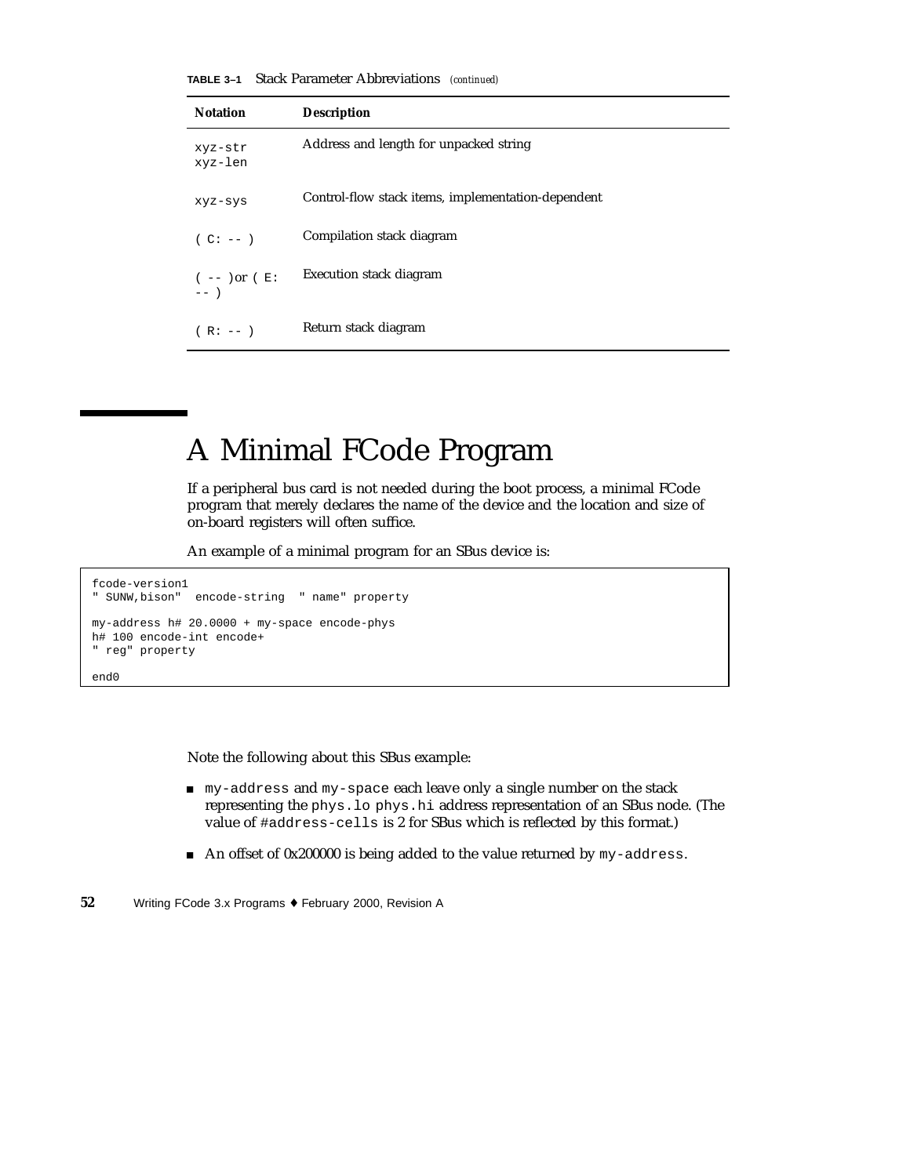**TABLE 3–1** Stack Parameter Abbreviations *(continued)*

| <b>Notation</b>            | <b>Description</b>                                 |
|----------------------------|----------------------------------------------------|
| xyz-str<br>xyz-len         | Address and length for unpacked string             |
| xyz-sys                    | Control-flow stack items, implementation-dependent |
| $(C: --)$                  | Compilation stack diagram                          |
| $(- - )$ or $(E:$<br>$---$ | <b>Execution stack diagram</b>                     |
| $(R: --)$                  | Return stack diagram                               |

## A Minimal FCode Program

If a peripheral bus card is not needed during the boot process, a minimal FCode program that merely declares the name of the device and the location and size of on-board registers will often suffice.

An example of a minimal program for an SBus device is:

```
fcode-version1
" SUNW,bison" encode-string " name" property
my-address h# 20.0000 + my-space encode-phys
h# 100 encode-int encode+
" reg" property
```
end0

Note the following about this SBus example:

- my-address and my-space each leave only a single number on the stack representing the phys.lo phys.hi address representation of an SBus node. (The value of #address-cells is 2 for SBus which is reflected by this format.)
- An offset of 0x200000 is being added to the value returned by my-address.
- **52** Writing FCode 3.x Programs ♦ February 2000, Revision A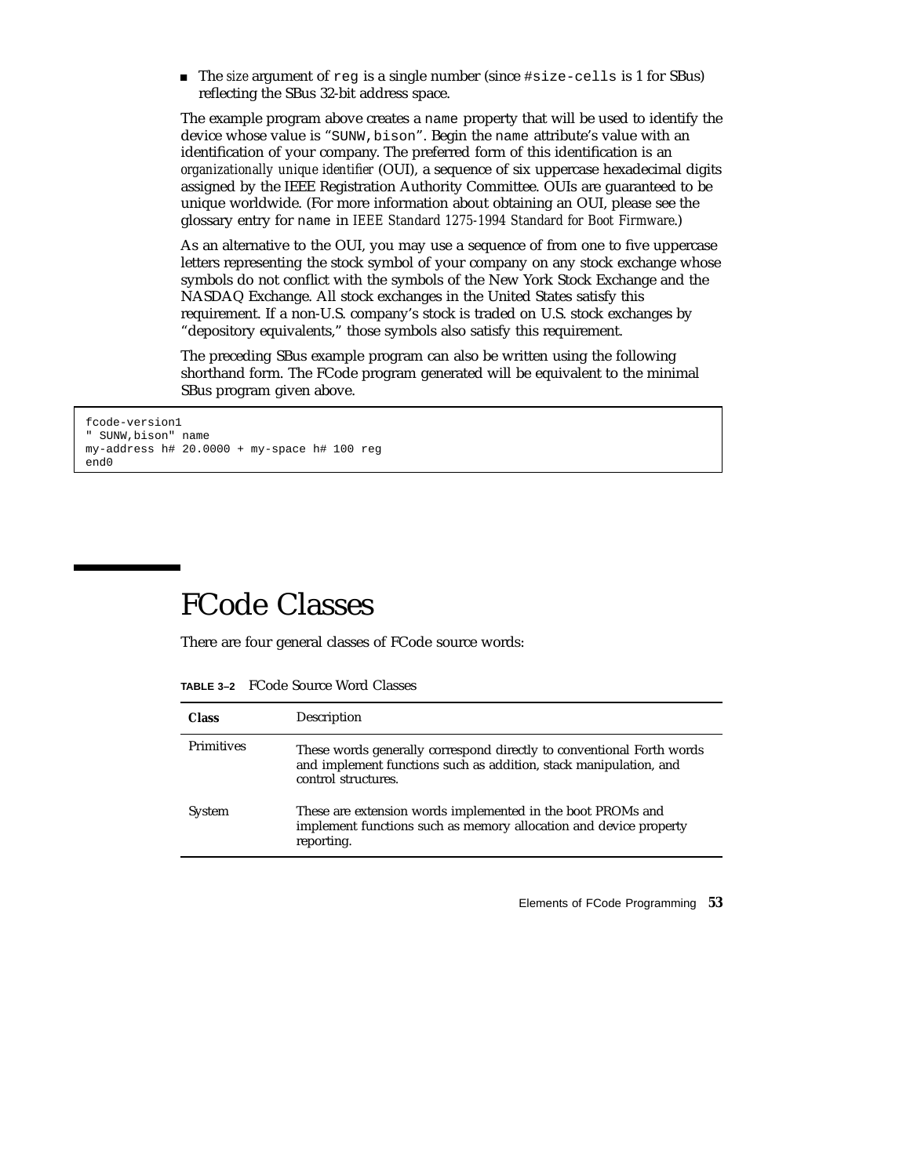The *size* argument of reg is a single number (since #size-cells is 1 for SBus) reflecting the SBus 32-bit address space.

The example program above creates a name property that will be used to identify the device whose value is "SUNW,bison". Begin the name attribute's value with an identification of your company. The preferred form of this identification is an *organizationally unique identifier* (OUI), a sequence of six uppercase hexadecimal digits assigned by the IEEE Registration Authority Committee. OUIs are guaranteed to be unique worldwide. (For more information about obtaining an OUI, please see the glossary entry for name in *IEEE Standard 1275-1994 Standard for Boot Firmware*.)

As an alternative to the OUI, you may use a sequence of from one to five uppercase letters representing the stock symbol of your company on any stock exchange whose symbols do not conflict with the symbols of the New York Stock Exchange and the NASDAQ Exchange. All stock exchanges in the United States satisfy this requirement. If a non-U.S. company's stock is traded on U.S. stock exchanges by "depository equivalents," those symbols also satisfy this requirement.

The preceding SBus example program can also be written using the following shorthand form. The FCode program generated will be equivalent to the minimal SBus program given above.

```
fcode-version1
" SUNW,bison" name
my-address h# 20.0000 + my-space h# 100 reg
end0
```
# FCode Classes

There are four general classes of FCode source words:

| <b>Class</b>      | Description                                                                                                                                                       |
|-------------------|-------------------------------------------------------------------------------------------------------------------------------------------------------------------|
| <b>Primitives</b> | These words generally correspond directly to conventional Forth words<br>and implement functions such as addition, stack manipulation, and<br>control structures. |
| System            | These are extension words implemented in the boot PROMs and<br>implement functions such as memory allocation and device property<br>reporting.                    |

Elements of FCode Programming **53**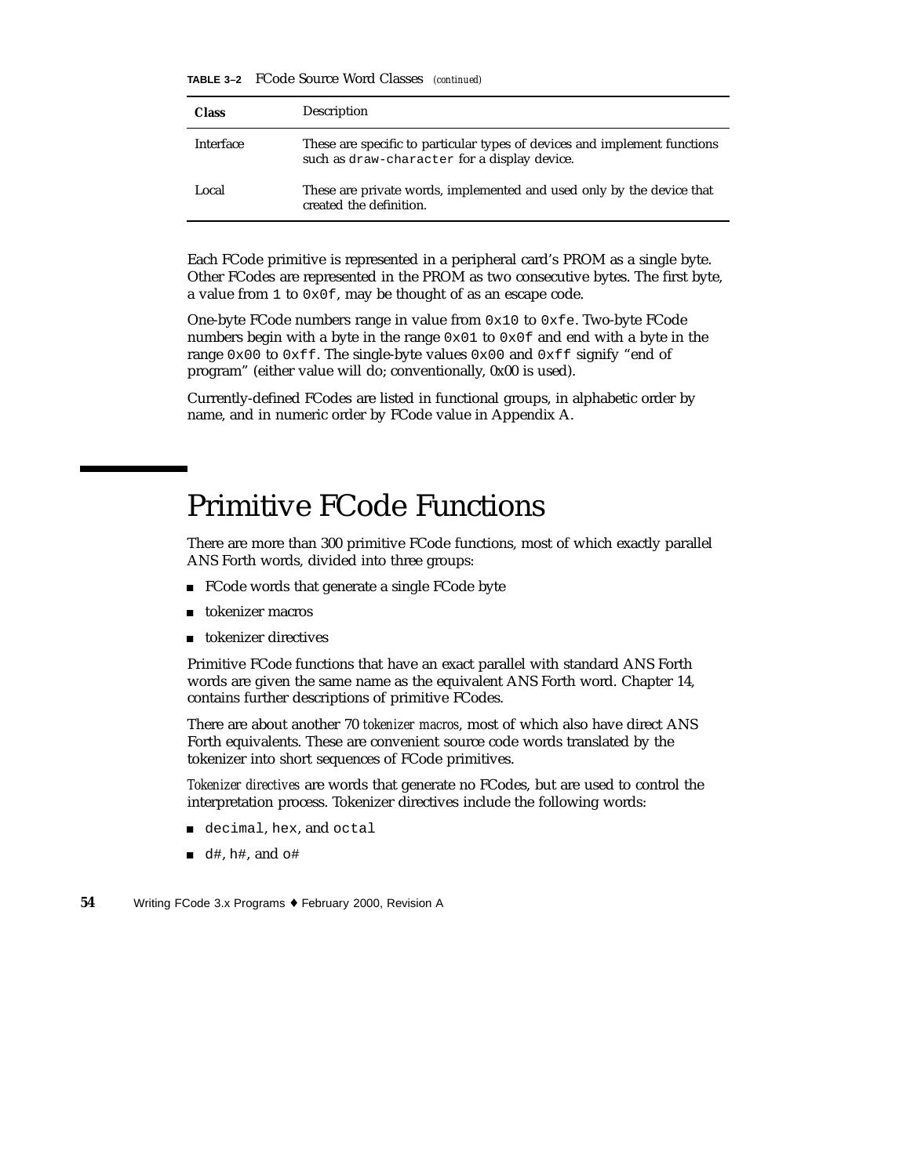**TABLE 3–2** FCode Source Word Classes *(continued)*

| <b>Class</b> | Description                                                                                                               |
|--------------|---------------------------------------------------------------------------------------------------------------------------|
| Interface    | These are specific to particular types of devices and implement functions<br>such as draw-character for a display device. |
| Local        | These are private words, implemented and used only by the device that<br>created the definition.                          |

Each FCode primitive is represented in a peripheral card's PROM as a single byte. Other FCodes are represented in the PROM as two consecutive bytes. The first byte, a value from 1 to 0x0f, may be thought of as an escape code.

One-byte FCode numbers range in value from  $0x10$  to  $0xfe$ . Two-byte FCode numbers begin with a byte in the range  $0 \times 01$  to  $0 \times 0f$  and end with a byte in the range 0x00 to 0xff. The single-byte values 0x00 and 0xff signify "end of program" (either value will do; conventionally, 0x00 is used).

Currently-defined FCodes are listed in functional groups, in alphabetic order by name, and in numeric order by FCode value in Appendix A.

### Primitive FCode Functions

There are more than 300 primitive FCode functions, most of which exactly parallel ANS Forth words, divided into three groups:

- FCode words that generate a single FCode byte
- tokenizer macros
- **tokenizer directives**

Primitive FCode functions that have an exact parallel with standard ANS Forth words are given the same name as the equivalent ANS Forth word. Chapter 14, contains further descriptions of primitive FCodes.

There are about another 70 *tokenizer macros*, most of which also have direct ANS Forth equivalents. These are convenient source code words translated by the tokenizer into short sequences of FCode primitives.

*Tokenizer directives* are words that generate no FCodes, but are used to control the interpretation process. Tokenizer directives include the following words:

- decimal, hex, and octal
- $\blacksquare$  d#, h#, and  $\circ$ #
- **54** Writing FCode 3.x Programs ♦ February 2000, Revision A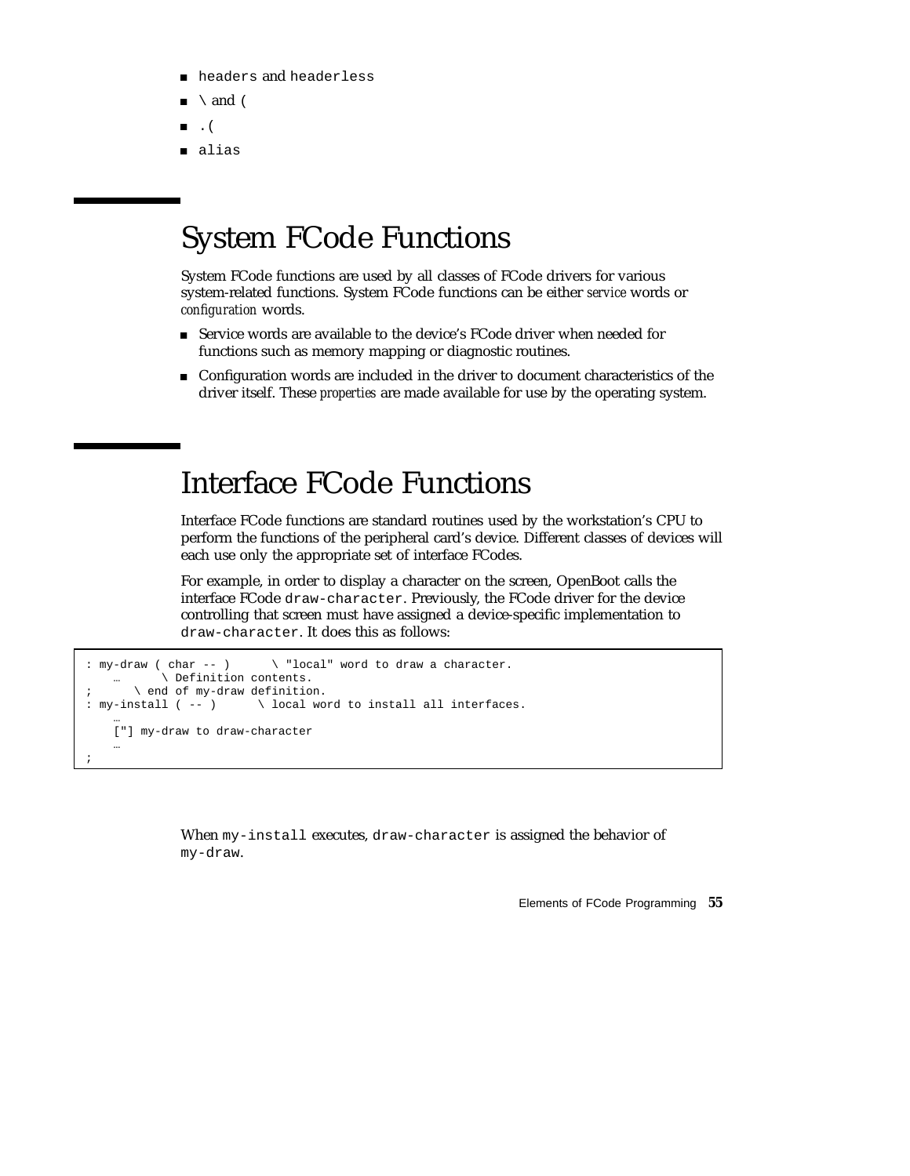- **n** headers and headerless
- $\setminus$  and (
- $\blacksquare$ . (
- alias

# System FCode Functions

System FCode functions are used by all classes of FCode drivers for various system-related functions. System FCode functions can be either *service* words or *configuration* words.

- Service words are available to the device's FCode driver when needed for functions such as memory mapping or diagnostic routines.
- Configuration words are included in the driver to document characteristics of the driver itself. These *properties* are made available for use by the operating system.

### Interface FCode Functions

Interface FCode functions are standard routines used by the workstation's CPU to perform the functions of the peripheral card's device. Different classes of devices will each use only the appropriate set of interface FCodes.

For example, in order to display a character on the screen, OpenBoot calls the interface FCode draw-character. Previously, the FCode driver for the device controlling that screen must have assigned a device-specific implementation to draw-character. It does this as follows:

```
: my-draw ( char -- ) \ "local" word to draw a character.
           … \ Definition contents.
; \qquad \qquad \setminus end of my-draw definition.
: my-install ( -- ) \setminus local word to install all interfaces.
    …
    ["] my-draw to draw-character
    …
;
```
When my-install executes, draw-character is assigned the behavior of my-draw.

Elements of FCode Programming **55**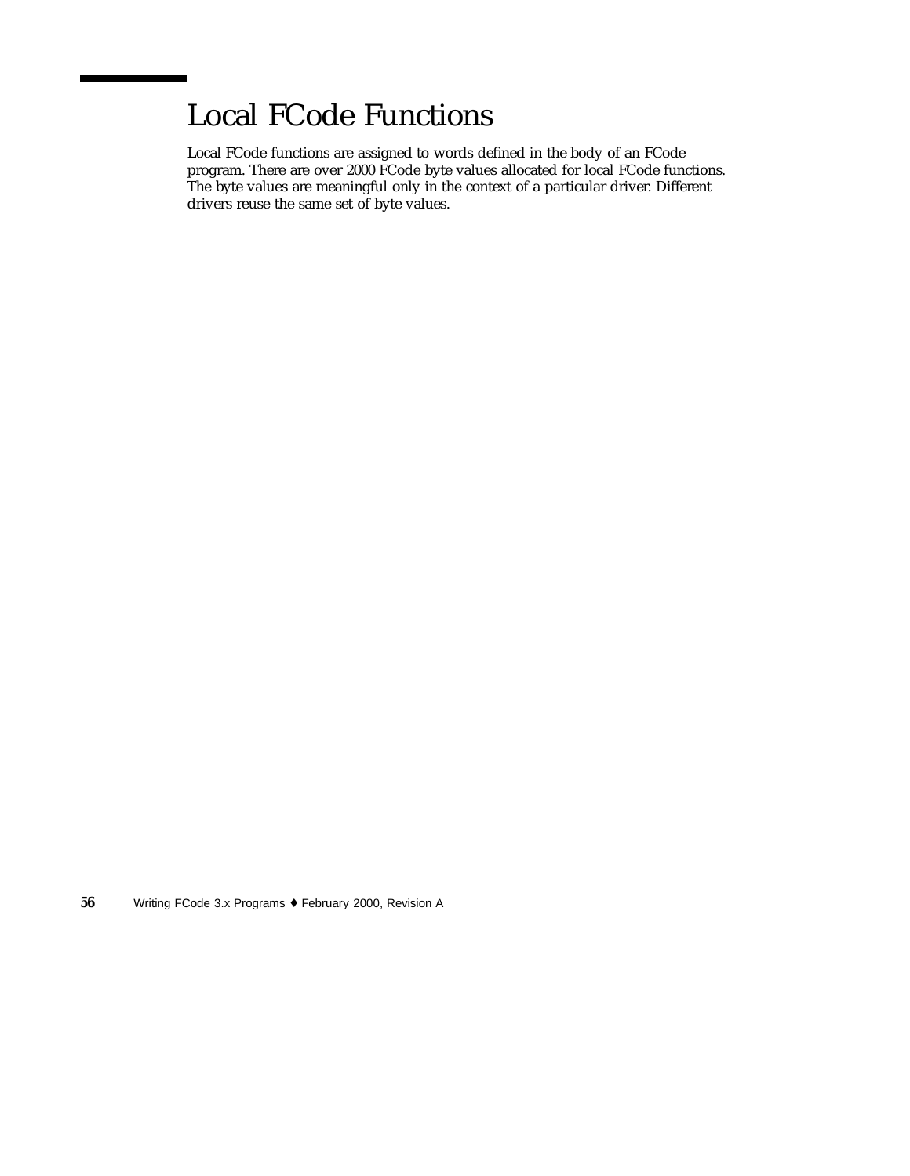# Local FCode Functions

Local FCode functions are assigned to words defined in the body of an FCode program. There are over 2000 FCode byte values allocated for local FCode functions. The byte values are meaningful only in the context of a particular driver. Different drivers reuse the same set of byte values.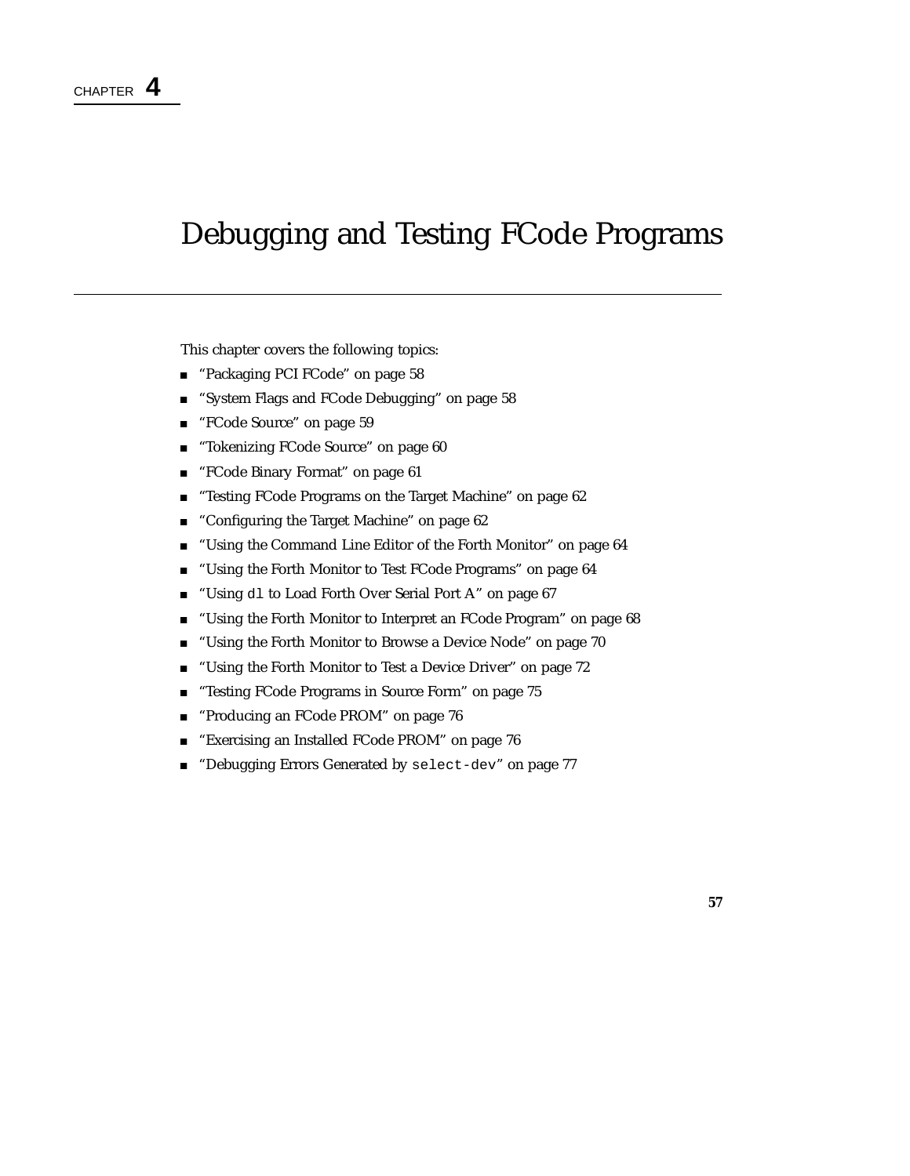# Debugging and Testing FCode Programs

This chapter covers the following topics:

- "Packaging PCI FCode" on page 58
- "System Flags and FCode Debugging" on page 58
- "FCode Source" on page 59
- **Tokenizing FCode Source" on page 60**
- "FCode Binary Format" on page 61
- "Testing FCode Programs on the Target Machine" on page 62
- "Configuring the Target Machine" on page 62
- "Using the Command Line Editor of the Forth Monitor" on page 64
- "Using the Forth Monitor to Test FCode Programs" on page 64
- "Using dl to Load Forth Over Serial Port A" on page 67
- **Using the Forth Monitor to Interpret an FCode Program**" on page 68
- "Using the Forth Monitor to Browse a Device Node" on page 70
- "Using the Forth Monitor to Test a Device Driver" on page 72
- **EXECUTE:** "Testing FCode Programs in Source Form" on page 75
- "Producing an FCode PROM" on page 76
- "Exercising an Installed FCode PROM" on page 76
- **Debugging Errors Generated by select-dev" on page 77**

**57**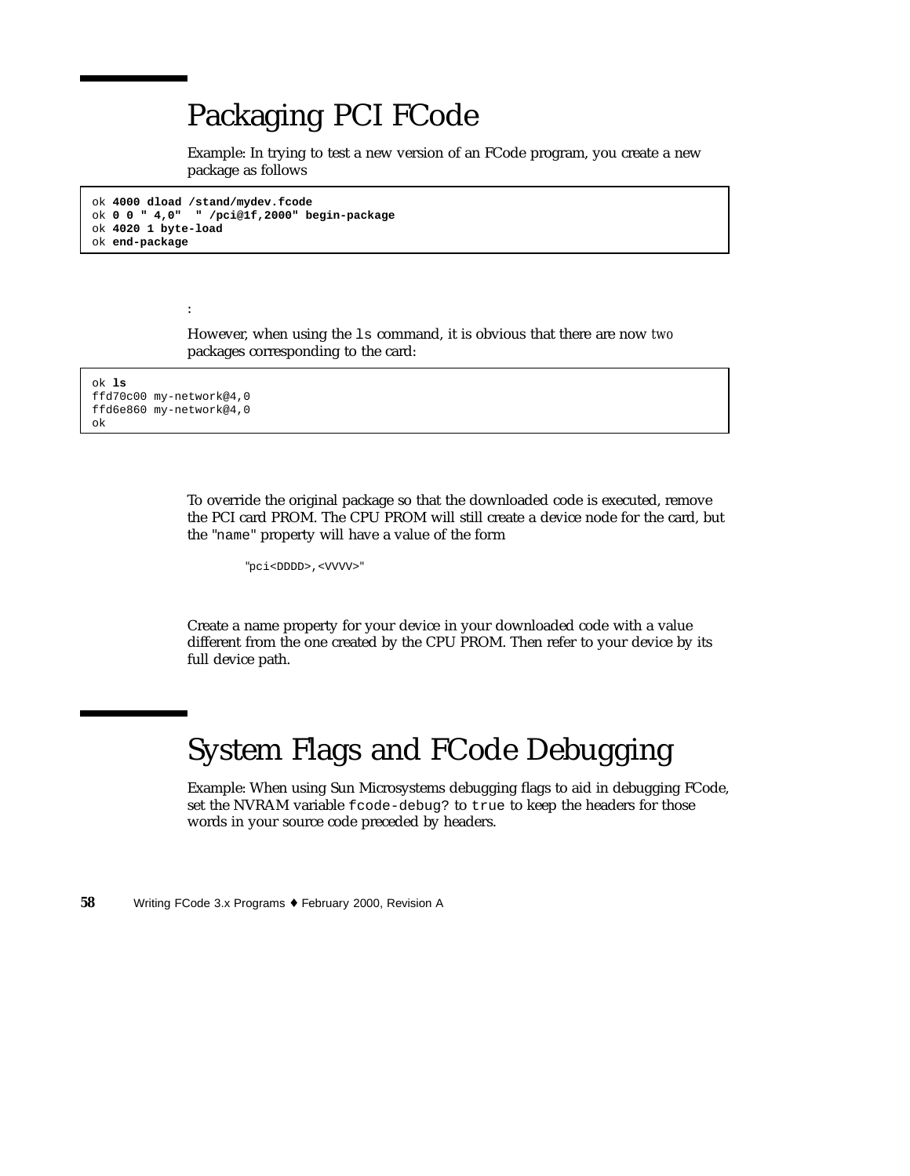## Packaging PCI FCode

Example: In trying to test a new version of an FCode program, you create a new package as follows

```
ok 4000 dload /stand/mydev.fcode
ok 0 0 " 4,0" " /pci@1f,2000" begin-package
ok 4020 1 byte-load
ok end-package
```
However, when using the ls command, it is obvious that there are now *two* packages corresponding to the card:

ok **ls** ffd70c00 my-network@4,0 ffd6e860 my-network@4,0 ok

:

To override the original package so that the downloaded code is executed, remove the PCI card PROM. The CPU PROM will still create a device node for the card, but the "name" property will have a value of the form

"pci<DDDD>,<VVVV>"

Create a name property for your device in your downloaded code with a value different from the one created by the CPU PROM. Then refer to your device by its full device path.

# System Flags and FCode Debugging

Example: When using Sun Microsystems debugging flags to aid in debugging FCode, set the NVRAM variable fcode-debug? to true to keep the headers for those words in your source code preceded by headers.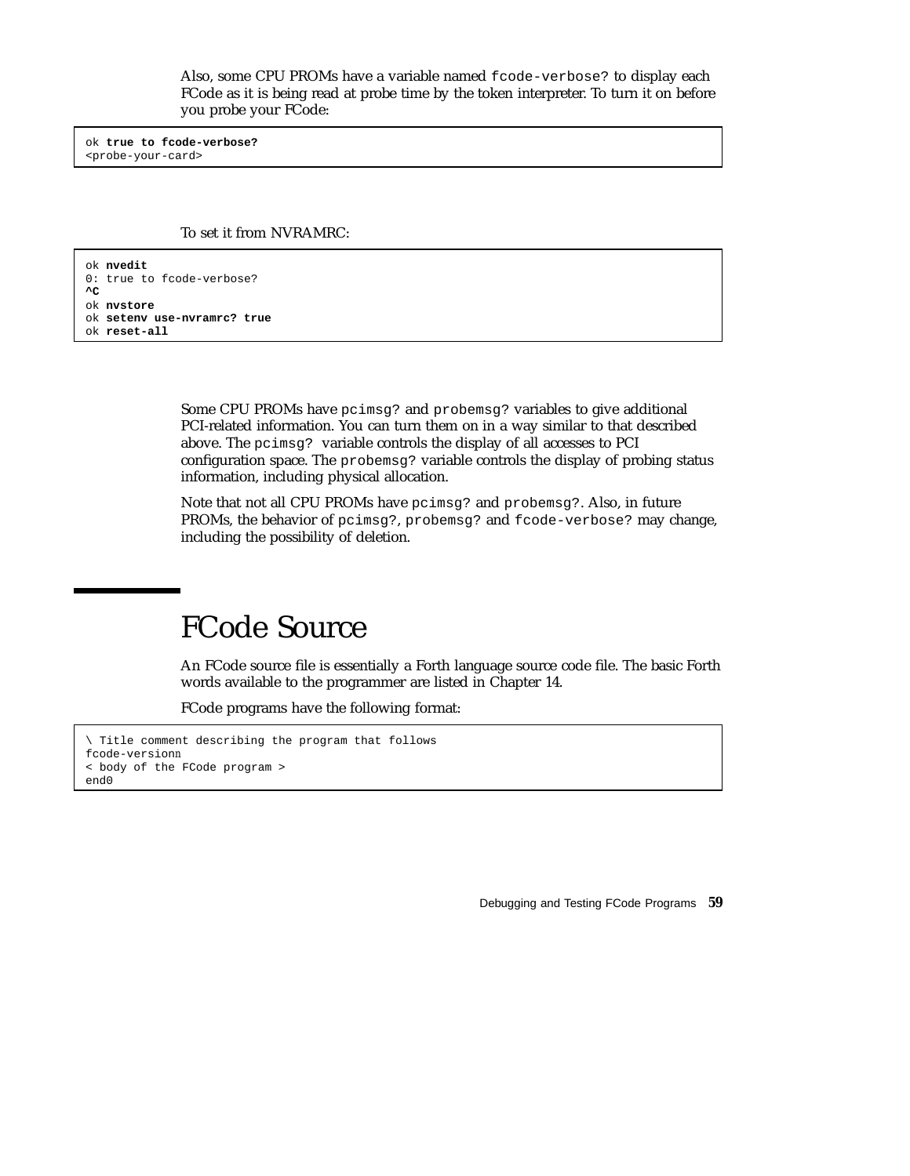Also, some CPU PROMs have a variable named fcode-verbose? to display each FCode as it is being read at probe time by the token interpreter. To turn it on before you probe your FCode:

ok **true to fcode-verbose?** <probe-your-card>

To set it from NVRAMRC:

ok **nvedit** 0: true to fcode-verbose? **^C** ok **nvstore** ok **setenv use-nvramrc? true** ok **reset-all**

> Some CPU PROMs have pcimsg? and probemsg? variables to give additional PCI-related information. You can turn them on in a way similar to that described above. The pcimsg? variable controls the display of all accesses to PCI configuration space. The probemsg? variable controls the display of probing status information, including physical allocation.

> Note that not all CPU PROMs have pcimsg? and probemsg?. Also, in future PROMs, the behavior of pcimsg?, probemsg? and fcode-verbose? may change, including the possibility of deletion.

# FCode Source

An FCode source file is essentially a Forth language source code file. The basic Forth words available to the programmer are listed in Chapter 14.

FCode programs have the following format:

```
\ Title comment describing the program that follows
fcode-versionn
< body of the FCode program >
end0
```
Debugging and Testing FCode Programs **59**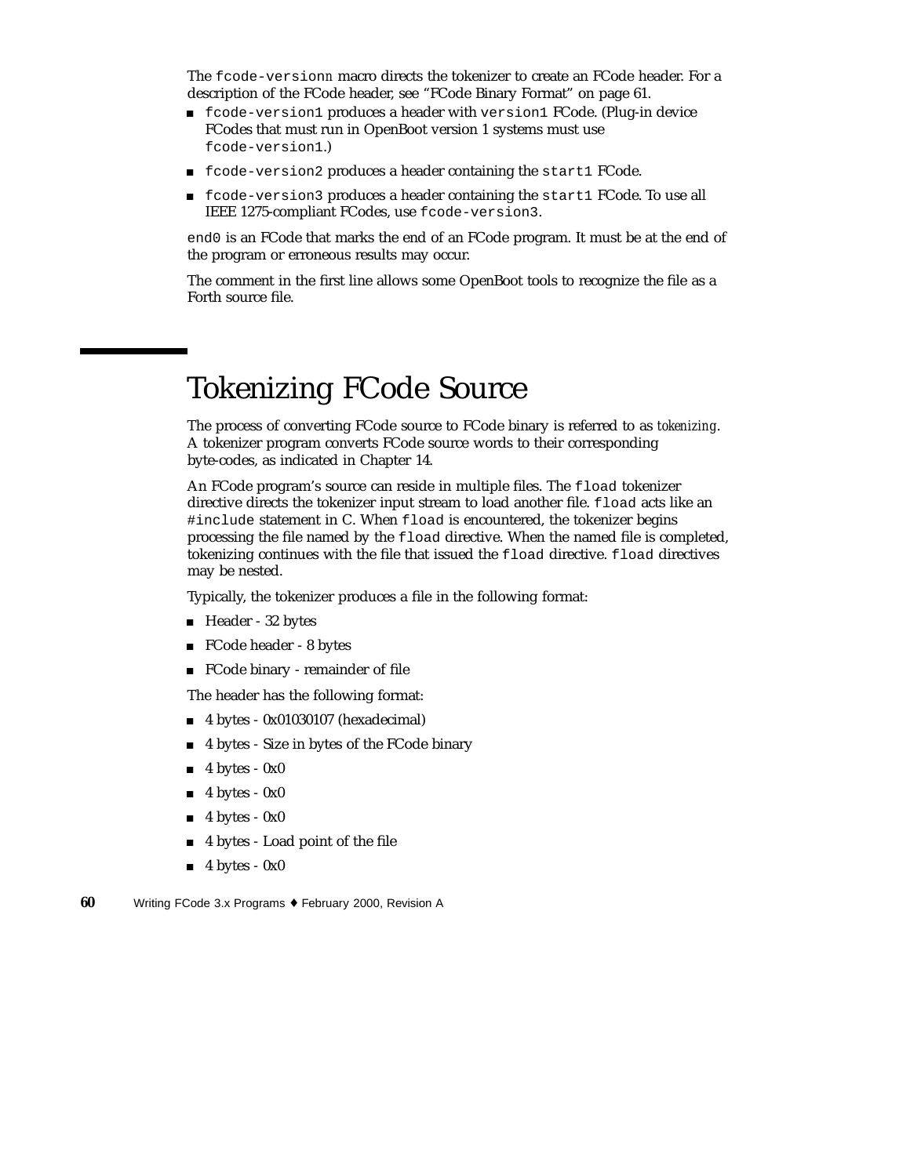The fcode-version*n* macro directs the tokenizer to create an FCode header. For a description of the FCode header, see "FCode Binary Format" on page 61.

- fcode-version1 produces a header with version1 FCode. (Plug-in device FCodes that must run in OpenBoot version 1 systems must use fcode-version1.)
- fcode-version2 produces a header containing the start1 FCode.
- fcode-version3 produces a header containing the start1 FCode. To use all IEEE 1275-compliant FCodes, use fcode-version3.

end0 is an FCode that marks the end of an FCode program. It must be at the end of the program or erroneous results may occur.

The comment in the first line allows some OpenBoot tools to recognize the file as a Forth source file.

# Tokenizing FCode Source

The process of converting FCode source to FCode binary is referred to as *tokenizing*. A tokenizer program converts FCode source words to their corresponding byte-codes, as indicated in Chapter 14.

An FCode program's source can reside in multiple files. The fload tokenizer directive directs the tokenizer input stream to load another file. fload acts like an #include statement in C. When fload is encountered, the tokenizer begins processing the file named by the fload directive. When the named file is completed, tokenizing continues with the file that issued the fload directive. fload directives may be nested.

Typically, the tokenizer produces a file in the following format:

- Header 32 bytes
- FCode header 8 bytes
- FCode binary remainder of file

The header has the following format:

- 4 bytes 0x01030107 (hexadecimal)
- 4 bytes Size in bytes of the FCode binary
- 4 bytes 0x0
- $\blacksquare$  4 bytes 0x0
- 4 bytes 0x0
- 4 bytes Load point of the file
- $\blacksquare$  4 bytes 0x0
- **60** Writing FCode 3.x Programs ♦ February 2000, Revision A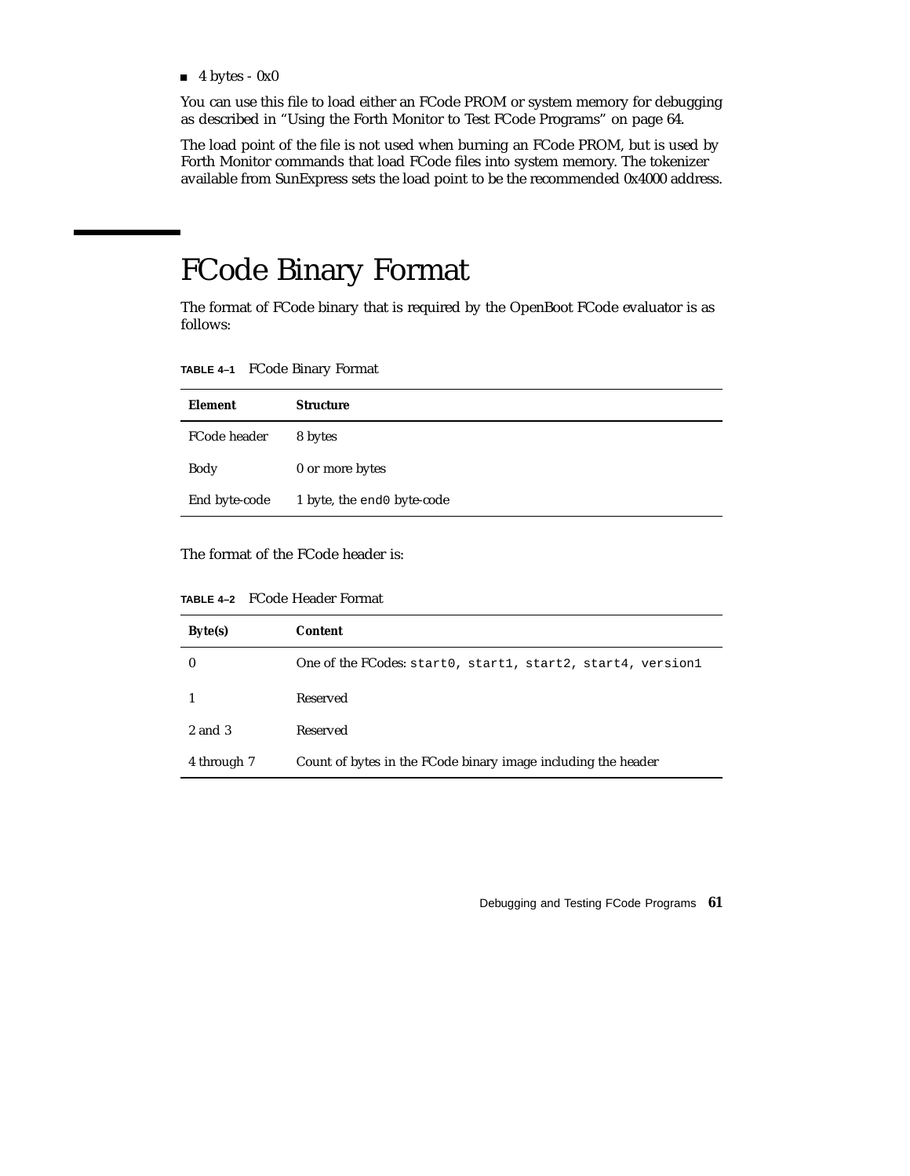$\blacksquare$  4 bytes - 0x0

You can use this file to load either an FCode PROM or system memory for debugging as described in "Using the Forth Monitor to Test FCode Programs" on page 64.

The load point of the file is not used when burning an FCode PROM, but is used by Forth Monitor commands that load FCode files into system memory. The tokenizer available from SunExpress sets the load point to be the recommended 0x4000 address.

# FCode Binary Format

The format of FCode binary that is required by the OpenBoot FCode evaluator is as follows:

**TABLE 4–1** FCode Binary Format

| Element       | <b>Structure</b>           |
|---------------|----------------------------|
| FCode header  | 8 bytes                    |
| Body          | 0 or more bytes            |
| End byte-code | 1 byte, the end0 byte-code |

The format of the FCode header is:

| Byte(s)     | <b>Content</b>                                                |
|-------------|---------------------------------------------------------------|
| 0           | One of the FCodes: start0, start1, start2, start4, version1   |
|             | Reserved                                                      |
| 2 and 3     | Reserved                                                      |
| 4 through 7 | Count of bytes in the FCode binary image including the header |

Debugging and Testing FCode Programs **61**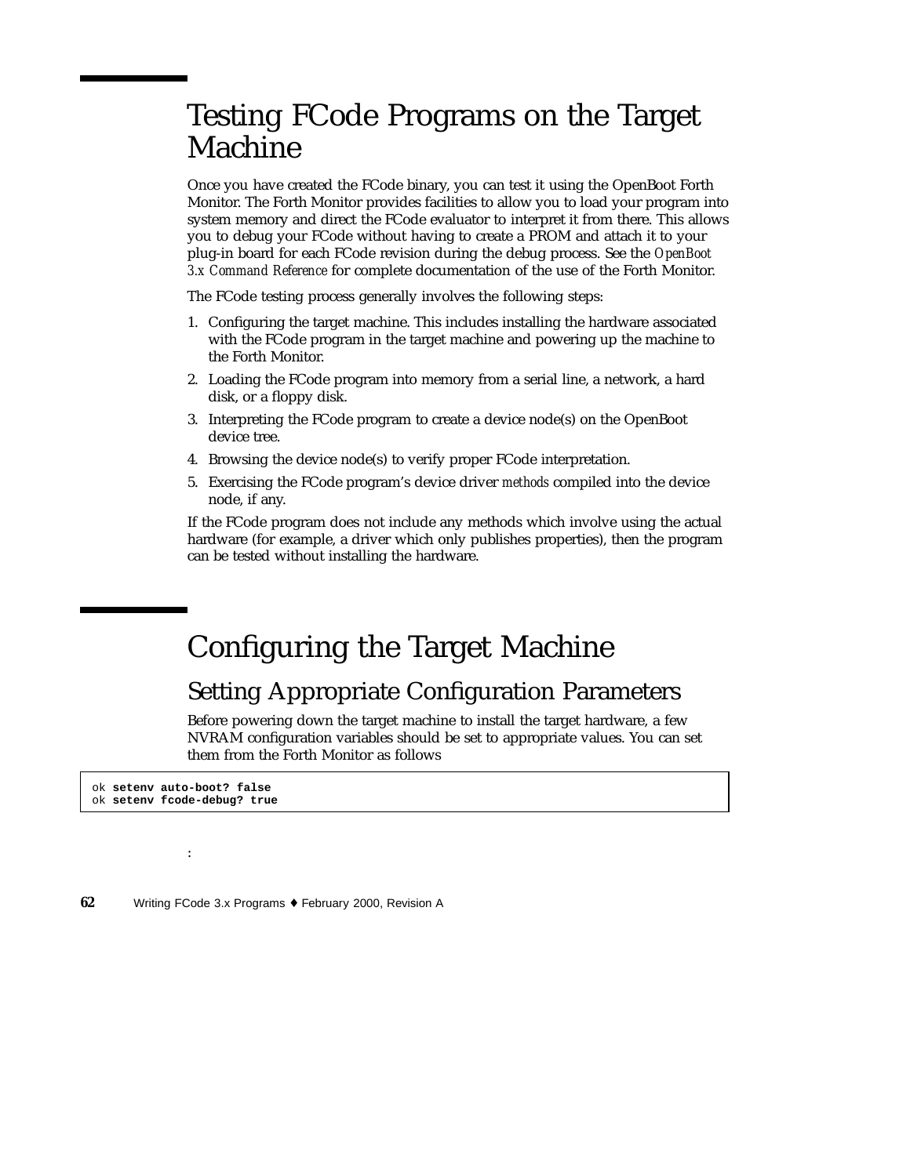# Testing FCode Programs on the Target Machine

Once you have created the FCode binary, you can test it using the OpenBoot Forth Monitor. The Forth Monitor provides facilities to allow you to load your program into system memory and direct the FCode evaluator to interpret it from there. This allows you to debug your FCode without having to create a PROM and attach it to your plug-in board for each FCode revision during the debug process. See the *OpenBoot 3.x Command Reference* for complete documentation of the use of the Forth Monitor.

The FCode testing process generally involves the following steps:

- 1. Configuring the target machine. This includes installing the hardware associated with the FCode program in the target machine and powering up the machine to the Forth Monitor.
- 2. Loading the FCode program into memory from a serial line, a network, a hard disk, or a floppy disk.
- 3. Interpreting the FCode program to create a device node(s) on the OpenBoot device tree.
- 4. Browsing the device node(s) to verify proper FCode interpretation.
- 5. Exercising the FCode program's device driver *methods* compiled into the device node, if any.

If the FCode program does not include any methods which involve using the actual hardware (for example, a driver which only publishes properties), then the program can be tested without installing the hardware.

## Configuring the Target Machine

#### Setting Appropriate Configuration Parameters

Before powering down the target machine to install the target hardware, a few NVRAM configuration variables should be set to appropriate values. You can set them from the Forth Monitor as follows

ok **setenv auto-boot? false** ok **setenv fcode-debug? true**

: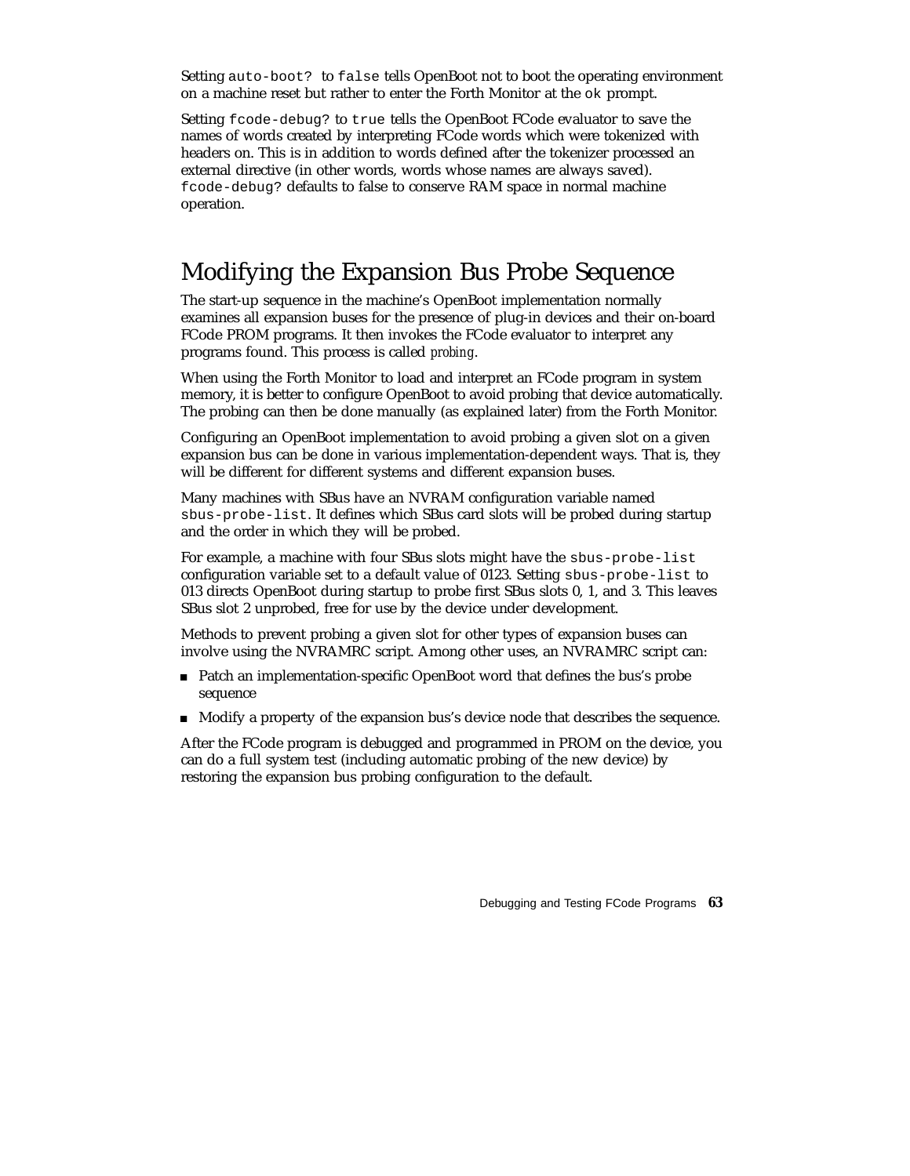Setting auto-boot? to false tells OpenBoot not to boot the operating environment on a machine reset but rather to enter the Forth Monitor at the ok prompt.

Setting fcode-debug? to true tells the OpenBoot FCode evaluator to save the names of words created by interpreting FCode words which were tokenized with headers on. This is in addition to words defined after the tokenizer processed an external directive (in other words, words whose names are always saved). fcode-debug? defaults to false to conserve RAM space in normal machine operation.

#### Modifying the Expansion Bus Probe Sequence

The start-up sequence in the machine's OpenBoot implementation normally examines all expansion buses for the presence of plug-in devices and their on-board FCode PROM programs. It then invokes the FCode evaluator to interpret any programs found. This process is called *probing*.

When using the Forth Monitor to load and interpret an FCode program in system memory, it is better to configure OpenBoot to avoid probing that device automatically. The probing can then be done manually (as explained later) from the Forth Monitor.

Configuring an OpenBoot implementation to avoid probing a given slot on a given expansion bus can be done in various implementation-dependent ways. That is, they will be different for different systems and different expansion buses.

Many machines with SBus have an NVRAM configuration variable named sbus-probe-list. It defines which SBus card slots will be probed during startup and the order in which they will be probed.

For example, a machine with four SBus slots might have the sbus-probe-list configuration variable set to a default value of 0123. Setting sbus-probe-list to 013 directs OpenBoot during startup to probe first SBus slots 0, 1, and 3. This leaves SBus slot 2 unprobed, free for use by the device under development.

Methods to prevent probing a given slot for other types of expansion buses can involve using the NVRAMRC script. Among other uses, an NVRAMRC script can:

- Patch an implementation-specific OpenBoot word that defines the bus's probe sequence
- Modify a property of the expansion bus's device node that describes the sequence.

After the FCode program is debugged and programmed in PROM on the device, you can do a full system test (including automatic probing of the new device) by restoring the expansion bus probing configuration to the default.

Debugging and Testing FCode Programs **63**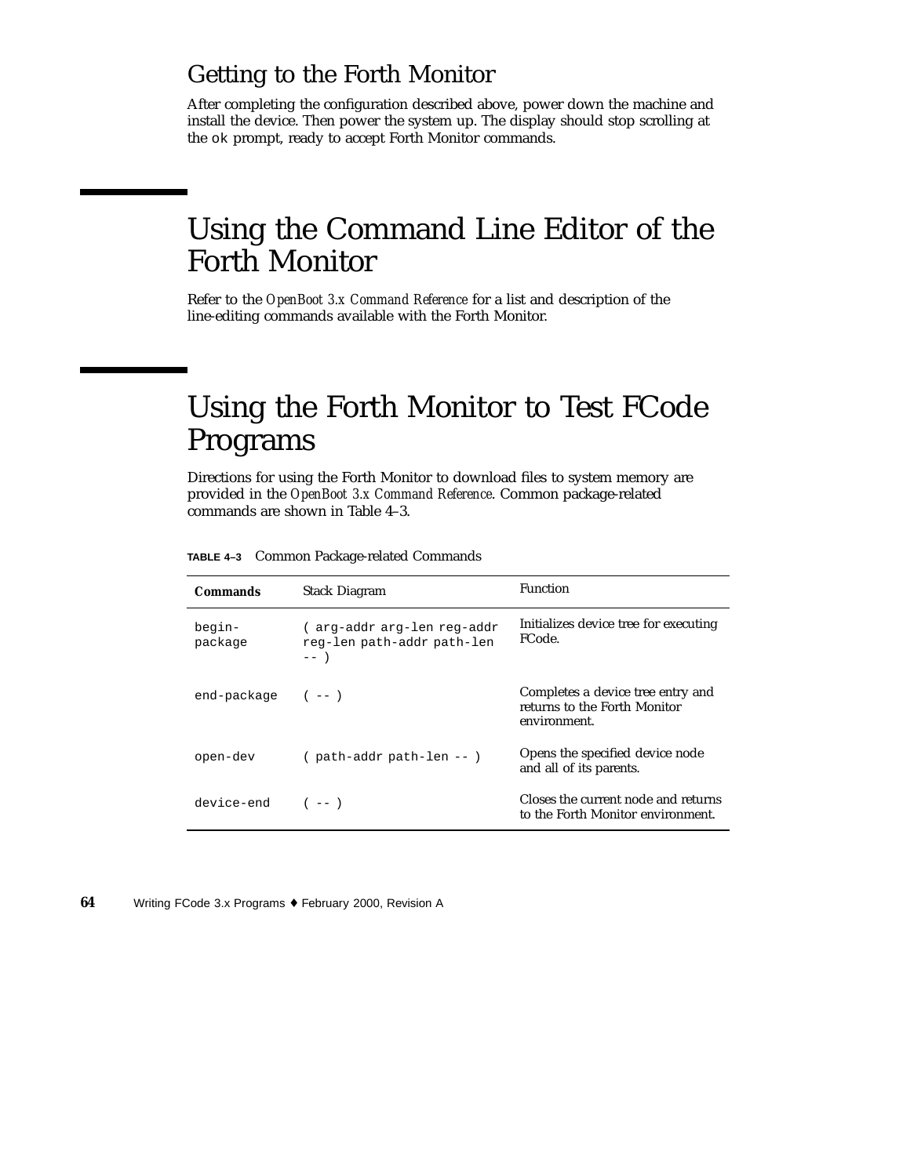#### Getting to the Forth Monitor

After completing the configuration described above, power down the machine and install the device. Then power the system up. The display should stop scrolling at the ok prompt, ready to accept Forth Monitor commands.

# Using the Command Line Editor of the Forth Monitor

Refer to the *OpenBoot 3.x Command Reference* for a list and description of the line-editing commands available with the Forth Monitor.

# Using the Forth Monitor to Test FCode Programs

Directions for using the Forth Monitor to download files to system memory are provided in the *OpenBoot 3.x Command Reference*. Common package-related commands are shown in Table 4–3.

| TABLE 4-3 Common Package-related Commands |  |
|-------------------------------------------|--|
|                                           |  |

| <b>Commands</b>   | <b>Function</b><br><b>Stack Diagram</b>                            |                                                                                   |
|-------------------|--------------------------------------------------------------------|-----------------------------------------------------------------------------------|
| begin-<br>package | ( arg-addr arg-len reg-addr<br>reg-len path-addr path-len<br>$---$ | Initializes device tree for executing<br>FCode.                                   |
| end-package       | $(- - )$                                                           | Completes a device tree entry and<br>returns to the Forth Monitor<br>environment. |
| open-dev          | ( path-addr path-len -- )                                          | Opens the specified device node<br>and all of its parents.                        |
| device-end        | $(- - )$                                                           | Closes the current node and returns<br>to the Forth Monitor environment.          |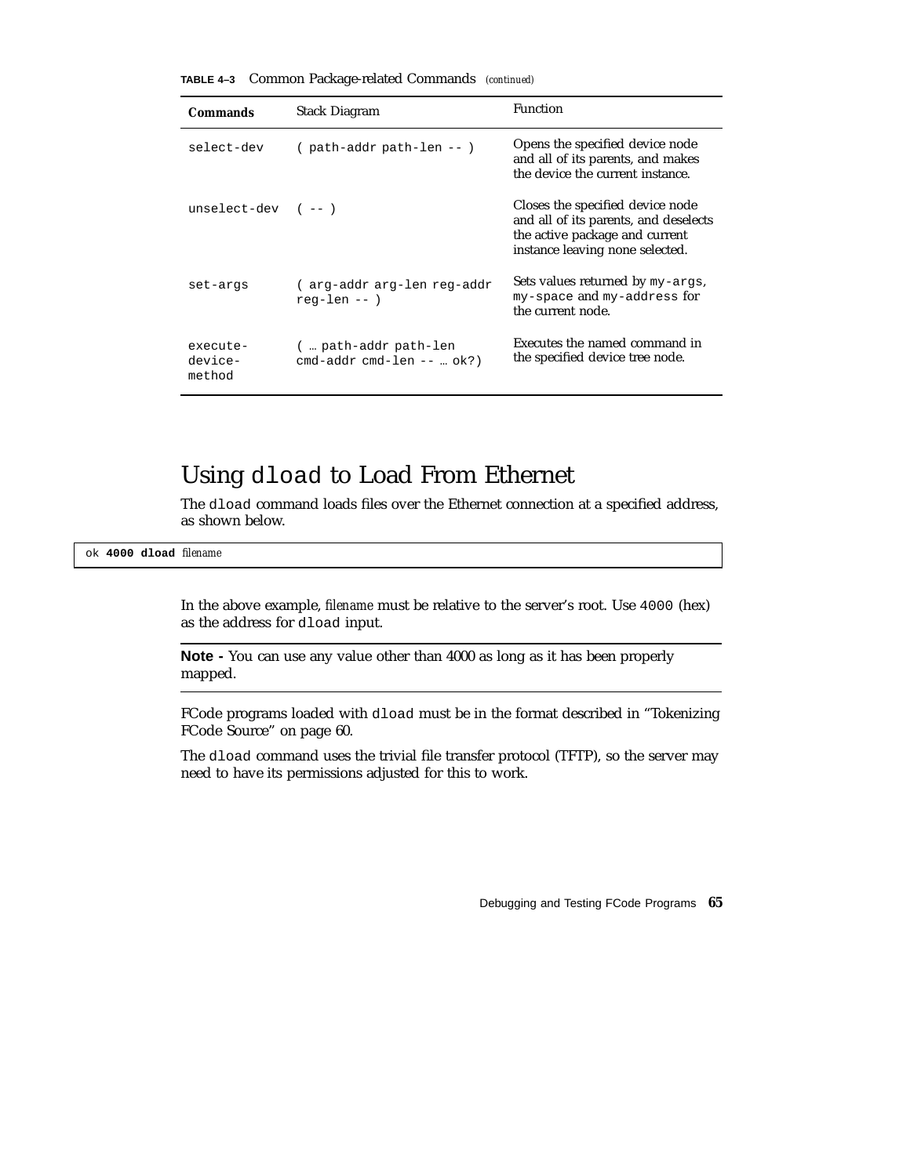**TABLE 4–3** Common Package-related Commands *(continued)*

| <b>Commands</b>               | <b>Stack Diagram</b>                                       | Function                                                                                                                                       |
|-------------------------------|------------------------------------------------------------|------------------------------------------------------------------------------------------------------------------------------------------------|
| select-dev                    | ( path-addr path-len -- )                                  | Opens the specified device node<br>and all of its parents, and makes<br>the device the current instance.                                       |
| unselect-dev $(--)$           |                                                            | Closes the specified device node<br>and all of its parents, and deselects<br>the active package and current<br>instance leaving none selected. |
| set-args                      | ( arg-addr arg-len reg-addr<br>$req-len --$ )              | Sets values returned by my-args,<br>my-space and my-address for<br>the current node.                                                           |
| execute-<br>device-<br>method | (  path-addr path-len<br>$cmd$ -addr $cmd$ -len -- $ok?$ ) | Executes the named command in<br>the specified device tree node.                                                                               |

#### Using dload to Load From Ethernet

The dload command loads files over the Ethernet connection at a specified address, as shown below.

ok **4000 dload** *filename*

In the above example, *filename* must be relative to the server's root. Use 4000 (hex) as the address for dload input.

**Note -** You can use any value other than 4000 as long as it has been properly mapped.

FCode programs loaded with dload must be in the format described in "Tokenizing FCode Source" on page 60.

The dload command uses the trivial file transfer protocol (TFTP), so the server may need to have its permissions adjusted for this to work.

Debugging and Testing FCode Programs **65**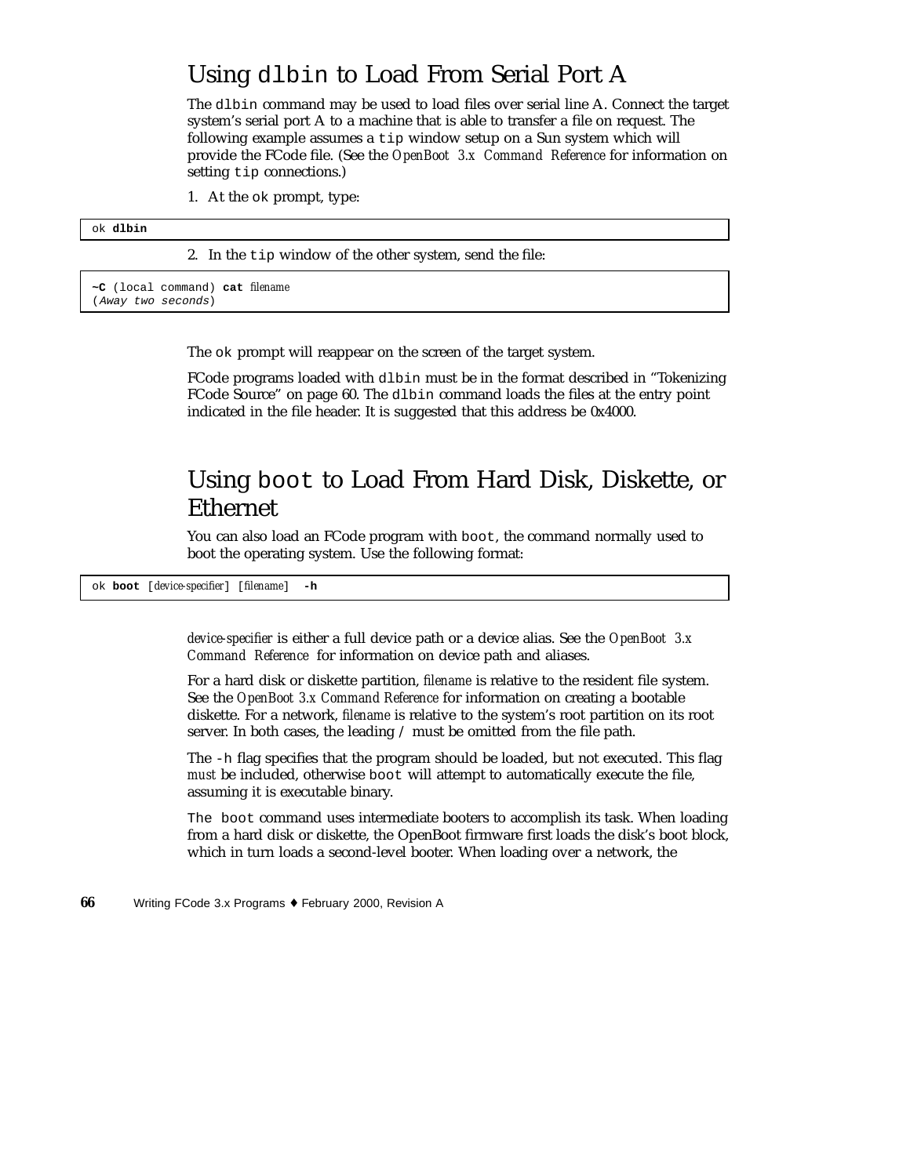#### Using dlbin to Load From Serial Port A

The dlbin command may be used to load files over serial line A. Connect the target system's serial port A to a machine that is able to transfer a file on request. The following example assumes a tip window setup on a Sun system which will provide the FCode file. (See the *OpenBoot 3.x Command Reference* for information on setting tip connections.)

1. At the ok prompt, type:

#### ok **dlbin**

2. In the tip window of the other system, send the file:

**~C** (local command) **cat** *filename* (Away two seconds)

The ok prompt will reappear on the screen of the target system.

FCode programs loaded with dlbin must be in the format described in "Tokenizing FCode Source" on page 60. The dlbin command loads the files at the entry point indicated in the file header. It is suggested that this address be 0x4000.

#### Using boot to Load From Hard Disk, Diskette, or Ethernet

You can also load an FCode program with boot, the command normally used to boot the operating system. Use the following format:

ok **boot** [*device-specifier*] [*filename*] **-h**

*device-specifier* is either a full device path or a device alias. See the *OpenBoot 3.x Command Reference* for information on device path and aliases.

For a hard disk or diskette partition, *filename* is relative to the resident file system. See the *OpenBoot 3.x Command Reference* for information on creating a bootable diskette. For a network, *filename* is relative to the system's root partition on its root server. In both cases, the leading / must be omitted from the file path.

The -h flag specifies that the program should be loaded, but not executed. This flag *must* be included, otherwise boot will attempt to automatically execute the file, assuming it is executable binary.

The boot command uses intermediate booters to accomplish its task. When loading from a hard disk or diskette, the OpenBoot firmware first loads the disk's boot block, which in turn loads a second-level booter. When loading over a network, the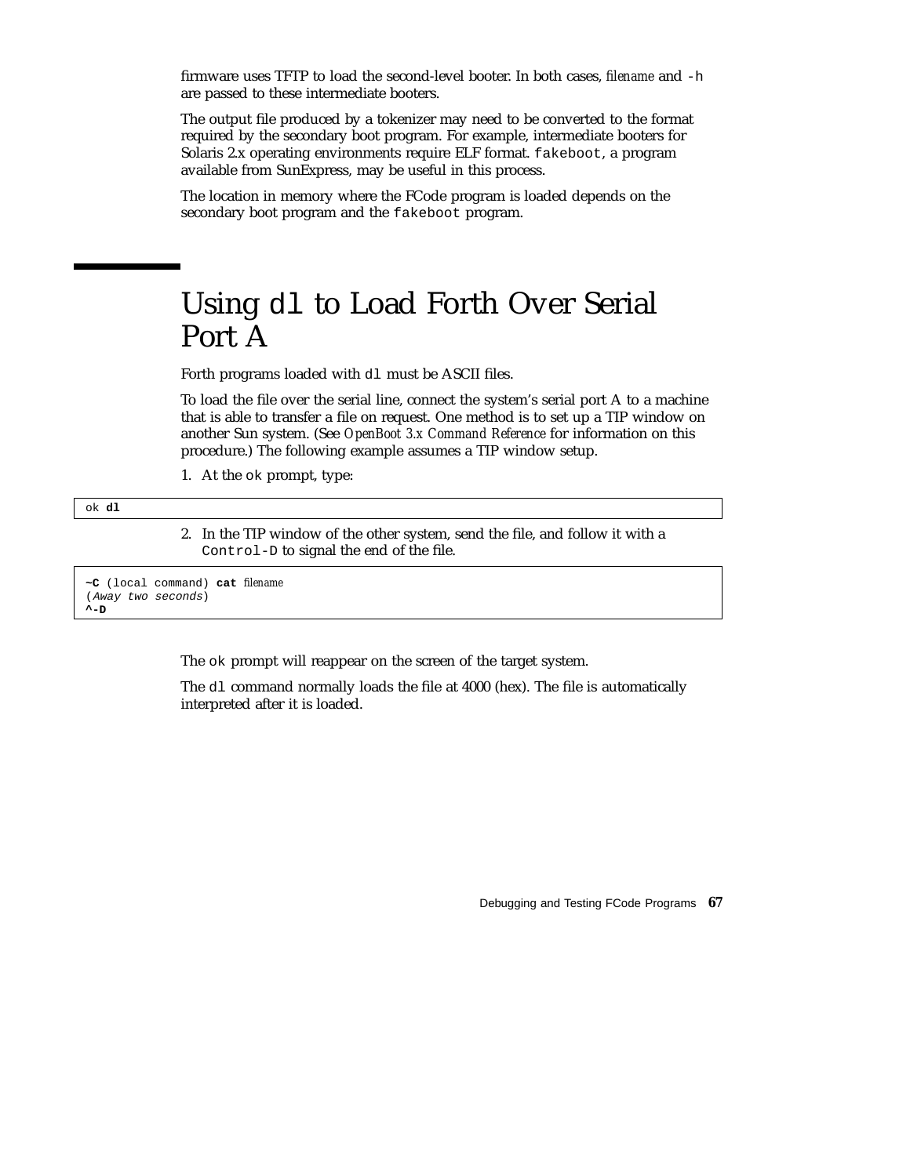firmware uses TFTP to load the second-level booter. In both cases, *filename* and -h are passed to these intermediate booters.

The output file produced by a tokenizer may need to be converted to the format required by the secondary boot program. For example, intermediate booters for Solaris 2.x operating environments require ELF format. fakeboot, a program available from SunExpress, may be useful in this process.

The location in memory where the FCode program is loaded depends on the secondary boot program and the fakeboot program.

### Using dl to Load Forth Over Serial Port A

Forth programs loaded with dl must be ASCII files.

To load the file over the serial line, connect the system's serial port A to a machine that is able to transfer a file on request. One method is to set up a TIP window on another Sun system. (See *OpenBoot 3.x Command Reference* for information on this procedure.) The following example assumes a TIP window setup.

1. At the ok prompt, type:

ok **dl**

2. In the TIP window of the other system, send the file, and follow it with a Control-D to signal the end of the file.

**~C** (local command) **cat** *filename* (Away two seconds) **^-D**

The ok prompt will reappear on the screen of the target system.

The dl command normally loads the file at 4000 (hex). The file is automatically interpreted after it is loaded.

Debugging and Testing FCode Programs **67**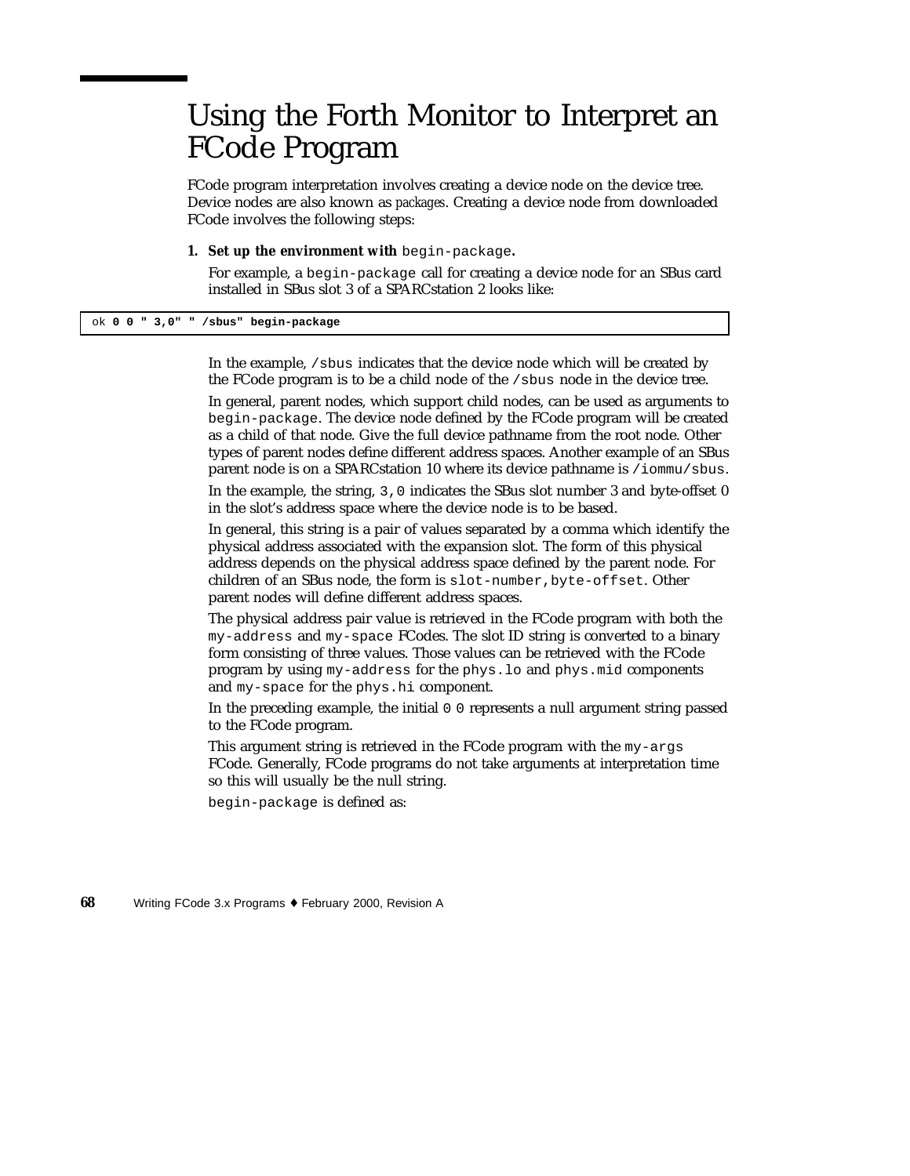# Using the Forth Monitor to Interpret an FCode Program

FCode program interpretation involves creating a device node on the device tree. Device nodes are also known as *packages*. Creating a device node from downloaded FCode involves the following steps:

**1. Set up the environment with** begin-package**.**

For example, a begin-package call for creating a device node for an SBus card installed in SBus slot 3 of a SPARCstation 2 looks like:

ok **0 0 " 3,0" " /sbus" begin-package**

In the example,  $\beta$  is indicates that the device node which will be created by the FCode program is to be a child node of the /sbus node in the device tree.

In general, parent nodes, which support child nodes, can be used as arguments to begin-package. The device node defined by the FCode program will be created as a child of that node. Give the full device pathname from the root node. Other types of parent nodes define different address spaces. Another example of an SBus parent node is on a SPARCstation 10 where its device pathname is /iommu/sbus.

In the example, the string, 3,0 indicates the SBus slot number 3 and byte-offset 0 in the slot's address space where the device node is to be based.

In general, this string is a pair of values separated by a comma which identify the physical address associated with the expansion slot. The form of this physical address depends on the physical address space defined by the parent node. For children of an SBus node, the form is slot-number, byte-offset. Other parent nodes will define different address spaces.

The physical address pair value is retrieved in the FCode program with both the my-address and my-space FCodes. The slot ID string is converted to a binary form consisting of three values. Those values can be retrieved with the FCode program by using my-address for the phys.lo and phys.mid components and my-space for the phys.hi component.

In the preceding example, the initial 0 0 represents a null argument string passed to the FCode program.

This argument string is retrieved in the FCode program with the my-args FCode. Generally, FCode programs do not take arguments at interpretation time so this will usually be the null string.

begin-package is defined as: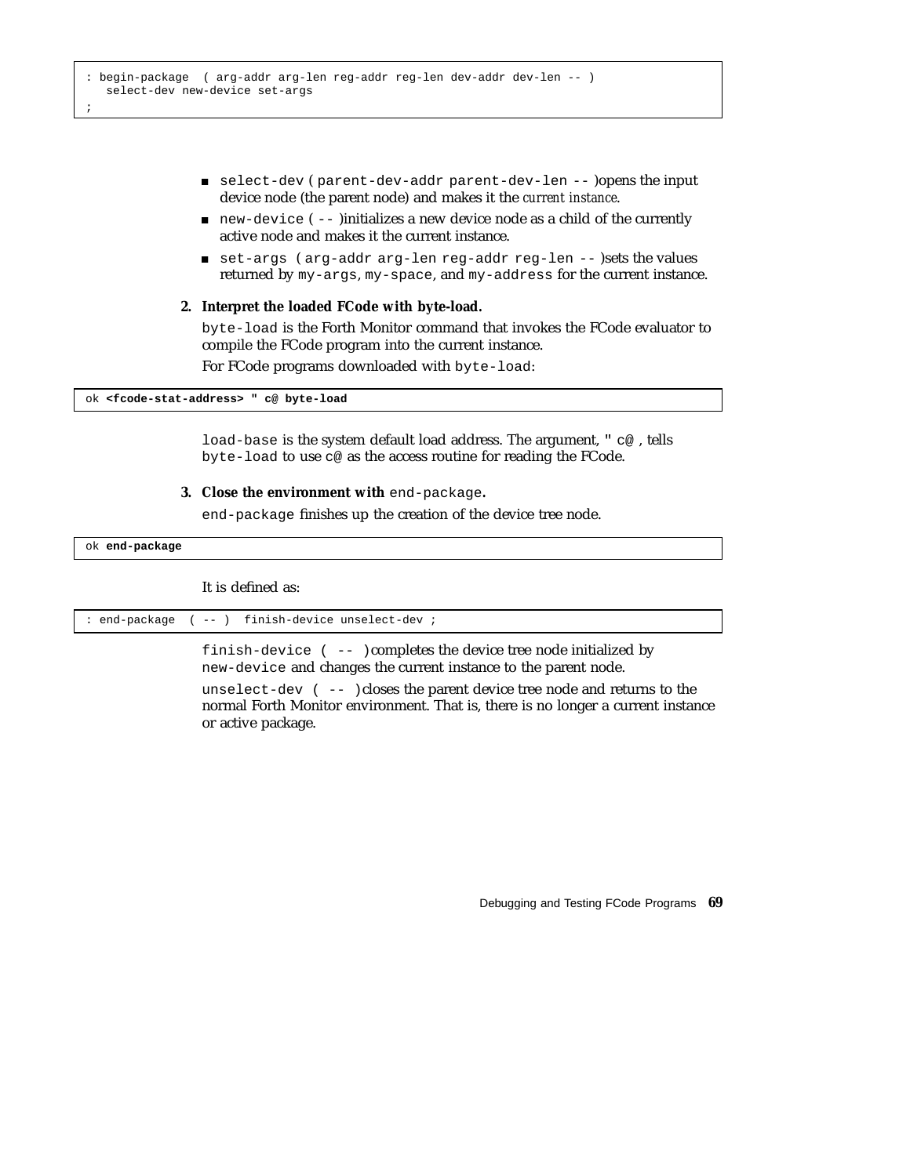- select-dev ( parent-dev-addr parent-dev-len -- )opens the input device node (the parent node) and makes it the *current instance*.
- $\Box$  new-device ( -- )initializes a new device node as a child of the currently active node and makes it the current instance.
- set-args ( arg-addr arg-len reg-addr reg-len -- )sets the values returned by my-args, my-space, and my-address for the current instance.

#### **2. Interpret the loaded FCode with byte-load.**

byte-load is the Forth Monitor command that invokes the FCode evaluator to compile the FCode program into the current instance.

For FCode programs downloaded with byte-load:

ok **<fcode-stat-address> " c@ byte-load**

load-base is the system default load address. The argument, " c@ , tells byte-load to use c@ as the access routine for reading the FCode.

**3. Close the environment with** end-package**.**

end-package finishes up the creation of the device tree node.

ok **end-package**

It is defined as:

or active package.

| : end-package ( -- ) finish-device unselect-dev ; |
|---------------------------------------------------|
|---------------------------------------------------|

finish-device ( -- )completes the device tree node initialized by new-device and changes the current instance to the parent node. unselect-dev ( -- )closes the parent device tree node and returns to the normal Forth Monitor environment. That is, there is no longer a current instance

Debugging and Testing FCode Programs **69**

;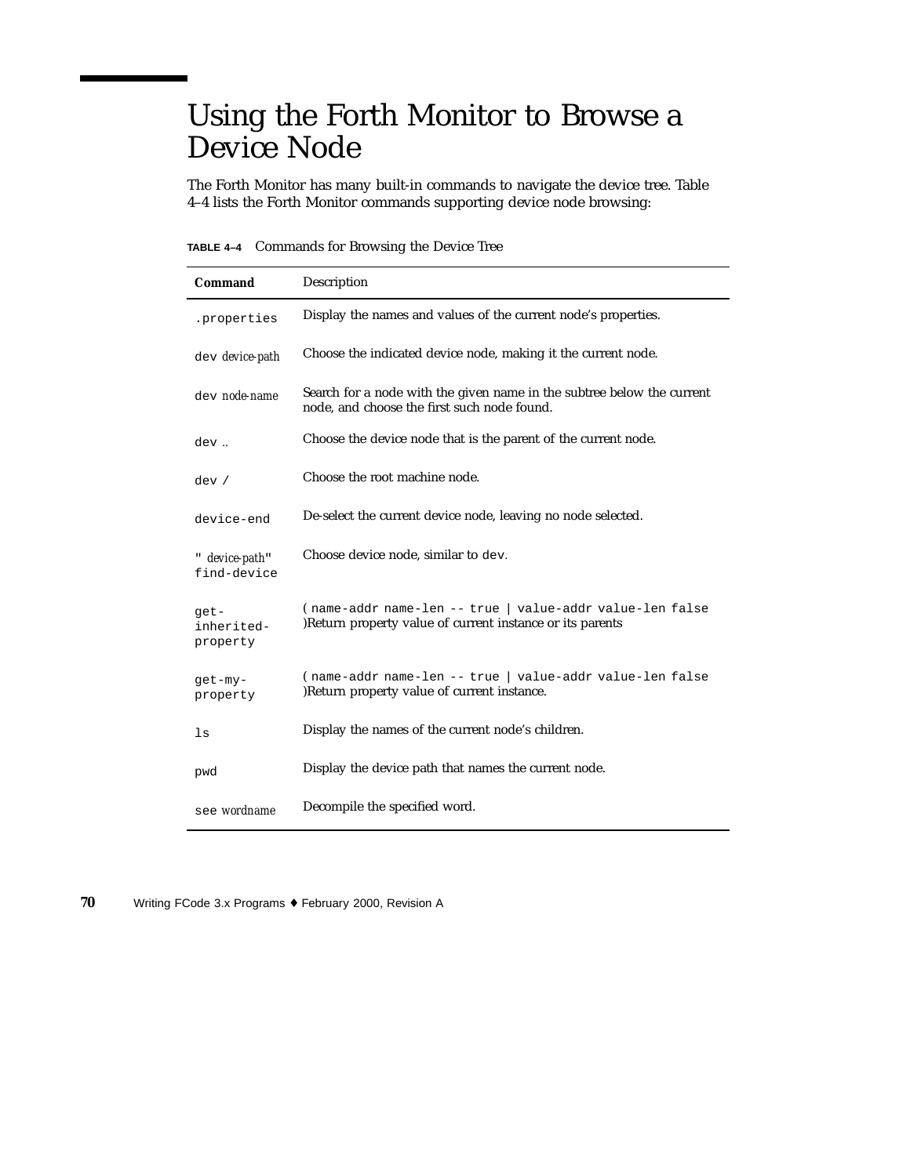# Using the Forth Monitor to Browse a Device Node

The Forth Monitor has many built-in commands to navigate the device tree. Table 4–4 lists the Forth Monitor commands supporting device node browsing:

**TABLE 4–4** Commands for Browsing the Device Tree

| Command                        | Description                                                                                                           |  |
|--------------------------------|-----------------------------------------------------------------------------------------------------------------------|--|
| .properties                    | Display the names and values of the current node's properties.                                                        |  |
| dev device-path                | Choose the indicated device node, making it the current node.                                                         |  |
| dev node-name                  | Search for a node with the given name in the subtree below the current<br>node, and choose the first such node found. |  |
| dev.                           | Choose the device node that is the parent of the current node.                                                        |  |
| dev /                          | Choose the root machine node.                                                                                         |  |
| device-end                     | De-select the current device node, leaving no node selected.                                                          |  |
| " device-path"<br>find-device  | Choose device node, similar to dev.                                                                                   |  |
| get-<br>inherited-<br>property | (name-addr name-len -- true   value-addr value-len false<br>)Return property value of current instance or its parents |  |
| qet-my-<br>property            | (name-addr name-len -- true   value-addr value-len false<br>)Return property value of current instance.               |  |
| $\ln$                          | Display the names of the current node's children.                                                                     |  |
| pwd                            | Display the device path that names the current node.                                                                  |  |
| see wordname                   | Decompile the specified word.                                                                                         |  |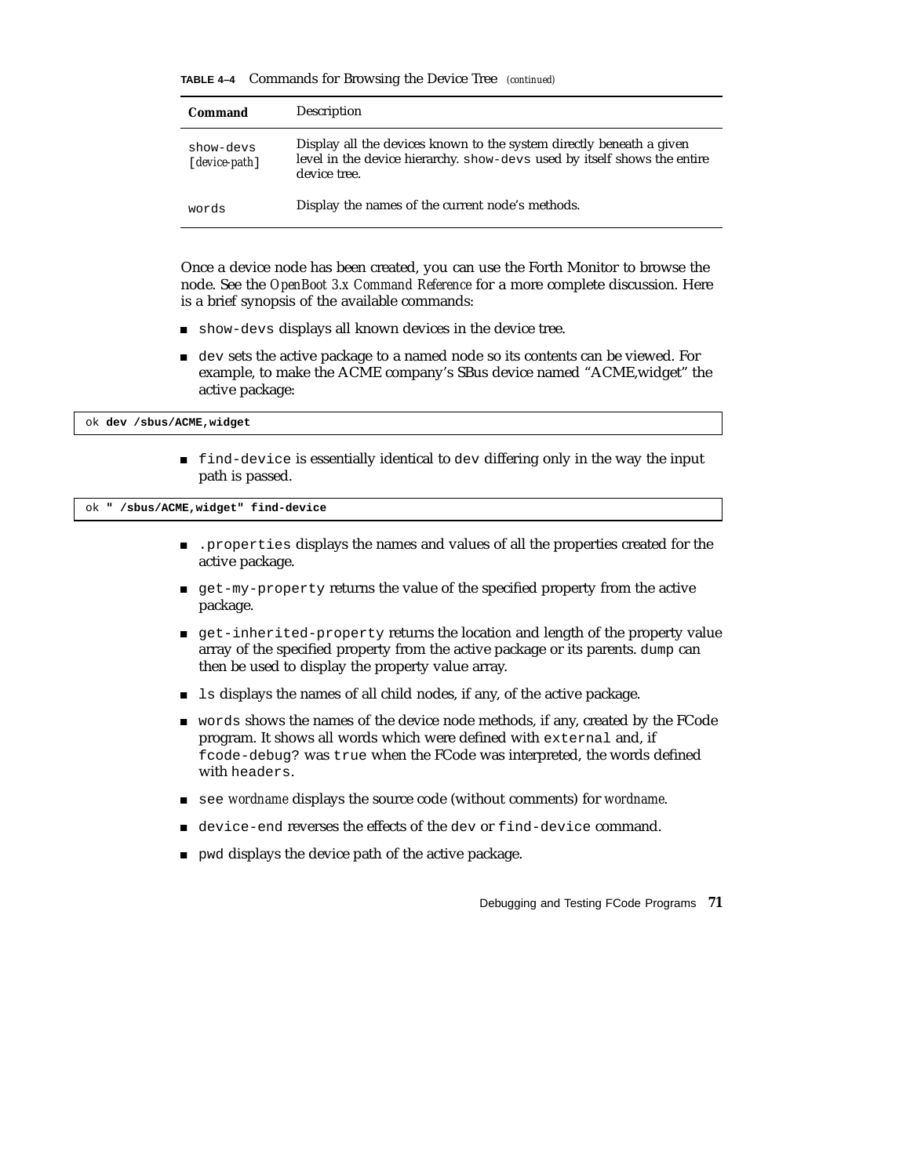|  |  |  | TABLE 4-4 Commands for Browsing the Device Tree (continued) |  |
|--|--|--|-------------------------------------------------------------|--|
|--|--|--|-------------------------------------------------------------|--|

| Command                      | Description                                                                                                                                                      |
|------------------------------|------------------------------------------------------------------------------------------------------------------------------------------------------------------|
| show-devs<br>$[device-path]$ | Display all the devices known to the system directly beneath a given<br>level in the device hierarchy. show-devs used by itself shows the entire<br>device tree. |
| words                        | Display the names of the current node's methods.                                                                                                                 |

Once a device node has been created, you can use the Forth Monitor to browse the node. See the *OpenBoot 3.x Command Reference* for a more complete discussion. Here is a brief synopsis of the available commands:

- show-devs displays all known devices in the device tree.
- dev sets the active package to a named node so its contents can be viewed. For example, to make the ACME company's SBus device named "ACME,widget" the active package:

ok **dev /sbus/ACME,widget**

 find-device is essentially identical to dev differing only in the way the input path is passed.

ok **" /sbus/ACME,widget" find-device**

- .properties displays the names and values of all the properties created for the active package.
- get-my-property returns the value of the specified property from the active package.
- get-inherited-property returns the location and length of the property value array of the specified property from the active package or its parents. dump can then be used to display the property value array.
- ls displays the names of all child nodes, if any, of the active package.
- words shows the names of the device node methods, if any, created by the FCode program. It shows all words which were defined with external and, if fcode-debug? was true when the FCode was interpreted, the words defined with headers.
- see *wordname* displays the source code (without comments) for *wordname*.
- device-end reverses the effects of the dev or find-device command.
- **pwd displays the device path of the active package.**

Debugging and Testing FCode Programs **71**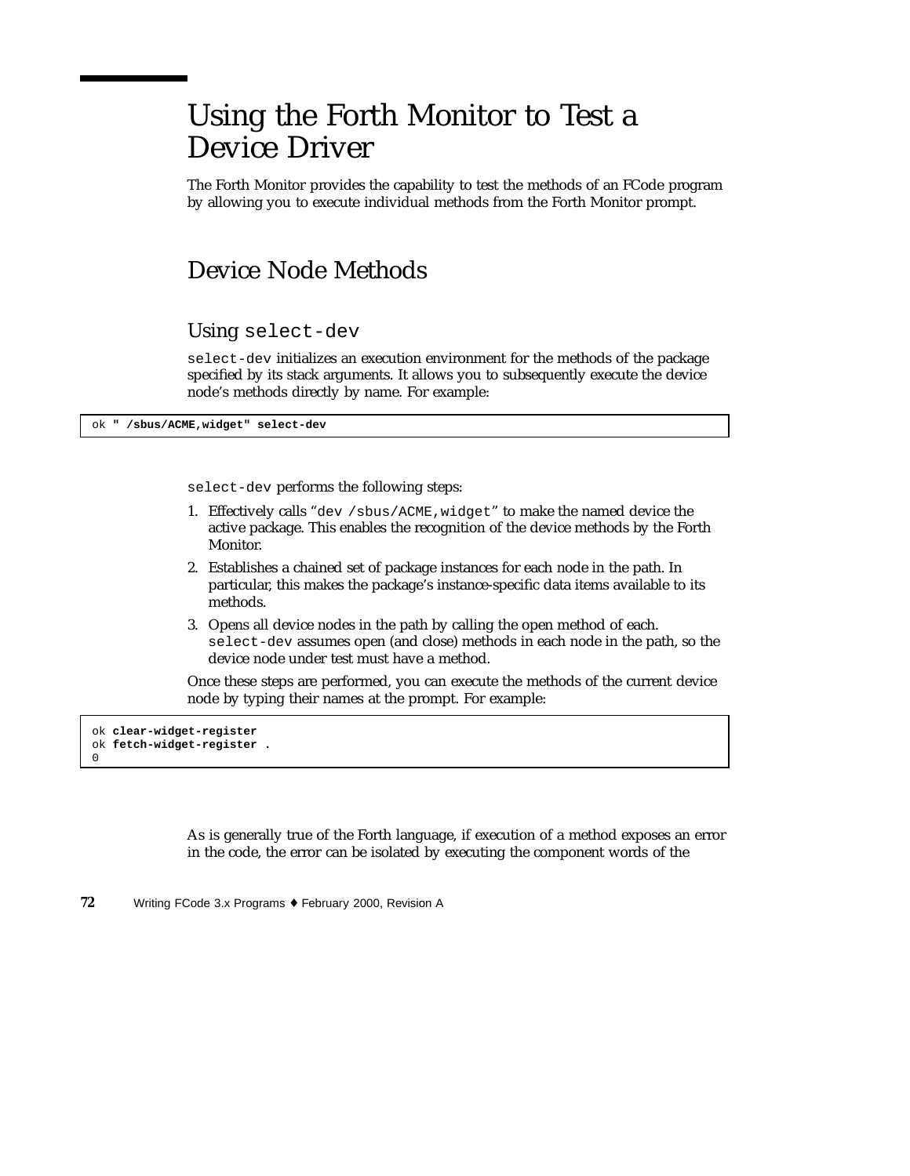# Using the Forth Monitor to Test a Device Driver

The Forth Monitor provides the capability to test the methods of an FCode program by allowing you to execute individual methods from the Forth Monitor prompt.

#### Device Node Methods

Using select-dev

select-dev initializes an execution environment for the methods of the package specified by its stack arguments. It allows you to subsequently execute the device node's methods directly by name. For example:

ok **" /sbus/ACME,widget" select-dev**

select-dev performs the following steps:

- 1. Effectively calls "dev /sbus/ACME,widget" to make the named device the active package. This enables the recognition of the device methods by the Forth Monitor.
- 2. Establishes a chained set of package instances for each node in the path. In particular, this makes the package's instance-specific data items available to its methods.
- 3. Opens all device nodes in the path by calling the open method of each. select-dev assumes open (and close) methods in each node in the path, so the device node under test must have a method.

Once these steps are performed, you can execute the methods of the current device node by typing their names at the prompt. For example:

ok **clear-widget-register** ok **fetch-widget-register .**  $\Omega$ 

> As is generally true of the Forth language, if execution of a method exposes an error in the code, the error can be isolated by executing the component words of the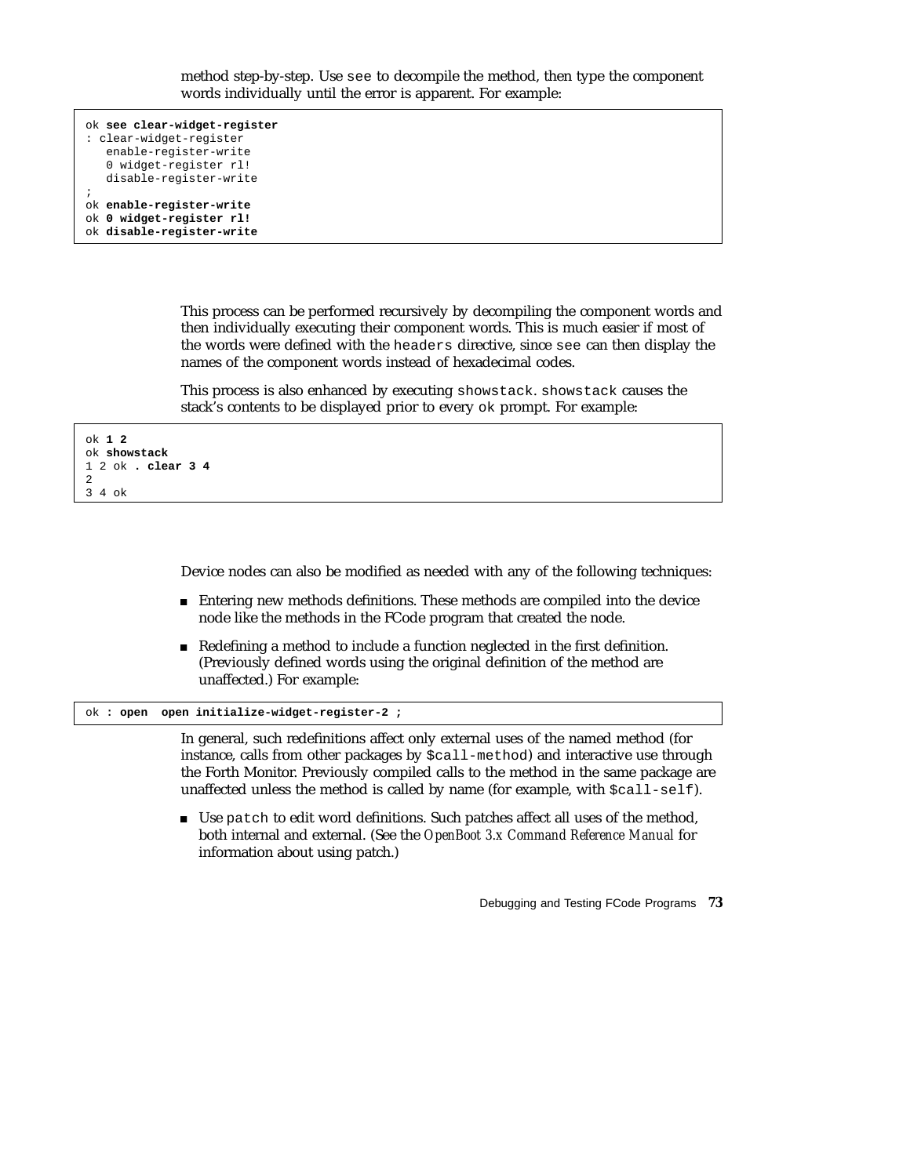```
ok see clear-widget-register
: clear-widget-register
   enable-register-write
   0 widget-register rl!
   disable-register-write
;
ok enable-register-write
ok 0 widget-register rl!
ok disable-register-write
```
This process can be performed recursively by decompiling the component words and then individually executing their component words. This is much easier if most of the words were defined with the headers directive, since see can then display the names of the component words instead of hexadecimal codes.

This process is also enhanced by executing showstack. showstack causes the stack's contents to be displayed prior to every ok prompt. For example:

```
ok 1 2
ok showstack
1 2 ok . clear 3 4
2
3 4 ok
```
Device nodes can also be modified as needed with any of the following techniques:

- Entering new methods definitions. These methods are compiled into the device node like the methods in the FCode program that created the node.
- Redefining a method to include a function neglected in the first definition. (Previously defined words using the original definition of the method are unaffected.) For example:

ok **: open open initialize-widget-register-2 ;**

In general, such redefinitions affect only external uses of the named method (for instance, calls from other packages by \$call-method) and interactive use through the Forth Monitor. Previously compiled calls to the method in the same package are unaffected unless the method is called by name (for example, with  $\zeta$ call-self).

 Use patch to edit word definitions. Such patches affect all uses of the method, both internal and external. (See the *OpenBoot 3.x Command Reference Manual* for information about using patch.)

Debugging and Testing FCode Programs **73**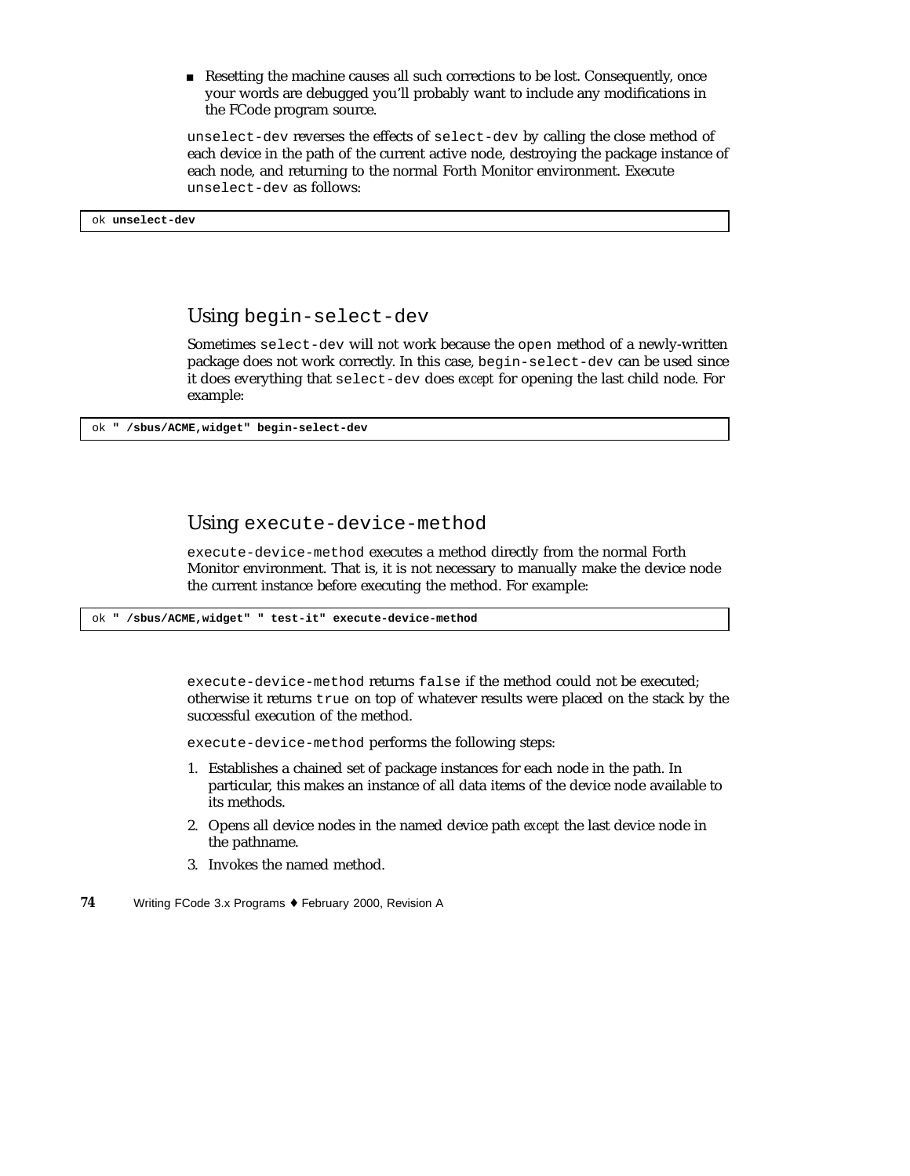Resetting the machine causes all such corrections to be lost. Consequently, once your words are debugged you'll probably want to include any modifications in the FCode program source.

unselect-dev reverses the effects of select-dev by calling the close method of each device in the path of the current active node, destroying the package instance of each node, and returning to the normal Forth Monitor environment. Execute unselect-dev as follows:

ok **unselect-dev**

Using begin-select-dev

Sometimes select-dev will not work because the open method of a newly-written package does not work correctly. In this case, begin-select-dev can be used since it does everything that select-dev does *except* for opening the last child node. For example:

ok **" /sbus/ACME,widget" begin-select-dev**

#### Using execute-device-method

execute-device-method executes a method directly from the normal Forth Monitor environment. That is, it is not necessary to manually make the device node the current instance before executing the method. For example:

ok **" /sbus/ACME,widget" " test-it" execute-device-method**

execute-device-method returns false if the method could not be executed; otherwise it returns true on top of whatever results were placed on the stack by the successful execution of the method.

execute-device-method performs the following steps:

- 1. Establishes a chained set of package instances for each node in the path. In particular, this makes an instance of all data items of the device node available to its methods.
- 2. Opens all device nodes in the named device path *except* the last device node in the pathname.
- 3. Invokes the named method.
- **74** Writing FCode 3.x Programs ♦ February 2000, Revision A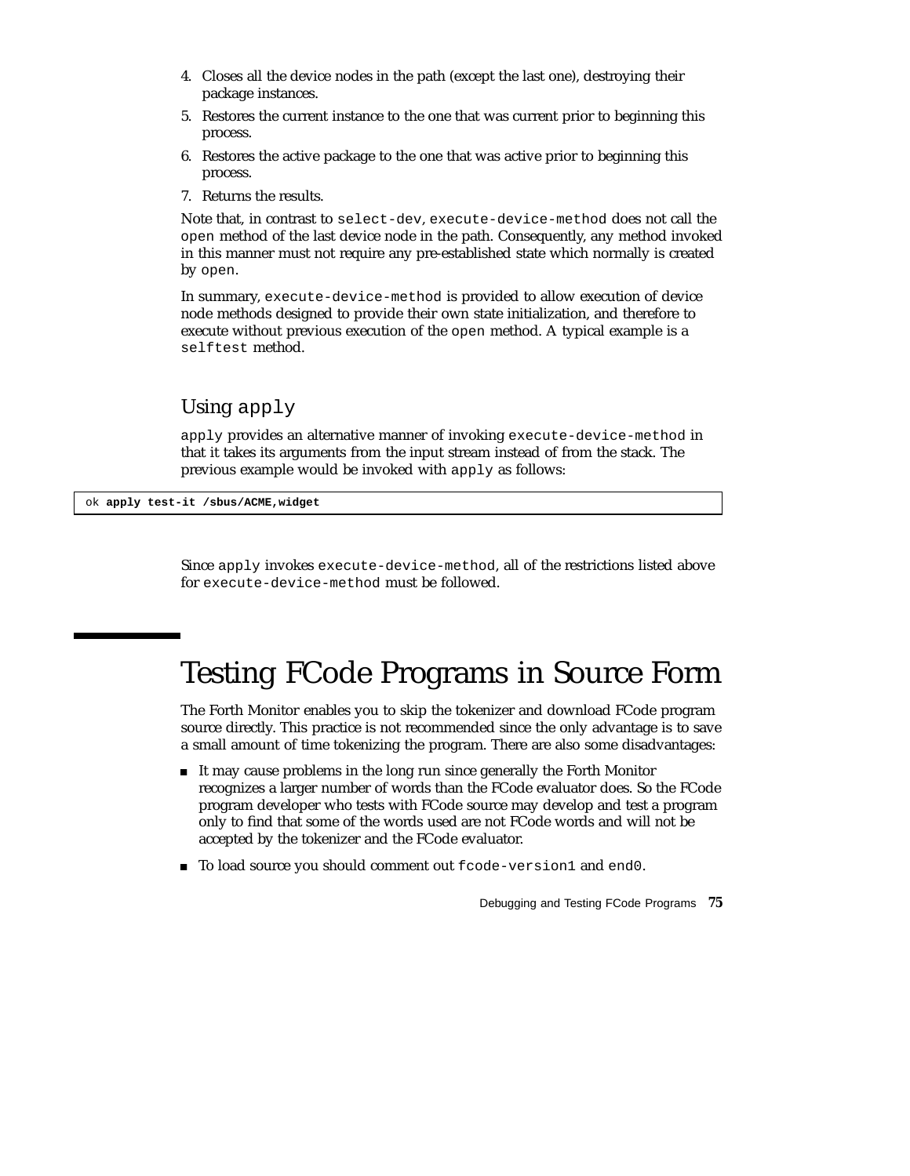- 4. Closes all the device nodes in the path (except the last one), destroying their package instances.
- 5. Restores the current instance to the one that was current prior to beginning this process.
- 6. Restores the active package to the one that was active prior to beginning this process.
- 7. Returns the results.

Note that, in contrast to select-dev, execute-device-method does not call the open method of the last device node in the path. Consequently, any method invoked in this manner must not require any pre-established state which normally is created by open.

In summary, execute-device-method is provided to allow execution of device node methods designed to provide their own state initialization, and therefore to execute without previous execution of the open method. A typical example is a selftest method.

#### Using apply

apply provides an alternative manner of invoking execute-device-method in that it takes its arguments from the input stream instead of from the stack. The previous example would be invoked with apply as follows:

ok **apply test-it /sbus/ACME,widget**

Since apply invokes execute-device-method, all of the restrictions listed above for execute-device-method must be followed.

#### Testing FCode Programs in Source Form

The Forth Monitor enables you to skip the tokenizer and download FCode program source directly. This practice is not recommended since the only advantage is to save a small amount of time tokenizing the program. There are also some disadvantages:

- It may cause problems in the long run since generally the Forth Monitor recognizes a larger number of words than the FCode evaluator does. So the FCode program developer who tests with FCode source may develop and test a program only to find that some of the words used are not FCode words and will not be accepted by the tokenizer and the FCode evaluator.
- To load source you should comment out fcode-version1 and end0.

Debugging and Testing FCode Programs **75**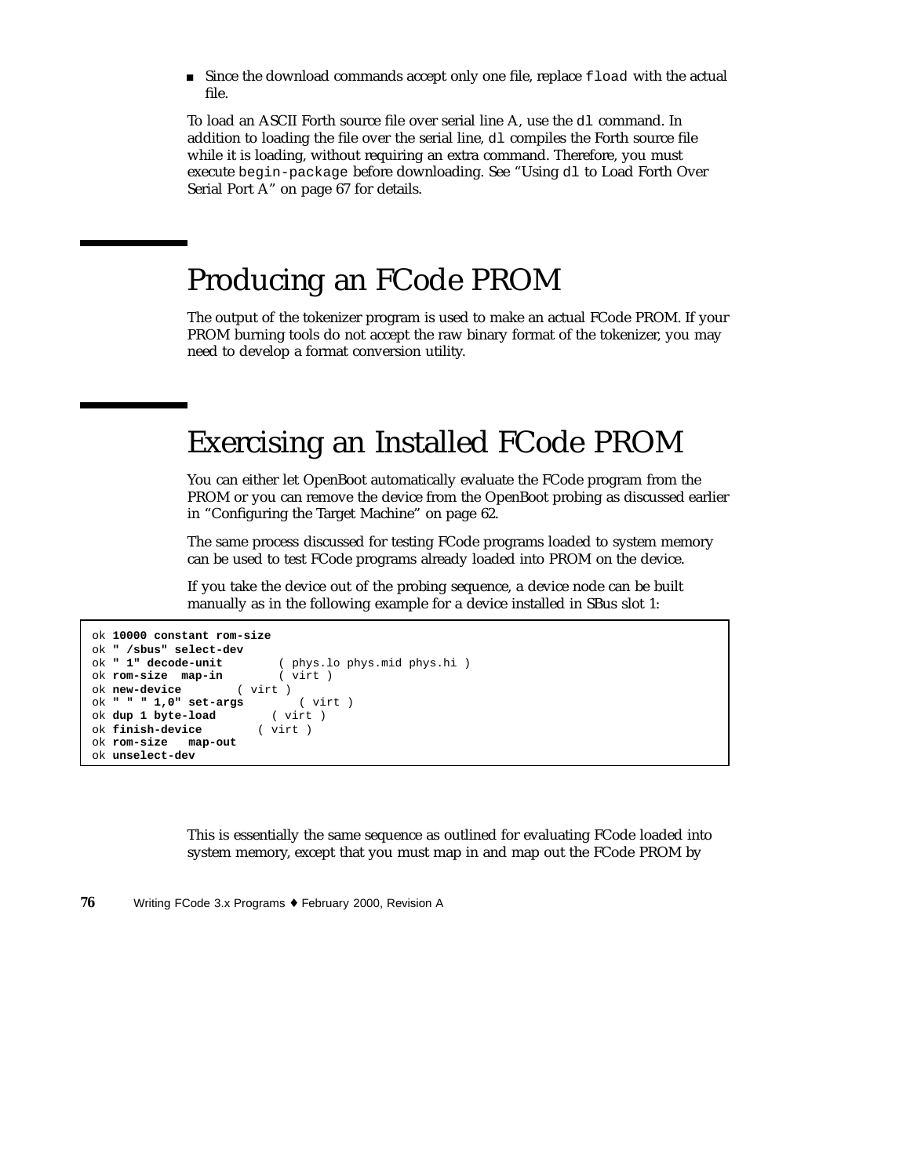Since the download commands accept only one file, replace fload with the actual file.

To load an ASCII Forth source file over serial line A, use the dl command. In addition to loading the file over the serial line, dl compiles the Forth source file while it is loading, without requiring an extra command. Therefore, you must execute begin-package before downloading. See "Using dl to Load Forth Over Serial Port A" on page 67 for details.

#### Producing an FCode PROM

The output of the tokenizer program is used to make an actual FCode PROM. If your PROM burning tools do not accept the raw binary format of the tokenizer, you may need to develop a format conversion utility.

#### Exercising an Installed FCode PROM

You can either let OpenBoot automatically evaluate the FCode program from the PROM or you can remove the device from the OpenBoot probing as discussed earlier in "Configuring the Target Machine" on page 62.

The same process discussed for testing FCode programs loaded to system memory can be used to test FCode programs already loaded into PROM on the device.

If you take the device out of the probing sequence, a device node can be built manually as in the following example for a device installed in SBus slot 1:

```
ok 10000 constant rom-size
ok " /sbus" select-dev
                          ok " 1" decode-unit ( phys.lo phys.mid phys.hi )
ok rom-size map-in ( virt )
ok new-device ( virt )
ok " " " 1,0" set-args ( virt )
ok dup 1 byte-load
ok finish-device ( virt )
ok rom-size map-out
ok unselect-dev
```
This is essentially the same sequence as outlined for evaluating FCode loaded into system memory, except that you must map in and map out the FCode PROM by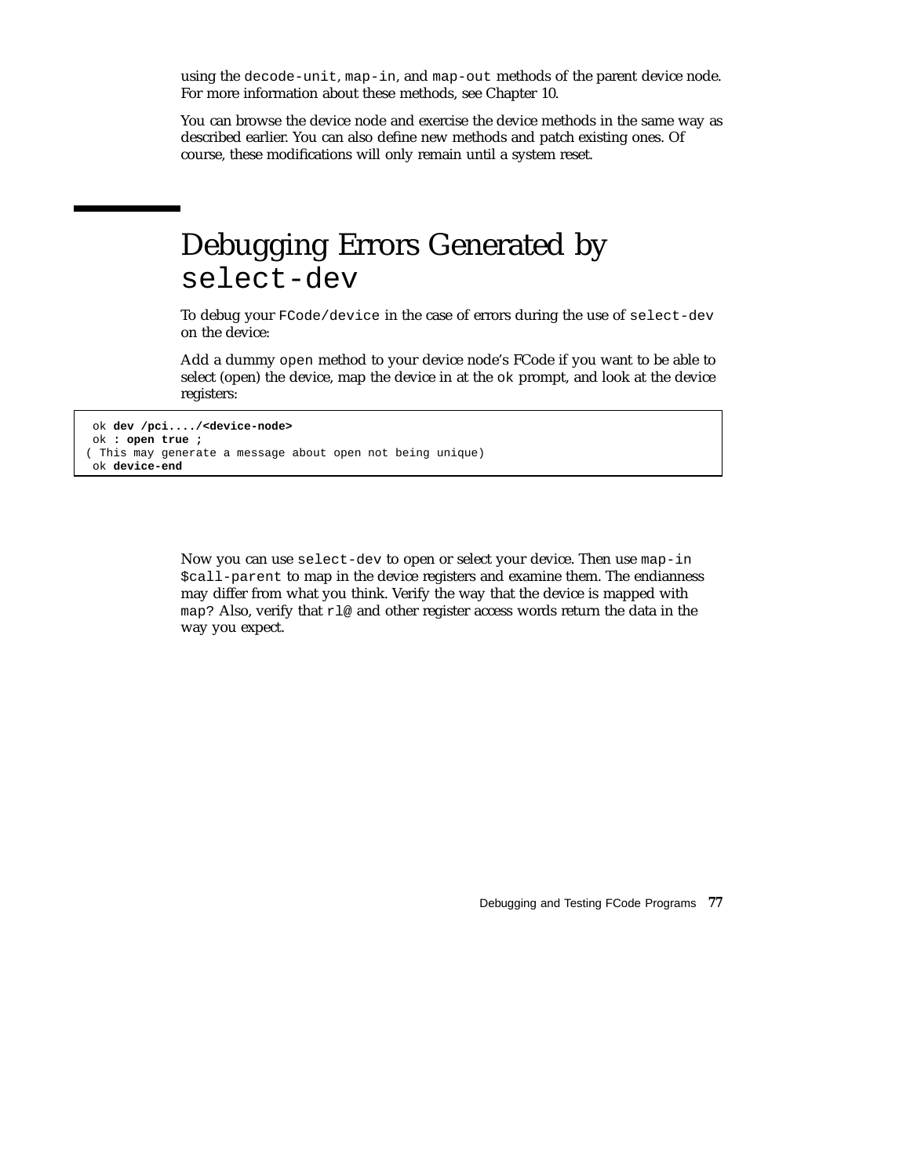using the decode-unit, map-in, and map-out methods of the parent device node. For more information about these methods, see Chapter 10.

You can browse the device node and exercise the device methods in the same way as described earlier. You can also define new methods and patch existing ones. Of course, these modifications will only remain until a system reset.

#### Debugging Errors Generated by select-dev

To debug your FCode/device in the case of errors during the use of select-dev on the device:

Add a dummy open method to your device node's FCode if you want to be able to select (open) the device, map the device in at the ok prompt, and look at the device registers:

```
ok dev /pci..../<device-node>
ok : open true ;
( This may generate a message about open not being unique)
ok device-end
```
Now you can use select-dev to open or select your device. Then use map-in \$call-parent to map in the device registers and examine them. The endianness may differ from what you think. Verify the way that the device is mapped with map? Also, verify that  $r \log a$  and other register access words return the data in the way you expect.

Debugging and Testing FCode Programs **77**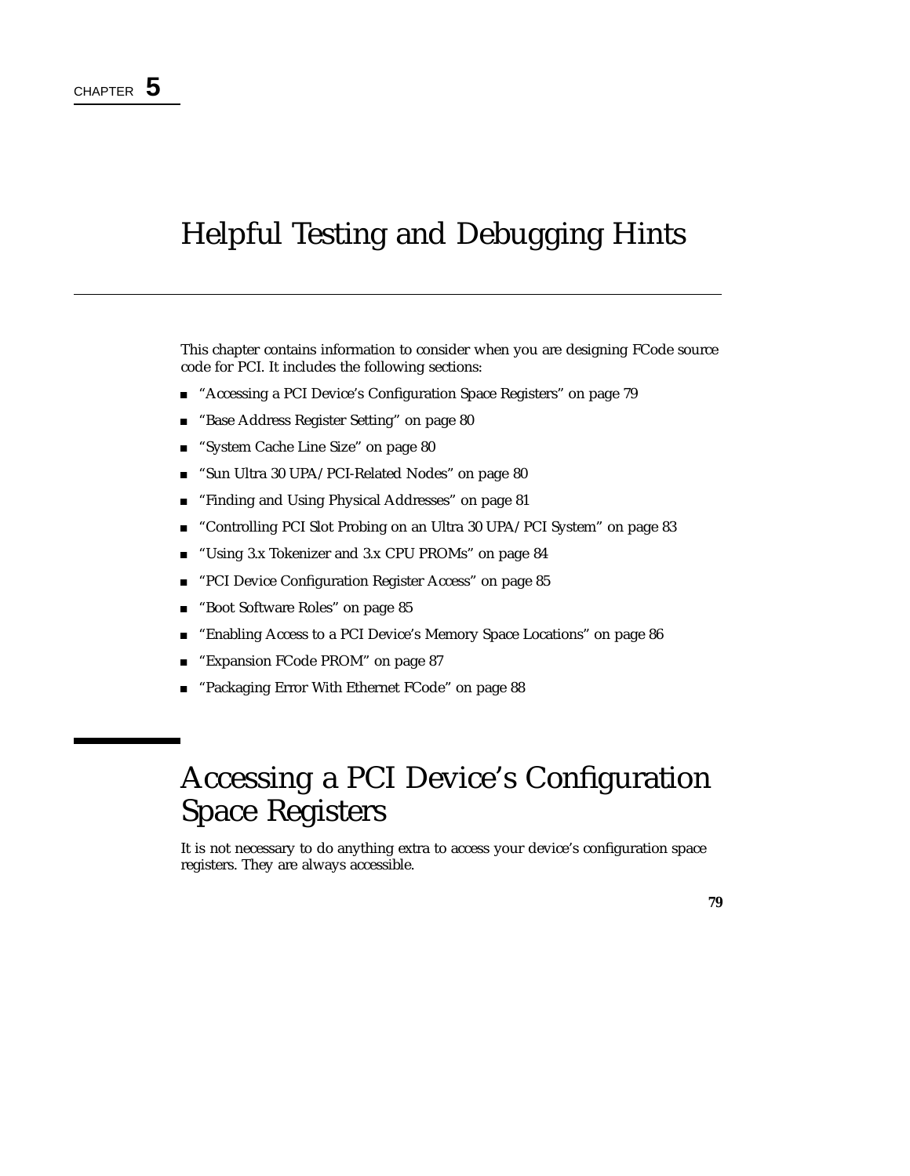# Helpful Testing and Debugging Hints

This chapter contains information to consider when you are designing FCode source code for PCI. It includes the following sections:

- "Accessing a PCI Device's Configuration Space Registers" on page 79
- "Base Address Register Setting" on page 80
- "System Cache Line Size" on page 80
- "Sun Ultra 30 UPA/PCI-Related Nodes" on page 80
- "Finding and Using Physical Addresses" on page 81
- "Controlling PCI Slot Probing on an Ultra 30 UPA/PCI System" on page 83
- "Using 3.x Tokenizer and 3.x CPU PROMs" on page 84
- "PCI Device Configuration Register Access" on page 85
- "Boot Software Roles" on page 85
- "Enabling Access to a PCI Device's Memory Space Locations" on page 86
- "Expansion FCode PROM" on page 87
- "Packaging Error With Ethernet FCode" on page 88

### Accessing a PCI Device's Configuration Space Registers

It is not necessary to do anything extra to access your device's configuration space registers. They are always accessible.

**79**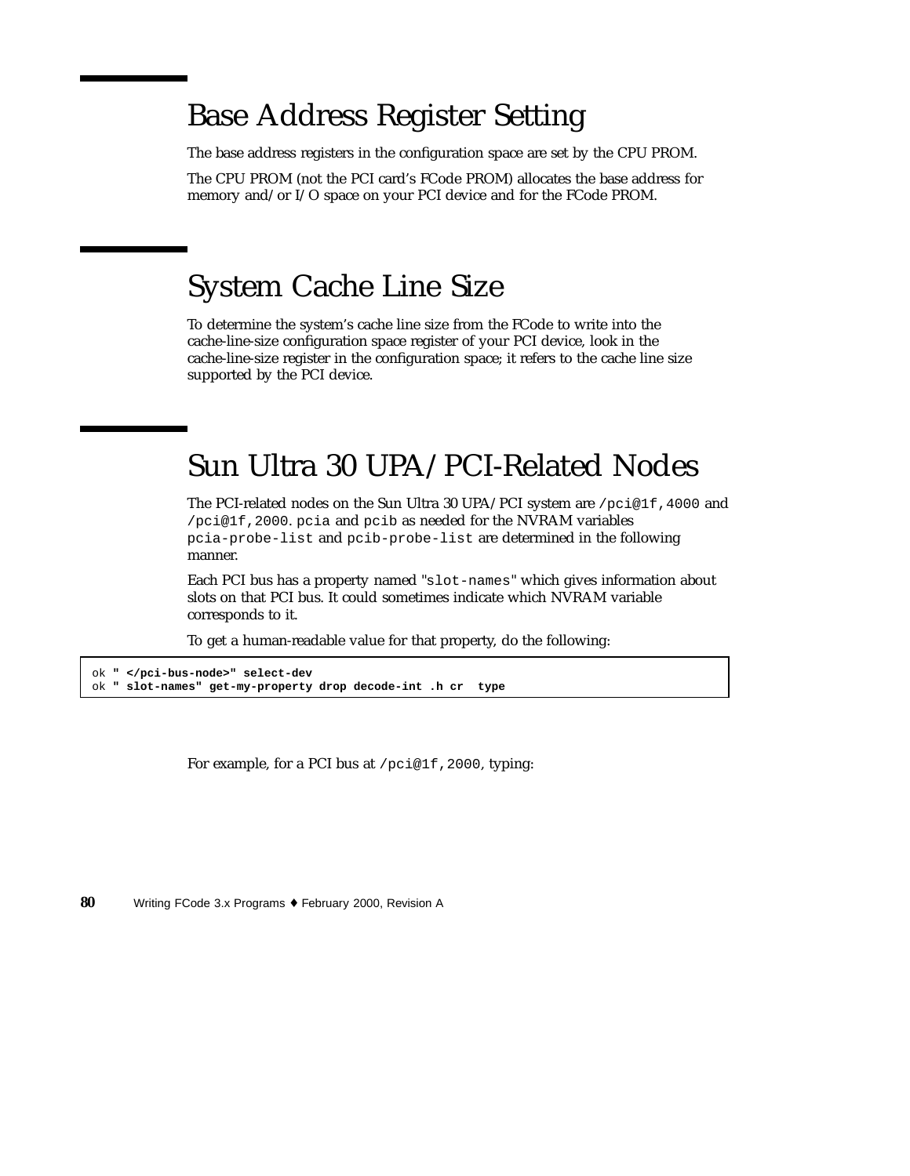#### Base Address Register Setting

The base address registers in the configuration space are set by the CPU PROM.

The CPU PROM (not the PCI card's FCode PROM) allocates the base address for memory and/or I/O space on your PCI device and for the FCode PROM.

## System Cache Line Size

To determine the system's cache line size from the FCode to write into the cache-line-size configuration space register of your PCI device, look in the cache-line-size register in the configuration space; it refers to the cache line size supported by the PCI device.

#### Sun Ultra 30 UPA/PCI-Related Nodes

The PCI-related nodes on the Sun Ultra 30 UPA/PCI system are /pci@1f,4000 and /pci@1f,2000. pcia and pcib as needed for the NVRAM variables pcia-probe-list and pcib-probe-list are determined in the following manner.

Each PCI bus has a property named "slot-names" which gives information about slots on that PCI bus. It could sometimes indicate which NVRAM variable corresponds to it.

To get a human-readable value for that property, do the following:

```
ok " </pci-bus-node>" select-dev
ok " slot-names" get-my-property drop decode-int .h cr type
```
For example, for a PCI bus at /pci@1f, 2000, typing: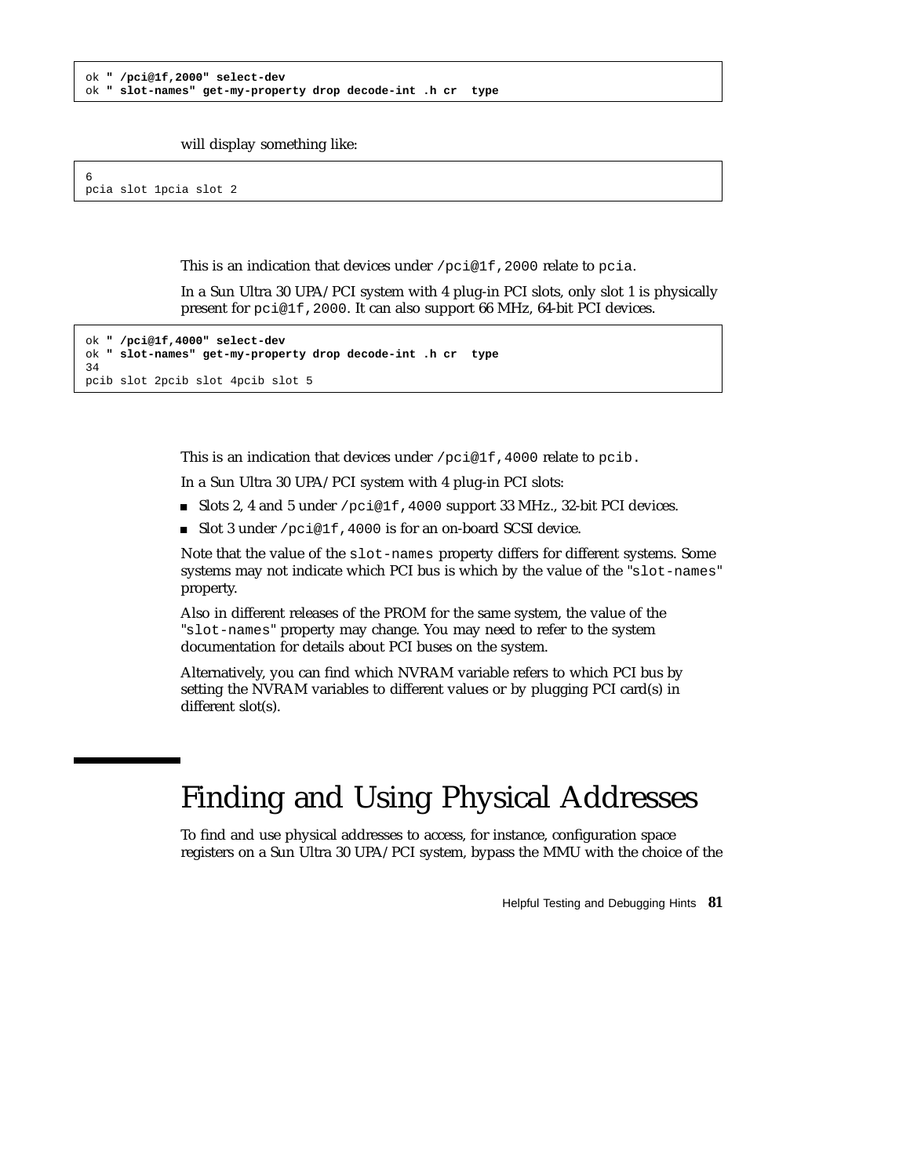```
ok " /pci@1f,2000" select-dev
ok " slot-names" get-my-property drop decode-int .h cr type
```
will display something like:

6 pcia slot 1pcia slot 2

This is an indication that devices under /pci@1f,2000 relate to pcia.

In a Sun Ultra 30 UPA/PCI system with 4 plug-in PCI slots, only slot 1 is physically present for pci@1f,2000. It can also support 66 MHz, 64-bit PCI devices.

```
ok " /pci@1f,4000" select-dev
ok " slot-names" get-my-property drop decode-int .h cr type
34
pcib slot 2pcib slot 4pcib slot 5
```
This is an indication that devices under /pci@1f,4000 relate to pcib.

In a Sun Ultra 30 UPA/PCI system with 4 plug-in PCI slots:

- Slots 2, 4 and 5 under /pci@1f,4000 support 33 MHz., 32-bit PCI devices.
- Slot 3 under /pci@1f,4000 is for an on-board SCSI device.

Note that the value of the slot-names property differs for different systems. Some systems may not indicate which PCI bus is which by the value of the "slot-names" property.

Also in different releases of the PROM for the same system, the value of the "slot-names" property may change. You may need to refer to the system documentation for details about PCI buses on the system.

Alternatively, you can find which NVRAM variable refers to which PCI bus by setting the NVRAM variables to different values or by plugging PCI card(s) in different slot(s).

## Finding and Using Physical Addresses

To find and use physical addresses to access, for instance, configuration space registers on a Sun Ultra 30 UPA/PCI system, bypass the MMU with the choice of the

Helpful Testing and Debugging Hints **81**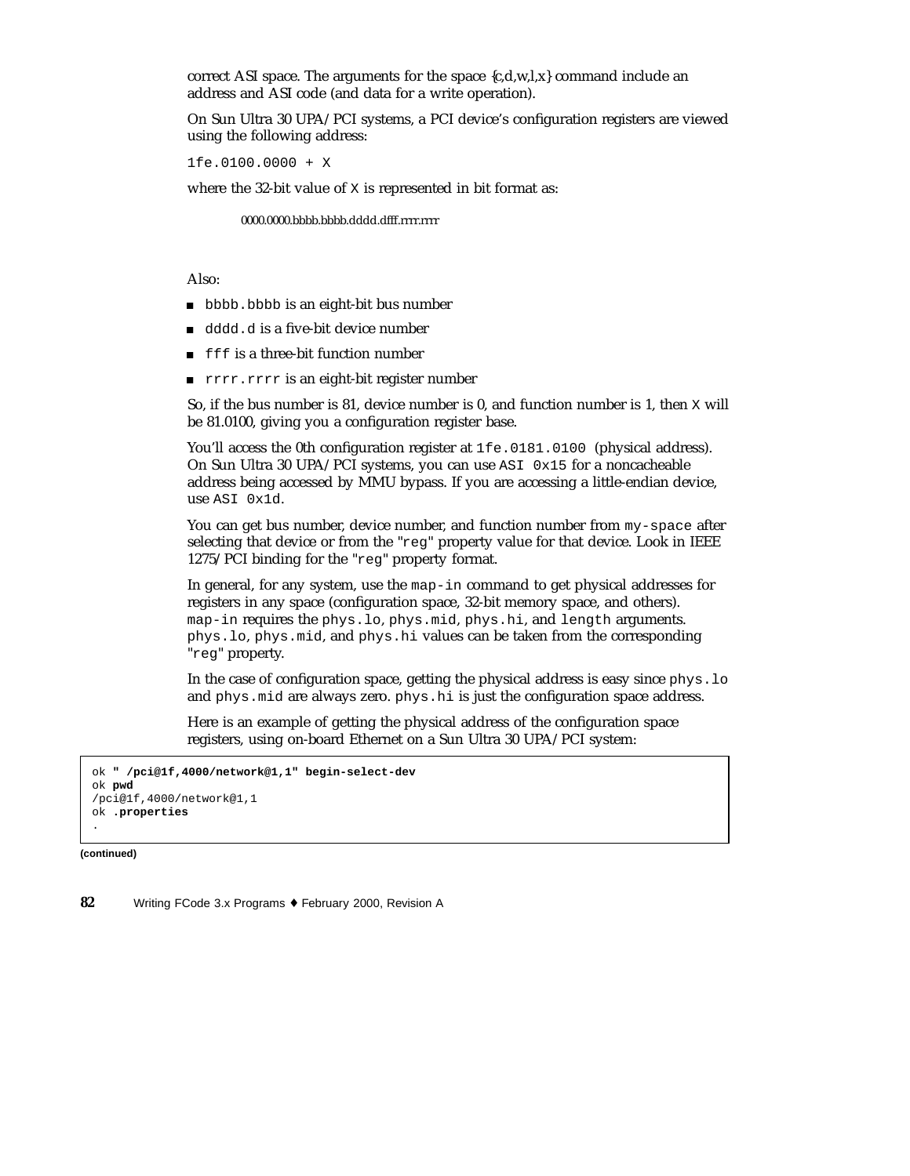correct ASI space. The arguments for the space  $\{c,d,w,l,x\}$  command include an address and ASI code (and data for a write operation).

On Sun Ultra 30 UPA/PCI systems, a PCI device's configuration registers are viewed using the following address:

1fe.0100.0000 + X

where the 32-bit value of  $X$  is represented in bit format as:

0000.0000.bbbb.bbbb.dddd.dfff.rrrr.rrrr

Also:

- bbbb.bbbb is an eight-bit bus number
- dddd.d is a five-bit device number
- **filteral** final function number
- rrrr.rrrr is an eight-bit register number

So, if the bus number is 81, device number is 0, and function number is 1, then X will be 81.0100, giving you a configuration register base.

You'll access the 0th configuration register at 1fe.0181.0100 (physical address). On Sun Ultra 30 UPA/PCI systems, you can use ASI 0x15 for a noncacheable address being accessed by MMU bypass. If you are accessing a little-endian device, use ASI 0x1d.

You can get bus number, device number, and function number from my-space after selecting that device or from the "reg" property value for that device. Look in IEEE 1275/PCI binding for the "reg" property format.

In general, for any system, use the map-in command to get physical addresses for registers in any space (configuration space, 32-bit memory space, and others). map-in requires the phys.lo, phys.mid, phys.hi, and length arguments. phys.lo, phys.mid, and phys.hi values can be taken from the corresponding "reg" property.

In the case of configuration space, getting the physical address is easy since phys. lo and phys.mid are always zero. phys.hi is just the configuration space address.

Here is an example of getting the physical address of the configuration space registers, using on-board Ethernet on a Sun Ultra 30 UPA/PCI system:

```
ok " /pci@1f,4000/network@1,1" begin-select-dev
ok pwd
/pci@1f,4000/network@1,1
ok .properties
.
```
**(continued)**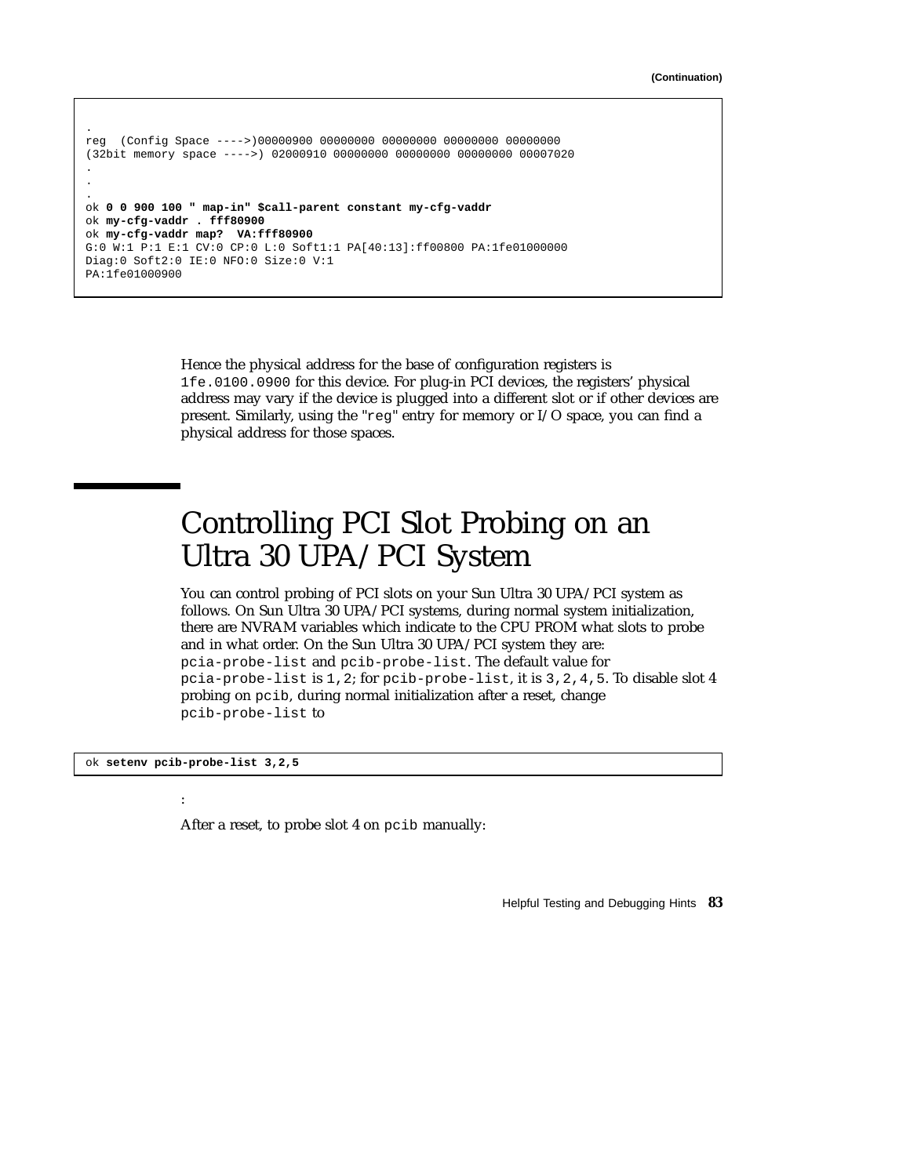```
.
reg (Config Space ---->)00000900 00000000 00000000 00000000 00000000
(32bit memory space ---->) 02000910 00000000 00000000 00000000 00007020
.
.
.
ok 0 0 900 100 " map-in" $call-parent constant my-cfg-vaddr
ok my-cfg-vaddr . fff80900
ok my-cfg-vaddr map? VA:fff80900
G:0 W:1 P:1 E:1 CV:0 CP:0 L:0 Soft1:1 PA[40:13]:ff00800 PA:1fe01000000
Diag:0 Soft2:0 IE:0 NFO:0 Size:0 V:1
PA:1fe01000900
```
Hence the physical address for the base of configuration registers is 1fe.0100.0900 for this device. For plug-in PCI devices, the registers' physical address may vary if the device is plugged into a different slot or if other devices are present. Similarly, using the "reg" entry for memory or I/O space, you can find a physical address for those spaces.

## Controlling PCI Slot Probing on an Ultra 30 UPA/PCI System

You can control probing of PCI slots on your Sun Ultra 30 UPA/PCI system as follows. On Sun Ultra 30 UPA/PCI systems, during normal system initialization, there are NVRAM variables which indicate to the CPU PROM what slots to probe and in what order. On the Sun Ultra 30 UPA/PCI system they are: pcia-probe-list and pcib-probe-list. The default value for pcia-probe-list is 1,2; for pcib-probe-list, it is 3,2,4,5. To disable slot 4 probing on pcib, during normal initialization after a reset, change pcib-probe-list to

ok **setenv pcib-probe-list 3,2,5**

:

After a reset, to probe slot 4 on pcib manually:

Helpful Testing and Debugging Hints **83**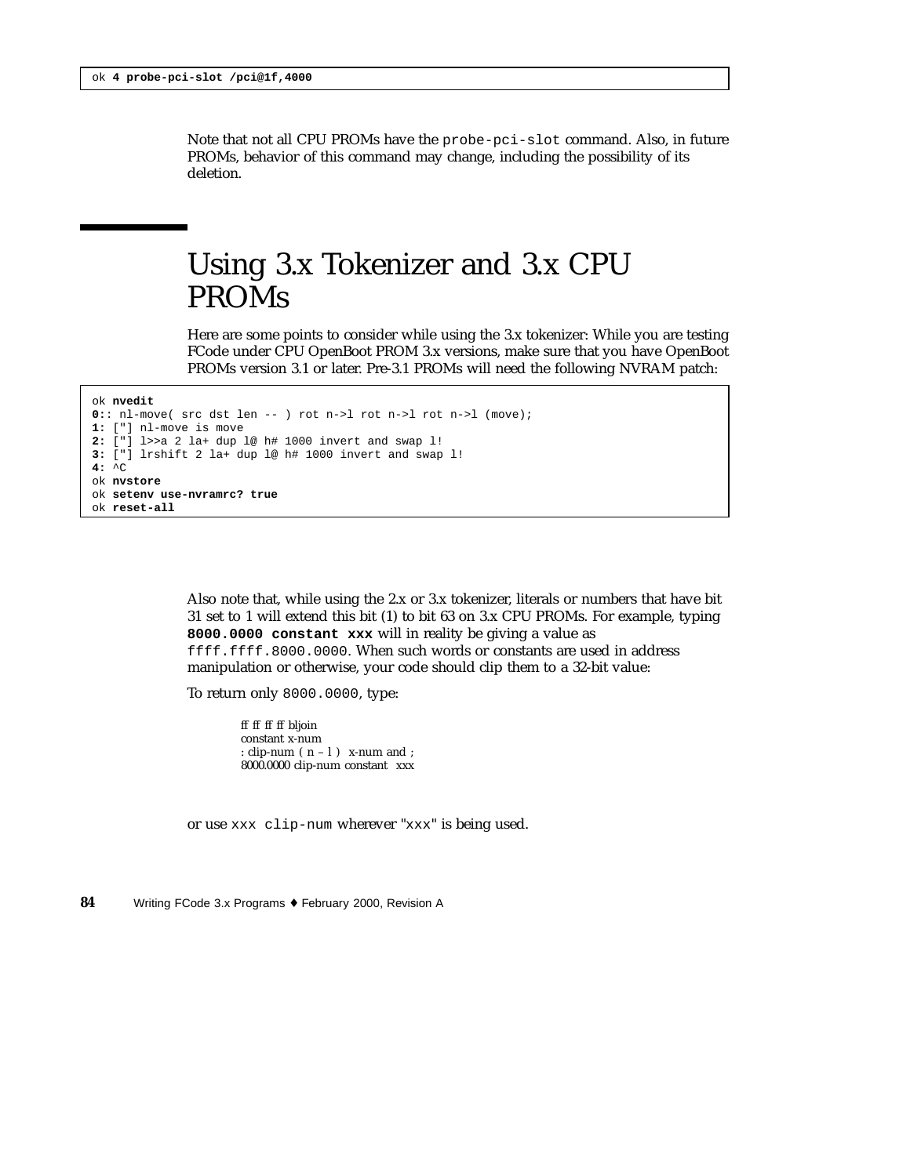Note that not all CPU PROMs have the probe-pci-slot command. Also, in future PROMs, behavior of this command may change, including the possibility of its deletion.

### Using 3.x Tokenizer and 3.x CPU PROMs

Here are some points to consider while using the 3.x tokenizer: While you are testing FCode under CPU OpenBoot PROM 3.x versions, make sure that you have OpenBoot PROMs version 3.1 or later. Pre-3.1 PROMs will need the following NVRAM patch:

```
ok nvedit
0:: nl-move( src dst len -- ) rot n->l rot n->l rot n->l (move);
1: ["] nl-move is move
2: ["] l>>a 2 la+ dup l@ h# 1000 invert and swap l!
3: ["] lrshift 2 la+ dup l@ h# 1000 invert and swap l!
4: ^C
ok nvstore
ok setenv use-nvramrc? true
ok reset-all
```
Also note that, while using the 2.x or 3.x tokenizer, literals or numbers that have bit 31 set to 1 will extend this bit (1) to bit 63 on 3.x CPU PROMs. For example, typing **8000.0000 constant xxx** will in reality be giving a value as ffff.ffff.8000.0000. When such words or constants are used in address manipulation or otherwise, your code should clip them to a 32-bit value:

To return only 8000.0000, type:

ff ff ff ff bljoin constant x-num : clip-num  $(n - 1)$  x-num and ; 8000.0000 clip-num constant xxx

or use xxx clip-num wherever "xxx" is being used.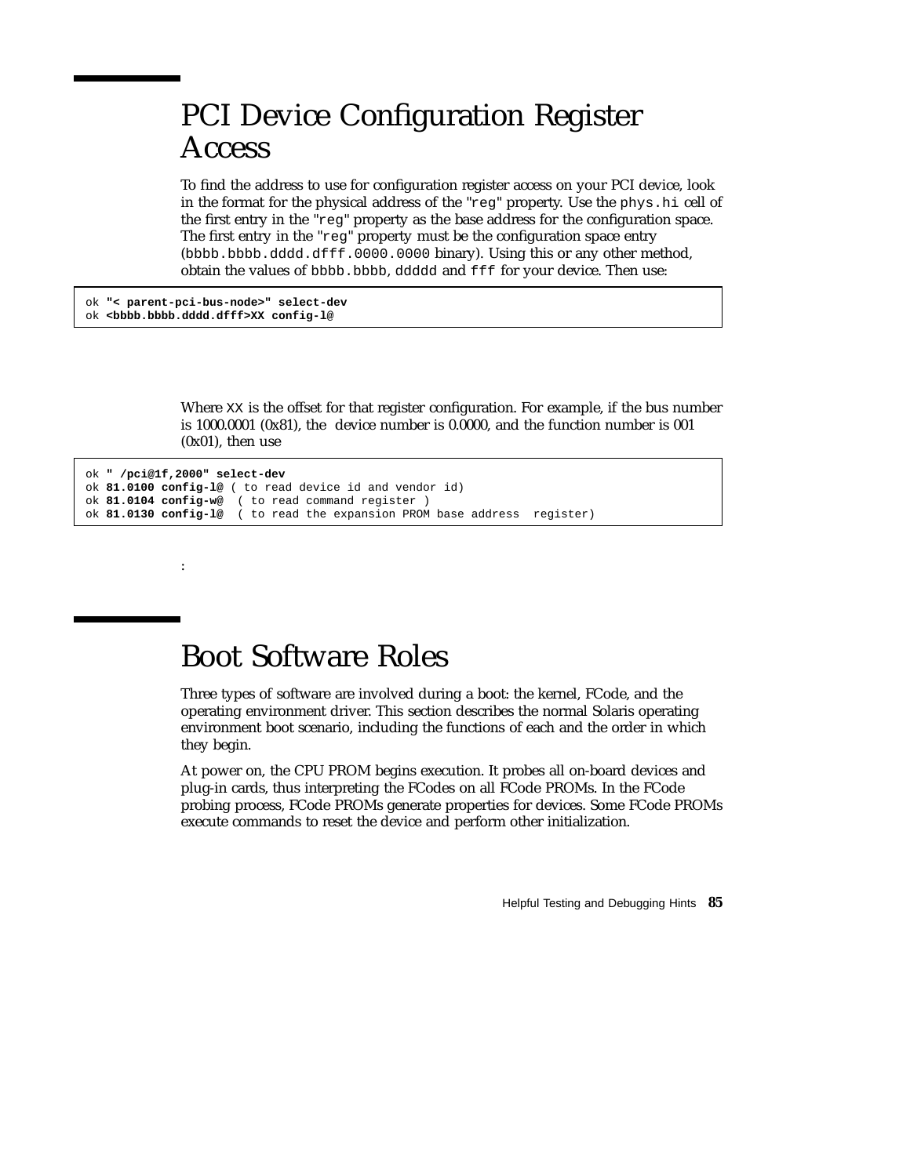## PCI Device Configuration Register Access

To find the address to use for configuration register access on your PCI device, look in the format for the physical address of the "reg" property. Use the phys.hi cell of the first entry in the "reg" property as the base address for the configuration space. The first entry in the "reg" property must be the configuration space entry (bbbb.bbbb.dddd.dfff.0000.0000 binary). Using this or any other method, obtain the values of bbbb.bbbb, ddddd and fff for your device. Then use:

ok **"< parent-pci-bus-node>" select-dev** ok **<bbbb.bbbb.dddd.dfff>XX config-l@**

:

Where XX is the offset for that register configuration. For example, if the bus number is 1000.0001 (0x81), the device number is 0.0000, and the function number is 001 (0x01), then use

```
ok " /pci@1f,2000" select-dev
ok 81.0100 config-l@ ( to read device id and vendor id)
ok 81.0104 config-w@ ( to read command register )
ok 81.0130 config-l@ ( to read the expansion PROM base address register)
```
#### Boot Software Roles

Three types of software are involved during a boot: the kernel, FCode, and the operating environment driver. This section describes the normal Solaris operating environment boot scenario, including the functions of each and the order in which they begin.

At power on, the CPU PROM begins execution. It probes all on-board devices and plug-in cards, thus interpreting the FCodes on all FCode PROMs. In the FCode probing process, FCode PROMs generate properties for devices. Some FCode PROMs execute commands to reset the device and perform other initialization.

Helpful Testing and Debugging Hints **85**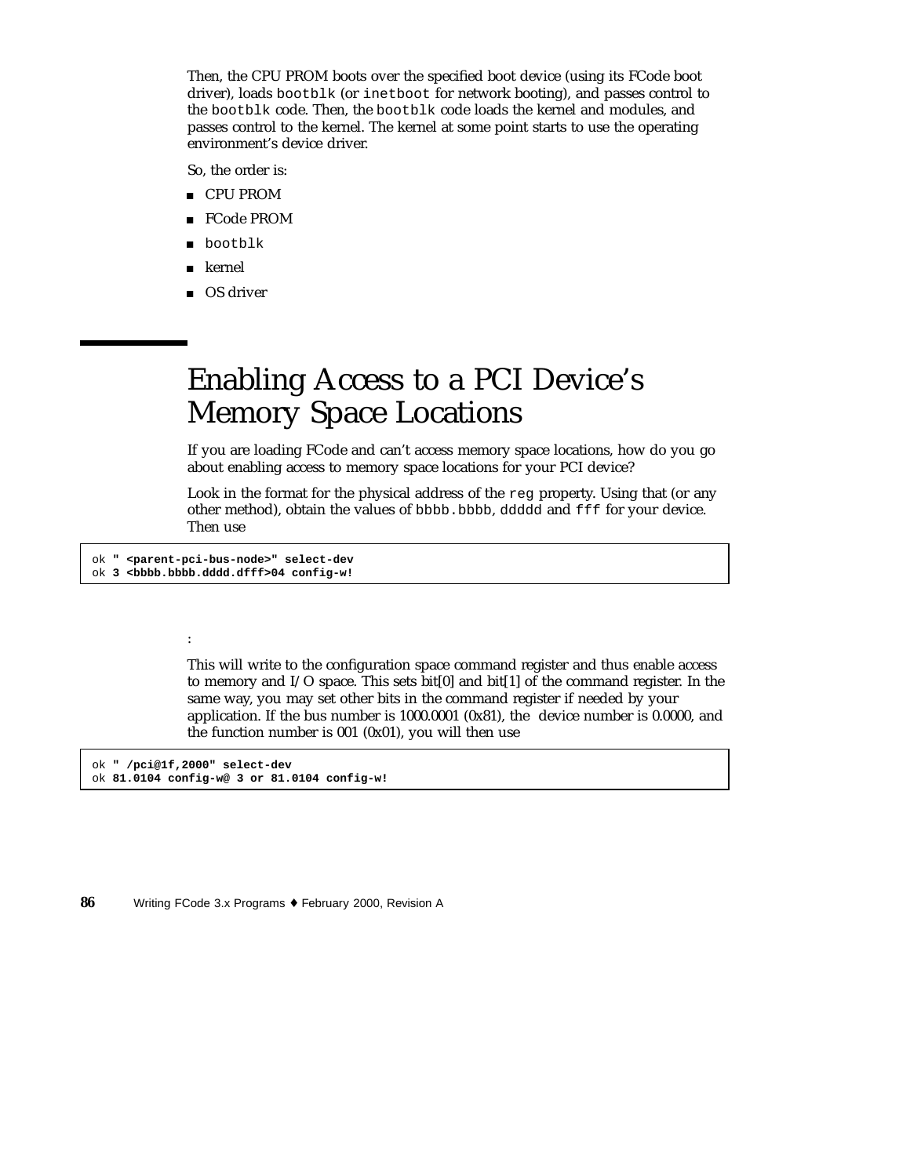Then, the CPU PROM boots over the specified boot device (using its FCode boot driver), loads bootblk (or inetboot for network booting), and passes control to the bootblk code. Then, the bootblk code loads the kernel and modules, and passes control to the kernel. The kernel at some point starts to use the operating environment's device driver.

So, the order is:

- CPU PROM
- FCode PROM
- **bootblk**
- kernel
- OS driver

## Enabling Access to a PCI Device's Memory Space Locations

If you are loading FCode and can't access memory space locations, how do you go about enabling access to memory space locations for your PCI device?

Look in the format for the physical address of the reg property. Using that (or any other method), obtain the values of bbbb.bbbb, ddddd and fff for your device. Then use

ok **" <parent-pci-bus-node>" select-dev** ok **3 <bbbb.bbbb.dddd.dfff>04 config-w!**

#### :

This will write to the configuration space command register and thus enable access to memory and I/O space. This sets bit[0] and bit[1] of the command register. In the same way, you may set other bits in the command register if needed by your application. If the bus number is 1000.0001 (0x81), the device number is 0.0000, and the function number is 001 (0x01), you will then use

ok **" /pci@1f,2000" select-dev** ok **81.0104 config-w@ 3 or 81.0104 config-w!**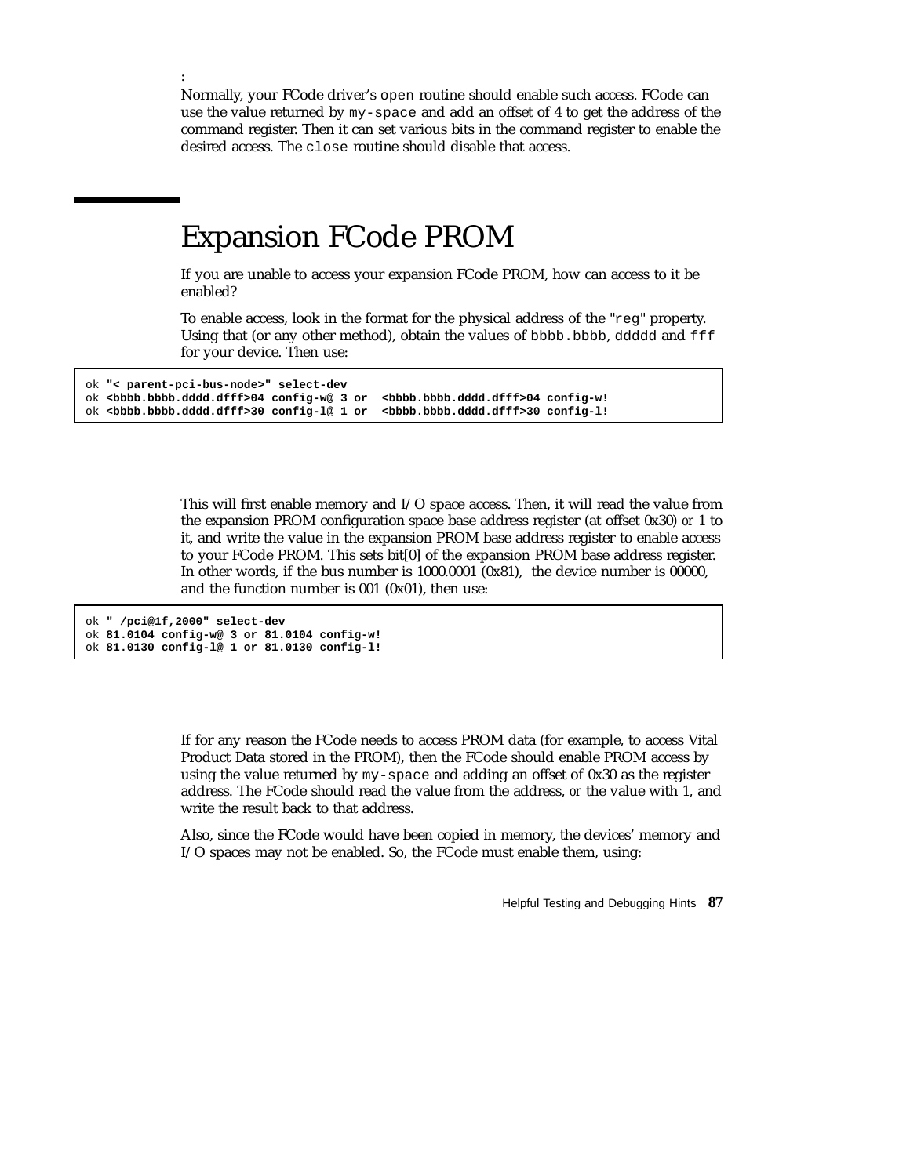Normally, your FCode driver's open routine should enable such access. FCode can use the value returned by my-space and add an offset of 4 to get the address of the command register. Then it can set various bits in the command register to enable the desired access. The close routine should disable that access.

#### Expansion FCode PROM

If you are unable to access your expansion FCode PROM, how can access to it be enabled?

To enable access, look in the format for the physical address of the "reg" property. Using that (or any other method), obtain the values of bbbb.bbbb, ddddd and  $\text{eff}$ for your device. Then use:

```
ok "< parent-pci-bus-node>" select-dev
ok <bbbb.bbbb.dddd.dfff>04 config-w@ 3 or <bbbb.bbbb.dddd.dfff>04 config-w!
ok <bbbb.bbbb.dddd.dfff>30 config-l@ 1 or <bbbb.bbbb.dddd.dfff>30 config-l!
```
This will first enable memory and I/O space access. Then, it will read the value from the expansion PROM configuration space base address register (at offset 0x30) *or* 1 to it, and write the value in the expansion PROM base address register to enable access to your FCode PROM. This sets bit[0] of the expansion PROM base address register. In other words, if the bus number is 1000.0001 (0x81), the device number is 00000, and the function number is 001 (0x01), then use:

```
ok " /pci@1f,2000" select-dev
ok 81.0104 config-w@ 3 or 81.0104 config-w!
ok 81.0130 config-l@ 1 or 81.0130 config-l!
```
:

If for any reason the FCode needs to access PROM data (for example, to access Vital Product Data stored in the PROM), then the FCode should enable PROM access by using the value returned by my-space and adding an offset of 0x30 as the register address. The FCode should read the value from the address, *or* the value with 1, and write the result back to that address.

Also, since the FCode would have been copied in memory, the devices' memory and I/O spaces may not be enabled. So, the FCode must enable them, using:

Helpful Testing and Debugging Hints **87**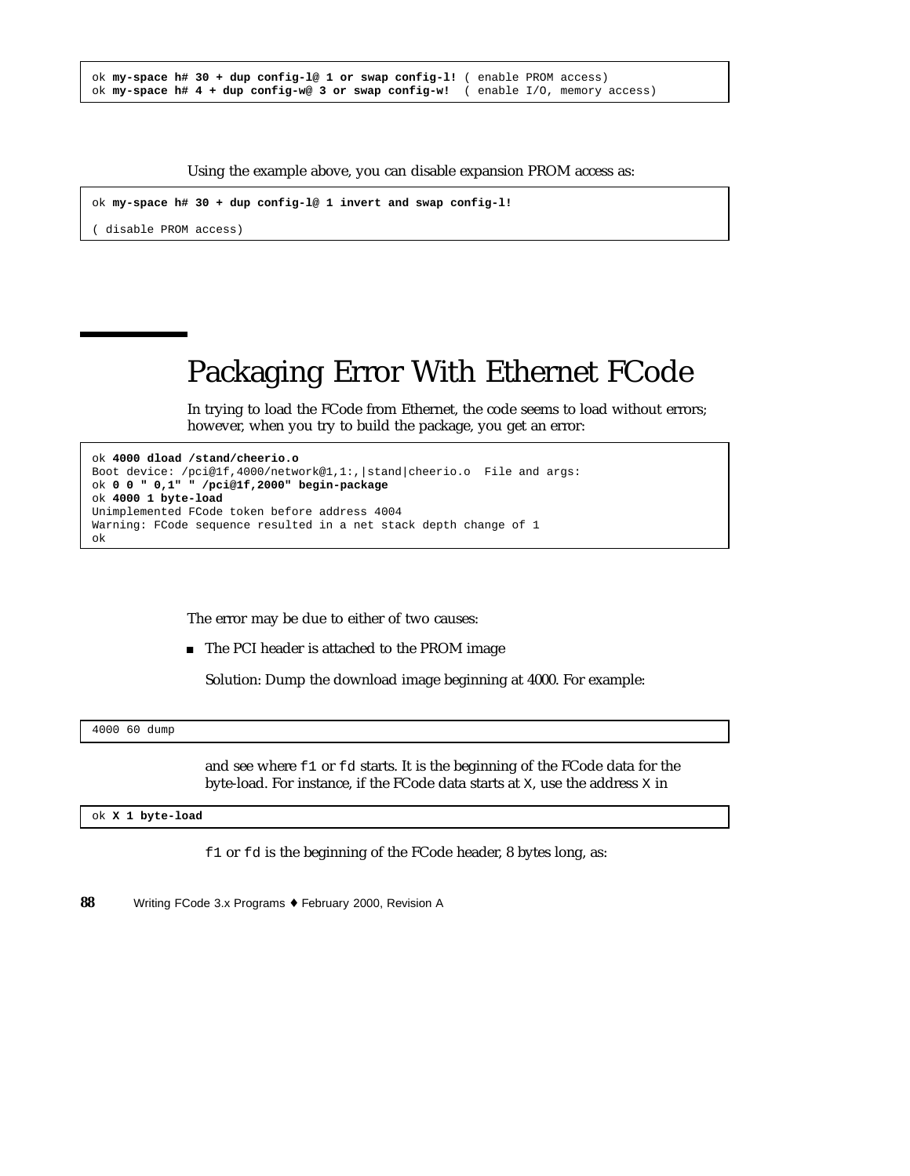|  |  | ok my-space $h# 30 + dup confiq-l@ 1 or swap confiq-l!$ (enable PROM access) |  |  |                                                                                             |
|--|--|------------------------------------------------------------------------------|--|--|---------------------------------------------------------------------------------------------|
|  |  |                                                                              |  |  | ok my-space $h# 4 + \text{dup config-w@ 3 or swap config-w!$ (enable $I/O$ , memory access) |

Using the example above, you can disable expansion PROM access as:

```
ok my-space h# 30 + dup config-l@ 1 invert and swap config-l!
```
( disable PROM access)

## Packaging Error With Ethernet FCode

In trying to load the FCode from Ethernet, the code seems to load without errors; however, when you try to build the package, you get an error:

```
ok 4000 dload /stand/cheerio.o
Boot device: /pci@1f,4000/network@1,1:,|stand|cheerio.o File and args:
ok 0 0 " 0,1" " /pci@1f,2000" begin-package
ok 4000 1 byte-load
Unimplemented FCode token before address 4004
Warning: FCode sequence resulted in a net stack depth change of 1
ok
```
The error may be due to either of two causes:

■ The PCI header is attached to the PROM image

Solution: Dump the download image beginning at 4000. For example:

```
4000 60 dump
```
and see where f1 or fd starts. It is the beginning of the FCode data for the byte-load. For instance, if the FCode data starts at X, use the address X in

ok **X 1 byte-load**

f1 or fd is the beginning of the FCode header, 8 bytes long, as: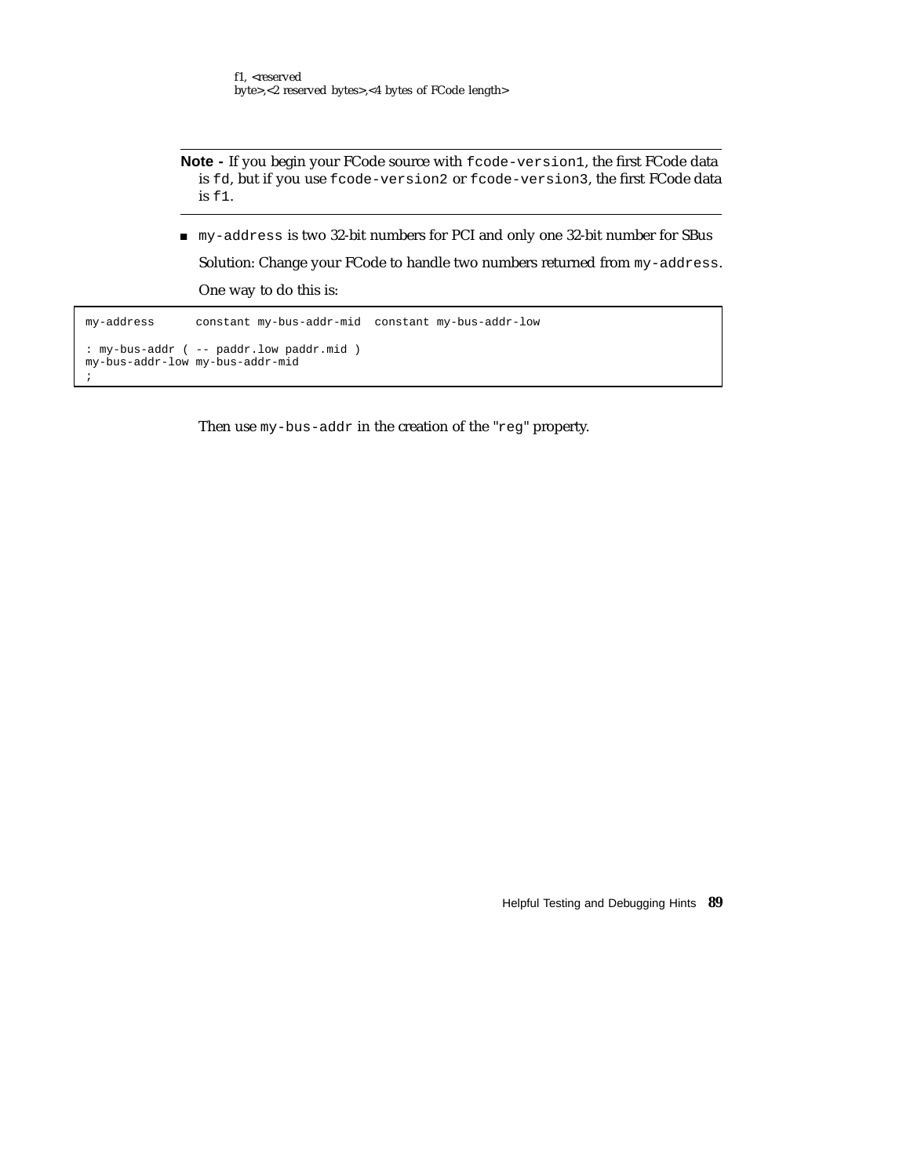**Note -** If you begin your FCode source with fcode-version1, the first FCode data is fd, but if you use fcode-version2 or fcode-version3, the first FCode data is f1.

my-address is two 32-bit numbers for PCI and only one 32-bit number for SBus

Solution: Change your FCode to handle two numbers returned from my-address. One way to do this is:

```
my-address constant my-bus-addr-mid constant my-bus-addr-low
: my-bus-addr ( -- paddr.low paddr.mid )
my-bus-addr-low my-bus-addr-mid
;
```
Then use my-bus-addr in the creation of the "reg" property.

Helpful Testing and Debugging Hints **89**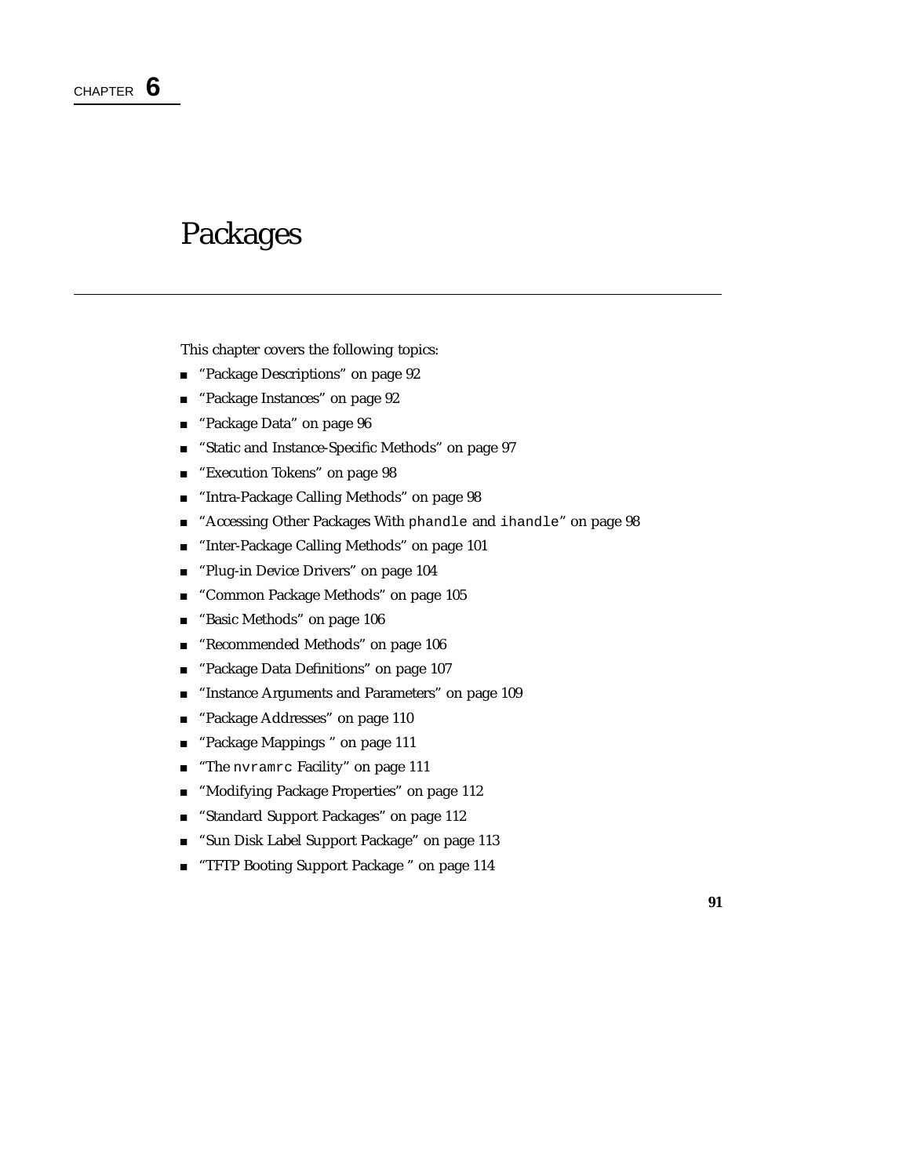### Packages

This chapter covers the following topics:

- "Package Descriptions" on page 92
- **Package Instances**" on page 92
- "Package Data" on page 96
- "Static and Instance-Specific Methods" on page 97
- "Execution Tokens" on page 98
- "Intra-Package Calling Methods" on page 98
- "Accessing Other Packages With phandle and ihandle" on page 98
- "Inter-Package Calling Methods" on page 101
- **Plug-in Device Drivers**" on page 104
- **The "Common Package Methods" on page 105**
- "Basic Methods" on page 106
- "Recommended Methods" on page 106
- "Package Data Definitions" on page 107
- "Instance Arguments and Parameters" on page 109
- "Package Addresses" on page 110
- "Package Mappings " on page 111
- **The nvramrc Facility"** on page 111
- **Modifying Package Properties**" on page 112
- "Standard Support Packages" on page 112
- "Sun Disk Label Support Package" on page 113
- "TFTP Booting Support Package " on page 114

**91**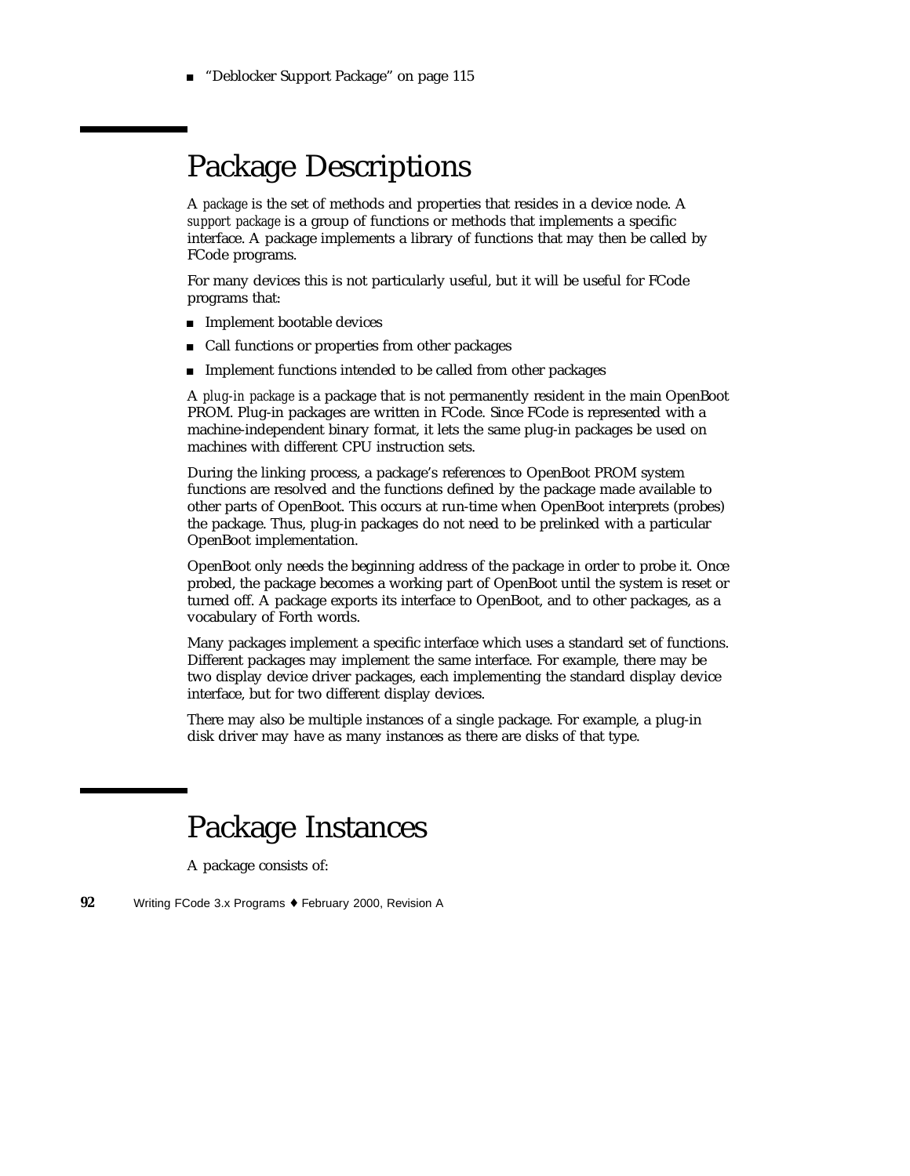■ "Deblocker Support Package" on page 115

#### Package Descriptions

A *package* is the set of methods and properties that resides in a device node. A *support package* is a group of functions or methods that implements a specific interface. A package implements a library of functions that may then be called by FCode programs.

For many devices this is not particularly useful, but it will be useful for FCode programs that:

- **Implement bootable devices**
- Call functions or properties from other packages
- Implement functions intended to be called from other packages

A *plug-in package* is a package that is not permanently resident in the main OpenBoot PROM. Plug-in packages are written in FCode. Since FCode is represented with a machine-independent binary format, it lets the same plug-in packages be used on machines with different CPU instruction sets.

During the linking process, a package's references to OpenBoot PROM system functions are resolved and the functions defined by the package made available to other parts of OpenBoot. This occurs at run-time when OpenBoot interprets (probes) the package. Thus, plug-in packages do not need to be prelinked with a particular OpenBoot implementation.

OpenBoot only needs the beginning address of the package in order to probe it. Once probed, the package becomes a working part of OpenBoot until the system is reset or turned off. A package exports its interface to OpenBoot, and to other packages, as a vocabulary of Forth words.

Many packages implement a specific interface which uses a standard set of functions. Different packages may implement the same interface. For example, there may be two display device driver packages, each implementing the standard display device interface, but for two different display devices.

There may also be multiple instances of a single package. For example, a plug-in disk driver may have as many instances as there are disks of that type.

#### Package Instances

A package consists of: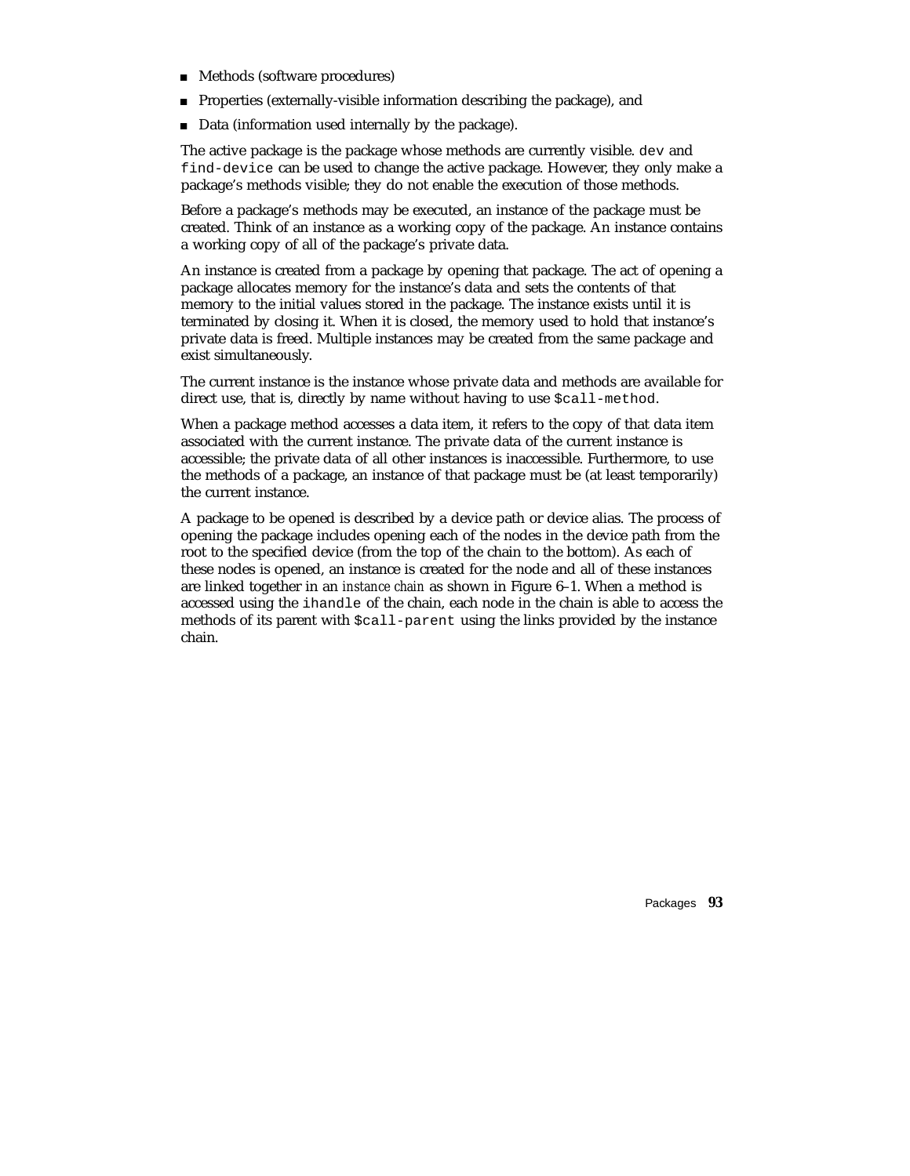- Methods (software procedures)
- **Properties (externally-visible information describing the package), and**
- Data (information used internally by the package).

The active package is the package whose methods are currently visible. dev and find-device can be used to change the active package. However, they only make a package's methods visible; they do not enable the execution of those methods.

Before a package's methods may be executed, an instance of the package must be created. Think of an instance as a working copy of the package. An instance contains a working copy of all of the package's private data.

An instance is created from a package by opening that package. The act of opening a package allocates memory for the instance's data and sets the contents of that memory to the initial values stored in the package. The instance exists until it is terminated by closing it. When it is closed, the memory used to hold that instance's private data is freed. Multiple instances may be created from the same package and exist simultaneously.

The current instance is the instance whose private data and methods are available for direct use, that is, directly by name without having to use  $\text{\$call-method.}$ 

When a package method accesses a data item, it refers to the copy of that data item associated with the current instance. The private data of the current instance is accessible; the private data of all other instances is inaccessible. Furthermore, to use the methods of a package, an instance of that package must be (at least temporarily) the current instance.

A package to be opened is described by a device path or device alias. The process of opening the package includes opening each of the nodes in the device path from the root to the specified device (from the top of the chain to the bottom). As each of these nodes is opened, an instance is created for the node and all of these instances are linked together in an *instance chain* as shown in Figure 6–1. When a method is accessed using the ihandle of the chain, each node in the chain is able to access the methods of its parent with \$call-parent using the links provided by the instance chain.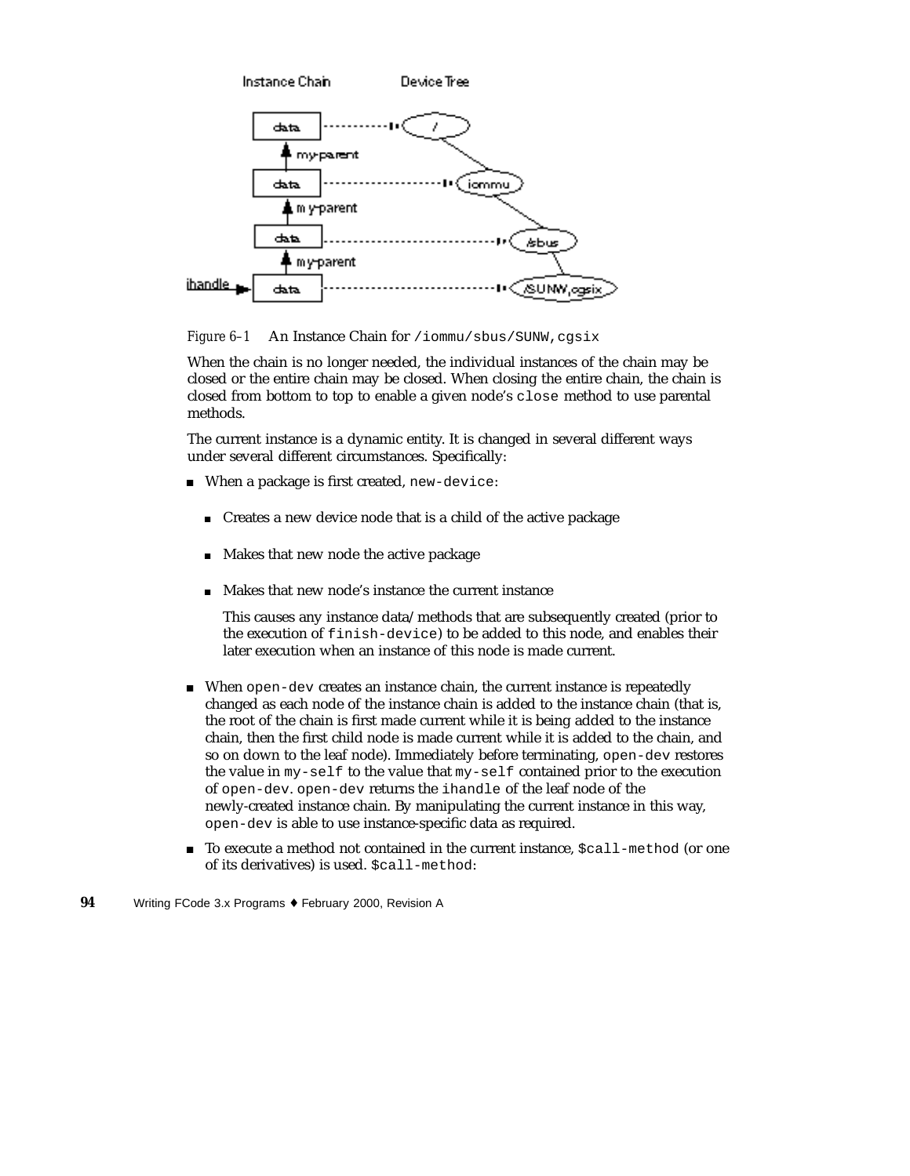

Figure 6-1 An Instance Chain for /iommu/sbus/SUNW,cgsix

When the chain is no longer needed, the individual instances of the chain may be closed or the entire chain may be closed. When closing the entire chain, the chain is closed from bottom to top to enable a given node's close method to use parental methods.

The current instance is a dynamic entity. It is changed in several different ways under several different circumstances. Specifically:

- When a package is first created, new-device:
	- Creates a new device node that is a child of the active package
	- **Makes that new node the active package**
	- Makes that new node's instance the current instance

This causes any instance data/methods that are subsequently created (prior to the execution of finish-device) to be added to this node, and enables their later execution when an instance of this node is made current.

- When open-dev creates an instance chain, the current instance is repeatedly changed as each node of the instance chain is added to the instance chain (that is, the root of the chain is first made current while it is being added to the instance chain, then the first child node is made current while it is added to the chain, and so on down to the leaf node). Immediately before terminating, open-dev restores the value in my-self to the value that my-self contained prior to the execution of open-dev. open-dev returns the ihandle of the leaf node of the newly-created instance chain. By manipulating the current instance in this way, open-dev is able to use instance-specific data as required.
- To execute a method not contained in the current instance, \$call-method (or one of its derivatives) is used. \$call-method:
- **94** Writing FCode 3.x Programs ♦ February 2000, Revision A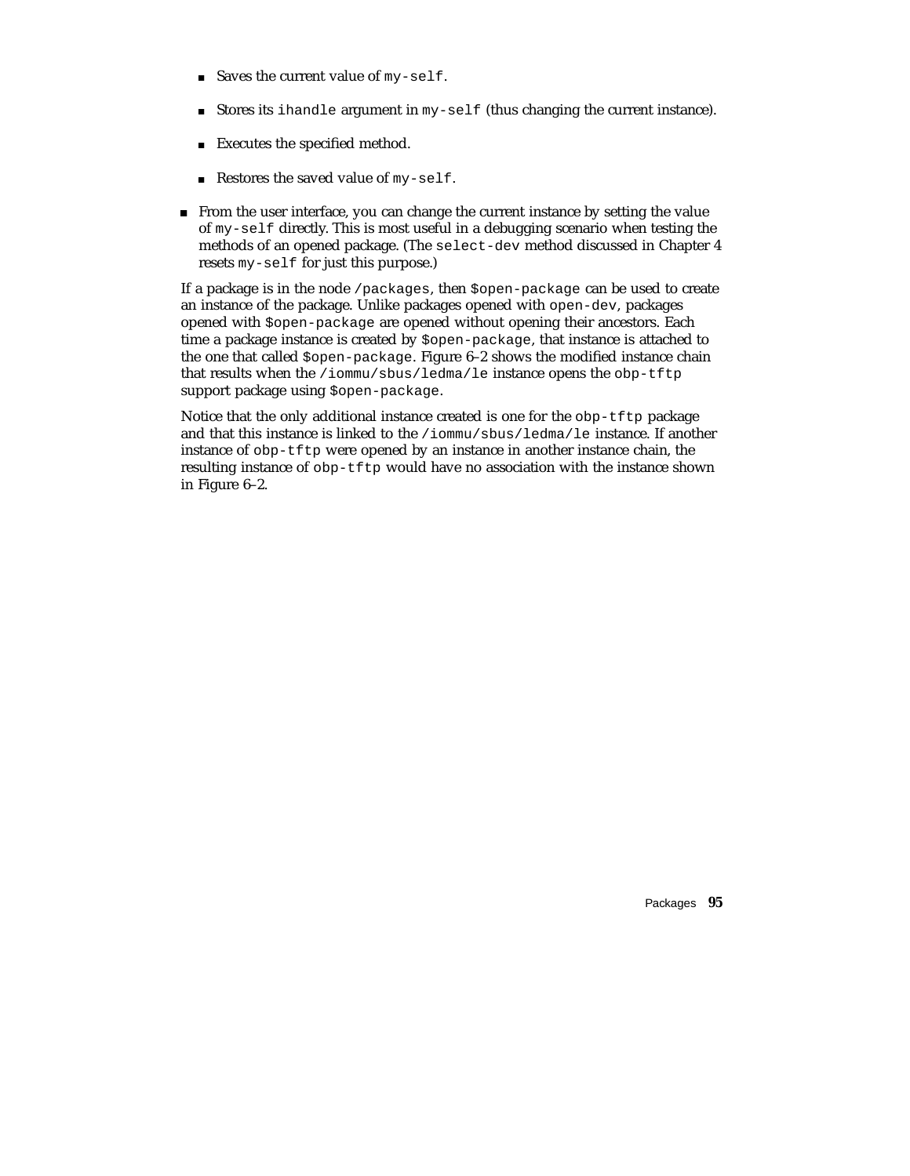- Saves the current value of  $my-self.$
- Stores its ihandle argument in  $my-self$  (thus changing the current instance).
- Executes the specified method.
- Restores the saved value of my-self.
- From the user interface, you can change the current instance by setting the value of my-self directly. This is most useful in a debugging scenario when testing the methods of an opened package. (The select-dev method discussed in Chapter 4 resets my-self for just this purpose.)

If a package is in the node /packages, then \$open-package can be used to create an instance of the package. Unlike packages opened with open-dev, packages opened with \$open-package are opened without opening their ancestors. Each time a package instance is created by \$open-package, that instance is attached to the one that called  $\zeta$ open-package. Figure 6–2 shows the modified instance chain that results when the /iommu/sbus/ledma/le instance opens the obp-tftp support package using \$open-package.

Notice that the only additional instance created is one for the obp-tftp package and that this instance is linked to the /iommu/sbus/ledma/le instance. If another instance of obp-tftp were opened by an instance in another instance chain, the resulting instance of obp-tftp would have no association with the instance shown in Figure 6–2.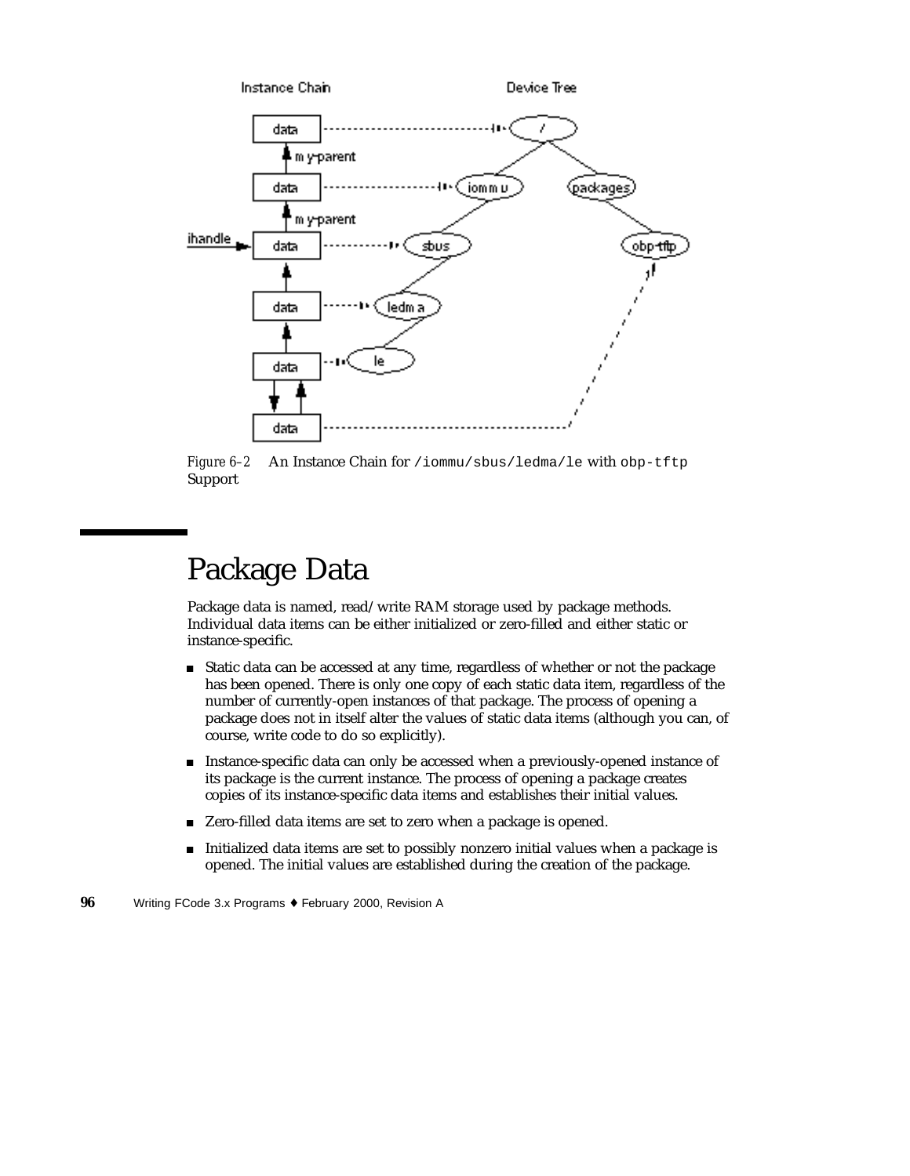

*Figure 6–2* An Instance Chain for /iommu/sbus/ledma/le with obp-tftp Support

#### Package Data

Package data is named, read/write RAM storage used by package methods. Individual data items can be either initialized or zero-filled and either static or instance-specific.

- Static data can be accessed at any time, regardless of whether or not the package has been opened. There is only one copy of each static data item, regardless of the number of currently-open instances of that package. The process of opening a package does not in itself alter the values of static data items (although you can, of course, write code to do so explicitly).
- Instance-specific data can only be accessed when a previously-opened instance of its package is the current instance. The process of opening a package creates copies of its instance-specific data items and establishes their initial values.
- Zero-filled data items are set to zero when a package is opened.
- Initialized data items are set to possibly nonzero initial values when a package is opened. The initial values are established during the creation of the package.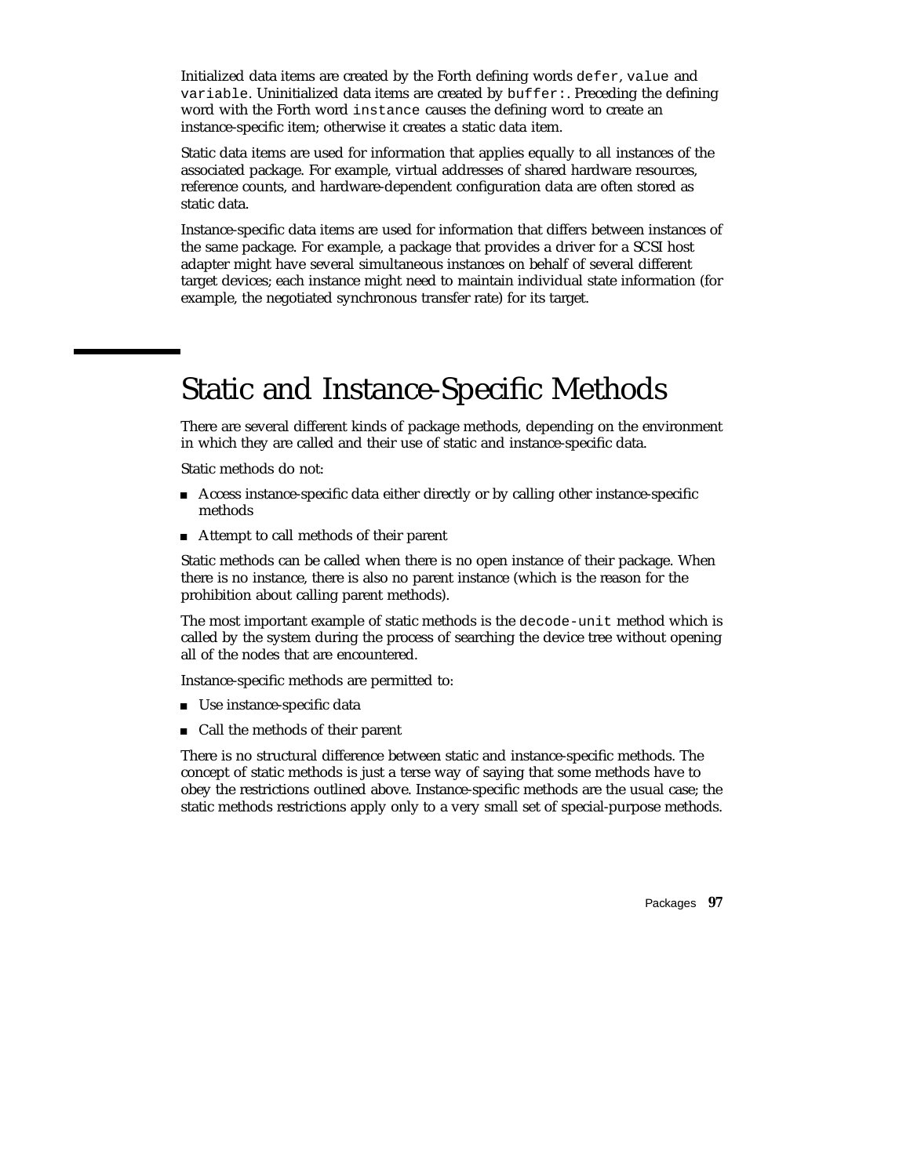Initialized data items are created by the Forth defining words defer, value and variable. Uninitialized data items are created by buffer:. Preceding the defining word with the Forth word instance causes the defining word to create an instance-specific item; otherwise it creates a static data item.

Static data items are used for information that applies equally to all instances of the associated package. For example, virtual addresses of shared hardware resources, reference counts, and hardware-dependent configuration data are often stored as static data.

Instance-specific data items are used for information that differs between instances of the same package. For example, a package that provides a driver for a SCSI host adapter might have several simultaneous instances on behalf of several different target devices; each instance might need to maintain individual state information (for example, the negotiated synchronous transfer rate) for its target.

### Static and Instance-Specific Methods

There are several different kinds of package methods, depending on the environment in which they are called and their use of static and instance-specific data.

Static methods do not:

- Access instance-specific data either directly or by calling other instance-specific methods
- Attempt to call methods of their parent

Static methods can be called when there is no open instance of their package. When there is no instance, there is also no parent instance (which is the reason for the prohibition about calling parent methods).

The most important example of static methods is the decode-unit method which is called by the system during the process of searching the device tree without opening all of the nodes that are encountered.

Instance-specific methods are permitted to:

- Use instance-specific data
- Call the methods of their parent

There is no structural difference between static and instance-specific methods. The concept of static methods is just a terse way of saying that some methods have to obey the restrictions outlined above. Instance-specific methods are the usual case; the static methods restrictions apply only to a very small set of special-purpose methods.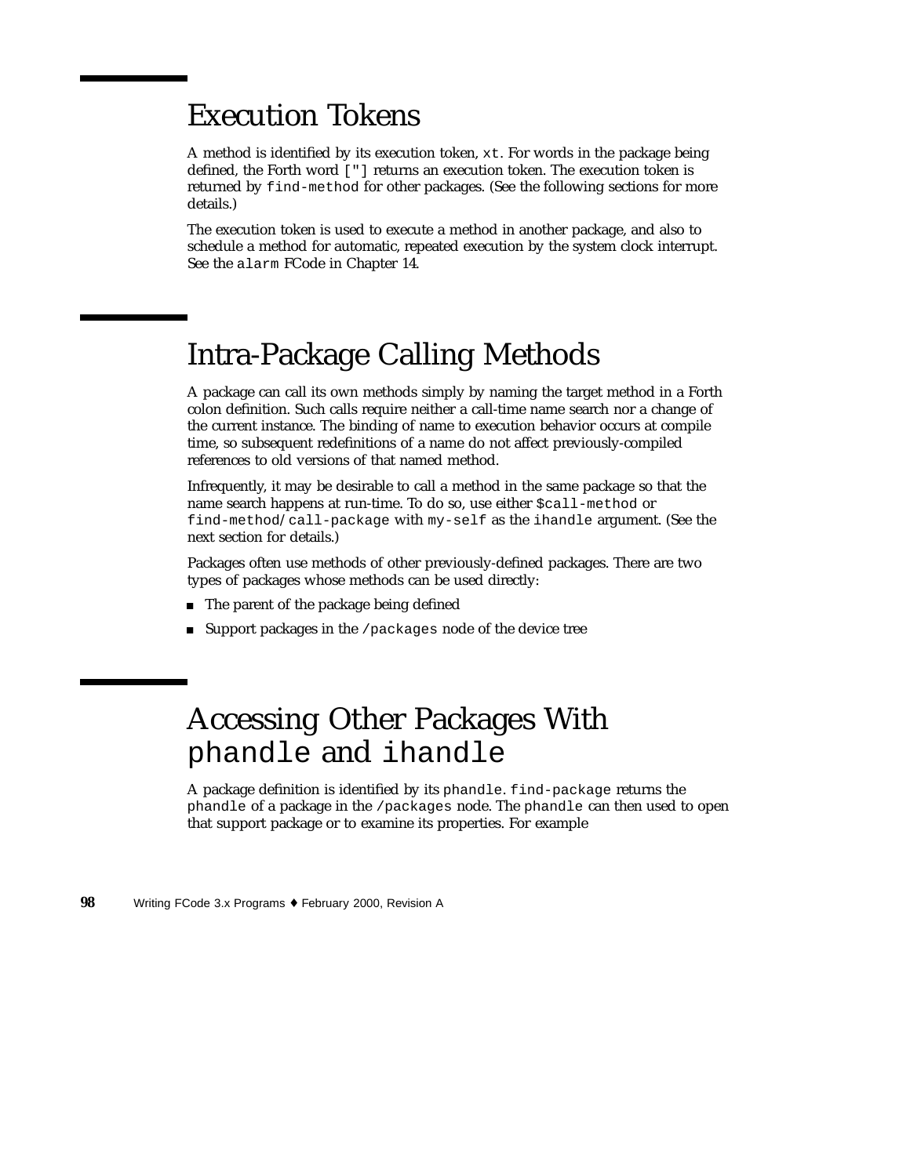#### Execution Tokens

A method is identified by its execution token, xt. For words in the package being defined, the Forth word ["] returns an execution token. The execution token is returned by find-method for other packages. (See the following sections for more details.)

The execution token is used to execute a method in another package, and also to schedule a method for automatic, repeated execution by the system clock interrupt. See the alarm FCode in Chapter 14.

#### Intra-Package Calling Methods

A package can call its own methods simply by naming the target method in a Forth colon definition. Such calls require neither a call-time name search nor a change of the current instance. The binding of name to execution behavior occurs at compile time, so subsequent redefinitions of a name do not affect previously-compiled references to old versions of that named method.

Infrequently, it may be desirable to call a method in the same package so that the name search happens at run-time. To do so, use either \$call-method or find-method/call-package with my-self as the ihandle argument. (See the next section for details.)

Packages often use methods of other previously-defined packages. There are two types of packages whose methods can be used directly:

- The parent of the package being defined
- Support packages in the /packages node of the device tree

## Accessing Other Packages With phandle and ihandle

A package definition is identified by its phandle. find-package returns the phandle of a package in the /packages node. The phandle can then used to open that support package or to examine its properties. For example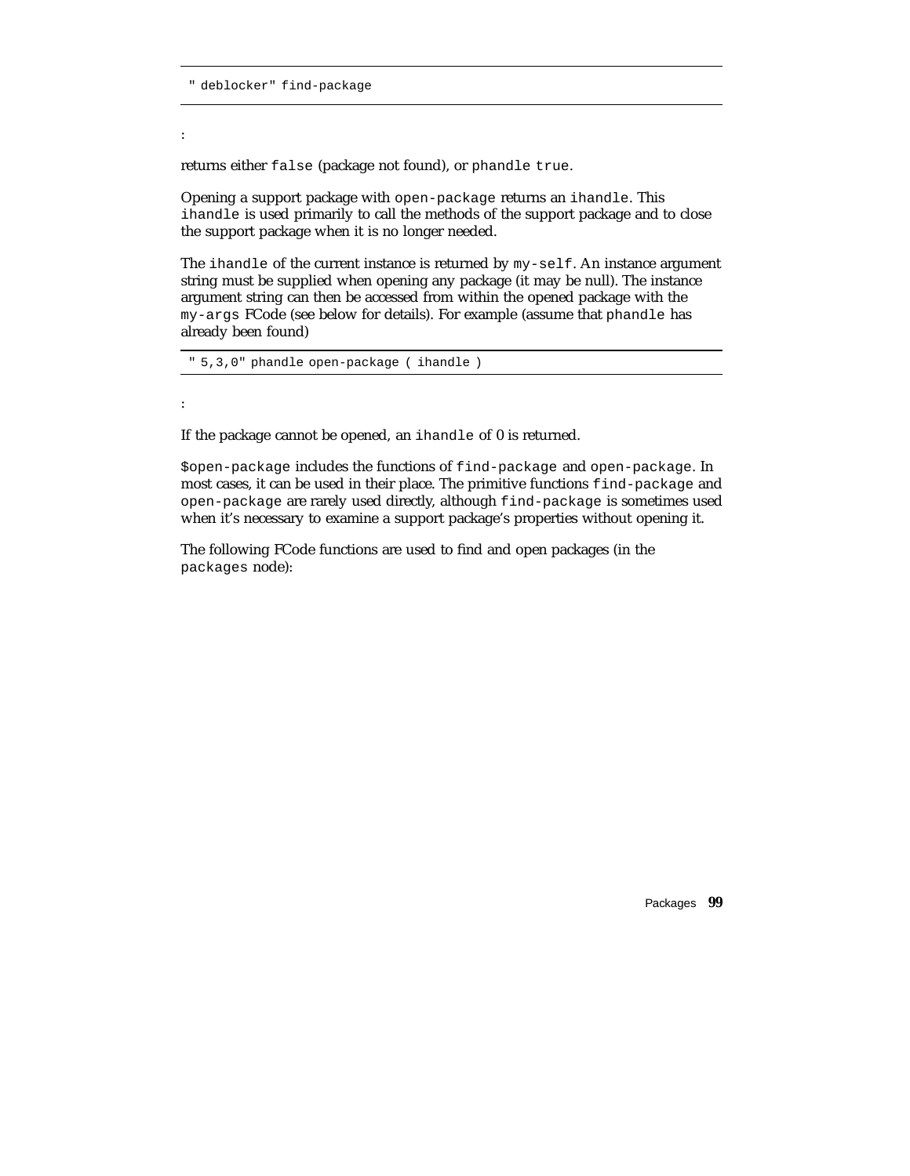" deblocker" find-package

returns either false (package not found), or phandle true.

Opening a support package with open-package returns an ihandle. This ihandle is used primarily to call the methods of the support package and to close the support package when it is no longer needed.

The ihandle of the current instance is returned by my-self. An instance argument string must be supplied when opening any package (it may be null). The instance argument string can then be accessed from within the opened package with the my-args FCode (see below for details). For example (assume that phandle has already been found)

```
" 5,3,0" phandle open-package ( ihandle )
```
:

:

If the package cannot be opened, an ihandle of 0 is returned.

\$open-package includes the functions of find-package and open-package. In most cases, it can be used in their place. The primitive functions find-package and open-package are rarely used directly, although find-package is sometimes used when it's necessary to examine a support package's properties without opening it.

The following FCode functions are used to find and open packages (in the packages node):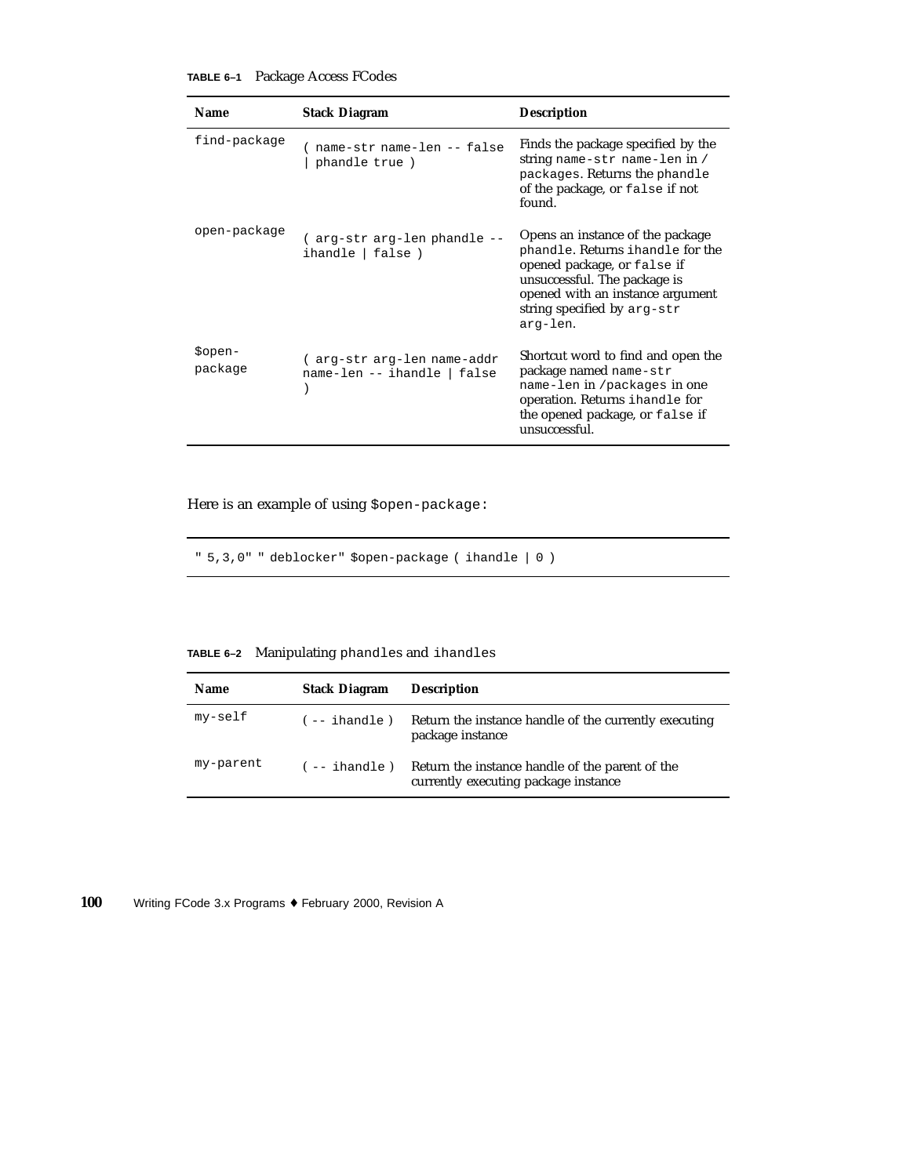#### **TABLE 6–1** Package Access FCodes

| <b>Name</b>        | <b>Stack Diagram</b>                                      | <b>Description</b>                                                                                                                                                                                                 |
|--------------------|-----------------------------------------------------------|--------------------------------------------------------------------------------------------------------------------------------------------------------------------------------------------------------------------|
| find-package       | name-str name-len -- false<br>phandle true )              | Finds the package specified by the<br>string name-str name-len in /<br>packages. Returns the phandle<br>of the package, or false if not<br>found.                                                                  |
| open-package       | (arg-str arg-len phandle --<br>ihandle   false )          | Opens an instance of the package<br>phandle. Returns ihandle for the<br>opened package, or false if<br>unsuccessful. The package is<br>opened with an instance argument<br>string specified by arg-str<br>arg-len. |
| \$open-<br>package | (arg-str arg-len name-addr<br>name-len -- ihandle   false | Shortcut word to find and open the<br>package named name-str<br>name-len in /packages in one<br>operation. Returns ihandle for<br>the opened package, or false if<br>unsuccessful.                                 |

Here is an example of using  $$open-package:$ 

" 5,3,0" " deblocker" \$open-package ( ihandle | 0 )

**TABLE 6–2** Manipulating phandles and ihandles

| <b>Name</b> | <b>Stack Diagram</b>    | <b>Description</b>                                                                      |
|-------------|-------------------------|-----------------------------------------------------------------------------------------|
| my-self     | $(- - i \text{handle})$ | Return the instance handle of the currently executing<br>package instance               |
| my-parent   | $(- - i \hbox{handle})$ | Return the instance handle of the parent of the<br>currently executing package instance |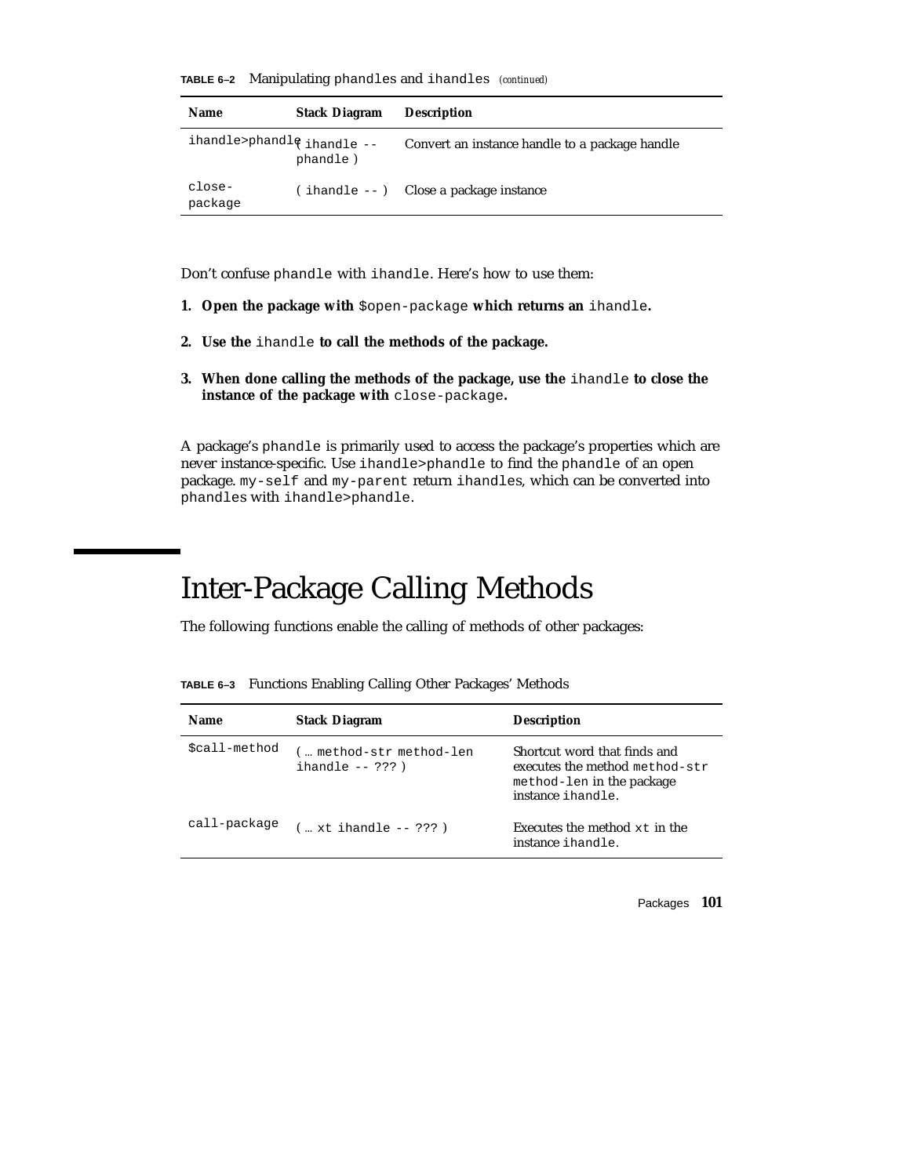|  |  |  | TABLE 6-2 Manipulating phandles and ihandles (continued) |  |
|--|--|--|----------------------------------------------------------|--|
|--|--|--|----------------------------------------------------------|--|

| <b>Name</b>                             | <b>Stack Diagram</b> | <b>Description</b>                             |
|-----------------------------------------|----------------------|------------------------------------------------|
| ihandle>phandl $\frac{1}{3}$ ihandle -- | phandle)             | Convert an instance handle to a package handle |
| close-<br>package                       |                      | $(i$ handle $-i$ Close a package instance      |

Don't confuse phandle with ihandle. Here's how to use them:

- **1. Open the package with** \$open-package **which returns an** ihandle**.**
- **2. Use the** ihandle **to call the methods of the package.**
- **3. When done calling the methods of the package, use the** ihandle **to close the instance of the package with** close-package**.**

A package's phandle is primarily used to access the package's properties which are never instance-specific. Use ihandle>phandle to find the phandle of an open package. my-self and my-parent return ihandles, which can be converted into phandles with ihandle>phandle.

# Inter-Package Calling Methods

The following functions enable the calling of methods of other packages:

**TABLE 6–3** Functions Enabling Calling Other Packages' Methods

| <b>Name</b>   | <b>Stack Diagram</b>                            | <b>Description</b>                                                                                               |
|---------------|-------------------------------------------------|------------------------------------------------------------------------------------------------------------------|
| \$call-method | ( method-str method-len<br>ihandle $-- ? ? ?$ ) | Shortcut word that finds and<br>executes the method method-str<br>method-len in the package<br>instance ihandle. |
| call-package  | $(m, x t)$ ihandle -- ???)                      | Executes the method $xt$ in the<br>instance ihandle.                                                             |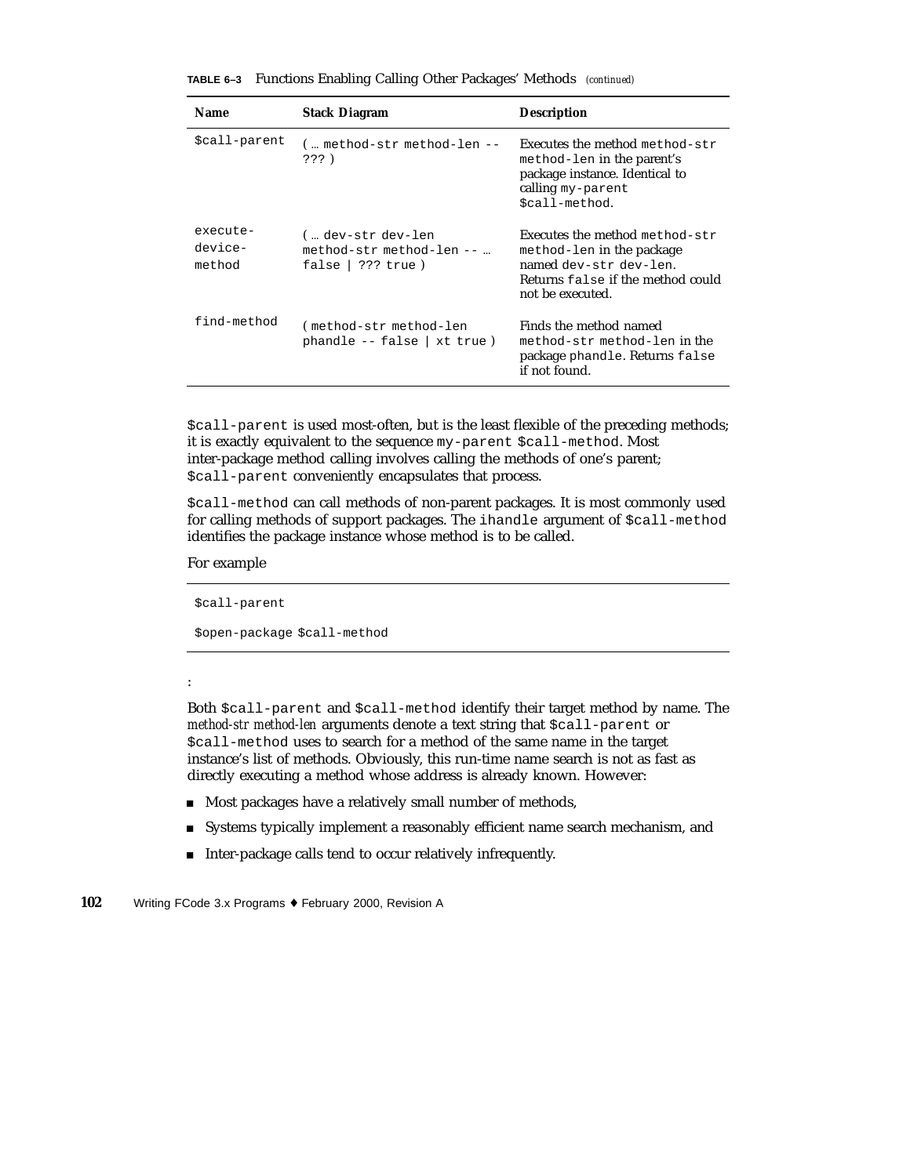| <b>Name</b>                   | <b>Stack Diagram</b>                                                  | <b>Description</b>                                                                                                                             |
|-------------------------------|-----------------------------------------------------------------------|------------------------------------------------------------------------------------------------------------------------------------------------|
| \$call-parent                 | ( method-str method-len --<br>222)                                    | Executes the method method-str<br>method-len in the parent's<br>package instance. Identical to<br>calling my-parent<br>\$call-method.          |
| execute-<br>device-<br>method | (… dev-str dev-len<br>method-str method-len --<br>false   ??? $true)$ | Executes the method method-str<br>method-len in the package<br>named dev-str dev-len.<br>Returns false if the method could<br>not be executed. |
| find-method                   | (method-str method-len<br>$phandle - false   xt true)$                | Finds the method named<br>method-str method-len in the<br>package phandle. Returns false<br>if not found.                                      |

**TABLE 6–3** Functions Enabling Calling Other Packages' Methods *(continued)*

\$call-parent is used most-often, but is the least flexible of the preceding methods; it is exactly equivalent to the sequence my-parent \$call-method. Most inter-package method calling involves calling the methods of one's parent; \$call-parent conveniently encapsulates that process.

\$call-method can call methods of non-parent packages. It is most commonly used for calling methods of support packages. The ihandle argument of  $\text{Scall-method}$ identifies the package instance whose method is to be called.

#### For example

\$call-parent

#### \$open-package \$call-method

#### :

Both \$call-parent and \$call-method identify their target method by name. The *method-str method-len* arguments denote a text string that \$call-parent or \$call-method uses to search for a method of the same name in the target instance's list of methods. Obviously, this run-time name search is not as fast as directly executing a method whose address is already known. However:

- Most packages have a relatively small number of methods,
- Systems typically implement a reasonably efficient name search mechanism, and
- Inter-package calls tend to occur relatively infrequently.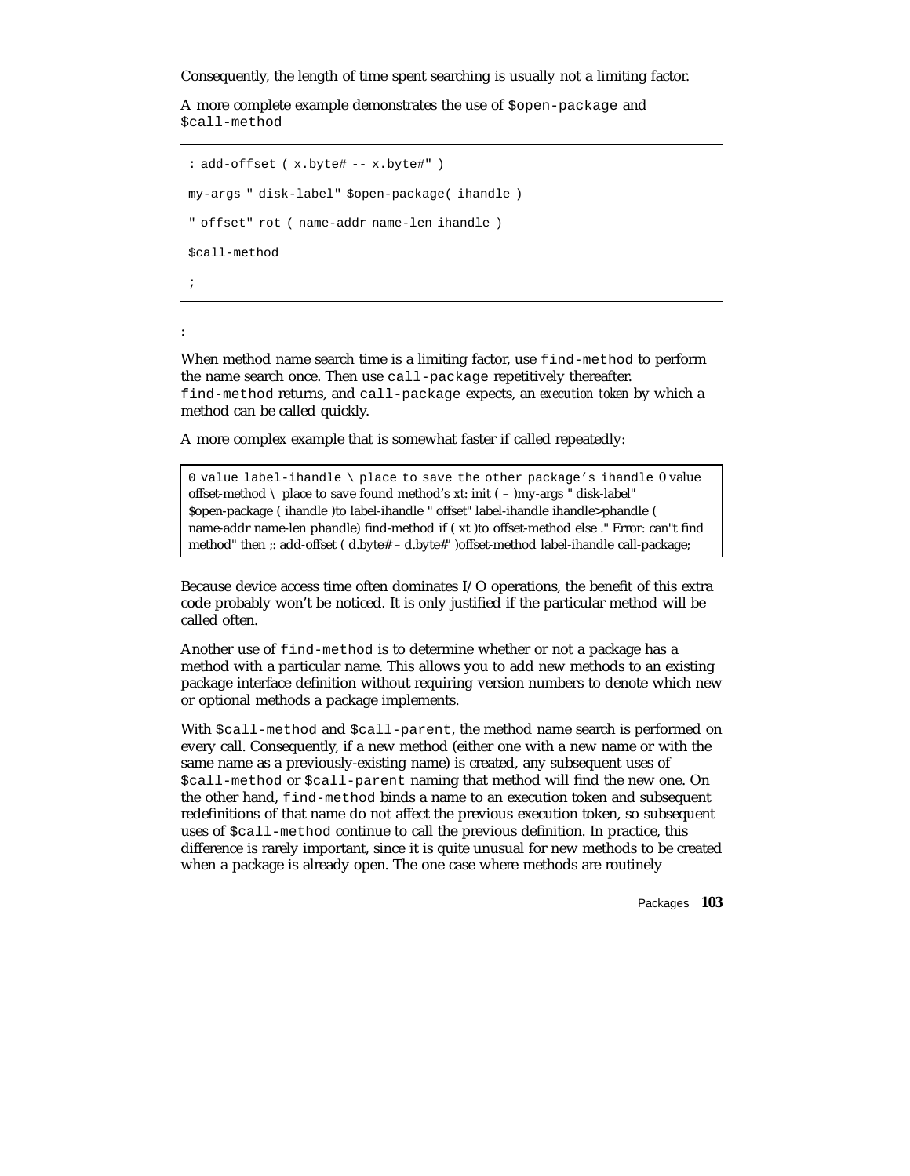Consequently, the length of time spent searching is usually not a limiting factor.

A more complete example demonstrates the use of \$open-package and \$call-method

```
: add-offset ( x.byte# -- x.byte#" )
my-args " disk-label" $open-package( ihandle )
" offset" rot ( name-addr name-len ihandle )
$call-method
;
```
:

When method name search time is a limiting factor, use find-method to perform the name search once. Then use call-package repetitively thereafter. find-method returns, and call-package expects, an *execution token* by which a method can be called quickly.

A more complex example that is somewhat faster if called repeatedly:

0 value label-ihandle \ place to save the other package's ihandle 0 value offset-method  $\setminus$  place to save found method's xt: init ( – )my-args " disk-label" \$open-package ( ihandle )to label-ihandle " offset" label-ihandle ihandle>phandle ( name-addr name-len phandle) find-method if ( xt )to offset-method else ." Error: can"t find method" then ;: add-offset ( d.byte# – d.byte#" )offset-method label-ihandle call-package;

Because device access time often dominates I/O operations, the benefit of this extra code probably won't be noticed. It is only justified if the particular method will be called often.

Another use of find-method is to determine whether or not a package has a method with a particular name. This allows you to add new methods to an existing package interface definition without requiring version numbers to denote which new or optional methods a package implements.

With  $\text{Scall-method}$  and  $\text{Scall-part}$ , the method name search is performed on every call. Consequently, if a new method (either one with a new name or with the same name as a previously-existing name) is created, any subsequent uses of \$call-method or \$call-parent naming that method will find the new one. On the other hand, find-method binds a name to an execution token and subsequent redefinitions of that name do not affect the previous execution token, so subsequent uses of \$call-method continue to call the previous definition. In practice, this difference is rarely important, since it is quite unusual for new methods to be created when a package is already open. The one case where methods are routinely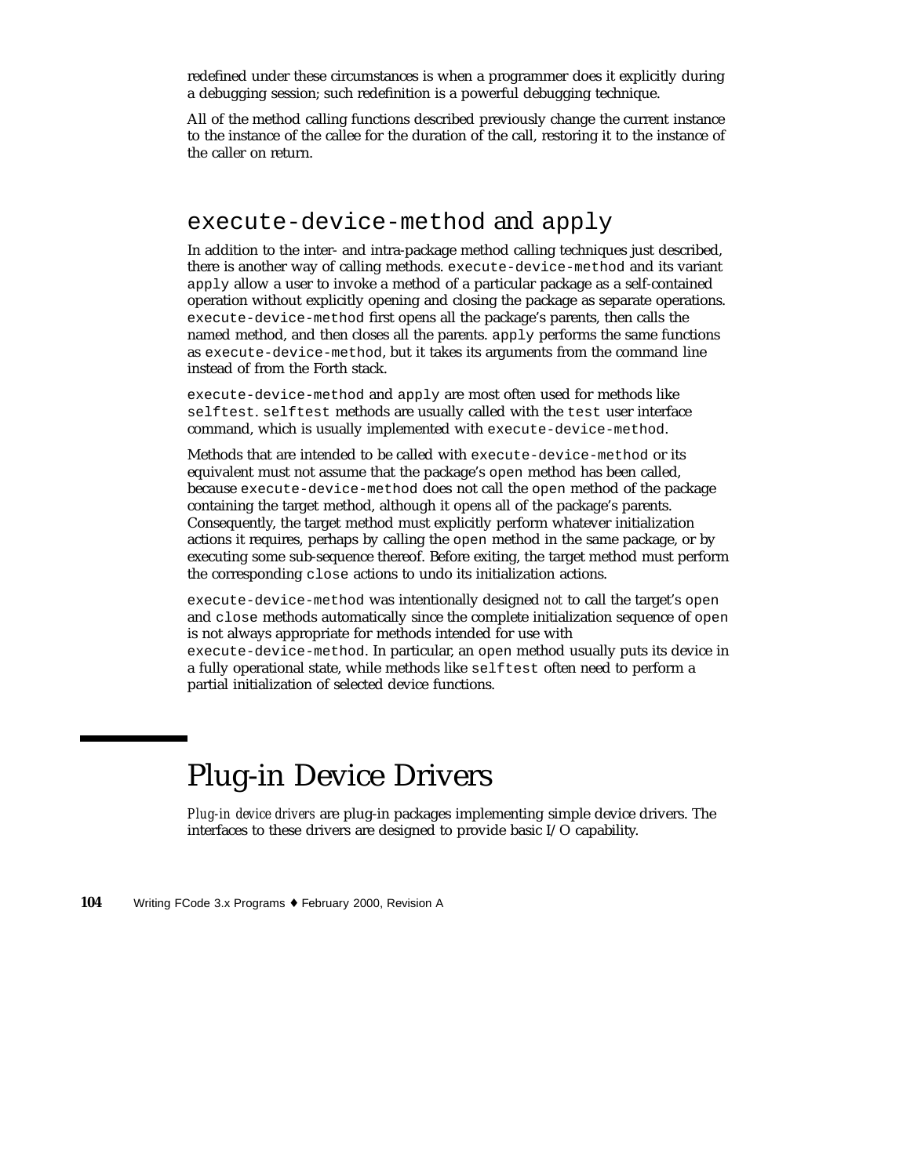redefined under these circumstances is when a programmer does it explicitly during a debugging session; such redefinition is a powerful debugging technique.

All of the method calling functions described previously change the current instance to the instance of the callee for the duration of the call, restoring it to the instance of the caller on return.

#### execute-device-method and apply

In addition to the inter- and intra-package method calling techniques just described, there is another way of calling methods. execute-device-method and its variant apply allow a user to invoke a method of a particular package as a self-contained operation without explicitly opening and closing the package as separate operations. execute-device-method first opens all the package's parents, then calls the named method, and then closes all the parents. apply performs the same functions as execute-device-method, but it takes its arguments from the command line instead of from the Forth stack.

execute-device-method and apply are most often used for methods like selftest. selftest methods are usually called with the test user interface command, which is usually implemented with execute-device-method.

Methods that are intended to be called with execute-device-method or its equivalent must not assume that the package's open method has been called, because execute-device-method does not call the open method of the package containing the target method, although it opens all of the package's parents. Consequently, the target method must explicitly perform whatever initialization actions it requires, perhaps by calling the open method in the same package, or by executing some sub-sequence thereof. Before exiting, the target method must perform the corresponding close actions to undo its initialization actions.

execute-device-method was intentionally designed *not* to call the target's open and close methods automatically since the complete initialization sequence of open is not always appropriate for methods intended for use with execute-device-method. In particular, an open method usually puts its device in a fully operational state, while methods like selftest often need to perform a partial initialization of selected device functions.

## Plug-in Device Drivers

*Plug-in device drivers* are plug-in packages implementing simple device drivers. The interfaces to these drivers are designed to provide basic I/O capability.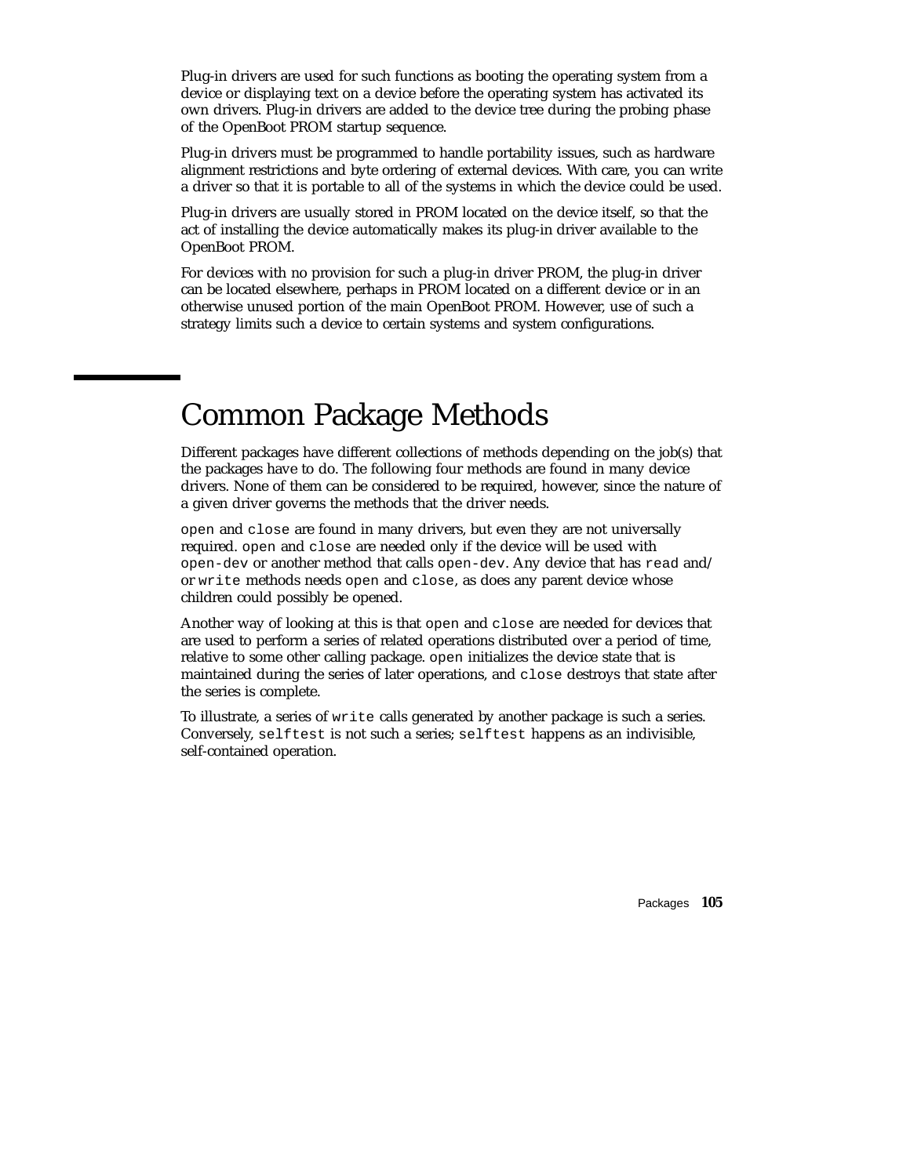Plug-in drivers are used for such functions as booting the operating system from a device or displaying text on a device before the operating system has activated its own drivers. Plug-in drivers are added to the device tree during the probing phase of the OpenBoot PROM startup sequence.

Plug-in drivers must be programmed to handle portability issues, such as hardware alignment restrictions and byte ordering of external devices. With care, you can write a driver so that it is portable to all of the systems in which the device could be used.

Plug-in drivers are usually stored in PROM located on the device itself, so that the act of installing the device automatically makes its plug-in driver available to the OpenBoot PROM.

For devices with no provision for such a plug-in driver PROM, the plug-in driver can be located elsewhere, perhaps in PROM located on a different device or in an otherwise unused portion of the main OpenBoot PROM. However, use of such a strategy limits such a device to certain systems and system configurations.

### Common Package Methods

Different packages have different collections of methods depending on the job(s) that the packages have to do. The following four methods are found in many device drivers. None of them can be considered to be required, however, since the nature of a given driver governs the methods that the driver needs.

open and close are found in many drivers, but even they are not universally required. open and close are needed only if the device will be used with open-dev or another method that calls open-dev. Any device that has read and/ or write methods needs open and close, as does any parent device whose children could possibly be opened.

Another way of looking at this is that open and close are needed for devices that are used to perform a series of related operations distributed over a period of time, relative to some other calling package. open initializes the device state that is maintained during the series of later operations, and close destroys that state after the series is complete.

To illustrate, a series of write calls generated by another package is such a series. Conversely, selftest is not such a series; selftest happens as an indivisible, self-contained operation.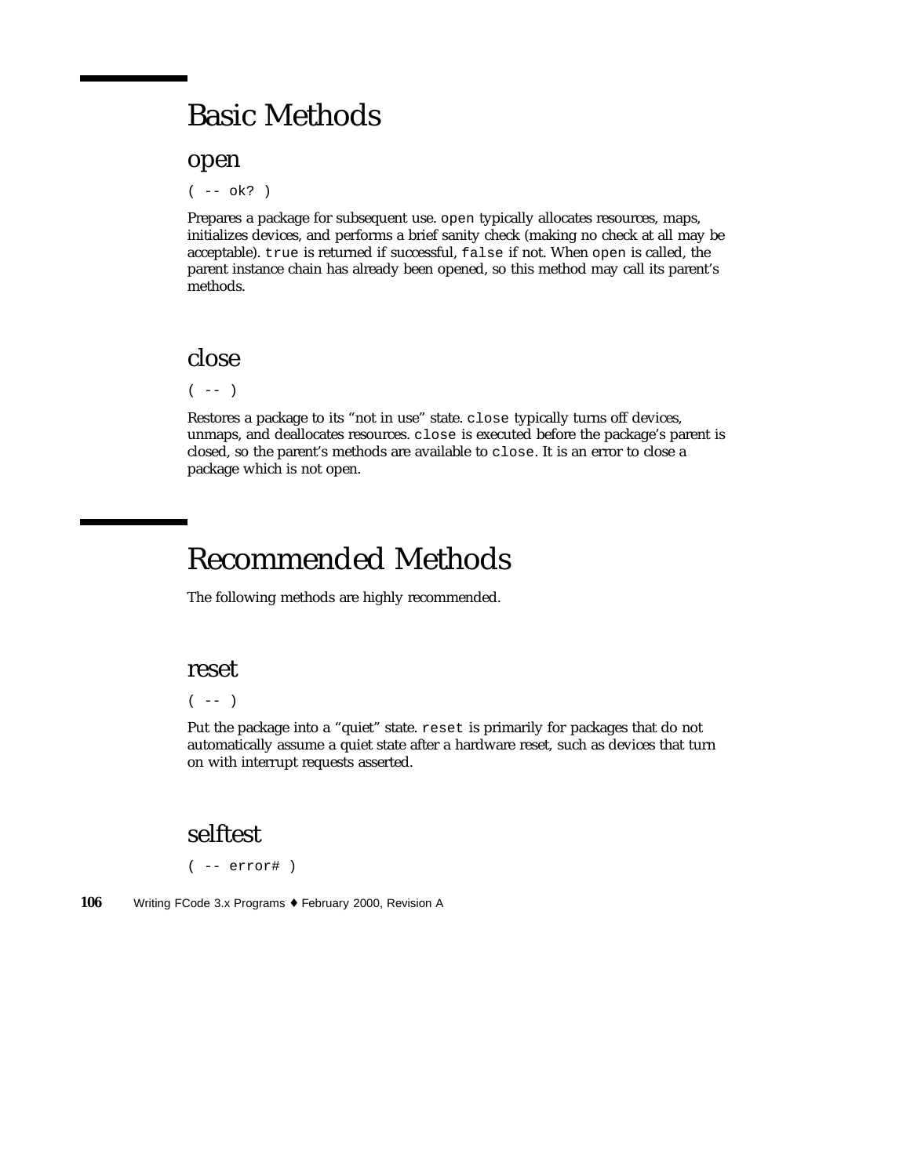#### Basic Methods

open

( -- ok? )

Prepares a package for subsequent use. open typically allocates resources, maps, initializes devices, and performs a brief sanity check (making no check at all may be acceptable). true is returned if successful, false if not. When open is called, the parent instance chain has already been opened, so this method may call its parent's methods.

#### close

 $($  --  $)$ 

Restores a package to its "not in use" state. close typically turns off devices, unmaps, and deallocates resources. close is executed before the package's parent is closed, so the parent's methods are available to close. It is an error to close a package which is not open.

### Recommended Methods

The following methods are highly recommended.

#### reset

 $(- - )$ 

Put the package into a "quiet" state. reset is primarily for packages that do not automatically assume a quiet state after a hardware reset, such as devices that turn on with interrupt requests asserted.

#### selftest

( -- error# )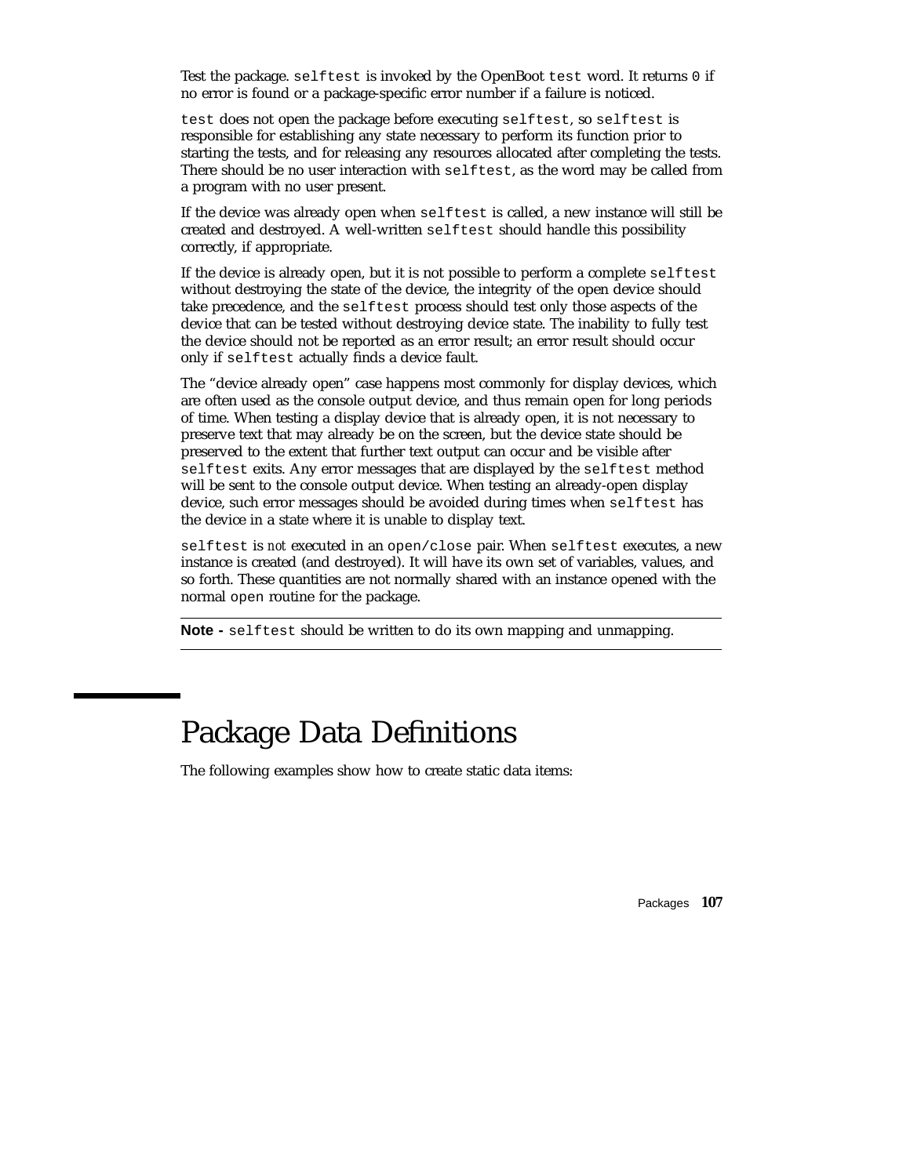Test the package. selftest is invoked by the OpenBoot test word. It returns 0 if no error is found or a package-specific error number if a failure is noticed.

test does not open the package before executing selftest, so selftest is responsible for establishing any state necessary to perform its function prior to starting the tests, and for releasing any resources allocated after completing the tests. There should be no user interaction with selftest, as the word may be called from a program with no user present.

If the device was already open when selftest is called, a new instance will still be created and destroyed. A well-written selftest should handle this possibility correctly, if appropriate.

If the device is already open, but it is not possible to perform a complete selftest without destroying the state of the device, the integrity of the open device should take precedence, and the selftest process should test only those aspects of the device that can be tested without destroying device state. The inability to fully test the device should not be reported as an error result; an error result should occur only if selftest actually finds a device fault.

The "device already open" case happens most commonly for display devices, which are often used as the console output device, and thus remain open for long periods of time. When testing a display device that is already open, it is not necessary to preserve text that may already be on the screen, but the device state should be preserved to the extent that further text output can occur and be visible after selftest exits. Any error messages that are displayed by the selftest method will be sent to the console output device. When testing an already-open display device, such error messages should be avoided during times when selftest has the device in a state where it is unable to display text.

selftest is *not* executed in an open/close pair. When selftest executes, a new instance is created (and destroyed). It will have its own set of variables, values, and so forth. These quantities are not normally shared with an instance opened with the normal open routine for the package.

**Note -** selftest should be written to do its own mapping and unmapping.

#### Package Data Definitions

The following examples show how to create static data items: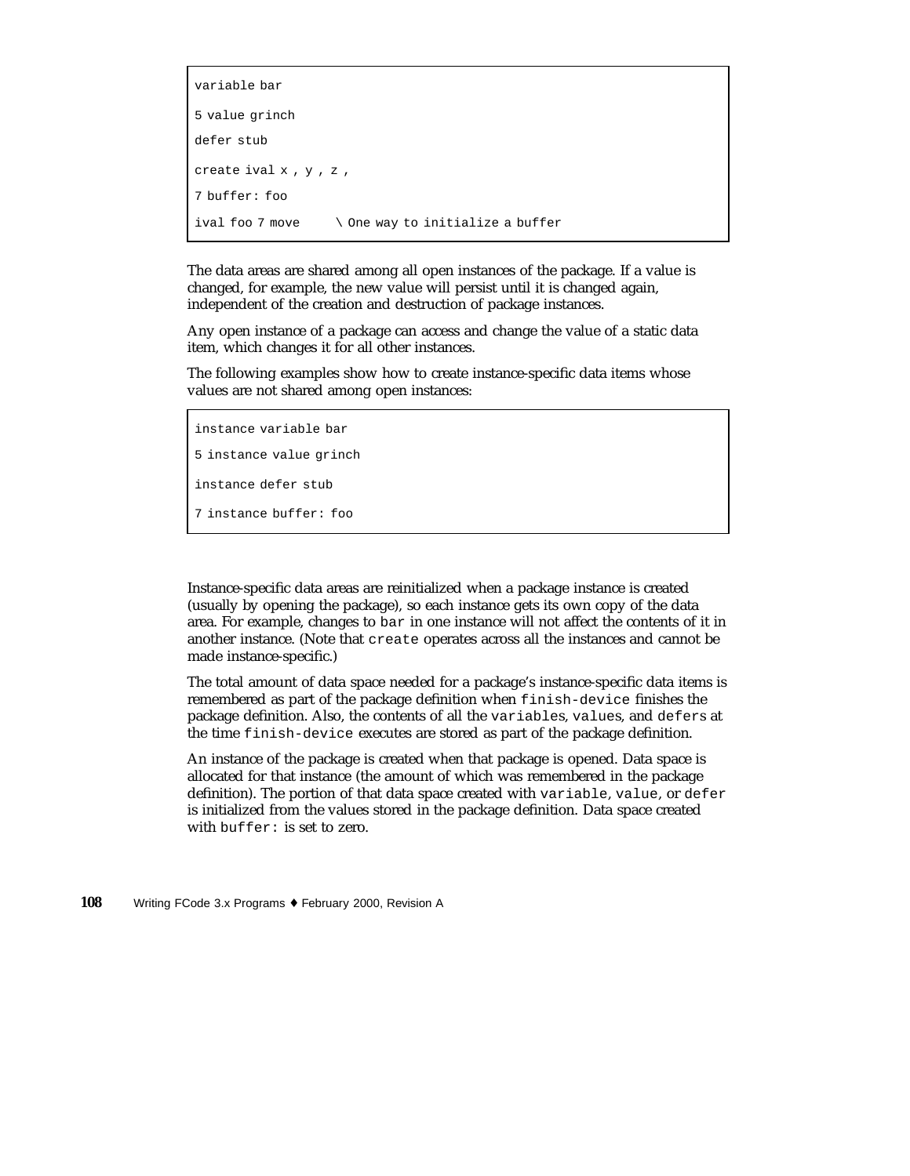```
variable bar
5 value grinch
defer stub
create ival x,y,z,
7 buffer: foo
ival foo 7 move \setminus One way to initialize a buffer
```
The data areas are shared among all open instances of the package. If a value is changed, for example, the new value will persist until it is changed again, independent of the creation and destruction of package instances.

Any open instance of a package can access and change the value of a static data item, which changes it for all other instances.

The following examples show how to create instance-specific data items whose values are not shared among open instances:

```
instance variable bar
5 instance value grinch
instance defer stub
7 instance buffer: foo
```
Instance-specific data areas are reinitialized when a package instance is created (usually by opening the package), so each instance gets its own copy of the data area. For example, changes to bar in one instance will not affect the contents of it in another instance. (Note that create operates across all the instances and cannot be made instance-specific.)

The total amount of data space needed for a package's instance-specific data items is remembered as part of the package definition when finish-device finishes the package definition. Also, the contents of all the variables, values, and defers at the time finish-device executes are stored as part of the package definition.

An instance of the package is created when that package is opened. Data space is allocated for that instance (the amount of which was remembered in the package definition). The portion of that data space created with variable, value, or defer is initialized from the values stored in the package definition. Data space created with buffer: is set to zero.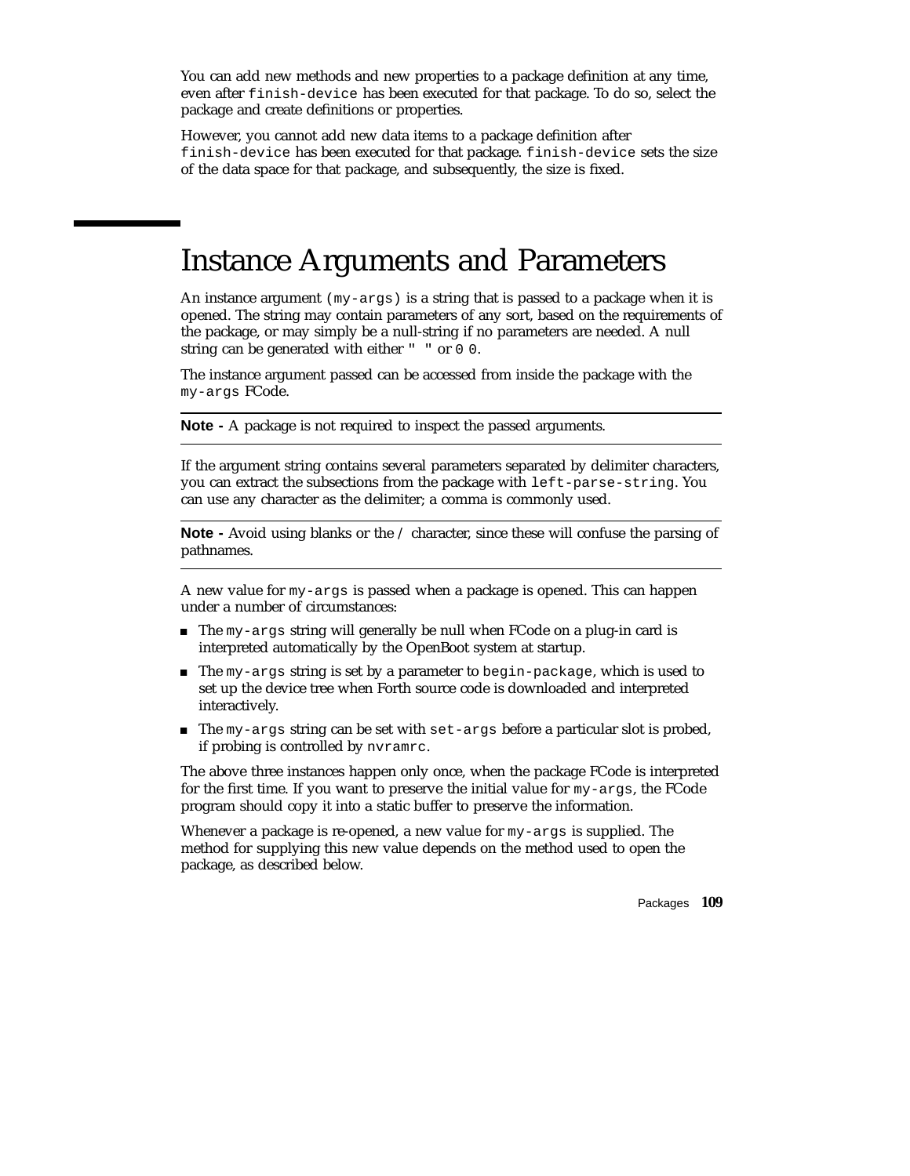You can add new methods and new properties to a package definition at any time, even after finish-device has been executed for that package. To do so, select the package and create definitions or properties.

However, you cannot add new data items to a package definition after finish-device has been executed for that package. finish-device sets the size of the data space for that package, and subsequently, the size is fixed.

# Instance Arguments and Parameters

An instance argument ( $my\text{-}args$ ) is a string that is passed to a package when it is opened. The string may contain parameters of any sort, based on the requirements of the package, or may simply be a null-string if no parameters are needed. A null string can be generated with either " " or 0 0.

The instance argument passed can be accessed from inside the package with the my-args FCode.

**Note -** A package is not required to inspect the passed arguments.

If the argument string contains several parameters separated by delimiter characters, you can extract the subsections from the package with left-parse-string. You can use any character as the delimiter; a comma is commonly used.

**Note -** Avoid using blanks or the / character, since these will confuse the parsing of pathnames.

A new value for my-args is passed when a package is opened. This can happen under a number of circumstances:

- The my-args string will generally be null when FCode on a plug-in card is interpreted automatically by the OpenBoot system at startup.
- $\blacksquare$  The my-args string is set by a parameter to begin-package, which is used to set up the device tree when Forth source code is downloaded and interpreted interactively.
- $\blacksquare$  The my-args string can be set with set-args before a particular slot is probed, if probing is controlled by nvramrc.

The above three instances happen only once, when the package FCode is interpreted for the first time. If you want to preserve the initial value for my-args, the FCode program should copy it into a static buffer to preserve the information.

Whenever a package is re-opened, a new value for my-args is supplied. The method for supplying this new value depends on the method used to open the package, as described below.

Packages **109**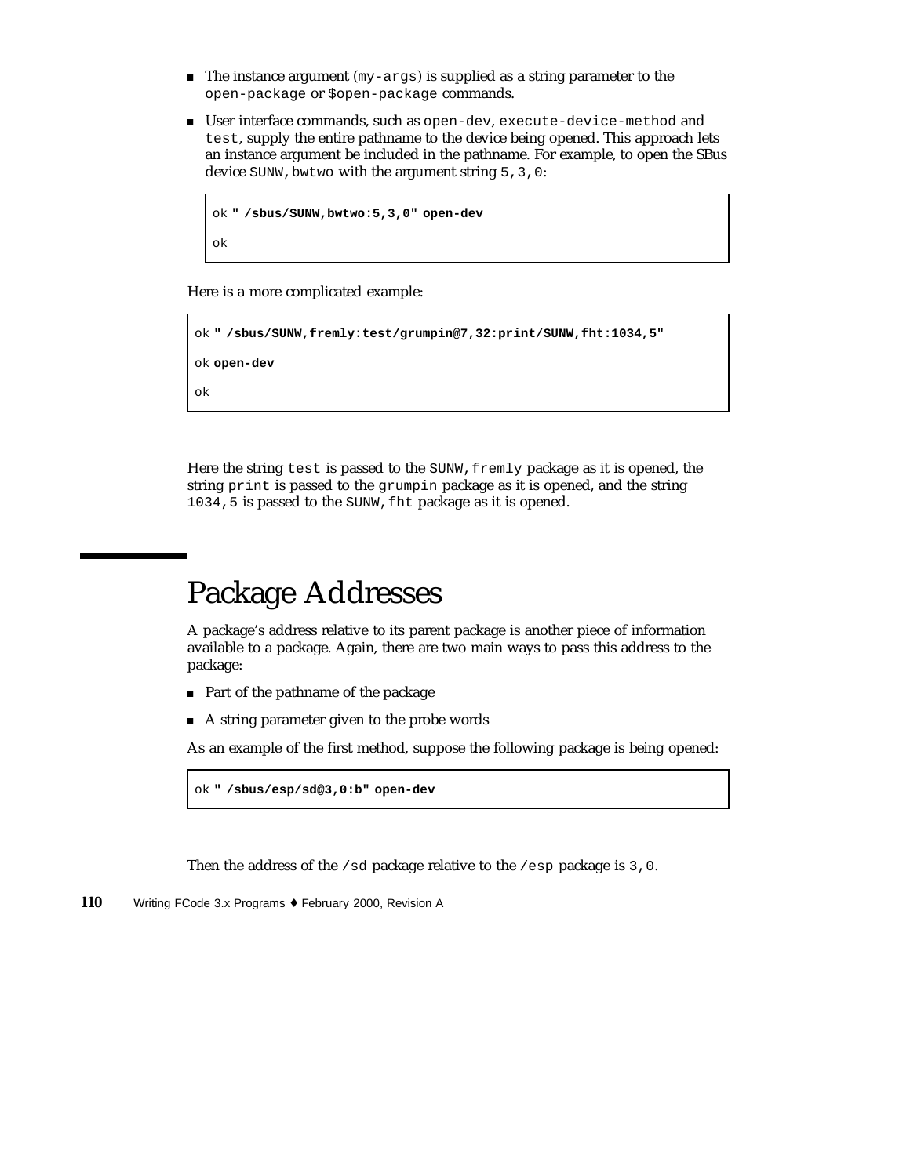- $\blacksquare$  The instance argument (my-args) is supplied as a string parameter to the open-package or \$open-package commands.
- User interface commands, such as open-dev, execute-device-method and test, supply the entire pathname to the device being opened. This approach lets an instance argument be included in the pathname. For example, to open the SBus device SUNW, bwtwo with the argument string 5, 3, 0:

```
ok " /sbus/SUNW,bwtwo:5,3,0" open-dev
ok
```
Here is a more complicated example:

```
ok " /sbus/SUNW,fremly:test/grumpin@7,32:print/SUNW,fht:1034,5"
```
ok **open-dev**

ok

Here the string test is passed to the SUNW, fremly package as it is opened, the string print is passed to the grumpin package as it is opened, and the string 1034,5 is passed to the SUNW,fht package as it is opened.

# Package Addresses

A package's address relative to its parent package is another piece of information available to a package. Again, there are two main ways to pass this address to the package:

- Part of the pathname of the package
- A string parameter given to the probe words

As an example of the first method, suppose the following package is being opened:

```
ok " /sbus/esp/sd@3,0:b" open-dev
```
Then the address of the  $/sd$  package relative to the  $/esp$  package is 3,0.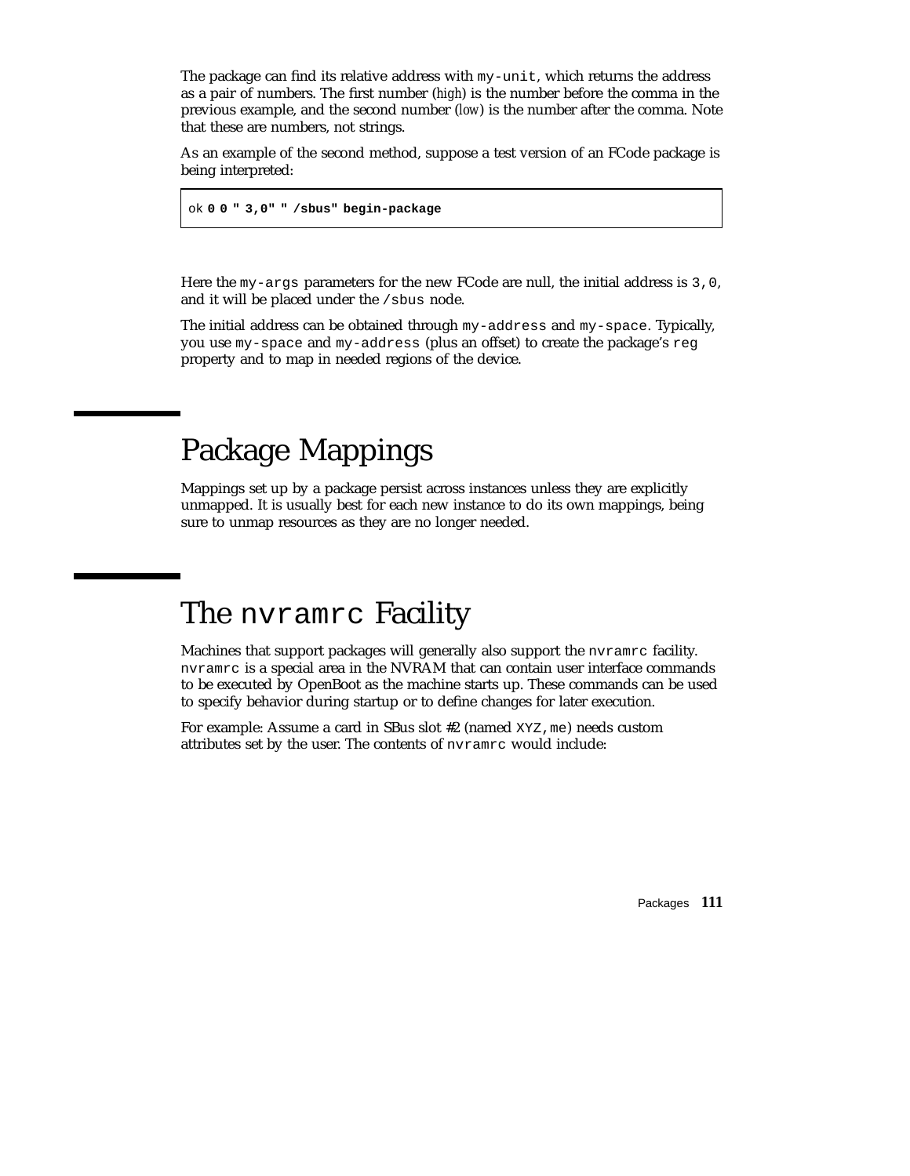The package can find its relative address with  $my$ -unit, which returns the address as a pair of numbers. The first number (*high*) is the number before the comma in the previous example, and the second number (*low*) is the number after the comma. Note that these are numbers, not strings.

As an example of the second method, suppose a test version of an FCode package is being interpreted:

ok **0 0 " 3,0" " /sbus" begin-package**

Here the my-args parameters for the new FCode are null, the initial address is 3,0, and it will be placed under the /sbus node.

The initial address can be obtained through my-address and my-space. Typically, you use my-space and my-address (plus an offset) to create the package's reg property and to map in needed regions of the device.

# Package Mappings

Mappings set up by a package persist across instances unless they are explicitly unmapped. It is usually best for each new instance to do its own mappings, being sure to unmap resources as they are no longer needed.

# The nvramrc Facility

Machines that support packages will generally also support the nvramrc facility. nvramrc is a special area in the NVRAM that can contain user interface commands to be executed by OpenBoot as the machine starts up. These commands can be used to specify behavior during startup or to define changes for later execution.

For example: Assume a card in SBus slot #2 (named XYZ, me) needs custom attributes set by the user. The contents of nvramrc would include:

Packages **111**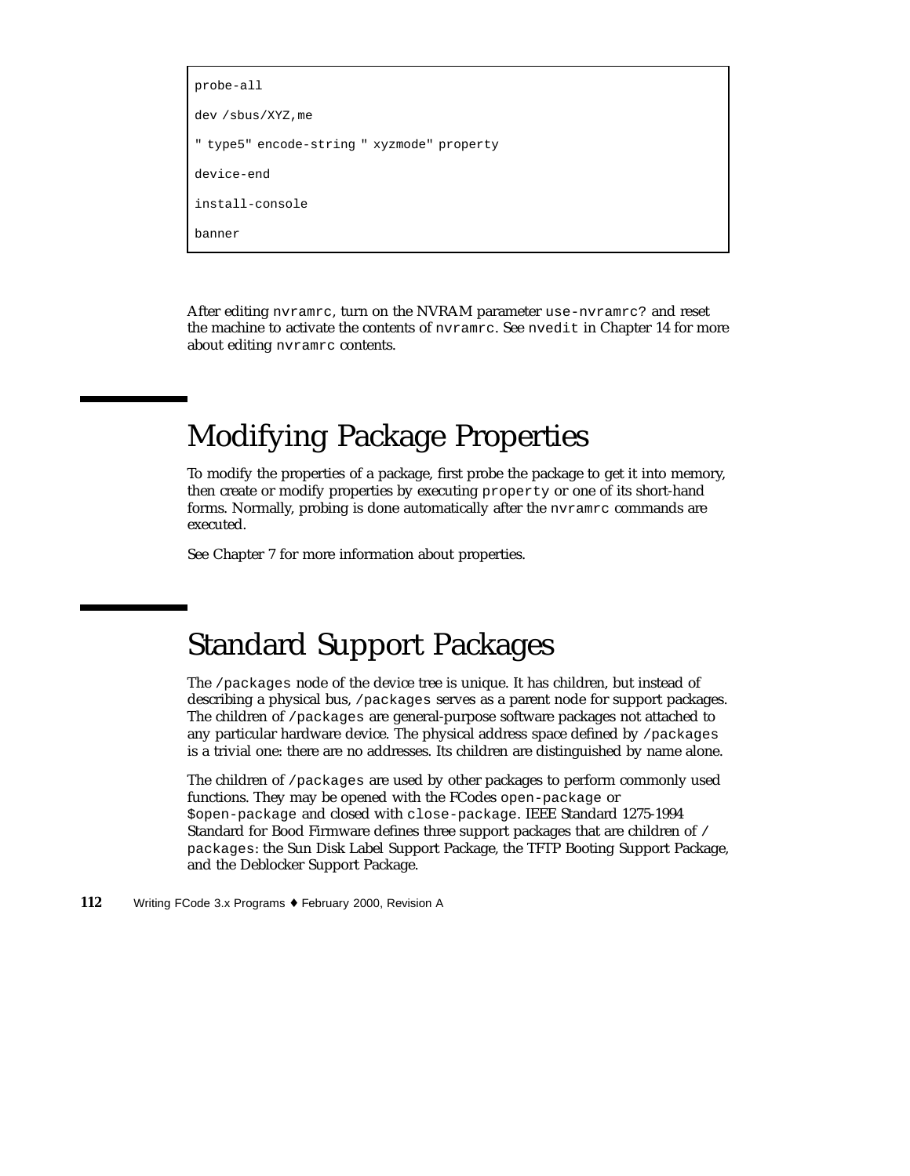```
probe-all
dev /sbus/XYZ,me
" type5" encode-string " xyzmode" property
device-end
install-console
banner
```
After editing nvramrc, turn on the NVRAM parameter use-nvramrc? and reset the machine to activate the contents of nvramrc. See nvedit in Chapter 14 for more about editing nvramrc contents.

# Modifying Package Properties

To modify the properties of a package, first probe the package to get it into memory, then create or modify properties by executing property or one of its short-hand forms. Normally, probing is done automatically after the nvramrc commands are executed.

See Chapter 7 for more information about properties.

# Standard Support Packages

The /packages node of the device tree is unique. It has children, but instead of describing a physical bus, /packages serves as a parent node for support packages. The children of /packages are general-purpose software packages not attached to any particular hardware device. The physical address space defined by /packages is a trivial one: there are no addresses. Its children are distinguished by name alone.

The children of /packages are used by other packages to perform commonly used functions. They may be opened with the FCodes open-package or \$open-package and closed with close-package. IEEE Standard 1275-1994 Standard for Bood Firmware defines three support packages that are children of / packages: the Sun Disk Label Support Package, the TFTP Booting Support Package, and the Deblocker Support Package.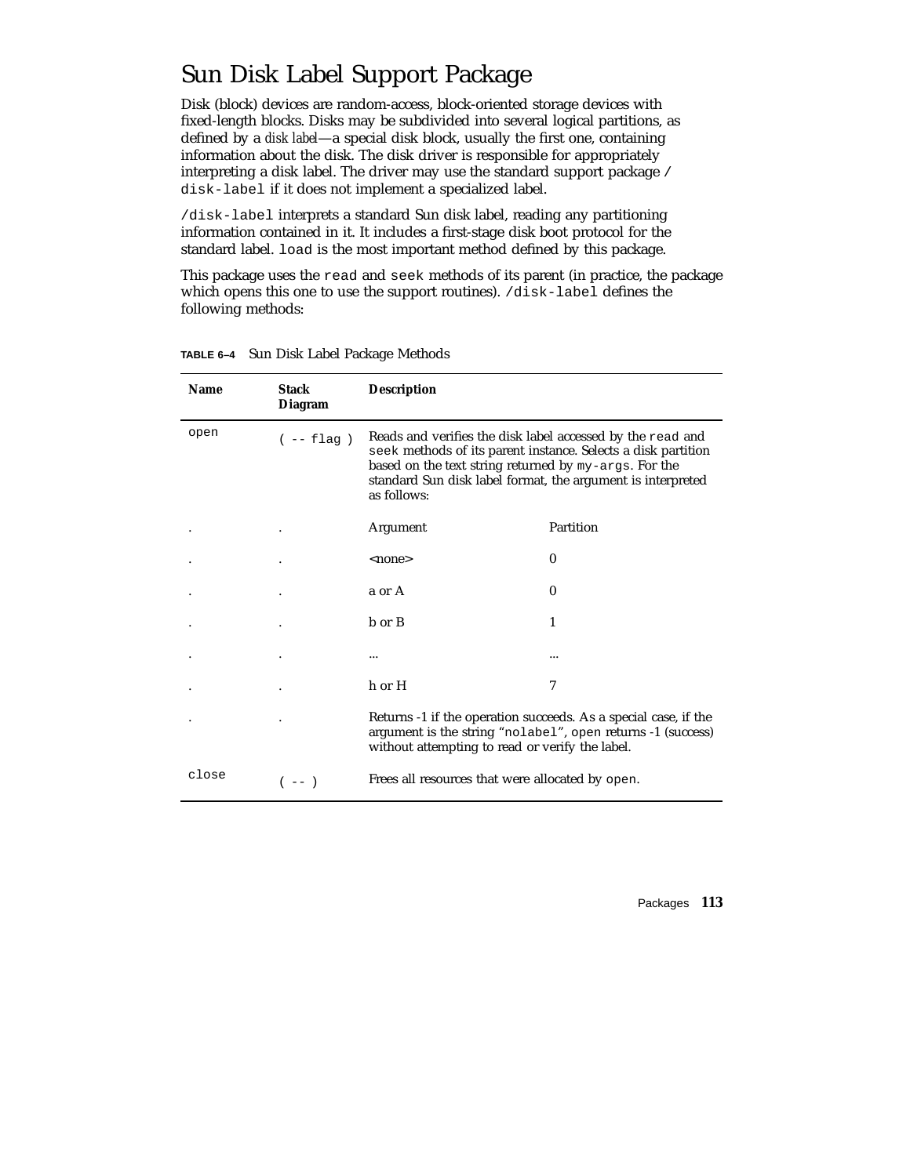## Sun Disk Label Support Package

Disk (block) devices are random-access, block-oriented storage devices with fixed-length blocks. Disks may be subdivided into several logical partitions, as defined by a *disk label*—a special disk block, usually the first one, containing information about the disk. The disk driver is responsible for appropriately interpreting a disk label. The driver may use the standard support package / disk-label if it does not implement a specialized label.

/disk-label interprets a standard Sun disk label, reading any partitioning information contained in it. It includes a first-stage disk boot protocol for the standard label. load is the most important method defined by this package.

This package uses the read and seek methods of its parent (in practice, the package which opens this one to use the support routines). /disk-label defines the following methods:

| <b>Name</b> | <b>Stack</b><br><b>Diagram</b> | <b>Description</b>                                                                                                                                                                                                                                                 |           |
|-------------|--------------------------------|--------------------------------------------------------------------------------------------------------------------------------------------------------------------------------------------------------------------------------------------------------------------|-----------|
| open        | $(- - \text{flag})$            | Reads and verifies the disk label accessed by the read and<br>seek methods of its parent instance. Selects a disk partition<br>based on the text string returned by my-args. For the<br>standard Sun disk label format, the argument is interpreted<br>as follows: |           |
|             |                                | Argument                                                                                                                                                                                                                                                           | Partition |
|             |                                | <none></none>                                                                                                                                                                                                                                                      | $\bf{0}$  |
|             |                                | a or A                                                                                                                                                                                                                                                             | $\bf{0}$  |
|             |                                | b or B                                                                                                                                                                                                                                                             | 1         |
|             |                                |                                                                                                                                                                                                                                                                    |           |
|             |                                | h or H                                                                                                                                                                                                                                                             | 7         |
|             |                                | Returns -1 if the operation succeeds. As a special case, if the<br>argument is the string "nolabel", open returns -1 (success)<br>without attempting to read or verify the label.                                                                                  |           |
| close       | ( —— )                         | Frees all resources that were allocated by open.                                                                                                                                                                                                                   |           |

**TABLE 6–4** Sun Disk Label Package Methods

Packages **113**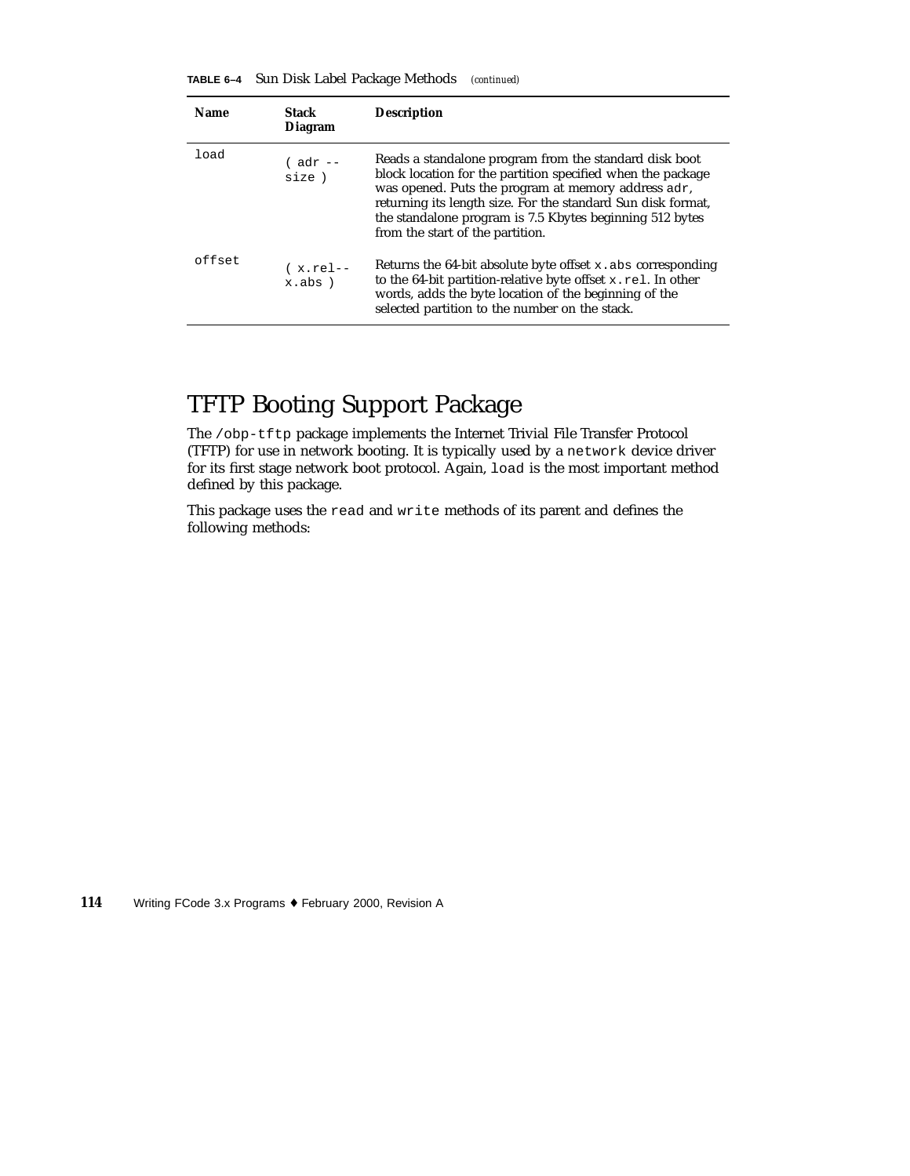| TABLE 6-4 | Sun Disk Label Package Methods |  |  |  | (continued) |
|-----------|--------------------------------|--|--|--|-------------|
|-----------|--------------------------------|--|--|--|-------------|

| <b>Name</b> | Stack<br>Diagram        | <b>Description</b>                                                                                                                                                                                                                                                                                                                           |
|-------------|-------------------------|----------------------------------------------------------------------------------------------------------------------------------------------------------------------------------------------------------------------------------------------------------------------------------------------------------------------------------------------|
| load        | $($ adr $--$<br>size)   | Reads a standalone program from the standard disk boot<br>block location for the partition specified when the package<br>was opened. Puts the program at memory address adr,<br>returning its length size. For the standard Sun disk format,<br>the standalone program is 7.5 Kbytes beginning 512 bytes<br>from the start of the partition. |
| offset      | $(x.rel--$<br>$x.abs$ ) | Returns the 64-bit absolute byte offset $x$ . abs corresponding<br>to the 64-bit partition-relative byte offset $x$ . rel. In other<br>words, adds the byte location of the beginning of the<br>selected partition to the number on the stack.                                                                                               |

## TFTP Booting Support Package

The /obp-tftp package implements the Internet Trivial File Transfer Protocol (TFTP) for use in network booting. It is typically used by a network device driver for its first stage network boot protocol. Again, load is the most important method defined by this package.

This package uses the read and write methods of its parent and defines the following methods: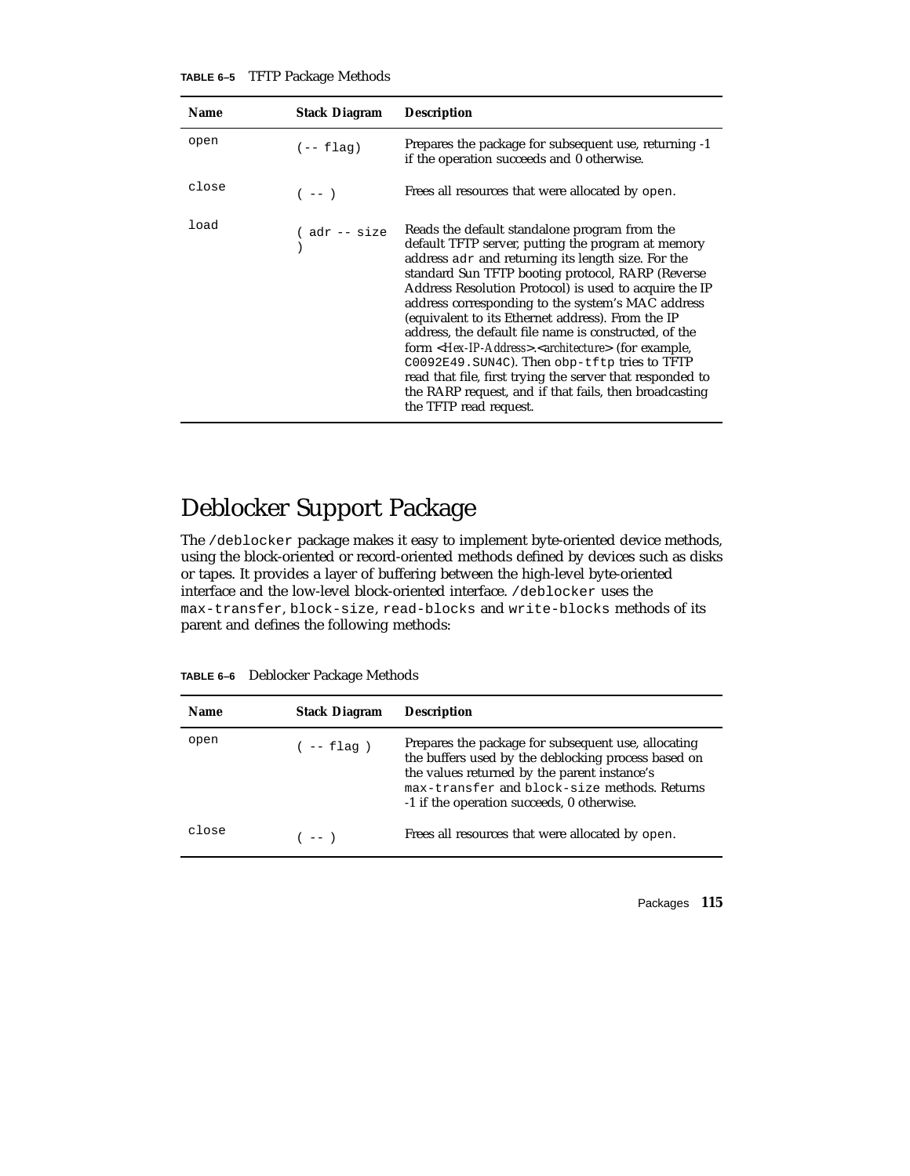| TABLE 6-5 |  | <b>TFTP Package Methods</b> |
|-----------|--|-----------------------------|
|-----------|--|-----------------------------|

| <b>Name</b> | <b>Stack Diagram</b> | <b>Description</b>                                                                                                                                                                                                                                                                                                                                                                                                                                                                                                                                                                                                                                                                                                               |
|-------------|----------------------|----------------------------------------------------------------------------------------------------------------------------------------------------------------------------------------------------------------------------------------------------------------------------------------------------------------------------------------------------------------------------------------------------------------------------------------------------------------------------------------------------------------------------------------------------------------------------------------------------------------------------------------------------------------------------------------------------------------------------------|
| open        | $(- -$ flag)         | Prepares the package for subsequent use, returning -1<br>if the operation succeeds and 0 otherwise.                                                                                                                                                                                                                                                                                                                                                                                                                                                                                                                                                                                                                              |
| close       | $(- - )$             | Frees all resources that were allocated by open.                                                                                                                                                                                                                                                                                                                                                                                                                                                                                                                                                                                                                                                                                 |
| load        | ( adr -- size        | Reads the default standalone program from the<br>default TFTP server, putting the program at memory<br>address adr and returning its length size. For the<br>standard Sun TFTP booting protocol, RARP (Reverse<br>Address Resolution Protocol) is used to acquire the IP<br>address corresponding to the system's MAC address<br>(equivalent to its Ethernet address). From the IP<br>address, the default file name is constructed, of the<br>form < <i>Hex-IP-Address</i> >. <architecture> (for example,<br/>C0092E49. SUN4C). Then obp-tftp tries to TFTP<br/>read that file, first trying the server that responded to<br/>the RARP request, and if that fails, then broadcasting<br/>the TFTP read request.</architecture> |

## Deblocker Support Package

The /deblocker package makes it easy to implement byte-oriented device methods, using the block-oriented or record-oriented methods defined by devices such as disks or tapes. It provides a layer of buffering between the high-level byte-oriented interface and the low-level block-oriented interface. /deblocker uses the max-transfer, block-size, read-blocks and write-blocks methods of its parent and defines the following methods:

| Name  | <b>Stack Diagram</b> | <b>Description</b>                                                                                                                                                                                                                                       |
|-------|----------------------|----------------------------------------------------------------------------------------------------------------------------------------------------------------------------------------------------------------------------------------------------------|
| open  | $(- - \text{flag})$  | Prepares the package for subsequent use, allocating<br>the buffers used by the deblocking process based on<br>the values returned by the parent instance's<br>max-transfer and block-size methods. Returns<br>-1 if the operation succeeds, 0 otherwise. |
| close | $(- - )$             | Frees all resources that were allocated by open.                                                                                                                                                                                                         |

**TABLE 6–6** Deblocker Package Methods

Packages **115**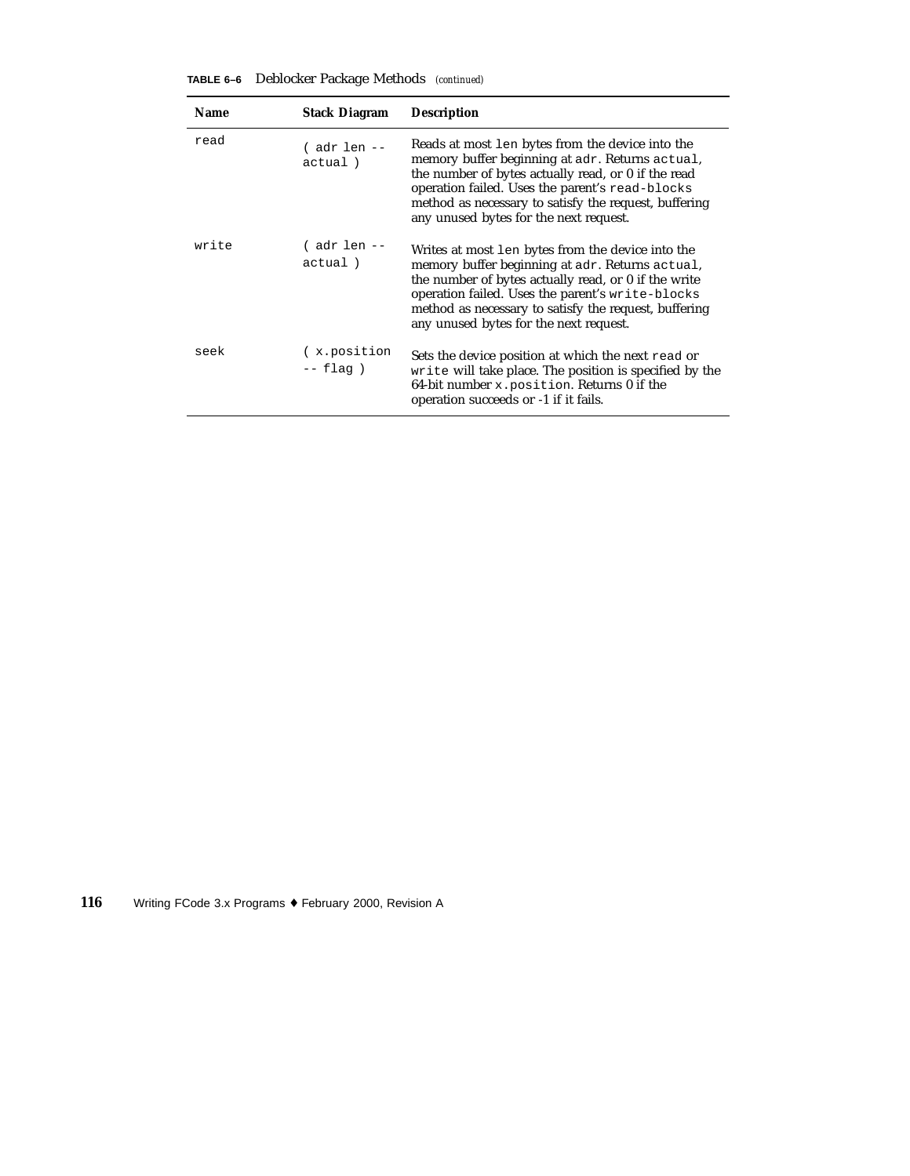| <b>Name</b> | <b>Stack Diagram</b>     | <b>Description</b>                                                                                                                                                                                                                                                                                                  |
|-------------|--------------------------|---------------------------------------------------------------------------------------------------------------------------------------------------------------------------------------------------------------------------------------------------------------------------------------------------------------------|
| read        | ( adr len --<br>actual)  | Reads at most len bytes from the device into the<br>memory buffer beginning at adr. Returns actual,<br>the number of bytes actually read, or 0 if the read<br>operation failed. Uses the parent's read-blocks<br>method as necessary to satisfy the request, buffering<br>any unused bytes for the next request.    |
| write       | ( adr len --<br>actual)  | Writes at most len bytes from the device into the<br>memory buffer beginning at adr. Returns actual,<br>the number of bytes actually read, or 0 if the write<br>operation failed. Uses the parent's write-blocks<br>method as necessary to satisfy the request, buffering<br>any unused bytes for the next request. |
| seek        | x.position<br>$--$ flag) | Sets the device position at which the next read or<br>write will take place. The position is specified by the<br>64-bit number $x$ . position. Returns 0 if the<br>operation succeeds or -1 if it fails.                                                                                                            |

**TABLE 6–6** Deblocker Package Methods *(continued)*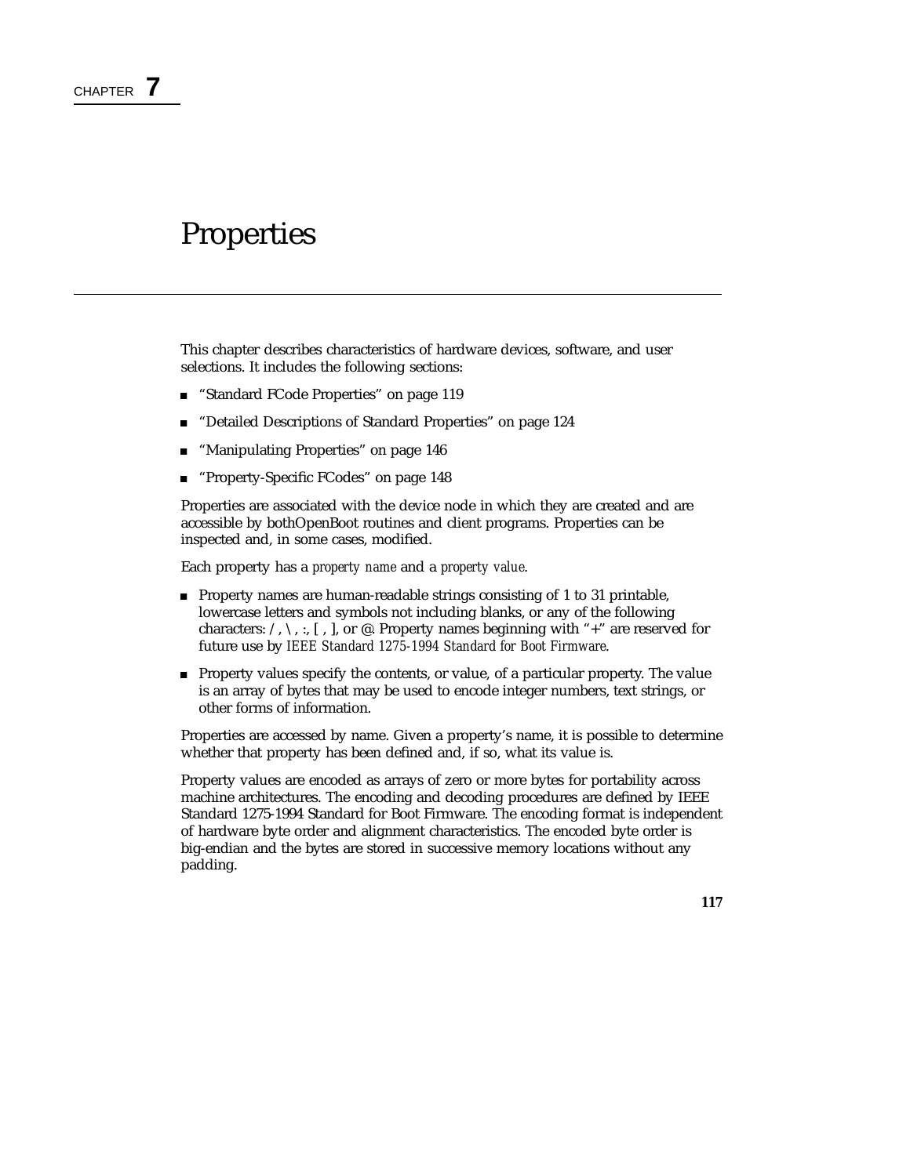## Properties

This chapter describes characteristics of hardware devices, software, and user selections. It includes the following sections:

- "Standard FCode Properties" on page 119
- "Detailed Descriptions of Standard Properties" on page 124
- "Manipulating Properties" on page 146
- **Property-Specific FCodes" on page 148**

Properties are associated with the device node in which they are created and are accessible by bothOpenBoot routines and client programs. Properties can be inspected and, in some cases, modified.

Each property has a *property name* and a *property value*.

- **Property names are human-readable strings consisting of 1 to 31 printable,** lowercase letters and symbols not including blanks, or any of the following characters:  $\land$ ,  $\land$ ,  $\colon$  [, ], or @. Property names beginning with "+" are reserved for future use by *IEEE Standard 1275-1994 Standard for Boot Firmware*.
- Property values specify the contents, or value, of a particular property. The value is an array of bytes that may be used to encode integer numbers, text strings, or other forms of information.

Properties are accessed by name. Given a property's name, it is possible to determine whether that property has been defined and, if so, what its value is.

Property values are encoded as arrays of zero or more bytes for portability across machine architectures. The encoding and decoding procedures are defined by IEEE Standard 1275-1994 Standard for Boot Firmware. The encoding format is independent of hardware byte order and alignment characteristics. The encoded byte order is big-endian and the bytes are stored in successive memory locations without any padding.

**117**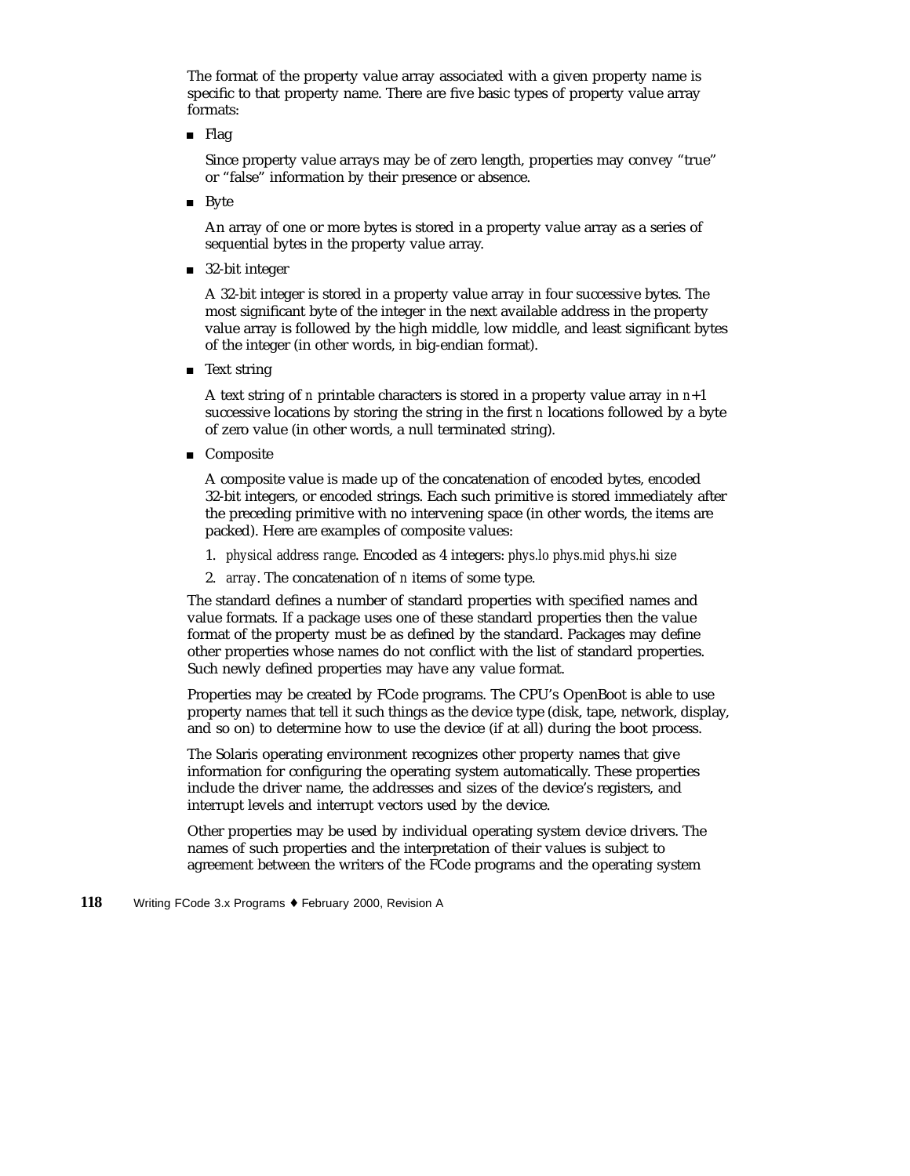The format of the property value array associated with a given property name is specific to that property name. There are five basic types of property value array formats:

■ Flag

Since property value arrays may be of zero length, properties may convey "true" or "false" information by their presence or absence.

**Byte** 

An array of one or more bytes is stored in a property value array as a series of sequential bytes in the property value array.

■ 32-bit integer

A 32-bit integer is stored in a property value array in four successive bytes. The most significant byte of the integer in the next available address in the property value array is followed by the high middle, low middle, and least significant bytes of the integer (in other words, in big-endian format).

■ Text string

A text string of *n* printable characters is stored in a property value array in *n*+1 successive locations by storing the string in the first *n* locations followed by a byte of zero value (in other words, a null terminated string).

■ Composite

A composite value is made up of the concatenation of encoded bytes, encoded 32-bit integers, or encoded strings. Each such primitive is stored immediately after the preceding primitive with no intervening space (in other words, the items are packed). Here are examples of composite values:

- 1. *physical address range*. Encoded as 4 integers: *phys.lo phys.mid phys.hi size*
- 2. *array*. The concatenation of *n* items of some type.

The standard defines a number of standard properties with specified names and value formats. If a package uses one of these standard properties then the value format of the property must be as defined by the standard. Packages may define other properties whose names do not conflict with the list of standard properties. Such newly defined properties may have any value format.

Properties may be created by FCode programs. The CPU's OpenBoot is able to use property names that tell it such things as the device type (disk, tape, network, display, and so on) to determine how to use the device (if at all) during the boot process.

The Solaris operating environment recognizes other property names that give information for configuring the operating system automatically. These properties include the driver name, the addresses and sizes of the device's registers, and interrupt levels and interrupt vectors used by the device.

Other properties may be used by individual operating system device drivers. The names of such properties and the interpretation of their values is subject to agreement between the writers of the FCode programs and the operating system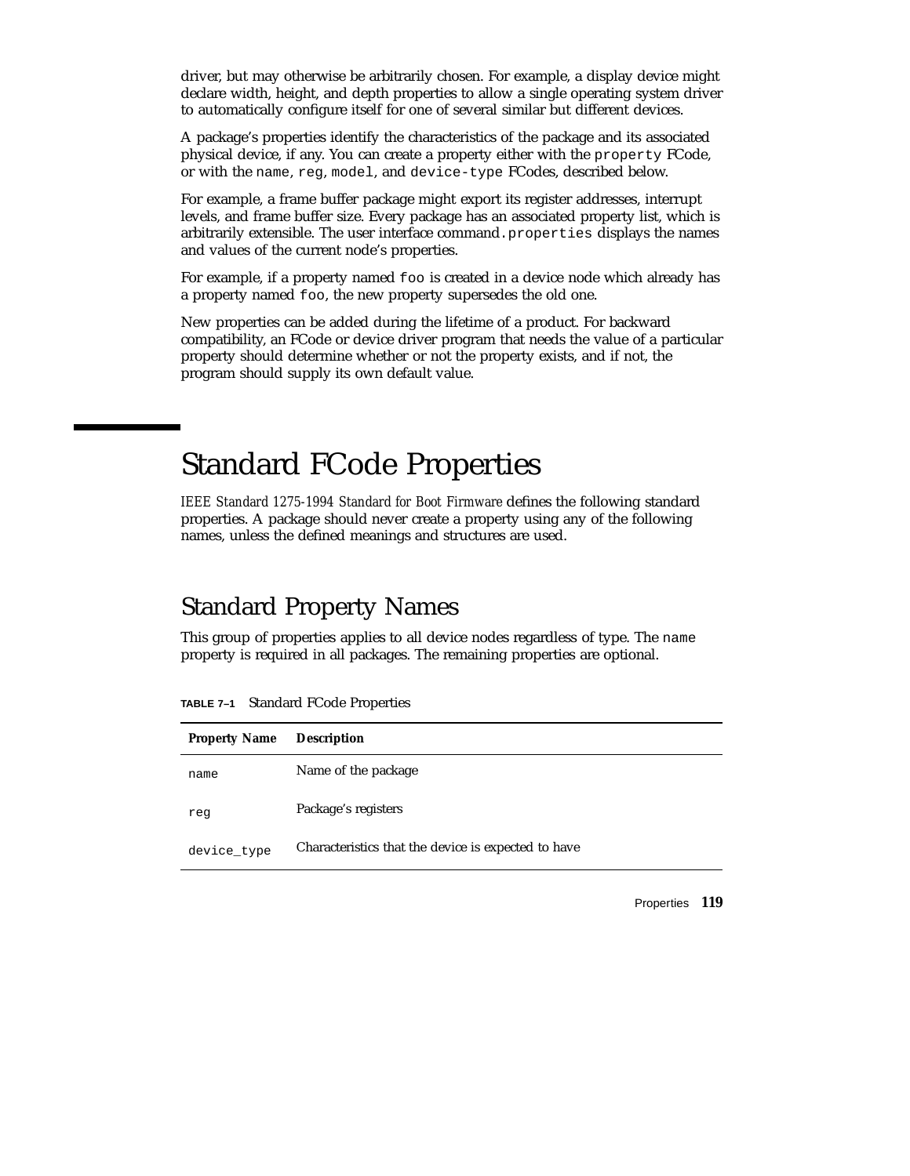driver, but may otherwise be arbitrarily chosen. For example, a display device might declare width, height, and depth properties to allow a single operating system driver to automatically configure itself for one of several similar but different devices.

A package's properties identify the characteristics of the package and its associated physical device, if any. You can create a property either with the property FCode, or with the name, reg, model, and device-type FCodes, described below.

For example, a frame buffer package might export its register addresses, interrupt levels, and frame buffer size. Every package has an associated property list, which is arbitrarily extensible. The user interface command. properties displays the names and values of the current node's properties.

For example, if a property named foo is created in a device node which already has a property named foo, the new property supersedes the old one.

New properties can be added during the lifetime of a product. For backward compatibility, an FCode or device driver program that needs the value of a particular property should determine whether or not the property exists, and if not, the program should supply its own default value.

# Standard FCode Properties

*IEEE Standard 1275-1994 Standard for Boot Firmware* defines the following standard properties. A package should never create a property using any of the following names, unless the defined meanings and structures are used.

## Standard Property Names

This group of properties applies to all device nodes regardless of type. The name property is required in all packages. The remaining properties are optional.

| <b>Property Name</b> | <b>Description</b>                                  |
|----------------------|-----------------------------------------------------|
| name                 | Name of the package                                 |
| reg                  | Package's registers                                 |
| device_type          | Characteristics that the device is expected to have |

**TABLE 7–1** Standard FCode Properties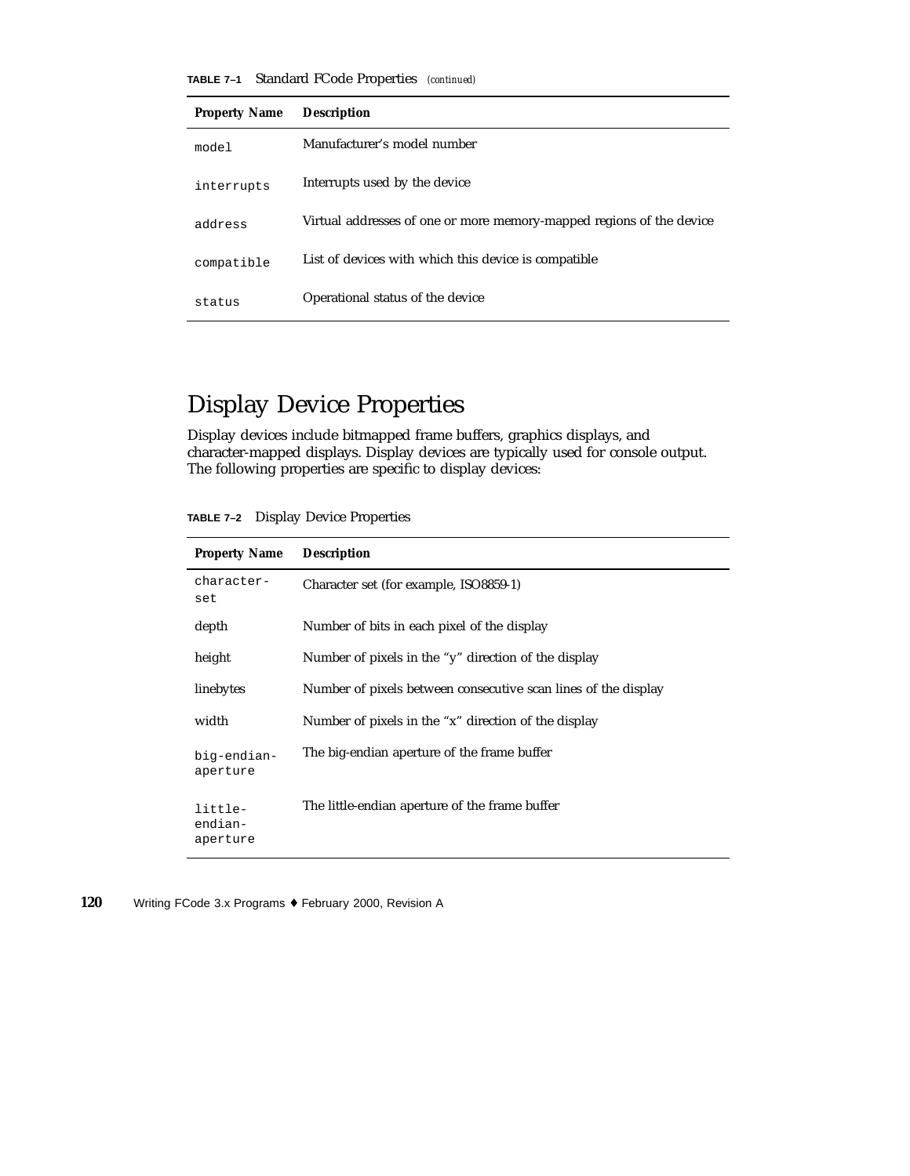**TABLE 7–1** Standard FCode Properties *(continued)*

| <b>Property Name</b> | <b>Description</b>                                                   |
|----------------------|----------------------------------------------------------------------|
| model                | Manufacturer's model number                                          |
| interrupts           | Interrupts used by the device                                        |
| address              | Virtual addresses of one or more memory-mapped regions of the device |
| compatible           | List of devices with which this device is compatible                 |
| status               | Operational status of the device                                     |

# Display Device Properties

Display devices include bitmapped frame buffers, graphics displays, and character-mapped displays. Display devices are typically used for console output. The following properties are specific to display devices:

**TABLE 7–2** Display Device Properties

| <b>Property Name</b>           | <b>Description</b>                                             |
|--------------------------------|----------------------------------------------------------------|
| character-<br>set              | Character set (for example, ISO8859-1)                         |
| depth                          | Number of bits in each pixel of the display                    |
| height                         | Number of pixels in the "y" direction of the display           |
| linebytes                      | Number of pixels between consecutive scan lines of the display |
| width                          | Number of pixels in the "x" direction of the display           |
| biq-endian-<br>aperture        | The big-endian aperture of the frame buffer                    |
| little-<br>endian-<br>aperture | The little-endian aperture of the frame buffer                 |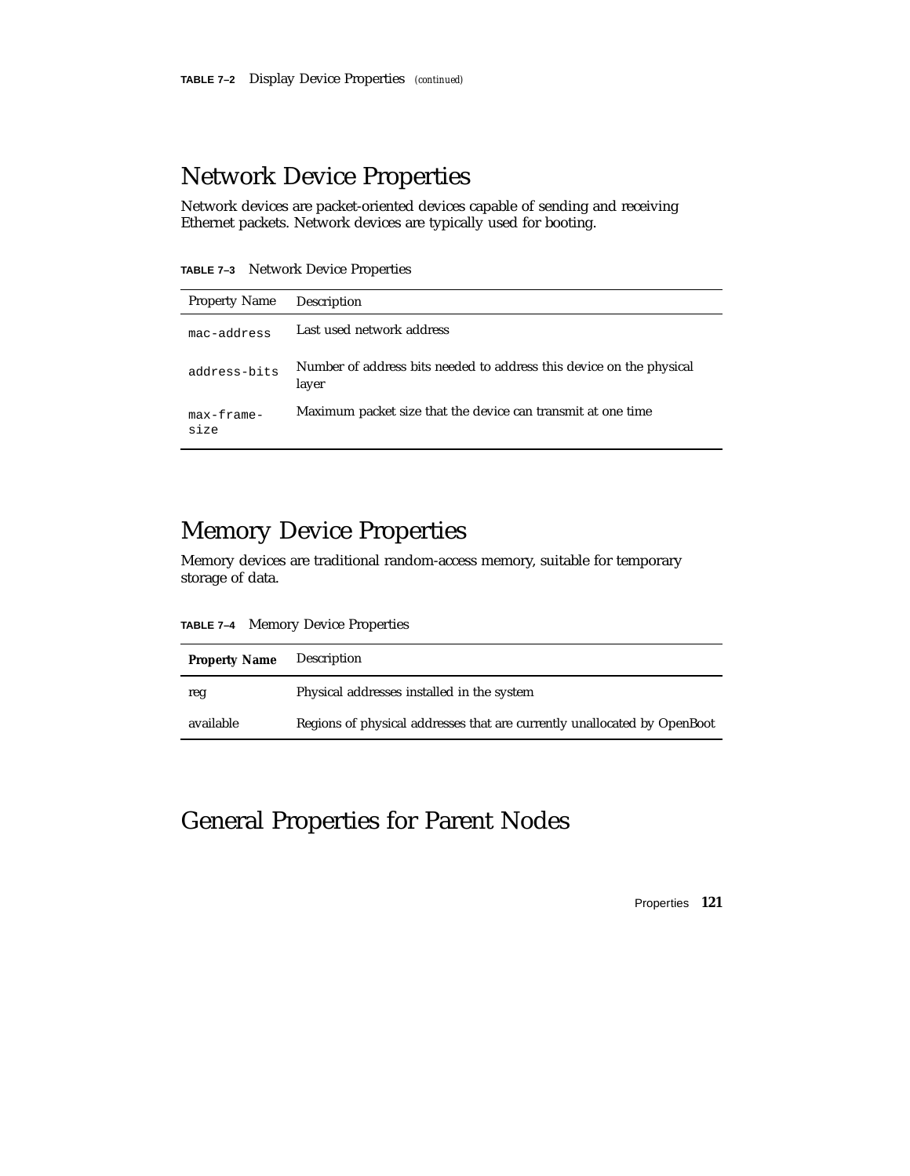### Network Device Properties

Network devices are packet-oriented devices capable of sending and receiving Ethernet packets. Network devices are typically used for booting.

**TABLE 7–3** Network Device Properties

| <b>Property Name</b> |                                                                               |
|----------------------|-------------------------------------------------------------------------------|
|                      | Description                                                                   |
| mac-address          | Last used network address                                                     |
| address-bits         | Number of address bits needed to address this device on the physical<br>layer |
| $max-frame-$<br>size | Maximum packet size that the device can transmit at one time                  |

### Memory Device Properties

Memory devices are traditional random-access memory, suitable for temporary storage of data.

**TABLE 7–4** Memory Device Properties

| <b>Property Name</b> | Description                                                              |
|----------------------|--------------------------------------------------------------------------|
| reg                  | Physical addresses installed in the system                               |
| available            | Regions of physical addresses that are currently unallocated by OpenBoot |

## General Properties for Parent Nodes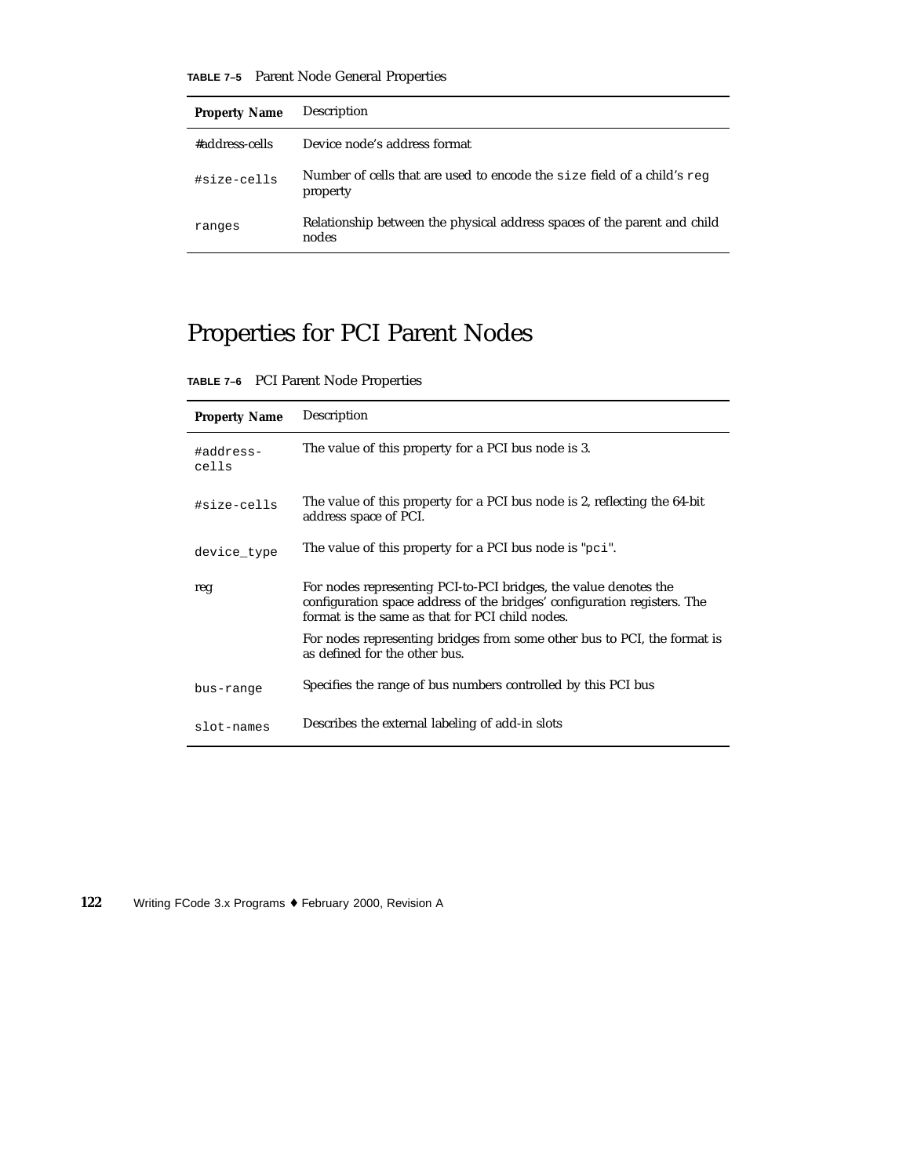**TABLE 7–5** Parent Node General Properties

| <b>Property Name</b> | Description                                                                                |
|----------------------|--------------------------------------------------------------------------------------------|
| #address-cells       | Device node's address format                                                               |
| #size-cells          | Number of cells that are used to encode the size field of a child's $\epsilon$<br>property |
| ranges               | Relationship between the physical address spaces of the parent and child<br>nodes          |

# Properties for PCI Parent Nodes

| TABLE 7-6 PCI Parent Node Properties |  |
|--------------------------------------|--|
|                                      |  |

| <b>Property Name</b> | Description                                                                                                                                                                                     |
|----------------------|-------------------------------------------------------------------------------------------------------------------------------------------------------------------------------------------------|
| #address-<br>cells   | The value of this property for a PCI bus node is 3.                                                                                                                                             |
| #size-cells          | The value of this property for a PCI bus node is 2, reflecting the 64-bit<br>address space of PCI.                                                                                              |
| device_type          | The value of this property for a PCI bus node is "pci".                                                                                                                                         |
| reg                  | For nodes representing PCI-to-PCI bridges, the value denotes the<br>configuration space address of the bridges' configuration registers. The<br>format is the same as that for PCI child nodes. |
|                      | For nodes representing bridges from some other bus to PCI, the format is<br>as defined for the other bus.                                                                                       |
| bus-range            | Specifies the range of bus numbers controlled by this PCI bus                                                                                                                                   |
| slot-names           | Describes the external labeling of add-in slots                                                                                                                                                 |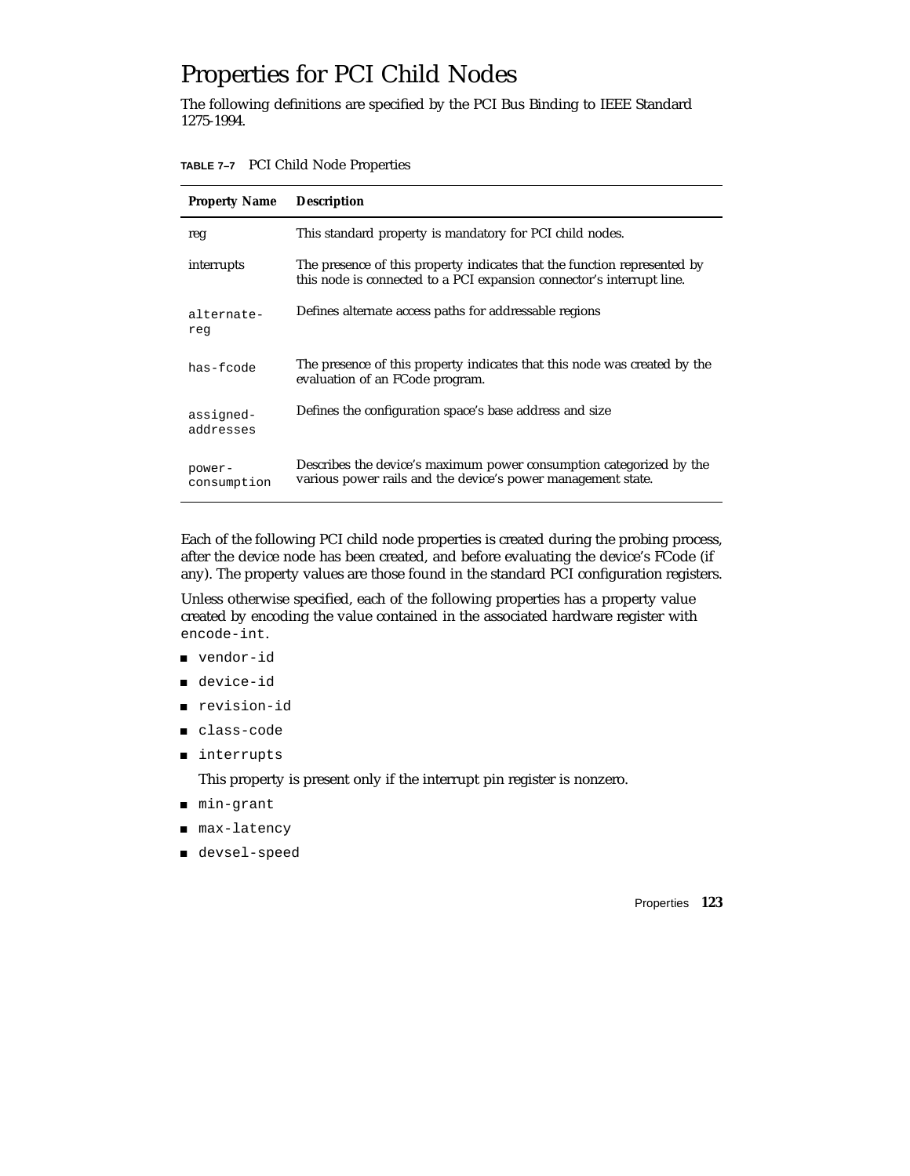## Properties for PCI Child Nodes

The following definitions are specified by the PCI Bus Binding to IEEE Standard 1275-1994.

**TABLE 7–7** PCI Child Node Properties

| <b>Property Name</b>   | <b>Description</b>                                                                                                                                |
|------------------------|---------------------------------------------------------------------------------------------------------------------------------------------------|
| reg                    | This standard property is mandatory for PCI child nodes.                                                                                          |
| interrupts             | The presence of this property indicates that the function represented by<br>this node is connected to a PCI expansion connector's interrupt line. |
| alternate-<br>reg      | Defines alternate access paths for addressable regions                                                                                            |
| has-fcode              | The presence of this property indicates that this node was created by the<br>evaluation of an FCode program.                                      |
| assigned-<br>addresses | Defines the configuration space's base address and size                                                                                           |
| power-<br>consumption  | Describes the device's maximum power consumption categorized by the<br>various power rails and the device's power management state.               |

Each of the following PCI child node properties is created during the probing process, after the device node has been created, and before evaluating the device's FCode (if any). The property values are those found in the standard PCI configuration registers.

Unless otherwise specified, each of the following properties has a property value created by encoding the value contained in the associated hardware register with encode-int.

- vendor-id
- device-id
- revision-id
- class-code
- interrupts

This property is present only if the interrupt pin register is nonzero.

- min-grant
- max-latency
- devsel-speed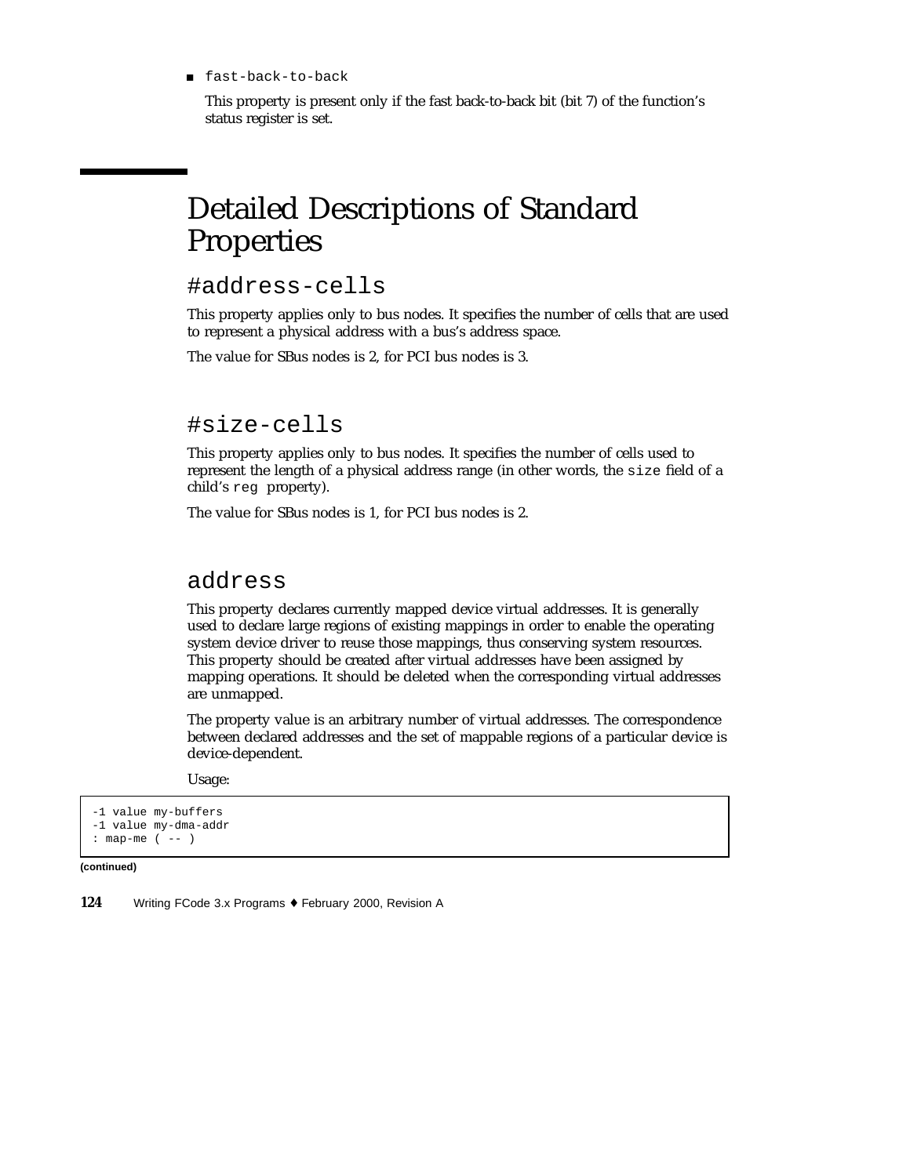■ fast-back-to-back

This property is present only if the fast back-to-back bit (bit 7) of the function's status register is set.

# Detailed Descriptions of Standard Properties

### #address-cells

This property applies only to bus nodes. It specifies the number of cells that are used to represent a physical address with a bus's address space.

The value for SBus nodes is 2, for PCI bus nodes is 3.

#### #size-cells

This property applies only to bus nodes. It specifies the number of cells used to represent the length of a physical address range (in other words, the size field of a child's reg property).

The value for SBus nodes is 1, for PCI bus nodes is 2.

### address

This property declares currently mapped device virtual addresses. It is generally used to declare large regions of existing mappings in order to enable the operating system device driver to reuse those mappings, thus conserving system resources. This property should be created after virtual addresses have been assigned by mapping operations. It should be deleted when the corresponding virtual addresses are unmapped.

The property value is an arbitrary number of virtual addresses. The correspondence between declared addresses and the set of mappable regions of a particular device is device-dependent.

Usage:

```
-1 value my-buffers
-1 value my-dma-addr
: map-me ( -- )
```
**(continued)**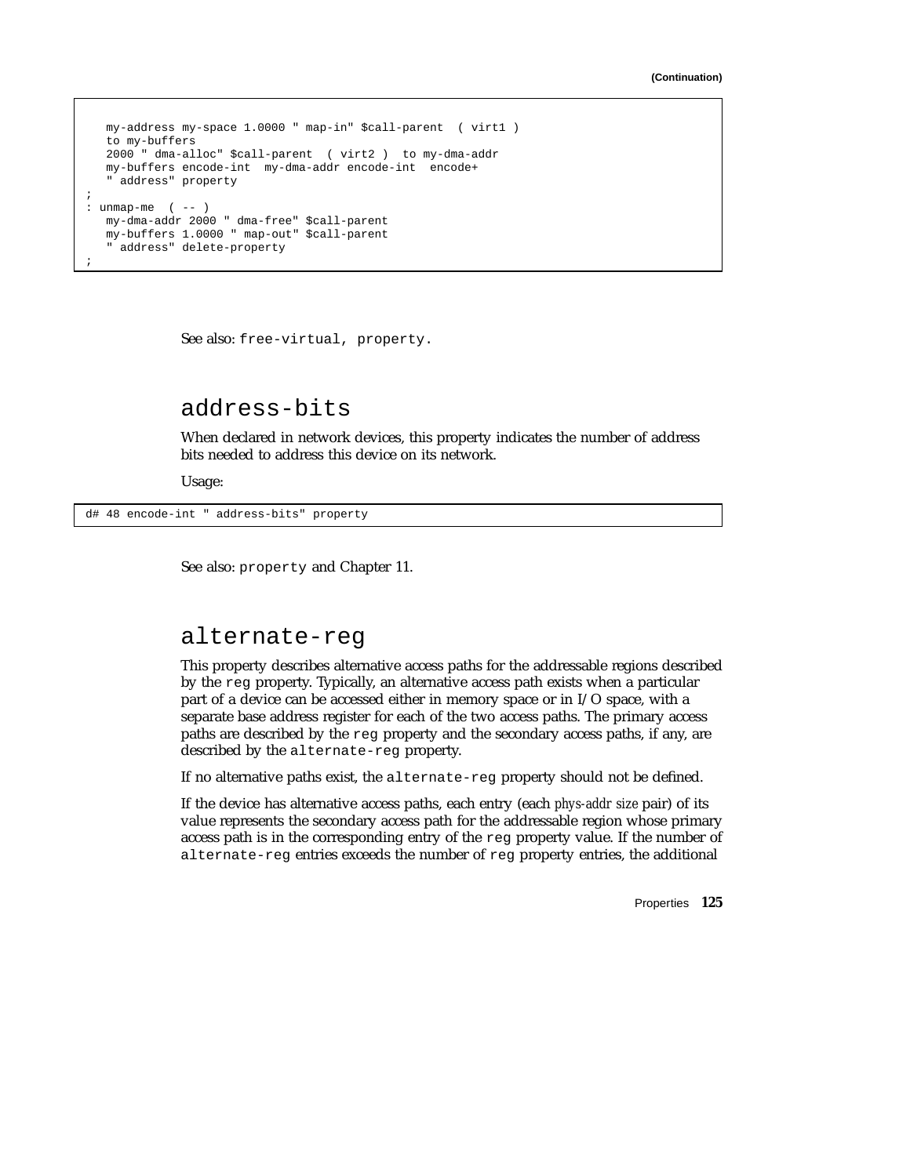```
my-address my-space 1.0000 " map-in" $call-parent ( virt1 )
  to my-buffers
  2000 " dma-alloc" $call-parent ( virt2 ) to my-dma-addr
  my-buffers encode-int my-dma-addr encode-int encode+
   " address" property
;
: unmap-me (--)my-dma-addr 2000 " dma-free" $call-parent
  my-buffers 1.0000 " map-out" $call-parent
   " address" delete-property
;
```
See also: free-virtual, property.

### address-bits

When declared in network devices, this property indicates the number of address bits needed to address this device on its network.

Usage:

d# 48 encode-int " address-bits" property

See also: property and Chapter 11.

#### alternate-reg

This property describes alternative access paths for the addressable regions described by the reg property. Typically, an alternative access path exists when a particular part of a device can be accessed either in memory space or in I/O space, with a separate base address register for each of the two access paths. The primary access paths are described by the reg property and the secondary access paths, if any, are described by the alternate-reg property.

If no alternative paths exist, the alternate-reg property should not be defined.

If the device has alternative access paths, each entry (each *phys-addr size* pair) of its value represents the secondary access path for the addressable region whose primary access path is in the corresponding entry of the  $r \in \mathcal{F}$  property value. If the number of alternate-reg entries exceeds the number of reg property entries, the additional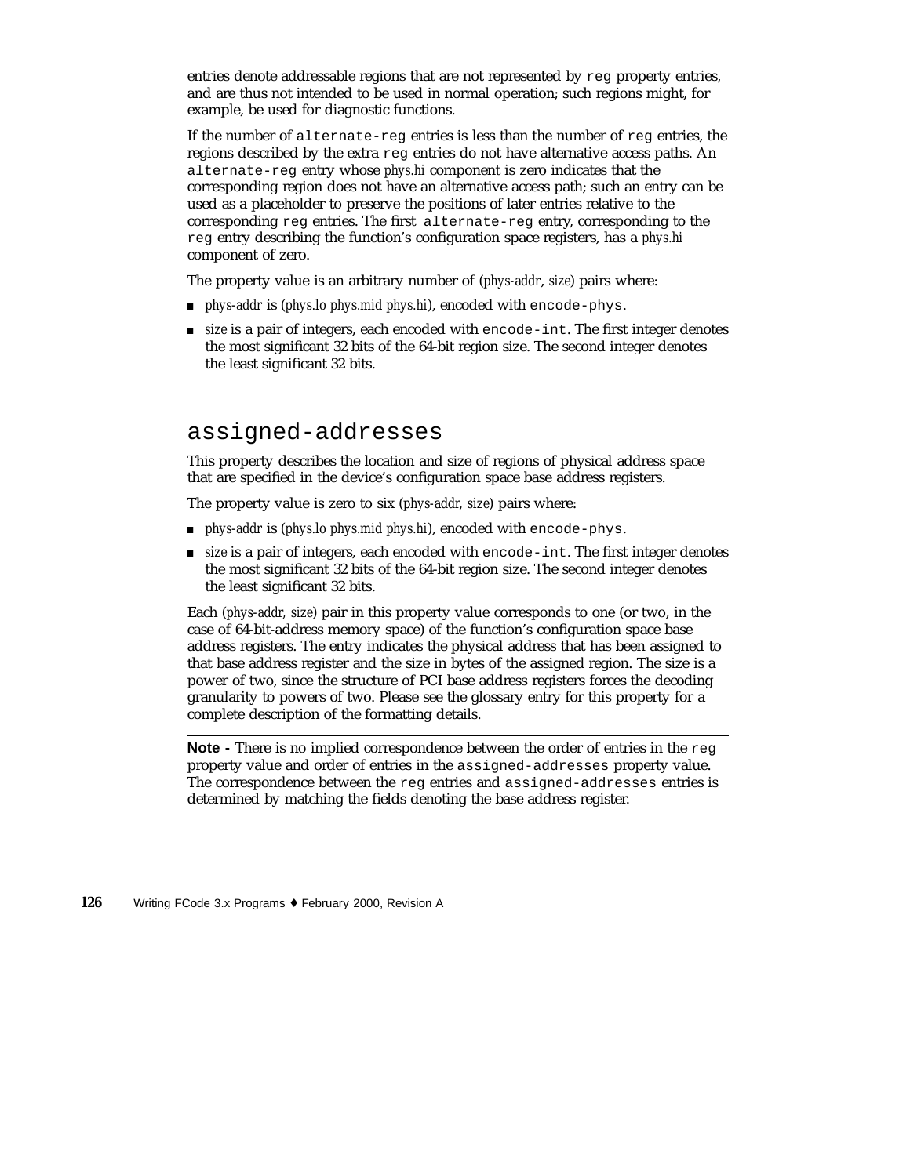entries denote addressable regions that are not represented by reg property entries, and are thus not intended to be used in normal operation; such regions might, for example, be used for diagnostic functions.

If the number of alternate-reg entries is less than the number of reg entries, the regions described by the extra reg entries do not have alternative access paths. An alternate-reg entry whose *phys.hi* component is zero indicates that the corresponding region does not have an alternative access path; such an entry can be used as a placeholder to preserve the positions of later entries relative to the corresponding reg entries. The first alternate-reg entry, corresponding to the reg entry describing the function's configuration space registers, has a *phys.hi* component of zero.

The property value is an arbitrary number of (*phys-addr*, *size*) pairs where:

- *phys-addr* is (*phys.lo phys.mid phys.hi*), encoded with encode-phys.
- **size** is a pair of integers, each encoded with encode-int. The first integer denotes the most significant 32 bits of the 64-bit region size. The second integer denotes the least significant 32 bits.

### assigned-addresses

This property describes the location and size of regions of physical address space that are specified in the device's configuration space base address registers.

The property value is zero to six (*phys-addr, size*) pairs where:

- *phys-addr* is (*phys.lo phys.mid phys.hi*), encoded with encode-phys.
- **size** is a pair of integers, each encoded with encode-int. The first integer denotes the most significant 32 bits of the 64-bit region size. The second integer denotes the least significant 32 bits.

Each (*phys-addr, size*) pair in this property value corresponds to one (or two, in the case of 64-bit-address memory space) of the function's configuration space base address registers. The entry indicates the physical address that has been assigned to that base address register and the size in bytes of the assigned region. The size is a power of two, since the structure of PCI base address registers forces the decoding granularity to powers of two. Please see the glossary entry for this property for a complete description of the formatting details.

**Note -** There is no implied correspondence between the order of entries in the reg property value and order of entries in the assigned-addresses property value. The correspondence between the reg entries and assigned-addresses entries is determined by matching the fields denoting the base address register.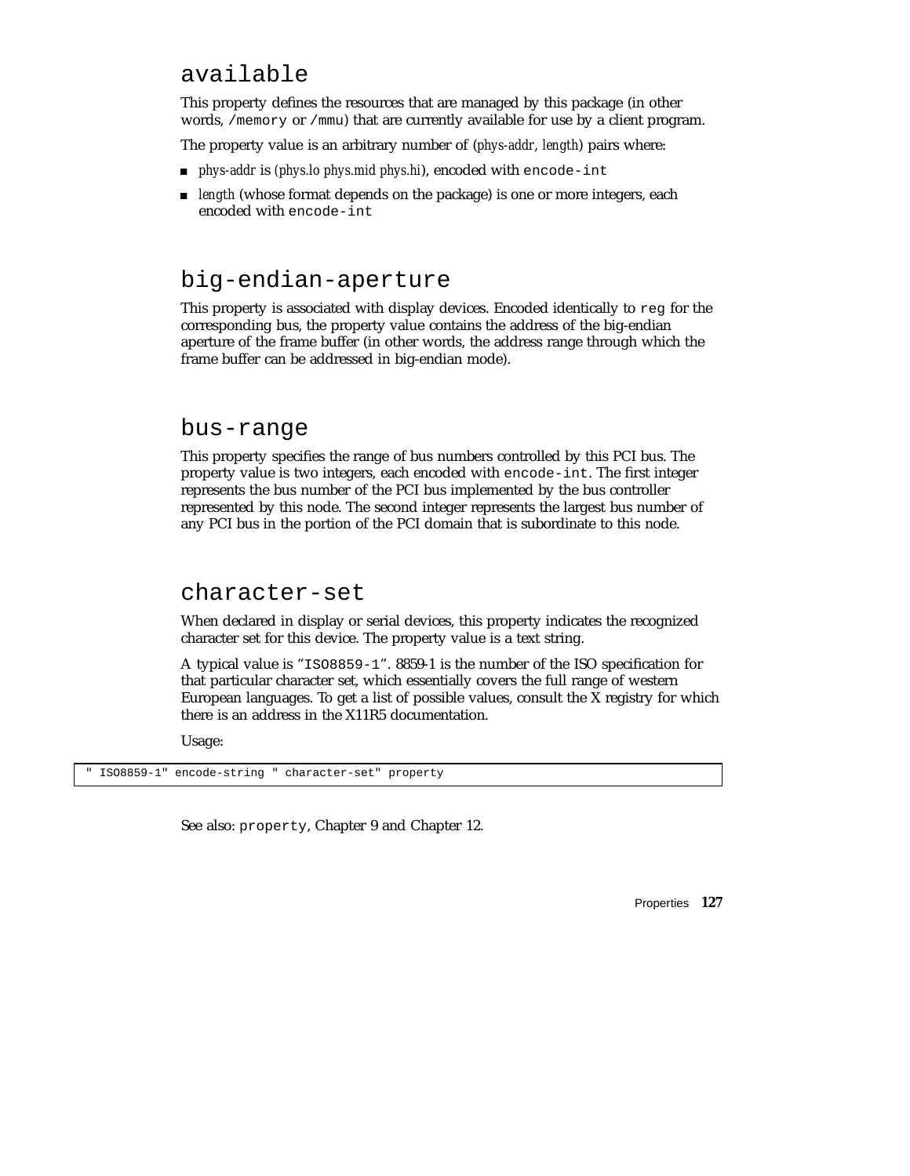### available

This property defines the resources that are managed by this package (in other words, /memory or /mmu) that are currently available for use by a client program.

The property value is an arbitrary number of (*phys-addr*, *length*) pairs where:

- *phys-addr* is *(phys.lo phys.mid phys.hi*), encoded with encode-int
- *length* (whose format depends on the package) is one or more integers, each encoded with encode-int

### big-endian-aperture

This property is associated with display devices. Encoded identically to reg for the corresponding bus, the property value contains the address of the big-endian aperture of the frame buffer (in other words, the address range through which the frame buffer can be addressed in big-endian mode).

#### bus-range

This property specifies the range of bus numbers controlled by this PCI bus. The property value is two integers, each encoded with encode-int. The first integer represents the bus number of the PCI bus implemented by the bus controller represented by this node. The second integer represents the largest bus number of any PCI bus in the portion of the PCI domain that is subordinate to this node.

#### character-set

When declared in display or serial devices, this property indicates the recognized character set for this device. The property value is a text string.

A typical value is "ISO8859-1". 8859-1 is the number of the ISO specification for that particular character set, which essentially covers the full range of western European languages. To get a list of possible values, consult the X registry for which there is an address in the X11R5 documentation.

Usage:

ISO8859-1" encode-string " character-set" property

See also: property, Chapter 9 and Chapter 12.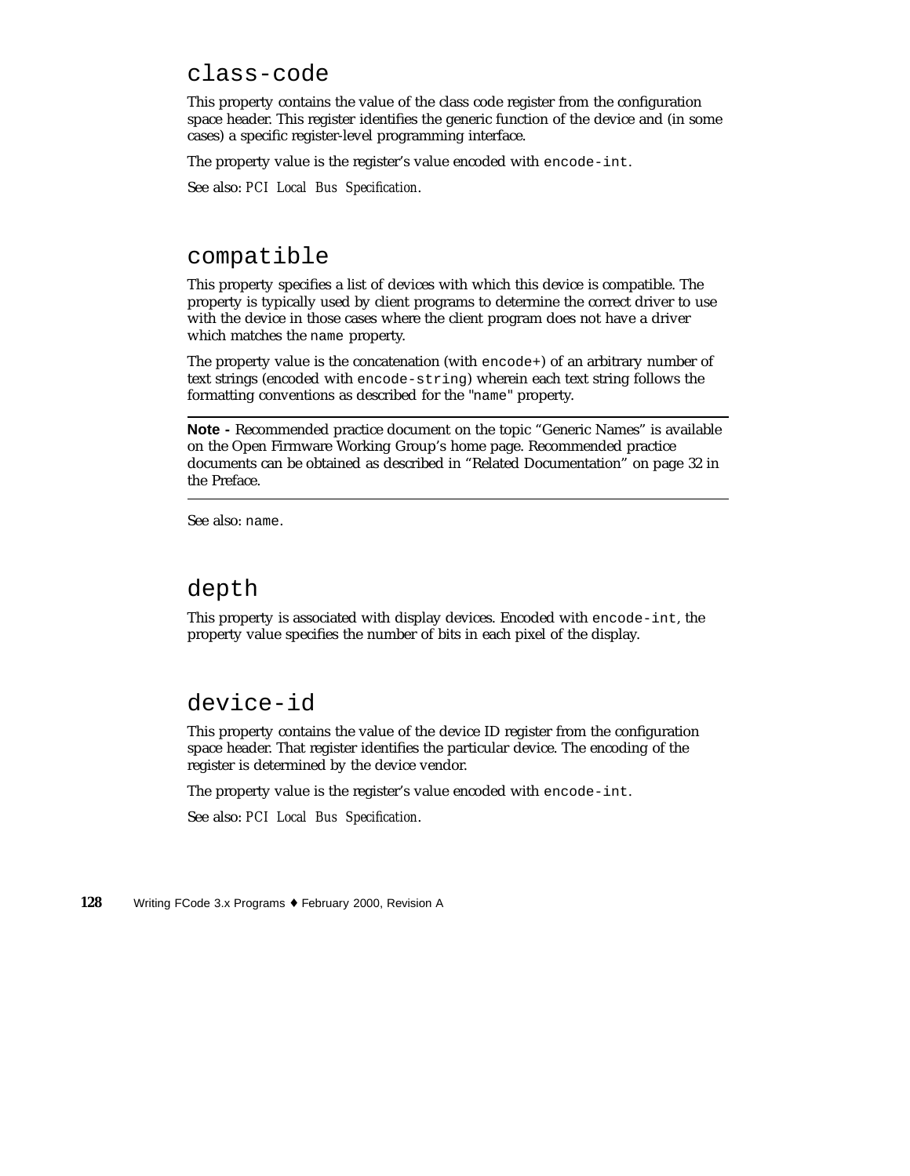### class-code

This property contains the value of the class code register from the configuration space header. This register identifies the generic function of the device and (in some cases) a specific register-level programming interface.

The property value is the register's value encoded with encode-int.

See also: *PCI Local Bus Specification*.

#### compatible

This property specifies a list of devices with which this device is compatible. The property is typically used by client programs to determine the correct driver to use with the device in those cases where the client program does not have a driver which matches the name property.

The property value is the concatenation (with  $\epsilon$ ncode+) of an arbitrary number of text strings (encoded with encode-string) wherein each text string follows the formatting conventions as described for the "name" property.

**Note -** Recommended practice document on the topic "Generic Names" is available on the Open Firmware Working Group's home page. Recommended practice documents can be obtained as described in "Related Documentation" on page 32 in the Preface.

See also: name.

#### depth

This property is associated with display devices. Encoded with encode-int, the property value specifies the number of bits in each pixel of the display.

### device-id

This property contains the value of the device ID register from the configuration space header. That register identifies the particular device. The encoding of the register is determined by the device vendor.

The property value is the register's value encoded with encode-int.

See also: *PCI Local Bus Specification*.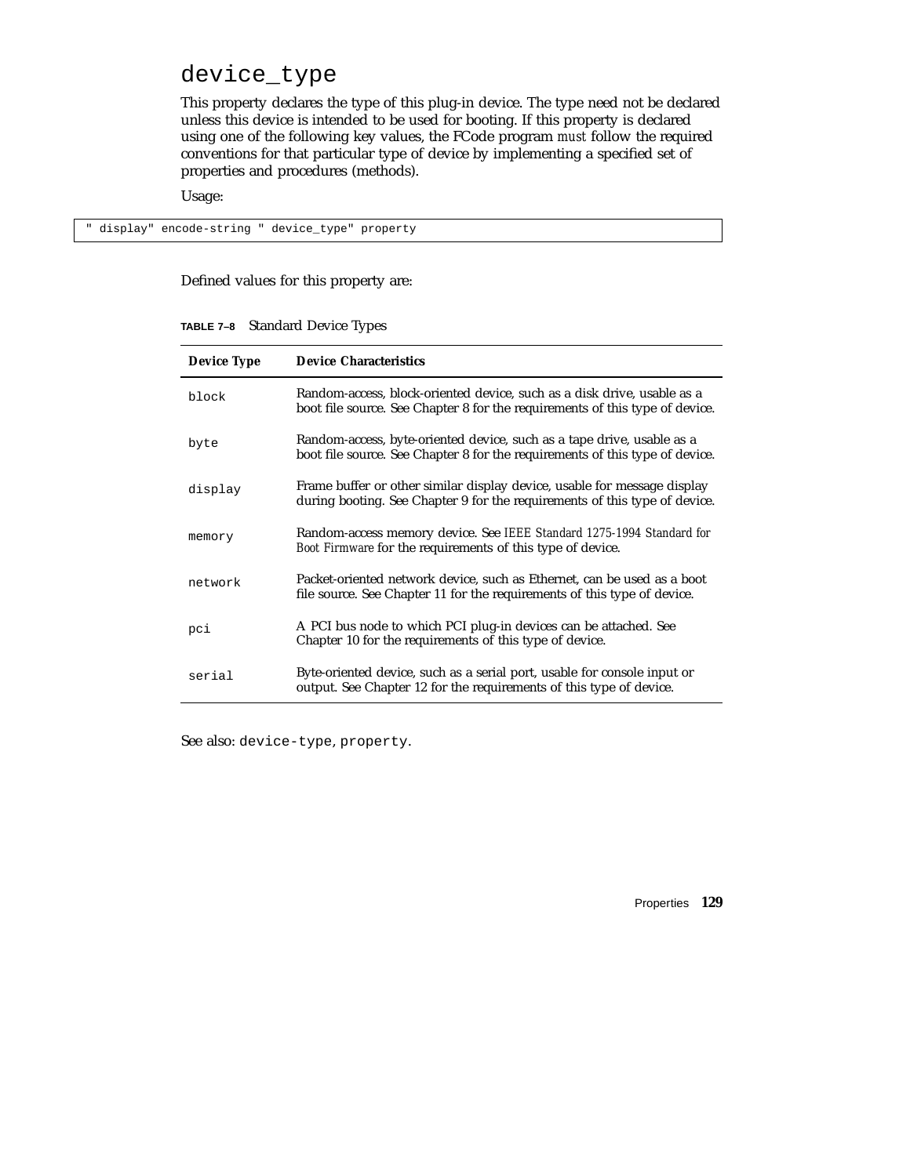### device\_type

This property declares the type of this plug-in device. The type need not be declared unless this device is intended to be used for booting. If this property is declared using one of the following key values, the FCode program *must* follow the required conventions for that particular type of device by implementing a specified set of properties and procedures (methods).

Usage:

" display" encode-string " device\_type" property

Defined values for this property are:

|  | TABLE 7-8 Standard Device Types |  |  |
|--|---------------------------------|--|--|
|--|---------------------------------|--|--|

| <b>Device Type</b> | <b>Device Characteristics</b>                                                                                                                           |
|--------------------|---------------------------------------------------------------------------------------------------------------------------------------------------------|
| block              | Random-access, block-oriented device, such as a disk drive, usable as a<br>boot file source. See Chapter 8 for the requirements of this type of device. |
| byte               | Random-access, byte-oriented device, such as a tape drive, usable as a<br>boot file source. See Chapter 8 for the requirements of this type of device.  |
| display            | Frame buffer or other similar display device, usable for message display<br>during booting. See Chapter 9 for the requirements of this type of device.  |
| memory             | Random-access memory device. See IEEE Standard 1275-1994 Standard for<br>Boot Firmware for the requirements of this type of device.                     |
| network            | Packet-oriented network device, such as Ethernet, can be used as a boot<br>file source. See Chapter 11 for the requirements of this type of device.     |
| pci                | A PCI bus node to which PCI plug-in devices can be attached. See<br>Chapter 10 for the requirements of this type of device.                             |
| serial             | Byte-oriented device, such as a serial port, usable for console input or<br>output. See Chapter 12 for the requirements of this type of device.         |

See also: device-type, property.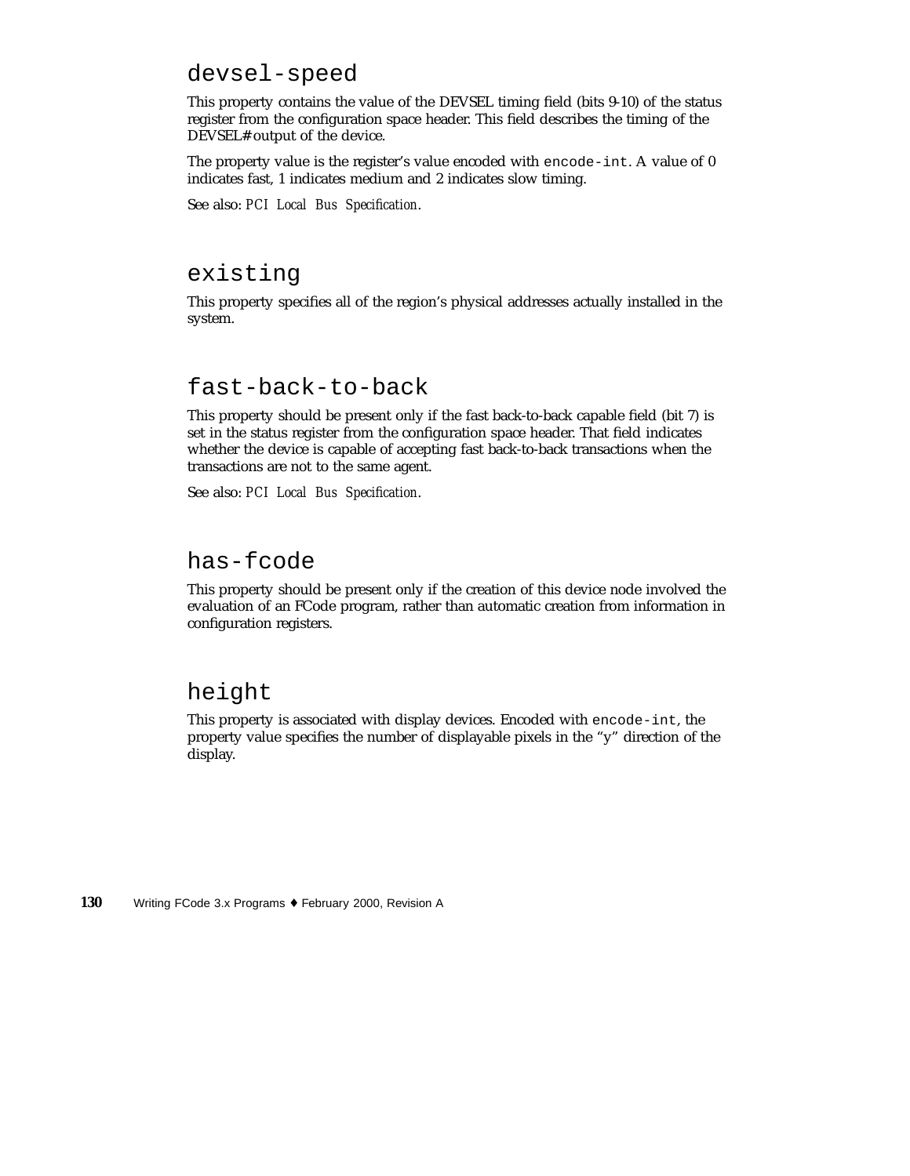### devsel-speed

This property contains the value of the DEVSEL timing field (bits 9-10) of the status register from the configuration space header. This field describes the timing of the DEVSEL# output of the device.

The property value is the register's value encoded with encode-int. A value of 0 indicates fast, 1 indicates medium and 2 indicates slow timing.

See also: *PCI Local Bus Specification*.

### existing

This property specifies all of the region's physical addresses actually installed in the system.

#### fast-back-to-back

This property should be present only if the fast back-to-back capable field (bit 7) is set in the status register from the configuration space header. That field indicates whether the device is capable of accepting fast back-to-back transactions when the transactions are not to the same agent.

See also: *PCI Local Bus Specification*.

### has-fcode

This property should be present only if the creation of this device node involved the evaluation of an FCode program, rather than automatic creation from information in configuration registers.

### height

This property is associated with display devices. Encoded with encode-int, the property value specifies the number of displayable pixels in the "y" direction of the display.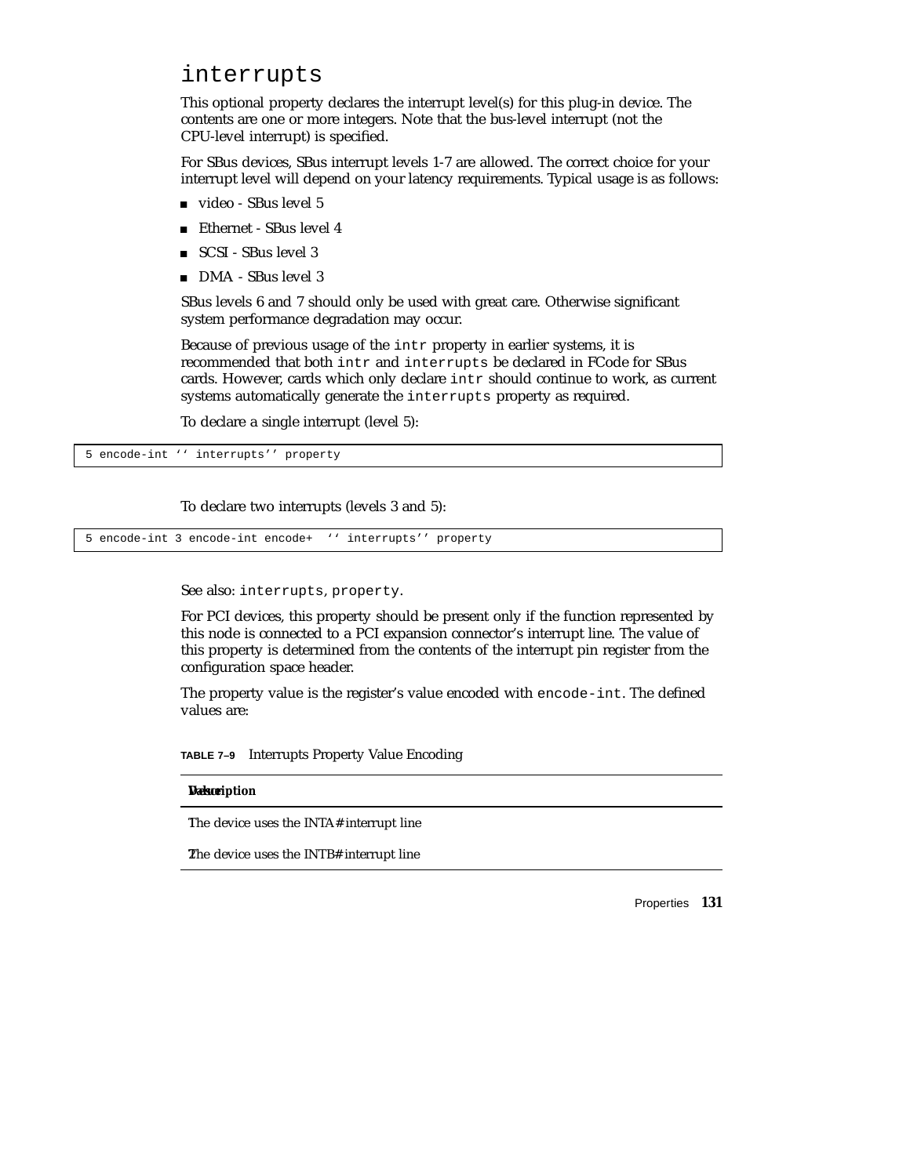#### interrupts

This optional property declares the interrupt level(s) for this plug-in device. The contents are one or more integers. Note that the bus-level interrupt (not the CPU-level interrupt) is specified.

For SBus devices, SBus interrupt levels 1-7 are allowed. The correct choice for your interrupt level will depend on your latency requirements. Typical usage is as follows:

- video SBus level 5
- Ethernet SBus level 4
- SCSI SBus level 3
- DMA SBus level 3

SBus levels 6 and 7 should only be used with great care. Otherwise significant system performance degradation may occur.

Because of previous usage of the intr property in earlier systems, it is recommended that both intr and interrupts be declared in FCode for SBus cards. However, cards which only declare intr should continue to work, as current systems automatically generate the interrupts property as required.

To declare a single interrupt (level 5):

5 encode-int '' interrupts'' property

To declare two interrupts (levels 3 and 5):

5 encode-int 3 encode-int encode+ '' interrupts'' property

See also: interrupts, property.

For PCI devices, this property should be present only if the function represented by this node is connected to a PCI expansion connector's interrupt line. The value of this property is determined from the contents of the interrupt pin register from the configuration space header.

The property value is the register's value encoded with encode-int. The defined values are:

**TABLE 7–9** Interrupts Property Value Encoding

#### **Description**

The device uses the INTA# interrupt line

2The device uses the INTB# interrupt line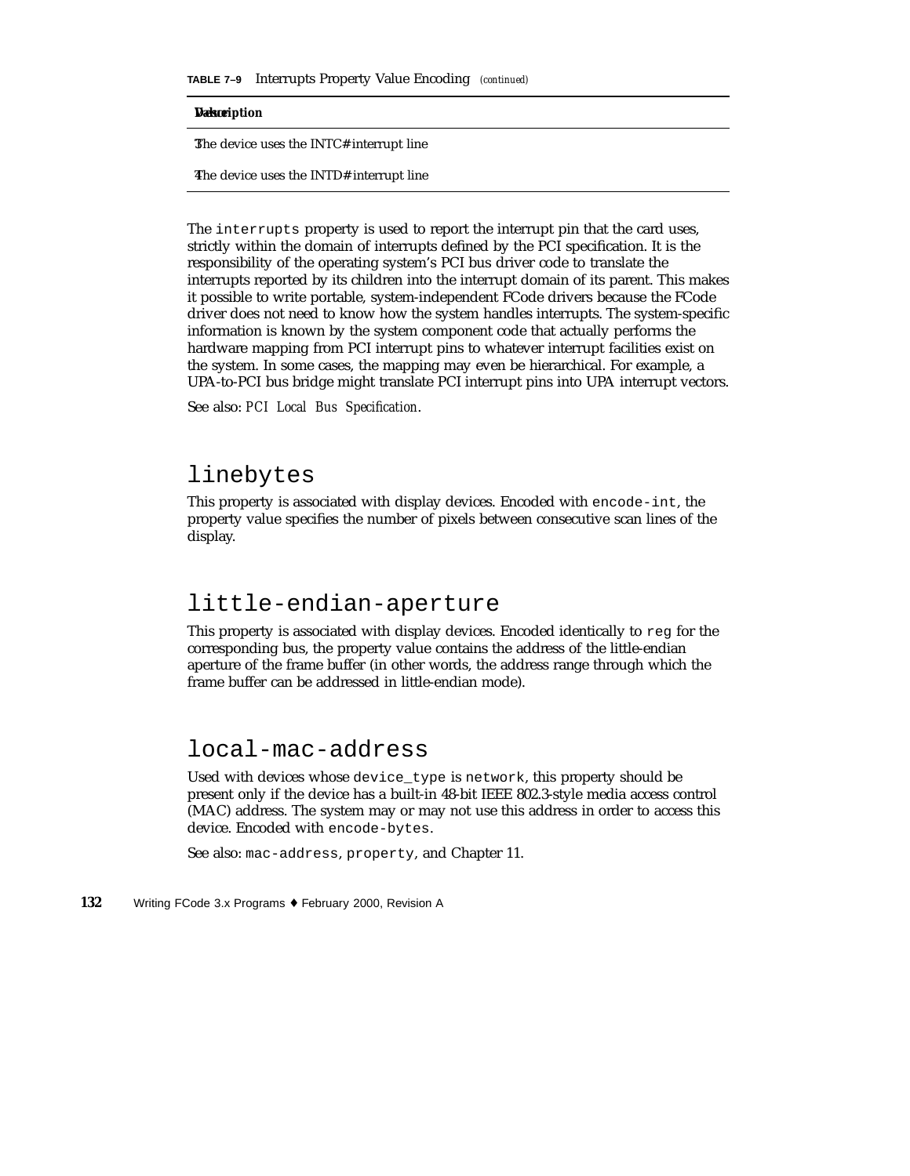**TABLE 7–9** Interrupts Property Value Encoding *(continued)*

#### **Description**

3The device uses the INTC# interrupt line

4The device uses the INTD# interrupt line

The interrupts property is used to report the interrupt pin that the card uses, strictly within the domain of interrupts defined by the PCI specification. It is the responsibility of the operating system's PCI bus driver code to translate the interrupts reported by its children into the interrupt domain of its parent. This makes it possible to write portable, system-independent FCode drivers because the FCode driver does not need to know how the system handles interrupts. The system-specific information is known by the system component code that actually performs the hardware mapping from PCI interrupt pins to whatever interrupt facilities exist on the system. In some cases, the mapping may even be hierarchical. For example, a UPA-to-PCI bus bridge might translate PCI interrupt pins into UPA interrupt vectors.

See also: *PCI Local Bus Specification*.

### linebytes

This property is associated with display devices. Encoded with encode-int, the property value specifies the number of pixels between consecutive scan lines of the display.

#### little-endian-aperture

This property is associated with display devices. Encoded identically to reg for the corresponding bus, the property value contains the address of the little-endian aperture of the frame buffer (in other words, the address range through which the frame buffer can be addressed in little-endian mode).

### local-mac-address

Used with devices whose device\_type is network, this property should be present only if the device has a built-in 48-bit IEEE 802.3-style media access control (MAC) address. The system may or may not use this address in order to access this device. Encoded with encode-bytes.

See also: mac-address, property, and Chapter 11.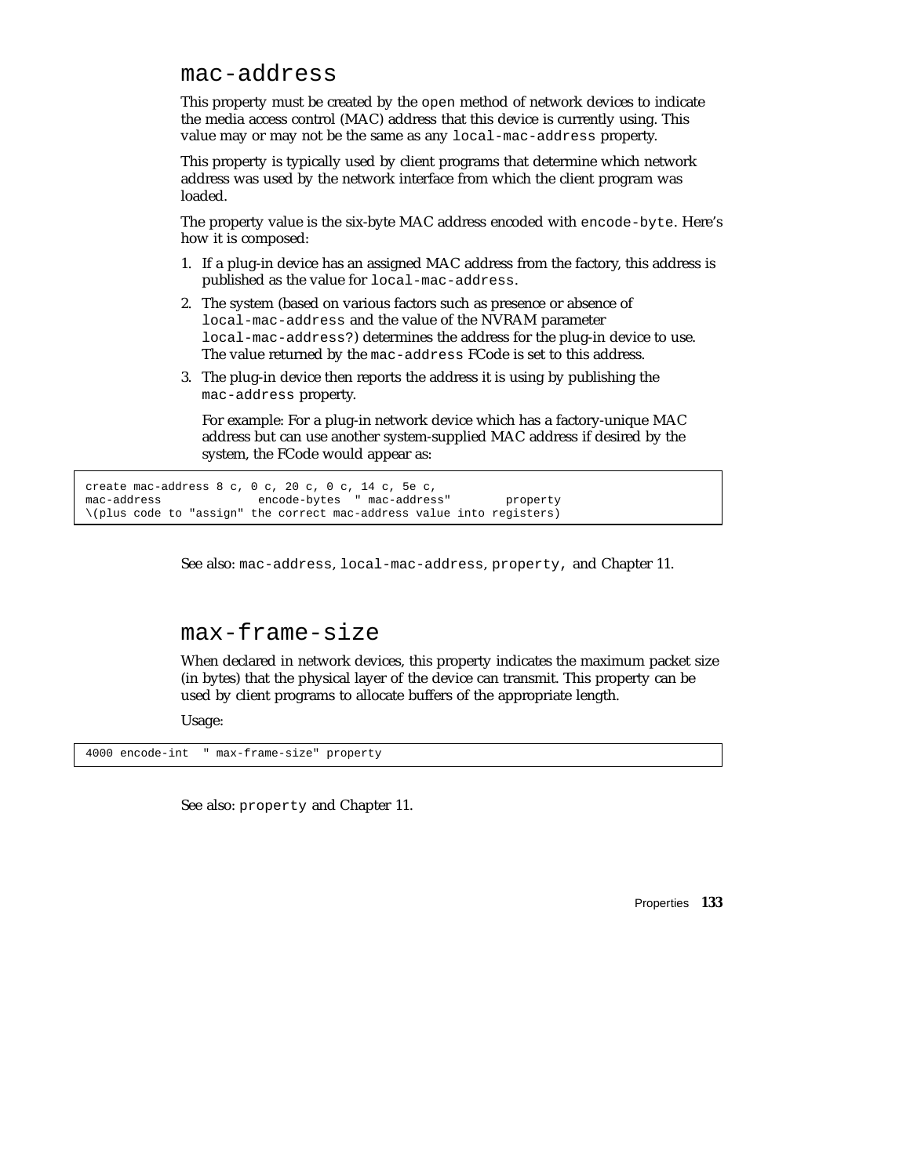### mac-address

This property must be created by the open method of network devices to indicate the media access control (MAC) address that this device is currently using. This value may or may not be the same as any local-mac-address property.

This property is typically used by client programs that determine which network address was used by the network interface from which the client program was loaded.

The property value is the six-byte MAC address encoded with encode-byte. Here's how it is composed:

- 1. If a plug-in device has an assigned MAC address from the factory, this address is published as the value for local-mac-address.
- 2. The system (based on various factors such as presence or absence of local-mac-address and the value of the NVRAM parameter local-mac-address?) determines the address for the plug-in device to use. The value returned by the mac-address FCode is set to this address.
- 3. The plug-in device then reports the address it is using by publishing the mac-address property.

For example: For a plug-in network device which has a factory-unique MAC address but can use another system-supplied MAC address if desired by the system, the FCode would appear as:

```
create mac-address 8 c, 0 c, 20 c, 0 c, 14 c, 5e c,
mac-address encode-bytes " mac-address" property
\(plus code to "assign" the correct mac-address value into registers)
```
See also: mac-address, local-mac-address, property, and Chapter 11.

#### max-frame-size

When declared in network devices, this property indicates the maximum packet size (in bytes) that the physical layer of the device can transmit. This property can be used by client programs to allocate buffers of the appropriate length.

Usage:

4000 encode-int " max-frame-size" property

See also: property and Chapter 11.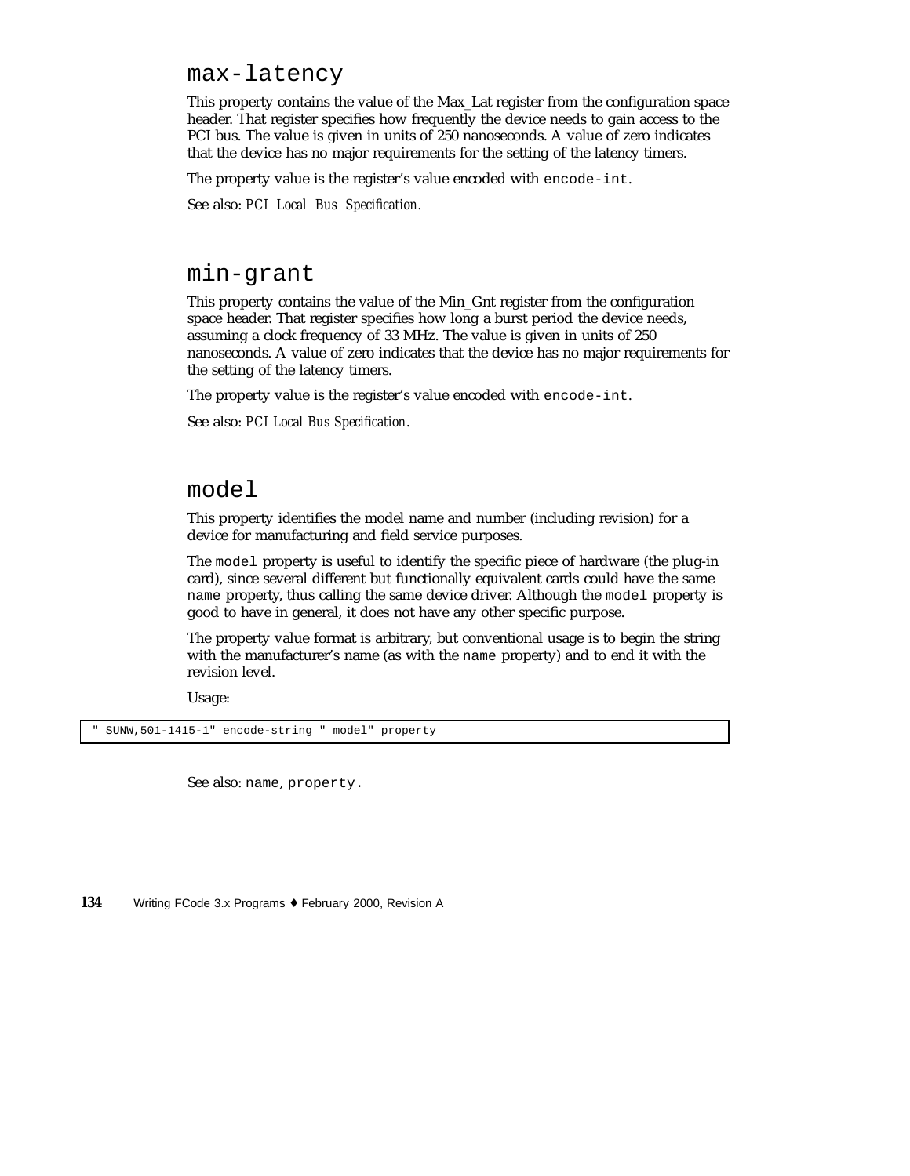max-latency

This property contains the value of the Max\_Lat register from the configuration space header. That register specifies how frequently the device needs to gain access to the PCI bus. The value is given in units of 250 nanoseconds. A value of zero indicates that the device has no major requirements for the setting of the latency timers.

The property value is the register's value encoded with encode-int.

See also: *PCI Local Bus Specification*.

### min-grant

This property contains the value of the Min\_Gnt register from the configuration space header. That register specifies how long a burst period the device needs, assuming a clock frequency of 33 MHz. The value is given in units of 250 nanoseconds. A value of zero indicates that the device has no major requirements for the setting of the latency timers.

The property value is the register's value encoded with encode-int.

See also: *PCI Local Bus Specification*.

#### model

This property identifies the model name and number (including revision) for a device for manufacturing and field service purposes.

The model property is useful to identify the specific piece of hardware (the plug-in card), since several different but functionally equivalent cards could have the same name property, thus calling the same device driver. Although the model property is good to have in general, it does not have any other specific purpose.

The property value format is arbitrary, but conventional usage is to begin the string with the manufacturer's name (as with the name property) and to end it with the revision level.

Usage:

SUNW, 501-1415-1" encode-string " model" property

See also: name, property.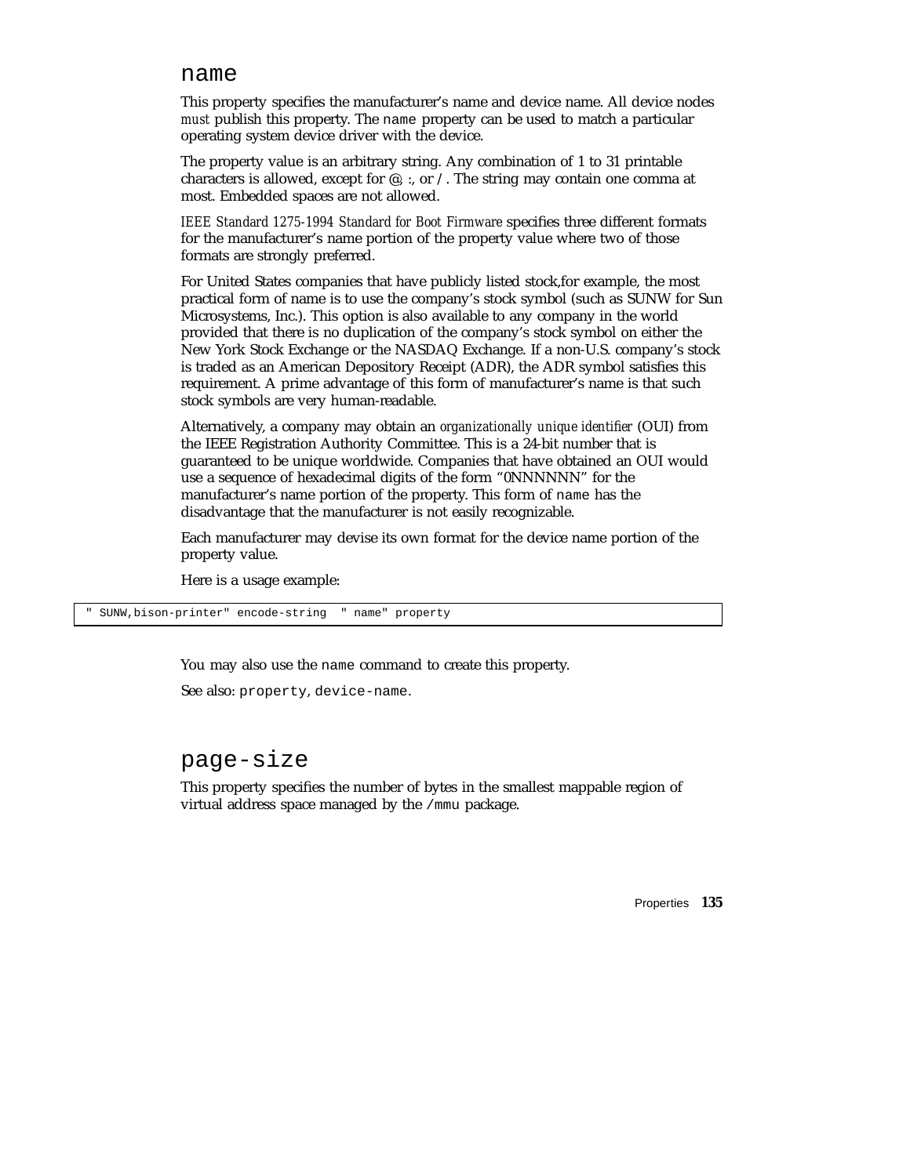#### name

This property specifies the manufacturer's name and device name. All device nodes *must* publish this property. The name property can be used to match a particular operating system device driver with the device.

The property value is an arbitrary string. Any combination of 1 to 31 printable characters is allowed, except for  $\mathcal{Q}$ , :, or  $\Lambda$ . The string may contain one comma at most. Embedded spaces are not allowed.

*IEEE Standard 1275-1994 Standard for Boot Firmware* specifies three different formats for the manufacturer's name portion of the property value where two of those formats are strongly preferred.

For United States companies that have publicly listed stock,for example, the most practical form of name is to use the company's stock symbol (such as SUNW for Sun Microsystems, Inc.). This option is also available to any company in the world provided that there is no duplication of the company's stock symbol on either the New York Stock Exchange or the NASDAQ Exchange. If a non-U.S. company's stock is traded as an American Depository Receipt (ADR), the ADR symbol satisfies this requirement. A prime advantage of this form of manufacturer's name is that such stock symbols are very human-readable.

Alternatively, a company may obtain an *organizationally unique identifier* (OUI) from the IEEE Registration Authority Committee. This is a 24-bit number that is guaranteed to be unique worldwide. Companies that have obtained an OUI would use a sequence of hexadecimal digits of the form "0NNNNNN" for the manufacturer's name portion of the property. This form of name has the disadvantage that the manufacturer is not easily recognizable.

Each manufacturer may devise its own format for the device name portion of the property value.

Here is a usage example:

SUNW, bison-printer" encode-string " name" property

You may also use the name command to create this property.

See also: property, device-name.

#### page-size

This property specifies the number of bytes in the smallest mappable region of virtual address space managed by the /mmu package.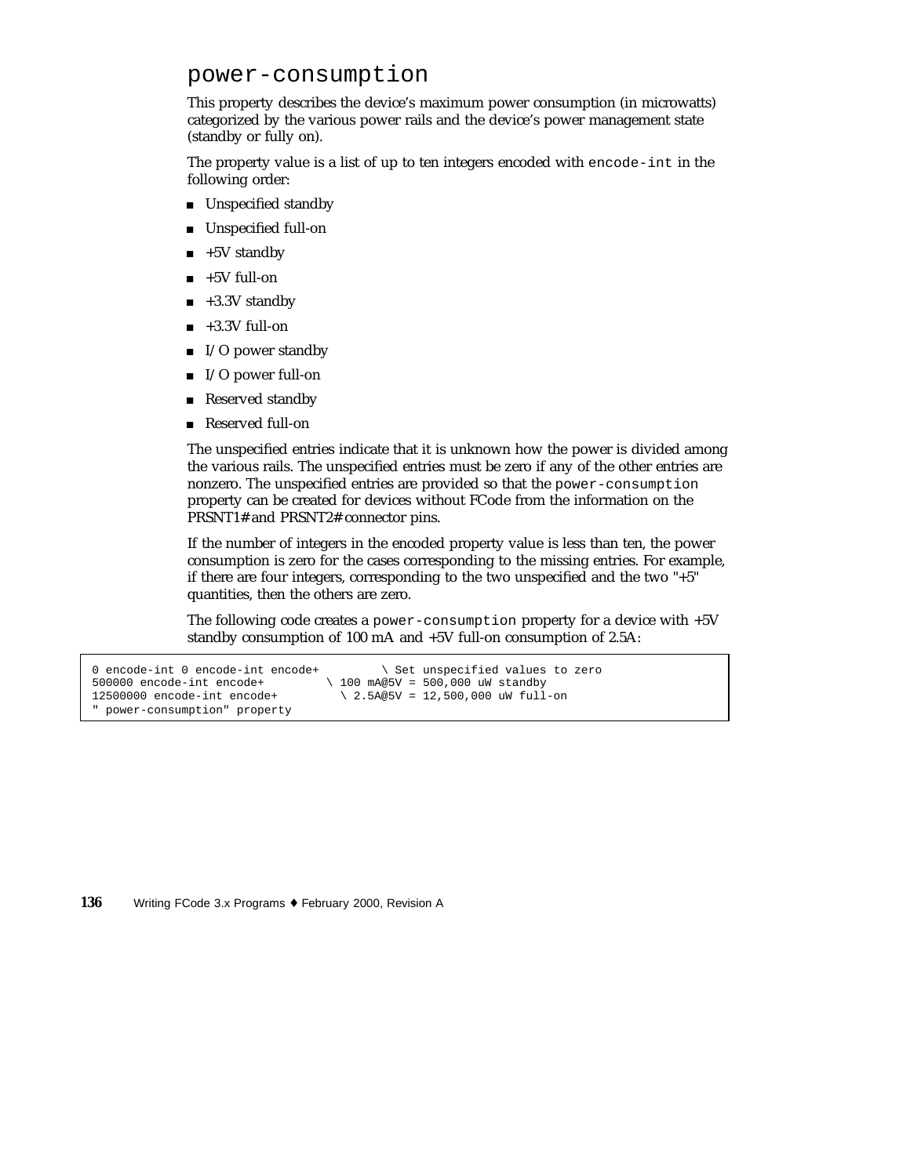### power-consumption

This property describes the device's maximum power consumption (in microwatts) categorized by the various power rails and the device's power management state (standby or fully on).

The property value is a list of up to ten integers encoded with encode-int in the following order:

- **Unspecified standby**
- Unspecified full-on
- +5V standby
- $\blacksquare$  +5V full-on
- $\blacksquare$  +3.3V standby
- $\blacksquare$  +3.3V full-on
- $\blacksquare$  I/O power standby
- $\blacksquare$  I/O power full-on
- Reserved standby
- Reserved full-on

The unspecified entries indicate that it is unknown how the power is divided among the various rails. The unspecified entries must be zero if any of the other entries are nonzero. The unspecified entries are provided so that the power-consumption property can be created for devices without FCode from the information on the PRSNT1# and PRSNT2# connector pins.

If the number of integers in the encoded property value is less than ten, the power consumption is zero for the cases corresponding to the missing entries. For example, if there are four integers, corresponding to the two unspecified and the two "+5" quantities, then the others are zero.

The following code creates a power-consumption property for a device with +5V standby consumption of 100 mA and +5V full-on consumption of 2.5A:

```
0 encode-int 0 encode-int encode+ \ Set unspecified values to zero 500000 encode-int encode+ \ 100 mA@5V = 500,000 uW standby
                                           \backslash 100 mA@5V = 500,000 uW standby
12500000 encode-int encode+ \ 2.5A@5V = 12,500,000 uW full-on
  power-consumption" property
```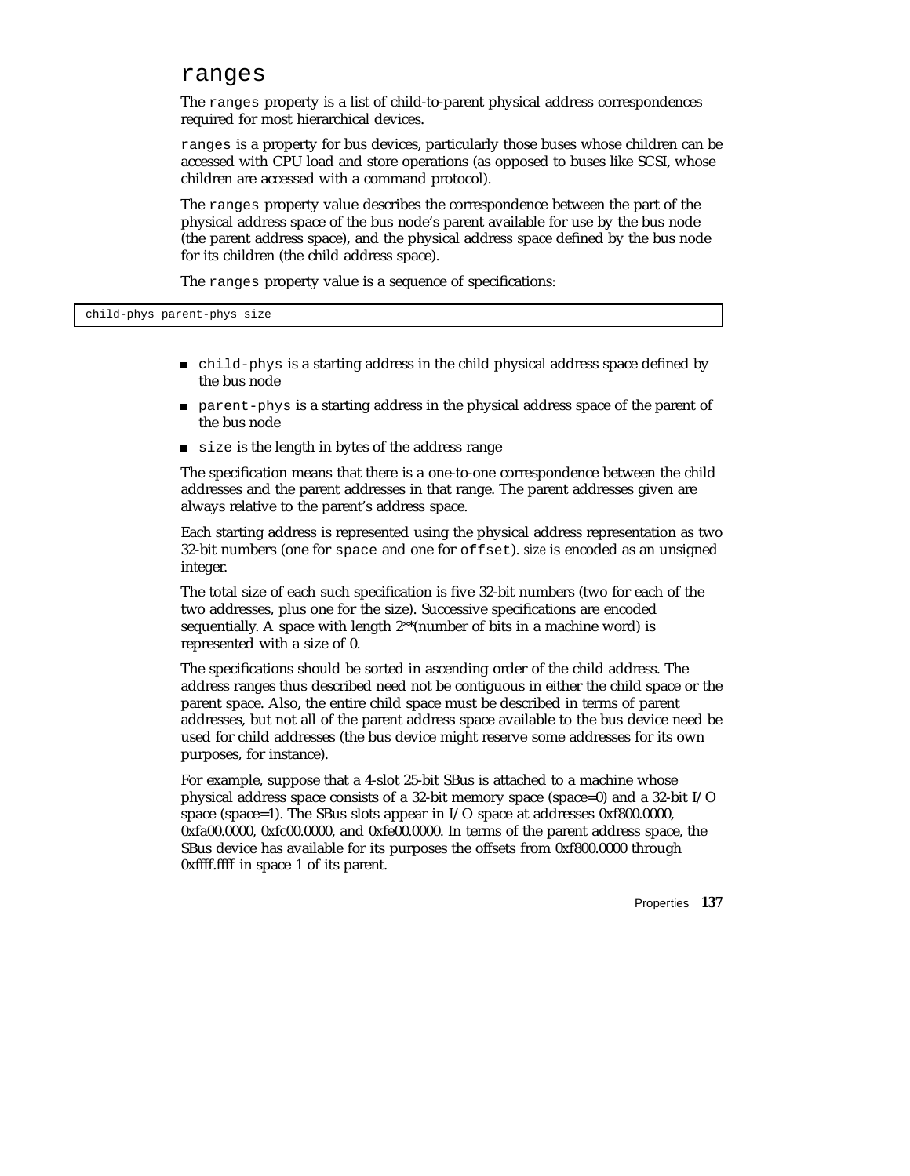#### ranges

The ranges property is a list of child-to-parent physical address correspondences required for most hierarchical devices.

ranges is a property for bus devices, particularly those buses whose children can be accessed with CPU load and store operations (as opposed to buses like SCSI, whose children are accessed with a command protocol).

The ranges property value describes the correspondence between the part of the physical address space of the bus node's parent available for use by the bus node (the parent address space), and the physical address space defined by the bus node for its children (the child address space).

The ranges property value is a sequence of specifications:

- child-phys is a starting address in the child physical address space defined by the bus node
- parent-phys is a starting address in the physical address space of the parent of the bus node
- size is the length in bytes of the address range

The specification means that there is a one-to-one correspondence between the child addresses and the parent addresses in that range. The parent addresses given are always relative to the parent's address space.

Each starting address is represented using the physical address representation as two 32-bit numbers (one for space and one for offset). *size* is encoded as an unsigned integer.

The total size of each such specification is five 32-bit numbers (two for each of the two addresses, plus one for the size). Successive specifications are encoded sequentially. A space with length 2\*\*(number of bits in a machine word) is represented with a size of 0.

The specifications should be sorted in ascending order of the child address. The address ranges thus described need not be contiguous in either the child space or the parent space. Also, the entire child space must be described in terms of parent addresses, but not all of the parent address space available to the bus device need be used for child addresses (the bus device might reserve some addresses for its own purposes, for instance).

For example, suppose that a 4-slot 25-bit SBus is attached to a machine whose physical address space consists of a 32-bit memory space (space=0) and a 32-bit I/O space (space=1). The SBus slots appear in I/O space at addresses 0xf800.0000, 0xfa00.0000, 0xfc00.0000, and 0xfe00.0000. In terms of the parent address space, the SBus device has available for its purposes the offsets from 0xf800.0000 through 0xffff.ffff in space 1 of its parent.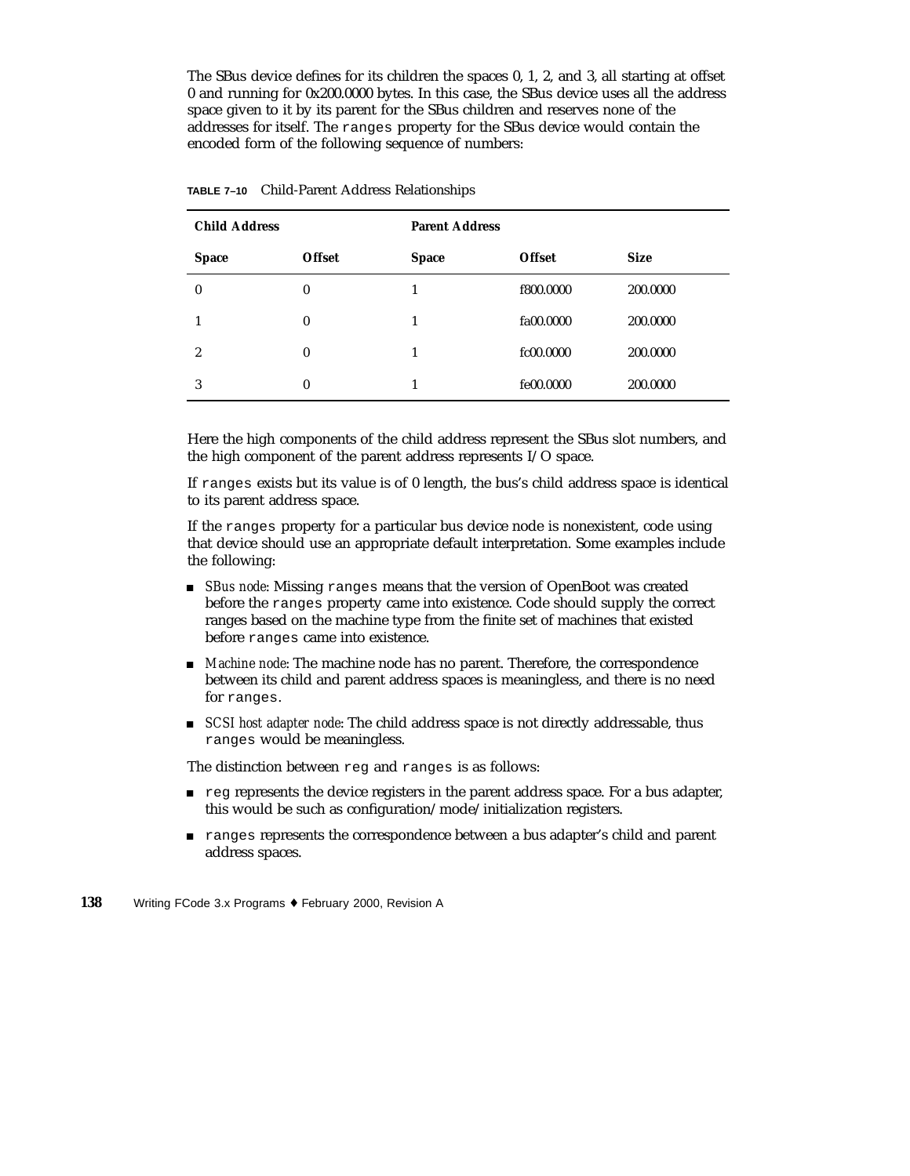The SBus device defines for its children the spaces 0, 1, 2, and 3, all starting at offset 0 and running for 0x200.0000 bytes. In this case, the SBus device uses all the address space given to it by its parent for the SBus children and reserves none of the addresses for itself. The ranges property for the SBus device would contain the encoded form of the following sequence of numbers:

| <b>Child Address</b> |               | <b>Parent Address</b> |               |             |  |
|----------------------|---------------|-----------------------|---------------|-------------|--|
| <b>Space</b>         | <b>Offset</b> | <b>Space</b>          | <b>Offset</b> | <b>Size</b> |  |
| $\boldsymbol{0}$     | 0             |                       | f800.0000     | 200.0000    |  |
|                      | 0             | 1                     | fa00.0000     | 200.0000    |  |
| 2                    | $\bf{0}$      | 1                     | fc00.0000     | 200.0000    |  |
| 3                    | 0             | 1                     | fe00.0000     | 200.0000    |  |

|  | TABLE 7-10 Child-Parent Address Relationships |  |  |  |
|--|-----------------------------------------------|--|--|--|
|--|-----------------------------------------------|--|--|--|

Here the high components of the child address represent the SBus slot numbers, and the high component of the parent address represents I/O space.

If ranges exists but its value is of 0 length, the bus's child address space is identical to its parent address space.

If the ranges property for a particular bus device node is nonexistent, code using that device should use an appropriate default interpretation. Some examples include the following:

- **Bus node:** Missing ranges means that the version of OpenBoot was created before the ranges property came into existence. Code should supply the correct ranges based on the machine type from the finite set of machines that existed before ranges came into existence.
- *Machine node*: The machine node has no parent. Therefore, the correspondence between its child and parent address spaces is meaningless, and there is no need for ranges.
- **SCSI** host adapter node: The child address space is not directly addressable, thus ranges would be meaningless.

The distinction between reg and ranges is as follows:

- reg represents the device registers in the parent address space. For a bus adapter, this would be such as configuration/mode/initialization registers.
- **Examples represents the correspondence between a bus adapter's child and parent** address spaces.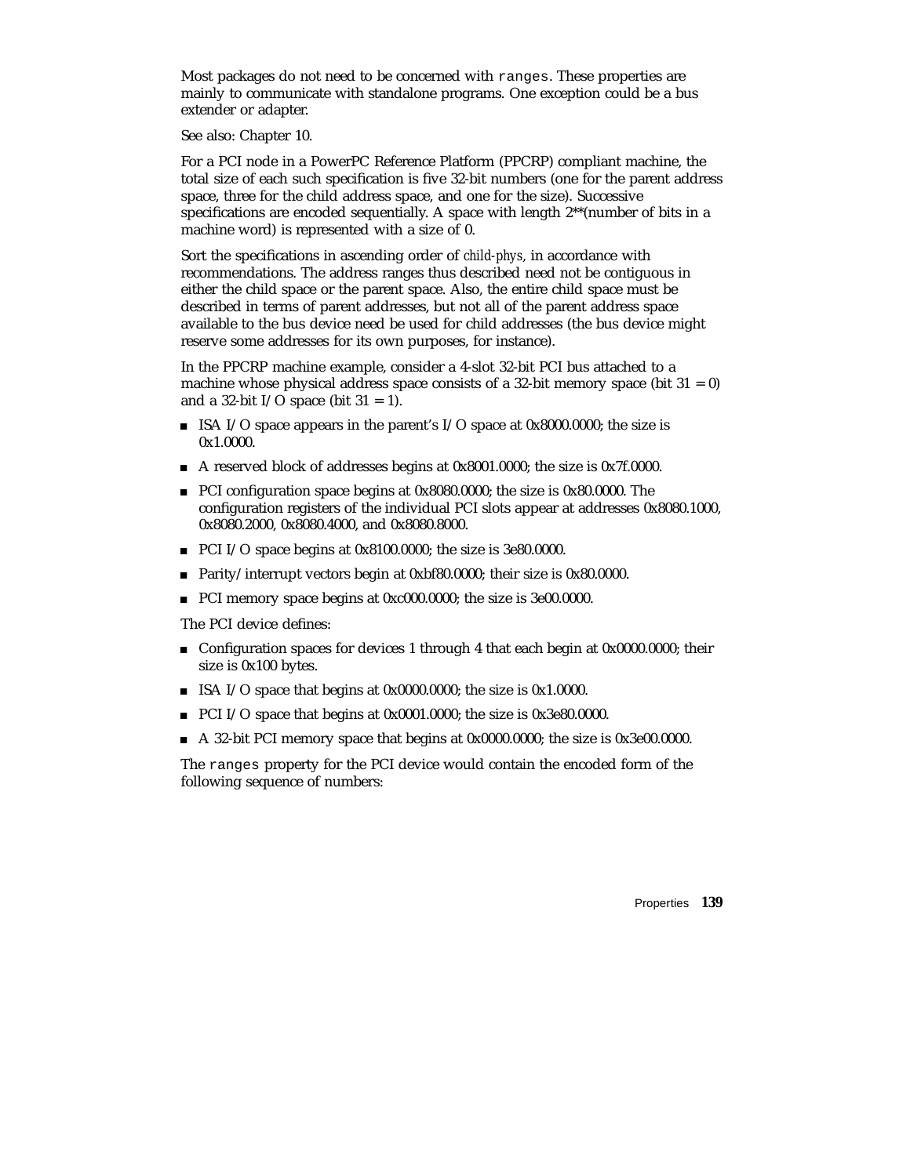Most packages do not need to be concerned with ranges. These properties are mainly to communicate with standalone programs. One exception could be a bus extender or adapter.

See also: Chapter 10.

For a PCI node in a PowerPC Reference Platform (PPCRP) compliant machine, the total size of each such specification is five 32-bit numbers (one for the parent address space, three for the child address space, and one for the size). Successive specifications are encoded sequentially. A space with length 2\*\*(number of bits in a machine word) is represented with a size of 0.

Sort the specifications in ascending order of *child-phys*, in accordance with recommendations. The address ranges thus described need not be contiguous in either the child space or the parent space. Also, the entire child space must be described in terms of parent addresses, but not all of the parent address space available to the bus device need be used for child addresses (the bus device might reserve some addresses for its own purposes, for instance).

In the PPCRP machine example, consider a 4-slot 32-bit PCI bus attached to a machine whose physical address space consists of a 32-bit memory space (bit  $31 = 0$ ) and a 32-bit I/O space (bit  $31 = 1$ ).

- ISA I/O space appears in the parent's I/O space at  $0x8000.0000$ ; the size is 0x1.0000.
- A reserved block of addresses begins at 0x8001.0000; the size is 0x7f.0000.
- PCI configuration space begins at 0x8080.0000; the size is 0x80.0000. The configuration registers of the individual PCI slots appear at addresses 0x8080.1000, 0x8080.2000, 0x8080.4000, and 0x8080.8000.
- PCI I/O space begins at 0x8100.0000; the size is 3e80.0000.
- Parity/interrupt vectors begin at 0xbf80.0000; their size is 0x80.0000.
- PCI memory space begins at 0xc000.0000; the size is 3e00.0000.

The PCI device defines:

- Configuration spaces for devices 1 through 4 that each begin at 0x0000.0000; their size is 0x100 bytes.
- ISA I/O space that begins at  $0x0000.0000$ ; the size is  $0x1.0000$ .
- PCI I/O space that begins at 0x0001.0000; the size is 0x3e80.0000.
- A 32-bit PCI memory space that begins at 0x0000.0000; the size is 0x3e00.0000.

The ranges property for the PCI device would contain the encoded form of the following sequence of numbers: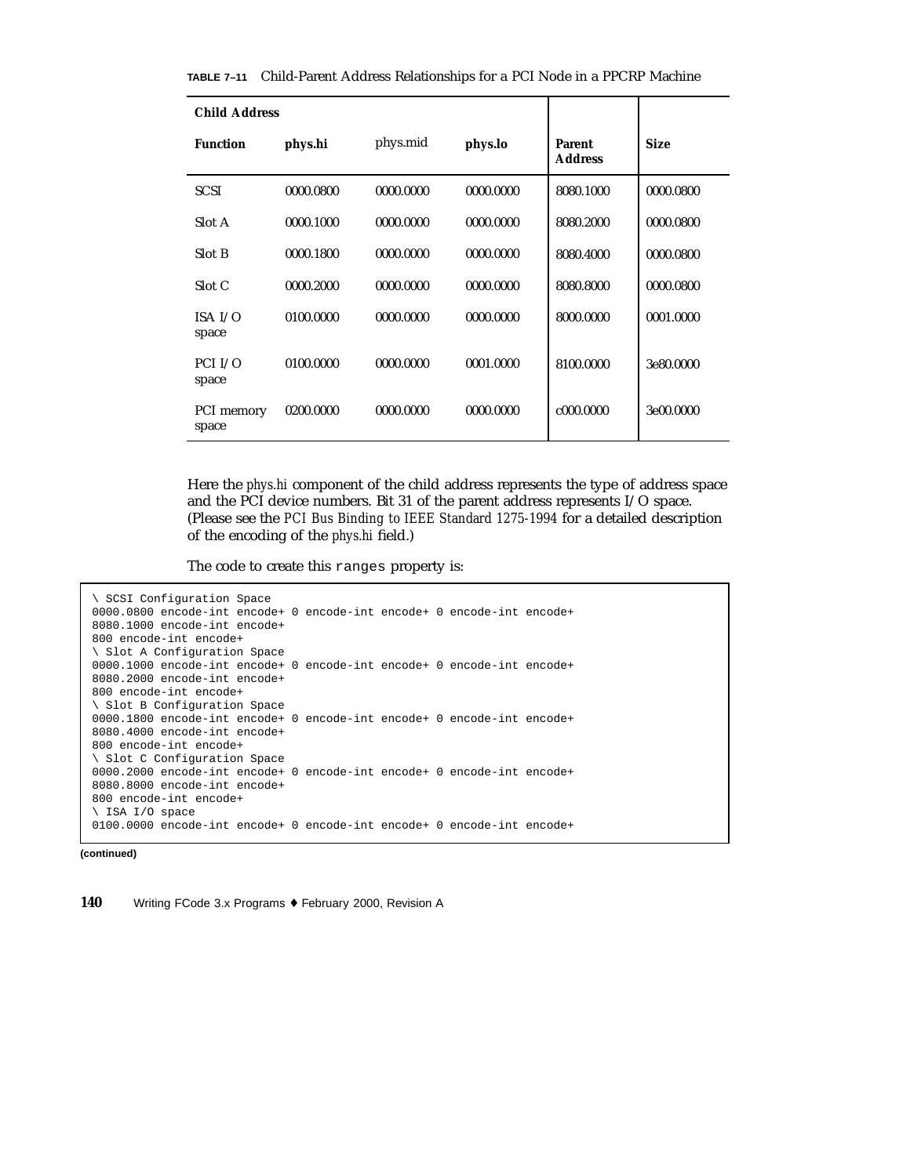|  | <b>TABLE 7–11</b> Child-Parent Address Relationships for a PCI Node in a PPCRP Machine |  |  |  |  |  |  |  |
|--|----------------------------------------------------------------------------------------|--|--|--|--|--|--|--|
|--|----------------------------------------------------------------------------------------|--|--|--|--|--|--|--|

| <b>Child Address</b> |           |           |           |                                 |             |  |
|----------------------|-----------|-----------|-----------|---------------------------------|-------------|--|
| <b>Function</b>      | phys.hi   | phys.mid  | phys.lo   | <b>Parent</b><br><b>Address</b> | <b>Size</b> |  |
| <b>SCSI</b>          | 0000.0800 | 0000.0000 | 0000.0000 | 8080.1000                       | 0000.0800   |  |
| Slot A               | 0000.1000 | 0000.0000 | 0000.0000 | 8080.2000                       | 0000.0800   |  |
| Slot B               | 0000.1800 | 0000.0000 | 0000.0000 | 8080.4000                       | 0000.0800   |  |
| Slot C               | 0000.2000 | 0000.0000 | 0000.0000 | 8080.8000                       | 0000.0800   |  |
| ISA $I/O$<br>space   | 0100.0000 | 0000.0000 | 0000.0000 | 8000.0000                       | 0001.0000   |  |
| PCI I/O<br>space     | 0100.0000 | 0000.0000 | 0001.0000 | 8100.0000                       | 3e80.0000   |  |
| PCI memory<br>space  | 0200.0000 | 0000.0000 | 0000.0000 | c000.0000                       | 3e00.0000   |  |

Here the *phys.hi* component of the child address represents the type of address space and the PCI device numbers. Bit 31 of the parent address represents I/O space. (Please see the *PCI Bus Binding to IEEE Standard 1275-1994* for a detailed description of the encoding of the *phys.hi* field.)

The code to create this ranges property is:

```
\ SCSI Configuration Space
0000.0800 encode-int encode+ 0 encode-int encode+ 0 encode-int encode+
8080.1000 encode-int encode+
800 encode-int encode+
\ Slot A Configuration Space
0000.1000 encode-int encode+ 0 encode-int encode+ 0 encode-int encode+
8080.2000 encode-int encode+
800 encode-int encode+
\ Slot B Configuration Space
0000.1800 encode-int encode+ 0 encode-int encode+ 0 encode-int encode+
8080.4000 encode-int encode+
800 encode-int encode+
\ Slot C Configuration Space
0000.2000 encode-int encode+ 0 encode-int encode+ 0 encode-int encode+
8080.8000 encode-int encode+
800 encode-int encode+
\ ISA I/O space
0100.0000 encode-int encode+ 0 encode-int encode+ 0 encode-int encode+
```

```
(continued)
```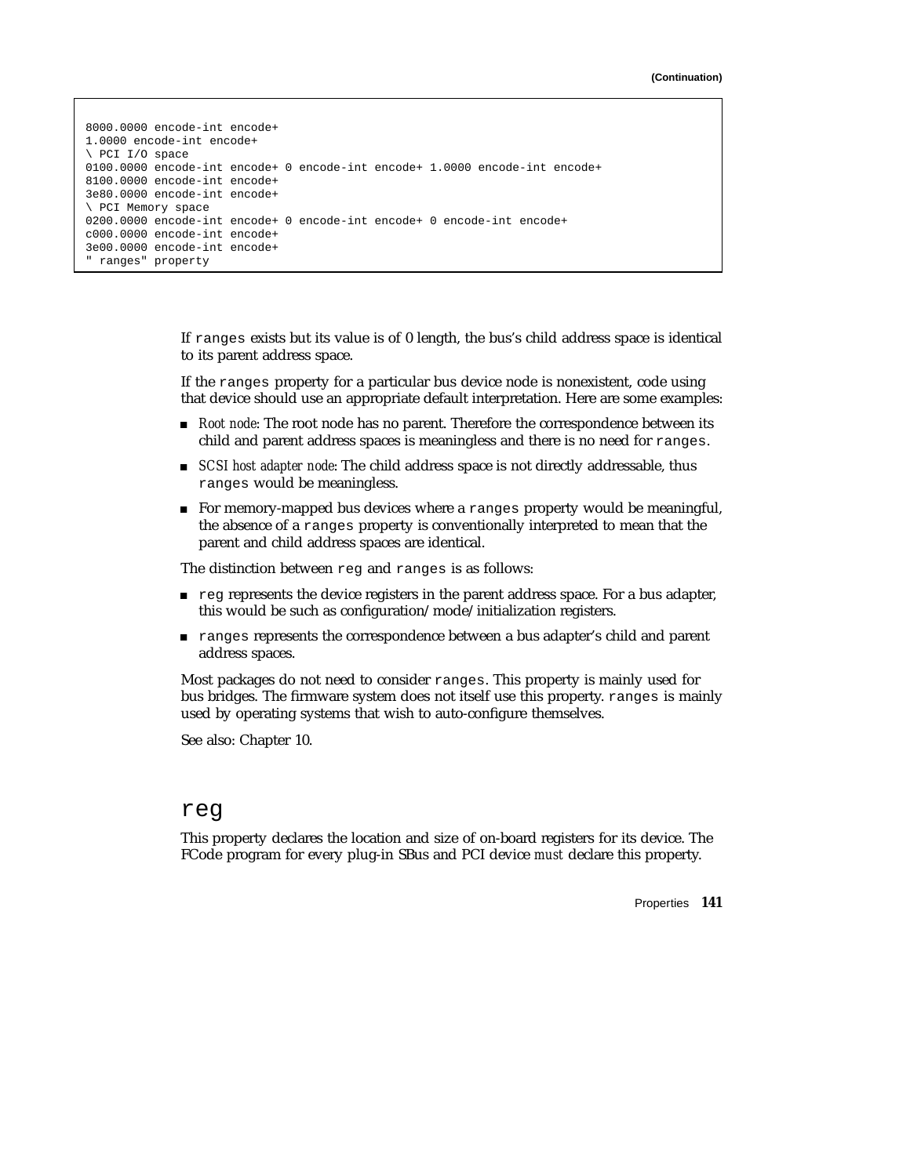```
8000.0000 encode-int encode+
1.0000 encode-int encode+
\ PCI I/O space
0100.0000 encode-int encode+ 0 encode-int encode+ 1.0000 encode-int encode+
8100.0000 encode-int encode+
3e80.0000 encode-int encode+
\ PCI Memory space
0200.0000 encode-int encode+ 0 encode-int encode+ 0 encode-int encode+
c000.0000 encode-int encode+
3e00.0000 encode-int encode+
" ranges" property
```
If ranges exists but its value is of 0 length, the bus's child address space is identical to its parent address space.

If the ranges property for a particular bus device node is nonexistent, code using that device should use an appropriate default interpretation. Here are some examples:

- **Root node:** The root node has no parent. Therefore the correspondence between its child and parent address spaces is meaningless and there is no need for ranges.
- **SCSI** host adapter node: The child address space is not directly addressable, thus ranges would be meaningless.
- For memory-mapped bus devices where a ranges property would be meaningful, the absence of a ranges property is conventionally interpreted to mean that the parent and child address spaces are identical.

The distinction between reg and ranges is as follows:

- reg represents the device registers in the parent address space. For a bus adapter, this would be such as configuration/mode/initialization registers.
- ranges represents the correspondence between a bus adapter's child and parent address spaces.

Most packages do not need to consider ranges. This property is mainly used for bus bridges. The firmware system does not itself use this property. ranges is mainly used by operating systems that wish to auto-configure themselves.

See also: Chapter 10.

#### reg

This property declares the location and size of on-board registers for its device. The FCode program for every plug-in SBus and PCI device *must* declare this property.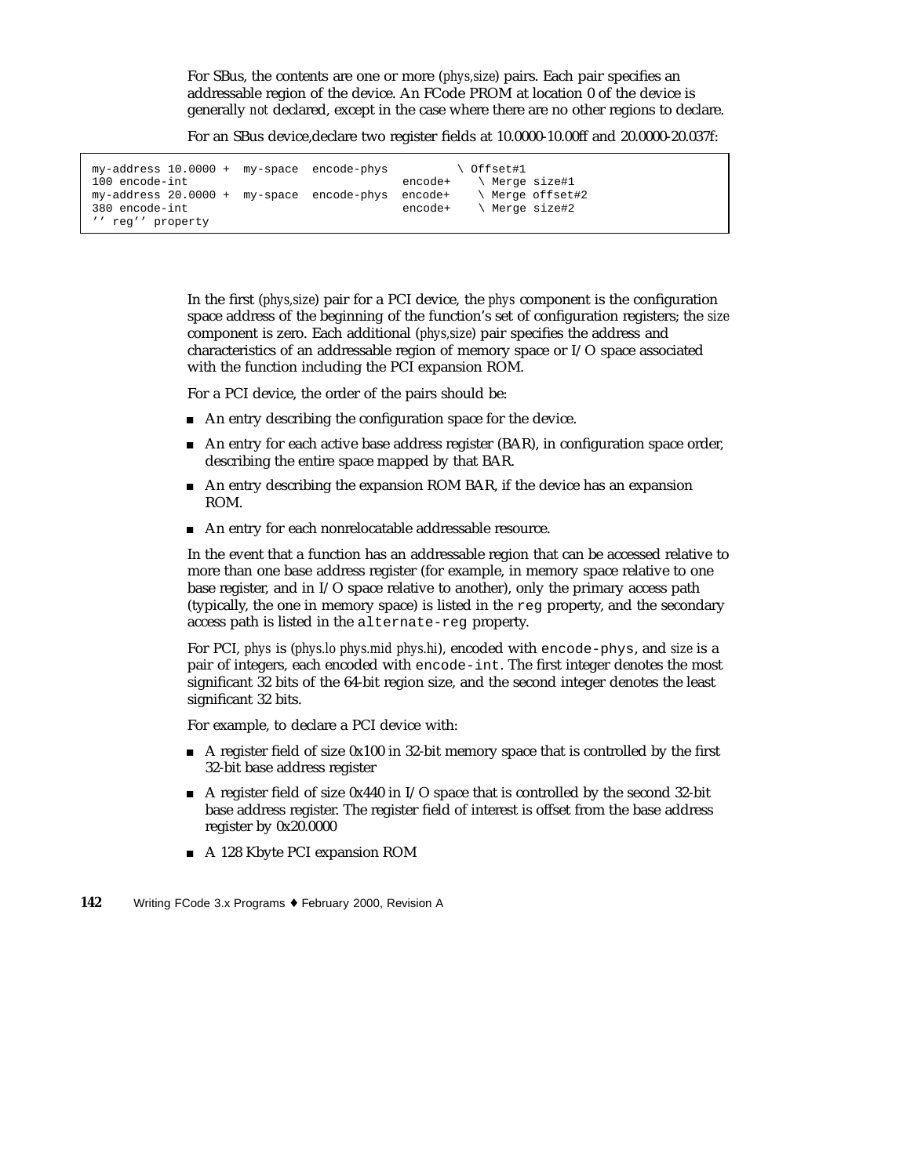For SBus, the contents are one or more (*phys,size*) pairs. Each pair specifies an addressable region of the device. An FCode PROM at location 0 of the device is generally *not* declared, except in the case where there are no other regions to declare.

For an SBus device,declare two register fields at 10.0000-10.00ff and 20.0000-20.037f:

| my-address 10.0000 + my-space encode-phys           | ∖ Offset#1                |                  |
|-----------------------------------------------------|---------------------------|------------------|
| 100 encode-int                                      | \ Merge size#1<br>encode+ |                  |
| $my-address 20.0000 + my-space encode-phys encode+$ |                           | \ Merge offset#2 |
| 380 encode-int                                      | encode+                   | \ Merge size#2   |
| " req'' property                                    |                           |                  |

In the first (*phys,size*) pair for a PCI device, the *phys* component is the configuration space address of the beginning of the function's set of configuration registers; the *size* component is zero. Each additional (*phys,size*) pair specifies the address and characteristics of an addressable region of memory space or I/O space associated with the function including the PCI expansion ROM.

For a PCI device, the order of the pairs should be:

- An entry describing the configuration space for the device.
- An entry for each active base address register (BAR), in configuration space order, describing the entire space mapped by that BAR.
- An entry describing the expansion ROM BAR, if the device has an expansion ROM.
- An entry for each nonrelocatable addressable resource.

In the event that a function has an addressable region that can be accessed relative to more than one base address register (for example, in memory space relative to one base register, and in I/O space relative to another), only the primary access path (typically, the one in memory space) is listed in the reg property, and the secondary access path is listed in the alternate-reg property.

For PCI, *phys* is (*phys.lo phys.mid phys.hi*), encoded with encode-phys, and *size* is a pair of integers, each encoded with encode-int. The first integer denotes the most significant 32 bits of the 64-bit region size, and the second integer denotes the least significant 32 bits.

For example, to declare a PCI device with:

- A register field of size 0x100 in 32-bit memory space that is controlled by the first 32-bit base address register
- A register field of size  $0x440$  in I/O space that is controlled by the second 32-bit base address register. The register field of interest is offset from the base address register by 0x20.0000
- A 128 Kbyte PCI expansion ROM
- **142** Writing FCode 3.x Programs ♦ February 2000, Revision A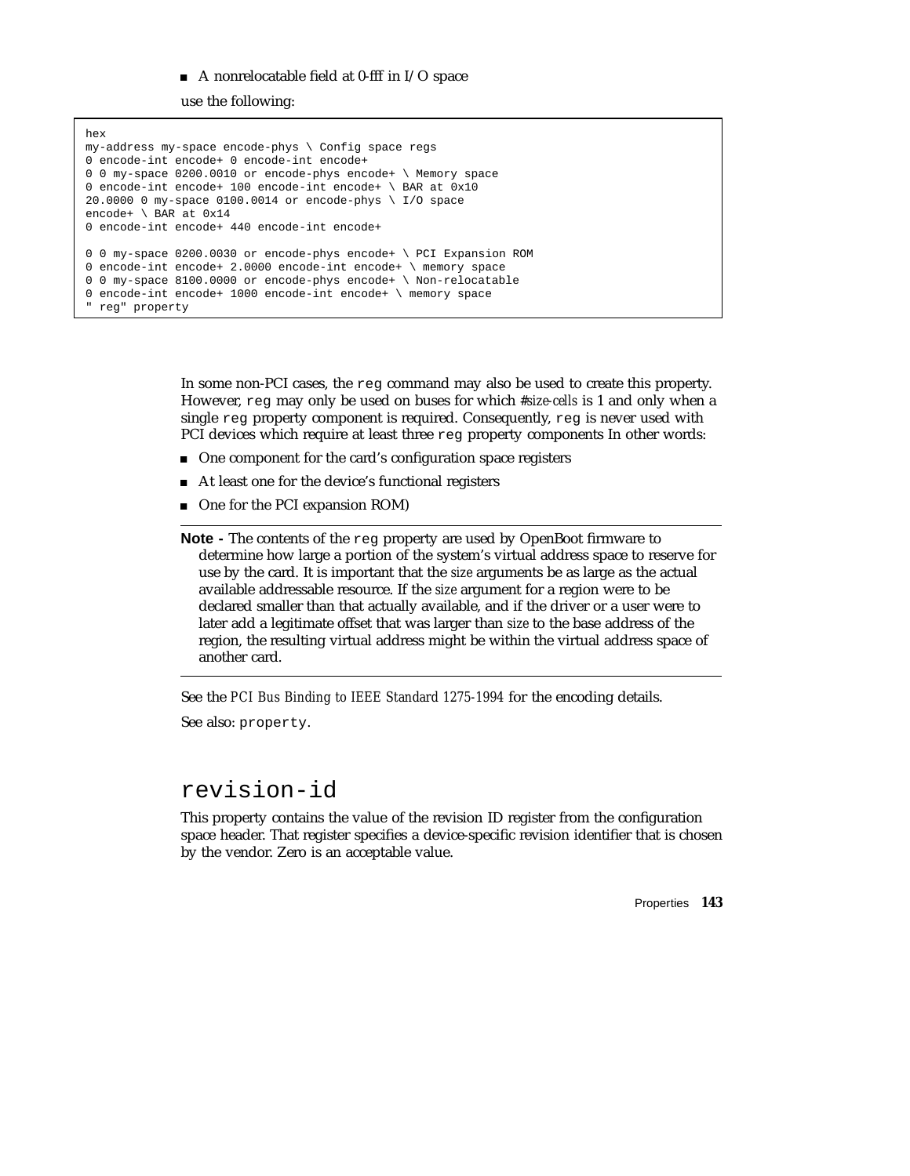#### $\blacksquare$  A nonrelocatable field at 0-fff in I/O space

use the following:

```
hex
my-address my-space encode-phys \ Config space regs
0 encode-int encode+ 0 encode-int encode+
0 0 my-space 0200.0010 or encode-phys encode+ \ Memory space
0 encode-int encode+ 100 encode-int encode+ \ BAR at 0x10
20.0000 0 my-space 0100.0014 or encode-phys \ I/O space
encode+ \ BAR at 0x14
0 encode-int encode+ 440 encode-int encode+
0 0 my-space 0200.0030 or encode-phys encode+ \ PCI Expansion ROM
0 encode-int encode+ 2.0000 encode-int encode+ \ memory space
0 0 my-space 8100.0000 or encode-phys encode+ \ Non-relocatable
0 encode-int encode+ 1000 encode-int encode+ \ memory space
" reg" property
```
In some non-PCI cases, the reg command may also be used to create this property. However, reg may only be used on buses for which *#size-cells* is 1 and only when a single reg property component is required. Consequently, reg is never used with PCI devices which require at least three reg property components In other words:

- One component for the card's configuration space registers
- At least one for the device's functional registers
- One for the PCI expansion ROM)

**Note -** The contents of the reg property are used by OpenBoot firmware to determine how large a portion of the system's virtual address space to reserve for use by the card. It is important that the *size* arguments be as large as the actual available addressable resource. If the *size* argument for a region were to be declared smaller than that actually available, and if the driver or a user were to later add a legitimate offset that was larger than *size* to the base address of the region, the resulting virtual address might be within the virtual address space of another card.

See the *PCI Bus Binding to IEEE Standard 1275-1994* for the encoding details.

See also: property.

#### revision-id

This property contains the value of the revision ID register from the configuration space header. That register specifies a device-specific revision identifier that is chosen by the vendor. Zero is an acceptable value.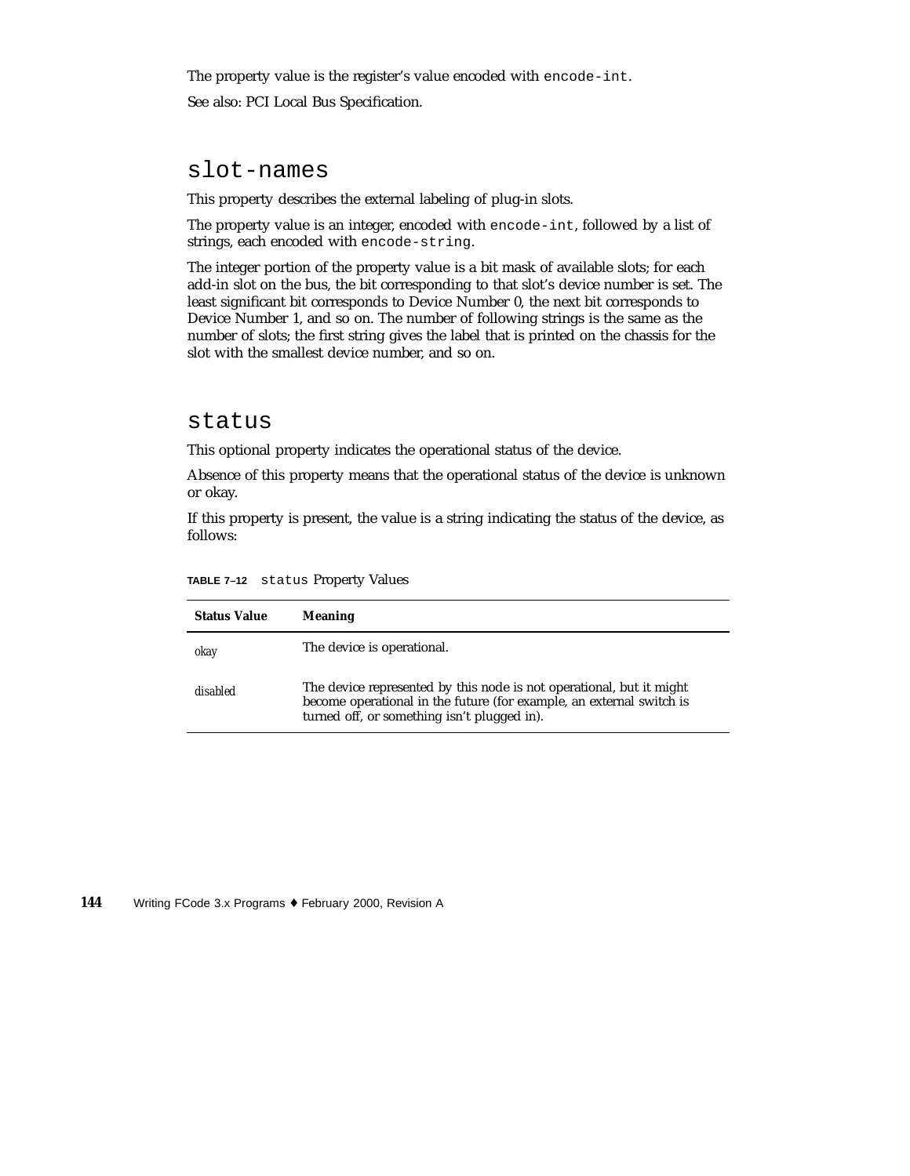The property value is the register's value encoded with encode-int. See also: PCI Local Bus Specification.

#### slot-names

This property describes the external labeling of plug-in slots.

The property value is an integer, encoded with encode-int, followed by a list of strings, each encoded with encode-string.

The integer portion of the property value is a bit mask of available slots; for each add-in slot on the bus, the bit corresponding to that slot's device number is set. The least significant bit corresponds to Device Number 0, the next bit corresponds to Device Number 1, and so on. The number of following strings is the same as the number of slots; the first string gives the label that is printed on the chassis for the slot with the smallest device number, and so on.

#### status

This optional property indicates the operational status of the device.

Absence of this property means that the operational status of the device is unknown or okay.

If this property is present, the value is a string indicating the status of the device, as follows:

| <b>Status Value</b> | <b>Meaning</b>                                                                                                                                                                              |
|---------------------|---------------------------------------------------------------------------------------------------------------------------------------------------------------------------------------------|
| okay                | The device is operational.                                                                                                                                                                  |
| disabled            | The device represented by this node is not operational, but it might<br>become operational in the future (for example, an external switch is<br>turned off, or something isn't plugged in). |

**TABLE 7–12** status Property Values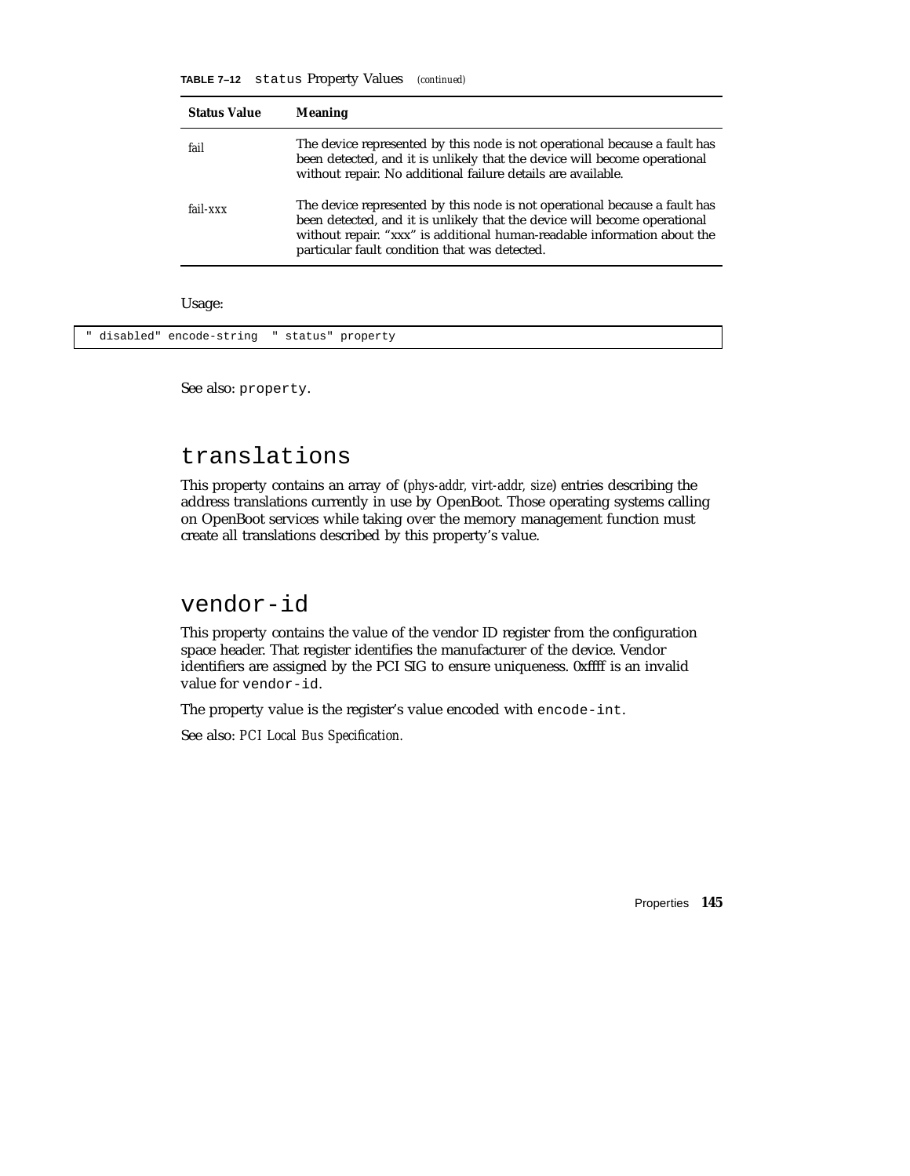**TABLE 7–12** status Property Values *(continued)*

| <b>Status Value</b> | <b>Meaning</b>                                                                                                                                                                                                                                                                       |
|---------------------|--------------------------------------------------------------------------------------------------------------------------------------------------------------------------------------------------------------------------------------------------------------------------------------|
| fail                | The device represented by this node is not operational because a fault has<br>been detected, and it is unlikely that the device will become operational<br>without repair. No additional failure details are available.                                                              |
| fail-xxx            | The device represented by this node is not operational because a fault has<br>been detected, and it is unlikely that the device will become operational<br>without repair. "xxx" is additional human-readable information about the<br>particular fault condition that was detected. |
| Usage:              |                                                                                                                                                                                                                                                                                      |

" disabled" encode-string " status" property

See also: property.

#### translations

This property contains an array of (*phys-addr, virt-addr, size*) entries describing the address translations currently in use by OpenBoot. Those operating systems calling on OpenBoot services while taking over the memory management function must create all translations described by this property's value.

#### vendor-id

This property contains the value of the vendor ID register from the configuration space header. That register identifies the manufacturer of the device. Vendor identifiers are assigned by the PCI SIG to ensure uniqueness. 0xffff is an invalid value for vendor-id.

The property value is the register's value encoded with encode-int.

See also: *PCI Local Bus Specification.*

Properties **145**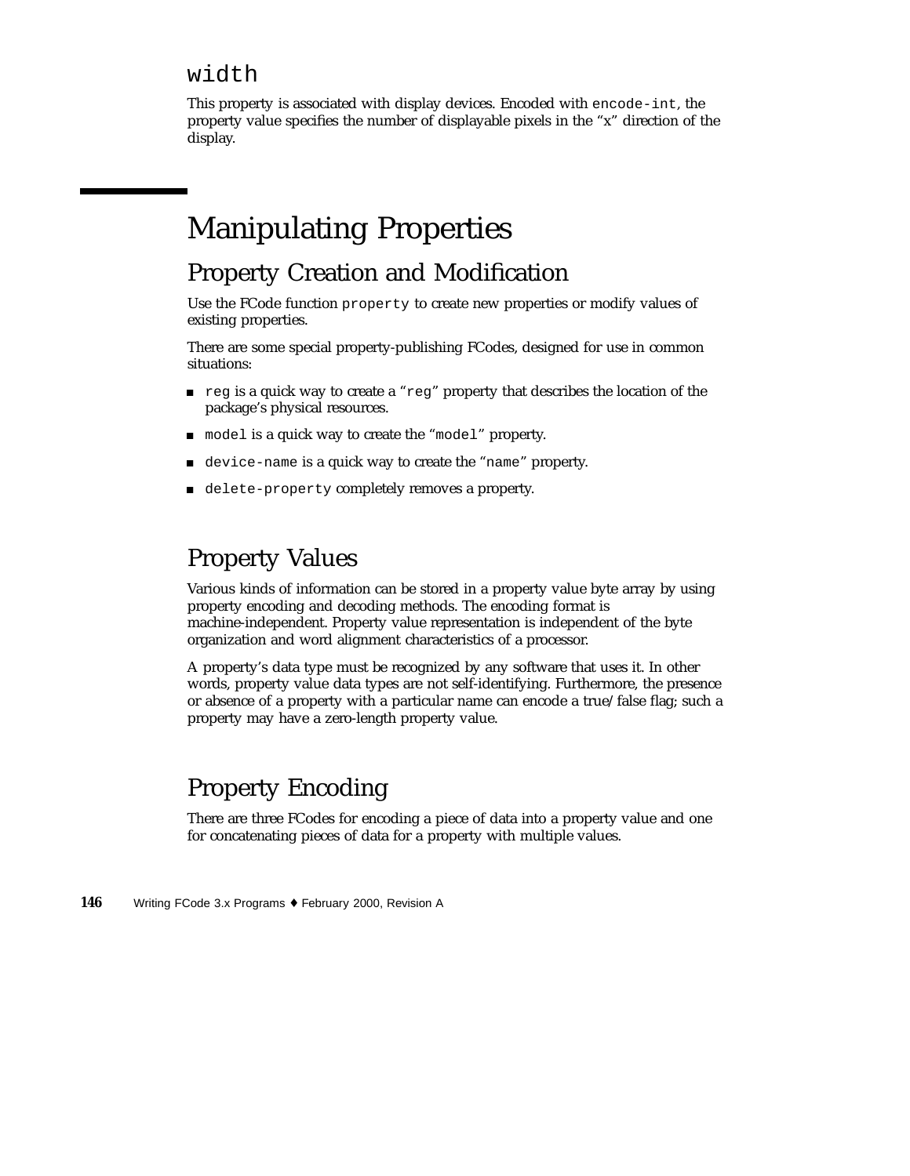#### width

This property is associated with display devices. Encoded with encode-int, the property value specifies the number of displayable pixels in the "x" direction of the display.

# Manipulating Properties

#### Property Creation and Modification

Use the FCode function property to create new properties or modify values of existing properties.

There are some special property-publishing FCodes, designed for use in common situations:

- reg is a quick way to create a "reg" property that describes the location of the package's physical resources.
- $\blacksquare$  model is a quick way to create the "model" property.
- device-name is a quick way to create the "name" property.
- delete-property completely removes a property.

### Property Values

Various kinds of information can be stored in a property value byte array by using property encoding and decoding methods. The encoding format is machine-independent. Property value representation is independent of the byte organization and word alignment characteristics of a processor.

A property's data type must be recognized by any software that uses it. In other words, property value data types are not self-identifying. Furthermore, the presence or absence of a property with a particular name can encode a true/false flag; such a property may have a zero-length property value.

### Property Encoding

There are three FCodes for encoding a piece of data into a property value and one for concatenating pieces of data for a property with multiple values.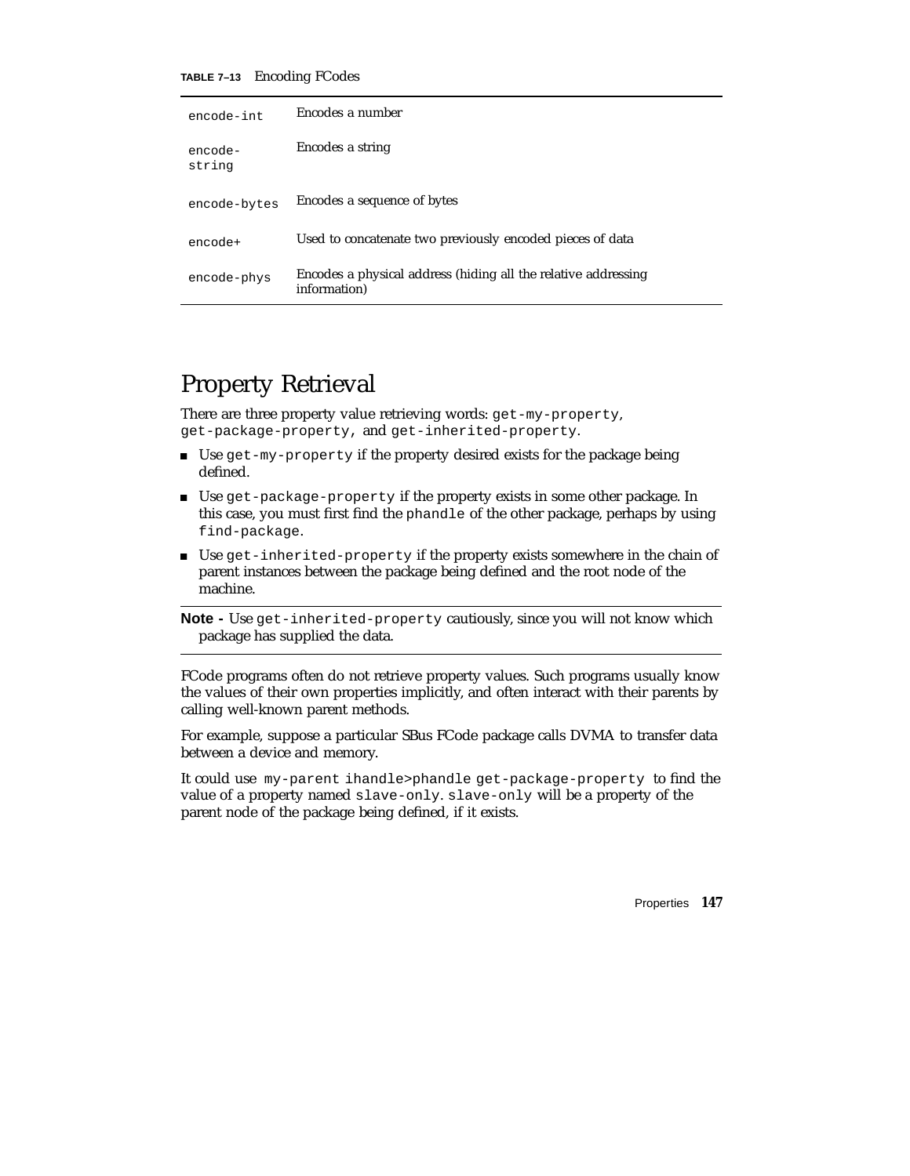**TABLE 7–13** Encoding FCodes

| encode-int        | Encodes a number                                                               |
|-------------------|--------------------------------------------------------------------------------|
| encode-<br>string | Encodes a string                                                               |
| encode-bytes      | Encodes a sequence of bytes                                                    |
| encode+           | Used to concatenate two previously encoded pieces of data                      |
| encode-phys       | Encodes a physical address (hiding all the relative addressing<br>information) |

#### Property Retrieval

There are three property value retrieving words: get-my-property, get-package-property, and get-inherited-property.

- Use get-my-property if the property desired exists for the package being defined.
- Use get-package-property if the property exists in some other package. In this case, you must first find the phandle of the other package, perhaps by using find-package.
- Use get-inherited-property if the property exists somewhere in the chain of parent instances between the package being defined and the root node of the machine.

**Note -** Use get-inherited-property cautiously, since you will not know which package has supplied the data.

FCode programs often do not retrieve property values. Such programs usually know the values of their own properties implicitly, and often interact with their parents by calling well-known parent methods.

For example, suppose a particular SBus FCode package calls DVMA to transfer data between a device and memory.

It could use my-parent ihandle>phandle get-package-property to find the value of a property named slave-only. slave-only will be a property of the parent node of the package being defined, if it exists.

Properties **147**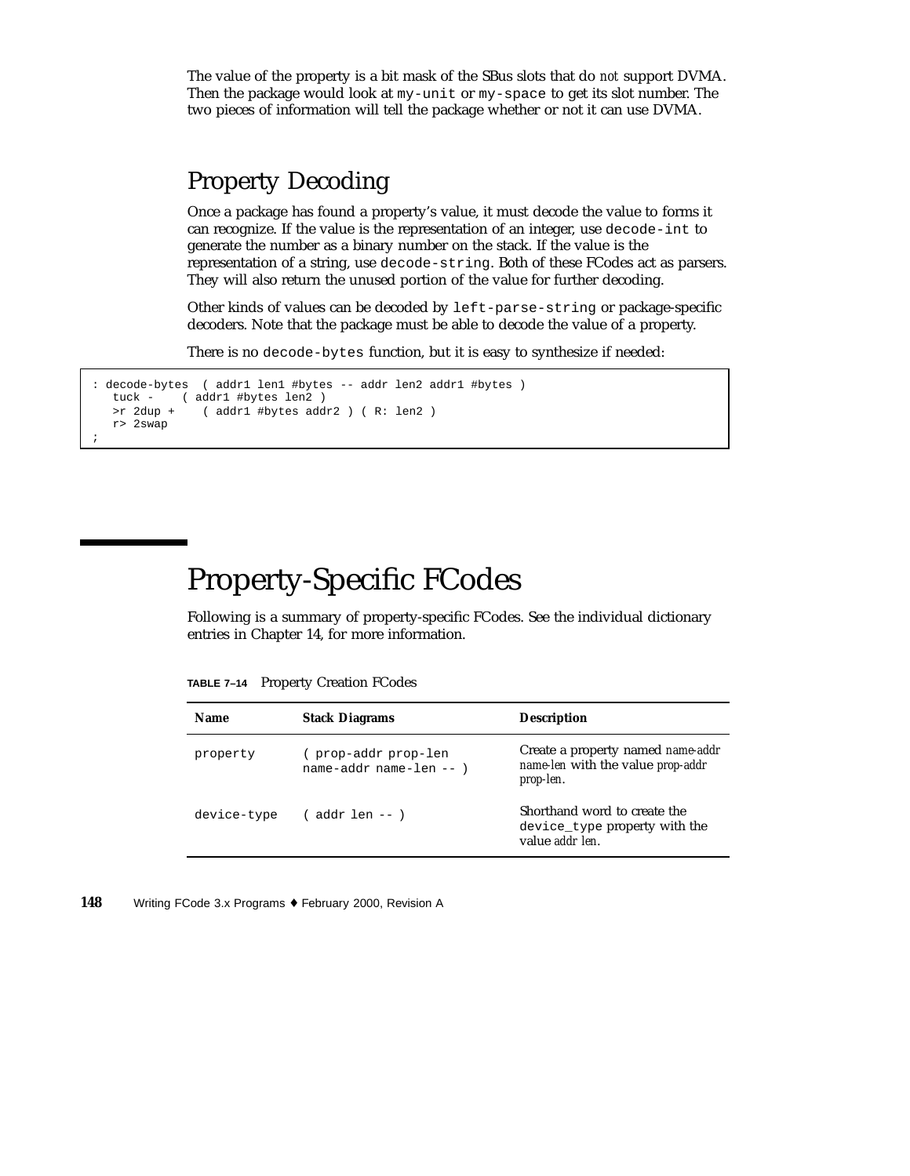The value of the property is a bit mask of the SBus slots that do *not* support DVMA. Then the package would look at my-unit or my-space to get its slot number. The two pieces of information will tell the package whether or not it can use DVMA.

#### Property Decoding

Once a package has found a property's value, it must decode the value to forms it can recognize. If the value is the representation of an integer, use decode-int to generate the number as a binary number on the stack. If the value is the representation of a string, use decode-string. Both of these FCodes act as parsers. They will also return the unused portion of the value for further decoding.

Other kinds of values can be decoded by left-parse-string or package-specific decoders. Note that the package must be able to decode the value of a property.

There is no decode-bytes function, but it is easy to synthesize if needed:

```
: decode-bytes ( addr1 len1 #bytes -- addr len2 addr1 #bytes )
  tuck - ( addr1 #bytes len2 )
  >r 2dup + ( addr1 #bytes addr2 ) ( R: len2 )
  r> 2swap
;
```
# Property-Specific FCodes

Following is a summary of property-specific FCodes. See the individual dictionary entries in Chapter 14, for more information.

| TABLE 7-14 Property Creation FCodes |  |  |  |
|-------------------------------------|--|--|--|
|-------------------------------------|--|--|--|

| <b>Name</b> | <b>Stack Diagrams</b>                         | <b>Description</b>                                                                         |
|-------------|-----------------------------------------------|--------------------------------------------------------------------------------------------|
| property    | prop-addr prop-len<br>name-addr name-len -- ) | Create a property named <i>name-addr</i><br>name-len with the value prop-addr<br>prop-len. |
| device-type | ( addr len -- )                               | Shorthand word to create the<br>device_type property with the<br>value addr len.           |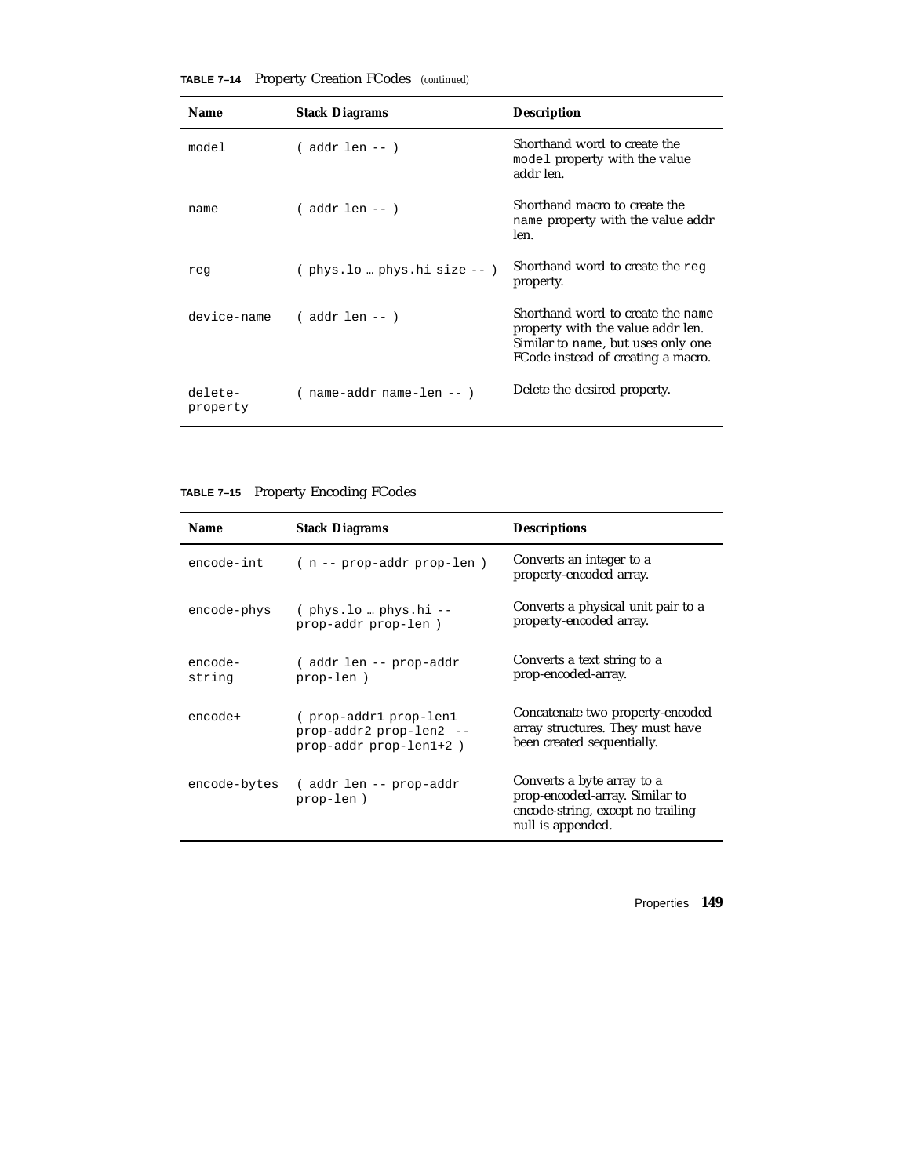| <b>Name</b>         | <b>Stack Diagrams</b>           | <b>Description</b>                                                                                                                                 |
|---------------------|---------------------------------|----------------------------------------------------------------------------------------------------------------------------------------------------|
| model               | ( addr len -- )                 | Shorthand word to create the<br>model property with the value<br>addr len.                                                                         |
| name                | ( addr len -- )                 | Shorthand macro to create the<br>name property with the value addr<br>len.                                                                         |
| req                 | $($ phys.lo  phys.hi size $-$ ) | Shorthand word to create the reg<br>property.                                                                                                      |
| device-name         | $($ addr len -- $)$             | Shorthand word to create the name<br>property with the value addr len.<br>Similar to name, but uses only one<br>FCode instead of creating a macro. |
| delete-<br>property | $($ name-addr name-len -- $)$   | Delete the desired property.                                                                                                                       |

**TABLE 7–14** Property Creation FCodes *(continued)*

#### **TABLE 7–15** Property Encoding FCodes

| <b>Name</b>       | <b>Stack Diagrams</b>                                                      | <b>Descriptions</b>                                                                                                    |
|-------------------|----------------------------------------------------------------------------|------------------------------------------------------------------------------------------------------------------------|
| encode-int        | (n -- prop-addr prop-len)                                                  | Converts an integer to a<br>property-encoded array.                                                                    |
| encode-phys       | $($ phys.lo  phys.hi --<br>prop-addr prop-len )                            | Converts a physical unit pair to a<br>property-encoded array.                                                          |
| encode-<br>string | (addr len -- prop-addr<br>prop-len)                                        | Converts a text string to a<br>prop-encoded-array.                                                                     |
| encode+           | (prop-addr1prop-len1)<br>prop-addr2 prop-len2 --<br>prop-addr prop-len1+2) | Concatenate two property-encoded<br>array structures. They must have<br>been created sequentially.                     |
| encode-bytes      | (addr len -- prop-addr<br>prop-len)                                        | Converts a byte array to a<br>prop-encoded-array. Similar to<br>encode-string, except no trailing<br>null is appended. |

Properties **149**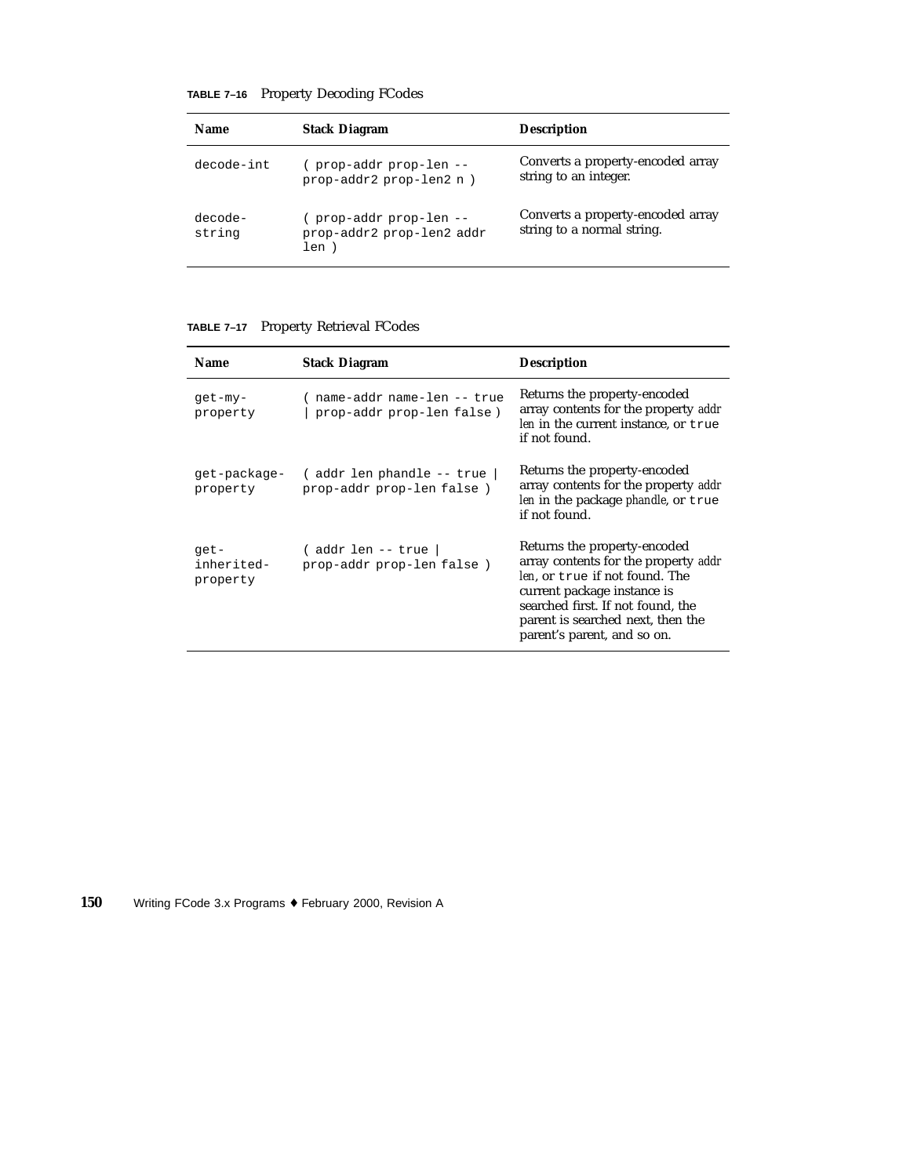| TABLE 7-16 Property Decoding FCodes |  |  |  |
|-------------------------------------|--|--|--|
|-------------------------------------|--|--|--|

| <b>Name</b>       | <b>Stack Diagram</b>                                       | <b>Description</b>                                              |
|-------------------|------------------------------------------------------------|-----------------------------------------------------------------|
| decode-int        | -- prop-addr prop-len<br>prop-addr2 prop-len2 n)           | Converts a property-encoded array<br>string to an integer.      |
| decode-<br>string | prop-addr prop-len --<br>prop-addr2 prop-len2 addr<br>len) | Converts a property-encoded array<br>string to a normal string. |

#### **TABLE 7–17** Property Retrieval FCodes

| <b>Name</b>                    | <b>Stack Diagram</b>                                      | <b>Description</b>                                                                                                                                                                                                                             |
|--------------------------------|-----------------------------------------------------------|------------------------------------------------------------------------------------------------------------------------------------------------------------------------------------------------------------------------------------------------|
| get-my-<br>property            | name-addr name-len -- true<br>prop-addr prop-len false)   | Returns the property-encoded<br>array contents for the property addr<br>len in the current instance, or true<br>if not found.                                                                                                                  |
| qet-package-<br>property       | ( addr len phandle -- true  <br>prop-addr prop-len false) | Returns the property-encoded<br>array contents for the property addr<br>len in the package phandle, or true<br>if not found.                                                                                                                   |
| get-<br>inherited-<br>property | (addr len -- true  <br>prop-addr prop-len false)          | Returns the property-encoded<br>array contents for the property addr<br>len, or true if not found. The<br>current package instance is<br>searched first. If not found, the<br>parent is searched next, then the<br>parent's parent, and so on. |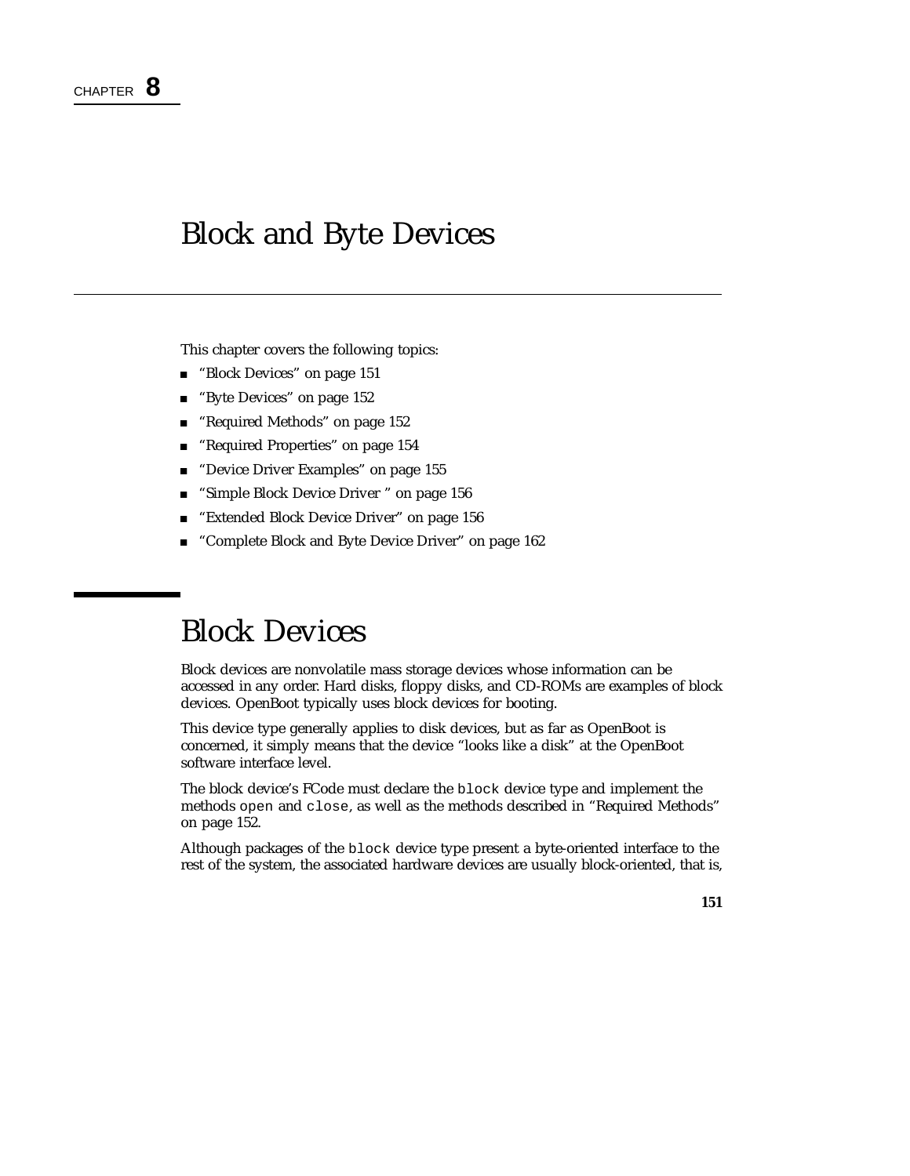# Block and Byte Devices

This chapter covers the following topics:

- **Block Devices**" on page 151
- "Byte Devices" on page 152
- "Required Methods" on page 152
- "Required Properties" on page 154
- **Device Driver Examples**" on page 155
- "Simple Block Device Driver " on page 156
- **Extended Block Device Driver" on page 156**
- "Complete Block and Byte Device Driver" on page 162

# Block Devices

Block devices are nonvolatile mass storage devices whose information can be accessed in any order. Hard disks, floppy disks, and CD-ROMs are examples of block devices. OpenBoot typically uses block devices for booting.

This device type generally applies to disk devices, but as far as OpenBoot is concerned, it simply means that the device "looks like a disk" at the OpenBoot software interface level.

The block device's FCode must declare the block device type and implement the methods open and close, as well as the methods described in "Required Methods" on page 152.

Although packages of the block device type present a byte-oriented interface to the rest of the system, the associated hardware devices are usually block-oriented, that is,

**151**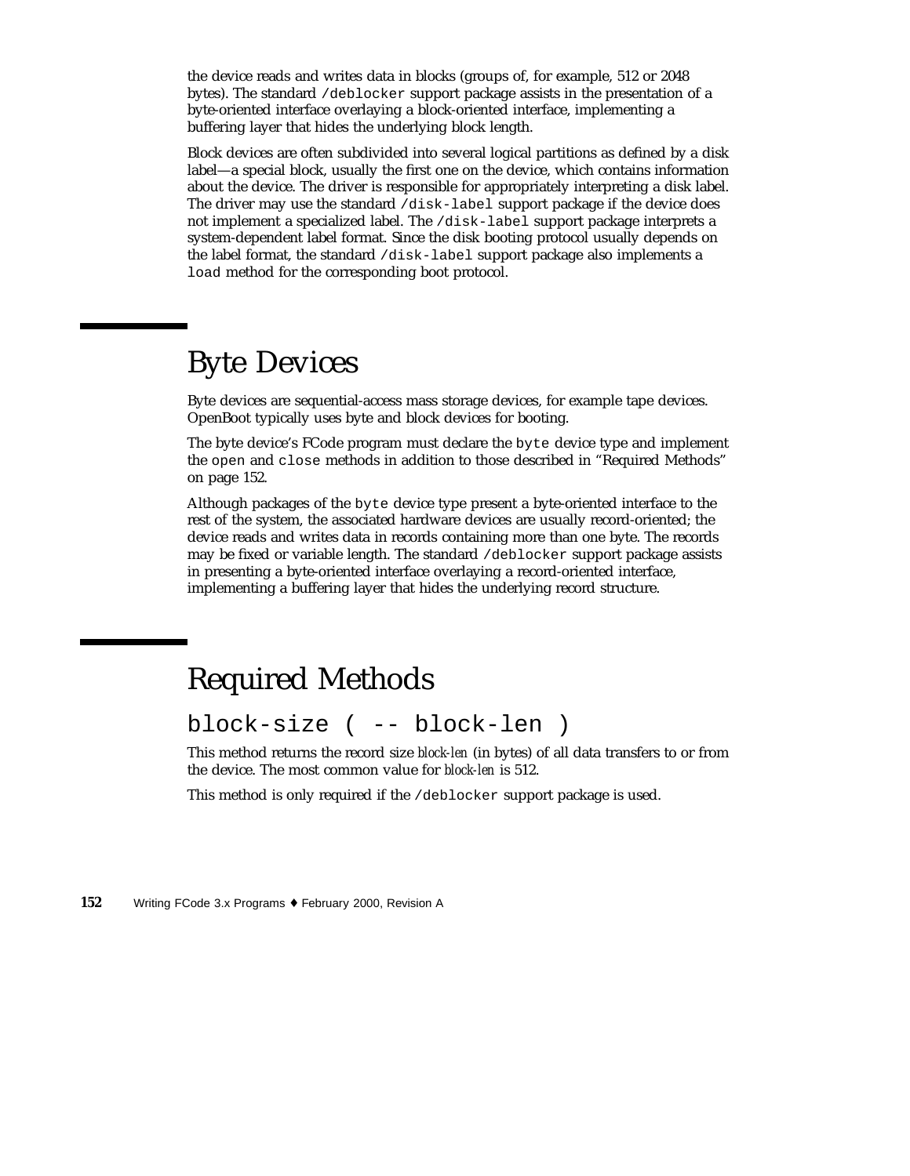the device reads and writes data in blocks (groups of, for example, 512 or 2048 bytes). The standard /deblocker support package assists in the presentation of a byte-oriented interface overlaying a block-oriented interface, implementing a buffering layer that hides the underlying block length.

Block devices are often subdivided into several logical partitions as defined by a disk label—a special block, usually the first one on the device, which contains information about the device. The driver is responsible for appropriately interpreting a disk label. The driver may use the standard /disk-label support package if the device does not implement a specialized label. The /disk-label support package interprets a system-dependent label format. Since the disk booting protocol usually depends on the label format, the standard /disk-label support package also implements a load method for the corresponding boot protocol.

# Byte Devices

Byte devices are sequential-access mass storage devices, for example tape devices. OpenBoot typically uses byte and block devices for booting.

The byte device's FCode program must declare the byte device type and implement the open and close methods in addition to those described in "Required Methods" on page 152.

Although packages of the byte device type present a byte-oriented interface to the rest of the system, the associated hardware devices are usually record-oriented; the device reads and writes data in records containing more than one byte. The records may be fixed or variable length. The standard /deblocker support package assists in presenting a byte-oriented interface overlaying a record-oriented interface, implementing a buffering layer that hides the underlying record structure.

# Required Methods

block-size ( -- block-len )

This method returns the record size *block-len* (in bytes) of all data transfers to or from the device. The most common value for *block-len* is 512.

This method is only required if the /deblocker support package is used.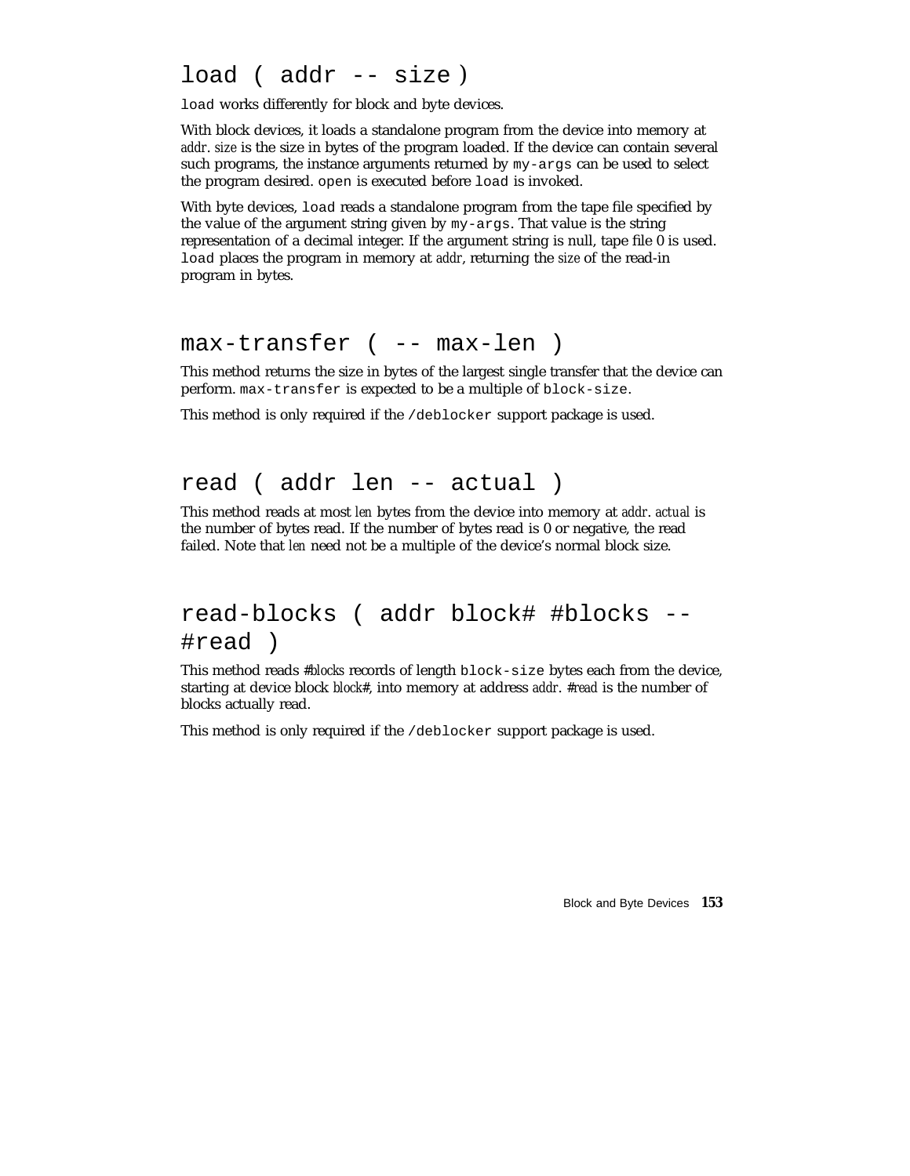### load ( addr -- size )

load works differently for block and byte devices.

With block devices, it loads a standalone program from the device into memory at *addr*. *size* is the size in bytes of the program loaded. If the device can contain several such programs, the instance arguments returned by my-args can be used to select the program desired. open is executed before load is invoked.

With byte devices, load reads a standalone program from the tape file specified by the value of the argument string given by my-args. That value is the string representation of a decimal integer. If the argument string is null, tape file 0 is used. load places the program in memory at *addr*, returning the *size* of the read-in program in bytes.

#### max-transfer ( -- max-len )

This method returns the size in bytes of the largest single transfer that the device can perform. max-transfer is expected to be a multiple of block-size.

This method is only required if the /deblocker support package is used.

#### read ( addr len -- actual )

This method reads at most *len* bytes from the device into memory at *addr*. *actual* is the number of bytes read. If the number of bytes read is 0 or negative, the read failed. Note that *len* need not be a multiple of the device's normal block size.

### read-blocks ( addr block# #blocks -- #read )

This method reads *#blocks* records of length block-size bytes each from the device, starting at device block *block#*, into memory at address *addr*. *#read* is the number of blocks actually read.

This method is only required if the /deblocker support package is used.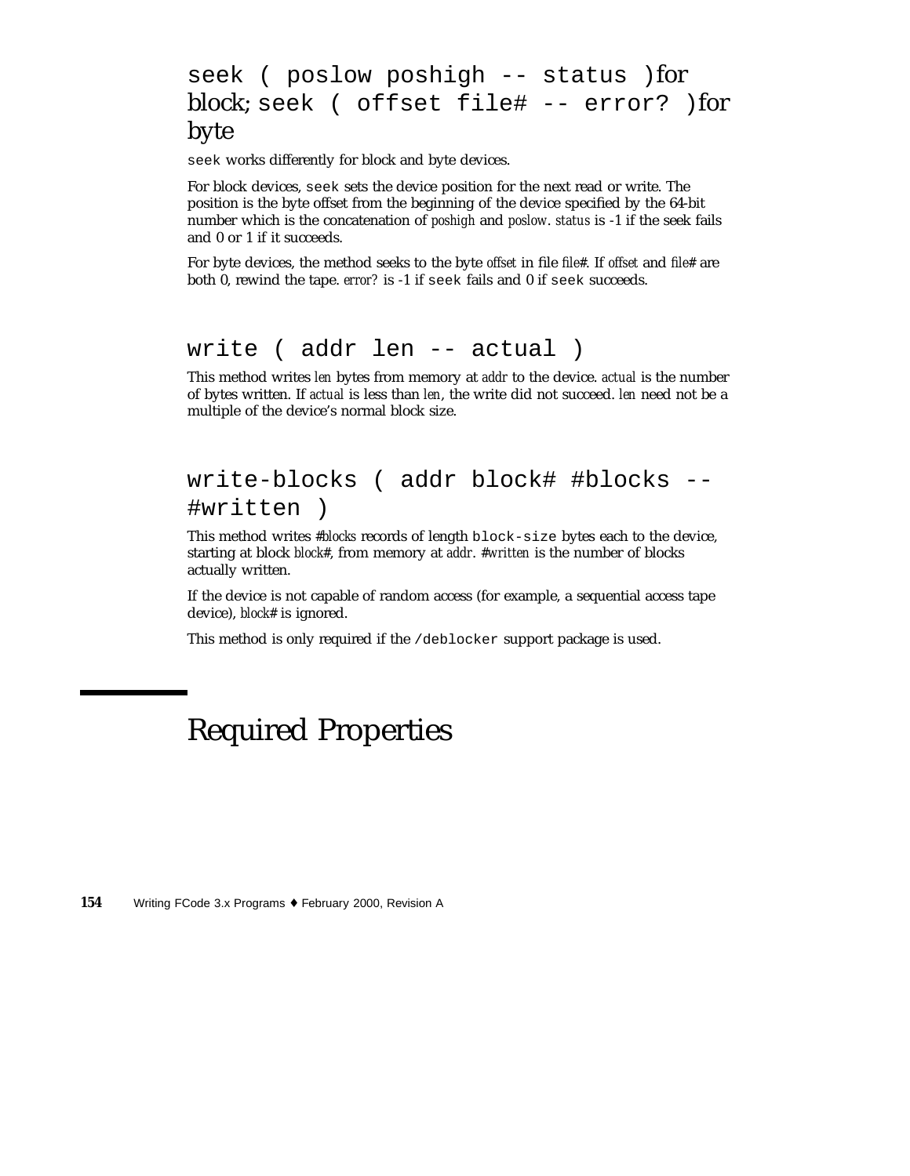### seek ( poslow poshigh -- status )for block; seek ( offset file# -- error? )for byte

seek works differently for block and byte devices.

For block devices, seek sets the device position for the next read or write. The position is the byte offset from the beginning of the device specified by the 64-bit number which is the concatenation of *poshigh* and *poslow*. *status* is -1 if the seek fails and 0 or 1 if it succeeds.

For byte devices, the method seeks to the byte *offset* in file *file#*. If *offset* and *file#* are both 0, rewind the tape. *error?* is -1 if seek fails and 0 if seek succeeds.

#### write ( addr len -- actual )

This method writes *len* bytes from memory at *addr* to the device. *actual* is the number of bytes written. If *actual* is less than *len*, the write did not succeed. *len* need not be a multiple of the device's normal block size.

### write-blocks ( addr block# #blocks --#written )

This method writes *#blocks* records of length block-size bytes each to the device, starting at block *block#*, from memory at *addr*. *#written* is the number of blocks actually written.

If the device is not capable of random access (for example, a sequential access tape device), *block#* is ignored.

This method is only required if the /deblocker support package is used.

# Required Properties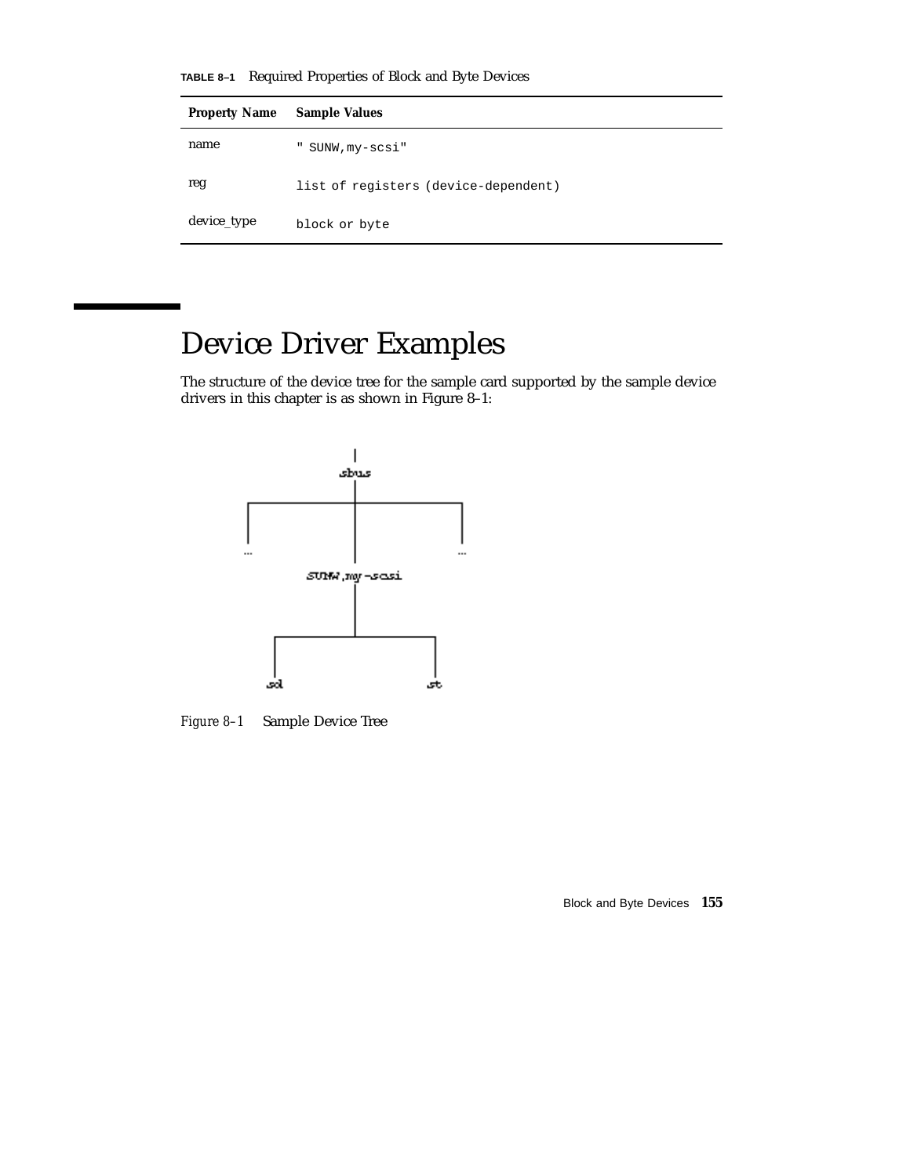**TABLE 8–1** Required Properties of Block and Byte Devices

| <b>Property Name</b> | <b>Sample Values</b>                 |
|----------------------|--------------------------------------|
| name                 | " SUNW, my-scsi"                     |
| reg                  | list of registers (device-dependent) |
| device_type          | block or byte                        |

# Device Driver Examples

The structure of the device tree for the sample card supported by the sample device drivers in this chapter is as shown in Figure 8–1:



*Figure 8–1* Sample Device Tree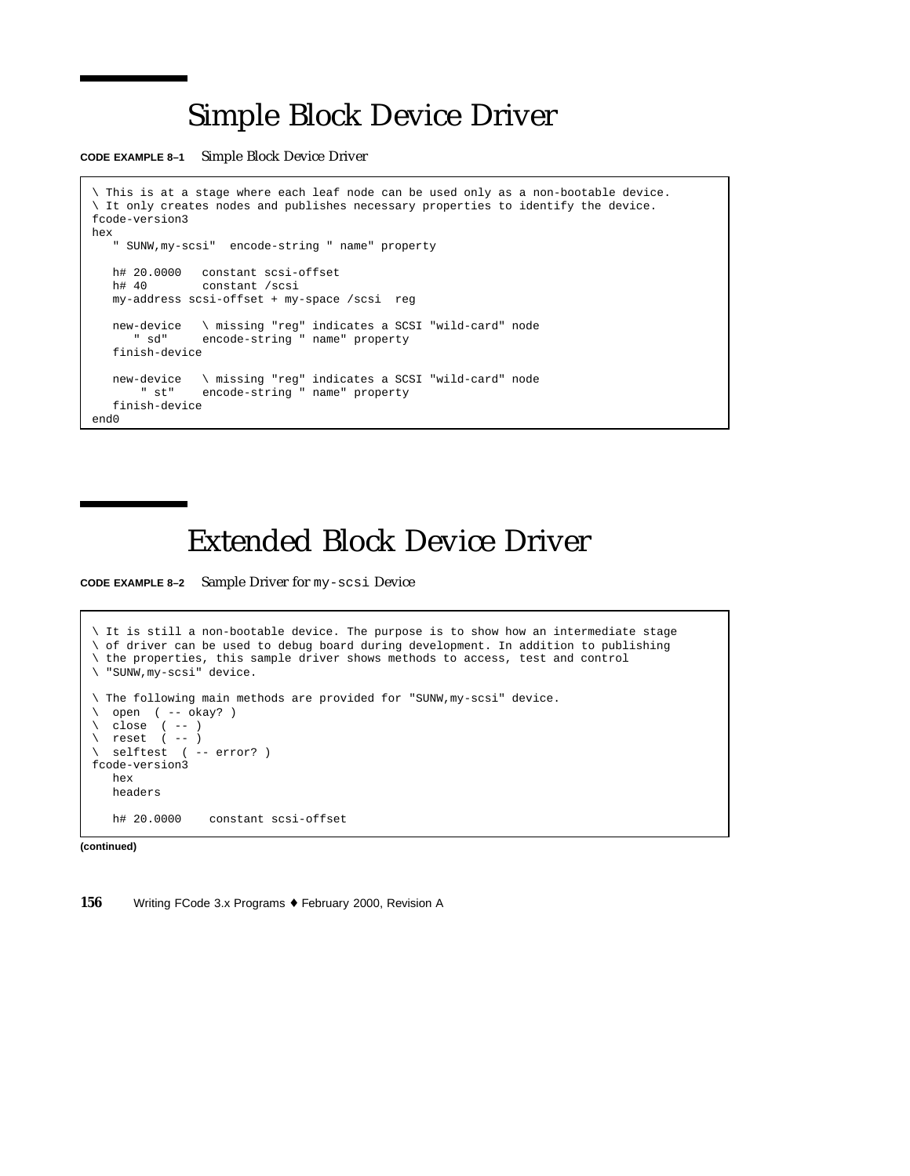# Simple Block Device Driver

**CODE EXAMPLE 8–1** Simple Block Device Driver

```
\ This is at a stage where each leaf node can be used only as a non-bootable device.
\ It only creates nodes and publishes necessary properties to identify the device.
fcode-version3
hex
   " SUNW,my-scsi" encode-string " name" property
   h# 20.0000 constant scsi-offset<br>h# 40 constant /scsi
               constant /scsi
   my-address scsi-offset + my-space /scsi reg
   new-device \ missing "reg" indicates a SCSI "wild-card" node
      " sd" encode-string " name" property
   finish-device
   new-device \ missing "reg" indicates a SCSI "wild-card" node
       " st" encode-string " name" property
   finish-device
end0
```
# Extended Block Device Driver

**CODE EXAMPLE 8–2** Sample Driver for my-scsi Device

```
\ It is still a non-bootable device. The purpose is to show how an intermediate stage
\ of driver can be used to debug board during development. In addition to publishing
\ the properties, this sample driver shows methods to access, test and control
\ "SUNW,my-scsi" device.
\ The following main methods are provided for "SUNW,my-scsi" device.
 \ open ( -- okay? )
\setminus close ( -- )
\ reset ( -- )
\ selftest ( -- error? )
fcode-version3
  hex
  headers
  h# 20.0000 constant scsi-offset
```
**(continued)**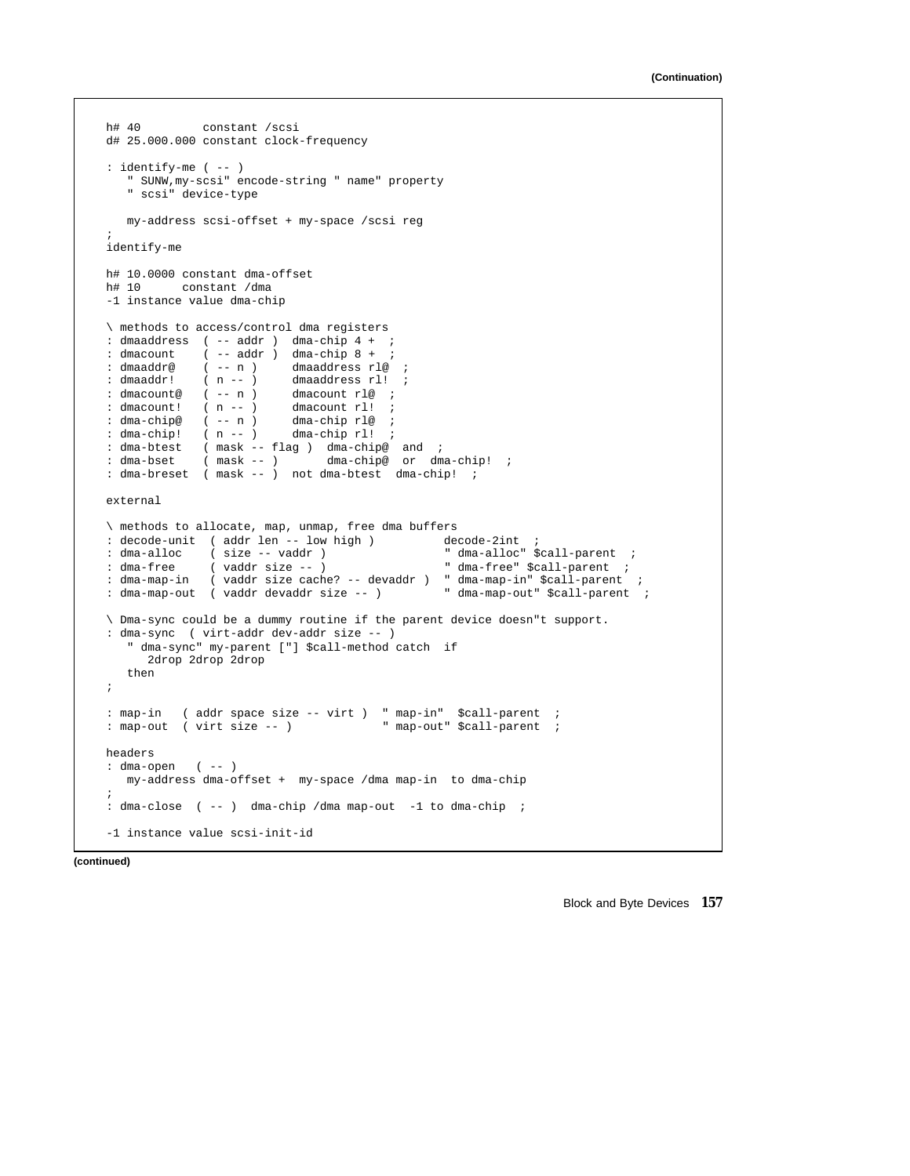```
h# 40 constant /scsi
d# 25.000.000 constant clock-frequency
: identify-me ( -- )
   " SUNW,my-scsi" encode-string " name" property
   " scsi" device-type
  my-address scsi-offset + my-space /scsi reg
;
identify-me
h# 10.0000 constant dma-offset
h# 10 constant /dma
-1 instance value dma-chip
\ methods to access/control dma registers
: dmaaddress ( -- addr ) dma-chip 4 + ;
: dmacount ( -- addr ) dma-chip 8 + ;
: dmaaddr@ ( -- n ) dmaaddress rl@ ;
: dmaaddr@ ( - - n ) dmaaddress rl@ ;<br>: dmaaddr! ( n - - ) dmaaddress rl! ;<br>: dmacount@ ( - - n ) dmacount rl@ ;
: dmacount@ (-- n )<br>: dmacount! (n - - )(n - - ) dmacount rl!<br>(- - n) dma-chip rl@
: dma-chip@ ( -- n ) dma-chip rl@ ;
: dma-chip! (n - - ) dma-chip rl! ;<br>: dma-btest (mask -- flag) dma-chip@
: dma-btest ( mask -- flag ) dma-chip@ and ;
: dma-bset ( mask -- ) dma-chip@ or dma-chip! ;
: dma-breset ( mask -- ) not dma-btest dma-chip! ;
external
\ methods to allocate, map, unmap, free dma buffers
: decode-unit ( addr len -- low high ) decode-2int ;
: dma-alloc ( size -- vaddr ) " dma-alloc" $call-parent ;
: dma-free ( vaddr size -- ) The dma-free" $call-parent ;
: dma-map-in ( vaddr size cache? -- devaddr ) " dma-map-in" $call-parent ;
: dma-map-out ( vaddr devaddr size -- ) " dma-map-out" $call-parent ;
\ Dma-sync could be a dummy routine if the parent device doesn"t support.
: dma-sync ( virt-addr dev-addr size -- )
   " dma-sync" my-parent ["] $call-method catch if
     2drop 2drop 2drop
  then
;
: map-in ( addr space size -- virt ) " map-in" $call-parent ;
: map-out ( virt size -- ) " map-out" $call-parent ;
headers
: dma-open ( -- )
  my-address dma-offset + my-space /dma map-in to dma-chip
;
: dma-close ( -- ) dma-chip /dma map-out -1 to dma-chip ;
-1 instance value scsi-init-id
```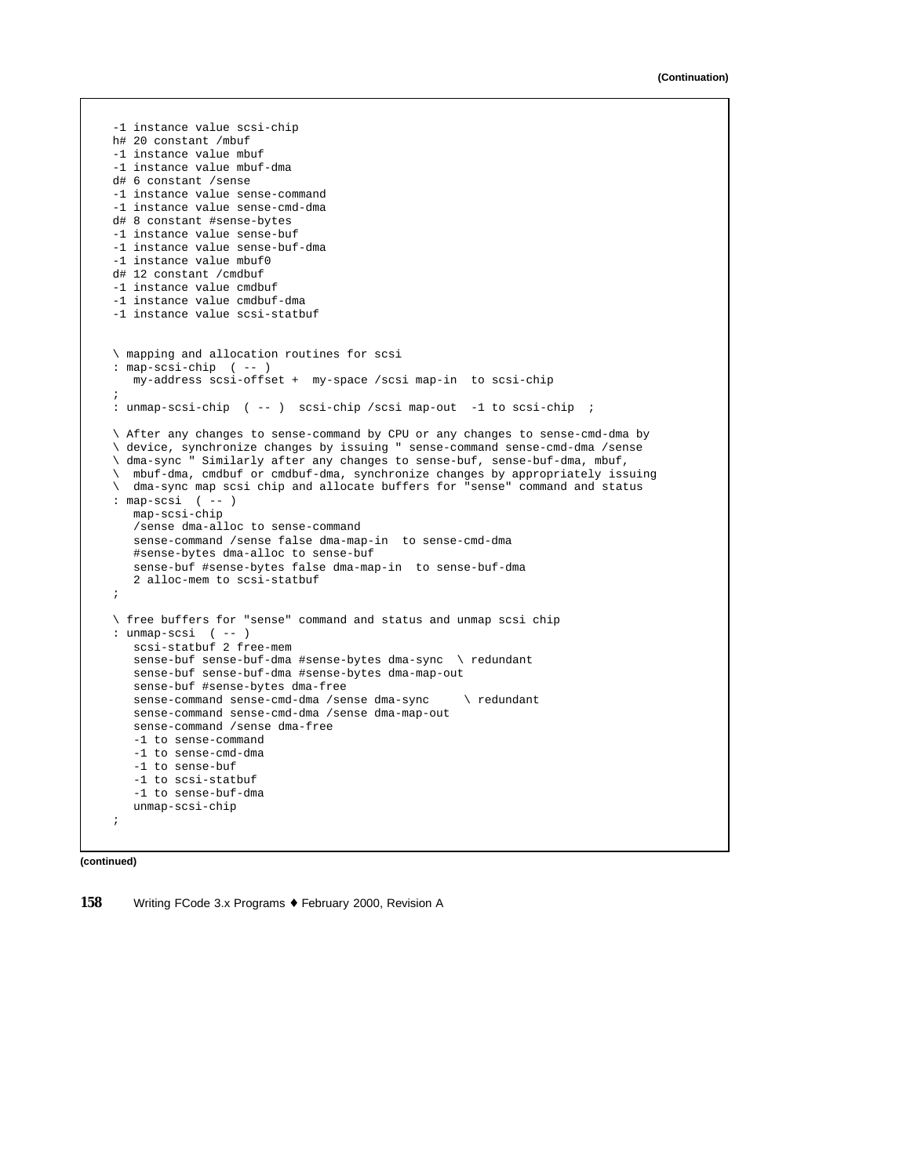```
-1 instance value scsi-chip
h# 20 constant /mbuf
-1 instance value mbuf
-1 instance value mbuf-dma
d# 6 constant /sense
-1 instance value sense-command
-1 instance value sense-cmd-dma
d# 8 constant #sense-bytes
-1 instance value sense-buf
-1 instance value sense-buf-dma
-1 instance value mbuf0
d# 12 constant /cmdbuf
-1 instance value cmdbuf
-1 instance value cmdbuf-dma
-1 instance value scsi-statbuf
\ mapping and allocation routines for scsi
: map-scsi-chip ( -- )
   my-address scsi-offset + my-space /scsi map-in to scsi-chip
;
: unmap-scsi-chip ( -- ) scsi-chip /scsi map-out -1 to scsi-chip ;
\ After any changes to sense-command by CPU or any changes to sense-cmd-dma by
\ device, synchronize changes by issuing " sense-command sense-cmd-dma /sense
\ dma-sync " Similarly after any changes to sense-buf, sense-buf-dma, mbuf,
\ mbuf-dma, cmdbuf or cmdbuf-dma, synchronize changes by appropriately issuing
\ dma-sync map scsi chip and allocate buffers for "sense" command and status
: map-scsi ( -- )
  map-scsi-chip
   /sense dma-alloc to sense-command
   sense-command /sense false dma-map-in to sense-cmd-dma
   #sense-bytes dma-alloc to sense-buf
   sense-buf #sense-bytes false dma-map-in to sense-buf-dma
   2 alloc-mem to scsi-statbuf
;
\ free buffers for "sense" command and status and unmap scsi chip
: unmap-scsi ( -- )
   scsi-statbuf 2 free-mem
   sense-buf sense-buf-dma #sense-bytes dma-sync \ redundant
   sense-buf sense-buf-dma #sense-bytes dma-map-out
   sense-buf #sense-bytes dma-free
   sense-command sense-cmd-dma /sense dma-sync \ redundant
   sense-command sense-cmd-dma /sense dma-map-out
   sense-command /sense dma-free
   -1 to sense-command
   -1 to sense-cmd-dma
   -1 to sense-buf
   -1 to scsi-statbuf
   -1 to sense-buf-dma
   unmap-scsi-chip
;
```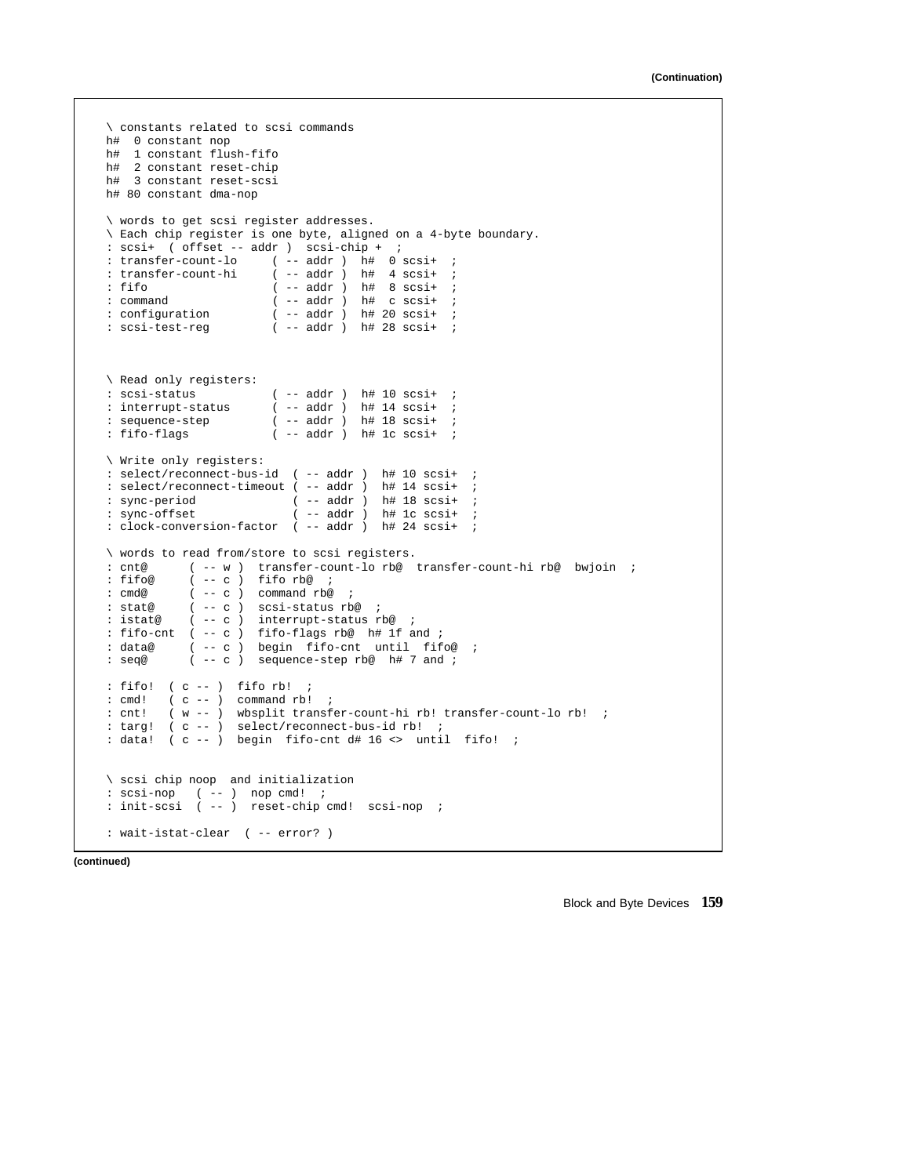```
\ constants related to scsi commands
h# 0 constant nop
h# 1 constant flush-fifo
h# 2 constant reset-chip
h# 3 constant reset-scsi
h# 80 constant dma-nop
\ words to get scsi register addresses.
\ Each chip register is one byte, aligned on a 4-byte boundary.
: scsi+ ( offset -- addr ) scsi-chip + j<br>: transfer-count-lo ( -- addr ) h# 0 s
                      (- - addr) h# 0 scsi+ ;
: transfer-count-hi ( -- addr ) h# 4 scsi+ ;
                        (- - addr) h# 8 scsi+ ;
: command (- - addr) h# c scsi+ ;<br>: configuration (- - addr) h# 20 scsi+ ;
: configuration ( -- addr ) h# 20 scsi+ ;
: scsi-test-reg ( -- addr ) h# 28 scsi+ ;
\ Read only registers:
: \text{scsi-status} ( -- addr ) h# 10 scsi+ ;<br>: interrupt-status ( -- addr ) h# 14 scsi+ ;
: interrupt-status ( -- addr ) h# 14 scsi+ ;
                       ( -- addr ) h# 18 scsi+ ;
: fifo-flags ( -- addr ) h# 1c scsi+ ;
\ Write only registers:
: select/reconnect-bus-id ( -- addr ) h# 10 scsi+ ;
: select/reconnect-timeout ( -- addr ) h# 14 scsi+ ;
: sync-period ( -- addr ) h# 18 scsi+ ;<br>: sync-offset ( -- addr ) h# 1c scsi+ ;
                           (- - addr ) h# 1c scsi+ ;
: clock-conversion-factor ( -- addr ) h# 24 scsi+ ;
\ words to read from/store to scsi registers.
: cnt@ ( -- w ) transfer-count-lo rb@ transfer-count-hi rb@ bwjoin ;<br>: fifo@ ( -- c ) fifo rb@ ;
            (- - c) fifo rb@ ;
: cmd@ ( -- c ) command rb@ ;
: stat@ ( -- c ) scsi-status rb@ ;
: istat@ ( -- c ) interrupt-status rb@ ;
: fifo-cnt ( -- c ) fifo-flags rb@ h# 1f and ;
: data@ ( -- c ) begin fifo-cnt until fifo@ ;
: seq@ ( -- c ) sequence-step rb@ h# 7 and ;
: fifo! ( c -- ) fifo rb! ;
: cmd! (c -- ) commandrb! ;
: cnt! ( w -- ) wbsplit transfer-count-hi rb! transfer-count-lo rb! ;
: targ! ( c -- ) select/reconnect-bus-id rb! ;
: data! ( c -- ) begin fifo-cnt d# 16 <> until fifo! ;
\ scsi chip noop and initialization
: scsi-nop ( -- ) nop cmd! ;
: init-scsi ( -- ) reset-chip cmd! scsi-nop ;
: wait-istat-clear ( -- error? )
```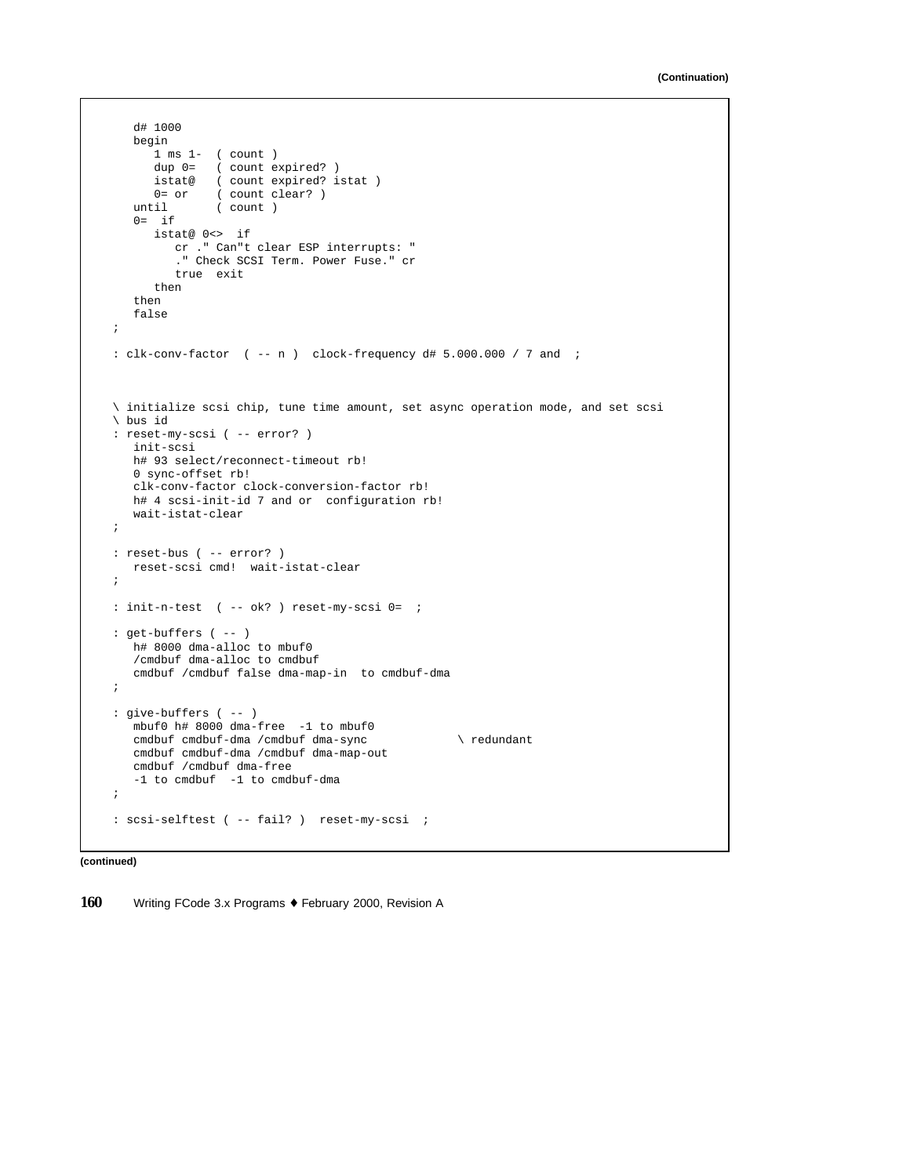```
d# 1000
  begin
     1 ms 1- ( count )
     dup 0= ( count expired? )
     istat@ ( count expired? istat )
      0= or ( count clear? )
   until ( count )
  0= ifistat@ 0<> if
         cr ." Can"t clear ESP interrupts: "
         ." Check SCSI Term. Power Fuse." cr
        true exit
     then
   then
   false
;
: clk-conv-factor ( -- n ) clock-frequency d# 5.000.000 / 7 and ;
\ initialize scsi chip, tune time amount, set async operation mode, and set scsi
\ bus id
: reset-my-scsi ( -- error? )
  init-scsi
  h# 93 select/reconnect-timeout rb!
  0 sync-offset rb!
  clk-conv-factor clock-conversion-factor rb!
  h# 4 scsi-init-id 7 and or configuration rb!
  wait-istat-clear
;
: reset-bus ( -- error? )
  reset-scsi cmd! wait-istat-clear
;
: init-n-test ( -- ok? ) reset-my-scsi 0= ;
: get-buffers ( -- )
  h# 8000 dma-alloc to mbuf0
  /cmdbuf dma-alloc to cmdbuf
  cmdbuf /cmdbuf false dma-map-in to cmdbuf-dma
;
: give-buffers ( -- )
  mbuf0 h# 8000 dma-free -1 to mbuf0
  cmdbuf cmdbuf-dma /cmdbuf dma-sync \ redundant
  cmdbuf cmdbuf-dma /cmdbuf dma-map-out
  cmdbuf /cmdbuf dma-free
   -1 to cmdbuf -1 to cmdbuf-dma
;
: scsi-selftest ( -- fail? ) reset-my-scsi ;
```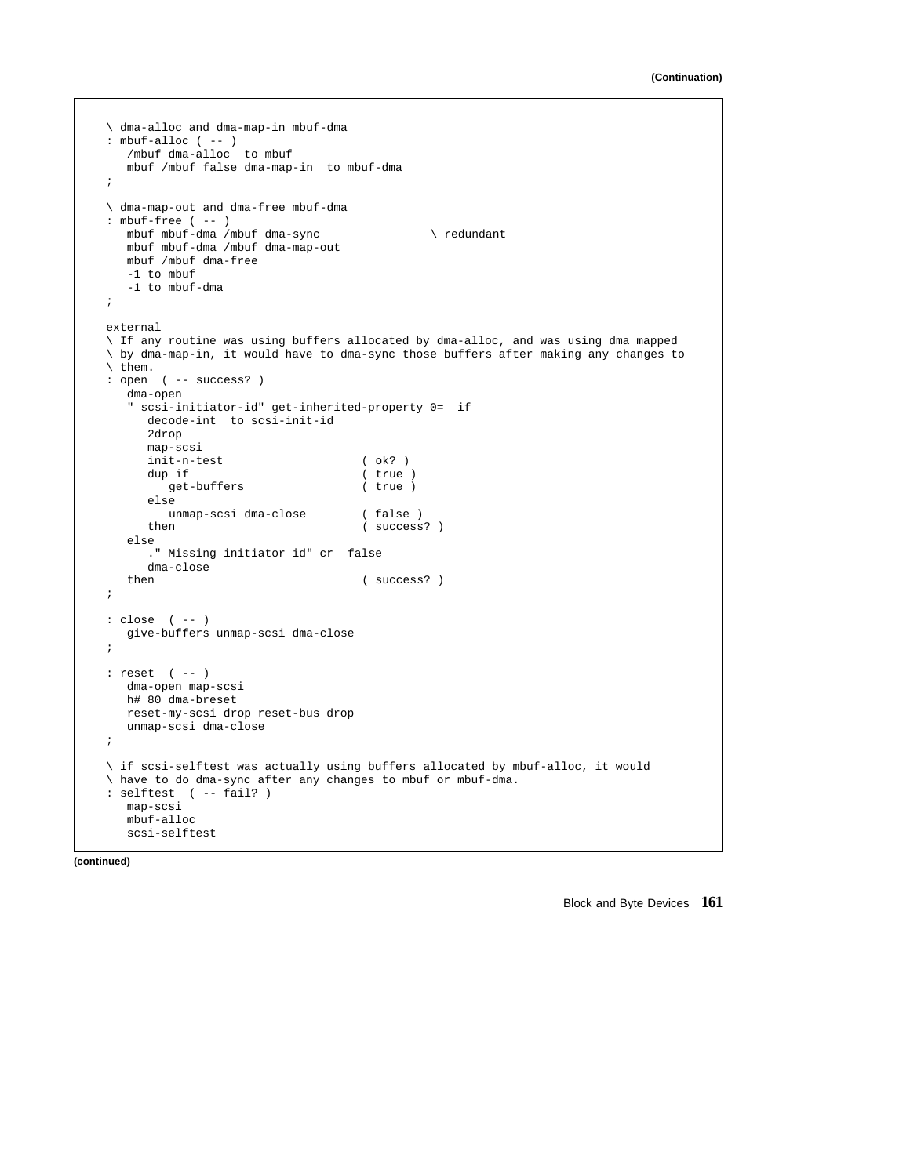```
\ dma-alloc and dma-map-in mbuf-dma
: mbuf-allloc ( -- )
  /mbuf dma-alloc to mbuf
  mbuf /mbuf false dma-map-in to mbuf-dma
;
\ dma-map-out and dma-free mbuf-dma
: mbuf-free ( -- )
  mbuf mbuf-dma /mbuf dma-sync \ redundant
  mbuf mbuf-dma /mbuf dma-map-out
  mbuf /mbuf dma-free
   -1 to mbuf
   -1 to mbuf-dma
;
external
\ If any routine was using buffers allocated by dma-alloc, and was using dma mapped
\ by dma-map-in, it would have to dma-sync those buffers after making any changes to
\ them.
: open ( -- success? )
  dma-open
   " scsi-initiator-id" get-inherited-property 0= if
     decode-int to scsi-init-id
     2drop
     map-scsi
     init-n-test ( ok? )<br>dup if ( true
                                     (\text{true})<br>(\text{true})get-buffers
     else
     unmap-scsi dma-close ( false )<br>then ( success
                                     ( success? )
  else
      ." Missing initiator id" cr false
  dma-close<br>then
                                     ( success? )
;
: close ( -- )
  give-buffers unmap-scsi dma-close
;
: reset ( -- )
  dma-open map-scsi
  h# 80 dma-breset
  reset-my-scsi drop reset-bus drop
  unmap-scsi dma-close
;
\ if scsi-selftest was actually using buffers allocated by mbuf-alloc, it would
\ have to do dma-sync after any changes to mbuf or mbuf-dma.
: selftest ( -- fail? )
  map-scsi
  mbuf-alloc
  scsi-selftest
```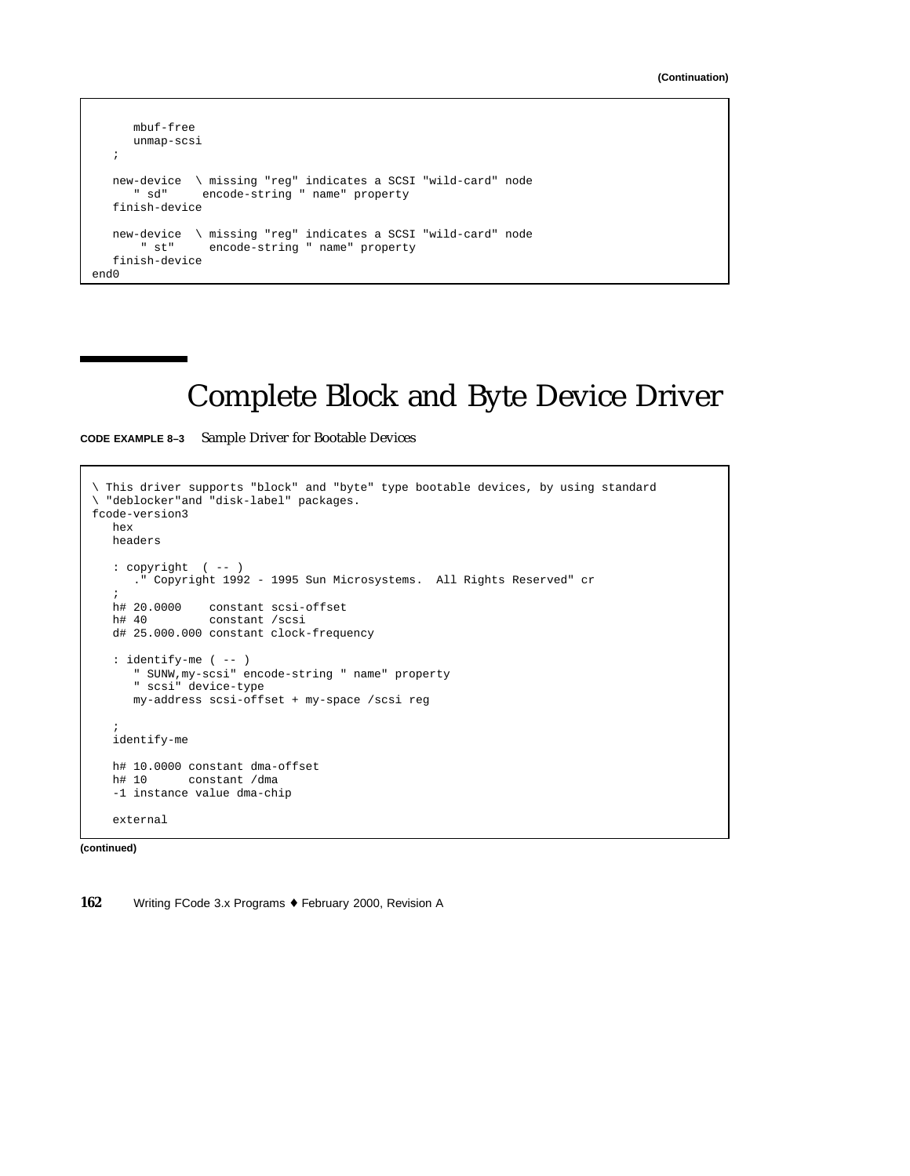```
mbuf-free
     unmap-scsi
   ;
   new-device \ missing "reg" indicates a SCSI "wild-card" node
      " sd" encode-string " name" property
   finish-device
  new-device \ missing "reg" indicates a SCSI "wild-card" node
               encode-string " name" property
   finish-device
end0
```
# Complete Block and Byte Device Driver

**CODE EXAMPLE 8–3** Sample Driver for Bootable Devices

```
\ This driver supports "block" and "byte" type bootable devices, by using standard
\ "deblocker"and "disk-label" packages.
fcode-version3
  hex
  headers
   : copyright ( -- )
    ." Copyright 1992 - 1995 Sun Microsystems. All Rights Reserved" cr
   ;
  h# 20.0000 constant scsi-offset<br>h# 40 constant /scsi
                constant /scsi
  d# 25.000.000 constant clock-frequency
  : identify-me ( -- )
      " SUNW,my-scsi" encode-string " name" property
      " scsi" device-type
     my-address scsi-offset + my-space /scsi reg
   ;
  identify-me
  h# 10.0000 constant dma-offset
  h# 10 constant /dma
   -1 instance value dma-chip
   external
```
**(continued)**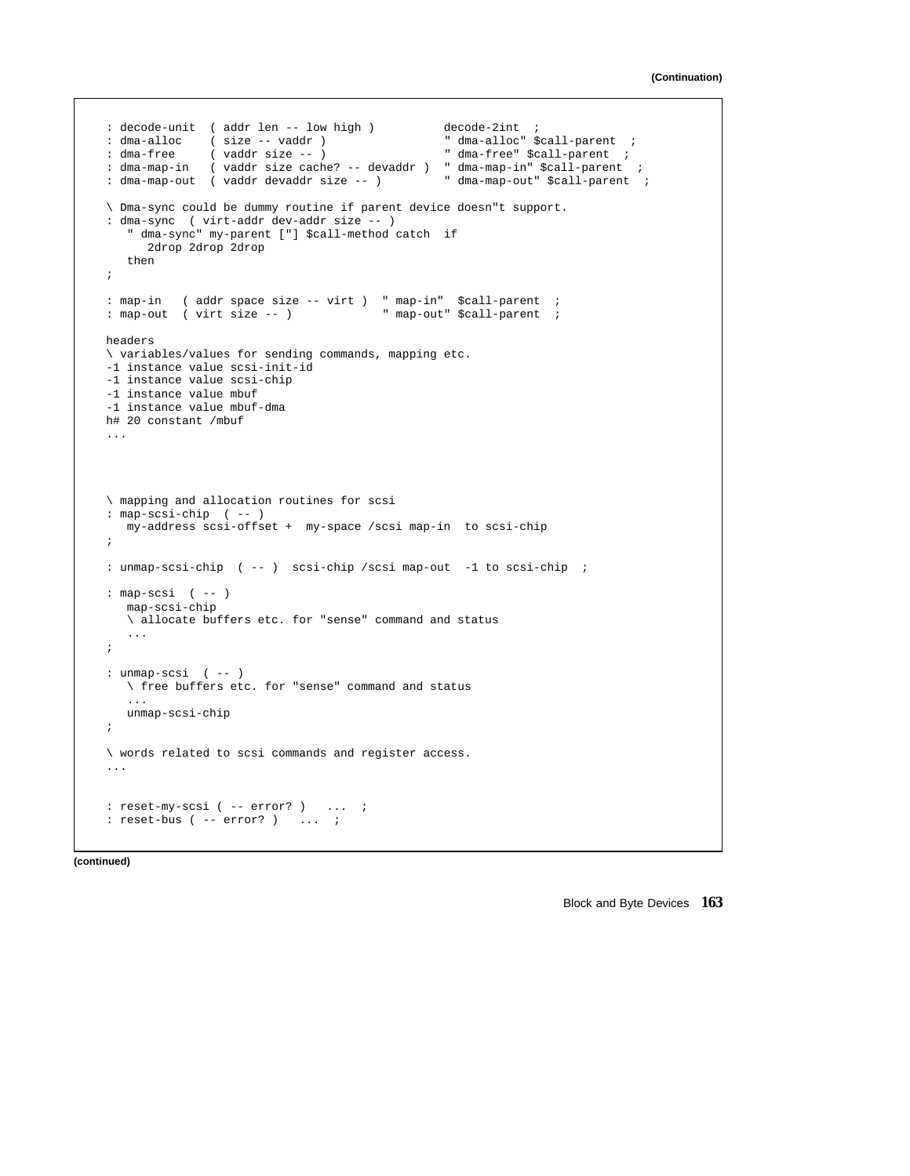```
: decode-unit ( addr len -- low high ) decode-2int ;
: dma-alloc     ( size -- vaddr )<br>: dma-free     ( vaddr size -- )
                                                      dma-alloc" $call-parent ;<br>" dma-free" $call-parent ;
: dma-map-in ( vaddr size cache? -- devaddr ) " dma-map-in" $call-parent ;<br>: dma-map-out ( vaddr devaddr size -- ) " dma-map-out" $call-parent ;
: dma-map-out ( vaddr devaddr size -- )
\ Dma-sync could be dummy routine if parent device doesn"t support.
: dma-sync ( virt-addr dev-addr size -- )
   " dma-sync" my-parent ["] $call-method catch if
      2drop 2drop 2drop
   then
;
: map-in ( addr space size -- virt ) " map-in" $call-parent ;<br>: map-out ( virt size -- ) " map-out" $call-parent ;
: map-out ( virt size - )
headers
\ variables/values for sending commands, mapping etc.
-1 instance value scsi-init-id
-1 instance value scsi-chip
-1 instance value mbuf
-1 instance value mbuf-dma
h# 20 constant /mbuf
...
\ mapping and allocation routines for scsi
: map-scsi-chip ( -- )
   my-address scsi-offset + my-space /scsi map-in to scsi-chip
;
: unmap-scsi-chip ( -- ) scsi-chip /scsi map-out -1 to scsi-chip ;
: map-scsi ( -- )
   map-scsi-chip
   \ allocate buffers etc. for "sense" command and status
   ...
;
: unmap-scsi ( -- )
   \ free buffers etc. for "sense" command and status
    ...
   unmap-scsi-chip
;
\ words related to scsi commands and register access.
...
: reset-my-scsi ( -- error? ) ... ;
: reset-bus ( -- error? ) ... ;
```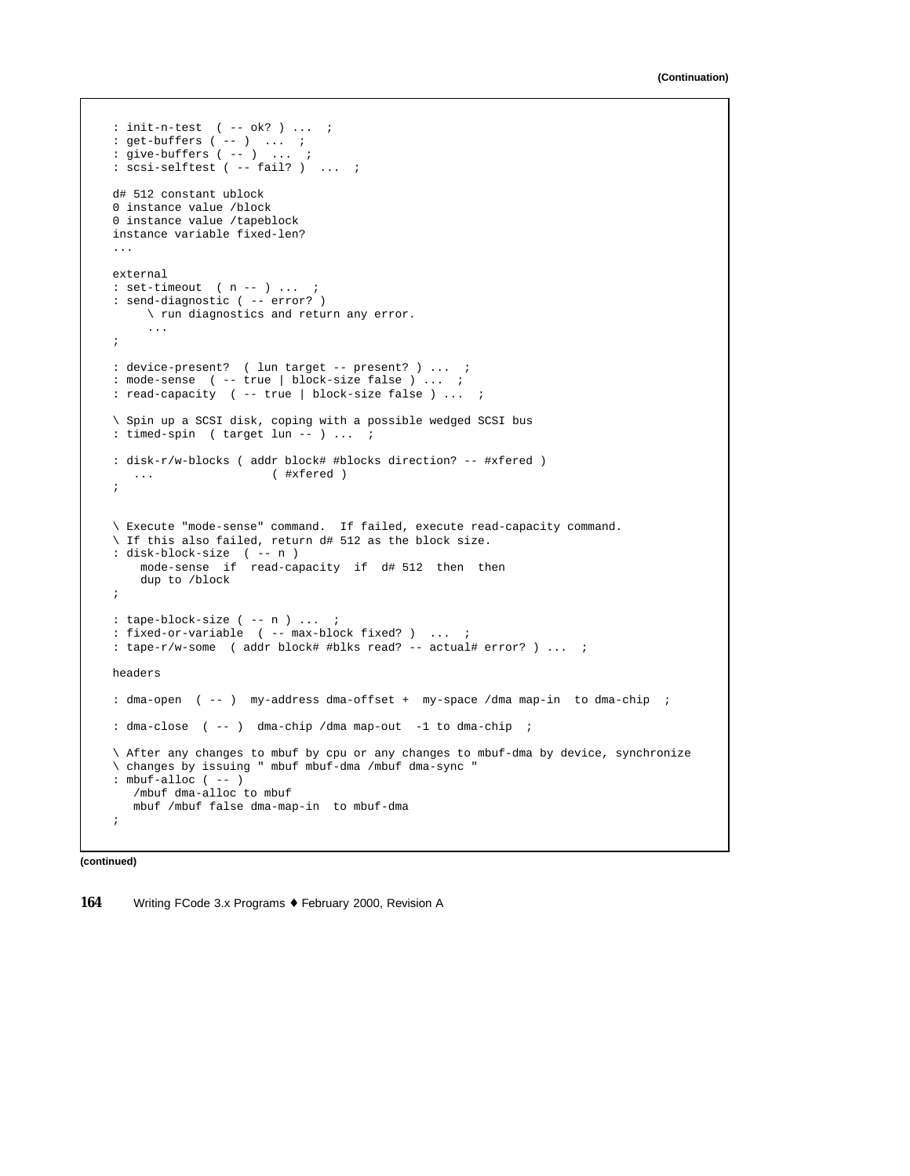```
: init-n-test ( -- ok? ) ... ;
: get-buffers ( -- ) ... ;
: give-buffers ( -- ) ... ;
: scsi-selftest ( -- fail? ) ... ;
d# 512 constant ublock
0 instance value /block
0 instance value /tapeblock
instance variable fixed-len?
...
external
: set-timeout ( n - - ) ... ;
: send-diagnostic ( -- error? )
    \ run diagnostics and return any error.
     ...
;
: device-present? ( lun target -- present? ) ... ;
: mode-sense ( -- true | block-size false ) ... ;
: read-capacity ( -- true | block-size false ) ... ;
\ Spin up a SCSI disk, coping with a possible wedged SCSI bus
: timed-spin ( target lun -- ) ... ;
: disk-r/w-blocks ( addr block# #blocks direction? -- #xfered )
  ... ( #xfered )
;
\ Execute "mode-sense" command. If failed, execute read-capacity command.
\ If this also failed, return d# 512 as the block size.
: disk-block-size ( -- n )
    mode-sense if read-capacity if d# 512 then then
    dup to /block
;
: tape-block-size ( -- n ) ... ;
: fixed-or-variable ( -- max-block fixed? ) ... ;
: tape-r/w-some ( addr block# #blks read? -- actual# error? ) ... ;
headers
: dma-open ( -- ) my-address dma-offset + my-space /dma map-in to dma-chip ;
: dma-close ( -- ) dma-chip /dma map-out -1 to dma-chip ;
\ After any changes to mbuf by cpu or any changes to mbuf-dma by device, synchronize
\ changes by issuing " mbuf mbuf-dma /mbuf dma-sync "
: mbuf-alloc ( -- )
   /mbuf dma-alloc to mbuf
   mbuf /mbuf false dma-map-in to mbuf-dma
;
```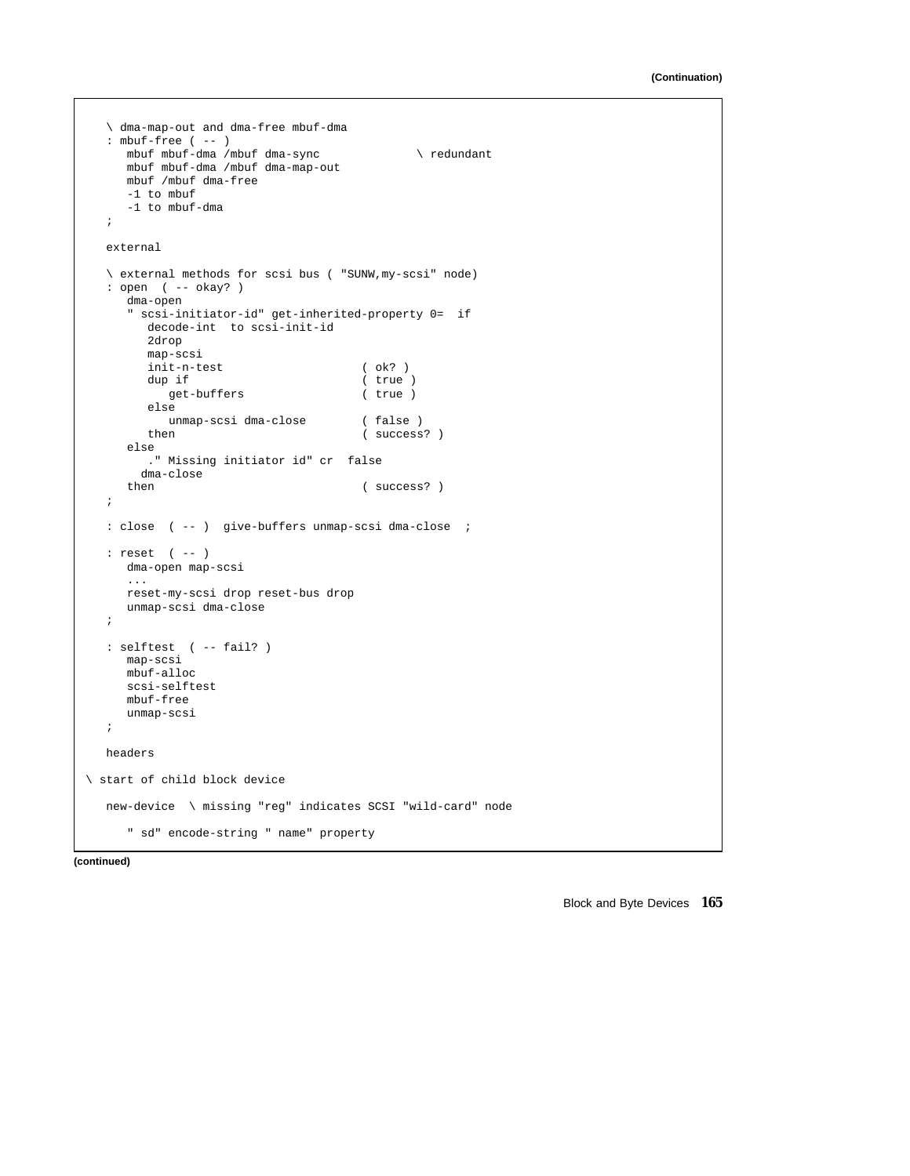```
\ dma-map-out and dma-free mbuf-dma
  : mbuf-free ( -- )
    mbuf mbuf-dma /mbuf dma-sync \ redundant
     mbuf mbuf-dma /mbuf dma-map-out
     mbuf /mbuf dma-free
     -1 to mbuf
     -1 to mbuf-dma
  ;
  external
   \ external methods for scsi bus ( "SUNW,my-scsi" node)
   : open ( -- okay? )
     dma-open
     " scsi-initiator-id" get-inherited-property 0= if
       decode-int to scsi-init-id
        2drop
        map-scsi
        init-n-test ( ok? )<br>dup if ( true
                                    ( true )
           get-buffers ( true )
        else
          unmap-scsi dma-close (false)
        then ( success? )
     else
        ." Missing initiator id" cr false
     dma-close<br>then
                                     ( success? )
  ;
  : close ( -- ) give-buffers unmap-scsi dma-close ;
  : reset ( -- )
    dma-open map-scsi
     ...
     reset-my-scsi drop reset-bus drop
     unmap-scsi dma-close
  ;
  : selftest ( -- fail? )
    map-scsi
     mbuf-alloc
    scsi-selftest
     mbuf-free
     unmap-scsi
  ;
  headers
\ start of child block device
  new-device \ missing "reg" indicates SCSI "wild-card" node
     " sd" encode-string " name" property
```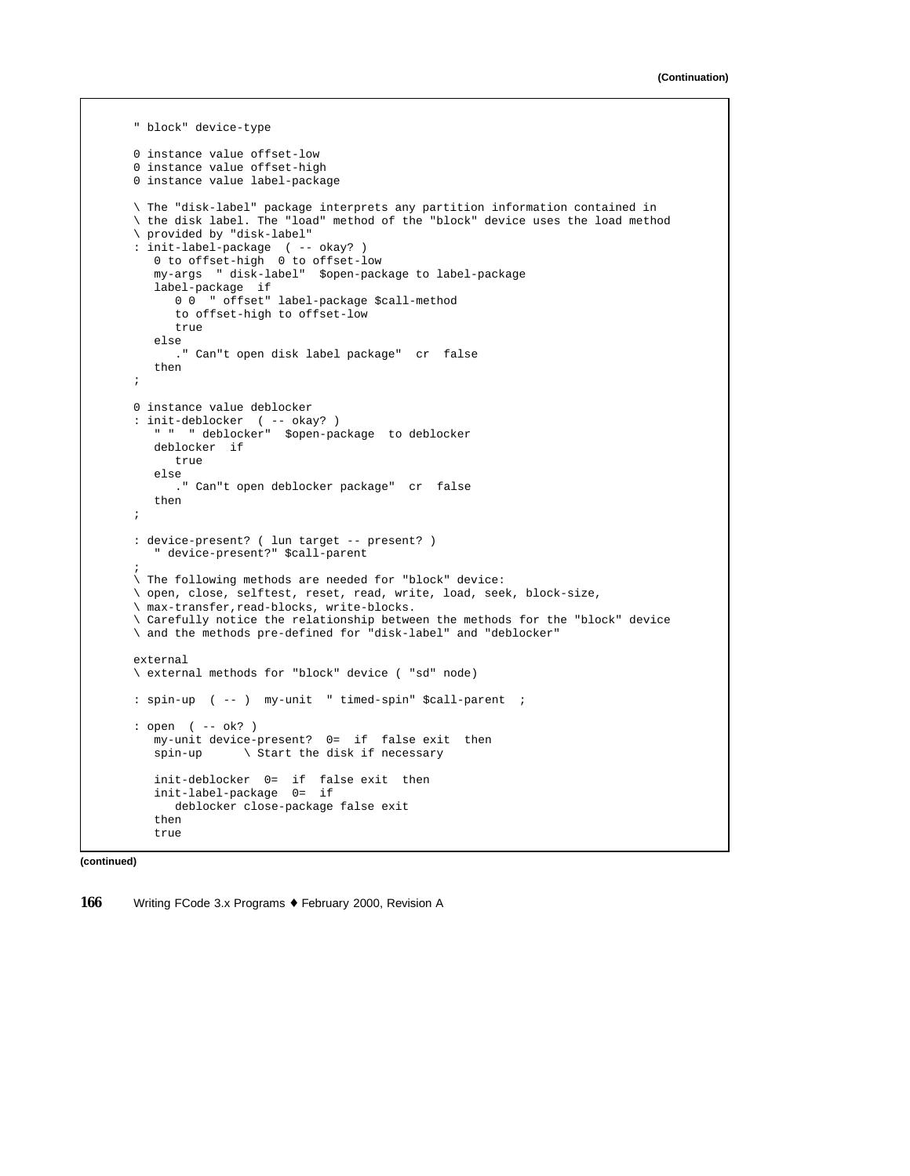```
" block" device-type
0 instance value offset-low
0 instance value offset-high
0 instance value label-package
\ The "disk-label" package interprets any partition information contained in
\ the disk label. The "load" method of the "block" device uses the load method
\ provided by "disk-label"
: init-label-package ( -- okay? )
   0 to offset-high 0 to offset-low
   my-args " disk-label" $open-package to label-package
   label-package if
     0 0 " offset" label-package $call-method
      to offset-high to offset-low
     true
   else
      ." Can"t open disk label package" cr false
   then
;
0 instance value deblocker
: init-deblocker ( -- okay? )
   " " " deblocker" $open-package to deblocker
  deblocker if
     true
   else
     ." Can"t open deblocker package" cr false
   then
;
: device-present? ( lun target -- present? )
    " device-present?" $call-parent
;
\ The following methods are needed for "block" device:
\ open, close, selftest, reset, read, write, load, seek, block-size,
\ max-transfer,read-blocks, write-blocks.
\ Carefully notice the relationship between the methods for the "block" device
\ and the methods pre-defined for "disk-label" and "deblocker"
external
\ external methods for "block" device ( "sd" node)
: spin-up ( -- ) my-unit " timed-spin" $call-parent ;
: open ( -- ok? )
  my-unit device-present? 0= if false exit then
   spin-up \ Start the disk if necessary
   init-deblocker 0= if false exit then
   init-label-package 0= if
      deblocker close-package false exit
   then
   true
```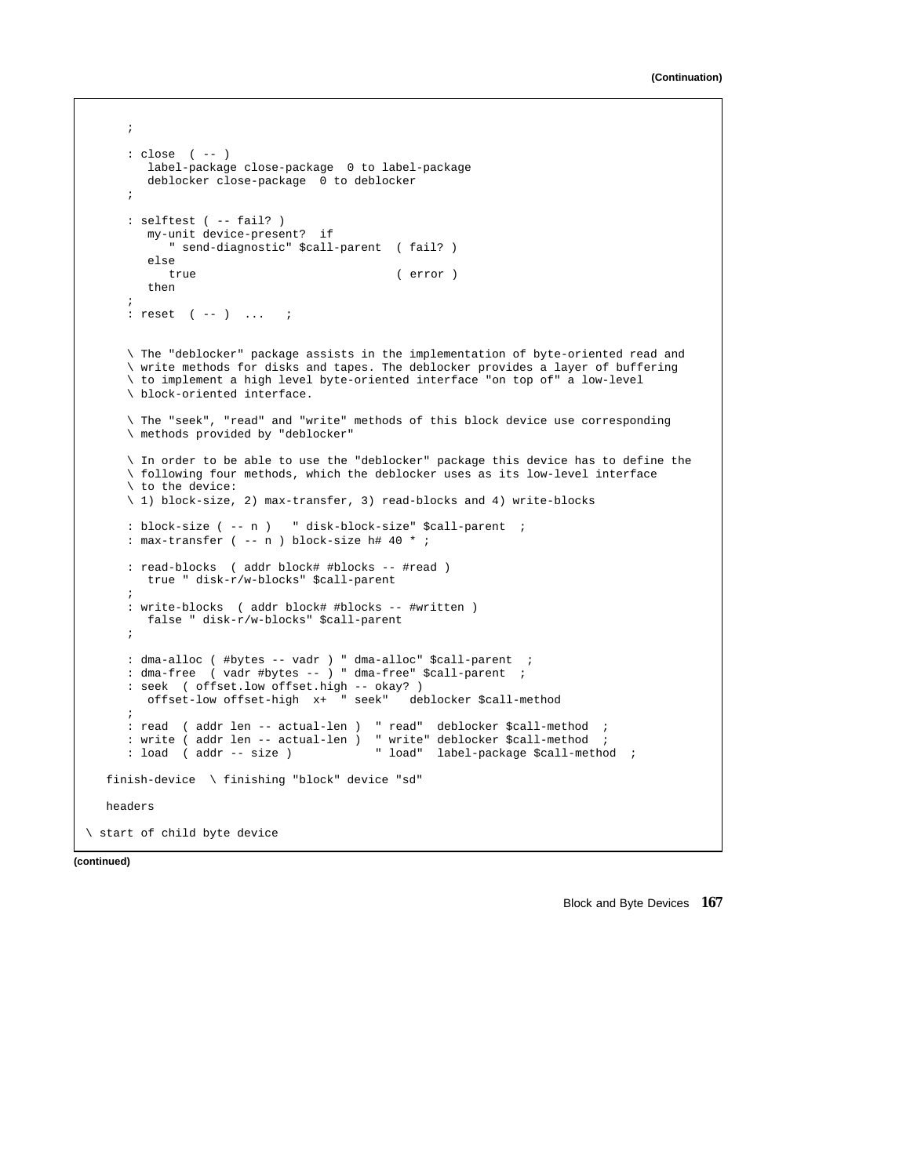```
;
      : close ( -- )
        label-package close-package 0 to label-package
        deblocker close-package 0 to deblocker
      ;
      : selftest ( -- fail? )
        my-unit device-present? if
            " send-diagnostic" $call-parent ( fail? )
         else
            true ( error )
        then
      ;
      : reset ( -- ) ... ;
      \ The "deblocker" package assists in the implementation of byte-oriented read and
      \ write methods for disks and tapes. The deblocker provides a layer of buffering
      \ to implement a high level byte-oriented interface "on top of" a low-level
     \ block-oriented interface.
      \ The "seek", "read" and "write" methods of this block device use corresponding
      \ methods provided by "deblocker"
      \ In order to be able to use the "deblocker" package this device has to define the
      \ following four methods, which the deblocker uses as its low-level interface
      \ to the device:
      \ 1) block-size, 2) max-transfer, 3) read-blocks and 4) write-blocks
      : block-size ( -- n ) " disk-block-size" $call-parent ;
      : max-transfer ( -- n ) block-size h# 40 * ;
      : read-blocks ( addr block# #blocks -- #read )
        true " disk-r/w-blocks" $call-parent
      ;
      : write-blocks ( addr block# #blocks -- #written )
        false " disk-r/w-blocks" $call-parent
      ;
     : dma-alloc ( #bytes -- vadr ) " dma-alloc" $call-parent ;
      : dma-free ( vadr #bytes -- ) " dma-free" $call-parent ;
     : seek ( offset.low offset.high -- okay? )<br>offset-low offset-high x+ " seek" deblocker $call-method
        offset-low offset-high x+ " seek"
      ;
      : read ( addr len -- actual-len ) " read" deblocker $call-method ;
      : write ( addr len -- actual-len ) " write" deblocker $call-method ;<br>: load ( addr -- size ) " load" label-package $call-metho
                                          " load" label-package $call-method ;
  finish-device \ finishing "block" device "sd"
  headers
\ start of child byte device
```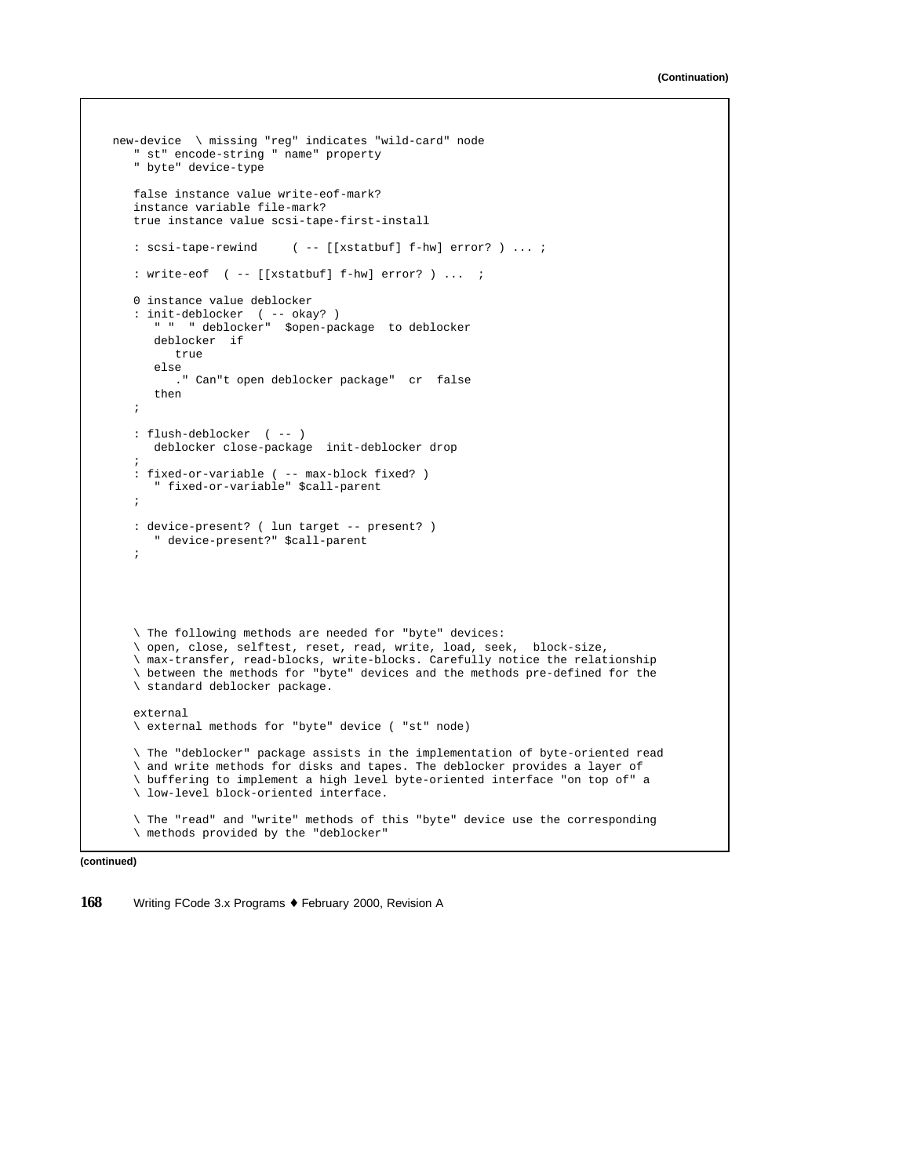```
new-device \ missing "reg" indicates "wild-card" node
   " st" encode-string " name" property
  " byte" device-type
  false instance value write-eof-mark?
  instance variable file-mark?
  true instance value scsi-tape-first-install
   : scsi-tape-rewind ( -- [[xstatbuf] f-hw] error? ) ... ;
   : write-eof ( -- [[xstatbuf] f-hw] error? ) ... ;
  0 instance value deblocker
   : init-deblocker ( -- okay? )
      " " " deblocker" $open-package to deblocker
     deblocker if
        true
     else
       ." Can"t open deblocker package" cr false
     then
   ;
   : flush-deblocker ( -- )
     deblocker close-package init-deblocker drop
   ;
   : fixed-or-variable ( -- max-block fixed? )
      " fixed-or-variable" $call-parent
   ;
   : device-present? ( lun target -- present? )
      " device-present?" $call-parent
   ;
   \ The following methods are needed for "byte" devices:
   \ open, close, selftest, reset, read, write, load, seek, block-size,
   \ max-transfer, read-blocks, write-blocks. Carefully notice the relationship
   \ between the methods for "byte" devices and the methods pre-defined for the
   \ standard deblocker package.
   external
   \ external methods for "byte" device ( "st" node)
   \ The "deblocker" package assists in the implementation of byte-oriented read
   \ and write methods for disks and tapes. The deblocker provides a layer of
   \ buffering to implement a high level byte-oriented interface "on top of" a
   \ low-level block-oriented interface.
   \ The "read" and "write" methods of this "byte" device use the corresponding
   \ methods provided by the "deblocker"
```

```
(continued)
```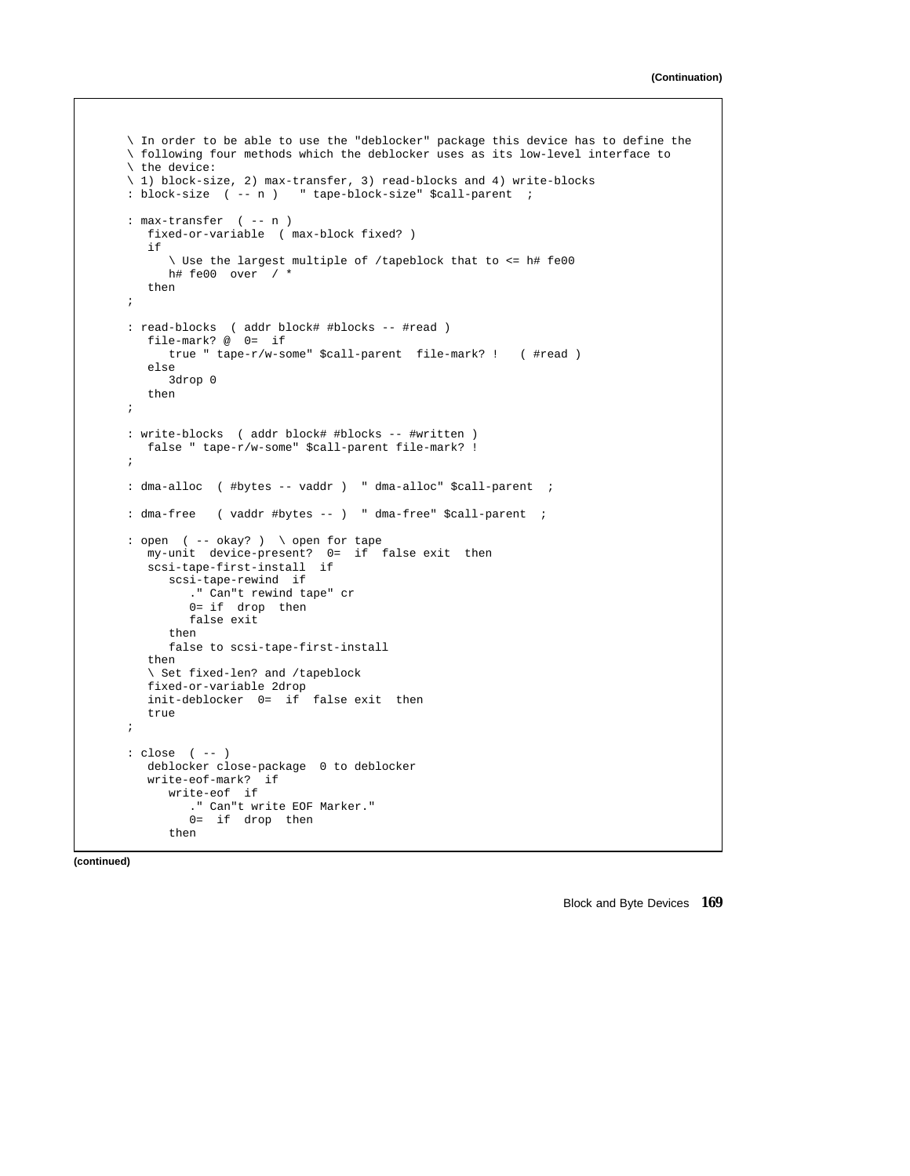```
\ In order to be able to use the "deblocker" package this device has to define the
\ following four methods which the deblocker uses as its low-level interface to
\ the device:
\ 1) block-size, 2) max-transfer, 3) read-blocks and 4) write-blocks
: block-size ( -- n ) " tape-block-size" $call-parent ;
: max-transfer ( -- n )
  fixed-or-variable ( max-block fixed? )
  if
      \ Use the largest multiple of /tapeblock that to <= h# fe00
     h# fe00 over / *
  then
;
: read-blocks ( addr block# #blocks -- #read )
  file-mark? @ 0= if
     true " tape-r/w-some" $call-parent file-mark? ! ( #read )
  else
    3drop 0
  then
;
: write-blocks ( addr block# #blocks -- #written )
  false " tape-r/w-some" $call-parent file-mark? !
;
: dma-alloc ( #bytes -- vaddr ) " dma-alloc" $call-parent ;
: dma-free ( vaddr #bytes -- ) " dma-free" $call-parent ;
: open ( -- okay? ) \ open for tape
  my-unit device-present? 0= if false exit then
  scsi-tape-first-install if
     scsi-tape-rewind if
        ." Can"t rewind tape" cr
        0= if drop then
        false exit
     then
     false to scsi-tape-first-install
  then
   \ Set fixed-len? and /tapeblock
  fixed-or-variable 2drop
  init-deblocker 0= if false exit then
  true
;
: close ( -- )
  deblocker close-package 0 to deblocker
  write-eof-mark? if
     write-eof if
        ." Can"t write EOF Marker."
        0= if drop then
     then
```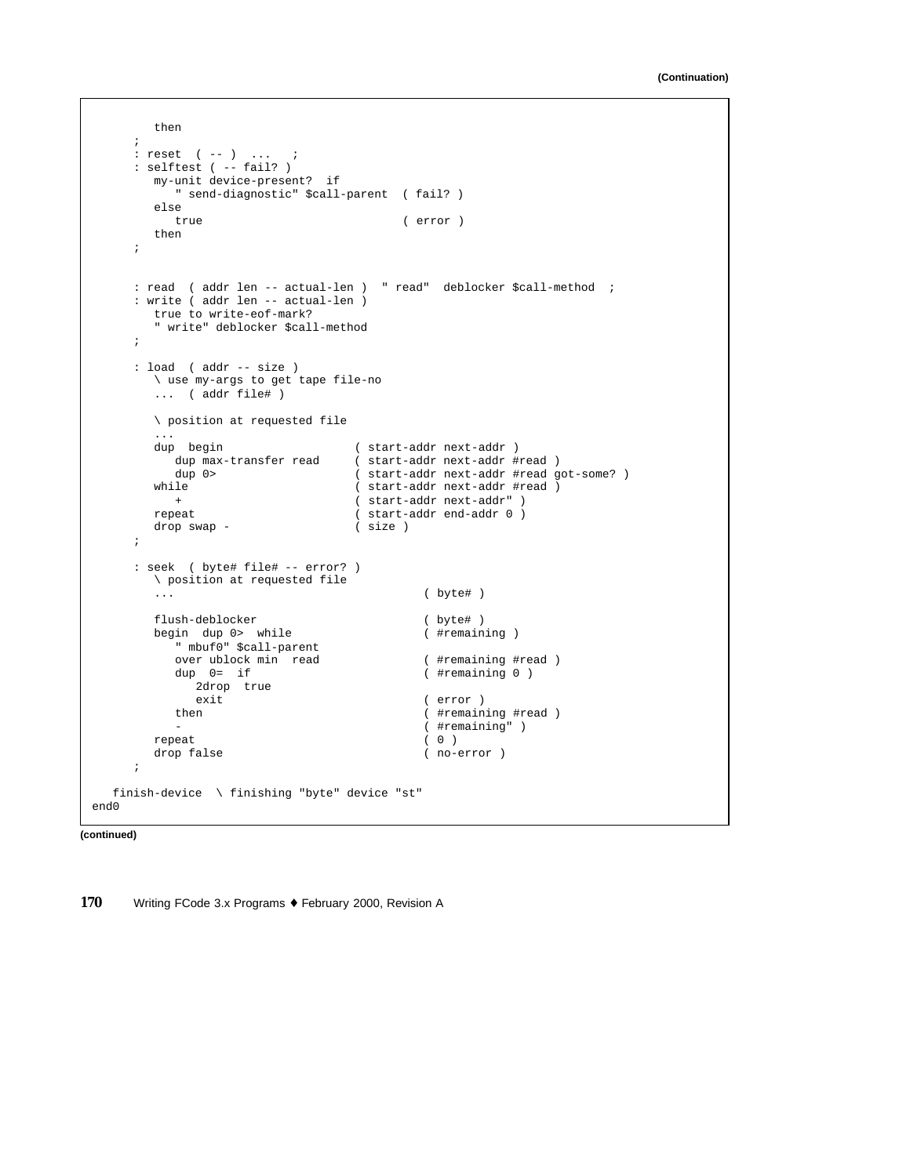```
then
     ;
     : reset ( -- ) ... ;
     : selftest ( -- fail? )
       my-unit device-present? if
           " send-diagnostic" $call-parent ( fail? )
        else
           true ( error )
        then
      ;
     : read ( addr len -- actual-len ) " read" deblocker $call-method ;
      : write ( addr len -- actual-len )
        true to write-eof-mark?
         " write" deblocker $call-method
      ;
      : load ( addr -- size )
        \ use my-args to get tape file-no
        ... ( addr file# )
        \ position at requested file
        ...<br>dup begin
                                    ( start-addr next-addr )
           dup max-transfer read ( start-addr next-addr #read )<br>dup 0> ( start-addr next-addr #read g
        dup 0> ( start-addr next-addr #read got-some? )<br>
while ( start-addr next-addr #read )
                                    ( start-addr next-addr #read )
        + ( start-addr next-addr " )<br>repeat ( start-addr end-addr 0 )
                                    (x \text{ start-addr end-addr 0})<br>(x \text{ size } 0)drop swap -
      ;
      : seek ( byte# file# -- error? )
        \ position at requested file
         ... ( byte# )
        flush-deblocker ( byte# )
        begin dup 0> while (#remaining )
           " mbuf0" $call-parent
           over ublock min read ( #remaining #read )
           dup 0= if ( #remaining 0 )
              2drop true
           exit (error )<br>then (#remain
                                               ( #remaining #read )
                                               - ( #remaining" )
        \begin{array}{ccc}\n \text{repeat} & & (0 ) \\
 \text{drop false} & & (0 )\n \end{array}( no-error )
      ;
   finish-device \ finishing "byte" device "st"
end0
```

```
(continued)
```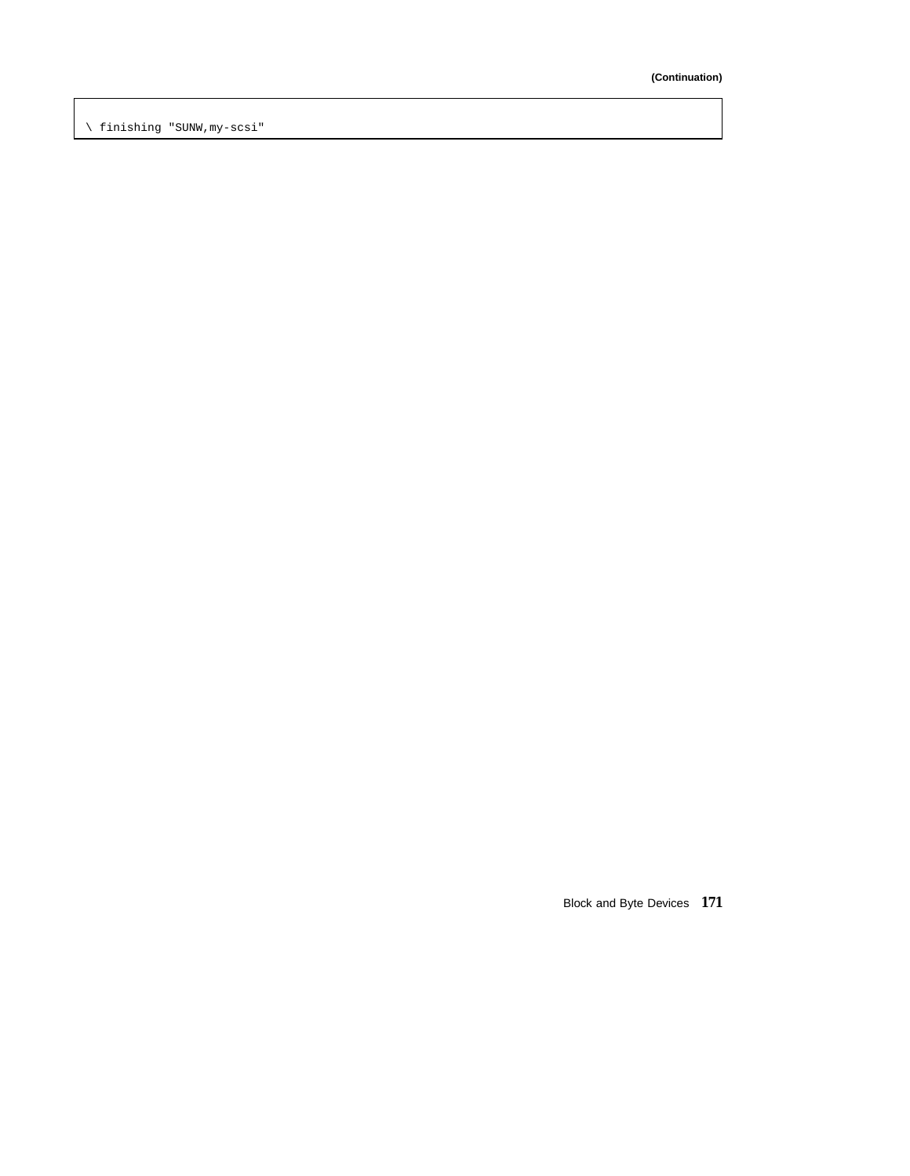\ finishing "SUNW,my-scsi"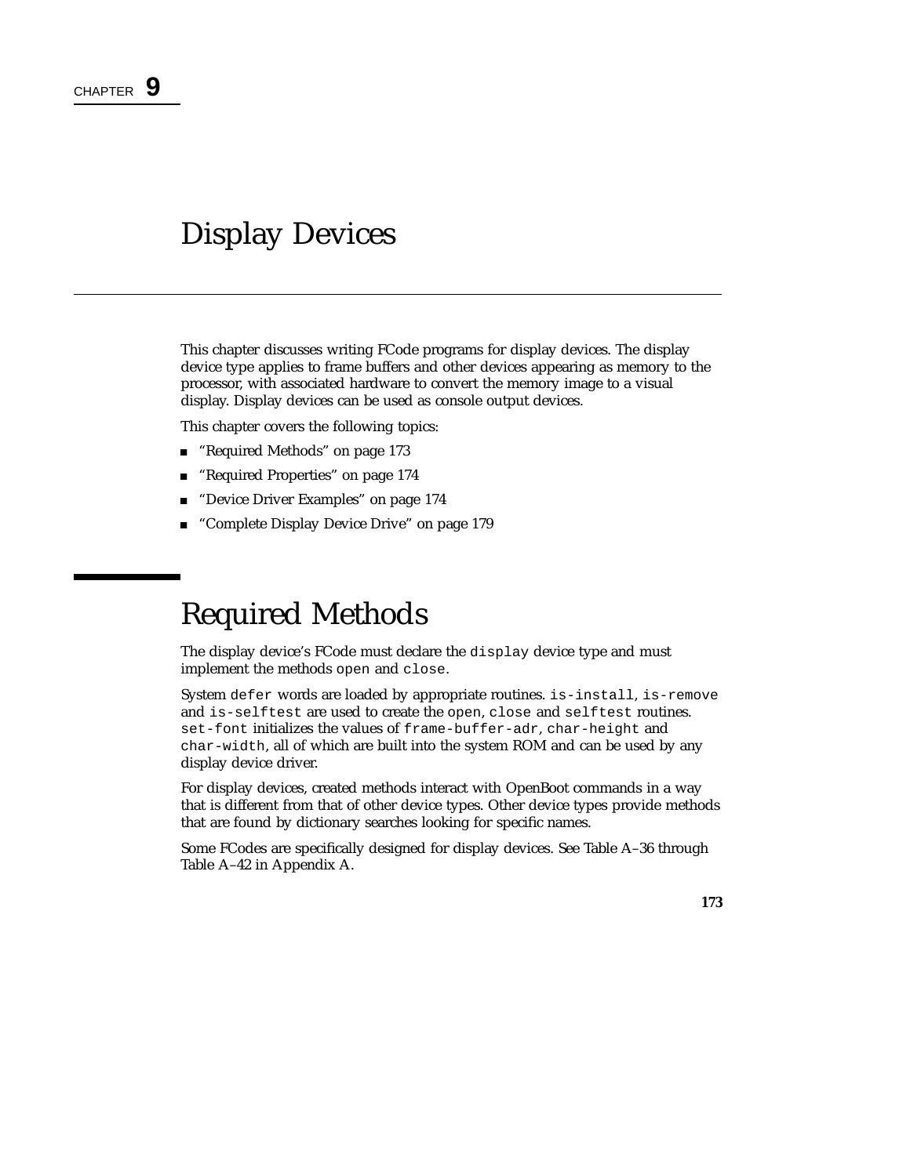# Display Devices

This chapter discusses writing FCode programs for display devices. The display device type applies to frame buffers and other devices appearing as memory to the processor, with associated hardware to convert the memory image to a visual display. Display devices can be used as console output devices.

This chapter covers the following topics:

- "Required Methods" on page 173
- "Required Properties" on page 174
- "Device Driver Examples" on page 174
- "Complete Display Device Drive" on page 179

# Required Methods

The display device's FCode must declare the display device type and must implement the methods open and close.

System defer words are loaded by appropriate routines. is-install, is-remove and is-selftest are used to create the open, close and selftest routines. set-font initializes the values of frame-buffer-adr, char-height and char-width, all of which are built into the system ROM and can be used by any display device driver.

For display devices, created methods interact with OpenBoot commands in a way that is different from that of other device types. Other device types provide methods that are found by dictionary searches looking for specific names.

Some FCodes are specifically designed for display devices. See Table A–36 through Table A–42 in Appendix A.

**173**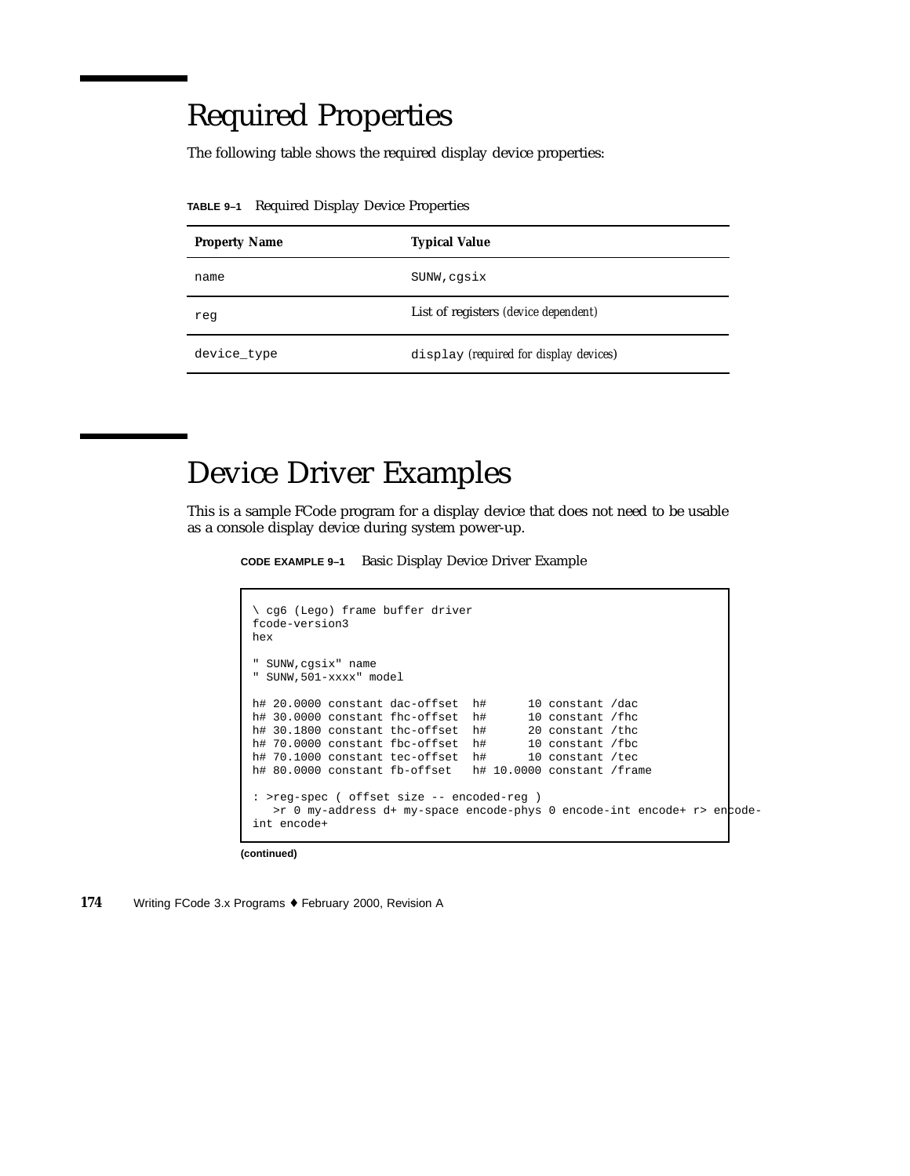# Required Properties

The following table shows the required display device properties:

**TABLE 9–1** Required Display Device Properties

| <b>Property Name</b> | <b>Typical Value</b>                        |
|----------------------|---------------------------------------------|
| name                 | SUNW, cqsix                                 |
| reg                  | List of registers <i>(device dependent)</i> |
| device type          | display (required for display devices)      |

# Device Driver Examples

This is a sample FCode program for a display device that does not need to be usable as a console display device during system power-up.

**CODE EXAMPLE 9–1** Basic Display Device Driver Example

```
\ cg6 (Lego) frame buffer driver
fcode-version3
hex
" SUNW,cgsix" name
" SUNW,501-xxxx" model
h# 20.0000 constant dac-offset h# 10 constant /dac h# 30.0000 constant fhc-offset h# 10 constant /fhc
h# 30.0000 constant fhc-offset h#
h# 30.1800 constant thc-offset h# 20 constant /thc
h# 70.0000 constant fbc-offset h# 10 constant /fbc
h# 70.1000 constant tec-offset h# 10 constant /tec
h# 80.0000 constant fb-offset h# 10.0000 constant /frame
: >reg-spec ( offset size -- encoded-reg )
   >r 0 my-address d+ my-space encode-phys 0 encode-int encode+ r> enpode-
int encode+
```
**(continued)**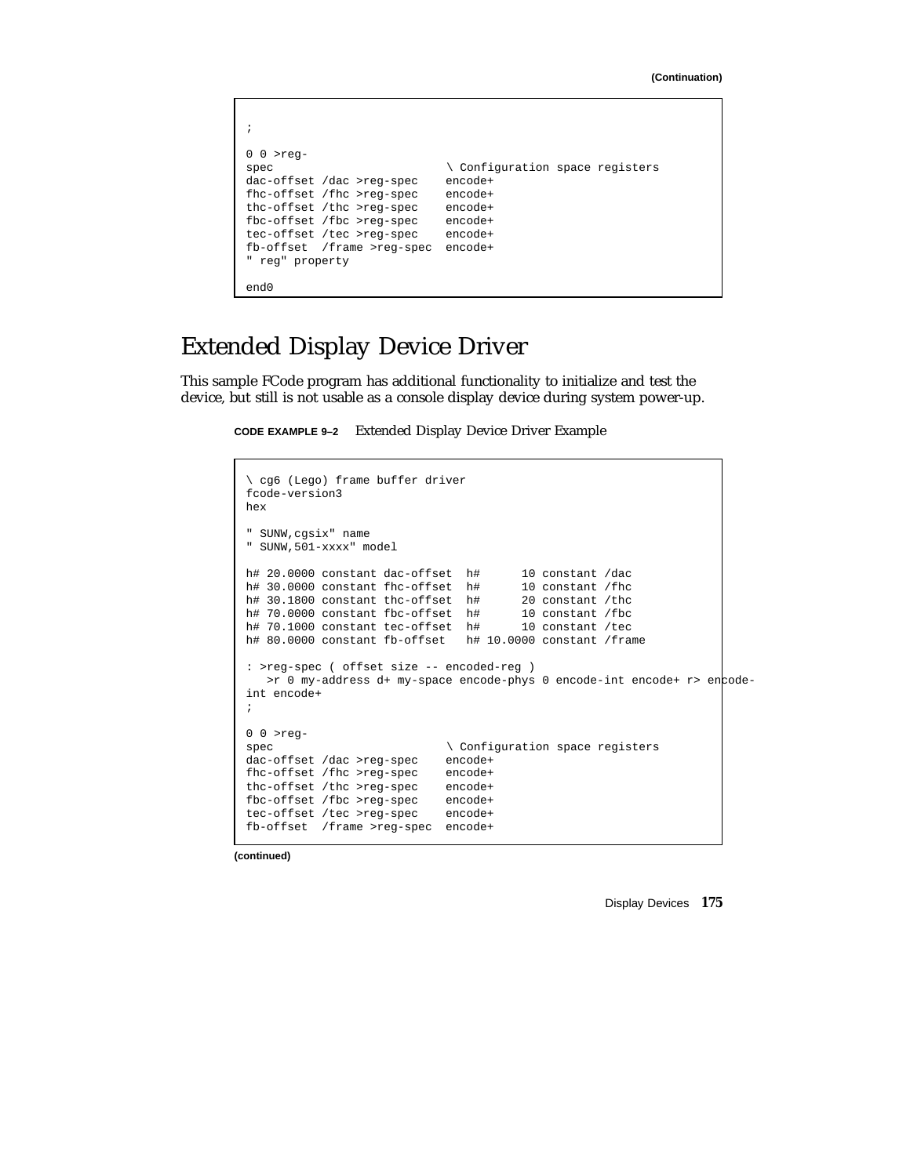| $0 0$ >req-<br>spec<br>dac-offset /dac >req-spec<br>fhc-offset /fhc >reg-spec<br>thc-offset /thc >req-spec<br>fbc-offset /fbc >req-spec<br>tec-offset /tec >req-spec<br>fb-offset /frame >req-spec<br>" req" property | \ Configuration space registers<br>encode+<br>encode+<br>encode+<br>encode+<br>encode+<br>encode+ |
|-----------------------------------------------------------------------------------------------------------------------------------------------------------------------------------------------------------------------|---------------------------------------------------------------------------------------------------|
| end0                                                                                                                                                                                                                  |                                                                                                   |

## Extended Display Device Driver

This sample FCode program has additional functionality to initialize and test the device, but still is not usable as a console display device during system power-up.

**CODE EXAMPLE 9–2** Extended Display Device Driver Example

```
\ cg6 (Lego) frame buffer driver
fcode-version3
hex
  SUNW, cgsix" name
" SUNW,501-xxxx" model
h# 20.0000 constant dac-offset h# 10 constant /dac
h# 30.0000 constant fhc-offset h# 10 constant /fhc
h# 30.1800 constant thc-offset h# 20 constant /thc
h# 70.0000 constant fbc-offset h# 10 constant /fbc<br>h# 70.1000 constant tec-offset h# 10 constant /tec
h# 70.1000 constant tec-offset h#
h# 80.0000 constant fb-offset h# 10.0000 constant /frame
: >reg-spec ( offset size -- encoded-reg )
   >r 0 my-address d+ my-space encode-phys 0 encode-int encode+ r> encode-
int encode+
;
0 0 >reg-
spec \setminus Configuration space registers<br>dac-offset /dac >reg-spec encode+
dac-offset /dac >reg-spec
fhc-offset /fhc >reg-spec encode+
thc-offset /thc >reg-spec encode+<br>fbc-offset /fbc >reg-spec encode+
fbc-offset /fbc >reg-spec
tec-offset /tec >reg-spec encode+
fb-offset /frame >reg-spec encode+
```
**(continued)**

Display Devices **175**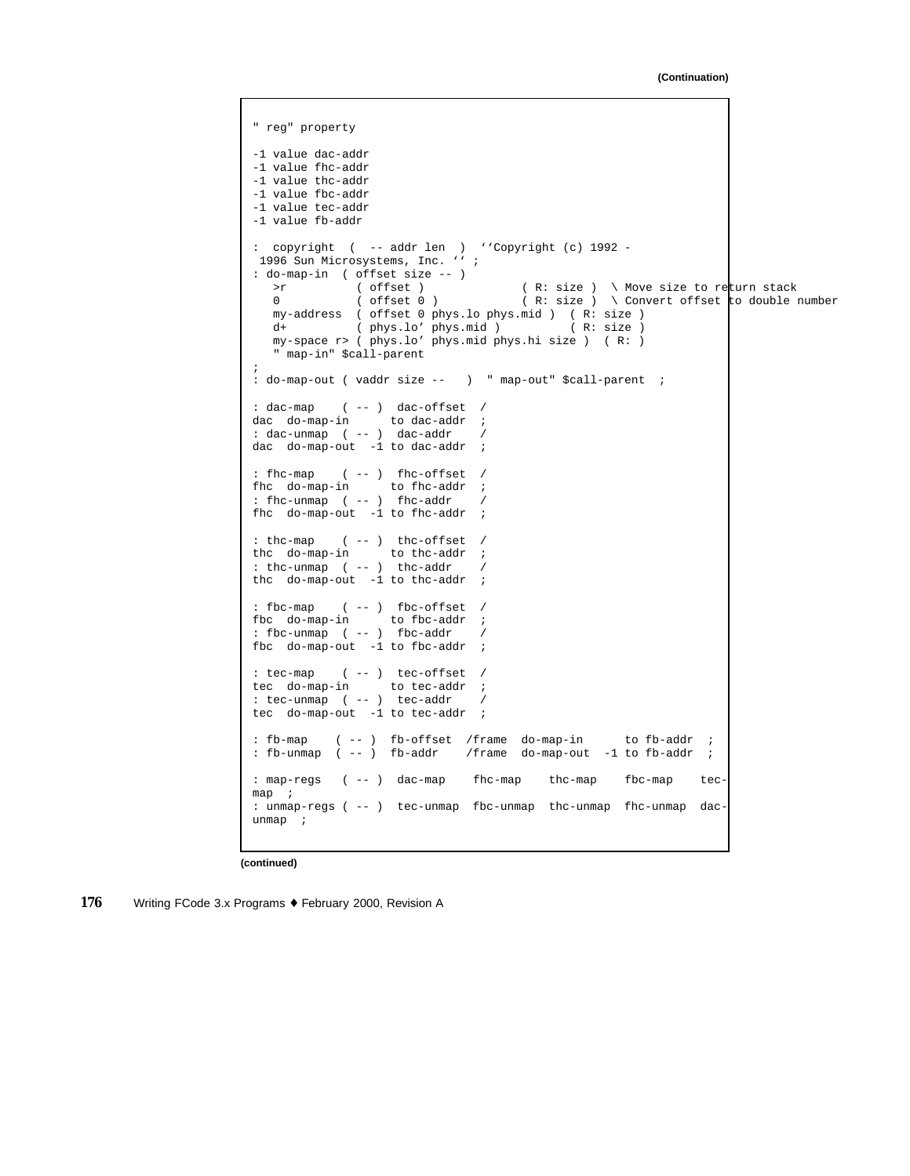```
" reg" property
-1 value dac-addr
-1 value fhc-addr
-1 value thc-addr
-1 value fbc-addr
-1 value tec-addr
-1 value fb-addr
: copyright ( -- addr len ) ''Copyright (c) 1992 -
 1996 Sun Microsystems, Inc. '' ;
: do-map-in ( offset size -- )<br>>r ( offset )
  >r ( offset ) ( R: size ) \ Move size to return stack
  0 ( offset 0 ) ( R: size ) \ Convert offset to double number
  my-address ( offset 0 phys.lo phys.mid ) ( R: size )
  d+ (phys.lo' phys.mid ) (R: size )
  my-space r> ( phys.lo' phys.mid phys.hi size ) ( R: )
   " map-in" $call-parent
;
: do-map-out ( vaddr size -- ) " map-out" $call-parent ;
: dac-map ( -- ) dac-offset /
dac do-map-in to dac-addr ;
: dac-unmap ( -- ) dac-addr /<br>dac do-map-out -1 to dac-addr ;
dac do-map-out -1 to dac-addr
: fhc-map ( -- ) fhc-offset /
fhc do-map-in to fhc-addr ;
: fhc-unmap ( -- ) fhc-addr /
fhc do-map-out -1 to the-addr;
: thc-map ( -- ) thc-offset /
thc do-map-in to thc-addr ;
: thc-unmap ( -- ) thc-addr /
thc do-map-out -1 to thc-addr ;
: fbc-map ( -- ) fbc-offset /
fbc do-map-in to fbc-addr ;
: fbc-unmap ( -- ) fbc-addr /
fbc do-map-out -1 to fbc-addr ;
: tec-map ( -- ) tec-offset /
tec do-map-in to tec-addr ;
: tec-unmap ( -- ) tec-addr /
tec do-map-out -1 to tec-addr ;
: fb-map ( -- ) fb-offset /frame do-map-in to fb-addr ;
: fb-unmap ( -- ) fb-addr /frame do-map-out -1 to fb-addr ;
: map-regs ( -- ) dac-map fhc-map thc-map fbc-map tec-
map ;
: unmap-regs ( -- ) tec-unmap fbc-unmap thc-unmap fhc-unmap dac-
unmap ;
```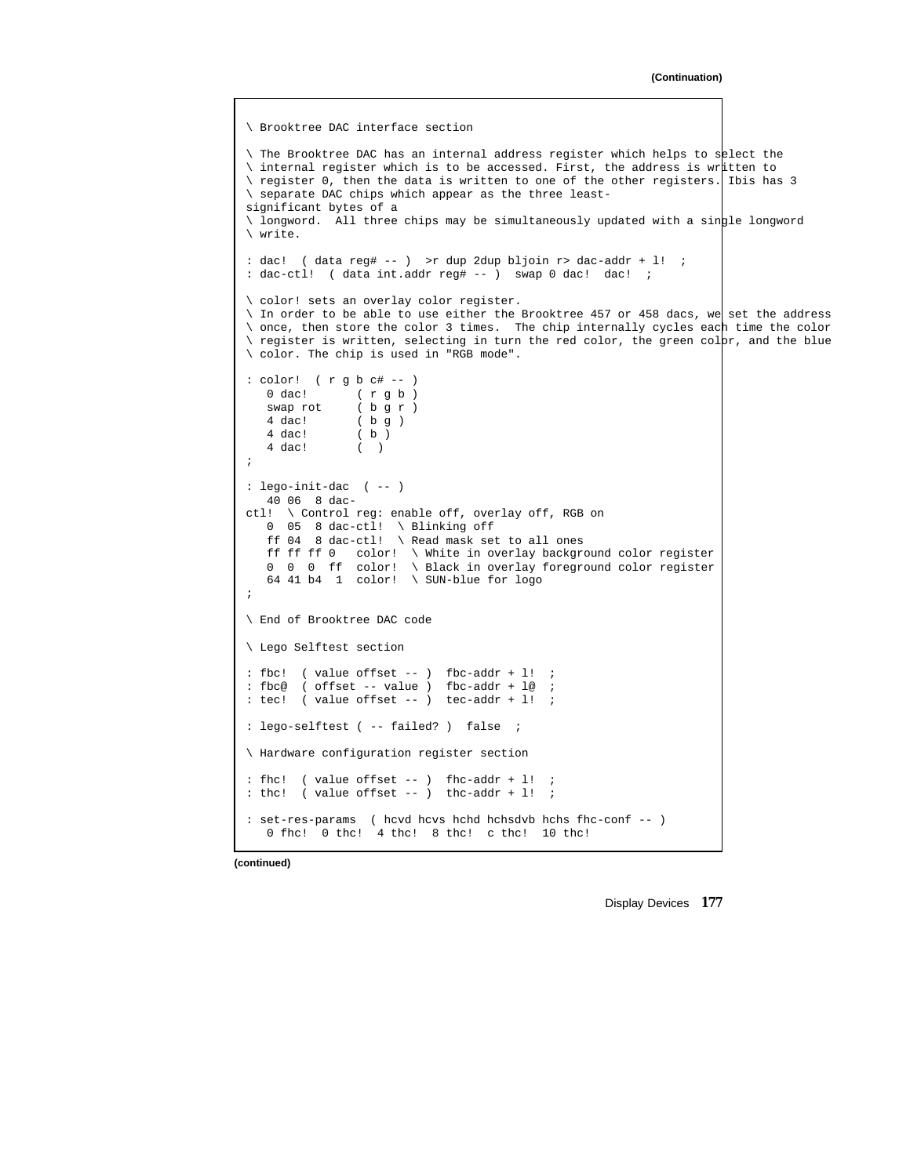#### **(Continuation)**

```
\ Brooktree DAC interface section
\ The Brooktree DAC has an internal address register which helps to select the
\ internal register which is to be accessed. First, the address is written to
\ register 0, then the data is written to one of the other registers. Ibis has 3
\ separate DAC chips which appear as the three least-
significant bytes of a
\ longword. All three chips may be simultaneously updated with a single longword
\ write.
: dac! ( data reg# -- ) >r dup 2dup bljoin r> dac-addr + l! ;
: dac-ctl! ( data int.addr reg# -- ) swap 0 dac! dac! ;
\ color! sets an overlay color register.
\ In order to be able to use either the Brooktree 457 or 458 dacs, we set the address
\ once, then store the color 3 times. The chip internally cycles each time the color
\ register is written, selecting in turn the red color, the green colpr, and the blue
\ color. The chip is used in "RGB mode".
: color! ( r g b c# -- )
   0 dac! (rgb)<br>swap rot (bgr)
               ( b g r )
   4 \text{ dac!} (bg)
   4 dac! ( b )
   4 dac! ( )
;
: lego-init-dac ( -- )
   40 06 8 dac-
ctl! \ Control reg: enable off, overlay off, RGB on
   0 05 8 dac-ctl! \ Blinking off
   ff 04 8 dac-ctl! \ Read mask set to all ones
   ff ff ff 0 color! \ White in overlay background color register
   0 0 0 ff color! \ Black in overlay foreground color register
   64 41 b4 1 color! \ SUN-blue for logo
;
\ End of Brooktree DAC code
\ Lego Selftest section
: fbc! ( value offset -- ) fbc-addr + l! ;
: fbc@ ( offset -- value ) fbc-addr + le ;
: tec! ( value offset -- ) tec-addr + l! ;
: lego-selftest ( -- failed? ) false ;
\ Hardware configuration register section
: fhc! ( value offset -- ) fhc-addr + l! ;
: the! ( value offset -- ) thc-addr + l! ;
: set-res-params ( hcvd hcvs hchd hchsdvb hchs fhc-conf -- )
   0 fhc! 0 thc! 4 thc! 8 thc! c thc! 10 thc!
```
**(continued)**

Display Devices **177**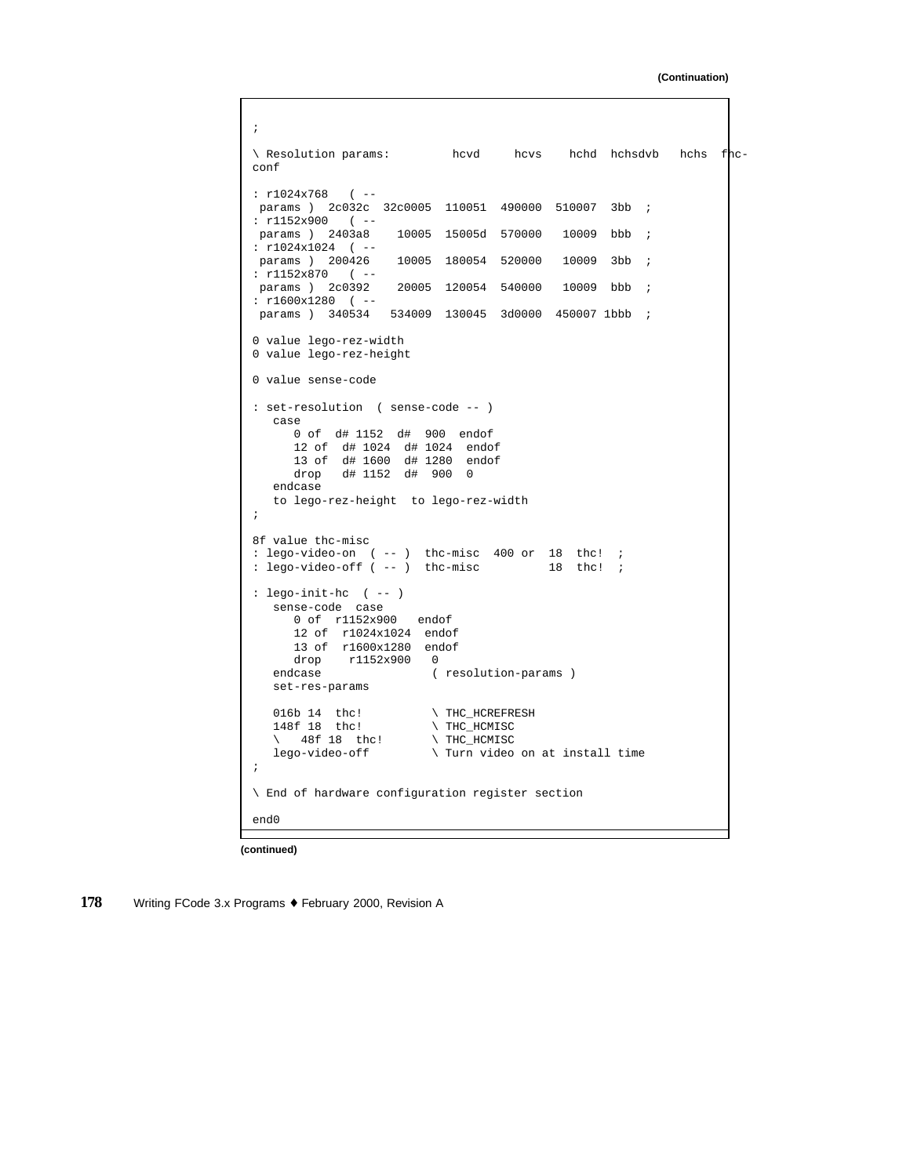**(Continuation)**

```
;
\ Resolution params: hcvd hcvs hchd hchsdvb hchs fhc-
conf
: r1024x768 ( --
params ) 2c032c 32c0005 110051 490000 510007 3bb ;
: r1152x900 (--<br>params ) 2403a8
                     10005 15005d 570000 10009 bbb ;
: r1024x1024 (--<br>params ) 200426
                   10005 180054 520000 10009 3bb ;
: r1152x870 (--<br>params ) 2c0392
                    20005 120054 540000 10009 bbb ;
: r1600x1280 ( --
params ) 340534 534009 130045 3d0000 450007 1bbb ;
0 value lego-rez-width
0 value lego-rez-height
0 value sense-code
: set-resolution ( sense-code -- )
  case
     0 of d# 1152 d# 900 endof
      12 of d# 1024 d# 1024 endof
      13 of d# 1600 d# 1280 endof
     drop d# 1152 d# 900 0
   endcase
   to lego-rez-height to lego-rez-width
;
8f value thc-misc
: lego-video-on ( -- ) thc-misc 400 or 18 thc! ;
: lego-video-off ( -- ) thc-misc 18 thc! ;
: lego-init-hc ( -- )
  sense-code case
      0 of r1152x900 endof
      12 of r1024x1024 endof
     13 of r1600x1280 endof
     drop r1152x900 0
   endcase ( resolution-params )
  set-res-params
   016b 14 thc! \vee THC_HCREFRESH 148f 18 thc! \vee THC_HCMISC
                          \backslash THC_HCMISC
   \ 48f 18 thc! \ THC_HCMISC<br>lego-video-off \ Turn video
                         \setminus Turn video on at install time
;
\ End of hardware configuration register section
end0
```
**(continued)**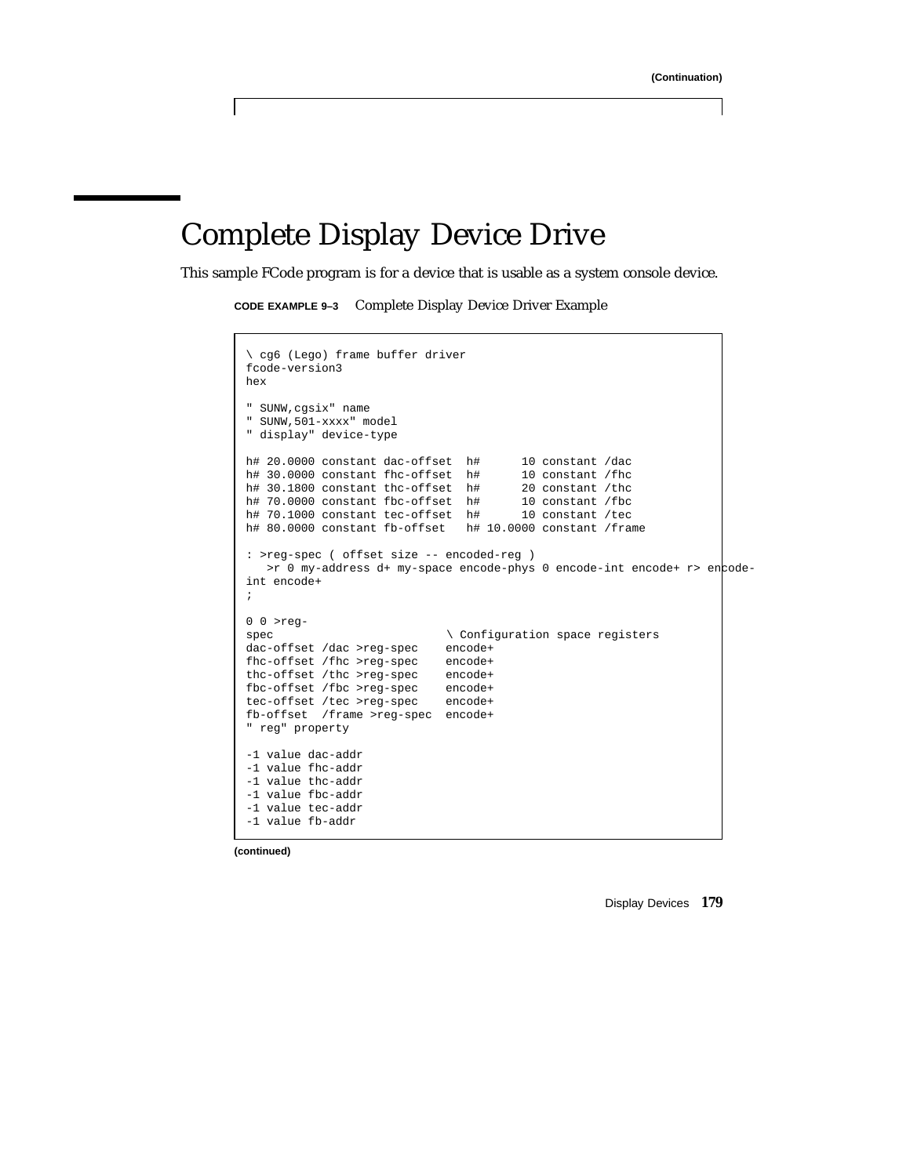# Complete Display Device Drive

This sample FCode program is for a device that is usable as a system console device.

**CODE EXAMPLE 9–3** Complete Display Device Driver Example

```
\ cg6 (Lego) frame buffer driver
fcode-version3
hex
" SUNW,cgsix" name
" SUNW,501-xxxx" model
" display" device-type
h# 20.0000 constant dac-offset h# 10 constant /dac h# 30.0000 constant fhc-offset h# 10 constant /fhc
h# 30.0000 constant fhc-offset h# 10 constant /fhc<br>h# 30.1800 constant thc-offset h# 20 constant /thc<br>h# 70.0000 constant fbc-offset h# 10 constant /fbc<br>h# 70.1000 constant tec-offset h# 10 constant /tec
h# 30.1800 constant thc-offset h#
h# 70.0000 constant fbc-offset h# 10 constant /fbc
h# 70.1000 constant tec-offset h# 10 constant /tec
h# 80.0000 constant fb-offset h# 10.0000 constant /frame
: >reg-spec ( offset size -- encoded-reg )
   >r 0 my-address d+ my-space encode-phys 0 encode-int encode+ r> encode-
int encode+
;
0 0 >reg-
                                   \setminus Configuration space registers
dac-offset /dac >reg-spec encode+
fhc-offset /fhc >reg-spec encode+
thc-offset /thc >reg-spec encode+
fbc-offset /fbc >reg-spec encode+
tec-offset /tec >reg-spec encode+
fb-offset /frame >reg-spec encode+
" reg" property
-1 value dac-addr
-1 value fhc-addr
-1 value thc-addr
-1 value fbc-addr
-1 value tec-addr
-1 value fb-addr
```
**(continued)**

Display Devices **179**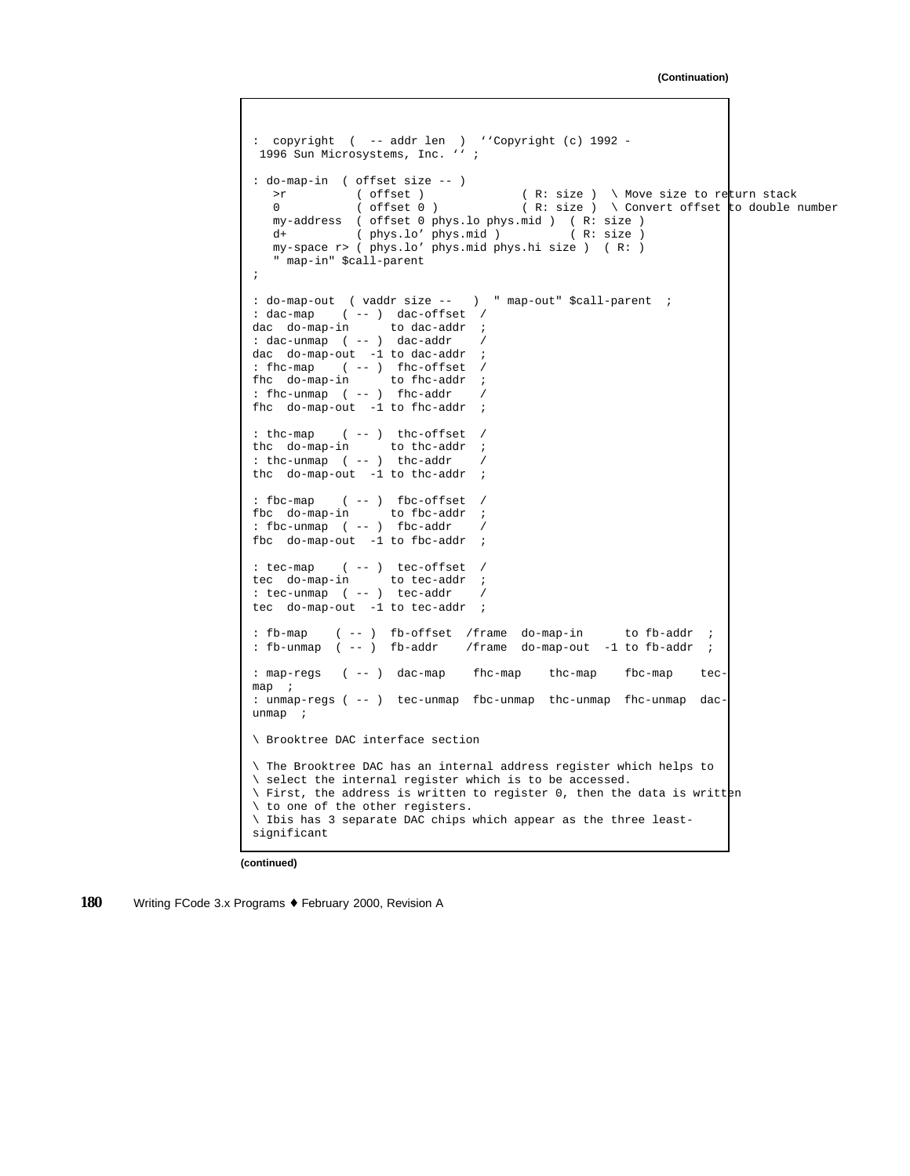```
: copyright ( -- addr len ) ''Copyright (c) 1992 -
 1996 Sun Microsystems, Inc. '' ;
: do-map-in ( offset size -- )
  >r ( offset ) ( R: size ) \ Move size to return stack
  0 ( offset 0 ) ( R: size ) \ Convert offset to double number
  my-address ( offset 0 phys.lo phys.mid ) ( R: size )<br>d+ ( phys.lo' phys.mid ) ( R: size )
  d+ ( phys.lo' phys.mid )
  my-space r> ( phys.lo' phys.mid phys.hi size ) ( R: )
   " map-in" $call-parent
;
: do-map-out ( vaddr size -- ) " map-out" $call-parent ;
: dac-map ( -- ) dac-offset /
dac do-map-in to dac-addr ;
: dac-unmap ( -- ) dac-addr /
dac do-map-out -1 to dac-addr ;
: fhc-map ( -- ) fhc-offset /
fhc do-map-in to fhc-addr ;
: fhc-unmap ( -- ) fhc-addr /
fhc do-map-out -1 to fhc-addr ;
: thc-map ( -- ) thc-offset /
thc do-map-in to thc-addr ;
: thc-unmap ( -- ) thc-addr /
thc do-map-out -1 to thc-addr ;
: fbc-map ( -- ) fbc-offset /
fbc do-map-in to fbc-addr ;
: fbc-unmap ( -- ) fbc-addr /
fbc do-map-out -1 to fbc-addr ;
: tec-map ( -- ) tec-offset /
tec do-map-in to tec-addr ;
: tec-unmap ( -- ) tec-addr /
tec do-map-out -1 to tec-addr ;
: fb-map ( -- ) fb-offset /frame do-map-in to fb-addr ;
: fb-unmap ( -- ) fb-addr /frame do-map-out -1 to fb-addr ;
: map-regs ( -- ) dac-map fhc-map thc-map fbc-map tec-
map ;
: unmap-regs ( -- ) tec-unmap fbc-unmap thc-unmap fhc-unmap dac-
unmap ;
\ Brooktree DAC interface section
\ The Brooktree DAC has an internal address register which helps to
\ select the internal register which is to be accessed.
\ First, the address is written to register 0, then the data is written
\ to one of the other registers.
\ Ibis has 3 separate DAC chips which appear as the three least-
significant
```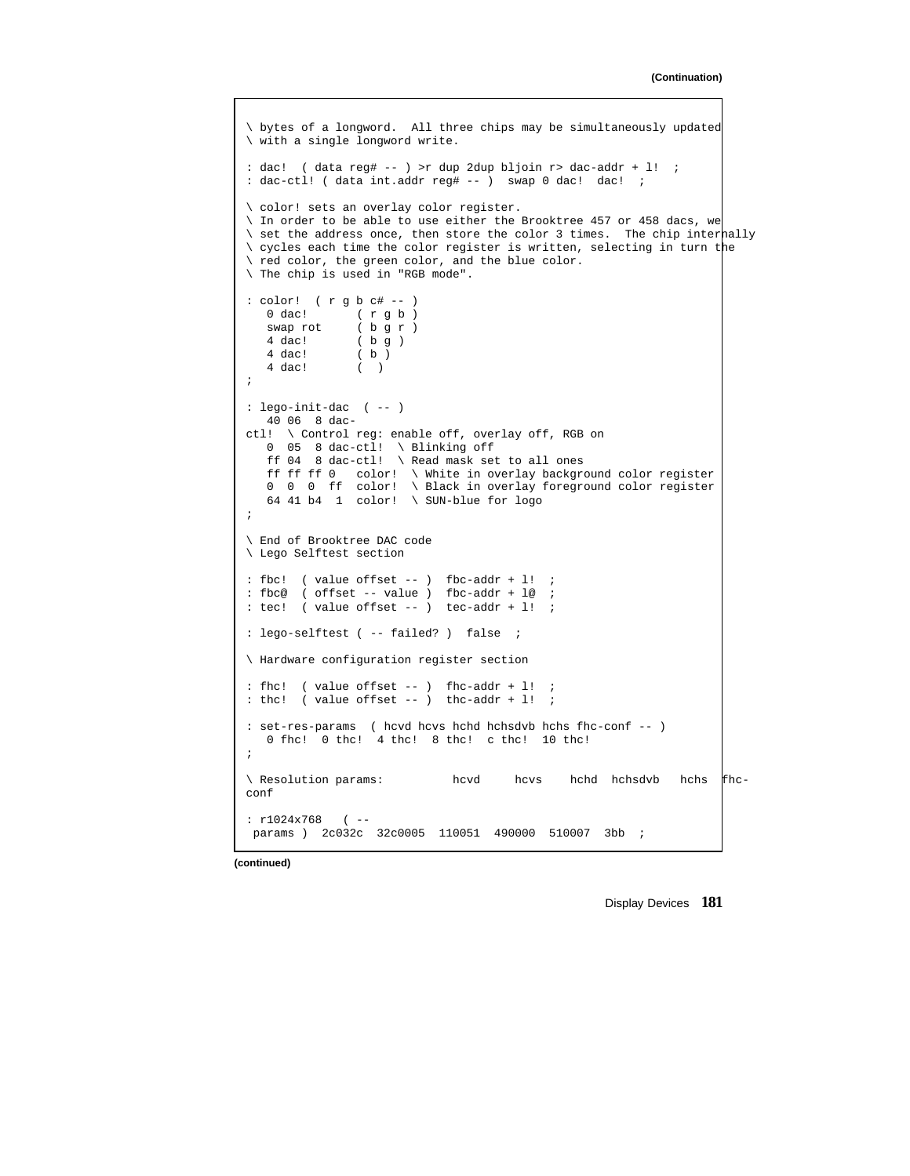```
\ bytes of a longword. All three chips may be simultaneously updated
\ with a single longword write.
: dac! ( data reg# -- ) >r dup 2dup bljoin r> dac-addr + l! ;
: dac-ctl! ( data int.addr reg# -- ) swap 0 dac! dac! ;
\ color! sets an overlay color register.
\ In order to be able to use either the Brooktree 457 or 458 dacs, we
\ set the address once, then store the color 3 times. The chip internally
\ cycles each time the color register is written, selecting in turn the
\ red color, the green color, and the blue color.
\ The chip is used in "RGB mode".
: color! ( r g b c# -- )<br>0 dac! ( r g b )
              (r g b)swap rot ( b g r )<br>4 dac! ( b g )
   4 dac! ( b g )<br>4 dac! ( b )
               \begin{array}{c} \begin{pmatrix} 1 \\ 0 \end{pmatrix} \end{array}4 dac! ( )
;
: lego-init-dac ( -- )
  40 06 8 dac-
ctl! \ Control reg: enable off, overlay off, RGB on
   0 05 8 dac-ctl! \ Blinking off
   ff 04 8 dac-ctl! \ Read mask set to all ones
   ff ff ff 0 color! \ White in overlay background color register
   0 0 0 ff color! \ Black in overlay foreground color register
   64 41 b4 1 color! \ SUN-blue for logo
;
\ End of Brooktree DAC code
\ Lego Selftest section
: fbc! ( value offset -- ) fbc-addr + l! ;
: fbc@ ( offset -- value ) fbc-addr + l@ ;
: tec! ( value offset -- ) tec-addr + l! ;
: lego-selftest ( -- failed? ) false ;
\ Hardware configuration register section
: fhc! ( value offset -- ) fhc-addr +1! ;
: thc! ( value offset -- ) thc-addr + 1! ;
: set-res-params ( hcvd hcvs hchd hchsdvb hchs fhc-conf -- )
   0 fhc! 0 thc! 4 thc! 8 thc! c thc! 10 thc!
;
\ Resolution params: hcvd hcvs hchd hchsdvb hchs fhc-
conf
: r1024x768 ( --
params ) 2c032c 32c0005 110051 490000 510007 3bb ;
```
Display Devices **181**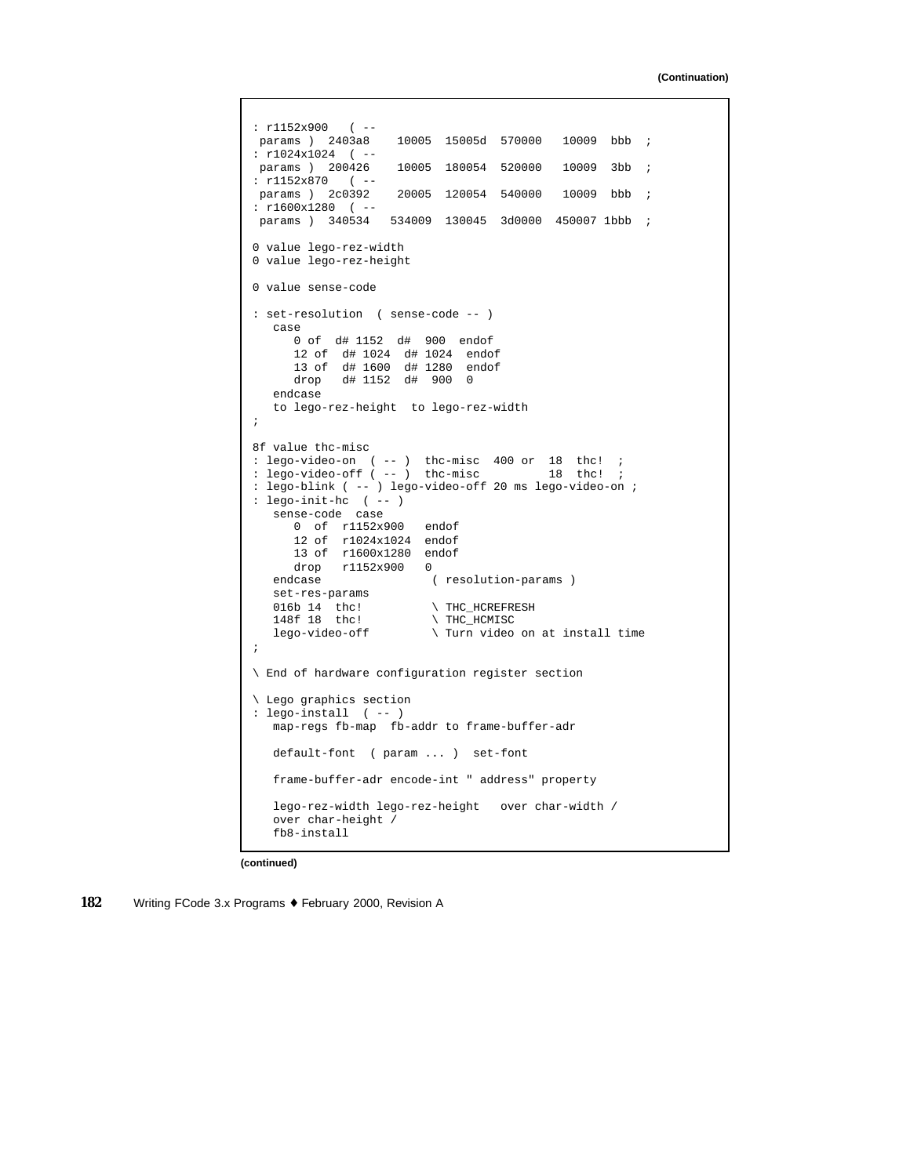```
: r1152x900 (--<br>params ) 2403a8
                     10005 15005d 570000 10009 bbb ;
: r1024x1024 ( --
params ) 200426 10005 180054 520000 10009 3bb ;
: r1152x870 (--<br>params ) 2c0392
                     20005 120054 540000 10009 bbb ;
: r1600x1280 ( --
params ) 340534 534009 130045 3d0000 450007 1bbb ;
0 value lego-rez-width
0 value lego-rez-height
0 value sense-code
: set-resolution ( sense-code -- )
   case
     0 of d# 1152 d# 900 endof
      12 of d# 1024 d# 1024 endof
      13 of d# 1600 d# 1280 endof
      drop d# 1152 d# 900 0
   endcase
   to lego-rez-height to lego-rez-width
;
8f value thc-misc
: lego-video-on ( -- ) thc-misc 400 or 18 thc! ;<br>: lego-video-off ( -- ) thc-misc 18 thc! ;
: lego-video-off ( -- ) thc-misc
: lego-blink ( -- ) lego-video-off 20 ms lego-video-on ;
: lego-init-hc ( -- )
   sense-code case
      0 of r1152x900 endof
      12 of r1024x1024 endof
      13 of r1600x1280 endof
   drop r1152x900 0<br>endcase (
                         ( resolution-params )
   set-res-params
   016b 14 the! \forall THC_HCREFRESH 148f 18 the! \forall THC HCMISC
                           \ THC_HCMISC
   lego-video-off \ Turn video on at install time
;
\ End of hardware configuration register section
\ Lego graphics section
: lego-install ( -- )
   map-regs fb-map fb-addr to frame-buffer-adr
   default-font ( param ... ) set-font
   frame-buffer-adr encode-int " address" property
   lego-rez-width lego-rez-height over char-width /
   over char-height /
   fb8-install
```
**(continued)**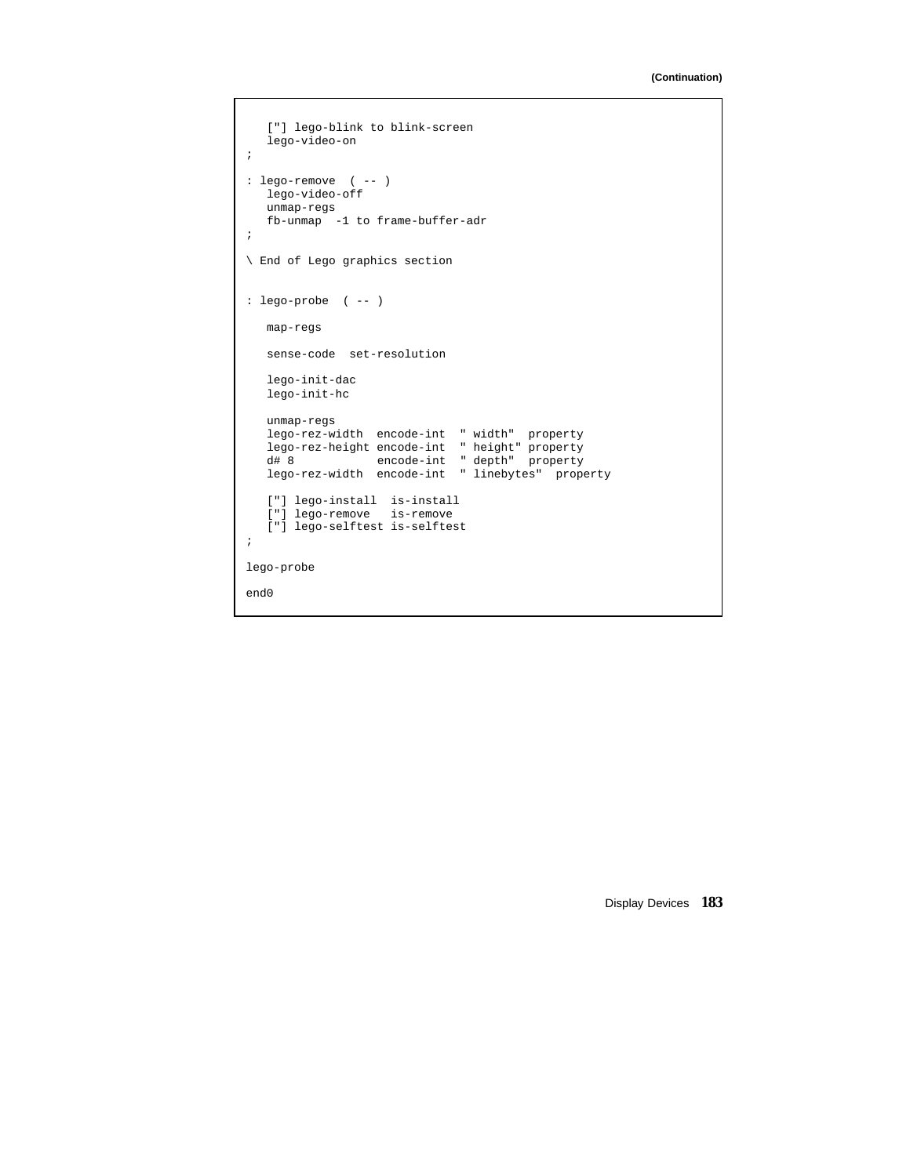```
["] lego-blink to blink-screen
  lego-video-on
;
: lego-remove ( -- )
   lego-video-off
  unmap-regs
  fb-unmap -1 to frame-buffer-adr
;
\ End of Lego graphics section
: lego-probe ( -- )
  map-regs
  sense-code set-resolution
  lego-init-dac
  lego-init-hc
  unmap-regs
   lego-rez-width encode-int " width" property
   lego-rez-height encode-int " height" property
   d# 8 encode-int " depth" property
   lego-rez-width encode-int " linebytes" property
   ["] lego-install is-install
   ["] lego-remove is-remove
   ["] lego-selftest is-selftest
;
lego-probe
end0
```
Display Devices **183**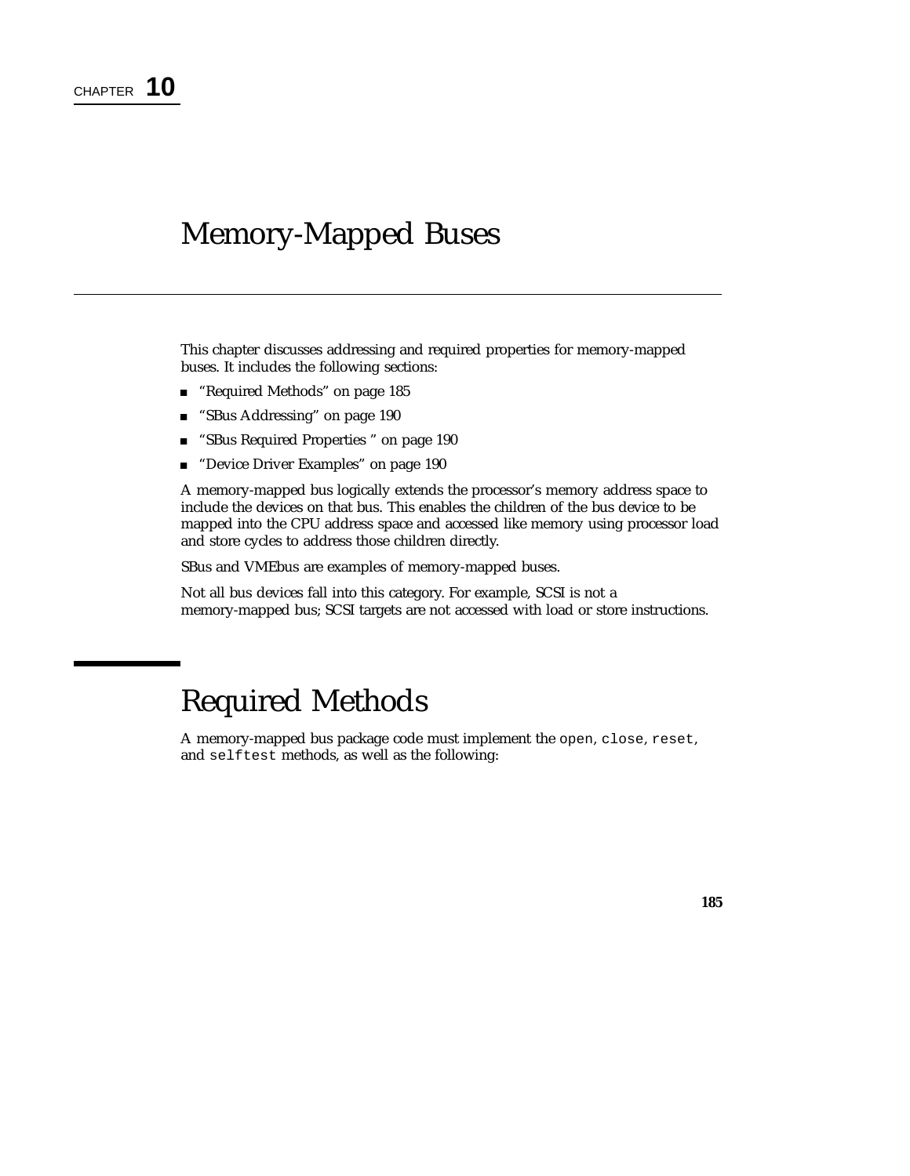# Memory-Mapped Buses

This chapter discusses addressing and required properties for memory-mapped buses. It includes the following sections:

- "Required Methods" on page 185
- "SBus Addressing" on page 190
- "SBus Required Properties " on page 190
- "Device Driver Examples" on page 190

A memory-mapped bus logically extends the processor's memory address space to include the devices on that bus. This enables the children of the bus device to be mapped into the CPU address space and accessed like memory using processor load and store cycles to address those children directly.

SBus and VMEbus are examples of memory-mapped buses.

Not all bus devices fall into this category. For example, SCSI is not a memory-mapped bus; SCSI targets are not accessed with load or store instructions.

# Required Methods

A memory-mapped bus package code must implement the open, close, reset, and selftest methods, as well as the following:

**185**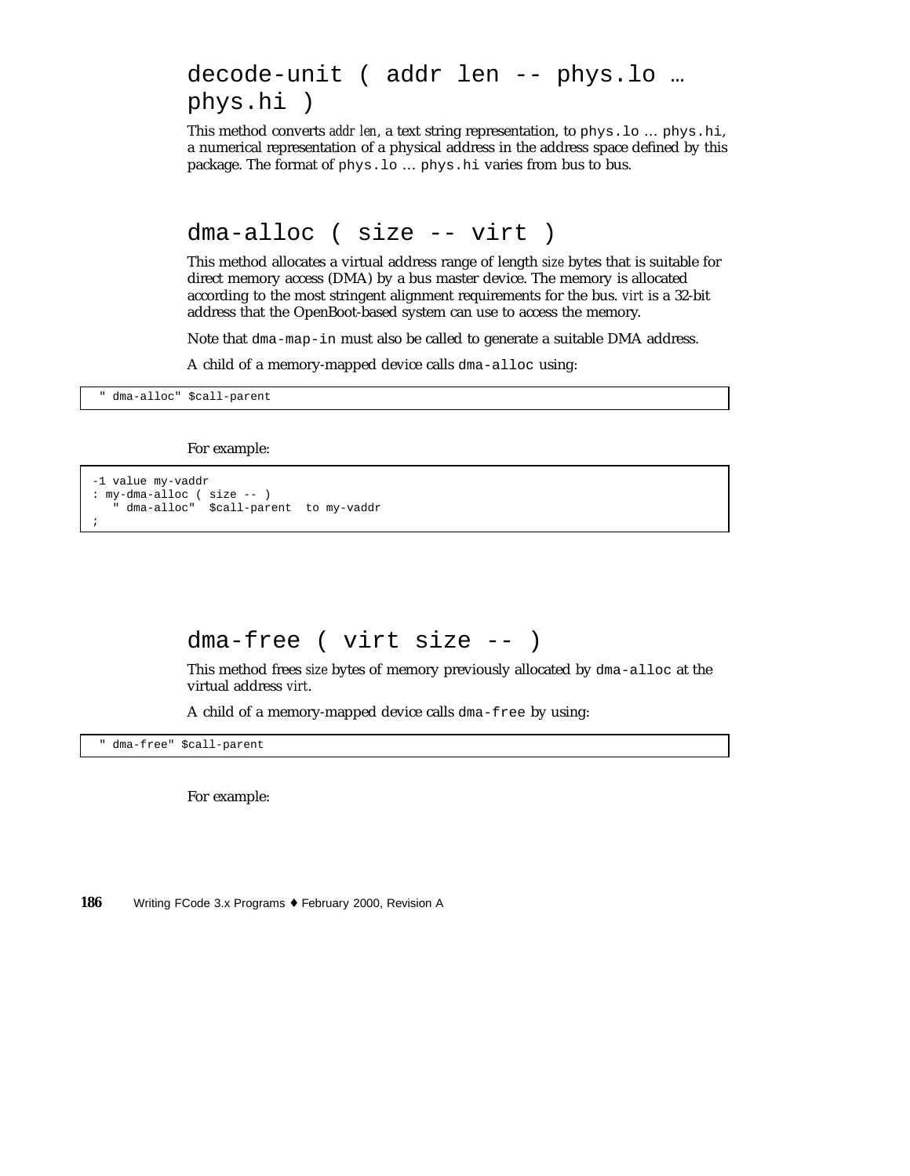## decode-unit ( addr len -- phys.lo … phys.hi )

This method converts *addr len*, a text string representation, to phys.lo … phys.hi, a numerical representation of a physical address in the address space defined by this package. The format of phys.lo … phys.hi varies from bus to bus.

dma-alloc ( size -- virt )

This method allocates a virtual address range of length *size* bytes that is suitable for direct memory access (DMA) by a bus master device. The memory is allocated according to the most stringent alignment requirements for the bus. *virt* is a 32-bit address that the OpenBoot-based system can use to access the memory.

Note that dma-map-in must also be called to generate a suitable DMA address.

A child of a memory-mapped device calls dma-alloc using:

" dma-alloc" \$call-parent

For example:

```
-1 value my-vaddr
: my-dma-alloc ( size -- )
   " dma-alloc" $call-parent to my-vaddr
;
```
#### dma-free ( virt size -- )

This method frees *size* bytes of memory previously allocated by dma-alloc at the virtual address *virt*.

A child of a memory-mapped device calls dma-free by using:

" dma-free" \$call-parent

For example: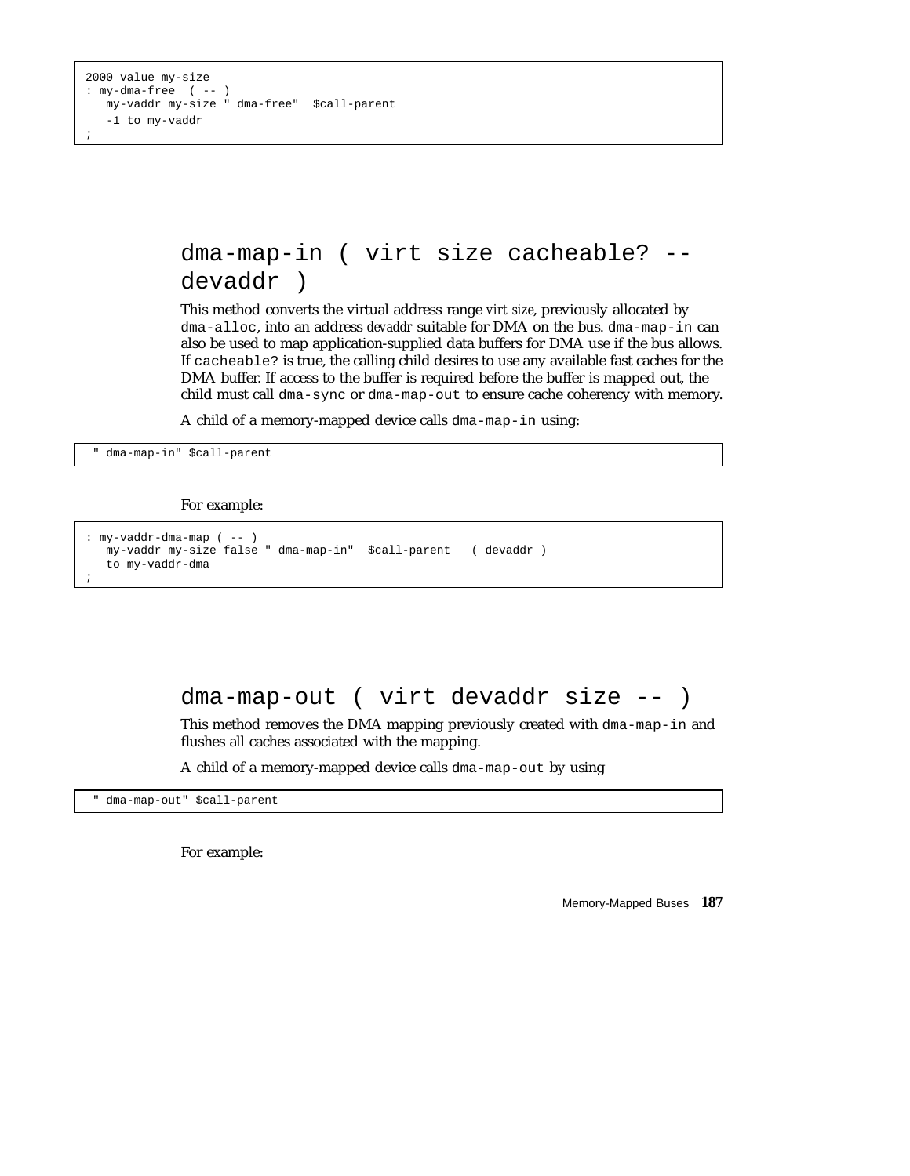### dma-map-in ( virt size cacheable? - devaddr )

This method converts the virtual address range *virt size*, previously allocated by dma-alloc, into an address *devaddr* suitable for DMA on the bus. dma-map-in can also be used to map application-supplied data buffers for DMA use if the bus allows. If cacheable? is true, the calling child desires to use any available fast caches for the DMA buffer. If access to the buffer is required before the buffer is mapped out, the child must call dma-sync or dma-map-out to ensure cache coherency with memory.

A child of a memory-mapped device calls dma-map-in using:

" dma-map-in" \$call-parent

For example:

```
: my-vaddr-dma-map ( -- )
  my-vaddr my-size false " dma-map-in" $call-parent ( devaddr )
  to my-vaddr-dma
;
```
#### dma-map-out ( virt devaddr size -- )

This method removes the DMA mapping previously created with dma-map-in and flushes all caches associated with the mapping.

A child of a memory-mapped device calls dma-map-out by using

dma-map-out" \$call-parent

For example: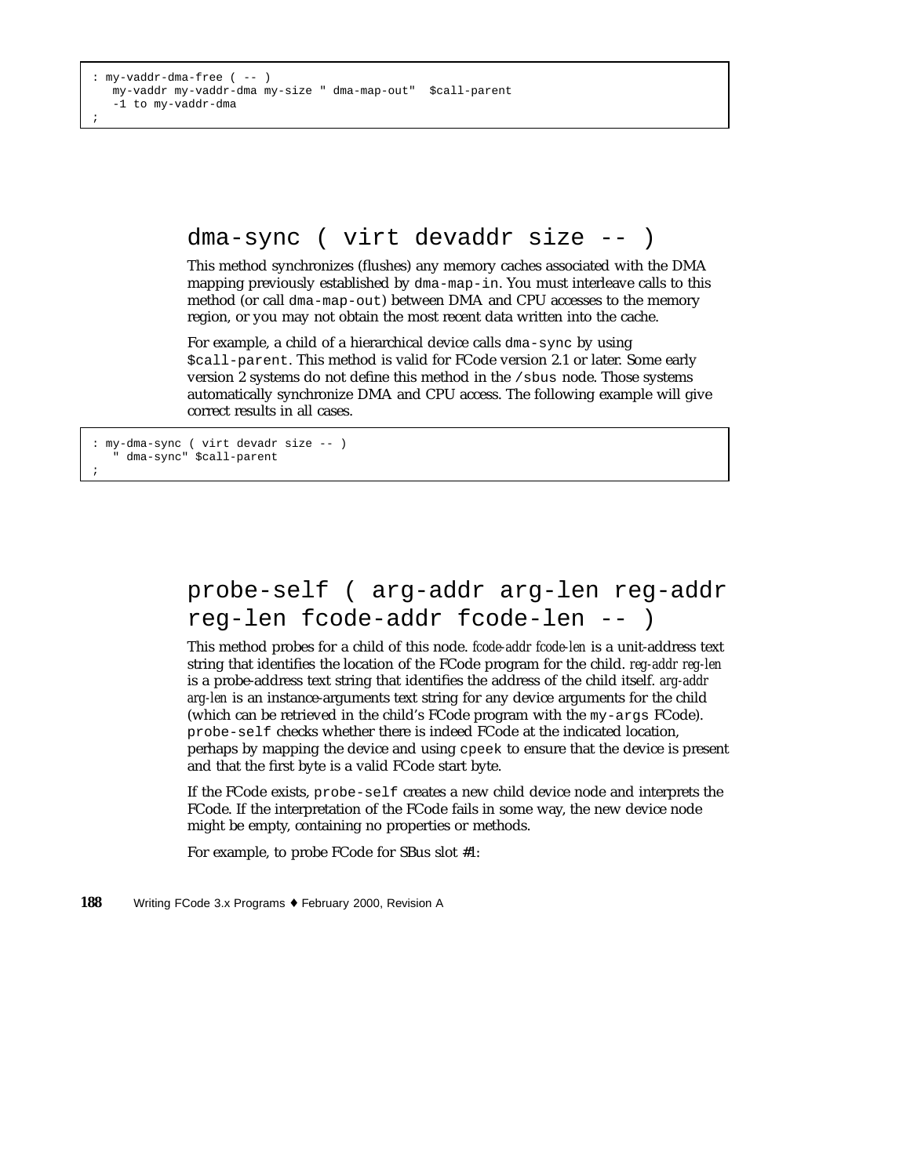#### dma-sync ( virt devaddr size -- )

This method synchronizes (flushes) any memory caches associated with the DMA mapping previously established by dma-map-in. You must interleave calls to this method (or call dma-map-out) between DMA and CPU accesses to the memory region, or you may not obtain the most recent data written into the cache.

For example, a child of a hierarchical device calls dma-sync by using \$call-parent. This method is valid for FCode version 2.1 or later. Some early version 2 systems do not define this method in the /sbus node. Those systems automatically synchronize DMA and CPU access. The following example will give correct results in all cases.

: my-dma-sync ( virt devadr size -- ) dma-sync" \$call-parent ;

### probe-self ( arg-addr arg-len reg-addr reg-len fcode-addr fcode-len -- )

This method probes for a child of this node. *fcode-addr fcode-len* is a unit-address text string that identifies the location of the FCode program for the child. *reg-addr reg-len* is a probe-address text string that identifies the address of the child itself. *arg-addr arg-len* is an instance-arguments text string for any device arguments for the child (which can be retrieved in the child's FCode program with the my-args FCode). probe-self checks whether there is indeed FCode at the indicated location, perhaps by mapping the device and using cpeek to ensure that the device is present and that the first byte is a valid FCode start byte.

If the FCode exists, probe-self creates a new child device node and interprets the FCode. If the interpretation of the FCode fails in some way, the new device node might be empty, containing no properties or methods.

For example, to probe FCode for SBus slot #1: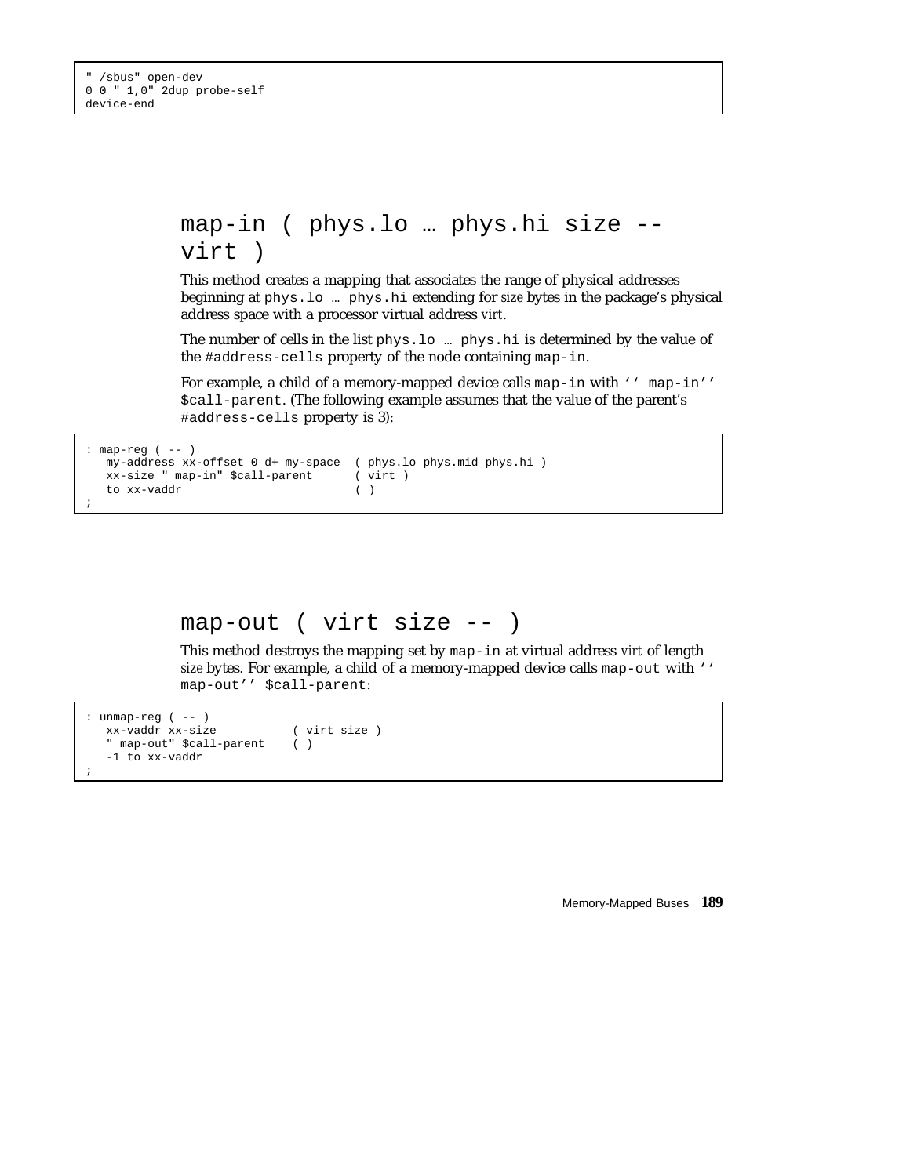```
map-in ( phys.lo … phys.hi size --
virt )
```
This method creates a mapping that associates the range of physical addresses beginning at phys.lo … phys.hi extending for *size* bytes in the package's physical address space with a processor virtual address *virt*.

The number of cells in the list phys.lo … phys.hi is determined by the value of the #address-cells property of the node containing map-in.

For example, a child of a memory-mapped device calls map-in with '' map-in'' \$call-parent. (The following example assumes that the value of the parent's #address-cells property is 3):

```
: map-reg ( -- )
  my-address xx-offset 0 d+ my-space ( phys.lo phys.mid phys.hi )
   xx-size " map-in" $call-parent ( virt )<br>to xx-vaddr ( )
   to xx-vaddr
;
```

```
map-out ( virt size -- )
```
This method destroys the mapping set by map-in at virtual address *virt* of length *size* bytes. For example, a child of a memory-mapped device calls map-out with '' map-out'' \$call-parent:

```
: unmap-reg ( -- )
  xx-vaddr xx-size ( virt size )
  " map-out" $call-parent ( )
  -1 to xx-vaddr
;
```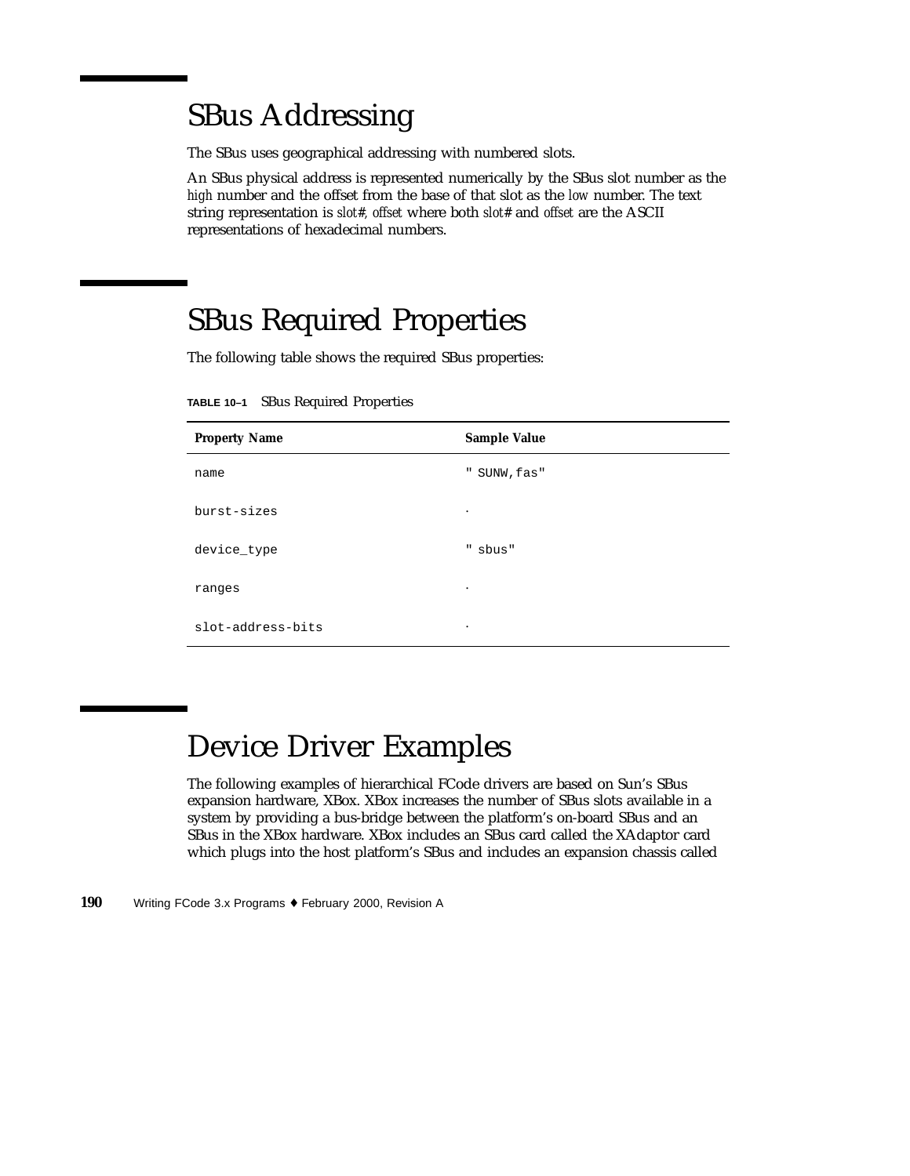# SBus Addressing

The SBus uses geographical addressing with numbered slots.

An SBus physical address is represented numerically by the SBus slot number as the *high* number and the offset from the base of that slot as the *low* number. The text string representation is *slot#, offset* where both *slot#* and *offset* are the ASCII representations of hexadecimal numbers.

# SBus Required Properties

The following table shows the required SBus properties:

**TABLE 10–1** SBus Required Properties

| <b>Property Name</b> | <b>Sample Value</b> |
|----------------------|---------------------|
| name                 | " SUNW, fas"        |
| burst-sizes          | ٠                   |
| device_type          | " sbus"             |
| ranges               | ٠                   |
| slot-address-bits    | ٠                   |

# Device Driver Examples

The following examples of hierarchical FCode drivers are based on Sun's SBus expansion hardware, XBox. XBox increases the number of SBus slots available in a system by providing a bus-bridge between the platform's on-board SBus and an SBus in the XBox hardware. XBox includes an SBus card called the XAdaptor card which plugs into the host platform's SBus and includes an expansion chassis called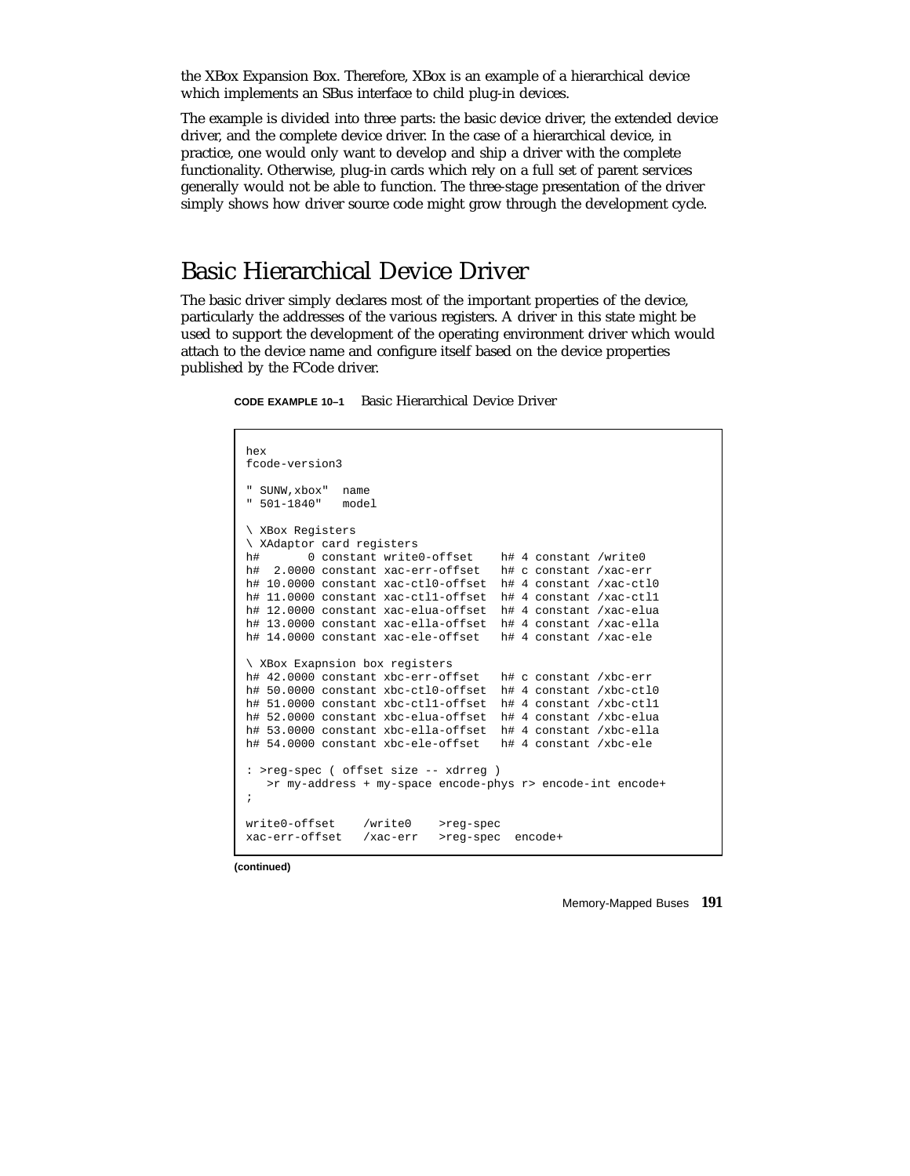the XBox Expansion Box. Therefore, XBox is an example of a hierarchical device which implements an SBus interface to child plug-in devices.

The example is divided into three parts: the basic device driver, the extended device driver, and the complete device driver. In the case of a hierarchical device, in practice, one would only want to develop and ship a driver with the complete functionality. Otherwise, plug-in cards which rely on a full set of parent services generally would not be able to function. The three-stage presentation of the driver simply shows how driver source code might grow through the development cycle.

### Basic Hierarchical Device Driver

The basic driver simply declares most of the important properties of the device, particularly the addresses of the various registers. A driver in this state might be used to support the development of the operating environment driver which would attach to the device name and configure itself based on the device properties published by the FCode driver.

**CODE EXAMPLE 10–1** Basic Hierarchical Device Driver

```
hex
fcode-version3
" SUNW,xbox" name
" 501-1840" model
\ XBox Registers
\ XAdaptor card registers
h# 0 constant write0-offset h# 4 constant /write0
h# 2.0000 constant xac-err-offset h# c constant /xac-err
h# 10.0000 constant xac-ctl0-offset h# 4 constant /xac-ctl0
h# 11.0000 constant xac-ctl1-offset h# 4 constant /xac-ctl1
h# 12.0000 constant xac-elua-offset h# 4 constant /xac-elua
h# 13.0000 constant xac-ella-offset h# 4 constant /xac-ella
h# 14.0000 constant xac-ele-offset h# 4 constant /xac-ele
\ XBox Exapnsion box registers
h# 42.0000 constant xbc-err-offset h# c constant /xbc-err
h# 50.0000 constant xbc-ctl0-offset h# 4 constant /xbc-ctl0
h# 51.0000 constant xbc-ctl1-offset h# 4 constant /xbc-ctl1
h# 52.0000 constant xbc-elua-offset h# 4 constant /xbc-elua
h# 53.0000 constant xbc-ella-offset h# 4 constant /xbc-ella
h# 54.0000 constant xbc-ele-offset h# 4 constant /xbc-ele
: >reg-spec ( offset size -- xdrreg )
   >r my-address + my-space encode-phys r> encode-int encode+
;
write0-offset /write0 >reg-spec
xac-err-offset /xac-err >reg-spec encode+
```
**(continued)**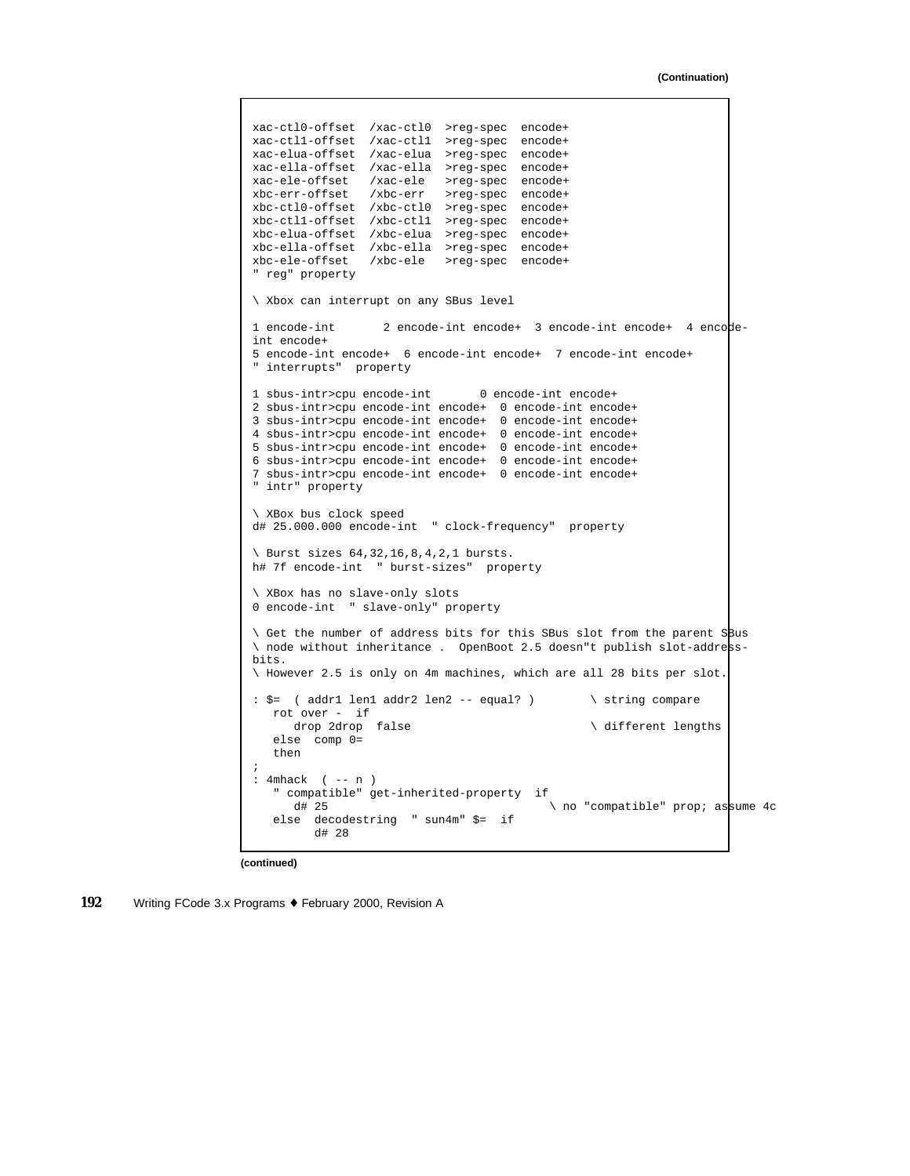```
xac-ctl0-offset /xac-ctl0 >reg-spec encode+
xac-ctl1-offset /xac-ctl1 >reg-spec encode+
xac-elua-offset /xac-elua >reg-spec encode+
xac-ella-offset /xac-ella >reg-spec encode+
xac-ele-offset /xac-ele >reg-spec encode+
xbc-err-offset /xbc-err >reg-spec encode+
xbc-ctl0-offset /xbc-ctl0 >reg-spec encode+
xbc-ctl1-offset /xbc-ctl1 >reg-spec encode+
xbc-elua-offset /xbc-elua >reg-spec encode+
xbc-ella-offset /xbc-ella >reg-spec encode+
xbc-ele-offset /xbc-ele >reg-spec encode+
" reg" property
\ Xbox can interrupt on any SBus level
1 encode-int 2 encode-int encode+ 3 encode-int encode+ 4 encode-
int encode+
5 encode-int encode+ 6 encode-int encode+ 7 encode-int encode+
" interrupts" property
1 sbus-intr>cpu encode-int 0 encode-int encode+
2 sbus-intr>cpu encode-int encode+ 0 encode-int encode+
3 sbus-intr>cpu encode-int encode+ 0 encode-int encode+
4 sbus-intr>cpu encode-int encode+ 0 encode-int encode+
5 sbus-intr>cpu encode-int encode+ 0 encode-int encode+
6 sbus-intr>cpu encode-int encode+ 0 encode-int encode+
7 sbus-intr>cpu encode-int encode+ 0 encode-int encode+
" intr" property
\ XBox bus clock speed
d# 25.000.000 encode-int " clock-frequency" property
\ Burst sizes 64,32,16,8,4,2,1 bursts.
h# 7f encode-int " burst-sizes" property
\ XBox has no slave-only slots
0 encode-int " slave-only" property
\ Get the number of address bits for this SBus slot from the parent SBus
\ node without inheritance . OpenBoot 2.5 doesn"t publish slot-address-
bits.
\ However 2.5 is only on 4m machines, which are all 28 bits per slot.
: \zeta = ( addr1 len1 addr2 len2 -- equal? ) \ string compare
  rot over - if
                                               \setminus different lengths
   else comp 0=
   then
;
: 4mhack ( -- n )
   " compatible" get-inherited-property if
                                          \setminus no "compatible" prop; assume 4c
   else decodestring " sun4m" $= if
        d# 28
```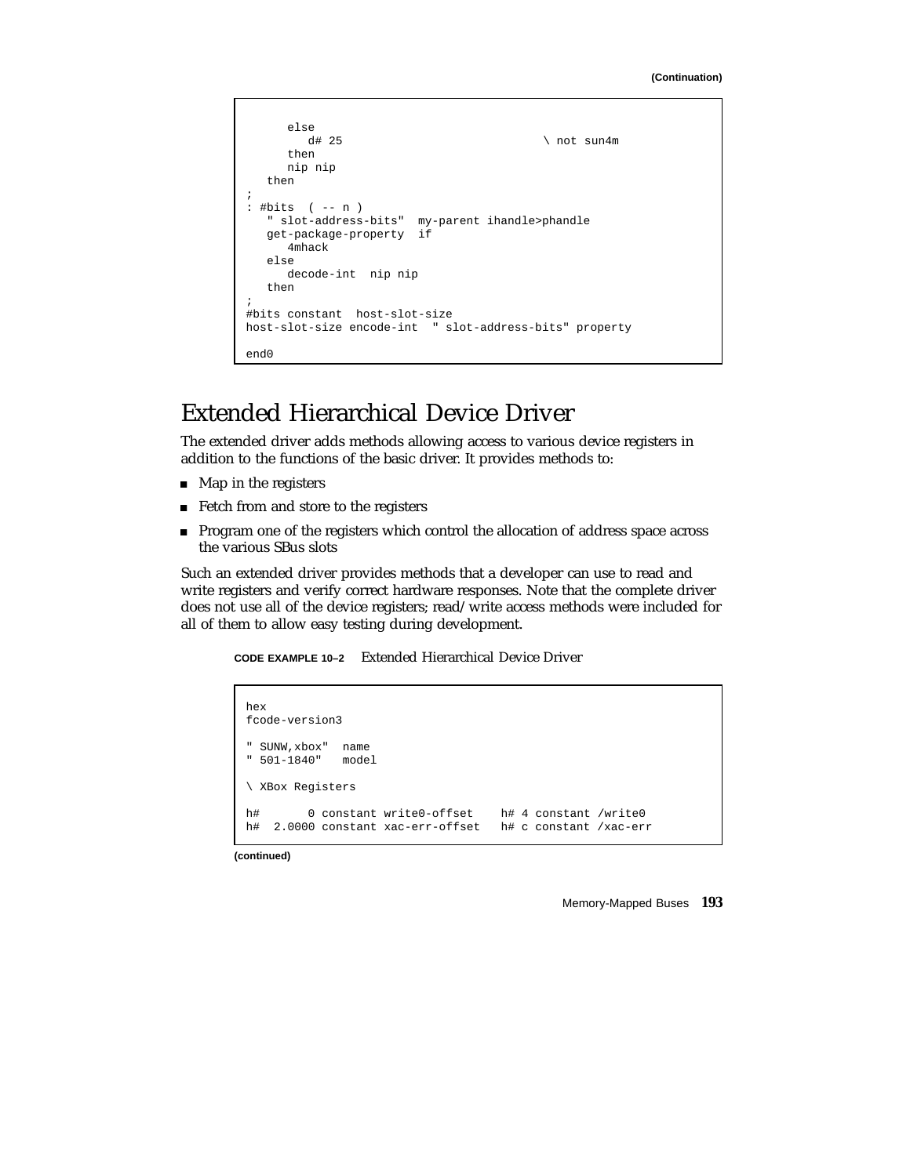```
else
                                           \langle not sun4m
      then
      nip nip
   then
;
: #bits ( -- n )
   " slot-address-bits" my-parent ihandle>phandle
   get-package-property if
     4mhack
   else
      decode-int nip nip
   then
;
#bits constant host-slot-size
host-slot-size encode-int " slot-address-bits" property
end0
```
## Extended Hierarchical Device Driver

The extended driver adds methods allowing access to various device registers in addition to the functions of the basic driver. It provides methods to:

- **Map in the registers**
- Fetch from and store to the registers
- Program one of the registers which control the allocation of address space across the various SBus slots

Such an extended driver provides methods that a developer can use to read and write registers and verify correct hardware responses. Note that the complete driver does not use all of the device registers; read/write access methods were included for all of them to allow easy testing during development.

**CODE EXAMPLE 10–2** Extended Hierarchical Device Driver

```
hex
fcode-version3
" SUNW,xbox" name
" 501-1840" model
\ XBox Registers
h# 0 constant write0-offset h# 4 constant /write0
h# 2.0000 constant xac-err-offset h# c constant /xac-err
```
**(continued)**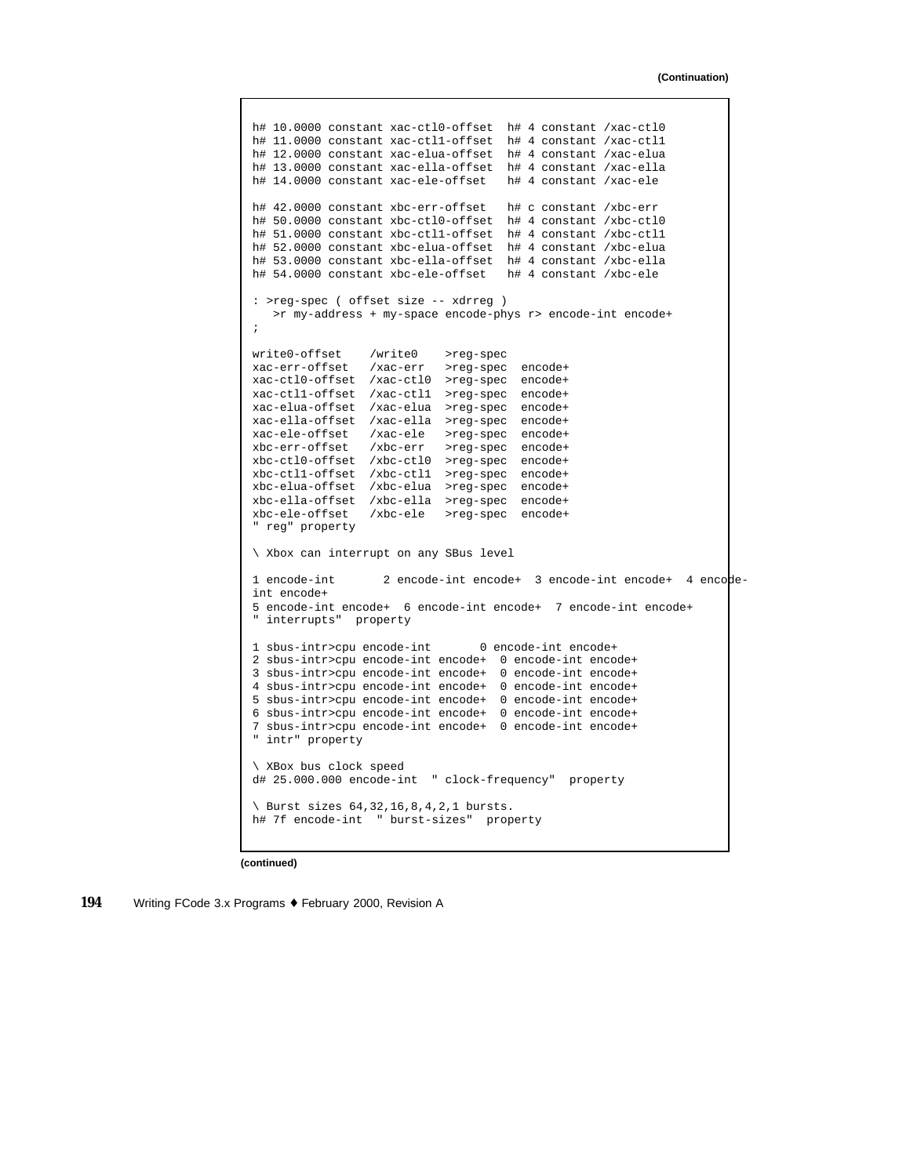```
h# 10.0000 constant xac-ctl0-offset h# 4 constant /xac-ctl0
h# 11.0000 constant xac-ctl1-offset h# 4 constant /xac-ctl1
h# 12.0000 constant xac-elua-offset h# 4 constant /xac-elua
h# 13.0000 constant xac-ella-offset h# 4 constant /xac-ella
h# 14.0000 constant xac-ele-offset h# 4 constant /xac-ele
h# 42.0000 constant xbc-err-offset h# c constant /xbc-err
h# 50.0000 constant xbc-ctl0-offset h# 4 constant /xbc-ctl0
h# 51.0000 constant xbc-ctl1-offset h# 4 constant /xbc-ctl1
h# 52.0000 constant xbc-elua-offset h# 4 constant /xbc-elua
h# 53.0000 constant xbc-ella-offset h# 4 constant /xbc-ella
h# 54.0000 constant xbc-ele-offset h# 4 constant /xbc-ele
: >reg-spec ( offset size -- xdrreg )
   >r my-address + my-space encode-phys r> encode-int encode+
;
write0-offset /write0 >reg-spec
xac-err-offset /xac-err >reg-spec encode+
xac-ctl0-offset /xac-ctl0 >reg-spec encode+
xac-ctl1-offset /xac-ctl1 >reg-spec encode+
xac-elua-offset /xac-elua >reg-spec encode+
xac-ella-offset /xac-ella >reg-spec encode+
xac-ele-offset /xac-ele >reg-spec encode+
xbc-err-offset /xbc-err >reg-spec encode+
xbc-ctl0-offset /xbc-ctl0 >reg-spec encode+
xbc-ctl1-offset /xbc-ctl1 >reg-spec encode+
xbc-elua-offset /xbc-elua >reg-spec encode+
xbc-ella-offset /xbc-ella >reg-spec encode+
xbc-ele-offset /xbc-ele >reg-spec encode+
 ' reg" property
\ Xbox can interrupt on any SBus level
1 encode-int 2 encode-int encode+ 3 encode-int encode+ 4 encode-
int encode+
5 encode-int encode+ 6 encode-int encode+ 7 encode-int encode+
" interrupts" property
1 sbus-intr>cpu encode-int 0 encode-int encode+
2 sbus-intr>cpu encode-int encode+ 0 encode-int encode+
3 sbus-intr>cpu encode-int encode+ 0 encode-int encode+
4 sbus-intr>cpu encode-int encode+ 0 encode-int encode+
5 sbus-intr>cpu encode-int encode+ 0 encode-int encode+
6 sbus-intr>cpu encode-int encode+ 0 encode-int encode+
7 sbus-intr>cpu encode-int encode+ 0 encode-int encode+
" intr" property
\ XBox bus clock speed
d# 25.000.000 encode-int " clock-frequency" property
\ Burst sizes 64,32,16,8,4,2,1 bursts.
h# 7f encode-int " burst-sizes" property
```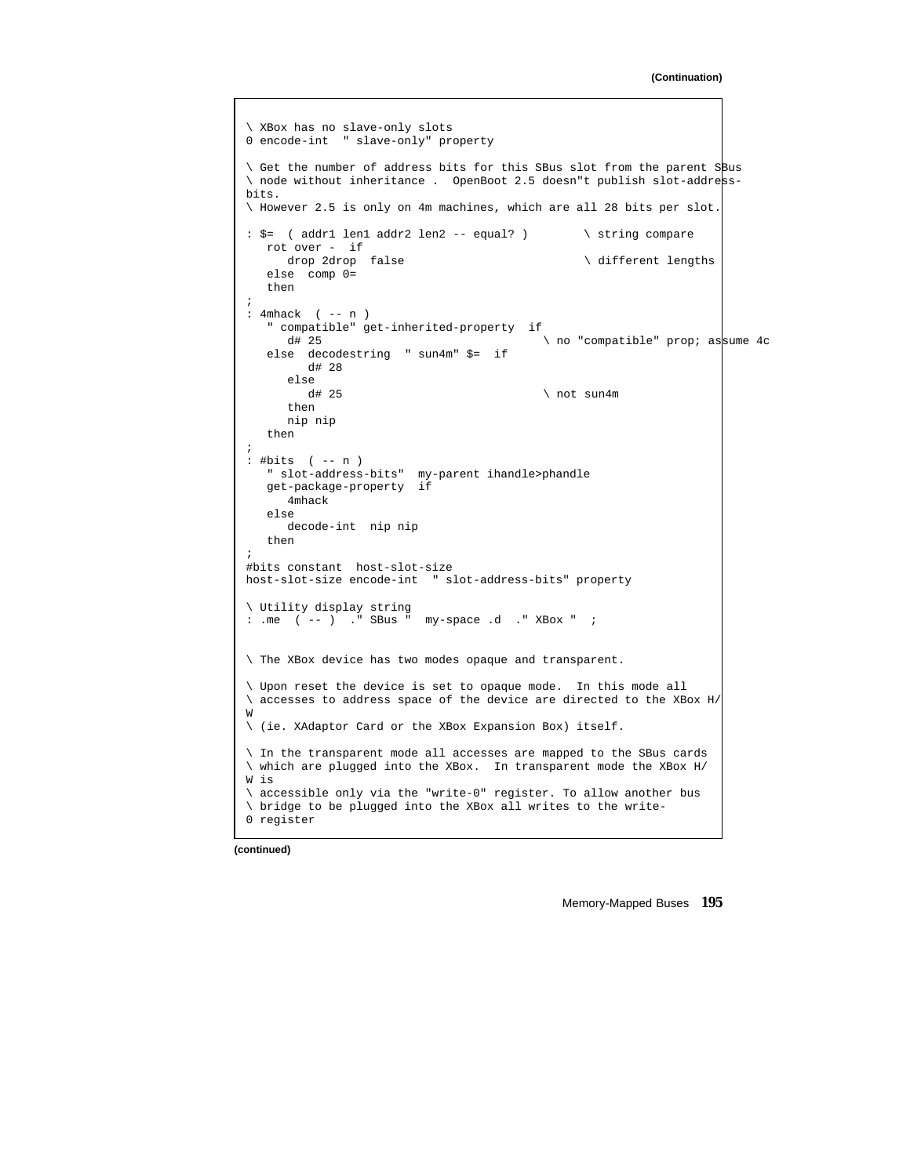```
\ XBox has no slave-only slots
0 encode-int " slave-only" property
\ Get the number of address bits for this SBus slot from the parent SBus
\ node without inheritance . OpenBoot 2.5 doesn"t publish slot-address-
bits.
\ However 2.5 is only on 4m machines, which are all 28 bits per slot.
: \zeta = ( addr1 len1 addr2 len2 -- equal? ) \ string compare
  rot over - if<br>drop 2drop false
                                                \setminus different lengths
   else comp 0=
   then
;
: 4mhack ( -- n )
   " compatible" get-inherited-property if
                                           \ no "compatible" prop; assume 4c
   else decodestring " sun4m" $= if
        d# 28
      else
        d# 25 \ not sun4m
      then
     nip nip
   then
;
: #bits ( -- n )
   " slot-address-bits" my-parent ihandle>phandle
   get-package-property if
      4mhack
   else
      decode-int nip nip
   then
;
#bits constant host-slot-size
host-slot-size encode-int " slot-address-bits" property
\ Utility display string
: .me ( -- ) ." SBus " my-space .d ." XBox " ;
\ The XBox device has two modes opaque and transparent.
\ Upon reset the device is set to opaque mode. In this mode all
\ accesses to address space of the device are directed to the XBox H/
W
\ (ie. XAdaptor Card or the XBox Expansion Box) itself.
\ In the transparent mode all accesses are mapped to the SBus cards
\backslash which are plugged into the XBox. In transparent mode the XBox H/
W is
\ accessible only via the "write-0" register. To allow another bus
\ bridge to be plugged into the XBox all writes to the write-
0 register
```
**(continued)**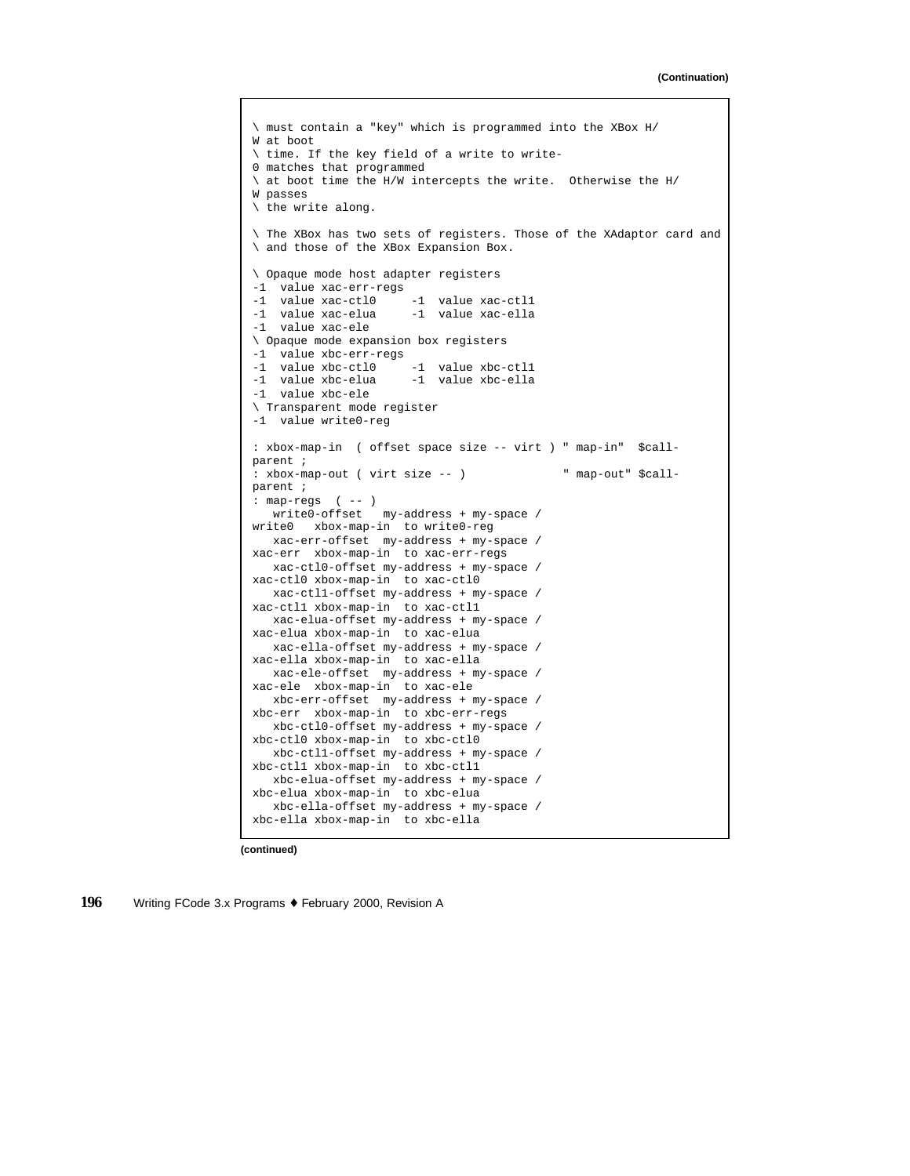```
\ must contain a "key" which is programmed into the XBox H/
W at boot
\ time. If the key field of a write to write-
0 matches that programmed
\ at boot time the H/W intercepts the write. Otherwise the H/
W passes
\ the write along.
\ The XBox has two sets of registers. Those of the XAdaptor card and
\ and those of the XBox Expansion Box.
\ Opaque mode host adapter registers
-1 value xac-err-regs
-1 value xac-ctl0 -1 value xac-ctl1
-1 value xac-elua -1 value xac-ella
-1 value xac-ele
\ Opaque mode expansion box registers
-1 value xbc-err-regs
-1 value xbc-ctl0 -1 value xbc-ctl1
-1 value xbc-elua -1 value xbc-ella
-1 value xbc-ele
\ Transparent mode register
-1 value write0-reg
: xbox-map-in ( offset space size -- virt ) " map-in" $call-
parent ;
: xbox-map-out ( virt size -- ) " map-out" $call-
parent ;
: map-regs ( -- )
  write0-offset my-address + my-space /
write0 xbox-map-in to write0-reg
  xac-err-offset my-address + my-space /
xac-err xbox-map-in to xac-err-regs
  xac-ctl0-offset my-address + my-space /
xac-ctl0 xbox-map-in to xac-ctl0
  xac-ctl1-offset my-address + my-space /
xac-ctl1 xbox-map-in to xac-ctl1
  xac-elua-offset my-address + my-space /
xac-elua xbox-map-in to xac-elua
  xac-ella-offset my-address + my-space /
xac-ella xbox-map-in to xac-ella
  xac-ele-offset my-address + my-space /
xac-ele xbox-map-in to xac-ele
   xbc-err-offset my-address + my-space /
xbc-err xbox-map-in to xbc-err-regs
  xbc-ctl0-offset my-address + my-space /
xbc-ctl0 xbox-map-in to xbc-ctl0
  xbc-ctl1-offset my-address + my-space /
xbc-ctl1 xbox-map-in to xbc-ctl1
  xbc-elua-offset my-address + my-space /
xbc-elua xbox-map-in to xbc-elua
  xbc-ella-offset my-address + my-space /
xbc-ella xbox-map-in to xbc-ella
```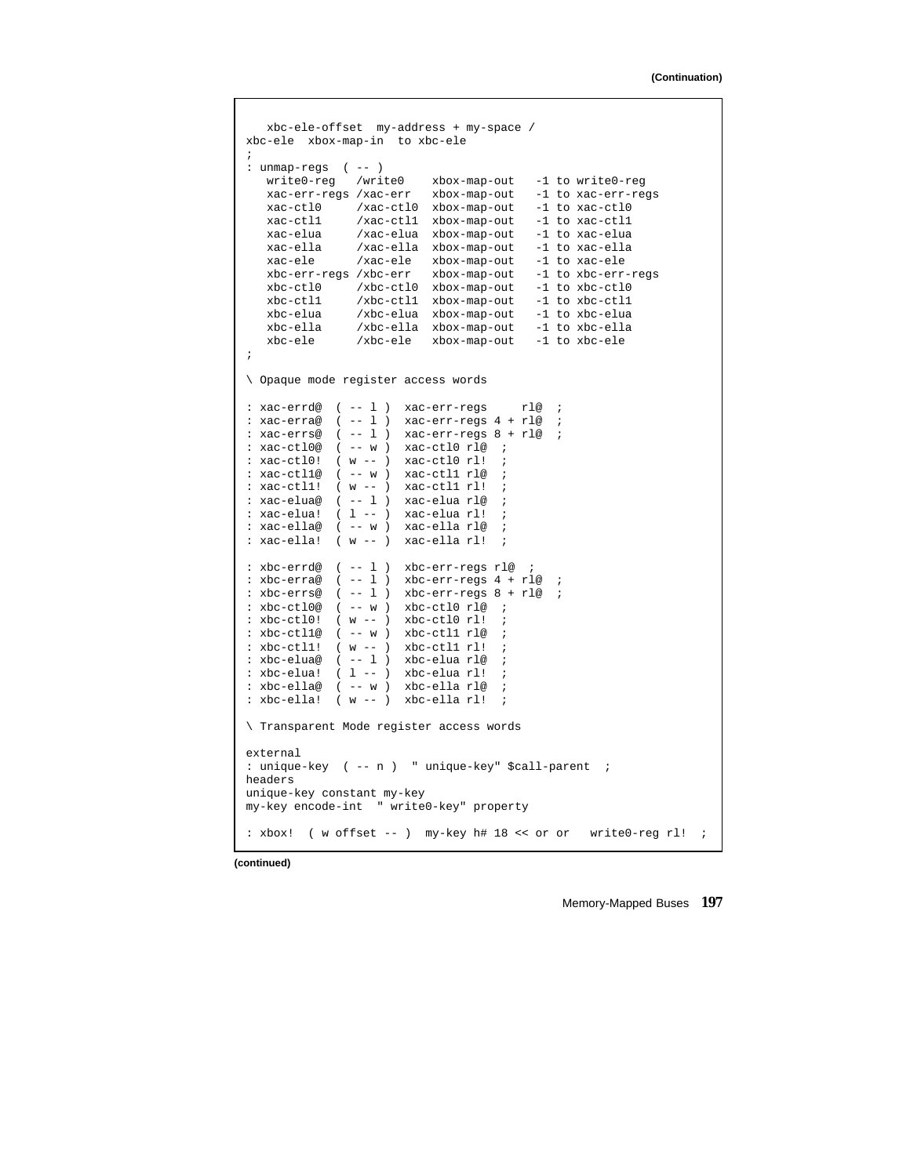```
xbc-ele-offset my-address + my-space /
xbc-ele xbox-map-in to xbc-ele
;
: unmap-regs ( -- )
   write0-reg /write0 xbox-map-out -1 to write0-reg
   xac-err-regs /xac-err xbox-map-out -1 to xac-err-regs
  xac-ctl0 /xac-ctl0 xbox-map-out -1 to xac-ctl0
   xac-ctl1 /xac-ctl1 xbox-map-out -1 to xac-ctl1
              xac-elua /xac-elua xbox-map-out -1 to xac-elua
   xac-ella /xac-ella xbox-map-out -1 to xac-ella
   xac-ele /xac-ele xbox-map-out -1 to xac-ele
   xbc-err-regs /xbc-err xbox-map-out -1 to xbc-err-regs
   xbc-ctl0 /xbc-ctl0 xbox-map-out -1 to xbc-ctl0
   xbc-ctl1 /xbc-ctl1 xbox-map-out -1 to xbc-ctl1
   xbc-elua /xbc-elua xbox-map-out -1 to xbc-elua
   xbc-ella /xbc-ella xbox-map-out -1 to xbc-ella
  xbc-ele /xbc-ele xbox-map-out -1 to xbc-ele
;
\ Opaque mode register access words
: xac-errd@ ( -- l ) xac-err-regs rl@ ;
: xac-erra@ (--1) xac-err-regs 4 + rl@ ;
: xac-errs@ ( -- l ) xac-err-regs 8 + rl@ ;
: xac-ctl0@ ( -- w ) xac-ctl0 rl@ ;
: xac-ctl0! ( w -- ) xac-ctl0 rl! ;
: xac-ctll@ ( -- w ) xac-ctll rl@
: xac-ctl1! ( w -- ) xac-ctl1 rl! ;
: xac-elua@ ( -- l ) xac-elua rl@ ;
: xac-elua! ( l -- ) xac-elua rl! ;
: xac-ella@ ( -- w ) xac-ella rl@ ;
: xac-ella! ( w -- ) xac-ella rl!
: xbc-errd@ ( -- l ) xbc-err-regs rl@ ;
: xbc-erra@ ( -- 1) xbc-err-regs 4 + r1@: xbc-errs@ ( -- l ) xbc-err-regs 8 + rl@ ;
: xbc-ctl0@ ( -- w ) xbc-ctl0 rl@ ;
: xbc-ctl0! ( w -- ) xbc-ctl0 rl! ;
: xbc-\text{ctl1@} (--w) xbc-\text{ctl1 rl@}: xbc-ct11! (w --) xbc-ct11 rl!
: xbc-elua@ ( -- 1 ) xbc-elua rl@
: xbc-elua! ( 1 -- ) xbc-elua rl!
: xbc-ella@ ( -- w ) xbc-ella rl@ ;
: xbc-ella! ( w -- ) xbc-ella rl!
\ Transparent Mode register access words
external
: unique-key ( -- n ) " unique-key" $call-parent ;
headers
unique-key constant my-key
my-key encode-int " write0-key" property
: xbox! ( w offset -- ) my-key h# 18 << or or write0-reg rl! ;
```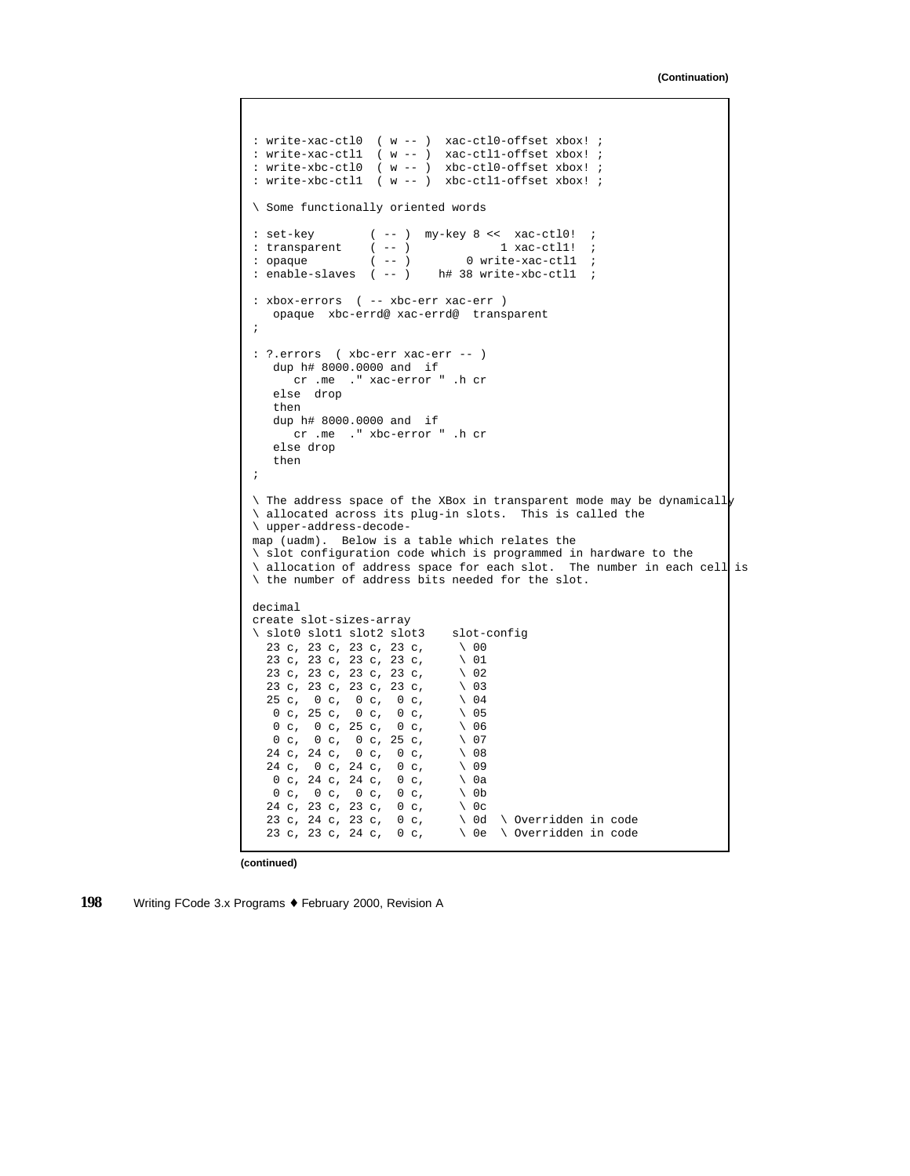```
: write-xac-ctl0 ( w -- ) xac-ctl0-offset xbox! ;
: write-xac-ctl1 ( w -- ) xac-ctl1-offset xbox! ;
: write-xbc-ctl0 ( w -- ) xbc-ctl0-offset xbox! ;
: write-xbc-ctl1 ( w -- ) xbc-ctl1-offset xbox! ;
\ Some functionally oriented words
: set-key ( -- ) my-key 8 << xac-ct10! ;<br>: transparent ( -- ) 1 xac-ct11! ;
: transparent ( -- ) 1 xac-ctll! ;
: opaque ( -- ) 0 write-xac-ctll ;
: enable-slaves ( -- ) h# 38 write-xbc-ctll ;
: xbox-errors ( -- xbc-err xac-err )
   opaque xbc-errd@ xac-errd@ transparent
;
: ?.errors ( xbc-err xac-err -- )
   dup h# 8000.0000 and if
     cr .me ." xac-error " .h cr
   else drop
   then
   dup h# 8000.0000 and if
      cr .me ." xbc-error " .h cr
   else drop
   then
;
\setminus The address space of the XBox in transparent mode may be dynamically
\ allocated across its plug-in slots. This is called the
\ upper-address-decode-
map (uadm). Below is a table which relates the
\ slot configuration code which is programmed in hardware to the
\ allocation of address space for each slot. The number in each cell is
\ the number of address bits needed for the slot.
decimal
create slot-sizes-array
\ slot0 slot1 slot2 slot3 slot-config
  23 c, 23 c, 23 c, 23 c, \ 00
  23 c, 23 c, 23 c, 23 c, \ 01
  23 c, 23 c, 23 c, 23 c, \sqrt{02}<br>23 c, 23 c, 23 c, 23 c, \sqrt{03}23 c, 23 c, 23 c, 23 c, \ 03
  25 c, 0 c, 0 c, 0 c, \sqrt{0.04}0 \text{ c}, 25 \text{ c}, 0 \text{ c}, 0 \text{ c}, \sqrt{05}0 c, 0 c, 25 c, 0 c, \sqrt{0.06}0 c, 0 c, 0 c, 25 c, \sqrt{07}<br>24 c, 24 c, 0 c, 0 c, \sqrt{08}24 c, 24 c, 0 c, 0 c, \setminus 08
  24 c, 0 c, 24 c, 0 c, \ 09
   0 c, 24 c, 24 c, 0 c, \sqrt{0}0 \, c, \, 0 \, c, \, 0 \, c, \, 0 \, c, \, 024 c, 23 c, 23 c, 0 c, \setminus 0c
                               \ 0d \ Overridden in code
  23 c, 23 c, 24 c, 0 c, \ 0e \ Overridden in code
```

```
198 Writing FCode 3.x Programs ♦ February 2000, Revision A
```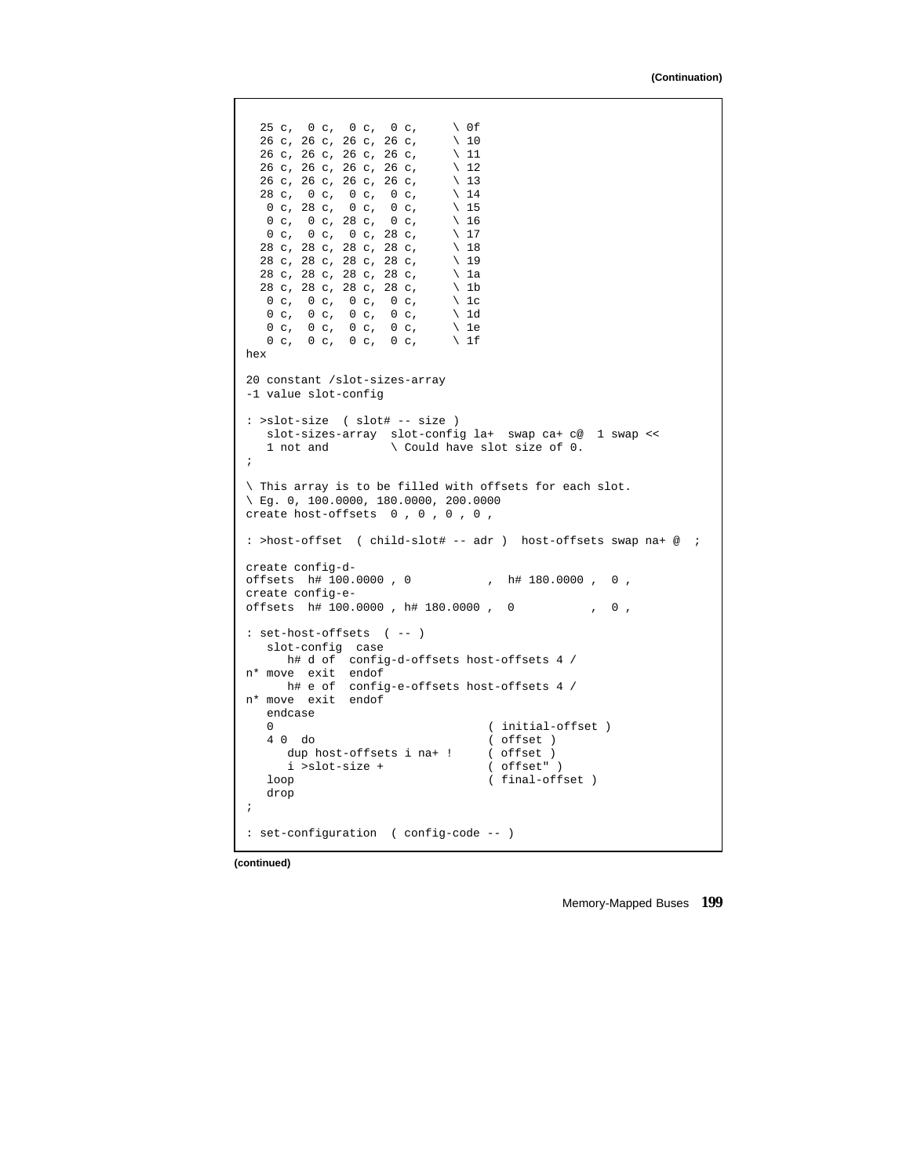```
25 c, 0 c, 0 c, 0 c, \ 0f
  26 c, 26 c, 26 c, 26 c, \ 10
  26 c, 26 c, 26 c, 26 c, \ 11
  26 c, 26 c, 26 c, 26 c, \sqrt{12}<br>26 c, 26 c, 26 c, 26 c, \sqrt{13}26 c, 26 c, 26 c, 26 c, \ 13
  28 c, 0 c, 0 c, 0 c, \sqrt{14}0 c, 28 c, 0 c, 0 c, \sqrt{15}0 c, 0 c, 28 c, 0 c, \ 16
   0 c, 0 c, 0 c, 28 c, \sqrt{17}28 c, 28 c, 28 c, 28 c, \ 18
  28 c, 28 c, 28 c, 28 c, \ 19
  28 c, 28 c, 28 c, 28 c, \ 1a<br>28 c, 28 c, 28 c, 28 c, \ 1b
  28 c, 28 c, 28 c, 28 c, \ 1b
   0 c, 0 c, 0 c, 0 c, \sqrt{1}0 c, 0 c, 0 c, 0 c, 1d
   0 c, 0 c, 0 c, \ 1e
   0 c, 0 c, 0 c, 0 c, \sqrt{11}hex
20 constant /slot-sizes-array
-1 value slot-config
: >slot-size ( slot# -- size )
  slot-sizes-array slot-config la+ swap ca+ c@ 1 swap <<
   1 not and \setminus Could have slot size of 0.
;
\ This array is to be filled with offsets for each slot.
\ Eg. 0, 100.0000, 180.0000, 200.0000
create host-offsets 0 , 0 , 0 , 0 ,
: >host-offset ( child-slot# -- adr ) host-offsets swap na+ @ ;
create config-d-<br>offsets h# 100.0000 , 0
                            , h# 180.0000 , 0 ,
create config-e-
offsets h# 100.0000 , h# 180.0000 , 0 , 0 ,
: set-host-offsets ( -- )
  slot-config case
     h# d of config-d-offsets host-offsets 4 /
n* move exit endof
    h# e of config-e-offsets host-offsets 4 /
n* move exit endof
   endcase
   0 (\text{initial-offset})<br>4 0 do (\text{offset})
                                  ( offset )<br>( offset )
     dup host-offsets i na+ ! ( offset )<br>i >slot-size + ( offset" )
     i >slot-size +
   loop (final-offset)
   drop
;
: set-configuration ( config-code -- )
```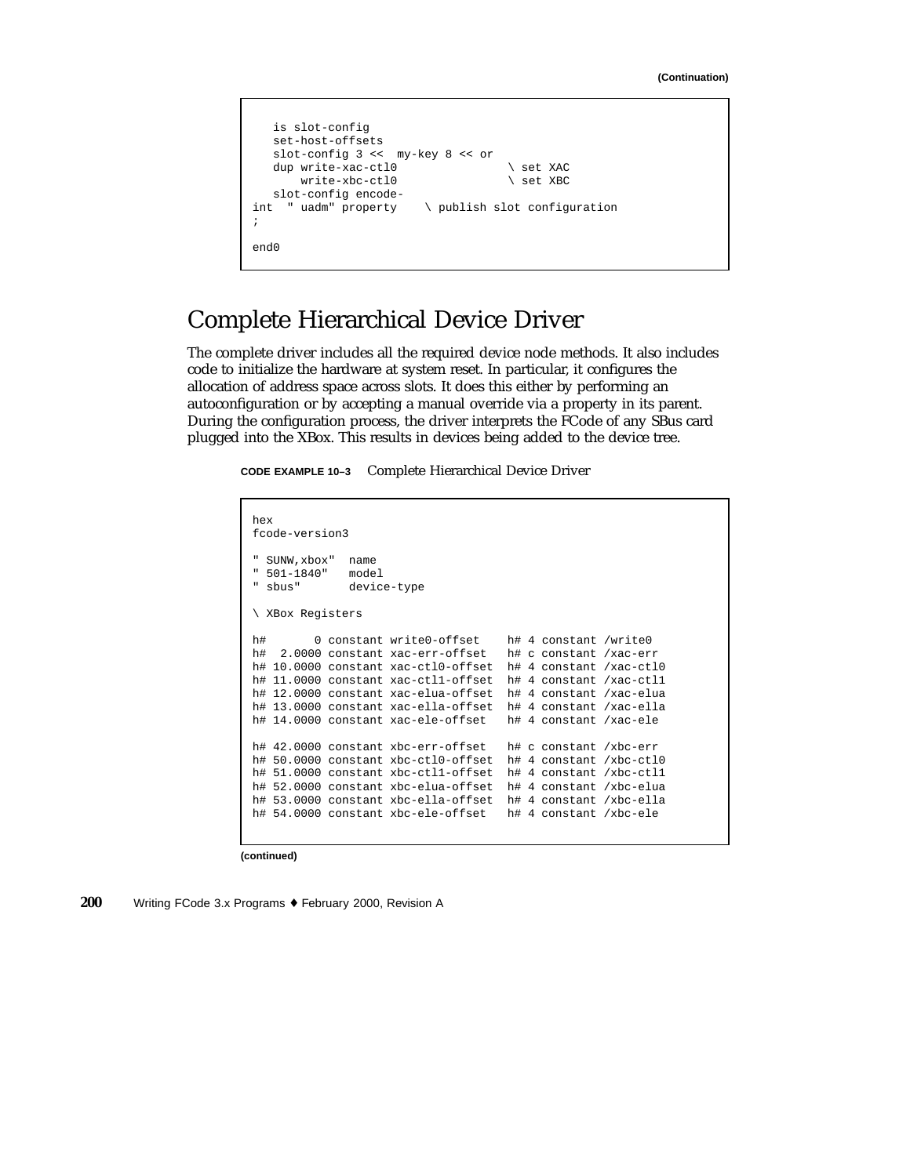```
is slot-config
   set-host-offsets
   slot-config 3 << my-key 8 << or
   dup write-xac-ctl0 \vee set XAC<br>write-xbc-ctl0 \vee set XBC
       write-xbc-ctl0
   slot-config encode-
int " uadm" property \ publish slot configuration
;
end0
```
### Complete Hierarchical Device Driver

The complete driver includes all the required device node methods. It also includes code to initialize the hardware at system reset. In particular, it configures the allocation of address space across slots. It does this either by performing an autoconfiguration or by accepting a manual override via a property in its parent. During the configuration process, the driver interprets the FCode of any SBus card plugged into the XBox. This results in devices being added to the device tree.

**CODE EXAMPLE 10–3** Complete Hierarchical Device Driver

```
hex
fcode-version3
" SUNW,xbox" name
" 501-1840" model
             device-type
\ XBox Registers
h# 0 constant write0-offset h# 4 constant /write0
h# 2.0000 constant xac-err-offset h# c constant /xac-err
h# 10.0000 constant xac-ctl0-offset h# 4 constant /xac-ctl0
h# 11.0000 constant xac-ctl1-offset h# 4 constant /xac-ctl1
h# 12.0000 constant xac-elua-offset h# 4 constant /xac-elua
h# 13.0000 constant xac-ella-offset h# 4 constant /xac-ella
h# 14.0000 constant xac-ele-offset h# 4 constant /xac-ele
h# 42.0000 constant xbc-err-offset h# c constant /xbc-err
h# 50.0000 constant xbc-ctl0-offset h# 4 constant /xbc-ctl0
h# 51.0000 constant xbc-ctl1-offset h# 4 constant /xbc-ctl1
h# 52.0000 constant xbc-elua-offset h# 4 constant /xbc-elua
h# 53.0000 constant xbc-ella-offset h# 4 constant /xbc-ella
h# 54.0000 constant xbc-ele-offset h# 4 constant /xbc-ele
```
**(continued)**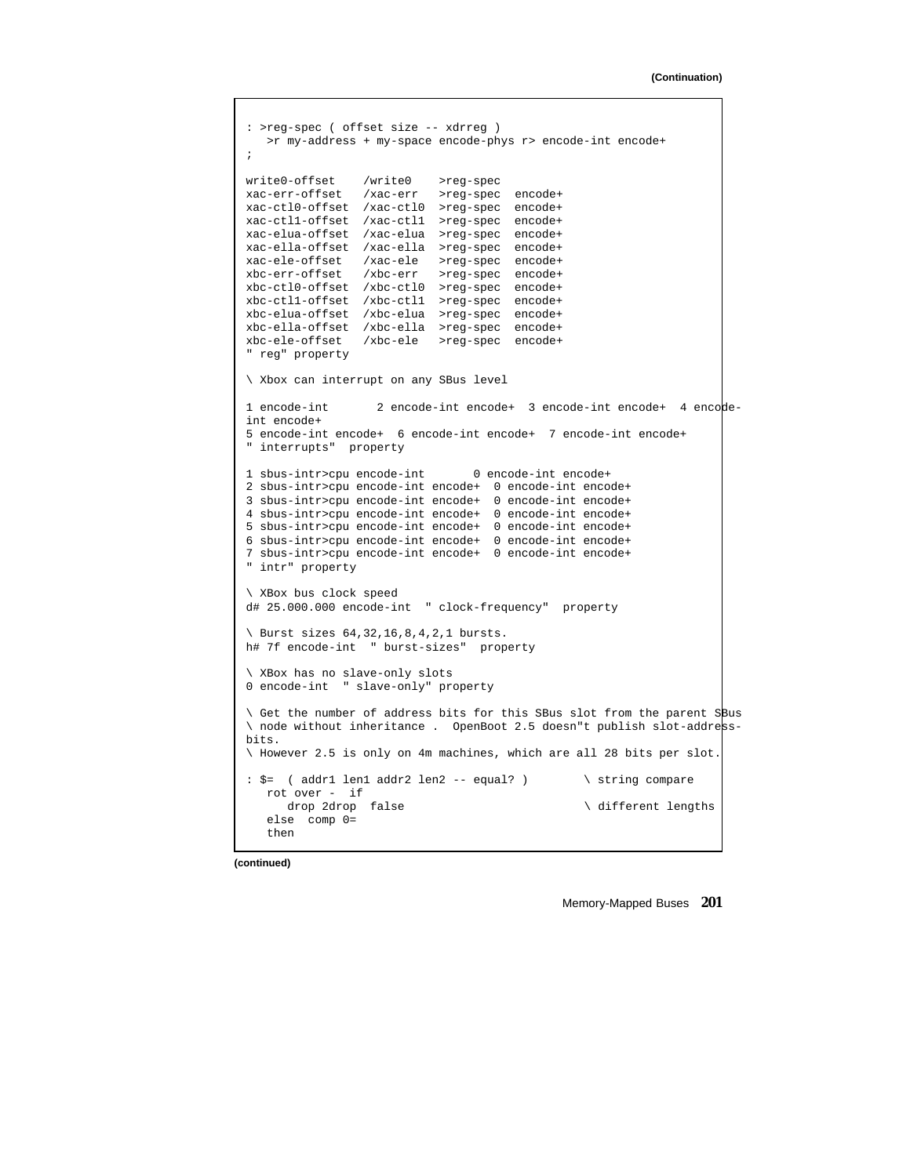```
: >reg-spec ( offset size -- xdrreg )
  >r my-address + my-space encode-phys r> encode-int encode+
;
write0-offset /write0 >reg-spec
xac-err-offset /xac-err >reg-spec encode+
xac-ctl0-offset /xac-ctl0 >reg-spec encode+
xac-ctl1-offset /xac-ctl1 >reg-spec encode+
xac-elua-offset /xac-elua >reg-spec encode+
xac-ella-offset /xac-ella >reg-spec encode+
xac-ele-offset /xac-ele >reg-spec encode+
xbc-err-offset /xbc-err >reg-spec encode+
xbc-ctl0-offset /xbc-ctl0 >reg-spec encode+
xbc-ctl1-offset /xbc-ctl1 >reg-spec encode+
xbc-elua-offset /xbc-elua >reg-spec encode+
xbc-ella-offset /xbc-ella >reg-spec encode+
xbc-ele-offset /xbc-ele >reg-spec encode+
" reg" property
\ Xbox can interrupt on any SBus level
1 encode-int 2 encode-int encode+ 3 encode-int encode+ 4 encode-
int encode+
5 encode-int encode+ 6 encode-int encode+ 7 encode-int encode+
" interrupts" property
1 sbus-intr>cpu encode-int 0 encode-int encode+
2 sbus-intr>cpu encode-int encode+ 0 encode-int encode+
3 sbus-intr>cpu encode-int encode+ 0 encode-int encode+
4 sbus-intr>cpu encode-int encode+ 0 encode-int encode+
5 sbus-intr>cpu encode-int encode+ 0 encode-int encode+
6 sbus-intr>cpu encode-int encode+ 0 encode-int encode+
7 sbus-intr>cpu encode-int encode+ 0 encode-int encode+
" intr" property
\ XBox bus clock speed
d# 25.000.000 encode-int " clock-frequency" property
\ Burst sizes 64,32,16,8,4,2,1 bursts.
h# 7f encode-int " burst-sizes" property
\ XBox has no slave-only slots
0 encode-int " slave-only" property
\ Get the number of address bits for this SBus slot from the parent SBus
\ node without inheritance . OpenBoot 2.5 doesn"t publish slot-address-
bits.
\ However 2.5 is only on 4m machines, which are all 28 bits per slot.
: $= ( addr1 len1 addr2 len2 -- equal? ) \ string compare
  rot over - if
                                               \setminus different lengths
   else comp 0=
   then
```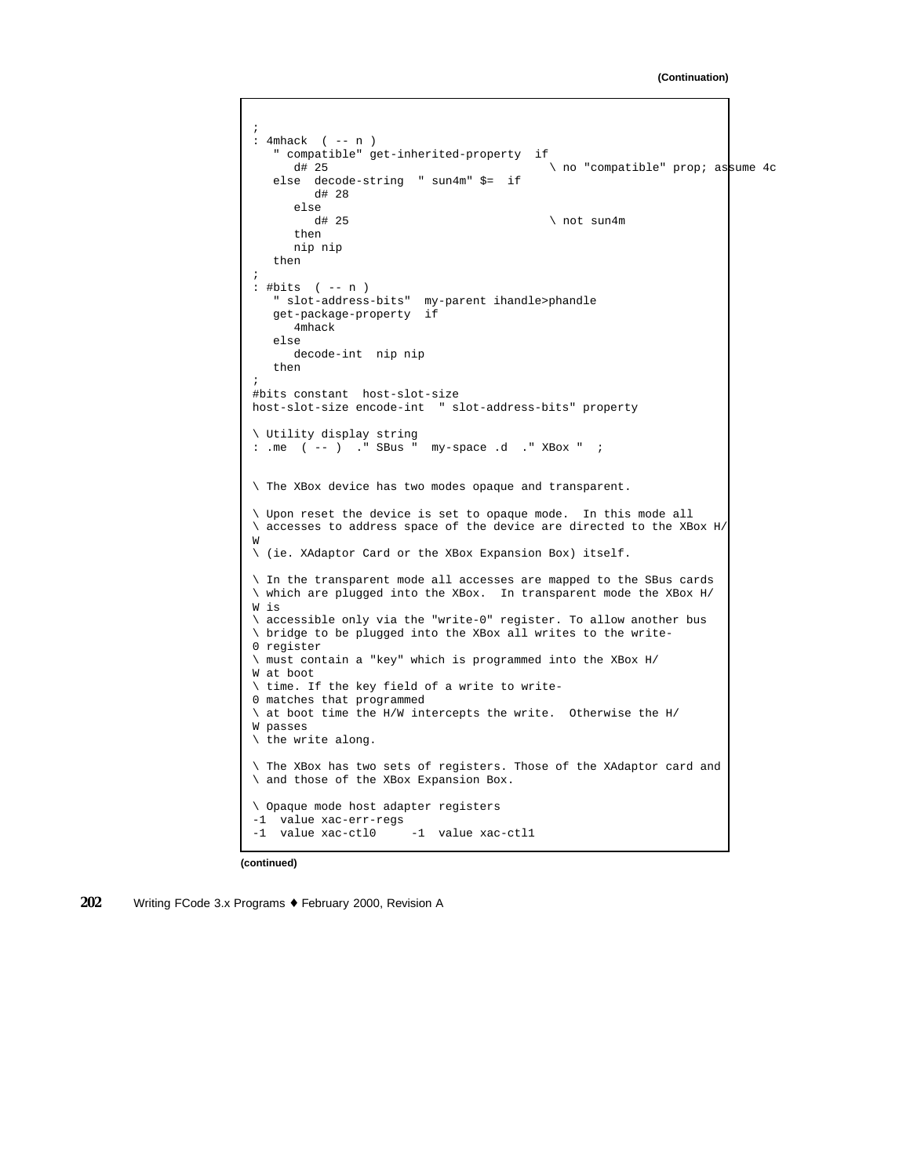```
;
: 4mhack ( -- n )
   " compatible" get-inherited-property if
     d# 25 \downarrow no "compatible" prop; assume 4c
   else decode-string " sun4m" $= if
        d# 28
     else
        d# 25 \ not sun4m
      then
     nip nip
   then
;
: #bits ( -- n )
   " slot-address-bits" my-parent ihandle>phandle
   get-package-property if
     4mhack
   else
     decode-int nip nip
   then
;
#bits constant host-slot-size
host-slot-size encode-int " slot-address-bits" property
\ Utility display string
: .me ( -- ) ." SBus " my-space .d ." XBox " ;
\ The XBox device has two modes opaque and transparent.
\ Upon reset the device is set to opaque mode. In this mode all
\ accesses to address space of the device are directed to the XBox H/
W
\ (ie. XAdaptor Card or the XBox Expansion Box) itself.
\ In the transparent mode all accesses are mapped to the SBus cards
\ which are plugged into the XBox. In transparent mode the XBox H/
W is
\ accessible only via the "write-0" register. To allow another bus
\ bridge to be plugged into the XBox all writes to the write-
0 register
\ must contain a "key" which is programmed into the XBox H/
W at boot
\ time. If the key field of a write to write-
0 matches that programmed
\ at boot time the H/W intercepts the write. Otherwise the H/
W passes
\ the write along.
\ The XBox has two sets of registers. Those of the XAdaptor card and
\ and those of the XBox Expansion Box.
\ Opaque mode host adapter registers
-1 value xac-err-regs
-1 value xac-ctl0 -1 value xac-ctl1
```

```
(continued)
```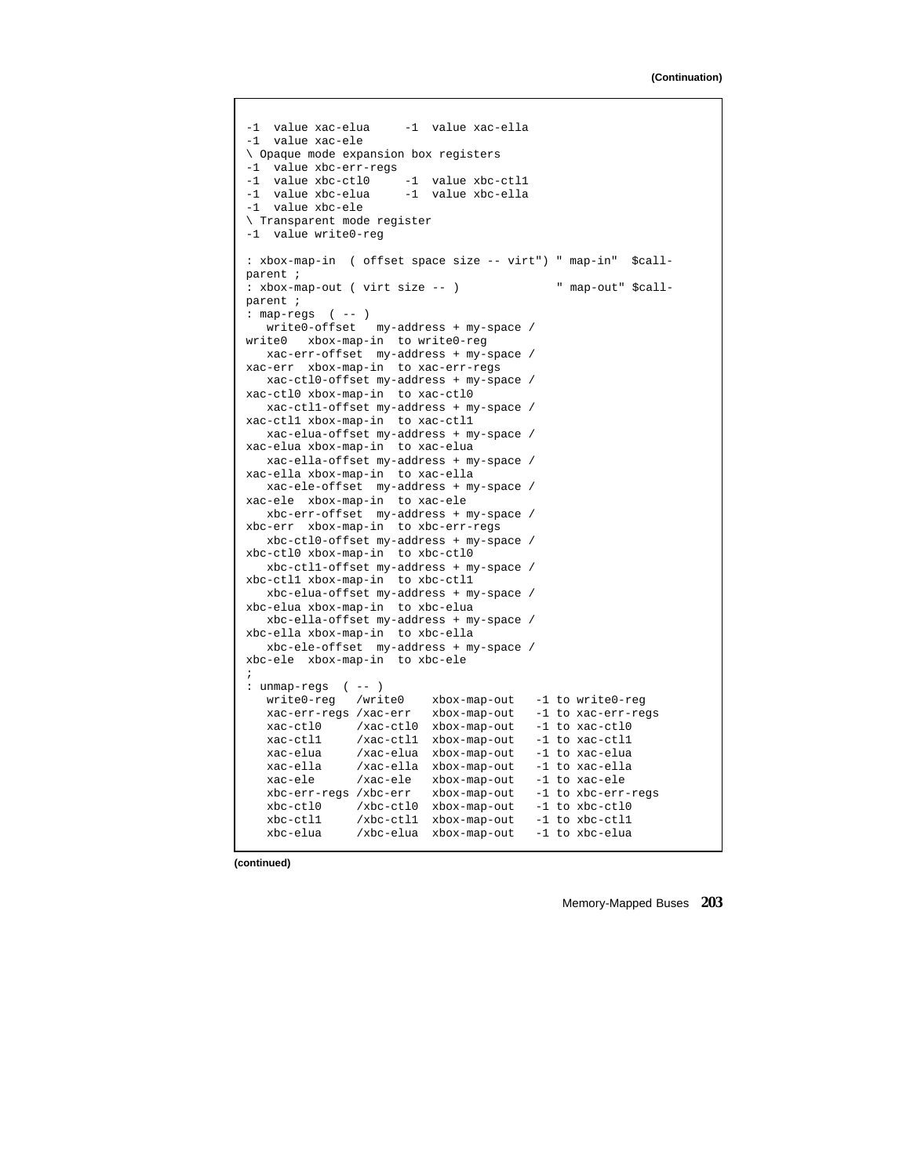```
-1 value xac-elua -1 value xac-ella
-1 value xac-ele
\ Opaque mode expansion box registers
-1 value xbc-err-regs<br>-1 value xbc-ctl0
-1 value xbc-ctl0 -1 value xbc-ctl1
-1 value xbc-elua -1 value xbc-ella
-1 value xbc-ele
\ Transparent mode register
-1 value write0-reg
: xbox-map-in ( offset space size -- virt") " map-in" $call-
parent ;
: xbox-map-out ( virt size -- ) " map-out" $call-
parent ;
: map-regs ( -- )
  write0-offset my-address + my-space /
write0 xbox-map-in to write0-reg
  xac-err-offset my-address + my-space /
xac-err xbox-map-in to xac-err-regs
 xac-ctl0-offset my-address + my-space /
xac-ctl0 xbox-map-in to xac-ctl0
  xac-ctl1-offset my-address + my-space /
xac-ctl1 xbox-map-in to xac-ctl1
  xac-elua-offset my-address + my-space /
xac-elua xbox-map-in to xac-elua
  xac-ella-offset my-address + my-space /
xac-ella xbox-map-in to xac-ella
  xac-ele-offset my-address + my-space /
xac-ele xbox-map-in to xac-ele
  xbc-err-offset my-address + my-space /
xbc-err xbox-map-in to xbc-err-regs
  xbc-ctl0-offset my-address + my-space /
xbc-ctl0 xbox-map-in to xbc-ctl0
  xbc-ctl1-offset my-address + my-space /
xbc-ctl1 xbox-map-in to xbc-ctl1
  xbc-elua-offset my-address + my-space /
xbc-elua xbox-map-in to xbc-elua
   xbc-ella-offset my-address + my-space /
xbc-ella xbox-map-in to xbc-ella
  xbc-ele-offset my-address + my-space /
xbc-ele xbox-map-in to xbc-ele
;
: unmap-regs ( -- )
  write0-reg /write0 xbox-map-out -1 to write0-reg
   xac-err-regs /xac-err xbox-map-out -1 to xac-err-regs
   xac-ctl0 /xac-ctl0 xbox-map-out -1 to xac-ctl0
  xac-ctl1 /xac-ctl1 xbox-map-out -1 to xac-ctl1
  xac-elua /xac-elua xbox-map-out
  xac-ella /xac-ella xbox-map-out -1 to xac-ella
  xac-ele /xac-ele xbox-map-out -1 to xac-ele<br>xbc-err-regs /xbc-err xbox-map-out -1 to xbc-err-regs
  xbc-err-regs /xbc-err xbox-map-out -1 to xbc-err-r<br>xbc-ctl0 /xbc-ctl0 xbox-map-out -1 to xbc-ctl0
   xbc-ctl0 /xbc-ctl0 xbox-map-out -1 to xbc-ctl0
   xbc-ctl1 /xbc-ctl1 xbox-map-out -1 to xbc-ctl1
   xbc-elua /xbc-elua xbox-map-out -1 to xbc-elua
```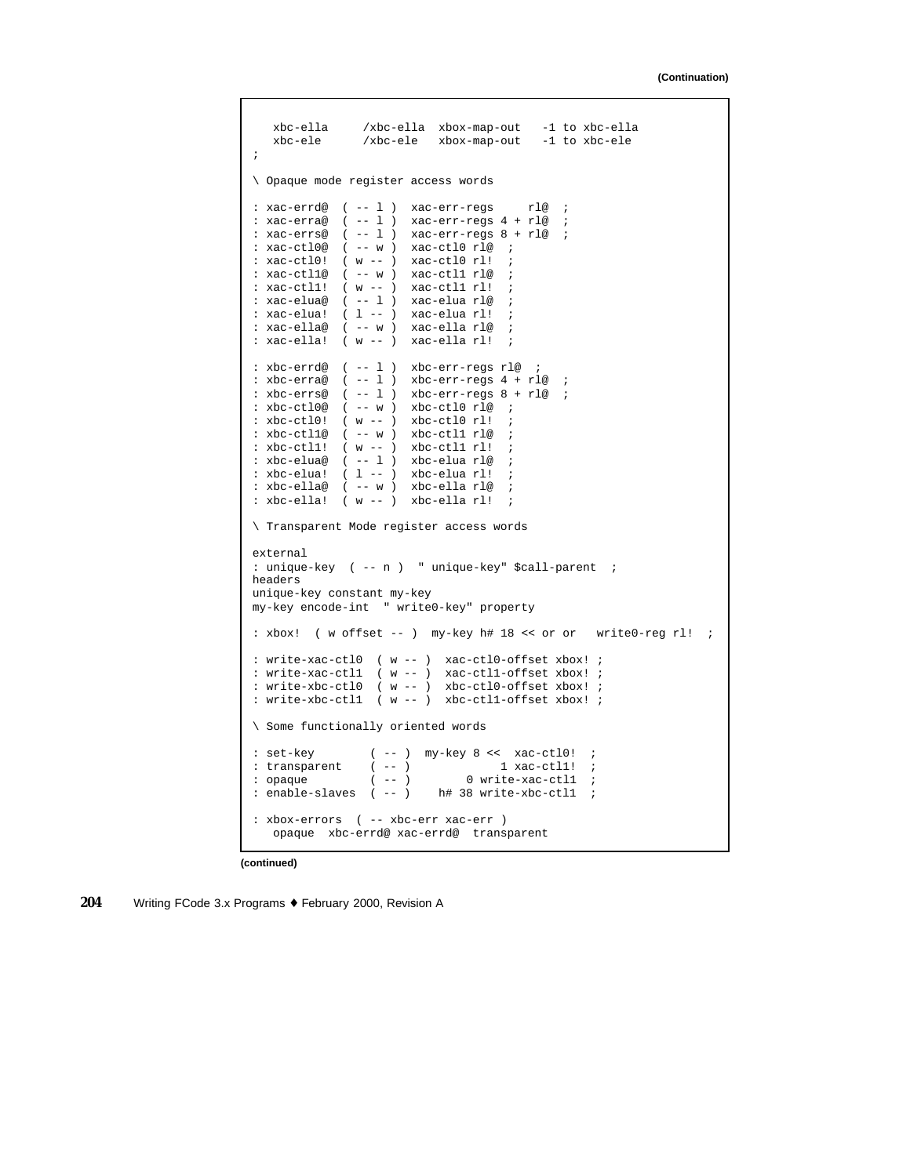```
xbc-ella /xbc-ella xbox-map-out -1 to xbc-ella
   xbc-ele /xbc-ele xbox-map-out -1 to xbc-ele
;
\ Opaque mode register access words
: xac-errd@ ( -- l ) xac-err-regs rl@ ;
: xac-erra@ ( -- l ) xac-err-regs 4 + rl@ ;
: xac-errs@ ( -- l ) xac-err-regs 8 + rl@ ;
: xac-ctl0@ ( -- w ) xac-ctl0 rl@ ;
: xac-ctl0! ( w -- ) xac-ctl0 rl!
: xac-ctl1@ ( -- w ) xac-ctl1 rl@ ;
: xac-ctl1! ( w -- ) xac-ctl1 rl! ;
: xac-elua@ ( -- l ) xac-elua rl@ ;
: xac-elua! ( l -- ) xac-elua rl! ;
: xac-ella@ ( -- w ) xac-ella rl@ ;
: xac-ella! ( w -- ) xac-ella rl!
: xbc-errd@ ( -- l ) xbc-err-regs rl@ ;
: xbc-erra@ (--1) xbc-err-regs 4 + r1@ ;
: xbc-errs@ (--1) xbc-err-res@ 8 + r1@ ;
: xbc-ctl0@ ( -- w ) xbc-ctl0 rl@ ;
: xbc-ct10! (w --) xbc-ct10 rl!
: xbc-ct11@ ( -- w ) xbc-ct11 r1@: xbc-ct11! (w --) xbc-ct11 rl!
: xbc-elua@ ( -- l ) xbc-elua rl@ ;
: xbc-elua! ( l -- ) xbc-elua rl!
: xbc-ella@ ( -- w ) xbc-ella rl@ ;
: xbc-ella! ( w -- ) xbc-ella rl!
\ Transparent Mode register access words
external
: unique-key ( -- n ) " unique-key" $call-parent ;
headers
unique-key constant my-key
my-key encode-int " write0-key" property
: xbox! ( w offset -- ) my-key h# 18 << or or write0-reg rl! ;
: write-xac-ctl0 ( w -- ) xac-ctl0-offset xbox! ;
: write-xac-ctl1 ( w -- ) xac-ctl1-offset xbox! ;
: write-xbc-ctl0 ( w -- ) xbc-ctl0-offset xbox! ;
: write-xbc-ctl1 ( w -- ) xbc-ctl1-offset xbox! ;
\ Some functionally oriented words
: set-key ( -- ) my-key 8 << xac-ctl0! ;
: transparent (--) 1 xac-ctll! ;
: opaque ( -- ) 0 write-xac-ctll ;
: enable-slaves ( -- ) h# 38 write-xbc-ctll ;
: xbox-errors ( -- xbc-err xac-err )
   opaque xbc-errd@ xac-errd@ transparent
```

```
(continued)
```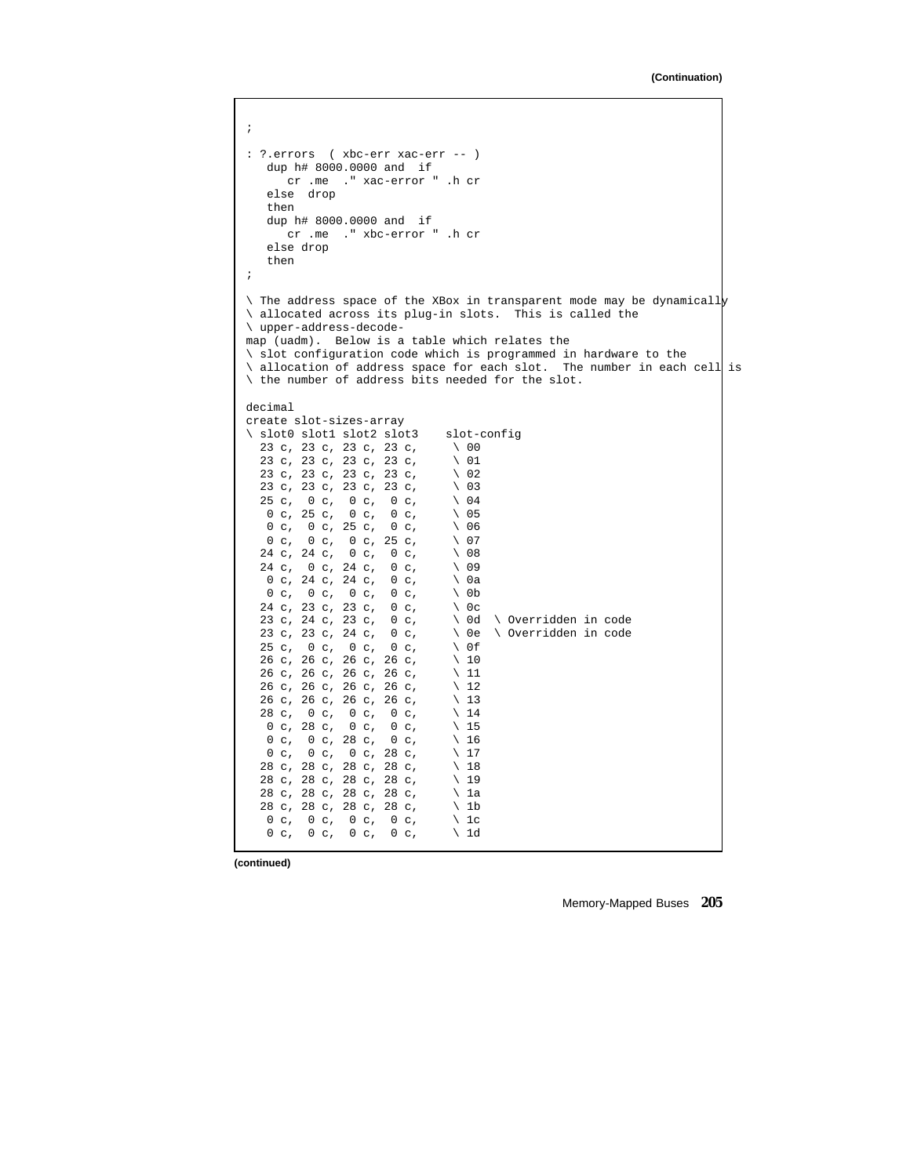```
;
: ?.errors ( xbc-err xac-err -- )
   dup h# 8000.0000 and if
       cr .me ." xac-error " .h cr
    else drop
    then
   dup h# 8000.0000 and if
       cr .me ." xbc-error " .h cr
    else drop
    then
;
\setminus The address space of the XBox in transparent mode may be dynamically
\ allocated across its plug-in slots. This is called the
\ upper-address-decode-
map (uadm). Below is a table which relates the
\ slot configuration code which is programmed in hardware to the
\ allocation of address space for each slot. The number in each cell is
\ the number of address bits needed for the slot.
decimal
create slot-sizes-array
\setminus slot0 slot1 slot2 slot3 slot-config<br>23 c, 23 c, 23 c, 23 c, \setminus 00
  23 c, 23 c, 23 c, 23 c, \ 00
  23 c, 23 c, 23 c, 23 c, \sqrt{01}<br>23 c, 23 c, 23 c, 23 c, \sqrt{02}23 c, 23 c, 23 c, 23 c, \sqrt{02}<br>23 c, 23 c, 23 c, 23 c, \sqrt{03}23 c, 23 c, 23 c, 23 c, \ 03
  25 c, 0 c, 0 c, 0 c, \ 04<br>0 c, 25 c, 0 c, 0 c, \ 05
   0 c, 25 c, 0 c, 0 c, 05<br>0 c, 0 c, 25 c, 0 c, 06
   0 c, 0 c, 25 c, 0 c, 06<br>0 c, 0 c, 0 c, 25 c, 07
    0 \text{ c}, 0 \text{ c}, 0 \text{ c}, 25 \text{ c}, 07
   24 c, 24 c, 0 c, 0 c, \setminus 08
   24 c, 0 c, 24 c, 0 c, \ 09
    0 c, 24 c, 24 c, 0 c, \sqrt{0a}0 \text{ c}, 0 \text{ c}, 0 \text{ c}, 0 \text{ c}, 0 \text{ c}, 0 \text{ b}24 c, 23 c, 23 c, 0 c, \ 0c<br>23 c, 24 c, 23 c, 0 c, \ 0d
  23 c, 24 c, 23 c, 0 c, \setminus 0d \overrightarrow{} Overridden in code<br>23 c, 23 c, 24 c, 0 c, \setminus 0e \overrightarrow{} Overridden in code
  23 c, 23 c, 24 c, 0 c, \searrow 0e<br>25 c, 0 c, 0 c, 0 c, \searrow 0f
  25 c, 0 c, 0 c, 0 c, \sqrt{0.05}<br>26 c, 26 c, 26 c, 26 c, \sqrt{10}26 c, 26 c, 26 c, 26 c, \ 10
  26 c, 26 c, 26 c, 26 c, \ 11<br>26 c, 26 c, 26 c, 26 c, \ 12
  26 c, 26 c, 26 c, 26 c, \ 12
  26 c, 26 c, 26 c, 26 c, \ 13
   28 c, 0 c, 0 c, 0 c, \sqrt{14}0 c, 28 c, 0 c, 0 c, \sqrt{15}0 c, 0 c, 28 c, 0 c, \sqrt{16}<br>0 c, 0 c, 0 c, 28 c, \sqrt{17}0 c, 0 c, 0 c, 28 c, \sqrt{17}28 c, 28 c, 28 c, 28 c, \ 18
  28 c, 28 c, 28 c, 28 c, \ 19
  28 c, 28 c, 28 c, 28 c, \lambda 1a<br>28 c, 28 c, 28 c, 28 c, \lambda 1b
  28 c, 28 c, 28 c, 28 c, \ 1b
   0 c, 0 c, 0 c, 0 c, \sqrt{1c}0 c, 0 c, 0 c, 0 c, \sqrt{1d}
```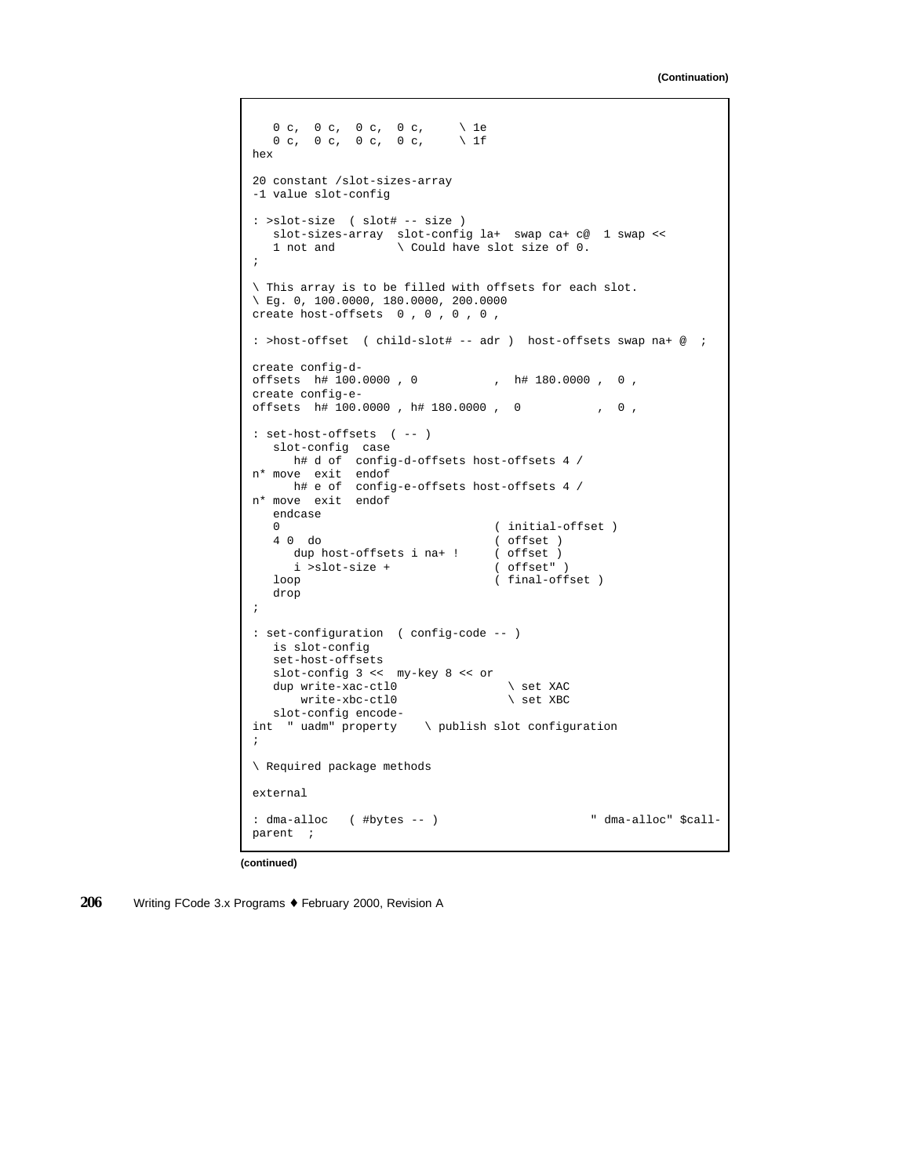```
0 c, 0 c, 0 c, \ 1e
   0 \, c, \, 0 \, c, \, 0 \, c, \, 0 \, c, \, 0 \, 1fhex
20 constant /slot-sizes-array
-1 value slot-config
: >slot-size ( slot# -- size )
  slot-sizes-array slot-config la+ swap ca+ c@ 1 swap <<
   1 not and \setminus Could have slot size of 0.
;
\ This array is to be filled with offsets for each slot.
\ Eg. 0, 100.0000, 180.0000, 200.0000
create host-offsets 0 , 0 , 0 , 0 ,
: >host-offset ( child-slot# -- adr ) host-offsets swap na+ @ ;
create config-d-
offsets h# 100.0000, 0 , h# 180.0000, 0,
create config-e-
offsets h# 100.0000 , h# 180.0000 , 0 , 0 ,
: set-host-offsets ( -- )
  slot-config case
     h# d of config-d-offsets host-offsets 4 /
n* move exit endof
    h# e of config-e-offsets host-offsets 4 /
n* move exit endof
  endcase
   0 (initial-offset)
   4 0 do ( offset )<br>dup host-offsets i na+ ! ( offset )
     dup host-offsets i na+ !
   i >slot-size + ( offset" )<br>loop ( final-off
                                 ( final-offset )
   drop
;
: set-configuration ( config-code -- )
  is slot-config
  set-host-offsets
   slot-config 3 << my-key 8 << or
  dup write-xac-ctl0 \setminus set XAC<br>write-xbc-ctl0 \setminus set XBC
      write-xbc-ct10slot-config encode-
int " uadm" property \ publish slot configuration
;
\ Required package methods
external
: dma-alloc ( #bytes -- ) " dma-alloc" $call-
parent ;
```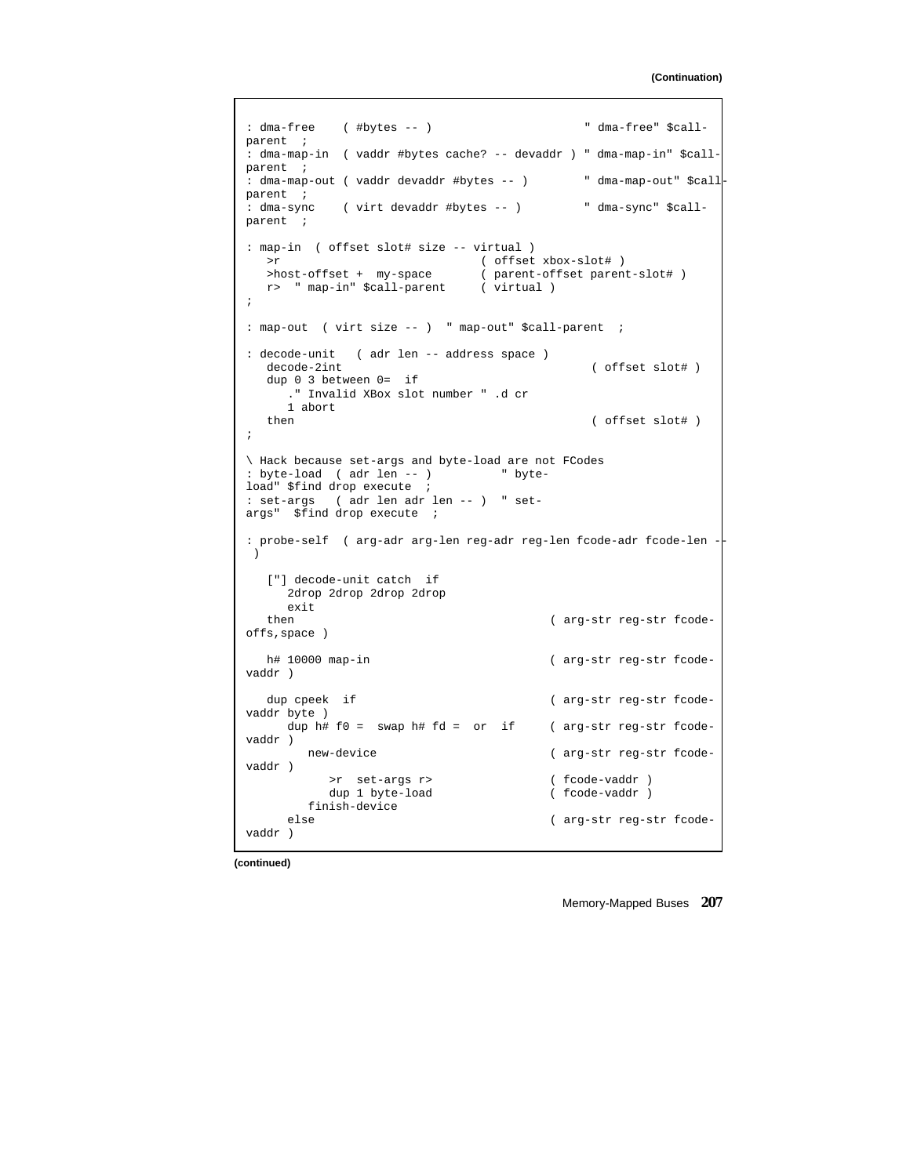```
: dma-free ( #bytes -- ) " dma-free" $call-
parent ;
: dma-map-in ( vaddr #bytes cache? -- devaddr ) " dma-map-in" $call-
parent ;
: dma-map-out ( vaddr devaddr #bytes -- ) " dma-map-out" $call
parent ;<br>: dma-sync
          : dma-sync ( virt devaddr #bytes -- ) " dma-sync" $call-
parent ;
: map-in ( offset slot# size -- virtual )
   >r ( offset xbox-slot# )
   >host-offset + my-space ( parent-offset parent-slot# )
   r> " map-in" $call-parent ( virtual )
;
: map-out ( virt size -- ) " map-out" $call-parent ;
: decode-unit ( adr len -- address space )
  decode-2int ( offset slot# )
  dup 0 3 between 0= if
    ." Invalid XBox slot number " .d cr
  1 abort<br>then
                                          ( offset slot# )
;
\ Hack because set-args and byte-load are not FCodes
: byte-load ( adr len -- ) " byte-
load" $find drop execute ;
: set-args ( adr len adr len -- ) " set-
args" $find drop execute ;
: probe-self ( arg-adr arg-len reg-adr reg-len fcode-adr fcode-len -
 )
  ["] decode-unit catch if
    2drop 2drop 2drop 2drop
  exit<br>then
                                     ( arg-str reg-str fcode-
offs,space )
  h# 10000 map-in ( arg-str reg-str fcode-
vaddr )
  dup cpeek if (arg-str reg-str fcode-
vaddr byte )
    dup h# f0 = swap h# fd = or if ( arg-str reg-str fcode-
vaddr )
      new-device ( arg-str reg-str fcode-
vaddr )
         >r set-args r> ( fcode-vaddr )
         dup 1 byte-load
    finish-device
                                     ( arg-str reg-str fcode-
vaddr )
```
**(continued)**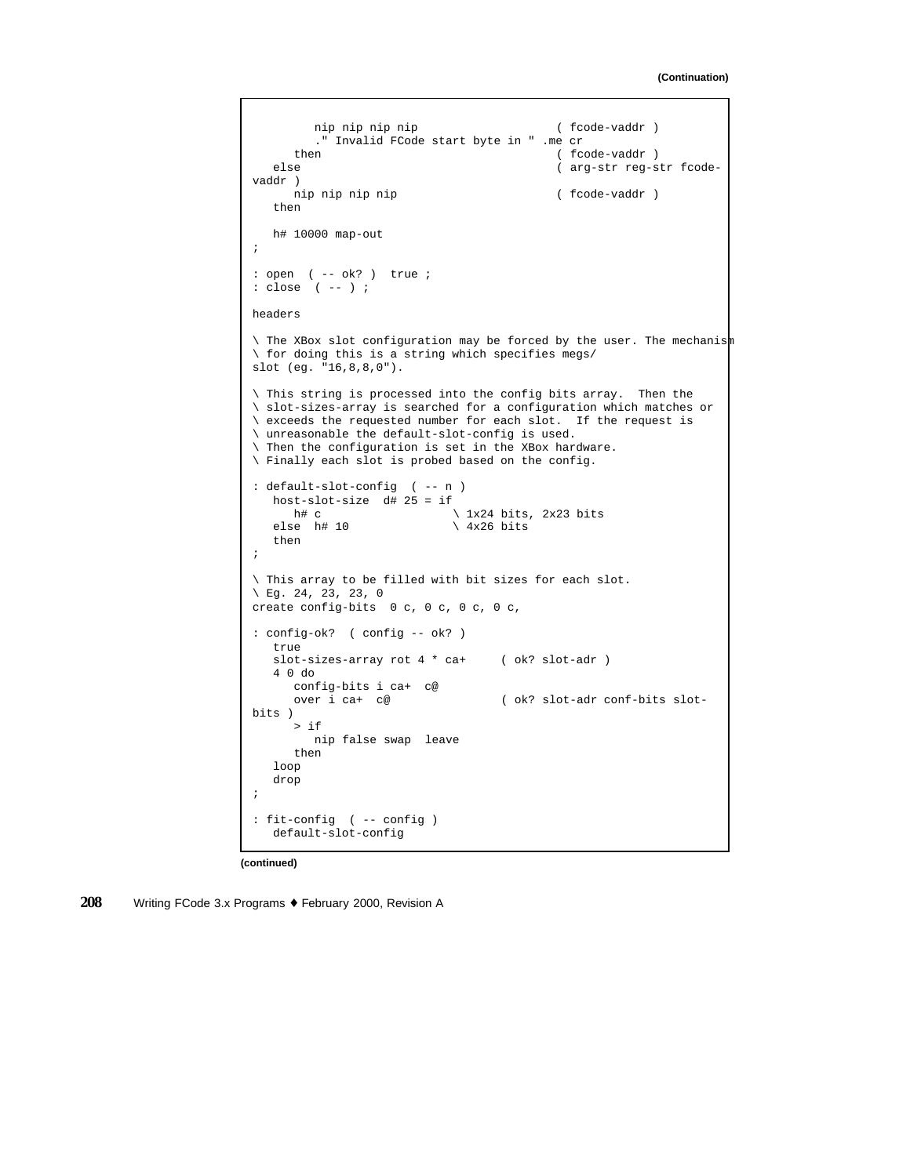```
nip nip nip nip ( fcode-vaddr )." Invalid FCode start byte in " .me cr
                                         ( fcode-vaddr )
   else ( arg-str reg-str fcode-
vaddr )
     nip nip nip nip ( fcode-vaddr )then
  h# 10000 map-out
;
: open ( -- ok? ) true ;
: close ( -- ) ;
headers
\ The XBox slot configuration may be forced by the user. The mechanism
\ for doing this is a string which specifies megs/
slot (eg. "16,8,8,0").
\ This string is processed into the config bits array. Then the
\ slot-sizes-array is searched for a configuration which matches or
\ exceeds the requested number for each slot. If the request is
\ unreasonable the default-slot-config is used.
\ Then the configuration is set in the XBox hardware.
\ Finally each slot is probed based on the config.
: default-slot-config ( -- n )
  host-slot-size d# 25 = if<br>h# c
   h# c \lambda 1x24 bits, 2x23 bits<br>else h# 10 \lambda 4x26 bits
                           \sqrt{4 \times 26} bits
   then
;
\ This array to be filled with bit sizes for each slot.
\ Eg. 24, 23, 23, 0
create config-bits 0 c, 0 c, 0 c, 0 c,
: config-ok? ( config -- ok? )
  true
   slot-sizes-array rot 4 * ca+ ( ok? slot-adr )
   4 0 do
     config-bits i ca+ c@
     over i ca+ c@ ( ok? slot-adr conf-bits slot-
bits )
     > if
        nip false swap leave
     then
   loop
   drop
;
: fit-config ( -- config )
   default-slot-config
```
**(continued)**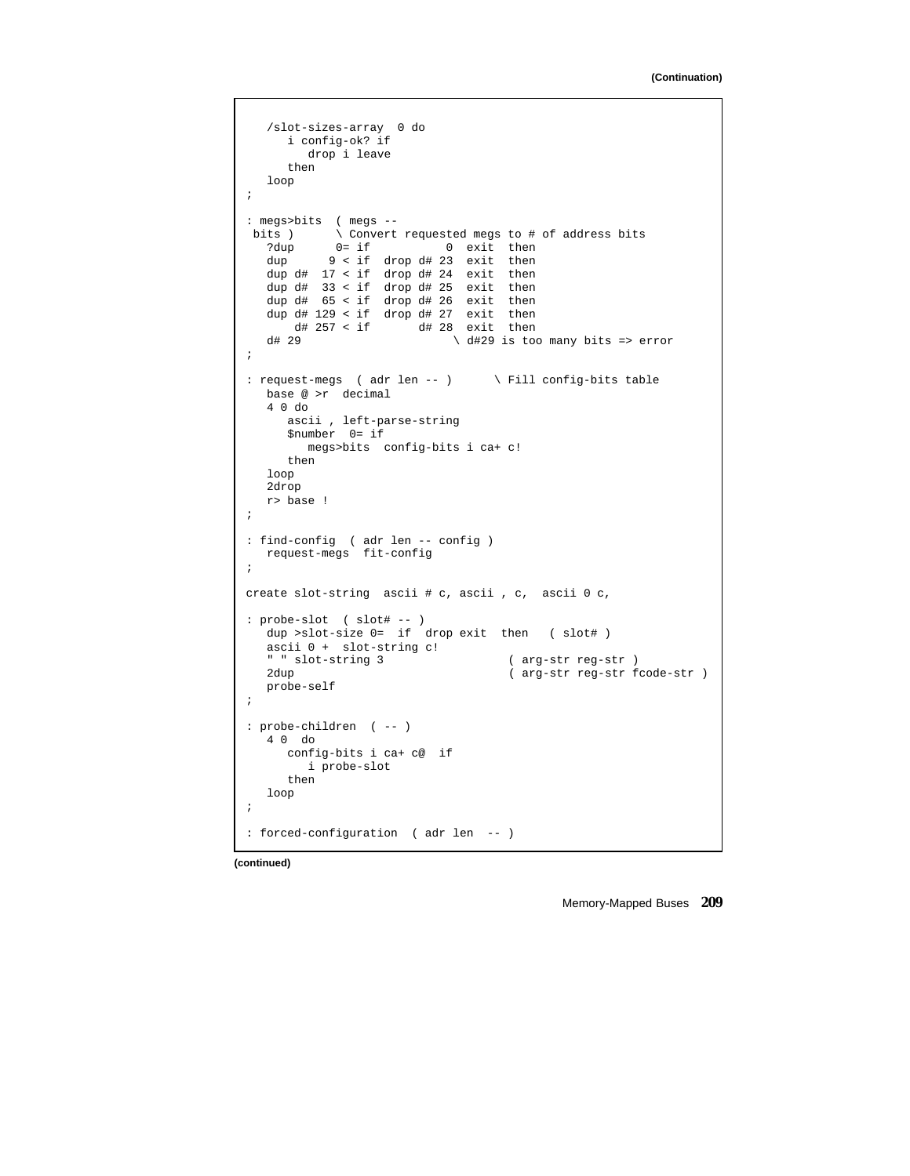```
/slot-sizes-array 0 do
      i config-ok? if
          drop i leave
       then
   loop
;
: megs>bits ( megs --<br>bits ) \ Convert
   its ) \qquad \qquad \qquad \qquad \qquad \qquad \qquad \qquad \qquad \qquad \qquad \qquad \qquad \qquad \qquad \qquad \qquad \qquad \qquad \qquad \qquad \qquad \qquad \qquad \qquad \qquad \qquad \qquad \qquad \qquad \qquad \qquad \qquad \qquad \qquad \qquad?dup 0 = if 0 exit then<br>dup 9 < if drop d# 23 exit then
              9 < if drop d# 23 exit then
    dup d# 17 < if drop d# 24 exit then
    dup d# 33 < if drop d# 25 exit then
   dup d# 65 < if drop d# 26 exit then
   dup d# 129 < if drop d# 27 < if exit then d# 257 < if d# 28 < if then
   d# 257 < i f d# 28 exit then<br>d# 29 d# 29 is to
                                     d# 29 \ d#29 is too many bits => error
;
: request-megs ( adr len -- ) \ Fill config-bits table
   base @ >r decimal
    4 0 do
       ascii , left-parse-string
       $number 0= if
          megs>bits config-bits i ca+ c!
       then
   loop
   2drop
   r> base !
;
: find-config ( adr len -- config )
   request-megs fit-config
;
create slot-string ascii # c, ascii , c, ascii 0 c,
: probe-slot ( slot# -- )
   dup >slot-size 0= if drop exit then ( slot# )
   ascii 0 + slot-string c!
   " slot-string 3 (arg-str reg-str )<br>2dup (arg-str reg-str f
                                               ( arg-str reg-str fcode-str )
   probe-self
;
: probe-children ( -- )
   4 0 do
      config-bits i ca+ c@ if
          i probe-slot
       then
   loop
;
: forced-configuration ( adr len -- )
```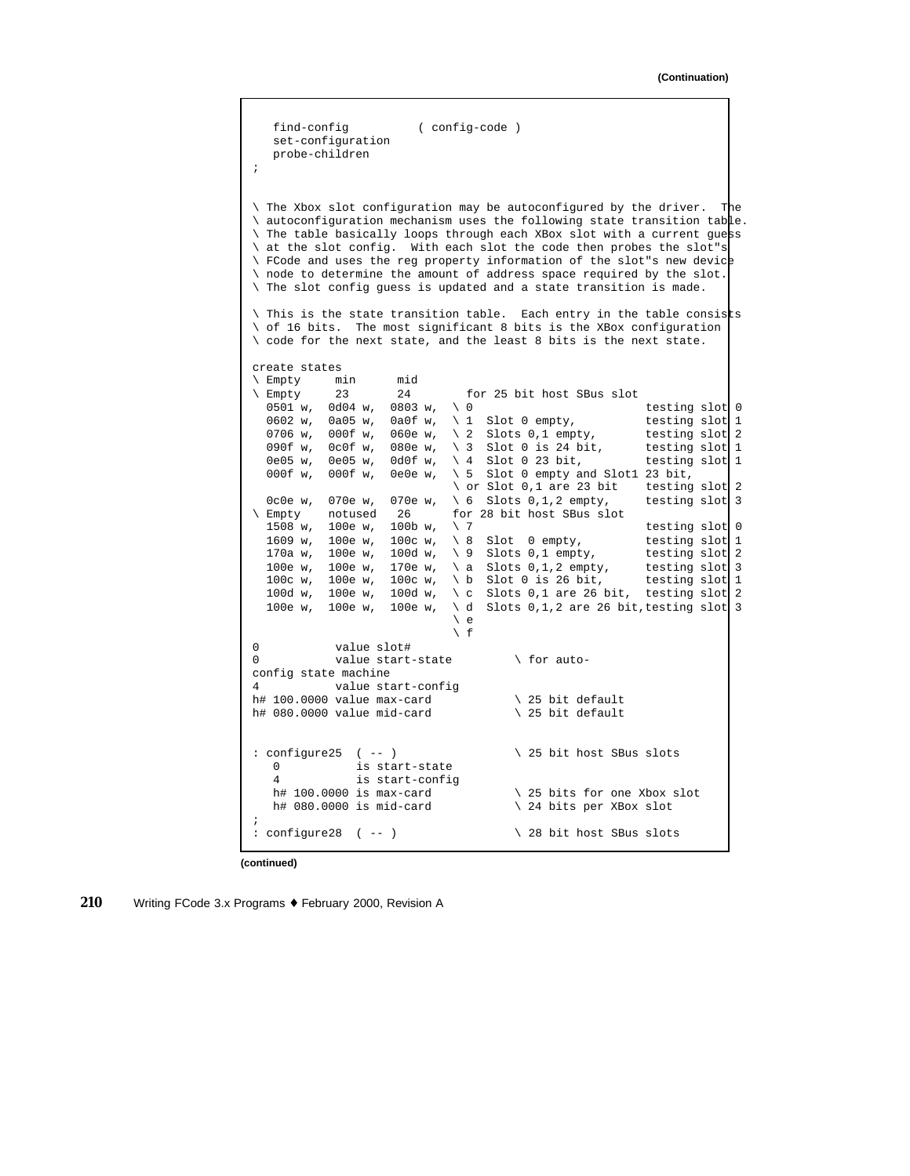```
find-config ( config-code )
    set-configuration
    probe-children
;
\ The Xbox slot configuration may be autoconfigured by the driver. The
\ autoconfiguration mechanism uses the following state transition table.
\ The table basically loops through each XBox slot with a current guess
\ at the slot config. With each slot the code then probes the slot"s
\ FCode and uses the reg property information of the slot"s new device
\ node to determine the amount of address space required by the slot.
\ The slot config guess is updated and a state transition is made.
\ This is the state transition table. Each entry in the table consists
\setminus of 16 bits. The most significant 8 bits is the XBox configuration
\ code for the next state, and the least 8 bits is the next state.
create states
\ Empty min mid
\text{Empty} 23 24 for 25 bit host SBus slot 0501 w, 0d04 w, 0803 w, \setminus 0
                                                                     testing slot 0
  0602 w, 0a05 w, 0a0f w, \setminus 1 Slot 0 empty, testing slot 1
  0706 w, 000f w, 060e w, \backslash 2 Slots 0,1 empty, testing slot 2<br>090f w, 0c0f w, 080e w, \backslash 3 Slot 0 is 24 bit, testing slot 1
                                   \setminus 3 Slot 0 is 24 bit,
  0e05 w, 0e05 w, 0d0f w, \setminus 4 Slot 0 23 bit, testing slot 1<br>000f w, 000f w, 0e0e w, \setminus 5 Slot 0 empty and Slot1 23 bit,
                                   \setminus 5 Slot 0 empty and Slot1 23 bit,
                                   \ or Slot 0,1 are 23 bit testing slot 2
0c0e w, 070e w, 070e w, \setminus 6 Slots 0,1,2 empty, testing slot 3<br>\setminus Empty notused 26 for 28 bit host SBus slot
             notused 26 for 28 bit host SBus slot<br>100e w. 100b w. \sqrt{7}1508 w, 100e w, 100b w, \ 7 testing slot 0<br>1609 w, 100e w, 100c w, \ 8 Slot 0 empty, testing slot 1
  1609 w, 100e w, 100c w, \setminus 8 Slot 0 empty, testing slot 1<br>170a w, 100e w, 100d w, \setminus 9 Slots 0,1 empty, testing slot 2
                                   \backslash 9 Slots 0,1 empty,
  100e w, 100e w, 170e w, \ a Slots 0,1,2 empty, testing slot 3<br>100c w, 100e w, 100c w, \ b Slot 0 is 26 bit, testing slot 1
                                   \backslash b Slot 0 is 26 bit,
  100d w, 100e w, 100d w, \ c Slots 0,1 are 26 bit, testing slot 2
  100e w, 100e w, 100e w, \ddot{ } Slots 0,1,2 are 26 bit, testing slot 3
                                   \vee e
                                   \setminus f0 value slot#
0 value start-state \setminus for auto-
config state machine
4 value start-config
h# 100.0000 value max-card \lambda 25 bit default h# 080.0000 value mid-card \lambda 25 bit default
h# 080.0000 value mid-card
: configure25 ( -- ) \setminus 25 bit host SBus slots
   0 is start-state
   4 is start-config<br>h# 100.0000 is max-card
   h# 100.0000 is max-card h# 100.0000 is mid-card \lambda 24 bits per XBox slot
                                              \backslash 24 bits per XBox slot
;
: configure28 ( -- ) \setminus 28 bit host SBus slots
```
**(continued)**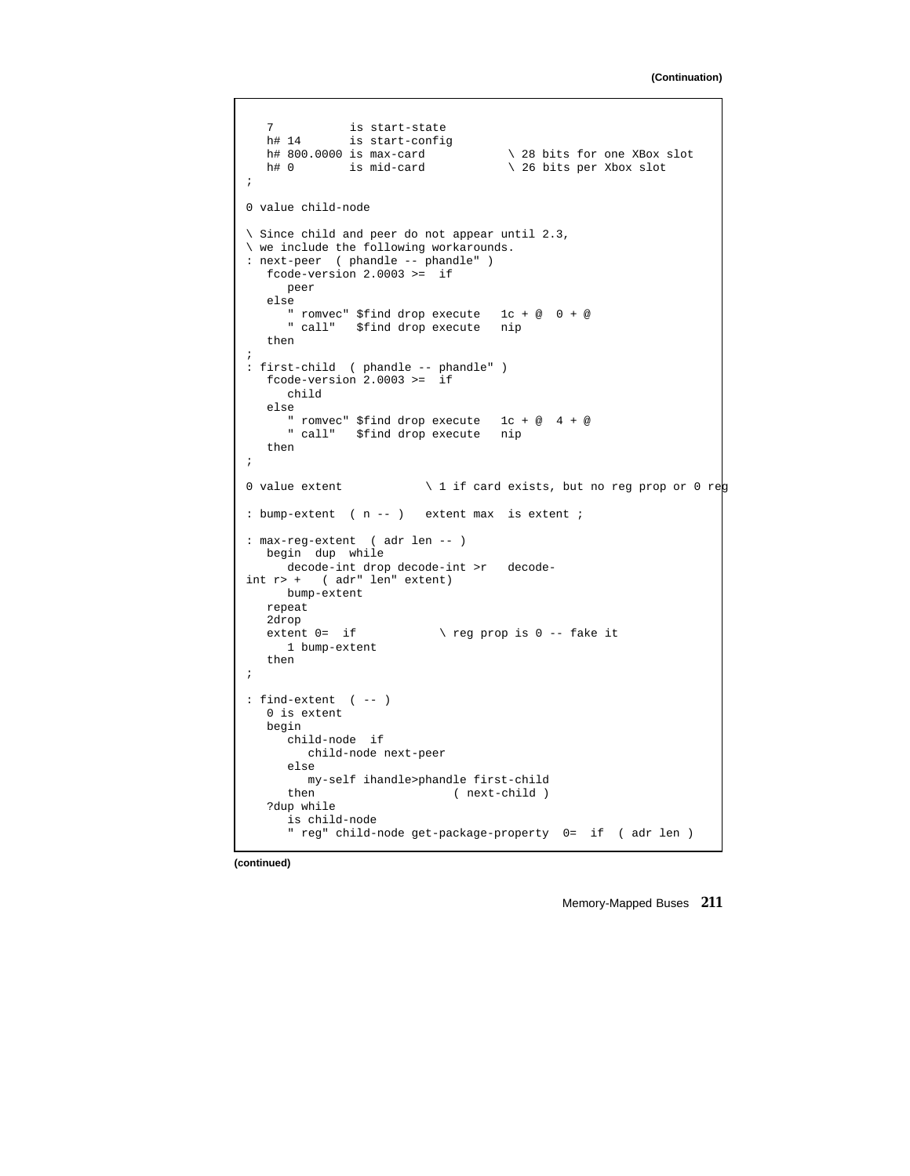```
7 is start-state
   h# 14 is start-config
  h# 800.0000 is max-card \setminus 28 bits for one XBox slot
  h# 0 is mid-card \ 26 bits per Xbox slot
;
0 value child-node
\ Since child and peer do not appear until 2.3,
\ we include the following workarounds.
: next-peer ( phandle -- phandle" )
  fcode-version 2.0003 >= if
    peer
  else
      " romvec" $find drop execute 1c + @ 0 + @
      " call" $find drop execute nip
  then
;
: first-child ( phandle -- phandle" )
  fcode-version 2.0003 >= if
    child
  else
    " romvec" $find drop execute 1c + @ 4 + @
     " call" $find drop execute nip
  then
;
0 value extent \setminus 1 if card exists, but no reg prop or 0 reg
: bump-extent ( n -- ) extent max is extent ;
: max-reg-extent ( adr len -- )
 begin dup while
    decode-int drop decode-int >r decode-
int r> + ( adr" len" extent)
    bump-extent
  repeat
  2drop<br>extent 0= if
                    \backslash reg prop is 0 -- fake it
    1 bump-extent
  then
;
: find-extent ( -- )
  0 is extent
  begin
     child-node if
       child-node next-peer
     else
     my-self ihandle>phandle first-child
                         ( next-child )
   ?dup while
     is child-node
     " reg" child-node get-package-property 0= if ( adr len )
```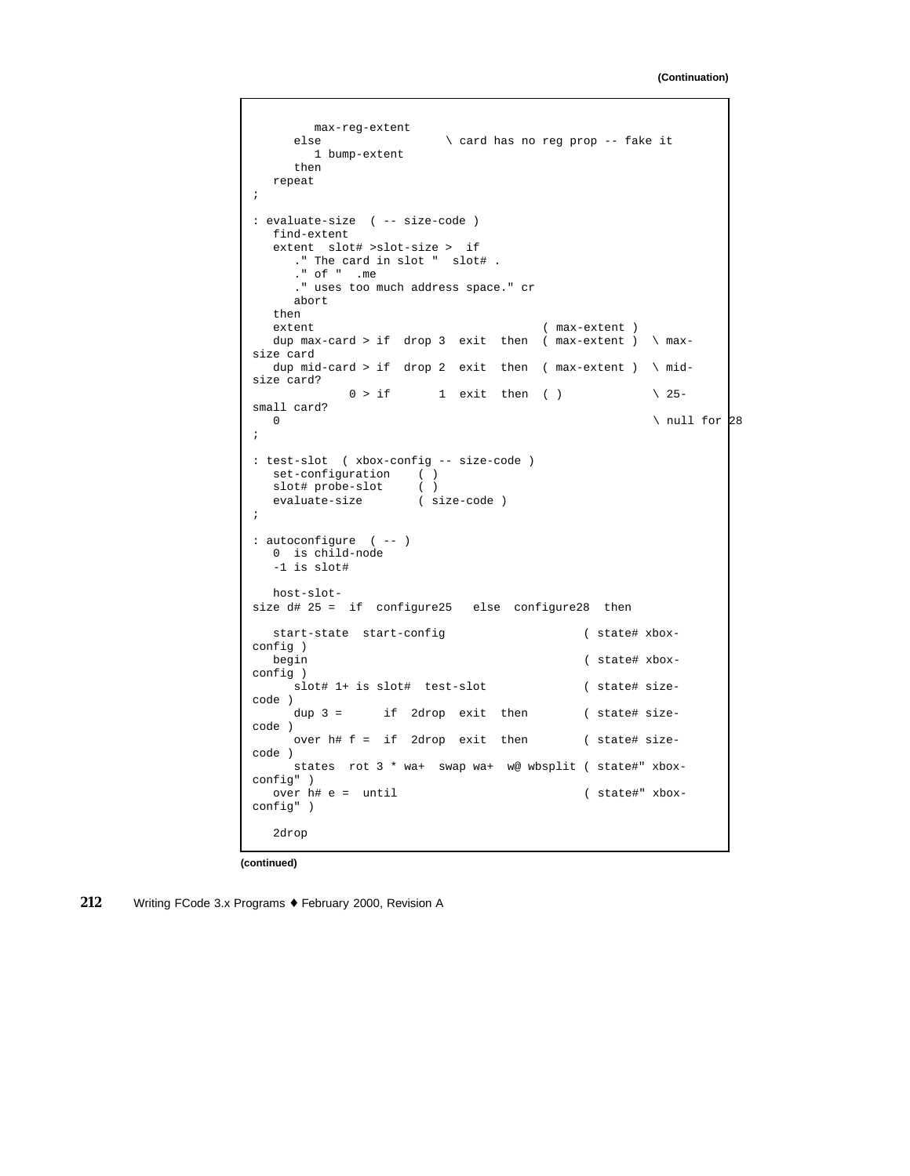```
max-reg-extent
                       \ card has no reg prop -- fake it
      1 bump-extent
     then
  repeat
;
: evaluate-size ( -- size-code )
  find-extent
  extent slot# >slot-size > if
    ." The card in slot " slot# .
     ." of " .me
     ." uses too much address space." cr
     abort
  then<br>extent
                                   extent ( max-extent )
  dup max-card > if drop 3 exit then ( max-extent ) \ max-
size card
  dup mid-card > if drop 2 exit then ( max-extent ) \ mid-
size card?
           0 > if 1 exit then ( ) \qquad \qquad \backslash 25-
small card?
  \sqrt{ null for 28 \sqrt{};
: test-slot ( xbox-config -- size-code )
  set-configuration ( )
   slot# probe-slot ( )
   evaluate-size ( size-code )
;
: autoconfigure ( -- )
  0 is child-node
  -1 is slot#
  host-slot-
size d# 25 = if configure25 else configure28 then
  start-state start-config ( state# xbox-
config )
  begin ( state# xbox-
config )
    slot# 1+ is slot# test-slot ( state# size-
code )
    dup 3 = if 2drop exit then ( state# size-
code )
    over h# f = if 2drop exit then ( state# size-
code )
    states rot 3 * wa+ swap wa+ w@ wbsplit ( state#" xbox-
config" )
  over h# e = until ( state#" xbox-
config" )
  2drop
```
**(continued)**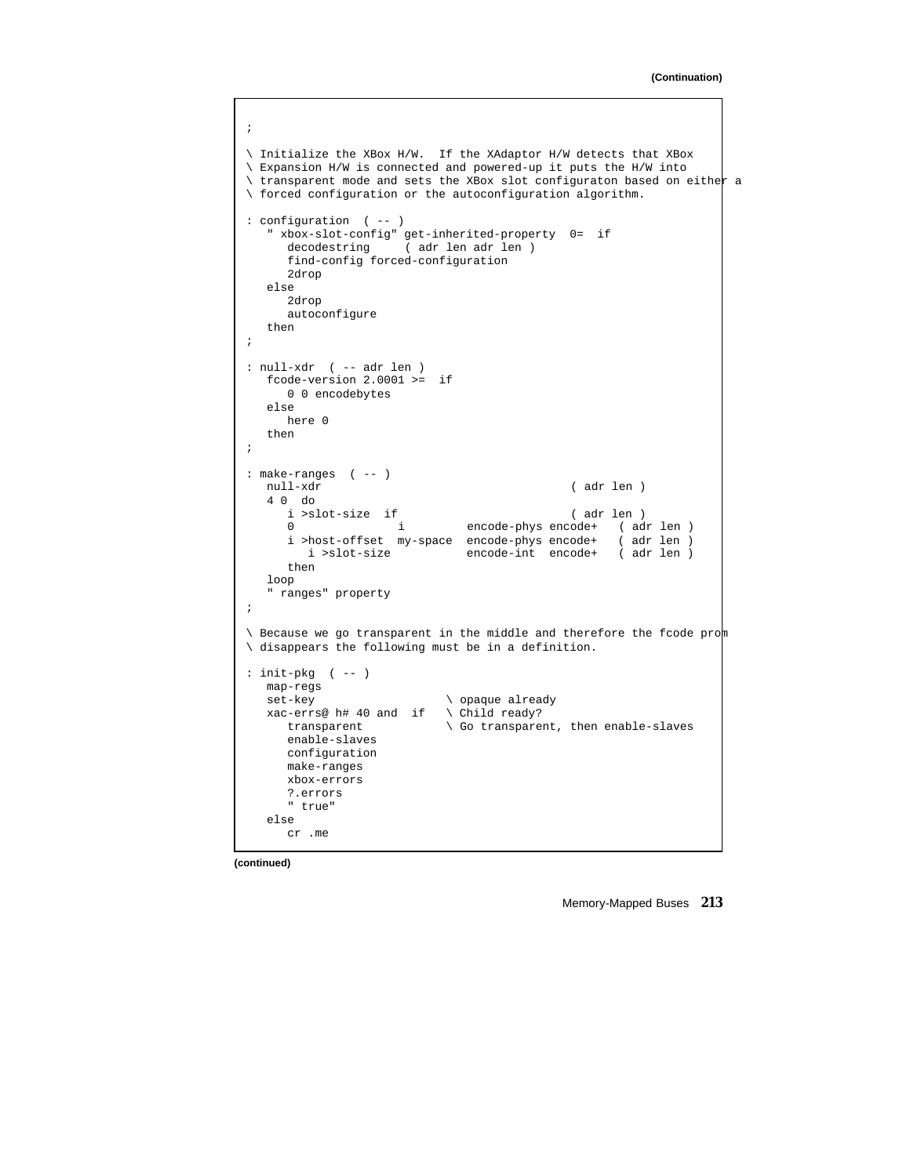```
;
\ Initialize the XBox H/W. If the XAdaptor H/W detects that XBox
\ Expansion H/W is connected and powered-up it puts the H/W into
\ transparent mode and sets the XBox slot configuraton based on either a
\ forced configuration or the autoconfiguration algorithm.
: configuration ( -- )
   " xbox-slot-config" get-inherited-property 0= if
                  ( adr len adr len )
     find-config forced-configuration
     2drop
  else
     2drop
     autoconfigure
  then
;
: null-xdr ( -- adr len )
  fcode-version 2.0001 >= if
     0 0 encodebytes
  else
    here 0
  then
;
: make-ranges ( -- )
                                            ( adr len )
   4 0 do
    i >slot-size if ( adr len )
                         encode-phys encode+ (adr len )
     i >host-offset my-space encode-phys encode+ ( adr len )
                        encode-int encode+ ( adr len )
     then
  loop
   " ranges" property
;
\ Because we go transparent in the middle and therefore the fcode prom
\ disappears the following must be in a definition.
: init-pkg ( -- )
  map-regs
  set-key \setminus opaque already
  xac-errs@ h# 40 and if \ Child ready?
     transparent \setminus Go transparent, then enable-slaves
     enable-slaves
     configuration
     make-ranges
     xbox-errors
     ?.errors
     " true"
   else
     cr .me
```
**(continued)**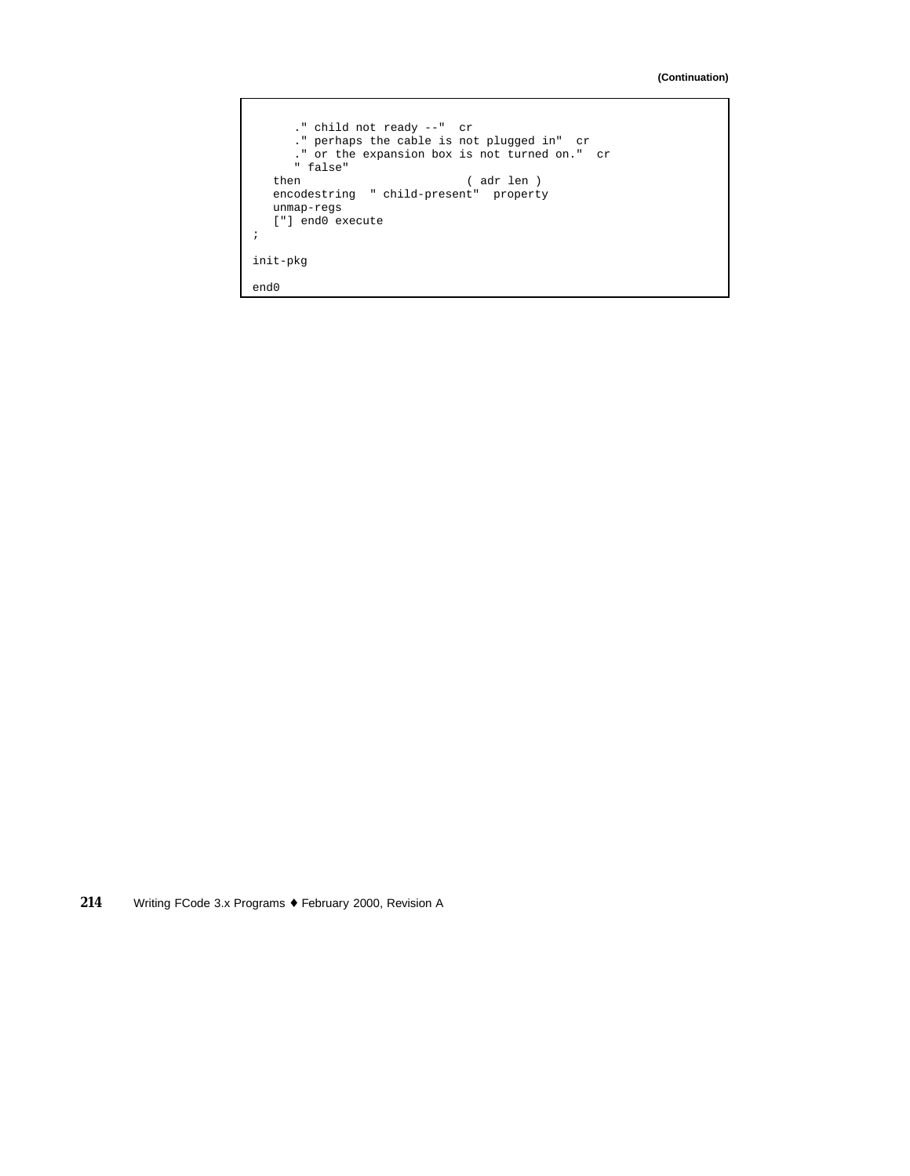```
." child not ready --" cr
      ." perhaps the cable is not plugged in" cr
      ." or the expansion box is not turned on." cr
      " false"
   then ( adr len )
   encodestring " child-present" property
   unmap-regs
   ["] end0 execute
;
init-pkg
end0
```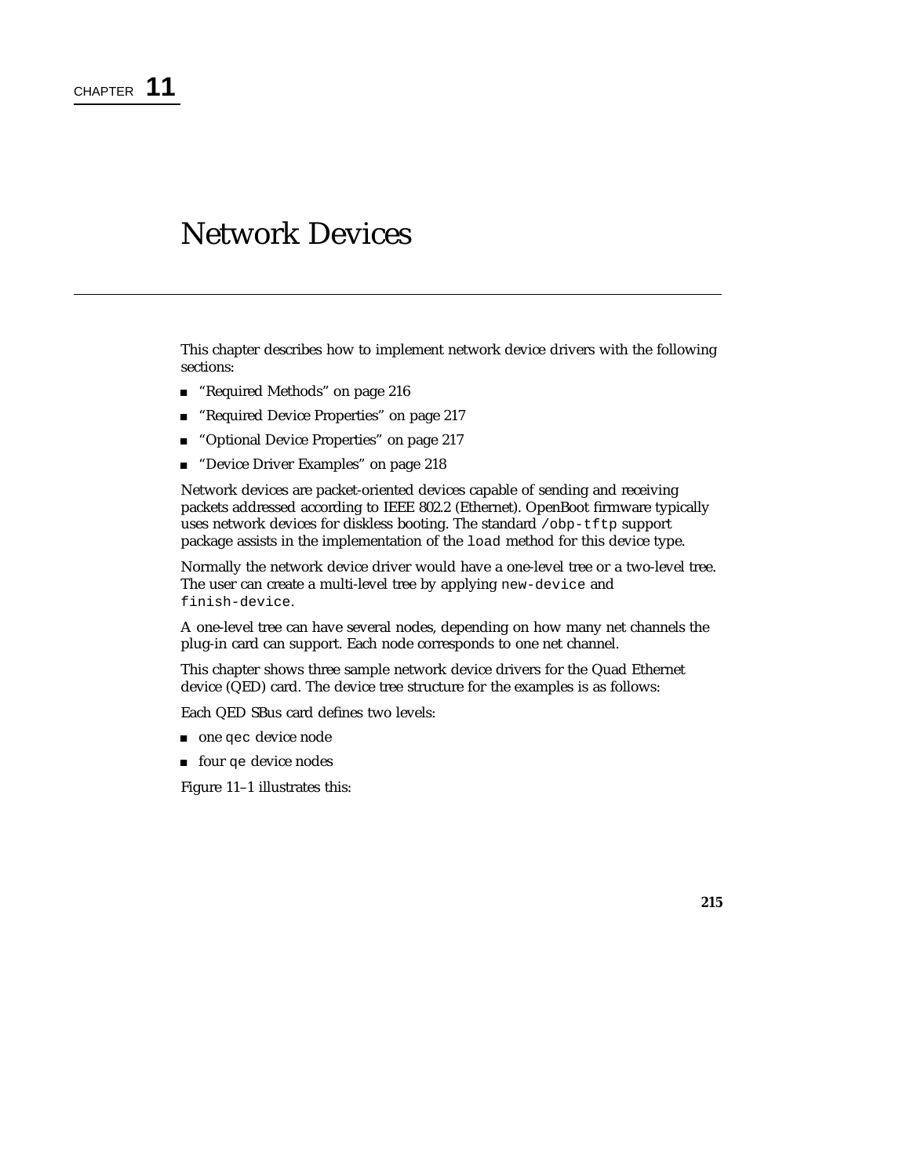## Network Devices

This chapter describes how to implement network device drivers with the following sections:

- "Required Methods" on page 216
- "Required Device Properties" on page 217
- "Optional Device Properties" on page 217
- "Device Driver Examples" on page 218

Network devices are packet-oriented devices capable of sending and receiving packets addressed according to IEEE 802.2 (Ethernet). OpenBoot firmware typically uses network devices for diskless booting. The standard /obp-tftp support package assists in the implementation of the load method for this device type.

Normally the network device driver would have a one-level tree or a two-level tree. The user can create a multi-level tree by applying new-device and finish-device.

A one-level tree can have several nodes, depending on how many net channels the plug-in card can support. Each node corresponds to one net channel.

This chapter shows three sample network device drivers for the Quad Ethernet device (QED) card. The device tree structure for the examples is as follows:

Each QED SBus card defines two levels:

- one qec device node
- four qe device nodes

Figure 11–1 illustrates this: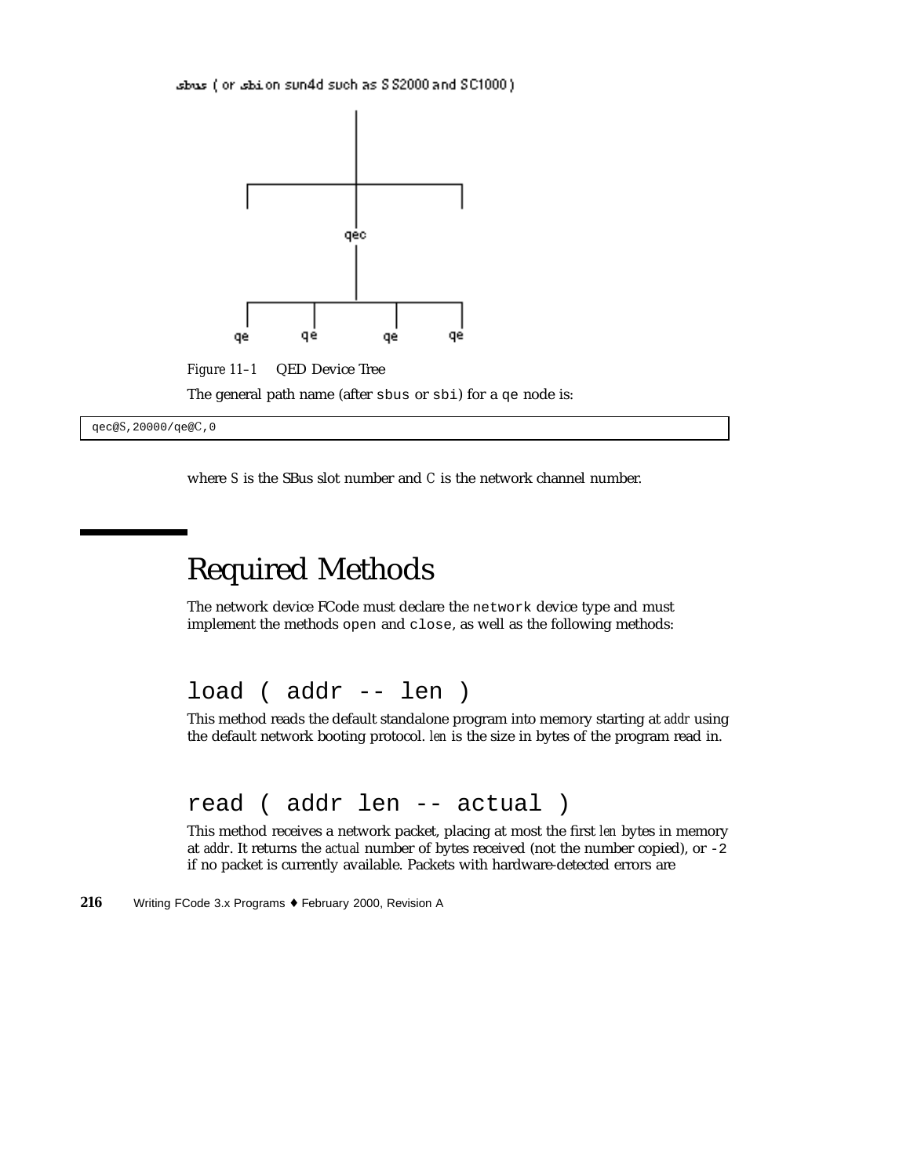sbus (or sbilon sun4d such as \$ \$2000 and \$C1000).



*Figure 11–1* QED Device Tree

The general path name (after sbus or sbi) for a qe node is:

qec@*S*,20000/qe@*C*,0

where *S* is the SBus slot number and *C* is the network channel number.

# Required Methods

The network device FCode must declare the network device type and must implement the methods open and close, as well as the following methods:

load ( addr -- len )

This method reads the default standalone program into memory starting at *addr* using the default network booting protocol. *len* is the size in bytes of the program read in.

read ( addr len -- actual )

This method receives a network packet, placing at most the first *len* bytes in memory at *addr*. It returns the *actual* number of bytes received (not the number copied), or -2 if no packet is currently available. Packets with hardware-detected errors are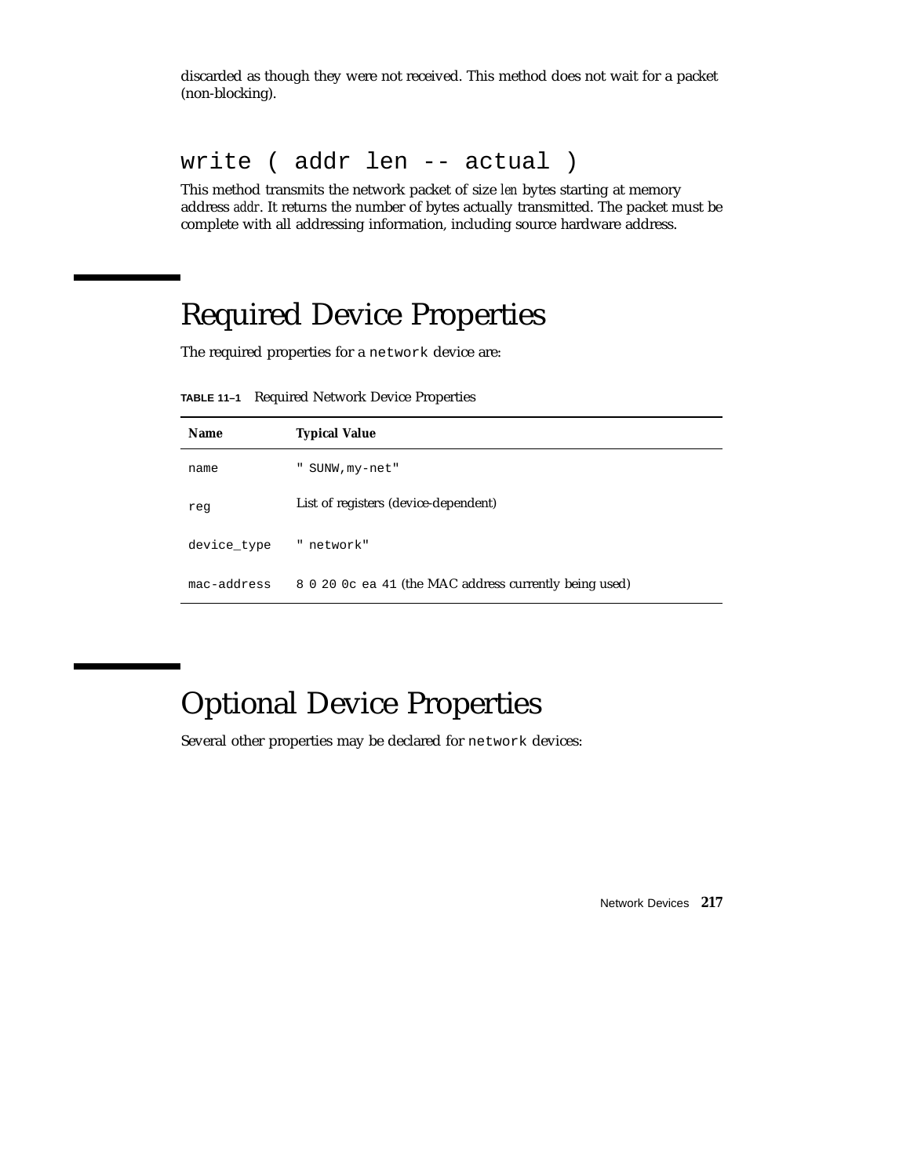discarded as though they were not received. This method does not wait for a packet (non-blocking).

### write ( addr len -- actual )

This method transmits the network packet of size *len* bytes starting at memory address *addr*. It returns the number of bytes actually transmitted. The packet must be complete with all addressing information, including source hardware address.

# Required Device Properties

The required properties for a network device are:

**TABLE 11–1** Required Network Device Properties

| <b>Name</b> | <b>Typical Value</b>                                   |  |
|-------------|--------------------------------------------------------|--|
| name        | SUNW, my-net"<br>щ                                     |  |
| req         | List of registers (device-dependent)                   |  |
| device_type | " network"                                             |  |
| mac-address | 8 0 20 0c ea 41 (the MAC address currently being used) |  |

# Optional Device Properties

Several other properties may be declared for network devices: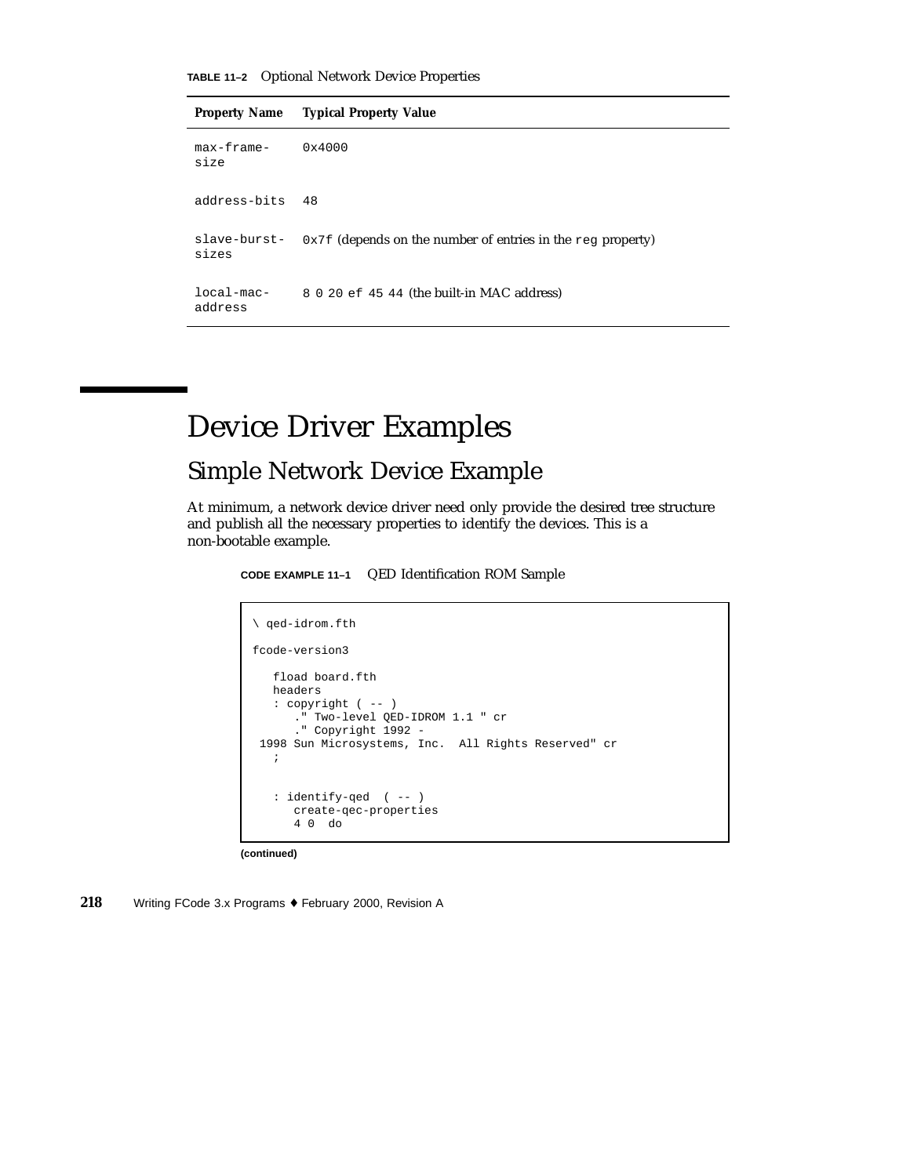**Property Name Typical Property Value**

| $max-frame-$<br>size  | $0 \times 4000$                                                            |
|-----------------------|----------------------------------------------------------------------------|
| address-bits          | 48                                                                         |
| sizes                 | slave-burst- $0x7f$ (depends on the number of entries in the req property) |
| local-mac-<br>address | 8 0 20 ef 45 44 (the built-in MAC address)                                 |

# Device Driver Examples

## Simple Network Device Example

At minimum, a network device driver need only provide the desired tree structure and publish all the necessary properties to identify the devices. This is a non-bootable example.

**CODE EXAMPLE 11–1** QED Identification ROM Sample

```
\ qed-idrom.fth
fcode-version3
   fload board.fth
   headers
   : copyright ( -- )
     ." Two-level QED-IDROM 1.1 " cr
      ." Copyright 1992 -
1998 Sun Microsystems, Inc. All Rights Reserved" cr
   ;
   : identify-qed ( -- )
      create-qec-properties
      4 0 do
```
**(continued)**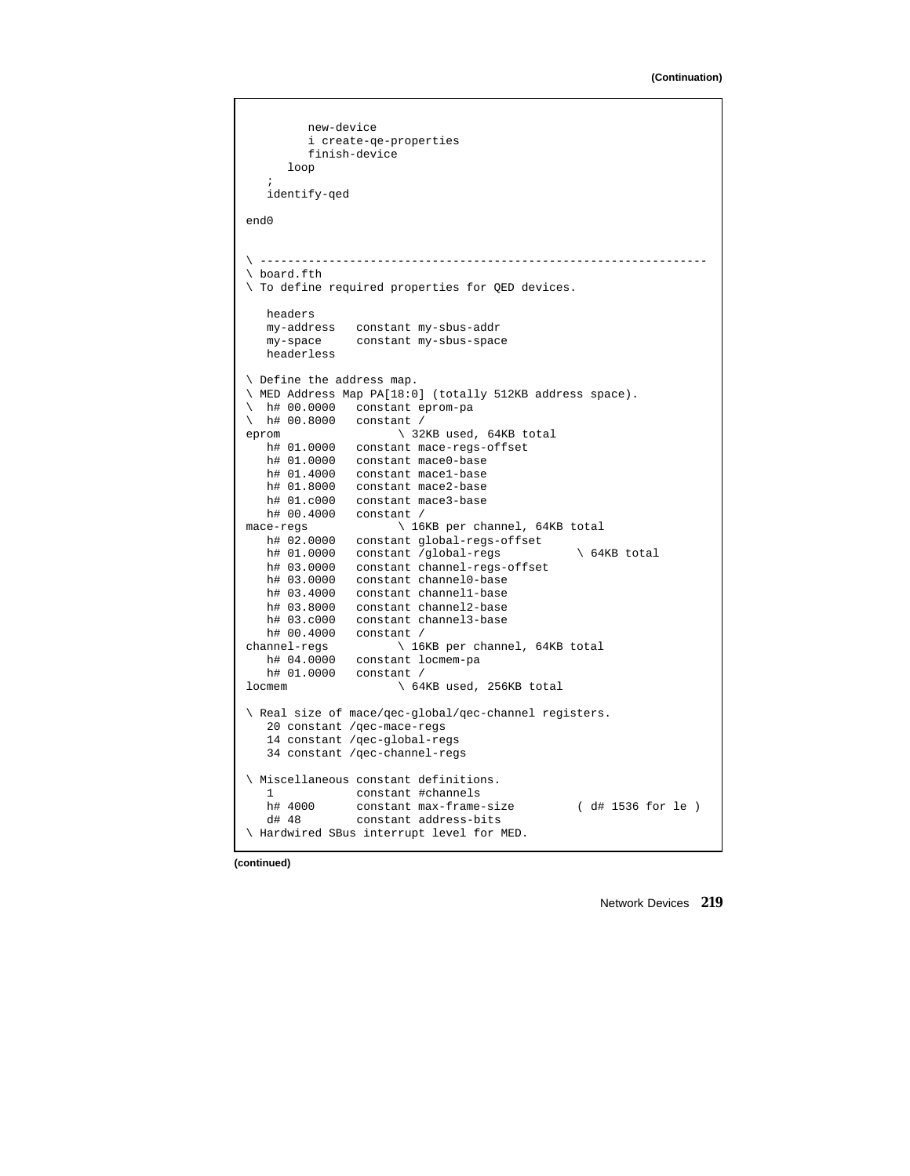```
new-device
         i create-qe-properties
        finish-device
     loop
   ;
   identify-qed
end0
\ -----------------------------------------------------------------
\ board.fth
\ To define required properties for QED devices.
  headers
  my-address constant my-sbus-addr
  my-space constant my-sbus-space
  headerless
\ Define the address map.
\ MED Address Map PA[18:0] (totally 512KB address space).
\ h# 00.0000 constant eprom-pa
\ h# 00.8000 constant /
eprom \setminus 32KB used, 64KB total
   h# 01.0000 constant mace-regs-offset
   h# 01.0000 constant mace0-base
  h# 01.4000 constant mace1-base
   h# 01.8000 constant mace2-base
   h# 01.c000 constant mace3-base
h# 00.4000 constant /<br>mace-regs \ 16
                     \ 16KB per channel, 64KB total
   h# 02.0000 constant global-regs-offset
   h# 01.0000 constant /global-regs \setminus 64KB total
   h# 03.0000 constant channel-regs-offset
   h# 03.0000 constant channel0-base
  h# 03.4000 constant channel1-base
  h# 03.8000 constant channel2-base
   h# 03.c000 constant channel3-base
   h# 00.4000 constant /
channel-regs \ 16KB per channel, 64KB total
   h# 04.0000 constant locmem-pa
   h# 01.0000 constant /
locmem \ 64KB used, 256KB total
\ Real size of mace/qec-global/qec-channel registers.
  20 constant /qec-mace-regs
   14 constant /qec-global-regs
  34 constant /qec-channel-regs
\ Miscellaneous constant definitions.
  1 constant #channels<br>h# 4000 constant max-frame
  h# 4000 constant max-frame-size ( d# 1536 for le )<br>d# 48 constant address-bits
              constant address-bits
\ Hardwired SBus interrupt level for MED.
```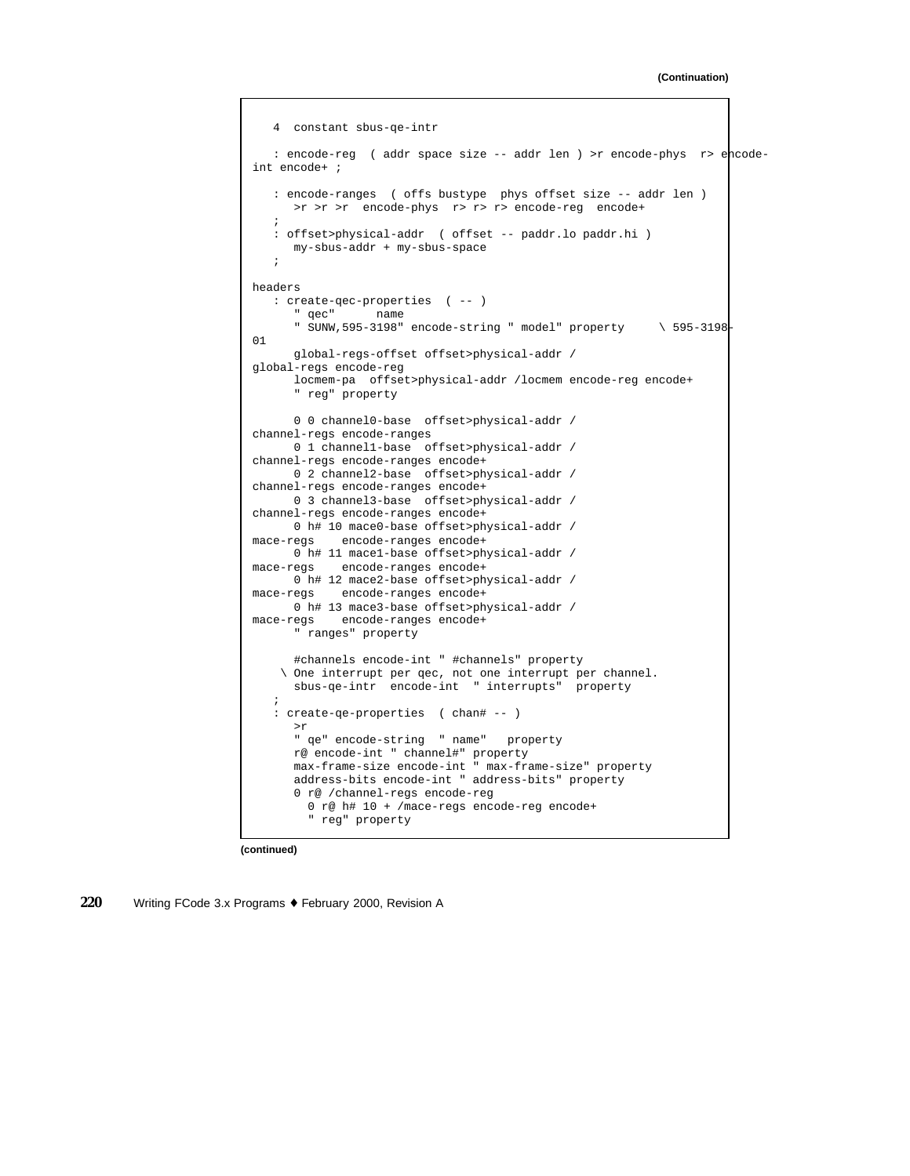```
4 constant sbus-qe-intr
   : encode-reg ( addr space size -- addr len ) >r encode-phys r> encode-
int encode+ ;
   : encode-ranges ( offs bustype phys offset size -- addr len )
     >r >r >r encode-phys r> r> r> encode-reg encode+
   ;
   : offset>physical-addr ( offset -- paddr.lo paddr.hi )
     my-sbus-addr + my-sbus-space
   ;
headers
   : create-qec-properties ( -- )
      " qec" name
      " SUNW,595-3198" encode-string " model" property \ 595-3198-
01
      global-regs-offset offset>physical-addr /
global-regs encode-reg
     locmem-pa offset>physical-addr /locmem encode-reg encode+
      " reg" property
     0 0 channel0-base offset>physical-addr /
channel-regs encode-ranges
     0 1 channel1-base offset>physical-addr /
channel-regs encode-ranges encode+
     0 2 channel2-base offset>physical-addr /
channel-regs encode-ranges encode+
     0 3 channel3-base offset>physical-addr /
channel-regs encode-ranges encode+
     0 h# 10 mace0-base offset>physical-addr /
mace-regs encode-ranges encode+
     0 h# 11 mace1-base offset>physical-addr /
mace-regs encode-ranges encode+
     0 h# 12 mace2-base offset>physical-addr /
mace-regs encode-ranges encode+
     0 h# 13 mace3-base offset>physical-addr /
mace-regs encode-ranges encode+
      " ranges" property
      #channels encode-int " #channels" property
    \ One interrupt per qec, not one interrupt per channel.
     sbus-qe-intr encode-int " interrupts" property
   ;
   : create-qe-properties ( chan# -- )
     >r
      " qe" encode-string " name" property
     r@ encode-int " channel#" property
      max-frame-size encode-int " max-frame-size" property
     address-bits encode-int " address-bits" property
      0 r@ /channel-regs encode-reg
        0 r@ h# 10 + /mace-regs encode-reg encode+
        " reg" property
```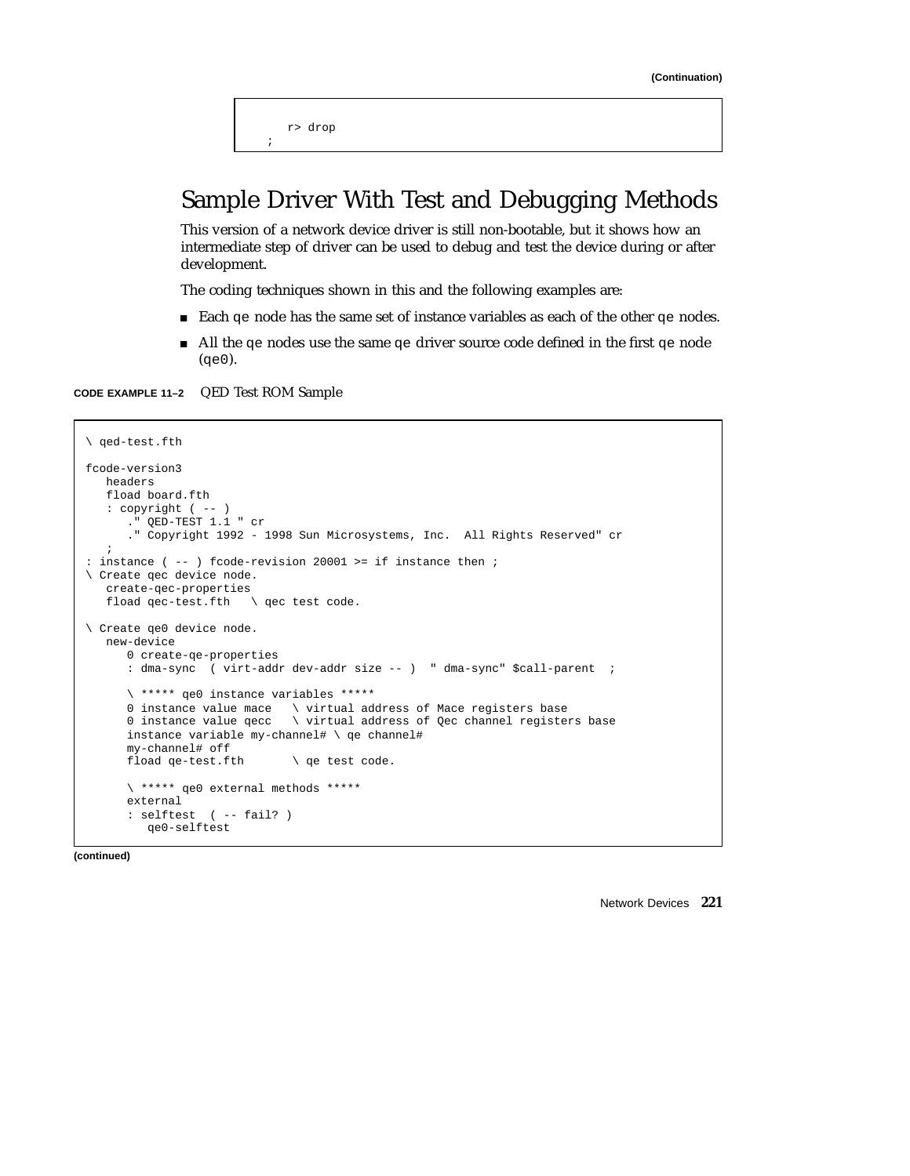r> drop ;

## Sample Driver With Test and Debugging Methods

This version of a network device driver is still non-bootable, but it shows how an intermediate step of driver can be used to debug and test the device during or after development.

The coding techniques shown in this and the following examples are:

- Each qe node has the same set of instance variables as each of the other qe nodes.
- All the qe nodes use the same qe driver source code defined in the first qe node  $(qe0)$ .

**CODE EXAMPLE 11–2** QED Test ROM Sample

```
\ qed-test.fth
fcode-version3
  headers
  fload board.fth
   : copyright ( -- )
     ." QED-TEST 1.1 " cr
      ." Copyright 1992 - 1998 Sun Microsystems, Inc. All Rights Reserved" cr
   ;
: instance ( -- ) fcode-revision 20001 >= if instance then ;
\ Create qec device node.
   create-qec-properties
   fload qec-test.fth \ qec test code.
\ Create qe0 device node.
   new-device
     0 create-qe-properties
     : dma-sync ( virt-addr dev-addr size -- ) " dma-sync" $call-parent ;
      \ ***** qe0 instance variables *****
      0 instance value mace \ virtual address of Mace registers base
      0 instance value qecc \ virtual address of Qec channel registers base
     instance variable my-channel# \ qe channel#
     my-channel# off
     fload qe-test.fth \ qe test code.
     \ ***** qe0 external methods *****
     external
      : selftest ( -- fail? )
        qe0-selftest
```
**(continued)**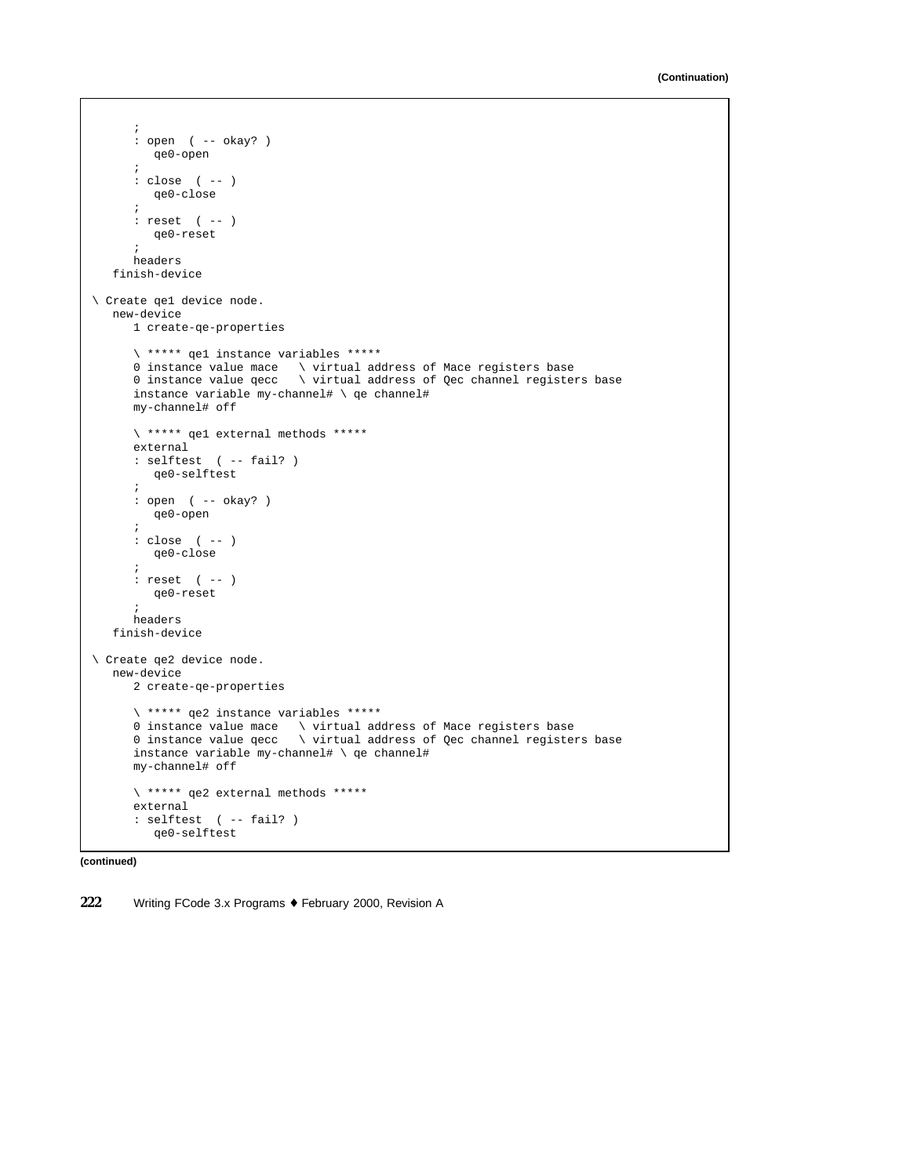```
;
     : open ( -- okay? )
        qe0-open
      ;
     : close ( -- )
        qe0-close
      ;
     : reset ( -- )
        qe0-reset
      ;
      headers
   finish-device
\ Create qe1 device node.
  new-device
     1 create-qe-properties
      \ ***** qe1 instance variables *****
      0 instance value mace \ virtual address of Mace registers base
      0 instance value qecc \ virtual address of Qec channel registers base
     instance variable my-channel# \ qe channel#
     my-channel# off
     \ ***** qe1 external methods *****
     external
     : selftest ( -- fail? )
       qe0-selftest
     ;
     : open ( -- okay? )
        qe0-open
     ;
     : close ( -- )
        qe0-close
      ;
      : reset ( -- )
        qe0-reset
      ;
      headers
   finish-device
\ Create qe2 device node.
  new-device
     2 create-qe-properties
      \ ***** qe2 instance variables *****
      0 instance value mace \ virtual address of Mace registers base
      0 instance value qecc \ virtual address of Qec channel registers base
     instance variable my-channel# \ qe channel#
     my-channel# off
     \ ***** qe2 external methods *****
     external
      : selftest ( -- fail? )
        qe0-selftest
```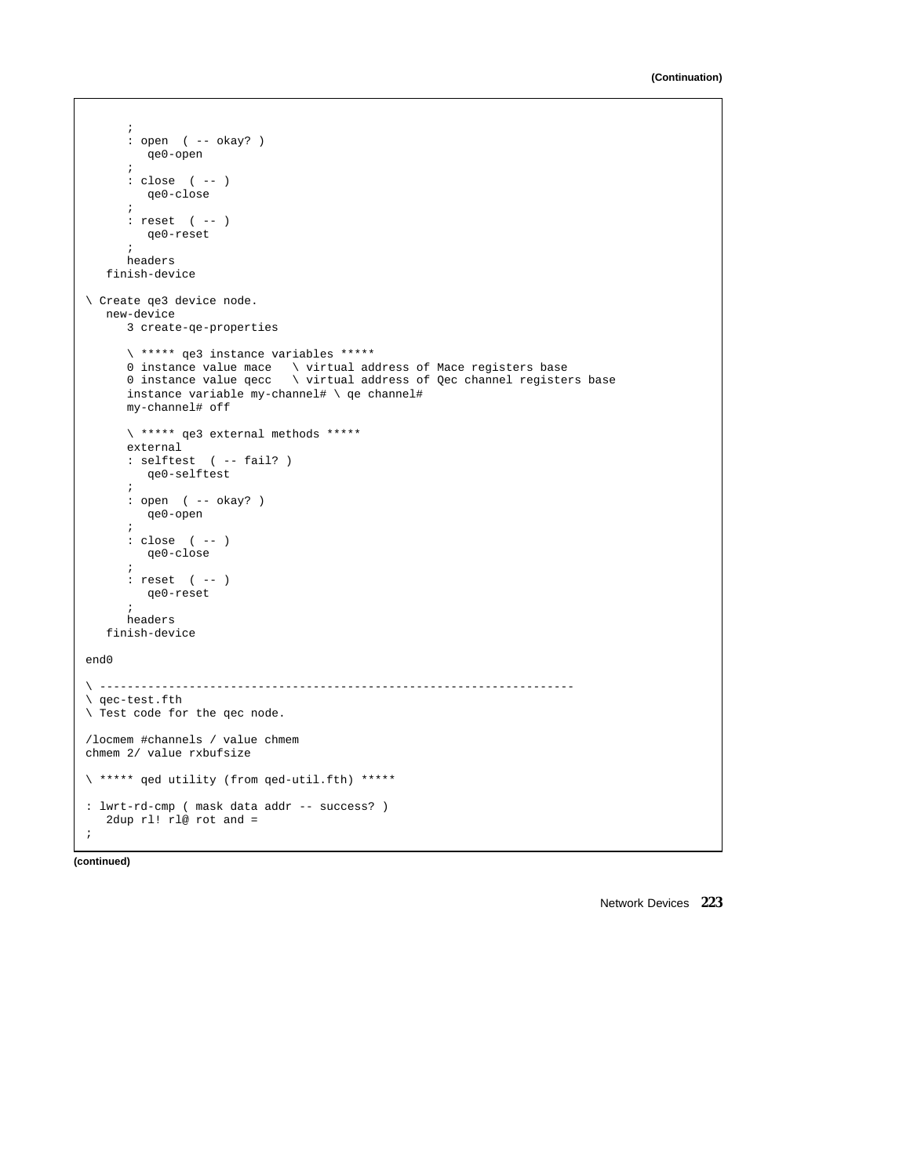```
;
     : open ( -- okay? )
        qe0-open
      ;
     : close ( -- )
        qe0-close
      ;
     : reset ( -- )
        qe0-reset
      ;
     headers
   finish-device
\ Create qe3 device node.
  new-device
     3 create-qe-properties
      \ ***** qe3 instance variables *****
      0 instance value mace \ virtual address of Mace registers base
      0 instance value qecc \ virtual address of Qec channel registers base
     instance variable my-channel# \ qe channel#
     my-channel# off
     \ ***** qe3 external methods *****
     external
     : selftest ( -- fail? )
       qe0-selftest
     ;
     : open ( -- okay? )
       qe0-open
     \mathbf{r}: close ( -- )
        qe0-close
      ;
      : reset ( -- )
        qe0-reset
      ;
     headers
   finish-device
end0
\ ---------------------------------------------------------------------
\ qec-test.fth
\ Test code for the qec node.
/locmem #channels / value chmem
chmem 2/ value rxbufsize
\ ***** qed utility (from qed-util.fth) *****
: lwrt-rd-cmp ( mask data addr -- success? )
  2dup rl! rl@ rot and =
;
```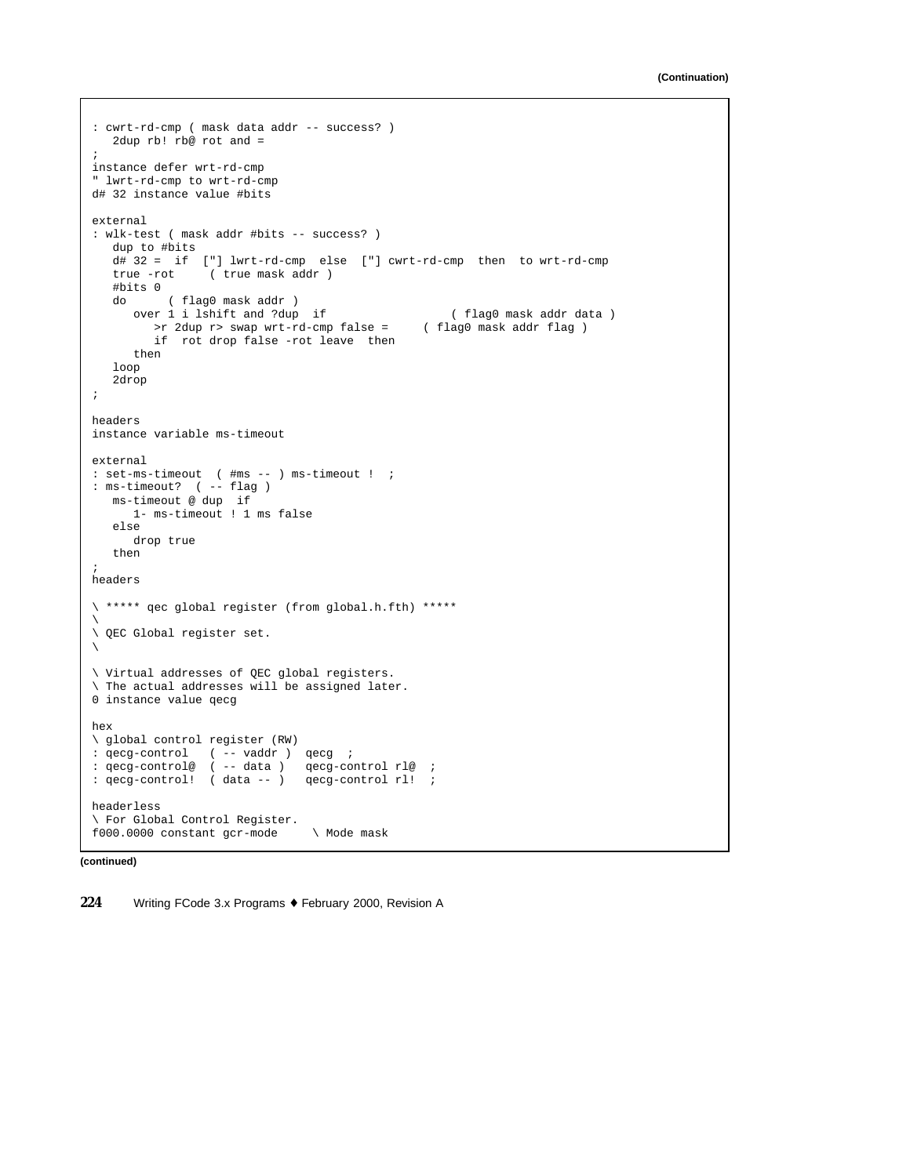```
: cwrt-rd-cmp ( mask data addr -- success? )
  2dup rb! rb@ rot and =
;
instance defer wrt-rd-cmp
" lwrt-rd-cmp to wrt-rd-cmp
d# 32 instance value #bits
external
: wlk-test ( mask addr #bits -- success? )
  dup to #bits
   d# 32 = if ["] lwrt-rd-cmp else ["] cwrt-rd-cmp then to wrt-rd-cmp
   true -rot ( true mask addr )
  #bits 0
   do ( flag0 mask addr )
     over 1 i lshift and ?dup if (flag0 mask addr data )<br>> r 2dup r> swap wrt-rd-cmp false = (flag0 mask addr flag)
       \text{Pr} 2dup r> swap wrt-rd-cmp false =
        if rot drop false -rot leave then
     then
   loop
   2drop
;
headers
instance variable ms-timeout
external
: set-ms-timeout ( #ms -- ) ms-timeout ! ;
: ms-timeout? ( -- flag )
  ms-timeout @ dup if
     1- ms-timeout ! 1 ms false
   else
     drop true
   then
;
headers
\ ***** qec global register (from global.h.fth) *****
\backslash\ QEC Global register set.
\backslash\ Virtual addresses of QEC global registers.
\ The actual addresses will be assigned later.
0 instance value qecg
hex
\ global control register (RW)
: qecg-control ( -- vaddr ) qecg ;
: qecg-control@ ( -- data ) qecg-control rl@ ;
: qecg-control! ( data -- ) qecg-control rl! ;
headerless
\ For Global Control Register.
f000.0000 constant gcr-mode \ Mode mask
```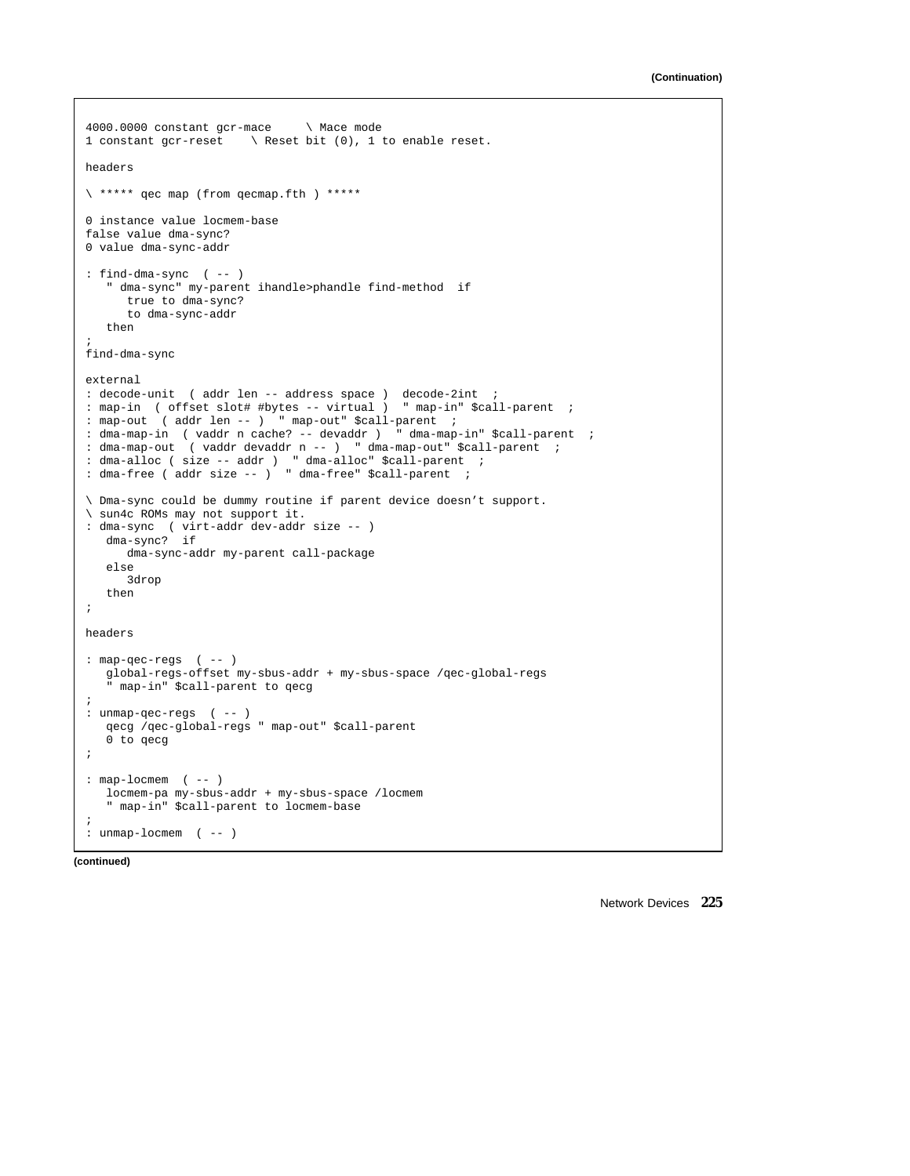```
4000.0000 constant gcr-mace \ Mace mode
1 constant gcr-reset \ Reset bit (0), 1 to enable reset.
headers
\ ***** qec map (from qecmap.fth ) *****
0 instance value locmem-base
false value dma-sync?
0 value dma-sync-addr
: find-dma-sync ( -- )
   " dma-sync" my-parent ihandle>phandle find-method if
     true to dma-sync?
     to dma-sync-addr
   then
;
find-dma-sync
external
: decode-unit ( addr len -- address space ) decode-2int ;
: map-in ( offset slot# #bytes -- virtual ) " map-in" $call-parent ;
: map-out ( addr len -- ) " map-out" $call-parent ;
: dma-map-in ( vaddr n cache? -- devaddr ) " dma-map-in" $call-parent ;
: dma-map-out ( vaddr devaddr n -- ) " dma-map-out" $call-parent ;
: dma-alloc ( size -- addr ) " dma-alloc" $call-parent ;
: dma-free ( addr size -- ) " dma-free" $call-parent ;
\ Dma-sync could be dummy routine if parent device doesn't support.
\ sun4c ROMs may not support it.
: dma-sync ( virt-addr dev-addr size -- )
  dma-sync? if
    dma-sync-addr my-parent call-package
   else
     3drop
   then
;
headers
: map-qec-regs ( -- )
  global-regs-offset my-sbus-addr + my-sbus-space /qec-global-regs
   " map-in" $call-parent to qecg
;
: unmap-qec-regs ( -- )
   qecg /qec-global-regs " map-out" $call-parent
   0 to qecg
;
: map-lochem ( -- )
  locmem-pa my-sbus-addr + my-sbus-space /locmem
   " map-in" $call-parent to locmem-base
;
: unmap-locmem ( -- )
```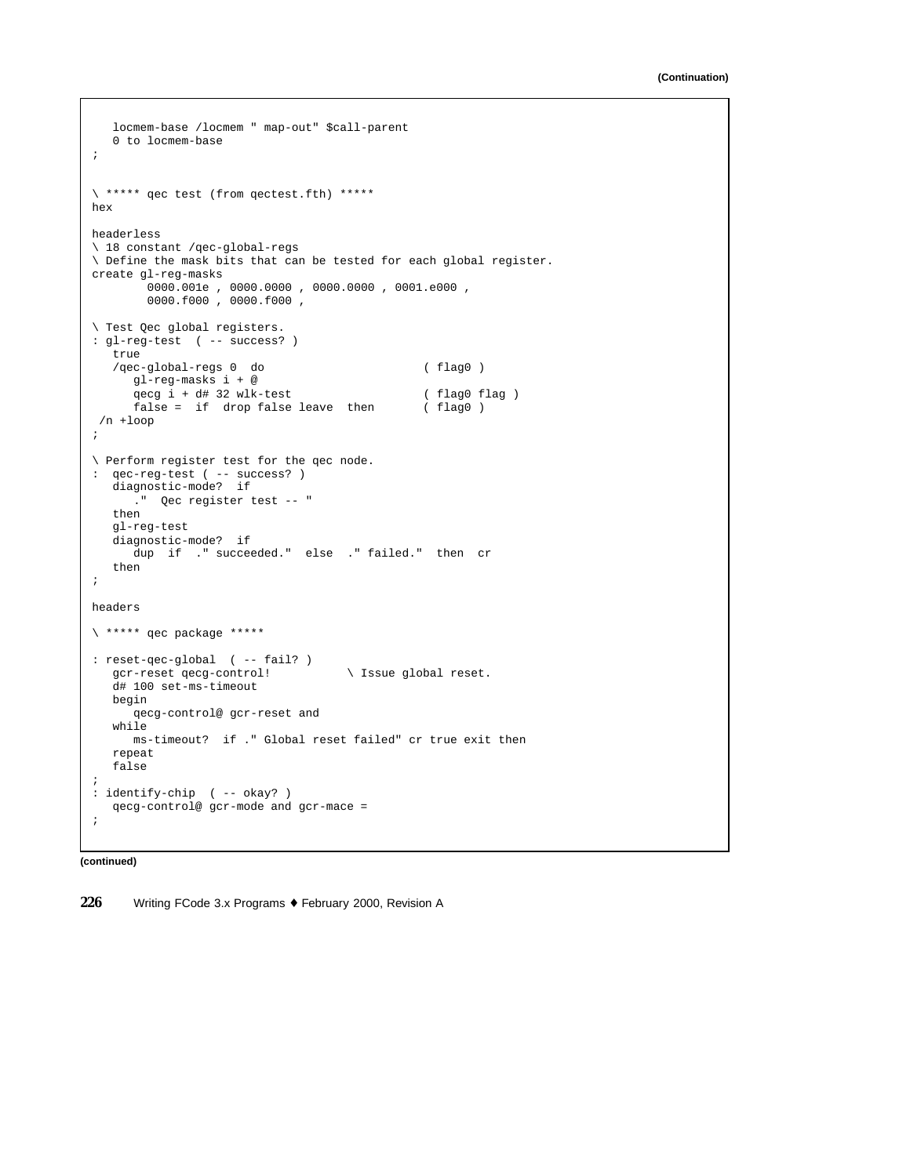```
locmem-base /locmem " map-out" $call-parent
   0 to locmem-base
;
\ ***** qec test (from qectest.fth) *****
hex
headerless
\ 18 constant /qec-global-regs
\ Define the mask bits that can be tested for each global register.
create gl-reg-masks
        0000.001e , 0000.0000 , 0000.0000 , 0001.e000 ,
        0000.f000 , 0000.f000 ,
\ Test Qec global registers.
: gl-reg-test ( -- success? )
  true
   /qec-global-regs 0 do ( flag0 )
     gl-reg-masks i + @
      qecg i + d# 32 wlk-test (flag ) <br>false = if drop false leave then (flag 0)
      false = if drop false leave then
/n +loop
;
\ Perform register test for the qec node.
: qec-reg-test ( -- success? )
  diagnostic-mode? if
     ." Qec register test -- "
  then
  gl-reg-test
   diagnostic-mode? if
    dup if ." succeeded." else ." failed." then cr
   then
;
headers
\ ***** qec package *****
: reset-qec-global ( -- fail? )
  gcr-reset qecg-control! \ Issue global reset.
  d# 100 set-ms-timeout
  begin
     qecg-control@ gcr-reset and
   while
    ms-timeout? if ." Global reset failed" cr true exit then
  repeat
   false
;
: identify-chip ( -- okay? )
   qecg-control@ gcr-mode and gcr-mace =
;
```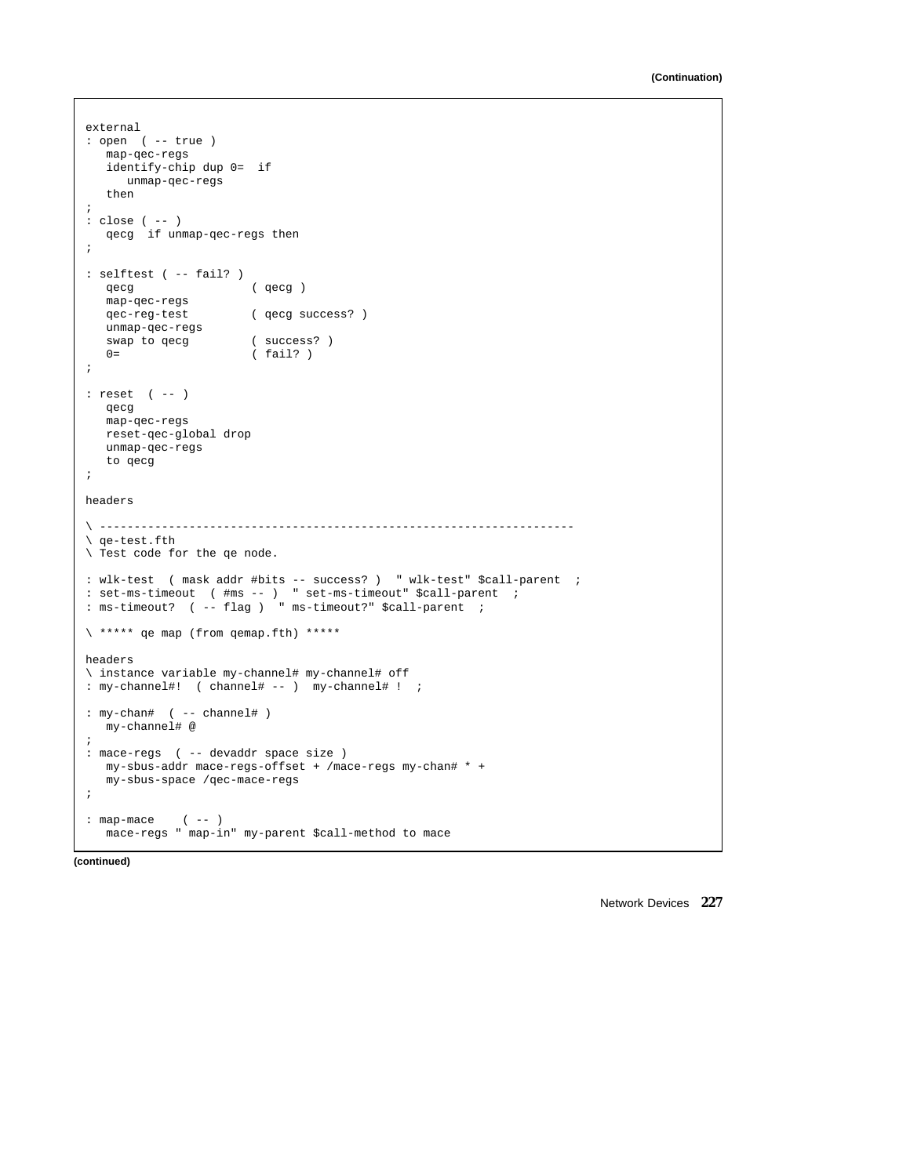```
external
: open ( -- true )
  map-qec-regs
  identify-chip dup 0= if
    unmap-qec-regs
  then
;
: close ( -- )
  qecg if unmap-qec-regs then
;
: selftest ( -- fail? )
  qecg ( qecg )
  map-qec-regs
  qec-reg-test ( qecg success? )
  unmap-qec-regs
  swap to qecg (success?)<br>0= (fail?)
                      (fail? );
: reset ( -- )
  qecg
  map-qec-regs
  reset-qec-global drop
  unmap-qec-regs
  to qecg
;
headers
\ ---------------------------------------------------------------------
\ qe-test.fth
\ Test code for the qe node.
: wlk-test ( mask addr #bits -- success? ) " wlk-test" $call-parent ;
: set-ms-timeout ( #ms -- ) " set-ms-timeout" $call-parent ;
: ms-timeout? ( -- flag ) " ms-timeout?" $call-parent ;
\ ***** qe map (from qemap.fth) *****
headers
\ instance variable my-channel# my-channel# off
: my-channel#! ( channel# -- ) my-channel# ! ;
: my-chan# ( -- channel# )
  my-channel# @
;
: mace-regs ( -- devaddr space size )
  my-sbus-addr mace-regs-offset + /mace-regs my-chan# * +
  my-sbus-space /qec-mace-regs
;
: map-mace ( -- )
  mace-regs " map-in" my-parent $call-method to mace
```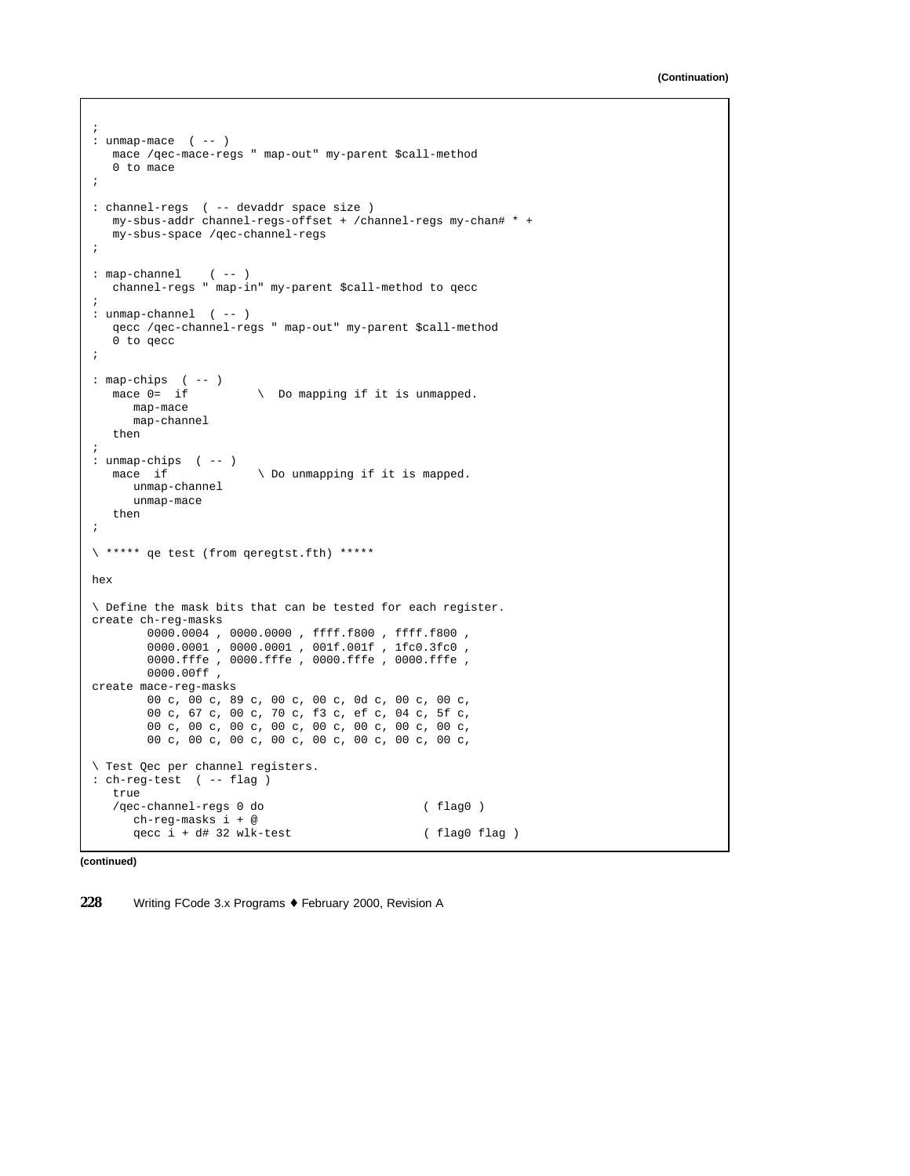```
;
: unmap-mace ( -- )
  mace /qec-mace-regs " map-out" my-parent $call-method
   0 to mace
;
: channel-regs ( -- devaddr space size )
  my-sbus-addr channel-regs-offset + /channel-regs my-chan# * +
  my-sbus-space /qec-channel-regs
;
: map-channel ( -- )
  channel-regs " map-in" my-parent $call-method to qecc
;
: unmap-channel ( -- )
  qecc /qec-channel-regs " map-out" my-parent $call-method
   0 to qecc
;
: map-chips ( -- )<br>mace 0= if
                      \ Do mapping if it is unmapped.
     map-mace
     map-channel
  then
;
: unmap-chips ( -- )
                       \setminus Do unmapping if it is mapped.
     unmap-channel
     unmap-mace
  then
;
\ ***** qe test (from qeregtst.fth) *****
hex
\ Define the mask bits that can be tested for each register.
create ch-reg-masks
       0000.0004 , 0000.0000 , ffff.f800 , ffff.f800 ,
       0000.0001 , 0000.0001 , 001f.001f , 1fc0.3fc0 ,
       0000.fffe , 0000.fffe , 0000.fffe , 0000.fffe ,
       0000.00ff ,
create mace-reg-masks
       00 c, 00 c, 89 c, 00 c, 00 c, 0d c, 00 c, 00 c,
       00 c, 67 c, 00 c, 70 c, f3 c, ef c, 04 c, 5f c,
       00 c, 00 c, 00 c, 00 c, 00 c, 00 c, 00 c, 00 c,
       00 c, 00 c, 00 c, 00 c, 00 c, 00 c, 00 c, 00 c,
\ Test Qec per channel registers.
: ch-reg-test ( -- flag )
  true
   /qec-channel-regs 0 do ( flag0 )
     ch-reg-masks i + @
     qecc i + d# 32 wlk-test ( flag0 flag )
```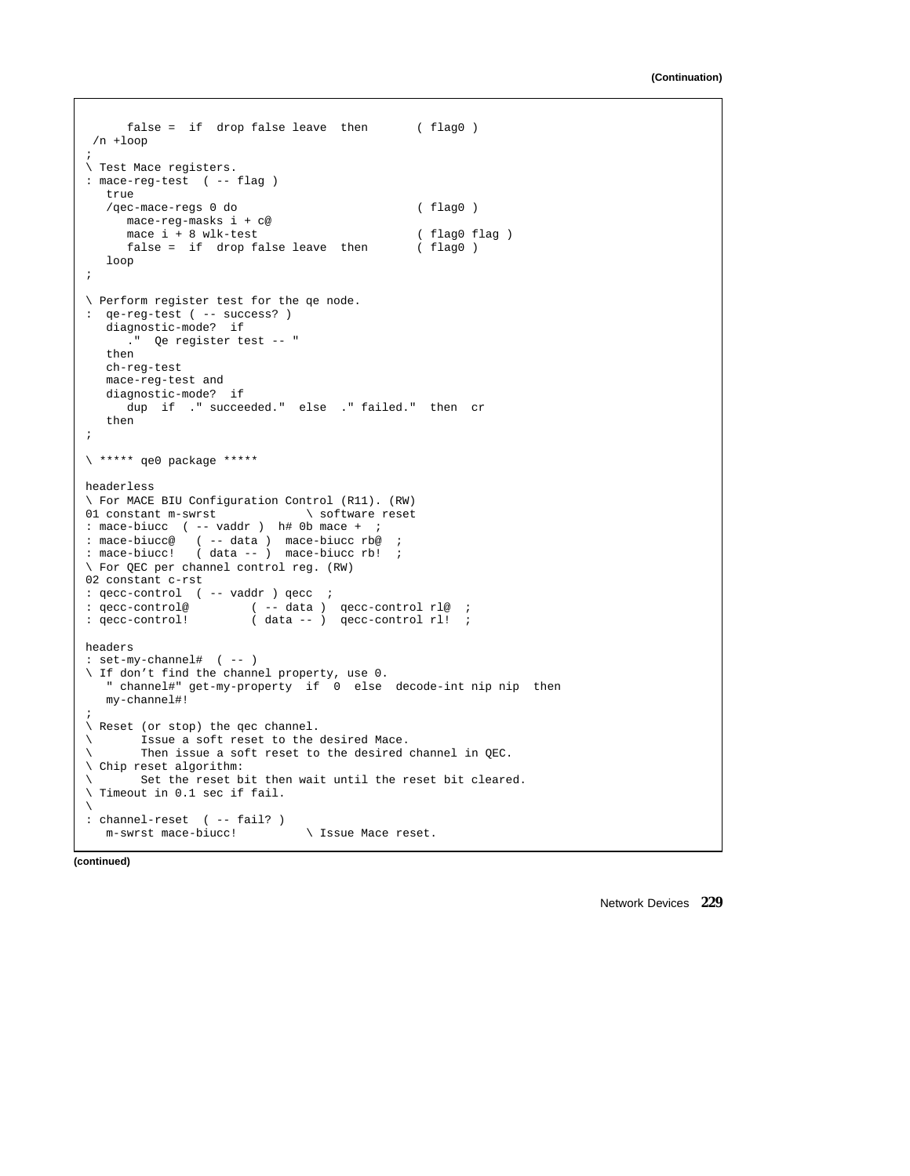```
false = if drop false leave then ( flag0 )
/n +loop
;
\ Test Mace registers.
: mace-reg-test ( -- flag )
   true
   /qec-mace-regs 0 do ( flag0 )
    mace-reg-masks i + c@
     mace i + 8 wlk-test (flag0 flag )<br>false = if drop false leave then (flag0)
     false = if drop false leave then
   loop
;
\ Perform register test for the qe node.
: qe-reg-test ( -- success? )
  diagnostic-mode? if
     ." Qe register test -- "
   then
   ch-reg-test
   mace-reg-test and
   diagnostic-mode? if
     dup if ." succeeded." else ." failed." then cr
   then
;
\ ***** qe0 package *****
headerless
\ For MACE BIU Configuration Control (R11). (RW)
01 constant m-swrst \qquad \qquad software reset
: mace-biucc ( -- vaddr ) h# 0b mace + ;
: mace-biucc@ ( -- data ) mace-biucc rb@ ;
: mace-biucc! ( data -- ) mace-biucc rb! ;
\ For QEC per channel control reg. (RW)
02 constant c-rst
: qecc-control ( -- vaddr ) qecc ;
: qecc-control@ (-- data ) qecc-control rl@ ;<br>: qecc-control! (data -- ) qecc-control rl! ;
                       \frac{1}{2} data -- ) qecc-control rl! ;
headers
: set-my-channel# ( -- )
\ If don't find the channel property, use 0.
   " channel#" get-my-property if 0 else decode-int nip nip then
  my-channel#!
;
\ Reset (or stop) the qec channel.
\ Issue a soft reset to the desired Mace.
\ Then issue a soft reset to the desired channel in QEC.
\ Chip reset algorithm:
      Set the reset bit then wait until the reset bit cleared.
\ Timeout in 0.1 sec if fail.
\
: channel-reset ( -- fail? )
   m-swrst mace-biucc! \ Issue Mace reset.
```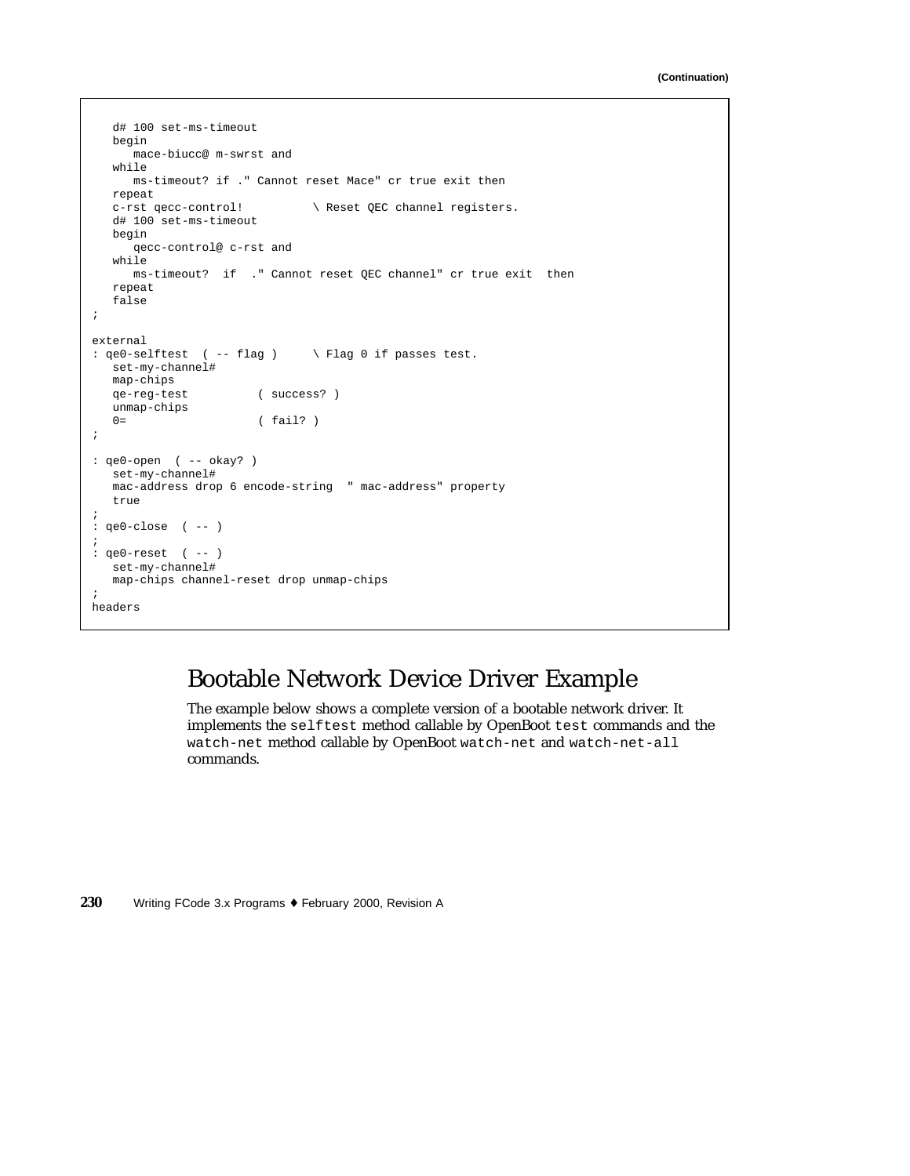```
d# 100 set-ms-timeout
  begin
     mace-biucc@ m-swrst and
   while
     ms-timeout? if ." Cannot reset Mace" cr true exit then
  repeat<br>c-rst qecc-control!
                              \ Reset QEC channel registers.
  d# 100 set-ms-timeout
  begin
     qecc-control@ c-rst and
  while
     ms-timeout? if ." Cannot reset QEC channel" cr true exit then
  repeat
   false
;
external
: qe0-selftest ( -- flag ) \ Flag 0 if passes test.
  set-my-channel#
  map-chips
  qe-reg-test ( success? )
  unmap-chips
  0= (fail?)
;
: qe0-open ( -- okay? )
  set-my-channel#
  mac-address drop 6 encode-string " mac-address" property
   true
;
: qe0 - close ( -- )
;
: qe0-reset ( -- )
  set-my-channel#
  map-chips channel-reset drop unmap-chips
;
headers
```
## Bootable Network Device Driver Example

The example below shows a complete version of a bootable network driver. It implements the selftest method callable by OpenBoot test commands and the watch-net method callable by OpenBoot watch-net and watch-net-all commands.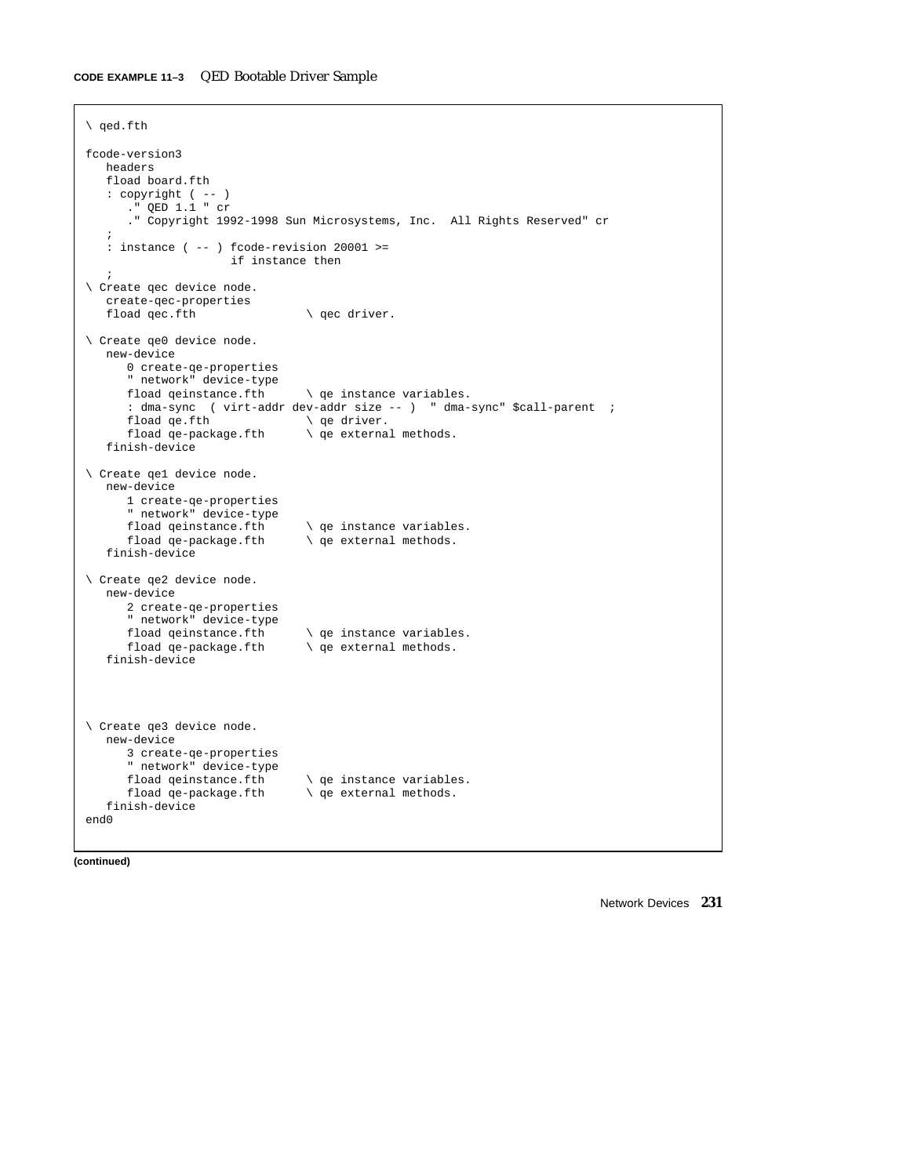#### **CODE EXAMPLE 11–3** QED Bootable Driver Sample

```
\ qed.fth
fcode-version3
   headers
   fload board.fth
   : copyright ( -- )
      ." QED 1.1 " cr
       ." Copyright 1992-1998 Sun Microsystems, Inc. All Rights Reserved" cr
    ;
    : instance ( -- ) fcode-revision 20001 >=
                         if instance then
    ;
\ Create qec device node.
   create-qec-properties<br>fload qec.fth
                                       \setminus qec driver.
\ Create qe0 device node.
   new-device
      0 create-qe-properties
      " network" device-type
                                      \setminus qe instance variables.
      : dma-sync ( virt-addr dev-addr size -- ) " dma-sync" $call-parent ;<br>fload qe.fth \qquad \qquad qe driver.
       fload qe.fth \qquad \qquad \qquad \qquad \qquad qe driver.<br>fload qe-package.fth \qquad \qquad \qquad qe external
                                     \setminus qe external methods.
   finish-device
\ Create qe1 device node.
   new-device
      1 create-qe-properties
       " network" device-type
                                       \setminus qe instance variables.
       fload qe-package.fth \ qe external methods.
   finish-device
\ Create qe2 device node.
   new-device
      2 create-qe-properties
      " network" device-type<br>fload qeinstance.fth
       fload qeinstance.fth \ qe instance variables.
                                    \setminus qe external methods.
   finish-device
\ Create qe3 device node.
   new-device
      3 create-qe-properties
       " network" device-type
       fload qeinstance.fth \qquad qe instance variables.<br>fload qe-package.fth \qquad qe external methods.
                                      \setminus qe external methods.
   finish-device
end0
```
**(continued)**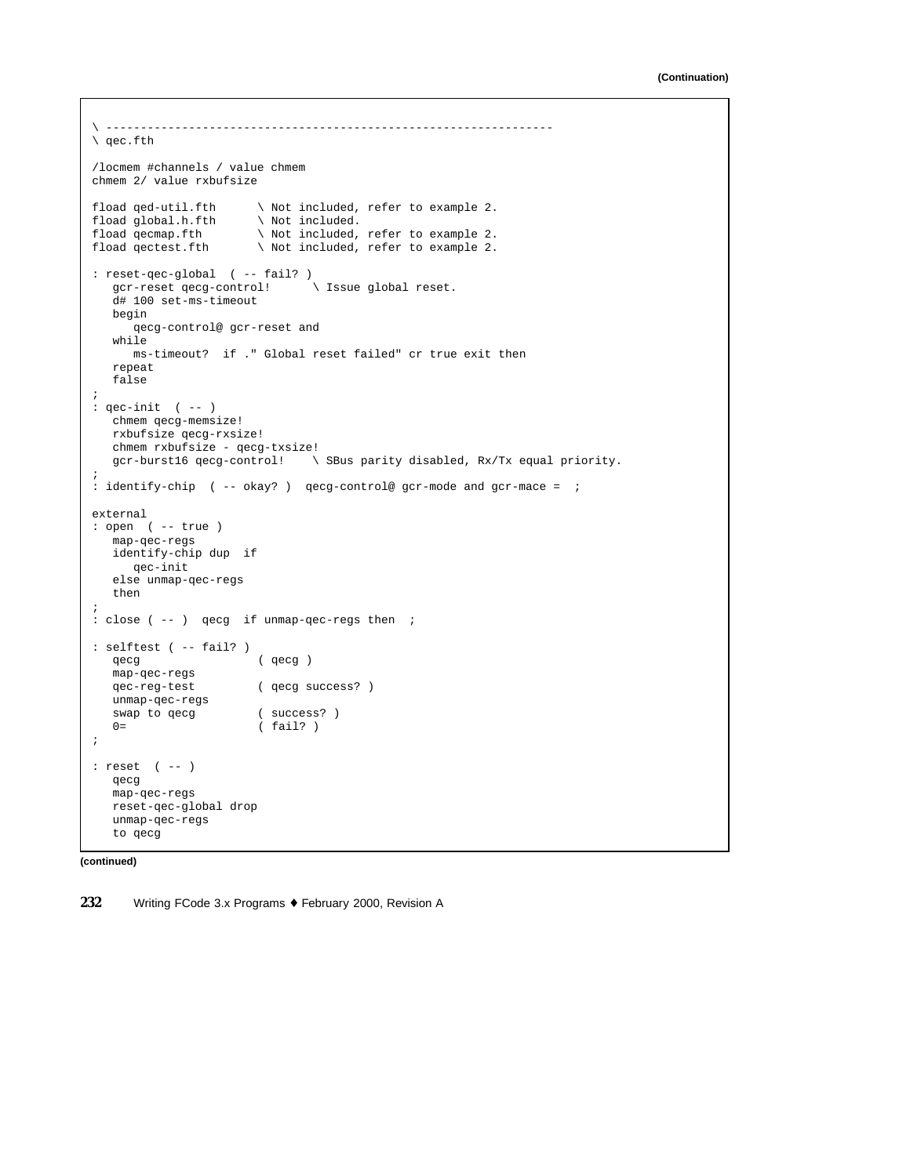```
\ -----------------------------------------------------------------
\ qec.fth
/locmem #channels / value chmem
chmem 2/ value rxbufsize
fload qed-util.fth \ Not included, refer to example 2.
fload global.h.fth<br>fload qecmap.fth
fload qecmap.fth \qquad \setminus Not included, refer to example 2.<br>fload qectest.fth \qquad \setminus Not included, refer to example 2.
                        \setminus Not included, refer to example 2.
: reset-qec-global ( -- fail? )
   gcr-reset qecg-control! \ Issue global reset.
   d# 100 set-ms-timeout
  begin
     qecg-control@ gcr-reset and
   while
     ms-timeout? if ." Global reset failed" cr true exit then
  repeat
  false
;
: qec-init ( -- )
  chmem qecg-memsize!
  rxbufsize qecg-rxsize!
  chmem rxbufsize - qecg-txsize!
  gcr-burst16 qecg-control! \ SBus parity disabled, Rx/Tx equal priority.
;
: identify-chip ( -- okay? ) qecg-control@ gcr-mode and gcr-mace = ;
external
: open ( -- true )
  map-qec-regs
  identify-chip dup if
     qec-init
   else unmap-qec-regs
  then
;
: close ( -- ) qecg if unmap-qec-regs then ;
: selftest ( -- fail? )
  qecg ( qecg )
  map-qec-regs
                        ( qecg success? )
  unmap-qec-regs
  swap to qecg ( success? )
  0= ( fail? )
;
: reset ( -- )
  qecg
  map-qec-regs
  reset-qec-global drop
  unmap-qec-regs
   to qecg
```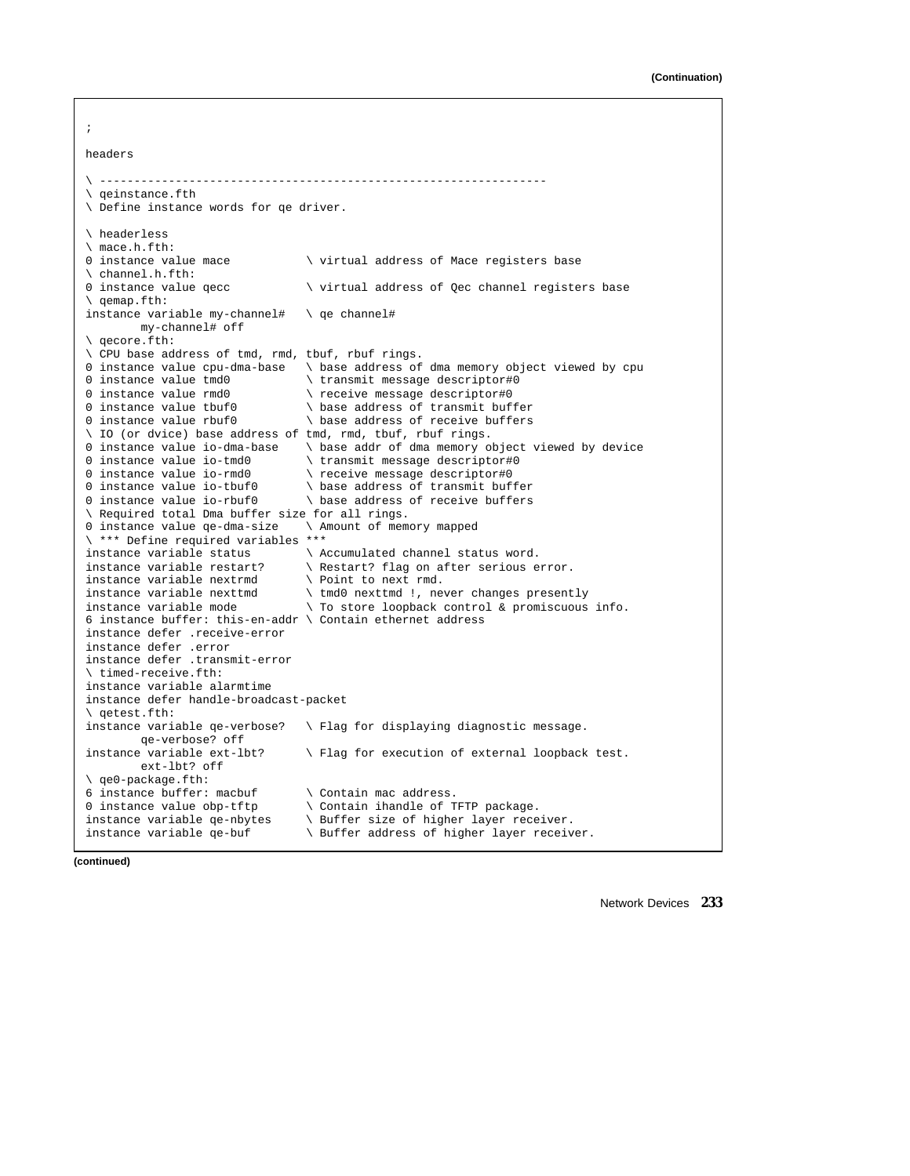;

| headers                                                     |                                                   |  |  |  |
|-------------------------------------------------------------|---------------------------------------------------|--|--|--|
| \ ------------                                              |                                                   |  |  |  |
| \ qeinstance.fth                                            |                                                   |  |  |  |
| \ Define instance words for qe driver.                      |                                                   |  |  |  |
| \ headerless                                                |                                                   |  |  |  |
| \ mace.h.fth:                                               |                                                   |  |  |  |
| 0 instance value mace                                       | \ virtual address of Mace registers base          |  |  |  |
| \ channel.h.fth:                                            |                                                   |  |  |  |
| 0 instance value qecc                                       | \ virtual address of Qec channel registers base   |  |  |  |
| \ qemap.fth:                                                |                                                   |  |  |  |
| instance variable my-channel#                               | \ qe channel#                                     |  |  |  |
| my-channel# off                                             |                                                   |  |  |  |
| \ qecore.fth:                                               |                                                   |  |  |  |
| \ CPU base address of tmd, rmd, tbuf, rbuf rings.           |                                                   |  |  |  |
| 0 instance value cpu-dma-base                               | \ base address of dma memory object viewed by cpu |  |  |  |
| 0 instance value tmd0                                       | \ transmit message descriptor#0                   |  |  |  |
| 0 instance value rmd0                                       | \ receive message descriptor#0                    |  |  |  |
| 0 instance value tbuf0                                      | \ base address of transmit buffer                 |  |  |  |
| 0 instance value rbuf0                                      | \ base address of receive buffers                 |  |  |  |
| \ IO (or dvice) base address of tmd, rmd, tbuf, rbuf rings. |                                                   |  |  |  |
| 0 instance value io-dma-base                                | \ base addr of dma memory object viewed by device |  |  |  |
| 0 instance value io-tmd0                                    | \ transmit message descriptor#0                   |  |  |  |
| 0 instance value io-rmd0                                    | \ receive message descriptor#0                    |  |  |  |
| 0 instance value io-tbuf0                                   | \ base address of transmit buffer                 |  |  |  |
| 0 instance value io-rbuf0                                   | \ base address of receive buffers                 |  |  |  |
| \ Required total Dma buffer size for all rings.             |                                                   |  |  |  |
| 0 instance value qe-dma-size                                | \ Amount of memory mapped                         |  |  |  |
| \ *** Define required variables ***                         |                                                   |  |  |  |
| instance variable status                                    | \ Accumulated channel status word.                |  |  |  |
| instance variable restart?                                  | \ Restart? flag on after serious error.           |  |  |  |
| instance variable nextrmd                                   | \ Point to next rmd.                              |  |  |  |
| instance variable nexttmd                                   | \ tmd0 nexttmd !, never changes presently         |  |  |  |
| instance variable mode                                      | \ To store loopback control & promiscuous info.   |  |  |  |
| 6 instance buffer: this-en-addr \ Contain ethernet address  |                                                   |  |  |  |
| instance defer .receive-error                               |                                                   |  |  |  |
| instance defer .error                                       |                                                   |  |  |  |
| instance defer .transmit-error                              |                                                   |  |  |  |
| \ timed-receive.fth:                                        |                                                   |  |  |  |
| instance variable alarmtime                                 |                                                   |  |  |  |
| instance defer handle-broadcast-packet                      |                                                   |  |  |  |
| \ qetest.fth:                                               |                                                   |  |  |  |
| instance variable qe-verbose?                               | \ Flag for displaying diagnostic message.         |  |  |  |
| qe-verbose? off                                             |                                                   |  |  |  |
| instance variable ext-lbt?                                  | \ Flag for execution of external loopback test.   |  |  |  |
| ext-lbt? off                                                |                                                   |  |  |  |
| \ qe0-package.fth:                                          |                                                   |  |  |  |
| 6 instance buffer: macbuf                                   | \ Contain mac address.                            |  |  |  |
| 0 instance value obp-tftp                                   | \ Contain ihandle of TFTP package.                |  |  |  |
| instance variable qe-nbytes                                 | \ Buffer size of higher layer receiver.           |  |  |  |
| instance variable qe-buf                                    | Buffer address of higher layer receiver.          |  |  |  |

**(continued)**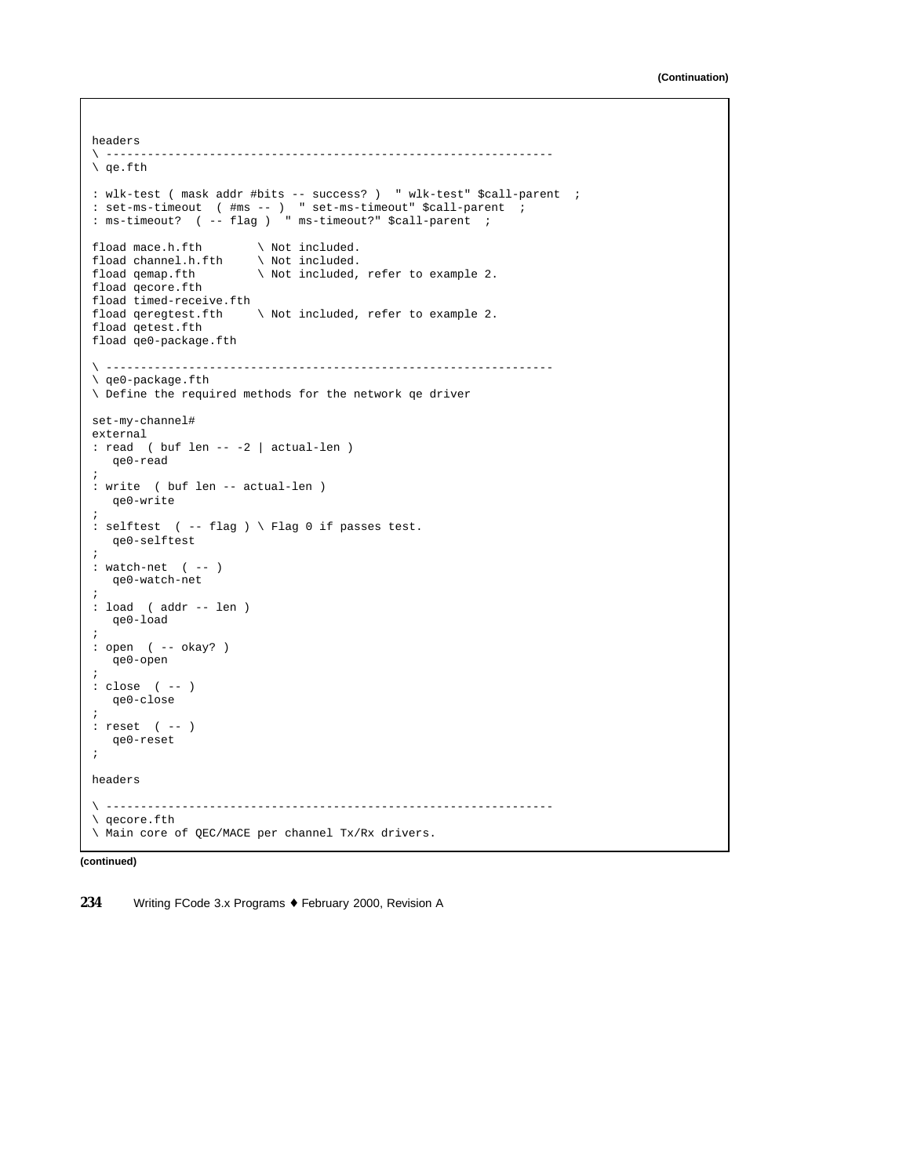```
headers<br>\ -------
         \ -----------------------------------------------------------------
\ qe.fth
: wlk-test ( mask addr #bits -- success? ) " wlk-test" $call-parent ;
: set-ms-timeout ( #ms -- ) " set-ms-timeout" $call-parent ;
: ms-timeout? ( -- flag ) " ms-timeout?" $call-parent ;
fload mace.h.fth \ Not included.
fload channel.h.fth \ Not included.
fload qemap.fth \setminus Not included, refer to example 2.
fload qecore.fth
fload timed-receive.fth
fload qeregtest.fth \setminus Not included, refer to example 2.
fload qetest.fth
fload qe0-package.fth
\ -----------------------------------------------------------------
\ qe0-package.fth
\ Define the required methods for the network qe driver
set-my-channel#
external
: read ( buf len -- -2 | actual-len )
   qe0-read
;
: write ( buf len -- actual-len )
  qe0-write
;
: selftest ( -- flag ) \ Flag 0 if passes test.
  qe0-selftest
;
: watch-net ( -- )
  qe0-watch-net
;
: load ( addr -- len )
  qe0-load
;
: open ( -- okay? )
  qe0-open
;
: close ( -- )
  qe0-close
;
: reset ( -- )
  qe0-reset
;
headers
\ -----------------------------------------------------------------
\ qecore.fth
\ Main core of QEC/MACE per channel Tx/Rx drivers.
```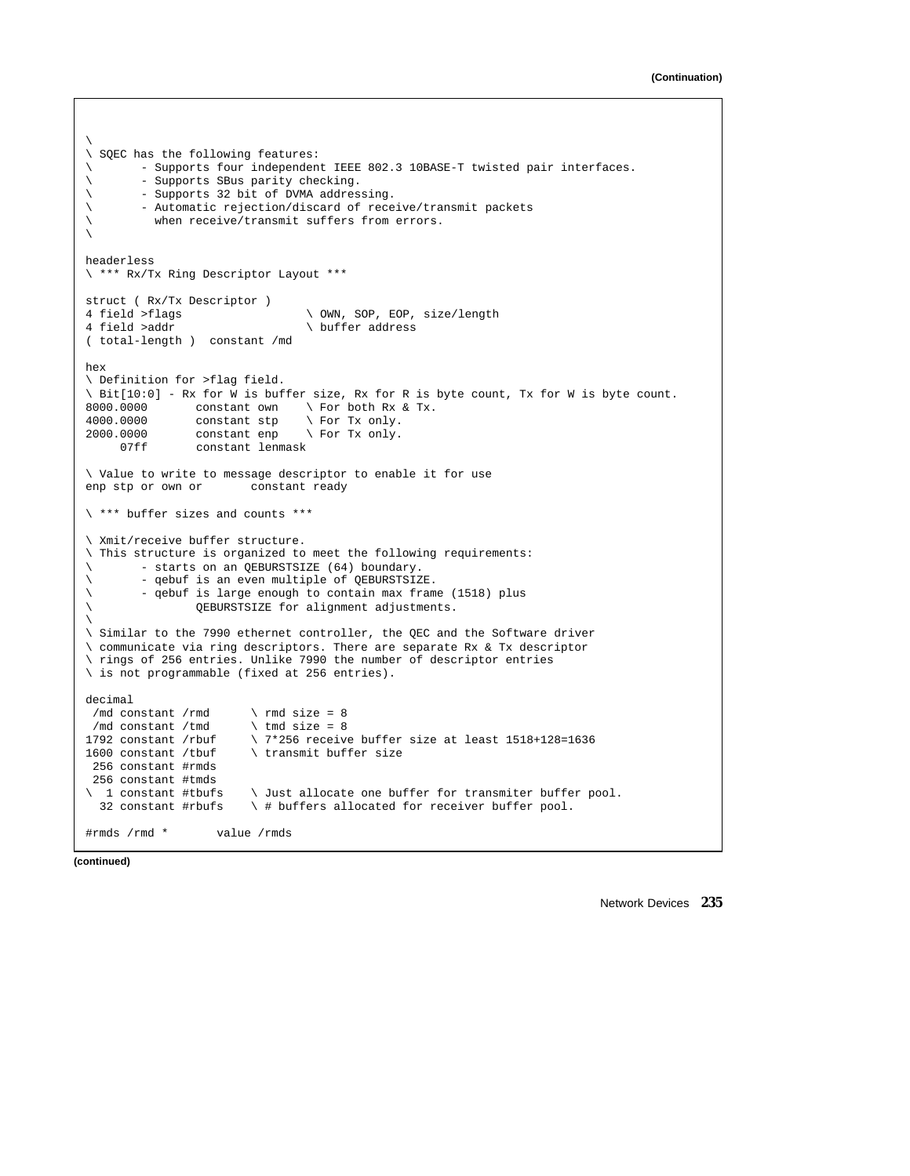```
\backslash\ SQEC has the following features:
       - Supports four independent IEEE 802.3 10BASE-T twisted pair interfaces.
\ - Supports SBus parity checking.
\ - Supports 32 bit of DVMA addressing.
\ - Automatic rejection/discard of receive/transmit packets
\ when receive/transmit suffers from errors.
\backslashheaderless
\ *** Rx/Tx Ring Descriptor Layout ***
struct ( Rx/Tx Descriptor )
4 field >flags \setminus OWN, SOP, EOP, size/length<br>4 field >addr
                                     \backslash buffer address
( total-length ) constant /md
hex
\ Definition for >flag field.
\setminus Bit[10:0] - Rx for W is buffer size, Rx for R is byte count, Tx for W is byte count.<br>8000.0000 constant own \setminus For both Rx & Tx.
                                    \setminus For both Rx & Tx.
4000.0000 constant stp \ For Tx only.
2000.0000 constant enp \ For Tx only.<br>07ff constant lenmask
                 constant lenmask
\ Value to write to message descriptor to enable it for use
enp stp or own or constant ready
\ *** buffer sizes and counts ***
\ Xmit/receive buffer structure.
\ This structure is organized to meet the following requirements:
\ - starts on an QEBURSTSIZE (64) boundary.<br>\ - qebuf is an even multiple of OFBIDSTSTS
         - qebuf is an even multiple of QEBURSTSIZE.
\ - qebuf is large enough to contain max frame (1518) plus
                  \ QEBURSTSIZE for alignment adjustments.
\backslash\ Similar to the 7990 ethernet controller, the QEC and the Software driver
\ communicate via ring descriptors. There are separate Rx & Tx descriptor
\ rings of 256 entries. Unlike 7990 the number of descriptor entries
\ is not programmable (fixed at 256 entries).
decimal
/md constant /rmd \times rmd size = 8
 /md constant /tmd \times tmd size = 8
1792 constant /rbuf \qquad \qquad \qquad \qquad 17*256 receive buffer size at least 1518+128=1636<br>1600 constant /tbuf \transmit buffer size
                           \setminus transmit buffer size
 256 constant #rmds
 256 constant #tmds
\ 1 constant #tbufs \ Just allocate one buffer for transmiter buffer pool.<br>32 constant #rbufs \ # buffers allocated for receiver buffer pool.
                           \setminus # buffers allocated for receiver buffer pool.
#rmds /rmd * value /rmds
```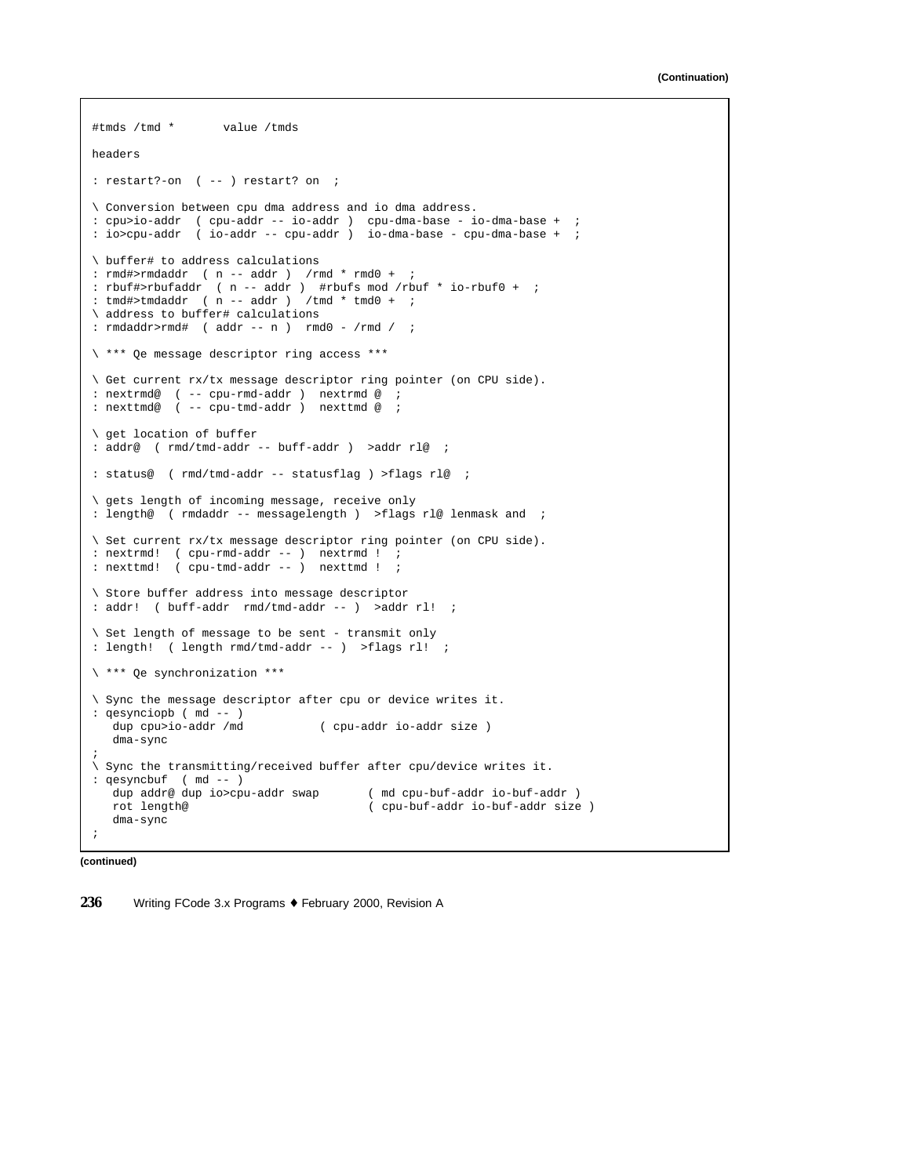```
#tmds /tmd * value /tmds
headers
: restart?-on ( -- ) restart? on ;
\ Conversion between cpu dma address and io dma address.
: cpu>io-addr ( cpu-addr -- io-addr ) cpu-dma-base - io-dma-base + ;
: io>cpu-addr ( io-addr -- cpu-addr ) io-dma-base - cpu-dma-base + ;
\ buffer# to address calculations
: rmd#>rmdaddr ( n -- addr ) /rmd * rmd0 + ;
: rbuf#>rbufaddr ( n -- addr ) #rbufs mod /rbuf * io-rbuf0 + ;
: tmd\#>tmdaddr ( n -- addr ) /tmd * tmd0 + i\ address to buffer# calculations
: rmdaddr > rmd# (addr -- n) rmd0 - /rmd / i\ *** Qe message descriptor ring access ***
\ Get current rx/tx message descriptor ring pointer (on CPU side).
: nextrmd@ ( -- cpu-rmd-addr ) nextrmd @ ;
: nexttmd@ ( -- cpu-tmd-addr ) nexttmd @ ;
\ get location of buffer
: addr@ ( rmd/tmd-addr -- buff-addr ) >addr rl@ ;
: status@ ( rmd/tmd-addr -- statusflag ) >flags rl@ ;
\ gets length of incoming message, receive only
: length@ ( rmdaddr -- messagelength ) >flags rl@ lenmask and ;
\ Set current rx/tx message descriptor ring pointer (on CPU side).
: nextrmd! ( cpu-rmd-addr -- ) nextrmd ! ;
: nexttmd! ( cpu-tmd-addr -- ) nexttmd ! ;
\ Store buffer address into message descriptor
: addr! ( buff-addr rmd/tmd-addr -- ) >addr rl! ;
\ Set length of message to be sent - transmit only
: length! ( length rmd/tmd-addr -- ) >flags rl! ;
\ *** Qe synchronization ***
\ Sync the message descriptor after cpu or device writes it.
: qesynciopb ( md -- )
  dup cpu>io-addr /md ( cpu-addr io-addr size )
  dma-sync
;
\ Sync the transmitting/received buffer after cpu/device writes it.
: qesyncbuf ( md -- )
  dup addr@ dup io>cpu-addr swap ( md cpu-buf-addr io-buf-addr )
                                      ( cpu-buf-addr io-buf-addr size )
  dma-sync
;
```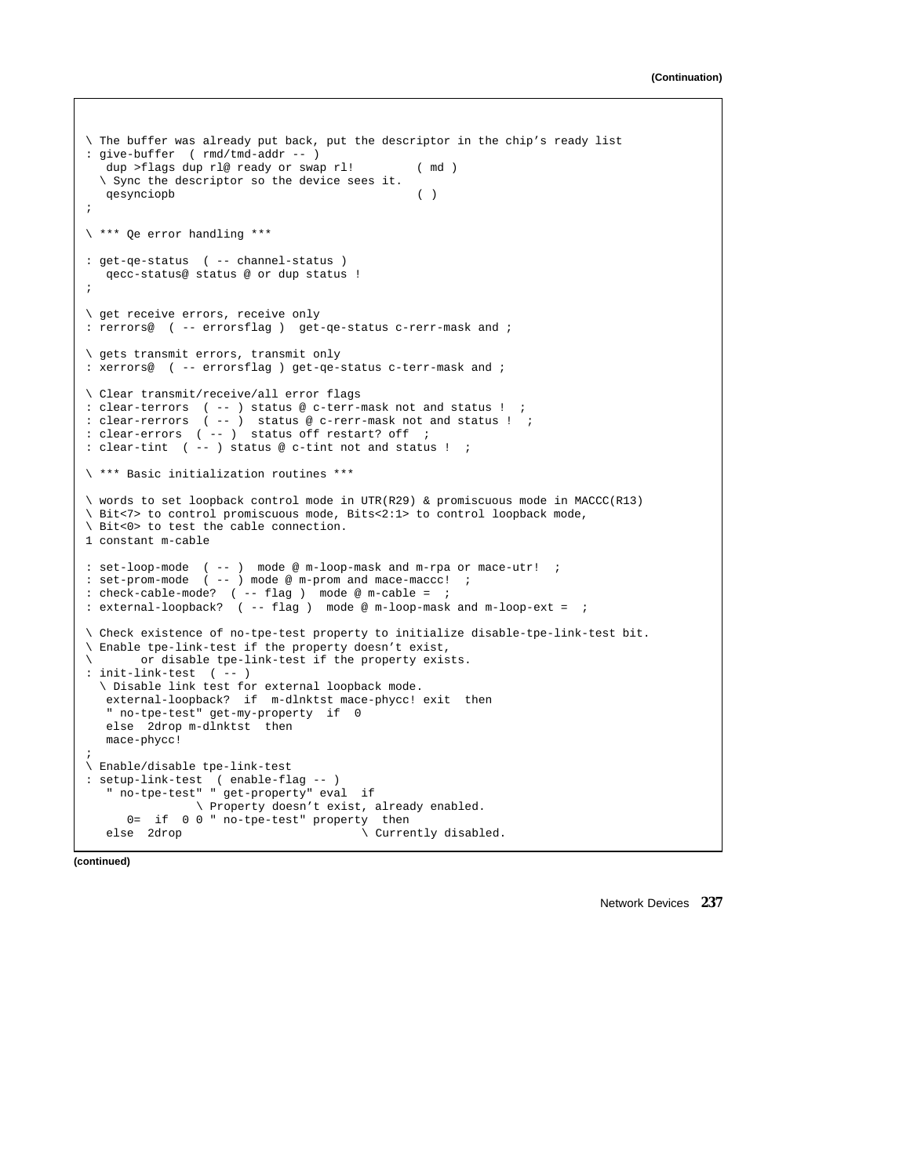```
\ The buffer was already put back, put the descriptor in the chip's ready list
: give-buffer ( rmd/tmd-addr -- )
  dup >flags dup rl@ ready or swap rl! ( md )
  \ Sync the descriptor so the device sees it.
   qesynciopb ( )
;
\ *** Qe error handling ***
: get-qe-status ( -- channel-status )
  qecc-status@ status @ or dup status !
;
\ get receive errors, receive only
: rerrors@ ( -- errorsflag ) get-qe-status c-rerr-mask and ;
\ gets transmit errors, transmit only
: xerrors@ ( -- errorsflag ) get-qe-status c-terr-mask and ;
\ Clear transmit/receive/all error flags
: clear-terrors ( -- ) status @ c-terr-mask not and status ! ;
: clear-rerrors ( -- ) status @ c-rerr-mask not and status ! ;
: clear-errors ( -- ) status off restart? off ;
: clear-tint ( -- ) status @ c-tint not and status ! ;
\ *** Basic initialization routines ***
\ words to set loopback control mode in UTR(R29) & promiscuous mode in MACCC(R13)
\ Bit<7> to control promiscuous mode, Bits<2:1> to control loopback mode,
\ Bit<0> to test the cable connection.
1 constant m-cable
: set-loop-mode ( -- ) mode @ m-loop-mask and m-rpa or mace-utr! ;
: set-prom-mode ( -- ) mode @ m-prom and mace-maccc! ;
: check-cable-mode? ( -- flag ) mode @ m-cable = ;
: external-loopback? ( -- flag ) mode @ m-loop-mask and m-loop-ext = ;
\ Check existence of no-tpe-test property to initialize disable-tpe-link-test bit.
\ Enable tpe-link-test if the property doesn't exist,
       \ or disable tpe-link-test if the property exists.
: init-link-test ( -- )
  \ Disable link test for external loopback mode.
   external-loopback? if m-dlnktst mace-phycc! exit then
   " no-tpe-test" get-my-property if 0
   else 2drop m-dlnktst then
  mace-phycc!
;
\ Enable/disable tpe-link-test
: setup-link-test ( enable-flag -- )
   " no-tpe-test" " get-property" eval if
               \ Property doesn't exist, already enabled.
     0= if 0 0 " no-tpe-test" property then
   else 2drop \setminus Currently disabled.
```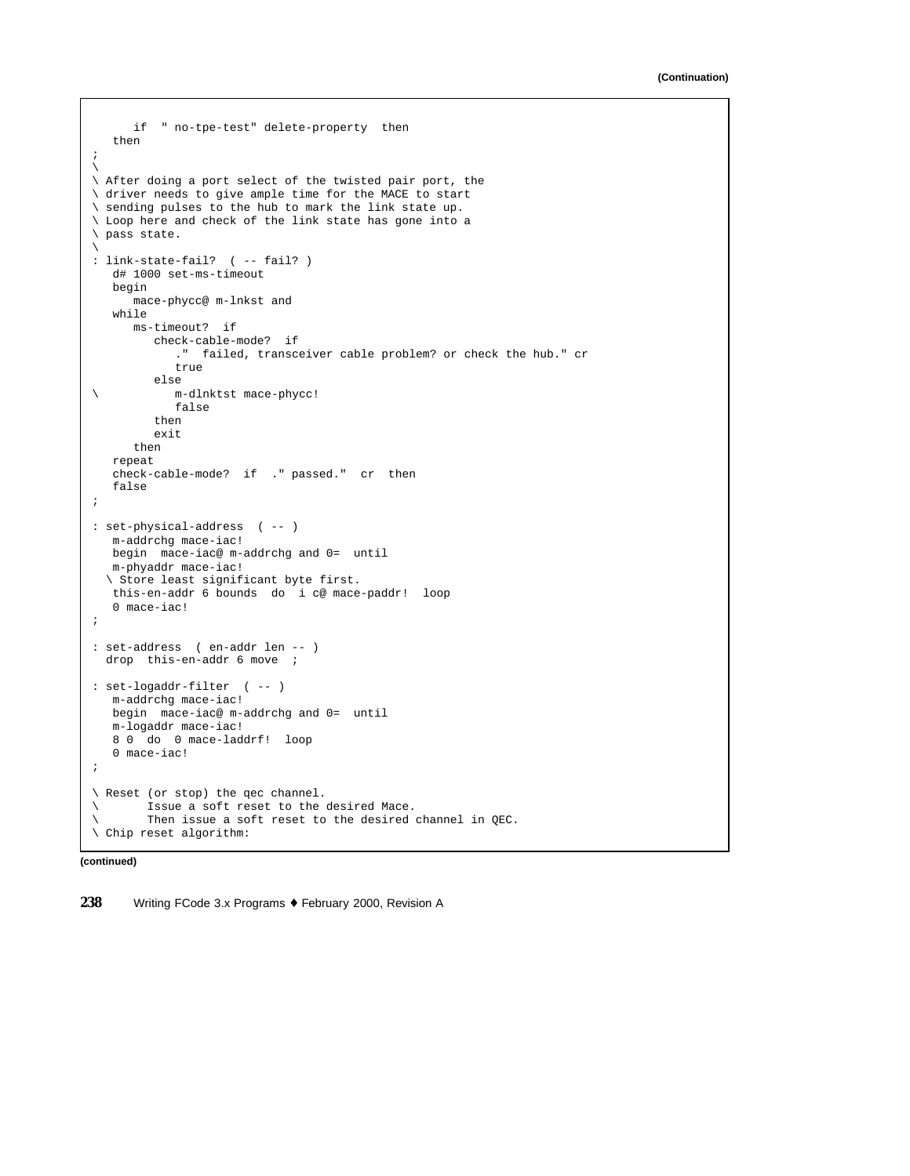```
if " no-tpe-test" delete-property then
  then
;
\
\ After doing a port select of the twisted pair port, the
\ driver needs to give ample time for the MACE to start
\ sending pulses to the hub to mark the link state up.
\ Loop here and check of the link state has gone into a
\ pass state.
\
: link-state-fail? ( -- fail? )
  d# 1000 set-ms-timeout
  begin
     mace-phycc@ m-lnkst and
  while
     ms-timeout? if
        check-cable-mode? if
           ." failed, transceiver cable problem? or check the hub." cr
           true
        else
\ m-dlnktst mace-phycc!
           false
        then
        exit
     then
  repeat
  check-cable-mode? if ." passed." cr then
  false
;
: set-physical-address ( -- )
  m-addrchg mace-iac!
  begin mace-iac@ m-addrchg and 0= until
  m-phyaddr mace-iac!
  \ Store least significant byte first.
  this-en-addr 6 bounds do i c@ mace-paddr! loop
  0 mace-iac!
;
: set-address ( en-addr len -- )
 drop this-en-addr 6 move ;
: set-logaddr-filter ( -- )
  m-addrchg mace-iac!
  begin mace-iac@ m-addrchg and 0= until
  m-logaddr mace-iac!
  8 0 do 0 mace-laddrf! loop
  0 mace-iac!
;
\ Reset (or stop) the qec channel.
\ Issue a soft reset to the desired Mace.
\ Then issue a soft reset to the desired channel in QEC.
\ Chip reset algorithm:
```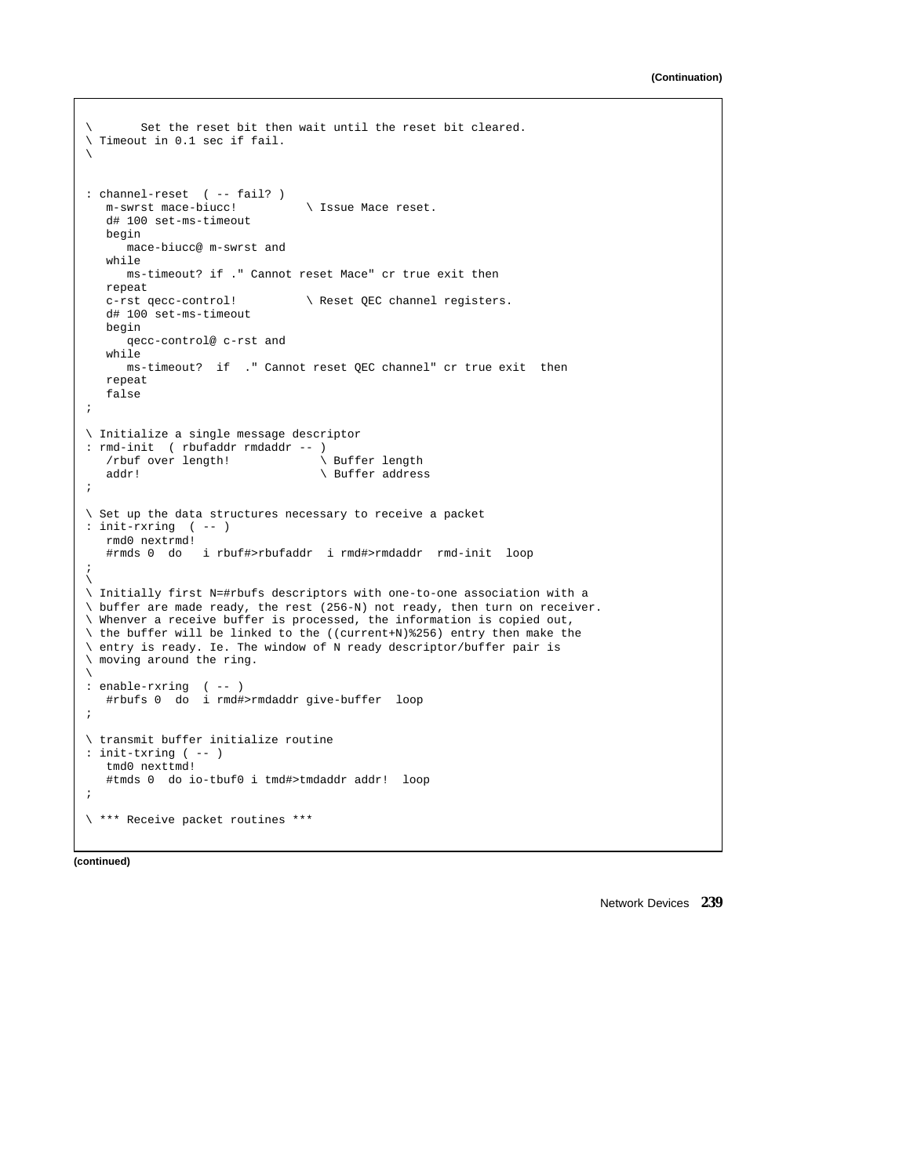```
Set the reset bit then wait until the reset bit cleared.
\ Timeout in 0.1 sec if fail.
\backslash: channel-reset ( -- fail? )
  m-swrst mace-biucc! \ Issue Mace reset.
   d# 100 set-ms-timeout
   begin
      mace-biucc@ m-swrst and
   while
     ms-timeout? if ." Cannot reset Mace" cr true exit then
   repeat
   c-rst qecc-control! \ Reset QEC channel registers.
   d# 100 set-ms-timeout
  begin
      qecc-control@ c-rst and
   while
     ms-timeout? if ." Cannot reset QEC channel" cr true exit then
   repeat
   false
;
\ Initialize a single message descriptor
: rmd-init ( rbufaddr rmdaddr -- )
   /rbuf over length!<br>
addr!<br>
\ Buffer addres
                                  \setminus Buffer address
;
\ Set up the data structures necessary to receive a packet
: init-rxring ( -- )
   rmd0 nextrmd!
   #rmds 0 do i rbuf#>rbufaddr i rmd#>rmdaddr rmd-init loop
;
\backslash\ Initially first N=#rbufs descriptors with one-to-one association with a
\ buffer are made ready, the rest (256-N) not ready, then turn on receiver.
\ Whenver a receive buffer is processed, the information is copied out,
\ the buffer will be linked to the ((current+N)%256) entry then make the
\ entry is ready. Ie. The window of N ready descriptor/buffer pair is
\ moving around the ring.
\backslash: enable-rxring ( -- )
   #rbufs 0 do i rmd#>rmdaddr give-buffer loop
;
\ transmit buffer initialize routine
: init-txring ( -- )
   tmd0 nexttmd!
   #tmds 0 do io-tbuf0 i tmd#>tmdaddr addr! loop
;
\ *** Receive packet routines ***
```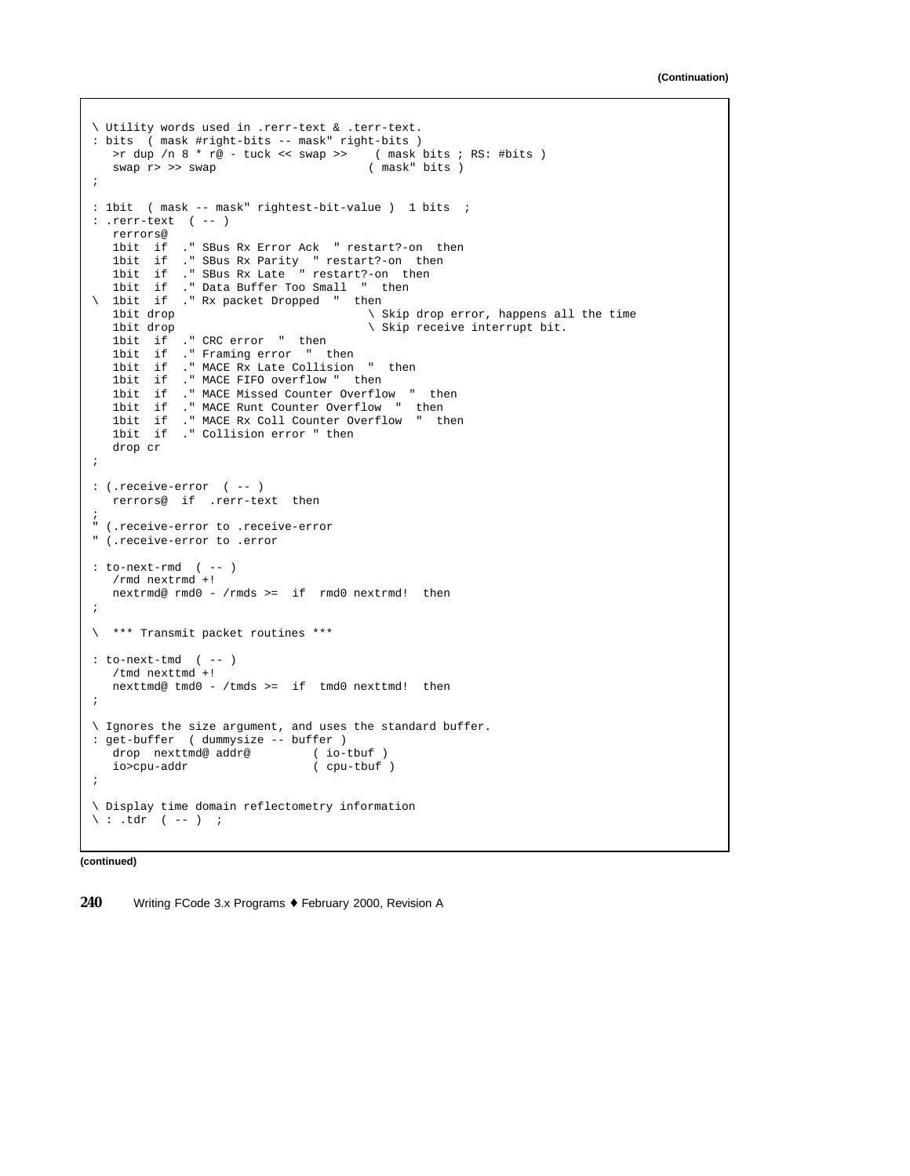```
\ Utility words used in .rerr-text & .terr-text.
: bits ( mask #right-bits -- mask" right-bits )
  >r dup /n 8 * r@ - tuck << swap >> ( mask bits ; RS: #bits )
   swap r> >> swap ( mask" bits )
;
: 1bit ( mask -- mask" rightest-bit-value ) 1 bits ;
: .rerr-text ( -- )
  rerrors@
  1bit if ." SBus Rx Error Ack " restart?-on then
   1bit if ." SBus Rx Parity " restart?-on then
   1bit if ." SBus Rx Late " restart?-on then
   1bit if ." Data Buffer Too Small " then
\ 1bit if ." Rx packet Dropped " then<br>1bit drop
  1bit drop \setminus Skip drop error, happens all the time<br>1bit drop \setminus Skip receive interrupt bit.
                                        \setminus Skip receive interrupt bit.
  1bit if ." CRC error " then<br>1bit if ." Framing error " t<br>1bit if ." MACE Rx Late Collis
            ." Framing error " then
             ." MACE Rx Late Collision " then
  1bit if ." MACE FIFO overflow " then
   1bit if ." MACE Missed Counter Overflow " then
   1bit if ." MACE Runt Counter Overflow " then
   1bit if ." MACE Rx Coll Counter Overflow " then
  1bit if ." Collision error " then
  drop cr
;
: (.receive-error ( -- )
  rerrors@ if .rerr-text then
;
" (.receive-error to .receive-error
" (.receive-error to .error
: to-next-rmd ( -- )
  /rmd nextrmd +!
  nextrmd@ rmd0 - /rmds >= if rmd0 nextrmd! then
;
\ *** Transmit packet routines ***
: to-next-tmd ( -- )
  /tmd nexttmd +!
  nexttmd@ tmd0 - /tmds >= if tmd0 nexttmd! then
;
\ Ignores the size argument, and uses the standard buffer.
: get-buffer ( dummysize -- buffer )
  drop nexttmd@ addr@ ( io-tbuf )
  io>cpu-addr ( cpu-tbuf )
;
\ Display time domain reflectometry information
\setminus : .tdr ( -- ) ;
```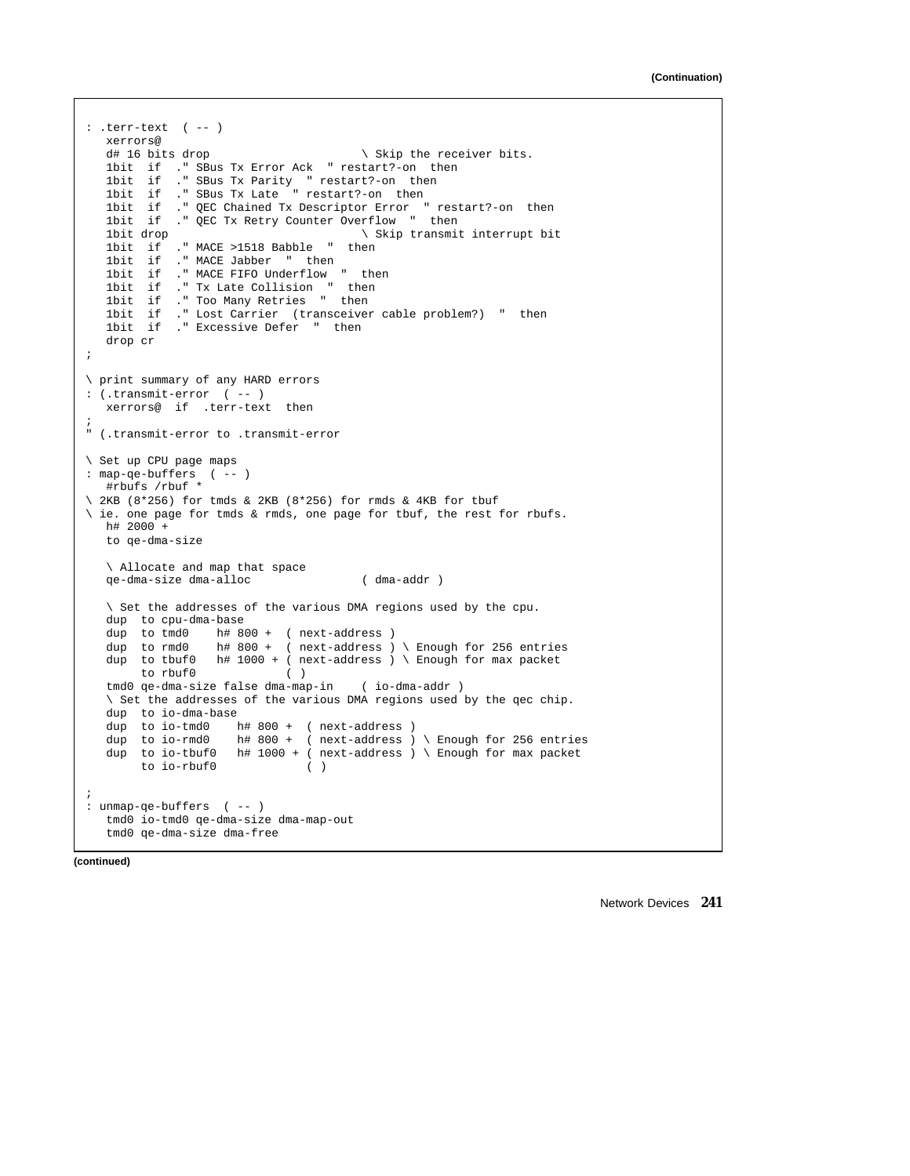```
: .terr-text ( -- )
  xerrors@<br>d# 16 bits drop
                                        \setminus Skip the receiver bits.
  1bit if ." SBus Tx Error Ack " restart?-on then
   1bit if ." SBus Tx Parity " restart?-on then
   1bit if ." SBus Tx Late " restart?-on then
  1bit if ." QEC Chained Tx Descriptor Error " restart?-on then
  1bit if ." QEC Tx Retry Counter Overflow " then<br>1bit drop \ Skip transmit
                                       \setminus Skip transmit interrupt bit
  1bit if ." MACE >1518 Babble " then
  1bit if ." MACE Jabber " then<br>1bit if ." MACE FIFO Underflow<br>1bit if ." Tx Late Collision "
   1bit if ." MACE FIFO Underflow " then
   1bit if ." Tx Late Collision " then
  1bit if ." Too Many Retries " then
   1bit if ." Lost Carrier (transceiver cable problem?) " then
   1bit if ." Excessive Defer " then
  drop cr
;
\ print summary of any HARD errors
: (.transmit-error ( -- )
  xerrors@ if .terr-text then
;
" (.transmit-error to .transmit-error
\ Set up CPU page maps
: map-qe-buffers ( -- )
  #rbufs /rbuf *
\ 2KB (8*256) for tmds & 2KB (8*256) for rmds & 4KB for tbuf
\ ie. one page for tmds & rmds, one page for tbuf, the rest for rbufs.
  h# 2000 +to qe-dma-size
  \ Allocate and map that space
  qe-dma-size dma-alloc ( dma-addr )
   \ Set the addresses of the various DMA regions used by the cpu.
  dup to cpu-dma-base
  dup to tmd0 h# 800 + ( next-address )
  dup to rmd0 h# 800 + ( next-address ) \ Enough for 256 entries
  dup to tbuf0 h# 1000 + (next-address) \setminus Enough for max packet
        to rbuf0 ( )
  tmd0 qe-dma-size false dma-map-in ( io-dma-addr )
   \ Set the addresses of the various DMA regions used by the qec chip.
  dup to io-dma-base
  dup to io-tmd0 h# 800 + ( next-address )
   dup to io-rmd0 h# 800 + ( next-address ) \ Enough for 256 entries
   dup to io-tbuf0 h# 1000 + ( next-address ) \ Enough for max packet
       to io-rbuf0 ( )
;
: unmap-qe-buffers ( -- )
  tmd0 io-tmd0 qe-dma-size dma-map-out
  tmd0 qe-dma-size dma-free
```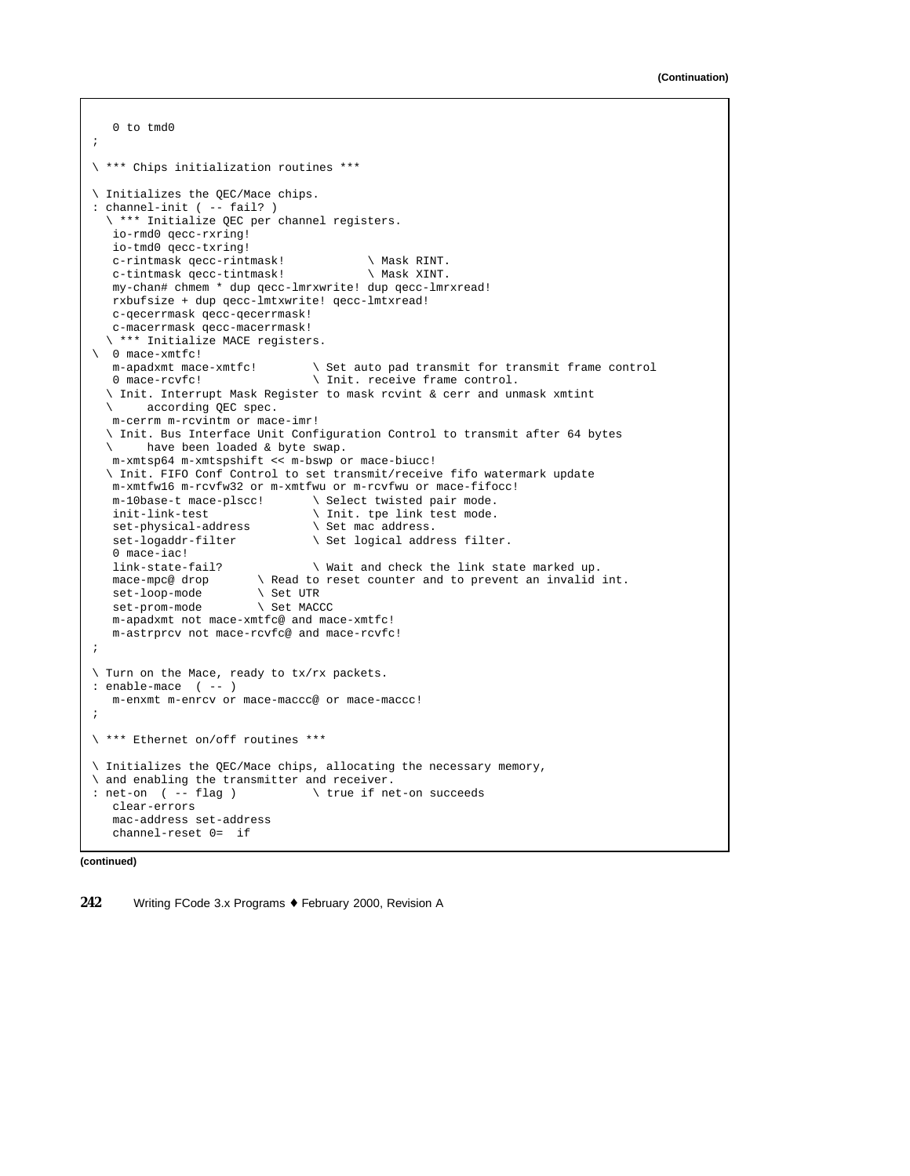```
0 to tmd0
;
\ *** Chips initialization routines ***
\ Initializes the QEC/Mace chips.
: channel-init ( -- fail? )
  \ *** Initialize QEC per channel registers.
   io-rmd0 qecc-rxring!
  io-tmd0 qecc-txring!
  c-rintmask qecc-rintmask! \ Mask RINT.
   c-tintmask qecc-tintmask! \ Mask XINT.
  my-chan# chmem * dup qecc-lmrxwrite! dup qecc-lmrxread!
  rxbufsize + dup qecc-lmtxwrite! qecc-lmtxread!
  c-qecerrmask qecc-qecerrmask!
   c-macerrmask qecc-macerrmask!
  \ *** Initialize MACE registers.
\ 0 mace-xmtfc!
   m-apadxmt mace-xmtfc! \ Set auto pad transmit for transmit frame control
   0 mace-rcvfc! \in linit. receive frame control.
  \ Init. Interrupt Mask Register to mask rcvint & cerr and unmask xmtint
       \ according QEC spec.
  m-cerrm m-rcvintm or mace-imr!
  \ Init. Bus Interface Unit Configuration Control to transmit after 64 bytes
  \ have been loaded & byte swap.
  m-xmtsp64 m-xmtspshift << m-bswp or mace-biucc!
  \ Init. FIFO Conf Control to set transmit/receive fifo watermark update
  m-xmtfw16 m-rcvfw32 or m-xmtfwu or m-rcvfwu or mace-fifocc!
  m-10base-t mace-plscc! \ Select twisted pair mode.<br>init-link-test \ Init. tpe link test mode.
                                  \setminus Init. tpe link test mode.<br>\setminus Set mac address.
  set-physical-address
   set-logaddr-filter \setminus Set logical address filter.
  0 mace-iac!
  link-state-fail? \infty Wait and check the link state marked up.<br>mace-mpc@ drop \setminus Read to reset counter and to prevent an invalid
                         \setminus Read to reset counter and to prevent an invalid int.<br>\setminus Set UTR
  set-loop-mode
  set-prom-mode \ Set MACCC
   m-apadxmt not mace-xmtfc@ and mace-xmtfc!
   m-astrprcv not mace-rcvfc@ and mace-rcvfc!
;
\ Turn on the Mace, ready to tx/rx packets.
: enable-mace ( -- )
  m-enxmt m-enrcv or mace-maccc@ or mace-maccc!
;
\ *** Ethernet on/off routines ***
\ Initializes the QEC/Mace chips, allocating the necessary memory,
\ and enabling the transmitter and receiver.<br>: net-on ( -- flag ) \ \ true if ne
                                  \setminus true if net-on succeeds
   clear-errors
   mac-address set-address
   channel-reset 0= if
```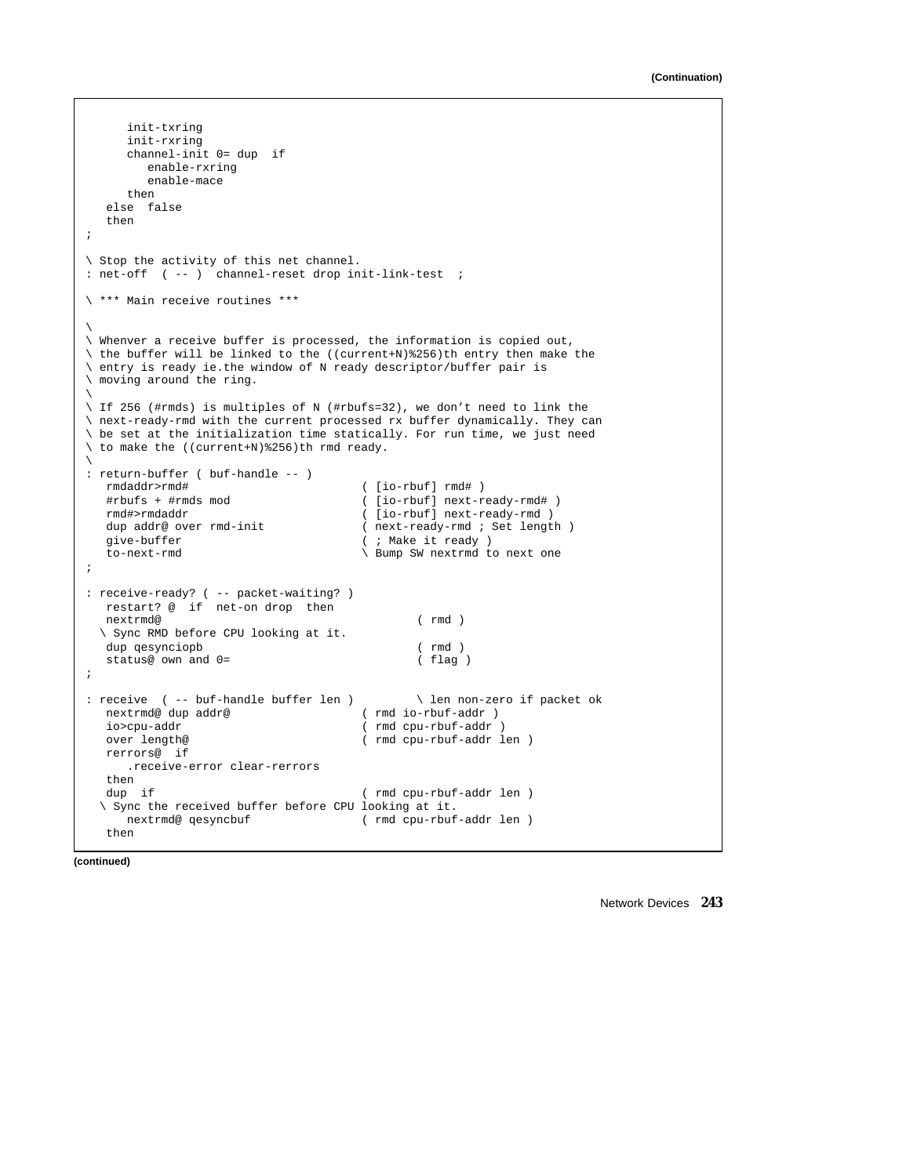```
init-txring
     init-rxring
     channel-init 0= dup if
        enable-rxring
        enable-mace
     then
  else false
  then
;
\ Stop the activity of this net channel.
: net-off ( -- ) channel-reset drop init-link-test ;
\ *** Main receive routines ***
\backslash\ Whenver a receive buffer is processed, the information is copied out,
\ the buffer will be linked to the ((current+N)%256)th entry then make the
\ entry is ready ie.the window of N ready descriptor/buffer pair is
\ moving around the ring.
\
\ If 256 (#rmds) is multiples of N (#rbufs=32), we don't need to link the
\ next-ready-rmd with the current processed rx buffer dynamically. They can
\ be set at the initialization time statically. For run time, we just need
\ to make the ((current+N)%256)th rmd ready.
\backslash: return-buffer ( buf-handle -- )
                                    ([io-rbuf] rmd# )#rbufs + #rmds mod ( [io-rbuf] next-ready-rmd# )
  rmd#>rmdaddr ( [io-rbuf] next-ready-rmd )
  dup addr@ over rmd-init ( next-ready-rmd ; Set length )<br>give-buffer ( ; Make it ready )
  give-buffer (; Make it ready )<br>to-next-rmd \setminus Bump SW nextrmd t
                                    \ Bump SW nextrmd to next one
;
: receive-ready? ( -- packet-waiting? )
  restart? @ if net-on drop then
  nextrmd@ ( rmd )
  \ Sync RMD before CPU looking at it.
  dup qesynciopb ( rmd )
  status@ own and 0= ( flag )
;
: receive ( -- buf-handle buffer len ) \ len non-zero if packet ok
                                    (rmdio-rbuf-addr)io>cpu-addr ( rmd cpu-rbuf-addr )
  over length@ ( rmd cpu-rbuf-addr len )
  rerrors@ if
     .receive-error clear-rerrors
  then
  dup if ( rmd cpu-rbuf-addr len )
  \ Sync the received buffer before CPU looking at it.
    nextrmd@ qesyncbuf ( rmd cpu-rbuf-addr len )
  then
```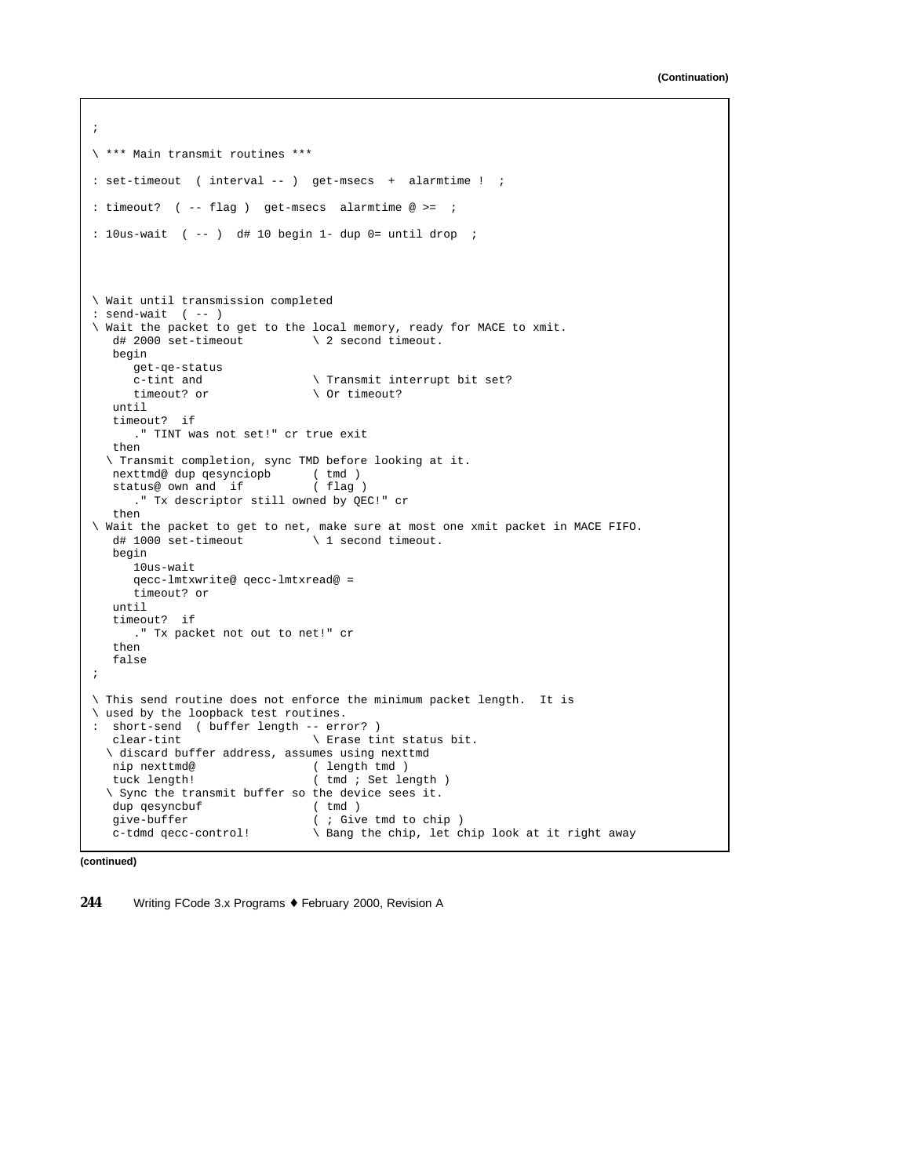```
;
\ *** Main transmit routines ***
: set-timeout ( interval -- ) get-msecs + alarmtime ! ;
: timeout? ( -- flag ) get-msecs alarmtime @>= ;
: 10us-wait ( -- ) d# 10 begin 1- dup 0= until drop ;
\ Wait until transmission completed
: \text{send-wait} \quad (--)\ Wait the packet to get to the local memory, ready for MACE to xmit.<br>d# 2000 set-timeout \ 2 second timeout.
                               \setminus 2 second timeout.
  begin
     get-qe-status
     c-tint and \qquad \qquad \qquad \qquad Transmit interrupt bit set?
     timeout? or \setminus Or timeout?
  until
  timeout? if
      ." TINT was not set!" cr true exit
  then
  \ Transmit completion, sync TMD before looking at it.
  nexttmd@ dup qesynciopb (tmd )<br>status@ own and if (flag )
  status@ own and if
     ." Tx descriptor still owned by QEC!" cr
  then
\ Wait the packet to get to net, make sure at most one xmit packet in MACE FIFO.
  d# 1000 set-timeout \ 1 second timeout.
  begin
     10us-wait
     qecc-lmtxwrite@ qecc-lmtxread@ =
     timeout? or
  until
  timeout? if
    ." Tx packet not out to net!" cr
   then
  false
;
\ This send routine does not enforce the minimum packet length. It is
\ used by the loopback test routines.
: short-send ( buffer length -- error? )
  clear-tint \setminus Erase tint status bit.
  \ discard buffer address, assumes using nexttmd
  nip nexttmd@ ( length tmd )
  tuck length! ( tmd ; Set length )
  \ Sync the transmit buffer so the device sees it.
  dup qesyncbuf ( tmd )<br>give-buffer ( ; Giv
                               ( ; Give tmd to chip )
  c-tdmd qecc-control! \ Bang the chip, let chip look at it right away
```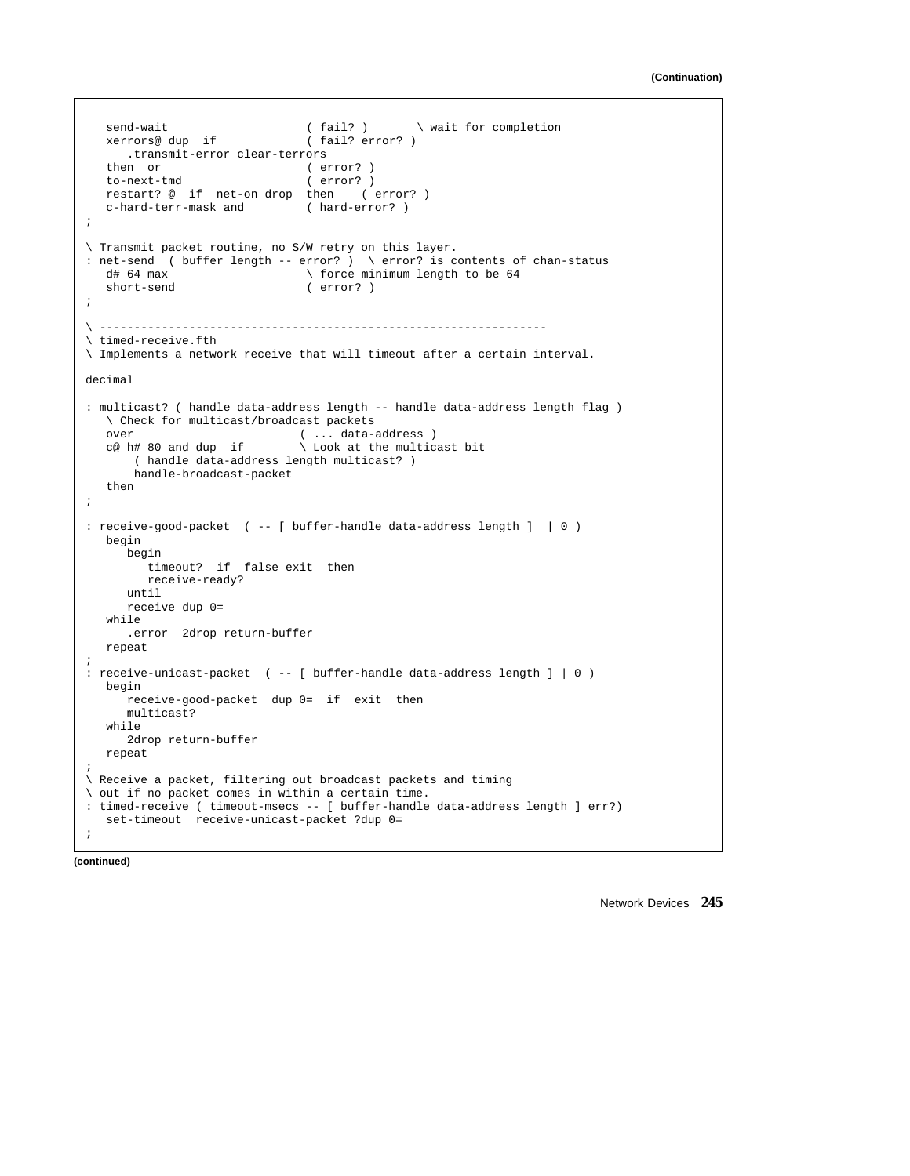```
send-wait ( fail? ) \ wait for completion<br>xerrors@ dup if ( fail? error? )
  xerrors@ dup if
     .transmit-error clear-terrors
   then or ( error? )
   to-next-tmd ( error? )
   restart? @ if net-on drop then ( error? )
   c-hard-terr-mask and ( hard-error? )
;
\ Transmit packet routine, no S/W retry on this layer.
: net-send ( buffer length -- error? ) \ error? is contents of chan-status
   d# 64 max \therefore force minimum length to be 64 short-send (error?)
                                 (error? );
\ -----------------------------------------------------------------
\ timed-receive.fth
\ Implements a network receive that will timeout after a certain interval.
decimal
: multicast? ( handle data-address length -- handle data-address length flag )
  \ Check for multicast/broadcast packets
   over \begin{array}{ccc} \text{over} & (\dots \text{ data--address}) \\ \text{ce } h\# & 80 \text{ and dup if } \end{array} \ Look at the multic
                                \setminus Look at the multicast bit
       ( handle data-address length multicast? )
       handle-broadcast-packet
   then
;
: receive-good-packet ( -- [ buffer-handle data-address length ] | 0 )
  begin
      begin
        timeout? if false exit then
         receive-ready?
     until
      receive dup 0=
   while
      .error 2drop return-buffer
   repeat
;
: receive-unicast-packet ( -- [ buffer-handle data-address length ] | 0 )
  begin
     receive-good-packet dup 0= if exit then
      multicast?
   while
     2drop return-buffer
   repeat
;
\ Receive a packet, filtering out broadcast packets and timing
\ out if no packet comes in within a certain time.
 : timed-receive ( timeout-msecs -- [ buffer-handle data-address length ] err?)
   set-timeout receive-unicast-packet ?dup 0=
;
```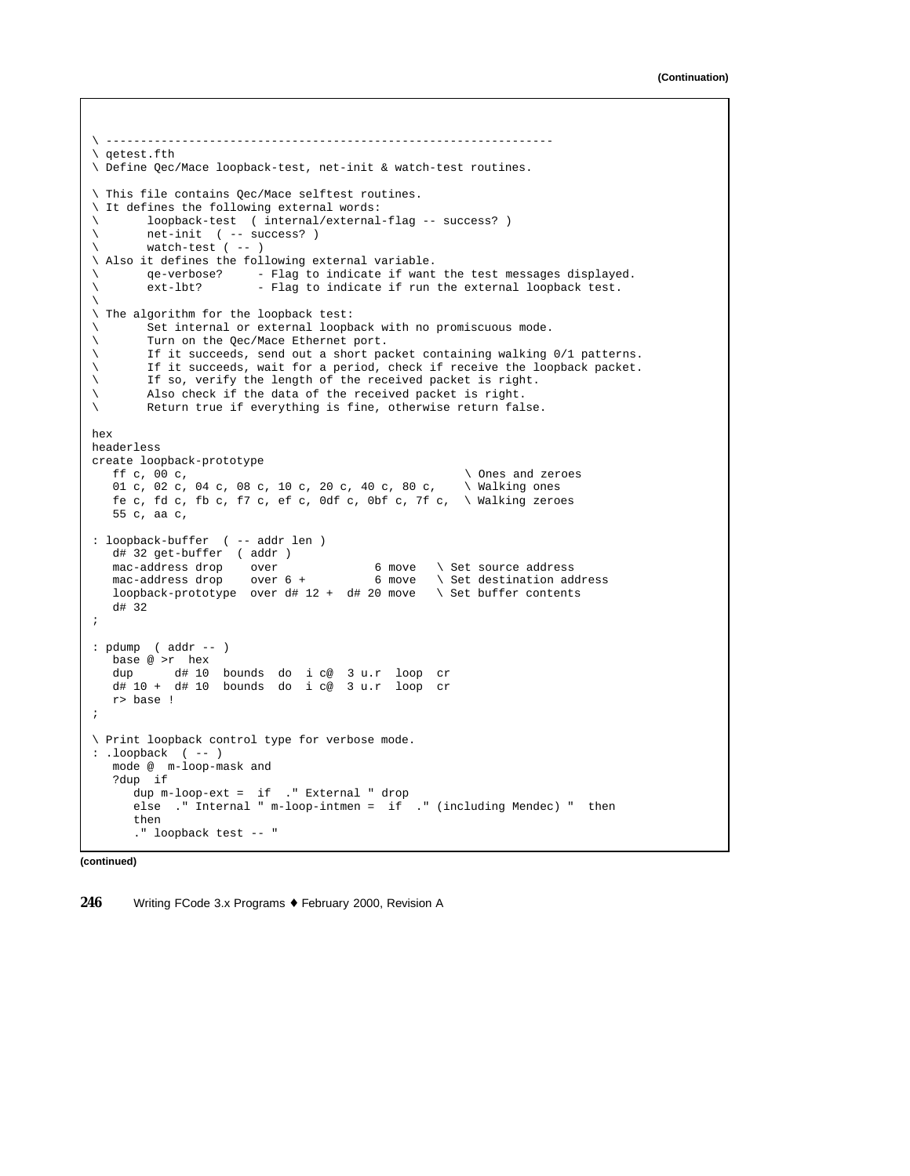```
\ -----------------------------------------------------------------
\ qetest.fth
\ Define Qec/Mace loopback-test, net-init & watch-test routines.
\ This file contains Qec/Mace selftest routines.
\ It defines the following external words:
\ loopback-test ( internal/external-flag -- success? )
        net-init ( -- success? )
\ watch-test ( -- )
\ Also it defines the following external variable.<br>\ qe-verbose? - Flag to indicate if want
qe-verbose? - Flag to indicate if want the test messages displayed.<br>
ext-lbt? - Flag to indicate if run the external loopback test.
\ ext-lbt? - Flag to indicate if run the external loopback test.
\backslash\ The algorithm for the loopback test:
\ Set internal or external loopback with no promiscuous mode.
\ Turn on the Qec/Mace Ethernet port.
\ If it succeeds, send out a short packet containing walking 0/1 patterns.
\ If it succeeds, wait for a period, check if receive the loopback packet.
\ If so, verify the length of the received packet is right.
\ Also check if the data of the received packet is right.<br>\ Return true if everything is fine, otherwise return falm
        Return true if everything is fine, otherwise return false.
hex
headerless
create loopback-prototype
  ff c, 00 c, \ Ones and zeroes
   01 c, 02 c, 04 c, 08 c, 10 c, 20 c, 40 c, 80 c, \ Walking ones
   fe c, fd c, fb c, f7 c, ef c, 0df c, 0bf c, 7f c, \setminus Walking zeroes
   55 c, aa c,
: loopback-buffer ( -- addr len )
   d# 32 get-buffer ( addr )
   mac-address drop over \begin{array}{ccc} 6 \text{ move} & \text{Set} & \text{source} & \text{address} \\ \text{mac-address} & \text{drop} & \text{over} & 6 \text{ move} & \text{Set} & \text{destination} & \text{address} \end{array}mac-address drop over 6 + 6 move \ Set destination address
   loopback-prototype over d# 12 + d# 20 move \ Set buffer contents
   d# 32
;
: pdump ( addr -- )
  base @ >r hex
   dup d# 10 bounds do i c@ 3 u.r loop cr
   d# 10 + d# 10 bounds do i c@ 3 u.r loop cr
   r> base !
;
\ Print loopback control type for verbose mode.
: .loopback ( -- )
   mode @ m-loop-mask and
   ?dup if
      dup m-loop-ext = if ." External " drop
      else ." Internal " m-loop-intmen = if ." (including Mendec) " then
      then
      ." loopback test -- "
```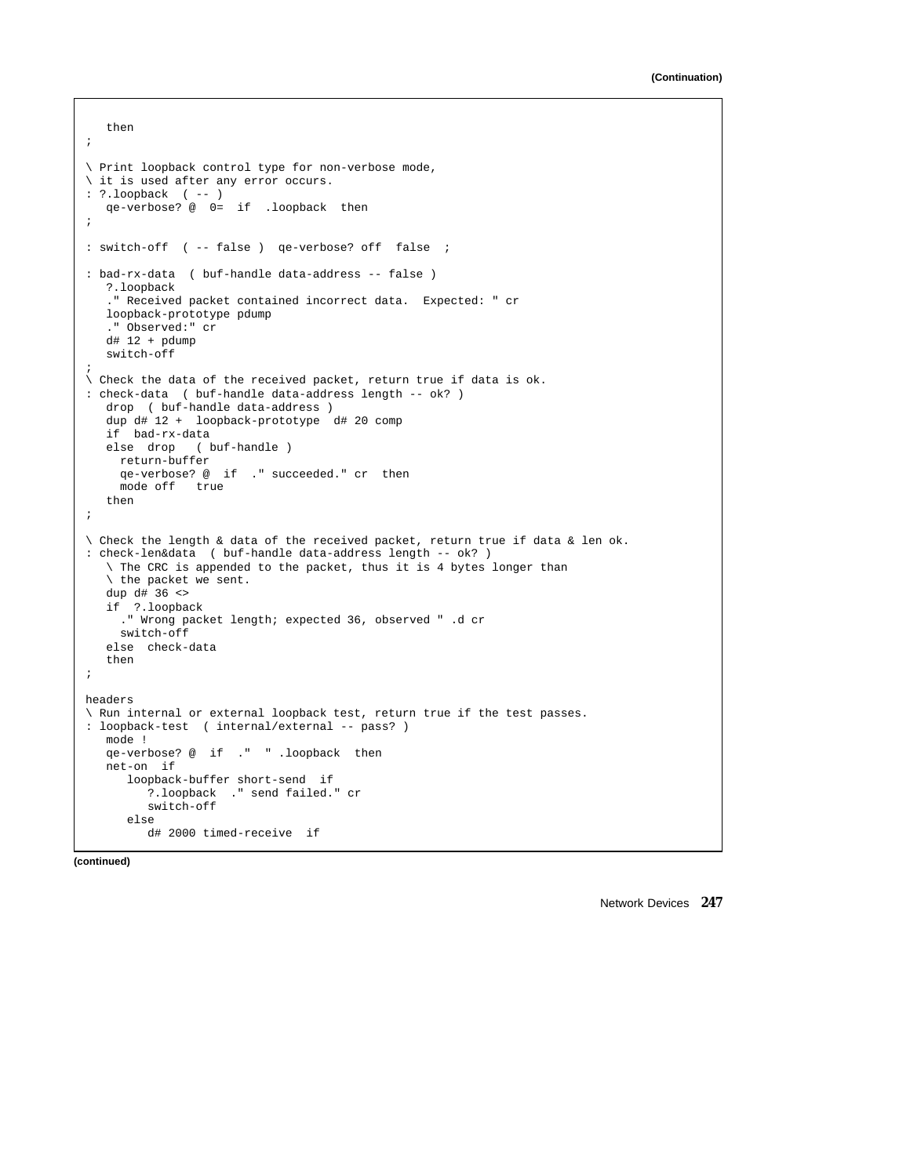```
then
;
\ Print loopback control type for non-verbose mode,
\ it is used after any error occurs.
: ?.loopback ( -- )
   qe-verbose? @ 0= if .loopback then
;
: switch-off ( -- false ) qe-verbose? off false ;
: bad-rx-data ( buf-handle data-address -- false )
   ?.loopback
    ." Received packet contained incorrect data. Expected: " cr
   loopback-prototype pdump
   ." Observed:" cr
   d# 12 + pdump
   switch-off
;
\ Check the data of the received packet, return true if data is ok.
: check-data ( buf-handle data-address length -- ok? )
   drop ( buf-handle data-address )
   dup d# 12 + loopback-prototype d# 20 comp
   if bad-rx-data
   else drop ( buf-handle )
    return-buffer
     qe-verbose? @ if ." succeeded." cr then
    mode off true
   then
;
\ Check the length & data of the received packet, return true if data & len ok.
: check-len&data ( buf-handle data-address length -- ok? )
   \ The CRC is appended to the packet, thus it is 4 bytes longer than
   \ the packet we sent.
   dup d# 36 <>
   if ?.loopback
     ." Wrong packet length; expected 36, observed " .d cr
    switch-off
   else check-data
   then
;
headers
\ Run internal or external loopback test, return true if the test passes.
: loopback-test ( internal/external -- pass? )
  mode !
   qe-verbose? @ if ." " .loopback then
   net-on if
     loopback-buffer short-send if
        ?.loopback ." send failed." cr
         switch-off
      else
        d# 2000 timed-receive if
```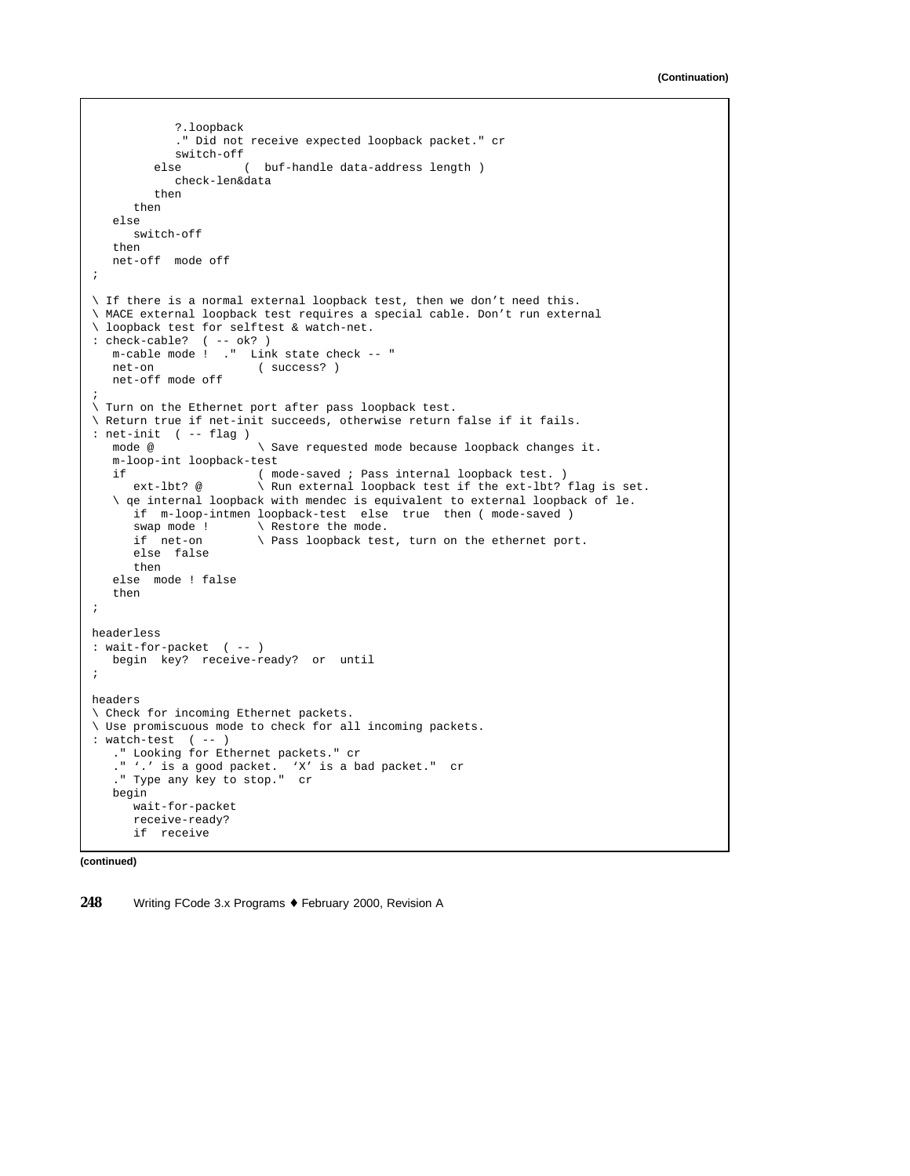```
?.loopback
             ." Did not receive expected loopback packet." cr
            switch-off
         else ( buf-handle data-address length )
            check-len&data
         then
      then
   else
      switch-off
   then
   net-off mode off
;
\ If there is a normal external loopback test, then we don't need this.
\ MACE external loopback test requires a special cable. Don't run external
\ loopback test for selftest & watch-net.
: check-cable? ( -- ok? )
  m-cable mode ! ." Link state check -- "
   net-on ( success? )
   net-off mode off
;
\ Turn on the Ethernet port after pass loopback test.
\ Return true if net-init succeeds, otherwise return false if it fails.
: net-init ( -- flag )
                         \setminus Save requested mode because loopback changes it.
   m-loop-int loopback-test
   if ( mode-saved ; Pass internal loopback test. )<br>ext-lbt? @ \ Run external loopback test if the ext-lbt?
                        \setminus Run external loopback test if the ext-lbt? flag is set.
   \ qe internal loopback with mendec is equivalent to external loopback of le.
     if m-loop-intmen loopback-test else true then ( mode-saved ) swap mode ! \ Restore the mode.
                         \setminus Restore the mode.
      if net-on \ Pass loopback test, turn on the ethernet port.
      else false
      then
   else mode ! false
   then
;
headerless
: wait-for-packet ( -- )
   begin key? receive-ready? or until
;
headers
\ Check for incoming Ethernet packets.
\ Use promiscuous mode to check for all incoming packets.
: watch-test ( -- )
   ." Looking for Ethernet packets." cr
   ." '.' is a good packet. 'X' is a bad packet." cr
   ." Type any key to stop." cr
   begin
      wait-for-packet
      receive-ready?
      if receive
```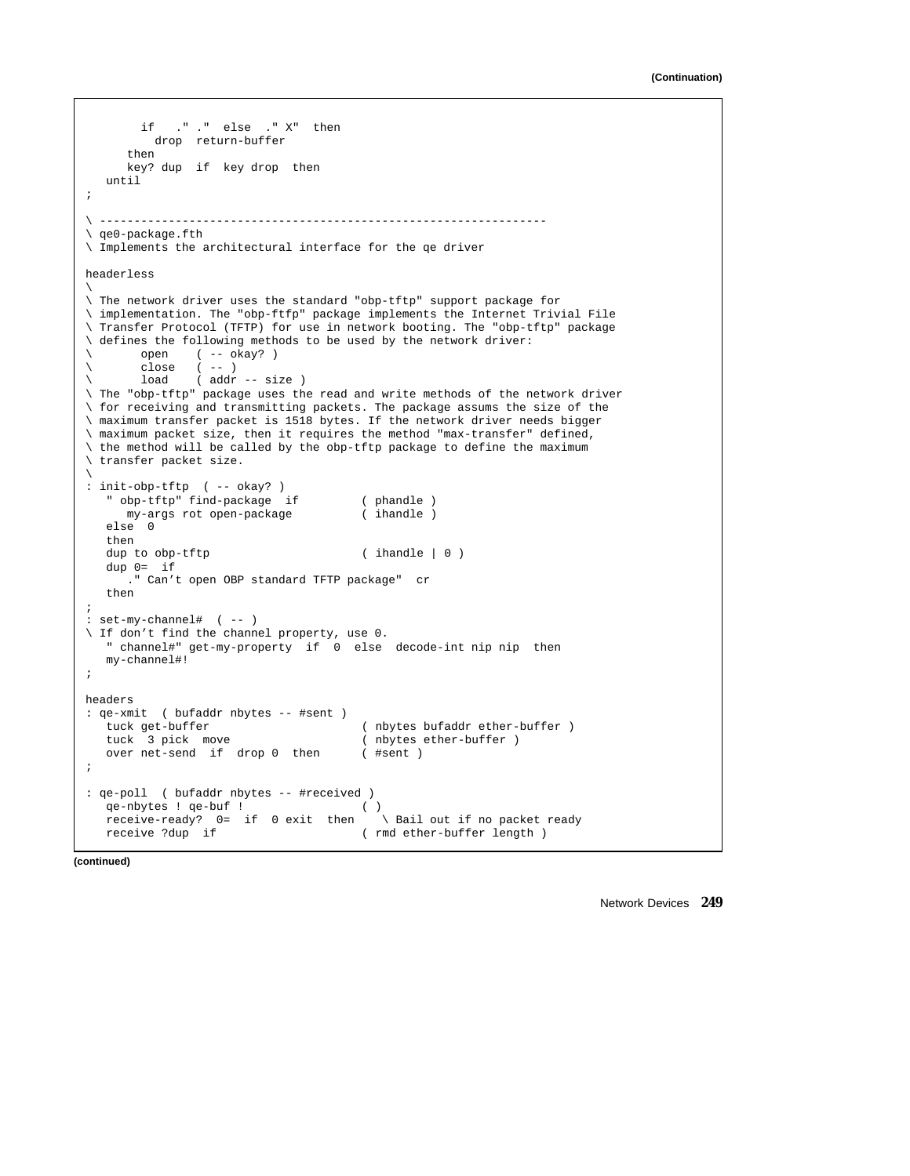```
if ." ." else ." X" then
        drop return-buffer
     then
     key? dup if key drop then
   until
;
\ -----------------------------------------------------------------
\ qe0-package.fth
\ Implements the architectural interface for the qe driver
headerless
\backslash\ The network driver uses the standard "obp-tftp" support package for
\ implementation. The "obp-ftfp" package implements the Internet Trivial File
\ Transfer Protocol (TFTP) for use in network booting. The "obp-tftp" package
\ defines the following methods to be used by the network driver:
\ open ( -- okay? )
\ close ( -- )
\ load ( addr -- size )
\ The "obp-tftp" package uses the read and write methods of the network driver
\ for receiving and transmitting packets. The package assums the size of the
\ maximum transfer packet is 1518 bytes. If the network driver needs bigger
\ maximum packet size, then it requires the method "max-transfer" defined,
\ the method will be called by the obp-tftp package to define the maximum
\ transfer packet size.
\backslash: init-obp-tftp ( -- okay? )
   " obp-tftp" find-package if ( phandle )
     my-args rot open-package
   else 0
   then
   dup to obp-tftp ( ihandle | 0  )
   dup 0= if
     ." Can't open OBP standard TFTP package" cr
   then
;
: set-my-channel# ( -- )
\ If don't find the channel property, use 0.
   " channel#" get-my-property if 0 else decode-int nip nip then
  my-channel#!
;
headers
: qe-xmit ( bufaddr nbytes -- #sent )
  tuck get-buffer ( nbytes bufaddr ether-buffer )
   tuck 3 pick move ( nbytes ether-buffer )<br>over net-send if drop 0 then ( #sent )
  over net-send if drop 0 then
;
: qe-poll ( bufaddr nbytes -- #received )
   qe-nbytes ! qe-buf ! ( )
  receive-ready? 0= if 0 exit then \ Bail out if no packet ready
   receive ?dup if ( rmd ether-buffer length )
```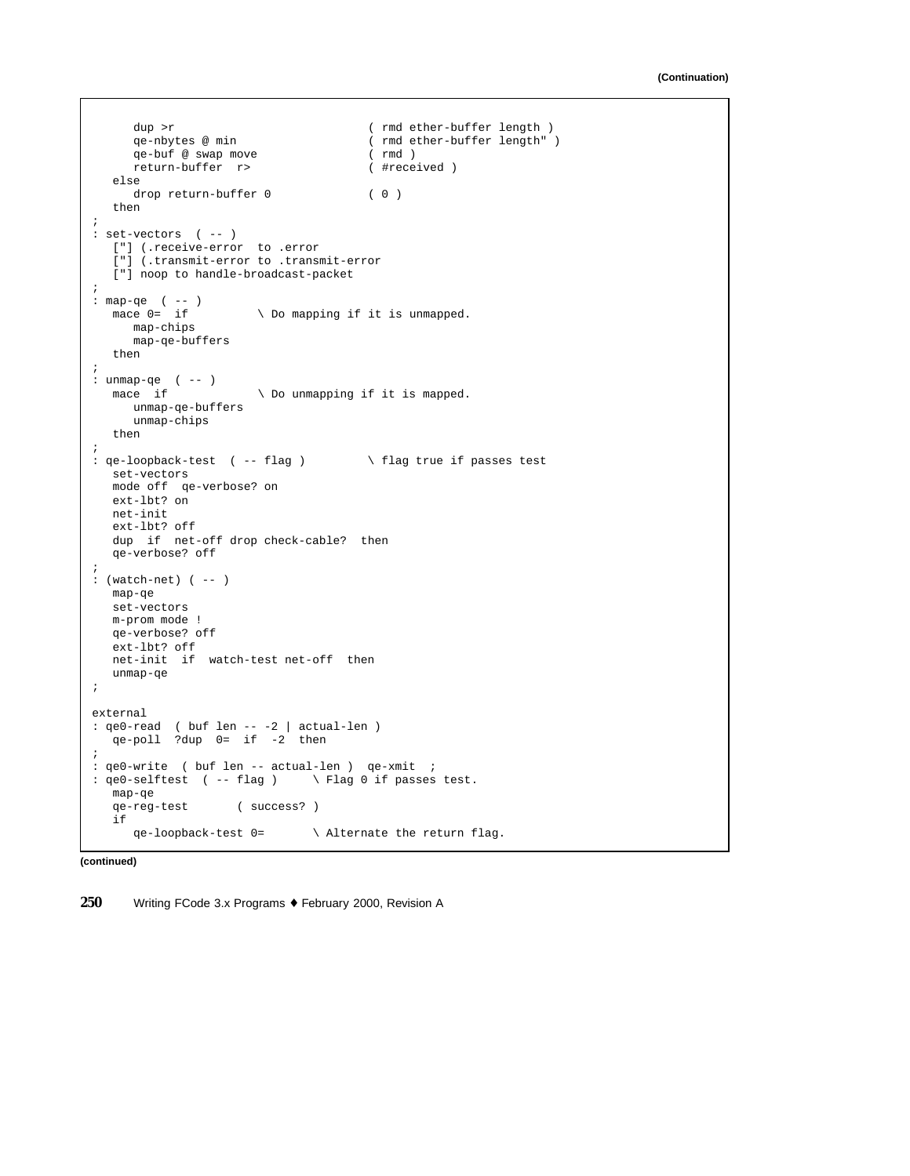```
dup >r ( rmd ether-buffer length )<br>qe-nbytes @ min ( rmd ether-buffer length "
                                      ( rmd ether-buffer length" )<br>( rmd )
     qe-buf @ swap move
     return-buffer r> ( #received )
  else
     drop return-buffer 0 ( 0 )
   then
;
: set-vectors ( -- )
  ["] (.receive-error to .error
   ["] (.transmit-error to .transmit-error
  ["] noop to handle-broadcast-packet
;
: map-qe (--)<br>mace 0= if
                     \setminus Do mapping if it is unmapped.
   map-chips
     map-qe-buffers
  then
;
: unmap-qe ( -- )
  mace if \setminus Do unmapping if it is mapped.
     unmap-qe-buffers
     unmap-chips
  then
;
: qe-loopback-test ( -- flag ) \ flag true if passes test
  set-vectors
  mode off qe-verbose? on
  ext-lbt? on
  net-init
  ext-lbt? off
  dup if net-off drop check-cable? then
  qe-verbose? off
;
: (watch-net) ( -- )
  map-qe
  set-vectors
  m-prom mode !
  qe-verbose? off
  ext-lbt? off
  net-init if watch-test net-off then
  unmap-qe
;
external
: qe0-read ( buf len -- -2 | actual-len )
  qe-poll ?dup 0= if -2 then
;
: qe0-write ( buf len -- actual-len ) qe-xmit ;
: qe0-selftest ( -- flag ) \ Flag 0 if passes test.
  map-qe<br>qe-reg-test
                  ( success? )
  if
     qe-loopback-test 0= \ Alternate the return flag.
```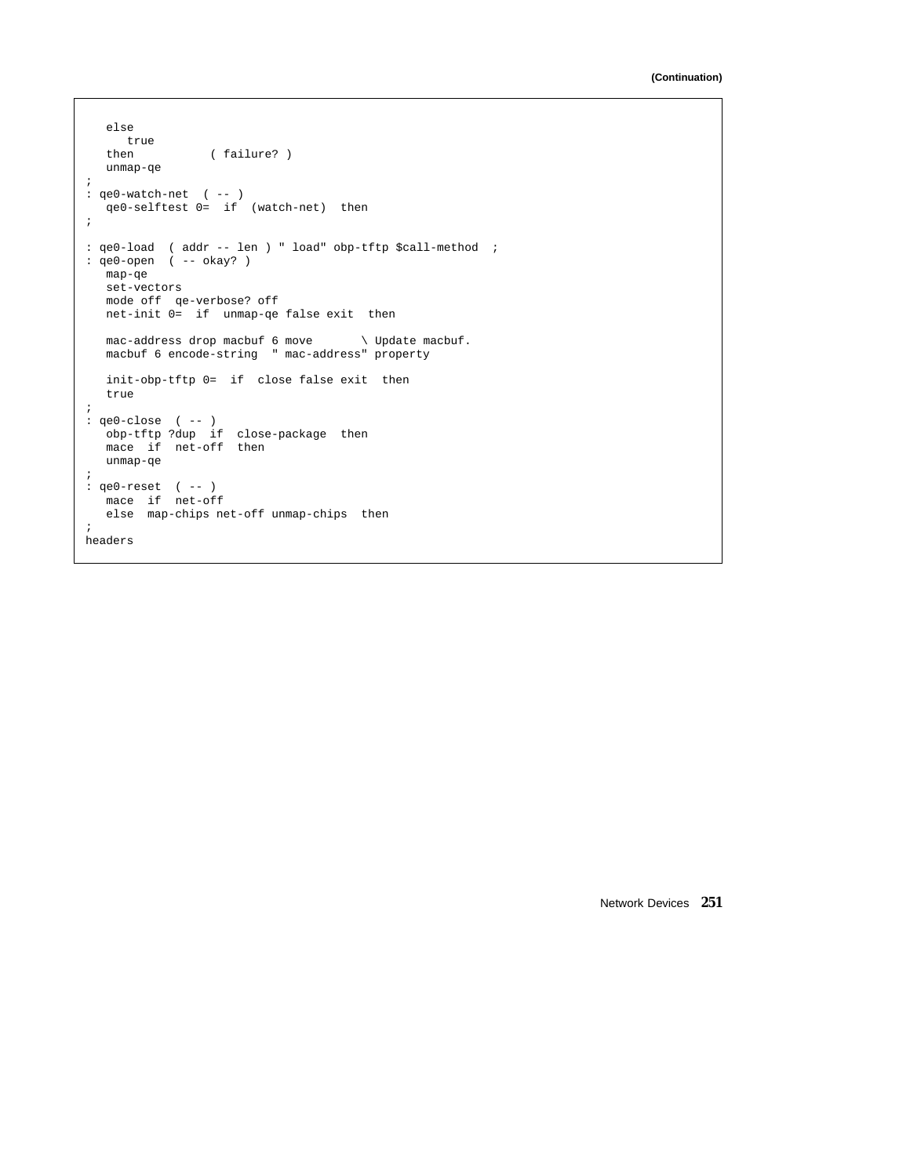```
else
  true<br>then
                ( failure? )
  unmap-qe
;
: qe0-watch-net ( -- )
   qe0-selftest 0= if (watch-net) then
;
: qe0-load ( addr -- len ) " load" obp-tftp $call-method ;
: qe0-open ( -- okay? )
  map-qe
  set-vectors
  mode off qe-verbose? off
  net-init 0= if unmap-qe false exit then
  mac-address drop macbuf 6 move \ Update macbuf.
  macbuf 6 encode-string " mac-address" property
  init-obp-tftp 0= if close false exit then
  true
;
: qe0-close ( -- )
  obp-tftp ?dup if close-package then
  mace if net-off then
  unmap-qe
;
: qe0-reset ( -- )
   mace if net-off
  else map-chips net-off unmap-chips then
;
headers
```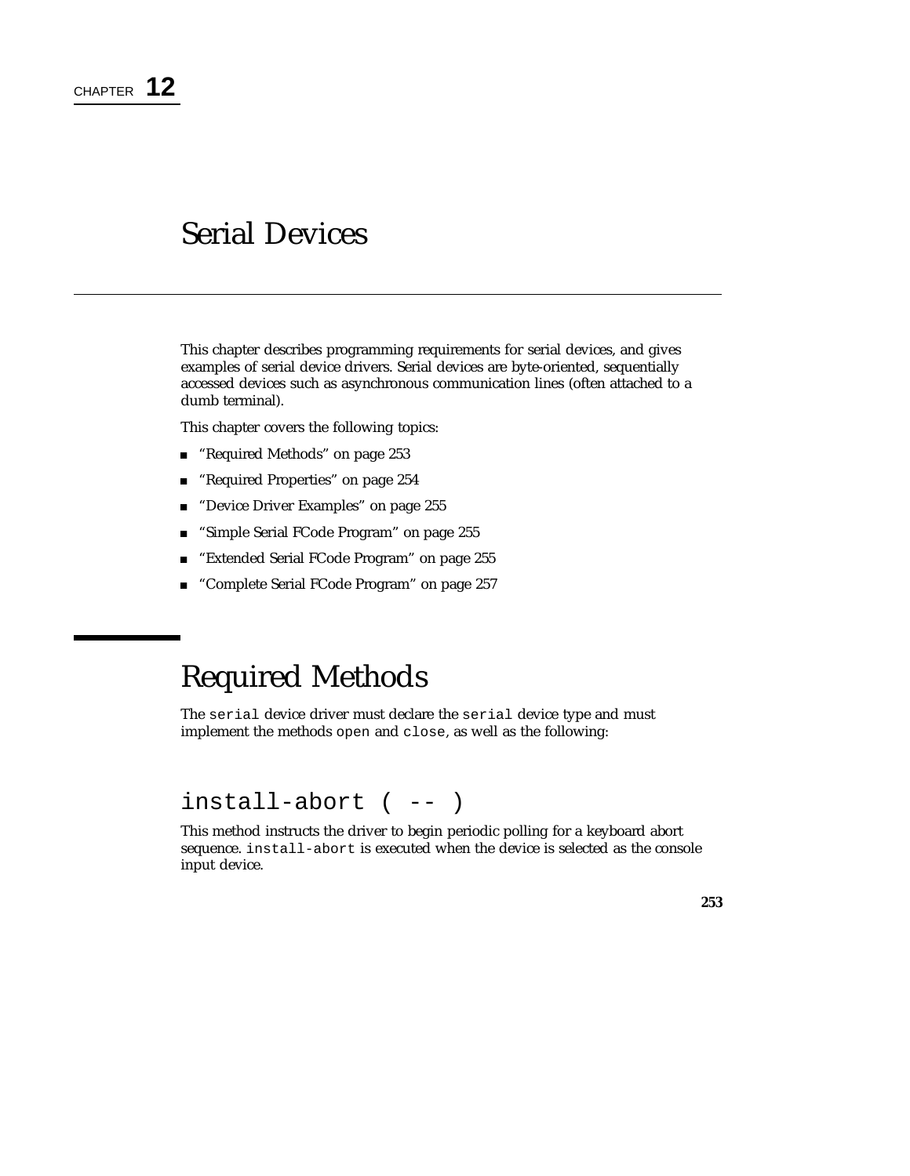# Serial Devices

This chapter describes programming requirements for serial devices, and gives examples of serial device drivers. Serial devices are byte-oriented, sequentially accessed devices such as asynchronous communication lines (often attached to a dumb terminal).

This chapter covers the following topics:

- "Required Methods" on page 253
- "Required Properties" on page 254
- **Device Driver Examples"** on page 255
- "Simple Serial FCode Program" on page 255
- **Extended Serial FCode Program**" on page 255
- "Complete Serial FCode Program" on page 257

# Required Methods

The serial device driver must declare the serial device type and must implement the methods open and close, as well as the following:

## install-abort ( -- )

This method instructs the driver to begin periodic polling for a keyboard abort sequence. install-abort is executed when the device is selected as the console input device.

**253**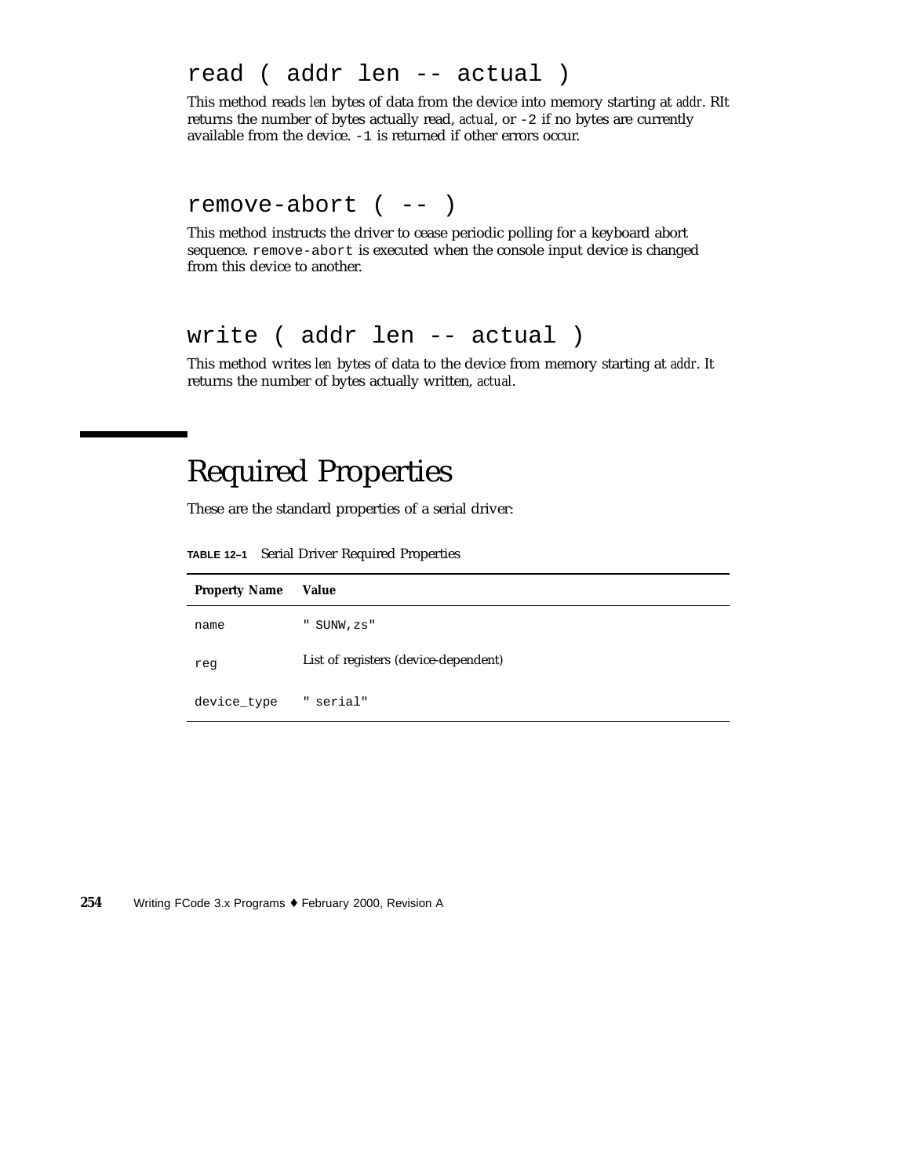### read ( addr len -- actual )

This method reads *len* bytes of data from the device into memory starting at *addr*. RIt returns the number of bytes actually read, *actual*, or -2 if no bytes are currently available from the device. -1 is returned if other errors occur.

### remove-abort ( -- )

This method instructs the driver to cease periodic polling for a keyboard abort sequence. remove-abort is executed when the console input device is changed from this device to another.

## write ( addr len -- actual )

This method writes *len* bytes of data to the device from memory starting at *addr*. It returns the number of bytes actually written, *actual*.

# Required Properties

These are the standard properties of a serial driver:

**TABLE 12–1** Serial Driver Required Properties

| <b>Property Name</b> | Value                                |
|----------------------|--------------------------------------|
| name                 | " SUNW, zs"                          |
| reg                  | List of registers (device-dependent) |
| device_type          | " serial"                            |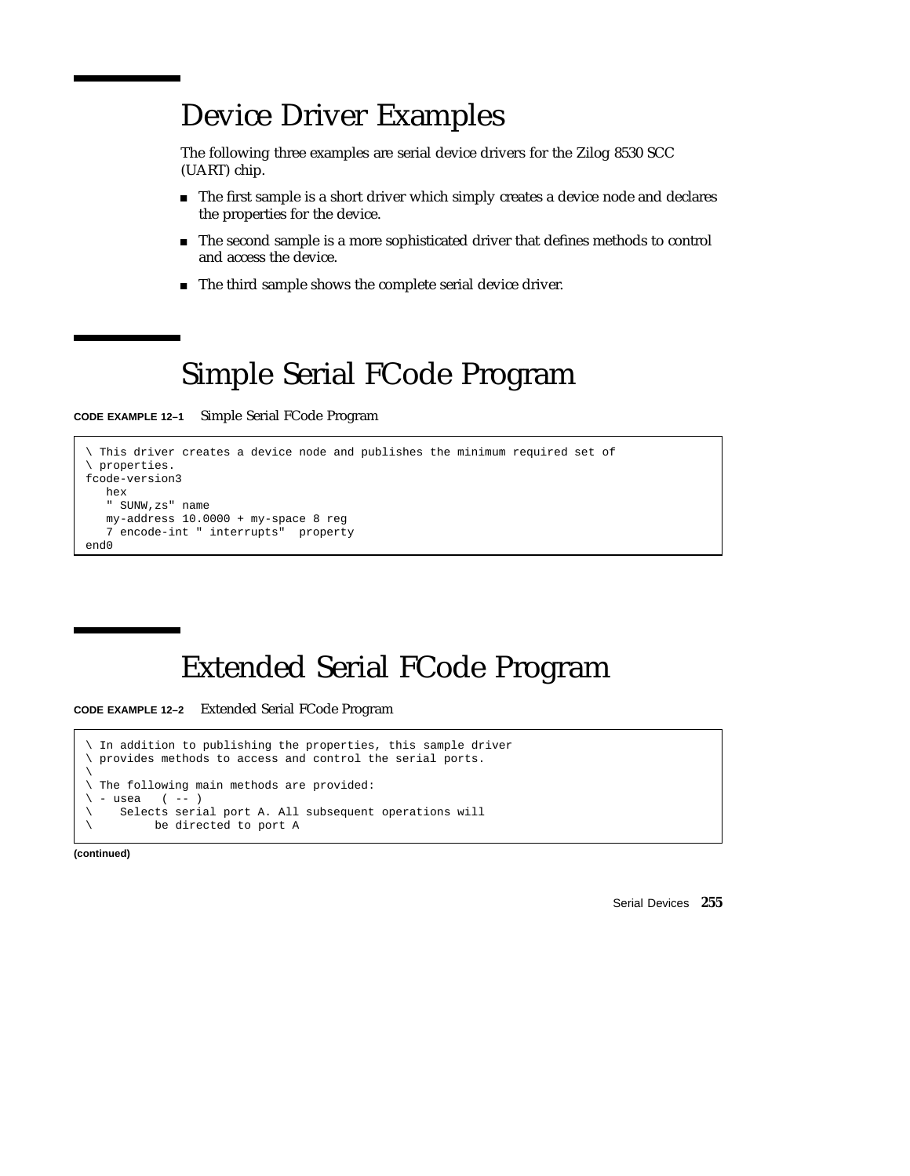# Device Driver Examples

The following three examples are serial device drivers for the Zilog 8530 SCC (UART) chip.

- The first sample is a short driver which simply creates a device node and declares the properties for the device.
- The second sample is a more sophisticated driver that defines methods to control and access the device.
- The third sample shows the complete serial device driver.

# Simple Serial FCode Program

**CODE EXAMPLE 12–1** Simple Serial FCode Program

```
\ This driver creates a device node and publishes the minimum required set of
\ properties.
fcode-version3
  hex
   " SUNW,zs" name
   my-address 10.0000 + my-space 8 reg7 encode-int " interrupts" property
end0
```
# Extended Serial FCode Program

**CODE EXAMPLE 12–2** Extended Serial FCode Program

```
In addition to publishing the properties, this sample driver
\ provides methods to access and control the serial ports.
\backslash\ The following main methods are provided:
\backslash - usea ( -- )
\ Selects serial port A. All subsequent operations will
\ be directed to port A
```
**(continued)**

Serial Devices **255**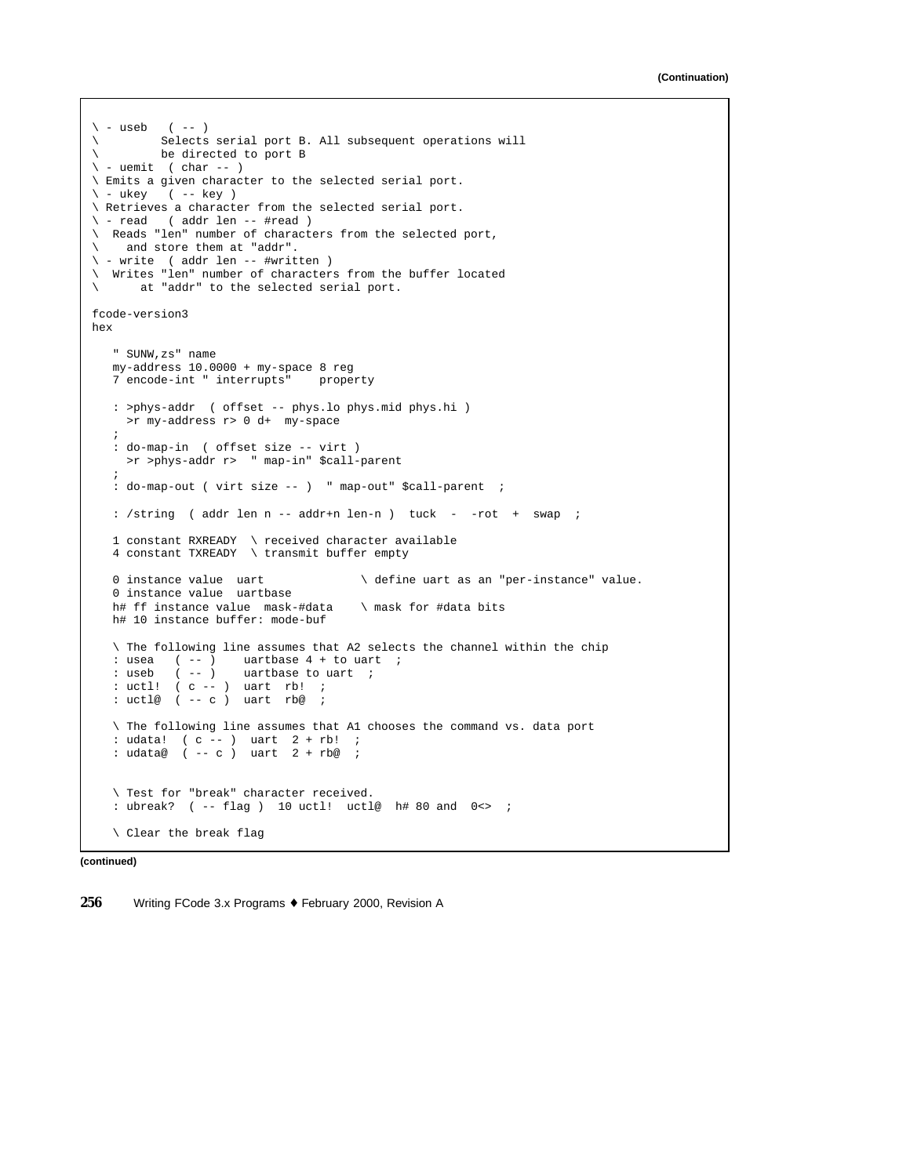```
\backslash - useb ( -- )
\ Selects serial port B. All subsequent operations will
\ be directed to port B
\backslash - uemit ( char -- )
\ Emits a given character to the selected serial port.
\ - ukey ( -- key )
\ Retrieves a character from the selected serial port.
\ - read ( addr len -- #read )
\ Reads "len" number of characters from the selected port,
\ and store them at "addr".
\ - write ( addr len -- #written )
\ Writes "len" number of characters from the buffer located
\ at "addr" to the selected serial port.
fcode-version3
hex
   " SUNW,zs" name
  my-address 10.0000 + my-space 8 reg
  7 encode-int " interrupts" property
   : >phys-addr ( offset -- phys.lo phys.mid phys.hi )
    >r my-address r> 0 d+ my-space
   ;
  : do-map-in ( offset size -- virt )
    >r >phys-addr r> " map-in" $call-parent
   ;
   : do-map-out ( virt size -- ) " map-out" $call-parent ;
  : /string ( addr len n -- addr+n len-n ) tuck - -rot + swap ;
   1 constant RXREADY \ received character available
   4 constant TXREADY \ transmit buffer empty
   0 instance value uart \setminus define uart as an "per-instance" value.
  0 instance value uartbase
  h# ff instance value mask-#data \ mask for #data bits
  h# 10 instance buffer: mode-buf
  \ The following line assumes that A2 selects the channel within the chip
  : usea ( -- ) uartbase 4 + to uart ;
   : useb ( -- ) uartbase to uart ;
  : uctl! ( c -- ) uart rb! ;
  : uctl@ ( -- c ) uart rb@ ;
  \ The following line assumes that A1 chooses the command vs. data port
  : udata! ( c -- ) uart 2 + rb! ;
  : udata@ ( -- c ) uart 2 + rb@ ;
   \ Test for "break" character received.
   : ubreak? ( -- flag ) 10 uctl! uctl@ h# 80 and 0<> ;
   \ Clear the break flag
```
**(continued)**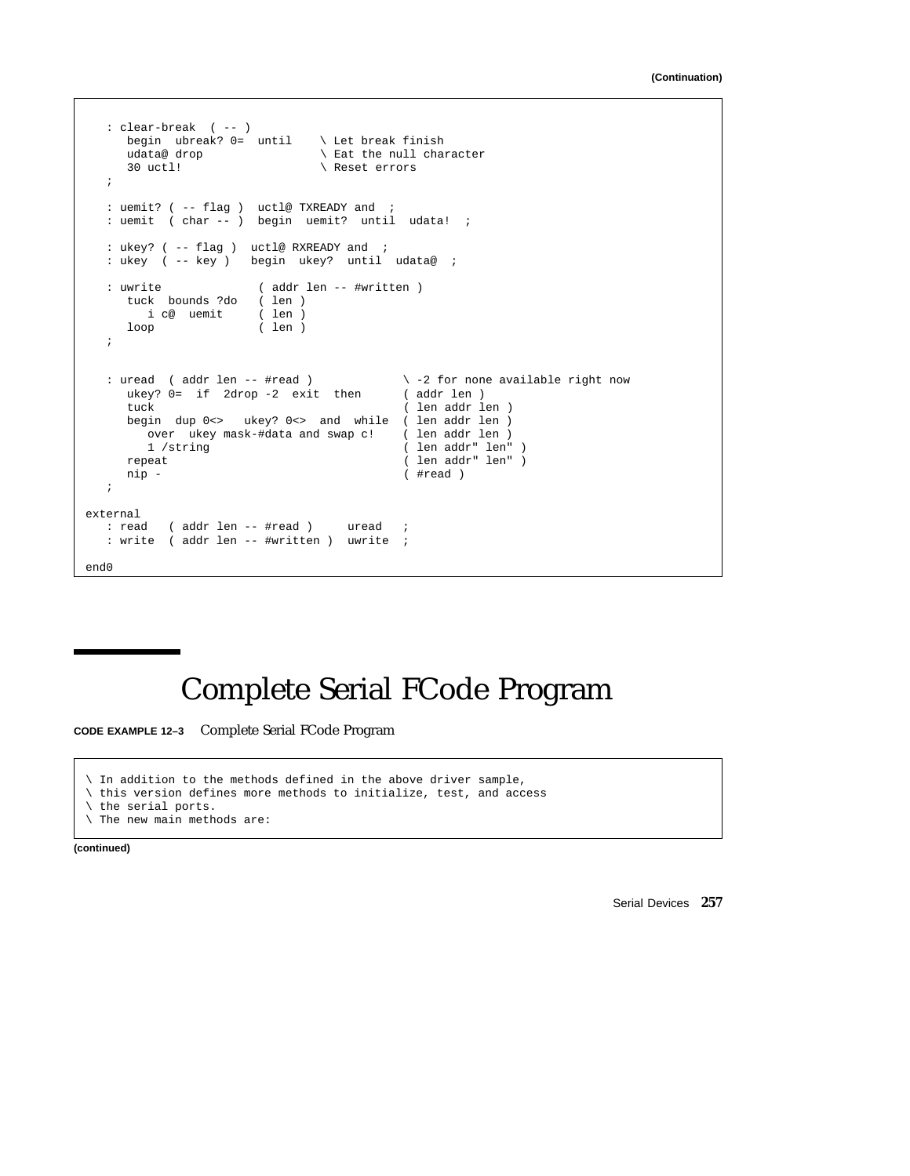```
: clear-break ( -- )
     begin ubreak? 0= until \ Let break finish udata@ drop \ Eat the null cha
                                 \setminus Eat the null character
     30 uctl! \ Reset errors
   ;
   : uemit? ( -- flag ) uctl@ TXREADY and ;
  : uemit ( char -- ) begin uemit? until udata! ;
   : ukey? ( -- flag ) uctl@ RXREADY and ;
   : ukey ( -- key ) begin ukey? until udata@ ;
   : uwrite ( addr len -- #written )
     tuck bounds ?do ( len )
       i c@ uemit
     i c@ uemit ( len )<br>loop ( len )
   ;
   : uread ( addr len -- #read ) \backslash -2 for none available right now ukey? 0= if 2drop -2 exit then ( addr len )
     ukey? 0= if 2drop -2 exit then tuck
                                             ( len addr len )
     begin dup 0<> ukey? 0<> and while ( len addr len ) over ukey mask-#data and swap c! ( len addr len )
        over ukey mask-#data and swap c!<br>1 /string
         1 /string ( len addr" len" )
      repeat ( len addr" len" )
     nip - (#read )
   ;
external<br>: read
           ( addr len -- #read ) uread ;
   : write ( addr len -- #written ) uwrite ;
end0
```
# Complete Serial FCode Program

**CODE EXAMPLE 12–3** Complete Serial FCode Program

\ In addition to the methods defined in the above driver sample, \ this version defines more methods to initialize, test, and access \ the serial ports.

\ The new main methods are:

**(continued)**

Serial Devices **257**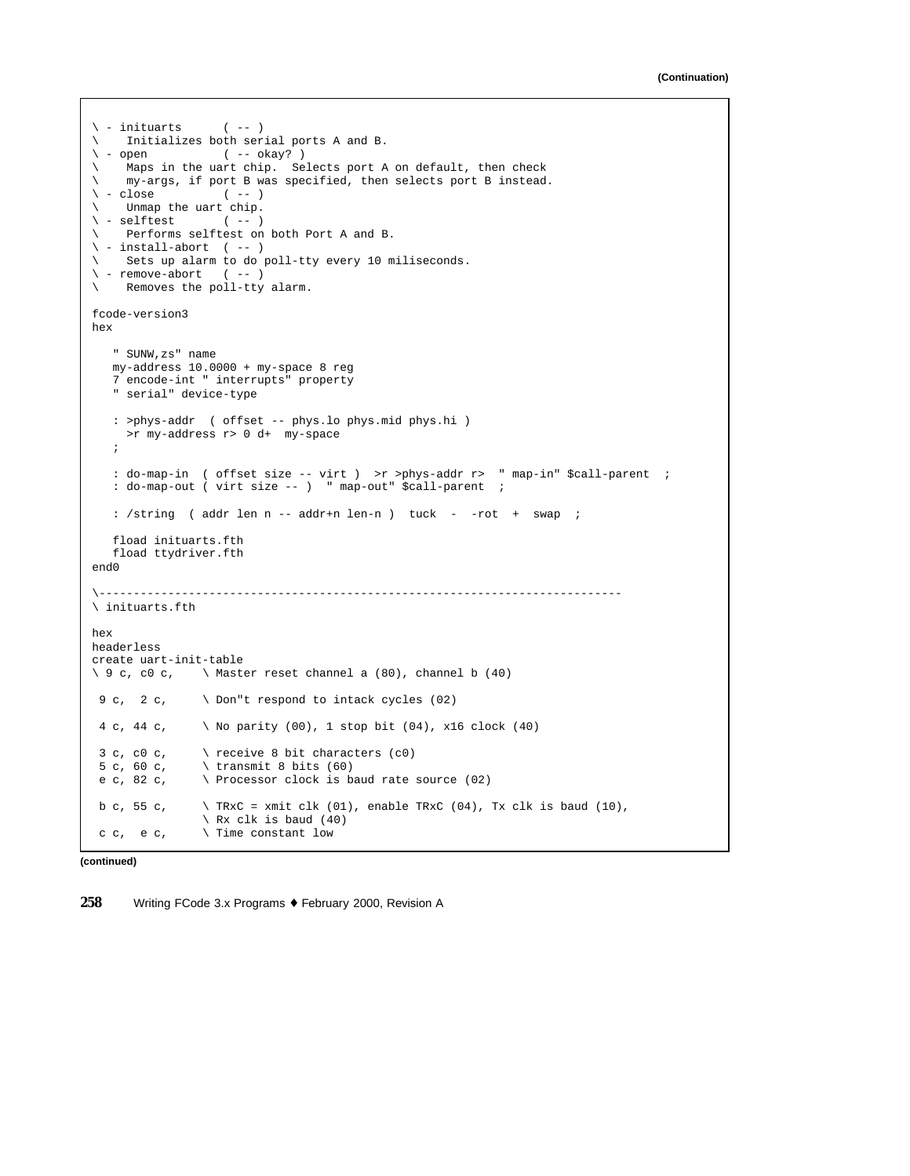```
\langle -\text{inituarts} \rangle (-- )
\setminus Initializes both serial ports A and B.<br>\setminus - open (-- okay?)
               (- - \text{ okay? })\ Maps in the uart chip. Selects port A on default, then check
\ my-args, if port B was specified, then selects port B instead.
\backslash - close (-- )
\ Unmap the uart chip.
\backslash - selftest (-- )
\ Performs selftest on both Port A and B.
\backslash - install-abort ( -- )
\ Sets up alarm to do poll-tty every 10 miliseconds.
\backslash - remove-abort (-- )
\ Removes the poll-tty alarm.
fcode-version3
hex
   " SUNW,zs" name
  my-address 10.0000 + my-space 8 reg
   7 encode-int " interrupts" property
   " serial" device-type
  : >phys-addr ( offset -- phys.lo phys.mid phys.hi )
    >r my-address r> 0 d+ my-space
   ;
  : do-map-in ( offset size -- virt ) >r >phys-addr r> " map-in" $call-parent ;
   : do-map-out ( virt size -- ) " map-out" $call-parent ;
   : /string ( addr len n -- addr+n len-n ) tuck - -rot + swap ;
   fload inituarts.fth
  fload ttydriver.fth
end0
\----------------------------------------------------------------------------
\ inituarts.fth
hex
headerless
create uart-init-table
\setminus 9 c, c0 c, \setminus Master reset channel a (80), channel b (40)
 9 c, 2 c, \ Don"t respond to intack cycles (02)
 4 c, 44 c, \ No parity (00), 1 stop bit (04), x16 clock (40)
 3 c, c0 c, \quad \setminus receive 8 bit characters (c0)
 5 c, 60 c, \quad \setminus \text{transmit } 8 \text{ bits } (60)e c, 82 c, \searrow Processor clock is baud rate source (02)
 b c, 55 c, \qquad \qquad TRxC = xmit clk (01), enable TRxC (04), Tx clk is baud (10),
                \ Rx clk is baud (40)
 c c, e c, \setminus Time constant low
```

```
(continued)
```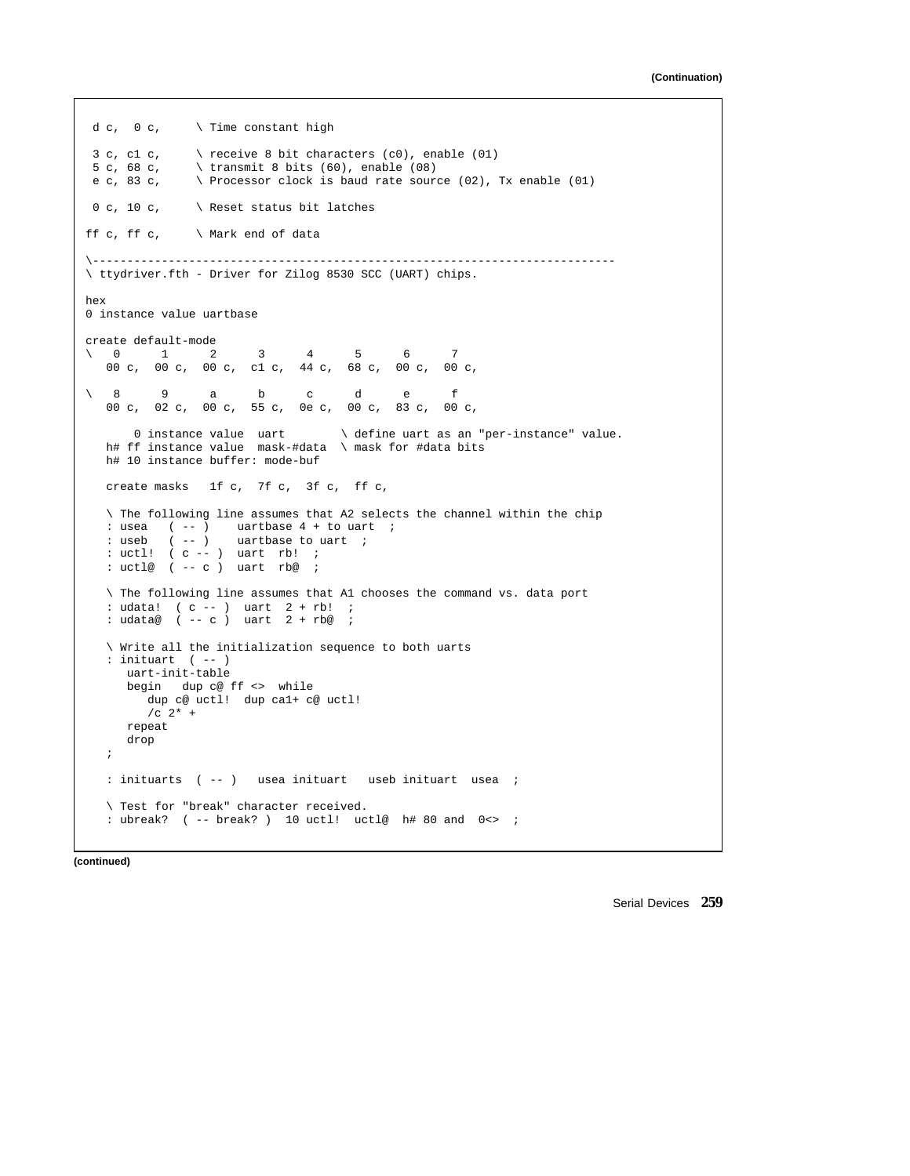```
d c, 0 c, \setminus Time constant high
3 c, c1 c, \quad \setminus receive 8 bit characters (c0), enable (01)
5 c, 68 c, \setminus transmit 8 bits (60), enable (08)<br>e c, 83 c, \setminus Processor clock is baud rate soure
               \backslash Processor clock is baud rate source (02), Tx enable (01)
0 c, 10 c, \searrow Reset status bit latches
ff c, ff c, \forall Mark end of data
\----------------------------------------------------------------------------
\ ttydriver.fth - Driver for Zilog 8530 SCC (UART) chips.
hex
0 instance value uartbase
create default-mode
\0 1 2 3 4 5 6 7
   00 c, 00 c, 00 c, c1 c, 44 c, 68 c, 00 c, 00 c,
\setminus 8 9 a b c d e f
   00 c, 02 c, 00 c, 55 c, 0e c, 00 c, 83 c, 00 c,
      0 instance value uart \setminus define uart as an "per-instance" value.
  h# ff instance value mask-#data \ mask for #data bits
  h# 10 instance buffer: mode-buf
  create masks 1f c, 7f c, 3f c, ff c,
  \ The following line assumes that A2 selects the channel within the chip
   : usea ( -- ) uartbase 4 + to uart ;
   : useb ( -- ) uartbase to uart ;
   : uctl! ( c -- ) uart rb! ;
  : uctl@ ( -- c ) uart rb@ ;
  \ The following line assumes that A1 chooses the command vs. data port
   : udata! ( c -- ) uart 2 + rb! ;
  : udata@ ( -- c) uart 2 + rb@ ;
   \ Write all the initialization sequence to both uarts
   : inituart ( -- )
     uart-init-table
     begin dup c@ ff <> while
       dup c@ uctl! dup ca1+ c@ uctl!
        /C 2<sup>*</sup> +
     repeat
     drop
   ;
  : inituarts ( -- ) usea inituart useb inituart usea ;
   \ Test for "break" character received.
   : ubreak? ( -- break? ) 10 uctl! uctl@ h# 80 and 0 \Leftrightarrow ;
```
**(continued)**

Serial Devices **259**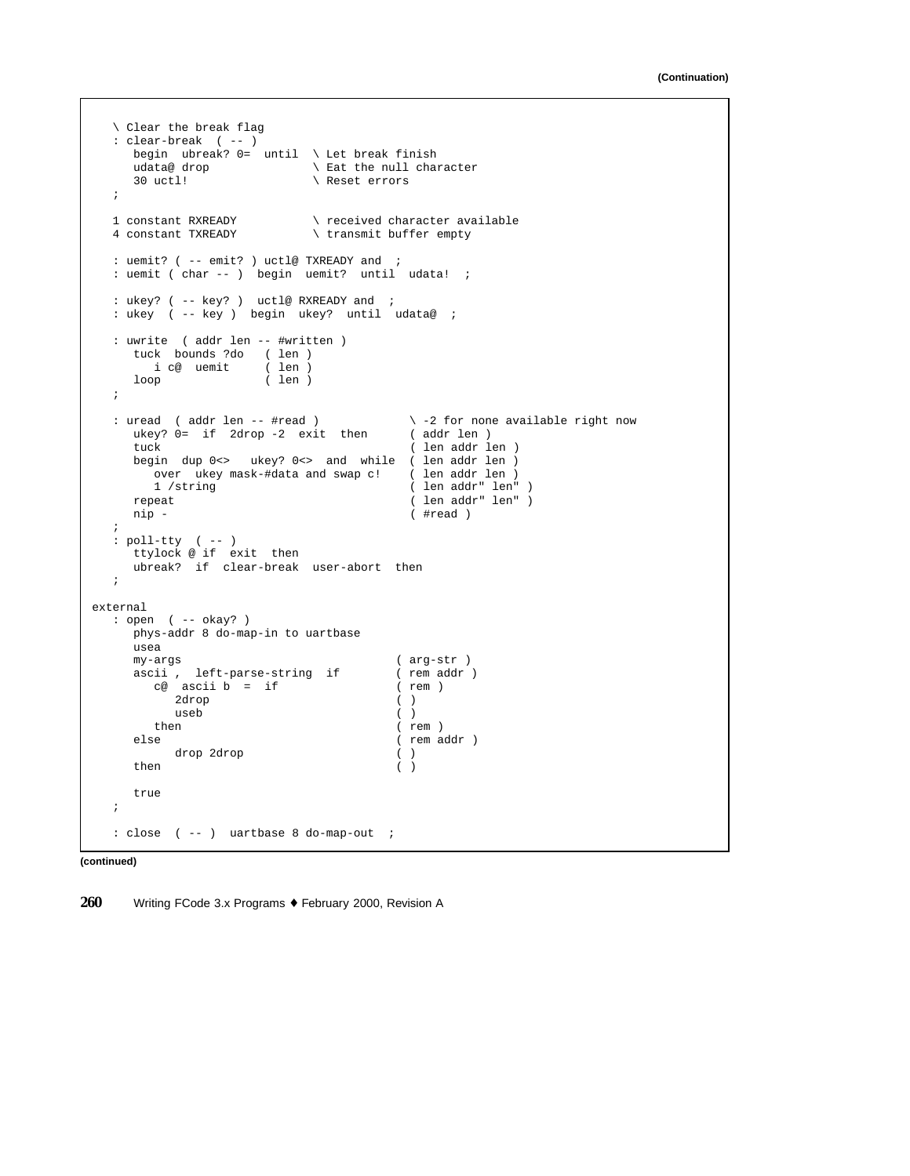```
\ Clear the break flag
  : clear-break ( -- )
     begin ubreak? 0= until \ Let break finish
     udata@ drop \lambda Eat the null character<br>30 uctl! \lambda Reset errors
                              \setminus Reset errors
  ;
  1 constant RXREADY \setminus received character available<br>4 constant TXREADY \setminus transmit buffer empty
                              \setminus transmit buffer empty
  : uemit? ( -- emit? ) uctl@ TXREADY and ;
  : uemit ( char -- ) begin uemit? until udata! ;
  : ukey? ( -- key? ) uctl@ RXREADY and ;
  : ukey ( -- key ) begin ukey? until udata@ ;
  : uwrite ( addr len -- #written )
     tuck bounds ?do ( len )
       i c@ uemit
     i c@ uemit ( len )<br>loop ( len )
  ;
  : uread ( addr len -- #read ) \ -2 for none available right now
     ukey? 0= if 2drop -2 exit then (addr len)<br>tuck ( len addr le
                                            ( len addr len )
     begin dup 0<> ukey? 0<> and while ( len addr len )
       over ukey mask-#data and swap c! ( len addr len )<br>1 /string ( len addr" len"
         1 /string ( len addr" len" )
      repeat ( len addr" len" )
     nip - ( #read )
  ;
   : poll-tty ( -- )
      ttylock @ if exit then
     ubreak? if clear-break user-abort then
  ;
external
  : open ( -- okay? )
     phys-addr 8 do-map-in to uartbase
     usea<br>my-args
                                          ( arg-str )
     ascii , left-parse-string if \begin{array}{ccc} \text{c@ } \text{ascii } b = \text{if} & \text{(rem } addr) \end{array}ce ascii b = if2drop ( )<br>useb ( )
        useb<br>t.hen
                                          ( rem )
     else ( rem addr )
          drop 2drop ( )
      then ( )
     true
  ;
  : close ( -- ) uartbase 8 do-map-out ;
```
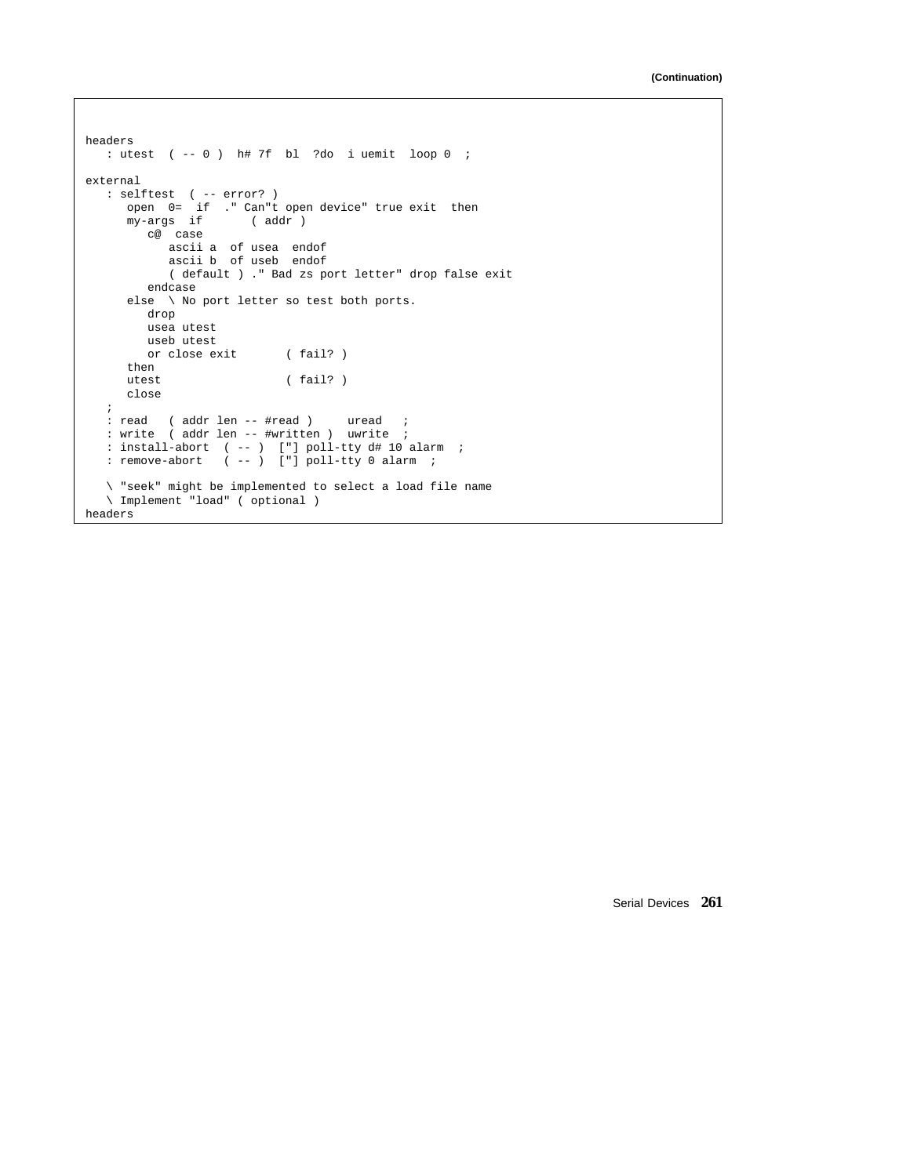```
headers
  : utest ( -- 0 ) h# 7f bl ?do i uemit loop 0 ;
external
   : selftest ( -- error? )
     open 0= if ." Can"t open device" true exit then
     my-args if ( addr )
        c@ case
            ascii a of usea endof
            ascii b of useb endof
           ( default ) ." Bad zs port letter" drop false exit
        endcase
     else \ No port letter so test both ports.
        drop
        usea utest
       useb utest<br>or close exit
                      (fail? )then<br>utest
                          (fail? )close
   ;
  : read ( addr len -- #read ) uread ;
  : write ( addr len -- #written ) uwrite ;
   : install-abort ( -- ) ["] poll-tty d# 10 alarm ;
   : remove-abort ( -- ) ["] poll-tty 0 alarm ;
   \ "seek" might be implemented to select a load file name
   \ Implement "load" ( optional )
headers
```
Serial Devices **261**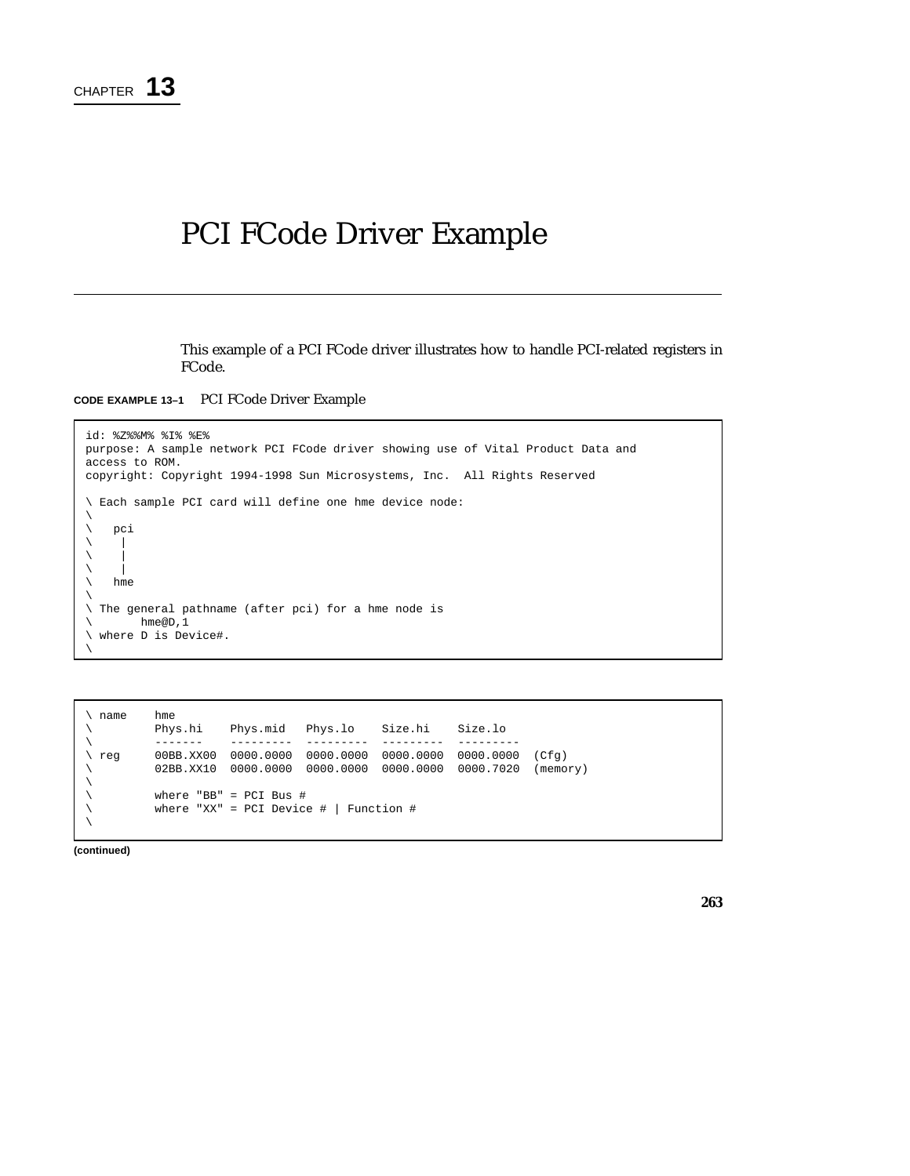# PCI FCode Driver Example

This example of a PCI FCode driver illustrates how to handle PCI-related registers in FCode.

**CODE EXAMPLE 13–1** PCI FCode Driver Example

```
id: %Z%%M% %I% %E%
purpose: A sample network PCI FCode driver showing use of Vital Product Data and
access to ROM.
copyright: Copyright 1994-1998 Sun Microsystems, Inc. All Rights Reserved
\ Each sample PCI card will define one hme device node:
\backslash\ pci
\setminus\bar{\phantom{a}}\backslash\ hme
\setminus\ The general pathname (after pci) for a hme node is
\ hme@D,1
\ where D is Device#.
\
```
\ name hme<br>\ Phys.hi \ Phys.hi Phys.mid Phys.lo Size.hi Size.lo \ ------- --------- --------- --------- --------- \ reg 00BB.XX00 0000.0000 0000.0000 0000.0000 0000.0000 (Cfg) \ 02BB.XX10 0000.0000 0000.0000 0000.0000 0000.7020 (memory)  $\setminus$ \ where "BB" = PCI Bus # \ where "XX" = PCI Device # | Function #  $\setminus$ 

**(continued)**

**263**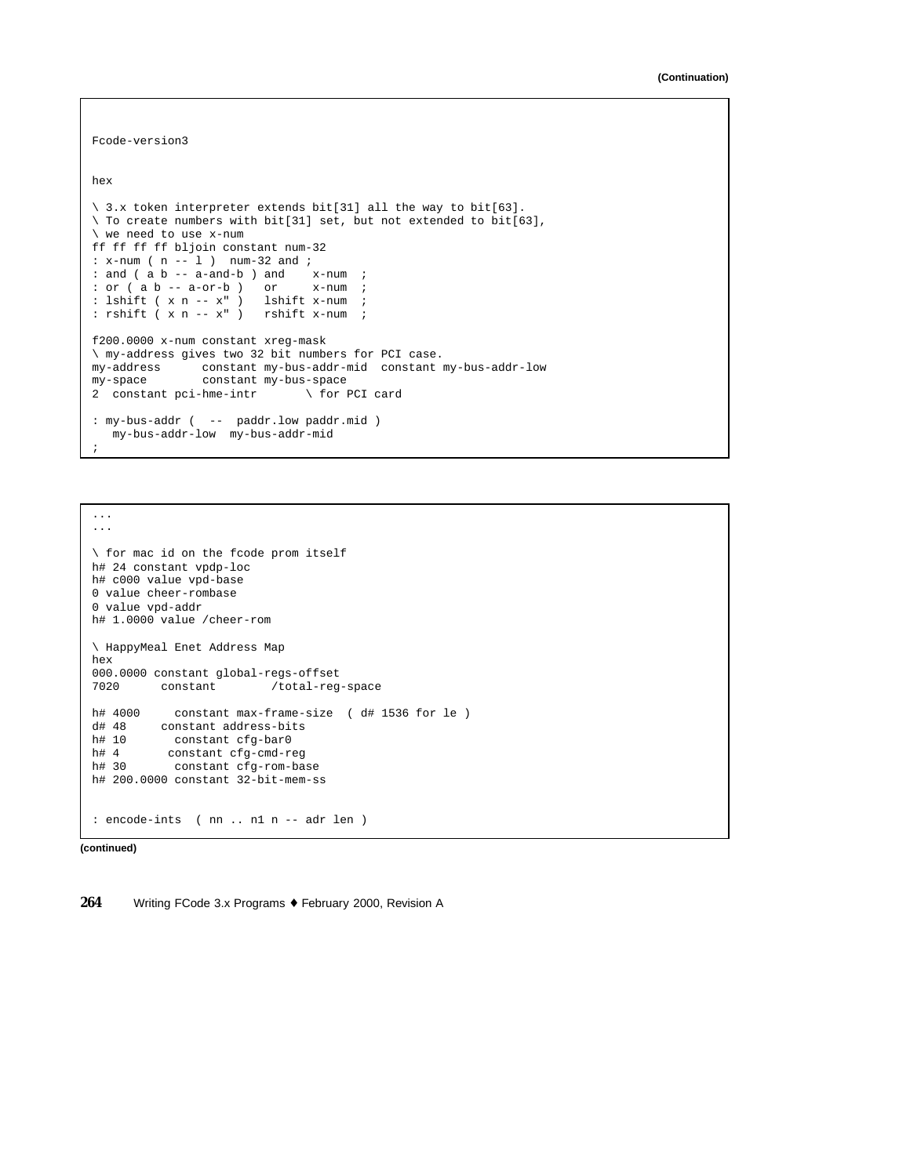```
Fcode-version3
hex
\ 3.x token interpreter extends bit[31] all the way to bit[63].
\ To create numbers with bit[31] set, but not extended to bit[63],
\ we need to use x-num
ff ff ff ff bljoin constant num-32
: x-num ( n -- l ) num-32 and ;
: and ( a b -- a-and-b ) and x-num ;
: or ( a b -- a-or-b ) or x-num ;
: lshift ( x n - x" ) lshift x-num ;
: rshift ( x n -- x" ) rshift x-num ;
f200.0000 x-num constant xreg-mask
\ my-address gives two 32 bit numbers for PCI case.
my-address constant my-bus-addr-mid constant my-bus-addr-low
my-space constant my-bus-space<br>2 constant pci-hme-intr \ for PCI card
2 constant pci-hme-intr
: my-bus-addr ( -- paddr.low paddr.mid )
  my-bus-addr-low my-bus-addr-mid
;
```
... ...

```
\ for mac id on the fcode prom itself
h# 24 constant vpdp-loc
h# c000 value vpd-base
0 value cheer-rombase
0 value vpd-addr
h# 1.0000 value /cheer-rom
\ HappyMeal Enet Address Map
hex
000.0000 constant global-regs-offset<br>7020 constant /total-reg
                              /total-reg-space
h# 4000 constant max-frame-size (d# 1536 for le)<br>d# 48 constant address-bits
d# 48 constant address-bits<br>h# 10 constant cfg-bar0
            constant cfg-bar0
h# 4 constant cfg-cmd-reg<br>h# 30 constant cfg-rom-ba
              constant cfg-rom-base
h# 200.0000 constant 32-bit-mem-ss
: encode-ints ( nn .. n1 n -- adr len )
```
**(continued)**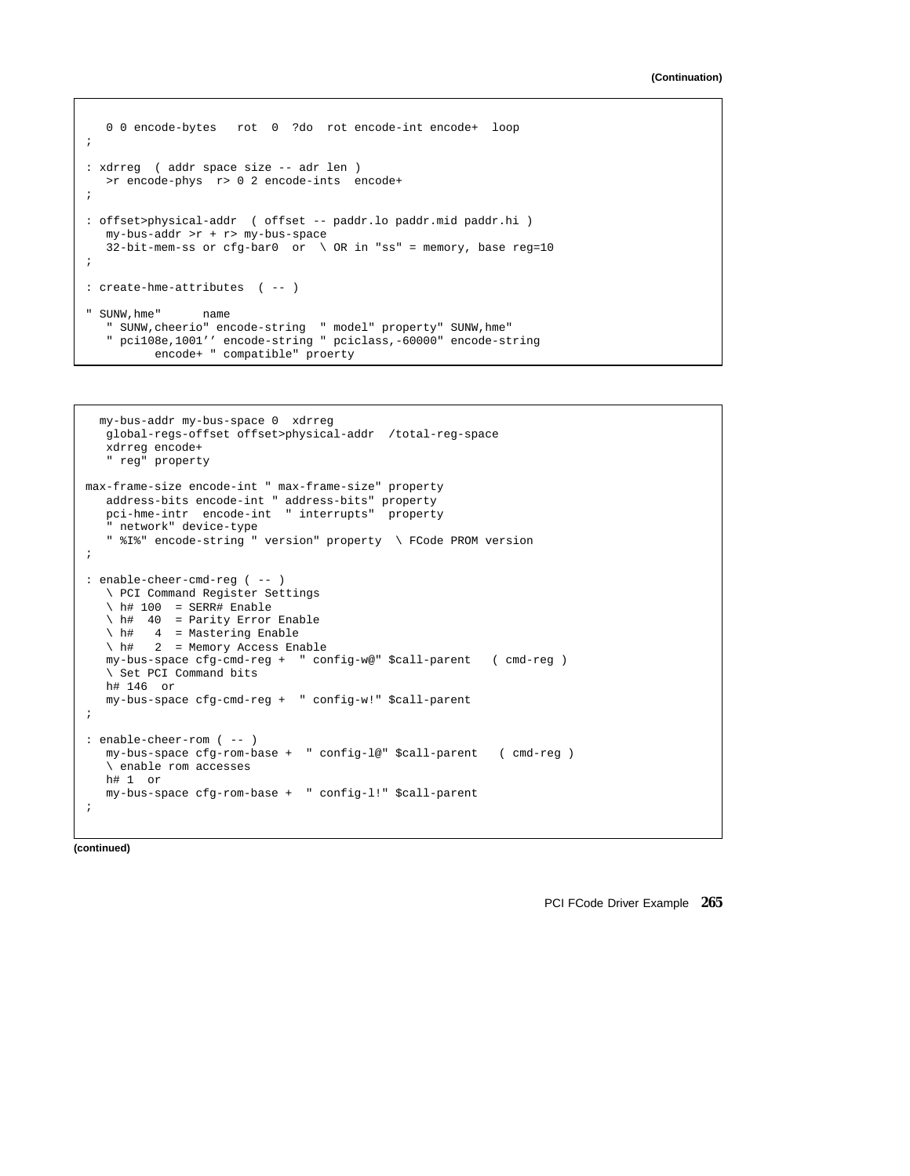```
0 0 encode-bytes rot 0 ?do rot encode-int encode+ loop
;
: xdrreg ( addr space size -- adr len )
  >r encode-phys r> 0 2 encode-ints encode+
;
: offset>physical-addr ( offset -- paddr.lo paddr.mid paddr.hi )
  my-bus-addr >r + r> my-bus-space
  32-bit-mem-ss or cfg-bar0 or \ OR in "ss" = memory, base reg=10
;
: create-hme-attributes ( -- )
" SUNW,hme" name
  " SUNW,cheerio" encode-string " model" property" SUNW,hme"
  " pci108e,1001'' encode-string " pciclass,-60000" encode-string
         encode+ " compatible" proerty
```

```
my-bus-addr my-bus-space 0 xdrreg
  global-regs-offset offset>physical-addr /total-reg-space
  xdrreg encode+
   " reg" property
max-frame-size encode-int " max-frame-size" property
   address-bits encode-int " address-bits" property
   pci-hme-intr encode-int " interrupts" property
   network" device-type
   " %I%" encode-string " version" property \ FCode PROM version
;
: enable-cheer-cmd-reg ( -- )
  \ PCI Command Register Settings
  \hphantom{1} h# 100 = SERR# Enable
  \ h# 40 = Parity Error Enable
  \overline{\phantom{a}} h# 4 = Mastering Enable
  \ h# 2 = Memory Access Enable
  my-bus-space cfg-cmd-reg + " config-w@" $call-parent ( cmd-reg )
   \ Set PCI Command bits
  h# 146 or
  my-bus-space cfg-cmd-reg + " config-w!" $call-parent
;
: enable-cheer-rom ( -- )
  my-bus-space cfg-rom-base + " config-l@" $call-parent ( cmd-reg )
   \ enable rom accesses
  h# 1 or
  my-bus-space cfg-rom-base + " config-l!" $call-parent
;
```
**(continued)**

PCI FCode Driver Example **265**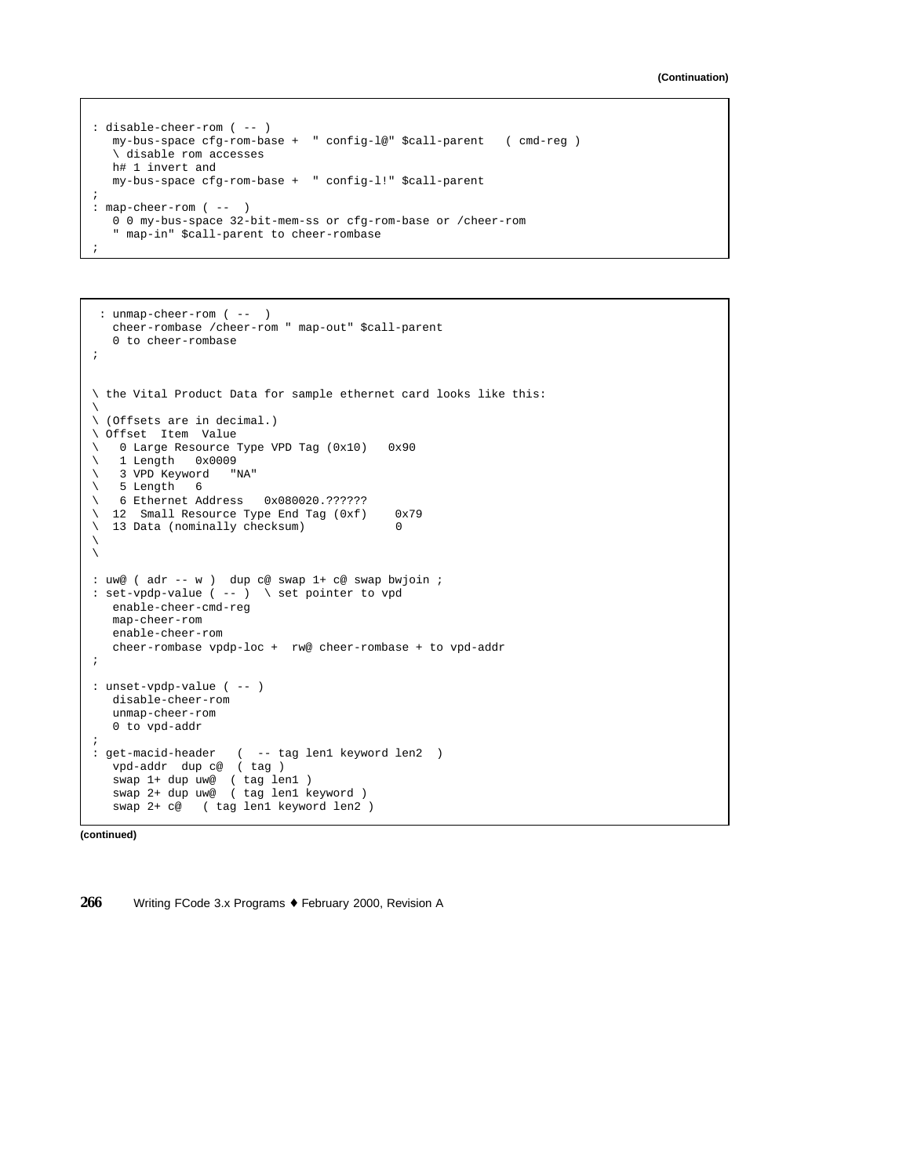```
: disable-cheer-rom ( -- )
  my-bus-space cfg-rom-base + " config-l@" $call-parent ( cmd-reg )
   \ disable rom accesses
  h# 1 invert and
  my-bus-space cfg-rom-base + " config-l!" $call-parent
;
: map-cheer-rom ( -- )
  0 0 my-bus-space 32-bit-mem-ss or cfg-rom-base or /cheer-rom
   " map-in" $call-parent to cheer-rombase
;
```

```
: unmap-cheer-rom ( -- )
   cheer-rombase /cheer-rom " map-out" $call-parent
   0 to cheer-rombase
;
\ the Vital Product Data for sample ethernet card looks like this:
\
\ (Offsets are in decimal.)
\ Offset Item Value
\ 0 Large Resource Type VPD Tag (0x10) 0x90
\backslash 1 Length 0x0009
\ 3 VPD Keyword "NA"
\setminus 5 Length 6
\ 6 Ethernet Address 0x080020.??????
\ 12 Small Resource Type End Tag (0xf) 0x79
\begin{pmatrix} 13 & \text{Data} & \text{100} \\ \text{13} & \text{Data} & \text{111} \\ \end{pmatrix} checksum) 0
\setminus\sqrt{2}: uw@ ( adr -- w ) dup c@ swap 1+ c@ swap bwjoin ;
: set-vpdp-value ( -- ) \ set pointer to vpd
  enable-cheer-cmd-reg
  map-cheer-rom
  enable-cheer-rom
  cheer-rombase vpdp-loc + rw@ cheer-rombase + to vpd-addr
;
: unset-vpdp-value ( -- )
  disable-cheer-rom
  unmap-cheer-rom
  0 to vpd-addr
;
: get-macid-header ( -- tag len1 keyword len2 )
  vpd-addr dup c@ ( tag )
   swap 1+ dup uw@ ( tag len1 )
   swap 2+ dup uw@ ( tag len1 keyword )
   swap 2+ c@ ( tag len1 keyword len2 )
```
**(continued)**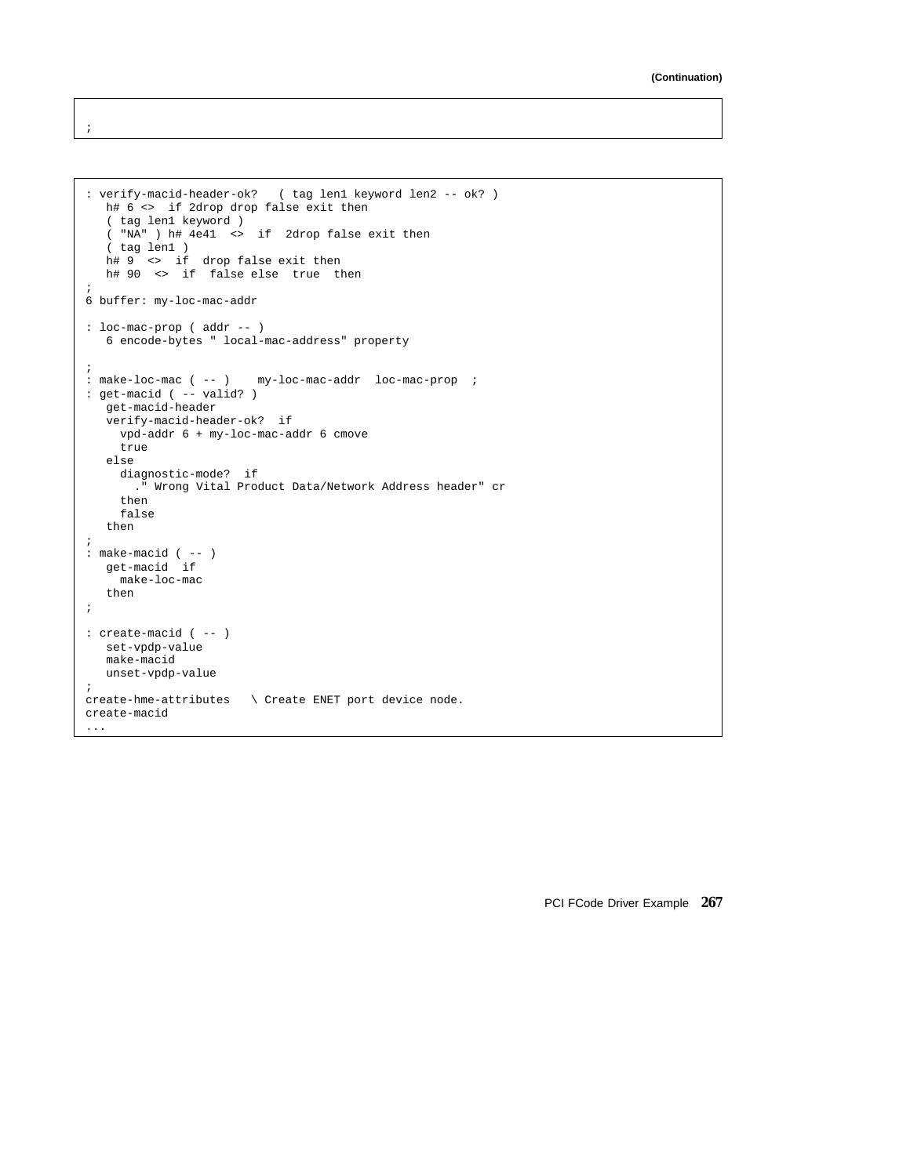```
: verify-macid-header-ok? ( tag len1 keyword len2 -- ok? )
  h# 6 <> if 2drop drop false exit then
   ( tag len1 keyword )
   ( "NA" ) h# 4e41 <> if 2drop false exit then
   ( tag len1 )
  h# 9 <> if drop false exit then
  h# 90 <> if false else true then
;
6 buffer: my-loc-mac-addr
: loc-mac-prop ( addr -- )
  6 encode-bytes " local-mac-address" property
;
: make-loc-mac ( -- ) my-loc-mac-addr loc-mac-prop ;
: get-macid ( -- valid? )
  get-macid-header
  verify-macid-header-ok? if
    vpd-addr 6 + my-loc-mac-addr 6 cmove
    true
   else
    diagnostic-mode? if
     ." Wrong Vital Product Data/Network Address header" cr
    then
    false
   then
;
: make-macid ( -- )
  get-macid if
    make-loc-mac
   then
;
: create-macid ( -- )
  set-vpdp-value
  make-macid
  unset-vpdp-value
;
create-hme-attributes \ Create ENET port device node.
create-macid
...
```
;

PCI FCode Driver Example **267**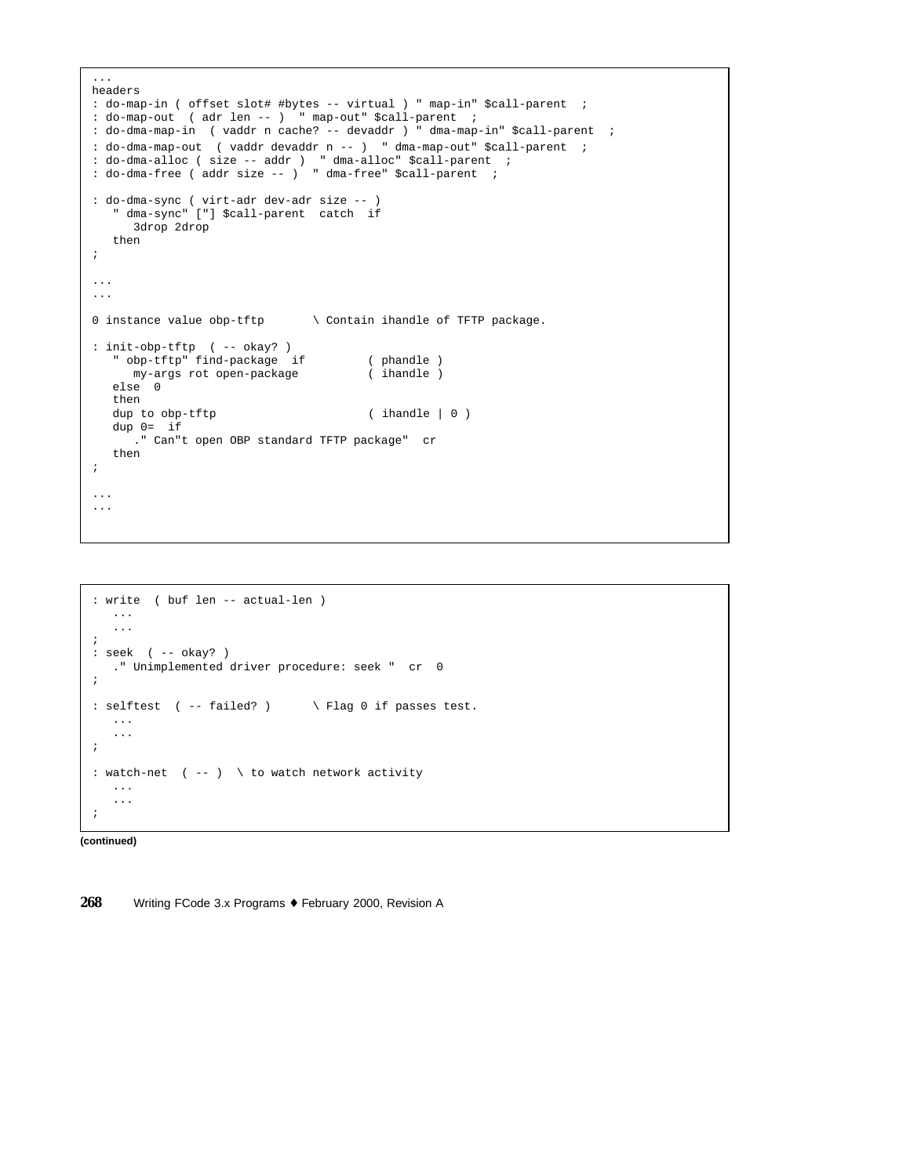```
...
headers
: do-map-in ( offset slot# #bytes -- virtual ) " map-in" $call-parent ;
: do-map-out ( adr len -- ) " map-out" $call-parent ;
: do-dma-map-in ( vaddr n cache? -- devaddr ) " dma-map-in" $call-parent ;
: do-dma-map-out ( vaddr devaddr n -- ) " dma-map-out" $call-parent ;
: do-dma-alloc ( size -- addr ) " dma-alloc" $call-parent ;
: do-dma-free ( addr size -- ) " dma-free" $call-parent ;
: do-dma-sync ( virt-adr dev-adr size -- )
  " dma-sync" ["] $call-parent catch if
     3drop 2drop
  then
;
...
...
0 instance value obp-tftp \ Contain ihandle of TFTP package.
: init-obp-tftp ( -- okay? )
  " obp-tftp" find-package if ( phandle )
    my-args rot open-package
  else 0
  then
  dup to obp-tftp ( ihandle | 0  )
  dup 0= if
    ." Can"t open OBP standard TFTP package" cr
  then
;
...
...
```

```
: write ( buf len -- actual-len )
  ...
  ...
;
: seek ( -- okay? )
  ." Unimplemented driver procedure: seek " cr 0
;
: selftest ( -- failed? ) \ Flag 0 if passes test.
  ...
   ...
;
: watch-net ( -- ) \ to watch network activity
  ...
   ...
;
```
**(continued)**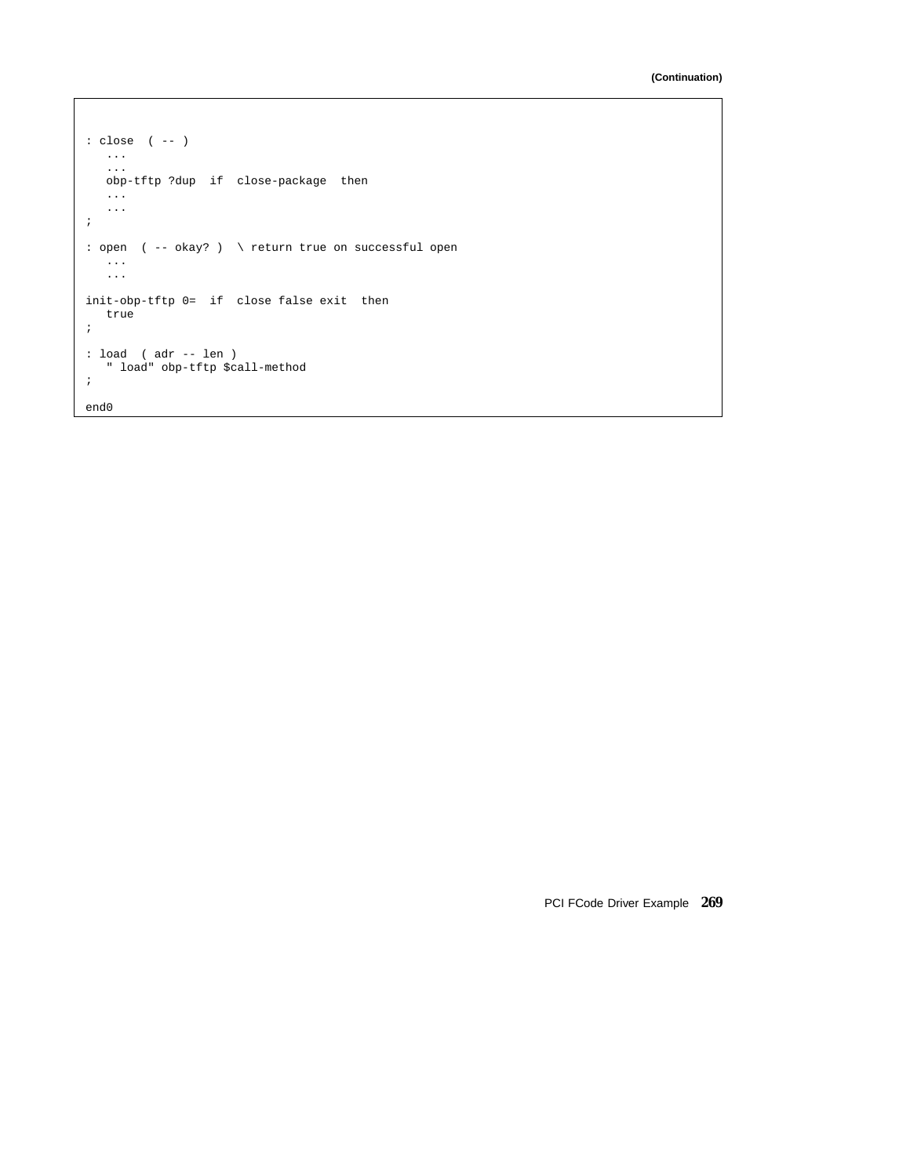```
: close ( -- )
  ...
   ...
  obp-tftp ?dup if close-package then
  ...
  ...
;
: open ( -- okay? ) \ return true on successful open
  ...
   ...
init-obp-tftp 0= if close false exit then
  true
;
: load ( adr -- len )
   " load" obp-tftp $call-method
;
end0
```
PCI FCode Driver Example **269**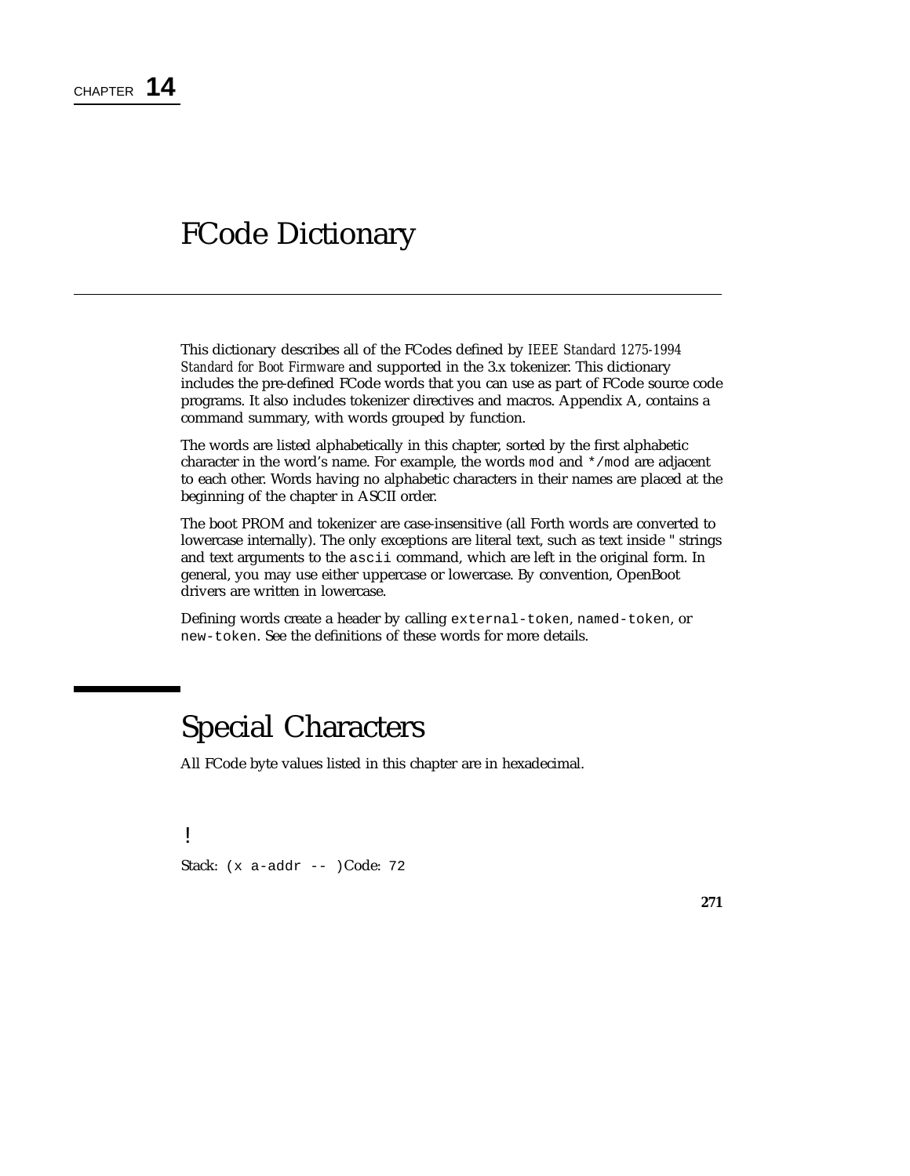# FCode Dictionary

This dictionary describes all of the FCodes defined by *IEEE Standard 1275-1994 Standard for Boot Firmware* and supported in the 3.x tokenizer. This dictionary includes the pre-defined FCode words that you can use as part of FCode source code programs. It also includes tokenizer directives and macros. Appendix A, contains a command summary, with words grouped by function.

The words are listed alphabetically in this chapter, sorted by the first alphabetic character in the word's name. For example, the words mod and \*/mod are adjacent to each other. Words having no alphabetic characters in their names are placed at the beginning of the chapter in ASCII order.

The boot PROM and tokenizer are case-insensitive (all Forth words are converted to lowercase internally). The only exceptions are literal text, such as text inside " strings and text arguments to the ascii command, which are left in the original form. In general, you may use either uppercase or lowercase. By convention, OpenBoot drivers are written in lowercase.

Defining words create a header by calling external-token, named-token, or new-token. See the definitions of these words for more details.

# Special Characters

All FCode byte values listed in this chapter are in hexadecimal.

! Stack: (x a-addr -- )Code: 72

**271**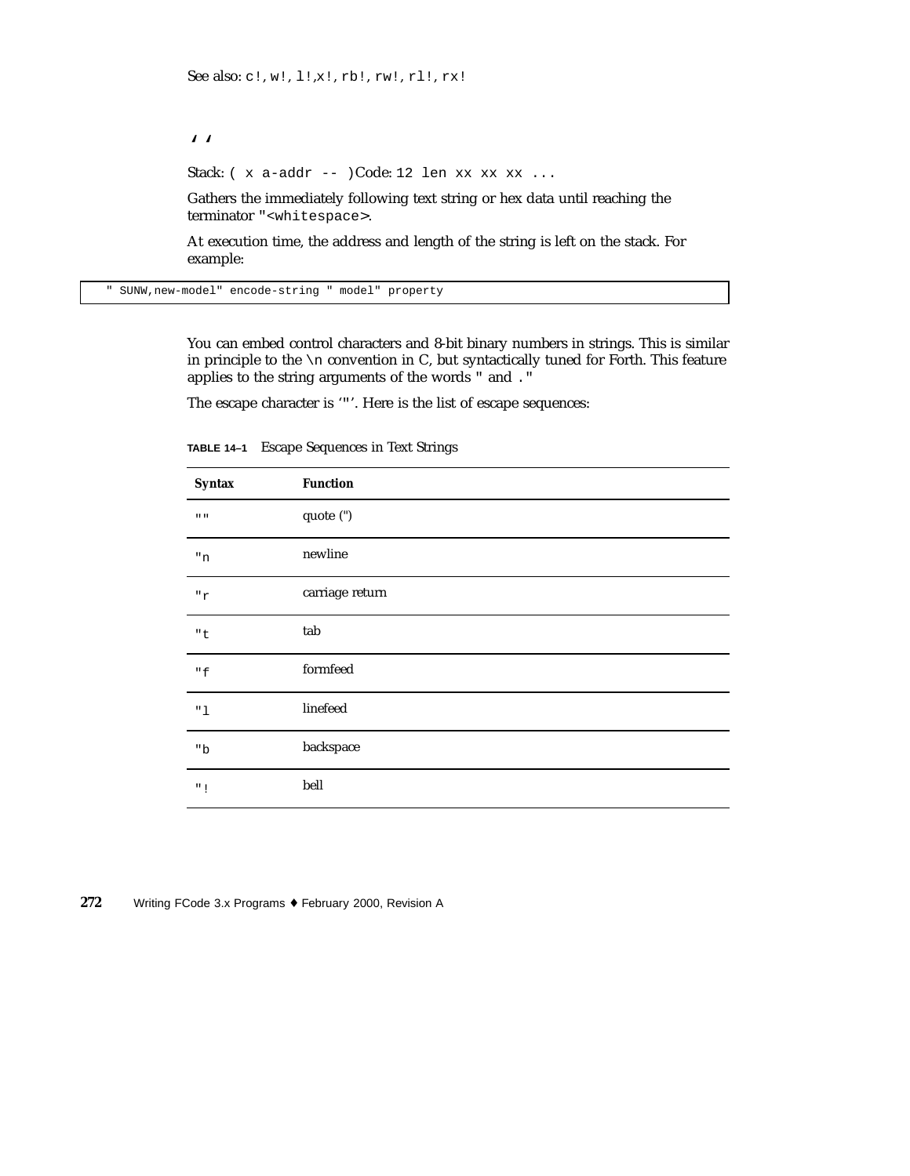''

Stack:  $(x \text{ a-addr } -- \text{ )Code:}$  12 len xx xx  $xx \text{ ...}$ 

Gathers the immediately following text string or hex data until reaching the terminator "<whitespace>.

At execution time, the address and length of the string is left on the stack. For example:

" SUNW,new-model" encode-string " model" property

You can embed control characters and 8-bit binary numbers in strings. This is similar in principle to the  $\ln$  convention in C, but syntactically tuned for Forth. This feature applies to the string arguments of the words " and ."

The escape character is '"'. Here is the list of escape sequences:

| <b>Syntax</b>    | <b>Function</b> |
|------------------|-----------------|
| $\mathbf{u}$ and | quote (")       |
| $\,^{\rm n}$ n   | newline         |
| "r               | carriage return |
| "t               | tab             |
| "f               | formfeed        |
| "1               | linefeed        |
| "b               | backspace       |
| $"$ !            | bell            |

**TABLE 14–1** Escape Sequences in Text Strings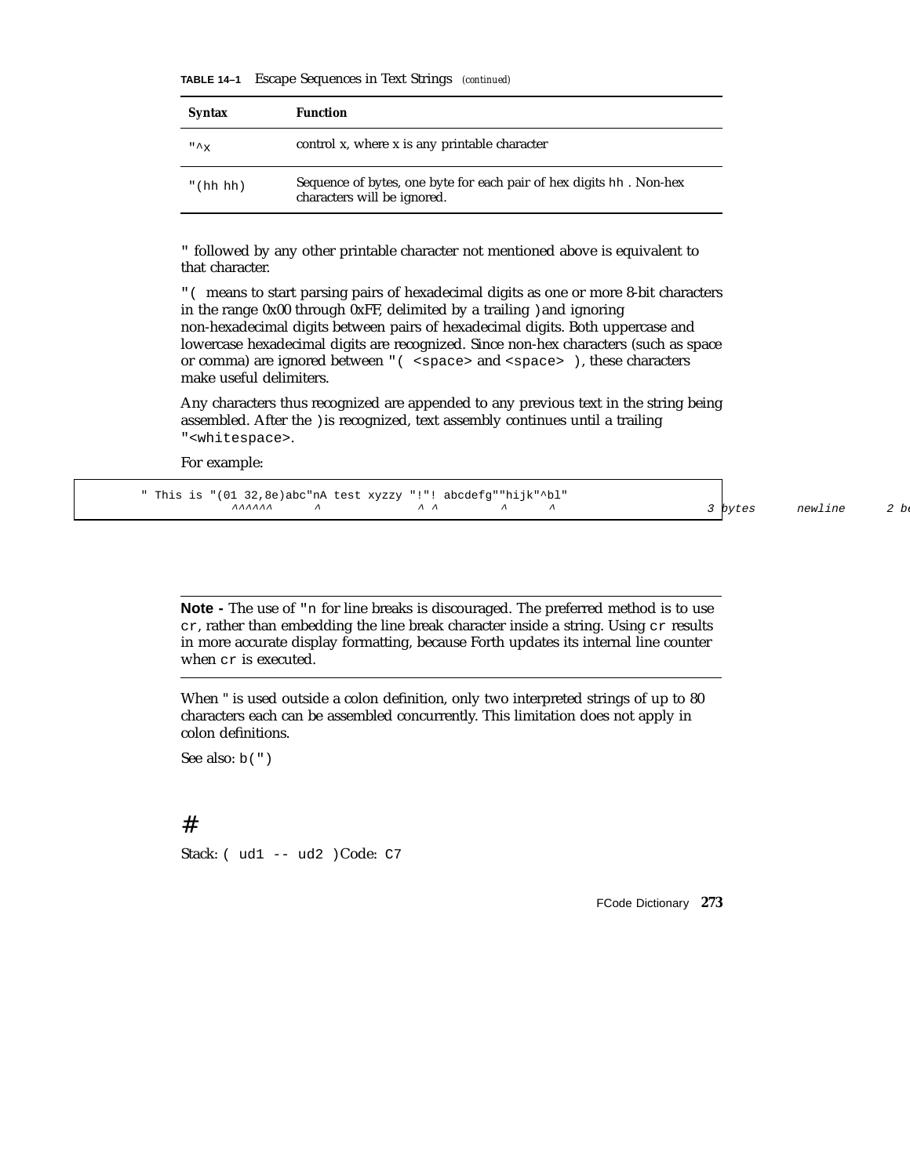**TABLE 14–1** Escape Sequences in Text Strings *(continued)*

| <b>Syntax</b>  | <b>Function</b>                                                                                    |
|----------------|----------------------------------------------------------------------------------------------------|
| $" \uparrow x$ | control x, where x is any printable character                                                      |
| " (hh hh)      | Sequence of bytes, one byte for each pair of hex digits hh. Non-hex<br>characters will be ignored. |

" followed by any other printable character not mentioned above is equivalent to that character.

"( means to start parsing pairs of hexadecimal digits as one or more 8-bit characters in the range 0x00 through 0xFF, delimited by a trailing )and ignoring non-hexadecimal digits between pairs of hexadecimal digits. Both uppercase and lowercase hexadecimal digits are recognized. Since non-hex characters (such as space or comma) are ignored between "( <space> and <space> ), these characters make useful delimiters.

Any characters thus recognized are appended to any previous text in the string being assembled. After the )is recognized, text assembly continues until a trailing "<whitespace>.

For example:

|  |  | " This is "(01 32,8e)abc"nA test xyzzy "!"! abcdefg""hijk"^bl" |  |                |                               |  |
|--|--|----------------------------------------------------------------|--|----------------|-------------------------------|--|
|  |  |                                                                |  | $\overline{a}$ | $\overline{A}$ $\overline{A}$ |  |

^ ^ ^ ^ ^ 3 bytes newline 2 be

**Note -** The use of "n for line breaks is discouraged. The preferred method is to use cr, rather than embedding the line break character inside a string. Using cr results in more accurate display formatting, because Forth updates its internal line counter when cr is executed.

When " is used outside a colon definition, only two interpreted strings of up to 80 characters each can be assembled concurrently. This limitation does not apply in colon definitions.

See also: b(")

#### #

Stack: ( ud1 -- ud2 )Code: C7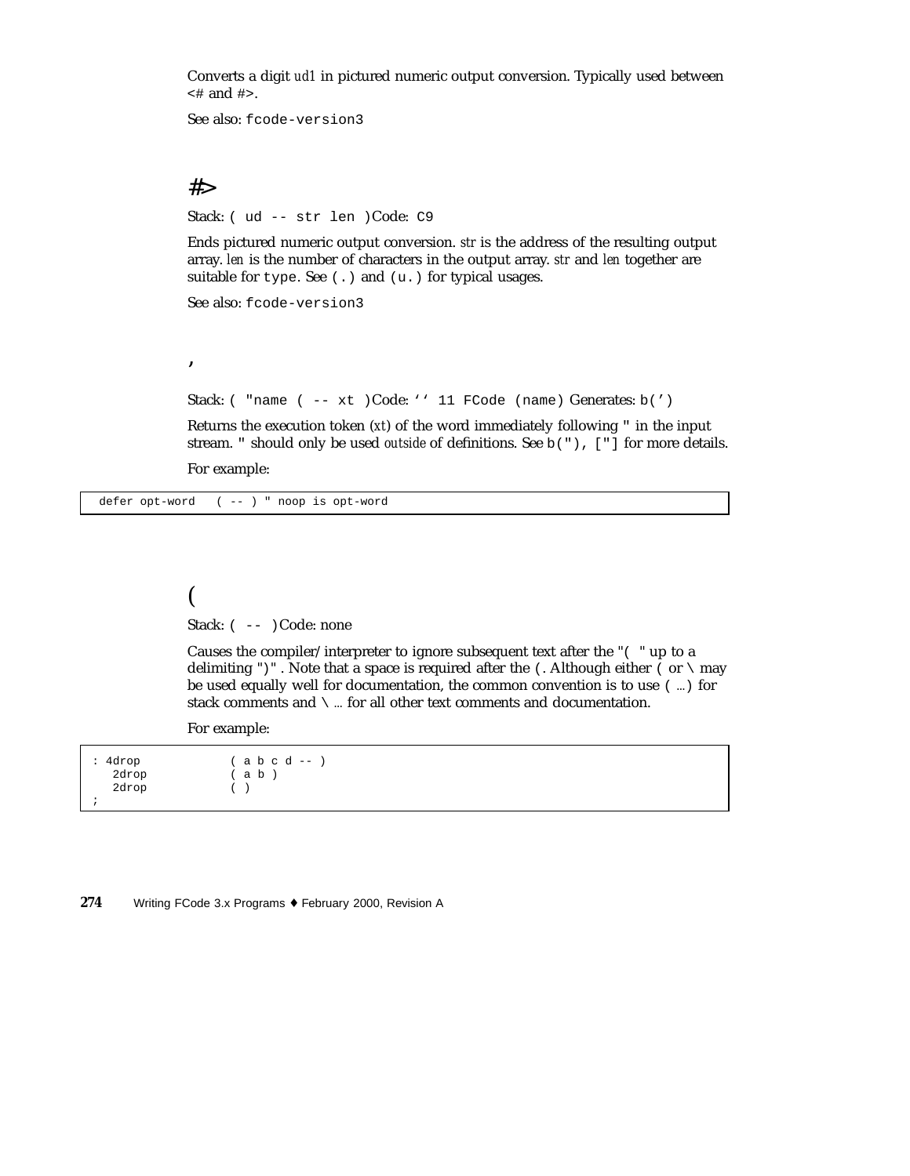Converts a digit *ud1* in pictured numeric output conversion. Typically used between <# and #>.

See also: fcode-version3

## #>

'

Stack: ( ud -- str len )Code: C9

Ends pictured numeric output conversion. *str* is the address of the resulting output array. *len* is the number of characters in the output array. *str* and *len* together are suitable for type. See (.) and (u.) for typical usages.

See also: fcode-version3

Stack: ( "name ( -- xt )Code: '' 11 FCode (name) Generates: b(')

Returns the execution token (*xt*) of the word immediately following " in the input stream. " should only be used *outside* of definitions. See b("), ["] for more details. For example:

defer opt-word ( -- ) " noop is opt-word

## ( Stack:  $(- - )$ Code: none

Causes the compiler/interpreter to ignore subsequent text after the "( " up to a delimiting ")". Note that a space is required after the  $\Lambda$ . Although either  $\Lambda$  or  $\Lambda$  may be used equally well for documentation, the common convention is to use ( …) for stack comments and  $\backslash$  ... for all other text comments and documentation.

For example:

: 4drop ( a b c d -- ) 2drop ( a b ) 2drop ( ) ;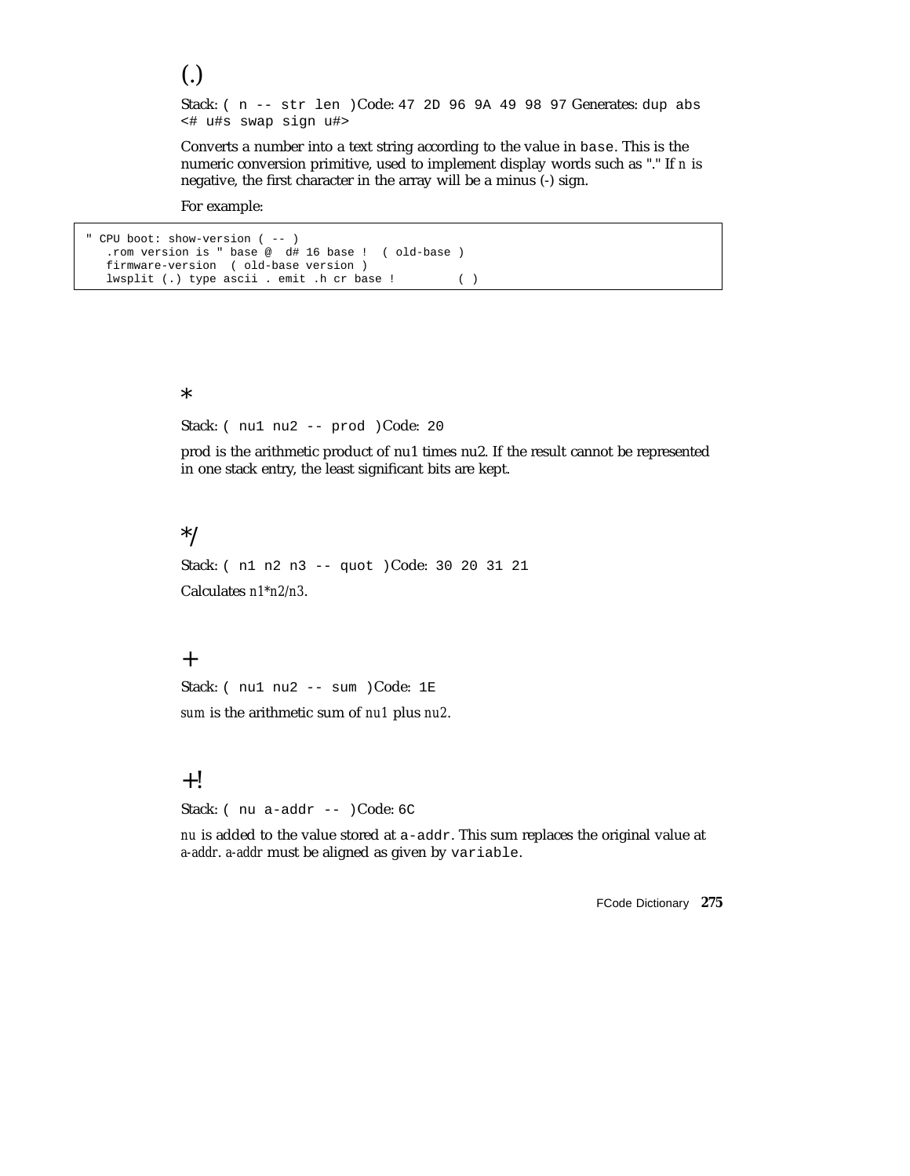Stack: ( n -- str len )Code: 47 2D 96 9A 49 98 97 Generates: dup abs <# u#s swap sign u#>

Converts a number into a text string according to the value in base. This is the numeric conversion primitive, used to implement display words such as "." If *n* is negative, the first character in the array will be a minus (-) sign.

For example:

(.)

```
" CPU boot: show-version ( -- )
  .rom version is " base @ d# 16 base ! ( old-base )
  firmware-version ( old-base version )
  lwsplit (.) type ascii . emit .h cr base ! ( )
```
\*

Stack: ( nu1 nu2 -- prod )Code: 20

prod is the arithmetic product of nu1 times nu2. If the result cannot be represented in one stack entry, the least significant bits are kept.

#### \*/

Stack: ( n1 n2 n3 -- quot )Code: 30 20 31 21 Calculates *n1\*n2/n3*.

#### $+$

Stack: ( nu1 nu2 -- sum )Code: 1E

*sum* is the arithmetic sum of *nu1* plus *nu2*.

### $+!$

Stack: ( nu a-addr -- )Code: 6C

*nu* is added to the value stored at a-addr. This sum replaces the original value at *a-addr*. *a-addr* must be aligned as given by variable.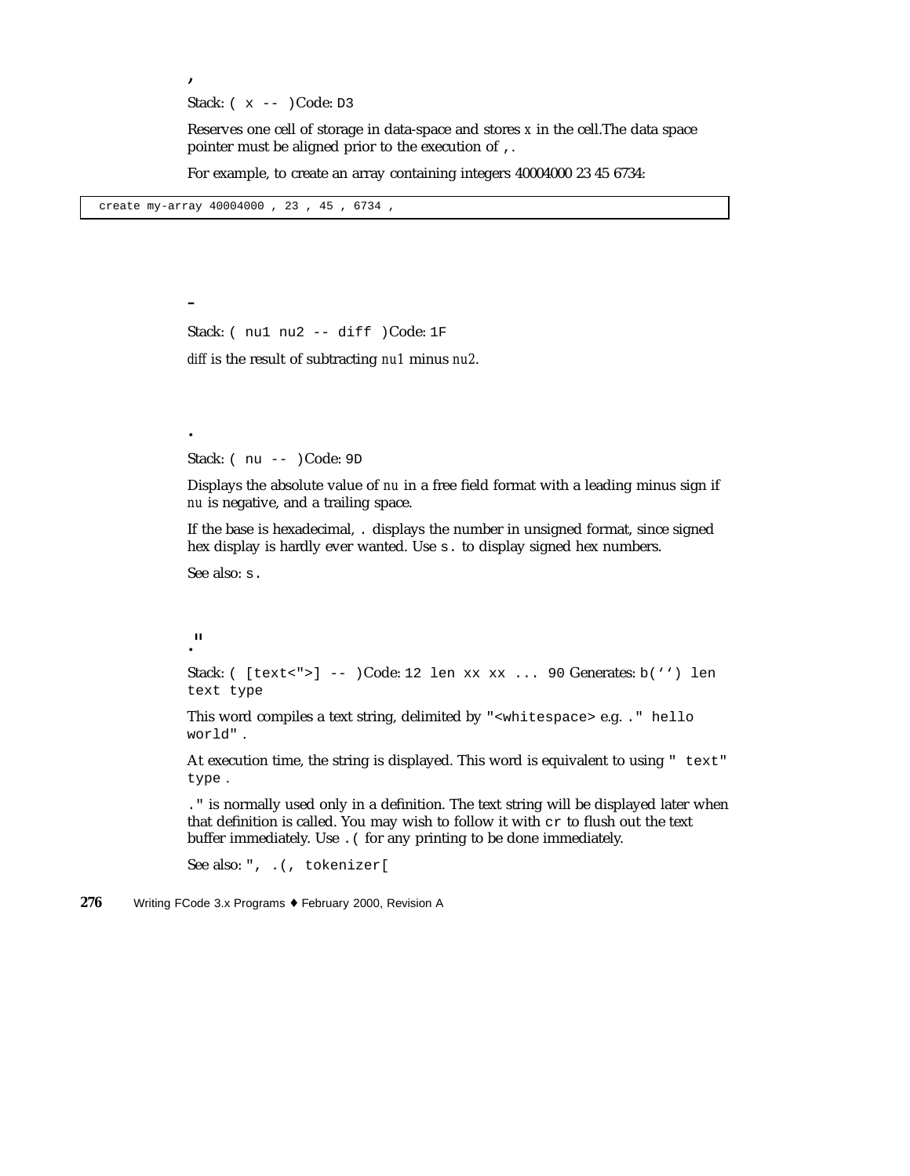Stack:  $(x - - )Code: D3$ 

Reserves one cell of storage in data-space and stores *x* in the cell.The data space pointer must be aligned prior to the execution of ,.

For example, to create an array containing integers 40004000 23 45 6734:

create my-array 40004000 , 23 , 45 , 6734 ,

,

-

.

Stack: ( nu1 nu2 -- diff )Code: 1F

*diff* is the result of subtracting *nu1* minus *nu2*.

Stack: ( nu -- )Code: 9D

Displays the absolute value of *nu* in a free field format with a leading minus sign if *nu* is negative, and a trailing space.

If the base is hexadecimal, . displays the number in unsigned format, since signed hex display is hardly ever wanted. Use s. to display signed hex numbers.

See also: s.

 $^{\prime\prime}$ 

Stack: ( [text<">] -- )Code: 12 len xx xx ... 90 Generates: b('') len text type

This word compiles a text string, delimited by "<whitespace> e.g. ." hello world" .

At execution time, the string is displayed. This word is equivalent to using " text" type .

." is normally used only in a definition. The text string will be displayed later when that definition is called. You may wish to follow it with cr to flush out the text buffer immediately. Use . ( for any printing to be done immediately.

See also: ", .(, tokenizer[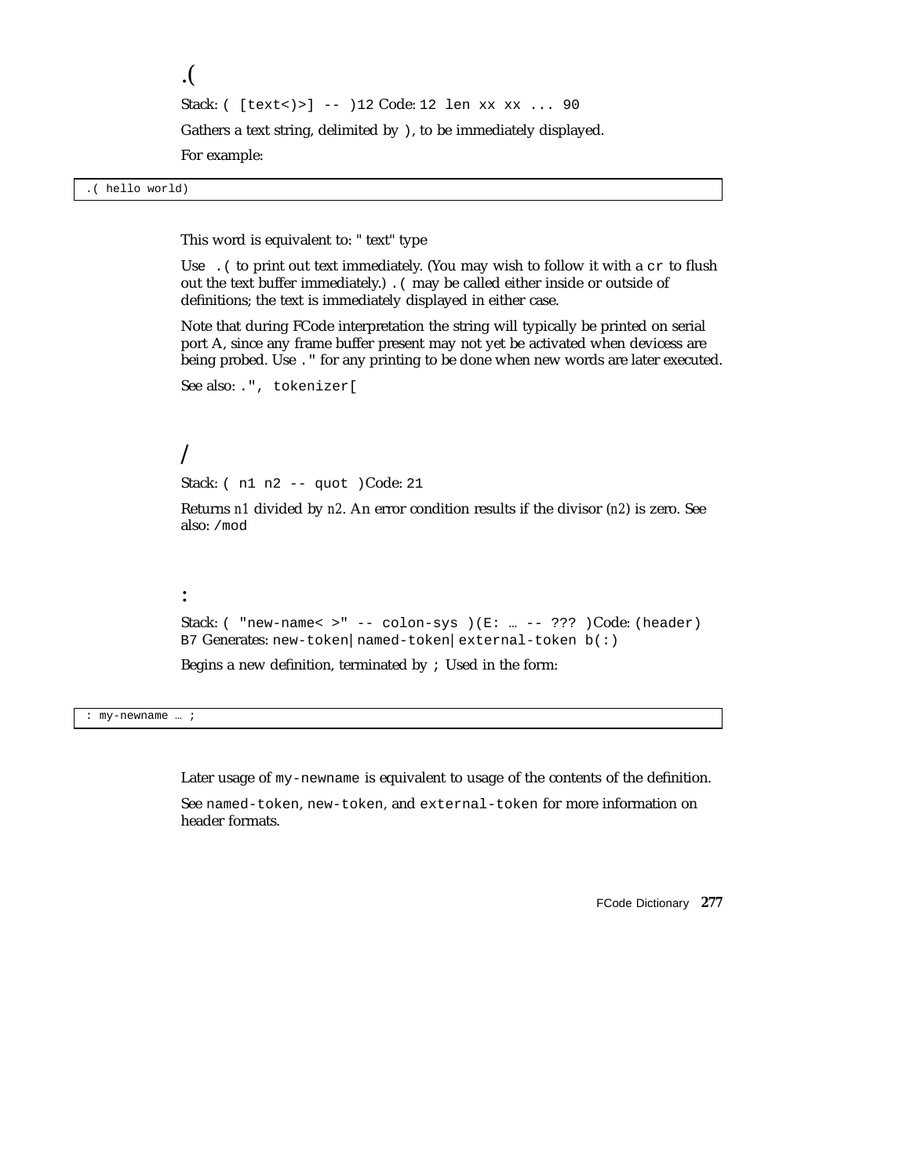```
.(
Stack: ( [text<)>] -- )12 Code: 12 len xx xx ... 90
Gathers a text string, delimited by ), to be immediately displayed.
```
For example:

.( hello world)

This word is equivalent to: " text" type

Use . ( to print out text immediately. (You may wish to follow it with a  $cr$  to flush out the text buffer immediately.) .( may be called either inside or outside of definitions; the text is immediately displayed in either case.

Note that during FCode interpretation the string will typically be printed on serial port A, since any frame buffer present may not yet be activated when devicess are being probed. Use ." for any printing to be done when new words are later executed.

```
See also: .", tokenizer[
```
### /

:

Stack: ( n1 n2 -- quot )Code: 21

Returns *n1* divided by *n2*. An error condition results if the divisor (*n2*) is zero. See also: /mod

```
Stack: ( "new-name< >" -- colon-sys )(E: ... -- ??? )Code: (header)
B7 Generates: new-token|named-token|external-token b(:)
```
Begins a new definition, terminated by ; Used in the form:

: my-newname … ;

Later usage of my-newname is equivalent to usage of the contents of the definition.

See named-token, new-token, and external-token for more information on header formats.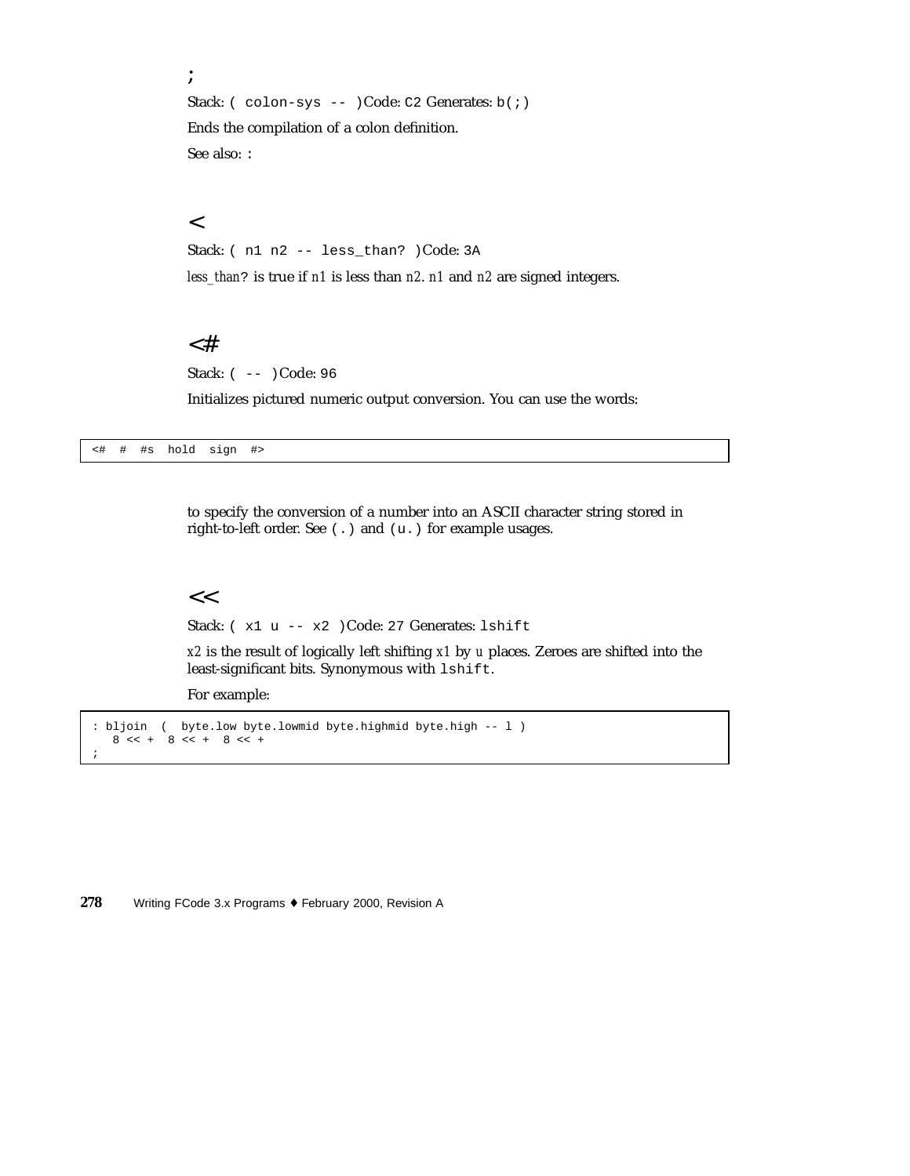; Stack: ( colon-sys -- )Code: C2 Generates: b(;) Ends the compilation of a colon definition. See also: :

#### $\overline{<}$

Stack: ( n1 n2 -- less\_than? )Code: 3A

*less\_than*? is true if *n1* is less than *n2*. *n1* and *n2* are signed integers.

### <#

Stack: ( -- )Code: 96

Initializes pictured numeric output conversion. You can use the words:

<# # #s hold sign #>

to specify the conversion of a number into an ASCII character string stored in right-to-left order. See (.) and (u.) for example usages.

#### $<<$

Stack: ( x1 u -- x2 )Code: 27 Generates: lshift

*x2* is the result of logically left shifting *x1* by *u* places. Zeroes are shifted into the least-significant bits. Synonymous with lshift.

For example:

```
: bljoin ( byte.low byte.lowmid byte.highmid byte.high -- l )
  8 < + 8 < + 8 < +;
```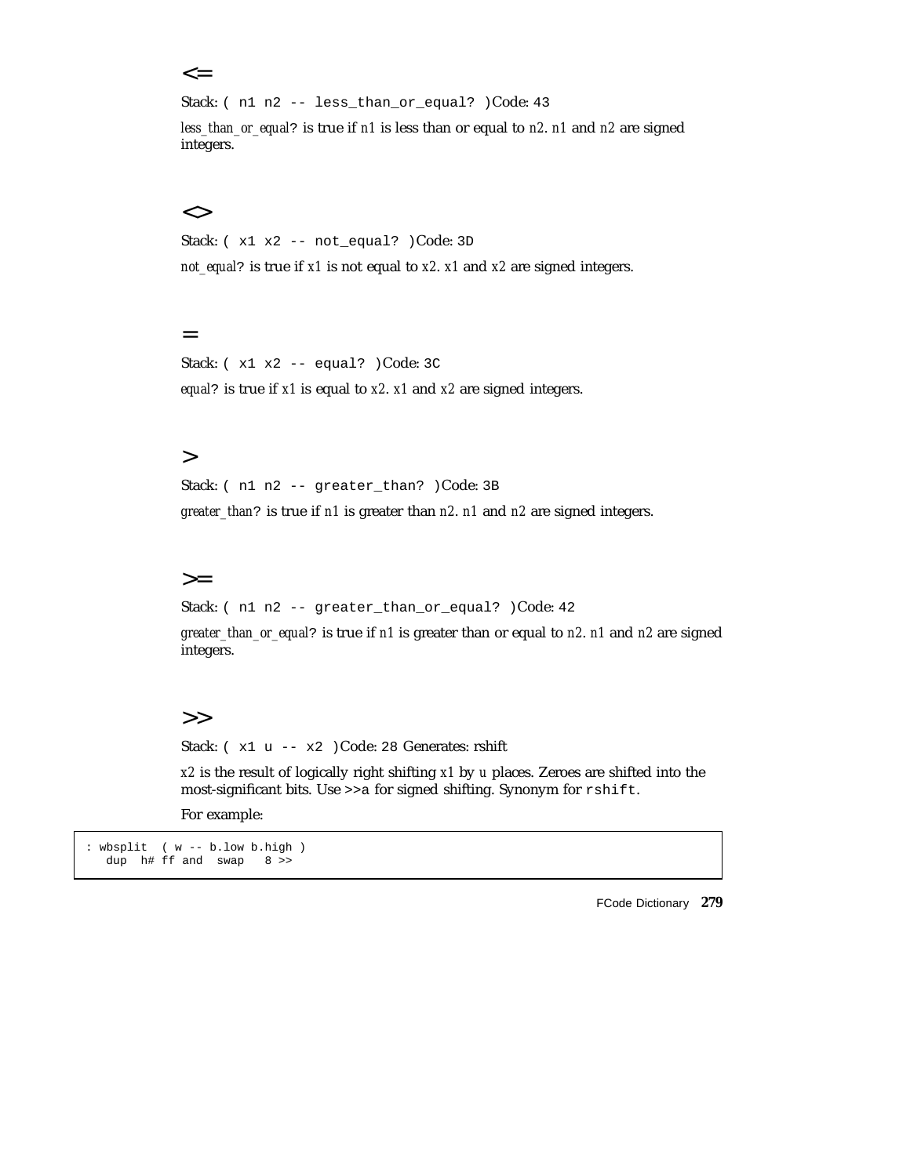#### $\leq$

Stack: ( n1 n2 -- less\_than\_or\_equal? )Code: 43

*less\_than\_or\_equal*? is true if *n1* is less than or equal to *n2*. *n1* and *n2* are signed integers.

#### $\lt$

Stack: ( x1 x2 -- not\_equal? )Code: 3D

*not\_equal*? is true if *x1* is not equal to *x2*. *x1* and *x2* are signed integers.

#### =

Stack: ( x1 x2 -- equal? )Code: 3C *equal*? is true if *x1* is equal to *x2*. *x1* and *x2* are signed integers.

#### $\geq$

Stack: ( n1 n2 -- greater\_than? )Code: 3B

*greater\_than*? is true if *n1* is greater than *n2*. *n1* and *n2* are signed integers.

#### $>=$

Stack: ( n1 n2 -- greater\_than\_or\_equal? )Code: 42

*greater\_than\_or\_equal*? is true if *n1* is greater than or equal to *n2*. *n1* and *n2* are signed integers.

#### >>

Stack: ( x1 u -- x2 )Code: 28 Generates: rshift

*x2* is the result of logically right shifting *x1* by *u* places. Zeroes are shifted into the most-significant bits. Use >>a for signed shifting. Synonym for rshift.

For example:

```
: wbsplit ( w -- b.low b.high )
  dup h# ff and swap 8 >>
```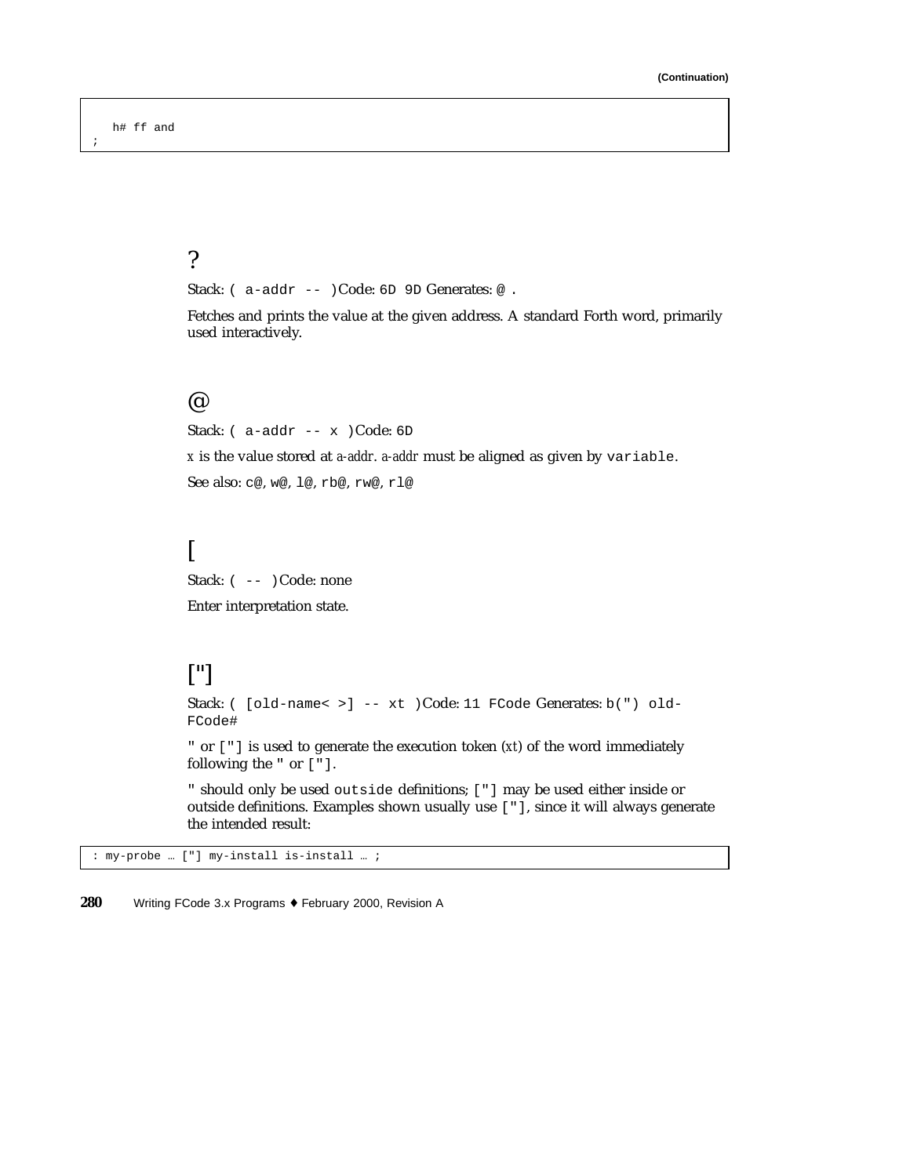;

## ?

Stack: ( a-addr -- )Code: 6D 9D Generates: @.

Fetches and prints the value at the given address. A standard Forth word, primarily used interactively.

#### @

Stack: ( a-addr -- x )Code: 6D

*x* is the value stored at *a-addr*. *a-addr* must be aligned as given by variable.

See also: c@, w@, l@, rb@, rw@, rl@

## [

Stack:  $(- - )$ Code: none

Enter interpretation state.

## ["]

Stack: ( [old-name< >] -- xt )Code: 11 FCode Generates: b(") old-FCode#

" or ["] is used to generate the execution token (*xt*) of the word immediately following the " or ["].

" should only be used outside definitions; ["] may be used either inside or outside definitions. Examples shown usually use ["], since it will always generate the intended result:

: my-probe … ["] my-install is-install … ;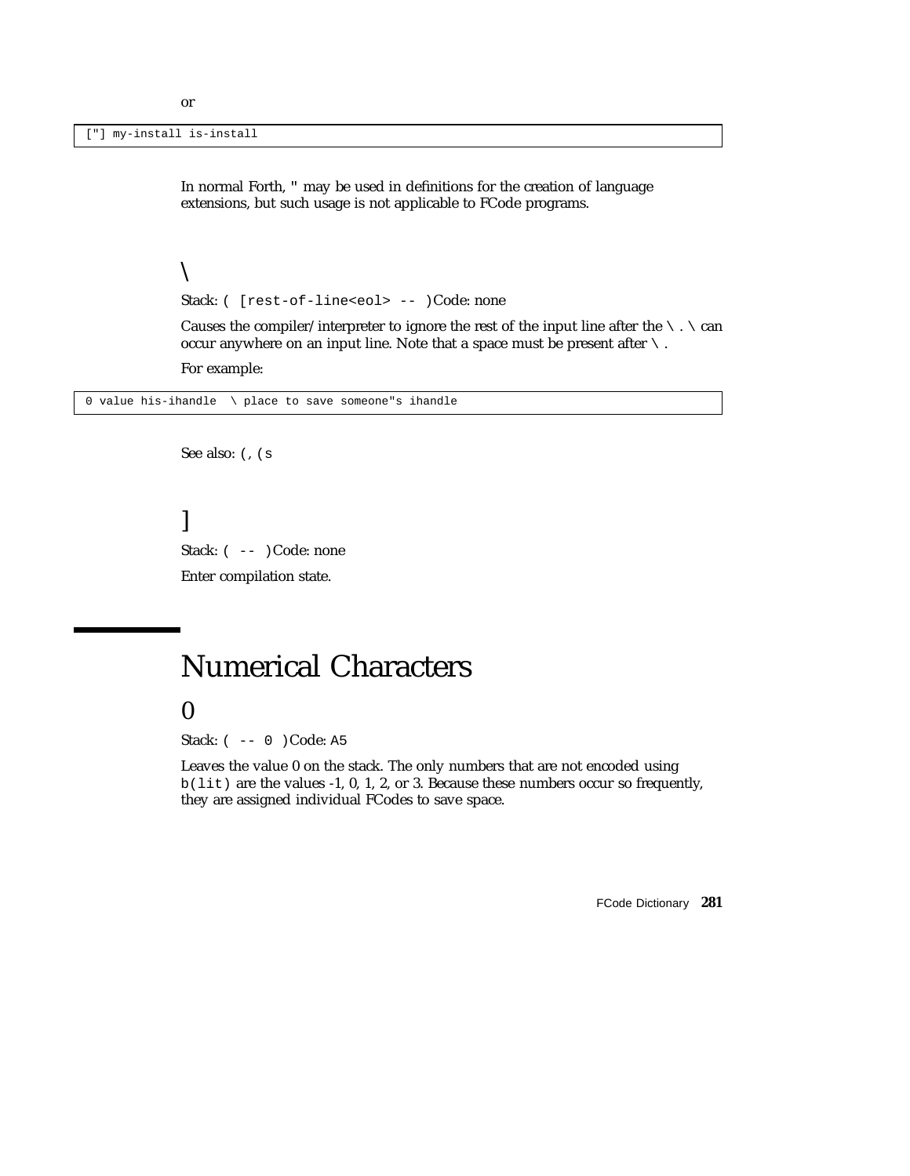["] my-install is-install

In normal Forth, " may be used in definitions for the creation of language extensions, but such usage is not applicable to FCode programs.

#### $\setminus$

Stack: ( [rest-of-line<eol> -- )Code: none

Causes the compiler/interpreter to ignore the rest of the input line after the  $\setminus \cdot \setminus$  can occur anywhere on an input line. Note that a space must be present after  $\setminus$ .

For example:

0 value his-ihandle \ place to save someone"s ihandle

See also: (, (s

] Stack:  $(- - )$  Code: none Enter compilation state.

# Numerical Characters

### 0

Stack: ( -- 0 )Code: A5

Leaves the value 0 on the stack. The only numbers that are not encoded using  $b(lit)$  are the values -1, 0, 1, 2, or 3. Because these numbers occur so frequently, they are assigned individual FCodes to save space.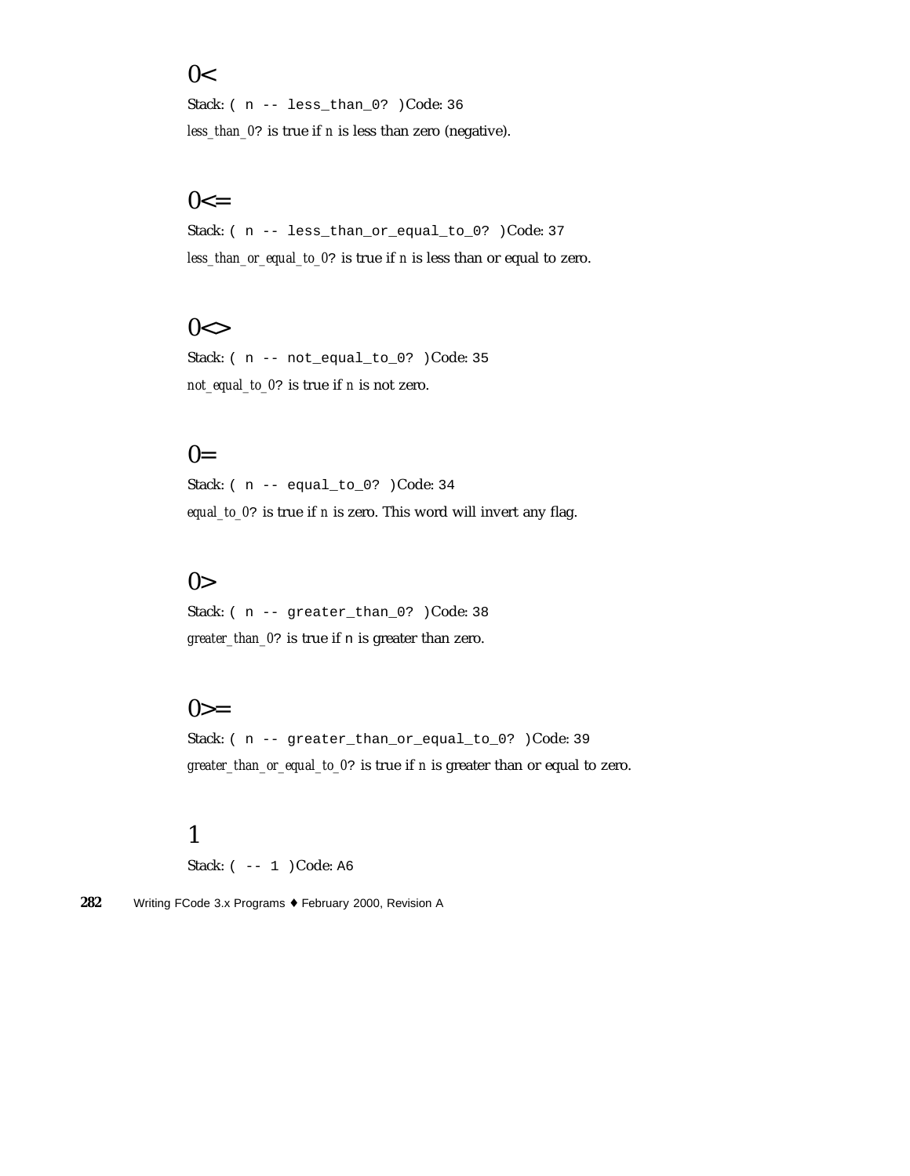### $0<$

Stack: ( n -- less\_than\_0? )Code: 36 *less\_than\_0*? is true if *n* is less than zero (negative).

## $0 < =$

Stack: ( n -- less\_than\_or\_equal\_to\_0? )Code: 37 *less\_than\_or\_equal\_to\_0*? is true if *n* is less than or equal to zero.

## $0 < \gt$

Stack: ( n -- not\_equal\_to\_0? )Code: 35 *not\_equal\_to\_0*? is true if *n* is not zero.

## $0=$

Stack: ( n -- equal\_to\_0? )Code: 34 *equal\_to\_0*? is true if *n* is zero. This word will invert any flag.

## $0>$

Stack: ( n -- greater\_than\_0? )Code: 38 *greater\_than\_0*? is true if n is greater than zero.

### $0>=$

Stack: ( n -- greater\_than\_or\_equal\_to\_0? )Code: 39 *greater\_than\_or\_equal\_to\_0*? is true if *n* is greater than or equal to zero.

## 1

Stack: ( -- 1 ) Code: A6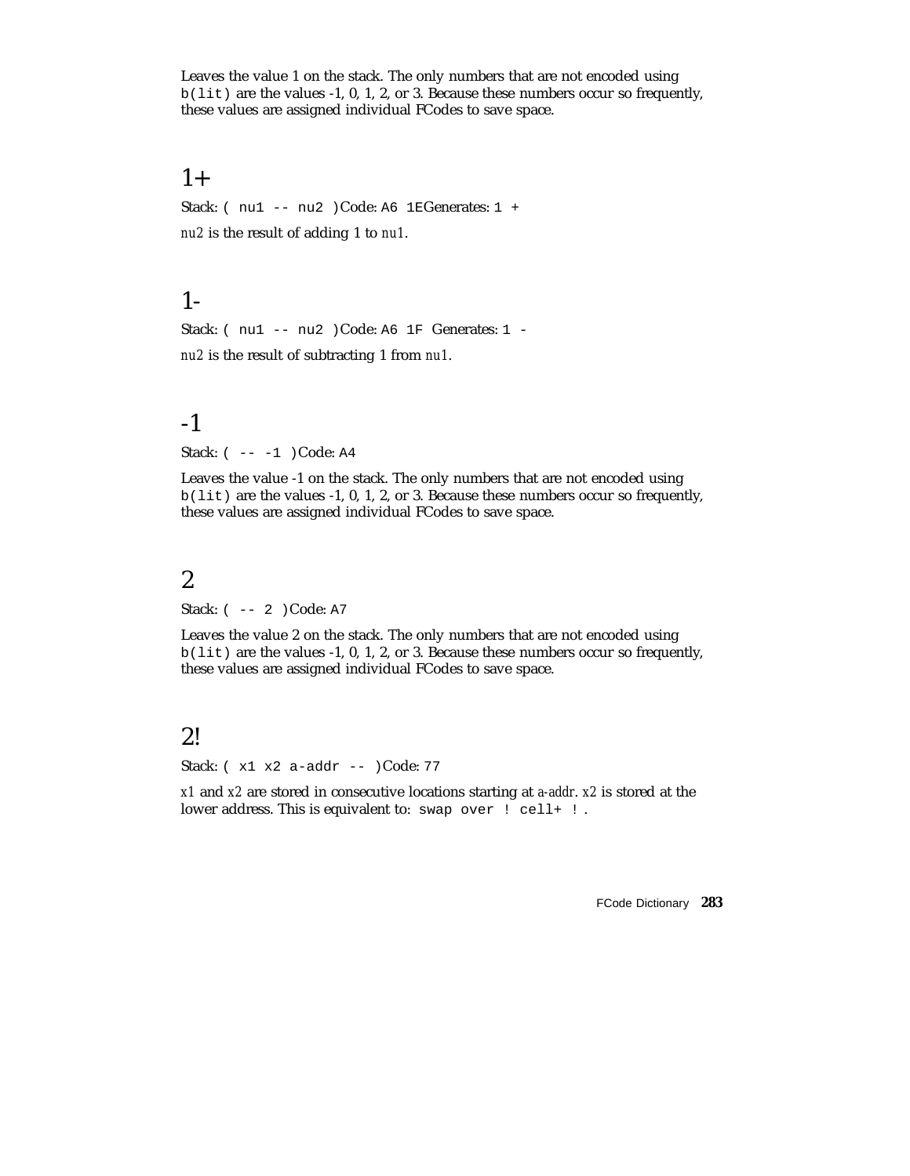Leaves the value 1 on the stack. The only numbers that are not encoded using b(lit) are the values -1, 0, 1, 2, or 3. Because these numbers occur so frequently, these values are assigned individual FCodes to save space.

### $1+$

Stack: ( nu1 -- nu2 )Code: A6 1EGenerates: 1 + *nu2* is the result of adding 1 to *nu1*.

## 1-

Stack: (nu1 -- nu2 )Code: A6 1F Generates: 1 *nu2* is the result of subtracting 1 from *nu1*.

### -1

Stack: ( -- -1 ) Code: A4

Leaves the value -1 on the stack. The only numbers that are not encoded using b(lit) are the values -1, 0, 1, 2, or 3. Because these numbers occur so frequently, these values are assigned individual FCodes to save space.

## 2

Stack: ( -- 2 )Code: A7

Leaves the value 2 on the stack. The only numbers that are not encoded using b(lit) are the values -1, 0, 1, 2, or 3. Because these numbers occur so frequently, these values are assigned individual FCodes to save space.

## 2!

Stack: ( x1 x2 a-addr -- )Code: 77

*x1* and *x2* are stored in consecutive locations starting at *a-addr*. *x2* is stored at the lower address. This is equivalent to: swap over ! cell+ !.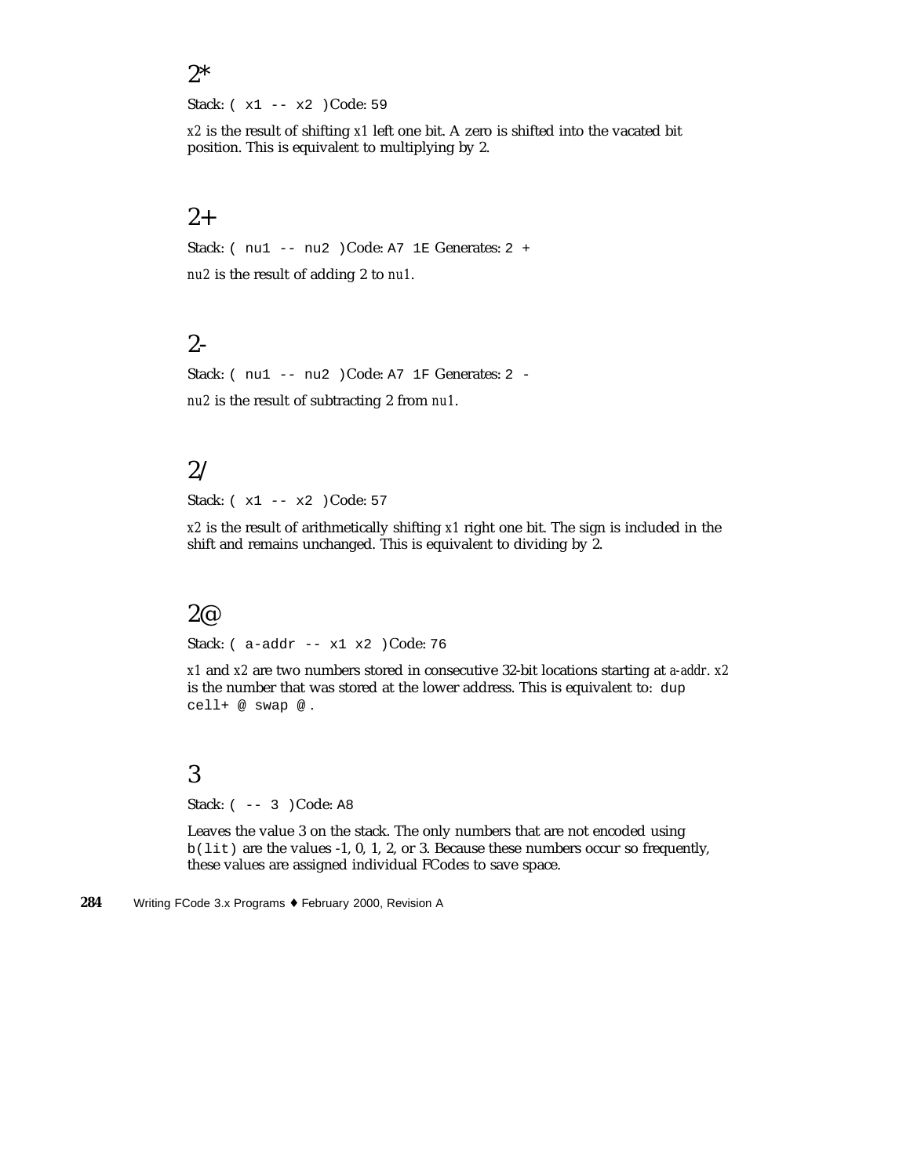#### 2\*

Stack: ( x1 -- x2 )Code: 59

*x2* is the result of shifting *x1* left one bit. A zero is shifted into the vacated bit position. This is equivalent to multiplying by 2.

### $2+$

Stack: ( nu1 -- nu2 )Code: A7 1E Generates: 2 + *nu2* is the result of adding 2 to *nu1*.

## 2-

Stack: ( nu1 -- nu2 )Code: A7 1F Generates: 2 *nu2* is the result of subtracting 2 from *nu1*.

## 2/

Stack: ( x1 -- x2 ) Code: 57

*x2* is the result of arithmetically shifting *x1* right one bit. The sign is included in the shift and remains unchanged. This is equivalent to dividing by 2.

#### 2@

Stack: ( a-addr -- x1 x2 )Code: 76

*x1* and *x2* are two numbers stored in consecutive 32-bit locations starting at *a-addr*. *x2* is the number that was stored at the lower address. This is equivalent to: dup cell+ @ swap @ .

## 3

Stack: ( -- 3 )Code: A8

Leaves the value 3 on the stack. The only numbers that are not encoded using b(lit) are the values -1, 0, 1, 2, or 3. Because these numbers occur so frequently, these values are assigned individual FCodes to save space.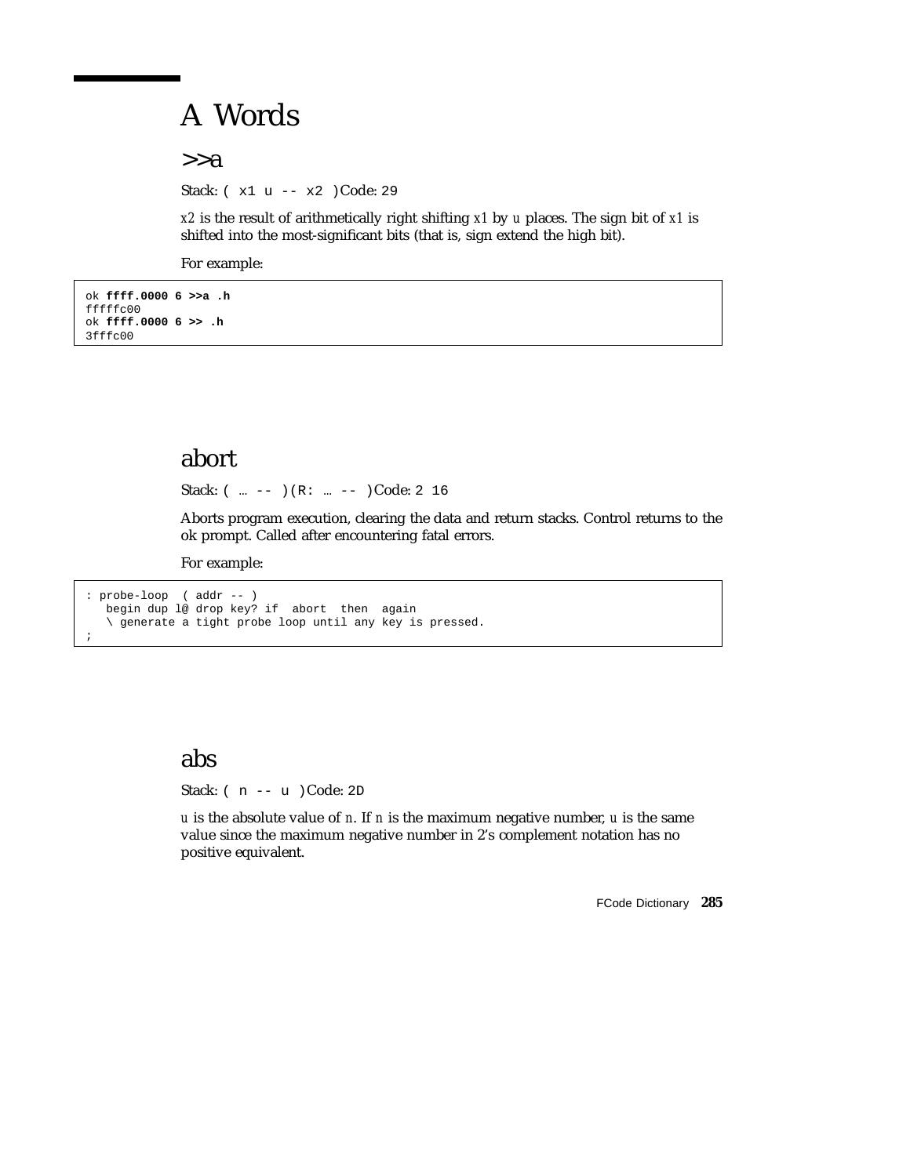# A Words

 $>>a$ 

Stack: ( x1 u -- x2 )Code: 29

*x2* is the result of arithmetically right shifting *x1* by *u* places. The sign bit of *x1* is shifted into the most-significant bits (that is, sign extend the high bit).

For example:

```
ok ffff.0000 6 >>a .h
fffffc00
ok ffff.0000 6 >> .h
3fffc00
```
## abort

Stack: ( ... -- )(R: ... -- )Code: 2 16

Aborts program execution, clearing the data and return stacks. Control returns to the ok prompt. Called after encountering fatal errors.

For example:

```
: probe-loop ( addr -- )
  begin dup l@ drop key? if abort then again
  \ generate a tight probe loop until any key is pressed.
;
```
## abs

Stack: ( n -- u )Code: 2D

*u* is the absolute value of *n*. If *n* is the maximum negative number, *u* is the same value since the maximum negative number in 2's complement notation has no positive equivalent.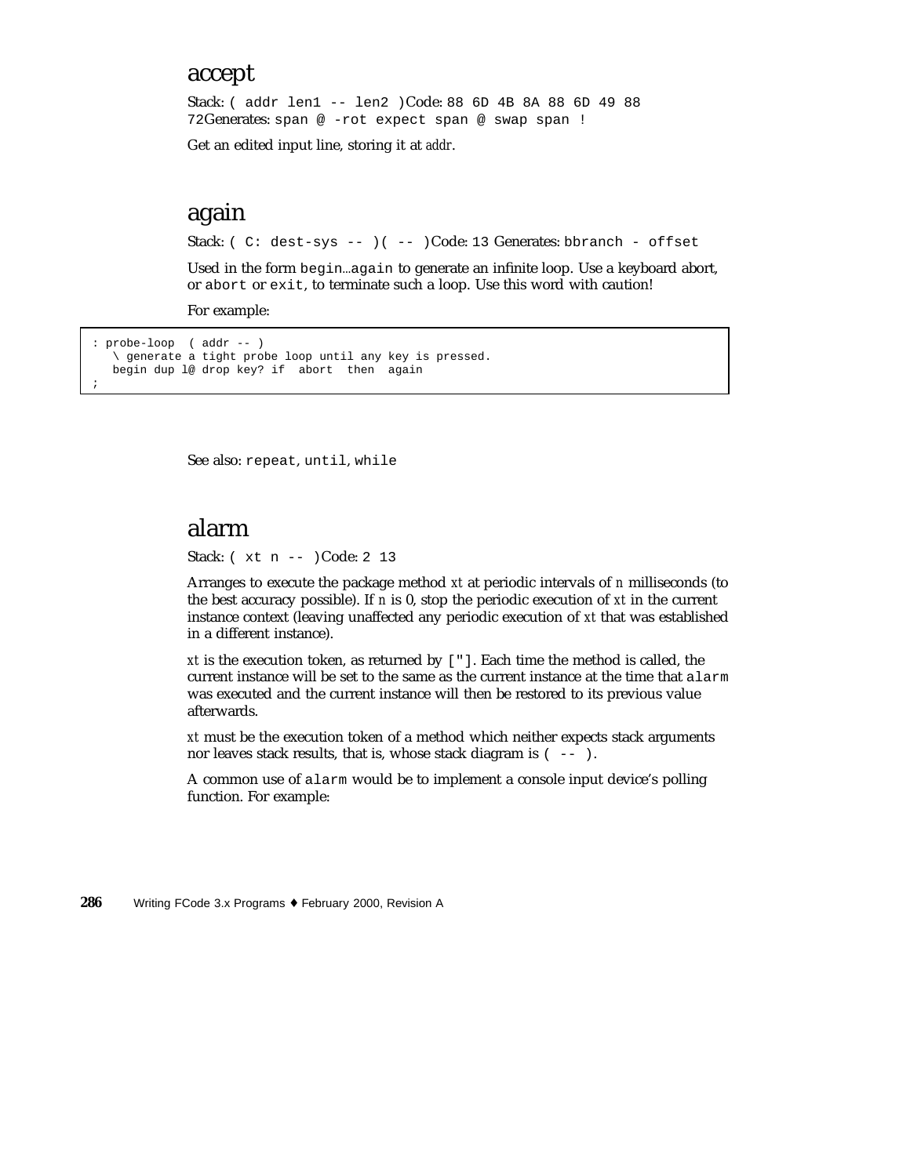### accept

Stack: ( addr len1 -- len2 )Code: 88 6D 4B 8A 88 6D 49 88 72Generates: span @ -rot expect span @ swap span !

Get an edited input line, storing it at *addr*.

## again

Stack: ( C: dest-sys -- ) ( -- )Code: 13 Generates: bbranch - offset

Used in the form begin…again to generate an infinite loop. Use a keyboard abort, or abort or exit, to terminate such a loop. Use this word with caution!

For example:

```
: probe-loop ( addr -- )
  \ generate a tight probe loop until any key is pressed.
  begin dup l@ drop key? if abort then again
;
```
See also: repeat, until, while

## alarm

Stack: ( xt n -- )Code: 2 13

Arranges to execute the package method *xt* at periodic intervals of *n* milliseconds (to the best accuracy possible). If *n* is 0, stop the periodic execution of *xt* in the current instance context (leaving unaffected any periodic execution of *xt* that was established in a different instance).

*xt* is the execution token, as returned by ["]. Each time the method is called, the current instance will be set to the same as the current instance at the time that alarm was executed and the current instance will then be restored to its previous value afterwards.

*xt* must be the execution token of a method which neither expects stack arguments nor leaves stack results, that is, whose stack diagram is  $($  --  $)$ .

A common use of alarm would be to implement a console input device's polling function. For example: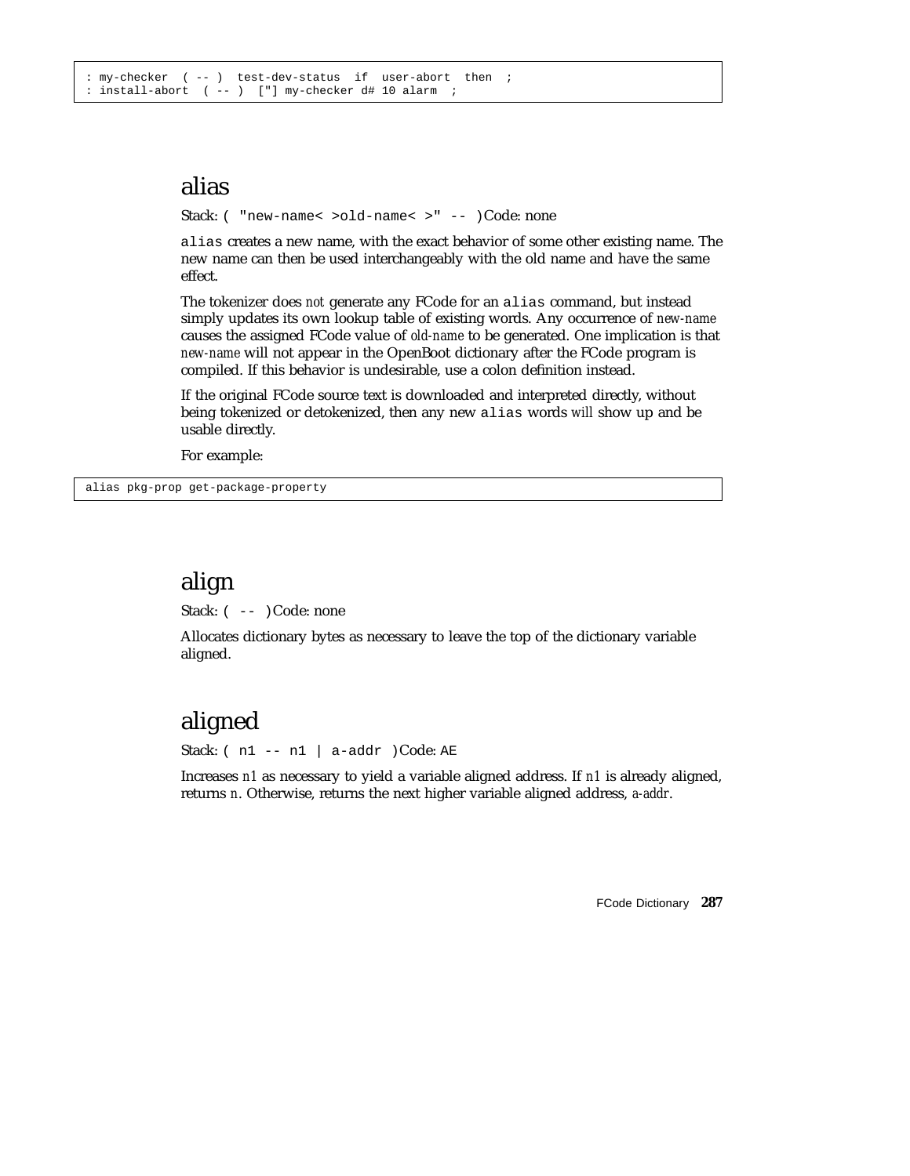## alias

Stack: ( "new-name< >old-name< >" -- )Code: none

alias creates a new name, with the exact behavior of some other existing name. The new name can then be used interchangeably with the old name and have the same effect.

The tokenizer does *not* generate any FCode for an alias command, but instead simply updates its own lookup table of existing words. Any occurrence of *new-name* causes the assigned FCode value of *old-name* to be generated. One implication is that *new-name* will not appear in the OpenBoot dictionary after the FCode program is compiled. If this behavior is undesirable, use a colon definition instead.

If the original FCode source text is downloaded and interpreted directly, without being tokenized or detokenized, then any new alias words *will* show up and be usable directly.

For example:

alias pkg-prop get-package-property

## align

Stack:  $(- - )$  Code: none

Allocates dictionary bytes as necessary to leave the top of the dictionary variable aligned.

## aligned

Stack:  $(n1 - n1 | a-addr)Code: AE$ 

Increases *n1* as necessary to yield a variable aligned address. If *n1* is already aligned, returns *n*. Otherwise, returns the next higher variable aligned address, *a-addr*.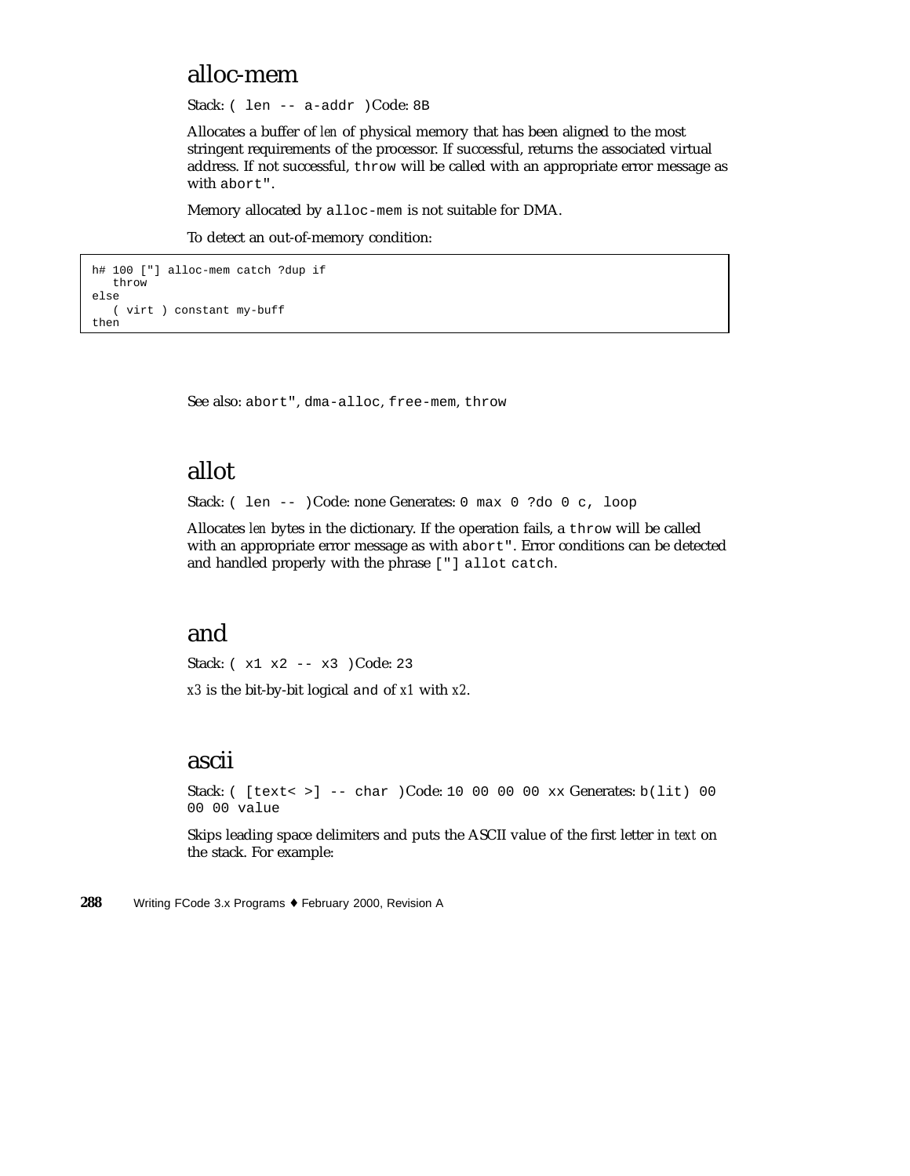## alloc-mem

Stack: ( len -- a-addr )Code: 8B

Allocates a buffer of *len* of physical memory that has been aligned to the most stringent requirements of the processor. If successful, returns the associated virtual address. If not successful, throw will be called with an appropriate error message as with abort".

Memory allocated by alloc-mem is not suitable for DMA.

To detect an out-of-memory condition:

```
h# 100 ["] alloc-mem catch ?dup if
   throw
else
  ( virt ) constant my-buff
then
```
See also: abort", dma-alloc, free-mem, throw

## allot

Stack: ( len -- )Code: none Generates: 0 max 0 ?do 0 c, loop

Allocates *len* bytes in the dictionary. If the operation fails, a throw will be called with an appropriate error message as with abort". Error conditions can be detected and handled properly with the phrase ["] allot catch.

## and

Stack: ( x1 x2 -- x3 )Code: 23 *x3* is the bit-by-bit logical and of *x1* with *x2*.

## ascii

Stack: ( [text< >] -- char )Code: 10 00 00 00 xx Generates: b(lit) 00 00 00 value

Skips leading space delimiters and puts the ASCII value of the first letter in *text* on the stack. For example: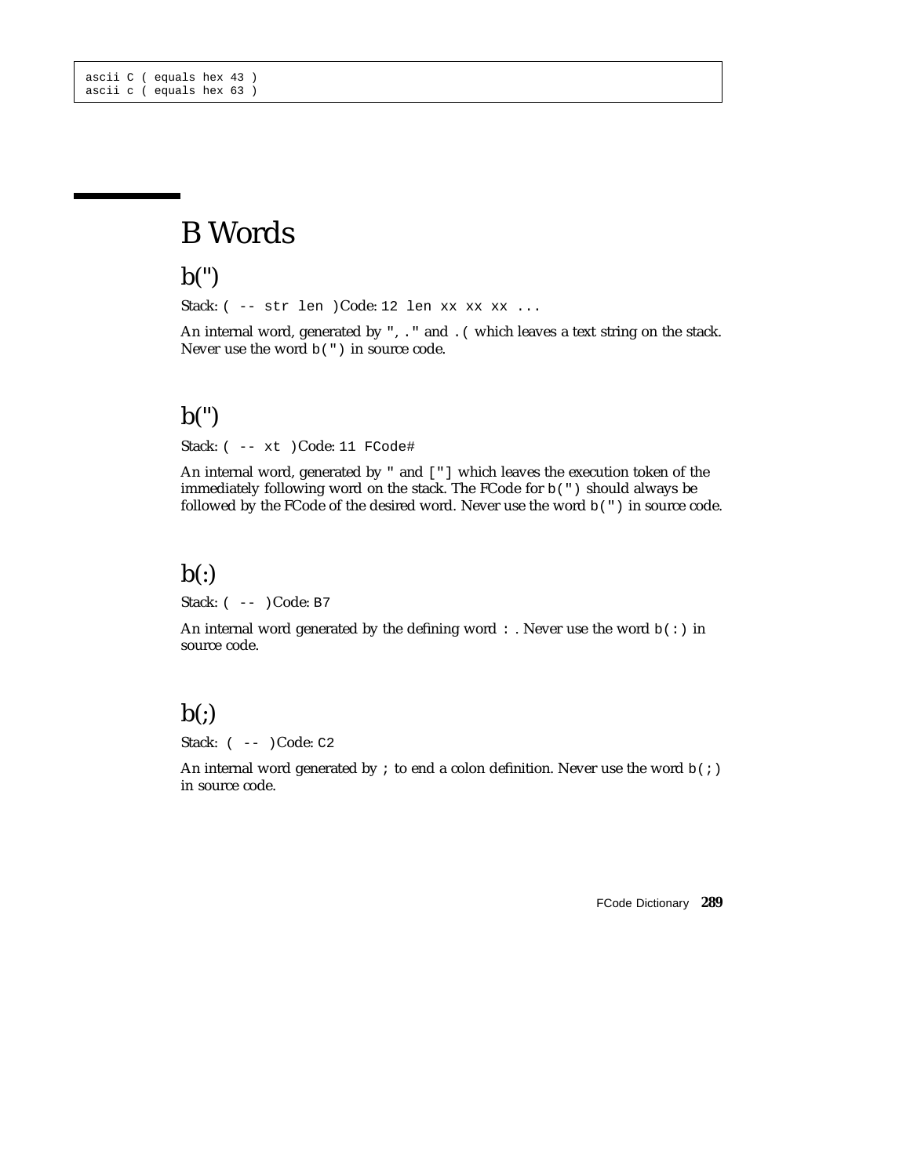# B Words

 $b(")$ 

Stack:  $(- - \text{str len } )\text{Code:}$  12 len xx xx xx ...

An internal word, generated by ", . " and . ( which leaves a text string on the stack. Never use the word b(") in source code.

### $b($ ")

Stack: ( -- xt )Code: 11 FCode#

An internal word, generated by " and ["] which leaves the execution token of the immediately following word on the stack. The FCode for b(") should always be followed by the FCode of the desired word. Never use the word b(") in source code.

### $b($ : $)$

Stack: ( -- )Code: B7

An internal word generated by the defining word : . Never use the word  $b( : )$  in source code.

### $b($ ; $)$

Stack: ( -- )Code: C2

An internal word generated by  $\,$  to end a colon definition. Never use the word  $b($ ;) in source code.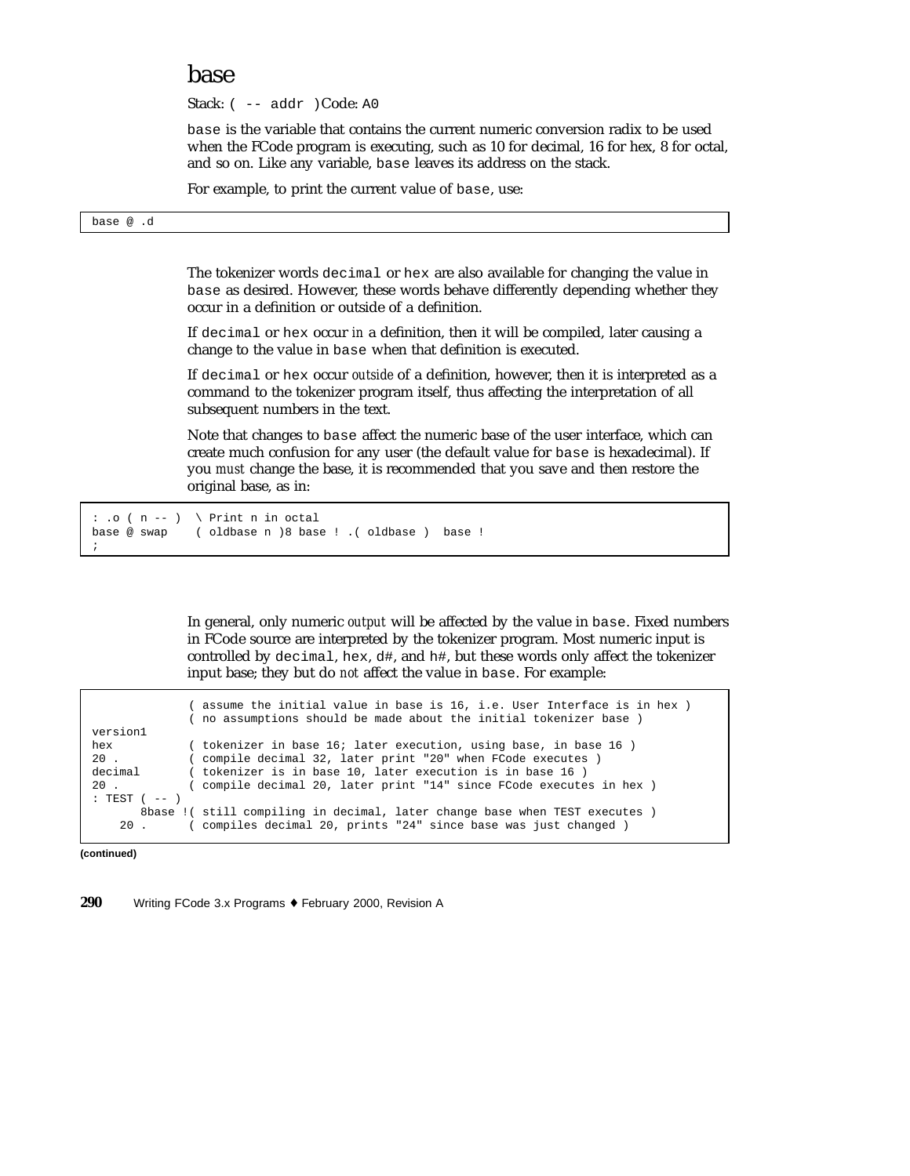#### base

Stack: ( -- addr )Code: A0

base is the variable that contains the current numeric conversion radix to be used when the FCode program is executing, such as 10 for decimal, 16 for hex, 8 for octal, and so on. Like any variable, base leaves its address on the stack.

For example, to print the current value of base, use:

base @ .d

The tokenizer words decimal or hex are also available for changing the value in base as desired. However, these words behave differently depending whether they occur in a definition or outside of a definition.

If decimal or hex occur *in* a definition, then it will be compiled, later causing a change to the value in base when that definition is executed.

If decimal or hex occur *outside* of a definition, however, then it is interpreted as a command to the tokenizer program itself, thus affecting the interpretation of all subsequent numbers in the text.

Note that changes to base affect the numeric base of the user interface, which can create much confusion for any user (the default value for base is hexadecimal). If you *must* change the base, it is recommended that you save and then restore the original base, as in:

```
: \cdot ( n -- ) \ Print n in octal
base @ swap ( oldbase n )8 base ! .( oldbase ) base !
;
```
In general, only numeric *output* will be affected by the value in base. Fixed numbers in FCode source are interpreted by the tokenizer program. Most numeric input is controlled by decimal, hex,  $d\text{#}$ , and  $h\text{#}$ , but these words only affect the tokenizer input base; they but do *not* affect the value in base. For example:

( assume the initial value in base is 16, i.e. User Interface is in hex ) ( no assumptions should be made about the initial tokenizer base ) version1 hex (tokenizer in base 16; later execution, using base, in base 16)<br>20 (compile decimal 32) later print "20" when ECode executes) ( compile decimal 32, later print "20" when FCode executes decimal ( tokenizer is in base 10, later execution is in base 16 ) 20 . ( compile decimal 20, later print "14" since FCode executes in hex ) : TEST  $($   $-- )$ 8base !( still compiling in decimal, later change base when TEST executes )<br>20 . ( compiles decimal 20, prints "24" since base was just changed ) ( compiles decimal 20, prints "24" since base was just changed )

**(continued)**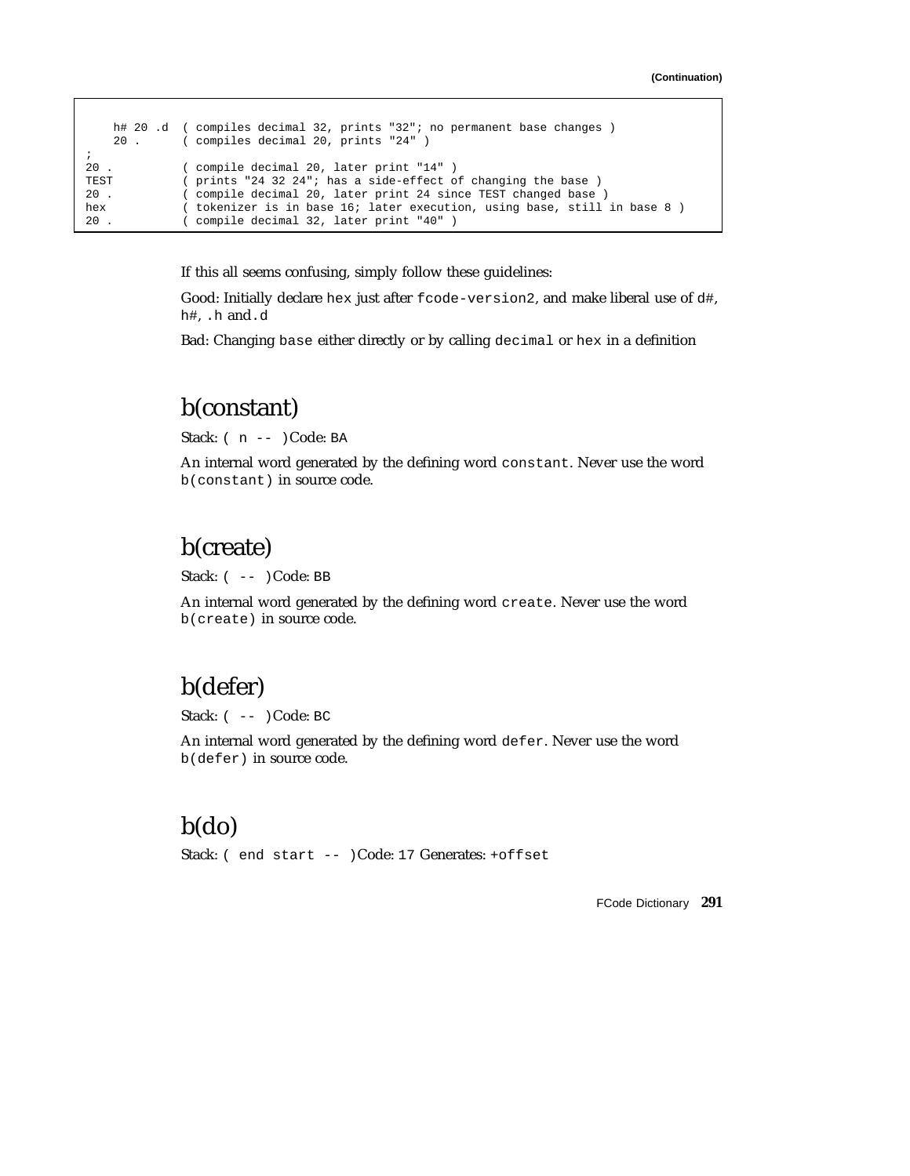```
h# 20 .d ( compiles decimal 32, prints "32"; no permanent base changes )
    20 . ( compiles decimal 20, prints "24" )
;
20 . ( compile decimal 20, later print "14" )<br>TEST ( prints "24 32 24"; has a side-effect o
              ( prints "24 32 24"; has a side-effect of changing the base )
20 . ( compile decimal 20, later print 24 since TEST changed base )
hex ( tokenizer is in base 16; later execution, using base, still in base 8 )
20 . ( compile decimal 32, later print "40" )
```
If this all seems confusing, simply follow these guidelines:

Good: Initially declare hex just after fcode-version2, and make liberal use of d#, h#, .h and.d

Bad: Changing base either directly or by calling decimal or hex in a definition

### b(constant)

Stack: ( n -- )Code: BA

An internal word generated by the defining word constant. Never use the word b(constant) in source code.

### b(create)

Stack:  $(- - )$  Code: BB

An internal word generated by the defining word create. Never use the word b(create) in source code.

### b(defer)

Stack: ( -- )Code: BC

An internal word generated by the defining word defer. Never use the word b(defer) in source code.

### b(do)

Stack: ( end start -- )Code: 17 Generates: +offset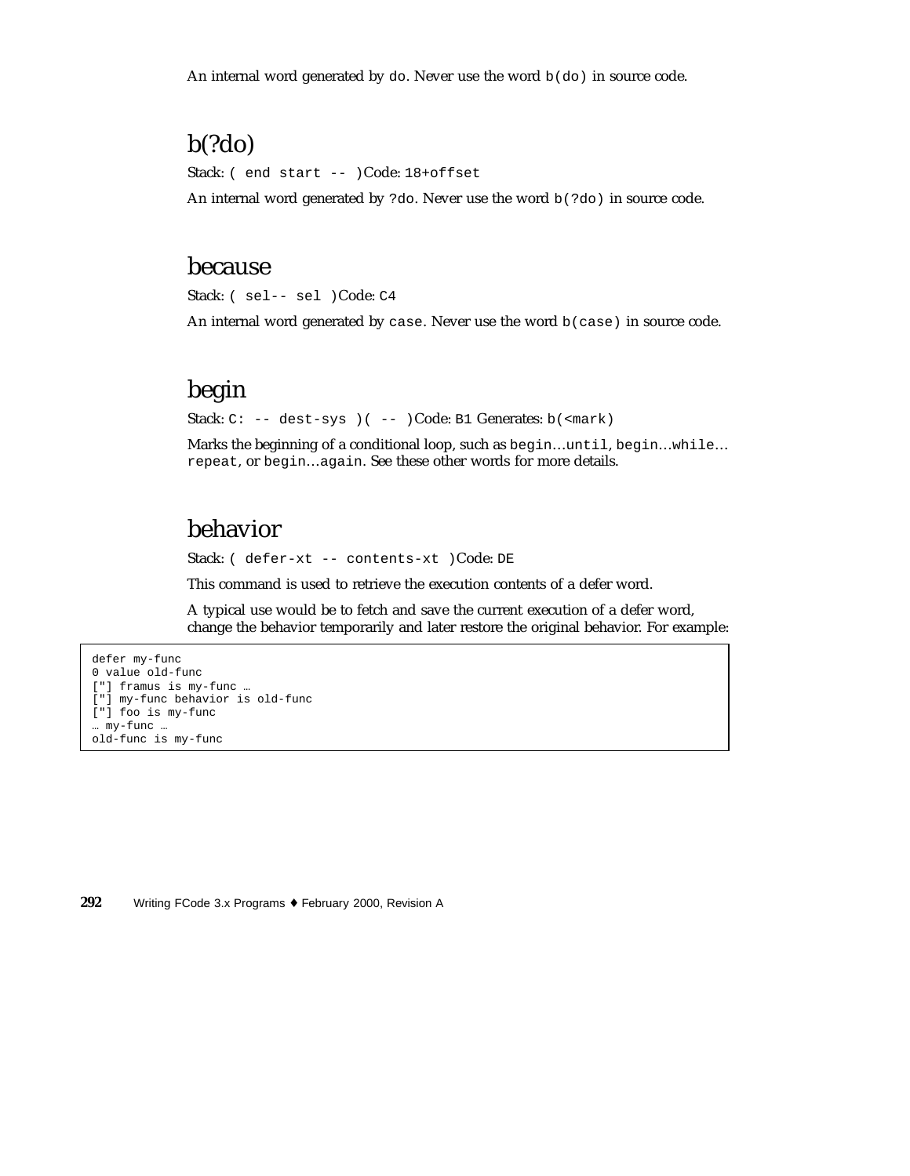An internal word generated by do. Never use the word  $b$ (do) in source code.

## b(?do)

Stack: ( end start -- )Code: 18+offset

An internal word generated by ?do. Never use the word  $b($ ?do) in source code.

#### because

Stack: ( sel-- sel )Code: C4

An internal word generated by case. Never use the word  $b$  (case) in source code.

### begin

Stack: C: -- dest-sys )( -- )Code: B1 Generates: b(<mark)

Marks the beginning of a conditional loop, such as begin…until, begin…while… repeat, or begin…again. See these other words for more details.

### behavior

Stack: ( defer-xt -- contents-xt )Code: DE

This command is used to retrieve the execution contents of a defer word.

A typical use would be to fetch and save the current execution of a defer word, change the behavior temporarily and later restore the original behavior. For example:

```
defer my-func
0 value old-func
["] framus is my-func …
["] my-func behavior is old-func
["] foo is my-func
… my-func …
old-func is my-func
```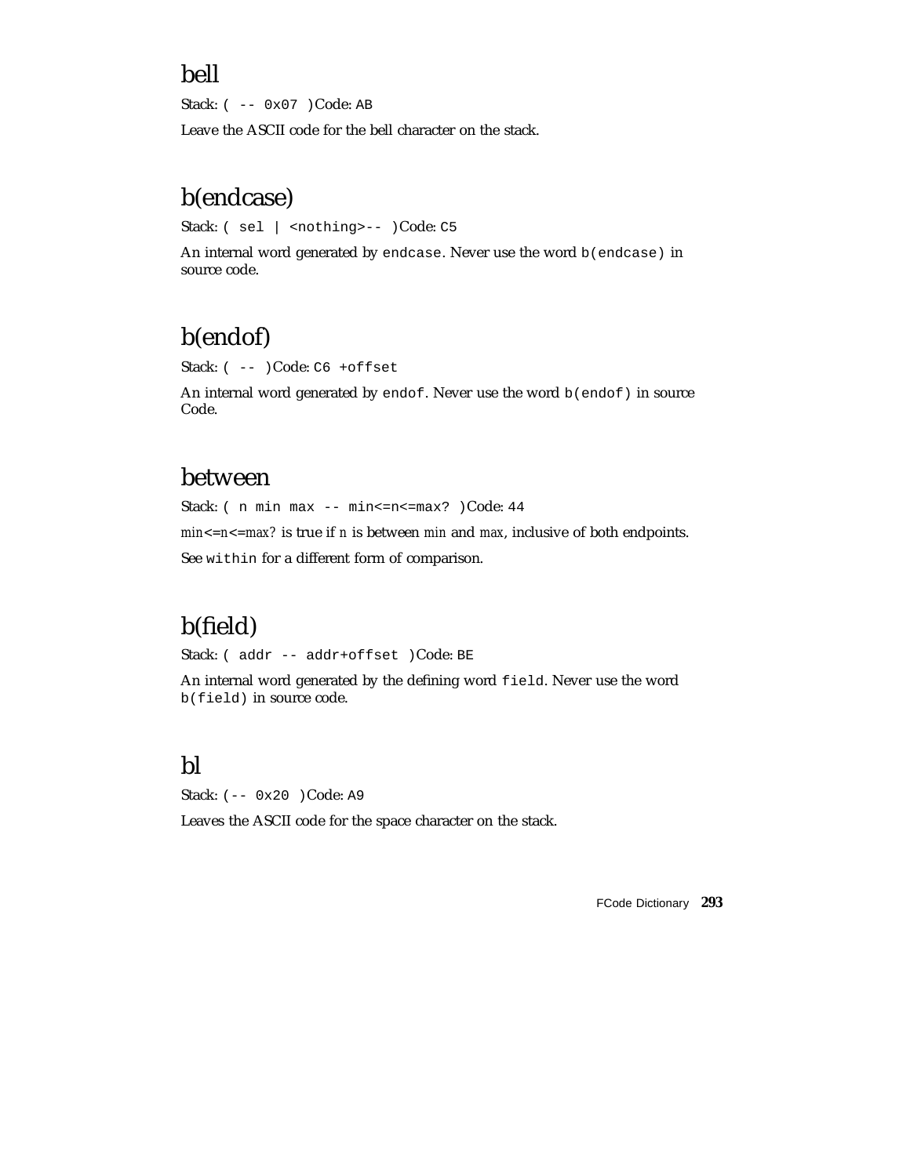### bell

Stack: ( -- 0x07 )Code: AB

Leave the ASCII code for the bell character on the stack.

## b(endcase)

Stack: ( sel | <nothing>-- )Code: C5

An internal word generated by endcase. Never use the word b(endcase) in source code.

# b(endof)

Stack: ( -- )Code: C6 +offset

An internal word generated by endof. Never use the word b(endof) in source Code.

### between

Stack: ( n min max -- min <= n << = max? ) Code: 44

*min<=n<=max?* is true if *n* is between *min* and *max*, inclusive of both endpoints. See within for a different form of comparison.

# b(field)

Stack: ( addr -- addr+offset )Code: BE

An internal word generated by the defining word field. Never use the word b(field) in source code.

## bl

Stack: (-- 0x20 )Code: A9

Leaves the ASCII code for the space character on the stack.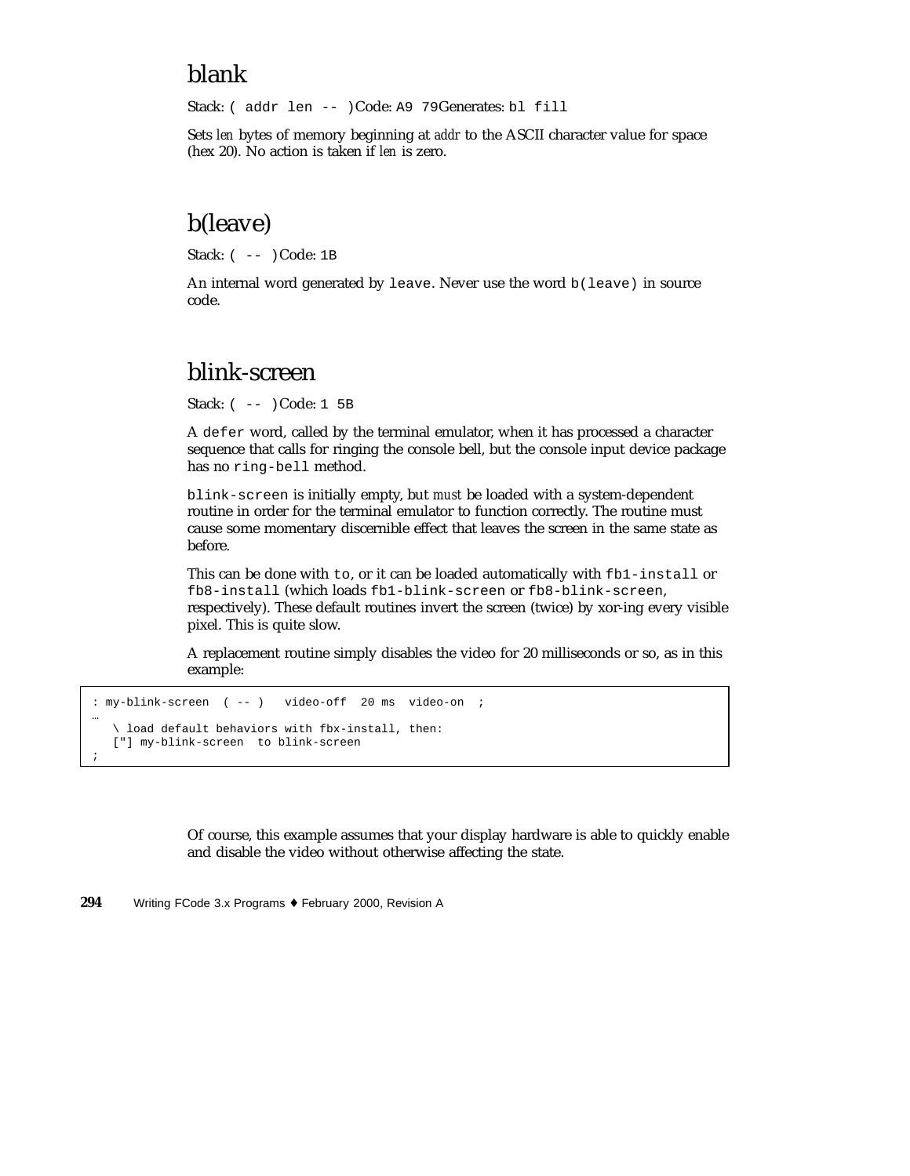### blank

Stack: ( addr len -- )Code: A9 79Generates: bl fill

Sets *len* bytes of memory beginning at *addr* to the ASCII character value for space (hex 20). No action is taken if *len* is zero.

## b(leave)

Stack: ( -- )Code: 1B

An internal word generated by leave. Never use the word b(leave) in source code.

## blink-screen

Stack: ( -- )Code: 1 5B

A defer word, called by the terminal emulator, when it has processed a character sequence that calls for ringing the console bell, but the console input device package has no ring-bell method.

blink-screen is initially empty, but *must* be loaded with a system-dependent routine in order for the terminal emulator to function correctly. The routine must cause some momentary discernible effect that leaves the screen in the same state as before.

This can be done with to, or it can be loaded automatically with fb1-install or fb8-install (which loads fb1-blink-screen or fb8-blink-screen, respectively). These default routines invert the screen (twice) by xor-ing every visible pixel. This is quite slow.

A replacement routine simply disables the video for 20 milliseconds or so, as in this example:

```
: my-blink-screen ( -- ) video-off 20 ms video-on ;
…
   \ load default behaviors with fbx-install, then:
  ["] my-blink-screen to blink-screen
;
```
Of course, this example assumes that your display hardware is able to quickly enable and disable the video without otherwise affecting the state.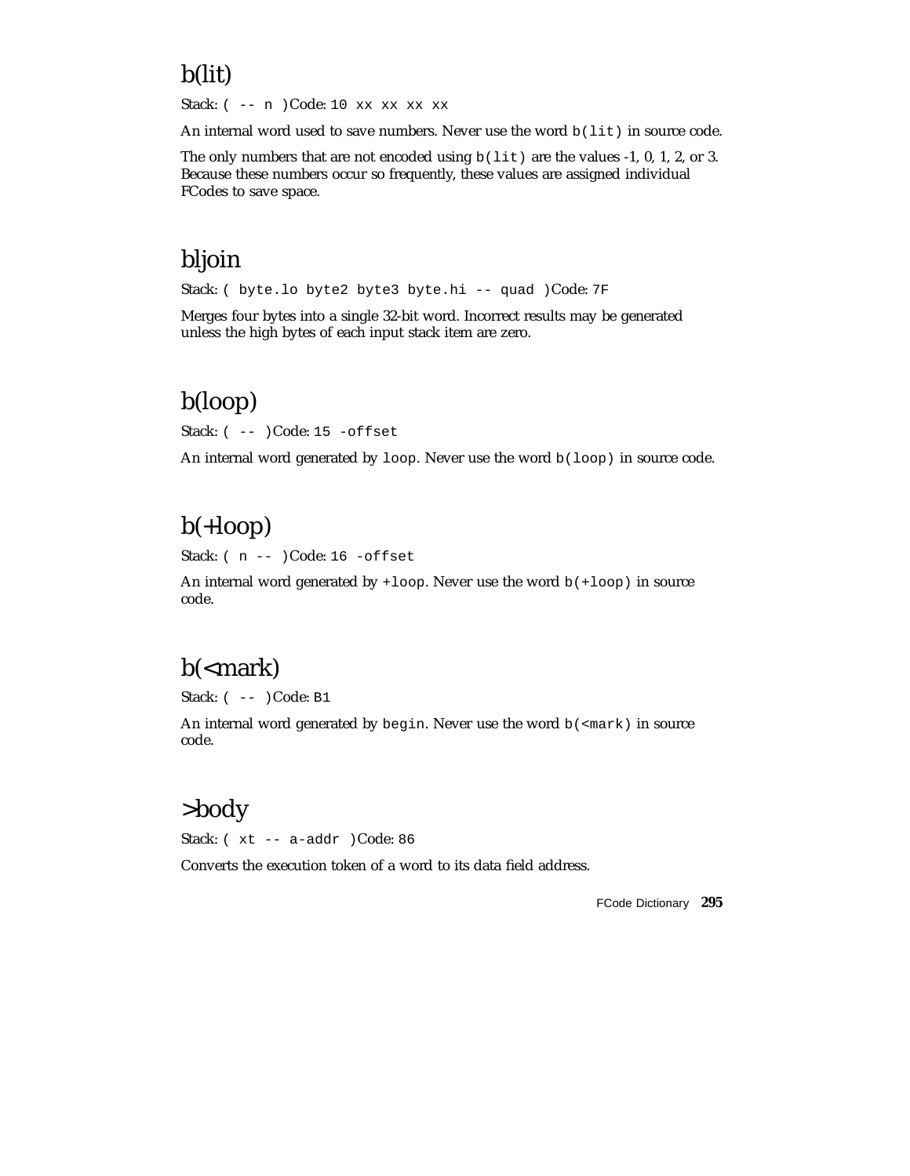## b(lit)

Stack: ( -- n )Code: 10 xx xx xx xx

An internal word used to save numbers. Never use the word  $b(lit)$  in source code.

The only numbers that are not encoded using  $b(lit)$  are the values -1, 0, 1, 2, or 3. Because these numbers occur so frequently, these values are assigned individual FCodes to save space.

### bljoin

Stack: ( byte.lo byte2 byte3 byte.hi -- quad )Code: 7F

Merges four bytes into a single 32-bit word. Incorrect results may be generated unless the high bytes of each input stack item are zero.

# b(loop)

Stack: ( -- )Code: 15 -offset

An internal word generated by  $loop$ . Never use the word  $b(loop)$  in source code.

# b(+loop)

Stack: ( n -- )Code: 16 -offset

An internal word generated by +loop. Never use the word b(+loop) in source code.

## b(<mark)

Stack:  $(- - )$  Code: B1

An internal word generated by begin. Never use the word  $b$  (<mark) in source code.

## >body

Stack: ( xt -- a-addr )Code: 86

Converts the execution token of a word to its data field address.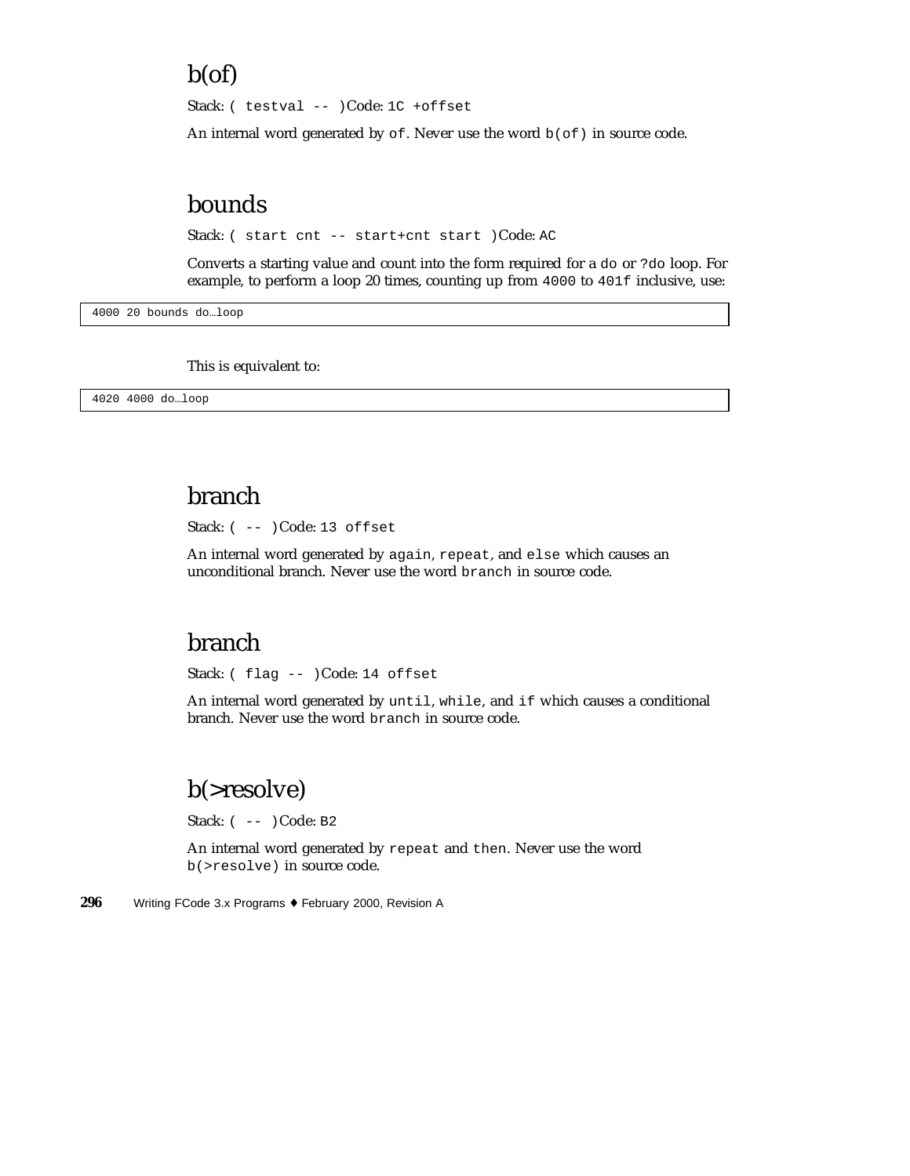### b(of)

Stack: ( testval -- )Code: 1C +offset

An internal word generated by  $\circ$  f. Never use the word  $b(\circ f)$  in source code.

### bounds

Stack: ( start cnt -- start+cnt start )Code: AC

Converts a starting value and count into the form required for a do or ?do loop. For example, to perform a loop 20 times, counting up from 4000 to 401f inclusive, use:

4000 20 bounds do…loop

This is equivalent to:

4020 4000 do…loop

## branch

Stack: ( -- )Code: 13 offset

An internal word generated by again, repeat, and else which causes an unconditional branch. Never use the word branch in source code.

### branch

Stack: ( flag -- )Code: 14 offset

An internal word generated by until, while, and if which causes a conditional branch. Never use the word branch in source code.

## b(>resolve)

Stack: ( -- )Code: B2

An internal word generated by repeat and then. Never use the word b(>resolve) in source code.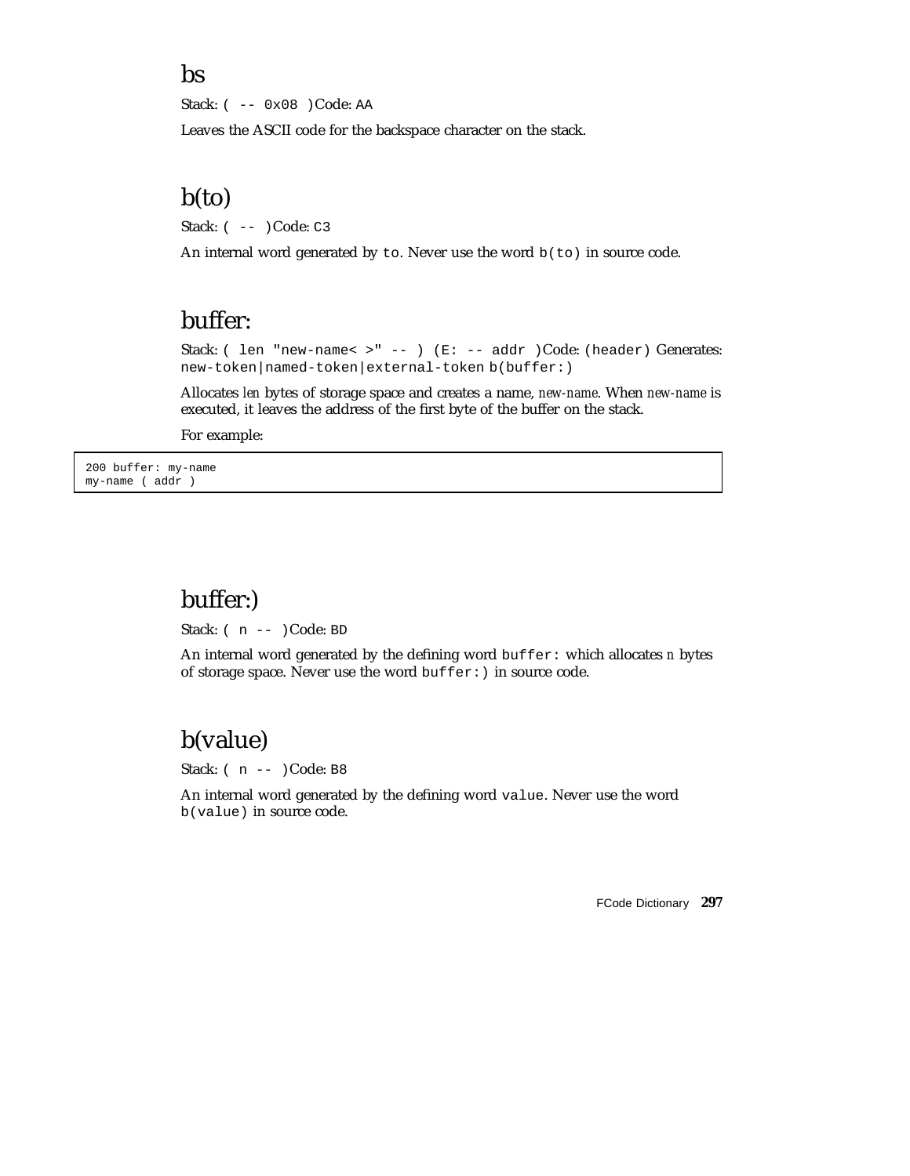#### bs

Stack: ( -- 0x08 )Code: AA

Leaves the ASCII code for the backspace character on the stack.

### b(to)

Stack: ( -- )Code: C3

An internal word generated by to. Never use the word  $b$ (to) in source code.

### buffer:

Stack: ( len "new-name< >" -- ) (E: -- addr )Code: (header) Generates: new-token|named-token|external-token b(buffer:)

Allocates *len* bytes of storage space and creates a name, *new-name*. When *new-name* is executed, it leaves the address of the first byte of the buffer on the stack.

For example:

200 buffer: my-name my-name ( addr )

### buffer:)

Stack: ( n -- )Code: BD

An internal word generated by the defining word buffer: which allocates *n* bytes of storage space. Never use the word buffer:) in source code.

## b(value)

Stack: ( n -- )Code: B8

An internal word generated by the defining word value. Never use the word b(value) in source code.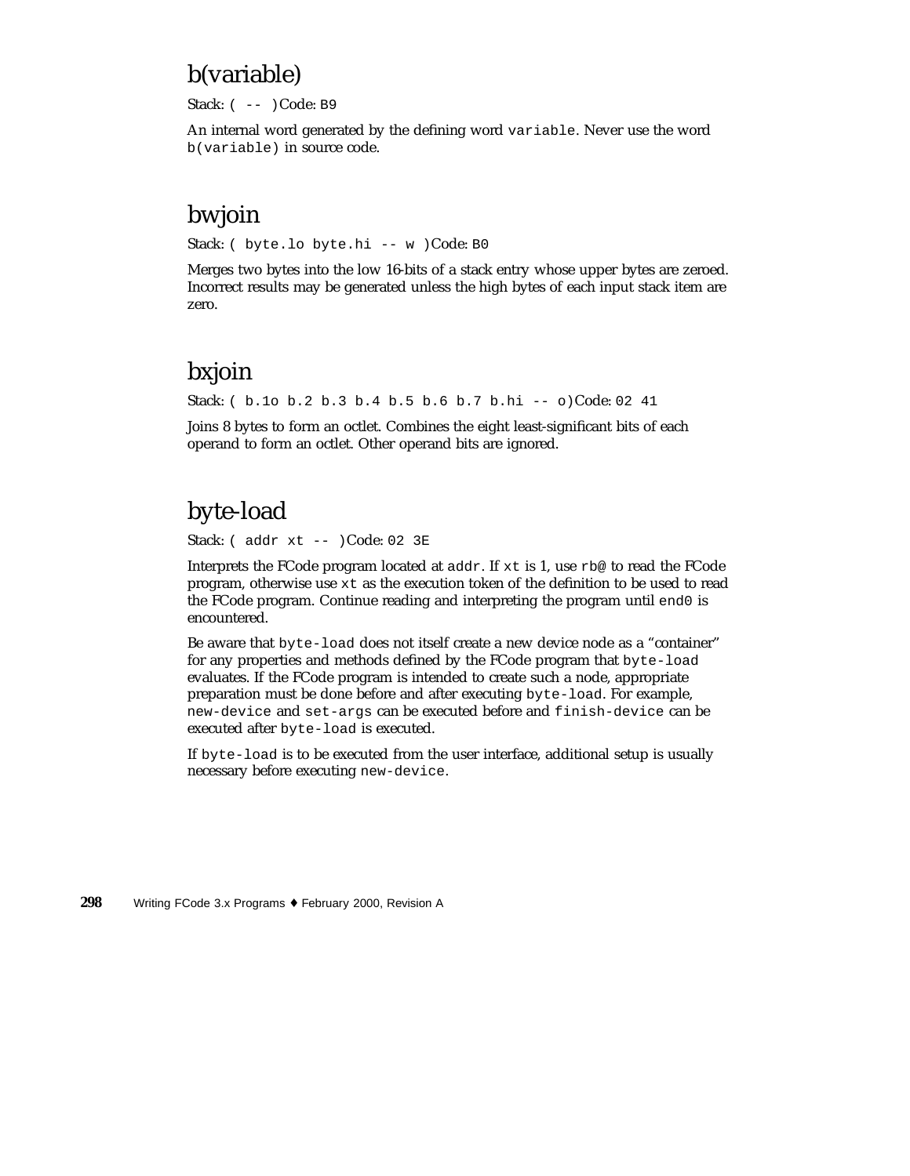## b(variable)

Stack: ( -- )Code: B9

An internal word generated by the defining word variable. Never use the word b(variable) in source code.

## bwjoin

Stack: ( byte.lo byte.hi -- w )Code: B0

Merges two bytes into the low 16-bits of a stack entry whose upper bytes are zeroed. Incorrect results may be generated unless the high bytes of each input stack item are zero.

# bxjoin

Stack: ( b.1o b.2 b.3 b.4 b.5 b.6 b.7 b.hi -- o)Code: 02 41

Joins 8 bytes to form an octlet. Combines the eight least-significant bits of each operand to form an octlet. Other operand bits are ignored.

# byte-load

Stack: ( addr xt -- )Code: 02 3E

Interprets the FCode program located at  $\text{addr}$ . If  $x t$  is 1, use  $r \cdot b$  to read the FCode program, otherwise use xt as the execution token of the definition to be used to read the FCode program. Continue reading and interpreting the program until end0 is encountered.

Be aware that byte-load does not itself create a new device node as a "container" for any properties and methods defined by the FCode program that byte-load evaluates. If the FCode program is intended to create such a node, appropriate preparation must be done before and after executing byte-load. For example, new-device and set-args can be executed before and finish-device can be executed after byte-load is executed.

If byte-load is to be executed from the user interface, additional setup is usually necessary before executing new-device.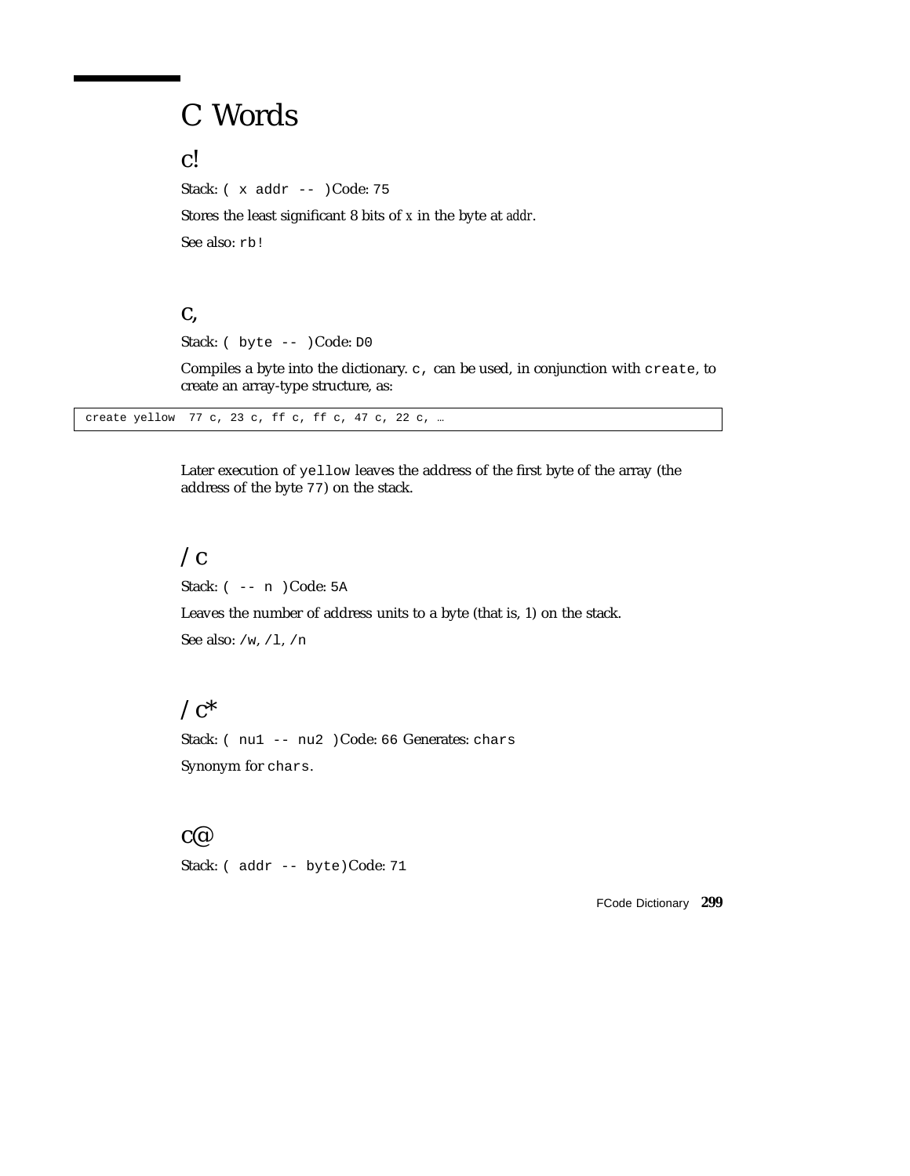# C Words

c!

Stack: ( x addr -- )Code: 75

Stores the least significant 8 bits of *x* in the byte at *addr*.

See also: rb!

#### c,

Stack: ( byte -- )Code: D0

Compiles a byte into the dictionary.  $c$ , can be used, in conjunction with create, to create an array-type structure, as:

create yellow 77 c, 23 c, ff c, ff c, 47 c, 22 c, …

Later execution of yellow leaves the address of the first byte of the array (the address of the byte 77) on the stack.

### $\sqrt{c}$

Stack: ( -- n )Code: 5A Leaves the number of address units to a byte (that is, 1) on the stack. See also: /w, /l, /n

#### $\angle$ c<sup>\*</sup>

Stack: (nu1 -- nu2 )Code: 66 Generates: chars Synonym for chars.

#### c@

Stack: ( addr -- byte)Code: 71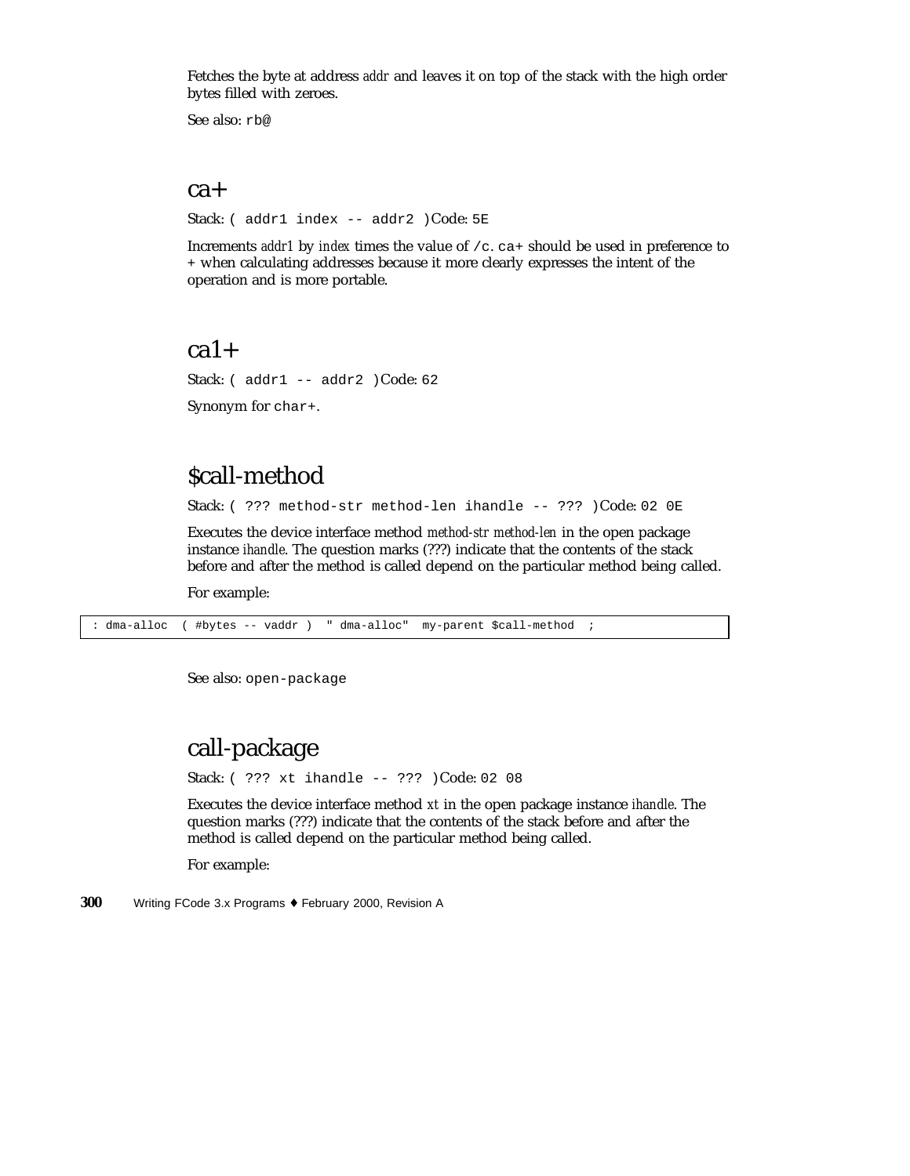Fetches the byte at address *addr* and leaves it on top of the stack with the high order bytes filled with zeroes.

See also: rb@

#### ca+

Stack: ( addr1 index -- addr2 )Code: 5E

Increments *addr1* by *index* times the value of /c. ca+ should be used in preference to + when calculating addresses because it more clearly expresses the intent of the operation and is more portable.

#### $ca1+$

Stack: ( addr1 -- addr2 )Code: 62

Synonym for char+.

### \$call-method

Stack: ( ??? method-str method-len ihandle -- ??? )Code: 02 0E

Executes the device interface method *method-str method-len* in the open package instance *ihandle*. The question marks (???) indicate that the contents of the stack before and after the method is called depend on the particular method being called.

For example:

: dma-alloc ( #bytes -- vaddr ) " dma-alloc" my-parent \$call-method ;

See also: open-package

### call-package

Stack: ( ??? xt ihandle -- ??? )Code: 02 08

Executes the device interface method *xt* in the open package instance *ihandle*. The question marks (???) indicate that the contents of the stack before and after the method is called depend on the particular method being called.

For example: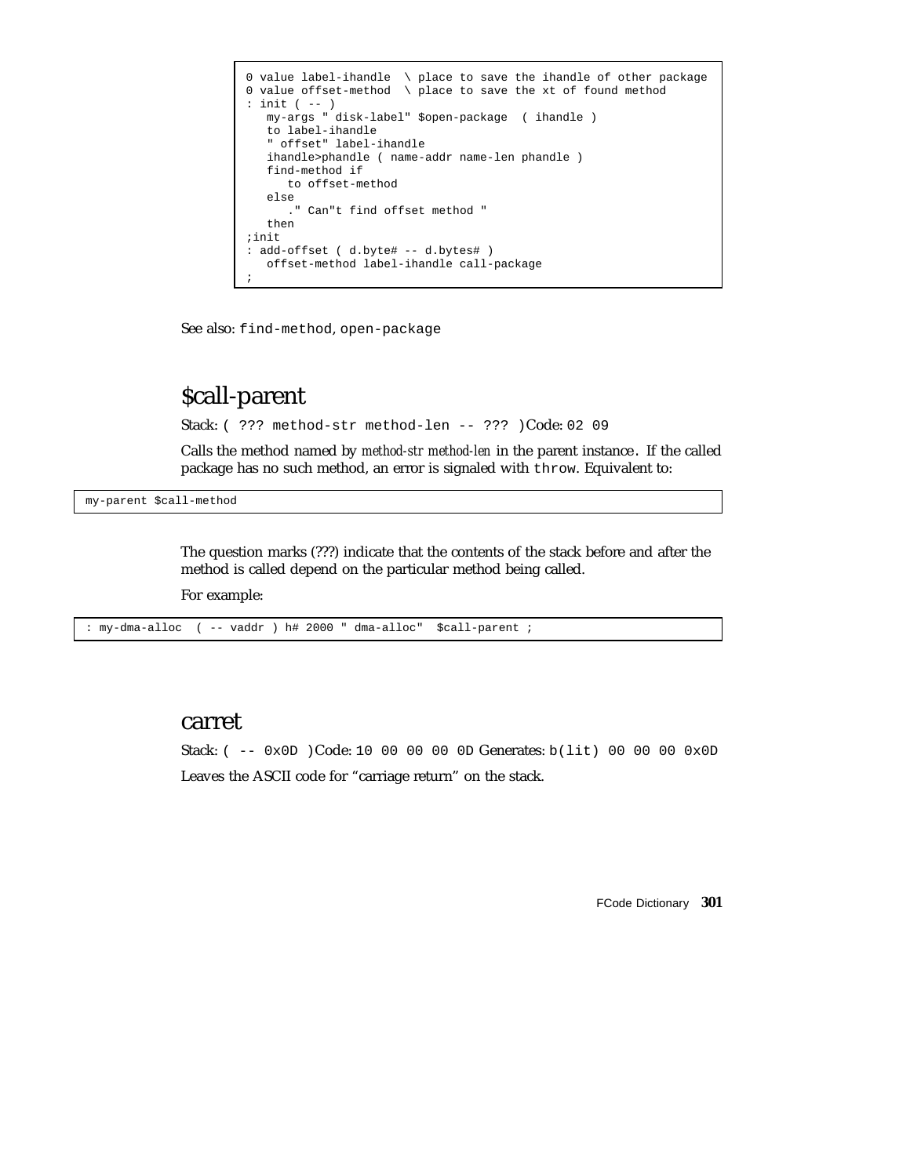```
0 value label-ihandle \ place to save the ihandle of other package
0 value offset-method \setminus place to save the xt of found method
: init ( -- )
  my-args " disk-label" $open-package ( ihandle )
   to label-ihandle
   " offset" label-ihandle
   ihandle>phandle ( name-addr name-len phandle )
   find-method if
      to offset-method
   else
      ." Can"t find offset method "
   then
;init
: add-offset ( d.byte# -- d.bytes# )
  offset-method label-ihandle call-package
;
```
See also: find-method, open-package

# \$call-parent

Stack: ( ??? method-str method-len -- ??? )Code: 02 09

Calls the method named by *method-str method-len* in the parent instance. If the called package has no such method, an error is signaled with throw. Equivalent to:

my-parent \$call-method

The question marks (???) indicate that the contents of the stack before and after the method is called depend on the particular method being called.

For example:

: my-dma-alloc ( -- vaddr ) h# 2000 " dma-alloc" \$call-parent ;

#### carret

Stack:  $(- - 0x0D)Code: 10 00 00 00 0D Generates: b(lit) 00 00 00 0x0D$ Leaves the ASCII code for "carriage return" on the stack.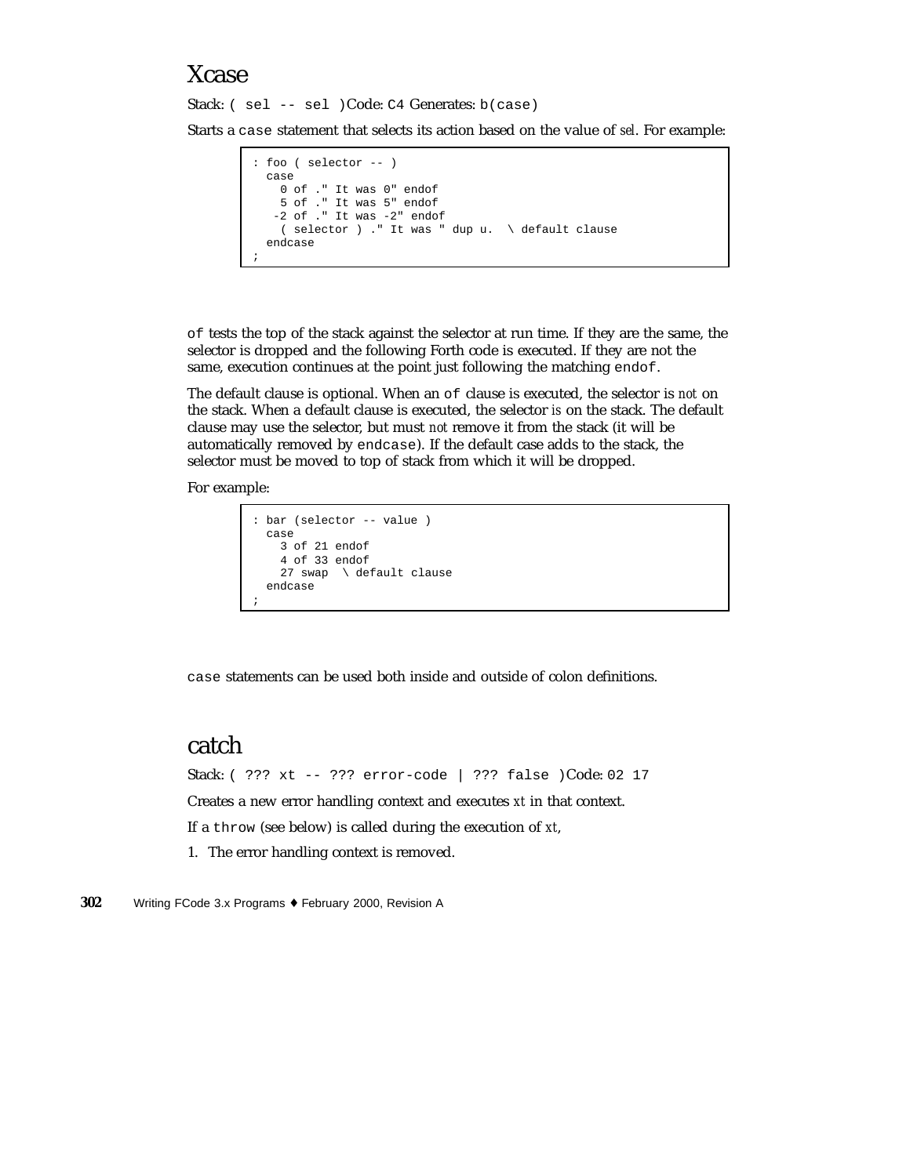### Xcase

Stack: ( sel -- sel )Code: C4 Generates: b(case)

Starts a case statement that selects its action based on the value of *sel*. For example:

```
: foo ( selector -- )
 case
   0 of ." It was 0" endof
   5 of ." It was 5" endof
  -2 of ." It was -2" endof
   ( selector ) ." It was " dup u. \ default clause
  endcase
;
```
of tests the top of the stack against the selector at run time. If they are the same, the selector is dropped and the following Forth code is executed. If they are not the same, execution continues at the point just following the matching endof.

The default clause is optional. When an of clause is executed, the selector is *not* on the stack. When a default clause is executed, the selector *is* on the stack. The default clause may use the selector, but must *not* remove it from the stack (it will be automatically removed by endcase). If the default case adds to the stack, the selector must be moved to top of stack from which it will be dropped.

For example:

```
: bar (selector -- value )
 case
   3 of 21 endof
    4 of 33 endof
   27 swap \ default clause
  endcase
;
```
case statements can be used both inside and outside of colon definitions.

### catch

Stack: ( ??? xt -- ??? error-code | ??? false )Code: 02 17 Creates a new error handling context and executes *xt* in that context. If a throw (see below) is called during the execution of *xt*,

1. The error handling context is removed.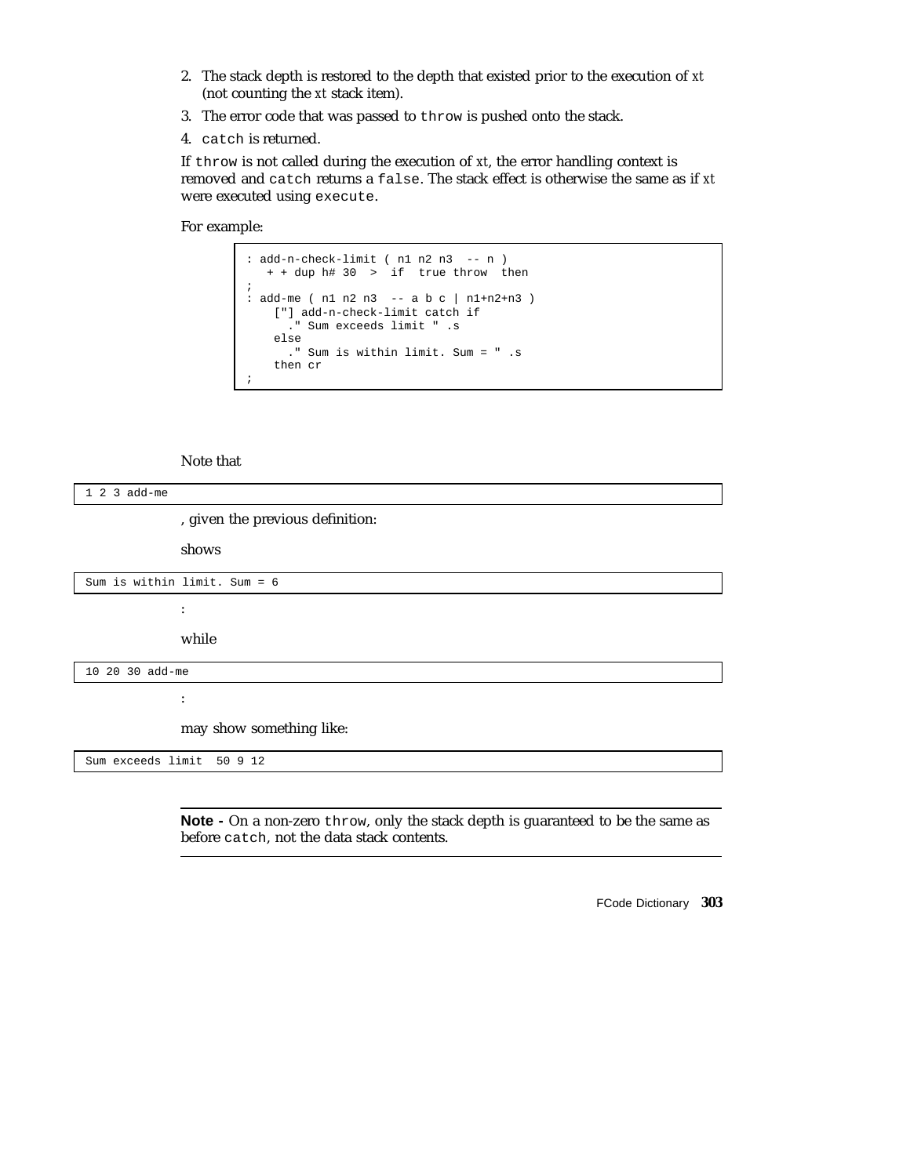- 2. The stack depth is restored to the depth that existed prior to the execution of *xt* (not counting the *xt* stack item).
- 3. The error code that was passed to throw is pushed onto the stack.
- 4. catch is returned.

If throw is not called during the execution of *xt*, the error handling context is removed and catch returns a false. The stack effect is otherwise the same as if *xt* were executed using execute.

For example:

```
: add-n-check-limit ( n1 n2 n3 -- n )
   + + dup h# 30 > if true throw then
;
: add-me ( n1 n2 n3 -- a b c | n1+n2+n3 )
   ["] add-n-check-limit catch if
      ." Sum exceeds limit " .s
   else
     ." Sum is within limit. Sum = " .s
   then cr
;
```
#### Note that

| $123$ add-me                   |                                  |  |
|--------------------------------|----------------------------------|--|
|                                | , given the previous definition: |  |
|                                | shows                            |  |
| Sum is within limit. Sum = $6$ |                                  |  |
| $\ddot{\cdot}$                 |                                  |  |
|                                | while                            |  |
| 10 20 30 add-me                |                                  |  |
| ٠<br>$\bullet$                 |                                  |  |
| may show something like:       |                                  |  |
| Sum exceeds limit 50 9 12      |                                  |  |
|                                |                                  |  |

**Note -** On a non-zero throw, only the stack depth is guaranteed to be the same as before catch, not the data stack contents.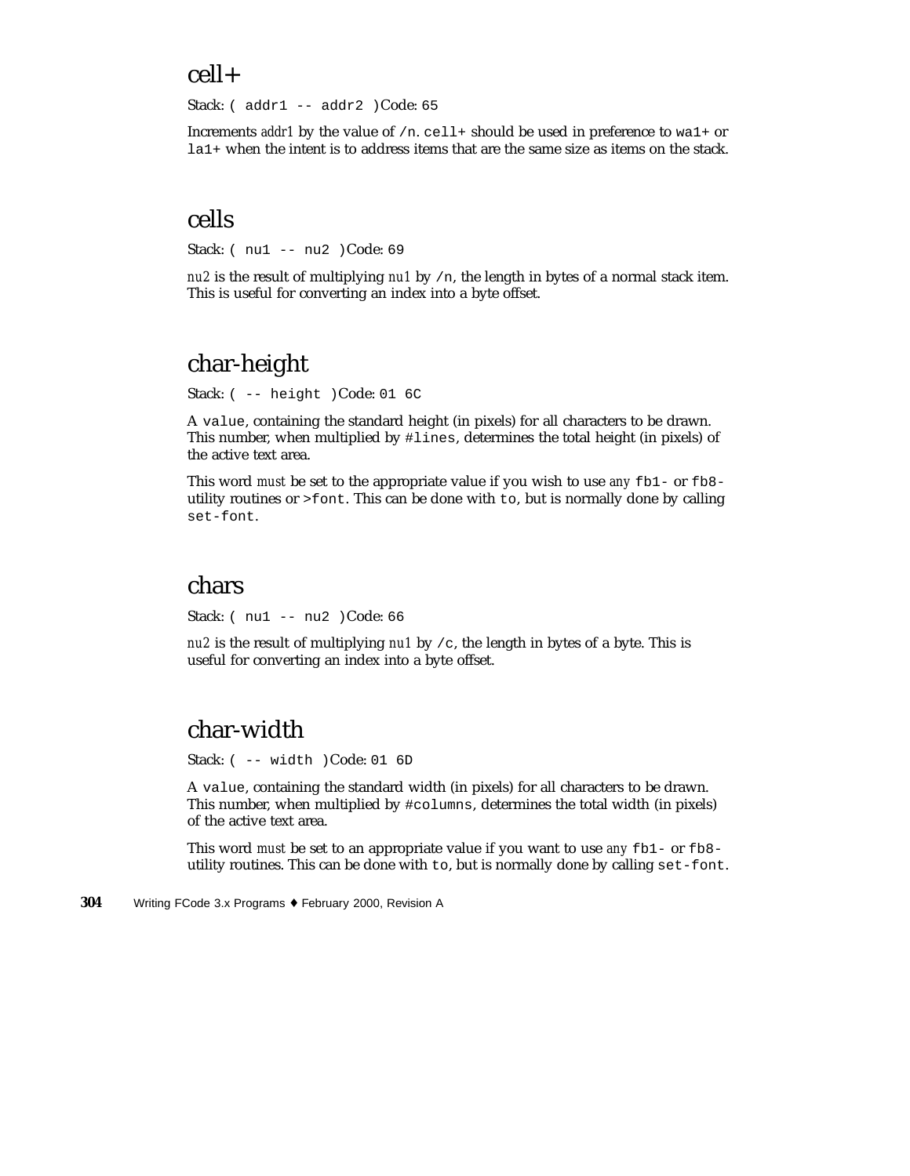### cell+

Stack: ( addr1 -- addr2 )Code: 65

Increments *addr1* by the value of /n. cell+ should be used in preference to wa1+ or la1+ when the intent is to address items that are the same size as items on the stack.

### cells

Stack: ( nu1 -- nu2 )Code: 69

*nu2* is the result of multiplying *nu1* by /n, the length in bytes of a normal stack item. This is useful for converting an index into a byte offset.

## char-height

Stack: ( -- height )Code: 01 6C

A value, containing the standard height (in pixels) for all characters to be drawn. This number, when multiplied by #lines, determines the total height (in pixels) of the active text area.

This word *must* be set to the appropriate value if you wish to use *any* fb1- or fb8 utility routines or >font. This can be done with to, but is normally done by calling set-font.

#### chars

Stack: ( nu1 -- nu2 )Code: 66

*nu2* is the result of multiplying *nu1* by /c, the length in bytes of a byte. This is useful for converting an index into a byte offset.

## char-width

Stack: ( -- width )Code: 01 6D

A value, containing the standard width (in pixels) for all characters to be drawn. This number, when multiplied by #columns, determines the total width (in pixels) of the active text area.

This word *must* be set to an appropriate value if you want to use *any* fb1- or fb8 utility routines. This can be done with to, but is normally done by calling set-font.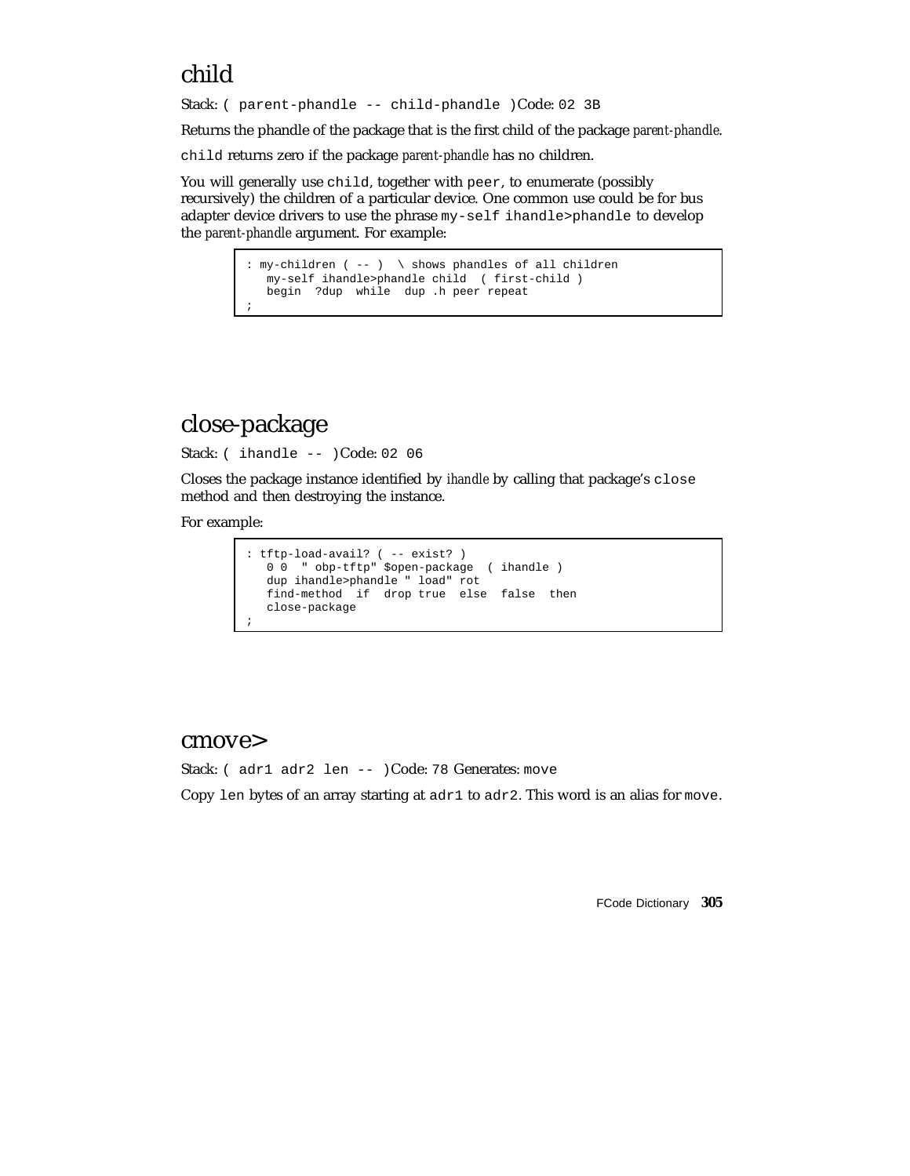## child

Stack: ( parent-phandle -- child-phandle )Code: 02 3B

Returns the phandle of the package that is the first child of the package *parent-phandle*.

child returns zero if the package *parent-phandle* has no children.

You will generally use child, together with peer, to enumerate (possibly recursively) the children of a particular device. One common use could be for bus adapter device drivers to use the phrase my-self ihandle>phandle to develop the *parent-phandle* argument. For example:

> : my-children ( -- ) \ shows phandles of all children my-self ihandle>phandle child ( first-child ) begin ?dup while dup .h peer repeat ;

## close-package

Stack: ( ihandle -- )Code: 02 06

Closes the package instance identified by *ihandle* by calling that package's close method and then destroying the instance.

For example:

```
: tftp-load-avail? ( -- exist? )
  0 0 " obp-tftp" $open-package ( ihandle )
  dup ihandle>phandle " load" rot
  find-method if drop true else false then
  close-package
;
```
#### cmove>

Stack: ( adr1 adr2 len -- )Code: 78 Generates: move

Copy len bytes of an array starting at  $adr1$  to  $adr2$ . This word is an alias for move.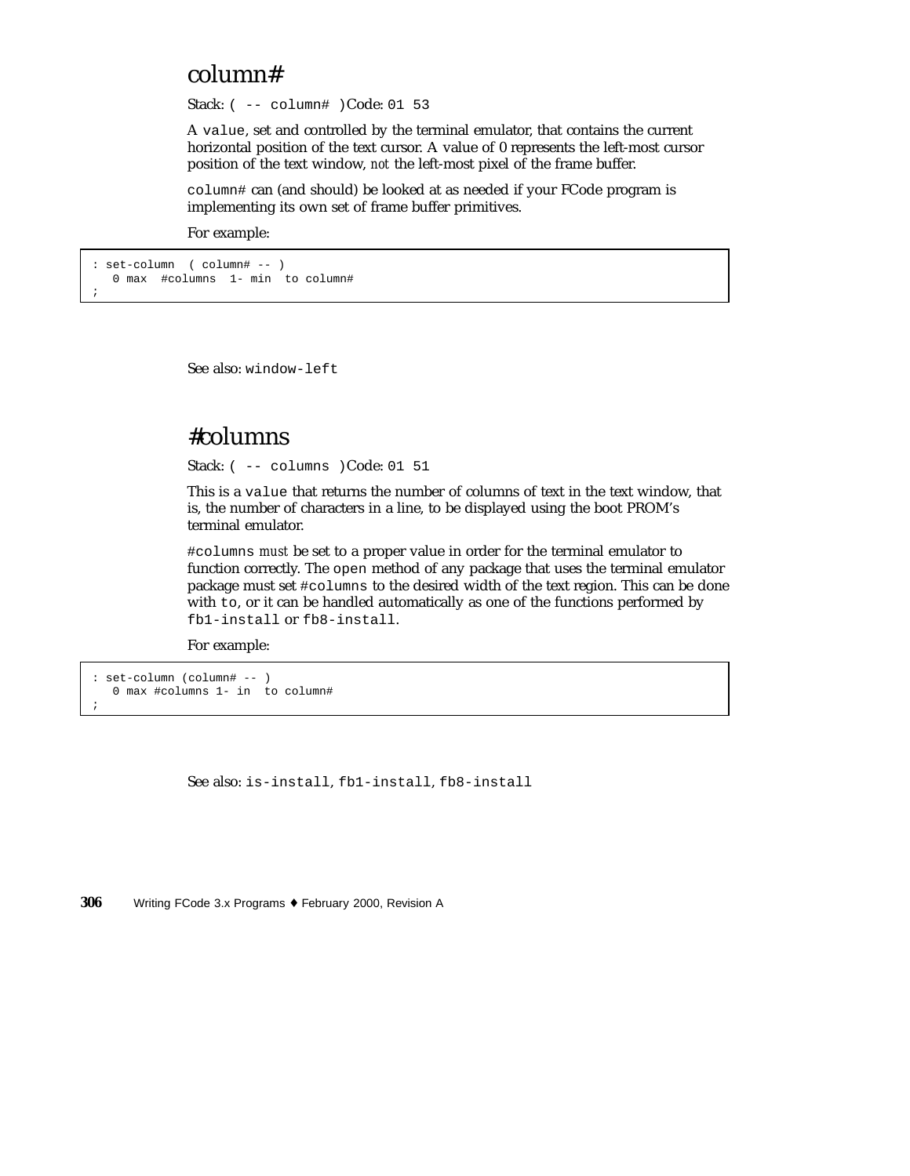### column#

Stack: ( -- column# )Code: 01 53

A value, set and controlled by the terminal emulator, that contains the current horizontal position of the text cursor. A value of 0 represents the left-most cursor position of the text window, *not* the left-most pixel of the frame buffer.

column# can (and should) be looked at as needed if your FCode program is implementing its own set of frame buffer primitives.

For example:

```
: set-column ( column# -- )
  0 max #columns 1- min to column#
```
;

See also: window-left

### #columns

Stack: ( -- columns )Code: 01 51

This is a value that returns the number of columns of text in the text window, that is, the number of characters in a line, to be displayed using the boot PROM's terminal emulator.

#columns *must* be set to a proper value in order for the terminal emulator to function correctly. The open method of any package that uses the terminal emulator package must set #columns to the desired width of the text region. This can be done with to, or it can be handled automatically as one of the functions performed by fb1-install or fb8-install.

For example:

```
: set-column (column# -- )
  0 max #columns 1- in to column#
;
```
See also: is-install, fb1-install, fb8-install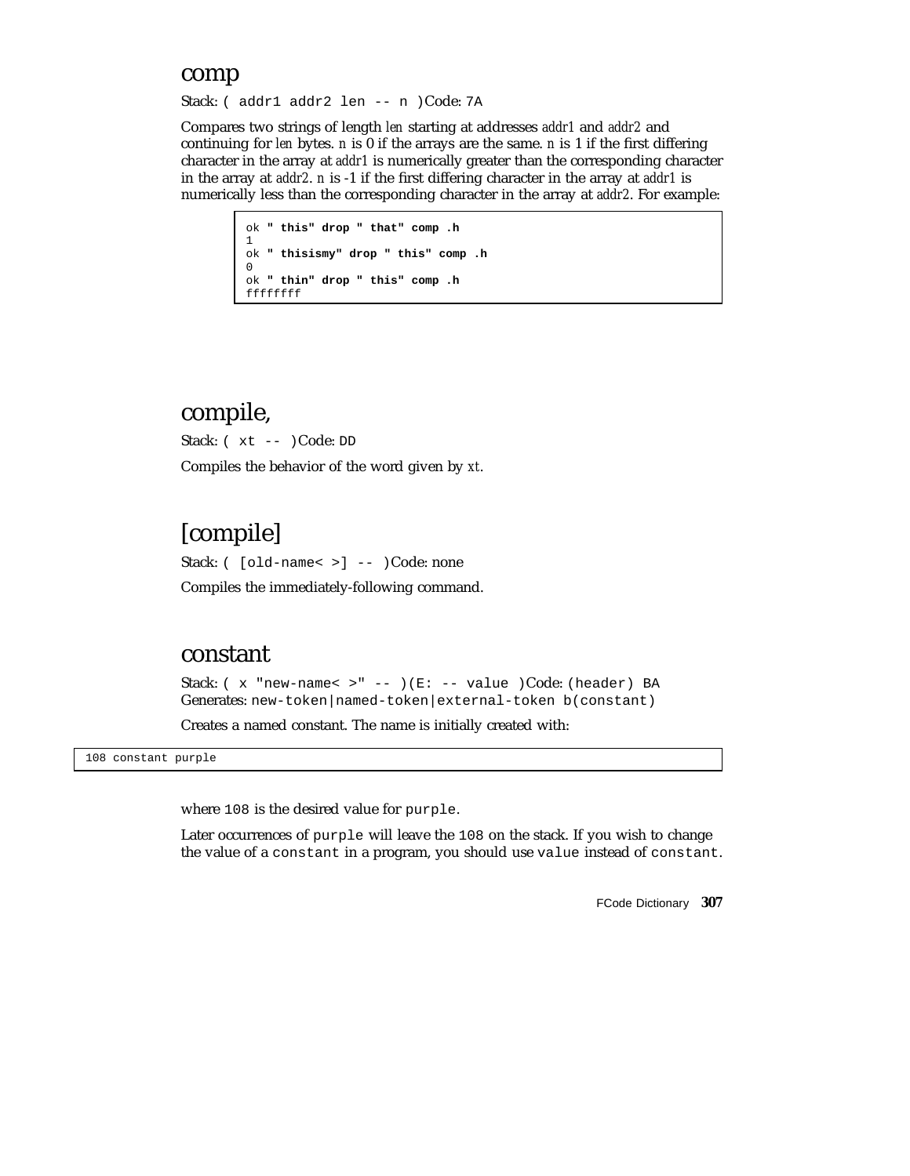#### comp

Stack: ( addr1 addr2 len -- n )Code: 7A

Compares two strings of length *len* starting at addresses *addr1* and *addr2* and continuing for *len* bytes. *n* is 0 if the arrays are the same. *n* is 1 if the first differing character in the array at *addr1* is numerically greater than the corresponding character in the array at *addr2*. *n* is -1 if the first differing character in the array at *addr1* is numerically less than the corresponding character in the array at *addr2*. For example:

```
ok " this" drop " that" comp .h
1
ok " thisismy" drop " this" comp .h
\Omegaok " thin" drop " this" comp .h
ffffffff
```
### compile,

Stack: ( xt -- )Code: DD Compiles the behavior of the word given by *xt*.

## [compile]

Stack: ( [old-name< >] -- )Code: none Compiles the immediately-following command.

#### constant

Stack: ( x "new-name< >" -- )(E: -- value )Code: (header) BA Generates: new-token|named-token|external-token b(constant)

Creates a named constant. The name is initially created with:

108 constant purple

where 108 is the desired value for purple.

Later occurrences of purple will leave the 108 on the stack. If you wish to change the value of a constant in a program, you should use value instead of constant.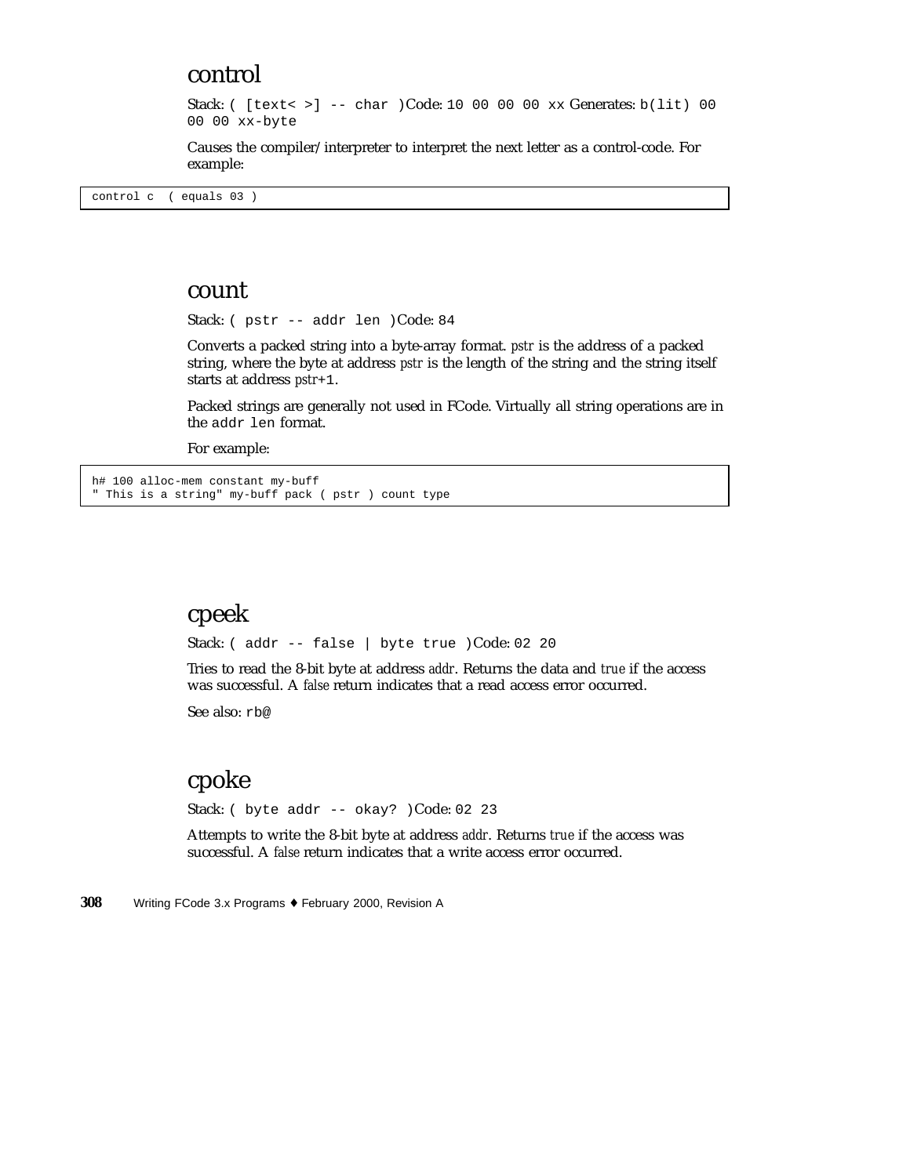#### control

Stack: ( [text< >] -- char )Code: 10 00 00 00 xx Generates: b(lit) 00 00 00 xx-byte

Causes the compiler/interpreter to interpret the next letter as a control-code. For example:

control c ( equals 03 )

#### count

Stack: ( pstr -- addr len )Code: 84

Converts a packed string into a byte-array format. *pstr* is the address of a packed string, where the byte at address *pstr* is the length of the string and the string itself starts at address *pstr*+1.

Packed strings are generally not used in FCode. Virtually all string operations are in the addr len format.

For example:

h# 100 alloc-mem constant my-buff " This is a string" my-buff pack ( pstr ) count type

### cpeek

Stack: ( addr -- false | byte true )Code: 02 20

Tries to read the 8-bit byte at address *addr*. Returns the data and *true* if the access was successful. A *false* return indicates that a read access error occurred.

See also: rb@

### cpoke

Stack: ( byte addr -- okay? )Code: 02 23

Attempts to write the 8-bit byte at address *addr*. Returns *true* if the access was successful. A *false* return indicates that a write access error occurred.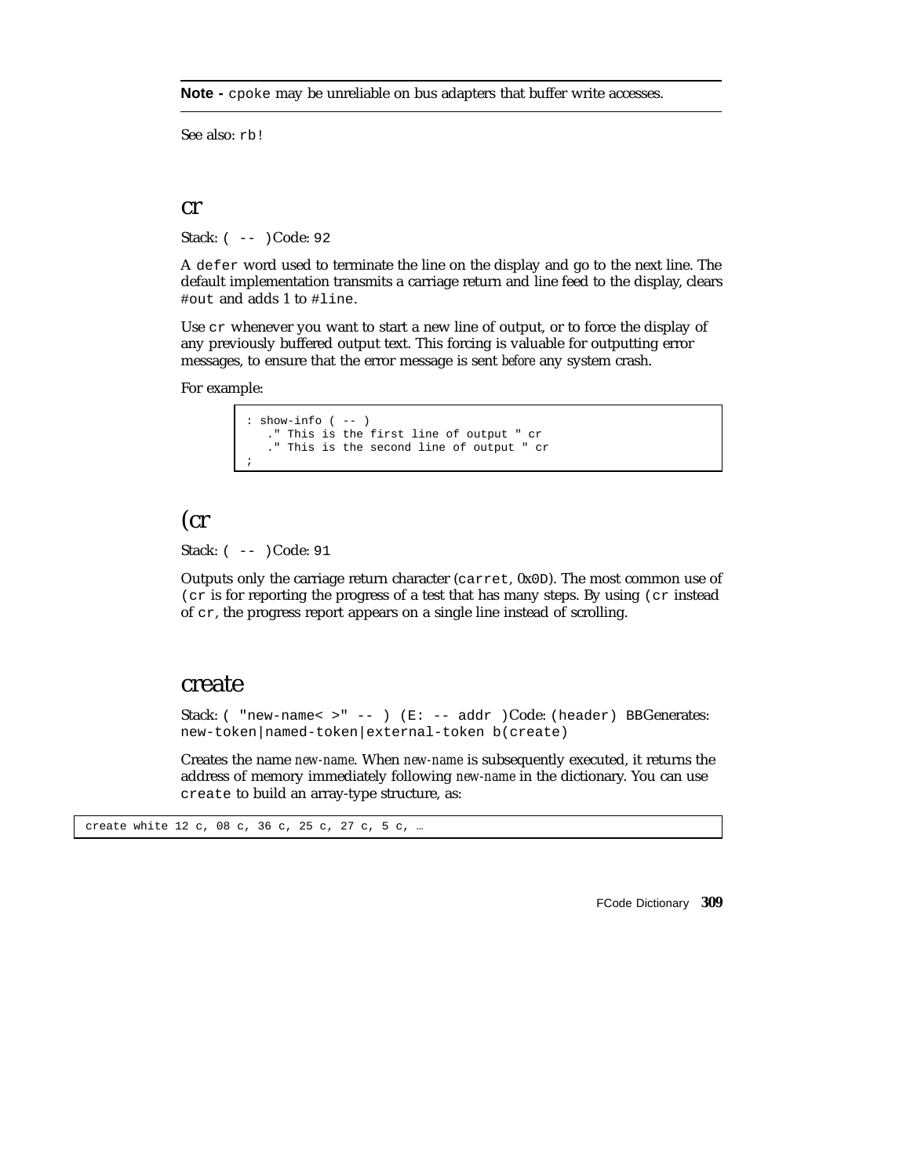**Note -** cpoke may be unreliable on bus adapters that buffer write accesses.

See also: rb!

#### cr

Stack: ( -- )Code: 92

A defer word used to terminate the line on the display and go to the next line. The default implementation transmits a carriage return and line feed to the display, clears #out and adds 1 to #line.

Use cr whenever you want to start a new line of output, or to force the display of any previously buffered output text. This forcing is valuable for outputting error messages, to ensure that the error message is sent *before* any system crash.

For example:

```
: show-info ( -- )
   ." This is the first line of output " cr
   ." This is the second line of output " cr
;
```
### (cr

Stack: ( -- )Code: 91

Outputs only the carriage return character (carret, 0x0D). The most common use of ( $cr$  is for reporting the progress of a test that has many steps. By using ( $cr$  instead of cr, the progress report appears on a single line instead of scrolling.

#### create

Stack: ( "new-name< >" -- ) (E: -- addr )Code: (header) BBGenerates: new-token|named-token|external-token b(create)

Creates the name *new-name*. When *new-name* is subsequently executed, it returns the address of memory immediately following *new-name* in the dictionary. You can use create to build an array-type structure, as:

create white 12 c, 08 c, 36 c, 25 c, 27 c, 5 c, …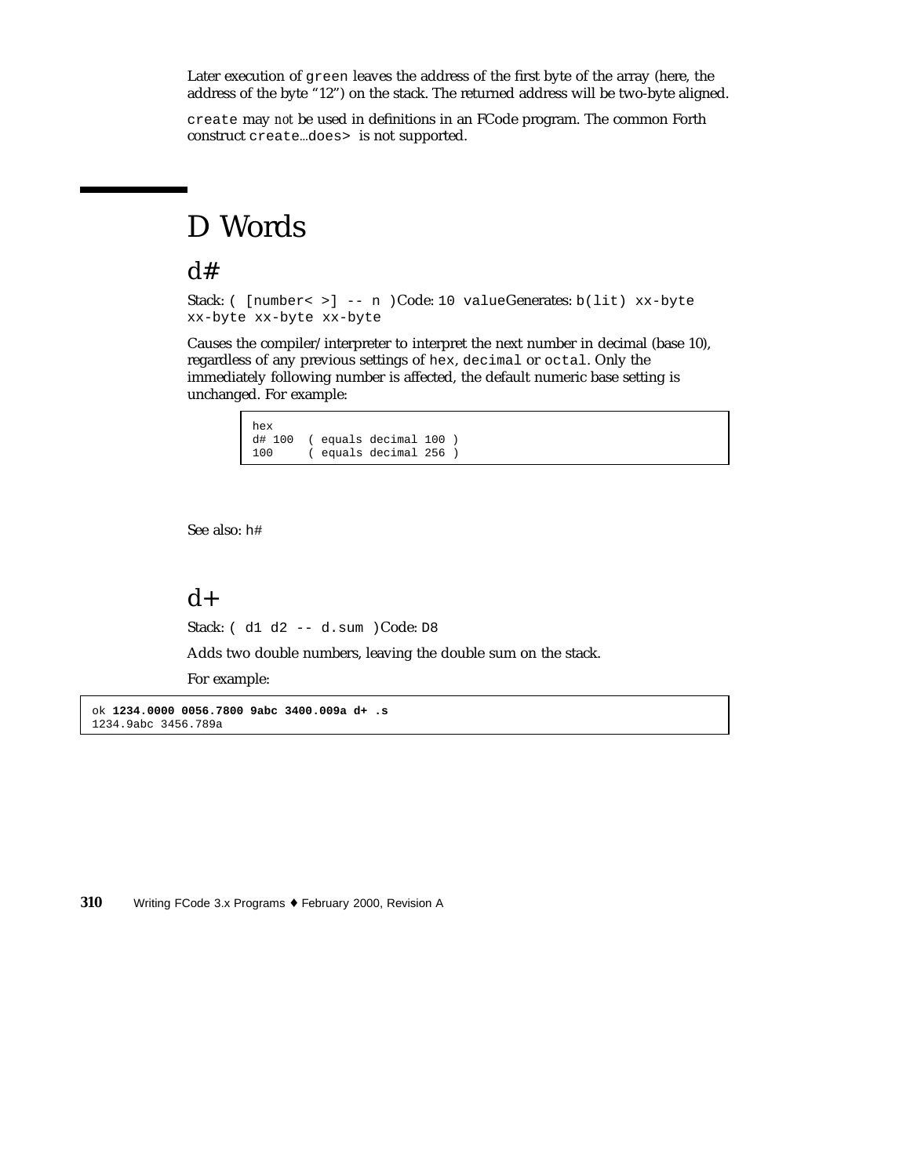Later execution of green leaves the address of the first byte of the array (here, the address of the byte "12") on the stack. The returned address will be two-byte aligned.

create may *not* be used in definitions in an FCode program. The common Forth construct create…does> is not supported.

# D Words

### $d#$

Stack: ( [number< >] -- n )Code: 10 valueGenerates: b(lit) xx-byte xx-byte xx-byte xx-byte

Causes the compiler/interpreter to interpret the next number in decimal (base 10), regardless of any previous settings of hex, decimal or octal. Only the immediately following number is affected, the default numeric base setting is unchanged. For example:

| hex |  |                               |  |
|-----|--|-------------------------------|--|
|     |  | $d# 100$ (equals decimal 100) |  |
| 100 |  | ( equals decimal 256 )        |  |

See also: h#

### $d+$

Stack: ( d1 d2 -- d.sum )Code: D8

Adds two double numbers, leaving the double sum on the stack.

For example:

ok **1234.0000 0056.7800 9abc 3400.009a d+ .s** 1234.9abc 3456.789a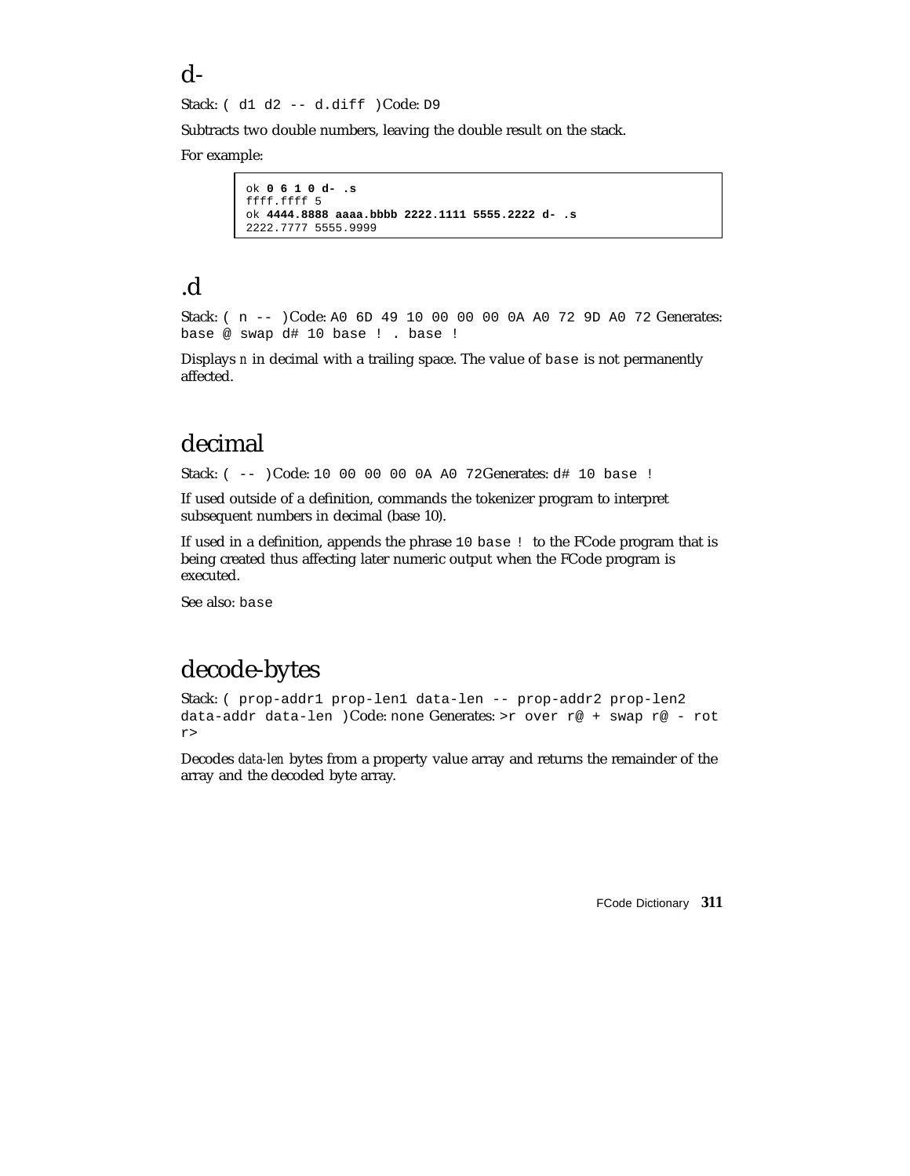#### d-

Stack: ( d1 d2 -- d.diff )Code: D9

Subtracts two double numbers, leaving the double result on the stack.

For example:

```
ok 0 6 1 0 d- .s
ffff.ffff 5
ok 4444.8888 aaaa.bbbb 2222.1111 5555.2222 d- .s
2222.7777 5555.9999
```
### .d

Stack: ( n -- )Code: A0 6D 49 10 00 00 00 0A A0 72 9D A0 72 Generates: base @ swap d# 10 base ! . base !

Displays *n* in decimal with a trailing space. The value of base is not permanently affected.

### decimal

Stack: ( -- )Code: 10 00 00 00 0A A0 72Generates: d# 10 base !

If used outside of a definition, commands the tokenizer program to interpret subsequent numbers in decimal (base 10).

If used in a definition, appends the phrase 10 base ! to the FCode program that is being created thus affecting later numeric output when the FCode program is executed.

See also: base

## decode-bytes

Stack: ( prop-addr1 prop-len1 data-len -- prop-addr2 prop-len2 data-addr data-len )Code: none Generates: >r over r@ + swap r@ - rot r>

Decodes *data-len* bytes from a property value array and returns the remainder of the array and the decoded byte array.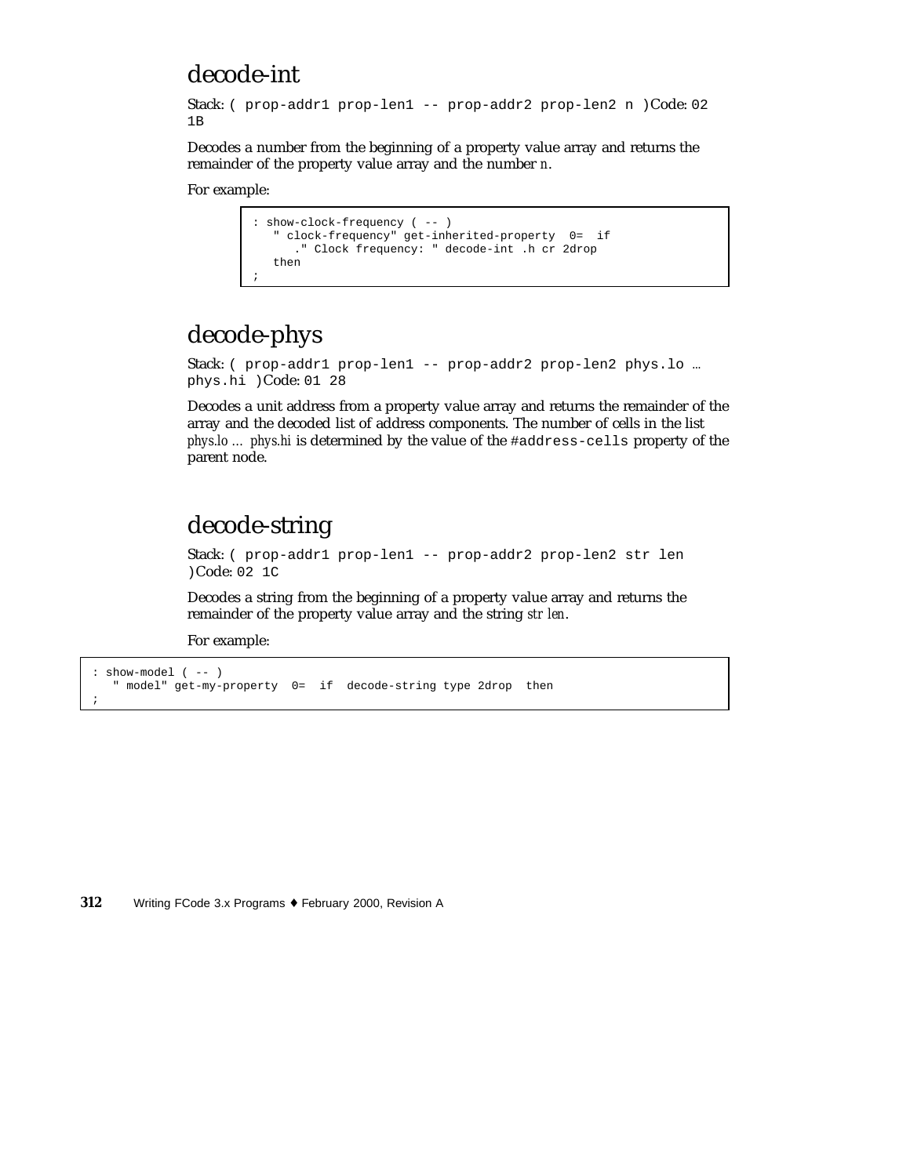### decode-int

```
Stack: ( prop-addr1 prop-len1 -- prop-addr2 prop-len2 n )Code: 02
1B
```
Decodes a number from the beginning of a property value array and returns the remainder of the property value array and the number *n*.

```
For example:
```

```
: show-clock-frequency ( -- )
   " clock-frequency" get-inherited-property 0= if
     ." Clock frequency: " decode-int .h cr 2drop
   then
;
```
# decode-phys

```
Stack: ( prop-addr1 prop-len1 -- prop-addr2 prop-len2 phys.lo …
phys.hi )Code: 01 28
```
Decodes a unit address from a property value array and returns the remainder of the array and the decoded list of address components. The number of cells in the list *phys.lo … phys.hi* is determined by the value of the #address-cells property of the parent node.

# decode-string

Stack: ( prop-addr1 prop-len1 -- prop-addr2 prop-len2 str len )Code: 02 1C

Decodes a string from the beginning of a property value array and returns the remainder of the property value array and the string *str len*.

For example:

;

```
: show-model ( -- )
  " model" get-my-property 0= if decode-string type 2drop then
```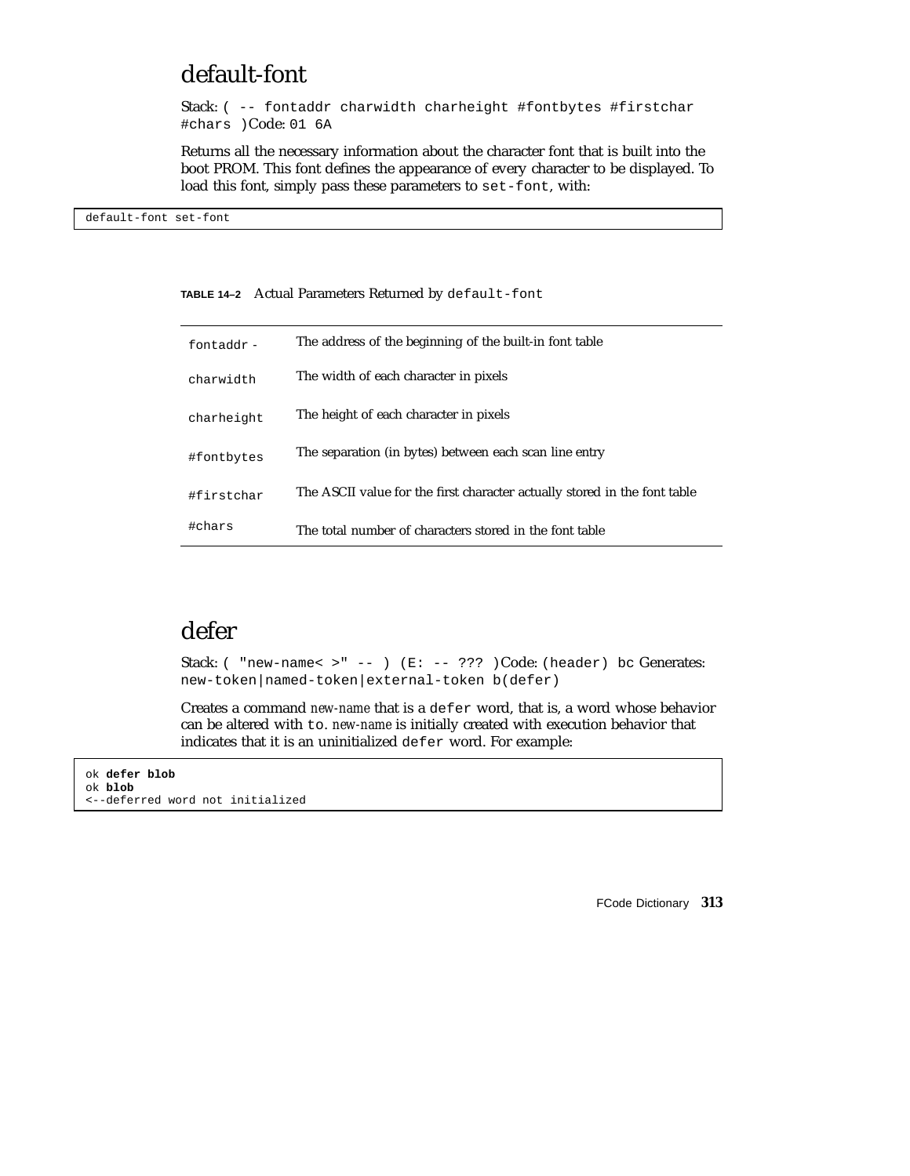## default-font

Stack: ( -- fontaddr charwidth charheight #fontbytes #firstchar #chars )Code: 01 6A

Returns all the necessary information about the character font that is built into the boot PROM. This font defines the appearance of every character to be displayed. To load this font, simply pass these parameters to set-font, with:

default-font set-font

#### **TABLE 14–2** Actual Parameters Returned by default-font

| fontaddr-  | The address of the beginning of the built-in font table                   |
|------------|---------------------------------------------------------------------------|
| charwidth  | The width of each character in pixels                                     |
| charheight | The height of each character in pixels                                    |
| #fontbytes | The separation (in bytes) between each scan line entry                    |
| #firstchar | The ASCII value for the first character actually stored in the font table |
| #chars     | The total number of characters stored in the font table                   |

## defer

Stack: (  $"new-name  $>$ " -- ) (E: -- ??? )Code: (header) bc Generates:$ new-token|named-token|external-token b(defer)

Creates a command *new-name* that is a defer word, that is, a word whose behavior can be altered with to. *new-name* is initially created with execution behavior that indicates that it is an uninitialized defer word. For example:

ok **defer blob** ok **blob** <--deferred word not initialized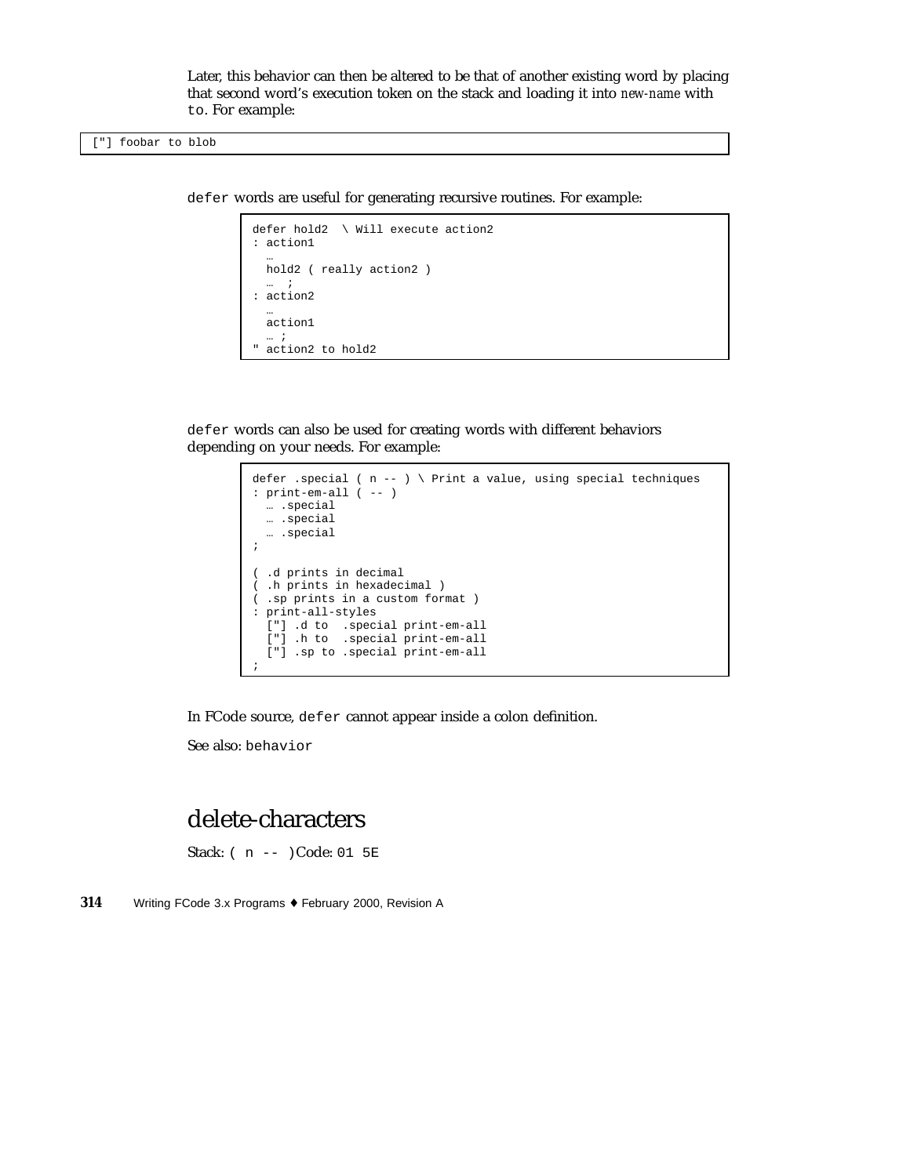Later, this behavior can then be altered to be that of another existing word by placing that second word's execution token on the stack and loading it into *new-name* with to. For example:

defer words are useful for generating recursive routines. For example:

```
defer hold2 \ Will execute action2
: action1
  …
  hold2 ( really action2 )
  … i
: action2
  …
  action1
  \dots i" action2 to hold2
```
defer words can also be used for creating words with different behaviors depending on your needs. For example:

```
defer .special ( n -- ) \ Print a value, using special techniques
: print-em-all ( -- )
  … .special
  … .special
  … .special
;
( .d prints in decimal
( .h prints in hexadecimal )
( .sp prints in a custom format )
: print-all-styles
  ["] .d to .special print-em-all
  ["] .h to .special print-em-all
  ["] .sp to .special print-em-all
;
```
In FCode source, defer cannot appear inside a colon definition.

See also: behavior

### delete-characters

Stack: ( n -- )Code: 01 5E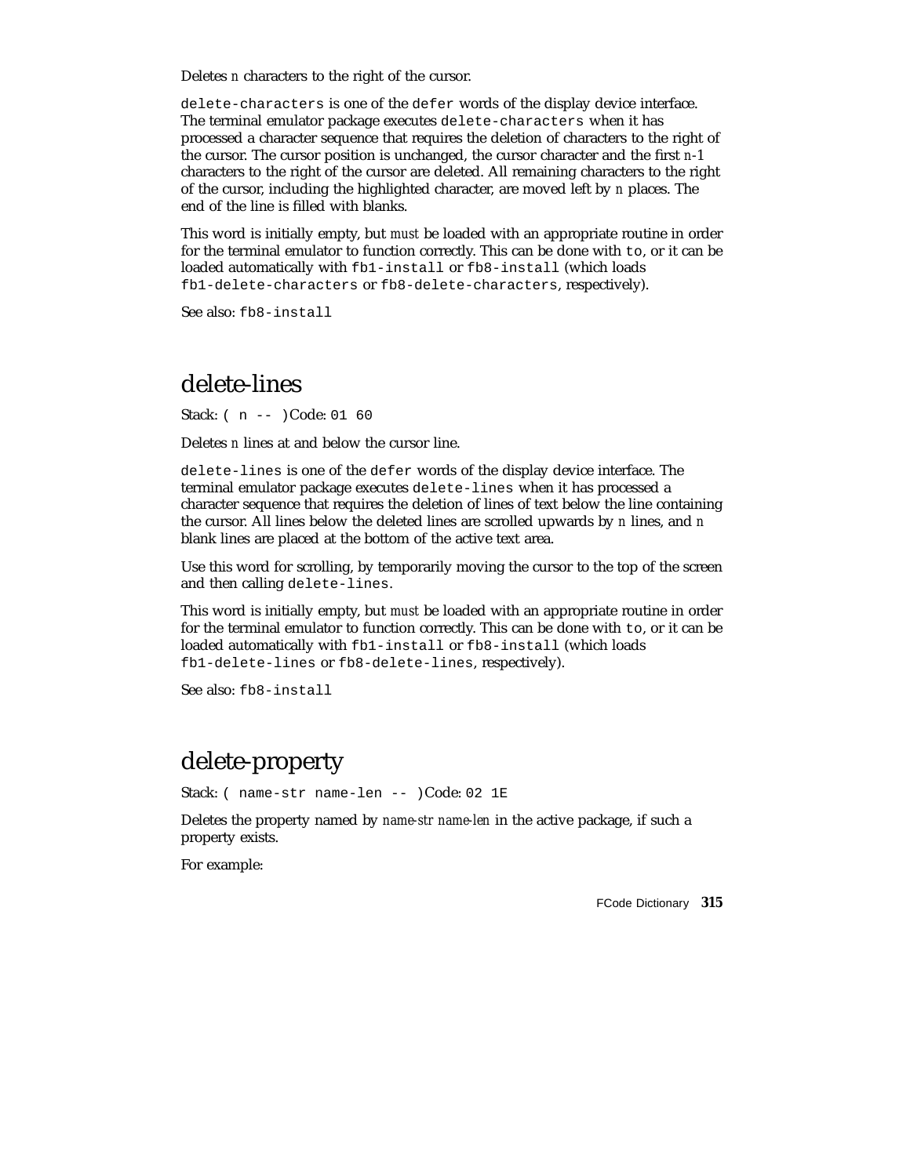Deletes *n* characters to the right of the cursor.

delete-characters is one of the defer words of the display device interface. The terminal emulator package executes delete-characters when it has processed a character sequence that requires the deletion of characters to the right of the cursor. The cursor position is unchanged, the cursor character and the first *n*-1 characters to the right of the cursor are deleted. All remaining characters to the right of the cursor, including the highlighted character, are moved left by *n* places. The end of the line is filled with blanks.

This word is initially empty, but *must* be loaded with an appropriate routine in order for the terminal emulator to function correctly. This can be done with to, or it can be loaded automatically with fb1-install or fb8-install (which loads fb1-delete-characters or fb8-delete-characters, respectively).

See also: fb8-install

#### delete-lines

Stack: ( n -- )Code: 01 60

Deletes *n* lines at and below the cursor line.

delete-lines is one of the defer words of the display device interface. The terminal emulator package executes delete-lines when it has processed a character sequence that requires the deletion of lines of text below the line containing the cursor. All lines below the deleted lines are scrolled upwards by *n* lines, and *n* blank lines are placed at the bottom of the active text area.

Use this word for scrolling, by temporarily moving the cursor to the top of the screen and then calling delete-lines.

This word is initially empty, but *must* be loaded with an appropriate routine in order for the terminal emulator to function correctly. This can be done with to, or it can be loaded automatically with fb1-install or fb8-install (which loads fb1-delete-lines or fb8-delete-lines, respectively).

See also: fb8-install

### delete-property

Stack: ( name-str name-len -- )Code: 02 1E

Deletes the property named by *name-str name-len* in the active package, if such a property exists.

For example: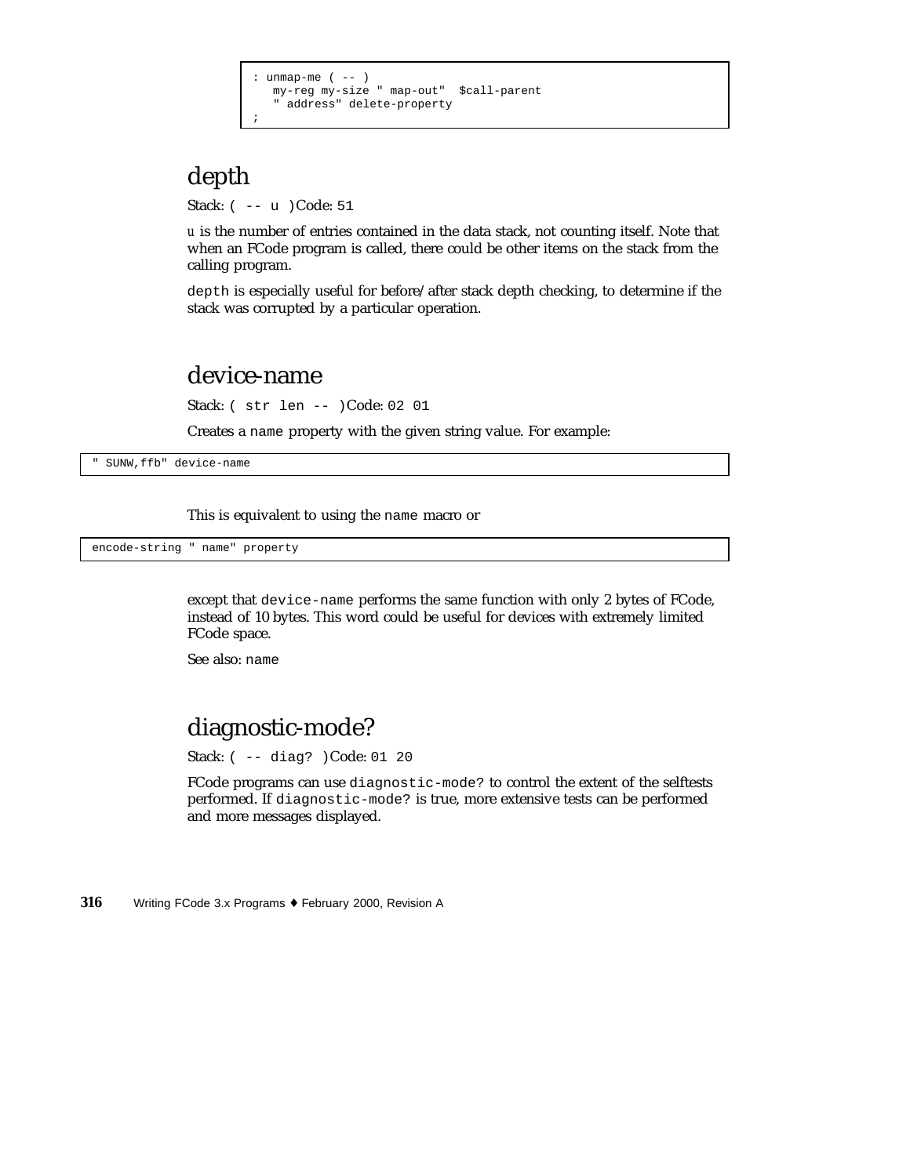```
unmap-me ( -- )
  my-reg my-size " map-out" $call-parent
  " address" delete-property
;
```
# depth

Stack: ( -- u )Code: 51

*u* is the number of entries contained in the data stack, not counting itself. Note that when an FCode program is called, there could be other items on the stack from the calling program.

depth is especially useful for before/after stack depth checking, to determine if the stack was corrupted by a particular operation.

#### device-name

Stack: ( str len -- )Code: 02 01

Creates a name property with the given string value. For example:

" SUNW,ffb" device-name

This is equivalent to using the name macro or

encode-string " name" property

except that device-name performs the same function with only 2 bytes of FCode, instead of 10 bytes. This word could be useful for devices with extremely limited FCode space.

See also: name

### diagnostic-mode?

Stack: ( -- diag? )Code: 01 20

FCode programs can use diagnostic-mode? to control the extent of the selftests performed. If diagnostic-mode? is true, more extensive tests can be performed and more messages displayed.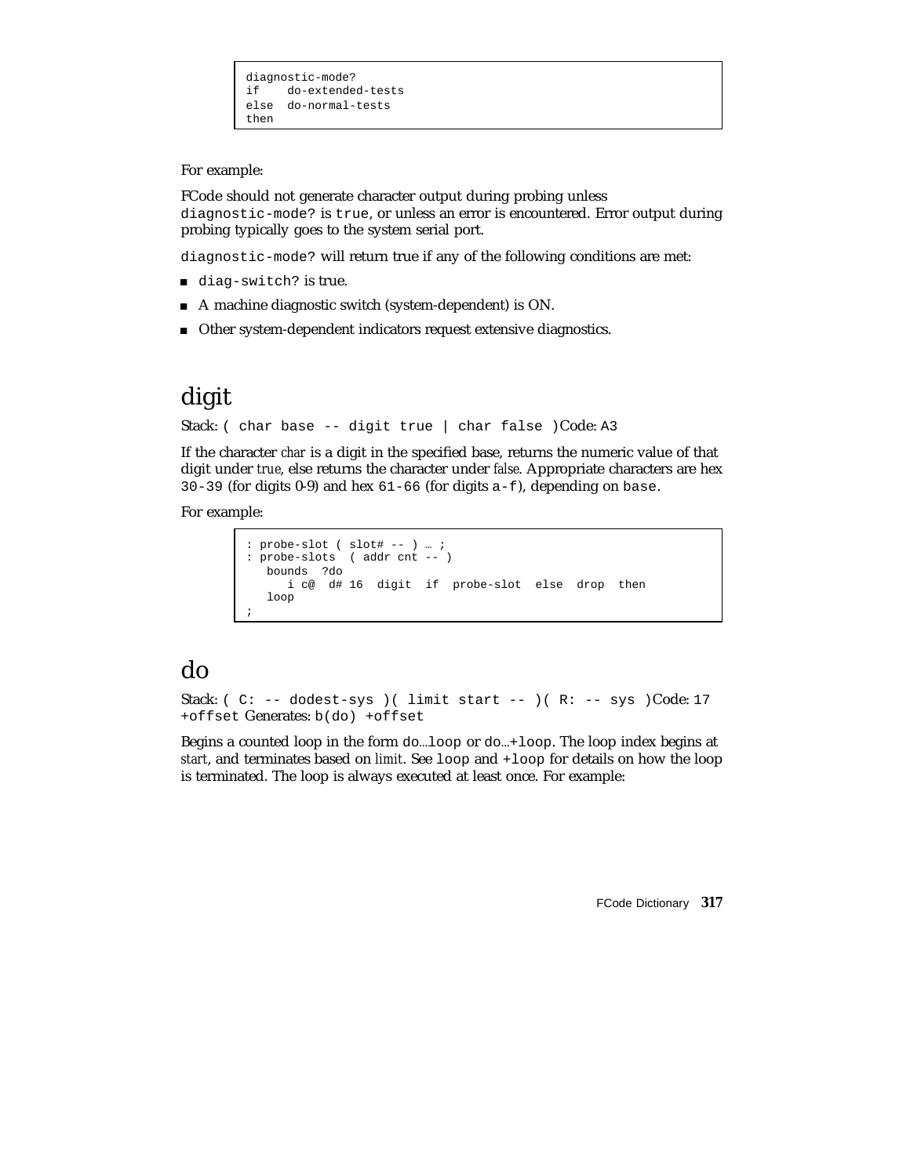```
diagnostic-mode?<br>if do-extende
     if do-extended-tests
else do-normal-tests
then
```
For example:

FCode should not generate character output during probing unless diagnostic-mode? is true, or unless an error is encountered. Error output during probing typically goes to the system serial port.

diagnostic-mode? will return true if any of the following conditions are met:

- diag-switch? is true.
- A machine diagnostic switch (system-dependent) is ON.
- Other system-dependent indicators request extensive diagnostics.

## digit

```
Stack: ( char base -- digit true | char false )Code: A3
```
If the character *char* is a digit in the specified base, returns the numeric value of that digit under *true*, else returns the character under *false*. Appropriate characters are hex 30-39 (for digits 0-9) and hex 61-66 (for digits a-f), depending on base.

For example:

```
: probe-slot ( slot# -- ) … ;
: probe-slots ( addr cnt -- )
  bounds ?do
    i c@ d# 16 digit if probe-slot else drop then
  loop
;
```
### do

```
Stack: ( C: -- dodest-sys ) ( limit start -- ) (R: -- sys )Code: 17
+offset Generates: b(do) +offset
```
Begins a counted loop in the form do…loop or do…+loop. The loop index begins at *start*, and terminates based on *limit*. See loop and +loop for details on how the loop is terminated. The loop is always executed at least once. For example: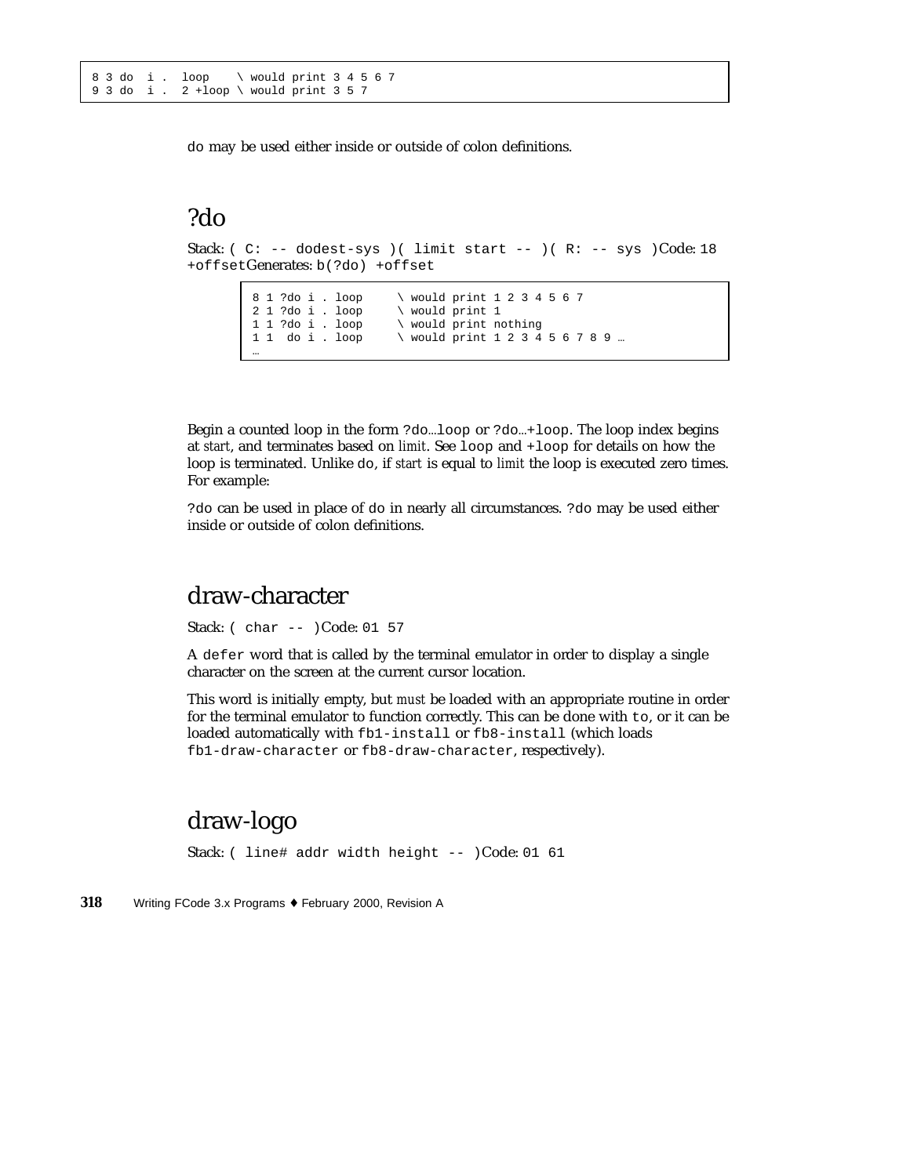do may be used either inside or outside of colon definitions.

### ?do

Stack: (  $C: -- dodest-sys$  )( limit start -- )(  $R: -- sys$  )Code: 18 +offsetGenerates: b(?do) +offset

```
8 1 ?do i . loop \ would print 1 2 3 4 5 6 7
2 1 ?do i . loop \ would print 1
1 1 ?do i . loop \ would print nothing
1 1 do i . loop \ would print 1 2 3 4 5 6 7 8 9 …
…
```
Begin a counted loop in the form ?do…loop or ?do…+loop. The loop index begins at *start*, and terminates based on *limit*. See loop and +loop for details on how the loop is terminated. Unlike do, if *start* is equal to *limit* the loop is executed zero times. For example:

?do can be used in place of do in nearly all circumstances. ?do may be used either inside or outside of colon definitions.

### draw-character

Stack: ( char -- )Code: 01 57

A defer word that is called by the terminal emulator in order to display a single character on the screen at the current cursor location.

This word is initially empty, but *must* be loaded with an appropriate routine in order for the terminal emulator to function correctly. This can be done with to, or it can be loaded automatically with fb1-install or fb8-install (which loads fb1-draw-character or fb8-draw-character, respectively).

### draw-logo

Stack: ( line# addr width height -- )Code: 01 61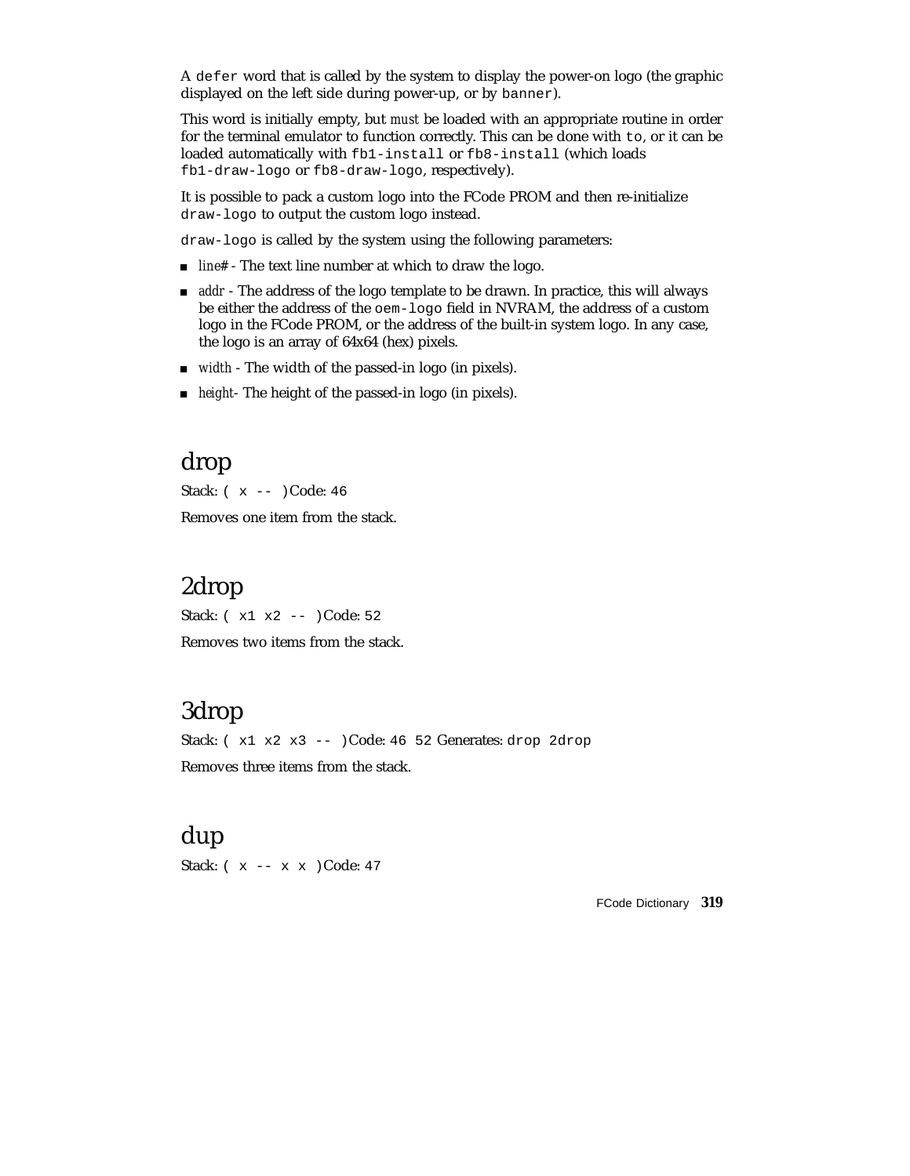A defer word that is called by the system to display the power-on logo (the graphic displayed on the left side during power-up, or by banner).

This word is initially empty, but *must* be loaded with an appropriate routine in order for the terminal emulator to function correctly. This can be done with to, or it can be loaded automatically with fb1-install or fb8-install (which loads fb1-draw-logo or fb8-draw-logo, respectively).

It is possible to pack a custom logo into the FCode PROM and then re-initialize draw-logo to output the custom logo instead.

draw-logo is called by the system using the following parameters:

- *line#* The text line number at which to draw the logo.
- **a** addr The address of the logo template to be drawn. In practice, this will always be either the address of the oem-logo field in NVRAM, the address of a custom logo in the FCode PROM, or the address of the built-in system logo. In any case, the logo is an array of 64x64 (hex) pixels.
- *width* The width of the passed-in logo (in pixels).
- *height* The height of the passed-in logo (in pixels).

### drop

Stack: ( x -- )Code: 46

Removes one item from the stack.

## 2drop

Stack: ( x1 x2 -- )Code: 52 Removes two items from the stack.

### 3drop

Stack:  $(x1 x2 x3 --) Code: 46 52 Generates: drop 2drop$ Removes three items from the stack.

### dup

Stack: ( x -- x x )Code: 47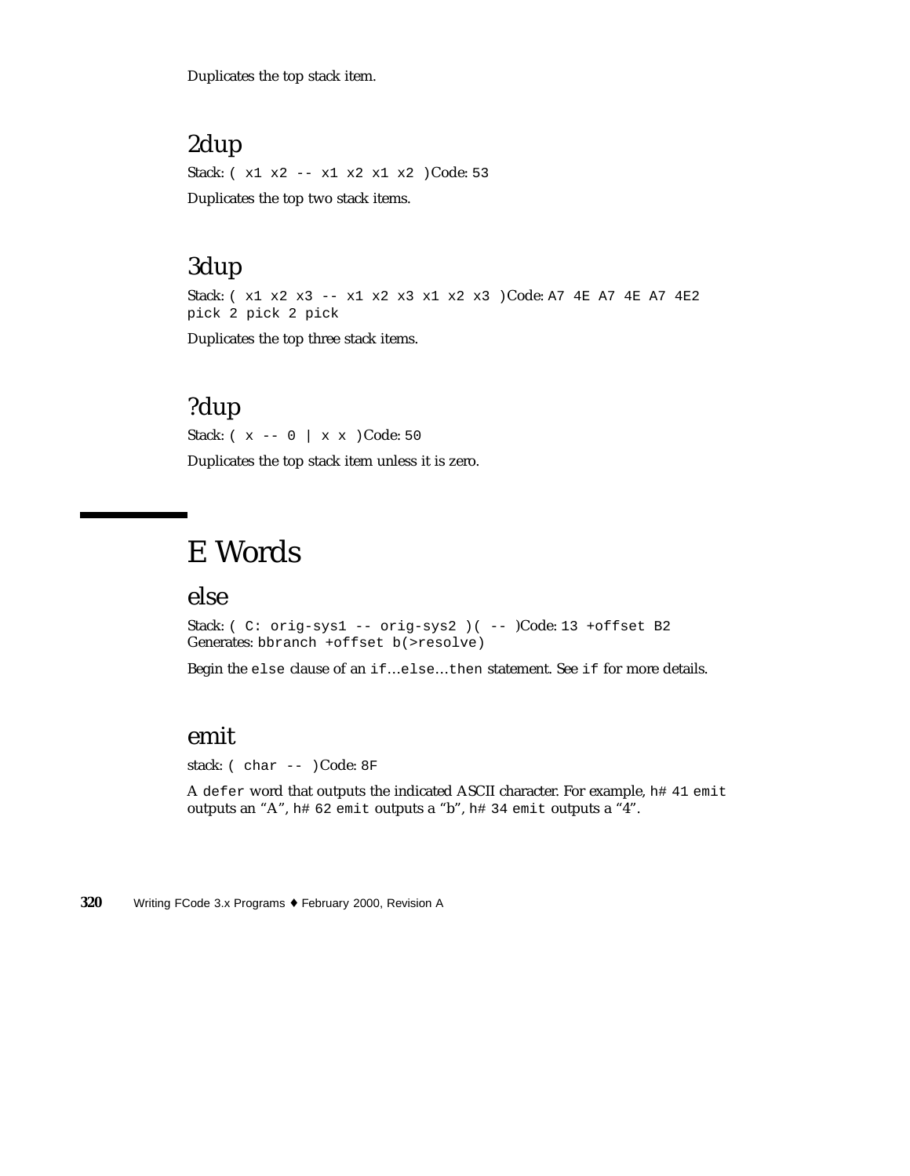Duplicates the top stack item.

# 2dup

Stack: ( x1 x2 -- x1 x2 x1 x2 )Code: 53 Duplicates the top two stack items.

## 3dup

Stack: ( x1 x2 x3 -- x1 x2 x3 x1 x2 x3 )Code: A7 4E A7 4E A7 4E2 pick 2 pick 2 pick

Duplicates the top three stack items.

### ?dup

Stack: ( x -- 0 | x x )Code: 50 Duplicates the top stack item unless it is zero.

# E Words

### else

Stack: ( C: orig-sys1 -- orig-sys2 ) ( -- )Code: 13 + offset B2 Generates: bbranch +offset b(>resolve)

Begin the else clause of an if…else…then statement. See if for more details.

### emit

stack: ( char -- )Code: 8F

A defer word that outputs the indicated ASCII character. For example, h# 41 emit outputs an "A", h# 62 emit outputs a "b", h# 34 emit outputs a "4".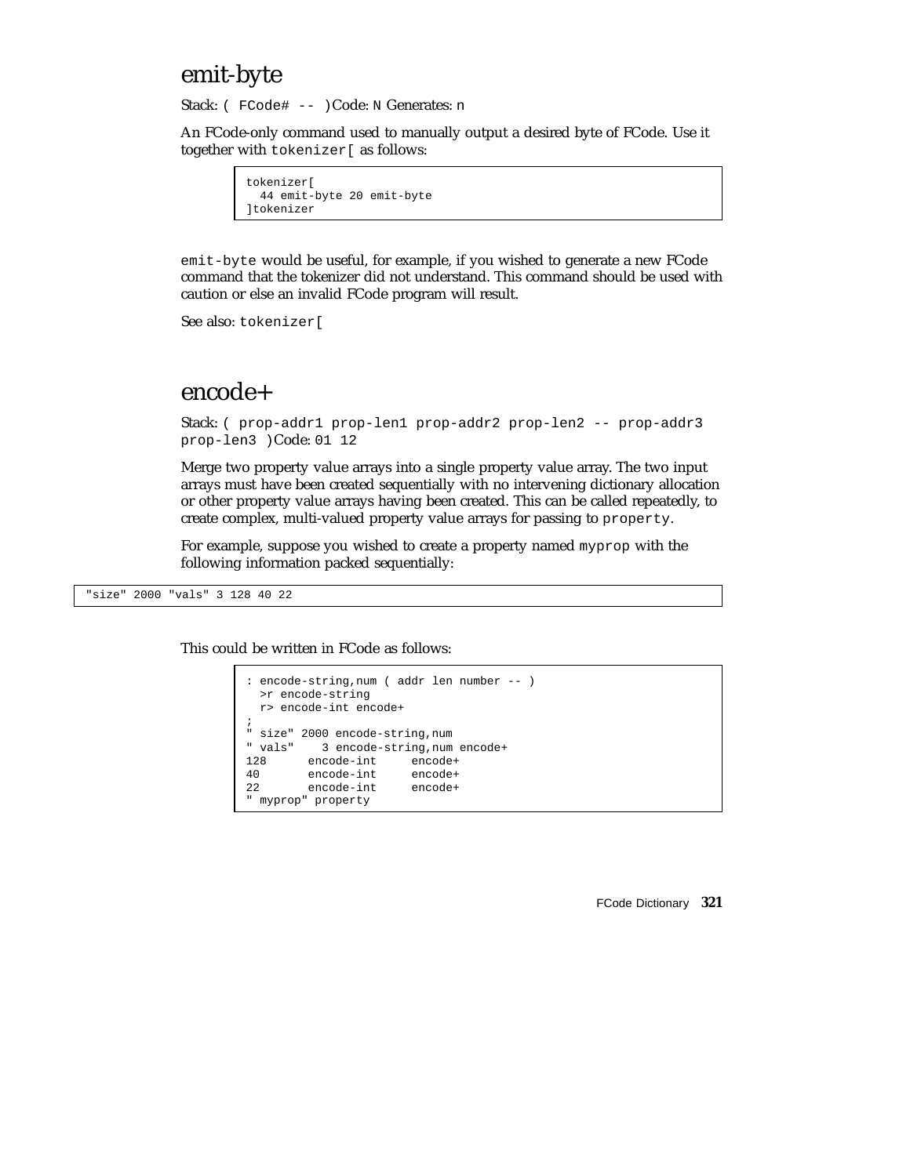### emit-byte

Stack: (FCode# -- )Code: N Generates: n

An FCode-only command used to manually output a desired byte of FCode. Use it together with tokenizer[ as follows:

```
tokenizer[
  44 emit-byte 20 emit-byte
]tokenizer
```
emit-byte would be useful, for example, if you wished to generate a new FCode command that the tokenizer did not understand. This command should be used with caution or else an invalid FCode program will result.

See also: tokenizer[

#### encode+

```
Stack: ( prop-addr1 prop-len1 prop-addr2 prop-len2 -- prop-addr3
prop-len3 )Code: 01 12
```
Merge two property value arrays into a single property value array. The two input arrays must have been created sequentially with no intervening dictionary allocation or other property value arrays having been created. This can be called repeatedly, to create complex, multi-valued property value arrays for passing to property.

For example, suppose you wished to create a property named myprop with the following information packed sequentially:

"size" 2000 "vals" 3 128 40 22

This could be written in FCode as follows:

```
: encode-string,num ( addr len number -- )
 >r encode-string
 r> encode-int encode+
;
" size" 2000 encode-string,num
" vals" 3 encode-string,num encode+
        encode-int encode+
40 encode-int encode+
22 encode-int encode+
" myprop" property
```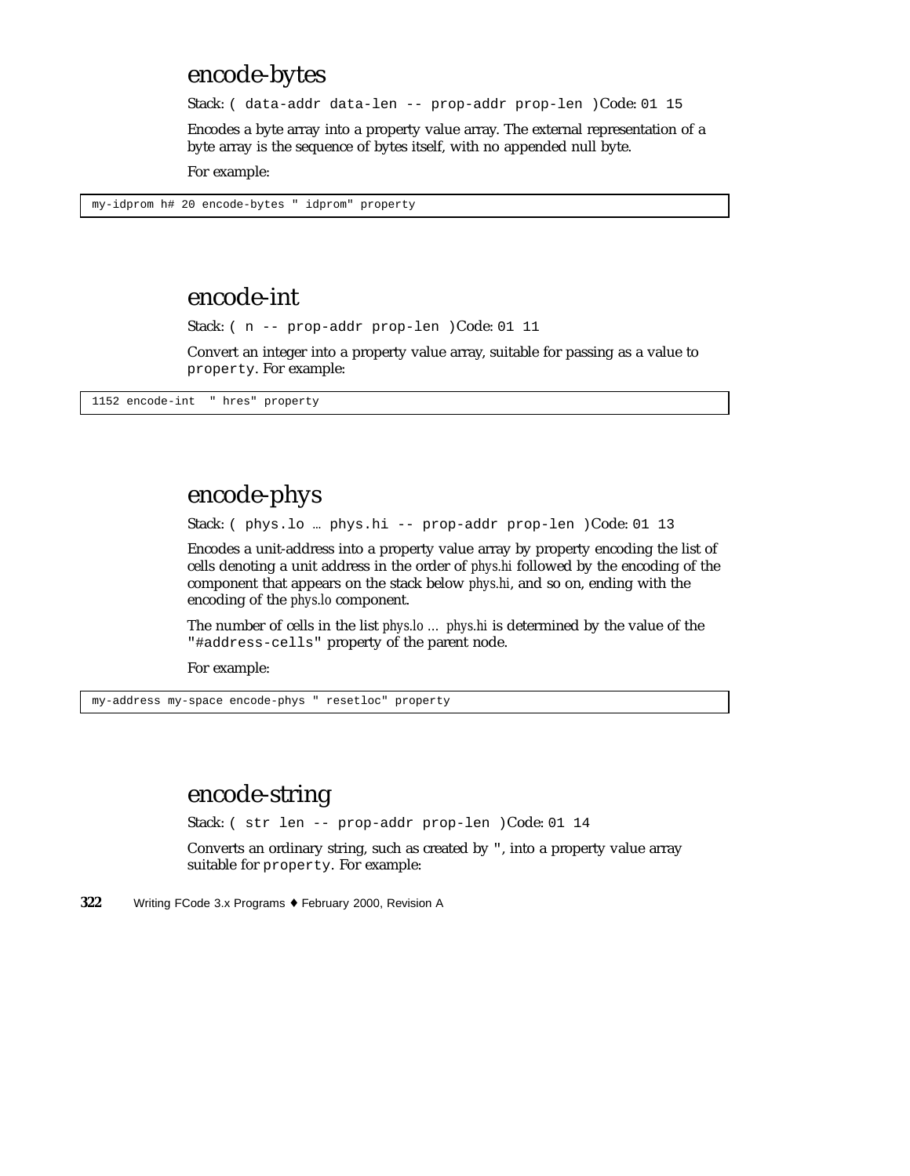## encode-bytes

Stack: ( data-addr data-len -- prop-addr prop-len )Code: 01 15

Encodes a byte array into a property value array. The external representation of a byte array is the sequence of bytes itself, with no appended null byte.

For example:

my-idprom h# 20 encode-bytes " idprom" property

### encode-int

Stack: ( n -- prop-addr prop-len )Code: 01 11

Convert an integer into a property value array, suitable for passing as a value to property. For example:

1152 encode-int " hres" property

# encode-phys

Stack: ( phys.lo … phys.hi -- prop-addr prop-len )Code: 01 13

Encodes a unit-address into a property value array by property encoding the list of cells denoting a unit address in the order of *phys.hi* followed by the encoding of the component that appears on the stack below *phys.hi*, and so on, ending with the encoding of the *phys.lo* component.

The number of cells in the list *phys.lo … phys.hi* is determined by the value of the "#address-cells" property of the parent node.

For example:

my-address my-space encode-phys " resetloc" property

### encode-string

Stack: ( str len -- prop-addr prop-len )Code: 01 14

Converts an ordinary string, such as created by ", into a property value array suitable for property. For example: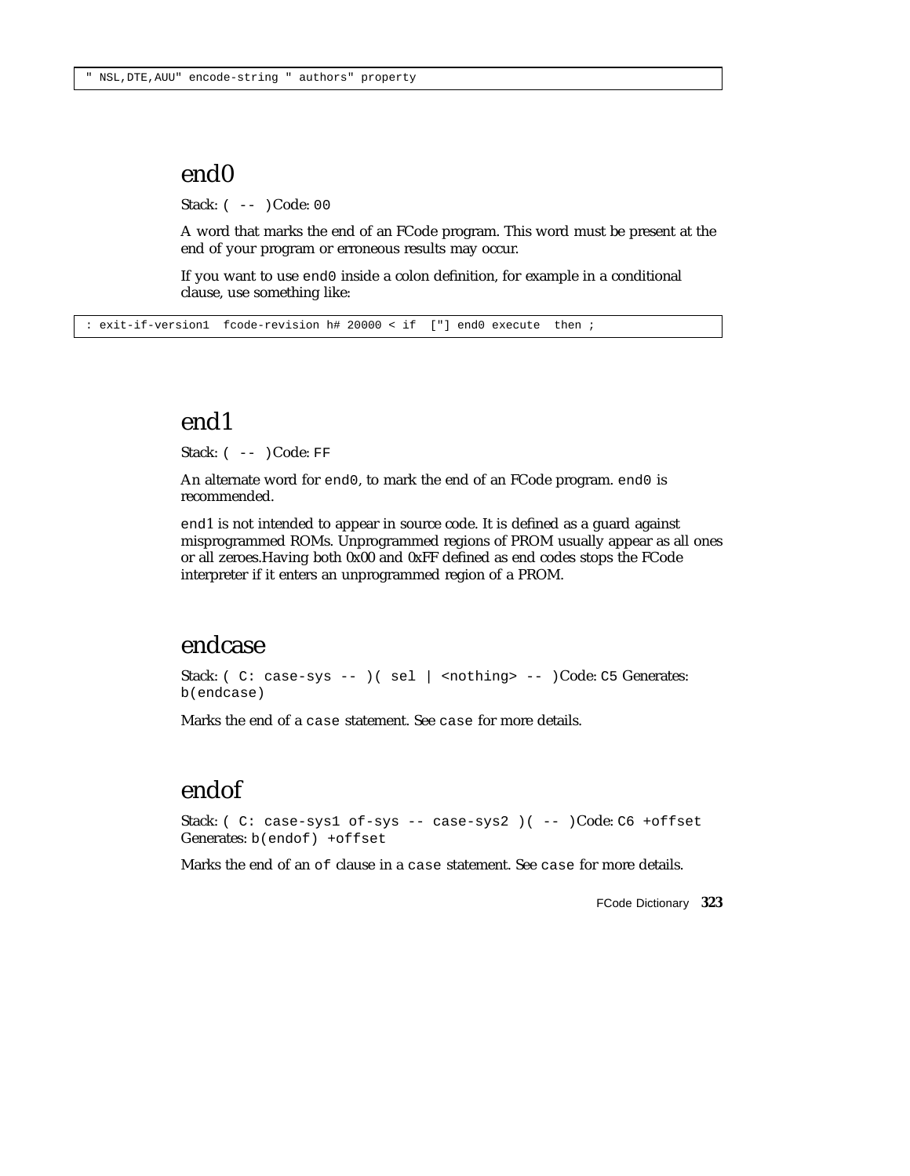### end0

Stack: ( -- )Code: 00

A word that marks the end of an FCode program. This word must be present at the end of your program or erroneous results may occur.

If you want to use end0 inside a colon definition, for example in a conditional clause, use something like:

: exit-if-version1 fcode-revision h# 20000 < if ["] end0 execute then ;

### end1

Stack: ( -- )Code: FF

An alternate word for end0, to mark the end of an FCode program. end0 is recommended.

end1 is not intended to appear in source code. It is defined as a guard against misprogrammed ROMs. Unprogrammed regions of PROM usually appear as all ones or all zeroes.Having both 0x00 and 0xFF defined as end codes stops the FCode interpreter if it enters an unprogrammed region of a PROM.

### endcase

Stack: ( C: case-sys -- ) ( sel | <nothing> -- )Code: C5 Generates: b(endcase)

Marks the end of a case statement. See case for more details.

### endof

Stack: ( C: case-sys1 of-sys -- case-sys2 )( -- )Code: C6 +offset Generates: b(endof) +offset

Marks the end of an of clause in a case statement. See case for more details.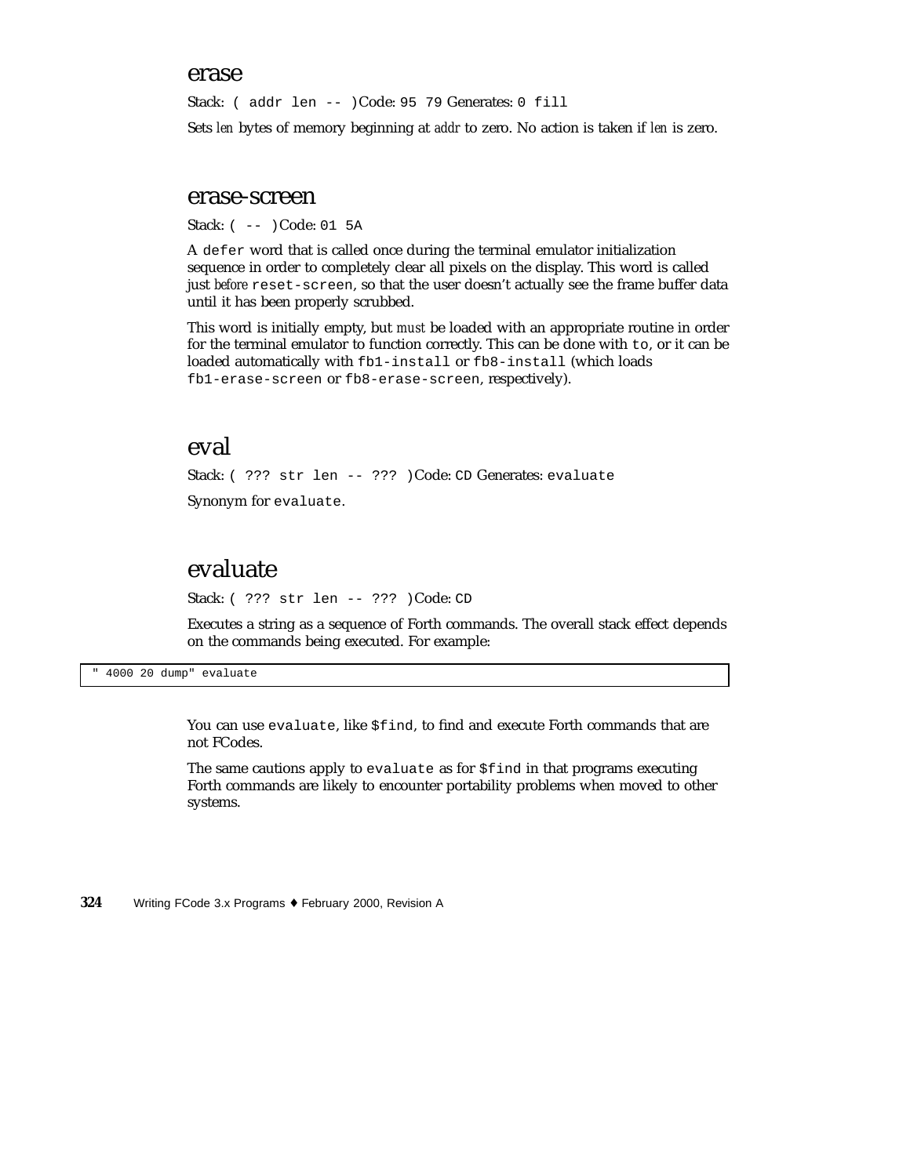#### erase

Stack: ( addr len -- )Code: 95 79 Generates: 0 fill

Sets *len* bytes of memory beginning at *addr* to zero. No action is taken if *len* is zero.

#### erase-screen

Stack: ( -- )Code: 01 5A

A defer word that is called once during the terminal emulator initialization sequence in order to completely clear all pixels on the display. This word is called just *before* reset-screen, so that the user doesn't actually see the frame buffer data until it has been properly scrubbed.

This word is initially empty, but *must* be loaded with an appropriate routine in order for the terminal emulator to function correctly. This can be done with to, or it can be loaded automatically with fb1-install or fb8-install (which loads fb1-erase-screen or fb8-erase-screen, respectively).

#### eval

Stack: ( ??? str len -- ??? )Code: CD Generates: evaluate

Synonym for evaluate.

### evaluate

Stack: ( ??? str len -- ??? )Code: CD

Executes a string as a sequence of Forth commands. The overall stack effect depends on the commands being executed. For example:

" 4000 20 dump" evaluate

You can use evaluate, like \$find, to find and execute Forth commands that are not FCodes.

The same cautions apply to evaluate as for \$find in that programs executing Forth commands are likely to encounter portability problems when moved to other systems.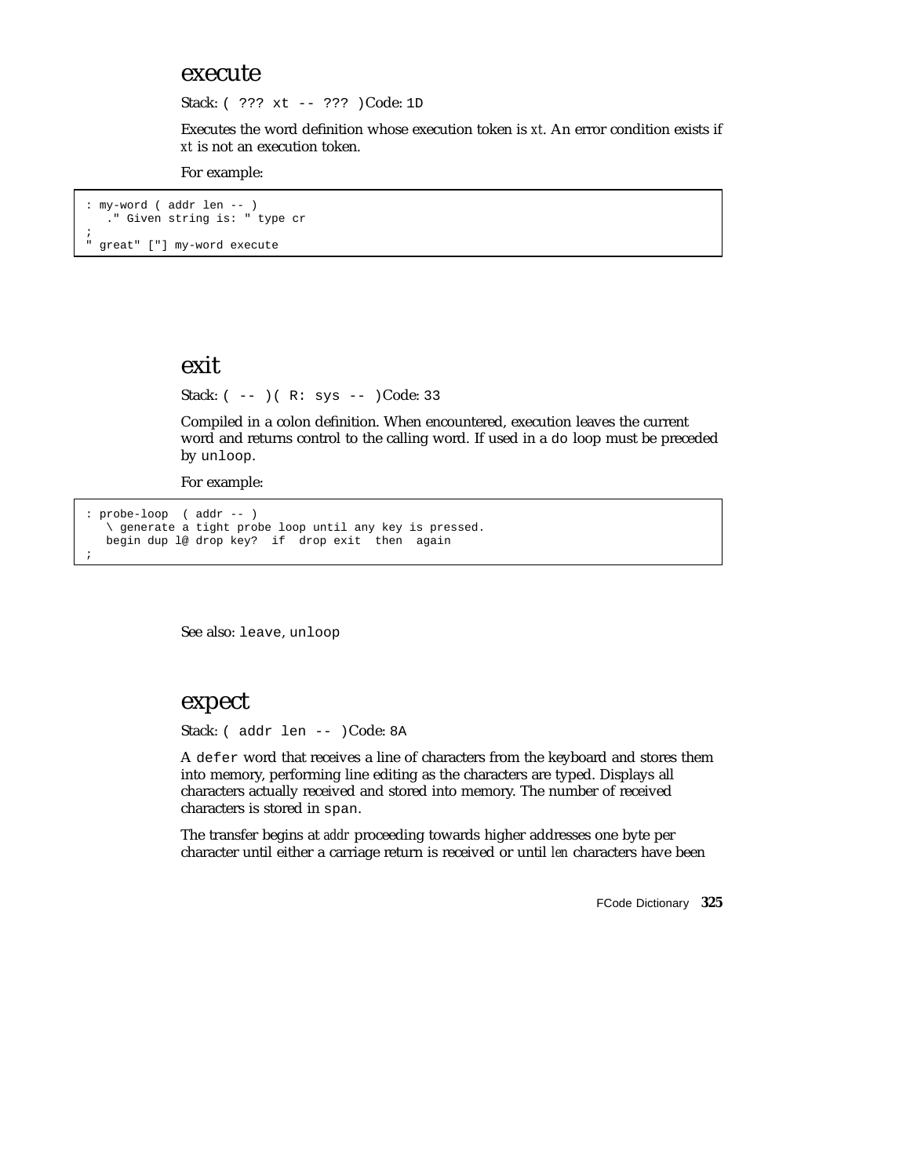#### execute

Stack: ( ??? xt -- ??? )Code: 1D

Executes the word definition whose execution token is *xt*. An error condition exists if *xt* is not an execution token.

For example:

: my-word ( addr len -- ) ." Given string is: " type cr ; " great" ["] my-word execute

#### exit

Stack:  $(- - )$   $(R: sys --)$  Code: 33

Compiled in a colon definition. When encountered, execution leaves the current word and returns control to the calling word. If used in a do loop must be preceded by unloop.

For example:

```
: probe-loop ( addr -- )
  \ generate a tight probe loop until any key is pressed.
  begin dup l@ drop key? if drop exit then again
;
```
See also: leave, unloop

#### expect

Stack: ( addr len -- )Code: 8A

A defer word that receives a line of characters from the keyboard and stores them into memory, performing line editing as the characters are typed. Displays all characters actually received and stored into memory. The number of received characters is stored in span.

The transfer begins at *addr* proceeding towards higher addresses one byte per character until either a carriage return is received or until *len* characters have been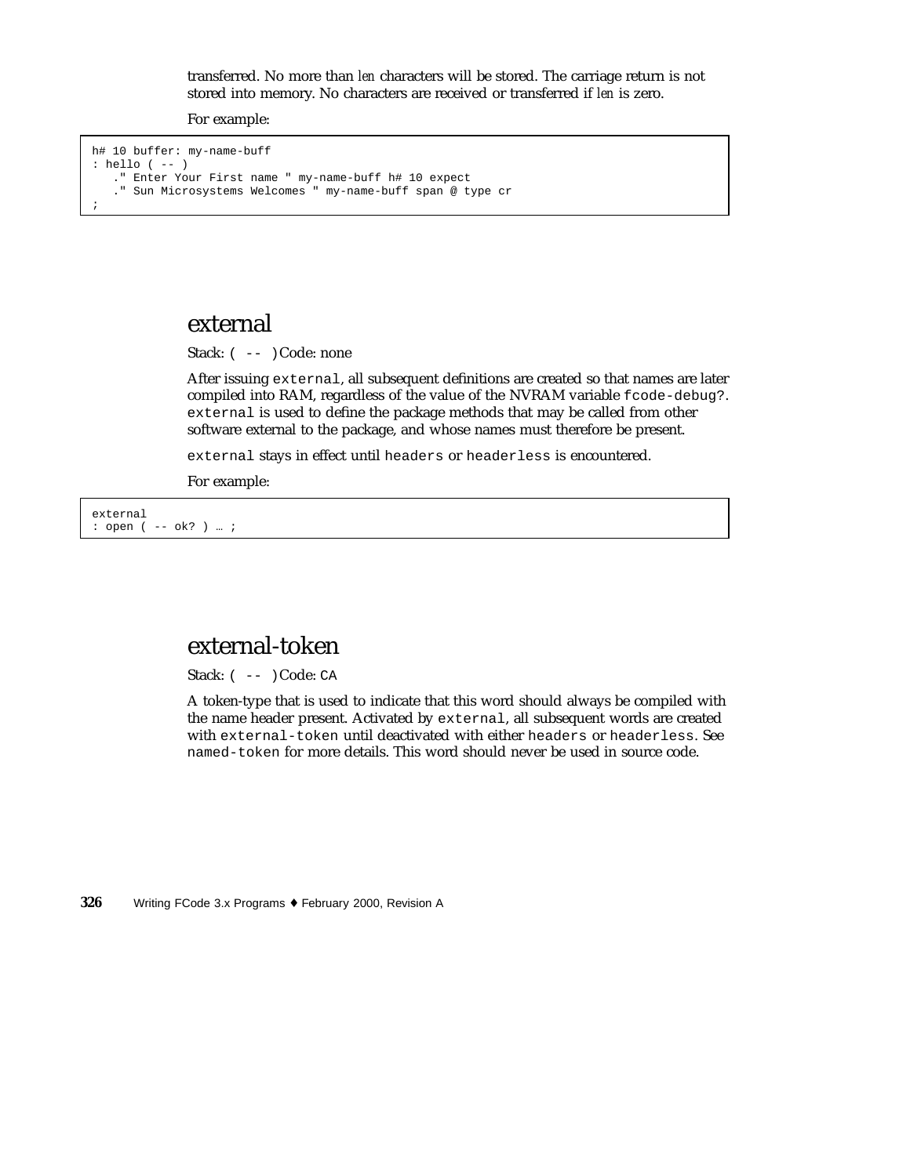transferred. No more than *len* characters will be stored. The carriage return is not stored into memory. No characters are received or transferred if *len* is zero.

For example:

```
h# 10 buffer: my-name-buff
: hello ( -- )
   ." Enter Your First name " my-name-buff h# 10 expect
   ." Sun Microsystems Welcomes " my-name-buff span @ type cr
;
```
#### external

Stack:  $(- - )$ Code: none

After issuing external, all subsequent definitions are created so that names are later compiled into RAM, regardless of the value of the NVRAM variable fcode-debug?. external is used to define the package methods that may be called from other software external to the package, and whose names must therefore be present.

external stays in effect until headers or headerless is encountered.

For example:

external : open ( -- ok? ) … ;

## external-token

Stack:  $(- - )$ Code: CA

A token-type that is used to indicate that this word should always be compiled with the name header present. Activated by external, all subsequent words are created with external-token until deactivated with either headers or headerless. See named-token for more details. This word should never be used in source code.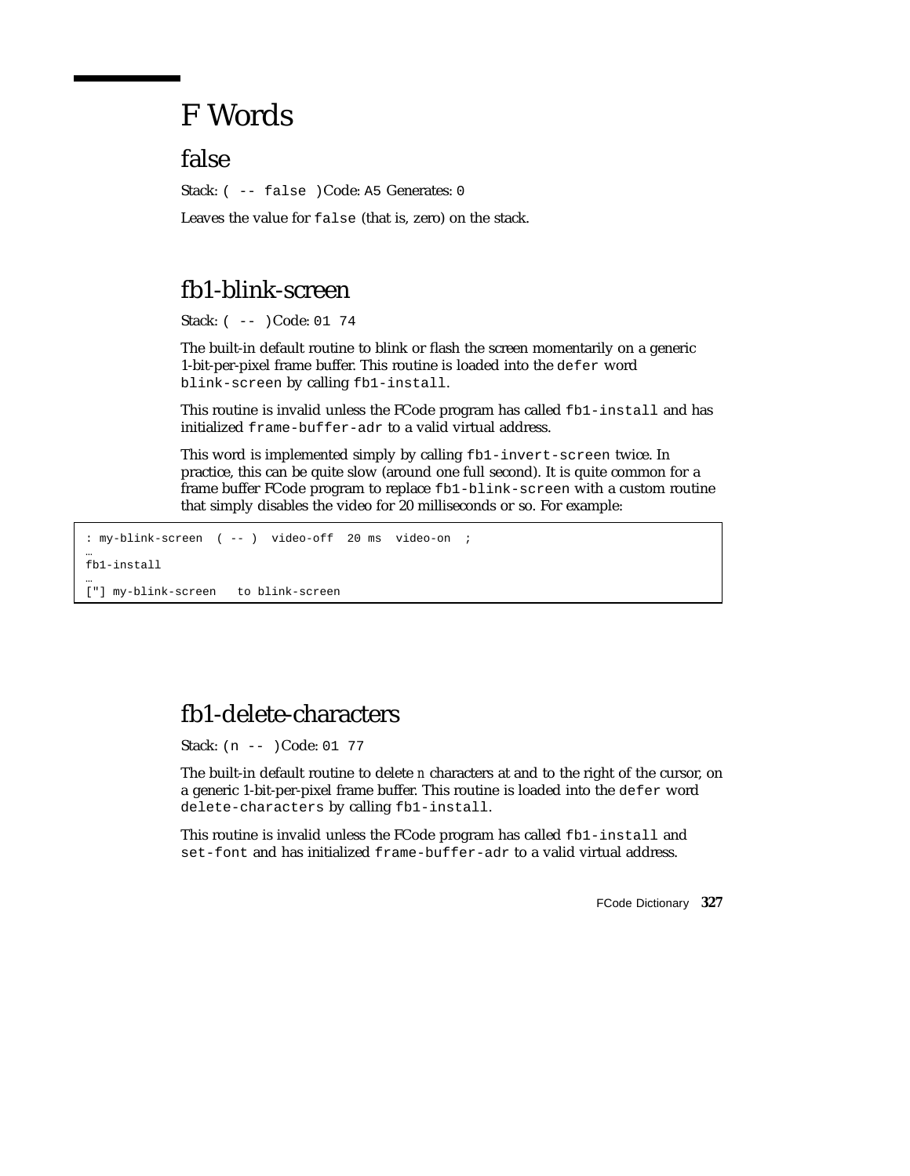# F Words

false

Stack: ( -- false )Code: A5 Generates: 0

Leaves the value for false (that is, zero) on the stack.

# fb1-blink-screen

Stack: ( -- )Code: 01 74

The built-in default routine to blink or flash the screen momentarily on a generic 1-bit-per-pixel frame buffer. This routine is loaded into the defer word blink-screen by calling fb1-install.

This routine is invalid unless the FCode program has called fb1-install and has initialized frame-buffer-adr to a valid virtual address.

This word is implemented simply by calling fb1-invert-screen twice. In practice, this can be quite slow (around one full second). It is quite common for a frame buffer FCode program to replace fb1-blink-screen with a custom routine that simply disables the video for 20 milliseconds or so. For example:

: my-blink-screen ( -- ) video-off 20 ms video-on ; …

fb1-install …

```
["] my-blink-screen to blink-screen
```
# fb1-delete-characters

Stack: (n -- )Code: 01 77

The built-in default routine to delete *n* characters at and to the right of the cursor, on a generic 1-bit-per-pixel frame buffer. This routine is loaded into the defer word delete-characters by calling fb1-install.

This routine is invalid unless the FCode program has called fb1-install and set-font and has initialized frame-buffer-adr to a valid virtual address.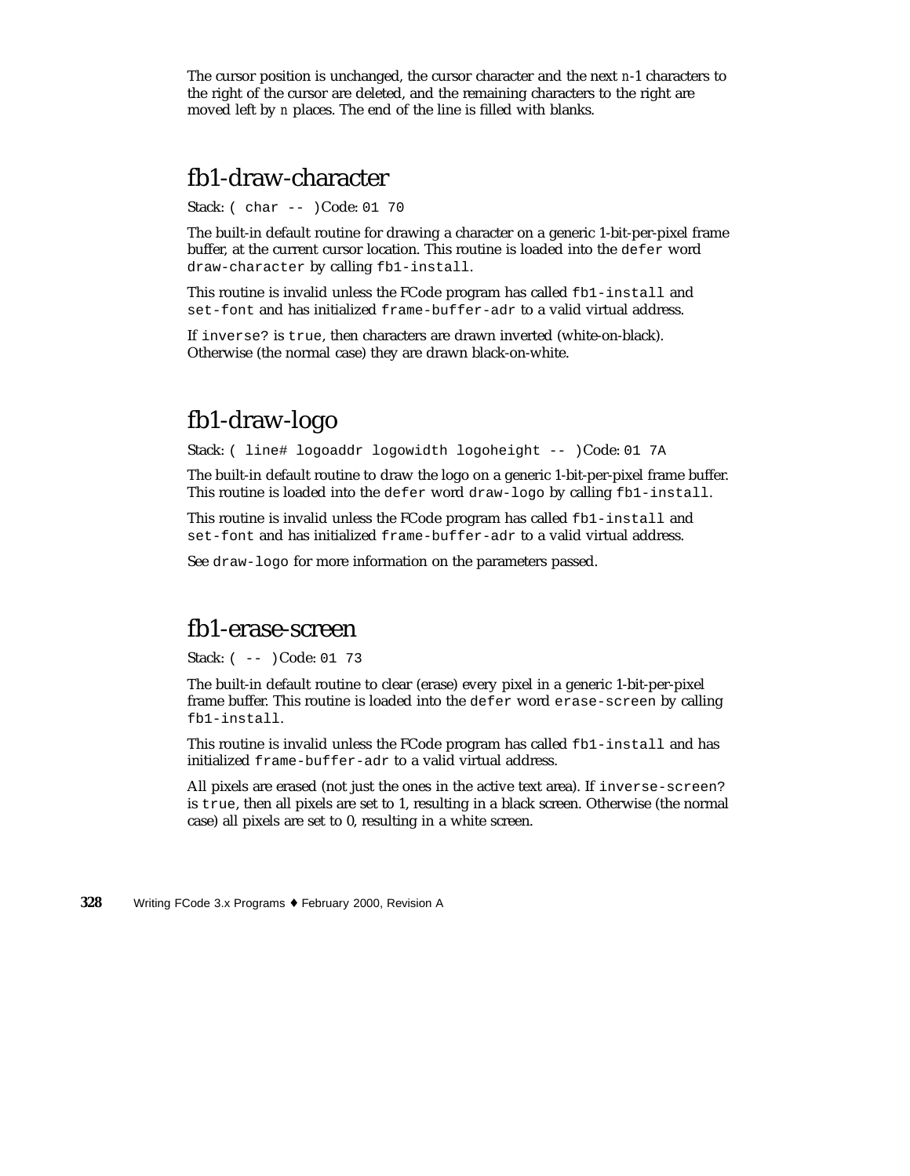The cursor position is unchanged, the cursor character and the next *n*-1 characters to the right of the cursor are deleted, and the remaining characters to the right are moved left by *n* places. The end of the line is filled with blanks.

### fb1-draw-character

Stack: ( char -- )Code: 01 70

The built-in default routine for drawing a character on a generic 1-bit-per-pixel frame buffer, at the current cursor location. This routine is loaded into the defer word draw-character by calling fb1-install.

This routine is invalid unless the FCode program has called fb1-install and set-font and has initialized frame-buffer-adr to a valid virtual address.

If inverse? is true, then characters are drawn inverted (white-on-black). Otherwise (the normal case) they are drawn black-on-white.

## fb1-draw-logo

Stack: ( line# logoaddr logowidth logoheight -- )Code: 01 7A

The built-in default routine to draw the logo on a generic 1-bit-per-pixel frame buffer. This routine is loaded into the defer word draw-logo by calling fb1-install.

This routine is invalid unless the FCode program has called fb1-install and set-font and has initialized frame-buffer-adr to a valid virtual address.

See draw-logo for more information on the parameters passed.

#### fb1-erase-screen

Stack: ( -- )Code: 01 73

The built-in default routine to clear (erase) every pixel in a generic 1-bit-per-pixel frame buffer. This routine is loaded into the defer word erase-screen by calling fb1-install.

This routine is invalid unless the FCode program has called fb1-install and has initialized frame-buffer-adr to a valid virtual address.

All pixels are erased (not just the ones in the active text area). If inverse-screen? is true, then all pixels are set to 1, resulting in a black screen. Otherwise (the normal case) all pixels are set to 0, resulting in a white screen.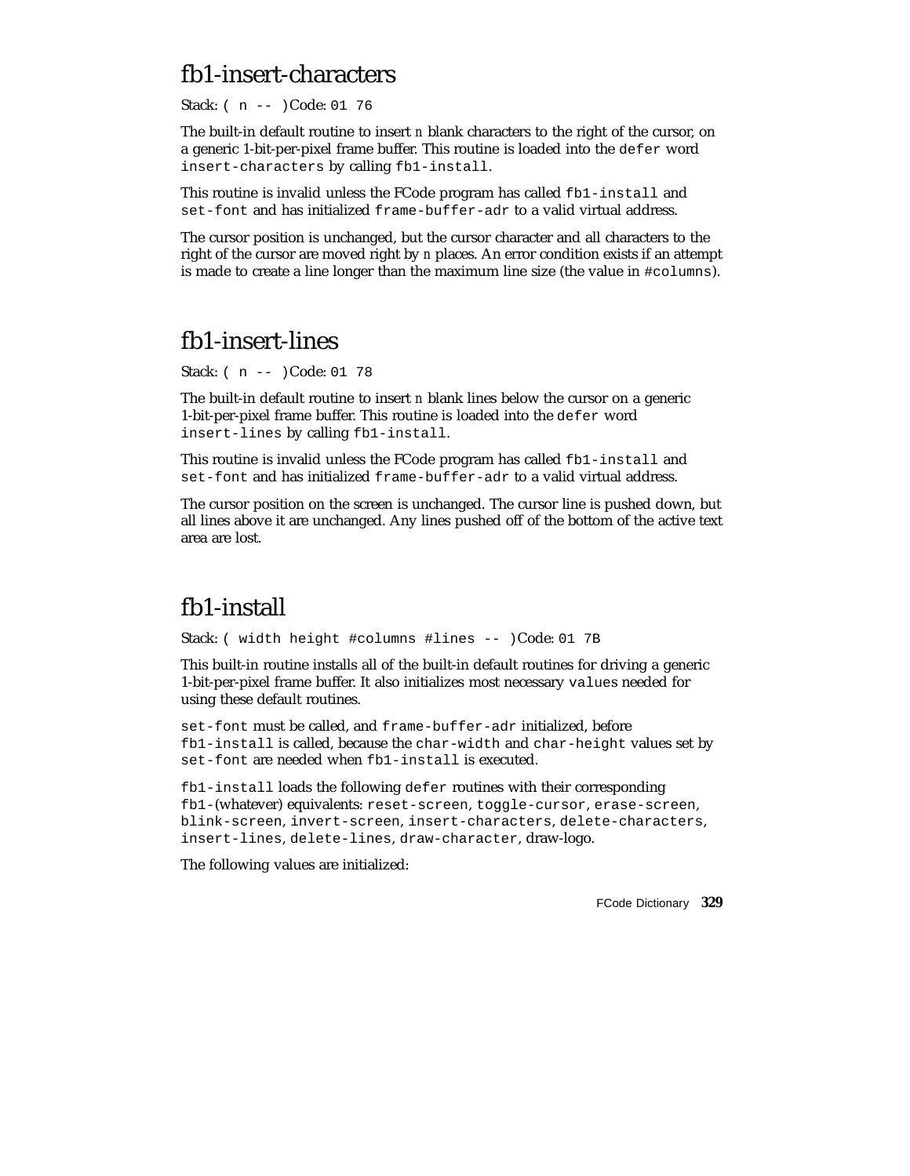# fb1-insert-characters

Stack: ( n -- )Code: 01 76

The built-in default routine to insert *n* blank characters to the right of the cursor, on a generic 1-bit-per-pixel frame buffer. This routine is loaded into the defer word insert-characters by calling fb1-install.

This routine is invalid unless the FCode program has called fb1-install and set-font and has initialized frame-buffer-adr to a valid virtual address.

The cursor position is unchanged, but the cursor character and all characters to the right of the cursor are moved right by *n* places. An error condition exists if an attempt is made to create a line longer than the maximum line size (the value in #columns).

### fb1-insert-lines

Stack: ( n -- )Code: 01 78

The built-in default routine to insert *n* blank lines below the cursor on a generic 1-bit-per-pixel frame buffer. This routine is loaded into the defer word insert-lines by calling fb1-install.

This routine is invalid unless the FCode program has called fb1-install and set-font and has initialized frame-buffer-adr to a valid virtual address.

The cursor position on the screen is unchanged. The cursor line is pushed down, but all lines above it are unchanged. Any lines pushed off of the bottom of the active text area are lost.

# fb1-install

Stack: ( width height #columns #lines -- )Code: 01 7B

This built-in routine installs all of the built-in default routines for driving a generic 1-bit-per-pixel frame buffer. It also initializes most necessary values needed for using these default routines.

set-font must be called, and frame-buffer-adr initialized, before fb1-install is called, because the char-width and char-height values set by set-font are needed when fb1-install is executed.

fb1-install loads the following defer routines with their corresponding fb1-(whatever) equivalents: reset-screen, toggle-cursor, erase-screen, blink-screen, invert-screen, insert-characters, delete-characters, insert-lines, delete-lines, draw-character, draw-logo.

The following values are initialized: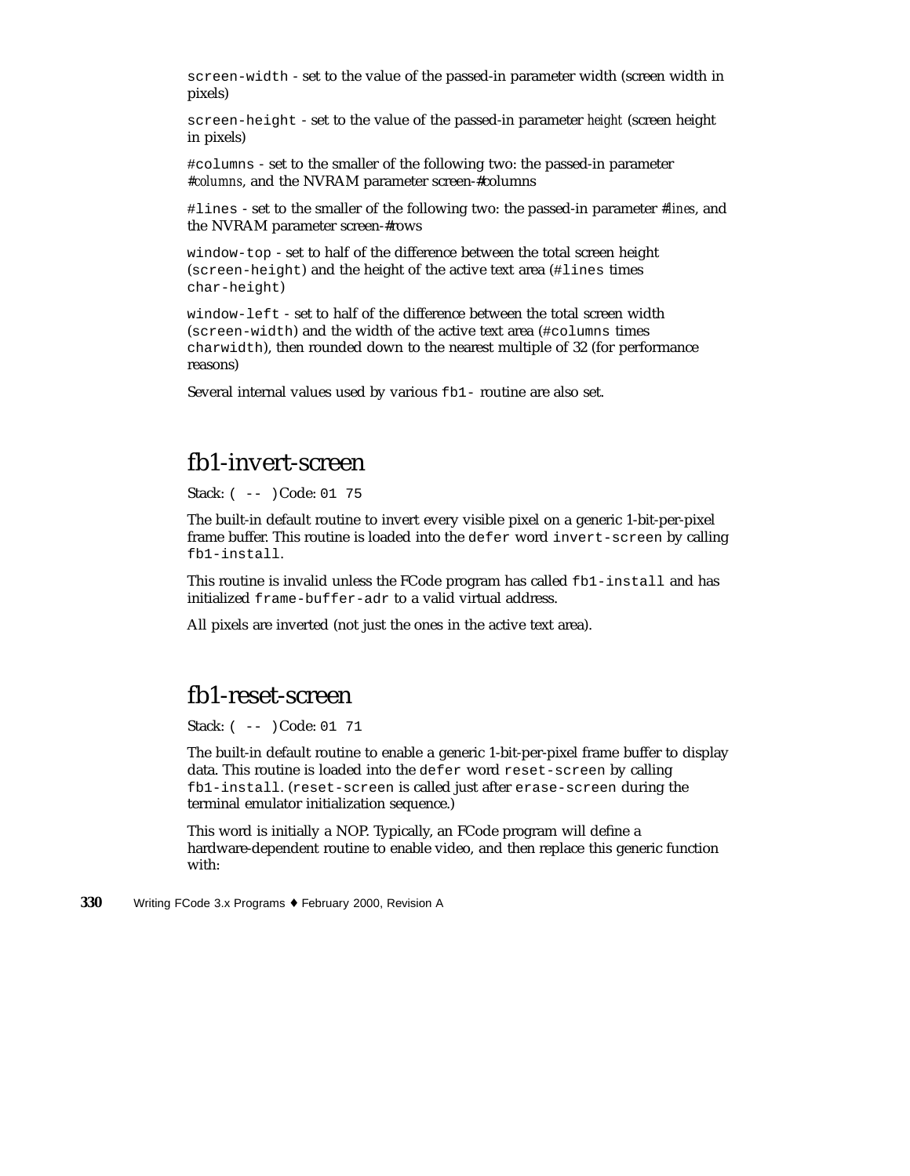screen-width - set to the value of the passed-in parameter width (screen width in pixels)

screen-height - set to the value of the passed-in parameter *height* (screen height in pixels)

#columns - set to the smaller of the following two: the passed-in parameter *#columns*, and the NVRAM parameter screen-#columns

#lines - set to the smaller of the following two: the passed-in parameter *#lines*, and the NVRAM parameter screen-#rows

window-top - set to half of the difference between the total screen height (screen-height) and the height of the active text area (#lines times char-height)

window-left - set to half of the difference between the total screen width (screen-width) and the width of the active text area (#columns times charwidth), then rounded down to the nearest multiple of 32 (for performance reasons)

Several internal values used by various fb1- routine are also set.

#### fb1-invert-screen

Stack: ( -- )Code: 01 75

The built-in default routine to invert every visible pixel on a generic 1-bit-per-pixel frame buffer. This routine is loaded into the defer word invert-screen by calling fb1-install.

This routine is invalid unless the FCode program has called fb1-install and has initialized frame-buffer-adr to a valid virtual address.

All pixels are inverted (not just the ones in the active text area).

#### fb1-reset-screen

Stack: ( -- )Code: 01 71

The built-in default routine to enable a generic 1-bit-per-pixel frame buffer to display data. This routine is loaded into the defer word reset-screen by calling fb1-install. (reset-screen is called just after erase-screen during the terminal emulator initialization sequence.)

This word is initially a NOP. Typically, an FCode program will define a hardware-dependent routine to enable video, and then replace this generic function with: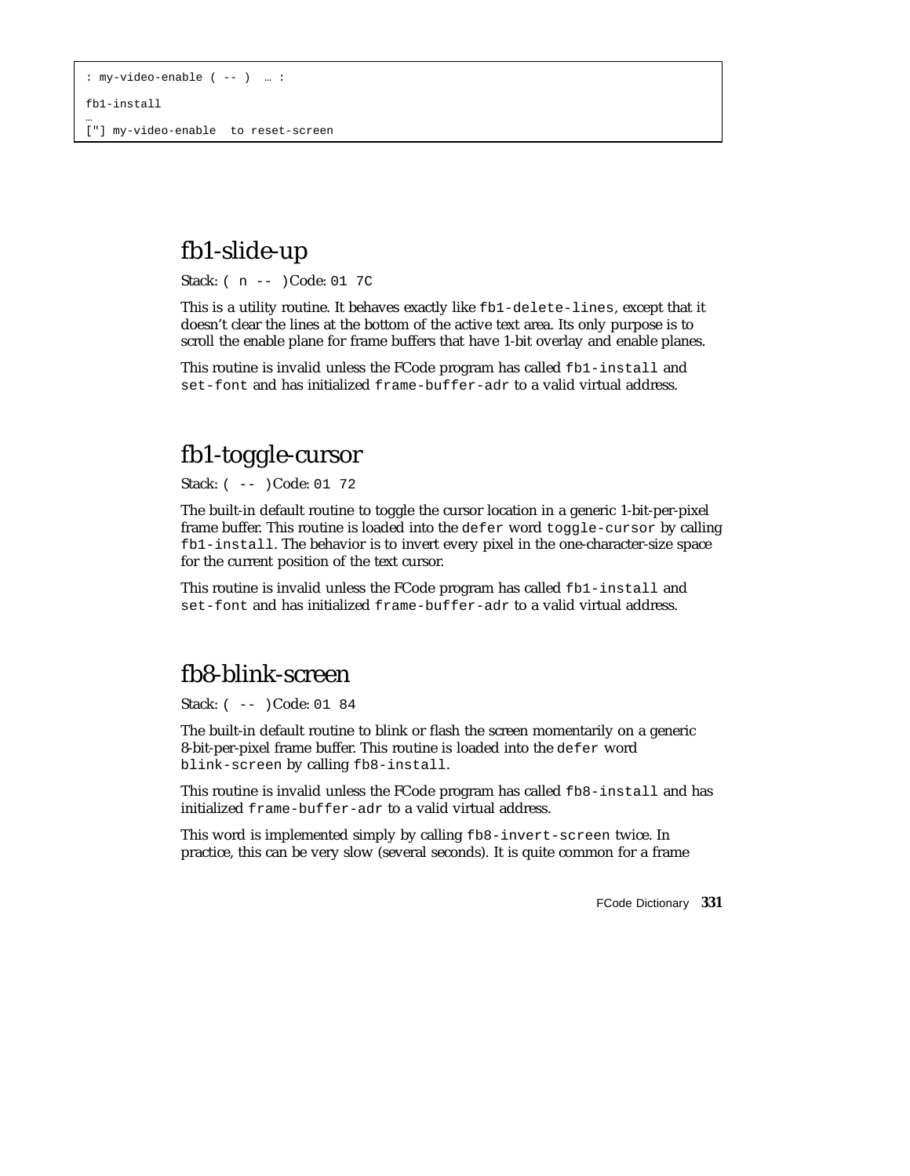fb1-install

…

["] my-video-enable to reset-screen

# fb1-slide-up

Stack: ( n -- )Code: 01 7C

This is a utility routine. It behaves exactly like fb1-delete-lines, except that it doesn't clear the lines at the bottom of the active text area. Its only purpose is to scroll the enable plane for frame buffers that have 1-bit overlay and enable planes.

This routine is invalid unless the FCode program has called fb1-install and set-font and has initialized frame-buffer-adr to a valid virtual address.

## fb1-toggle-cursor

Stack: ( -- )Code: 01 72

The built-in default routine to toggle the cursor location in a generic 1-bit-per-pixel frame buffer. This routine is loaded into the defer word toggle-cursor by calling fb1-install. The behavior is to invert every pixel in the one-character-size space for the current position of the text cursor.

This routine is invalid unless the FCode program has called fb1-install and set-font and has initialized frame-buffer-adr to a valid virtual address.

# fb8-blink-screen

Stack: ( -- )Code: 01 84

The built-in default routine to blink or flash the screen momentarily on a generic 8-bit-per-pixel frame buffer. This routine is loaded into the defer word blink-screen by calling fb8-install.

This routine is invalid unless the FCode program has called fb8-install and has initialized frame-buffer-adr to a valid virtual address.

This word is implemented simply by calling fb8-invert-screen twice. In practice, this can be very slow (several seconds). It is quite common for a frame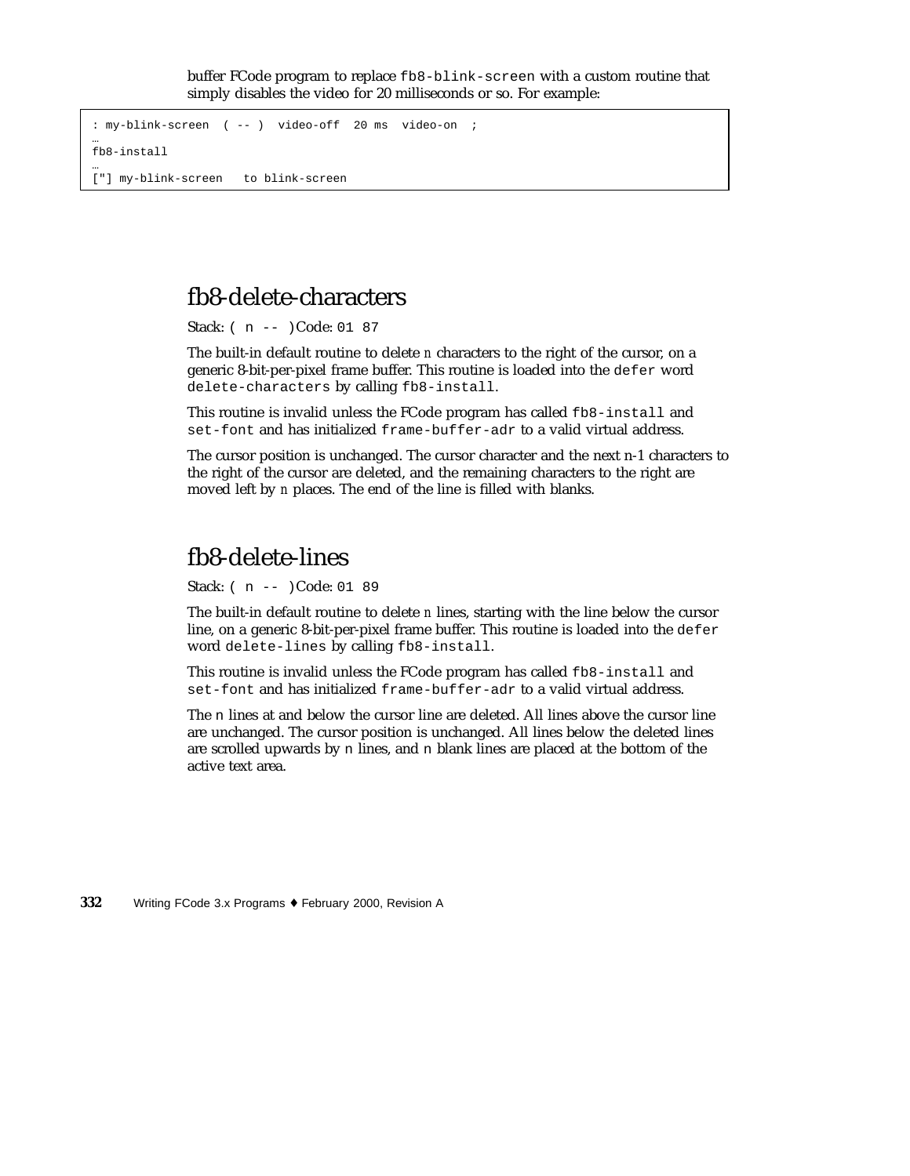buffer FCode program to replace fb8-blink-screen with a custom routine that simply disables the video for 20 milliseconds or so. For example:

```
: my-blink-screen ( -- ) video-off 20 ms video-on ;
…
fb8-install
…
["] my-blink-screen to blink-screen
```
# fb8-delete-characters

Stack: ( n -- )Code: 01 87

The built-in default routine to delete *n* characters to the right of the cursor, on a generic 8-bit-per-pixel frame buffer. This routine is loaded into the defer word delete-characters by calling fb8-install.

This routine is invalid unless the FCode program has called fb8-install and set-font and has initialized frame-buffer-adr to a valid virtual address.

The cursor position is unchanged. The cursor character and the next n-1 characters to the right of the cursor are deleted, and the remaining characters to the right are moved left by *n* places. The end of the line is filled with blanks.

#### fb8-delete-lines

Stack: ( n -- )Code: 01 89

The built-in default routine to delete *n* lines, starting with the line below the cursor line, on a generic 8-bit-per-pixel frame buffer. This routine is loaded into the defer word delete-lines by calling fb8-install.

This routine is invalid unless the FCode program has called fb8-install and set-font and has initialized frame-buffer-adr to a valid virtual address.

The n lines at and below the cursor line are deleted. All lines above the cursor line are unchanged. The cursor position is unchanged. All lines below the deleted lines are scrolled upwards by n lines, and n blank lines are placed at the bottom of the active text area.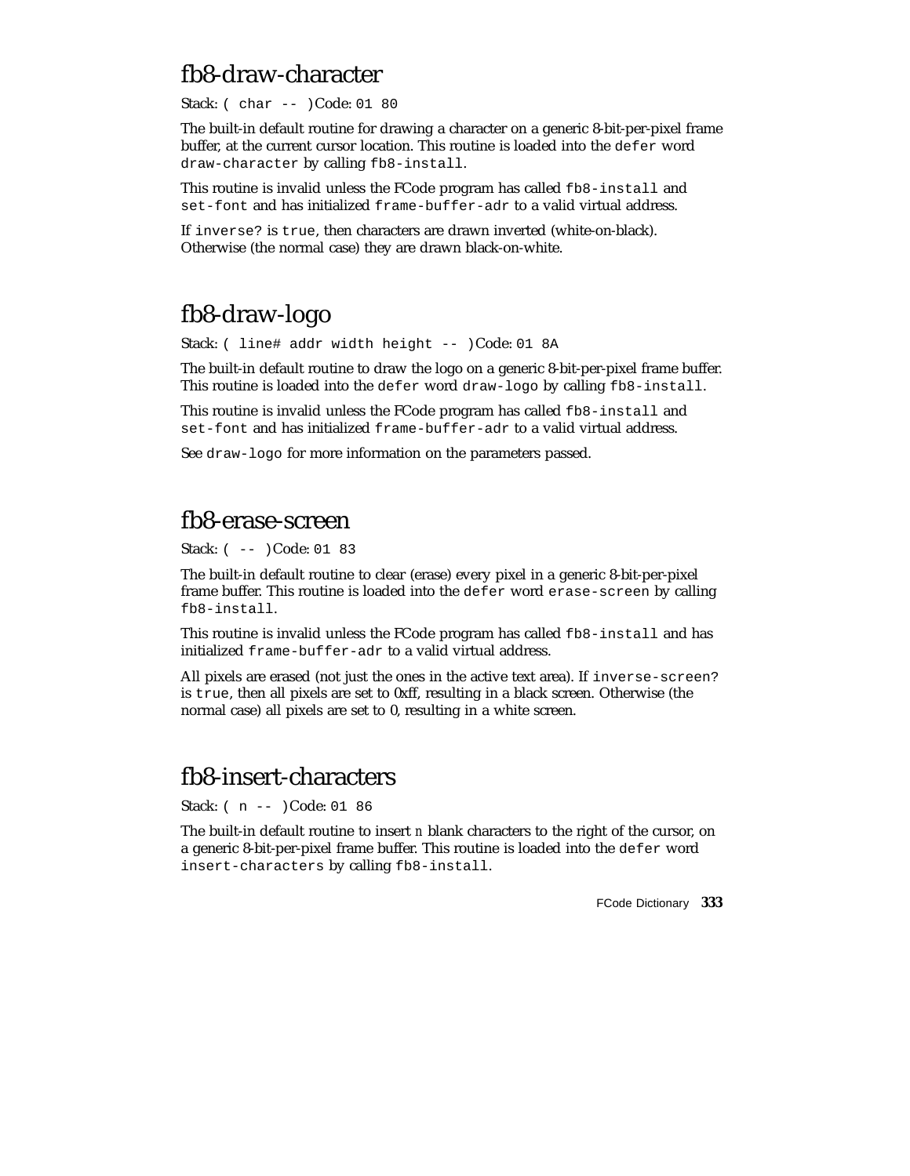## fb8-draw-character

Stack: ( char -- )Code: 01 80

The built-in default routine for drawing a character on a generic 8-bit-per-pixel frame buffer, at the current cursor location. This routine is loaded into the defer word draw-character by calling fb8-install.

This routine is invalid unless the FCode program has called fb8-install and set-font and has initialized frame-buffer-adr to a valid virtual address.

If inverse? is true, then characters are drawn inverted (white-on-black). Otherwise (the normal case) they are drawn black-on-white.

# fb8-draw-logo

Stack: ( line# addr width height -- )Code: 01 8A

The built-in default routine to draw the logo on a generic 8-bit-per-pixel frame buffer. This routine is loaded into the defer word draw-logo by calling fb8-install.

This routine is invalid unless the FCode program has called fb8-install and set-font and has initialized frame-buffer-adr to a valid virtual address.

See draw-logo for more information on the parameters passed.

## fb8-erase-screen

Stack: ( -- )Code: 01 83

The built-in default routine to clear (erase) every pixel in a generic 8-bit-per-pixel frame buffer. This routine is loaded into the defer word erase-screen by calling fb8-install.

This routine is invalid unless the FCode program has called  $f_{\text{bb}}$ -install and has initialized frame-buffer-adr to a valid virtual address.

All pixels are erased (not just the ones in the active text area). If inverse-screen? is true, then all pixels are set to 0xff, resulting in a black screen. Otherwise (the normal case) all pixels are set to 0, resulting in a white screen.

## fb8-insert-characters

Stack: ( n -- )Code: 01 86

The built-in default routine to insert *n* blank characters to the right of the cursor, on a generic 8-bit-per-pixel frame buffer. This routine is loaded into the defer word insert-characters by calling fb8-install.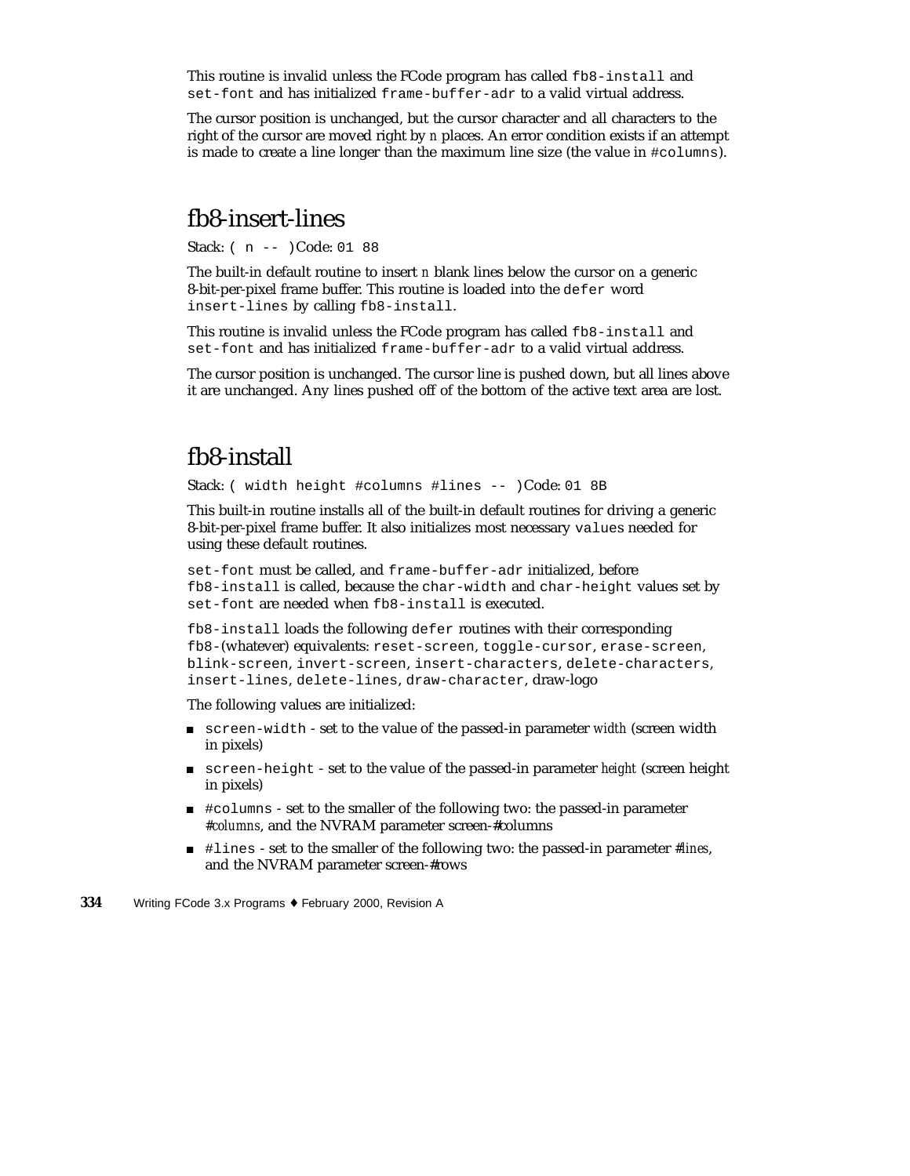This routine is invalid unless the FCode program has called fb8-install and set-font and has initialized frame-buffer-adr to a valid virtual address.

The cursor position is unchanged, but the cursor character and all characters to the right of the cursor are moved right by *n* places. An error condition exists if an attempt is made to create a line longer than the maximum line size (the value in #columns).

#### fb8-insert-lines

Stack: ( n -- )Code: 01 88

The built-in default routine to insert *n* blank lines below the cursor on a generic 8-bit-per-pixel frame buffer. This routine is loaded into the defer word insert-lines by calling fb8-install.

This routine is invalid unless the FCode program has called fb8-install and set-font and has initialized frame-buffer-adr to a valid virtual address.

The cursor position is unchanged. The cursor line is pushed down, but all lines above it are unchanged. Any lines pushed off of the bottom of the active text area are lost.

### fb8-install

Stack: ( width height #columns #lines -- )Code: 01 8B

This built-in routine installs all of the built-in default routines for driving a generic 8-bit-per-pixel frame buffer. It also initializes most necessary values needed for using these default routines.

set-font must be called, and frame-buffer-adr initialized, before fb8-install is called, because the char-width and char-height values set by set-font are needed when fb8-install is executed.

fb8-install loads the following defer routines with their corresponding fb8-(whatever) equivalents: reset-screen, toggle-cursor, erase-screen, blink-screen, invert-screen, insert-characters, delete-characters, insert-lines, delete-lines, draw-character, draw-logo

The following values are initialized:

- screen-width set to the value of the passed-in parameter *width* (screen width in pixels)
- screen-height set to the value of the passed-in parameter *height* (screen height in pixels)
- #columns set to the smaller of the following two: the passed-in parameter *#columns*, and the NVRAM parameter screen-#columns
- #lines set to the smaller of the following two: the passed-in parameter *#lines*, and the NVRAM parameter screen-#rows
- **334** Writing FCode 3.x Programs ♦ February 2000, Revision A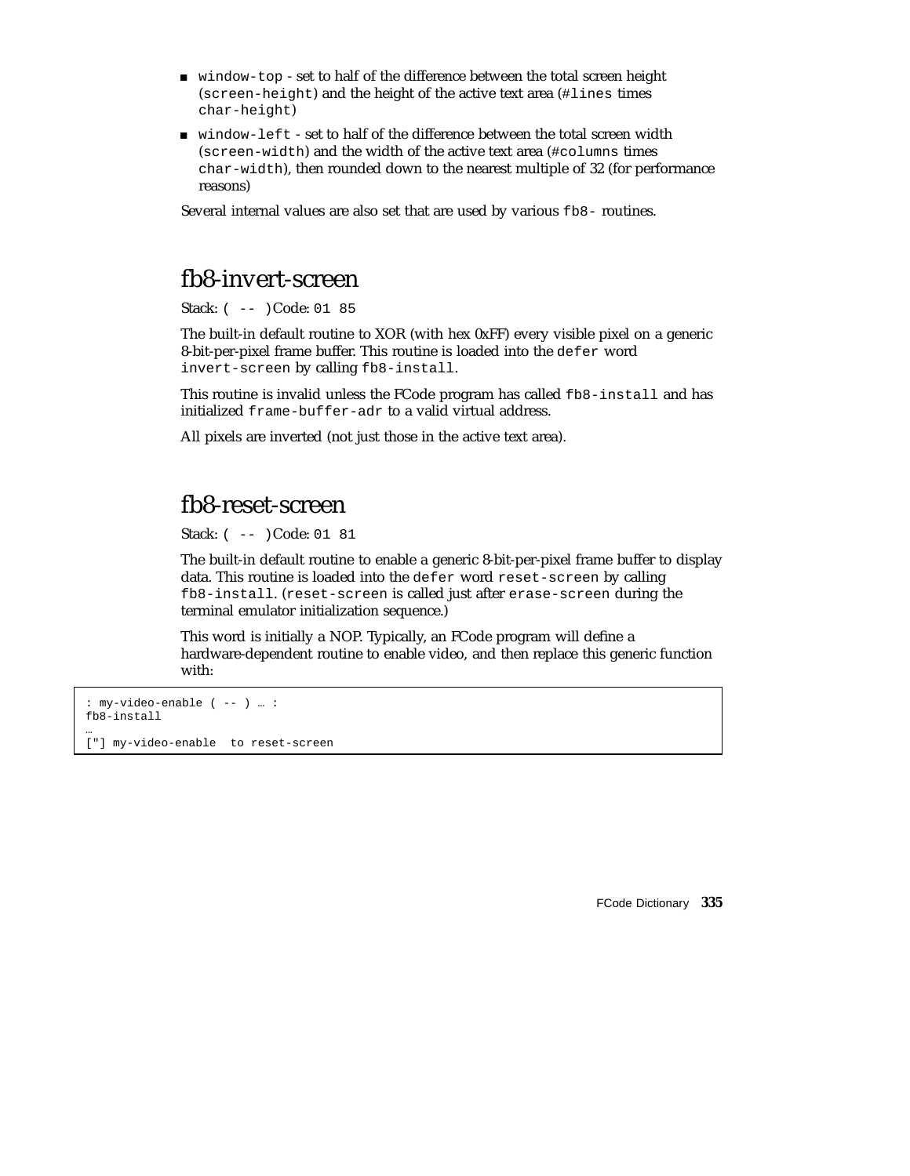- window-top set to half of the difference between the total screen height (screen-height) and the height of the active text area (#lines times char-height)
- window-left set to half of the difference between the total screen width (screen-width) and the width of the active text area (#columns times char-width), then rounded down to the nearest multiple of 32 (for performance reasons)

Several internal values are also set that are used by various  $f_{\text{B8}}$ - routines.

#### fb8-invert-screen

Stack: ( -- )Code: 01 85

The built-in default routine to XOR (with hex 0xFF) every visible pixel on a generic 8-bit-per-pixel frame buffer. This routine is loaded into the defer word invert-screen by calling fb8-install.

This routine is invalid unless the FCode program has called fb8-install and has initialized frame-buffer-adr to a valid virtual address.

All pixels are inverted (not just those in the active text area).

#### fb8-reset-screen

Stack: ( -- )Code: 01 81

The built-in default routine to enable a generic 8-bit-per-pixel frame buffer to display data. This routine is loaded into the defer word reset-screen by calling fb8-install. (reset-screen is called just after erase-screen during the terminal emulator initialization sequence.)

This word is initially a NOP. Typically, an FCode program will define a hardware-dependent routine to enable video, and then replace this generic function with:

```
: my-video-enable ( -- ) … :
fb8-install
…
```
["] my-video-enable to reset-screen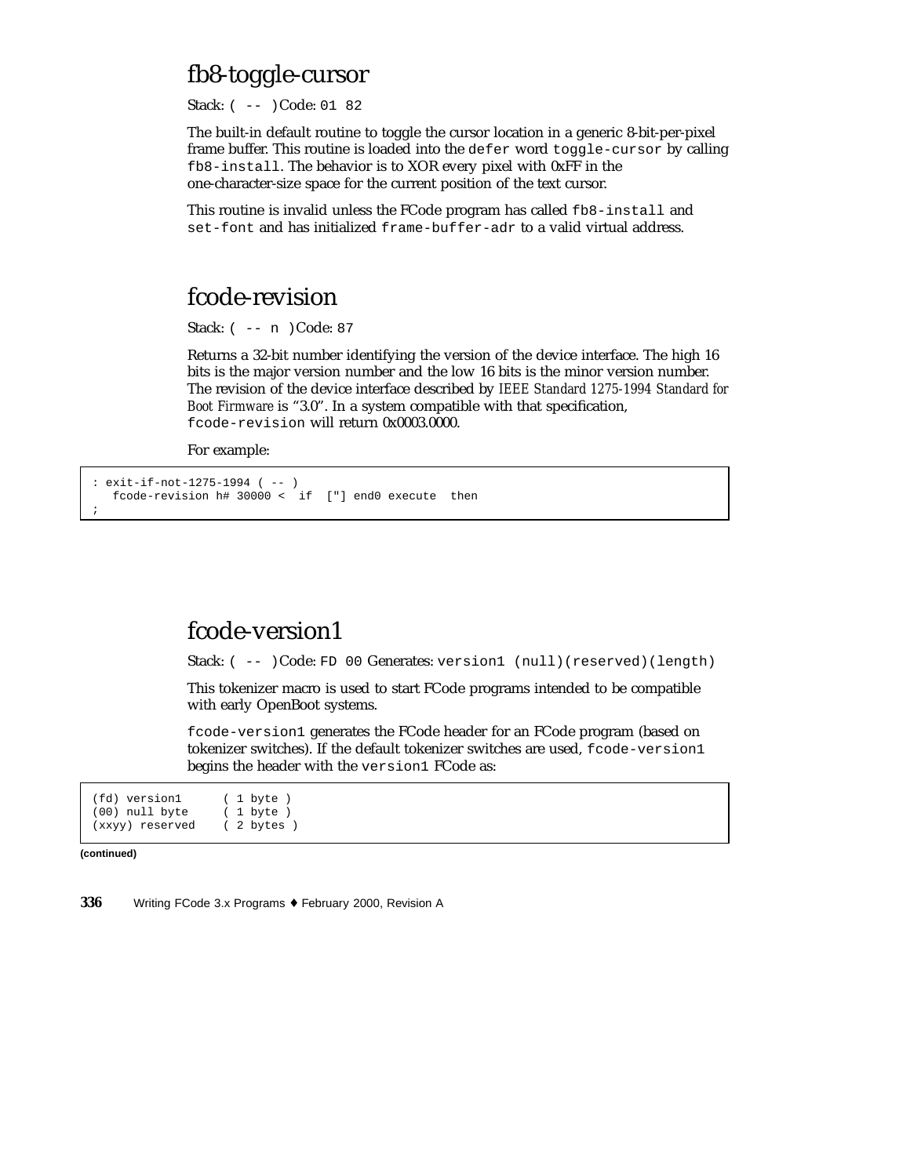### fb8-toggle-cursor

Stack: ( -- )Code: 01 82

The built-in default routine to toggle the cursor location in a generic 8-bit-per-pixel frame buffer. This routine is loaded into the defer word toggle-cursor by calling fb8-install. The behavior is to XOR every pixel with 0xFF in the one-character-size space for the current position of the text cursor.

This routine is invalid unless the FCode program has called fb8-install and set-font and has initialized frame-buffer-adr to a valid virtual address.

# fcode-revision

Stack: ( -- n )Code: 87

Returns a 32-bit number identifying the version of the device interface. The high 16 bits is the major version number and the low 16 bits is the minor version number. The revision of the device interface described by *IEEE Standard 1275-1994 Standard for Boot Firmware* is "3.0". In a system compatible with that specification, fcode-revision will return 0x0003.0000.

For example:

```
: exit-if-not-1275-1994 ( -- )
  fcode-revision h# 30000 < if ["] end0 execute then
;
```
#### fcode-version1

Stack: ( -- )Code: FD 00 Generates: version1 (null)(reserved)(length)

This tokenizer macro is used to start FCode programs intended to be compatible with early OpenBoot systems.

fcode-version1 generates the FCode header for an FCode program (based on tokenizer switches). If the default tokenizer switches are used, fcode-version1 begins the header with the version1 FCode as:

(fd) version1 ( 1 byte )<br>(00) null byte ( 1 byte )  $(00)$  null byte (xxyy) reserved ( 2 bytes )

**(continued)**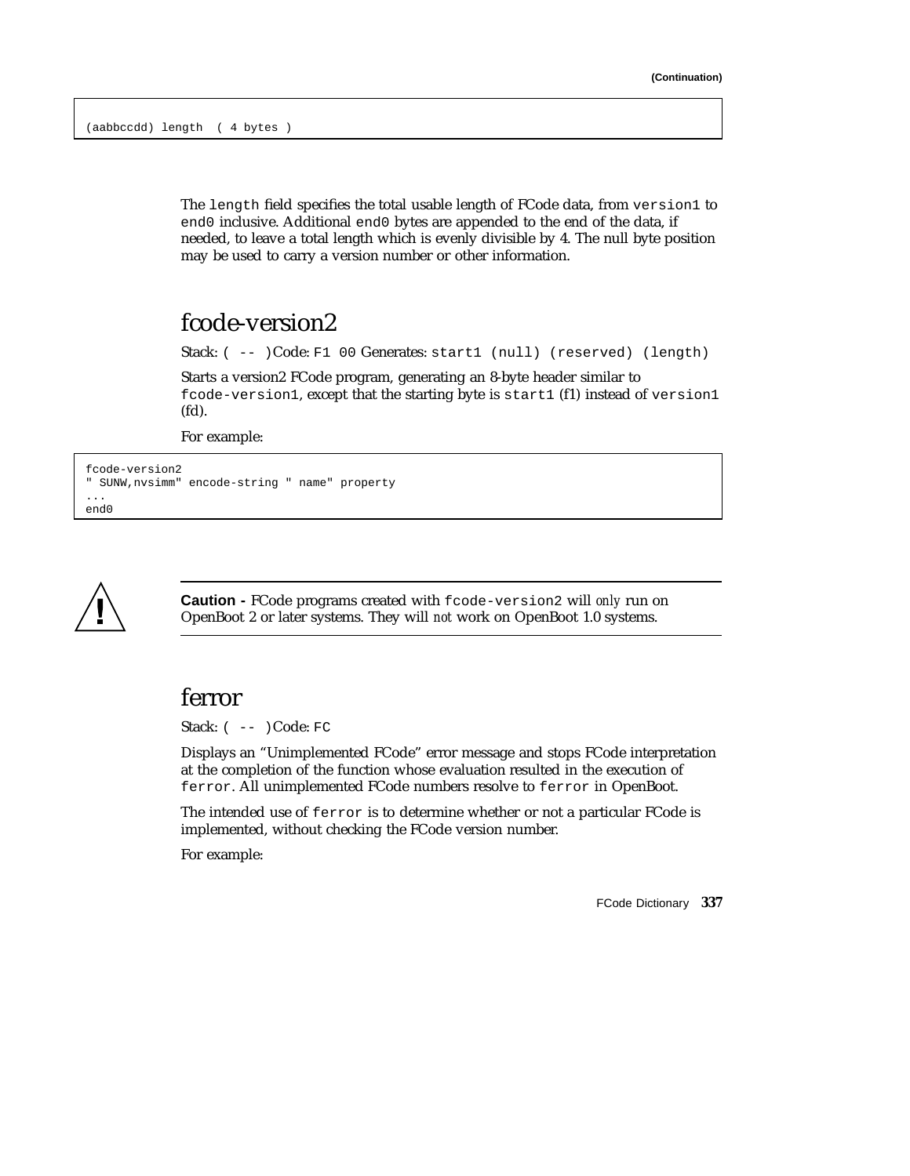The length field specifies the total usable length of FCode data, from version1 to end0 inclusive. Additional end0 bytes are appended to the end of the data, if needed, to leave a total length which is evenly divisible by 4. The null byte position may be used to carry a version number or other information.

## fcode-version2

Stack: ( -- )Code: F1 00 Generates: start1 (null) (reserved) (length)

Starts a version2 FCode program, generating an 8-byte header similar to fcode-version1, except that the starting byte is start1 (f1) instead of version1 (fd).

For example:

```
fcode-version2
" SUNW,nvsimm" encode-string " name" property
...
end0
```


**Caution -** FCode programs created with fcode-version2 will *only* run on OpenBoot 2 or later systems. They will *not* work on OpenBoot 1.0 systems.

#### ferror

Stack:  $(- - )$ Code: FC

Displays an "Unimplemented FCode" error message and stops FCode interpretation at the completion of the function whose evaluation resulted in the execution of ferror. All unimplemented FCode numbers resolve to ferror in OpenBoot.

The intended use of ferror is to determine whether or not a particular FCode is implemented, without checking the FCode version number.

For example: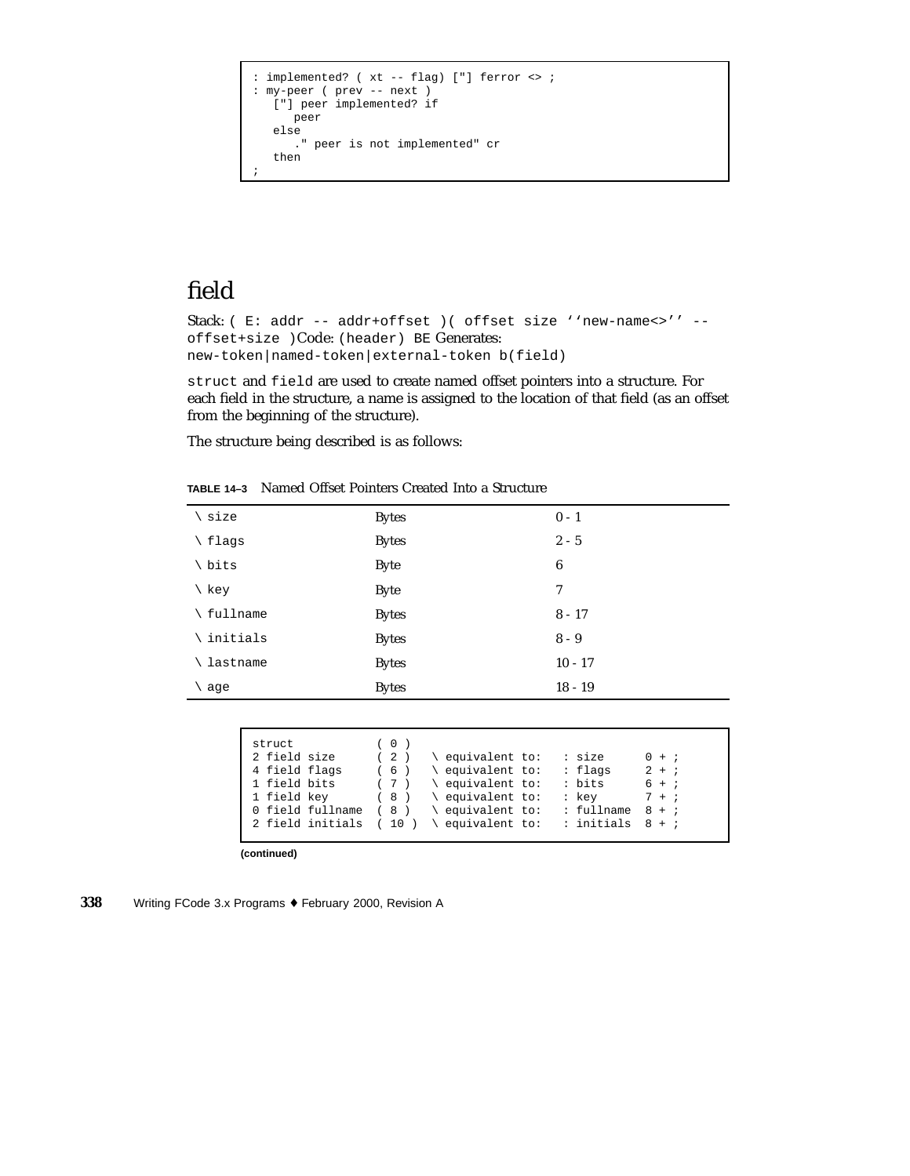```
: implemented? ( xt -- flag) ["] ferror <> ;
: my-peer ( prev -- next )
   ["] peer implemented? if
     peer
   else
      ." peer is not implemented" cr
   then
;
```
# field

```
Stack: ( E: addr -- addr+offset )( offset size ''new-name<>'' --
offset+size )Code: (header) BE Generates:
new-token|named-token|external-token b(field)
```
struct and field are used to create named offset pointers into a structure. For each field in the structure, a name is assigned to the location of that field (as an offset from the beginning of the structure).

The structure being described is as follows:

| \ size             | <b>Bytes</b> | $0 - 1$   |
|--------------------|--------------|-----------|
| \ flags            | <b>Bytes</b> | $2 - 5$   |
| \ bits             | <b>Byte</b>  | 6         |
| \ key              | <b>Byte</b>  | 7         |
| \ fullname         | <b>Bytes</b> | $8 - 17$  |
| $\langle$ initials | <b>Bytes</b> | $8 - 9$   |
| \ lastname         | <b>Bytes</b> | $10 - 17$ |
| $\setminus$ age    | <b>Bytes</b> | $18 - 19$ |
|                    |              |           |

**TABLE 14–3** Named Offset Pointers Created Into a Structure

| struct           | (0)  |                                  |                       |
|------------------|------|----------------------------------|-----------------------|
| 2 field size     | (2)  | equivalent to:<br>: size         | $0 + i$               |
| 4 field flags    | (6)  | equivalent to:<br>: flags        | $2 + i$               |
| 1 field bits     |      | : bits<br>$(7)$ \ equivalent to: | $6 + i$               |
| 1 field key      | (8)  | equivalent to:<br>: kev          | $7 + i$               |
| 0 field fullname |      | $(8)$ \ equivalent to:           | : fullname<br>$8 + i$ |
| 2 field initials | (10) | equivalent to:                   | $:$ initials $8 + i$  |
|                  |      |                                  |                       |

**(continued)**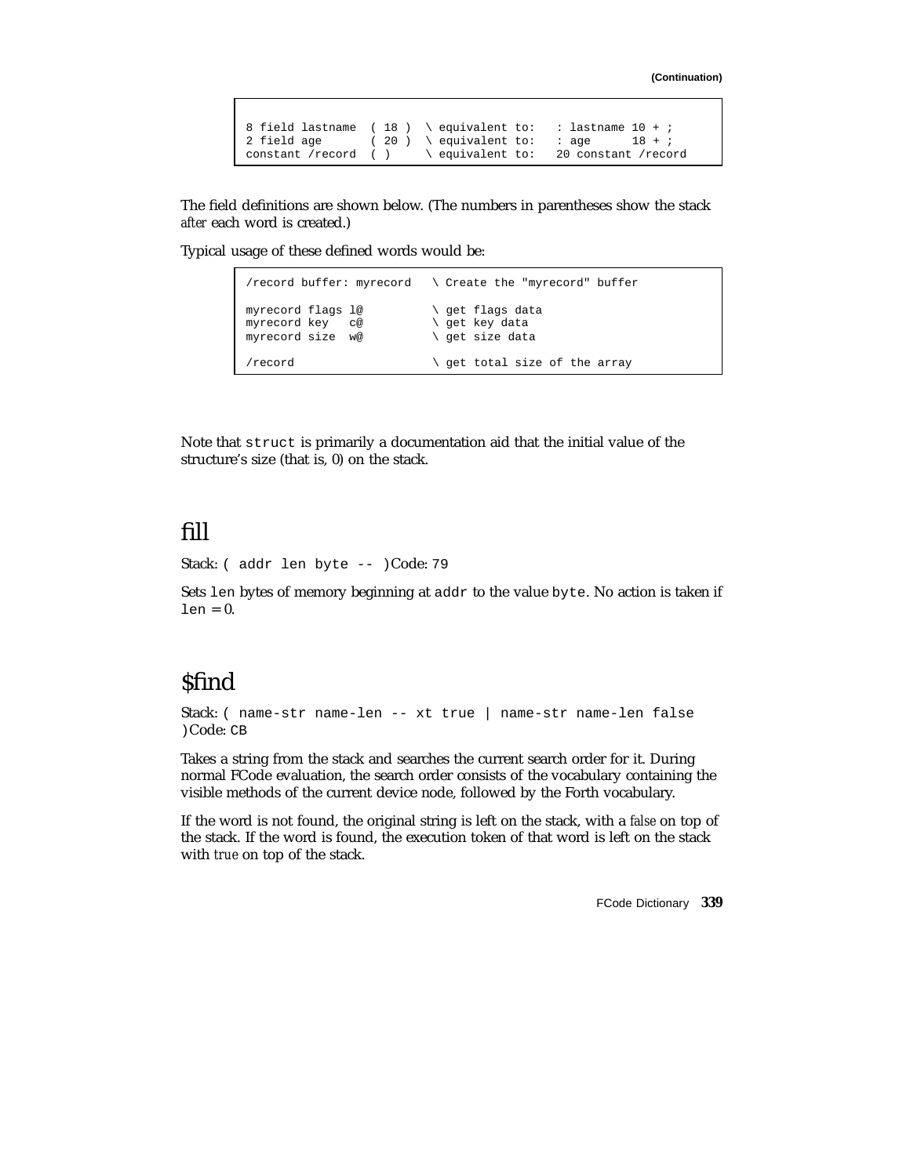```
8 field lastname ( 18 ) \ equivalent to: : lastname 10 + i<br>2 field age ( 20 ) \ equivalent to: : age 18 + ;
                           ( 20 ) \ \text{equivalent to:}<br>
( ) \ \ \text{equivalent to:}constant /record ( ) \ equivalent to: 20 constant /record
```
The field definitions are shown below. (The numbers in parentheses show the stack *after* each word is created.)

Typical usage of these defined words would be:

|                                                             | /record buffer: myrecord $\ \ \$ Create the "myrecord" buffer |
|-------------------------------------------------------------|---------------------------------------------------------------|
| myrecord flags l@<br>myrecord key<br>C@<br>myrecord size w@ | \ qet flaqs data<br>\ qet key data<br>\ qet size data         |
| record)                                                     | \ qet total size of the array                                 |

Note that struct is primarily a documentation aid that the initial value of the structure's size (that is, 0) on the stack.

# fill

Stack: ( addr len byte -- )Code: 79

Sets len bytes of memory beginning at addr to the value byte. No action is taken if  $len = 0$ .

# **\$find**

Stack: ( name-str name-len -- xt true | name-str name-len false )Code: CB

Takes a string from the stack and searches the current search order for it. During normal FCode evaluation, the search order consists of the vocabulary containing the visible methods of the current device node, followed by the Forth vocabulary.

If the word is not found, the original string is left on the stack, with a *false* on top of the stack. If the word is found, the execution token of that word is left on the stack with *true* on top of the stack.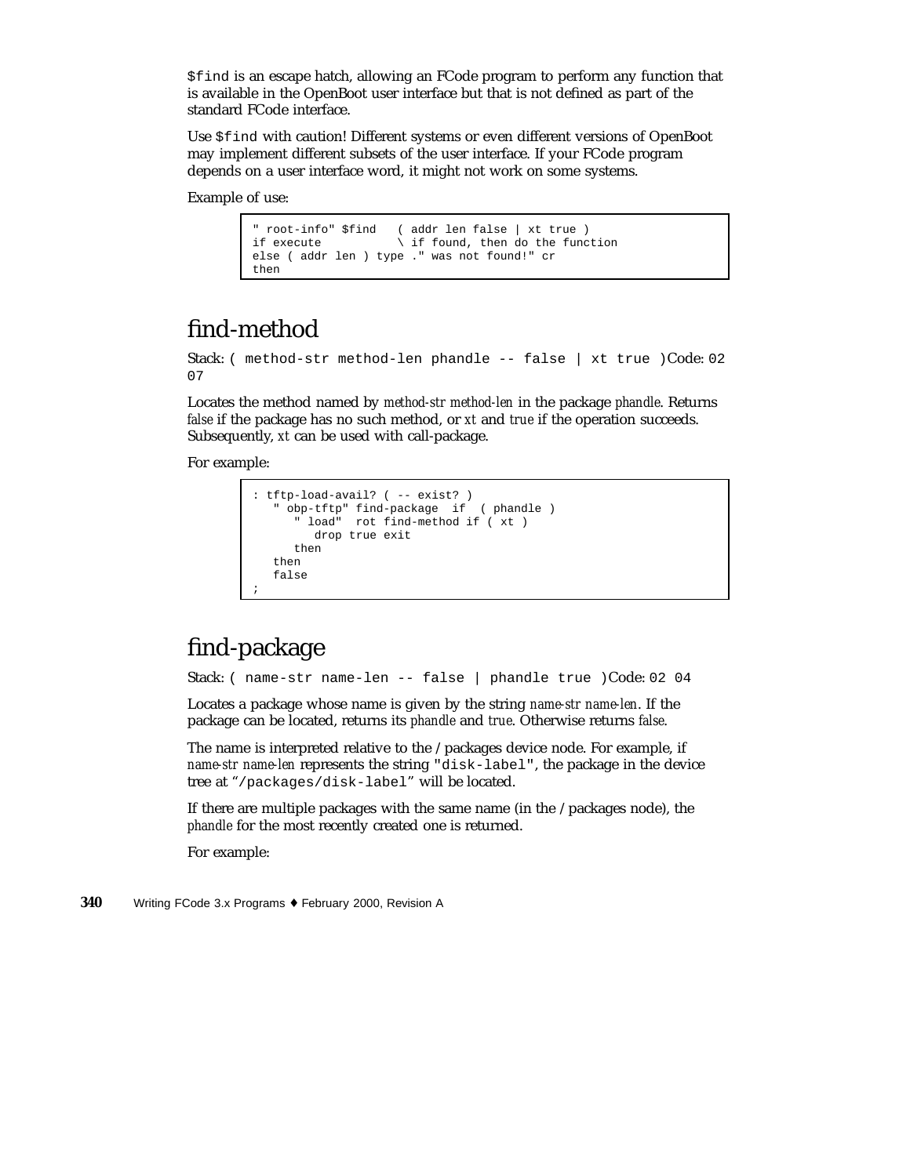\$find is an escape hatch, allowing an FCode program to perform any function that is available in the OpenBoot user interface but that is not defined as part of the standard FCode interface.

Use \$find with caution! Different systems or even different versions of OpenBoot may implement different subsets of the user interface. If your FCode program depends on a user interface word, it might not work on some systems.

Example of use:

```
" root-info" $find ( addr len false | xt true )
                      \backslash if found, then do the function
else ( addr len ) type ." was not found!" cr
then
```
# find-method

Stack: ( method-str method-len phandle -- false | xt true )Code: 02 07

Locates the method named by *method-str method-len* in the package *phandle*. Returns *false* if the package has no such method, or *xt* and *true* if the operation succeeds. Subsequently, *xt* can be used with call-package.

For example:

```
: tftp-load-avail? ( -- exist? )
   " obp-tftp" find-package if ( phandle )
      " load" rot find-method if ( xt )
        drop true exit
     then
  then
  false
;
```
# find-package

Stack: ( name-str name-len -- false | phandle true )Code: 02 04

Locates a package whose name is given by the string *name-str name-len*. If the package can be located, returns its *phandle* and *true*. Otherwise returns *false*.

The name is interpreted relative to the /packages device node. For example, if *name-str name-len* represents the string "disk-label", the package in the device tree at "/packages/disk-label" will be located.

If there are multiple packages with the same name (in the /packages node), the *phandle* for the most recently created one is returned.

For example: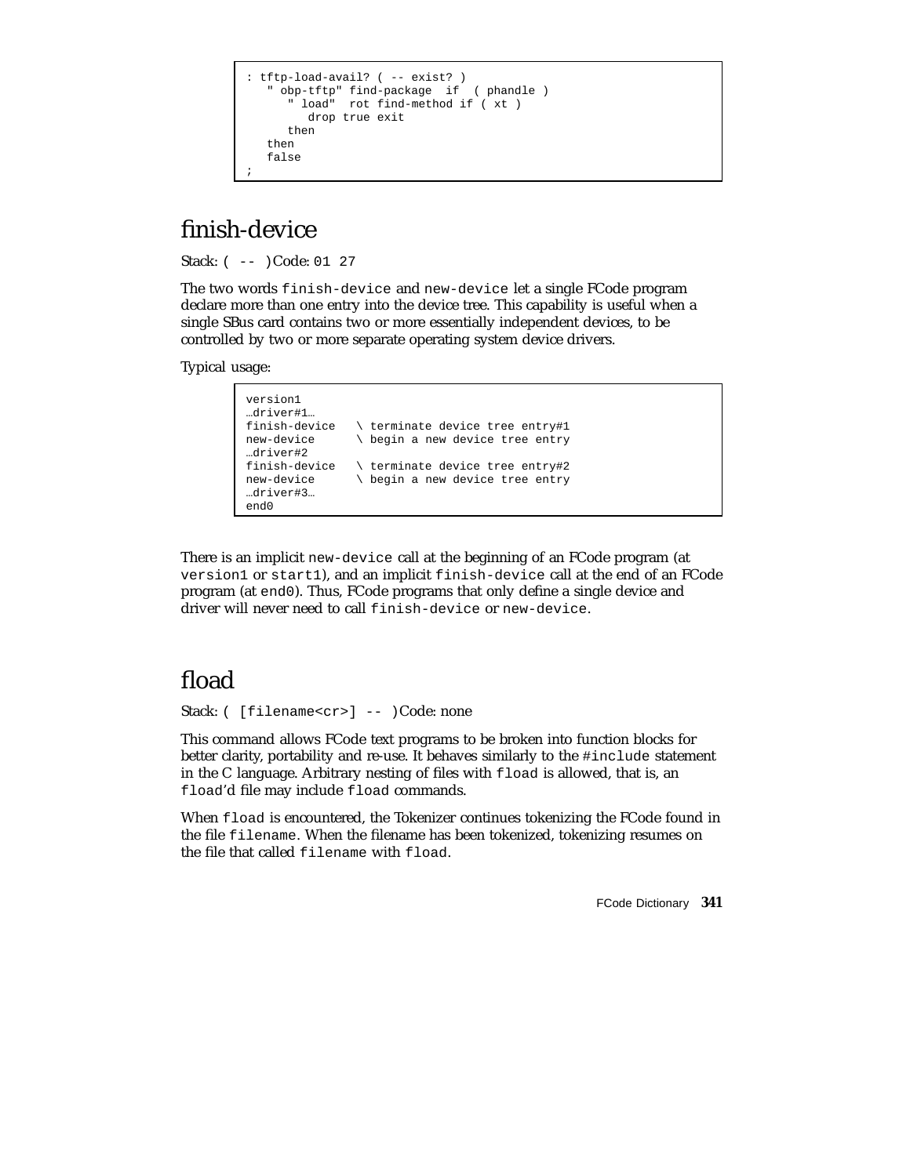```
: tftp-load-avail? ( -- exist? )
   " obp-tftp" find-package if ( phandle )
      " load" rot find-method if ( xt )
        drop true exit
     then
  then
  false
;
```
# finish-device

Stack: ( -- )Code: 01 27

The two words finish-device and new-device let a single FCode program declare more than one entry into the device tree. This capability is useful when a single SBus card contains two or more essentially independent devices, to be controlled by two or more separate operating system device drivers.

Typical usage:

```
version1
…driver#1…
finish-device \ terminate device tree entry#1<br>new-device \ begin a new device tree entry
                        \ begin a new device tree entry
…driver#2
finish-device \setminus terminate device tree entry#2<br>new-device \setminus begin a new device tree entry
                        \ begin a new device tree entry
…driver#3…
end0
```
There is an implicit new-device call at the beginning of an FCode program (at version1 or start1), and an implicit finish-device call at the end of an FCode program (at end0). Thus, FCode programs that only define a single device and driver will never need to call finish-device or new-device.

#### fload

Stack: ( [filename<cr>] -- )Code: none

This command allows FCode text programs to be broken into function blocks for better clarity, portability and re-use. It behaves similarly to the #include statement in the C language. Arbitrary nesting of files with fload is allowed, that is, an fload'd file may include fload commands.

When fload is encountered, the Tokenizer continues tokenizing the FCode found in the file filename. When the filename has been tokenized, tokenizing resumes on the file that called filename with fload.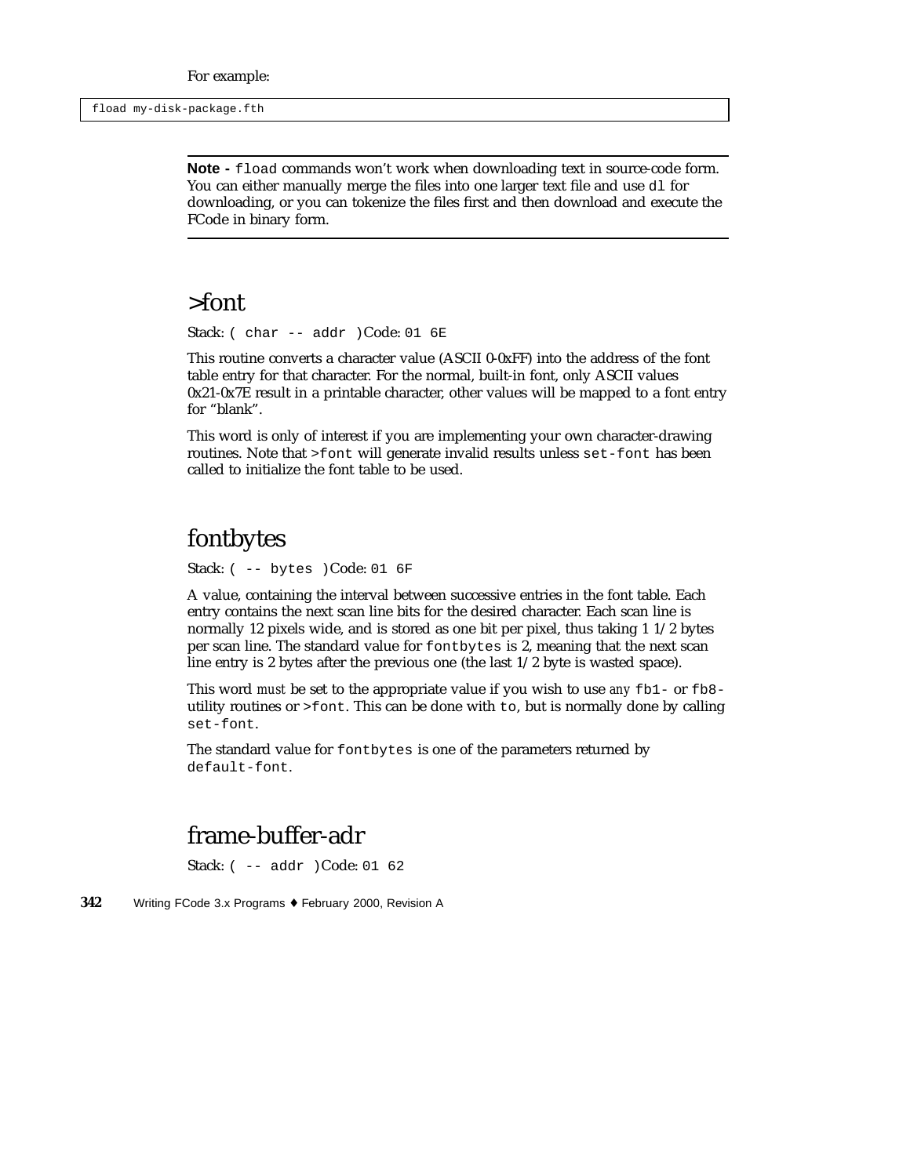**Note -** fload commands won't work when downloading text in source-code form. You can either manually merge the files into one larger text file and use d1 for downloading, or you can tokenize the files first and then download and execute the FCode in binary form.

#### >font

Stack: (  $char$  --  $addr$  )Code: 01  $6E$ 

This routine converts a character value (ASCII 0-0xFF) into the address of the font table entry for that character. For the normal, built-in font, only ASCII values 0x21-0x7E result in a printable character, other values will be mapped to a font entry for "blank".

This word is only of interest if you are implementing your own character-drawing routines. Note that >font will generate invalid results unless set-font has been called to initialize the font table to be used.

# fontbytes

Stack: ( -- bytes )Code: 01 6F

A value, containing the interval between successive entries in the font table. Each entry contains the next scan line bits for the desired character. Each scan line is normally 12 pixels wide, and is stored as one bit per pixel, thus taking 1 1/2 bytes per scan line. The standard value for fontbytes is 2, meaning that the next scan line entry is 2 bytes after the previous one (the last 1/2 byte is wasted space).

This word *must* be set to the appropriate value if you wish to use *any* fb1- or fb8 utility routines or >font. This can be done with to, but is normally done by calling set-font.

The standard value for fontbytes is one of the parameters returned by default-font.

# frame-buffer-adr

Stack: ( -- addr )Code: 01 62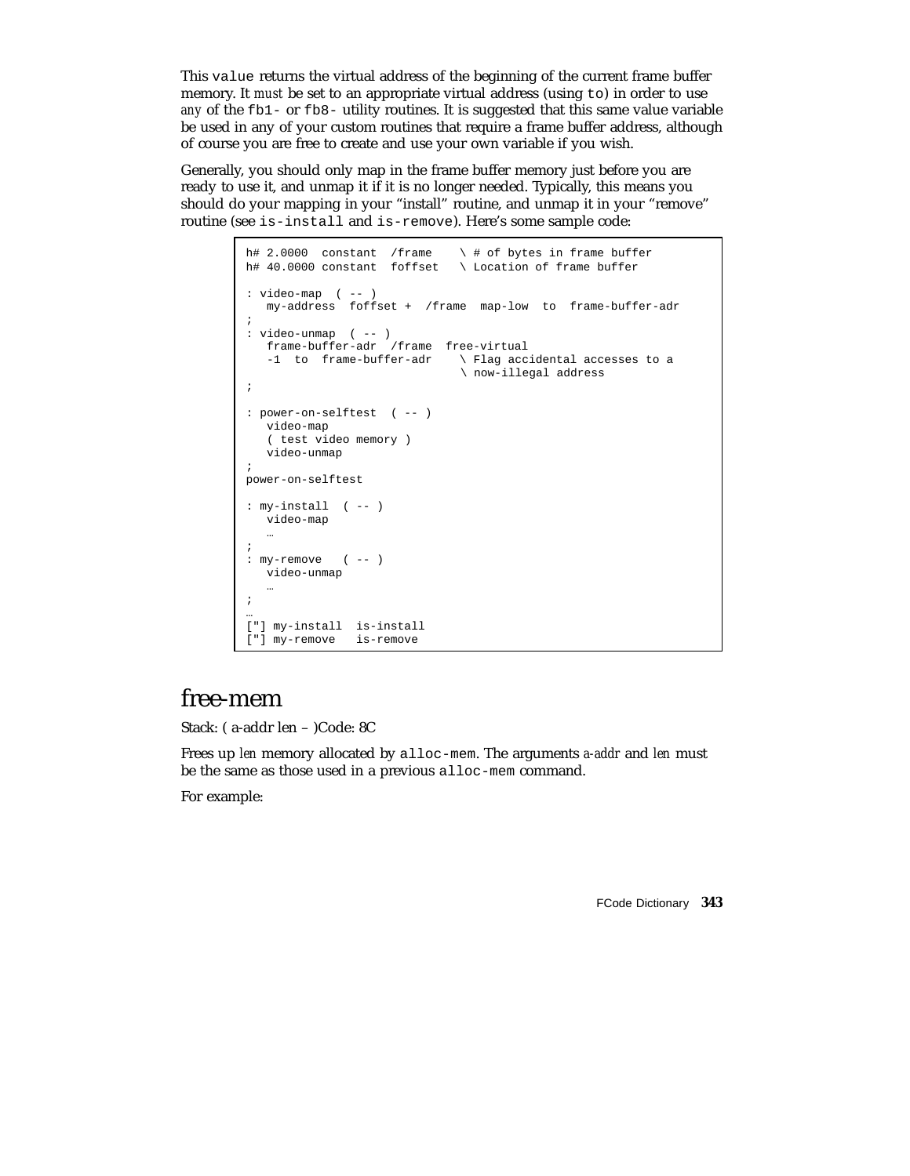This value returns the virtual address of the beginning of the current frame buffer memory. It *must* be set to an appropriate virtual address (using to) in order to use *any* of the fb1- or fb8- utility routines. It is suggested that this same value variable be used in any of your custom routines that require a frame buffer address, although of course you are free to create and use your own variable if you wish.

Generally, you should only map in the frame buffer memory just before you are ready to use it, and unmap it if it is no longer needed. Typically, this means you should do your mapping in your "install" routine, and unmap it in your "remove" routine (see is-install and is-remove). Here's some sample code:

```
h# 2.0000 constant /frame \ \ \ \ \ \ \ \ \ \ \ of bytes in frame buffer
h# 40.0000 constant foffset \ Location of frame buffer
: video-map ( -- )
  my-address foffset + /frame map-low to frame-buffer-adr
;
: video-unmap ( -- )
  frame-buffer-adr /frame free-virtual
   -1 to frame-buffer-adr \ Flag accidental accesses to a
                               \ now-illegal address
;
: power-on-selftest ( -- )
   video-map
   ( test video memory )
   video-unmap
;
power-on-selftest
: my-install ( -- )
   video-map
   …
;
: my-remove ( -- )
   video-unmap
   …
;
…
["] my-install is-install
["] my-remove is-remove
```
#### free-mem

Stack: ( a-addr len – )Code: 8C

Frees up *len* memory allocated by alloc-mem. The arguments *a-addr* and *len* must be the same as those used in a previous alloc-mem command.

For example: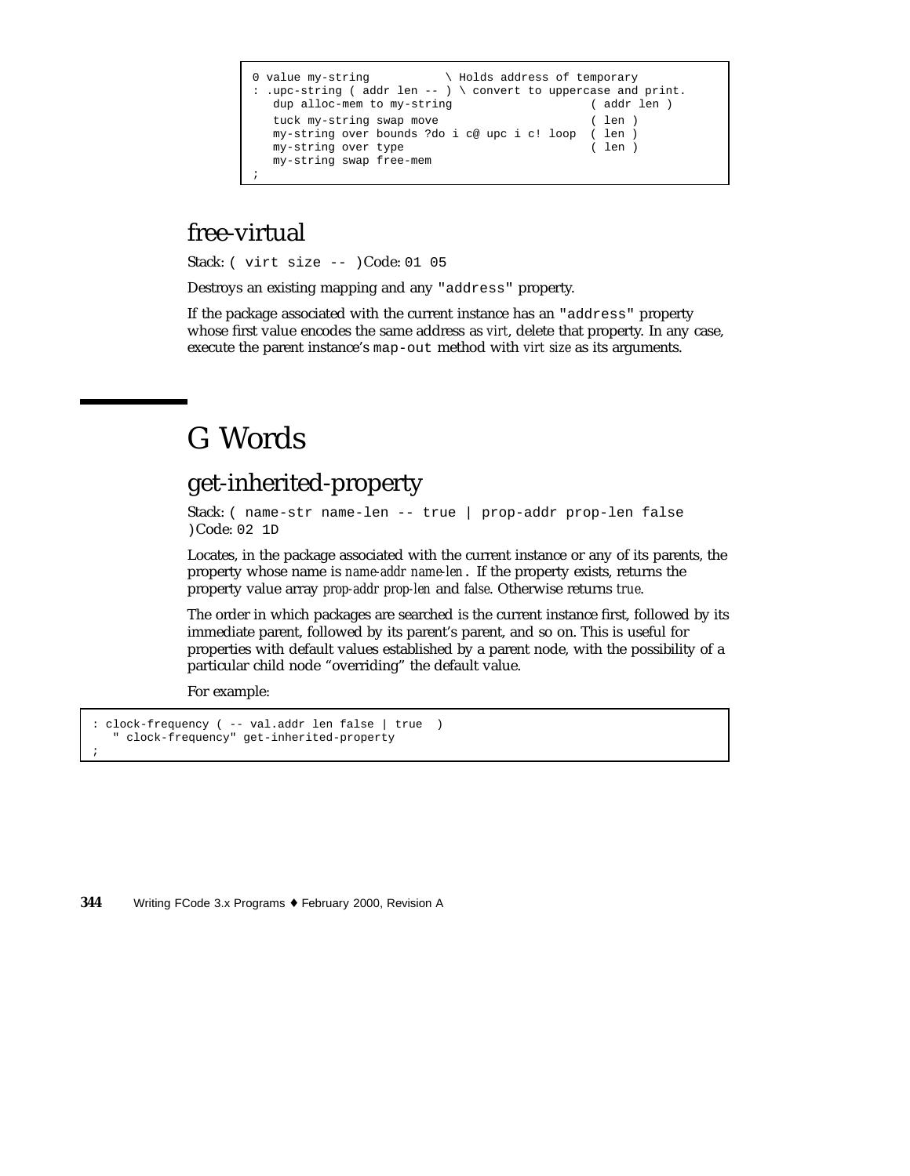```
0 value my-string \qquad \qquad \setminus Holds address of temporary
: .upc-string ( addr len -- ) \ convert to uppercase and print.
  dup alloc-mem to my-string ( addr len )
  tuck my-string swap move ( len )
  my-string over bounds ?do i c@ upc i c! loop ( len )
  my-string over type ( len )
  my-string swap free-mem
;
```
# free-virtual

Stack: ( virt size -- )Code: 01 05

Destroys an existing mapping and any "address" property.

If the package associated with the current instance has an "address" property whose first value encodes the same address as *virt*, delete that property. In any case, execute the parent instance's map-out method with *virt size* as its arguments.

# G Words

#### get-inherited-property

Stack: ( name-str name-len -- true | prop-addr prop-len false )Code: 02 1D

Locates, in the package associated with the current instance or any of its parents, the property whose name is *name-addr name-len*. If the property exists, returns the property value array *prop-addr prop-len* and *false*. Otherwise returns *true*.

The order in which packages are searched is the current instance first, followed by its immediate parent, followed by its parent's parent, and so on. This is useful for properties with default values established by a parent node, with the possibility of a particular child node "overriding" the default value.

For example:

```
: clock-frequency ( -- val.addr len false | true )
  " clock-frequency" get-inherited-property
;
```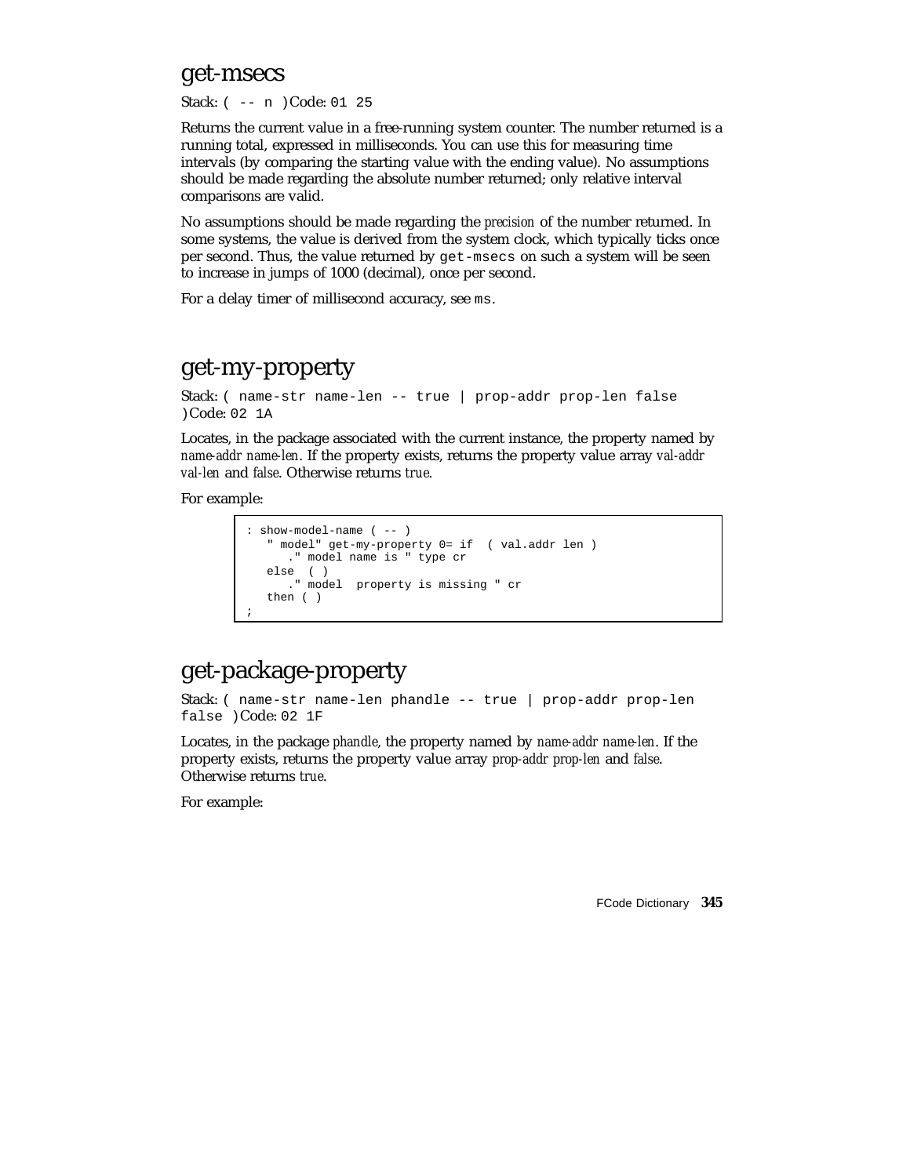#### get-msecs

Stack: ( -- n )Code: 01 25

Returns the current value in a free-running system counter. The number returned is a running total, expressed in milliseconds. You can use this for measuring time intervals (by comparing the starting value with the ending value). No assumptions should be made regarding the absolute number returned; only relative interval comparisons are valid.

No assumptions should be made regarding the *precision* of the number returned. In some systems, the value is derived from the system clock, which typically ticks once per second. Thus, the value returned by get-msecs on such a system will be seen to increase in jumps of 1000 (decimal), once per second.

For a delay timer of millisecond accuracy, see ms.

#### get-my-property

```
Stack: ( name-str name-len -- true | prop-addr prop-len false
)Code: 02 1A
```
Locates, in the package associated with the current instance, the property named by *name-addr name-len*. If the property exists, returns the property value array *val-addr val-len* and *false*. Otherwise returns *true*.

For example:

```
: show-model-name ( -- )
  " model" get-my-property 0= if ( val.addr len )
     ." model name is " type cr
  else ( )
    ." model property is missing " cr
  then ( )
;
```
# get-package-property

Stack: ( name-str name-len phandle -- true | prop-addr prop-len false )Code: 02 1F

Locates, in the package *phandle*, the property named by *name-addr name-len*. If the property exists, returns the property value array *prop-addr prop-len* and *false*. Otherwise returns *true*.

For example: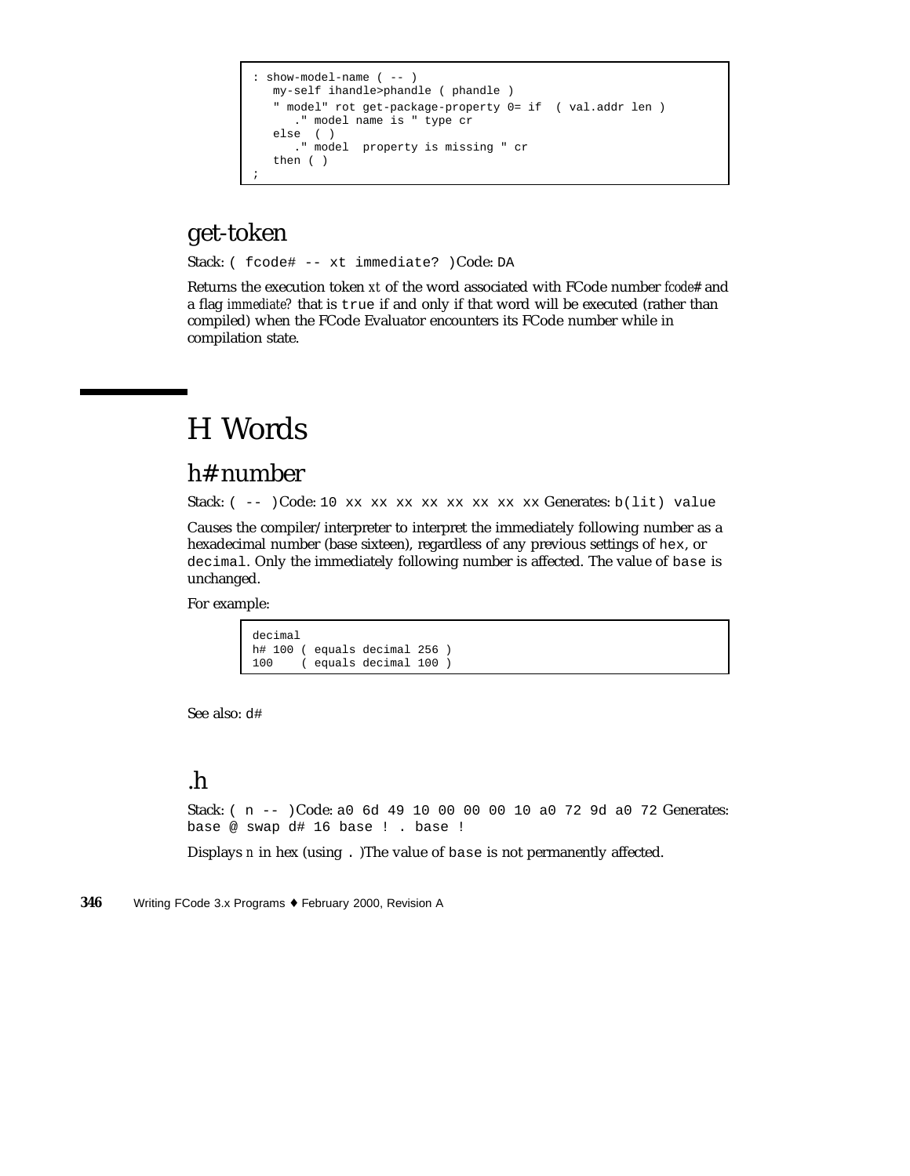```
: show-model-name ( -- )
  my-self ihandle>phandle ( phandle )
  " model" rot get-package-property 0= if ( val.addr len )
     ." model name is " type cr
  else ( )
     ." model property is missing " cr
  then ( )
;
```
# get-token

Stack: ( fcode# -- xt immediate? )Code: DA

Returns the execution token *xt* of the word associated with FCode number *fcode#* and a flag *immediate?* that is true if and only if that word will be executed (rather than compiled) when the FCode Evaluator encounters its FCode number while in compilation state.

# H Words

#### h# number

Stack: ( -- )Code: 10 xx xx xx xx xx xx xx xx xx Generates: b(lit) value

Causes the compiler/interpreter to interpret the immediately following number as a hexadecimal number (base sixteen), regardless of any previous settings of hex, or decimal. Only the immediately following number is affected. The value of base is unchanged.

For example:

```
decimal
h# 100 ( equals decimal 256 )<br>100 ( equals decimal 100 )
           100 ( equals decimal 100 )
```
See also: d#

# .h

Stack: ( n -- )Code: a0 6d 49 10 00 00 00 10 a0 72 9d a0 72 Generates: base @ swap d# 16 base ! . base !

Displays *n* in hex (using . )The value of base is not permanently affected.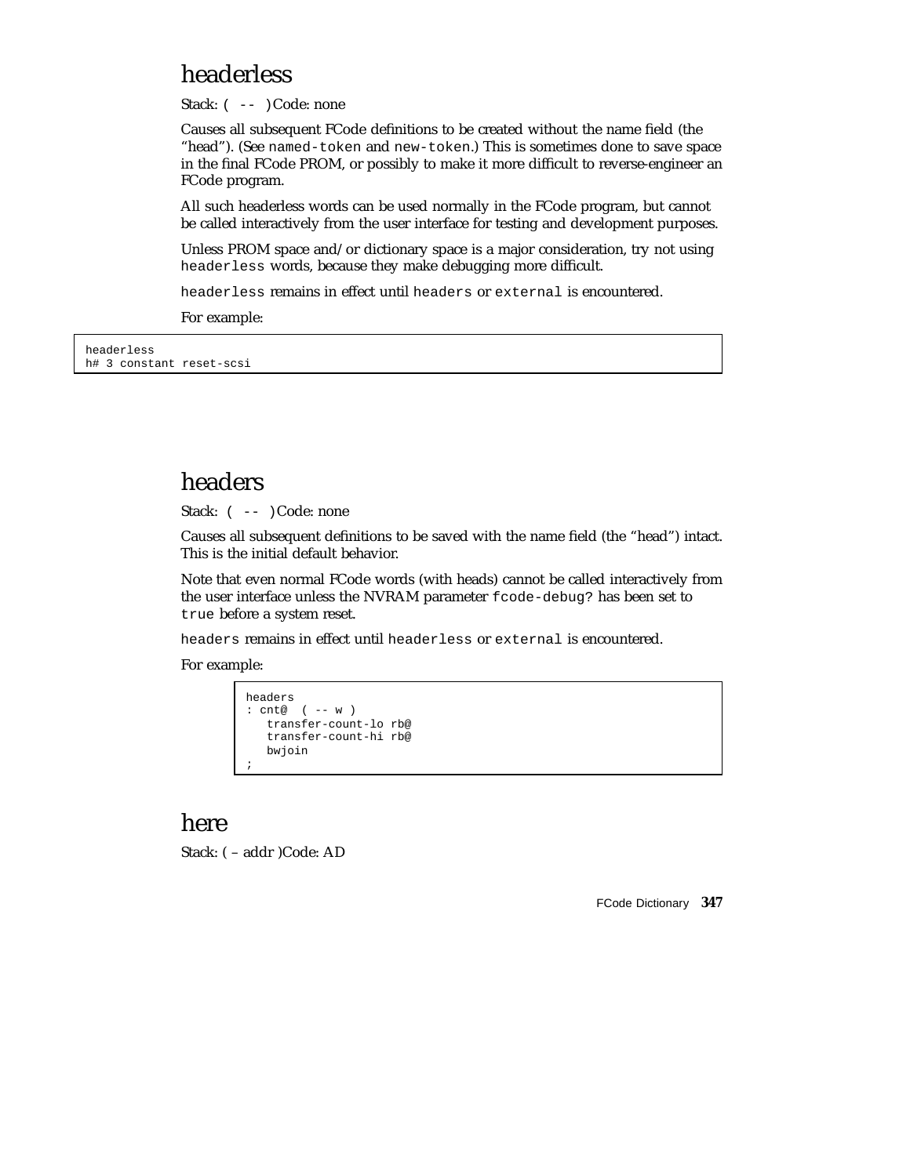#### headerless

Stack:  $(- - )$  Code: none

Causes all subsequent FCode definitions to be created without the name field (the "head"). (See named-token and new-token.) This is sometimes done to save space in the final FCode PROM, or possibly to make it more difficult to reverse-engineer an FCode program.

All such headerless words can be used normally in the FCode program, but cannot be called interactively from the user interface for testing and development purposes.

Unless PROM space and/or dictionary space is a major consideration, try not using headerless words, because they make debugging more difficult.

headerless remains in effect until headers or external is encountered.

For example:

headerless h# 3 constant reset-scsi

#### headers

Stack:  $(- - )$  Code: none

Causes all subsequent definitions to be saved with the name field (the "head") intact. This is the initial default behavior.

Note that even normal FCode words (with heads) cannot be called interactively from the user interface unless the NVRAM parameter fcode-debug? has been set to true before a system reset.

headers remains in effect until headerless or external is encountered.

For example:

```
headers
: cnt@ ( -- w )
   transfer-count-lo rb@
   transfer-count-hi rb@
  bwjoin
;
```
#### here

Stack: ( – addr )Code: AD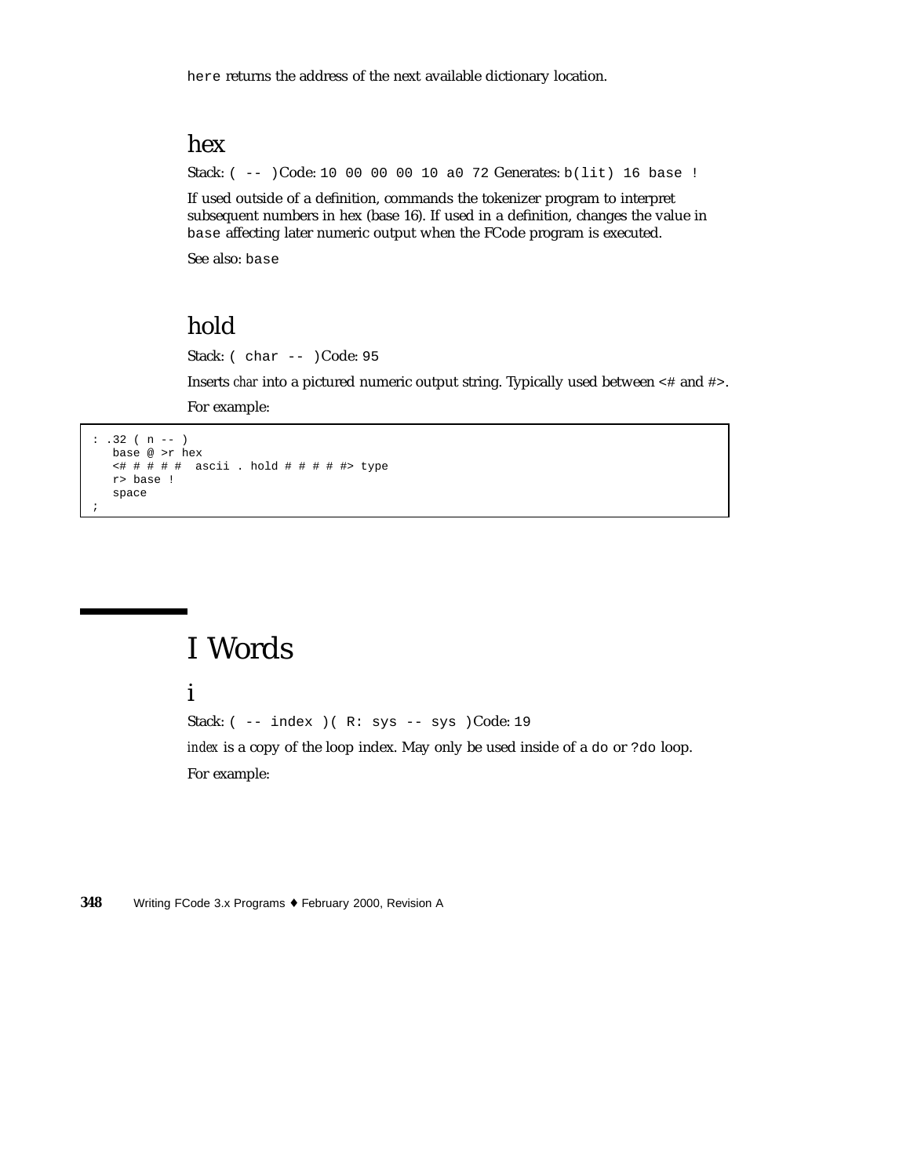here returns the address of the next available dictionary location.

## hex

Stack: ( -- )Code: 10 00 00 00 10 a0 72 Generates: b(lit) 16 base !

If used outside of a definition, commands the tokenizer program to interpret subsequent numbers in hex (base 16). If used in a definition, changes the value in base affecting later numeric output when the FCode program is executed.

See also: base

# hold

Stack: ( char -- )Code: 95

Inserts *char* into a pictured numeric output string. Typically used between <# and #>.

For example:

```
: .32 ( n -- )
  base @ >r hex
   <# # # # # ascii . hold # # # # #> type
   r> base !
   space
;
```
# I Words

#### i

Stack: ( -- index )( R: sys -- sys )Code: 19

*index* is a copy of the loop index. May only be used inside of a do or ?do loop. For example: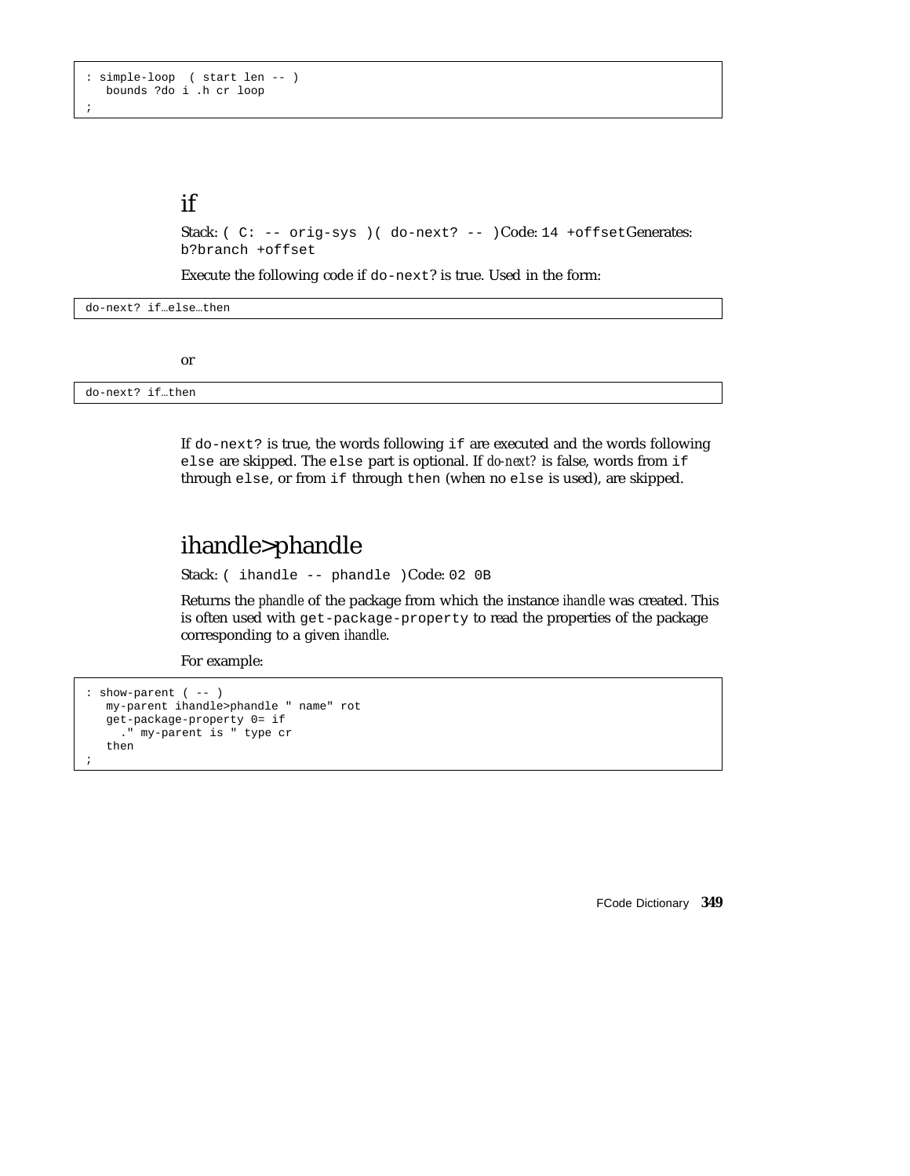```
: simple-loop ( start len -- )
  bounds ?do i .h cr loop
;
```
### if

```
Stack: ( C: -- orig-sys ) ( do-next? -- )Code: 14 +offsetGenerates:
b?branch +offset
```
Execute the following code if do-next? is true. Used in the form:

do-next? if…else…then

or

do-next? if…then

If do-next? is true, the words following if are executed and the words following else are skipped. The else part is optional. If *do-next?* is false, words from if through else, or from if through then (when no else is used), are skipped.

## ihandle>phandle

Stack: ( ihandle -- phandle )Code: 02 0B

Returns the *phandle* of the package from which the instance *ihandle* was created. This is often used with get-package-property to read the properties of the package corresponding to a given *ihandle*.

For example:

```
: show-parent ( -- )
  my-parent ihandle>phandle " name" rot
  get-package-property 0= if
    ." my-parent is " type cr
  then
;
```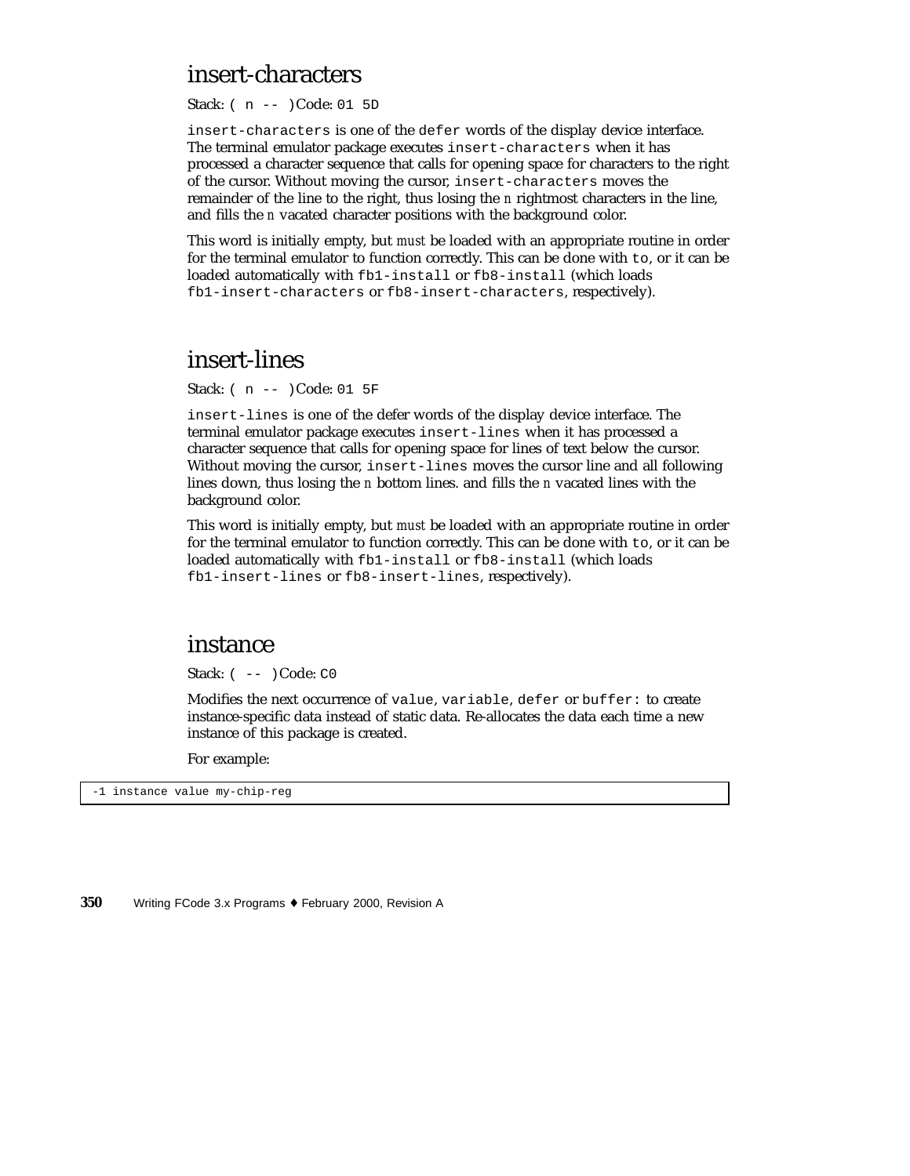#### insert-characters

Stack: ( n -- )Code: 01 5D

insert-characters is one of the defer words of the display device interface. The terminal emulator package executes insert-characters when it has processed a character sequence that calls for opening space for characters to the right of the cursor. Without moving the cursor, insert-characters moves the remainder of the line to the right, thus losing the *n* rightmost characters in the line, and fills the *n* vacated character positions with the background color.

This word is initially empty, but *must* be loaded with an appropriate routine in order for the terminal emulator to function correctly. This can be done with to, or it can be loaded automatically with fb1-install or fb8-install (which loads fb1-insert-characters or fb8-insert-characters, respectively).

#### insert-lines

Stack: ( n -- )Code: 01 5F

insert-lines is one of the defer words of the display device interface. The terminal emulator package executes insert-lines when it has processed a character sequence that calls for opening space for lines of text below the cursor. Without moving the cursor, insert-lines moves the cursor line and all following lines down, thus losing the *n* bottom lines. and fills the *n* vacated lines with the background color.

This word is initially empty, but *must* be loaded with an appropriate routine in order for the terminal emulator to function correctly. This can be done with to, or it can be loaded automatically with fb1-install or fb8-install (which loads fb1-insert-lines or fb8-insert-lines, respectively).

#### instance

Stack:  $(- - )$ Code: C0

Modifies the next occurrence of value, variable, defer or buffer: to create instance-specific data instead of static data. Re-allocates the data each time a new instance of this package is created.

For example:

-1 instance value my-chip-reg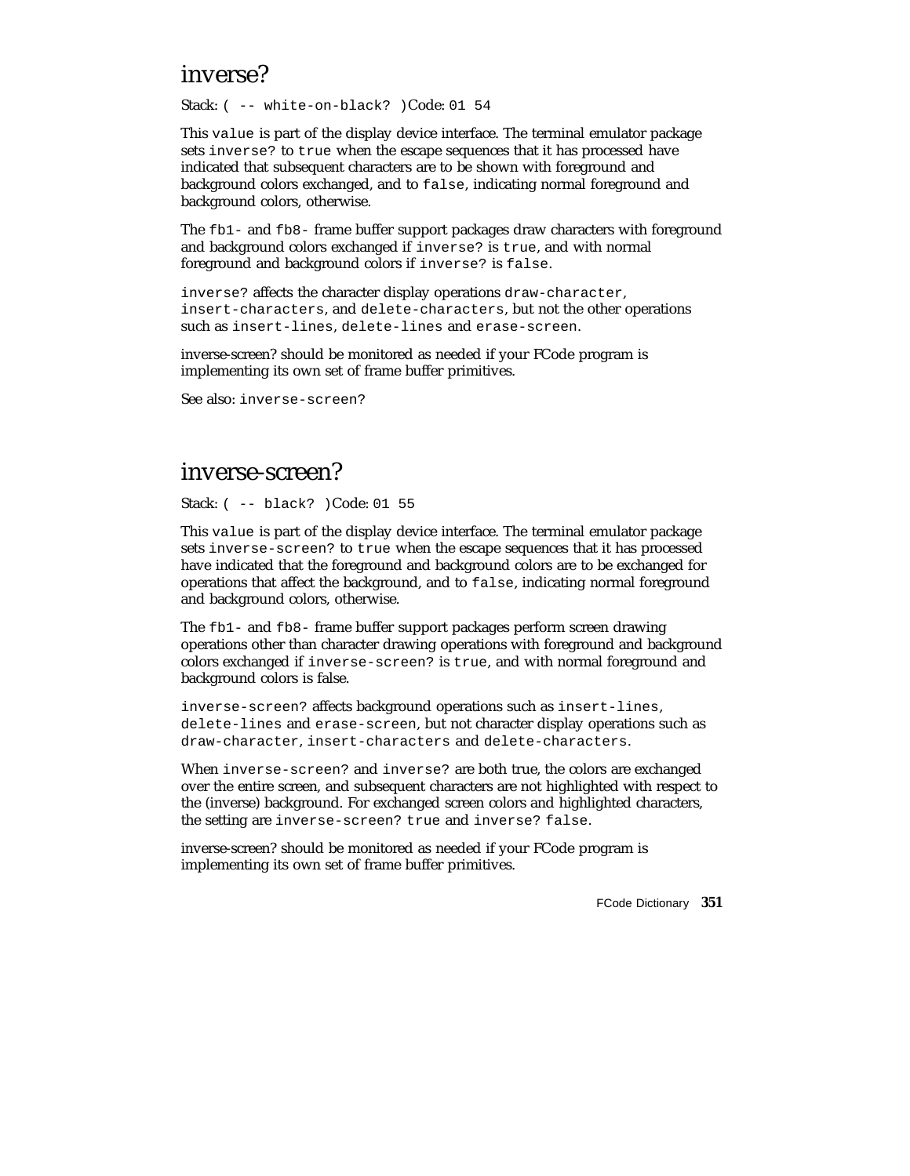### inverse?

Stack: ( -- white-on-black? )Code: 01 54

This value is part of the display device interface. The terminal emulator package sets inverse? to true when the escape sequences that it has processed have indicated that subsequent characters are to be shown with foreground and background colors exchanged, and to false, indicating normal foreground and background colors, otherwise.

The fb1- and fb8- frame buffer support packages draw characters with foreground and background colors exchanged if inverse? is true, and with normal foreground and background colors if inverse? is false.

inverse? affects the character display operations draw-character, insert-characters, and delete-characters, but not the other operations such as insert-lines, delete-lines and erase-screen.

inverse-screen? should be monitored as needed if your FCode program is implementing its own set of frame buffer primitives.

See also: inverse-screen?

#### inverse-screen?

Stack: ( -- black? )Code: 01 55

This value is part of the display device interface. The terminal emulator package sets inverse-screen? to true when the escape sequences that it has processed have indicated that the foreground and background colors are to be exchanged for operations that affect the background, and to false, indicating normal foreground and background colors, otherwise.

The fb1- and fb8- frame buffer support packages perform screen drawing operations other than character drawing operations with foreground and background colors exchanged if inverse-screen? is true, and with normal foreground and background colors is false.

inverse-screen? affects background operations such as insert-lines, delete-lines and erase-screen, but not character display operations such as draw-character, insert-characters and delete-characters.

When inverse-screen? and inverse? are both true, the colors are exchanged over the entire screen, and subsequent characters are not highlighted with respect to the (inverse) background. For exchanged screen colors and highlighted characters, the setting are inverse-screen? true and inverse? false.

inverse-screen? should be monitored as needed if your FCode program is implementing its own set of frame buffer primitives.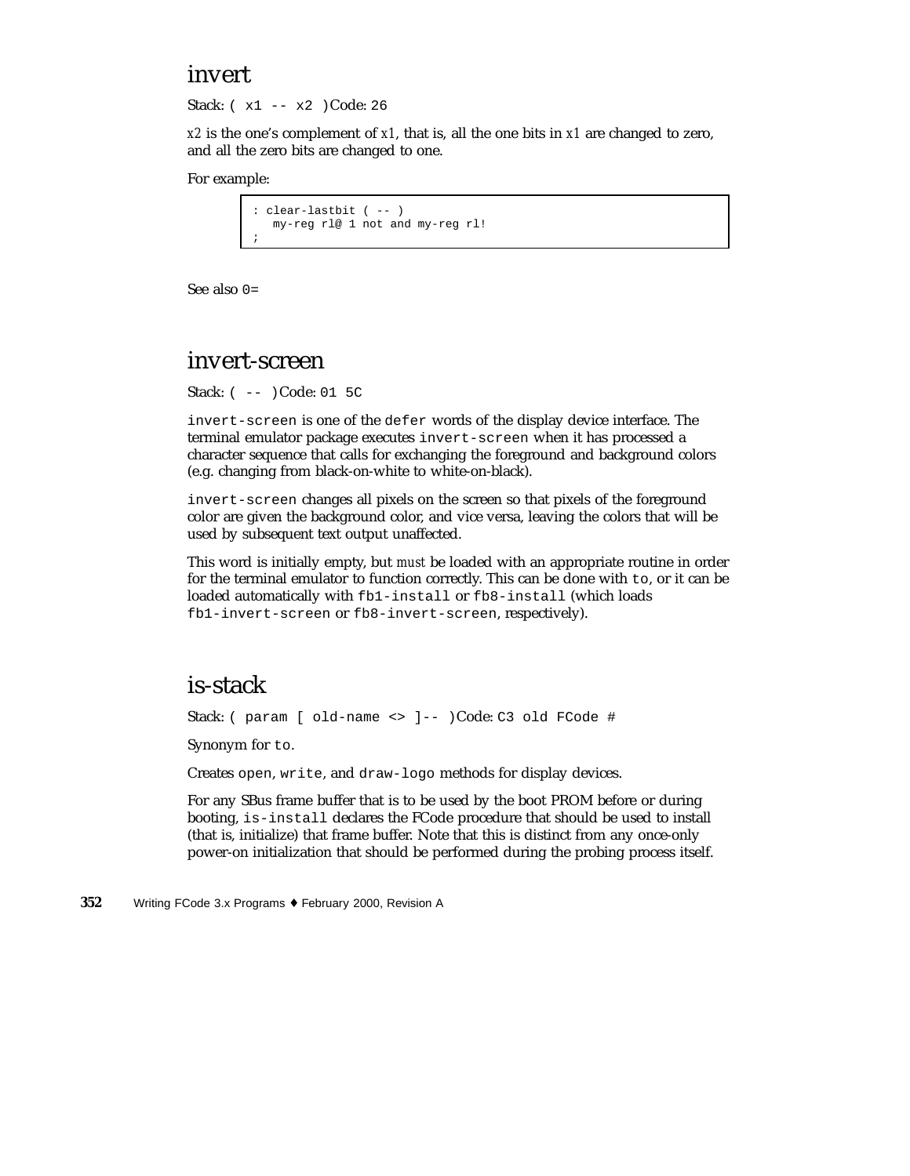#### invert

Stack: ( x1 -- x2 )Code: 26

*x2* is the one's complement of *x1*, that is, all the one bits in *x1* are changed to zero, and all the zero bits are changed to one.

For example:

```
: clear-lastbit ( -- )
  my-reg rl@ 1 not and my-reg rl!
;
```
See also 0=

#### invert-screen

Stack: ( -- )Code: 01 5C

invert-screen is one of the defer words of the display device interface. The terminal emulator package executes invert-screen when it has processed a character sequence that calls for exchanging the foreground and background colors (e.g. changing from black-on-white to white-on-black).

invert-screen changes all pixels on the screen so that pixels of the foreground color are given the background color, and vice versa, leaving the colors that will be used by subsequent text output unaffected.

This word is initially empty, but *must* be loaded with an appropriate routine in order for the terminal emulator to function correctly. This can be done with to, or it can be loaded automatically with fb1-install or fb8-install (which loads fb1-invert-screen or fb8-invert-screen, respectively).

#### is-stack

Stack: ( param [ old-name <> ]-- )Code: C3 old FCode #

Synonym for to.

Creates open, write, and draw-logo methods for display devices.

For any SBus frame buffer that is to be used by the boot PROM before or during booting, is-install declares the FCode procedure that should be used to install (that is, initialize) that frame buffer. Note that this is distinct from any once-only power-on initialization that should be performed during the probing process itself.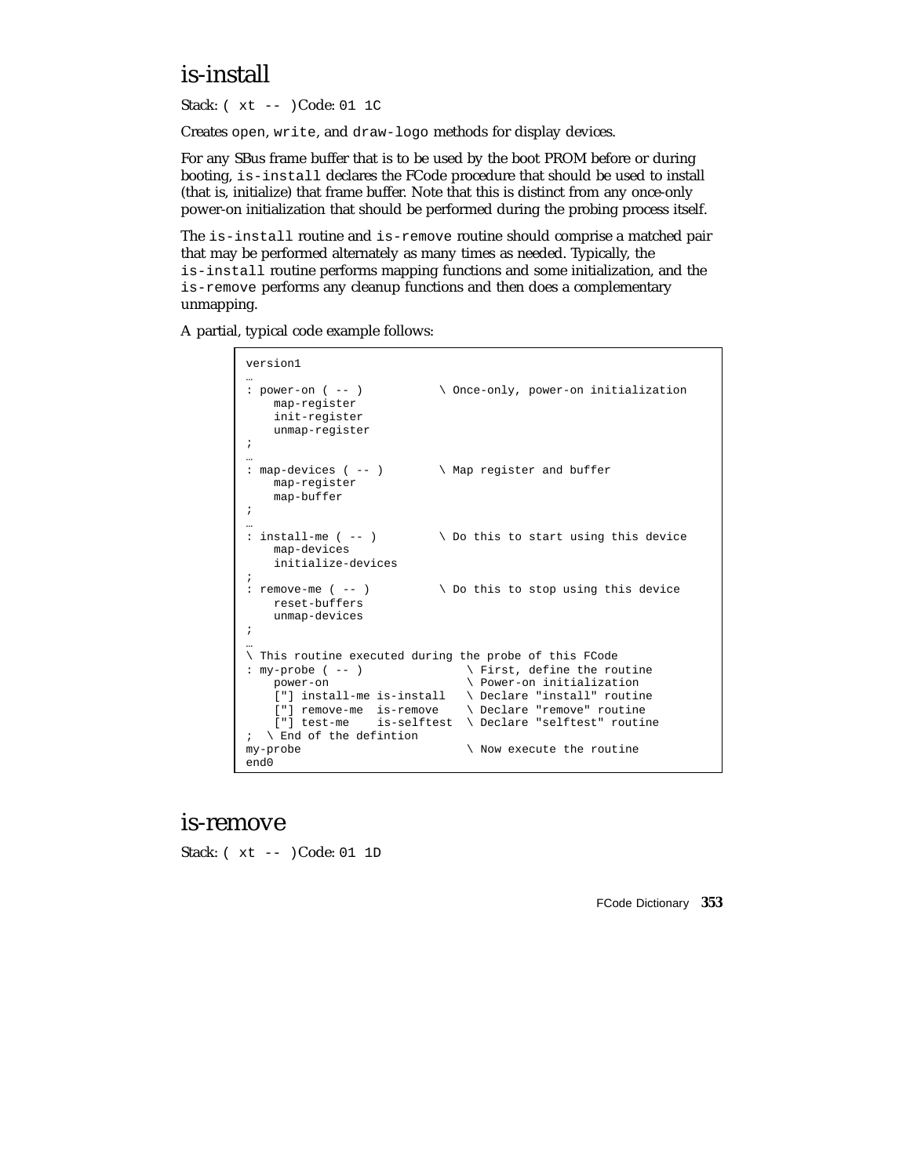# is-install

Stack: ( xt -- )Code: 01 1C

Creates open, write, and draw-logo methods for display devices.

For any SBus frame buffer that is to be used by the boot PROM before or during booting, is-install declares the FCode procedure that should be used to install (that is, initialize) that frame buffer. Note that this is distinct from any once-only power-on initialization that should be performed during the probing process itself.

The is-install routine and is-remove routine should comprise a matched pair that may be performed alternately as many times as needed. Typically, the is-install routine performs mapping functions and some initialization, and the is-remove performs any cleanup functions and then does a complementary unmapping.

A partial, typical code example follows:

```
version1
: power-on ( -- )
                              \setminus Once-only, power-on initialization
   map-register
    init-register
    unmap-register
;
…
: map-devices ( -- ) \ Map register and buffer
   map-register
    map-buffer
;
…
: install-me ( -- ) \setminus Do this to start using this device
    map-devices
    initialize-devices
;
: remove-me ( -- ) \setminus Do this to stop using this device
    reset-buffers
    unmap-devices
;
…
\ This routine executed during the probe of this FCode
: my-probe ( -- ) \backslash First, define the routine power-on \backslash Power-on initialization
                                  \setminus Power-on initialization
    ["] install-me is-install \ Declare "install" routine
     ["] remove-me is-remove \ Declare "remove" routine
     ["] test-me is-selftest \ Declare "selftest" routine
; \setminus End of the defintion<br>my-probe
                                  \setminus Now execute the routine
end0
```
#### is-remove

Stack: ( xt -- )Code: 01 1D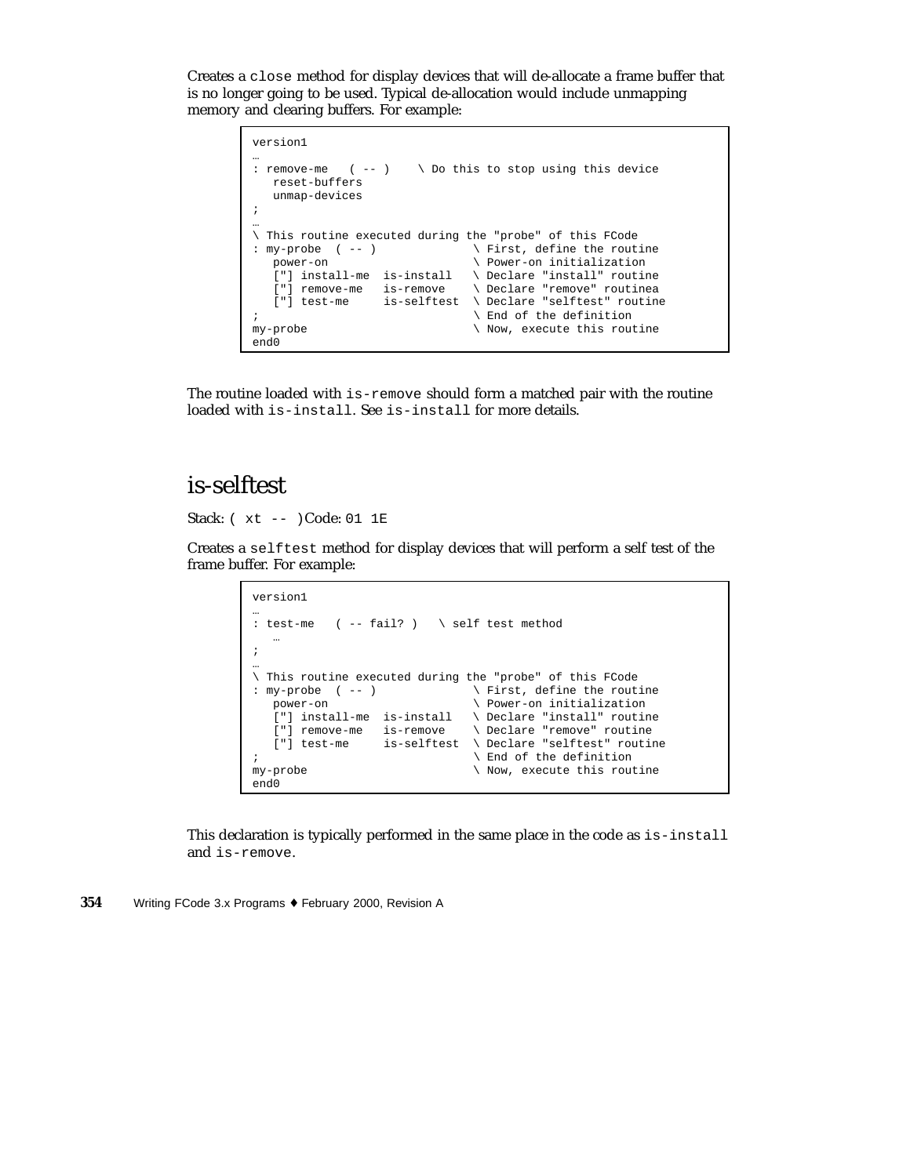Creates a close method for display devices that will de-allocate a frame buffer that is no longer going to be used. Typical de-allocation would include unmapping memory and clearing buffers. For example:

```
version1
…
: remove-me (--) \ \setminus Do this to stop using this device
  reset-buffers
   unmap-devices
;
…
\ This routine executed during the "probe" of this FCode
: my-probe (--) \qquad \qquad First, define the routine
  power-on \setminus Power-on initialization
   ["] install-me is-install \ Declare "install" routine
   ["] remove-me is-remove \ Declare "remove" routinea
   ["] test-me is-selftest \ Declare "selftest" routine
; \qquad \qquad and of the definition
my-probe \setminus Now, execute this routine
end0
```
The routine loaded with is-remove should form a matched pair with the routine loaded with is-install. See is-install for more details.

# is-selftest

Stack: ( xt -- )Code: 01 1E

Creates a selftest method for display devices that will perform a self test of the frame buffer. For example:

```
version1
…
: test-me ( -- fail? ) \ self test method
   …
;
…
\ This routine executed during the "probe" of this FCode
: my-probe ( -- )
  power-on \setminus Power-on initialization
  ["] install-me is-install \ Declare "install" routine<br>["] remove-me is-remove \ Declare "remove" routine
   ["] remove-me is-remove \ Declare "remove" routine
   ["] test-me is-selftest \ Declare "selftest" routine
; \qquad End of the definition
my-probe \setminus Now, execute this routine
end0
```
This declaration is typically performed in the same place in the code as is-install and is-remove.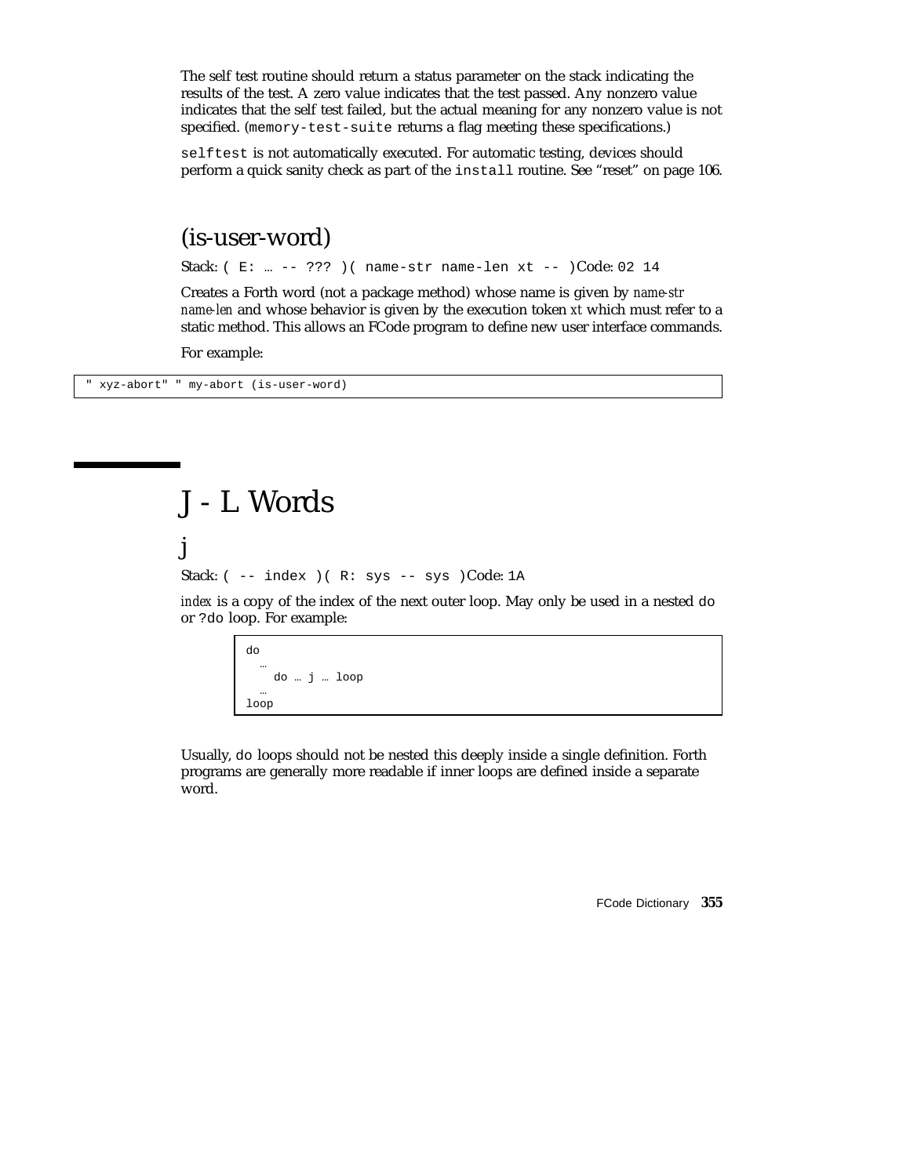The self test routine should return a status parameter on the stack indicating the results of the test. A zero value indicates that the test passed. Any nonzero value indicates that the self test failed, but the actual meaning for any nonzero value is not specified. (memory-test-suite returns a flag meeting these specifications.)

selftest is not automatically executed. For automatic testing, devices should perform a quick sanity check as part of the install routine. See "reset" on page 106.

#### (is-user-word)

Stack: ( E: … -- ??? )( name-str name-len xt -- )Code: 02 14

Creates a Forth word (not a package method) whose name is given by *name-str name-len* and whose behavior is given by the execution token *xt* which must refer to a static method. This allows an FCode program to define new user interface commands.

For example:

" xyz-abort" " my-abort (is-user-word)

j

# J - L Words

Stack:  $(- - \text{index})$  ( $R: sys$  -- sys )Code: 1A

*index* is a copy of the index of the next outer loop. May only be used in a nested do or ?do loop. For example:

> do … do … j … loop … loop

Usually, do loops should not be nested this deeply inside a single definition. Forth programs are generally more readable if inner loops are defined inside a separate word.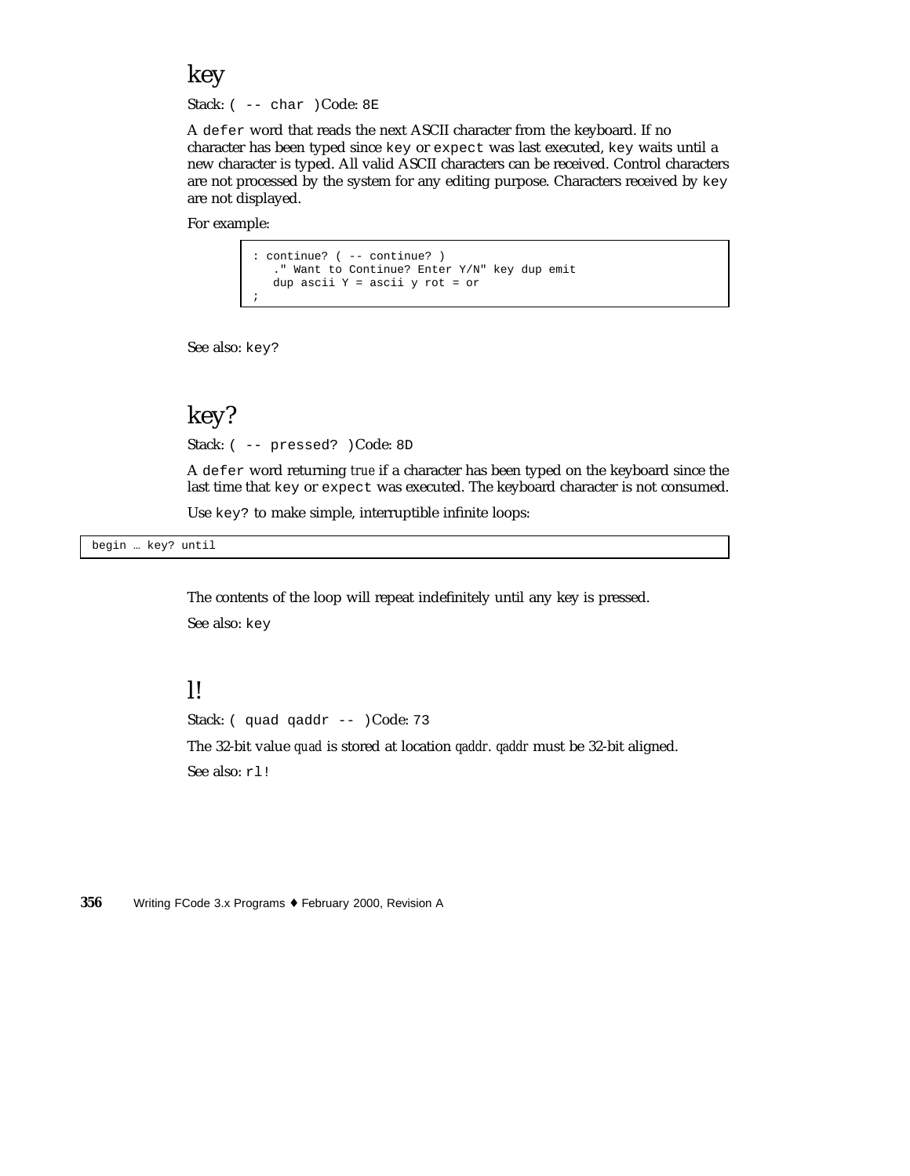key

Stack: ( -- char )Code: 8E

A defer word that reads the next ASCII character from the keyboard. If no character has been typed since key or expect was last executed, key waits until a new character is typed. All valid ASCII characters can be received. Control characters are not processed by the system for any editing purpose. Characters received by key are not displayed.

For example:

```
: continue? ( -- continue? )
   ." Want to Continue? Enter Y/N" key dup emit
  dup ascii Y = ascii y rot = or
;
```
See also: key?

#### key?

Stack: ( -- pressed? )Code: 8D

A defer word returning *true* if a character has been typed on the keyboard since the last time that key or expect was executed. The keyboard character is not consumed.

Use key? to make simple, interruptible infinite loops:

begin … key? until

The contents of the loop will repeat indefinitely until any key is pressed. See also: key

#### l!

Stack: ( quad qaddr -- )Code: 73

The 32-bit value *quad* is stored at location *qaddr*. *qaddr* must be 32-bit aligned. See also: rl!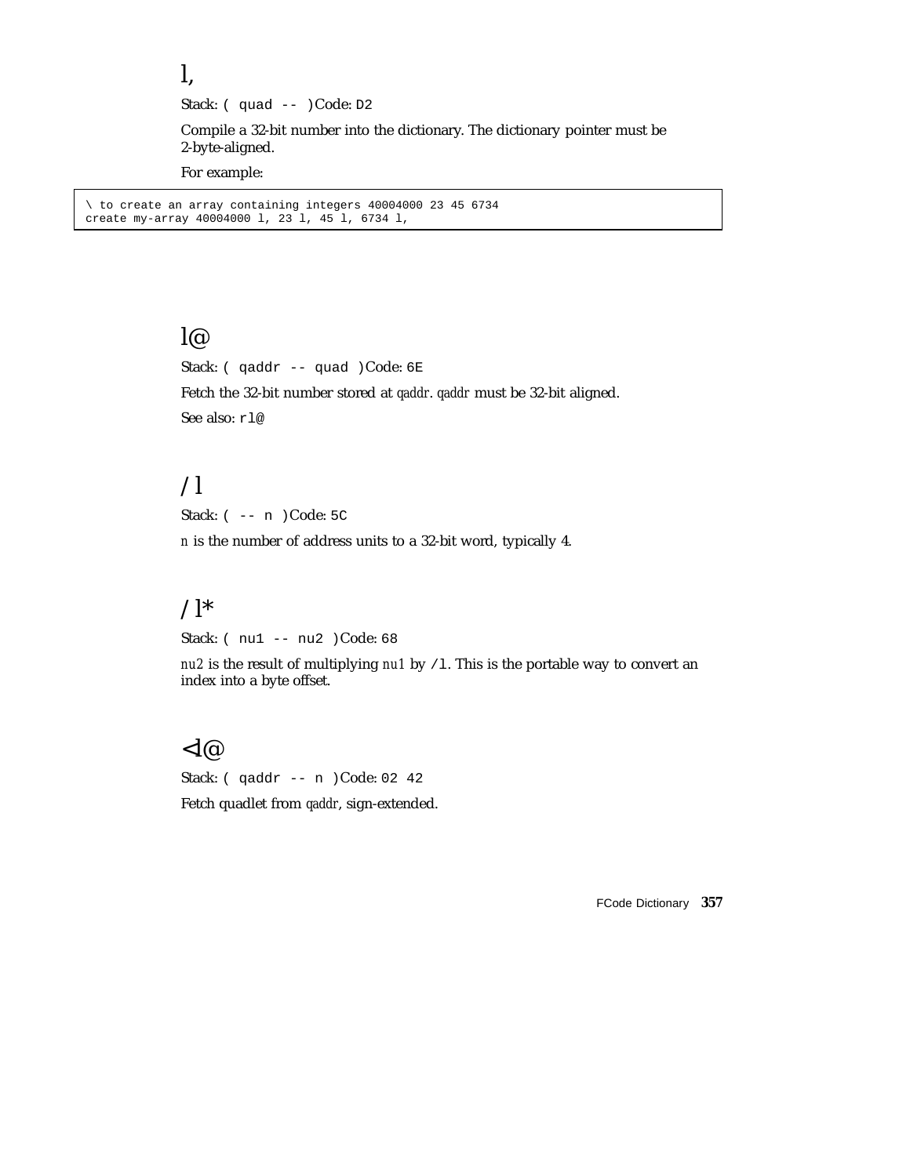Stack: (quad -- )Code: D2

Compile a 32-bit number into the dictionary. The dictionary pointer must be 2-byte-aligned.

For example:

l,

\ to create an array containing integers 40004000 23 45 6734 create my-array 40004000 l, 23 l, 45 l, 6734 l,

#### $\overline{\mathsf{I}(\omega)}$

Stack: ( qaddr -- quad )Code: 6E

Fetch the 32-bit number stored at *qaddr*. *qaddr* must be 32-bit aligned. See also: rl@

# $\overline{\mathcal{L}}$

Stack: ( -- n )Code: 5C

*n* is the number of address units to a 32-bit word, typically 4.

# $\Lambda^*$

Stack: ( nu1 -- nu2 )Code: 68

*nu2* is the result of multiplying *nu1* by /1. This is the portable way to convert an index into a byte offset.

#### $<$ l@

Stack: ( qaddr -- n )Code: 02 42 Fetch quadlet from *qaddr*, sign-extended.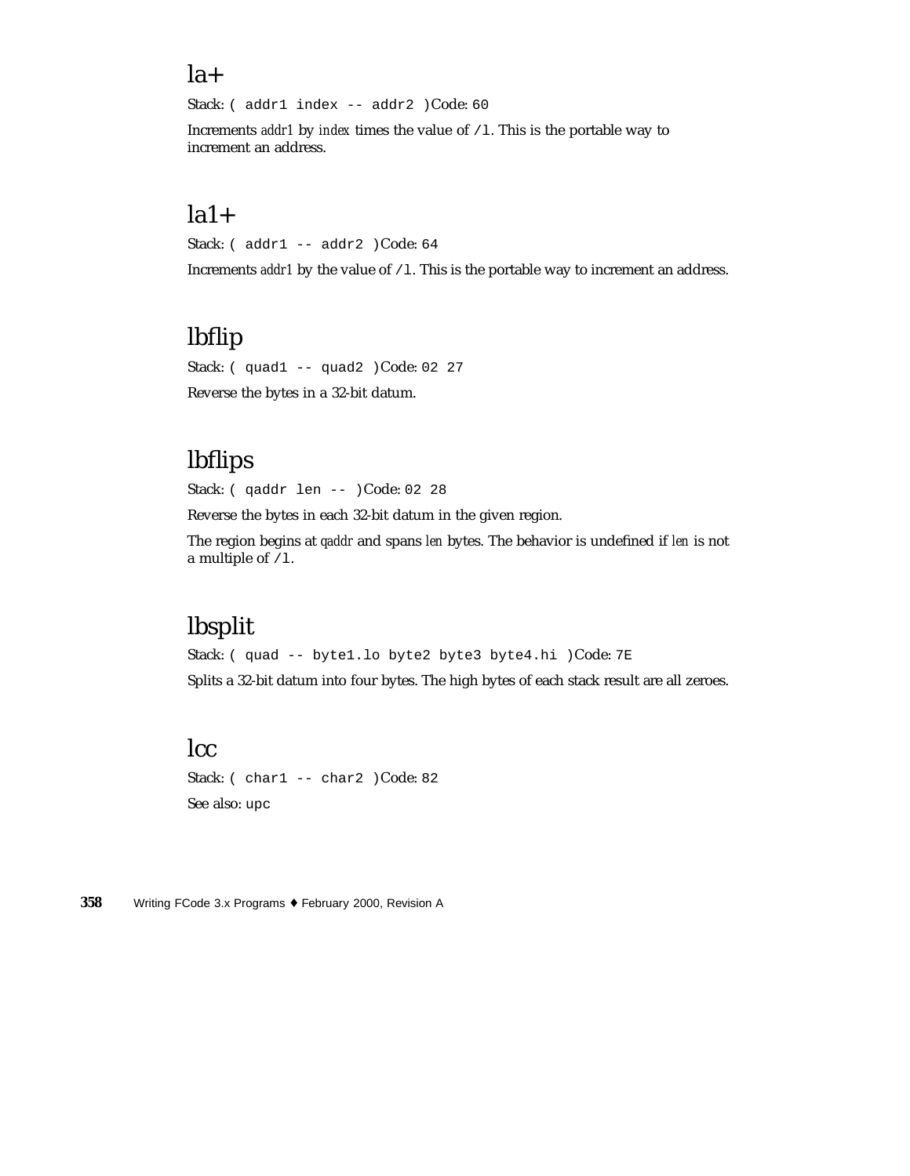#### $la+$

Stack: ( addr1 index -- addr2 )Code: 60

Increments *addr1* by *index* times the value of /1. This is the portable way to increment an address.

#### $la1+$

Stack: ( addr1 -- addr2 )Code: 64

Increments *addr1* by the value of /1. This is the portable way to increment an address.

# lbflip

Stack: ( quad1 -- quad2 )Code: 02 27 Reverse the bytes in a 32-bit datum.

# lbflips

Stack: ( qaddr len -- )Code: 02 28

Reverse the bytes in each 32-bit datum in the given region.

The region begins at *qaddr* and spans *len* bytes. The behavior is undefined if *len* is not a multiple of  $/1$ .

# lbsplit

Stack: ( quad -- byte1.lo byte2 byte3 byte4.hi )Code: 7E Splits a 32-bit datum into four bytes. The high bytes of each stack result are all zeroes.

# lcc

Stack: ( char1 -- char2 )Code: 82 See also: upc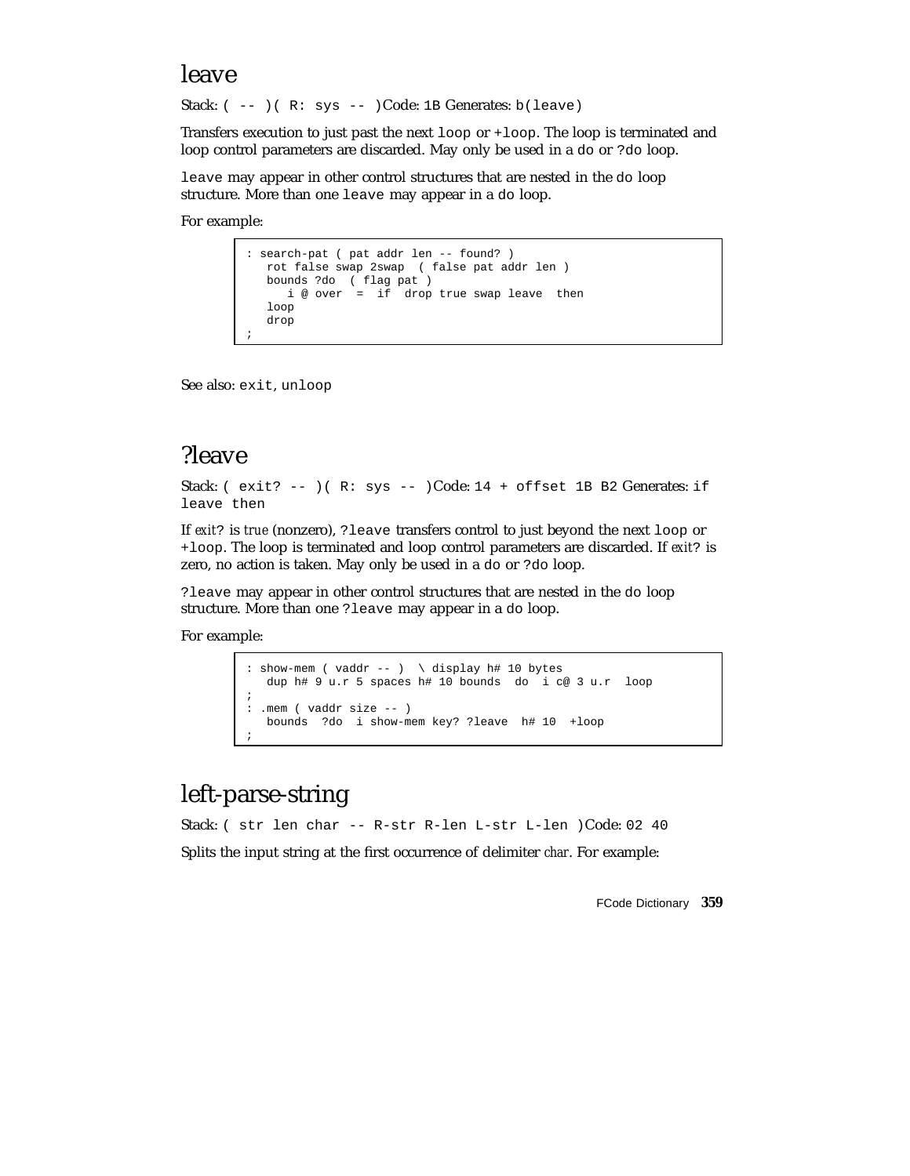#### leave

Stack: ( -- )( R: sys -- )Code: 1B Generates: b(leave)

Transfers execution to just past the next loop or +loop. The loop is terminated and loop control parameters are discarded. May only be used in a do or ?do loop.

leave may appear in other control structures that are nested in the do loop structure. More than one leave may appear in a do loop.

For example:

```
: search-pat ( pat addr len -- found? )
  rot false swap 2swap ( false pat addr len )
  bounds ?do ( flag pat )
    i @ over = if drop true swap leave then
  loop
   drop
;
```
See also: exit, unloop

# ?leave

Stack: (  $exit? --$  )( $R: sys --$  )Code: 14 + offset 1B B2 Generates: if leave then

If *exit*? is *true* (nonzero), ?leave transfers control to just beyond the next loop or +loop. The loop is terminated and loop control parameters are discarded. If *exit*? is zero, no action is taken. May only be used in a do or ?do loop.

?leave may appear in other control structures that are nested in the do loop structure. More than one ?leave may appear in a do loop.

For example:

```
: show-mem ( vaddr -- ) \ display h# 10 bytes
  dup h# 9 u.r 5 spaces h# 10 bounds do i c@ 3 u.r loop
;
: .mem ( vaddr size -- )
  bounds ?do i show-mem key? ?leave h# 10 +loop
;
```
## left-parse-string

Stack: ( str len char -- R-str R-len L-str L-len )Code: 02 40 Splits the input string at the first occurrence of delimiter *char*. For example: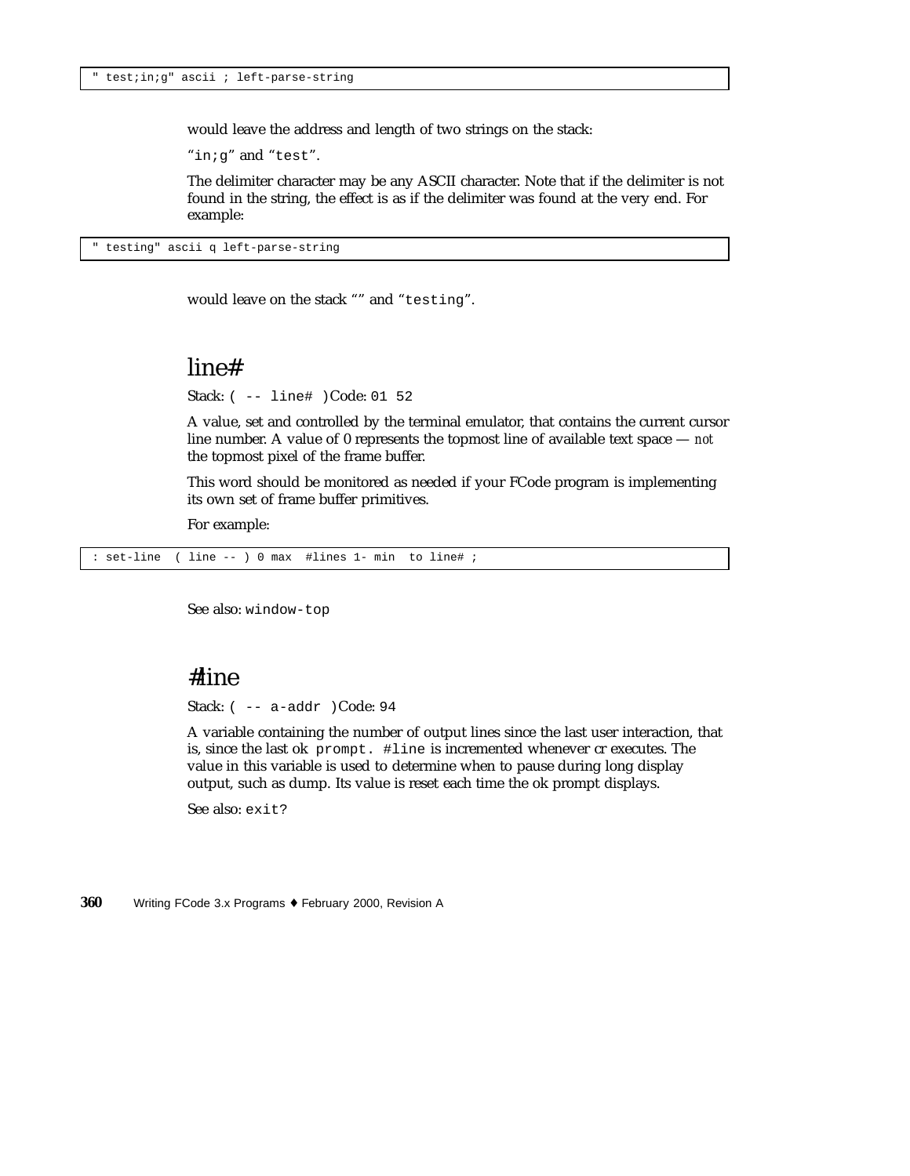would leave the address and length of two strings on the stack:

"in;g" and "test".

The delimiter character may be any ASCII character. Note that if the delimiter is not found in the string, the effect is as if the delimiter was found at the very end. For example:

" testing" ascii q left-parse-string

would leave on the stack "" and "testing".

#### line#

Stack: ( -- line# )Code: 01 52

A value, set and controlled by the terminal emulator, that contains the current cursor line number. A value of 0 represents the topmost line of available text space — *not* the topmost pixel of the frame buffer.

This word should be monitored as needed if your FCode program is implementing its own set of frame buffer primitives.

For example:

: set-line ( line -- ) 0 max #lines 1- min to line# ;

See also: window-top

#### #line

Stack: ( -- a-addr )Code: 94

A variable containing the number of output lines since the last user interaction, that is, since the last ok prompt. #line is incremented whenever cr executes. The value in this variable is used to determine when to pause during long display output, such as dump. Its value is reset each time the ok prompt displays.

See also: exit?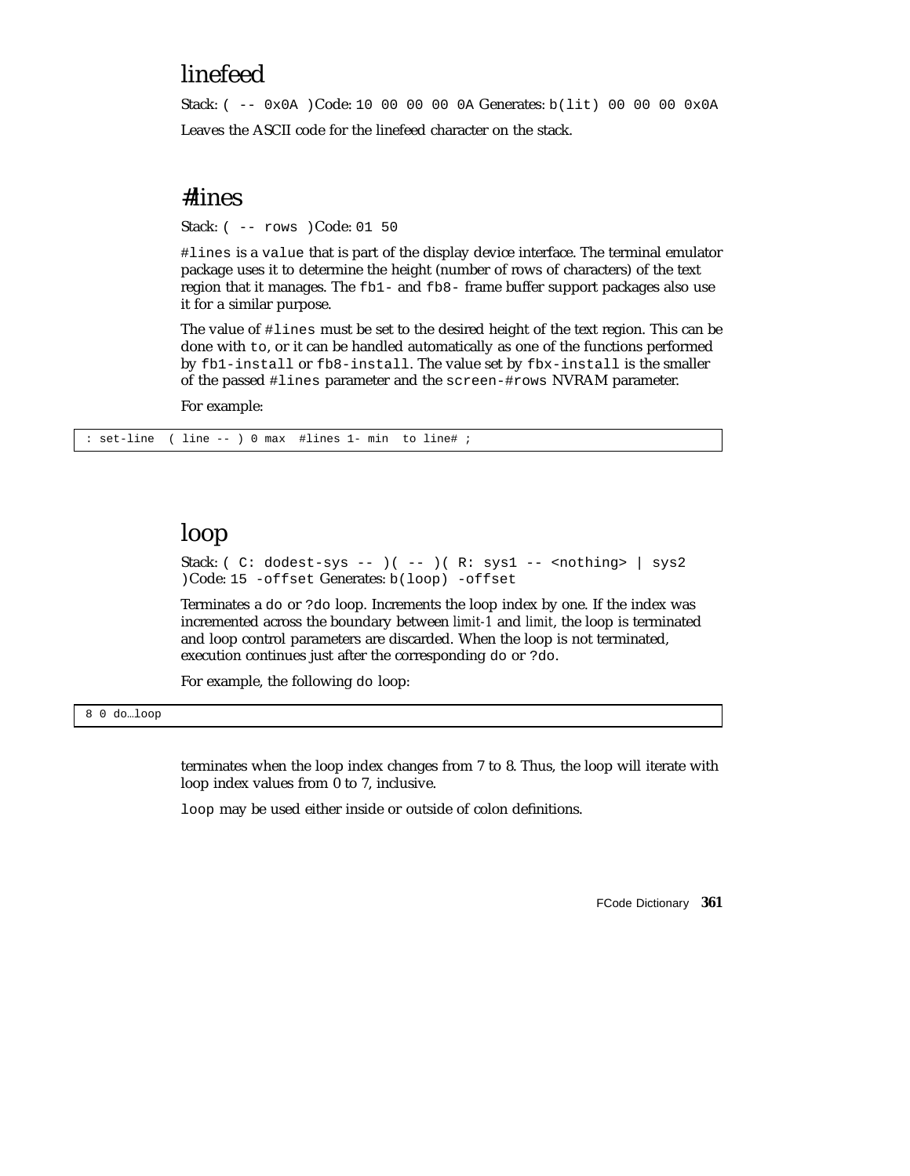# linefeed

Stack:  $(- - 0x0A)$  Code: 10 00 00 00 0A Generates: b(lit) 00 00 00 0x0A Leaves the ASCII code for the linefeed character on the stack.

### #lines

Stack: ( -- rows )Code: 01 50

#lines is a value that is part of the display device interface. The terminal emulator package uses it to determine the height (number of rows of characters) of the text region that it manages. The fb1- and fb8- frame buffer support packages also use it for a similar purpose.

The value of #lines must be set to the desired height of the text region. This can be done with to, or it can be handled automatically as one of the functions performed by fb1-install or fb8-install. The value set by fbx-install is the smaller of the passed #lines parameter and the screen-#rows NVRAM parameter.

For example:

: set-line ( line -- ) 0 max #lines 1- min to line# ;

# loop

Stack: ( C: dodest-sys -- )( -- )( R: sys1 -- <nothing> | sys2 )Code: 15 -offset Generates: b(loop) -offset

Terminates a do or ?do loop. Increments the loop index by one. If the index was incremented across the boundary between *limit-1* and *limit*, the loop is terminated and loop control parameters are discarded. When the loop is not terminated, execution continues just after the corresponding do or ?do.

For example, the following do loop:

#### 8 0 do…loop

terminates when the loop index changes from 7 to 8. Thus, the loop will iterate with loop index values from 0 to 7, inclusive.

loop may be used either inside or outside of colon definitions.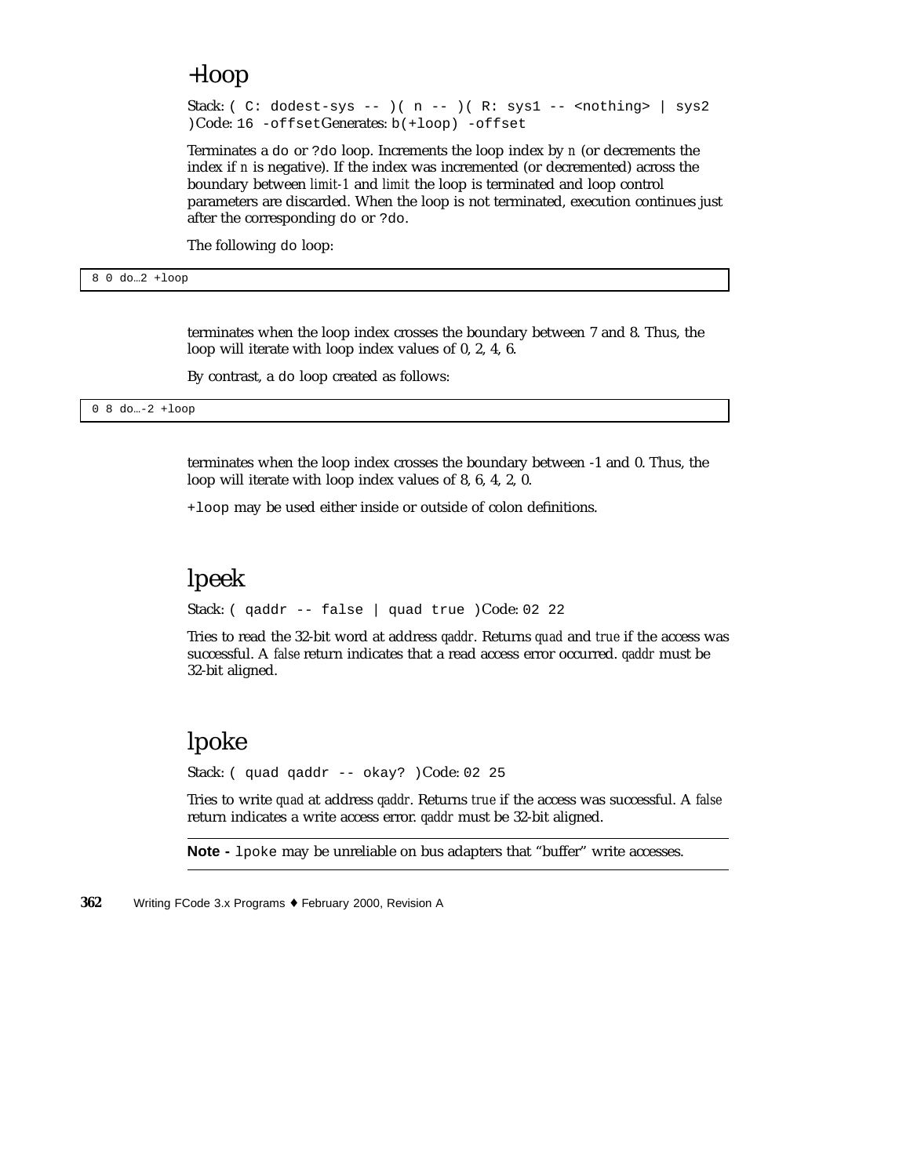# +loop

Stack: ( C: dodest-sys -- )( n -- )( R: sys1 -- < nothing> | sys2 )Code: 16 -offsetGenerates: b(+loop) -offset

Terminates a do or ?do loop. Increments the loop index by *n* (or decrements the index if *n* is negative). If the index was incremented (or decremented) across the boundary between *limit-1* and *limit* the loop is terminated and loop control parameters are discarded. When the loop is not terminated, execution continues just after the corresponding do or ?do.

The following do loop:

8 0 do…2 +loop

terminates when the loop index crosses the boundary between 7 and 8. Thus, the loop will iterate with loop index values of 0, 2, 4, 6.

By contrast, a do loop created as follows:

0 8 do…-2 +loop

terminates when the loop index crosses the boundary between -1 and 0. Thus, the loop will iterate with loop index values of 8, 6, 4, 2, 0.

+loop may be used either inside or outside of colon definitions.

# lpeek

Stack: ( qaddr -- false | quad true )Code: 02 22

Tries to read the 32-bit word at address *qaddr*. Returns *quad* and *true* if the access was successful. A *false* return indicates that a read access error occurred. *qaddr* must be 32-bit aligned.

# lpoke

Stack: ( quad qaddr -- okay? )Code: 02 25

Tries to write *quad* at address *qaddr*. Returns *true* if the access was successful. A *false* return indicates a write access error. *qaddr* must be 32-bit aligned.

**Note -** lpoke may be unreliable on bus adapters that "buffer" write accesses.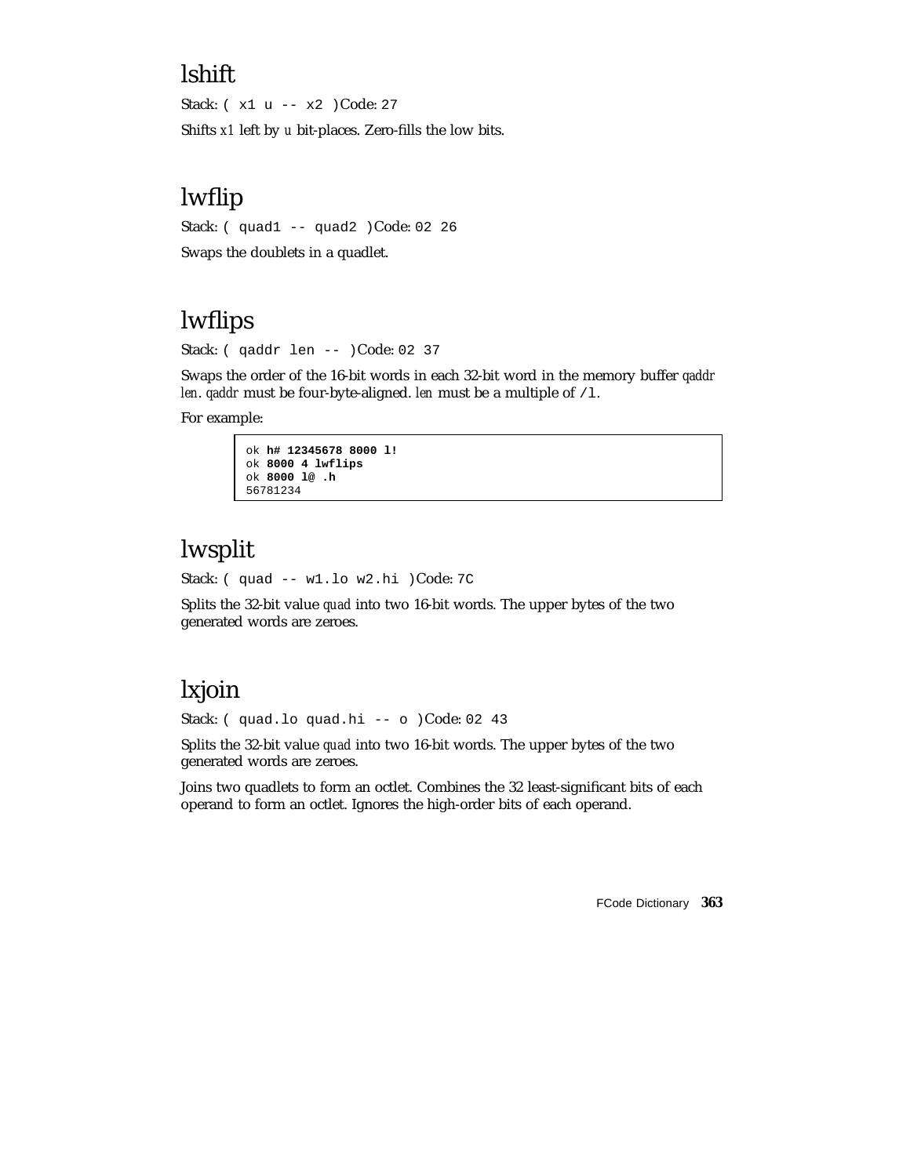# lshift

Stack: ( x1 u -- x2 )Code: 27

Shifts *x1* left by *u* bit-places. Zero-fills the low bits.

# lwflip

Stack: ( quad1 -- quad2 )Code: 02 26

Swaps the doublets in a quadlet.

# lwflips

Stack: ( qaddr len -- )Code: 02 37

Swaps the order of the 16-bit words in each 32-bit word in the memory buffer *qaddr len. qaddr* must be four-byte-aligned. *len* must be a multiple of /1.

For example:

```
ok h# 12345678 8000 l!
ok 8000 4 lwflips
ok 8000 l@ .h
56781234
```
# lwsplit

Stack: ( quad -- w1.lo w2.hi )Code: 7C

Splits the 32-bit value *quad* into two 16-bit words. The upper bytes of the two generated words are zeroes.

# lxjoin

Stack: (quad.lo quad.hi -- o )Code: 02 43

Splits the 32-bit value *quad* into two 16-bit words. The upper bytes of the two generated words are zeroes.

Joins two quadlets to form an octlet. Combines the 32 least-significant bits of each operand to form an octlet. Ignores the high-order bits of each operand.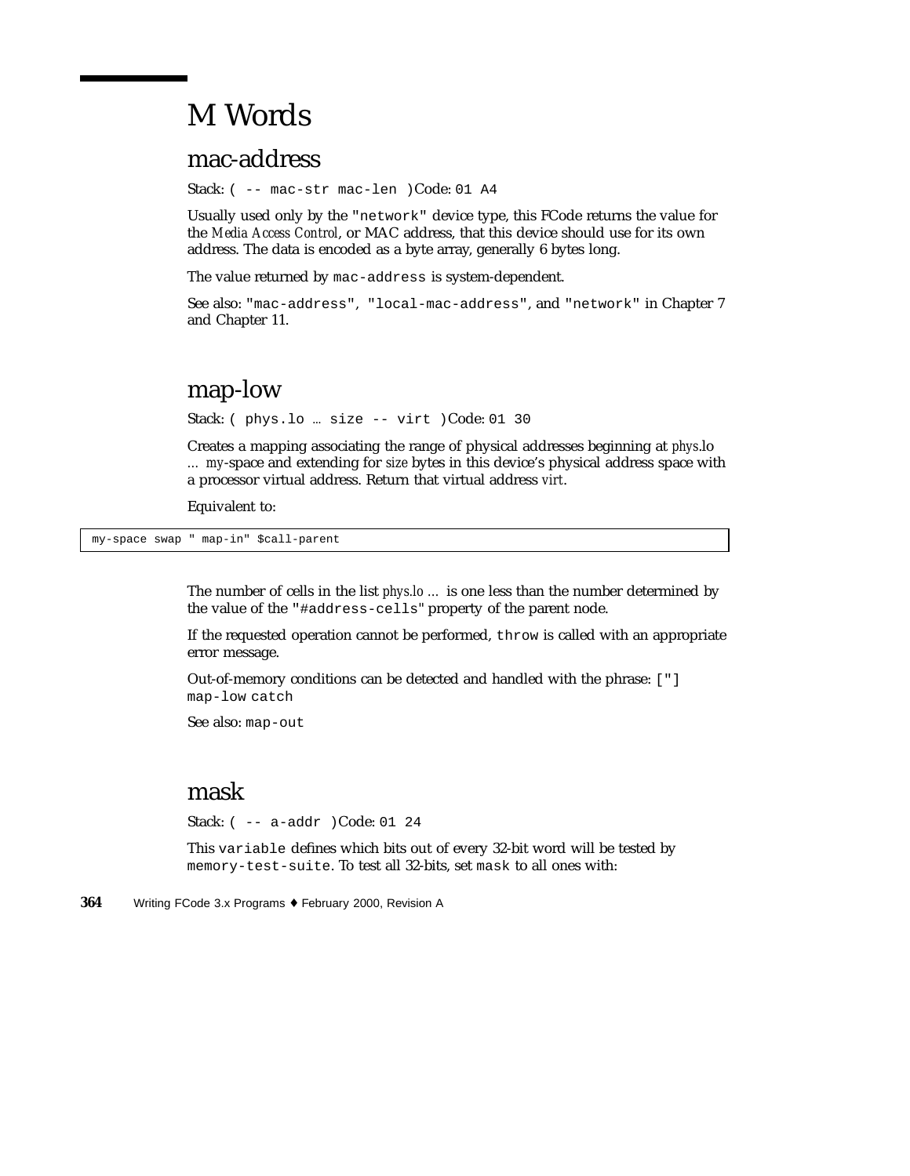# M Words

# mac-address

Stack: ( -- mac-str mac-len )Code: 01 A4

Usually used only by the "network" device type, this FCode returns the value for the *Media Access Control*, or MAC address, that this device should use for its own address. The data is encoded as a byte array, generally 6 bytes long.

The value returned by mac-address is system-dependent.

See also: "mac-address", "local-mac-address", and "network" in Chapter 7 and Chapter 11.

## map-low

Stack: ( phys.lo … size -- virt )Code: 01 30

Creates a mapping associating the range of physical addresses beginning at *phys*.lo *… my*-space and extending for *size* bytes in this device's physical address space with a processor virtual address. Return that virtual address *virt*.

Equivalent to:

my-space swap " map-in" \$call-parent

The number of cells in the list *phys.lo …* is one less than the number determined by the value of the "#address-cells" property of the parent node.

If the requested operation cannot be performed, throw is called with an appropriate error message.

Out-of-memory conditions can be detected and handled with the phrase: ["] map-low catch

See also: map-out

### mask

Stack: ( -- a-addr )Code: 01 24

This variable defines which bits out of every 32-bit word will be tested by memory-test-suite. To test all 32-bits, set mask to all ones with: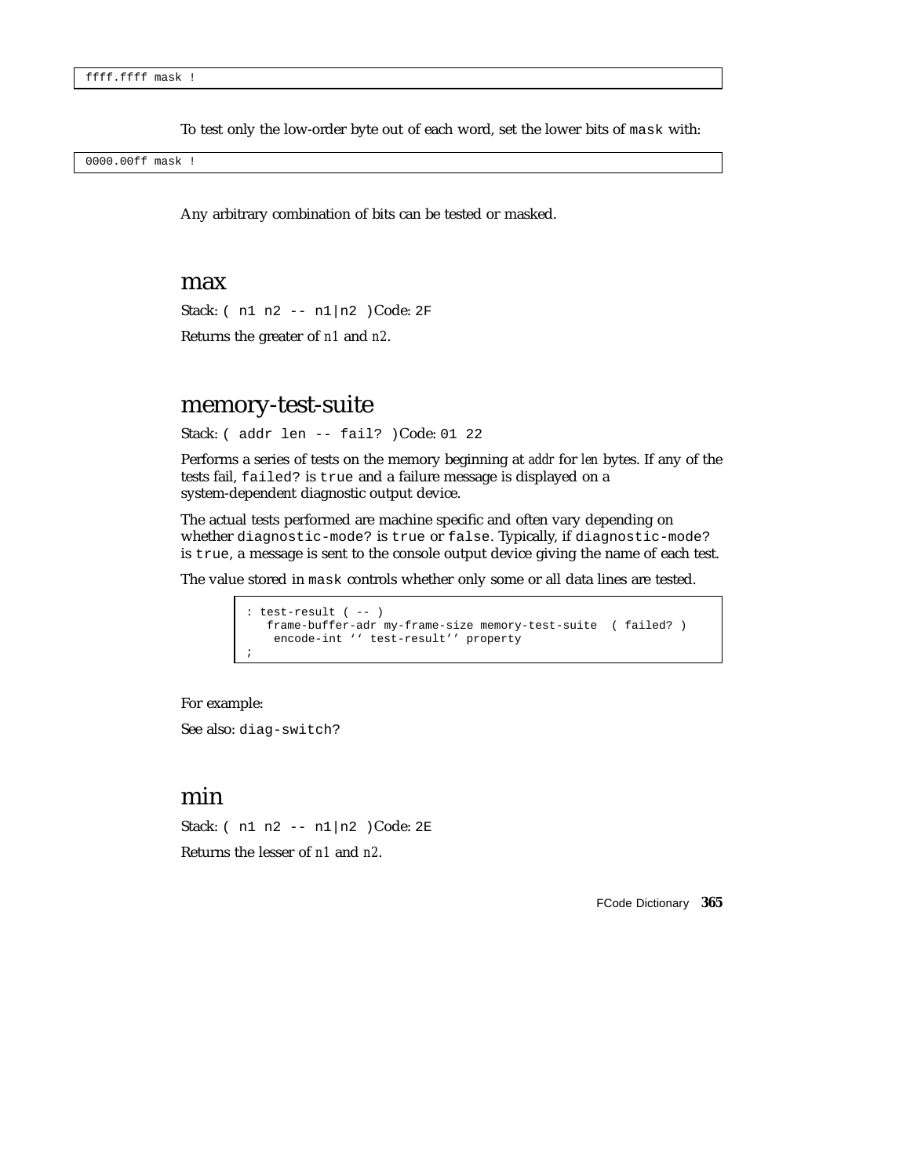To test only the low-order byte out of each word, set the lower bits of mask with:

0000.00ff mask !

Any arbitrary combination of bits can be tested or masked.

#### max

Stack: ( n1 n2 -- n1|n2 )Code: 2F

Returns the greater of *n1* and *n2*.

### memory-test-suite

Stack: ( addr len -- fail? )Code: 01 22

Performs a series of tests on the memory beginning at *addr* for *len* bytes. If any of the tests fail, failed? is true and a failure message is displayed on a system-dependent diagnostic output device.

The actual tests performed are machine specific and often vary depending on whether diagnostic-mode? is true or false. Typically, if diagnostic-mode? is true, a message is sent to the console output device giving the name of each test.

The value stored in mask controls whether only some or all data lines are tested.

```
: test-result ( -- )
  frame-buffer-adr my-frame-size memory-test-suite ( failed? )
   encode-int '' test-result'' property
;
```
For example:

See also: diag-switch?

### min

Stack: ( n1 n2 -- n1|n2 )Code: 2E Returns the lesser of *n1* and *n2*.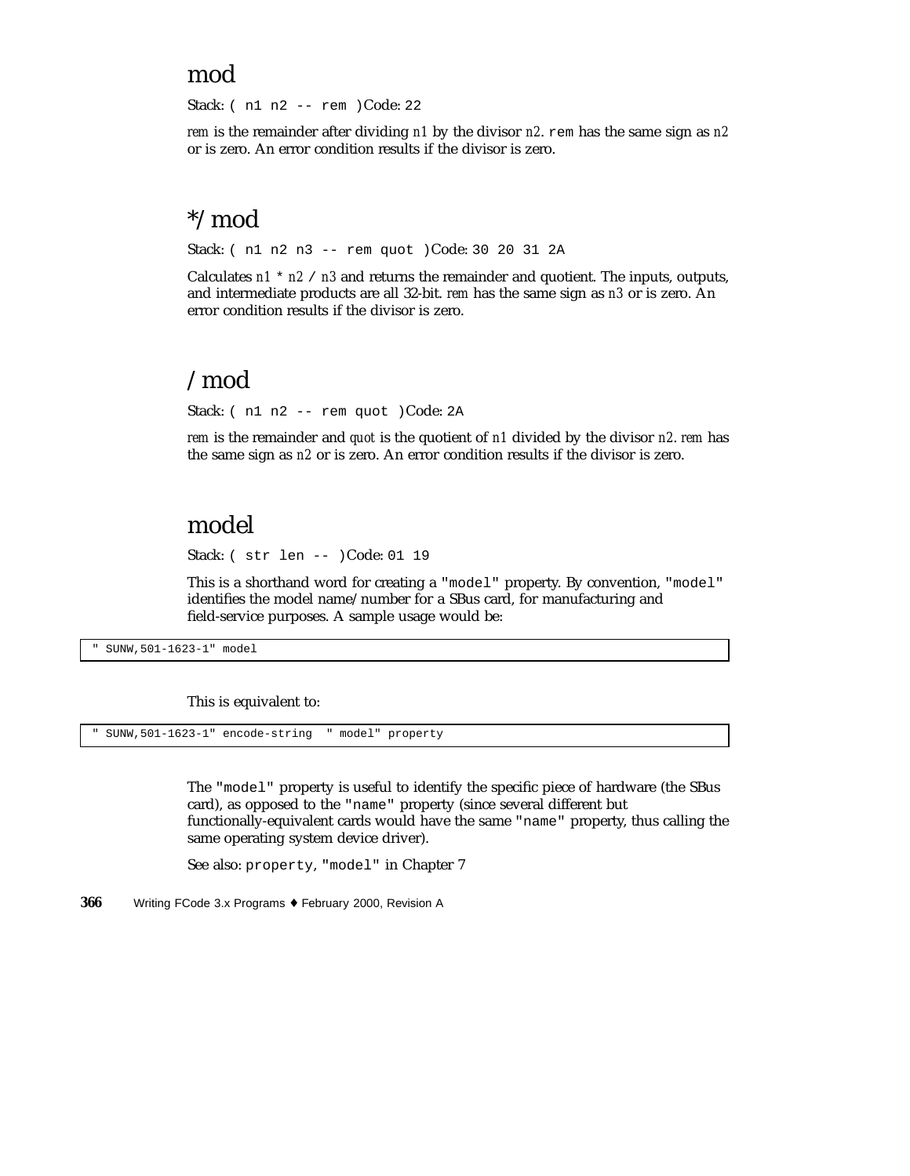### mod

Stack: ( n1 n2 -- rem )Code: 22

*rem* is the remainder after dividing *n1* by the divisor *n2*. rem has the same sign as *n2* or is zero. An error condition results if the divisor is zero.

## \*/mod

Stack: ( n1 n2 n3 -- rem quot )Code: 30 20 31 2A

Calculates  $n1 \times n2$  /  $n3$  and returns the remainder and quotient. The inputs, outputs, and intermediate products are all 32-bit. *rem* has the same sign as *n3* or is zero. An error condition results if the divisor is zero.

## /mod

Stack: ( n1 n2 -- rem quot )Code: 2A

*rem* is the remainder and *quot* is the quotient of *n1* divided by the divisor *n2*. *rem* has the same sign as *n2* or is zero. An error condition results if the divisor is zero.

# model

Stack: ( str len -- )Code: 01 19

This is a shorthand word for creating a "model" property. By convention, "model" identifies the model name/number for a SBus card, for manufacturing and field-service purposes. A sample usage would be:

" SUNW,501-1623-1" model

This is equivalent to:

" SUNW,501-1623-1" encode-string " model" property

The "model" property is useful to identify the specific piece of hardware (the SBus card), as opposed to the "name" property (since several different but functionally-equivalent cards would have the same "name" property, thus calling the same operating system device driver).

See also: property, "model" in Chapter 7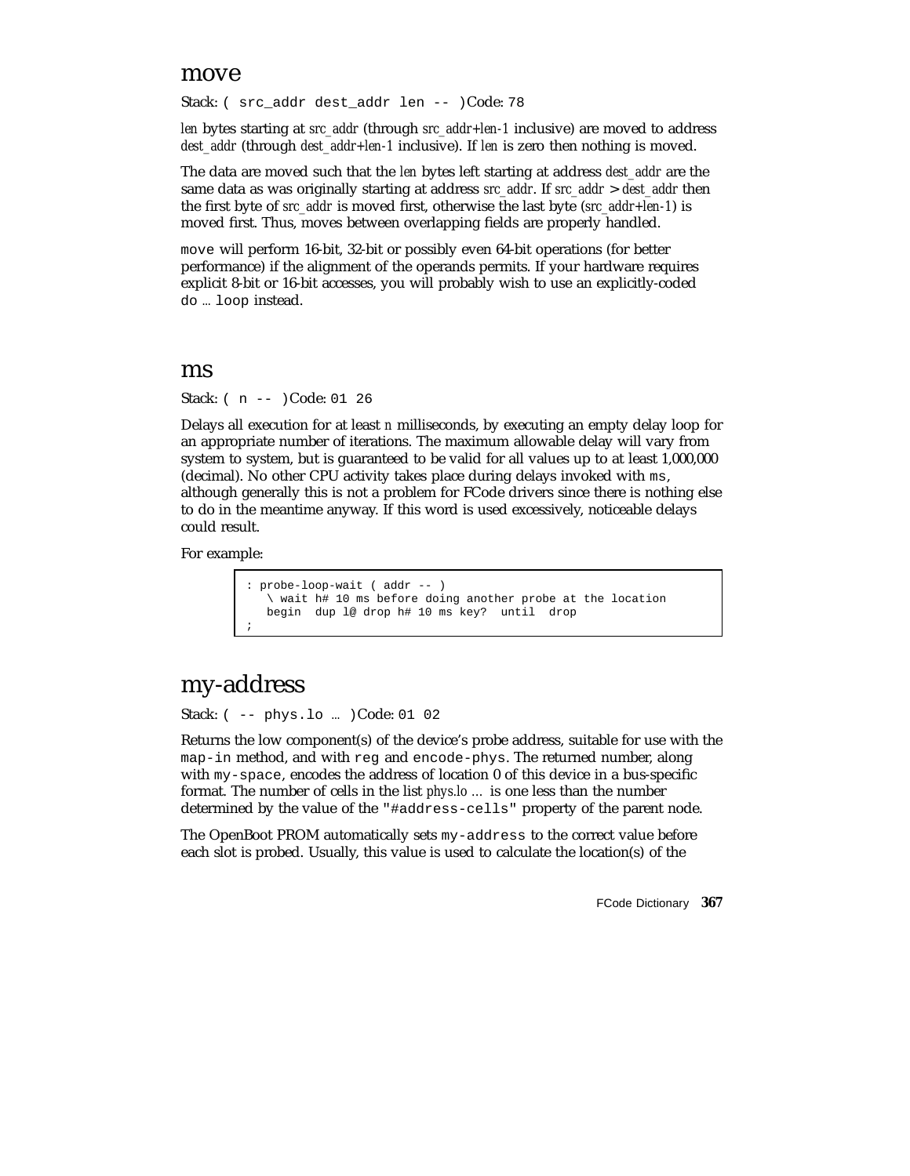#### move

Stack: ( src addr dest addr len -- )Code: 78

*len* bytes starting at *src\_addr* (through *src\_addr+len-1* inclusive) are moved to address *dest\_addr* (through *dest\_addr+len-1* inclusive). If *len* is zero then nothing is moved.

The data are moved such that the *len* bytes left starting at address *dest\_addr* are the same data as was originally starting at address *src\_addr*. If *src\_addr* > *dest\_addr* then the first byte of *src\_addr* is moved first, otherwise the last byte (*src\_addr+len-1*) is moved first. Thus, moves between overlapping fields are properly handled.

move will perform 16-bit, 32-bit or possibly even 64-bit operations (for better performance) if the alignment of the operands permits. If your hardware requires explicit 8-bit or 16-bit accesses, you will probably wish to use an explicitly-coded do … loop instead.

#### ms

Stack: ( n -- )Code: 01 26

Delays all execution for at least *n* milliseconds, by executing an empty delay loop for an appropriate number of iterations. The maximum allowable delay will vary from system to system, but is guaranteed to be valid for all values up to at least 1,000,000 (decimal). No other CPU activity takes place during delays invoked with ms, although generally this is not a problem for FCode drivers since there is nothing else to do in the meantime anyway. If this word is used excessively, noticeable delays could result.

For example:

```
: probe-loop-wait ( addr -- )
  \ wait h# 10 ms before doing another probe at the location
  begin dup l@ drop h# 10 ms key? until drop
;
```
# my-address

Stack: ( -- phys.lo … )Code: 01 02

Returns the low component(s) of the device's probe address, suitable for use with the map-in method, and with reg and encode-phys. The returned number, along with my-space, encodes the address of location 0 of this device in a bus-specific format. The number of cells in the list *phys.lo …* is one less than the number determined by the value of the "#address-cells" property of the parent node.

The OpenBoot PROM automatically sets my-address to the correct value before each slot is probed. Usually, this value is used to calculate the location(s) of the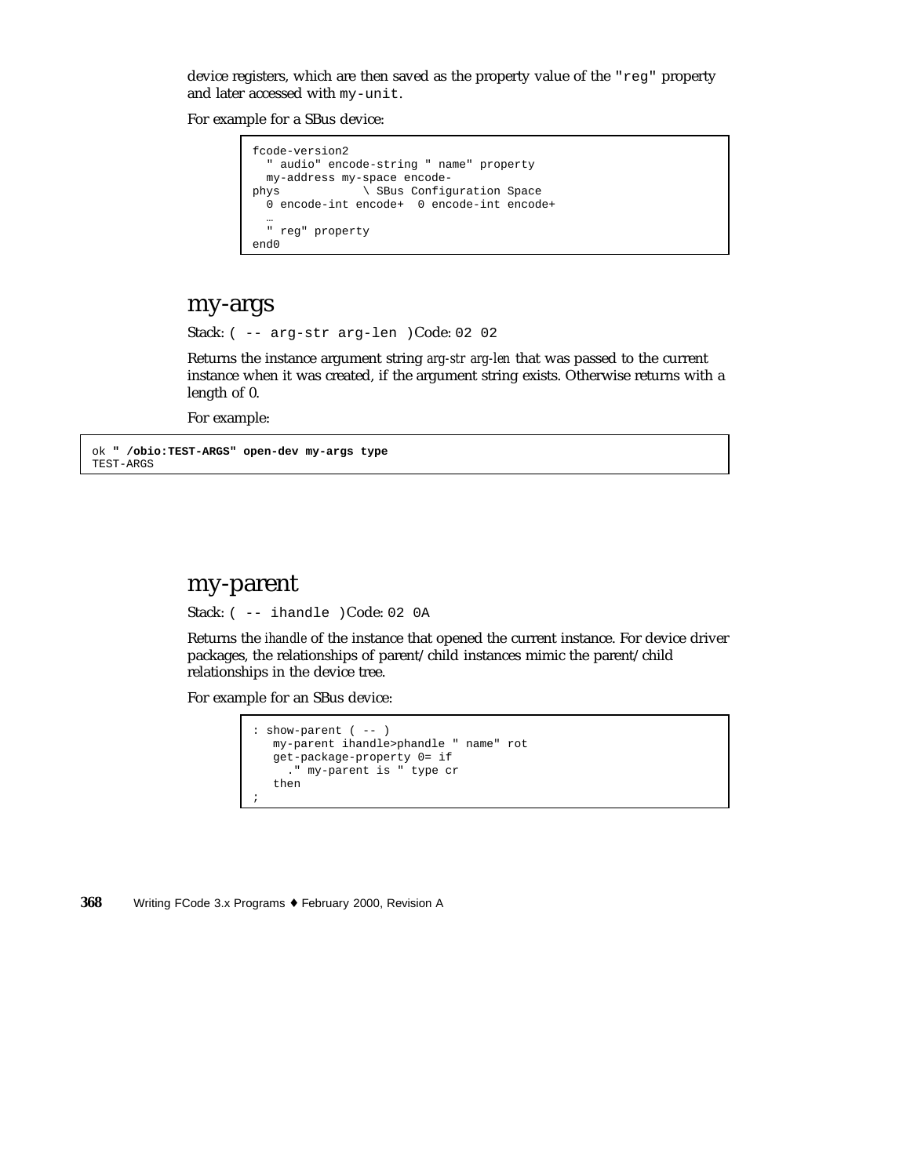device registers, which are then saved as the property value of the "reg" property and later accessed with my-unit.

For example for a SBus device:

```
fcode-version2
  " audio" encode-string " name" property
 my-address my-space encode-
phys \setminus SBus Configuration Space
 0 encode-int encode+ 0 encode-int encode+
  …
  " reg" property
end0
```
#### my-args

Stack: ( -- arg-str arg-len )Code: 02 02

Returns the instance argument string *arg-str arg-len* that was passed to the current instance when it was created, if the argument string exists. Otherwise returns with a length of 0.

For example:

ok **" /obio:TEST-ARGS" open-dev my-args type** TEST-ARGS

#### my-parent

Stack: ( -- ihandle )Code: 02 0A

Returns the *ihandle* of the instance that opened the current instance. For device driver packages, the relationships of parent/child instances mimic the parent/child relationships in the device tree.

For example for an SBus device:

```
: show-parent ( -- )
  my-parent ihandle>phandle " name" rot
  get-package-property 0= if
    ." my-parent is " type cr
   then
;
```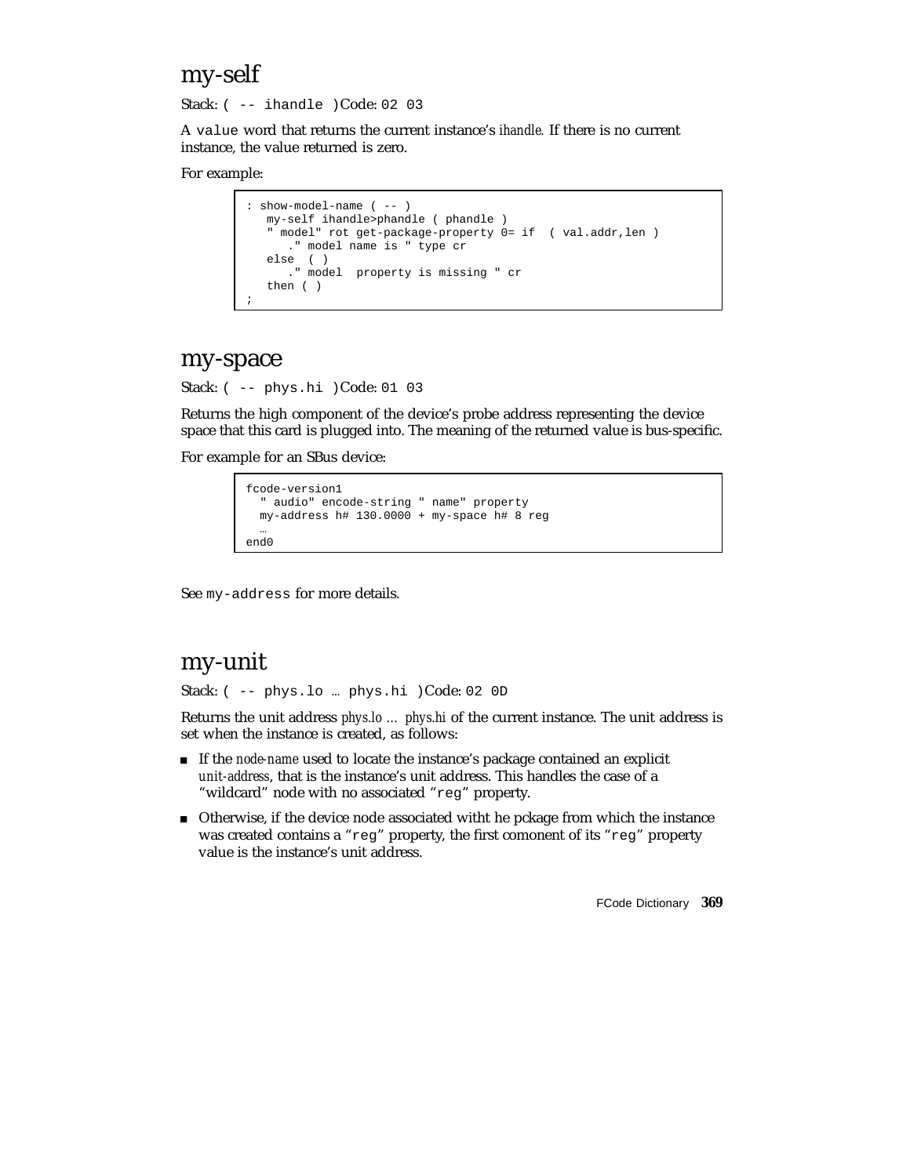# my-self

Stack: ( -- ihandle )Code: 02 03

A value word that returns the current instance's *ihandle.* If there is no current instance, the value returned is zero.

#### For example:

```
: show-model-name ( -- )
  my-self ihandle>phandle ( phandle )
   " model" rot get-package-property 0= if ( val.addr,len )
      ." model name is " type cr
   else ( )
      ." model property is missing " cr
  then ( )
;
```
#### my-space

Stack: ( -- phys.hi )Code: 01 03

Returns the high component of the device's probe address representing the device space that this card is plugged into. The meaning of the returned value is bus-specific.

For example for an SBus device:

```
fcode-version1
  audio" encode-string " name" property
 my-address h# 130.0000 + my-space h# 8 reg
  …
end0
```
See my-address for more details.

### my-unit

Stack: ( -- phys.lo ... phys.hi )Code: 02 OD

Returns the unit address *phys.lo … phys.hi* of the current instance. The unit address is set when the instance is created, as follows:

- If the *node-name* used to locate the instance's package contained an explicit *unit-address*, that is the instance's unit address. This handles the case of a "wildcard" node with no associated "reg" property.
- Otherwise, if the device node associated witht he pckage from which the instance was created contains a "reg" property, the first comonent of its "reg" property value is the instance's unit address.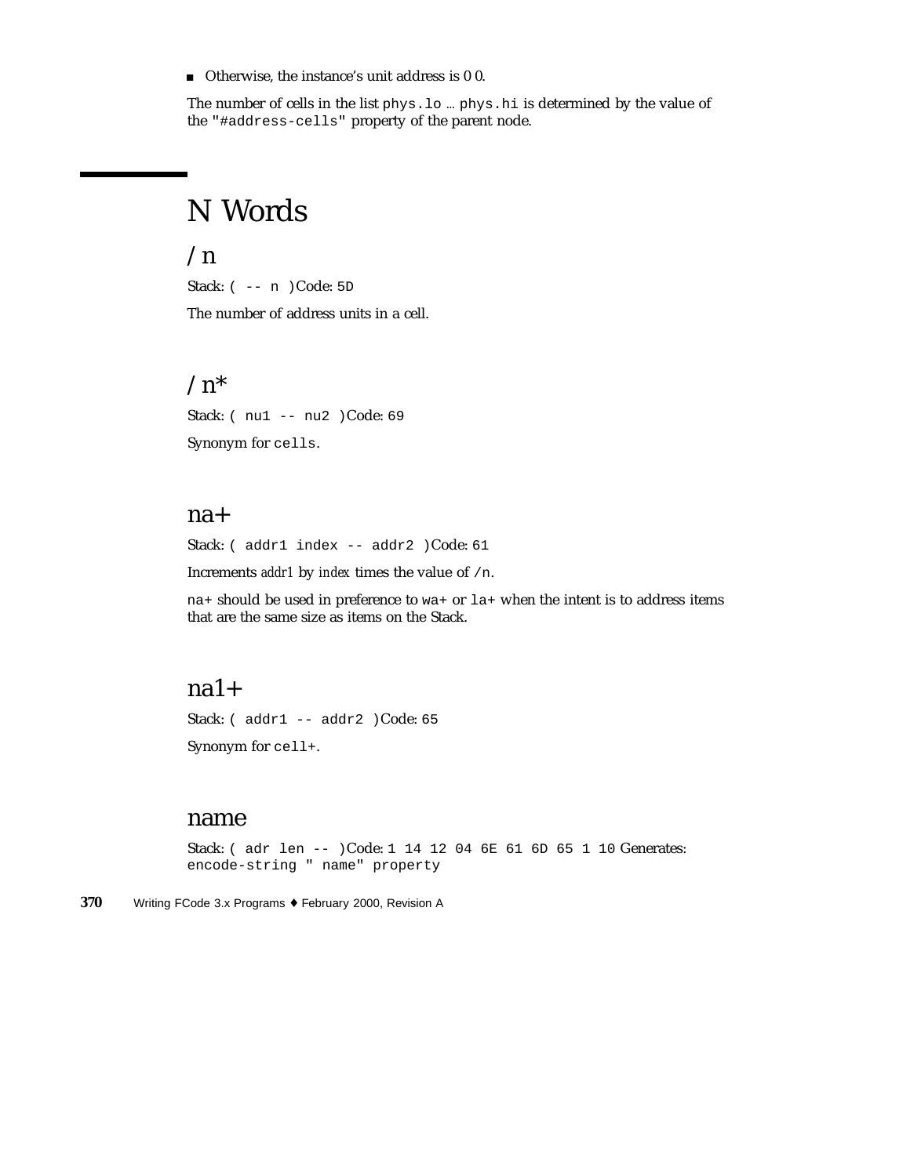Otherwise, the instance's unit address is 0 0.

The number of cells in the list phys.lo … phys.hi is determined by the value of the "#address-cells" property of the parent node.

# N Words

### $\ln$

Stack: ( -- n )Code: 5D The number of address units in a cell.

# $/n^*$

Stack: ( nu1 -- nu2 )Code: 69 Synonym for cells.

#### na+

Stack: ( addr1 index -- addr2 )Code: 61

Increments *addr1* by *index* times the value of /n.

na+ should be used in preference to wa+ or la+ when the intent is to address items that are the same size as items on the Stack.

### $na1+$

Stack: ( addr1 -- addr2 )Code: 65 Synonym for cell+.

#### name

Stack: ( adr len -- )Code: 1 14 12 04 6E 61 6D 65 1 10 Generates: encode-string " name" property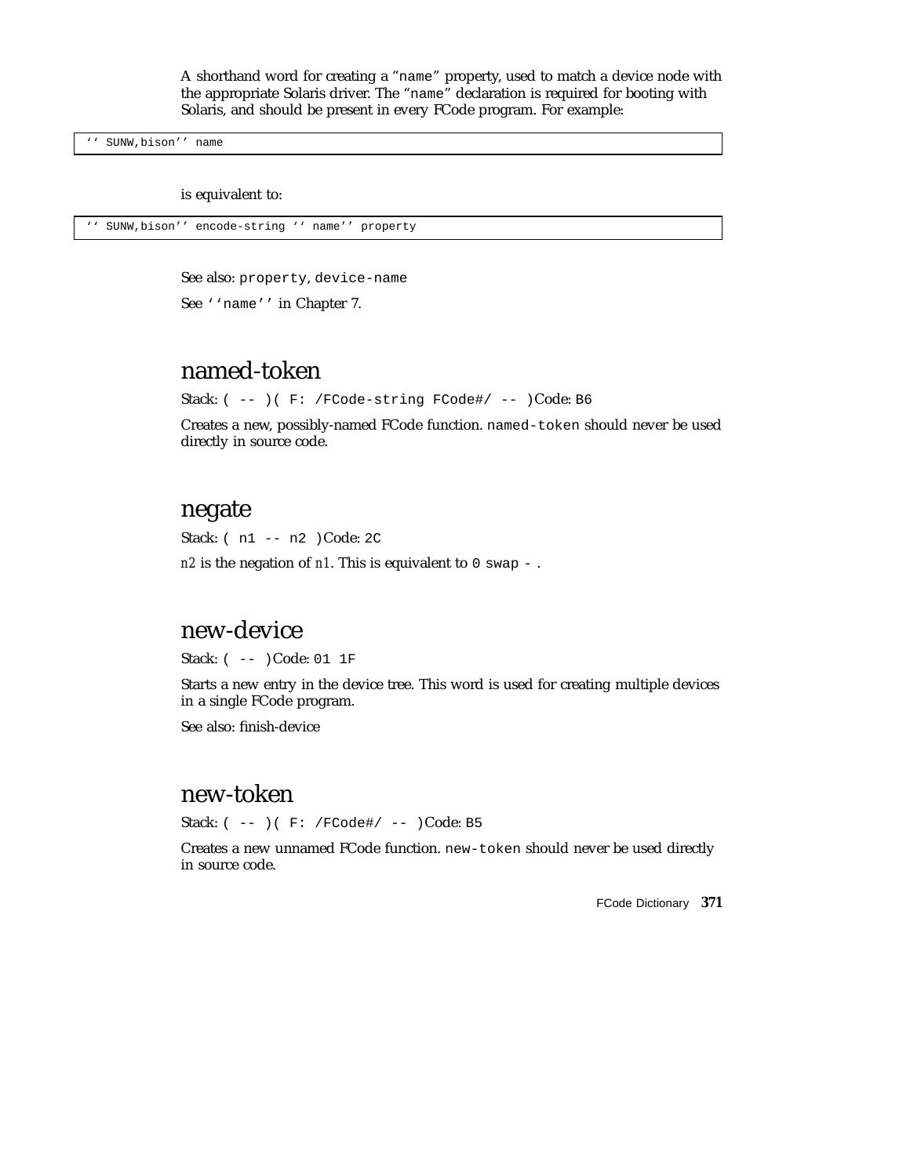A shorthand word for creating a "name" property, used to match a device node with the appropriate Solaris driver. The "name" declaration is required for booting with Solaris, and should be present in every FCode program. For example:

'' SUNW,bison'' name

is equivalent to:

```
'' SUNW,bison'' encode-string '' name'' property
```
See also: property, device-name

See ''name'' in Chapter 7.

# named-token

Stack: ( -- ) ( F: /FCode-string FCode#/ -- )Code: B6

Creates a new, possibly-named FCode function. named-token should never be used directly in source code.

### negate

Stack: ( n1 -- n2 )Code: 2C

*n2* is the negation of *n1*. This is equivalent to 0 swap -.

### new-device

Stack: ( -- )Code: 01 1F

Starts a new entry in the device tree. This word is used for creating multiple devices in a single FCode program.

See also: finish-device

# new-token

Stack: ( -- )( F: /FCode#/ -- )Code: B5

Creates a new unnamed FCode function. new-token should never be used directly in source code.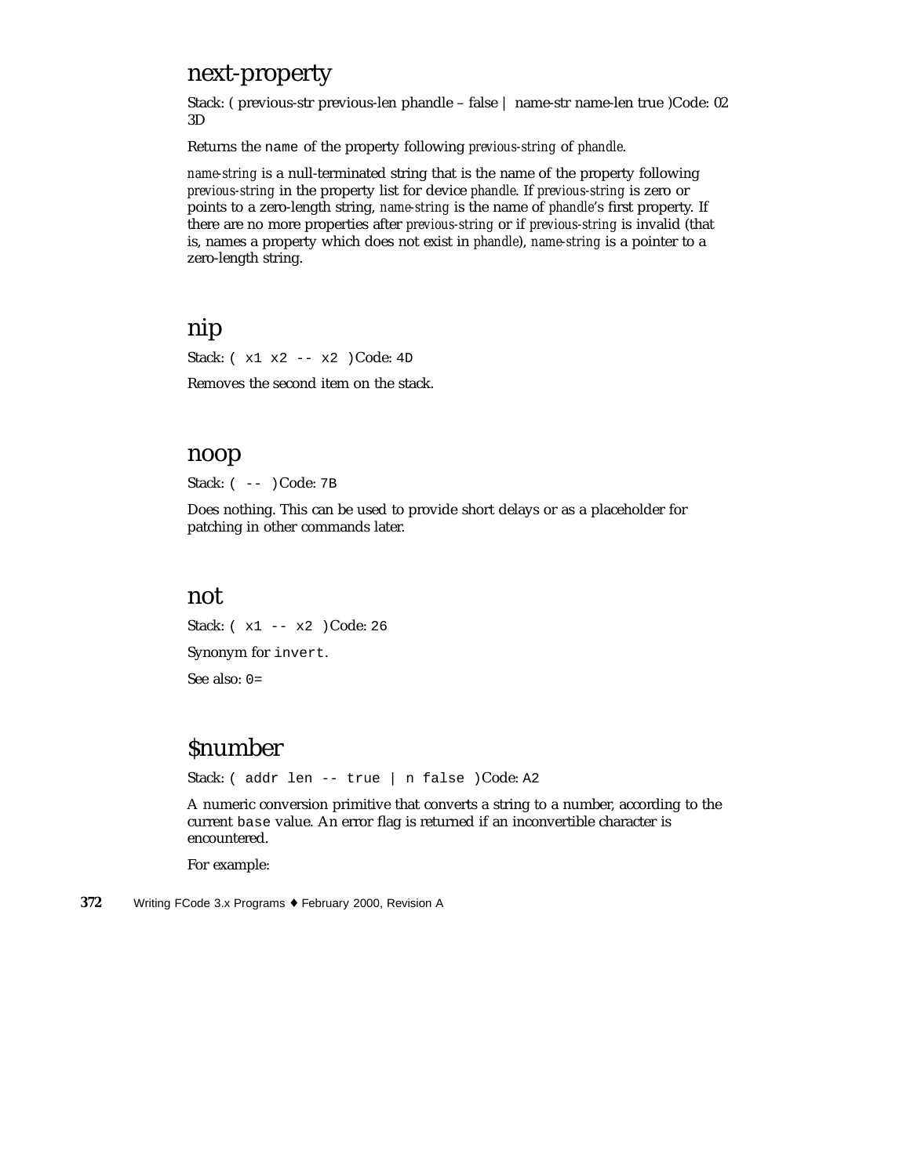### next-property

Stack: ( previous-str previous-len phandle – false | name-str name-len true )Code: 02 3D

Returns the name of the property following *previous-string* of *phandle*.

*name-string* is a null-terminated string that is the name of the property following *previous-string* in the property list for device *phandle*. If *previous-string* is zero or points to a zero-length string, *name-string* is the name of *phandle*'s first property. If there are no more properties after *previous-string* or if *previous-string* is invalid (that is, names a property which does not exist in *phandle*), *name-string* is a pointer to a zero-length string.

## nip

Stack: ( x1 x2 -- x2 )Code: 4D

Removes the second item on the stack.

#### noop

Stack: ( -- )Code: 7B

Does nothing. This can be used to provide short delays or as a placeholder for patching in other commands later.

#### not

Stack: ( x1 -- x2 )Code: 26 Synonym for invert. See also: 0=

# **Snumber**

Stack: ( addr len -- true | n false )Code: A2

A numeric conversion primitive that converts a string to a number, according to the current base value. An error flag is returned if an inconvertible character is encountered.

For example: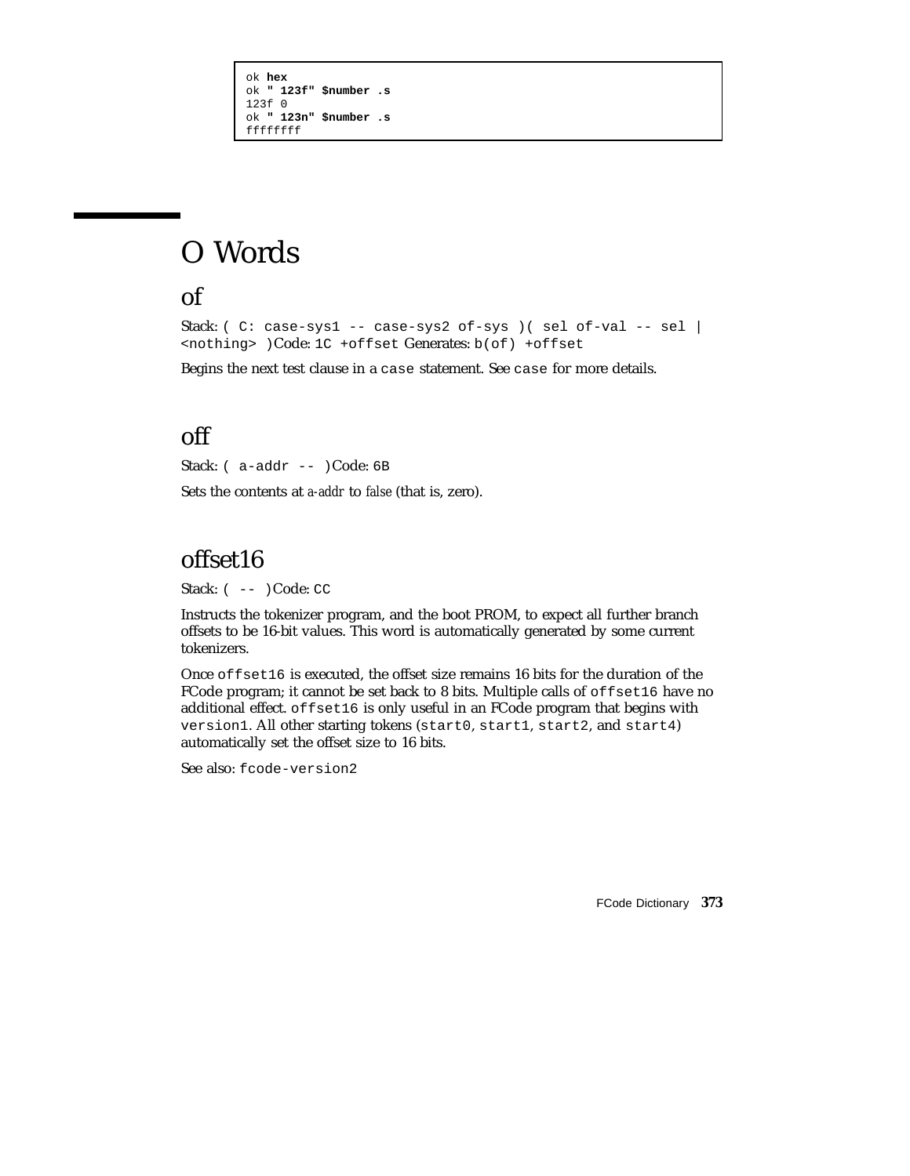```
ok hex
ok " 123f" $number .s
123f 0
ok " 123n" $number .s
ffffffff
```
# O Words

## of

```
Stack: ( C: case-sys1 -- case-sys2 of-sys ) ( sel of-val -- sel |
<nothing> )Code: 1C +offset Generates: b(of) +offset
```
Begins the next test clause in a case statement. See case for more details.

# off

Stack: ( a-addr -- )Code: 6B Sets the contents at *a-addr* to *false* (that is, zero).

# offset16

Stack:  $(- - )$  Code: CC

Instructs the tokenizer program, and the boot PROM, to expect all further branch offsets to be 16-bit values. This word is automatically generated by some current tokenizers.

Once offset16 is executed, the offset size remains 16 bits for the duration of the FCode program; it cannot be set back to 8 bits. Multiple calls of offset16 have no additional effect. offset16 is only useful in an FCode program that begins with version1. All other starting tokens (start0, start1, start2, and start4) automatically set the offset size to 16 bits.

See also: fcode-version2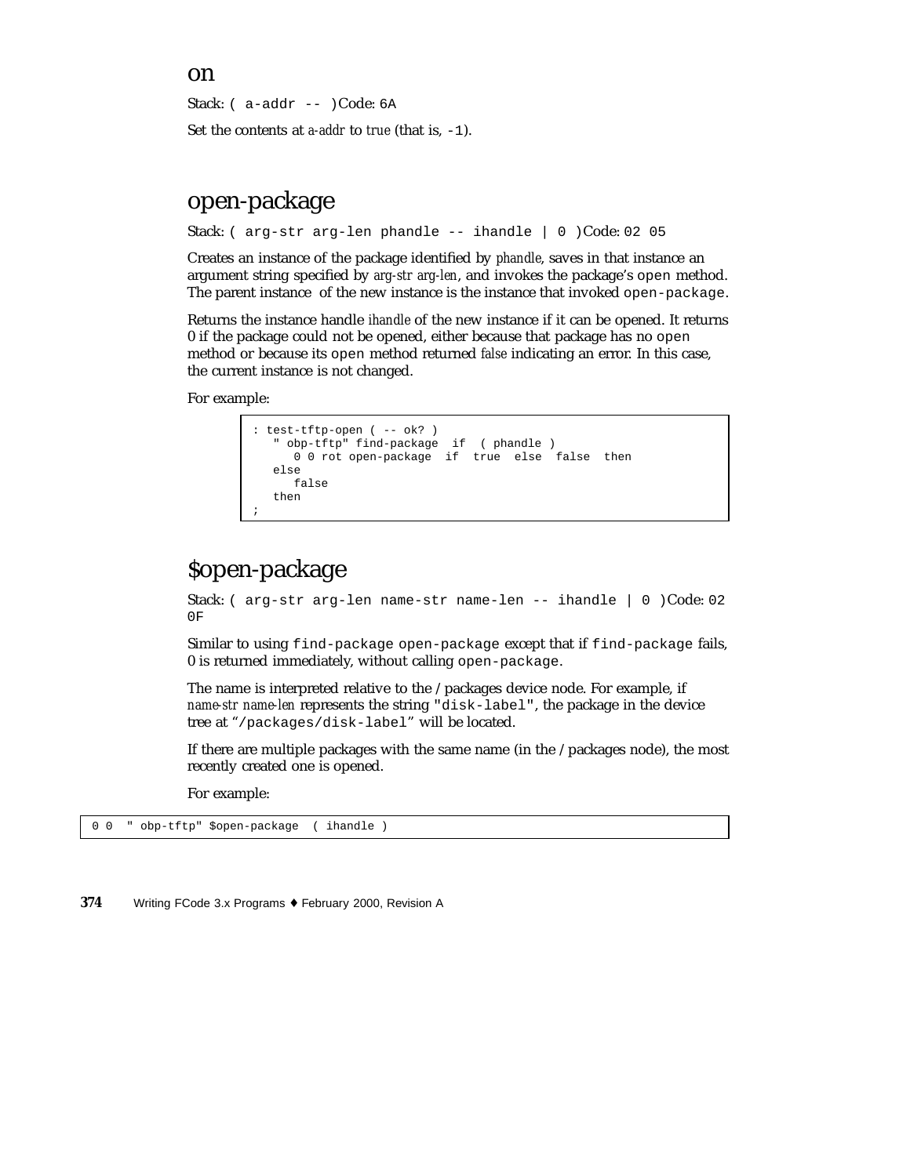Stack: ( a-addr -- )Code: 6A

Set the contents at *a-addr* to *true* (that is, -1).

# open-package

Stack: ( arg-str arg-len phandle -- ihandle | 0 )Code: 02 05

Creates an instance of the package identified by *phandle*, saves in that instance an argument string specified by *arg-str arg-len*, and invokes the package's open method. The parent instance of the new instance is the instance that invoked open-package.

Returns the instance handle *ihandle* of the new instance if it can be opened. It returns 0 if the package could not be opened, either because that package has no open method or because its open method returned *false* indicating an error. In this case, the current instance is not changed.

For example:

```
: test-tftp-open ( -- ok? )
   " obp-tftp" find-package if ( phandle )
     0 0 rot open-package if true else false then
  else
     false
  then
;
```
# \$open-package

Stack: ( arg-str arg-len name-str name-len -- ihandle | 0 )Code: 02 0F

Similar to using find-package open-package except that if find-package fails, 0 is returned immediately, without calling open-package.

The name is interpreted relative to the /packages device node. For example, if *name-str name-len* represents the string "disk-label", the package in the device tree at "/packages/disk-label" will be located.

If there are multiple packages with the same name (in the /packages node), the most recently created one is opened.

For example:

0 0 " obp-tftp" \$open-package ( ihandle )

**374** Writing FCode 3.x Programs ♦ February 2000, Revision A

#### on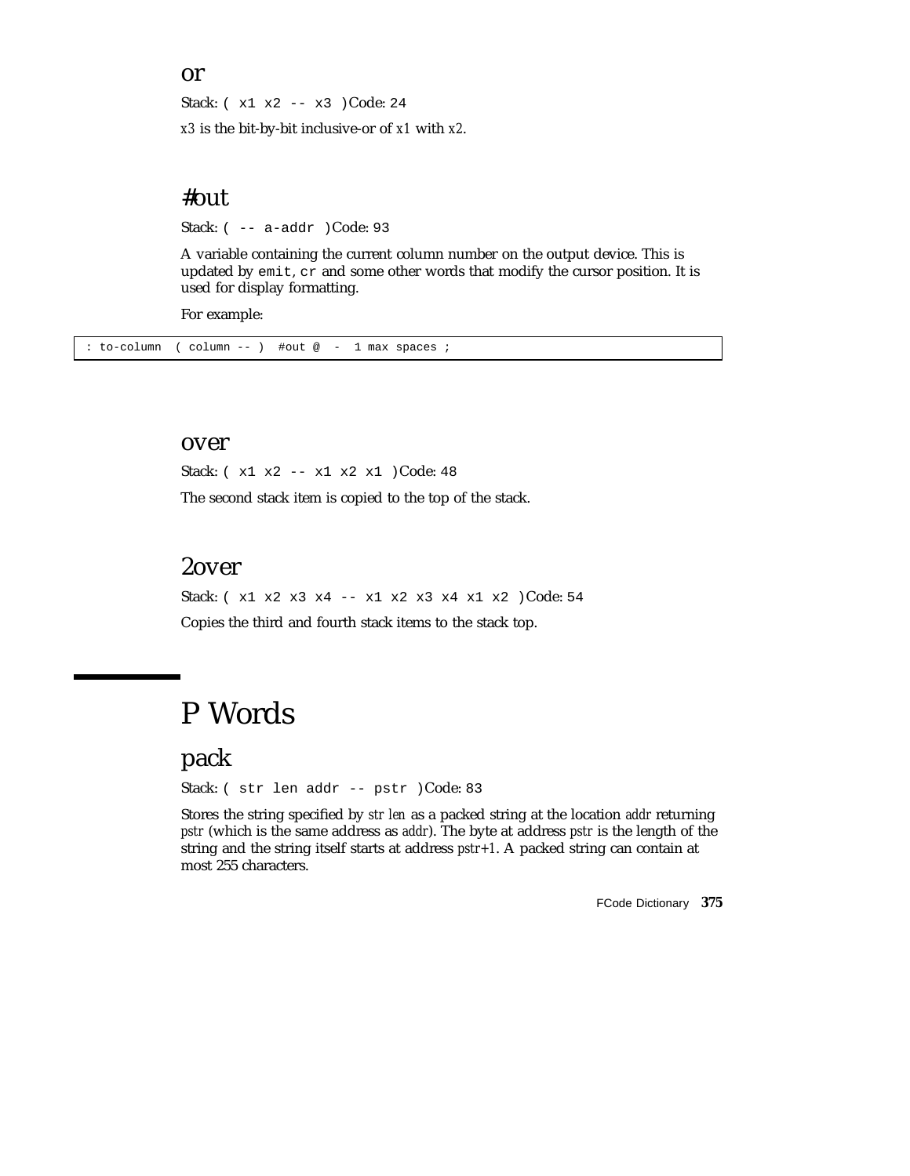#### or

Stack: ( x1 x2 -- x3 )Code: 24

*x3* is the bit-by-bit inclusive-or of *x1* with *x2*.

### #out

Stack: ( -- a-addr )Code: 93

A variable containing the current column number on the output device. This is updated by emit, cr and some other words that modify the cursor position. It is used for display formatting.

For example:

: to-column ( column -- ) #out @ - 1 max spaces ;

#### over

Stack: ( x1 x2 -- x1 x2 x1 )Code: 48 The second stack item is copied to the top of the stack.

### 2over

Stack: ( x1 x2 x3 x4 -- x1 x2 x3 x4 x1 x2 )Code: 54 Copies the third and fourth stack items to the stack top.

# P Words

pack

Stack: ( str len addr -- pstr )Code: 83

Stores the string specified by *str len* as a packed string at the location *addr* returning *pstr* (which is the same address as *addr*). The byte at address *pstr* is the length of the string and the string itself starts at address *pstr+1*. A packed string can contain at most 255 characters.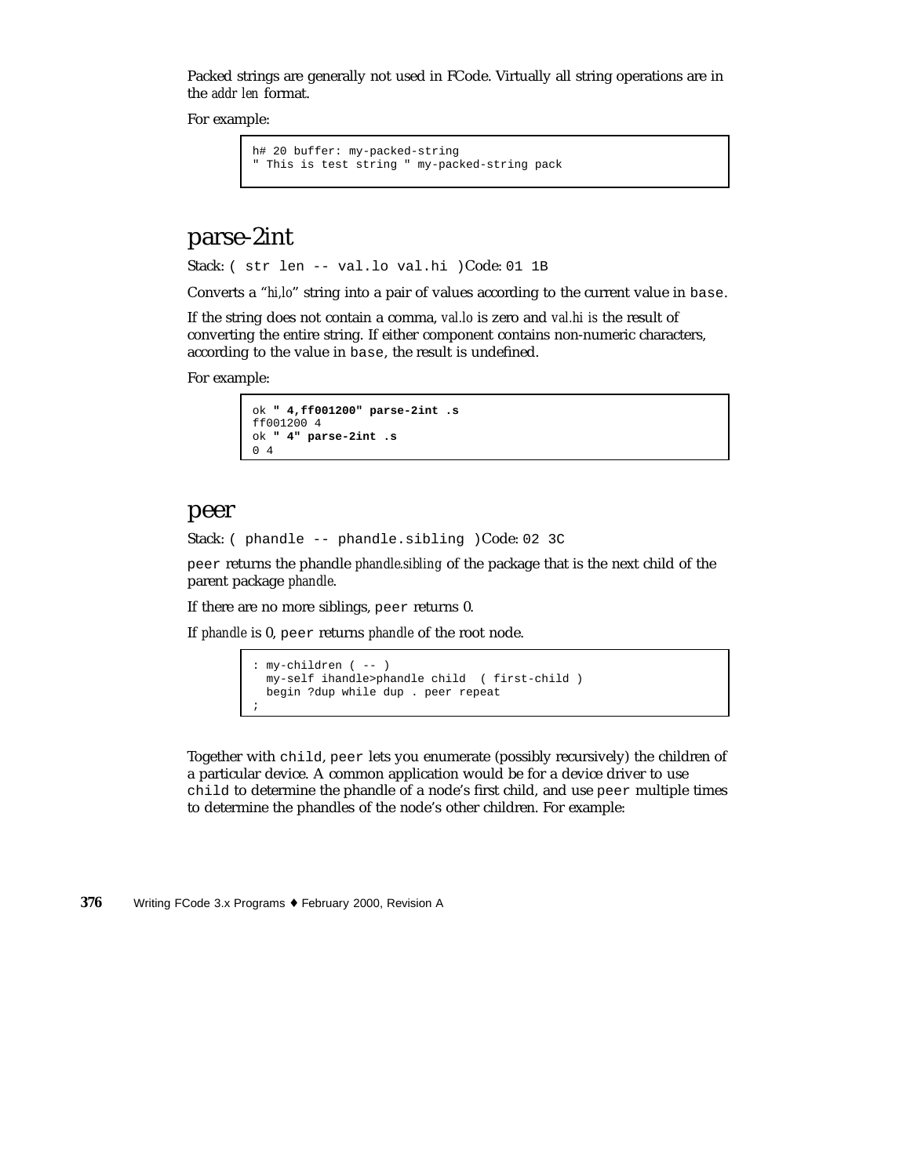Packed strings are generally not used in FCode. Virtually all string operations are in the *addr len* format.

For example:

```
h# 20 buffer: my-packed-string
" This is test string " my-packed-string pack
```
## parse-2int

Stack: ( str len -- val.lo val.hi )Code: 01 1B

Converts a "*hi,lo*" string into a pair of values according to the current value in base.

If the string does not contain a comma, *val.lo* is zero and *val.hi is* the result of converting the entire string. If either component contains non-numeric characters, according to the value in base, the result is undefined.

For example:

```
ok " 4,ff001200" parse-2int .s
ff001200 4
ok " 4" parse-2int .s
0 4
```
#### peer

Stack: ( phandle -- phandle.sibling )Code: 02 3C

peer returns the phandle *phandle.sibling* of the package that is the next child of the parent package *phandle*.

If there are no more siblings, peer returns 0.

If *phandle* is 0, peer returns *phandle* of the root node.

```
: my-children ( -- )
 my-self ihandle>phandle child ( first-child )
 begin ?dup while dup . peer repeat
;
```
Together with child, peer lets you enumerate (possibly recursively) the children of a particular device. A common application would be for a device driver to use child to determine the phandle of a node's first child, and use peer multiple times to determine the phandles of the node's other children. For example: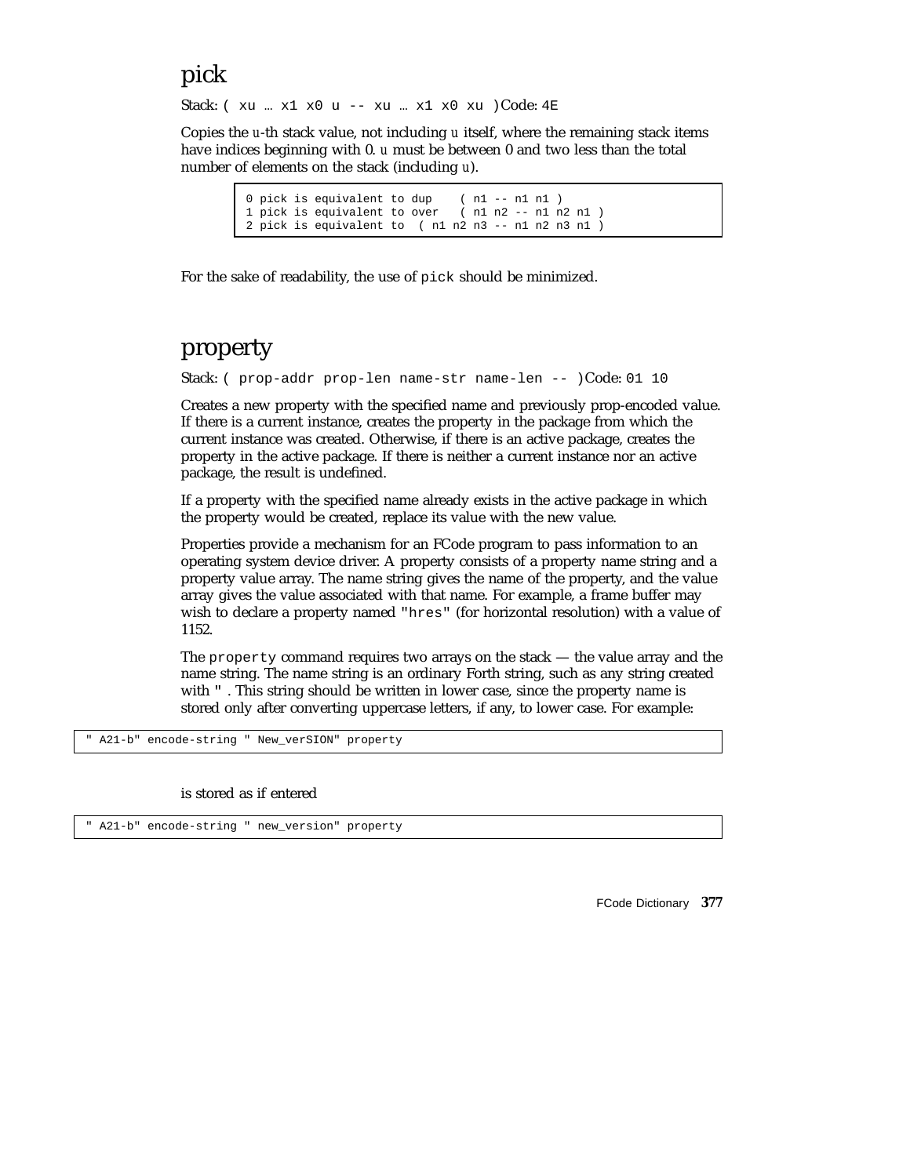# pick

Stack: ( xu … x1 x0 u -- xu … x1 x0 xu )Code: 4E

Copies the *u*-th stack value, not including *u* itself, where the remaining stack items have indices beginning with 0. *u* must be between 0 and two less than the total number of elements on the stack (including *u*).

> 0 pick is equivalent to dup  $( n1 - - n1 n1 )$ <br>1 pick is equivalent to over  $( n1 n2 - - n1 n2 n1 )$ 1 pick is equivalent to over 2 pick is equivalent to ( n1 n2 n3 -- n1 n2 n3 n1 )

For the sake of readability, the use of pick should be minimized.

# property

Stack: ( prop-addr prop-len name-str name-len -- )Code: 01 10

Creates a new property with the specified name and previously prop-encoded value. If there is a current instance, creates the property in the package from which the current instance was created. Otherwise, if there is an active package, creates the property in the active package. If there is neither a current instance nor an active package, the result is undefined.

If a property with the specified name already exists in the active package in which the property would be created, replace its value with the new value.

Properties provide a mechanism for an FCode program to pass information to an operating system device driver. A property consists of a property name string and a property value array. The name string gives the name of the property, and the value array gives the value associated with that name. For example, a frame buffer may wish to declare a property named "hres" (for horizontal resolution) with a value of 1152.

The property command requires two arrays on the stack — the value array and the name string. The name string is an ordinary Forth string, such as any string created with  $\cdot$ . This string should be written in lower case, since the property name is stored only after converting uppercase letters, if any, to lower case. For example:

" A21-b" encode-string " New\_verSION" property

#### is stored as if entered

" A21-b" encode-string " new\_version" property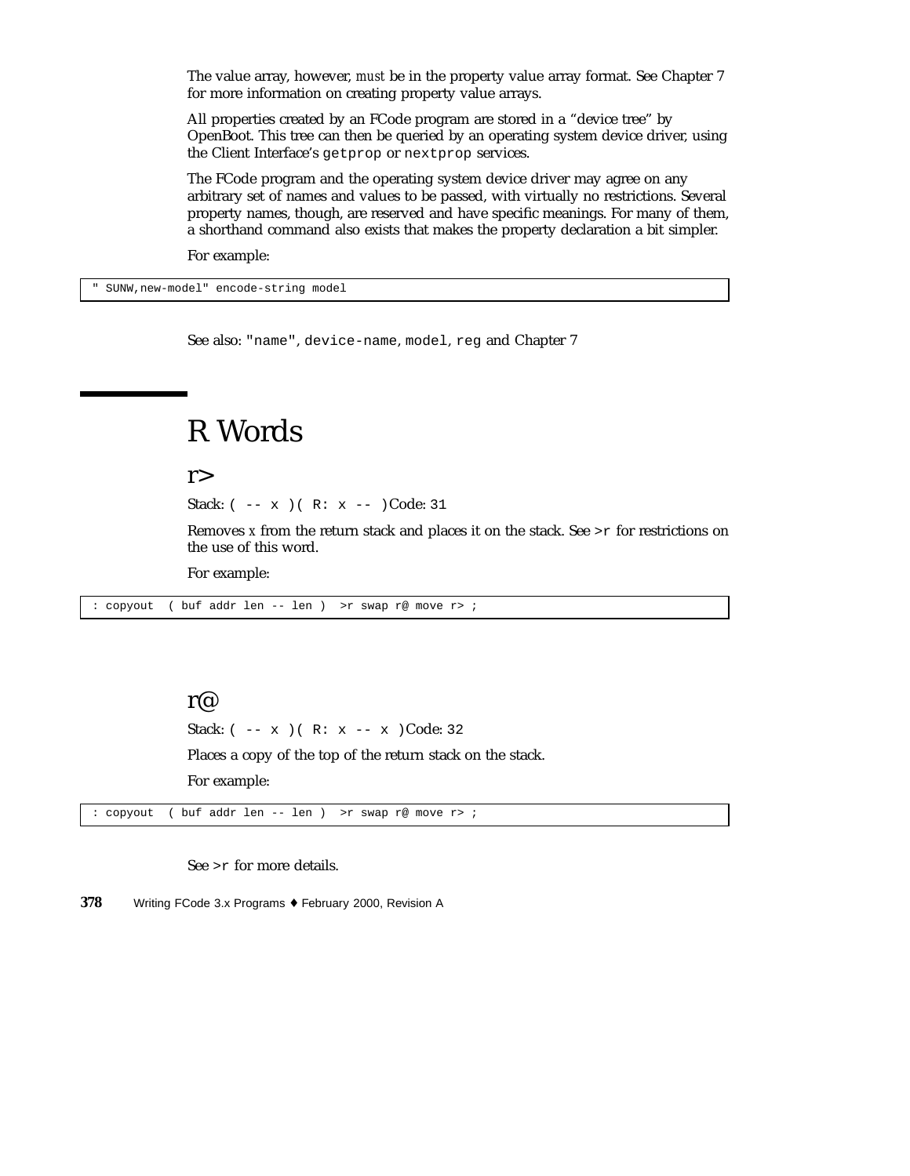The value array, however, *must* be in the property value array format. See Chapter 7 for more information on creating property value arrays.

All properties created by an FCode program are stored in a "device tree" by OpenBoot. This tree can then be queried by an operating system device driver, using the Client Interface's getprop or nextprop services.

The FCode program and the operating system device driver may agree on any arbitrary set of names and values to be passed, with virtually no restrictions. Several property names, though, are reserved and have specific meanings. For many of them, a shorthand command also exists that makes the property declaration a bit simpler.

For example:

SUNW, new-model" encode-string model

See also: "name", device-name, model, reg and Chapter 7

# R Words

 $r$ 

Stack:  $(- - x)$   $( R: x -- )$ Code: 31

Removes *x* from the return stack and places it on the stack. See >r for restrictions on the use of this word.

For example:

: copyout ( buf addr len -- len ) >r swap r@ move r> ;

#### r@

Stack:  $(- - x)$   $(R: x - - x)$  Code: 32

Places a copy of the top of the return stack on the stack.

For example:

: copyout ( buf addr len -- len ) >r swap r@ move r> ;

See >r for more details.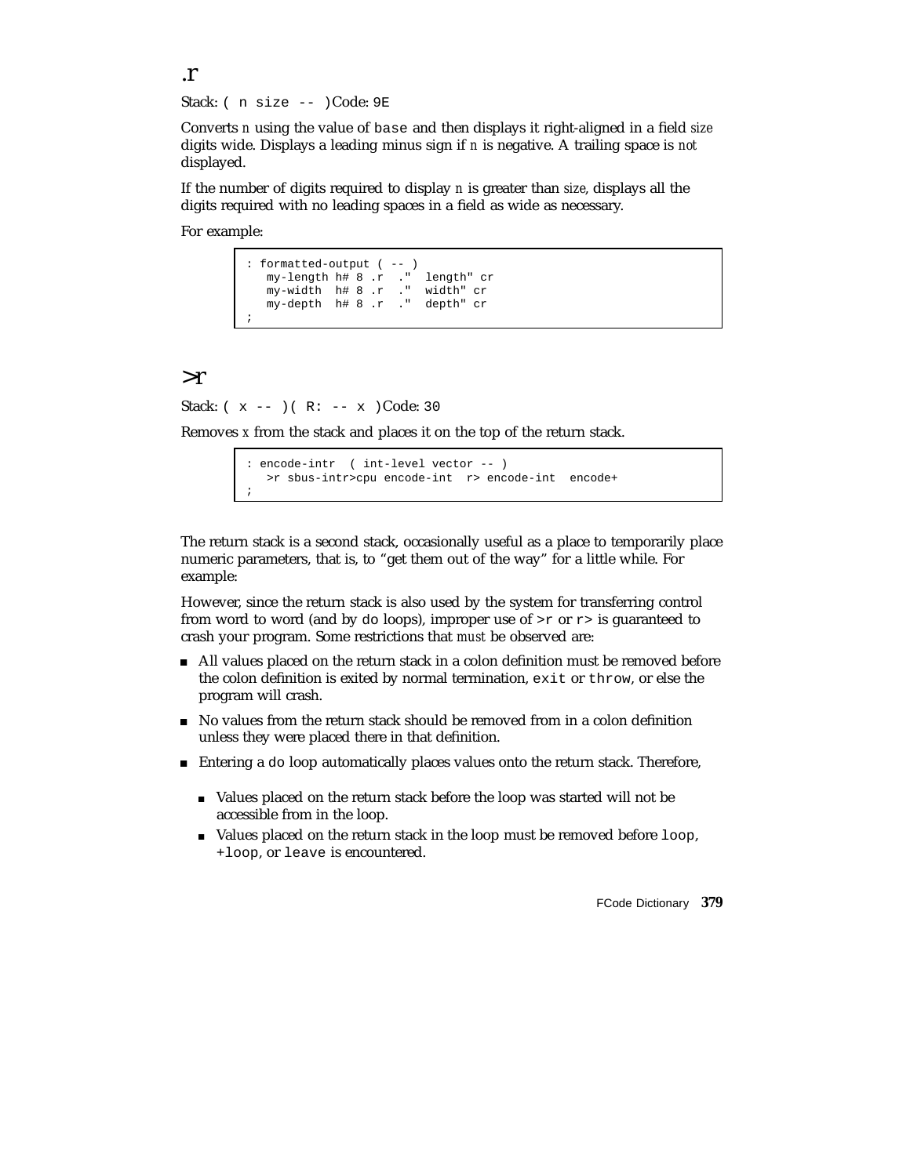.r Stack: ( n size -- )Code: 9E

Converts *n* using the value of base and then displays it right-aligned in a field *size* digits wide. Displays a leading minus sign if *n* is negative. A trailing space is *not* displayed.

If the number of digits required to display *n* is greater than *size*, displays all the digits required with no leading spaces in a field as wide as necessary.

For example:

```
: formatted-output ( -- )
   my-length h# 8 .r ." length" cr
   my-width h# 8 .r ." width" cr
   my-depth h# 8 .r ." depth" cr
;
```
#### >r

Stack:  $(x - -)(R: -x)$ Code: 30

Removes *x* from the stack and places it on the top of the return stack.

```
encode-intr ( int-level vector -- )
  >r sbus-intr>cpu encode-int r> encode-int encode+
;
```
The return stack is a second stack, occasionally useful as a place to temporarily place numeric parameters, that is, to "get them out of the way" for a little while. For example:

However, since the return stack is also used by the system for transferring control from word to word (and by do loops), improper use of  $>$ r or  $r$  is guaranteed to crash your program. Some restrictions that *must* be observed are:

- All values placed on the return stack in a colon definition must be removed before the colon definition is exited by normal termination, exit or throw, or else the program will crash.
- No values from the return stack should be removed from in a colon definition unless they were placed there in that definition.
- Entering a do loop automatically places values onto the return stack. Therefore,
	- Values placed on the return stack before the loop was started will not be accessible from in the loop.
	- $\blacksquare$  Values placed on the return stack in the loop must be removed before  $1$  oop, +loop, or leave is encountered.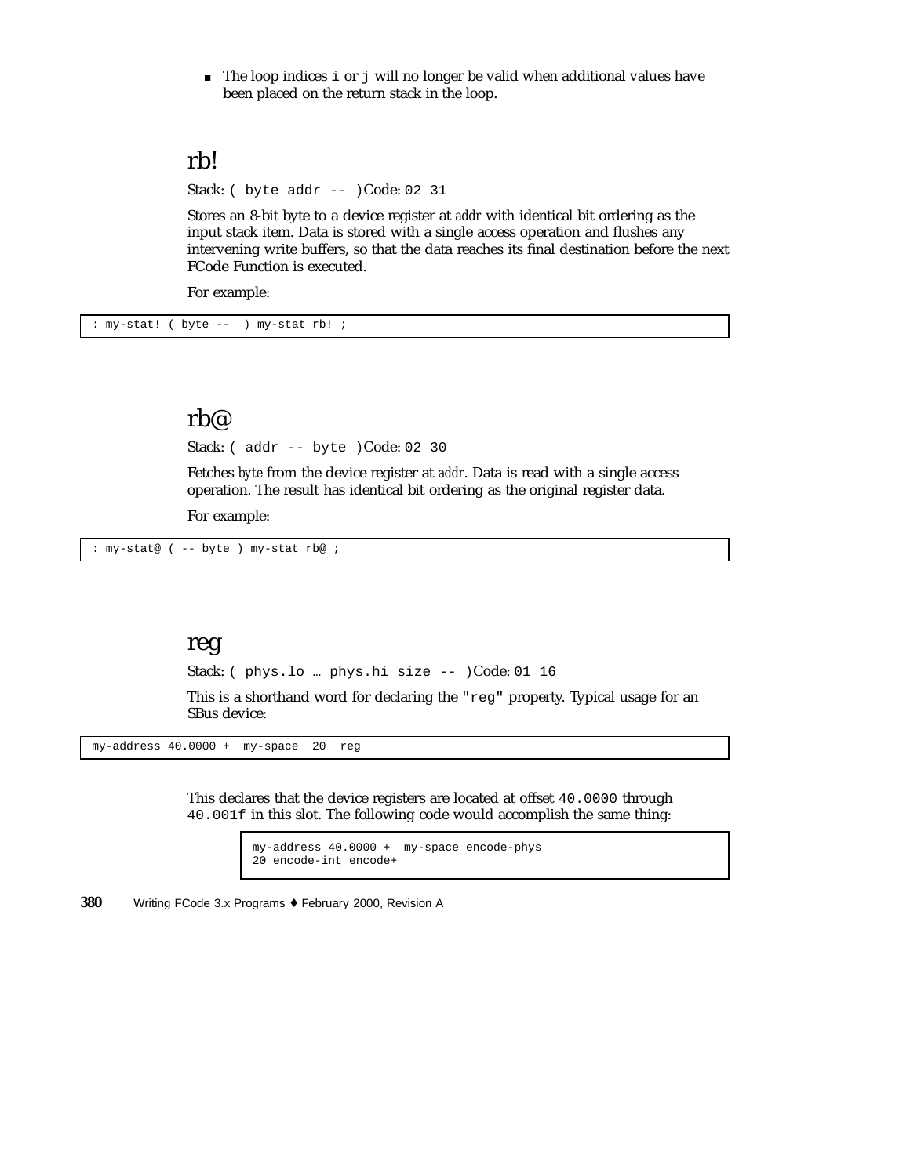The loop indices i or j will no longer be valid when additional values have been placed on the return stack in the loop.

### rb!

Stack: ( byte addr -- )Code: 02 31

Stores an 8-bit byte to a device register at *addr* with identical bit ordering as the input stack item. Data is stored with a single access operation and flushes any intervening write buffers, so that the data reaches its final destination before the next FCode Function is executed.

For example:

: my-stat! ( byte -- ) my-stat rb! ;

### rb@

Stack: ( addr -- byte )Code: 02 30

Fetches *byte* from the device register at *addr*. Data is read with a single access operation. The result has identical bit ordering as the original register data.

For example:

: my-stat@ ( -- byte ) my-stat rb@ ;

### reg

Stack: ( phys.lo … phys.hi size -- )Code: 01 16

This is a shorthand word for declaring the "reg" property. Typical usage for an SBus device:

 $my-address 40.0000 + my-space 20 reg$ 

This declares that the device registers are located at offset 40.0000 through 40.001f in this slot. The following code would accomplish the same thing:

> my-address 40.0000 + my-space encode-phys 20 encode-int encode+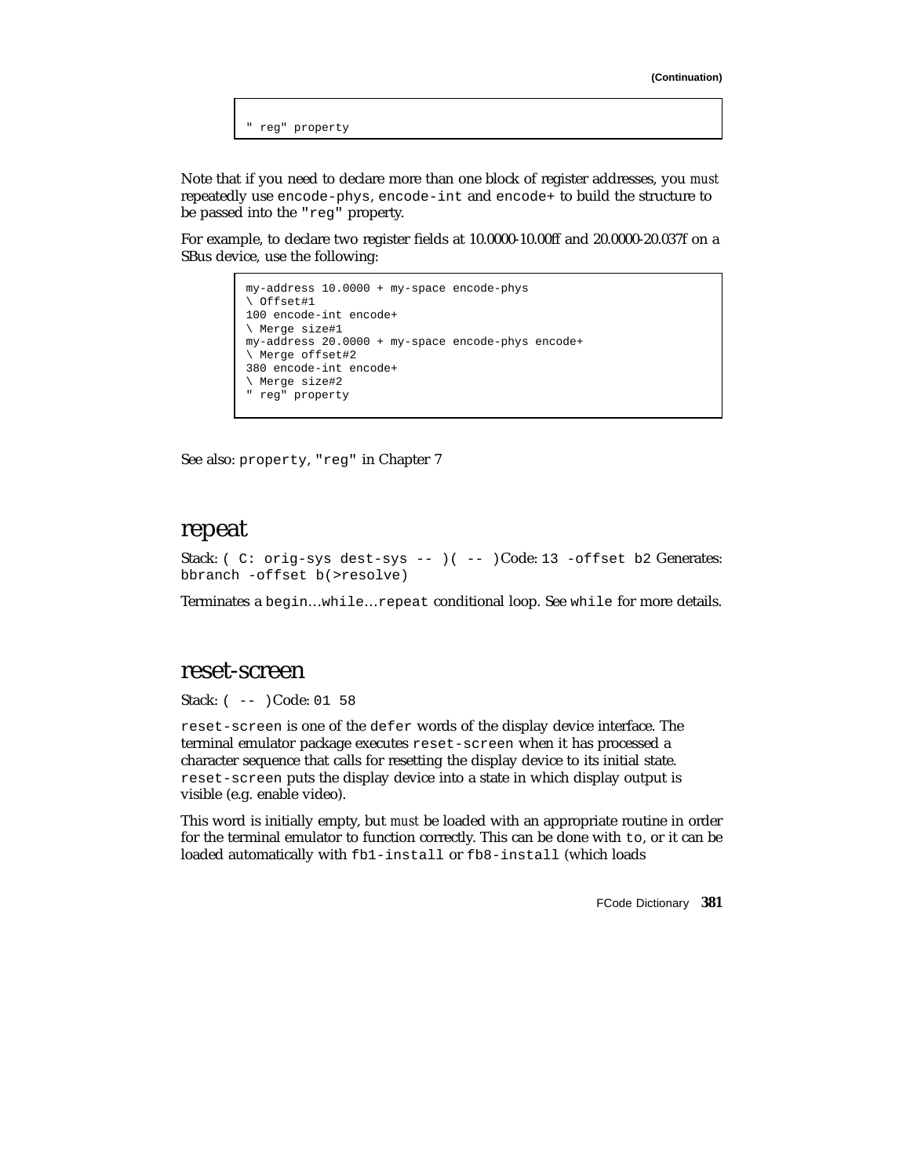" reg" property

Note that if you need to declare more than one block of register addresses, you *must* repeatedly use encode-phys, encode-int and encode+ to build the structure to be passed into the "reg" property.

For example, to declare two register fields at 10.0000-10.00ff and 20.0000-20.037f on a SBus device, use the following:

```
my-address 10.0000 + my-space encode-phys
\ Offset#1
100 encode-int encode+
\ Merge size#1
my-address 20.0000 + my-space encode-phys encode+
\ Merge offset#2
380 encode-int encode+
\ Merge size#2
" reg" property
```
See also: property, "reg" in Chapter 7

#### repeat

Stack: ( C: orig-sys dest-sys -- ) ( -- )Code: 13 -offset b2 Generates: bbranch -offset b(>resolve)

Terminates a begin…while…repeat conditional loop. See while for more details.

#### reset-screen

Stack: ( -- )Code: 01 58

reset-screen is one of the defer words of the display device interface. The terminal emulator package executes reset-screen when it has processed a character sequence that calls for resetting the display device to its initial state. reset-screen puts the display device into a state in which display output is visible (e.g. enable video).

This word is initially empty, but *must* be loaded with an appropriate routine in order for the terminal emulator to function correctly. This can be done with to, or it can be loaded automatically with fb1-install or fb8-install (which loads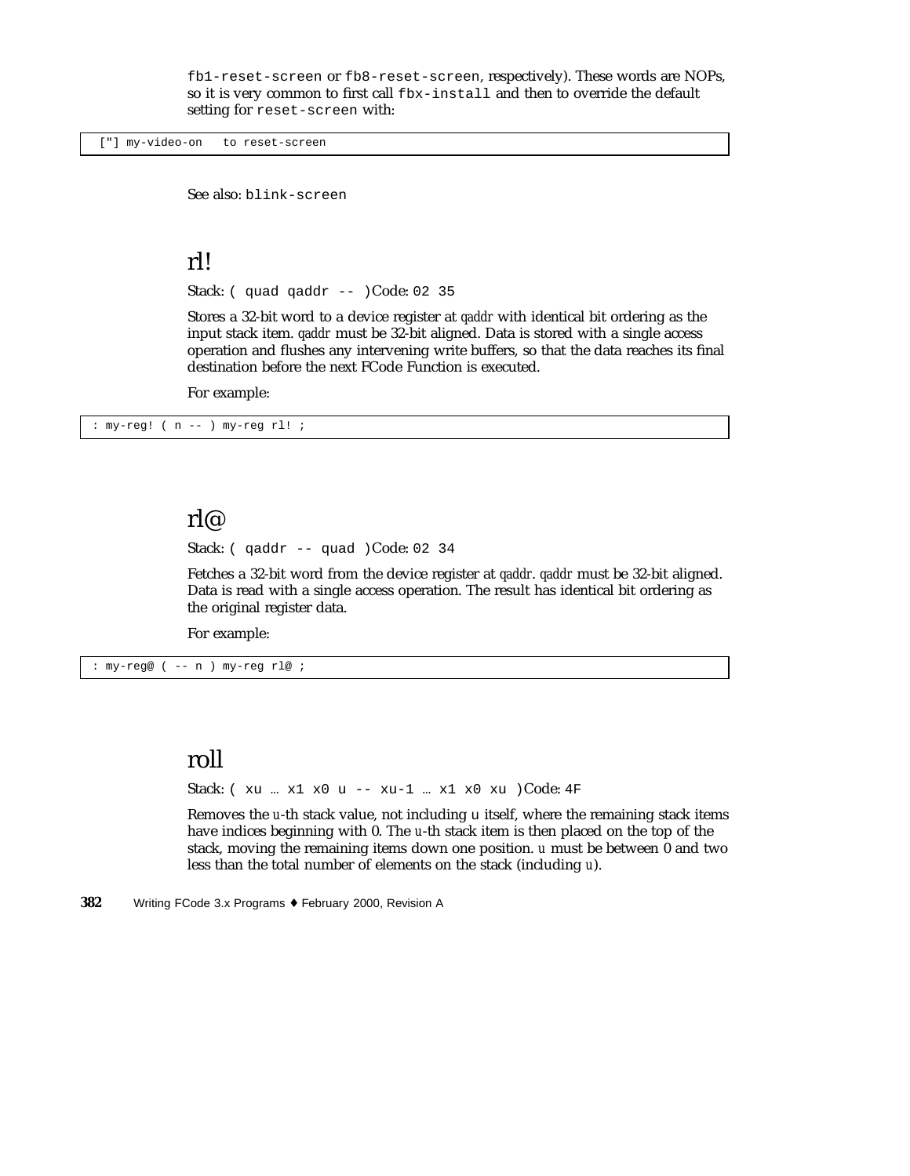fb1-reset-screen or fb8-reset-screen, respectively). These words are NOPs, so it is very common to first call fbx-install and then to override the default setting for reset-screen with:

["] my-video-on to reset-screen

See also: blink-screen

### rl!

Stack: ( quad qaddr -- )Code: 02 35

Stores a 32-bit word to a device register at *qaddr* with identical bit ordering as the input stack item. *qaddr* must be 32-bit aligned. Data is stored with a single access operation and flushes any intervening write buffers, so that the data reaches its final destination before the next FCode Function is executed.

For example:

: my-reg! ( n -- ) my-reg rl! ;

#### rl@

Stack:  $\left($  qaddr -- quad  $\right)$ Code: 02 34

Fetches a 32-bit word from the device register at *qaddr*. *qaddr* must be 32-bit aligned. Data is read with a single access operation. The result has identical bit ordering as the original register data.

For example:

: my-reg@ ( -- n ) my-reg rl@ ;

### roll

Stack: ( xu … x1 x0 u -- xu-1 … x1 x0 xu )Code: 4F

Removes the *u*-th stack value, not including u itself, where the remaining stack items have indices beginning with 0. The *u*-th stack item is then placed on the top of the stack, moving the remaining items down one position. *u* must be between 0 and two less than the total number of elements on the stack (including *u*).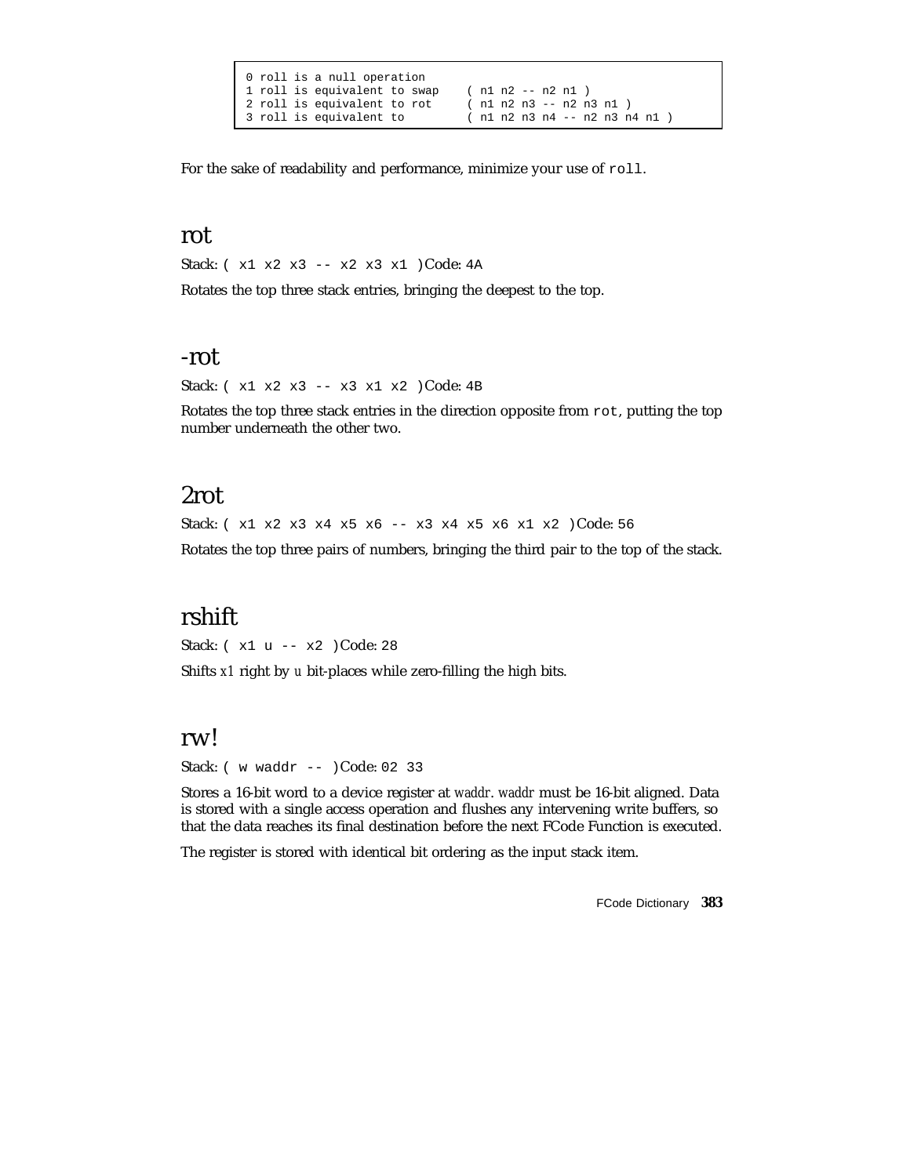|  | 0 roll is a null operation |                              |  |  |  |  |                         |  |  |  |  |  |                              |  |
|--|----------------------------|------------------------------|--|--|--|--|-------------------------|--|--|--|--|--|------------------------------|--|
|  |                            | 1 roll is equivalent to swap |  |  |  |  | $(n1 n2 - n2 n1)$       |  |  |  |  |  |                              |  |
|  |                            | 2 roll is equivalent to rot  |  |  |  |  | (n1 n2 n3 -- n2 n3 n1 ) |  |  |  |  |  |                              |  |
|  |                            | 3 roll is equivalent to      |  |  |  |  |                         |  |  |  |  |  | (n1 n2 n3 n4 -- n2 n3 n4 n1) |  |

For the sake of readability and performance, minimize your use of roll.

### rot

Stack: ( x1 x2 x3 -- x2 x3 x1 )Code: 4A

Rotates the top three stack entries, bringing the deepest to the top.

#### -rot

Stack: ( x1 x2 x3 -- x3 x1 x2 )Code: 4B

Rotates the top three stack entries in the direction opposite from rot, putting the top number underneath the other two.

# 2rot

Stack: ( x1 x2 x3 x4 x5 x6 -- x3 x4 x5 x6 x1 x2 )Code: 56

Rotates the top three pairs of numbers, bringing the third pair to the top of the stack.

## rshift

Stack: ( x1 u -- x2 )Code: 28

Shifts *x1* right by *u* bit-places while zero-filling the high bits.

#### rw!

Stack: ( w waddr -- )Code: 02 33

Stores a 16-bit word to a device register at *waddr*. *waddr* must be 16-bit aligned. Data is stored with a single access operation and flushes any intervening write buffers, so that the data reaches its final destination before the next FCode Function is executed.

The register is stored with identical bit ordering as the input stack item.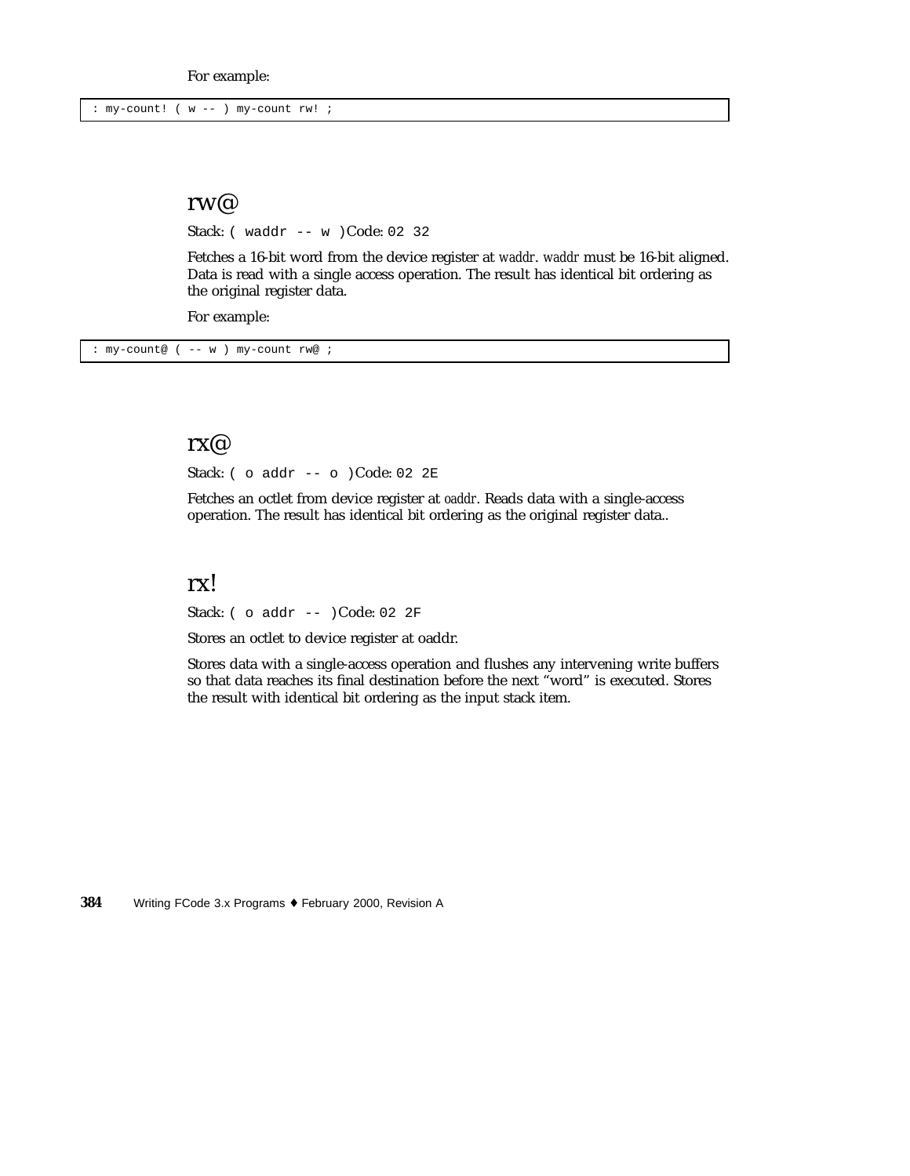: my-count! ( w -- ) my-count rw! ;

#### rw@

Stack: ( waddr -- w )Code: 02 32

Fetches a 16-bit word from the device register at *waddr*. *waddr* must be 16-bit aligned. Data is read with a single access operation. The result has identical bit ordering as the original register data.

For example:

: my-count@ ( -- w ) my-count rw@ ;

#### rx@

Stack: ( o addr -- o )Code: 02 2E

Fetches an octlet from device register at *oaddr*. Reads data with a single-access operation. The result has identical bit ordering as the original register data..

### rx!

Stack: ( o addr -- )Code: 02 2F

Stores an octlet to device register at oaddr.

Stores data with a single-access operation and flushes any intervening write buffers so that data reaches its final destination before the next "word" is executed. Stores the result with identical bit ordering as the input stack item.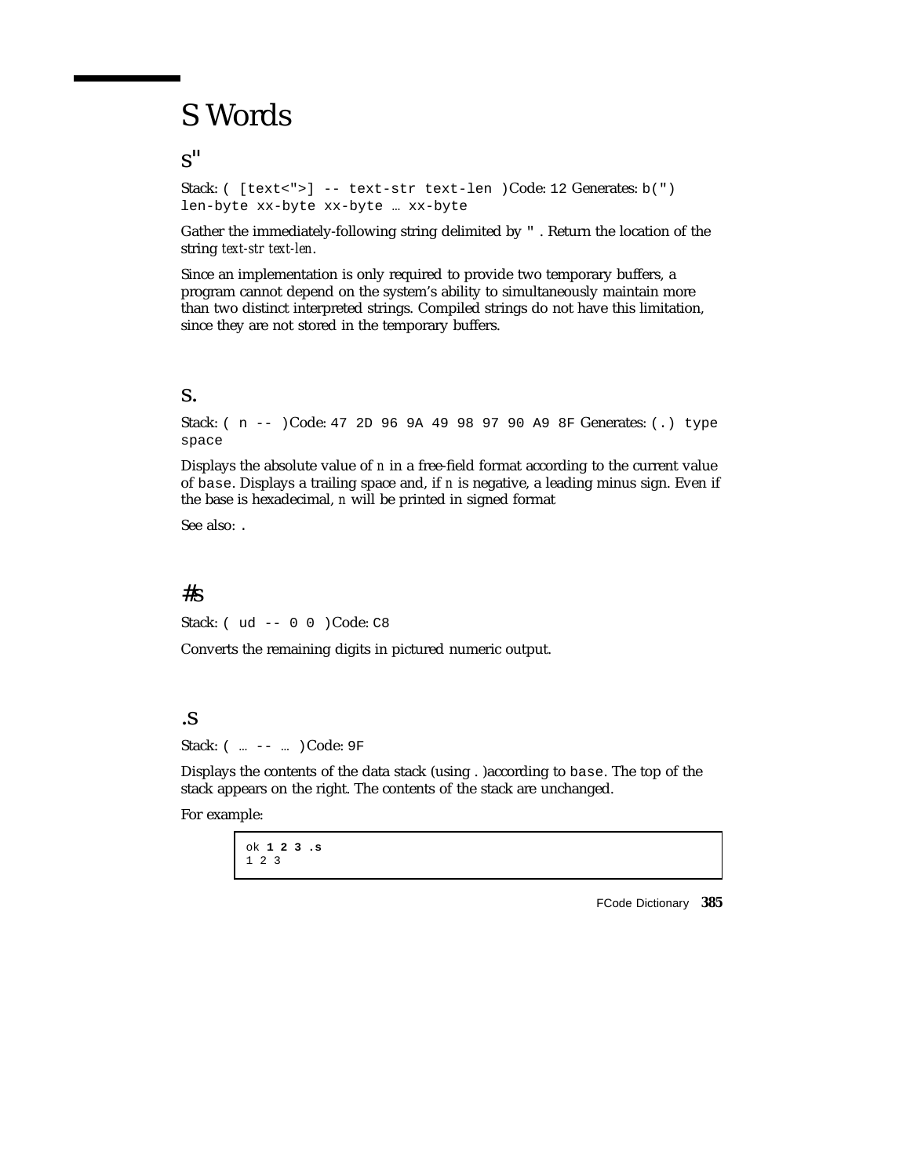# S Words

s"

Stack: ( [text<">] -- text-str text-len )Code: 12 Generates: b(") len-byte xx-byte xx-byte … xx-byte

Gather the immediately-following string delimited by " . Return the location of the string *text-str text-len*.

Since an implementation is only required to provide two temporary buffers, a program cannot depend on the system's ability to simultaneously maintain more than two distinct interpreted strings. Compiled strings do not have this limitation, since they are not stored in the temporary buffers.

#### s.

Stack: ( n -- )Code: 47 2D 96 9A 49 98 97 90 A9 8F Generates: (.) type space

Displays the absolute value of *n* in a free-field format according to the current value of base. Displays a trailing space and, if *n* is negative, a leading minus sign. Even if the base is hexadecimal, *n* will be printed in signed format

See also: .

#### $#s$

Stack: ( ud -- 0 0 )Code: C8

Converts the remaining digits in pictured numeric output.

#### .s

Stack: ( ... -- ... ) Code: 9F

Displays the contents of the data stack (using . )according to base. The top of the stack appears on the right. The contents of the stack are unchanged.

For example:

ok **1 2 3 .s** 123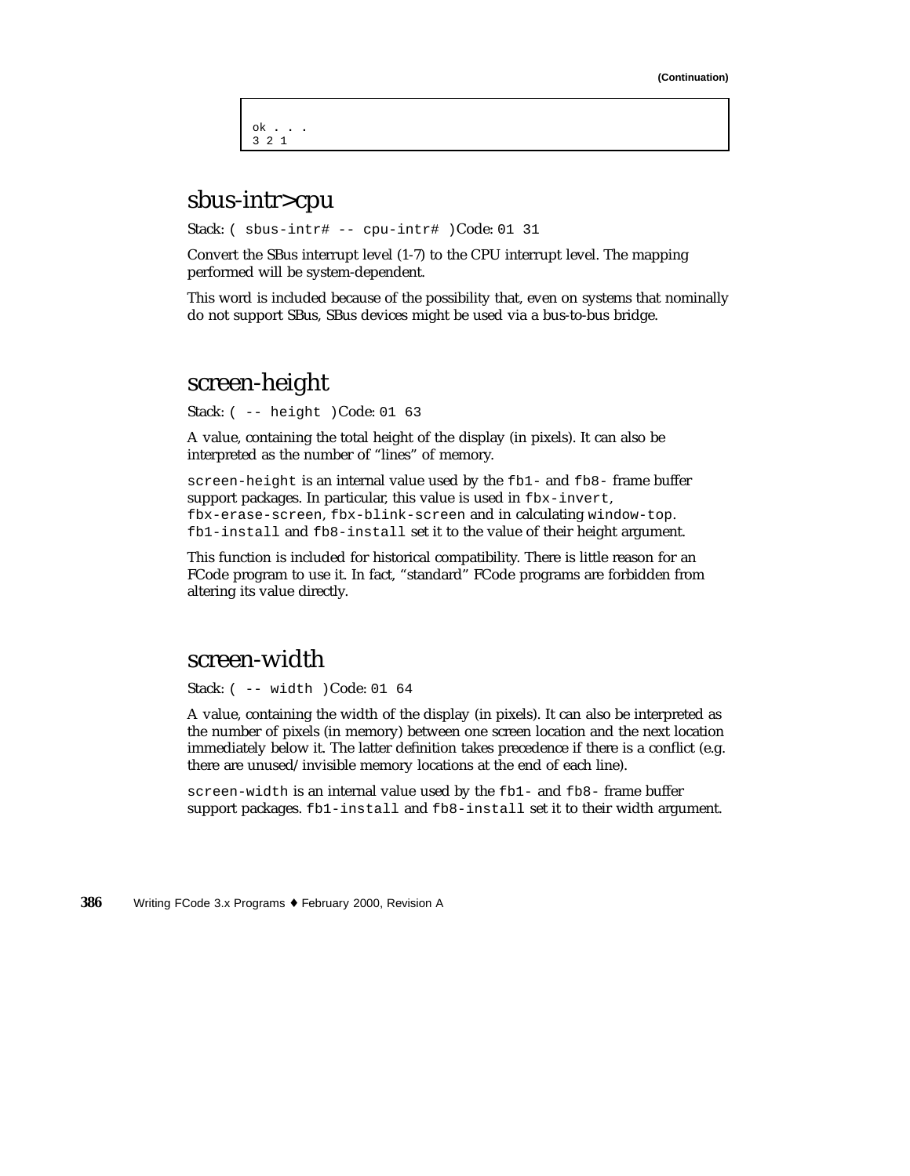ok **...** 321

# sbus-intr>cpu

Stack: ( sbus-intr# -- cpu-intr# )Code: 01 31

Convert the SBus interrupt level (1-7) to the CPU interrupt level. The mapping performed will be system-dependent.

This word is included because of the possibility that, even on systems that nominally do not support SBus, SBus devices might be used via a bus-to-bus bridge.

### screen-height

Stack: ( -- height )Code: 01 63

A value, containing the total height of the display (in pixels). It can also be interpreted as the number of "lines" of memory.

screen-height is an internal value used by the fb1- and fb8- frame buffer support packages. In particular, this value is used in fbx-invert, fbx-erase-screen, fbx-blink-screen and in calculating window-top. fb1-install and fb8-install set it to the value of their height argument.

This function is included for historical compatibility. There is little reason for an FCode program to use it. In fact, "standard" FCode programs are forbidden from altering its value directly.

### screen-width

Stack: ( -- width )Code: 01 64

A value, containing the width of the display (in pixels). It can also be interpreted as the number of pixels (in memory) between one screen location and the next location immediately below it. The latter definition takes precedence if there is a conflict (e.g. there are unused/invisible memory locations at the end of each line).

screen-width is an internal value used by the fb1- and fb8- frame buffer support packages. fb1-install and fb8-install set it to their width argument.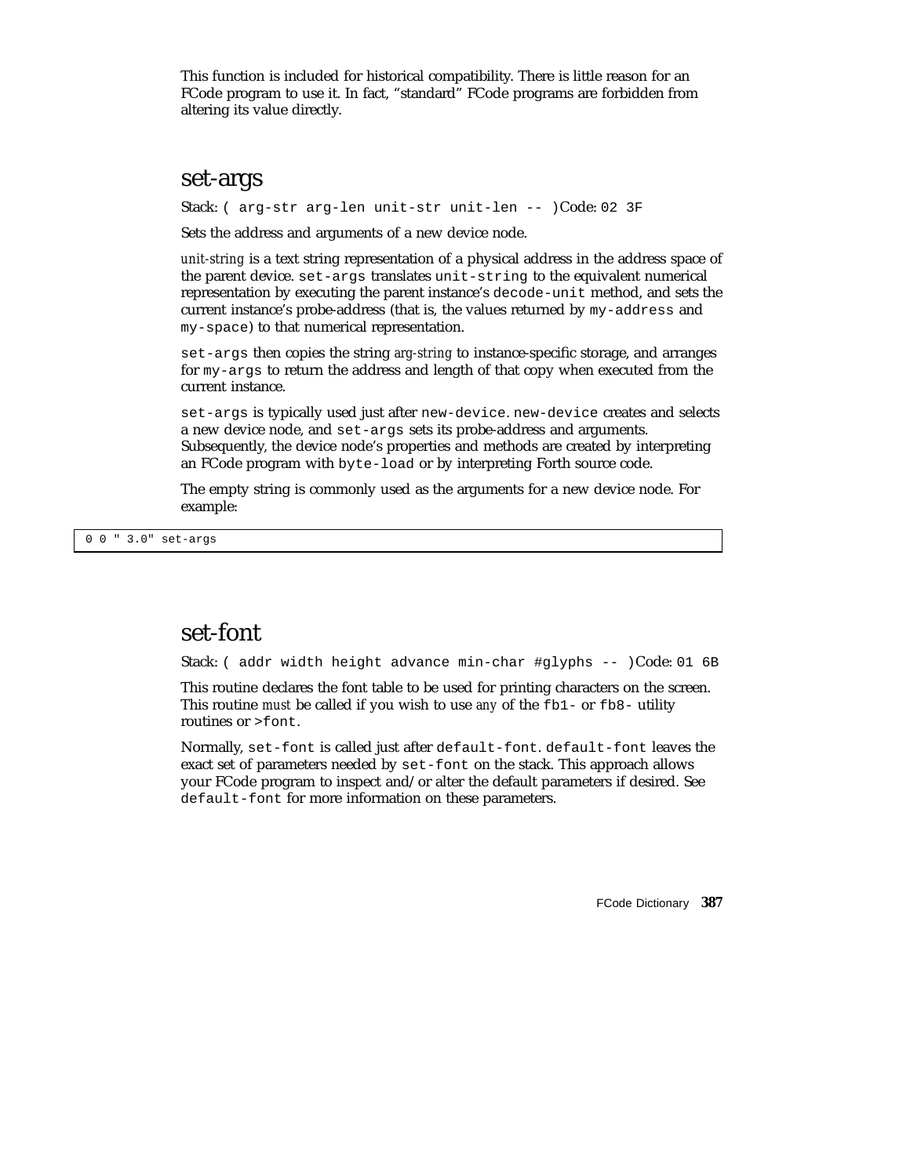This function is included for historical compatibility. There is little reason for an FCode program to use it. In fact, "standard" FCode programs are forbidden from altering its value directly.

#### set-args

Stack: ( arg-str arg-len unit-str unit-len -- )Code: 02 3F

Sets the address and arguments of a new device node.

*unit-string* is a text string representation of a physical address in the address space of the parent device. set-args translates unit-string to the equivalent numerical representation by executing the parent instance's decode-unit method, and sets the current instance's probe-address (that is, the values returned by my-address and my-space) to that numerical representation.

set-args then copies the string *arg-string* to instance-specific storage, and arranges for my-args to return the address and length of that copy when executed from the current instance.

set-args is typically used just after new-device. new-device creates and selects a new device node, and set-args sets its probe-address and arguments. Subsequently, the device node's properties and methods are created by interpreting an FCode program with byte-load or by interpreting Forth source code.

The empty string is commonly used as the arguments for a new device node. For example:

0 0 " 3.0" set-args

## set-font

Stack: ( addr width height advance min-char #glyphs -- )Code: 01 6B

This routine declares the font table to be used for printing characters on the screen. This routine *must* be called if you wish to use *any* of the fb1- or fb8- utility routines or >font.

Normally, set-font is called just after default-font. default-font leaves the exact set of parameters needed by set-font on the stack. This approach allows your FCode program to inspect and/or alter the default parameters if desired. See default-font for more information on these parameters.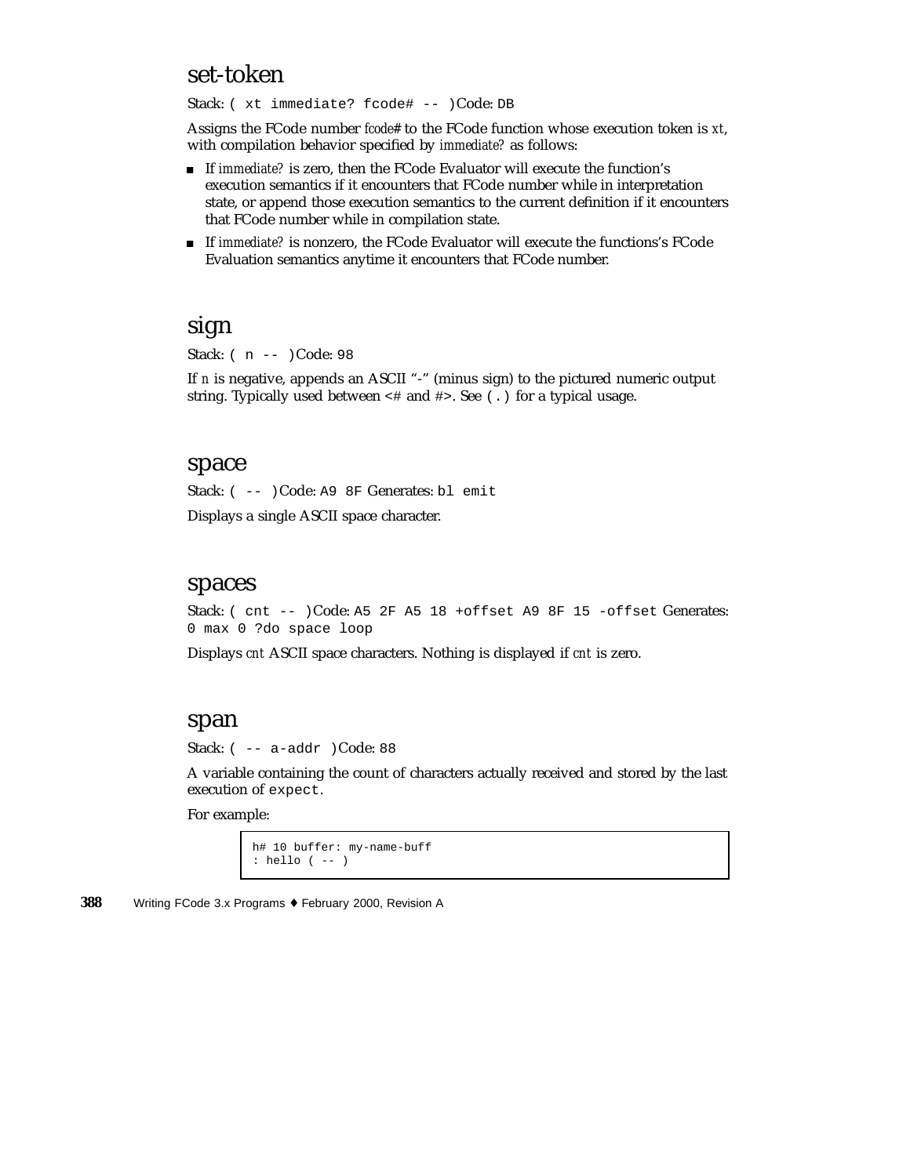### set-token

Stack: ( xt immediate? fcode# -- )Code: DB

Assigns the FCode number *fcode#* to the FCode function whose execution token is *xt*, with compilation behavior specified by *immediate?* as follows:

- If *immediate?* is zero, then the FCode Evaluator will execute the function's execution semantics if it encounters that FCode number while in interpretation state, or append those execution semantics to the current definition if it encounters that FCode number while in compilation state.
- If *immediate?* is nonzero, the FCode Evaluator will execute the functions's FCode Evaluation semantics anytime it encounters that FCode number.

### sign

Stack: ( n -- )Code: 98

If *n* is negative, appends an ASCII "-" (minus sign) to the pictured numeric output string. Typically used between  $\lt$  # and  $\sharp$ >. See (.) for a typical usage.

#### space

Stack: ( -- )Code: A9 8F Generates: bl emit

Displays a single ASCII space character.

#### spaces

Stack: ( cnt -- )Code: A5 2F A5 18 +offset A9 8F 15 -offset Generates: 0 max 0 ?do space loop

Displays *cnt* ASCII space characters. Nothing is displayed if *cnt* is zero.

#### span

Stack:  $(- - a - a d)$  (Code: 88

A variable containing the count of characters actually received and stored by the last execution of expect.

For example:

```
h# 10 buffer: my-name-buff
: hello ( -- )
```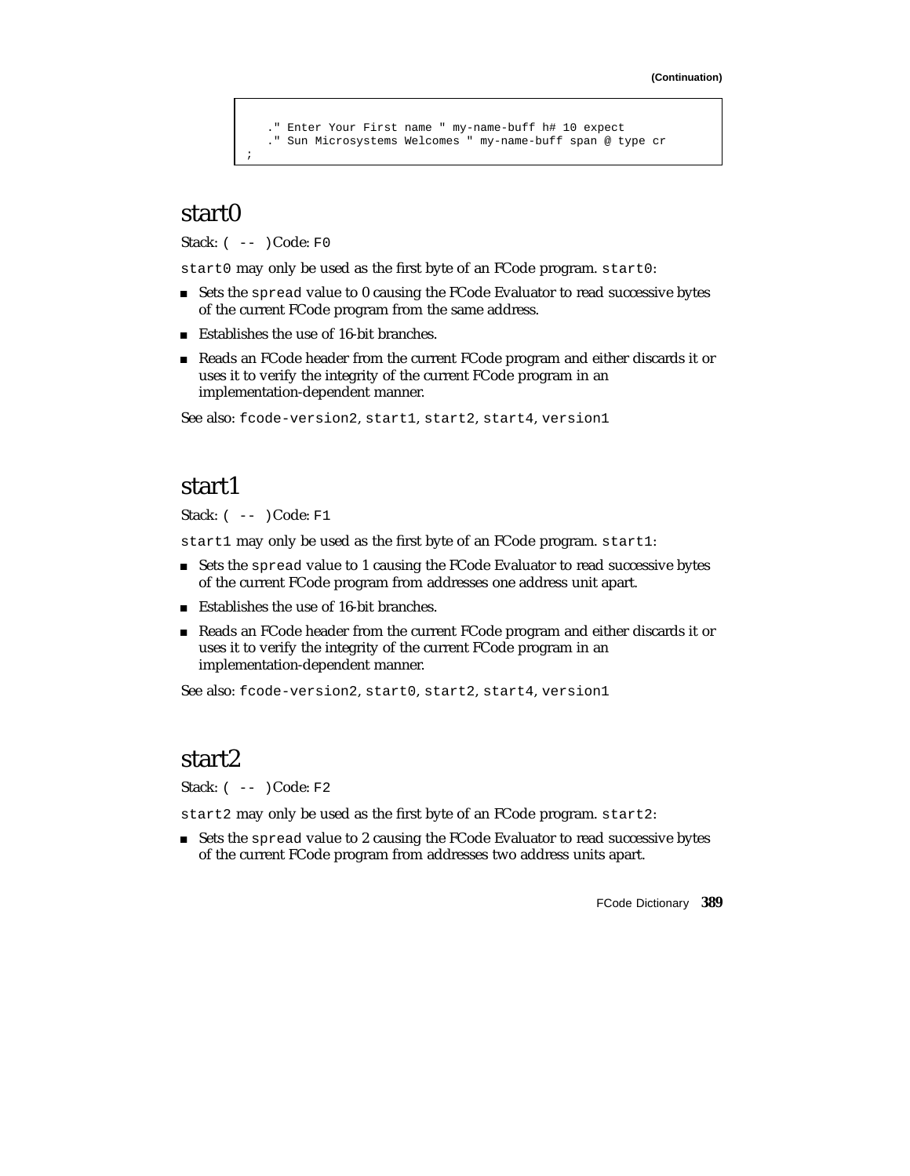```
." Enter Your First name " my-name-buff h# 10 expect
   ." Sun Microsystems Welcomes " my-name-buff span @ type cr
;
```
### start0

Stack:  $(- - )$ Code: F0

start0 may only be used as the first byte of an FCode program. start0:

- Sets the spread value to 0 causing the FCode Evaluator to read successive bytes of the current FCode program from the same address.
- Establishes the use of 16-bit branches.
- Reads an FCode header from the current FCode program and either discards it or uses it to verify the integrity of the current FCode program in an implementation-dependent manner.

See also: fcode-version2, start1, start2, start4, version1

### start1

Stack: ( -- )Code: F1

start1 may only be used as the first byte of an FCode program. start1:

- Sets the spread value to 1 causing the FCode Evaluator to read successive bytes of the current FCode program from addresses one address unit apart.
- Establishes the use of 16-bit branches.
- Reads an FCode header from the current FCode program and either discards it or uses it to verify the integrity of the current FCode program in an implementation-dependent manner.

See also: fcode-version2, start0, start2, start4, version1

### start2

Stack:  $(- - )$  Code: F2

start2 may only be used as the first byte of an FCode program. start2:

Sets the spread value to 2 causing the FCode Evaluator to read successive bytes of the current FCode program from addresses two address units apart.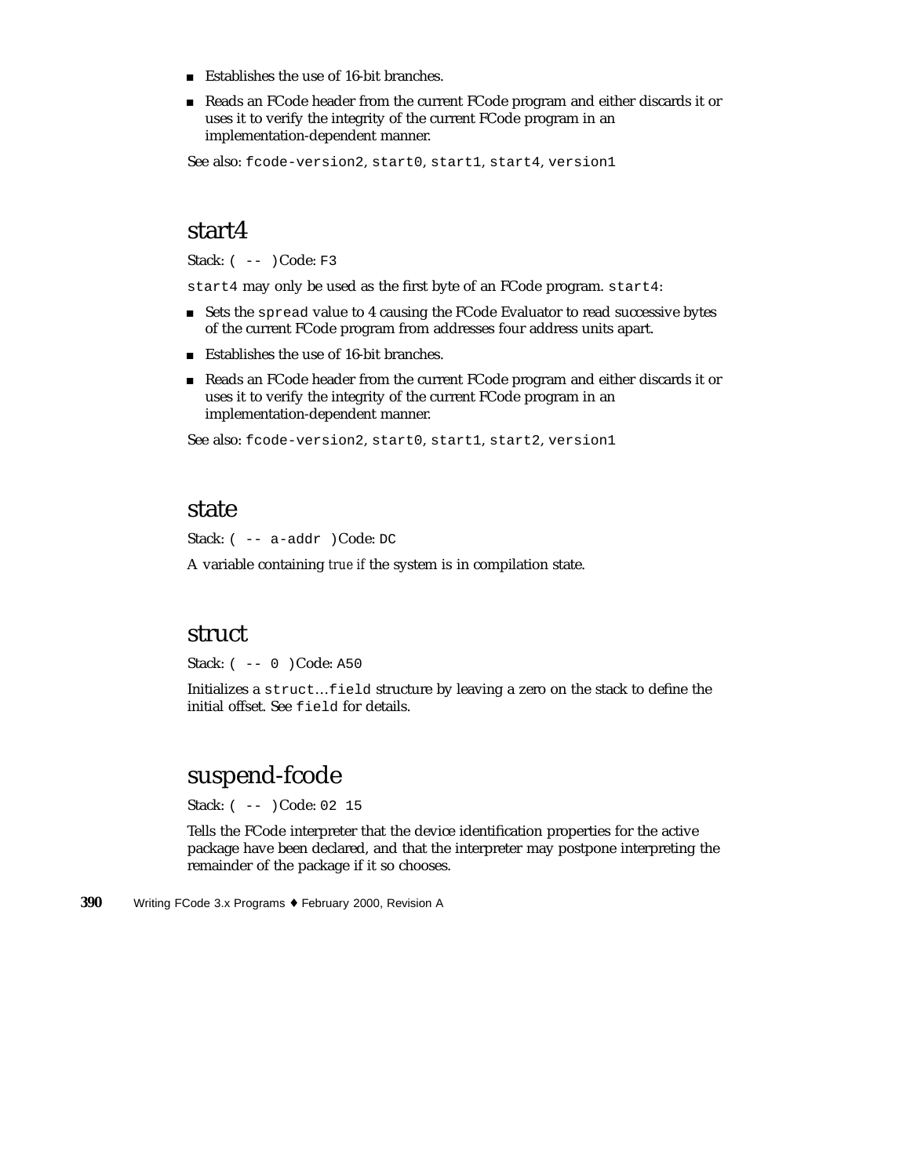- Establishes the use of 16-bit branches.
- Reads an FCode header from the current FCode program and either discards it or uses it to verify the integrity of the current FCode program in an implementation-dependent manner.

See also: fcode-version2, start0, start1, start4, version1

### start4

Stack: ( -- )Code: F3

start4 may only be used as the first byte of an FCode program. start4:

- Sets the spread value to 4 causing the FCode Evaluator to read successive bytes of the current FCode program from addresses four address units apart.
- Establishes the use of 16-bit branches.
- Reads an FCode header from the current FCode program and either discards it or uses it to verify the integrity of the current FCode program in an implementation-dependent manner.

See also: fcode-version2, start0, start1, start2, version1

#### state

Stack: ( -- a-addr )Code: DC

A variable containing *true if* the system is in compilation state.

#### struct

Stack: ( -- 0 )Code: A50

Initializes a struct…field structure by leaving a zero on the stack to define the initial offset. See field for details.

### suspend-fcode

Stack: ( -- )Code: 02 15

Tells the FCode interpreter that the device identification properties for the active package have been declared, and that the interpreter may postpone interpreting the remainder of the package if it so chooses.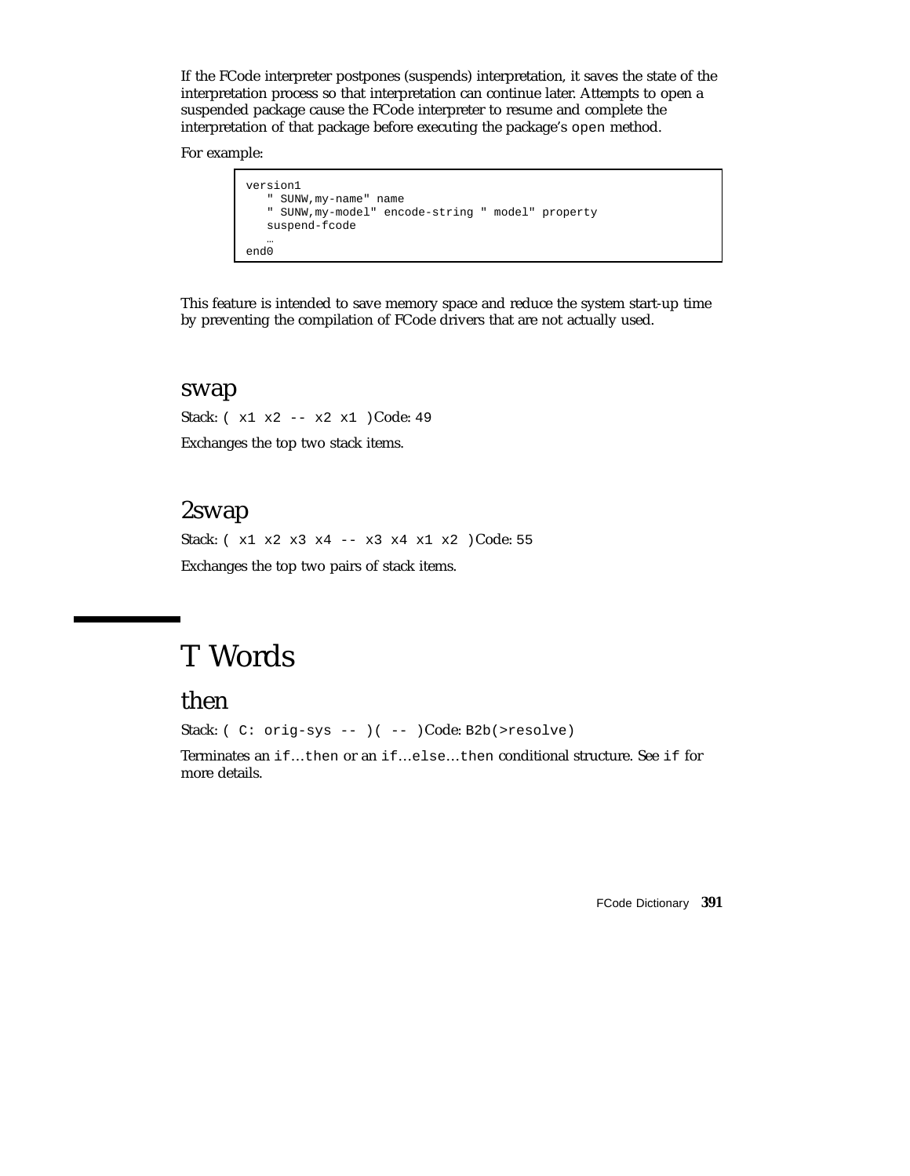If the FCode interpreter postpones (suspends) interpretation, it saves the state of the interpretation process so that interpretation can continue later. Attempts to open a suspended package cause the FCode interpreter to resume and complete the interpretation of that package before executing the package's open method.

For example:

```
version1
   " SUNW,my-name" name
   " SUNW,my-model" encode-string " model" property
   suspend-fcode
   …
end0
```
This feature is intended to save memory space and reduce the system start-up time by preventing the compilation of FCode drivers that are not actually used.

#### swap

Stack: ( x1 x2 -- x2 x1 )Code: 49 Exchanges the top two stack items.

# 2swap

Stack: ( x1 x2 x3 x4 -- x3 x4 x1 x2 )Code: 55 Exchanges the top two pairs of stack items.

# T Words

# then

Stack: ( C: orig-sys -- )( -- )Code: B2b(>resolve)

Terminates an if…then or an if…else…then conditional structure. See if for more details.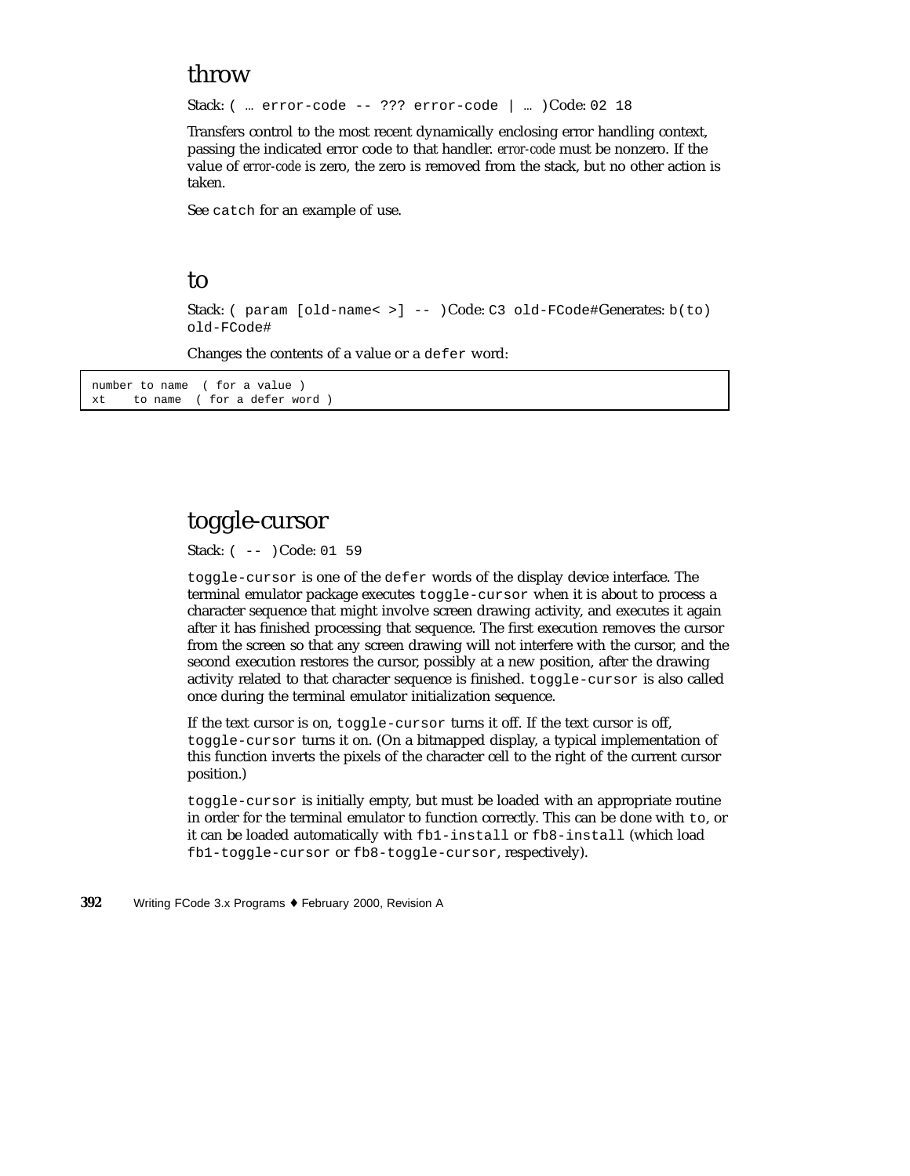## throw

Stack: ( … error-code -- ??? error-code | … )Code: 02 18

Transfers control to the most recent dynamically enclosing error handling context, passing the indicated error code to that handler. *error-code* must be nonzero. If the value of *error-code* is zero, the zero is removed from the stack, but no other action is taken.

See catch for an example of use.

#### to

Stack: ( param [old-name< >] -- )Code: C3 old-FCode#Generates: b(to) old-FCode#

Changes the contents of a value or a defer word:

number to name ( for a value ) xt to name ( for a defer word )

# toggle-cursor

Stack: ( -- )Code: 01 59

toggle-cursor is one of the defer words of the display device interface. The terminal emulator package executes toggle-cursor when it is about to process a character sequence that might involve screen drawing activity, and executes it again after it has finished processing that sequence. The first execution removes the cursor from the screen so that any screen drawing will not interfere with the cursor, and the second execution restores the cursor, possibly at a new position, after the drawing activity related to that character sequence is finished. toggle-cursor is also called once during the terminal emulator initialization sequence.

If the text cursor is on, toggle-cursor turns it off. If the text cursor is off, toggle-cursor turns it on. (On a bitmapped display, a typical implementation of this function inverts the pixels of the character cell to the right of the current cursor position.)

toggle-cursor is initially empty, but must be loaded with an appropriate routine in order for the terminal emulator to function correctly. This can be done with to, or it can be loaded automatically with fb1-install or fb8-install (which load fb1-toggle-cursor or fb8-toggle-cursor, respectively).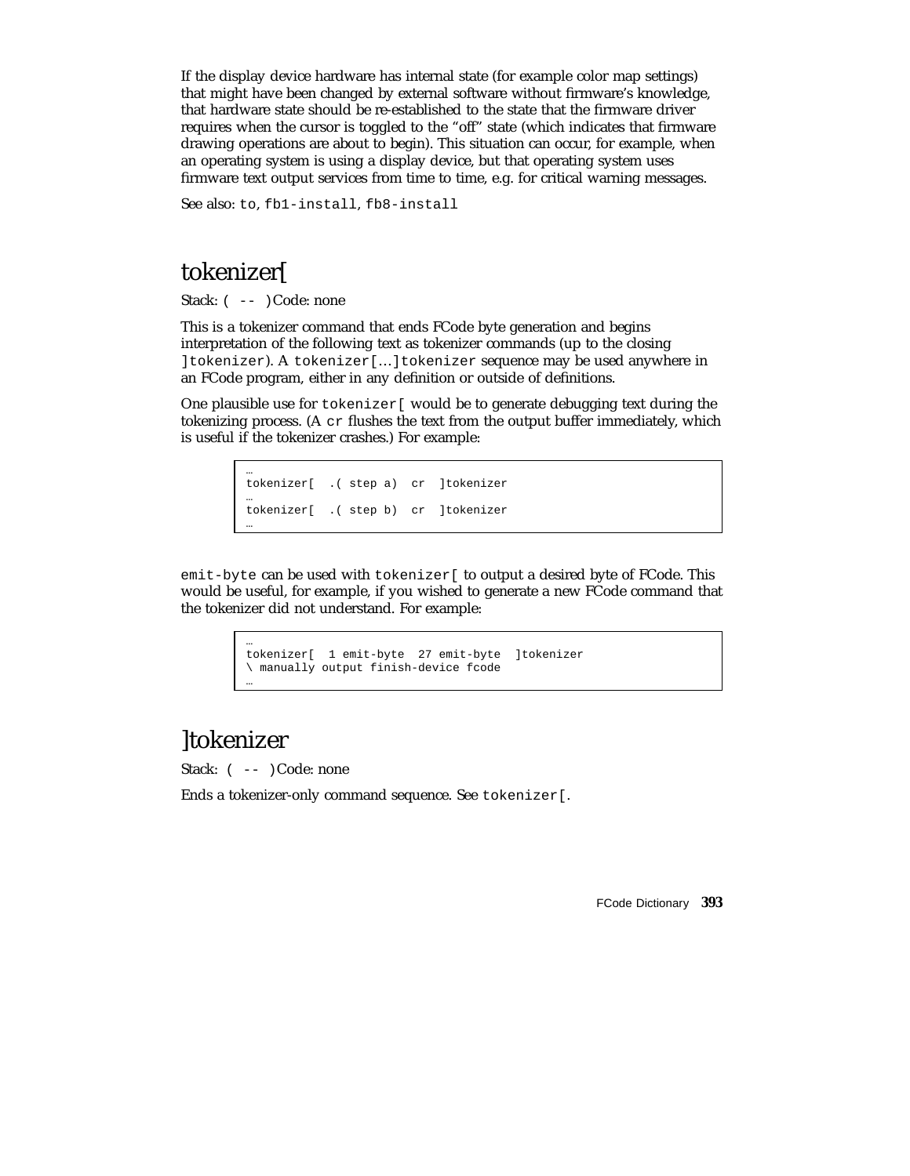If the display device hardware has internal state (for example color map settings) that might have been changed by external software without firmware's knowledge, that hardware state should be re-established to the state that the firmware driver requires when the cursor is toggled to the "off" state (which indicates that firmware drawing operations are about to begin). This situation can occur, for example, when an operating system is using a display device, but that operating system uses firmware text output services from time to time, e.g. for critical warning messages.

See also: to, fb1-install, fb8-install

# tokenizer[

Stack:  $(- - )$  Code: none

This is a tokenizer command that ends FCode byte generation and begins interpretation of the following text as tokenizer commands (up to the closing ]tokenizer). A tokenizer[…]tokenizer sequence may be used anywhere in an FCode program, either in any definition or outside of definitions.

One plausible use for tokenizer[ would be to generate debugging text during the tokenizing process. (A  $cr$  flushes the text from the output buffer immediately, which is useful if the tokenizer crashes.) For example:

```
…
tokenizer[ .( step a) cr ]tokenizer
…
tokenizer[ .( step b) cr ]tokenizer
…
```
emit-byte can be used with tokenizer[ to output a desired byte of FCode. This would be useful, for example, if you wished to generate a new FCode command that the tokenizer did not understand. For example:

```
…
tokenizer[ 1 emit-byte 27 emit-byte ]tokenizer
\ manually output finish-device fcode
```
# ]tokenizer

…

Stack:  $(- - )$  Code: none

Ends a tokenizer-only command sequence. See tokenizer[.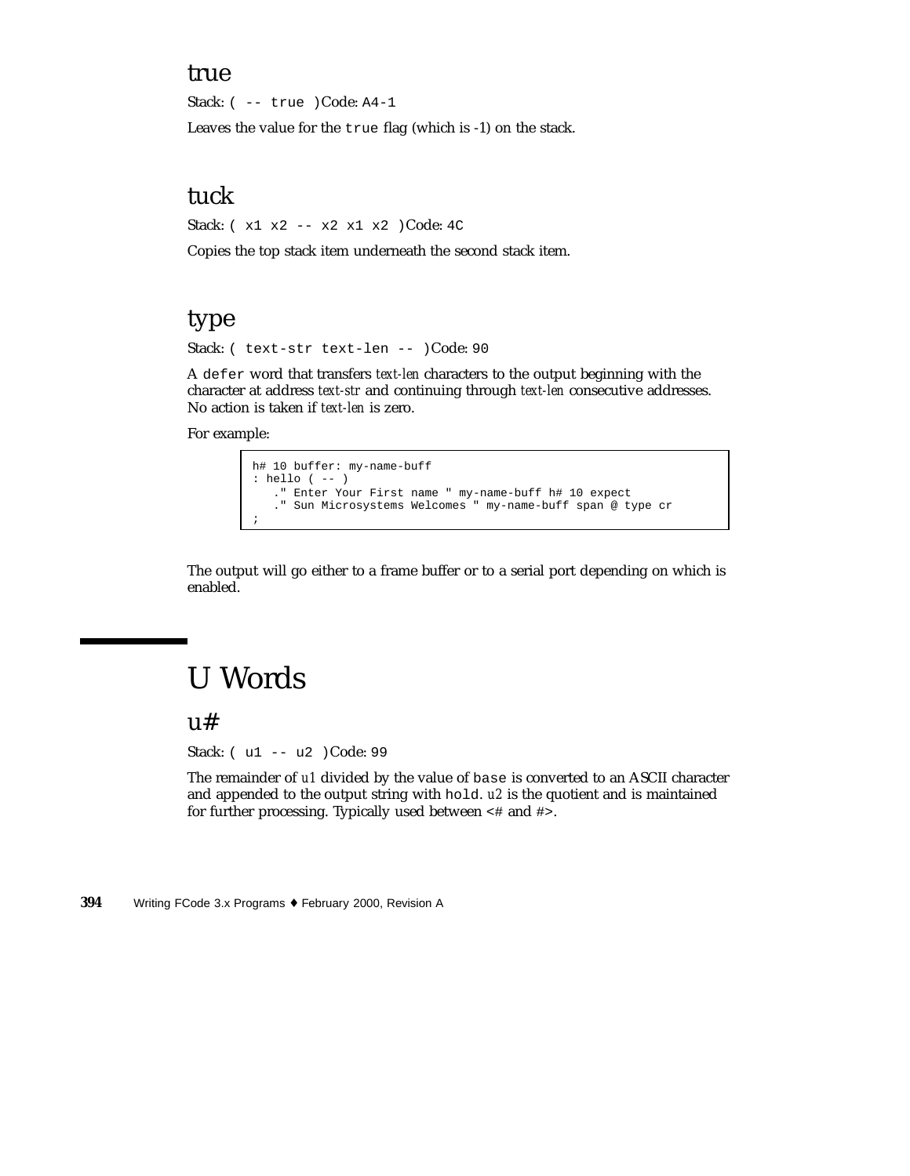### true

Stack: ( -- true )Code: A4-1

Leaves the value for the true flag (which is -1) on the stack.

## tuck

Stack: ( x1 x2 -- x2 x1 x2 )Code: 4C

Copies the top stack item underneath the second stack item.

## type

Stack: ( text-str text-len -- )Code: 90

A defer word that transfers *text-len* characters to the output beginning with the character at address *text-str* and continuing through *text-len* consecutive addresses. No action is taken if *text-len* is zero.

For example:

```
h# 10 buffer: my-name-buff
: hello ( -- )
   ." Enter Your First name " my-name-buff h# 10 expect
   ." Sun Microsystems Welcomes " my-name-buff span @ type cr
;
```
The output will go either to a frame buffer or to a serial port depending on which is enabled.

# U Words

u#

Stack: ( u1 -- u2 )Code: 99

The remainder of *u1* divided by the value of base is converted to an ASCII character and appended to the output string with hold. *u2* is the quotient and is maintained for further processing. Typically used between <# and #>.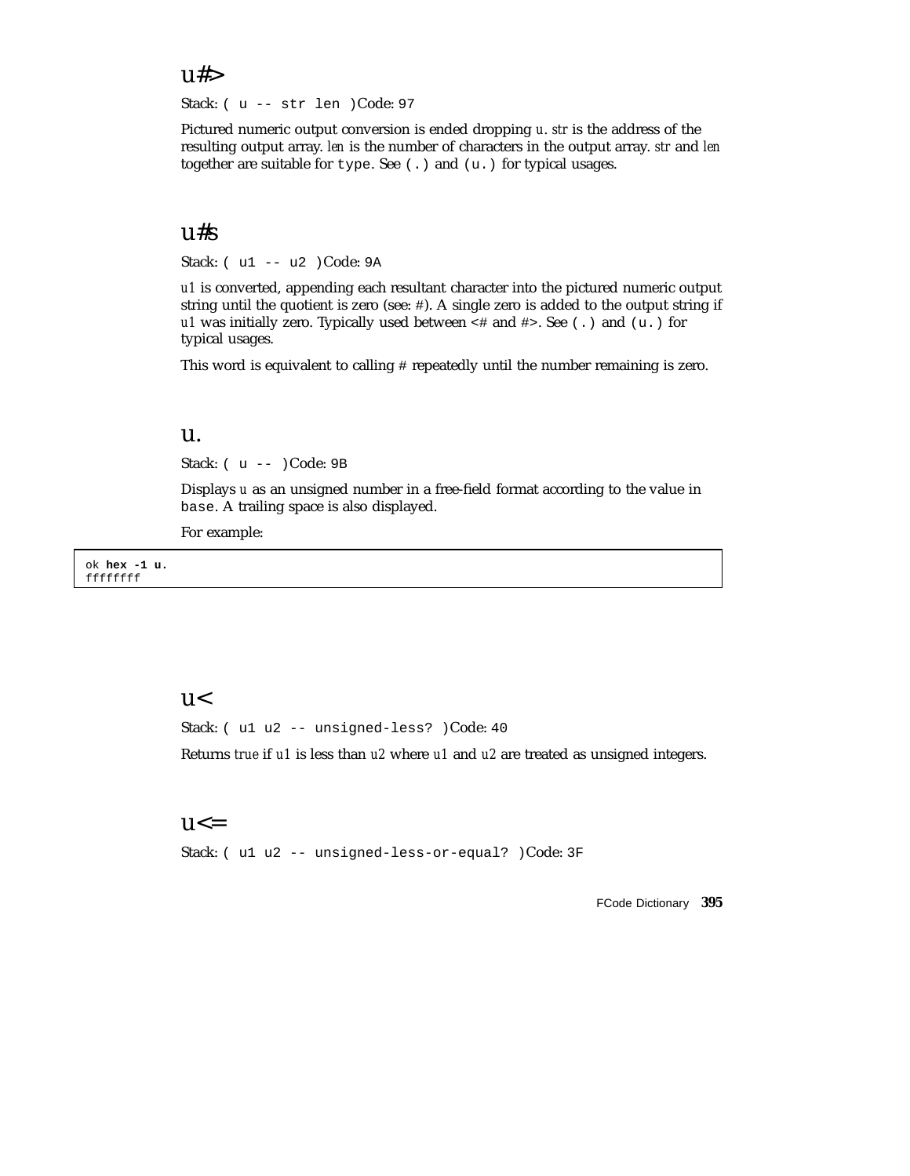#### $u#>$

Stack: ( u -- str len )Code: 97

Pictured numeric output conversion is ended dropping *u*. *str* is the address of the resulting output array. *len* is the number of characters in the output array. *str* and *len* together are suitable for type. See (.) and (u.) for typical usages.

### u#s

Stack: ( u1 -- u2 )Code: 9A

*u1* is converted, appending each resultant character into the pictured numeric output string until the quotient is zero (see: #). A single zero is added to the output string if *u1* was initially zero. Typically used between <# and #>. See (.) and (u.) for typical usages.

This word is equivalent to calling # repeatedly until the number remaining is zero.

#### u.

Stack: ( u -- )Code: 9B

Displays *u* as an unsigned number in a free-field format according to the value in base. A trailing space is also displayed.

For example:

ok **hex -1 u.** ffffffff

#### $u<$

Stack: ( u1 u2 -- unsigned-less? )Code: 40

Returns *true* if *u1* is less than *u2* where *u1* and *u2* are treated as unsigned integers.

#### $u \leq$

Stack: ( u1 u2 -- unsigned-less-or-equal? )Code: 3F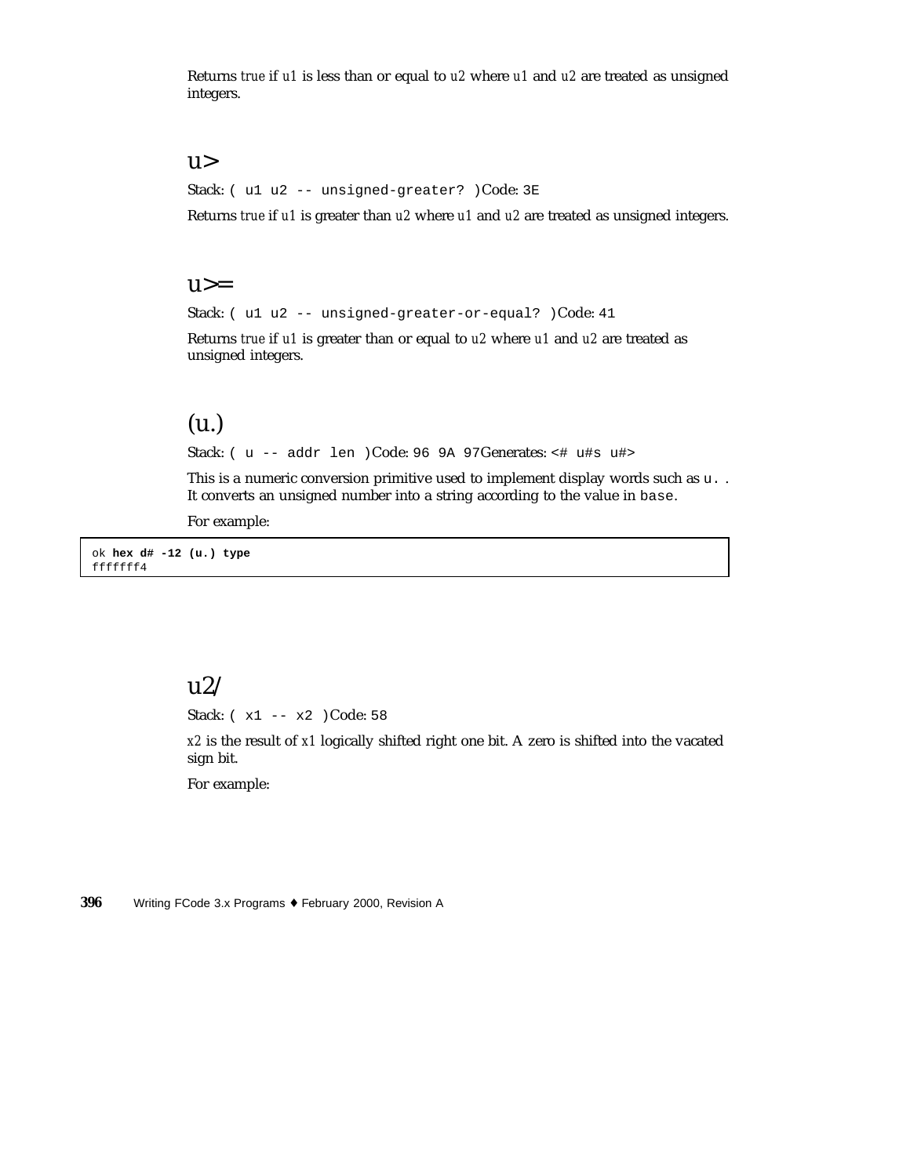Returns *true* if *u1* is less than or equal to *u2* where *u1* and *u2* are treated as unsigned integers.

#### u>

Stack: ( u1 u2 -- unsigned-greater? )Code: 3E

Returns *true* if *u1* is greater than *u2* where *u1* and *u2* are treated as unsigned integers.

#### $u>=$

Stack: ( u1 u2 -- unsigned-greater-or-equal? )Code: 41

Returns *true* if *u1* is greater than or equal to *u2* where *u1* and *u2* are treated as unsigned integers.

### (u.)

Stack: ( u -- addr len )Code: 96 9A 97Generates: <# u#s u#>

This is a numeric conversion primitive used to implement display words such as  $u$ ... It converts an unsigned number into a string according to the value in base.

For example:

ok **hex d# -12 (u.) type** fffffff4

### $\frac{12}{ }$

Stack: ( x1 -- x2 )Code: 58

*x2* is the result of *x1* logically shifted right one bit. A zero is shifted into the vacated sign bit.

For example: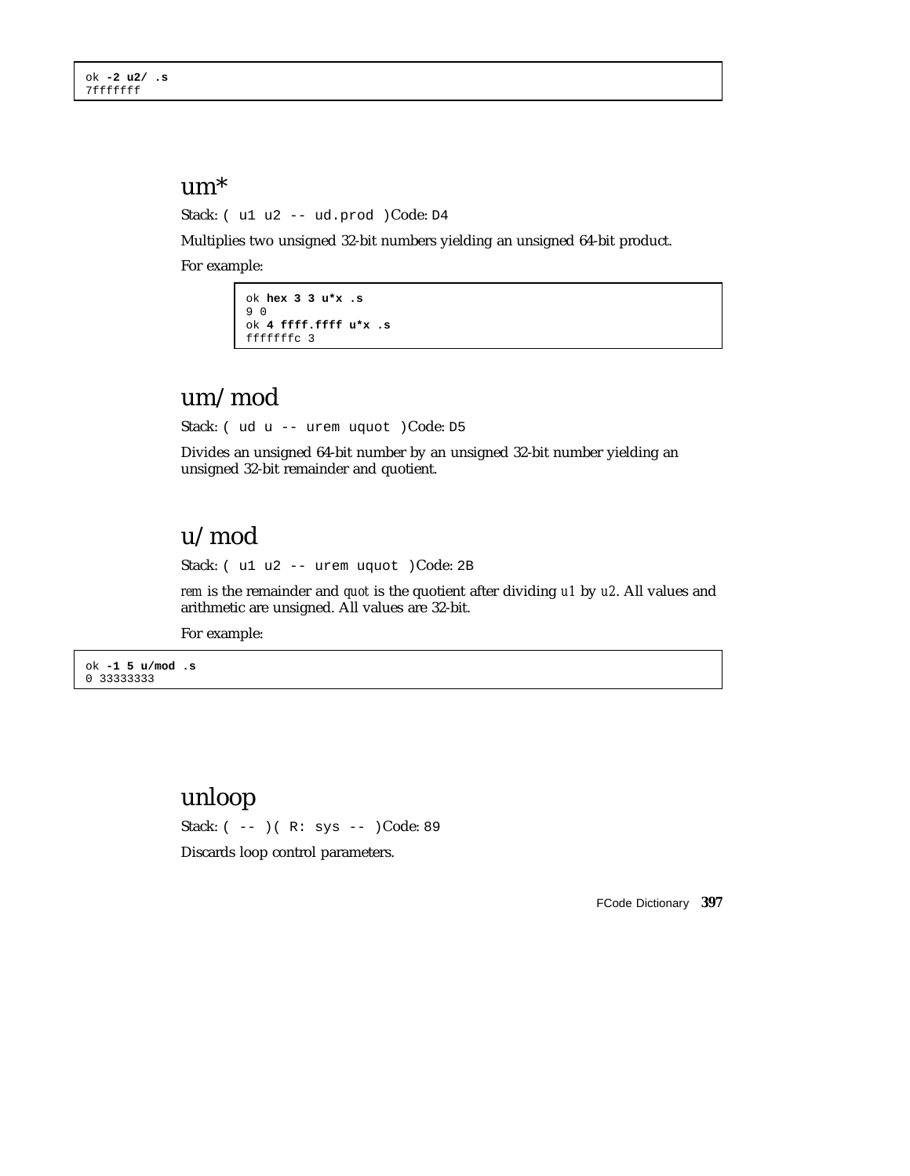#### um\*

Stack: ( u1 u2 -- ud.prod )Code: D4

Multiplies two unsigned 32-bit numbers yielding an unsigned 64-bit product.

For example:

```
ok hex 3 3 u*x .s
9 0
ok 4 ffff.ffff u*x .s
fffffffc 3
```
## um/mod

Stack: ( ud u -- urem uquot )Code: D5

Divides an unsigned 64-bit number by an unsigned 32-bit number yielding an unsigned 32-bit remainder and quotient.

## u/mod

Stack: ( u1 u2 -- urem uquot )Code: 2B

*rem* is the remainder and *quot* is the quotient after dividing *u1* by *u2*. All values and arithmetic are unsigned. All values are 32-bit.

For example:

ok **-1 5 u/mod .s** 0 33333333

### unloop

Stack: ( -- )( R: sys -- )Code: 89

Discards loop control parameters.

FCode Dictionary **397**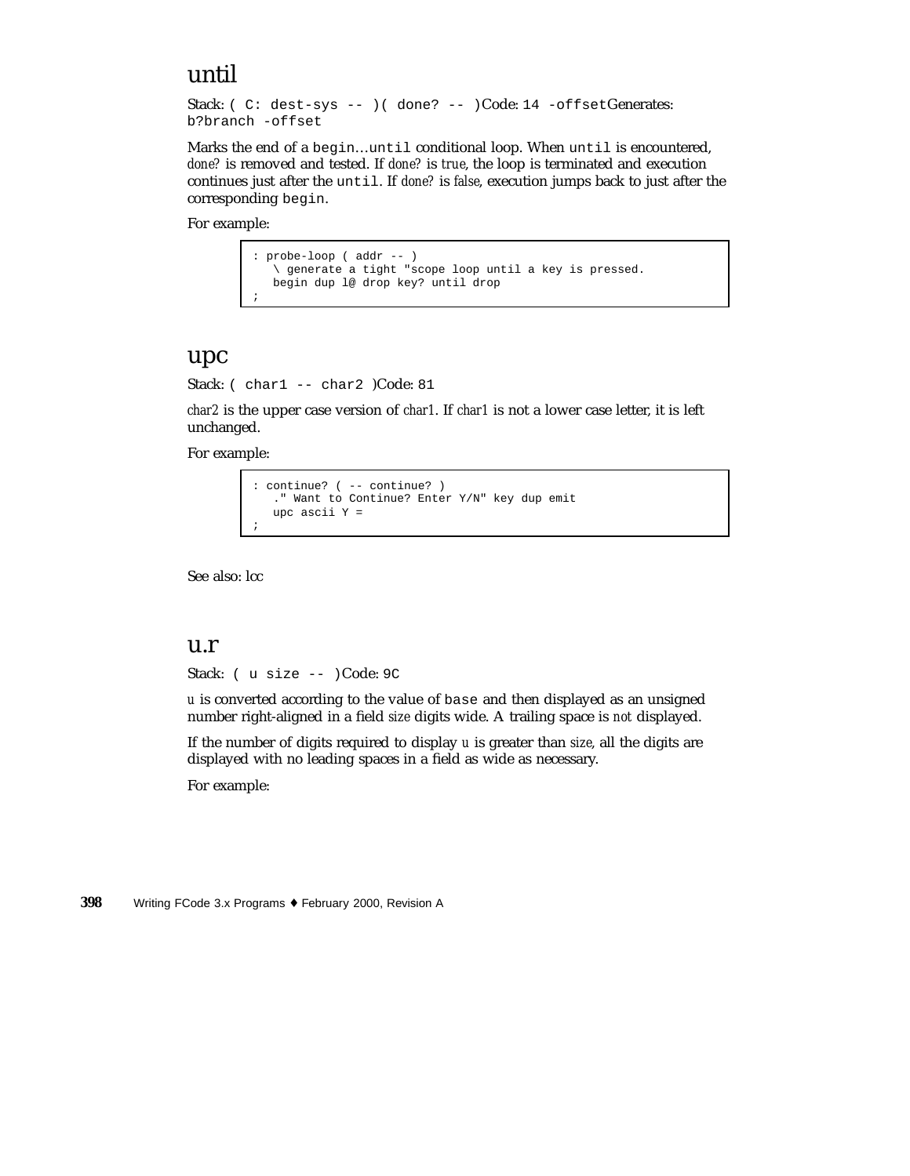## until

```
Stack: ( C: dest-sys -- ) ( done? -- )Code: 14 -offsetGenerates:
b?branch -offset
```
Marks the end of a begin…until conditional loop. When until is encountered, *done?* is removed and tested. If *done?* is *true*, the loop is terminated and execution continues just after the until. If *done?* is *false*, execution jumps back to just after the corresponding begin.

For example:

```
: probe-loop ( addr -- )
   \ generate a tight "scope loop until a key is pressed.
  begin dup l@ drop key? until drop
;
```
#### upc

Stack: ( char1 -- char2 )Code: 81

*char2* is the upper case version of *char1*. If *char1* is not a lower case letter, it is left unchanged.

For example:

```
: continue? ( -- continue? )
   ." Want to Continue? Enter Y/N" key dup emit
   upc ascii Y =
;
```
See also: lcc

#### u.r

Stack: ( u size -- )Code: 9C

*u* is converted according to the value of base and then displayed as an unsigned number right-aligned in a field *size* digits wide. A trailing space is *not* displayed.

If the number of digits required to display *u* is greater than *size*, all the digits are displayed with no leading spaces in a field as wide as necessary.

For example: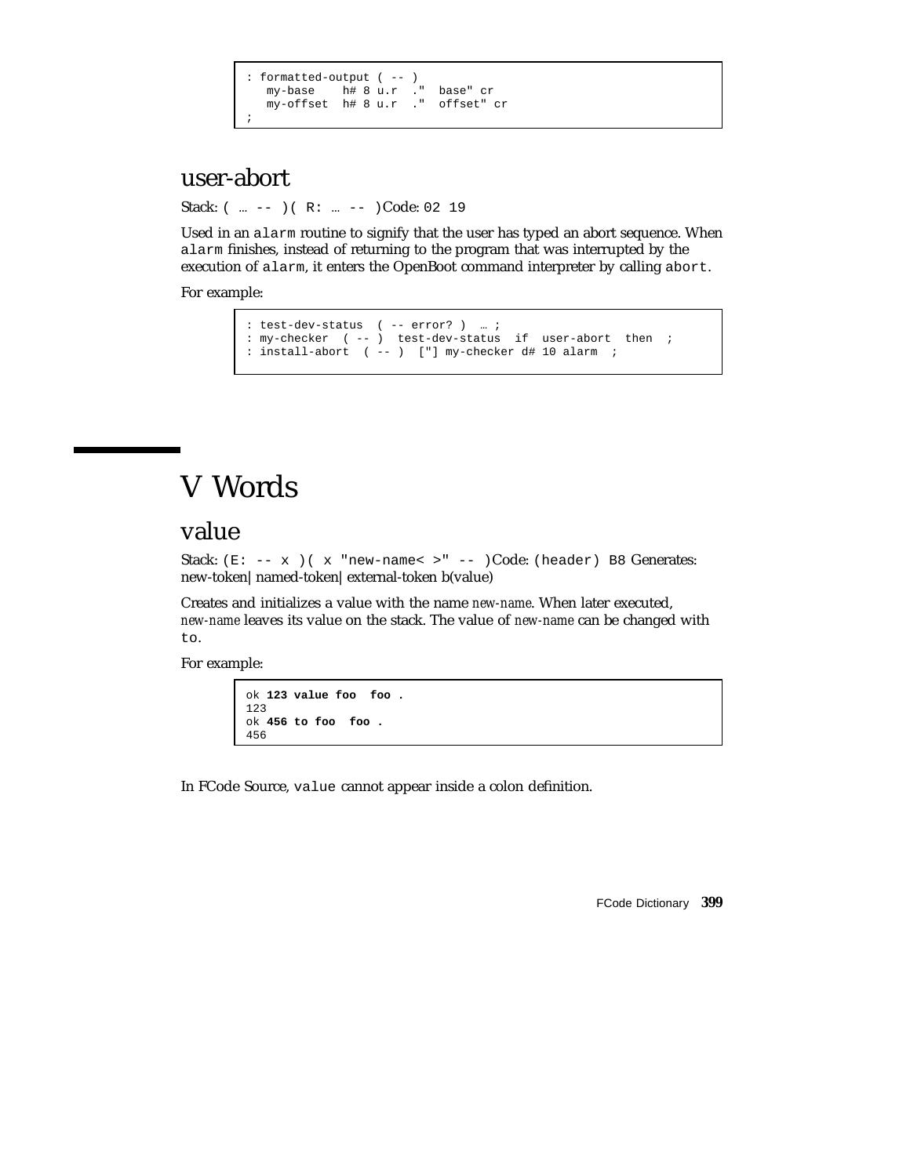```
: formatted-output ( -- )
   my-base h# 8 u.r ." base" cr
   my-offset h# 8 u.r ." offset" cr
;
```
## user-abort

Stack:  $(m - -)$   $(R: m - -)$ Code: 02 19

Used in an alarm routine to signify that the user has typed an abort sequence. When alarm finishes, instead of returning to the program that was interrupted by the execution of alarm, it enters the OpenBoot command interpreter by calling abort.

For example:

```
: test-dev-status ( -- error? ) … ;
: my-checker ( -- ) test-dev-status if user-abort then ;
: install-abort ( -- ) ["] my-checker d# 10 alarm ;
```
# V Words

### value

Stack:  $(E: -- x)$  ( x "new-name< >" -- )Code: (header) B8 Generates: new-token|named-token|external-token b(value)

Creates and initializes a value with the name *new-name*. When later executed, *new-name* leaves its value on the stack. The value of *new-name* can be changed with to.

For example:

```
ok 123 value foo foo .
123
ok 456 to foo foo .
456
```
In FCode Source, value cannot appear inside a colon definition.

FCode Dictionary **399**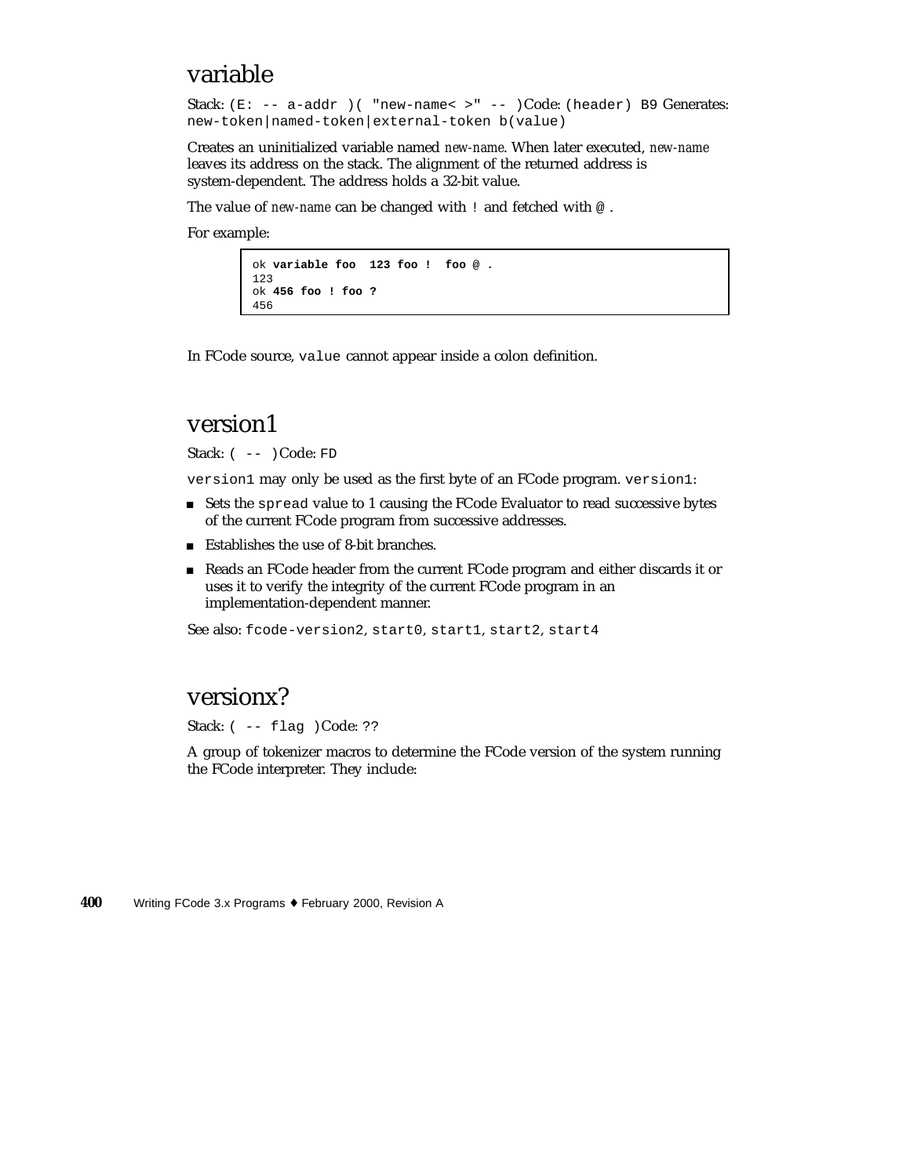### variable

Stack: (E: -- a-addr )( "new-name< >" -- )Code: (header) B9 Generates: new-token|named-token|external-token b(value)

Creates an uninitialized variable named *new-name*. When later executed, *new-name* leaves its address on the stack. The alignment of the returned address is system-dependent. The address holds a 32-bit value.

The value of *new-name* can be changed with ! and fetched with  $\circ$ .

For example:

```
ok variable foo 123 foo ! foo @ .
123
ok 456 foo ! foo ?
456
```
In FCode source, value cannot appear inside a colon definition.

#### version1

Stack:  $(- - )$  Code: FD

version1 may only be used as the first byte of an FCode program. version1:

- Sets the spread value to 1 causing the FCode Evaluator to read successive bytes of the current FCode program from successive addresses.
- Establishes the use of 8-bit branches.
- Reads an FCode header from the current FCode program and either discards it or uses it to verify the integrity of the current FCode program in an implementation-dependent manner.

See also: fcode-version2, start0, start1, start2, start4

### versionx?

Stack: ( -- flag ) Code: ??

A group of tokenizer macros to determine the FCode version of the system running the FCode interpreter. They include: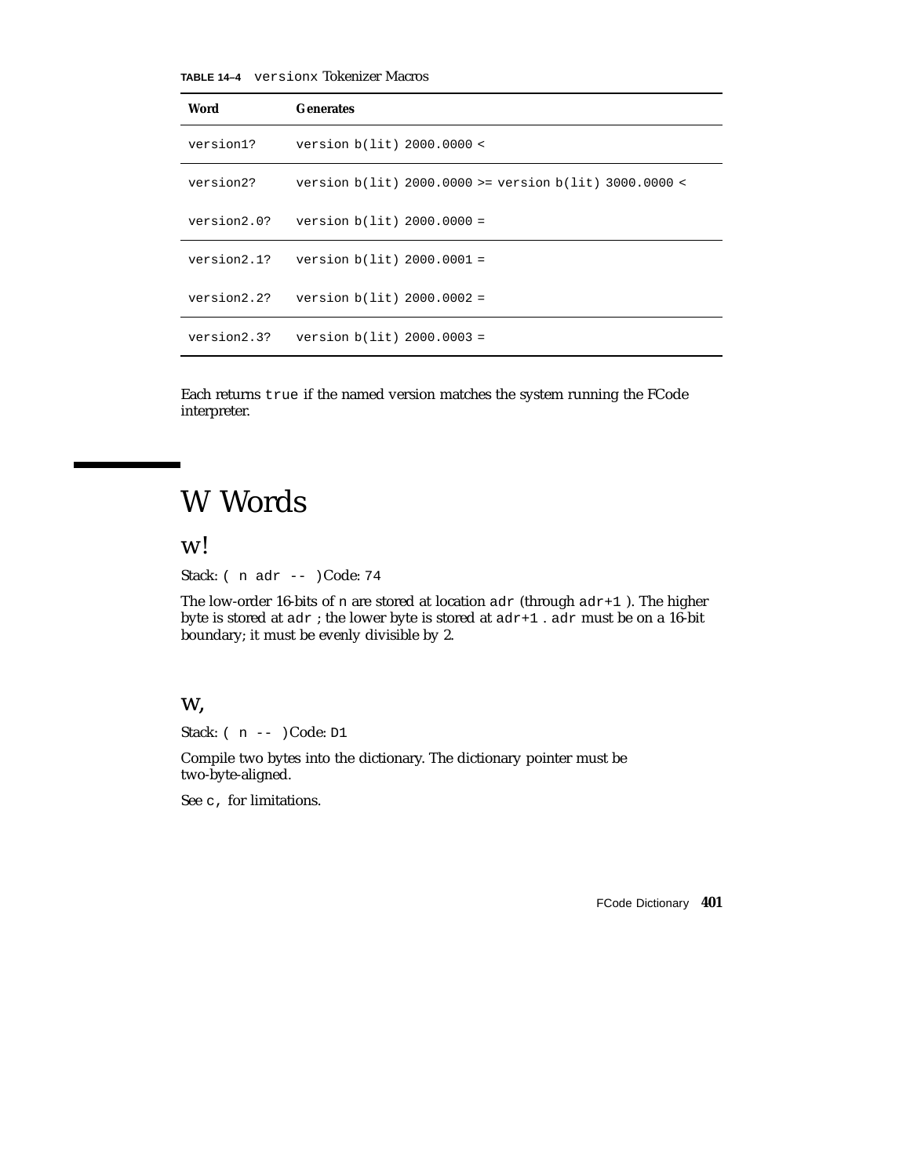**TABLE 14–4** versionx Tokenizer Macros

| Word        | <b>Generates</b>                                           |
|-------------|------------------------------------------------------------|
| version1?   | version $b(lit)$ 2000.0000 <                               |
| version2?   | version $b(lit)$ 2000.0000 >= version $b(lit)$ 3000.0000 < |
| version2.0? | version $b(lit)$ 2000.0000 =                               |
|             | version $2.1$ ? version $b(lit)$ 2000.0001 =               |
|             | $version2.2? version b(lit) 2000.0002 =$                   |
| version2.3? | version $b(lit) 2000.0003 =$                               |

Each returns true if the named version matches the system running the FCode interpreter.

# W Words

w!

Stack: ( n adr -- )Code: 74

The low-order 16-bits of n are stored at location  $adr$  (through  $adr+1$  ). The higher byte is stored at adr ; the lower byte is stored at adr+1 . adr must be on a 16-bit boundary; it must be evenly divisible by 2.

#### w,

Stack: ( n -- )Code: D1

Compile two bytes into the dictionary. The dictionary pointer must be two-byte-aligned.

See c, for limitations.

FCode Dictionary **401**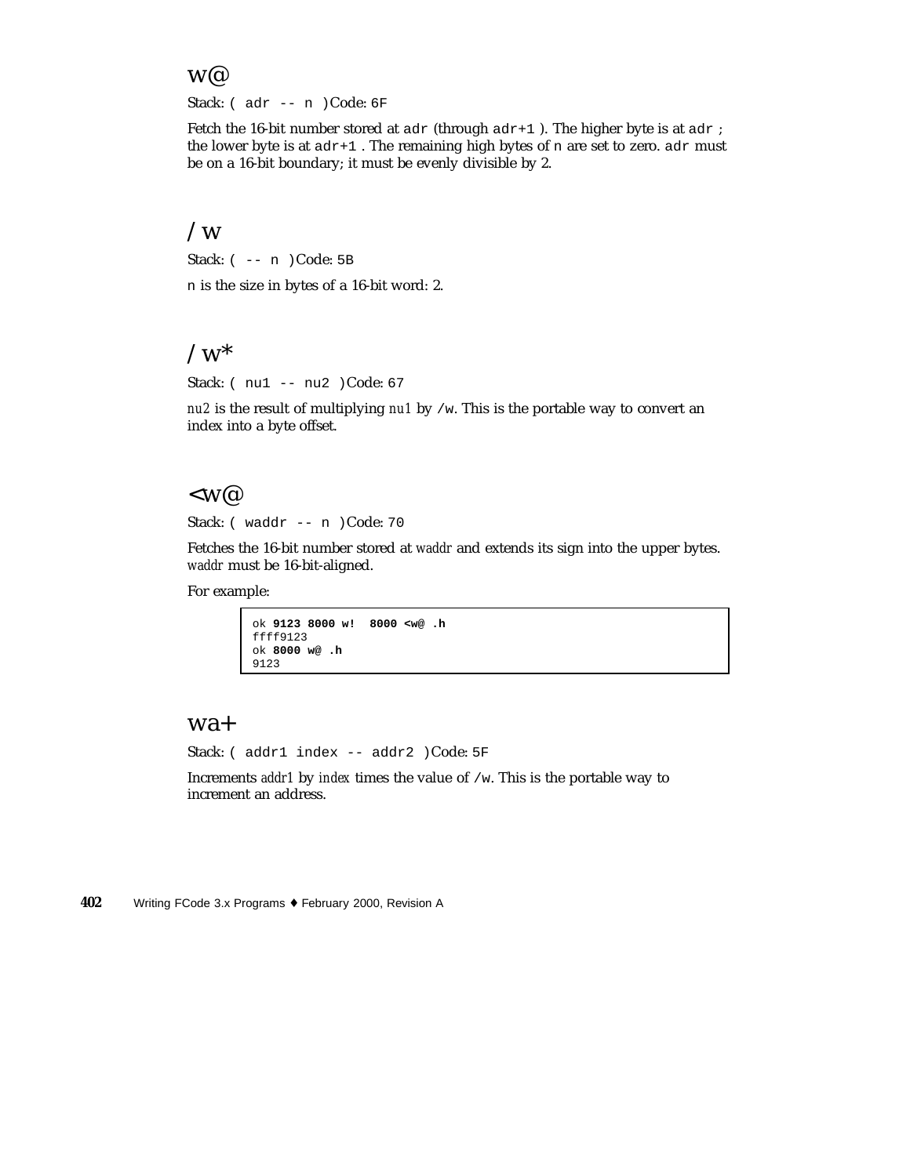#### w@

Stack: ( adr -- n )Code: 6F

Fetch the 16-bit number stored at  $adr$  (through  $adr+1$ ). The higher byte is at  $adr$ ; the lower byte is at  $adr+1$  . The remaining high bytes of n are set to zero.  $adr$  must be on a 16-bit boundary; it must be evenly divisible by 2.

#### $\sqrt{W}$

Stack: ( -- n )Code: 5B

n is the size in bytes of a 16-bit word: 2.

#### $\sqrt{w^*}$

Stack: ( nu1 -- nu2 )Code: 67

*nu2* is the result of multiplying *nu1* by /w. This is the portable way to convert an index into a byte offset.

#### $<\!\mathbf{W}^{\mathcal{Q}}$

Stack: ( waddr -- n )Code: 70

Fetches the 16-bit number stored at *waddr* and extends its sign into the upper bytes. *waddr* must be 16-bit-aligned.

For example:

ok **9123 8000 w! 8000 <w@ .h** ffff9123 ok **8000 w@ .h** 9123

#### wa+

Stack: ( addr1 index -- addr2 )Code: 5F

Increments *addr1* by *index* times the value of /w. This is the portable way to increment an address.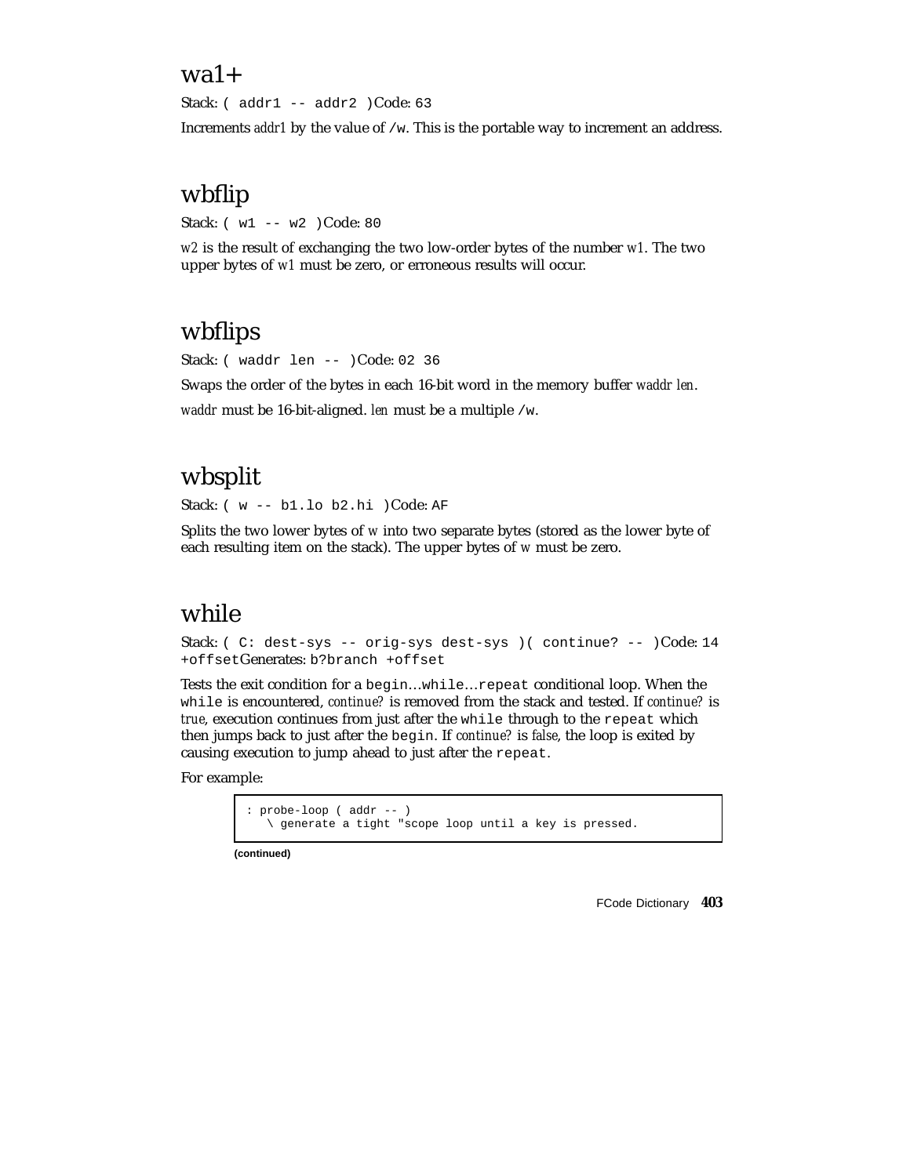### $wa1+$

Stack: ( addr1 -- addr2 )Code: 63

Increments *addr1* by the value of /w. This is the portable way to increment an address.

## wbflip

Stack: ( w1 -- w2 )Code: 80

*w2* is the result of exchanging the two low-order bytes of the number *w1*. The two upper bytes of *w1* must be zero, or erroneous results will occur.

# wbflips

Stack: ( waddr len -- )Code: 02 36

Swaps the order of the bytes in each 16-bit word in the memory buffer *waddr len*.

*waddr* must be 16-bit-aligned. *len* must be a multiple /w.

# wbsplit

Stack: ( w -- b1.lo b2.hi )Code: AF

Splits the two lower bytes of *w* into two separate bytes (stored as the lower byte of each resulting item on the stack). The upper bytes of *w* must be zero.

## while

Stack: ( C: dest-sys -- orig-sys dest-sys )( continue? -- )Code: 14 +offsetGenerates: b?branch +offset

Tests the exit condition for a begin…while…repeat conditional loop. When the while is encountered, *continue?* is removed from the stack and tested. If *continue?* is *true*, execution continues from just after the while through to the repeat which then jumps back to just after the begin. If *continue?* is *false*, the loop is exited by causing execution to jump ahead to just after the repeat.

For example:

: probe-loop ( addr -- ) \ generate a tight "scope loop until a key is pressed.

**(continued)**

FCode Dictionary **403**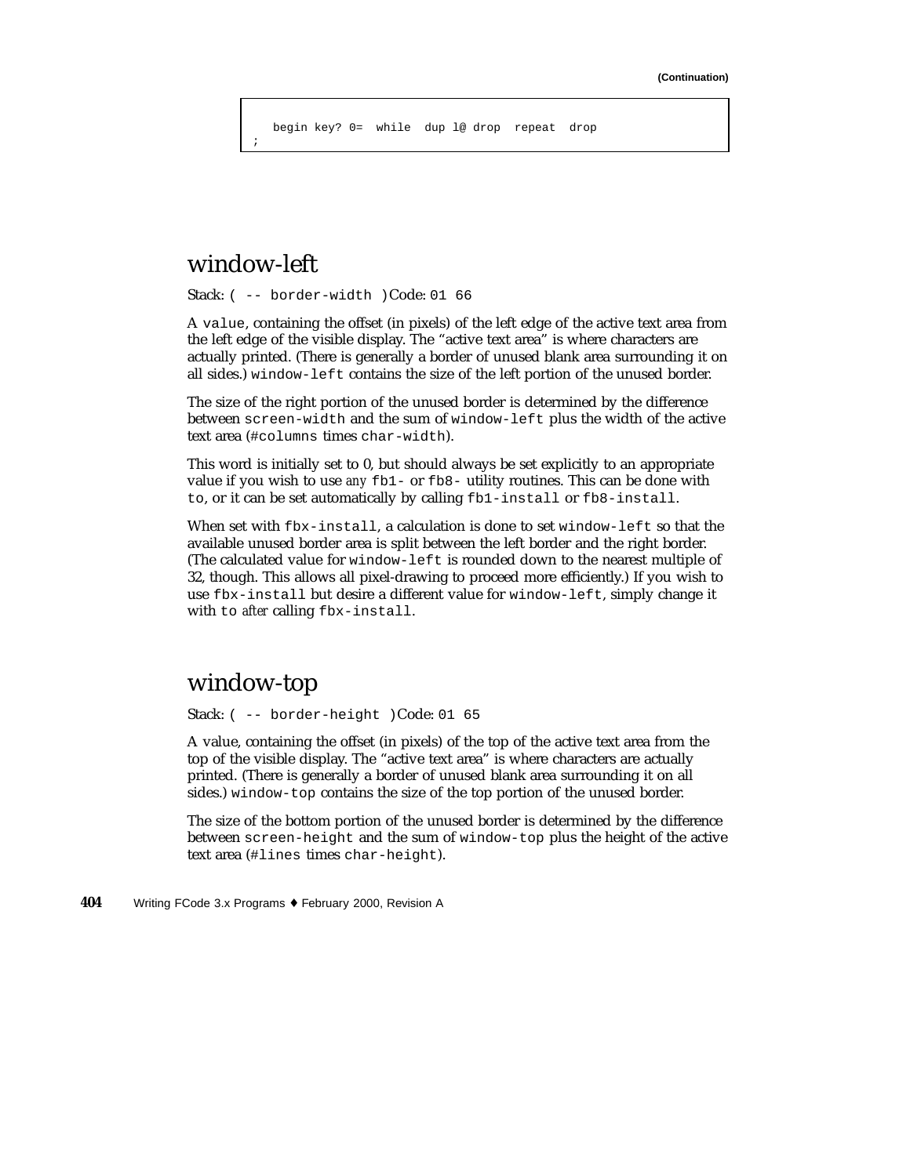begin key? 0= while dup l@ drop repeat drop

### window-left

;

Stack: ( -- border-width )Code: 01 66

A value, containing the offset (in pixels) of the left edge of the active text area from the left edge of the visible display. The "active text area" is where characters are actually printed. (There is generally a border of unused blank area surrounding it on all sides.) window-left contains the size of the left portion of the unused border.

The size of the right portion of the unused border is determined by the difference between screen-width and the sum of window-left plus the width of the active text area (#columns times char-width).

This word is initially set to 0, but should always be set explicitly to an appropriate value if you wish to use *any* fb1- or fb8- utility routines. This can be done with to, or it can be set automatically by calling fb1-install or fb8-install.

When set with fbx-install, a calculation is done to set window-left so that the available unused border area is split between the left border and the right border. (The calculated value for window-left is rounded down to the nearest multiple of 32, though. This allows all pixel-drawing to proceed more efficiently.) If you wish to use fbx-install but desire a different value for window-left, simply change it with to *after* calling fbx-install.

### window-top

Stack: ( -- border-height )Code: 01 65

A value, containing the offset (in pixels) of the top of the active text area from the top of the visible display. The "active text area" is where characters are actually printed. (There is generally a border of unused blank area surrounding it on all sides.) window-top contains the size of the top portion of the unused border.

The size of the bottom portion of the unused border is determined by the difference between screen-height and the sum of window-top plus the height of the active text area (#lines times char-height).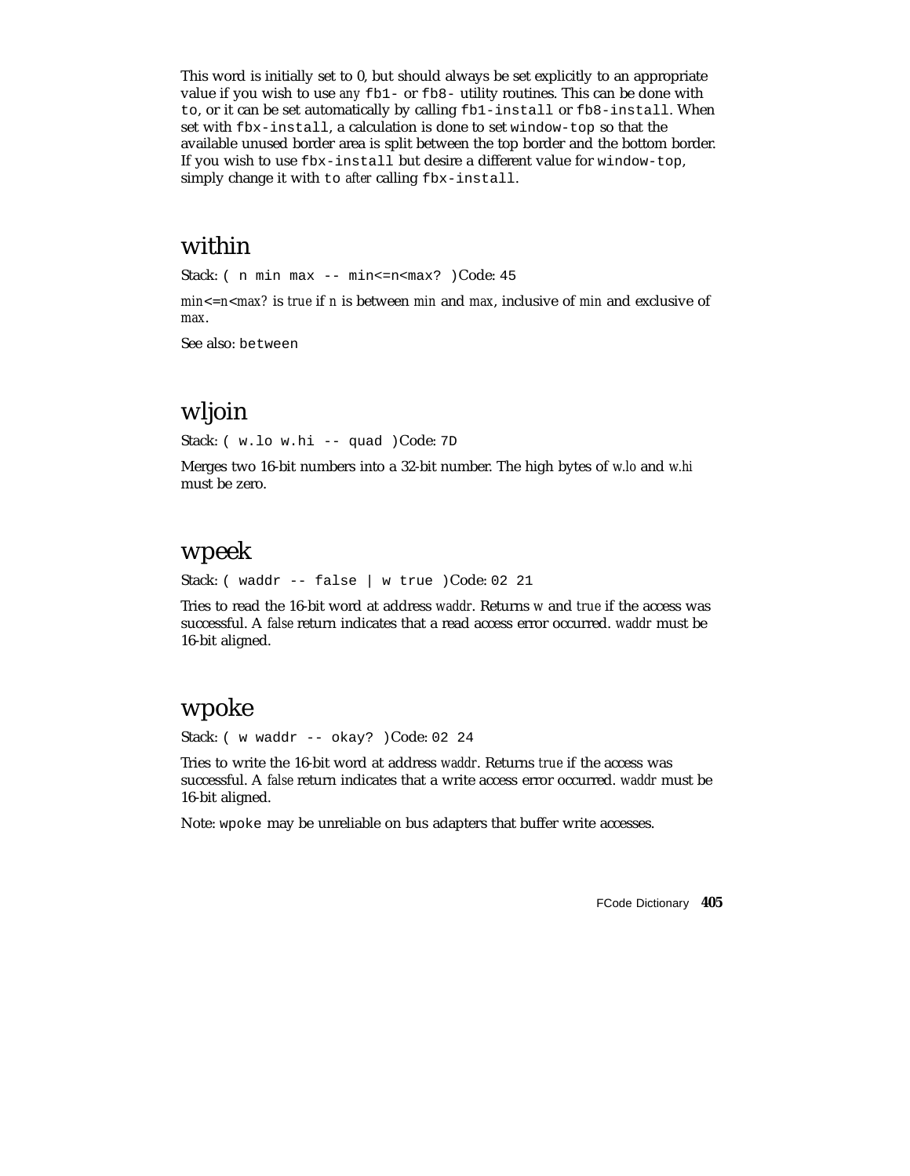This word is initially set to 0, but should always be set explicitly to an appropriate value if you wish to use *any* fb1- or fb8- utility routines. This can be done with to, or it can be set automatically by calling fb1-install or fb8-install. When set with fbx-install, a calculation is done to set window-top so that the available unused border area is split between the top border and the bottom border. If you wish to use fbx-install but desire a different value for window-top, simply change it with to *after* calling fbx-install.

## within

Stack: ( n min max -- min <= n < max? ) Code: 45

*min<=n<max?* is *true* if *n* is between *min* and *max*, inclusive of *min* and exclusive of *max*.

See also: between

### wljoin

Stack: ( w.lo w.hi -- quad )Code: 7D

Merges two 16-bit numbers into a 32-bit number. The high bytes of *w.lo* and *w.hi* must be zero.

### wpeek

Stack: ( waddr -- false | w true )Code: 02 21

Tries to read the 16-bit word at address *waddr*. Returns *w* and *true* if the access was successful. A *false* return indicates that a read access error occurred. *waddr* must be 16-bit aligned.

### wpoke

Stack: ( w waddr -- okay? )Code: 02 24

Tries to write the 16-bit word at address *waddr*. Returns *true* if the access was successful. A *false* return indicates that a write access error occurred. *waddr* must be 16-bit aligned.

Note: wpoke may be unreliable on bus adapters that buffer write accesses.

FCode Dictionary **405**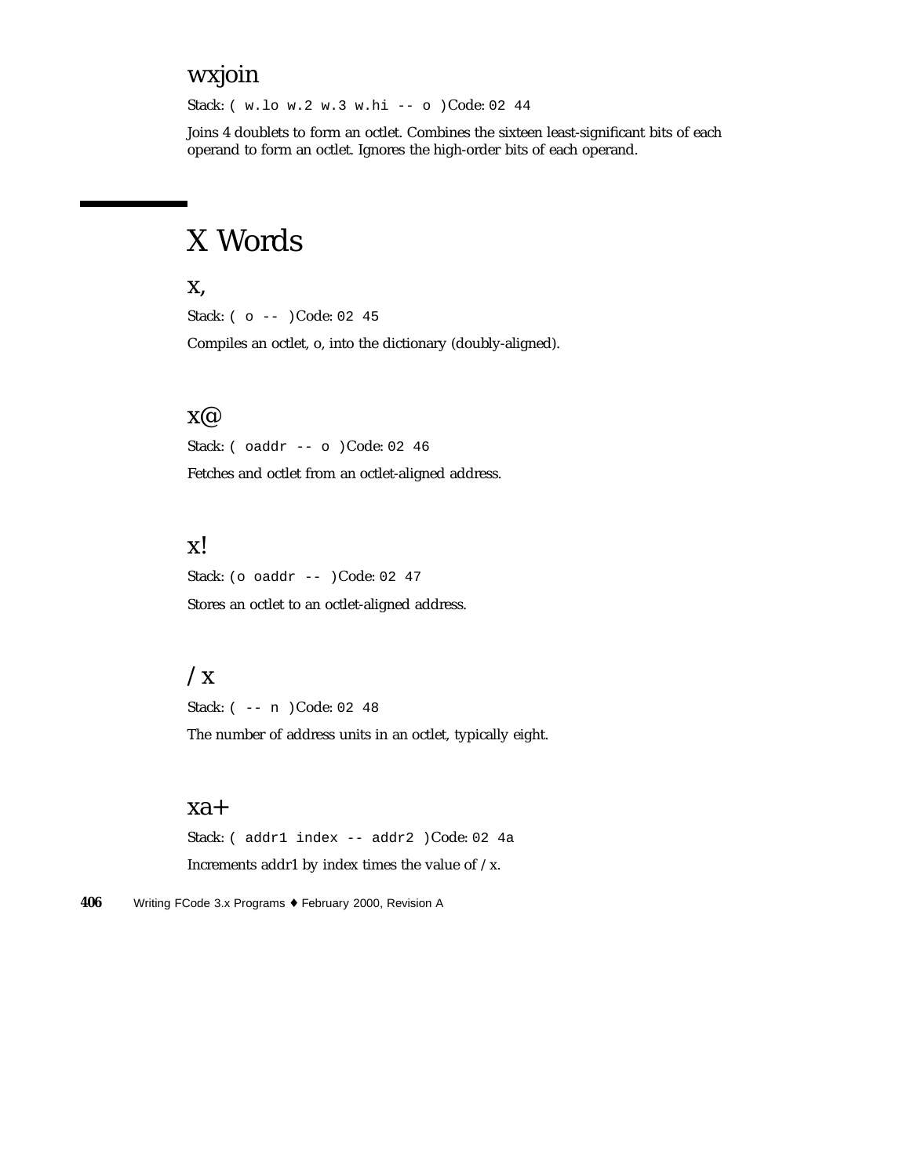### wxjoin

Stack: ( w.lo w.2 w.3 w.hi -- o )Code: 02 44

Joins 4 doublets to form an octlet. Combines the sixteen least-significant bits of each operand to form an octlet. Ignores the high-order bits of each operand.

# X Words

#### x,

Stack: ( o -- )Code: 02 45

Compiles an octlet, o, into the dictionary (doubly-aligned).

#### x@

Stack: ( oaddr -- o )Code: 02 46

Fetches and octlet from an octlet-aligned address.

#### x!

Stack: (o oaddr -- )Code: 02 47 Stores an octlet to an octlet-aligned address.

### $\sqrt{x}$

Stack: ( -- n )Code: 02 48 The number of address units in an octlet, typically eight.

#### xa+

Stack: ( addr1 index -- addr2 )Code: 02 4a Increments addr1 by index times the value of /x.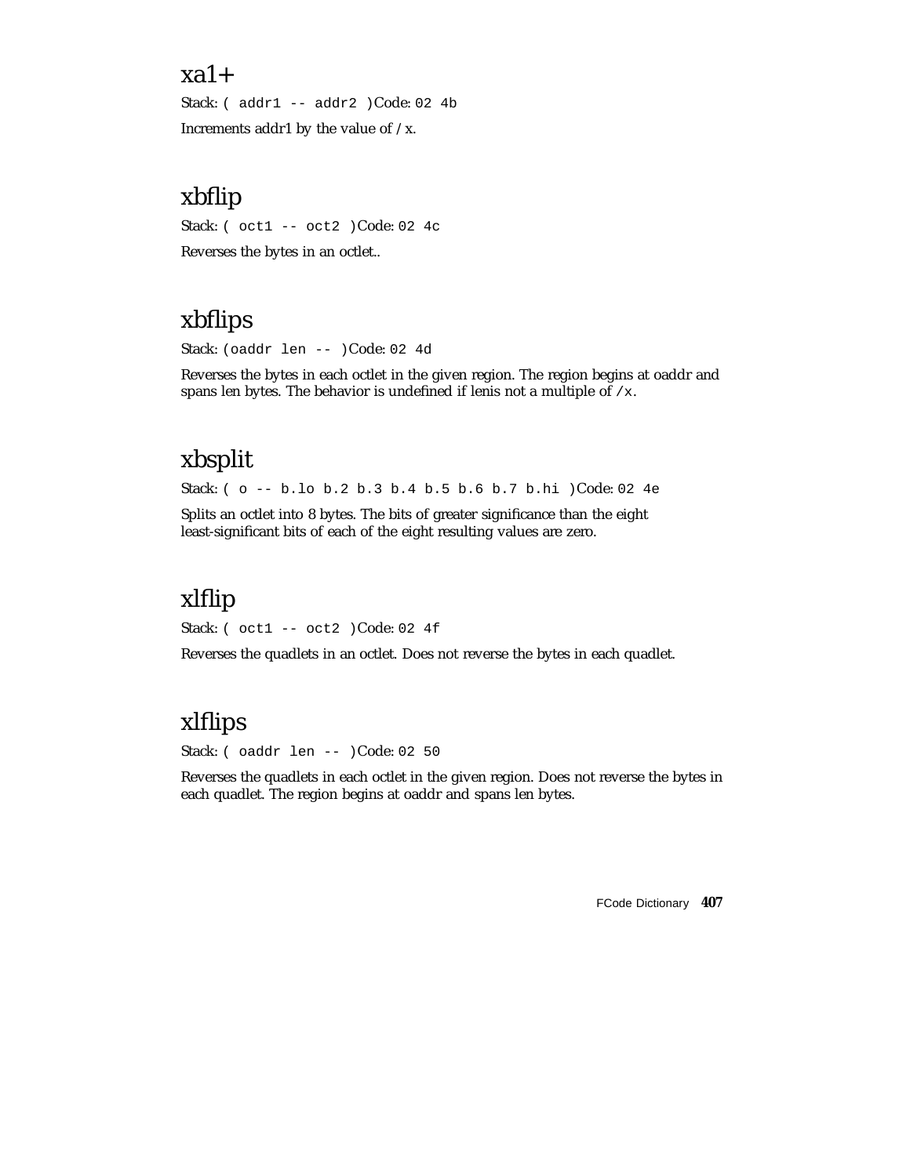#### $xa1+$

Stack: ( addr1 -- addr2 )Code: 02 4b Increments addr1 by the value of  $/x$ .

# xbflip

Stack: ( oct1 -- oct2 )Code: 02 4c

Reverses the bytes in an octlet..

# xbflips

Stack: (oaddr len -- )Code: 02 4d

Reverses the bytes in each octlet in the given region. The region begins at oaddr and spans len bytes. The behavior is undefined if lenis not a multiple of /x.

# xbsplit

Stack: ( o -- b.lo b.2 b.3 b.4 b.5 b.6 b.7 b.hi )Code: 02 4e

Splits an octlet into 8 bytes. The bits of greater significance than the eight least-significant bits of each of the eight resulting values are zero.

# xlflip

Stack: ( oct1 -- oct2 )Code: 02 4f

Reverses the quadlets in an octlet. Does not reverse the bytes in each quadlet.

# xlflips

Stack: ( oaddr len -- )Code: 02 50

Reverses the quadlets in each octlet in the given region. Does not reverse the bytes in each quadlet. The region begins at oaddr and spans len bytes.

FCode Dictionary **407**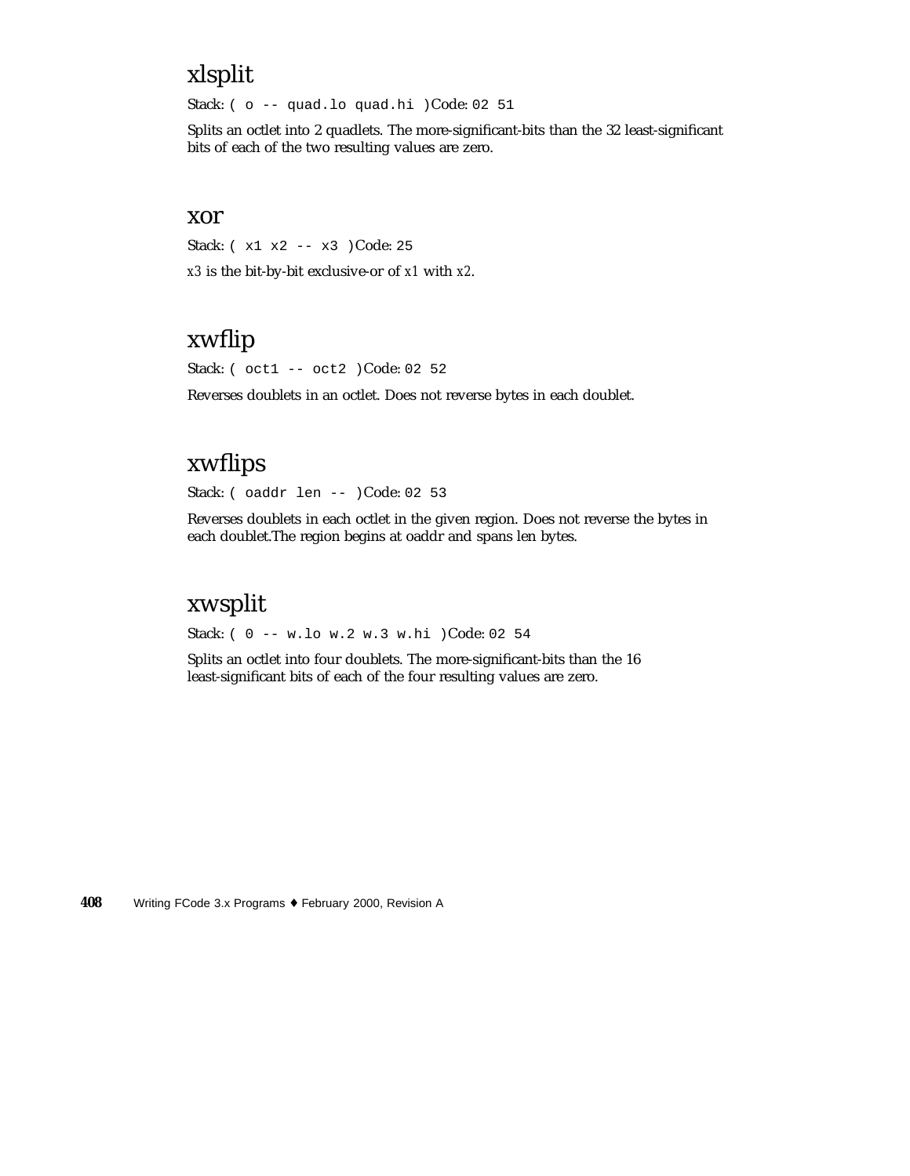# xlsplit

Stack: ( o -- quad.lo quad.hi )Code: 02 51

Splits an octlet into 2 quadlets. The more-significant-bits than the 32 least-significant bits of each of the two resulting values are zero.

#### xor

Stack: ( x1 x2 -- x3 )Code: 25 *x3* is the bit-by-bit exclusive-or of *x1* with *x2*.

# xwflip

Stack: ( oct1 -- oct2 )Code: 02 52

Reverses doublets in an octlet. Does not reverse bytes in each doublet.

# xwflips

Stack: ( oaddr len -- )Code: 02 53

Reverses doublets in each octlet in the given region. Does not reverse the bytes in each doublet.The region begins at oaddr and spans len bytes.

### xwsplit

Stack: ( 0 -- w.lo w.2 w.3 w.hi )Code: 02 54

Splits an octlet into four doublets. The more-significant-bits than the 16 least-significant bits of each of the four resulting values are zero.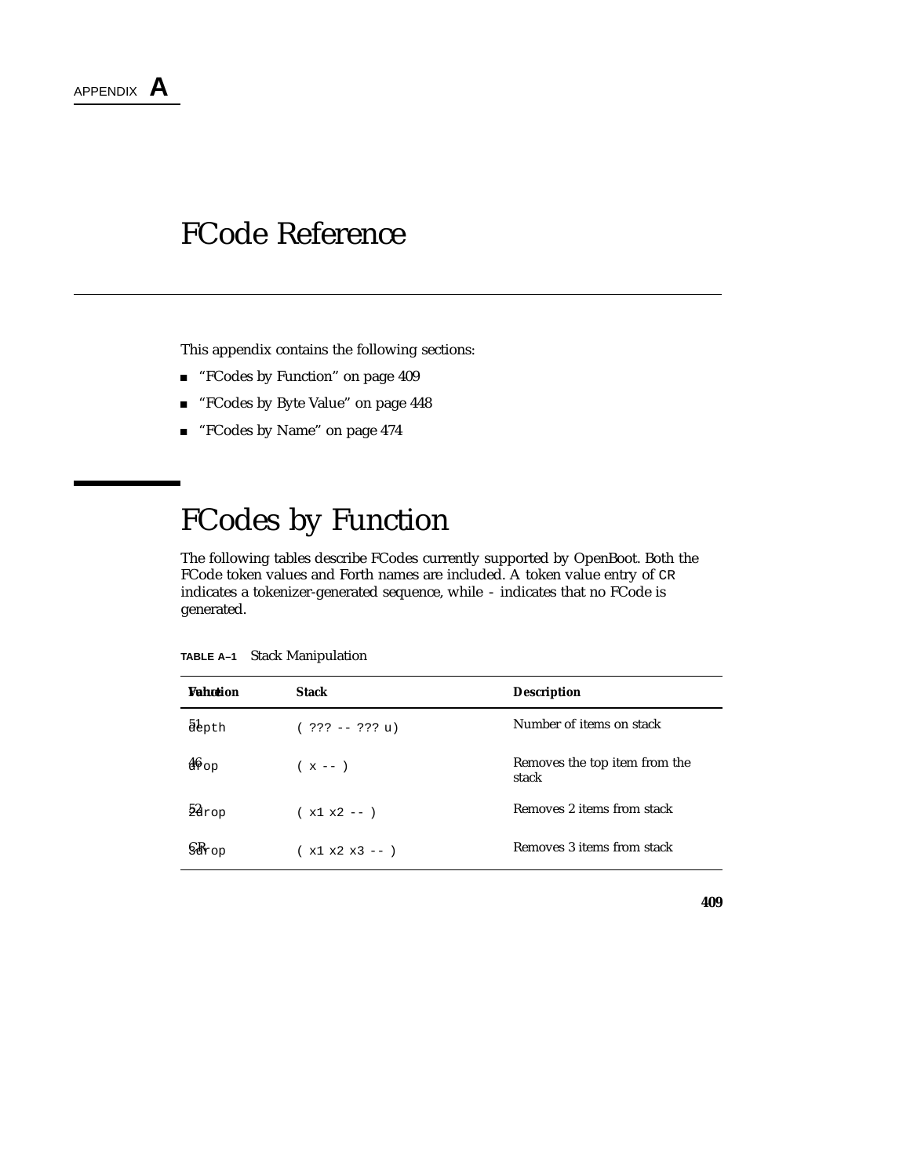

This appendix contains the following sections:

- "FCodes by Function" on page 409
- "FCodes by Byte Value" on page 448
- "FCodes by Name" on page 474

# FCodes by Function

The following tables describe FCodes currently supported by OpenBoot. Both the FCode token values and Forth names are included. A token value entry of CR indicates a tokenizer-generated sequence, while - indicates that no FCode is generated.

| <b><i><u>Enhotion</u></i></b> | <b>Stack</b>      | <b>Description</b>                     |
|-------------------------------|-------------------|----------------------------------------|
| abpth                         | $( ??? -- ??? u)$ | Number of items on stack               |
| 46op                          | $(x - -)$         | Removes the top item from the<br>stack |
| $28$ rop                      | $(x1 x2 - -)$     | Removes 2 items from stack             |
| $\mathbb{R}_{\text{top}}$     | $(x1 x2 x3 -- )$  | Removes 3 items from stack             |

**TABLE A–1** Stack Manipulation

**409**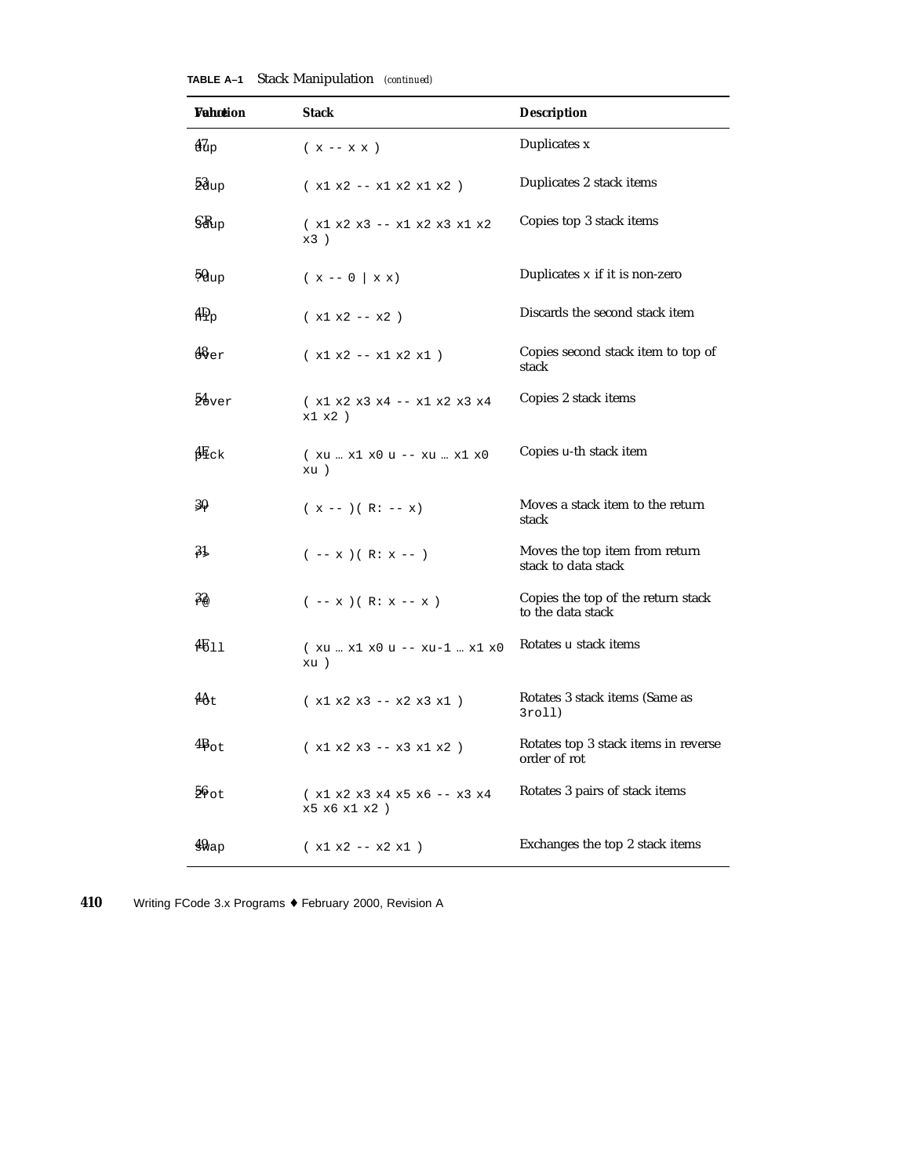| <b>Vahotion</b>                                   | <b>Stack</b>                                    | <b>Description</b>                                      |  |
|---------------------------------------------------|-------------------------------------------------|---------------------------------------------------------|--|
| $\frac{47}{10}$                                   | $(x - x x)$                                     | Duplicates x                                            |  |
| 53up                                              | $(x1 x2 - x1 x2 x1 x2)$                         | Duplicates 2 stack items                                |  |
| $\mathbb{S}\mathbb{R}_{\text{up}}$                | $(x1 x2 x3 -- x1 x2 x3 x1 x2$<br>x3)            | Copies top 3 stack items                                |  |
| 50 <sub>up</sub>                                  | $(x - 0   x x)$                                 | Duplicates $x$ if it is non-zero                        |  |
| $_{\rm 4Pp}$                                      | $(x1 x2 - x2)$                                  | Discards the second stack item                          |  |
| $\begin{smallmatrix} 48 \ 67 \ \end{smallmatrix}$ | $(x1 x2 - x1 x2 x1)$                            | Copies second stack item to top of<br>stack             |  |
| $54$ ver                                          | $(x1 x2 x3 x4 -- x1 x2 x3 x4$<br>$x1 x2$ )      | Copies 2 stack items                                    |  |
| $4E_{CK}$                                         | (xu  x1 x0 u -- xu  x1 x0<br>xu)                | Copies u-th stack item                                  |  |
| 3Q.                                               | $(x - -)(R: -x)$                                | Moves a stack item to the return<br>stack               |  |
| 31                                                | $(- - x)(R: x --)$                              | Moves the top item from return<br>stack to data stack   |  |
| $3\&$                                             | $(- - x) ( R: x - x )$                          | Copies the top of the return stack<br>to the data stack |  |
| 4611                                              | (xu  x1 x0 u -- xu-1  x1 x0<br>xu)              | Rotates u stack items                                   |  |
| $4\theta t$                                       | $(x1 x2 x3 - x2 x3 x1)$                         | Rotates 3 stack items (Same as<br>3rol1)                |  |
| $4B_{\text{ot}}$                                  | $(x1 x2 x3 -- x3 x1 x2 )$                       | Rotates top 3 stack items in reverse<br>order of rot    |  |
| $56$ ot                                           | $(x1 x2 x3 x4 x5 x6 -- x3 x4)$<br>x5 x6 x1 x2 ) | Rotates 3 pairs of stack items                          |  |
| $49a$ p                                           | $(x1 x2 - x2 x1)$                               | Exchanges the top 2 stack items                         |  |

**TABLE A–1** Stack Manipulation *(continued)*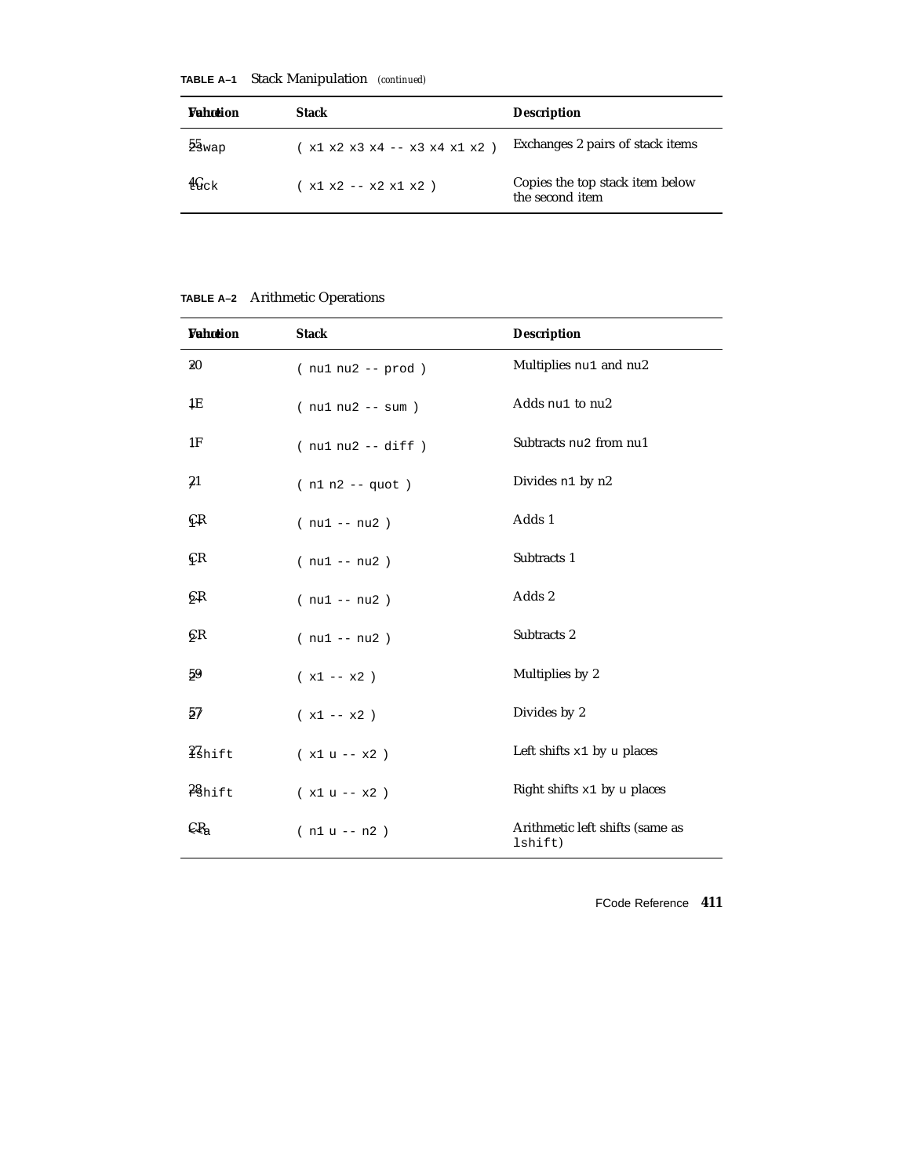| <b><i>Vahotion</i></b> | Stack                         | <b>Description</b>                                 |
|------------------------|-------------------------------|----------------------------------------------------|
| $2s_{\rm{wap}}$        | (x1 x2 x3 x4 -- x3 x4 x1 x2 ) | Exchanges 2 pairs of stack items                   |
| $4G_{CK}$              | $(x1 x2 - x2 x1 x2)$          | Copies the top stack item below<br>the second item |

**TABLE A–1** Stack Manipulation *(continued)*

**TABLE A–2** Arithmetic Operations

| <b>Vahotion</b> | <b>Stack</b>         | <b>Description</b>                         |
|-----------------|----------------------|--------------------------------------------|
| 20              | $(nu1 nu2 - prod)$   | Multiplies nu1 and nu2                     |
| 1E              | $(nu1 nu2 - sum)$    | Adds nu1 to nu2                            |
| 1F              | $(nu1 nu2 - - diff)$ | Subtracts nu2 from nu1                     |
| $\frac{21}{2}$  | $(n1 n2 - quot)$     | Divides n1 by n2                           |
| €Ŗ              | $(nu1 - nu2)$        | Adds 1                                     |
| ÇR              | $(nu1 - nu2)$        | Subtracts 1                                |
| бß              | $(nu1 - nu2)$        | Adds 2                                     |
| ÇК              | $(nu1 - nu2)$        | Subtracts 2                                |
| 59              | $(x1 - x2)$          | Multiplies by 2                            |
| $5\%$           | $(x1 - x2)$          | Divides by 2                               |
| <i>i</i> shift  | $(x1 u - x2)$        | Left shifts $x1$ by u places               |
| 28hift          | $(x1 u - x2)$        | Right shifts $x1$ by u places              |
| $\mathsf{CR}_a$ | $(n1 u - n2)$        | Arithmetic left shifts (same as<br>lshift) |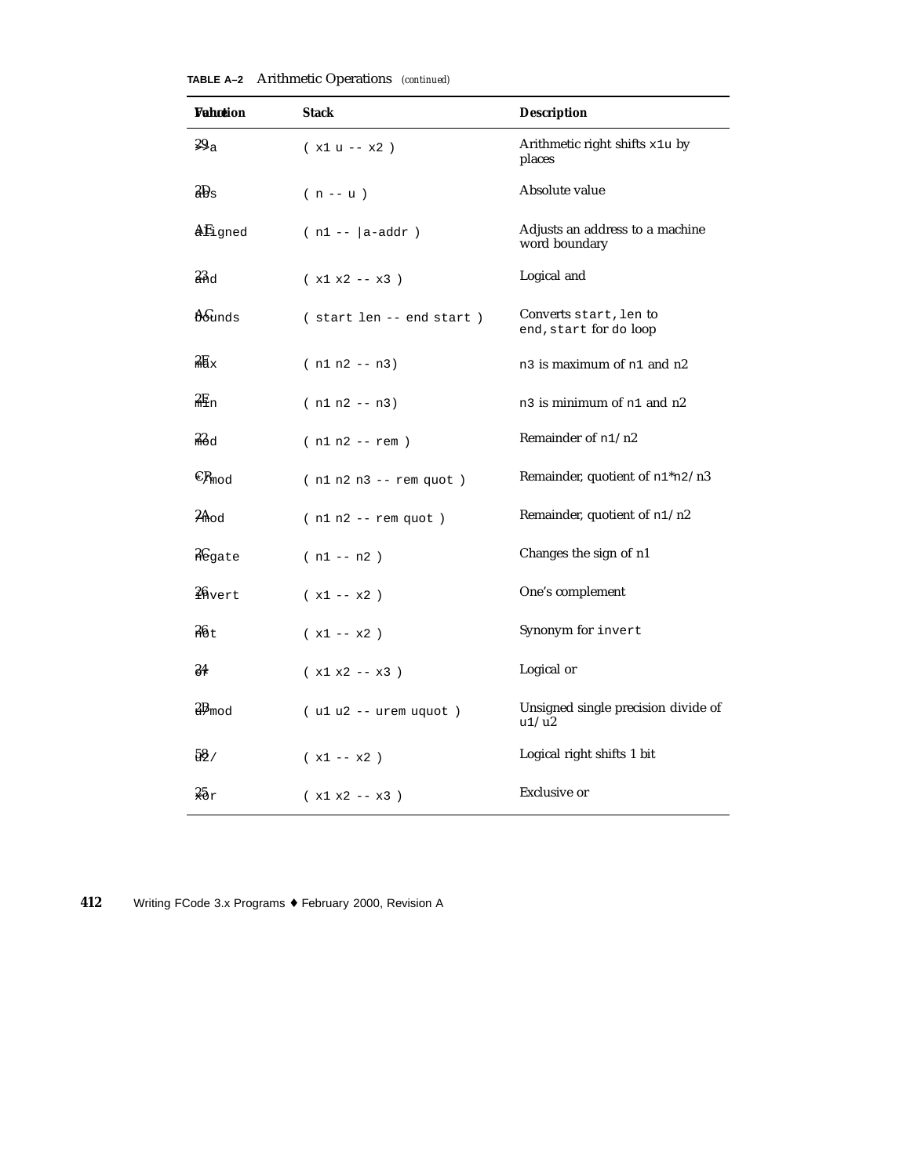| Wahotion                   | <b>Stack</b>               | <b>Description</b>                                             |  |
|----------------------------|----------------------------|----------------------------------------------------------------|--|
| 29a                        | $(x1 u - x2)$              | Arithmetic right shifts x1u by<br>places                       |  |
| $\rm 3B_s$                 | $(n - u)$                  | Absolute value                                                 |  |
| AEigned                    | $(n1 -  a - addr)$         | Adjusts an address to a machine<br>word boundary               |  |
| 3 <sub>3d</sub>            | $(x1 x2 - x3)$             | Logical and                                                    |  |
| $A\!\!\!\delta$ unds       | (start len -- end start)   | Converts start, len to<br>end, start for do loop               |  |
| $\frac{2}{10}x$            | $(n1 n2 - n3)$             | n <sub>3</sub> is maximum of n <sub>1</sub> and n <sub>2</sub> |  |
| $2E_{n}$                   | $(n1 n2 - n3)$             | n <sub>3</sub> is minimum of n <sub>1</sub> and n <sub>2</sub> |  |
| 22 <sub>od</sub>           | $(n1 n2 - rem)$            | Remainder of n1/n2                                             |  |
| $\mathbb{C}R_{\text{mod}}$ | $(n1 n2 n3 - rem quot)$    | Remainder, quotient of n1*n2/n3                                |  |
| $2A_{\text{odd}}$          | $(n1 n2 - rem quot)$       | Remainder, quotient of n1/n2                                   |  |
| <b>Regate</b>              | $(n1 - n2)$                | Changes the sign of n1                                         |  |
| $26$ vert                  | $(x1 - x2)$                | One's complement                                               |  |
| 26t                        | $(x1 - x2)$                | Synonym for invert                                             |  |
| 84                         | $(x1 x2 - x3)$             | Logical or                                                     |  |
| $2B$ <sub>mod</sub>        | $( u1 u2 - - urem uquot )$ | Unsigned single precision divide of<br>u1/u2                   |  |
| 58/                        | $(x1 - x2)$                | Logical right shifts 1 bit                                     |  |
| 25r                        | $(x1 x2 - x3)$             | Exclusive or                                                   |  |

**TABLE A–2** Arithmetic Operations *(continued)*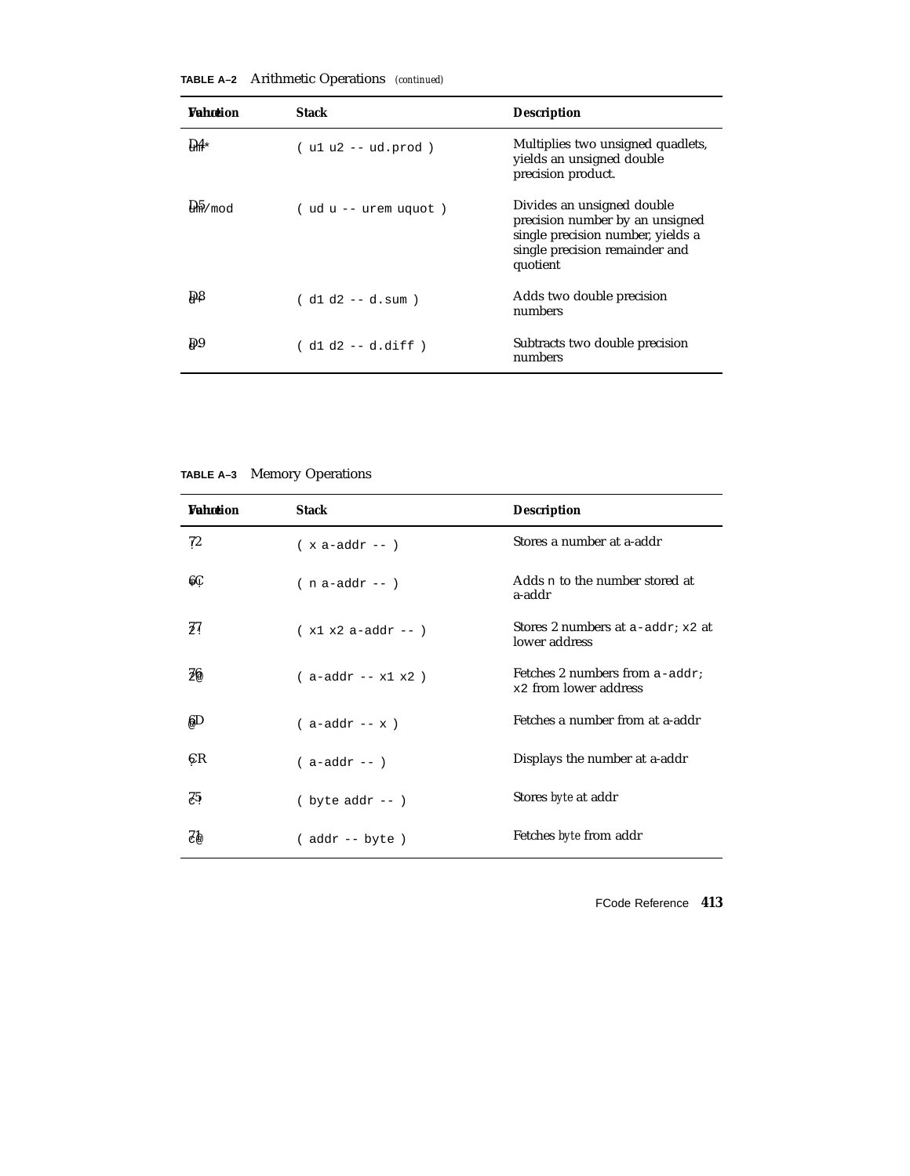| <b><i>Vahntion</i></b> | <b>Stack</b>            | <b>Description</b>                                                                                                                               |
|------------------------|-------------------------|--------------------------------------------------------------------------------------------------------------------------------------------------|
| $\mathbf{D4}$          | $( u1 u2 -- ud.prod )$  | Multiplies two unsigned quadlets,<br>yields an unsigned double<br>precision product.                                                             |
| $\frac{1}{2}$ mod      | $(udu - - urem uquot)$  | Divides an unsigned double<br>precision number by an unsigned<br>single precision number, yields a<br>single precision remainder and<br>quotient |
| Dβ                     | $( d1 d2 - - d . sum )$ | Adds two double precision<br>numbers                                                                                                             |
| D <sub>0</sub>         | ( d1 d2 -- d.diff )     | Subtracts two double precision<br>numbers                                                                                                        |

**TABLE A–2** Arithmetic Operations *(continued)*

**TABLE A–3** Memory Operations

| <b><i>Vahotion</i></b> | <b>Stack</b>            | <b>Description</b>                                      |
|------------------------|-------------------------|---------------------------------------------------------|
| 72                     | $(x a - addr - )$       | Stores a number at a-addr                               |
| 6Ç                     | $(n a-addr - )$         | Adds n to the number stored at<br>a-addr                |
| 37                     | $(x1 x2 a-addr --)$     | Stores 2 numbers at $a$ -addr; $x2$ at<br>lower address |
| 26                     | $(a-addr - x1 x2)$      | Fetches 2 numbers from a-addr;<br>x2 from lower address |
| ßД                     | $($ a-addr -- $x$ )     | Fetches a number from at a-addr                         |
| СR                     | $( a-addr -- )$         | Displays the number at a-addr                           |
| Z5.                    | $(\text{byte} addr --)$ | Stores <i>byte</i> at addr                              |
| ZР                     | $($ addr $--$ byte)     | Fetches <i>byte</i> from addr                           |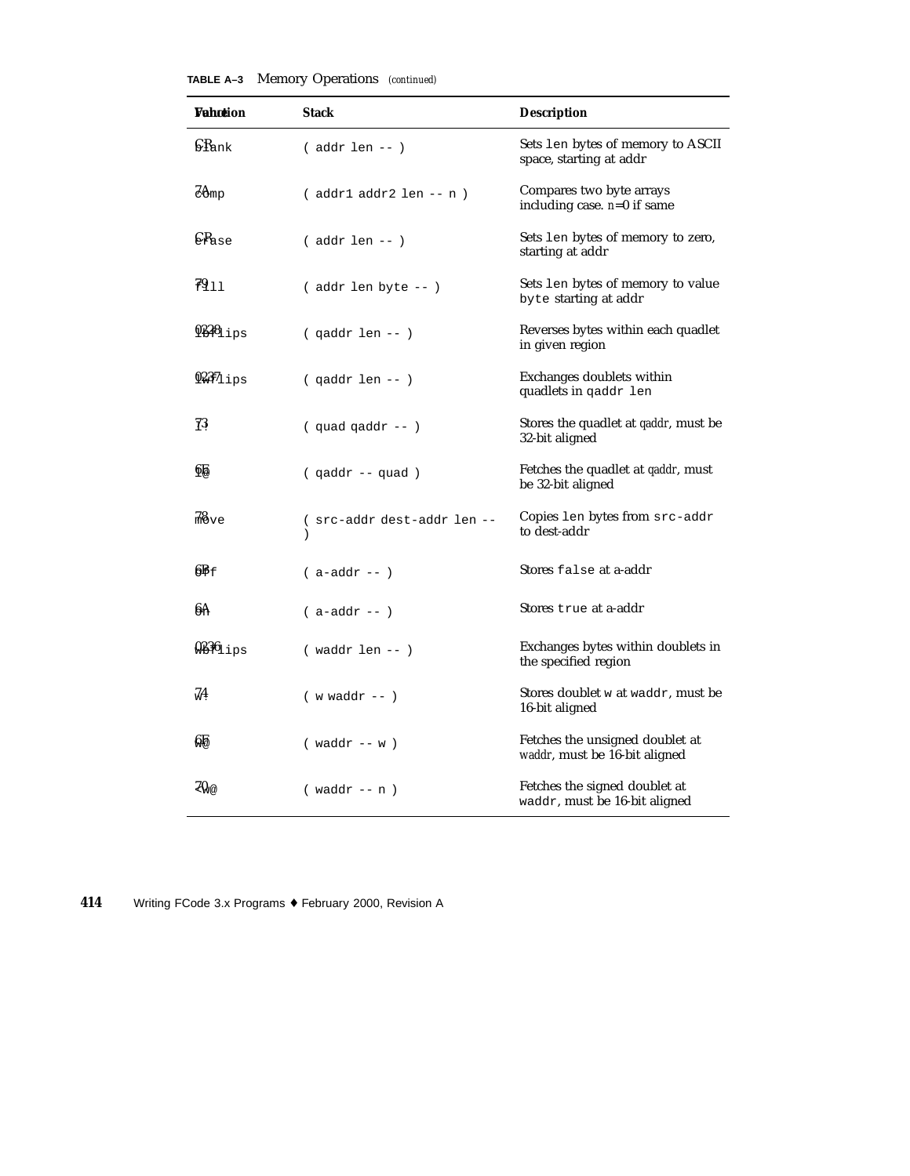| <b>Vahotion</b>            | <b>Stack</b>                                | <b>Description</b>                                               |  |
|----------------------------|---------------------------------------------|------------------------------------------------------------------|--|
| $\int$ $R_{\rm ank}$       | $($ addr len -- $)$                         | Sets len bytes of memory to ASCII<br>space, starting at addr     |  |
| $Z\Theta$ mp               | $($ addr $1$ addr $2$ len -- n $)$          | Compares two byte arrays<br>including case. $n=0$ if same        |  |
| $\epsilon_{\texttt{Base}}$ | $($ addr len -- $)$                         | Sets len bytes of memory to zero,<br>starting at addr            |  |
| 7911                       | (addr len byte -- )                         | Sets len bytes of memory to value<br>byte starting at addr       |  |
| $938_{\text{lips}}$        | $($ qaddr len -- $)$                        | Reverses bytes within each quadlet<br>in given region            |  |
| $937_{11}$ ps              | ( qaddr len -- )                            | Exchanges doublets within<br>quadlets in gaddr len               |  |
| 73                         | $($ quad qaddr -- $)$                       | Stores the quadlet at <i>qaddr</i> , must be<br>32-bit aligned   |  |
| 6Ê                         | (qaddr -- quad)                             | Fetches the quadlet at <i>qaddr</i> , must<br>be 32-bit aligned  |  |
| $\frac{78}{100}$ ve        | (src-addr dest-addr len --<br>$\mathcal{C}$ | Copies len bytes from src-addr<br>to dest-addr                   |  |
| $6F_f$                     | $($ a-addr -- $)$                           | Stores false at a-addr                                           |  |
| 6A                         | $($ a-addr -- $)$                           | Stores true at a-addr                                            |  |
| $\frac{0.236}{0.195}$      | $(waddr len - )$                            | Exchanges bytes within doublets in<br>the specified region       |  |
| 74                         | $(w \text{ waddr } --)$                     | Stores doublet w at waddr, must be<br>16-bit aligned             |  |
| 艍                          | $(waddr - w)$                               | Fetches the unsigned doublet at<br>waddr, must be 16-bit aligned |  |
| 70.a                       | $(waddr - n)$                               | Fetches the signed doublet at<br>waddr, must be 16-bit aligned   |  |

| TABLE A-3 |  | Memory Operations (continued) |  |
|-----------|--|-------------------------------|--|
|-----------|--|-------------------------------|--|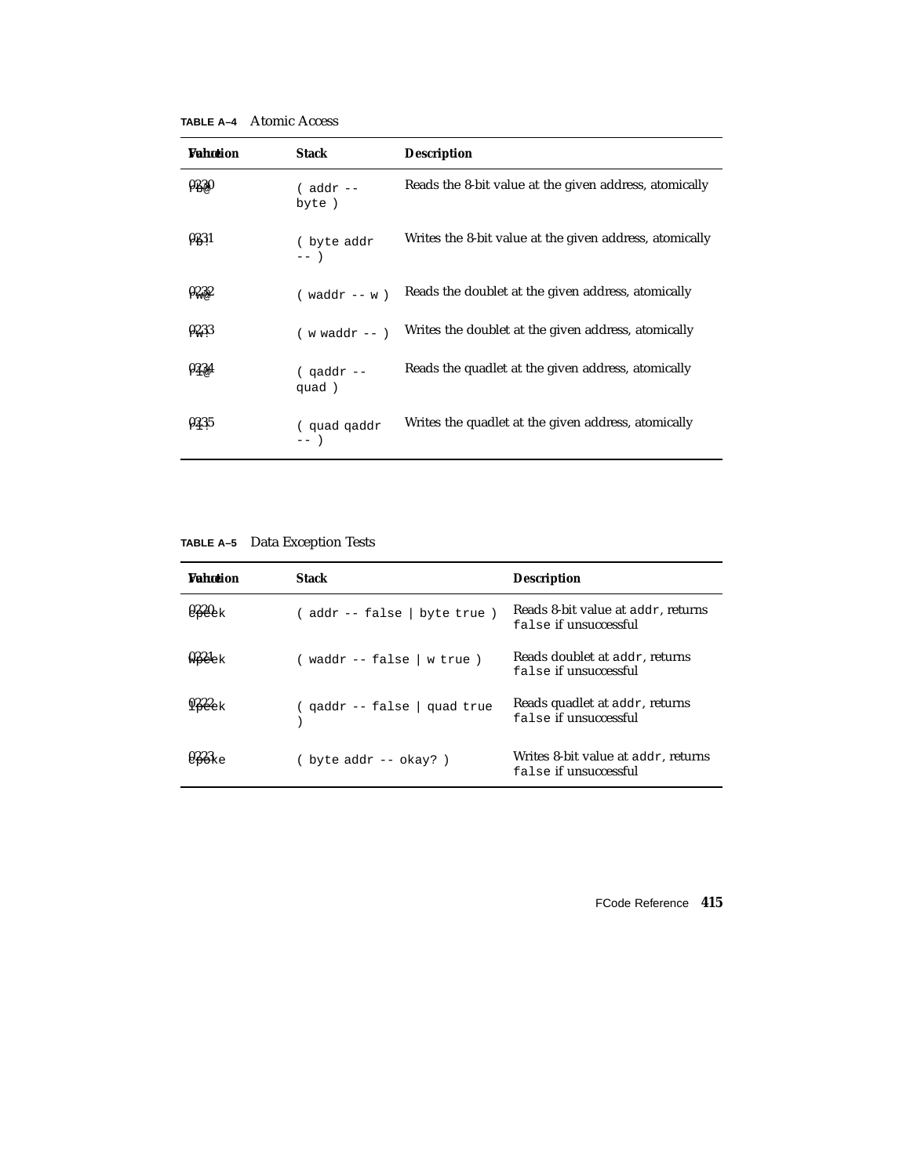**TABLE A–4** Atomic Access

| <b>Vahotion</b> | <b>Stack</b>            | <b>Description</b>                                      |
|-----------------|-------------------------|---------------------------------------------------------|
| 0230            | $($ addr $--$<br>byte)  | Reads the 8-bit value at the given address, atomically  |
| 023,1           | (byte addr<br>$---$     | Writes the 8-bit value at the given address, atomically |
| 0232            | $(waddr - w)$           | Reads the doublet at the given address, atomically      |
| 0233            | $(w \text{ waddr } - )$ | Writes the doublet at the given address, atomically     |
| 023.4           | $($ qaddr --<br>quad)   | Reads the quadlet at the given address, atomically      |
| 0235            | (quad qaddr<br>$---$    | Writes the quadlet at the given address, atomically     |

| TABLE A-5 |  | Data Exception Tests |  |
|-----------|--|----------------------|--|
|-----------|--|----------------------|--|

| <b>Wahntion</b> | <b>Stack</b>                 | <b>Description</b>                                           |
|-----------------|------------------------------|--------------------------------------------------------------|
|                 | (addr -- false   byte true ) | Reads 8-bit value at addr, returns<br>false if unsuccessful  |
| neek            | ( waddr -- false   w true )  | Reads doublet at addr, returns<br>false if unsuccessful      |
| $922_{\rm e}$ k | ( gaddr -- false   guad true | Reads quadlet at addr, returns<br>false if unsuccessful      |
|                 | byte $addr$ -- $okay$ ? $)$  | Writes 8-bit value at addr, returns<br>false if unsuccessful |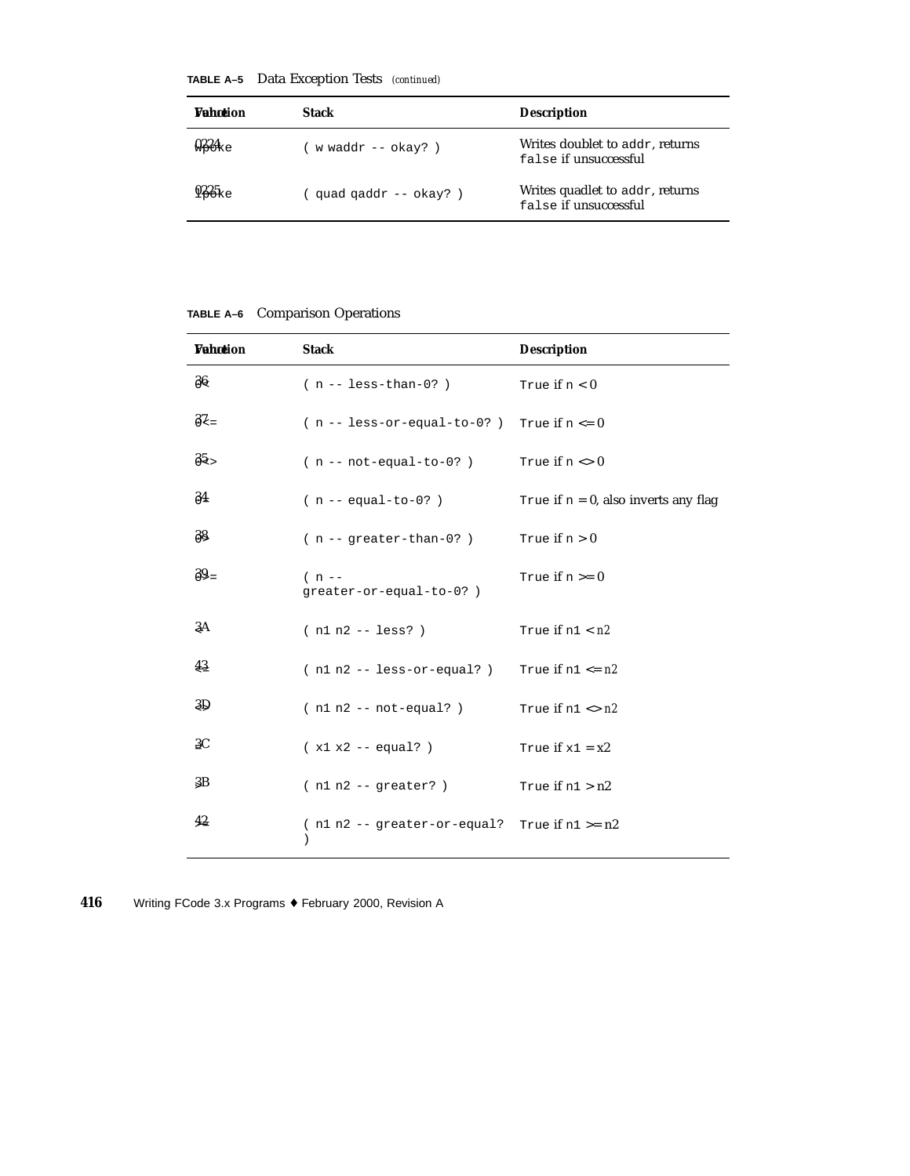**TABLE A–5** Data Exception Tests *(continued)*

| Wahrtion          | Stack                    | <b>Description</b>                                       |
|-------------------|--------------------------|----------------------------------------------------------|
| $923$ ke          | w waddr $--$ okay?)      | Writes doublet to addr, returns<br>false if unsuccessful |
| 925 <sub>ke</sub> | quad $qaddr - - okay?$ ) | Writes quadlet to addr, returns<br>false if unsuccessful |

| TABLE A-6 Comparison Operations |
|---------------------------------|
|                                 |

| <b>Vahotion</b> | <b>Stack</b>                                        | <b>Description</b>                      |
|-----------------|-----------------------------------------------------|-----------------------------------------|
| 36              | $(n - - \text{less-than-0?})$                       | True if $n < 0$                         |
| $3\zeta$        | $(n - 1ess- or-equal-to-0?)$ True if $n \le 0$      |                                         |
| $85 -$          | $(n - not-equal-to-0?)$                             | True if $n \leq 0$                      |
| $\frac{34}{5}$  | $(n -\neq -1)$                                      | True if $n = 0$ , also inverts any flag |
| 38              | $(n - - greater - than - 0?)$                       | True if $n > 0$                         |
| $39 =$          | $(n -$<br>greater-or-equal-to-0?)                   | True if $n >= 0$                        |
| 3A              | $(n1 n2 - 1 \text{ess?})$                           | True if $n1 < n2$                       |
| 43              | $(n1 n2 -- less-or-equal? )$                        | True if $n1 \leq n2$                    |
| 3D              | $(n1 n2 -- not-equal? )$                            | True if $n1 \leq n2$                    |
| 3C              | $(x1 x2 - equal?)$                                  | True if $x1 = x2$                       |
| 3B              | $(n1 n2 - qreacter?)$                               | True if $n1 > n2$                       |
| 42              | ( $nl n2 - - greater-or-equal$ ? True if $nl >= n2$ |                                         |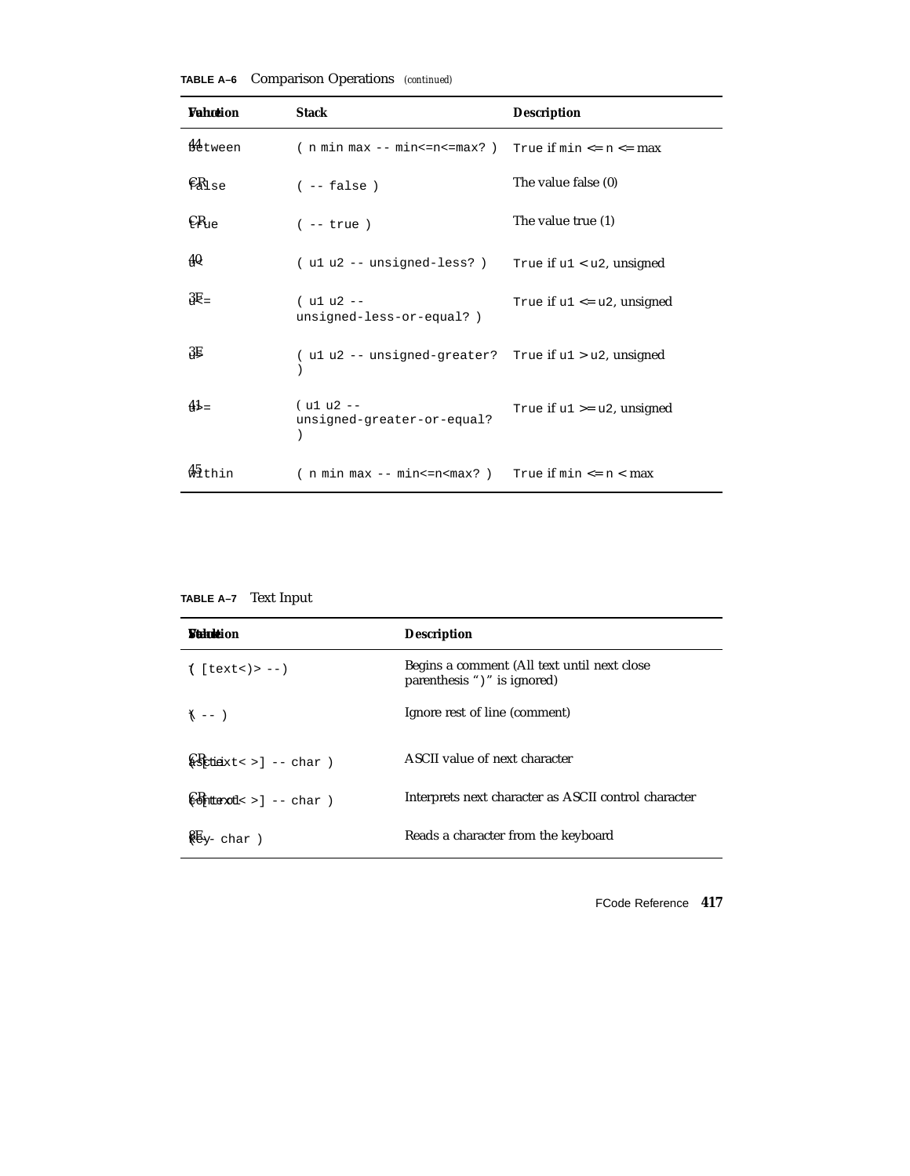| <b><i>Vahotion</i></b>     | <b>Stack</b>                                                           | <b>Description</b>              |
|----------------------------|------------------------------------------------------------------------|---------------------------------|
| <b>M</b> etween            | ( $n \min \max -\min \le n \le \max$ ? ) True if $\min \le n \le \max$ |                                 |
| $\epsilon_{\texttt{Mise}}$ | $(- - false)$                                                          | The value false (0)             |
| $CR_{10}$                  | $(- - true)$                                                           | The value true (1)              |
| 40                         | ( u1 u2 -- unsigned-less? )                                            | True if $u1 < u2$ , unsigned    |
| $3E =$                     | $( u1 u2 - -$<br>unsigned-less-or-equal?)                              | True if $u1 \leq u2$ , unsigned |
| 3E                         | (u1 u2 -- unsigned-greater? True if u1 > u2, unsigned                  |                                 |
| $41 =$                     | $( u1 u2 -$<br>unsigned-greater-or-equal?                              | True if $u1 \geq u2$ , unsigned |
| $\frac{45}{3}$ thin        | ( $n \min \max -\min \le n \le \max$ ) True if $\min \le n \le \max$   |                                 |

**TABLE A–6** Comparison Operations *(continued)*

**TABLE A–7** Text Input

| <b><i>Sinholdion</i></b>                                                                                                                                                                                                                                                                                            | <b>Description</b>                                                         |
|---------------------------------------------------------------------------------------------------------------------------------------------------------------------------------------------------------------------------------------------------------------------------------------------------------------------|----------------------------------------------------------------------------|
| $1$ [text<)> --)                                                                                                                                                                                                                                                                                                    | Begins a comment (All text until next close<br>parenthesis ")" is ignored) |
| $\uparrow$ -- )                                                                                                                                                                                                                                                                                                     | Ignore rest of line (comment)                                              |
| $\sqrt{\frac{1}{2}}$ dieixt< > ] -- char )                                                                                                                                                                                                                                                                          | ASCII value of next character                                              |
| $\bigoplus_{n=1}^{\infty}$ + $\bigoplus_{n=1}^{\infty}$ - char )                                                                                                                                                                                                                                                    | Interprets next character as ASCII control character                       |
| $\frac{1}{2}$ $\frac{1}{2}$ $\frac{1}{2}$ $\frac{1}{2}$ $\frac{1}{2}$ $\frac{1}{2}$ $\frac{1}{2}$ $\frac{1}{2}$ $\frac{1}{2}$ $\frac{1}{2}$ $\frac{1}{2}$ $\frac{1}{2}$ $\frac{1}{2}$ $\frac{1}{2}$ $\frac{1}{2}$ $\frac{1}{2}$ $\frac{1}{2}$ $\frac{1}{2}$ $\frac{1}{2}$ $\frac{1}{2}$ $\frac{1}{2}$ $\frac{1}{2}$ | Reads a character from the keyboard                                        |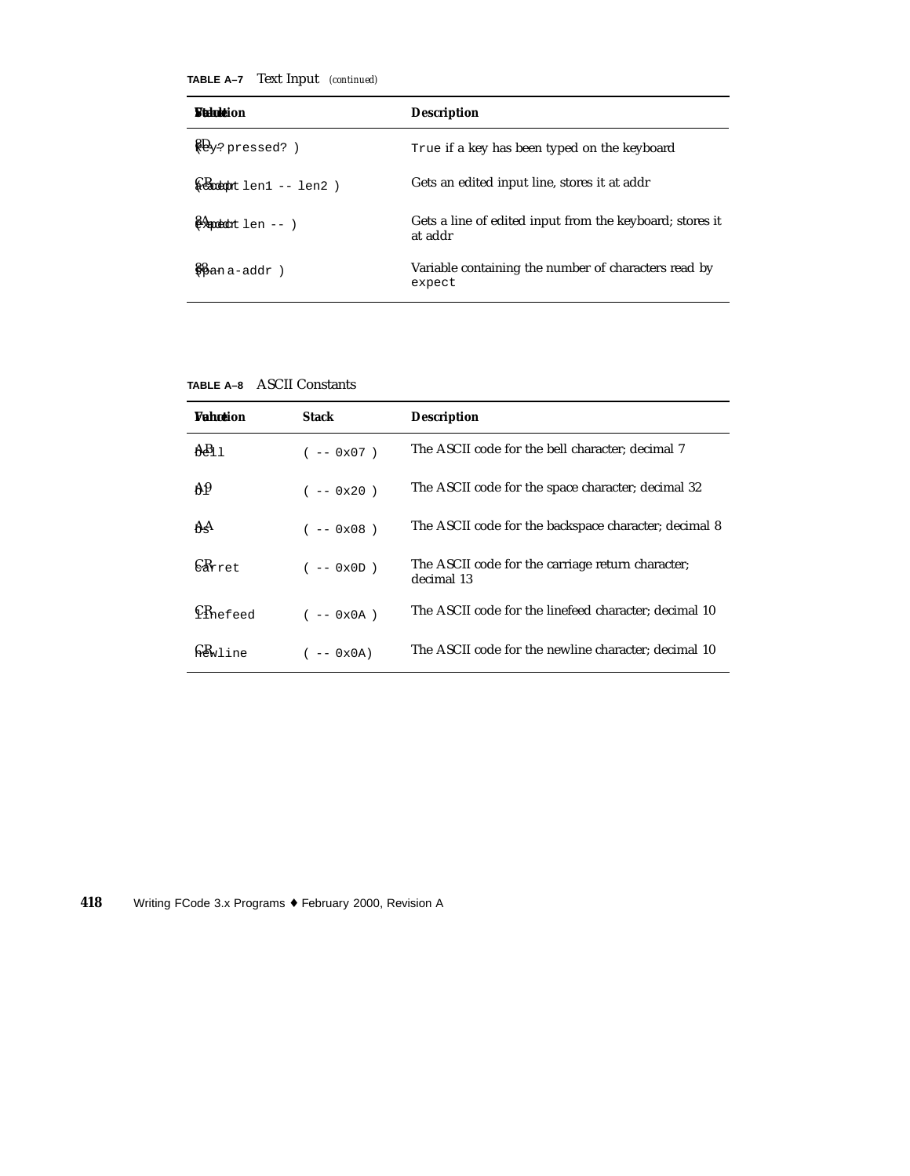**TABLE A–7** Text Input *(continued)*

| <b><i>Sithele</i></b> ion                                         | <b>Description</b>                                                  |
|-------------------------------------------------------------------|---------------------------------------------------------------------|
| $\frac{16}{10}$ pressed? )                                        | True if a key has been typed on the keyboard                        |
| $\frac{1}{2}$                                                     | Gets an edited input line, stores it at addr                        |
| $\frac{1}{2}$ and $\frac{1}{2}$ and $\frac{1}{2}$ - $\frac{1}{2}$ | Gets a line of edited input from the keyboard; stores it<br>at addr |
| $%$ ana-addr)                                                     | Variable containing the number of characters read by<br>expect      |

| TABLE A–8 | <b>ASCII Constants</b> |
|-----------|------------------------|
|           |                        |

| <b>Wahntion</b>      | <b>Stack</b> | <b>Description</b>                                              |
|----------------------|--------------|-----------------------------------------------------------------|
| $AB_1$ 1             | $(- - 0x07)$ | The ASCII code for the bell character; decimal 7                |
| Aθ                   | $(- - 0x20)$ | The ASCII code for the space character; decimal 32              |
| AA                   | $(- - 0x08)$ | The ASCII code for the backspace character; decimal 8           |
| $C_{\text{Arret}}$   | $(- - 0x0D)$ | The ASCII code for the carriage return character;<br>decimal 13 |
| $\mathbb{C}$ Rnefeed | $(- - 0x0A)$ | The ASCII code for the linefeed character; decimal 10           |
| $\square_{w1}$ ine   | $-- 0x0A)$   | The ASCII code for the newline character; decimal 10            |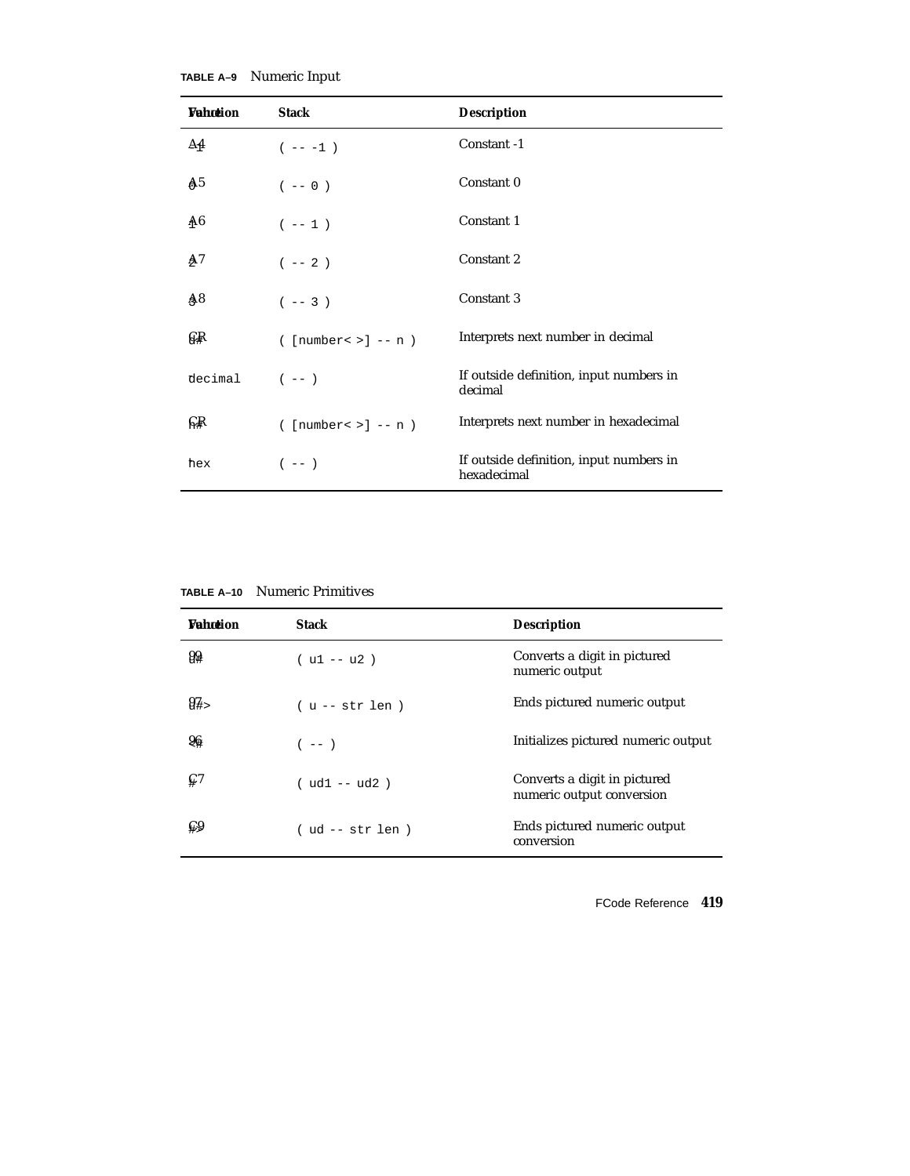| Wahœion        | <b>Stack</b>                                          | <b>Description</b>                                     |
|----------------|-------------------------------------------------------|--------------------------------------------------------|
| Δ4             | $(- - - 1)$                                           | Constant -1                                            |
| A <sub>5</sub> | $(- - 0)$                                             | Constant 0                                             |
| A6             | $(- - 1)$                                             | Constant 1                                             |
| Ą7             | $( \hspace{.1cm} - - \hspace{.1cm} 2 \hspace{.1cm} )$ | Constant 2                                             |
| Ą8             | $(- - 3)$                                             | Constant 3                                             |
| G₽             | $(\lceil \text{number} \cdot \rangle \rceil$ -- n $)$ | Interprets next number in decimal                      |
| decimal        | $(- - )$                                              | If outside definition, input numbers in<br>decimal     |
| ନ୍∦            | $(\text{number} > ] -- n)$                            | Interprets next number in hexadecimal                  |
| hex            | $(- - )$                                              | If outside definition, input numbers in<br>hexadecimal |

**TABLE A–10** Numeric Primitives

| <b><i>Vahation</i></b>       | Stack             | <b>Description</b>                                        |
|------------------------------|-------------------|-----------------------------------------------------------|
| 99                           | $( u1 - u2 )$     | Converts a digit in pictured<br>numeric output            |
| $94 -$                       | $(u - - str len)$ | Ends pictured numeric output                              |
| 96                           | $(- - )$          | Initializes pictured numeric output                       |
| $\operatorname{\mathsf{C}}7$ | $( ud1 - - ud2 )$ | Converts a digit in pictured<br>numeric output conversion |
| ⊊9                           | ( ud -- str len ) | Ends pictured numeric output<br>conversion                |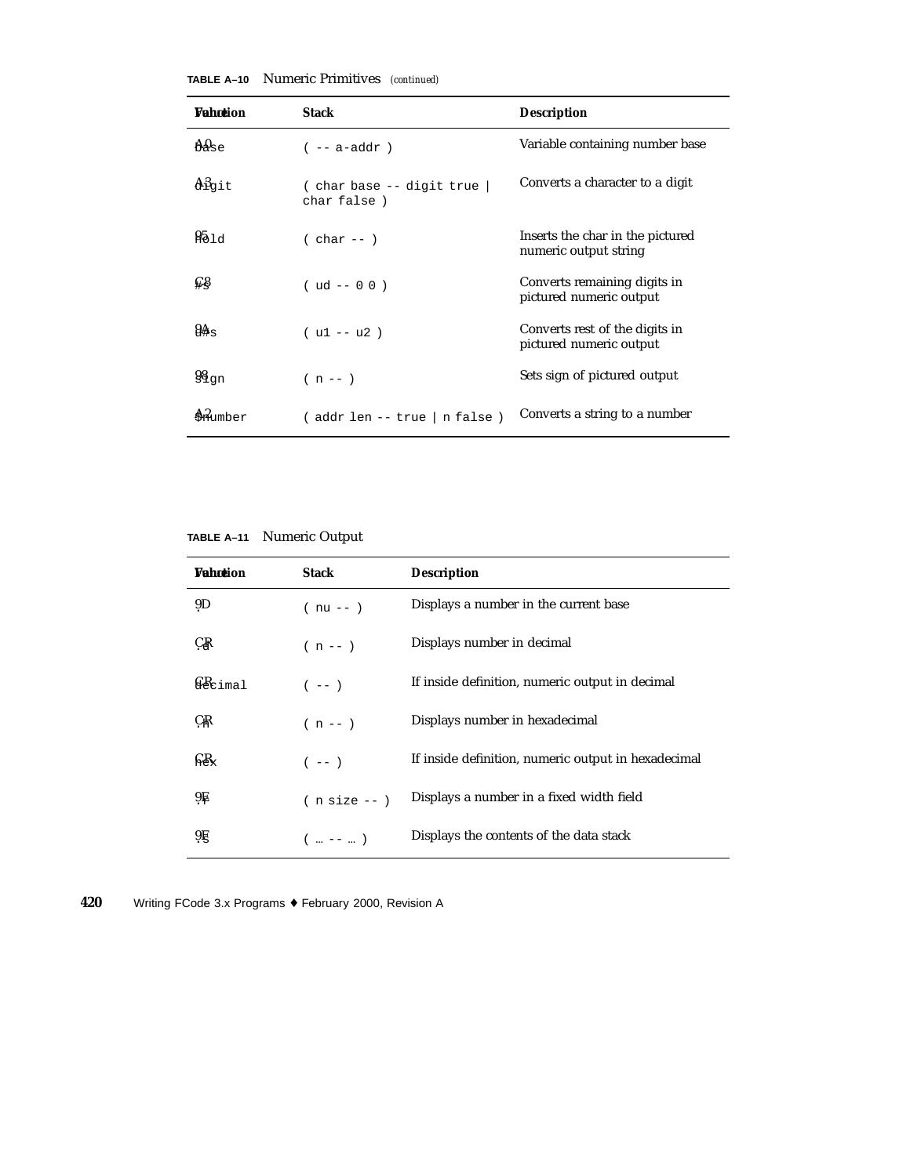| <b>Vahction</b>             | <b>Stack</b>                              | <b>Description</b>                                        |
|-----------------------------|-------------------------------------------|-----------------------------------------------------------|
| $\mathrm{Ad}_{\mathrm{Se}}$ | $(- - a - addr)$                          | Variable containing number base                           |
| $\mathbb{A}^3$ git          | (char base -- digit true  <br>char false) | Converts a character to a digit                           |
| 951d                        | $( char -- )$                             | Inserts the char in the pictured<br>numeric output string |
| ⊊§                          | $( ud -- 0 0 )$                           | Converts remaining digits in<br>pictured numeric output   |
| $9\mathbb{A}_{\mathbb{S}}$  | $( u1 - u2 )$                             | Converts rest of the digits in<br>pictured numeric output |
| $98_{\text{gn}}$            | $(n - - )$                                | Sets sign of pictured output                              |
| Animber                     | (addr len -- true   n false )             | Converts a string to a number                             |

**TABLE A–10** Numeric Primitives *(continued)*

**TABLE A–11** Numeric Output

| <b>Vahotion</b>   | <b>Stack</b>  | <b>Description</b>                                  |
|-------------------|---------------|-----------------------------------------------------|
| 9D                | $(nu - )$     | Displays a number in the current base               |
| JŖ                | $(n - - )$    | Displays number in decimal                          |
| $\Omega$ cimal    | $(- - )$      | If inside definition, numeric output in decimal     |
| CŖ                | $(n - 1)$     | Displays number in hexadecimal                      |
| $\mathbb{R}R_{x}$ | $(- - )$      | If inside definition, numeric output in hexadecimal |
| 9Ę.               | $(n size --)$ | Displays a number in a fixed width field            |
| 9Ę                | $($ --  )     | Displays the contents of the data stack             |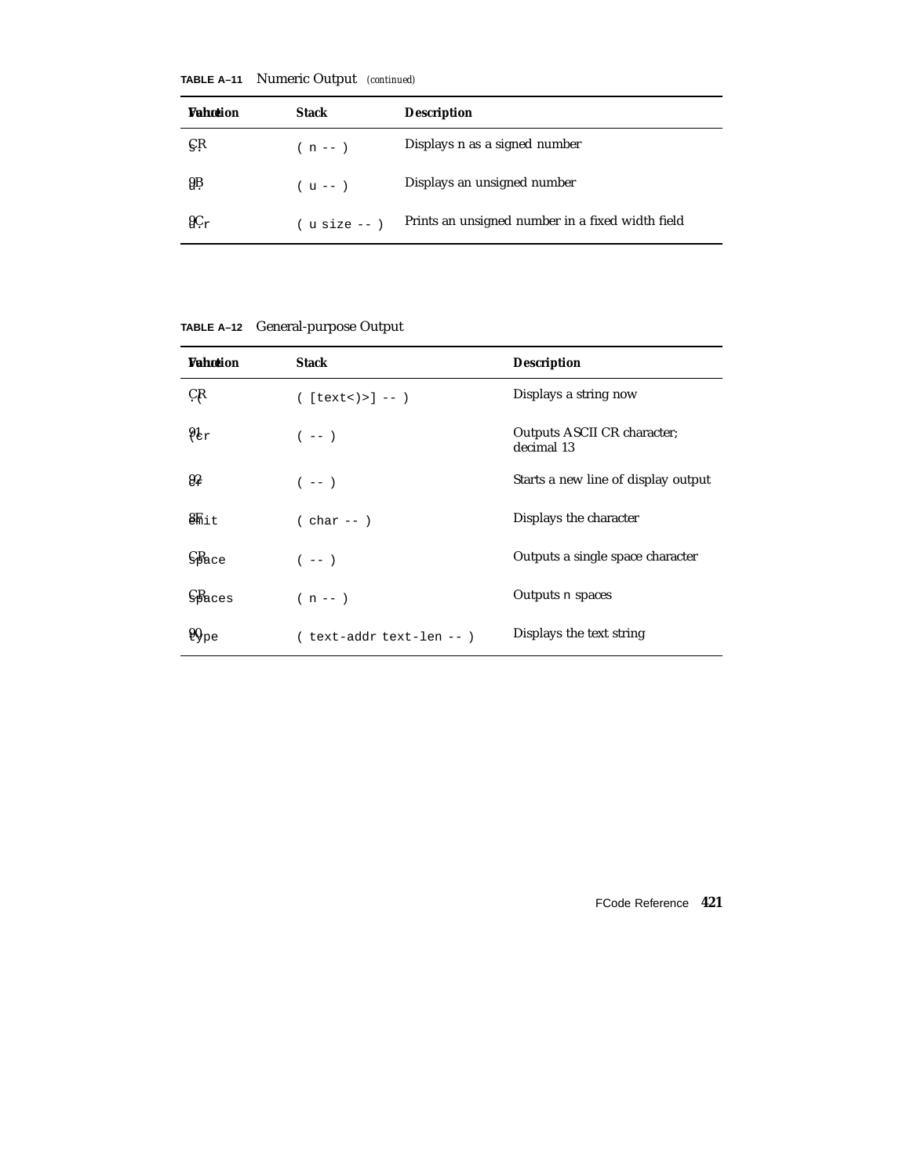|          | TABLE A-11 Numeric Output (continued) |                    |  |
|----------|---------------------------------------|--------------------|--|
| Wahntion | <b>Stack</b>                          | <b>Description</b> |  |

| <b><i>Vahntion</i></b> | <b>Stack</b>      | <b>Description</b>                               |
|------------------------|-------------------|--------------------------------------------------|
| ÇŖ                     | $(n - - )$        | Displays n as a signed number                    |
| 9B                     | $(u - - )$        | Displays an unsigned number                      |
| $9C_{r}$               | $($ u size -- $)$ | Prints an unsigned number in a fixed width field |

**TABLE A–12** General-purpose Output

| <b>Vahotion</b>                           | <b>Stack</b>              | <b>Description</b>                        |
|-------------------------------------------|---------------------------|-------------------------------------------|
| CR                                        | $([textx) > ] -- )$       | Displays a string now                     |
| $9k_r$                                    | $(- - )$                  | Outputs ASCII CR character;<br>decimal 13 |
| 92                                        | $(- - )$                  | Starts a new line of display output       |
| $\mathbf{8}$ hit                          | $(\text{char}-\cdot)$     | Displays the character                    |
| S <sub>Bace</sub>                         | $(- - )$                  | Outputs a single space character          |
| $\mathbb{S}$ Baces                        | $(n - 1)$                 | Outputs n spaces                          |
| $\mathfrak{g}_{\mathbb{Q}_{\mathrm{DE}}}$ | ( text-addr text-len -- ) | Displays the text string                  |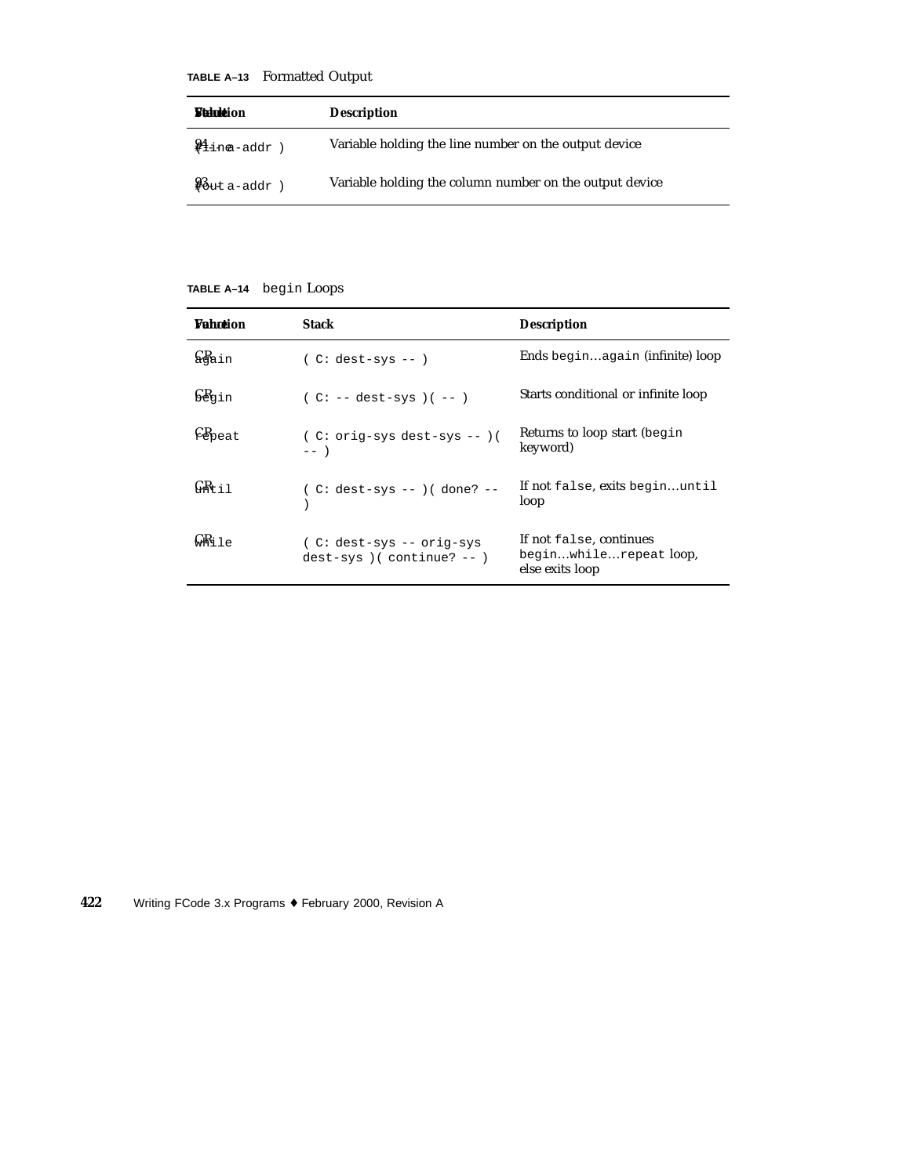#### **TABLE A–13** Formatted Output

| <b><i>Statuttion</i></b>   | <b>Description</b>                                      |
|----------------------------|---------------------------------------------------------|
| $\frac{94}{11}$ inea-addr) | Variable holding the line number on the output device   |
| $\frac{93}{8}$ ut a-addr)  | Variable holding the column number on the output device |

#### **TABLE A–14** begin Loops

| <b>Wahntion</b>   | <b>Stack</b>                                             | <b>Description</b>                                                   |
|-------------------|----------------------------------------------------------|----------------------------------------------------------------------|
| &ain              | $(C: dest-sys --)$                                       | Ends beginagain (infinite) loop                                      |
| begin             | $(C: -- dest-sys)$ $(--)$                                | Starts conditional or infinite loop                                  |
| $E_{\text{Peat}}$ | $(C: orig-sys dest-sys -- )$<br>$---$                    | Returns to loop start (begin<br>keyword)                             |
| GR+ i ⊺           | $(C: dest-sys --) ( done? --)$                           | If not false, exits beginuntil<br>loop                               |
| G¥ki1e            | (C: dest-sys -- orig-sys<br>$dest-sys$ ) (continue? -- ) | If not false, continues<br>beginwhilerepeat loop,<br>else exits loop |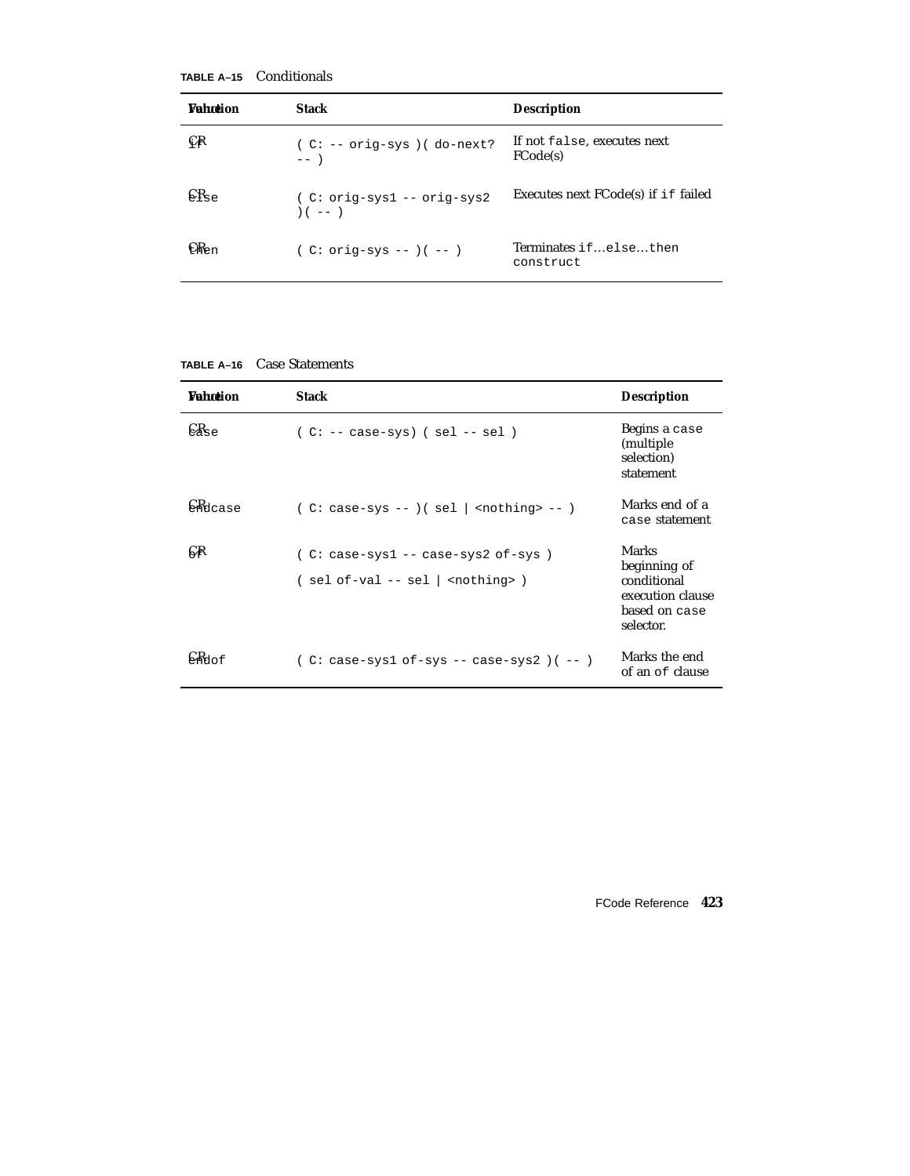**TABLE A–15** Conditionals

| <b>Wahntion</b> | Stack                                     | <b>Description</b>                      |
|-----------------|-------------------------------------------|-----------------------------------------|
| ÇŖ              | $(C: -- orig-sys) (do-next?$<br>$---$     | If not false, executes next<br>FCode(s) |
| $CR_{\rm SP}$   | $(C: orig-sys1 -- orig-sys2$<br>$( - - )$ | Executes next FCode(s) if if failed     |
| $CR_{\rm en}$   | $(C: orig-sys --)( --)$                   | Terminates ifelsethen<br>construct      |

| <b>Wahntion</b>  | <b>Stack</b>                                                  | <b>Description</b>                                                                            |
|------------------|---------------------------------------------------------------|-----------------------------------------------------------------------------------------------|
| $CR_{\rm S}$     | $(C: -- cases-sys)$ (sel -- sel)                              | Begins a case<br>(multiple)<br>selection)<br>statement                                        |
| CRdcase          | $(C: case-sys --)( sel   nothing > --)$                       | Marks end of a<br>case statement                                                              |
| Ģ₽               | (C: case-sys1 -- case-sys2 of-sys)<br>$(sel of-val -- sel  )$ | <b>Marks</b><br>beginning of<br>conditional<br>execution clause<br>based on case<br>selector. |
| $\mathsf{K}$ Mof | $(C: case-sys1 of-sys -- case-sys2)$ $(--)$                   | Marks the end<br>of an of clause                                                              |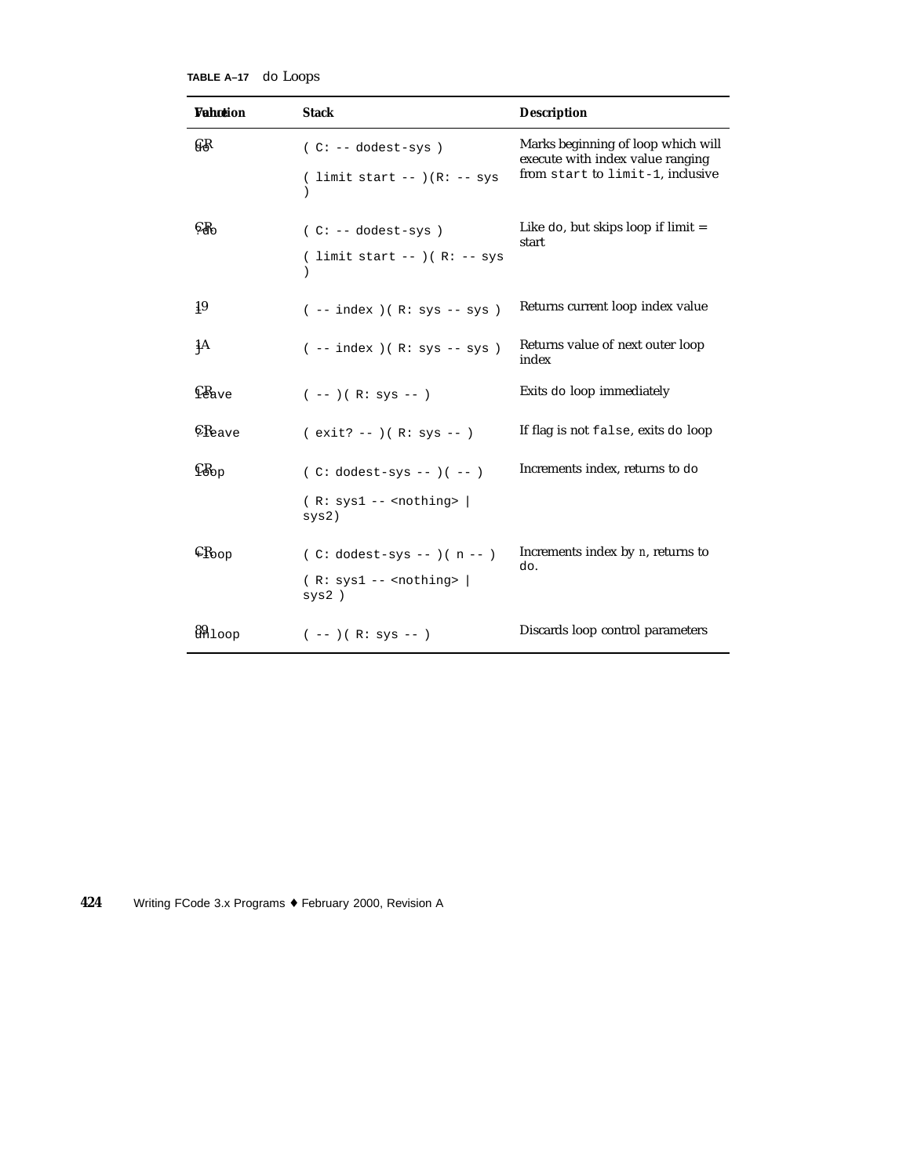| TABLE A-17 | do Loops |
|------------|----------|
|------------|----------|

| Wahotion                             | <b>Stack</b>                      | <b>Description</b>                                                     |
|--------------------------------------|-----------------------------------|------------------------------------------------------------------------|
| GŖ                                   | $(C: -- dodest-sys)$              | Marks beginning of loop which will<br>execute with index value ranging |
|                                      | ( limit start -- ) $(R: -$ sys    | from start to limit-1, inclusive                                       |
| $C_{\rm 1}$                          | $(C: -- dodest-sys)$              | Like $d\circ$ , but skips loop if limit $=$<br>start                   |
|                                      | ( limit start -- ) ( $R:$ -- sys  |                                                                        |
| $^{19}$                              | $(- - index) ( R: sys -- sys )$   | Returns current loop index value                                       |
| 4А                                   | $(- - index) ( R: sys - sys )$    | Returns value of next outer loop<br>index                              |
| $\operatorname{\mathbb{C}}$ lave     | $(--)$ ( R: sys -- )              | Exits do loop immediately                                              |
| $\epsilon_{\rm Reave}$               | $(exit? --)(R: sys --)$           | If flag is not false, exits do loop                                    |
| $\mathbb{C}\mathbb{B}_{\mathrm{op}}$ | $(C: dodest-sys --)( --)$         | Increments index, returns to do                                        |
|                                      | $(R: sys1 -- condition)$<br>sys2) |                                                                        |
| $\mathfrak{c}_{\rm{Koop}}$           | $(C: dodest-sys --)(n --)$        | Increments index by $n$ , returns to<br>do.                            |
|                                      | $(R: sys1 -- condition)$<br>sys2) |                                                                        |
| 89100p                               | $(--)$ ( R: sys -- )              | Discards loop control parameters                                       |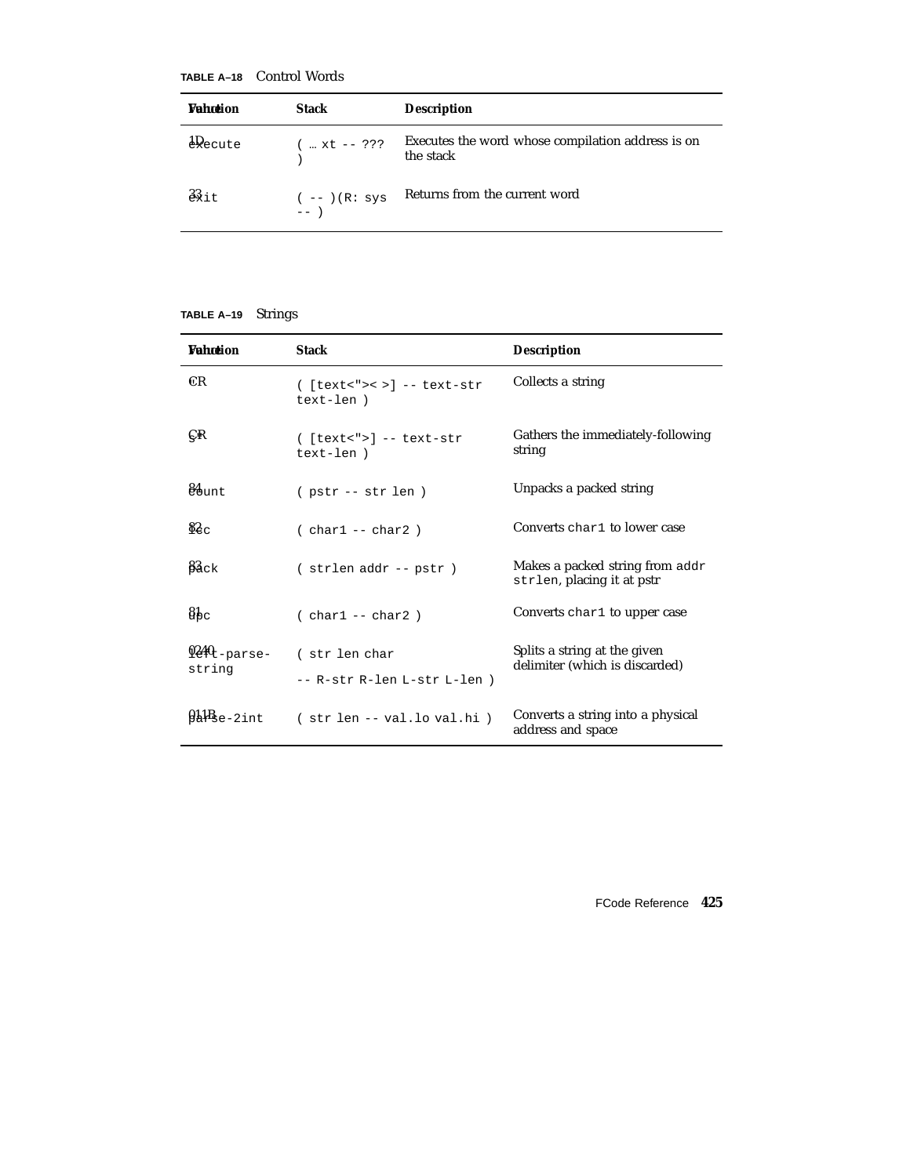**TABLE A–18** Control Words

| <b>Wahntion</b>      | <b>Stack</b>            | <b>Description</b>                                             |
|----------------------|-------------------------|----------------------------------------------------------------|
| $\frac{1}{2}Q$ ecute | $($ $xt$ -- ???         | Executes the word whose compilation address is on<br>the stack |
| $33 +$               | $(--)$ (R: sys<br>$---$ | Returns from the current word                                  |

#### **TABLE A–19** Strings

| <b>Wahntion</b>                     | <b>Stack</b>                                  | <b>Description</b>                                             |
|-------------------------------------|-----------------------------------------------|----------------------------------------------------------------|
| <b>CR</b>                           | $($ [text<">< >] -- text-str<br>text-len)     | Collects a string                                              |
| ÇR                                  | $($ [text<">] -- text-str<br>text-len)        | Gathers the immediately-following<br>string                    |
| $84$ unt                            | $(pstr - str len)$                            | Unpacks a packed string                                        |
| $\Omega_{\rm{c}}$                   | $(char1 - char2)$                             | Converts char1 to lower case                                   |
| $\beta_{\rm 3ck}$                   | (strlen addr -- pstr)                         | Makes a packed string from addr<br>strlen, placing it at pstr  |
| $\delta_{\rm{pc}}$                  | $( char1 - char2)$                            | Converts char1 to upper case                                   |
| $9240$ <sub>-parse-</sub><br>string | (str len char<br>-- R-str R-len L-str L-len ) | Splits a string at the given<br>delimiter (which is discarded) |
| $9a$ $4b$ $e-2$ int                 | (str len -- val.lo val.hi)                    | Converts a string into a physical<br>address and space         |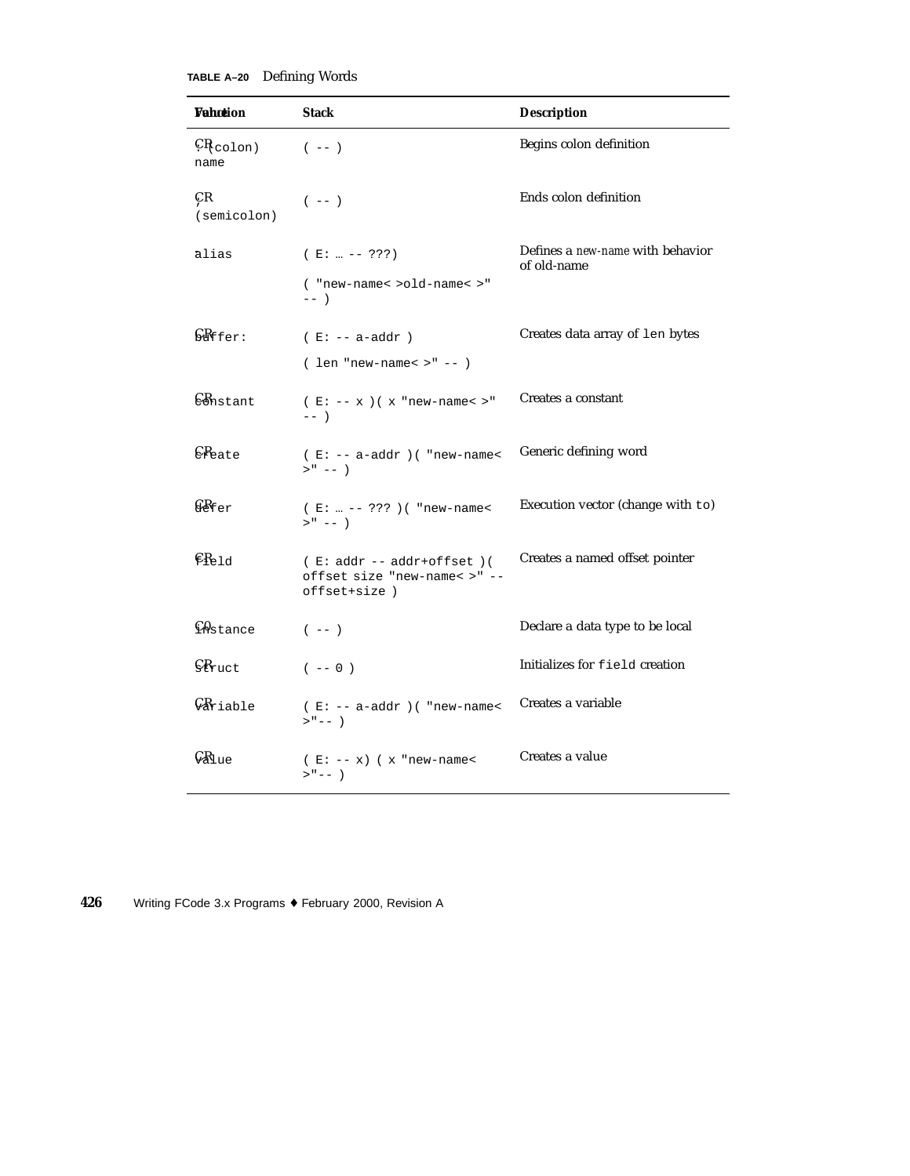**TABLE A–20** Defining Words

| <b>Vahction</b>                  | <b>Stack</b>                                                                 | <b>Description</b>                              |
|----------------------------------|------------------------------------------------------------------------------|-------------------------------------------------|
| $CR_{\rm colon}$<br>name         | $(- - )$                                                                     | Begins colon definition                         |
| ÇR<br>(semicolon)                | $(- - )$                                                                     | Ends colon definition                           |
| ālias                            | $(E:  --- ???)$                                                              | Defines a new-name with behavior<br>of old-name |
|                                  | ( "new-name< >old-name< >"<br>$---$                                          |                                                 |
| $S_{\text{eff}}$ fer:            | $(E: -- a-addr)$                                                             | Creates data array of len bytes                 |
|                                  | $( len "new-name < > " -- )$                                                 |                                                 |
| $\mathcal{C}$ <i>Anstant</i>     | $(E: -- x)(x "new-name < > "$<br>$---$                                       | Creates a constant                              |
| CReate                           | $( E: -- a-addr )$ ( "new-name<<br>$>$ <sup>n</sup> -- $)$                   | Generic defining word                           |
| $68$ fer                         | $(E:  --- ??? )$ ( "new-name<<br>$>$ " -- )                                  | Execution vector (change with to)               |
| $\epsilon_{R_{\rm P1d}}$         | $(E: addr -- addr+offset)$ (<br>offset size "new-name< >" --<br>offset+size) | Creates a named offset pointer                  |
| <b>CA</b> stance                 | $(- - )$                                                                     | Declare a data type to be local                 |
| $\mathcal{S}_{\text{fruct}}$     | $(- - 0)$                                                                    | Initializes for field creation                  |
| $\mathcal{G}_{\texttt{Ariable}}$ | $( E: -- a-addr ) ( "new-name <$<br>$>$ " -- )                               | Creates a variable                              |
| $\mathcal{G}R_{\text{lue}}$      | $(E: -- x)$ (x "new-name<<br>$>$ " -- )                                      | Creates a value                                 |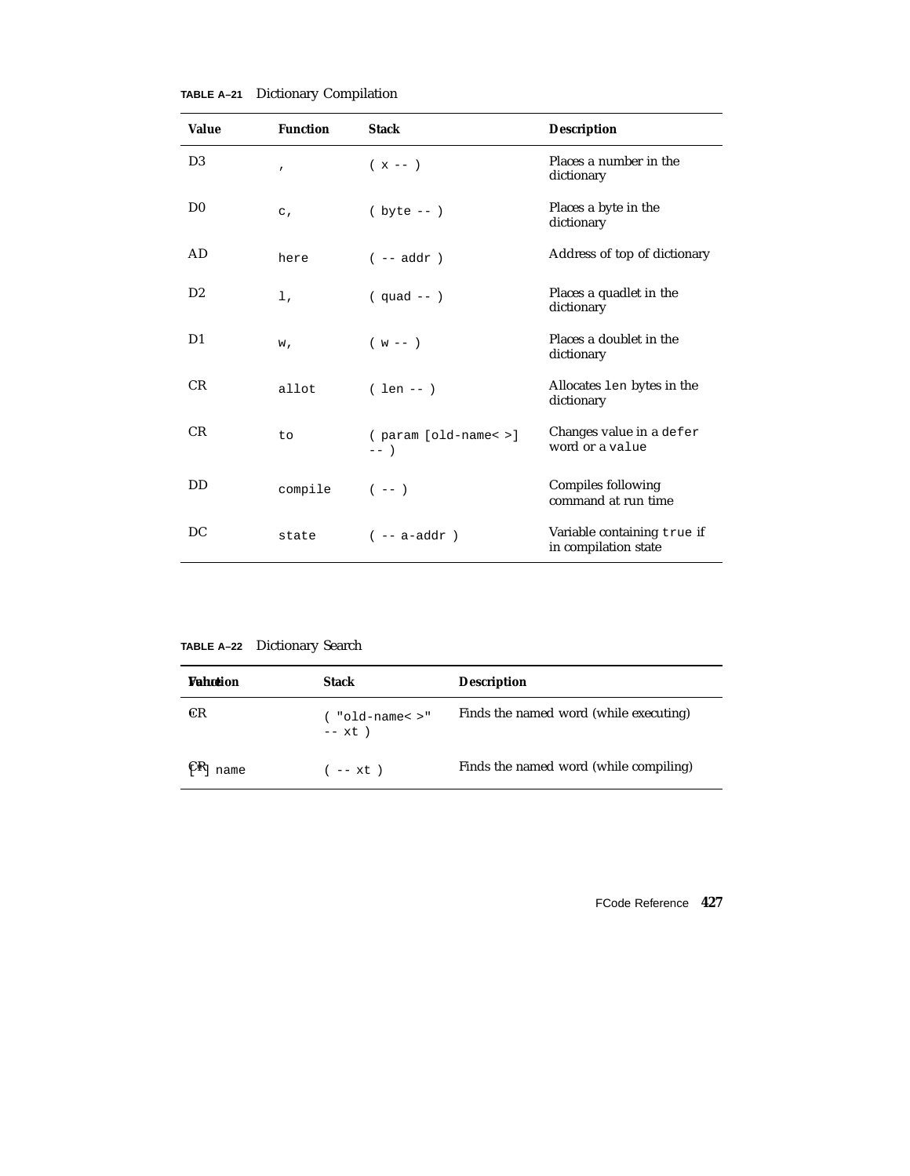| <b>Value</b>   | <b>Function</b> | <b>Stack</b>                      | <b>Description</b>                                  |
|----------------|-----------------|-----------------------------------|-----------------------------------------------------|
| D <sub>3</sub> | $\mathbf{r}$    | $(x - - )$                        | Places a number in the<br>dictionary                |
| D <sub>0</sub> | $\mathsf{C}$ ,  | $(\text{byte} --)$                | Places a byte in the<br>dictionary                  |
| AD.            | here            | $(- - addr)$                      | Address of top of dictionary                        |
| D <sub>2</sub> | 1,              | $(quad --)$                       | Places a quadlet in the<br>dictionary               |
| D1             | w,              | $(w - -)$                         | Places a doublet in the<br>dictionary               |
| <b>CR</b>      | allot           | $( len -- )$                      | Allocates len bytes in the<br>dictionary            |
| <b>CR</b>      | to              | $(parrow)$ [old-name< >]<br>$---$ | Changes value in a defer<br>word or a value         |
| DD.            | compile         | $(- - - )$                        | Compiles following<br>command at run time           |
| DC             | state           | $(- - a - addr)$                  | Variable containing true if<br>in compilation state |

**TABLE A–21** Dictionary Compilation

**TABLE A–22** Dictionary Search

| Wahntion | <b>Stack</b>                   | <b>Description</b>                     |
|----------|--------------------------------|----------------------------------------|
| ŒR       | ( "old-name< >"<br>$--$ xt $)$ | Finds the named word (while executing) |
| name     | $(- - x t)$                    | Finds the named word (while compiling) |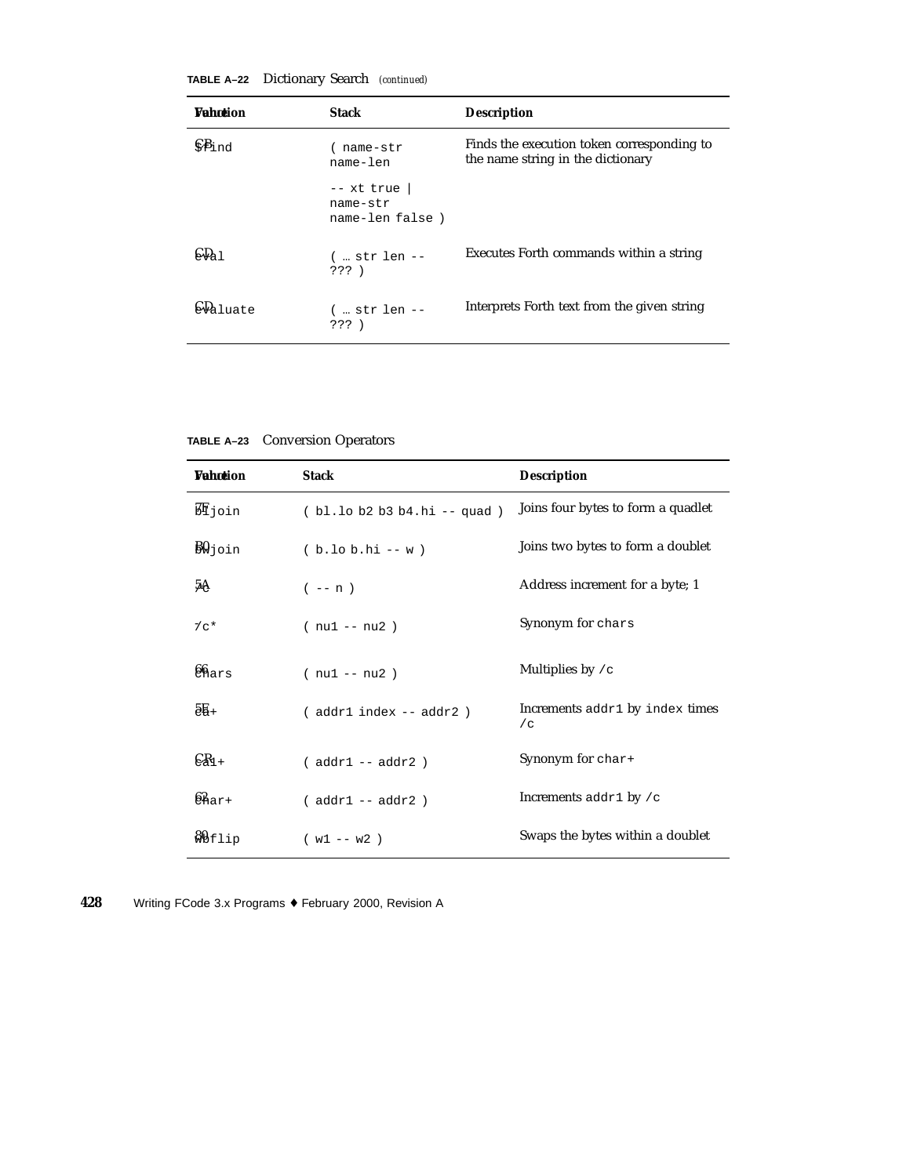| TABLE A-22 | Dictionary Search (continued) |  |  |
|------------|-------------------------------|--|--|
|------------|-------------------------------|--|--|

| <b>Wahntion</b>            | <b>Stack</b>                                | <b>Description</b>                                                              |
|----------------------------|---------------------------------------------|---------------------------------------------------------------------------------|
| $\mathcal{S}_{\text{End}}$ | name-str<br>name-len                        | Finds the execution token corresponding to<br>the name string in the dictionary |
|                            | $--$ xt true<br>name-str<br>name-len false) |                                                                                 |
|                            | $($ str len --<br>$???$ )                   | Executes Forth commands within a string                                         |
| $\omega_{\text{a}1}$       | $($ str len $--$<br>333)                    | Interprets Forth text from the given string                                     |

**TABLE A–23** Conversion Operators

| Wahntion            | <b>Stack</b>               | <b>Description</b>                       |
|---------------------|----------------------------|------------------------------------------|
| ЮI join             | (bl.lob2b3b4.hi -- quad)   | Joins four bytes to form a quadlet       |
| $B\!\emptyset$ join | $(b.10 b.hi - w)$          | Joins two bytes to form a doublet        |
| 5A                  | $(- - n)$                  | Address increment for a byte; 1          |
| $7c*$               | $(nu1 - nu2)$              | Synonym for chars                        |
| 66 <sub>hars</sub>  | $(nu1 - nu2)$              | Multiplies by $/c$                       |
| $5E +$              | (addr1 index -- addr2)     | Increments addr1 by index times<br>/c    |
| $\epsilon_{1+}$     | $($ addr $1$ -- addr $2$ ) | Synonym for char+                        |
| $62_{\text{a}r+}$   | $(addr1 - addr2)$          | Increments $\text{addr1 by } / \text{c}$ |
| <b>&amp;</b> bflip  | $(w1 - w2)$                | Swaps the bytes within a doublet         |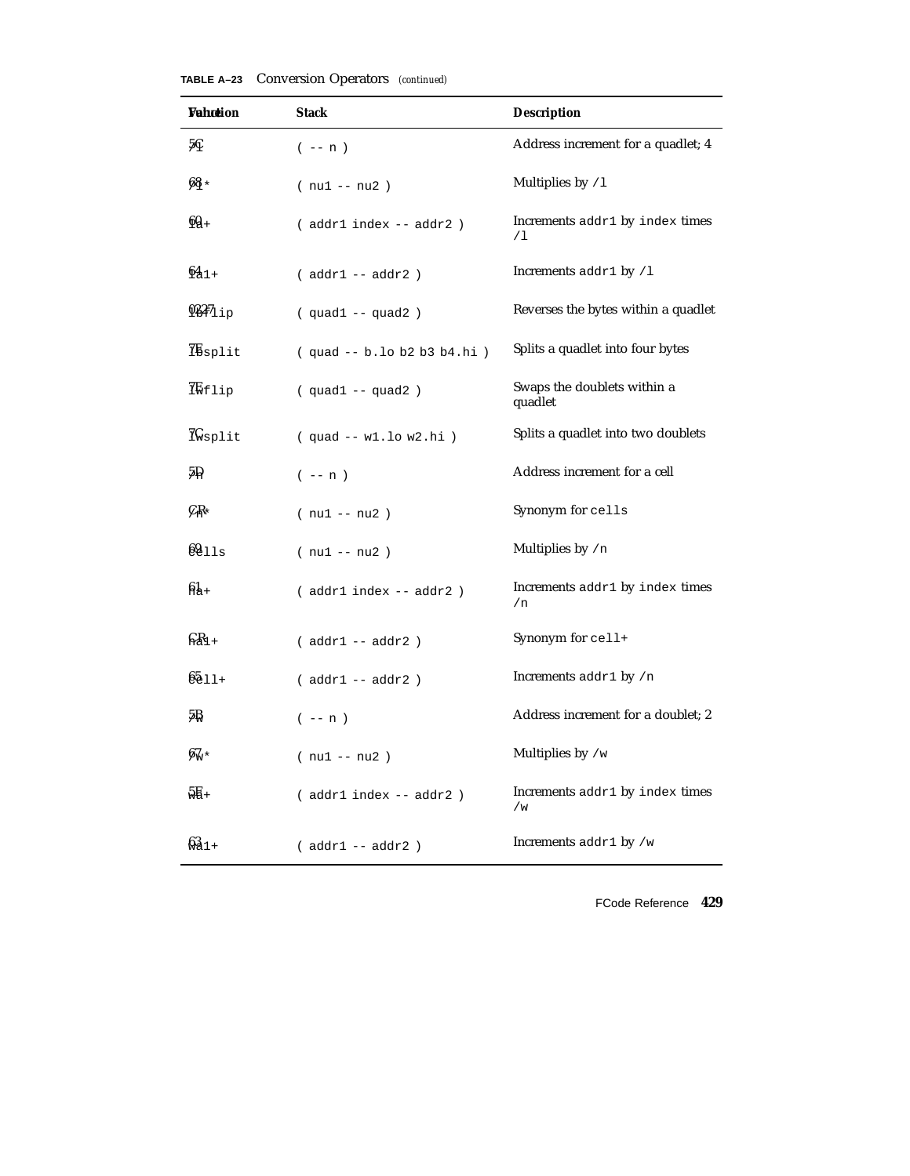| Wahœion                      | <b>Stack</b>                   | <b>Description</b>                       |
|------------------------------|--------------------------------|------------------------------------------|
| 5Ç                           | $(- - n)$                      | Address increment for a quadlet; 4       |
| $68*$                        | $(nu1 - nu2)$                  | Multiplies by /1                         |
| $6Q+$                        | (addr1 index -- addr2)         | Increments addr1 by index times<br>/1    |
| $641+$                       | $(addr1 - addr2)$              | Increments $\text{addr1 by } / \text{1}$ |
| $937_{1ip}$                  | $(quad 1 -- quad 2)$           | Reverses the bytes within a quadlet      |
| Ibsplit                      | $(quad -- b. lo b2 b3 b4.hi )$ | Splits a quadlet into four bytes         |
| <b>I</b> Wflip               | $(quad 1 -- quad 2)$           | Swaps the doublets within a<br>quadlet   |
| $\mathcal{H}_{\text{split}}$ | $(quad -- w1.lo w2.hi)$        | Splits a quadlet into two doublets       |
| 5P                           | $(- - n)$                      | Address increment for a cell             |
| $C_{\rm I}$ r                | $(nu1 - nu2)$                  | Synonym for cells                        |
| 6911s                        | $(nu1 - nu2)$                  | Multiplies by /n                         |
| $6k +$                       | (addr1 index -- addr2)         | Increments addr1 by index times<br>/n    |
| $GR_{1+}$                    | $(addr1 - addr2)$              | Synonym for cell+                        |
| $6511 +$                     | $(addr1 - addr2)$              | Increments addr1 by /n                   |
| 5₿                           | $(- - n)$                      | Address increment for a doublet; 2       |
| $6\%*$                       | $(nu1 - nu2)$                  | Multiplies by $/w$                       |
| $5E +$                       | ( addr1 index -- addr2 )       | Increments addr1 by index times<br>/w    |
| $631+$                       | $(addr1 - addr2)$              | Increments $\text{addr1 by } / \text{w}$ |

**TABLE A–23** Conversion Operators *(continued)*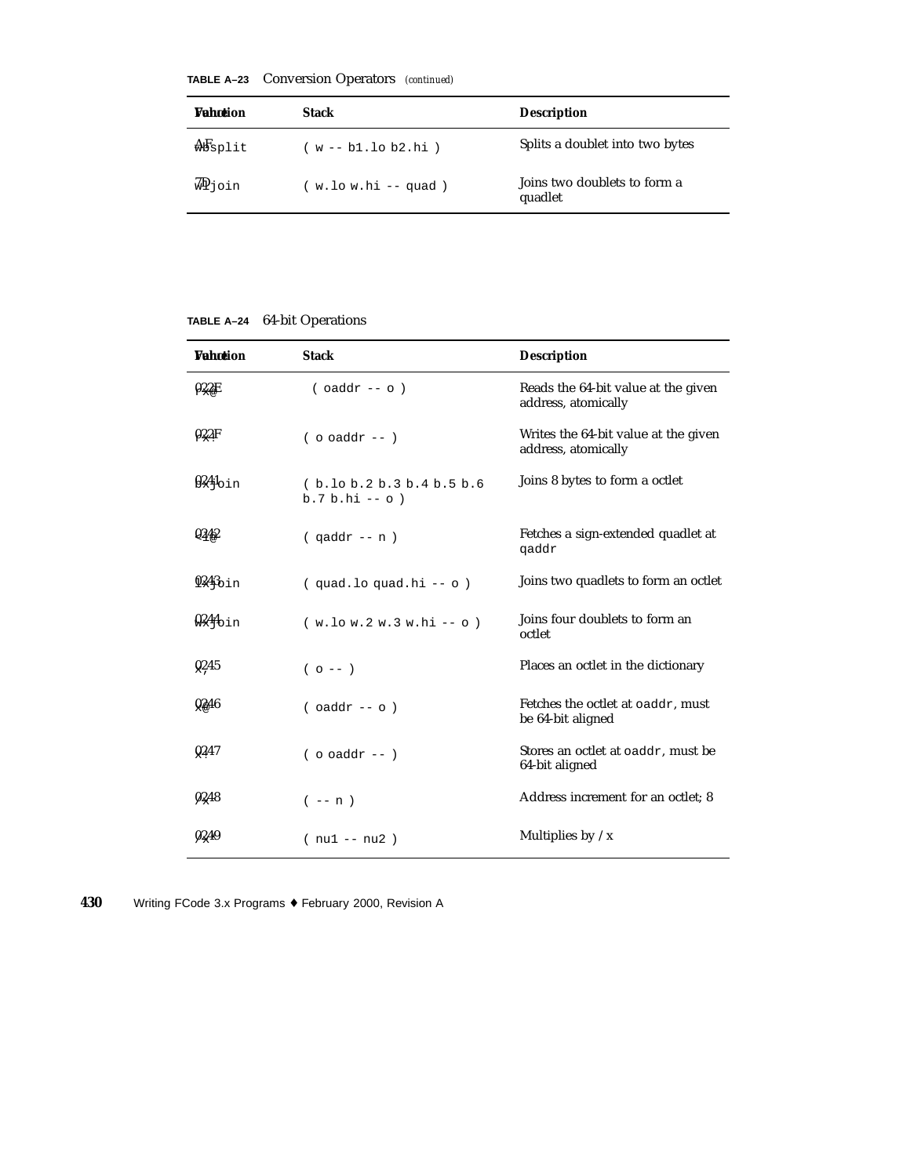|  | <b>TABLE A-23</b> Conversion Operators (continued) |  |  |
|--|----------------------------------------------------|--|--|
|--|----------------------------------------------------|--|--|

| <b>Wahntion</b> | <b>Stack</b>          | <b>Description</b>                      |
|-----------------|-----------------------|-----------------------------------------|
| $\frac{1}{2}$   | $(w - b1.10 b2.hi)$   | Splits a doublet into two bytes         |
| ∛ Pioin         | $(w.lo w.hi -- quad)$ | Joins two doublets to form a<br>quadlet |

#### **TABLE A–24** 64-bit Operations

| <b><i>Vahotion</i></b> | <b>Stack</b>                                  | <b>Description</b>                                          |
|------------------------|-----------------------------------------------|-------------------------------------------------------------|
| 922E                   | $($ oaddr -- o $)$                            | Reads the 64-bit value at the given<br>address, atomically  |
| 022F                   | $($ o oaddr -- $)$                            | Writes the 64-bit value at the given<br>address, atomically |
| $924$ oin              | (b.10 b.2 b.3 b.4 b.5 b.6<br>$b.7 b.hi -- o)$ | Joins 8 bytes to form a octlet                              |
| Q342                   | $($ qaddr -- n $)$                            | Fetches a sign-extended quadlet at<br>qaddr                 |
| $9243$ bin             | (quad.loquad.hi -- o)                         | Joins two quadlets to form an octlet                        |
| 0244 <sub>0in</sub>    | $(w.lo w.2 w.3 w.hi -o)$                      | Joins four doublets to form an<br>octlet                    |
| Q <sub>2</sub> 45      | $(0 - -)$                                     | Places an octlet in the dictionary                          |
| 0246                   | $($ oaddr -- o $)$                            | Fetches the octlet at oaddr, must<br>be 64-bit aligned      |
| Q <sub>2</sub> 47      | $($ o oaddr -- $)$                            | Stores an octlet at oaddr, must be<br>64-bit aligned        |
| 0248                   | $(- - n)$                                     | Address increment for an octlet; 8                          |
| 0249                   | $(nu1 - nu2)$                                 | Multiplies by $/x$                                          |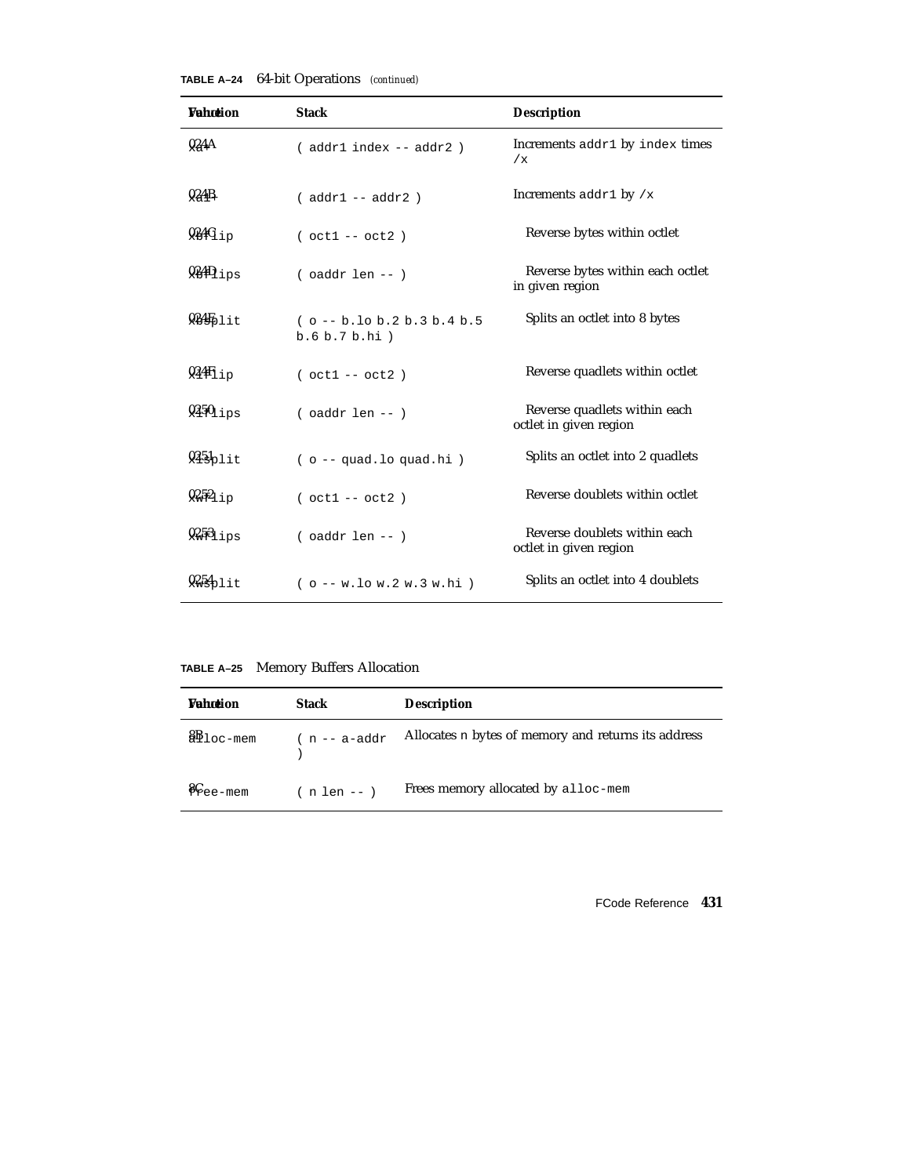| TABLE A-24 |  | 64-bit Operations (continued) |  |
|------------|--|-------------------------------|--|
|------------|--|-------------------------------|--|

| <b>Vahotion</b>   | <b>Stack</b>                                  | <b>Description</b>                                     |
|-------------------|-----------------------------------------------|--------------------------------------------------------|
| 924A              | $( addr1 index -- addr2)$                     | Increments addr1 by index times<br>/x                  |
| 0,4B              | $(addr1 - addr2)$                             | Increments addr1 by $/x$                               |
| $934G_{1p}$       | $( oct1 -- oct2 )$                            | Reverse bytes within octlet                            |
| $9.449_{1PS}$     | $($ oaddr len $--$ )                          | Reverse bytes within each octlet<br>in given region    |
| 9355              | $(o - b.$ lo b.2 b.3 b.4 b.5<br>b.6 b.7 b.hi) | Splits an octlet into 8 bytes                          |
| $94\text{f}_{1p}$ | $( oct1 -- oct2)$                             | Reverse quadlets within octlet                         |
| $9450$ ips        | $($ oaddr len -- $)$                          | Reverse quadlets within each<br>octlet in given region |
| $945$ plit        | $( o -quad.lo quad.hi )$                      | Splits an octlet into 2 quadlets                       |
| $9.52_{1p}$       | $( oct1 -- oct2 )$                            | Reverse doublets within octlet                         |
| $9.351_{1PS}$     | $($ oaddr len $--$ )                          | Reverse doublets within each<br>octlet in given region |
| 9256              | $( o - w$ . low. 2 w. 3 w. hi)                | Splits an octlet into 4 doublets                       |

**TABLE A–25** Memory Buffers Allocation

| <b>Vahotion</b>                 | Stack            | <b>Description</b>                                  |
|---------------------------------|------------------|-----------------------------------------------------|
| $\mathbf{80}$ loc-mem           | $(n - a - addr)$ | Allocates n bytes of memory and returns its address |
| $\mathcal{E}_{\mathsf{ee-mem}}$ | $(n len --)$     | Frees memory allocated by alloc-mem                 |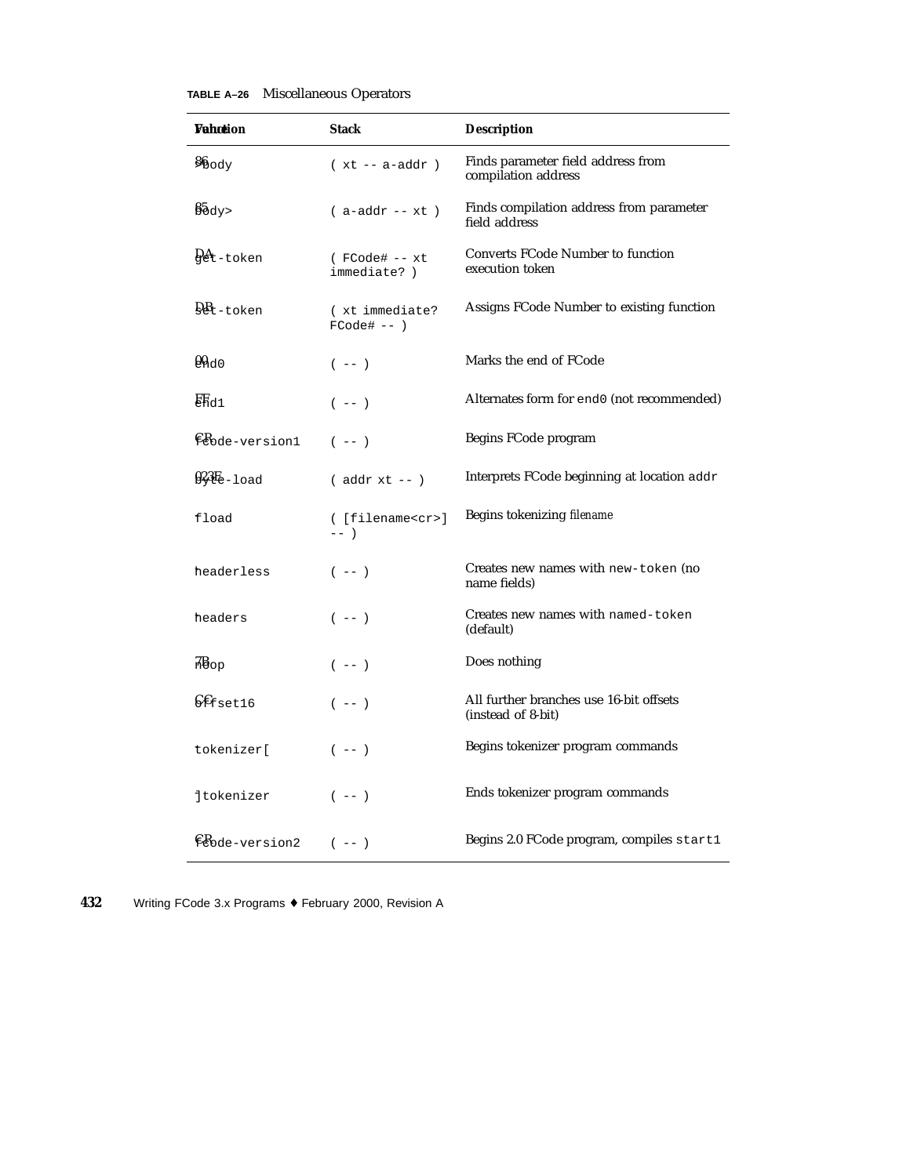|  | <b>TABLE A-26</b> Miscellaneous Operators |  |
|--|-------------------------------------------|--|
|--|-------------------------------------------|--|

| Wahotion                      | <b>Stack</b>                               | <b>Description</b>                                            |
|-------------------------------|--------------------------------------------|---------------------------------------------------------------|
| $\frac{6}{90}$ ody            | $(xt - a - addr)$                          | Finds parameter field address from<br>compilation address     |
| $\frac{85}{3}$ dy>            | $(a-addr - xt)$                            | Finds compilation address from parameter<br>field address     |
| $94t$ -token                  | (FCode# -- xt<br>immediate?)               | <b>Converts FCode Number to function</b><br>execution token   |
| $Q_{t-token}$                 | (xt immediate?<br>$FCode# -- )$            | Assigns FCode Number to existing function                     |
| $Q_{\text{Ad}}$               | $(- - )$                                   | Marks the end of FCode                                        |
| ER <sub>d1</sub>              | $(- - )$                                   | Alternates form for end0 (not recommended)                    |
| Ecode-version1                | $(- - )$                                   | Begins FCode program                                          |
| $92E_{e-1}$ oad               | $($ addr $xt$ -- $)$                       | Interprets FCode beginning at location addr                   |
| fload                         | ([filename <cr>]<br/><math>---</math></cr> | Begins tokenizing filename                                    |
| headerless                    | $(- - )$                                   | Creates new names with new-token (no<br>name fields)          |
| headers                       | $(- - )$                                   | Creates new names with named-token<br>(default)               |
| $\overline{AB}_{\rm OP}$      | $(- - )$                                   | Does nothing                                                  |
| $\mathcal{E}_{\text{fset16}}$ | $(- - )$                                   | All further branches use 16-bit offsets<br>(instead of 8-bit) |
| tokenizer[                    | $(- - )$                                   | Begins tokenizer program commands                             |
| <b>jtokenizer</b>             | $(- - )$                                   | Ends tokenizer program commands                               |
| Ecode-version2                | $(- - )$                                   | Begins 2.0 FCode program, compiles start1                     |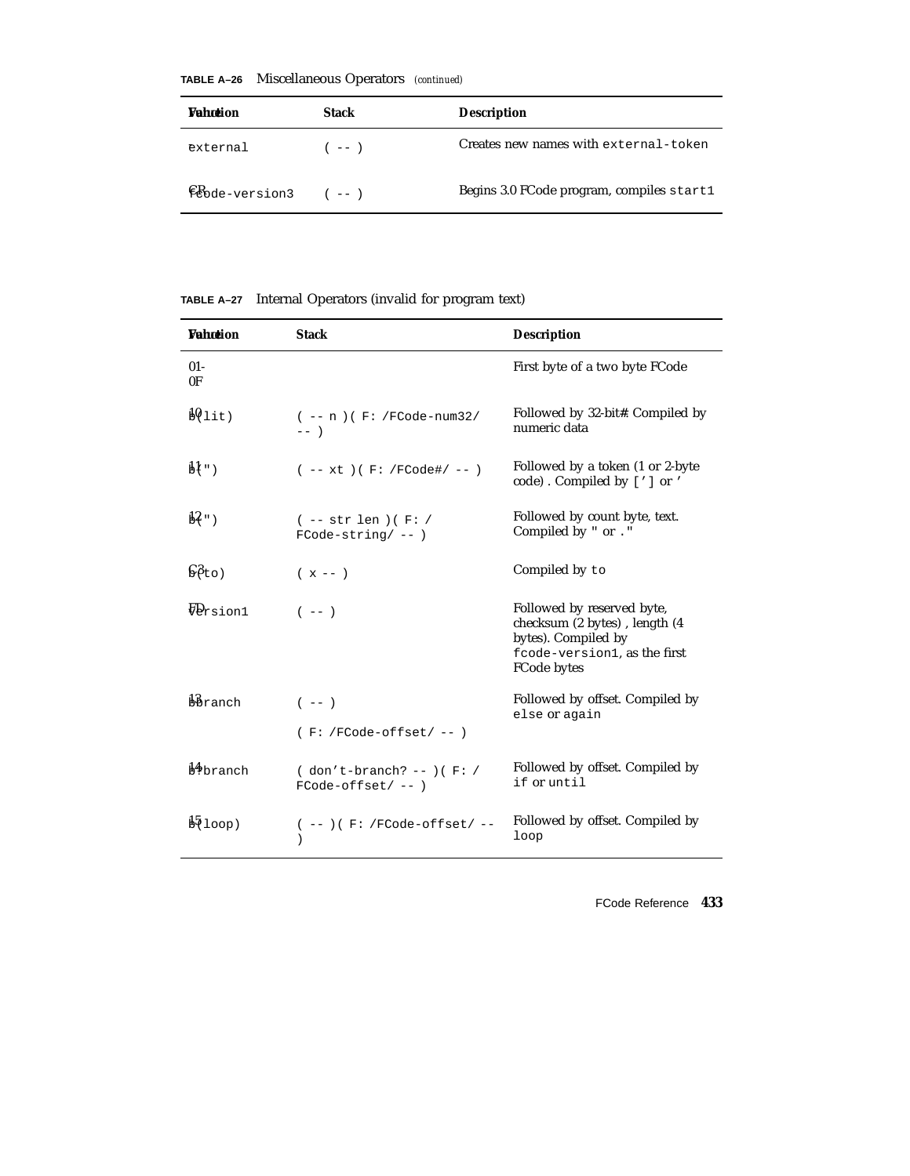| <b>Vahotion</b>        | <b>Stack</b> | <b>Description</b>                        |
|------------------------|--------------|-------------------------------------------|
| external               | $(- - )$     | Creates new names with external-token     |
| $E$ bode-version3 (--) |              | Begins 3.0 FCode program, compiles start1 |

**TABLE A–26** Miscellaneous Operators *(continued)*

| TABLE A-27 |  | Internal Operators (invalid for program text) |  |  |  |  |
|------------|--|-----------------------------------------------|--|--|--|--|
|------------|--|-----------------------------------------------|--|--|--|--|

| <b>Vahotion</b>          | <b>Stack</b>                                        | <b>Description</b>                                                                                                                |
|--------------------------|-----------------------------------------------------|-----------------------------------------------------------------------------------------------------------------------------------|
| $01 -$<br>0 <sup>F</sup> |                                                     | First byte of a two byte FCode                                                                                                    |
| $\frac{10}{2}$ lit)      | $(- - n)$ (F: /FCode-num32/<br>$---$                | Followed by 32-bit#. Compiled by<br>numeric data                                                                                  |
| $M$ ")                   | $(- - xt) (F: /FCode\# / - - )$                     | Followed by a token (1 or 2-byte<br>code). Compiled by ['] or '                                                                   |
| $\mathbf{B}$ ")          | $(- - str len) (F: /$<br>$FCode-string/--)$         | Followed by count byte, text.<br>Compiled by " or . "                                                                             |
| 68t0)                    | $(x - -)$                                           | Compiled by to                                                                                                                    |
| Forsion1                 | $(- - )$                                            | Followed by reserved byte,<br>checksum (2 bytes), length (4<br>bytes). Compiled by<br>fcode-version1, as the first<br>FCode bytes |
| bbranch                  | $(- - - )$                                          | Followed by offset. Compiled by<br>else or again                                                                                  |
|                          | $(F: /FCode-offset / --)$                           |                                                                                                                                   |
| b <sup>4</sup> branch    | $( don't-branch? -- ) ( F: /$<br>$FCode-offset/--)$ | Followed by offset. Compiled by<br>if or until                                                                                    |
| $\frac{15}{2}$ loop)     | $(- - ) ( F: /FCode-offset / - -$                   | Followed by offset. Compiled by<br>loop                                                                                           |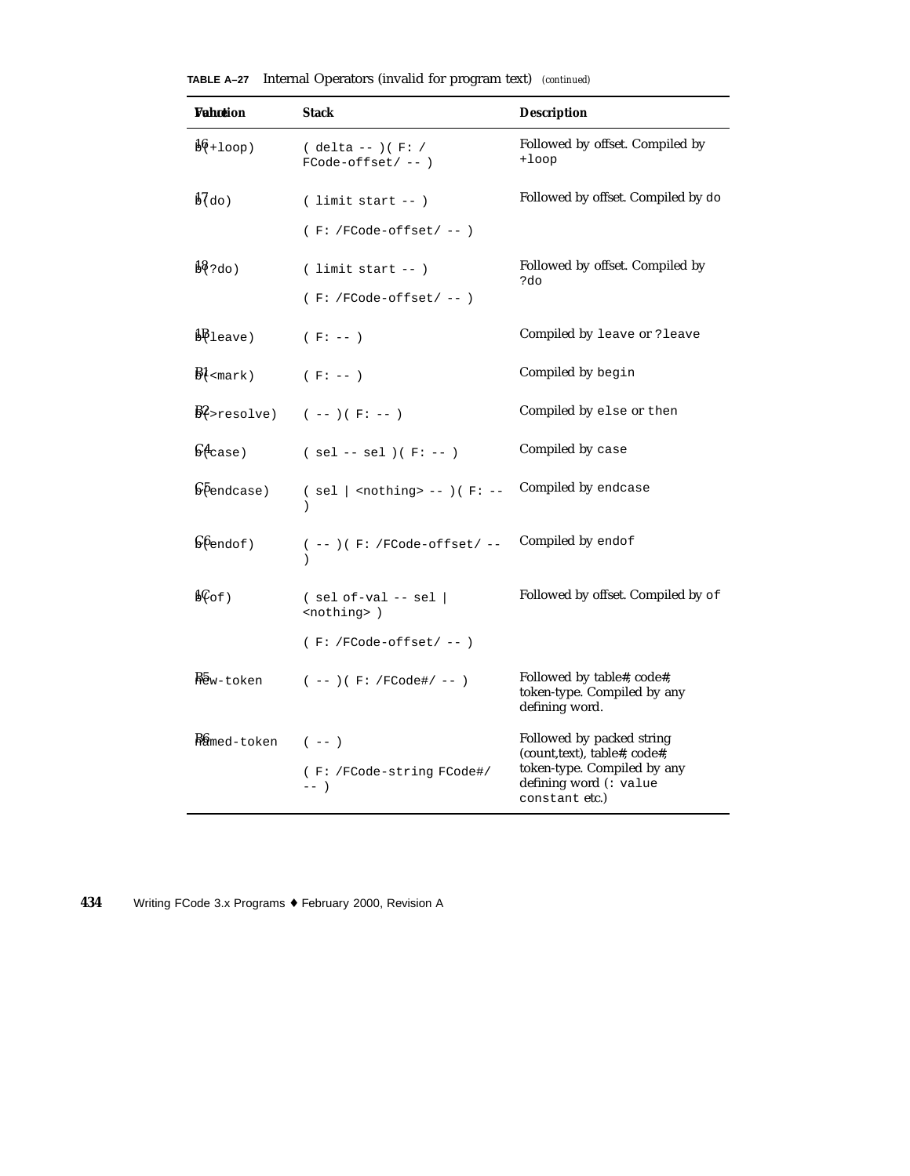| <b>Vahotion</b>               | <b>Stack</b>                                         | <b>Description</b>                                                                                                                   |
|-------------------------------|------------------------------------------------------|--------------------------------------------------------------------------------------------------------------------------------------|
| $\frac{16}{100}$              | $(delta --)(F: /$<br>$FCode-offset/--)$              | Followed by offset. Compiled by<br>$+1$ oop                                                                                          |
| $\frac{1}{60}$ do)            | $($ limit start $--$ )                               | Followed by offset. Compiled by do                                                                                                   |
|                               | $(F: /FCode-offset / --)$                            |                                                                                                                                      |
| $\frac{18}{2}$ ?do)           | $($ limit start -- $)$                               | Followed by offset. Compiled by<br>?do                                                                                               |
|                               | $(F: /FCode-offset / --)$                            |                                                                                                                                      |
| $\frac{1}{2}$ leave)          | $(F: --)$                                            | Compiled by leave or ? leave                                                                                                         |
| $\frac{B1}{\text{cmark}}$     | $(F: -- )$                                           | Compiled by begin                                                                                                                    |
|                               | $B2$ >resolve) (--)(F:--)                            | Compiled by else or then                                                                                                             |
| $\mathsf{G4}_\mathtt{case}$ ) | $(sel -- sel)(F:-)$                                  | Compiled by case                                                                                                                     |
| $\sqrt{6}$ endcase)           | $(sel  $ <nothing> -- <math>)(F: --</math></nothing> | Compiled by endcase                                                                                                                  |
| $\mathfrak{S}$ (end of)       | $(--) ( F: /FCode-offset / --$                       | Compiled by endof                                                                                                                    |
| $b\mathcal{C}$ of)            | $(sel of-val -- sel)$<br><nothing> )</nothing>       | Followed by offset. Compiled by of                                                                                                   |
|                               | $(F: /FCode-offset / --)$                            |                                                                                                                                      |
| Baw-token                     | $(- - ) ( F: /FCode\# / - - )$                       | Followed by table#, code#,<br>token-type. Compiled by any<br>defining word.                                                          |
| $\frac{R}{m}$ ed-token (--)   | (F: /FCode-string FCode#/<br>$---$                   | Followed by packed string<br>(count,text), table#, code#,<br>token-type. Compiled by any<br>defining word (: value<br>constant etc.) |

**TABLE A–27** Internal Operators (invalid for program text) *(continued)*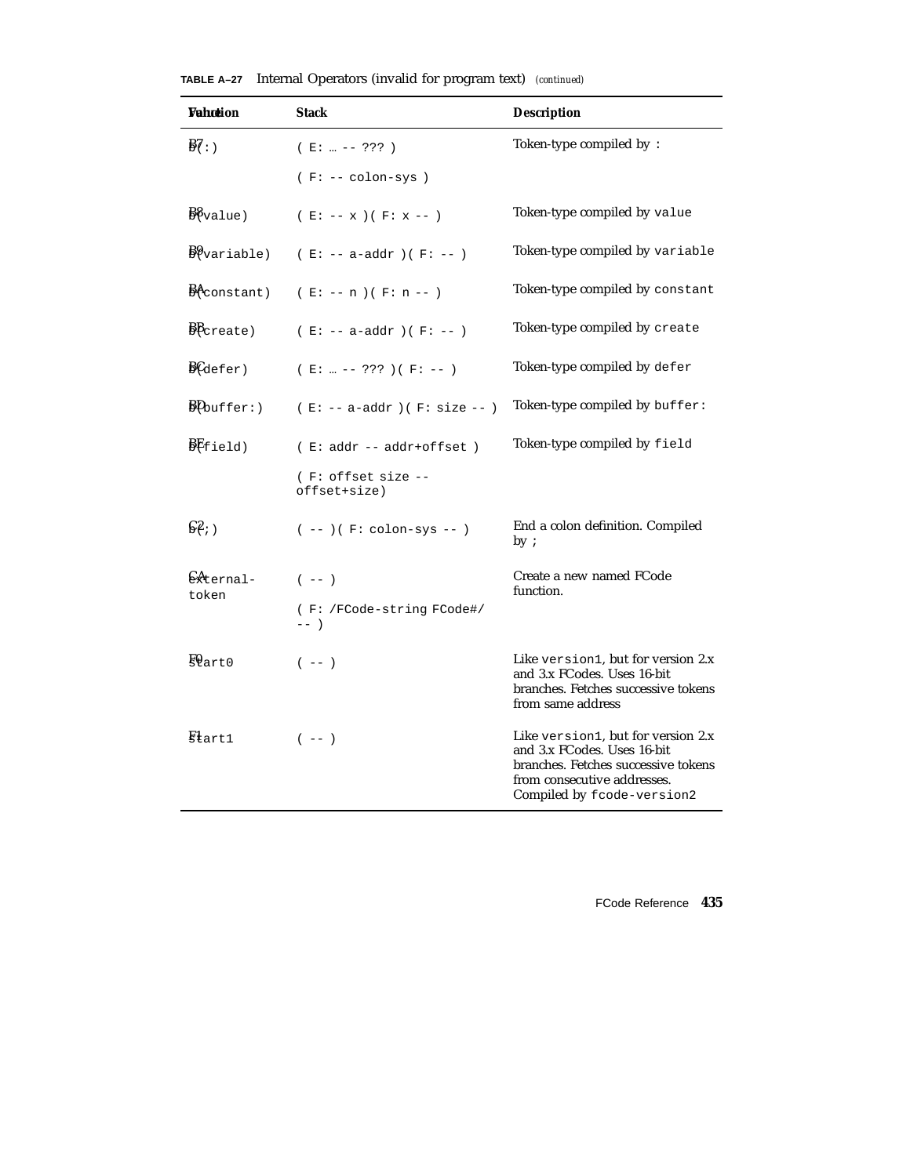| Wahotion                                         | <b>Stack</b>                       | <b>Description</b>                                                                                                                                                    |
|--------------------------------------------------|------------------------------------|-----------------------------------------------------------------------------------------------------------------------------------------------------------------------|
| $\frac{1}{2}$                                    | $(E:  --- ??? )$                   | Token-type compiled by:                                                                                                                                               |
|                                                  | $(F: -- colon-sys)$                |                                                                                                                                                                       |
| $\frac{1}{2}\%$ value)                           | $(E: -- x) (F: x -- )$             | Token-type compiled by value                                                                                                                                          |
| $\frac{B}{2}$ variable)                          | $( E: -- a-addr ) ( F: -- )$       | Token-type compiled by variable                                                                                                                                       |
| $B$ <sup><math>\leftarrow</math></sup> constant) | $(E: -- n)(F: n --)$               | Token-type compiled by constant                                                                                                                                       |
| $\frac{B}{B}$ create)                            | $(E: -- a-addr) (F: --)$           | Token-type compiled by create                                                                                                                                         |
| $\frac{B}{\text{Gefer}}$                         | $(E:  --- ??? ) (F: --- )$         | Token-type compiled by defer                                                                                                                                          |
| $\frac{B\mu_{\text{buffer}}}{\sigma}$            | $(E: -- a-addr)$ (F: size -- )     | Token-type compiled by buffer:                                                                                                                                        |
| BFfield)                                         | $( E: addr -- addr+offset )$       | Token-type compiled by field                                                                                                                                          |
|                                                  | (F: offset size --<br>offset+size) |                                                                                                                                                                       |
| $\mathbb{S}^2$ ; )                               | $(--)$ ( $F: colon-sys -- )$       | End a colon definition. Compiled<br>by:                                                                                                                               |
| EAternal-<br>token                               | $(- - )$                           | Create a new named FCode<br>function.                                                                                                                                 |
|                                                  | (F: /FCode-string FCode#/<br>$---$ |                                                                                                                                                                       |
| $\frac{1}{2}$ eart0                              | $(- - )$                           | Like version1, but for version 2.x<br>and 3.x FCodes. Uses 16-bit<br>branches. Fetches successive tokens<br>from same address                                         |
| $\mathbb{R}$ <sub>tart</sub> 1                   | $(- - )$                           | Like version1, but for version 2.x<br>and 3.x FCodes. Uses 16-bit<br>branches. Fetches successive tokens<br>from consecutive addresses.<br>Compiled by fcode-version2 |

**TABLE A–27** Internal Operators (invalid for program text) *(continued)*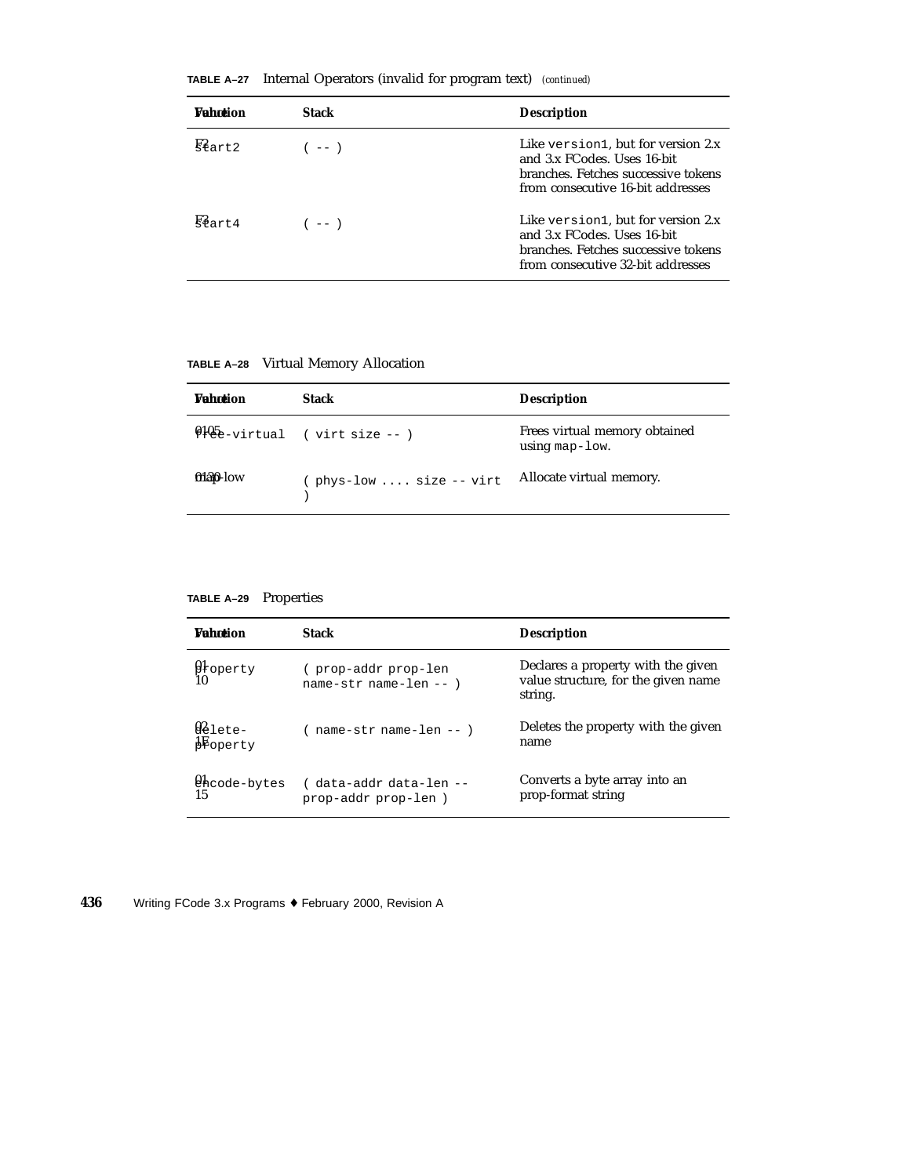| <b>Wahrtion</b>      | <b>Stack</b> | <b>Description</b>                                                                                                                            |
|----------------------|--------------|-----------------------------------------------------------------------------------------------------------------------------------------------|
| $\mathbb{R}^2$ art2  | $---$        | Like version1, but for version 2.x<br>and 3.x FCodes. Uses 16-bit<br>branches. Fetches successive tokens<br>from consecutive 16-bit addresses |
| $E_{\frac{3}{2}r+4}$ | $(- - )$     | Like version1, but for version 2.x<br>and 3.x FCodes. Uses 16-bit<br>branches. Fetches successive tokens<br>from consecutive 32-bit addresses |

**TABLE A–27** Internal Operators (invalid for program text) *(continued)*

## **TABLE A–28** Virtual Memory Allocation

| <b>Wahntion</b> | <b>Stack</b>                   | <b>Description</b>                                  |
|-----------------|--------------------------------|-----------------------------------------------------|
|                 | $9105$ -virtual (virt size --) | Frees virtual memory obtained<br>using map- $1$ ow. |
| $0130$ -low     | $($ phys-low  size -- virt     | Allocate virtual memory.                            |

**TABLE A–29** Properties

| <b>Wahrtion</b>                           | Stack                                            | <b>Description</b>                                                                   |
|-------------------------------------------|--------------------------------------------------|--------------------------------------------------------------------------------------|
| $\mathfrak{g}_{\text{toperty}}$           | (prop-addrprop-len<br>$name-str$ name-len -- $)$ | Declares a property with the given<br>value structure, for the given name<br>string. |
| $02$ lete-<br>$\frac{1}{2}$ operty        | $(name-str name-len --)$                         | Deletes the property with the given<br>name                                          |
| $\mathfrak{g}_{\text{hcode-bytes}}$<br>15 | (data-addr data-len --<br>prop-addr prop-len)    | Converts a byte array into an<br>prop-format string                                  |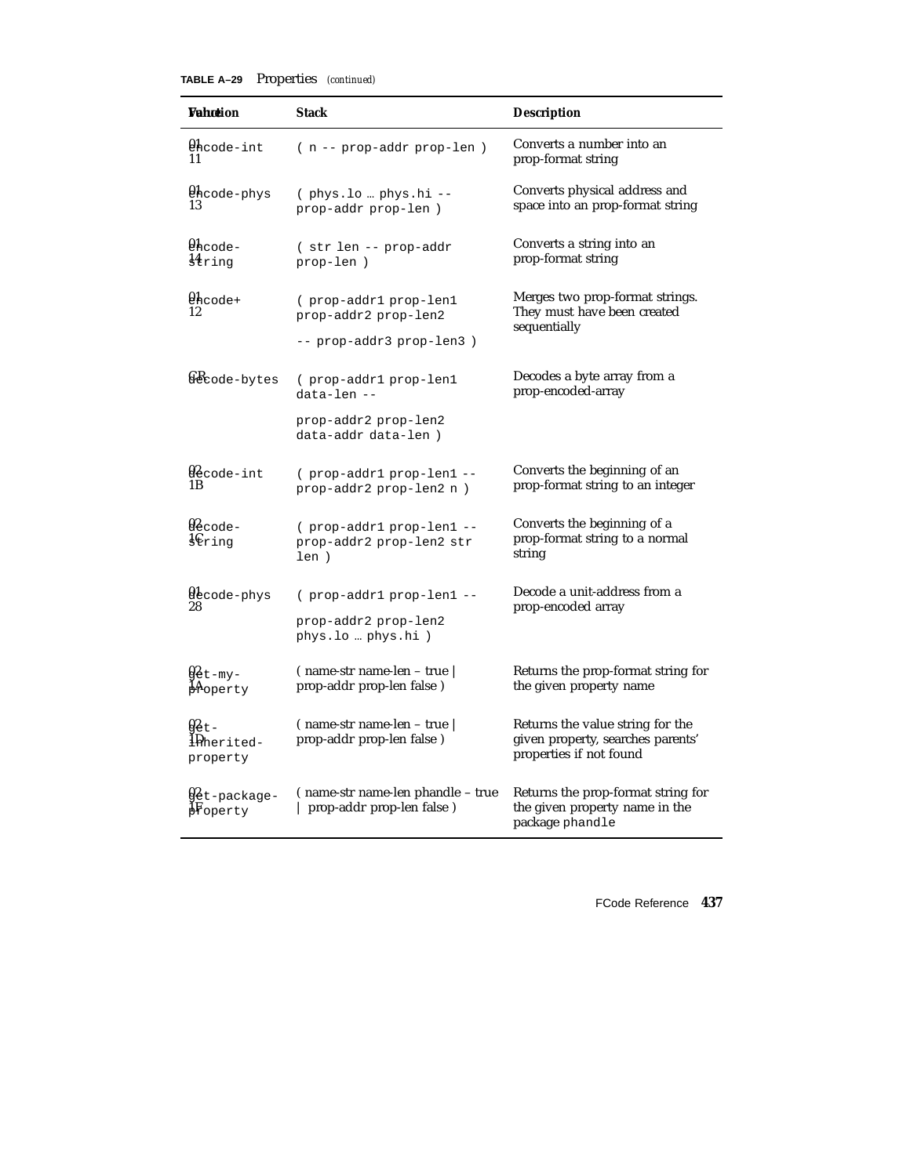| TABLE A-29 | <b>Properties</b> | (continued) |
|------------|-------------------|-------------|
|------------|-------------------|-------------|

| Wahœion                                 | <b>Stack</b>                                                     | <b>Description</b>                                                                               |
|-----------------------------------------|------------------------------------------------------------------|--------------------------------------------------------------------------------------------------|
| thcode-int<br>11                        | ( n -- prop-addr prop-len )                                      | Converts a number into an<br>prop-format string                                                  |
| thcode-phys<br>13                       | $($ phys.lo ${\tt phys\,.hi}$ --<br>prop-addr prop-len)          | Converts physical address and<br>space into an prop-format string                                |
| $Q_{\text{hcode}}$ -<br>$_{\rm string}$ | (str len -- prop-addr<br>prop-len)                               | Converts a string into an<br>prop-format string                                                  |
| $\mathfrak{g}_{\text{hcode+}}$<br>12    | (prop-addr1 prop-len1<br>prop-addr2 prop-len2                    | Merges two prop-format strings.<br>They must have been created<br>sequentially                   |
|                                         | -- prop-addr3 prop-len3)                                         |                                                                                                  |
| & code-bytes                            | (prop-addr1 prop-len1<br>data-len --                             | Decodes a byte array from a<br>prop-encoded-array                                                |
|                                         | prop-addr2 prop-len2<br>data-addr data-len)                      |                                                                                                  |
| $92$ code-int<br>1 B                    | (prop-addr1 prop-len1 --<br>prop-addr2 prop-len2 n)              | Converts the beginning of an<br>prop-format string to an integer                                 |
| $02$ code-<br>$\frac{1}{2}C$ ring       | ( prop-addr1 prop-len1 --<br>prop-addr2 prop-len2 str<br>len)    | Converts the beginning of a<br>prop-format string to a normal<br>string                          |
| decode-phys                             | (prop-addr1 prop-len1 --                                         | Decode a unit-address from a                                                                     |
| 28                                      | prop-addr2 prop-len2<br>phys.lo  phys.hi )                       | prop-encoded array                                                                               |
| <b>y</b> et-my-<br>Aoperty              | $($ name-str name-len – true $\mid$<br>prop-addr prop-len false) | Returns the prop-format string for<br>the given property name                                    |
| <u>g2 t -</u><br>1Pherited-<br>property | $($ name-str name-len – true $ $<br>prop-addr prop-len false)    | Returns the value string for the<br>given property, searches parents'<br>properties if not found |
| ∯et-package-<br><b>F</b> operty         | (name-str name-len phandle – true<br>  prop-addr prop-len false) | Returns the prop-format string for<br>the given property name in the<br>package phandle          |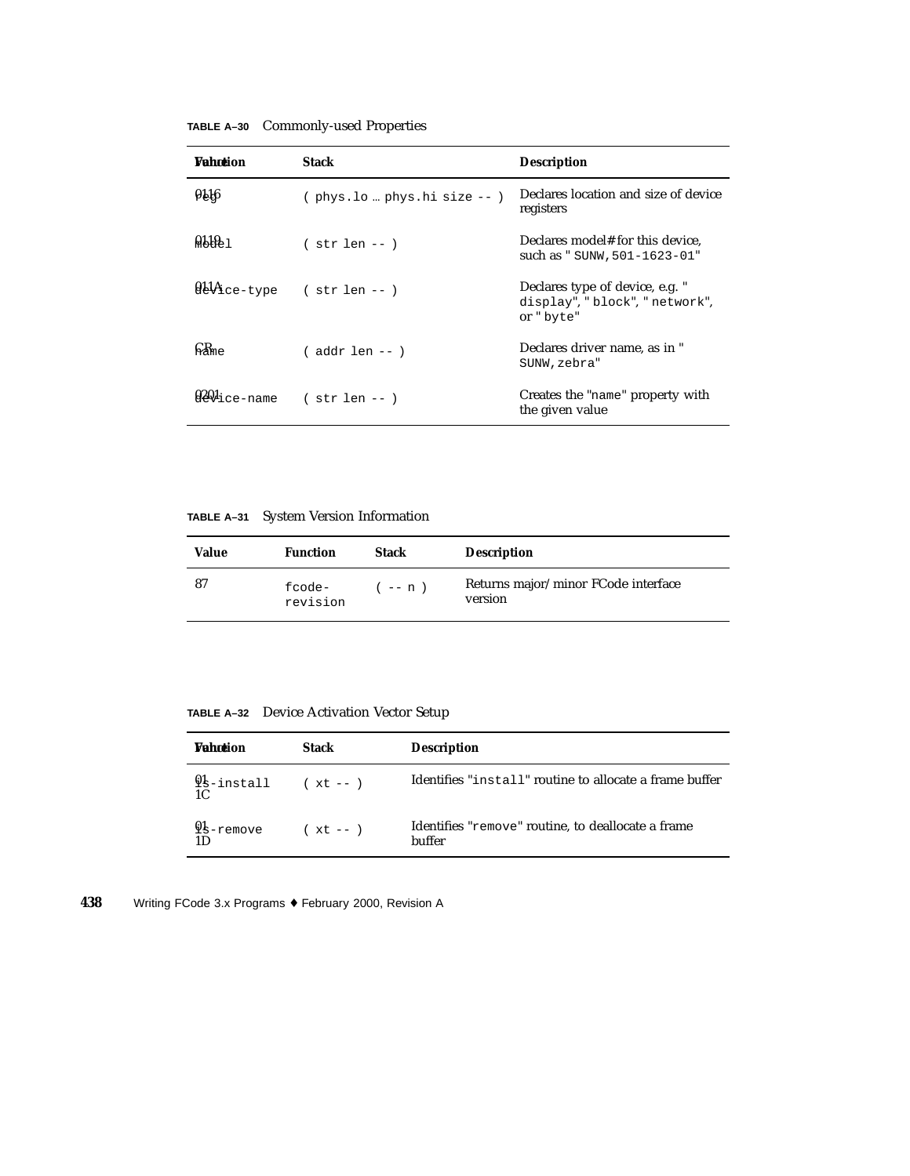| TABLE A–30 Commonly-used Properties |  |  |  |  |
|-------------------------------------|--|--|--|--|
|-------------------------------------|--|--|--|--|

| <b>Wahntion</b>             | <b>Stack</b>                | <b>Description</b>                                                             |
|-----------------------------|-----------------------------|--------------------------------------------------------------------------------|
| 916                         | (phys.lo  phys.hi size -- ) | Declares location and size of device<br>registers                              |
| $0.10 - 1$                  | $(str len - )$              | Declares model# for this device,<br>such as " SUNW, 501-1623-01"               |
| $0.14$ ce-type              | $(str len - )$              | Declares type of device, e.g. "<br>display", "block", "network",<br>or " byte" |
| $\mathbb{R}_{\mathbb{R}^m}$ | $($ addr len -- $)$         | Declares driver name, as in "<br>SUNW,zebra"                                   |
| ueVice-name                 | $(str len --)$              | Creates the "name" property with<br>the given value                            |

**TABLE A–31** System Version Information

| Value | <b>Function</b>    | Stack    | <b>Description</b>                             |
|-------|--------------------|----------|------------------------------------------------|
| 87    | fcode-<br>revision | ( -- n ) | Returns major/minor FCode interface<br>version |

**TABLE A–32** Device Activation Vector Setup

| <b>Wahntion</b>                         | <b>Stack</b> | <b>Description</b>                                           |
|-----------------------------------------|--------------|--------------------------------------------------------------|
| $9s$ -install (xt --)<br>1 <sup>C</sup> |              | Identifies "install" routine to allocate a frame buffer      |
| $9$ s-remove<br>1D.                     | $(xt - -)$   | Identifies "remove" routine, to deallocate a frame<br>buffer |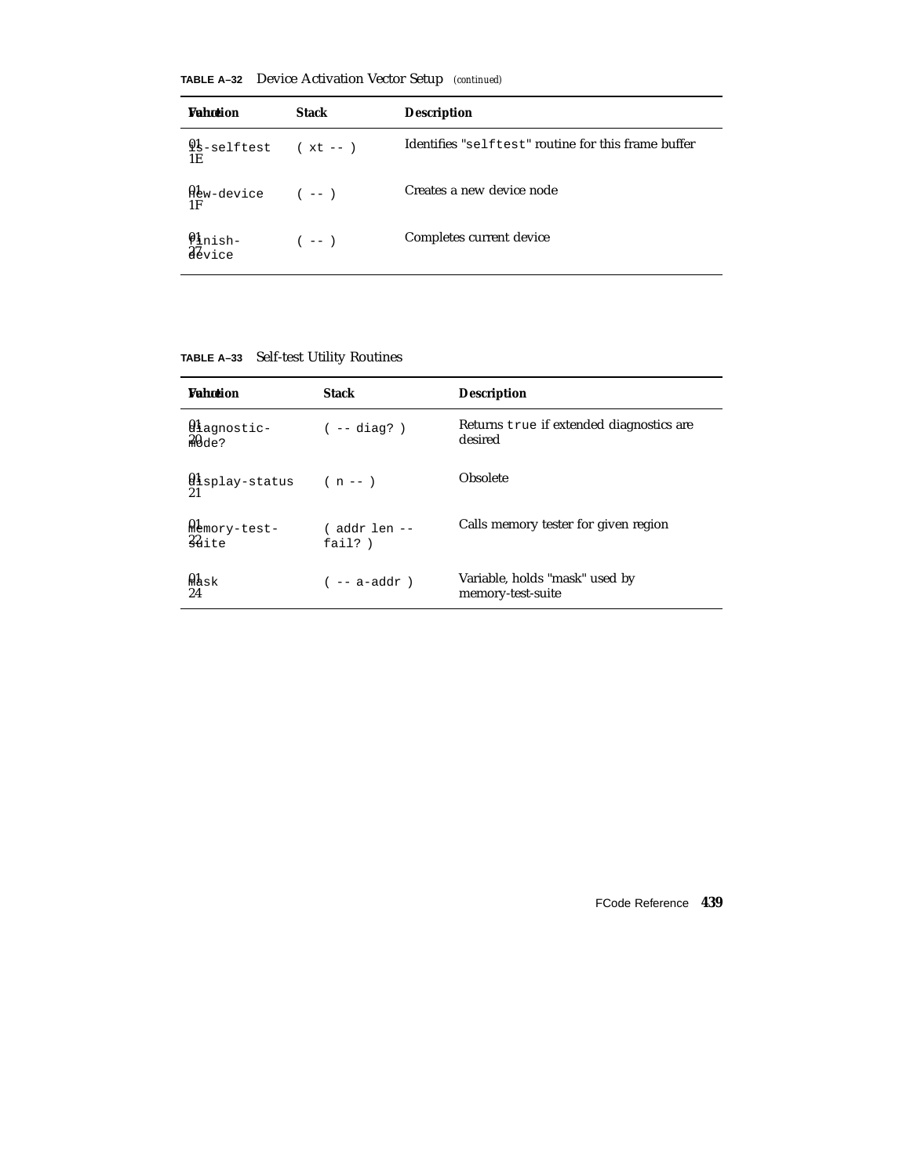**TABLE A–32** Device Activation Vector Setup *(continued)*

| <b><i>Vahntion</i></b>                                 | <b>Stack</b> | <b>Description</b>                                  |
|--------------------------------------------------------|--------------|-----------------------------------------------------|
| $9s$ -selftest (xt--)<br>1E                            |              | Identifies "selftest" routine for this frame buffer |
| $\mathfrak{A}_{\text{EW-device}}$ (--)<br>1F           |              | Creates a new device node                           |
| $\mathbf{\varrho}_{\mathtt{links}+}$<br><i>A</i> evice | $(- - )$     | Completes current device                            |

| TABLE A-33 Self-test Utility Routines |  |
|---------------------------------------|--|
|                                       |  |

| <b><i>Vahntion</i></b>              | <b>Stack</b>               | <b>Description</b>                                  |
|-------------------------------------|----------------------------|-----------------------------------------------------|
| 0lagnostic-<br>$20de$ ?             | $(- - diag? )$             | Returns true if extended diagnostics are<br>desired |
| display-status<br>21                | $(n - 1)$                  | Obsolete                                            |
| Memory-test-<br>22                  | ( addr len --<br>fail? $)$ | Calls memory tester for given region                |
| $\mathfrak{g}_{\mathrm{ask}}$<br>24 | $(- - a - addr)$           | Variable, holds "mask" used by<br>memory-test-suite |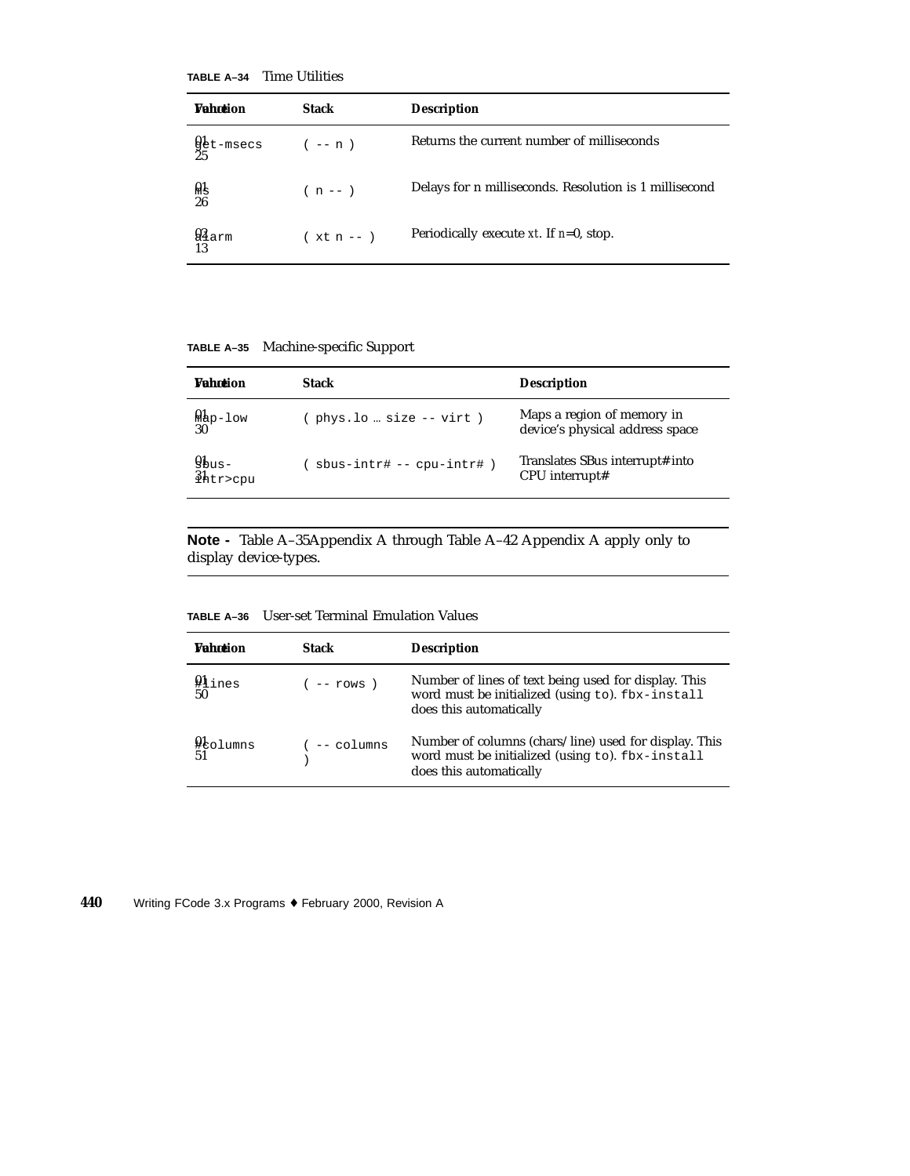**TABLE A–34** Time Utilities

| <b>Wahotion</b>                | <b>Stack</b> | <b>Description</b>                                     |
|--------------------------------|--------------|--------------------------------------------------------|
| $\frac{01}{25}$ t-msecs (-- n) |              | Returns the current number of milliseconds             |
| Al<br>26                       | $(n - - )$   | Delays for n milliseconds. Resolution is 1 millisecond |
| $Q_{Aarm}$<br>13               | $(xt n - )$  | Periodically execute $xt$ . If $n=0$ , stop.           |

**TABLE A–35** Machine-specific Support

| <b><i>Vahotion</i></b>      | <b>Stack</b>             | <b>Description</b>                                            |
|-----------------------------|--------------------------|---------------------------------------------------------------|
| $\frac{\text{Map-low}}{30}$ | phys.lo  size -- virt)   | Maps a region of memory in<br>device's physical address space |
| $y_{bus}$<br>$3h$ tr>cpu    | sbus-intr# -- cpu-intr#) | Translates SBus interrupt# into<br>$CPU$ interrupt#           |

**Note -** Table A–35Appendix A through Table A–42 Appendix A apply only to display device-types.

**TABLE A–36** User-set Terminal Emulation Values

| <b>Wahntion</b>                       | <b>Stack</b>    | <b>Description</b>                                                                                                                   |
|---------------------------------------|-----------------|--------------------------------------------------------------------------------------------------------------------------------------|
| $41$ ines<br>50                       | $($ -- rows $)$ | Number of lines of text being used for display. This<br>word must be initialized (using to). fbx-install<br>does this automatically  |
| $\mathfrak{g}_{\text{bolumns}}$<br>51 | $($ -- columns  | Number of columns (chars/line) used for display. This<br>word must be initialized (using to). fbx-install<br>does this automatically |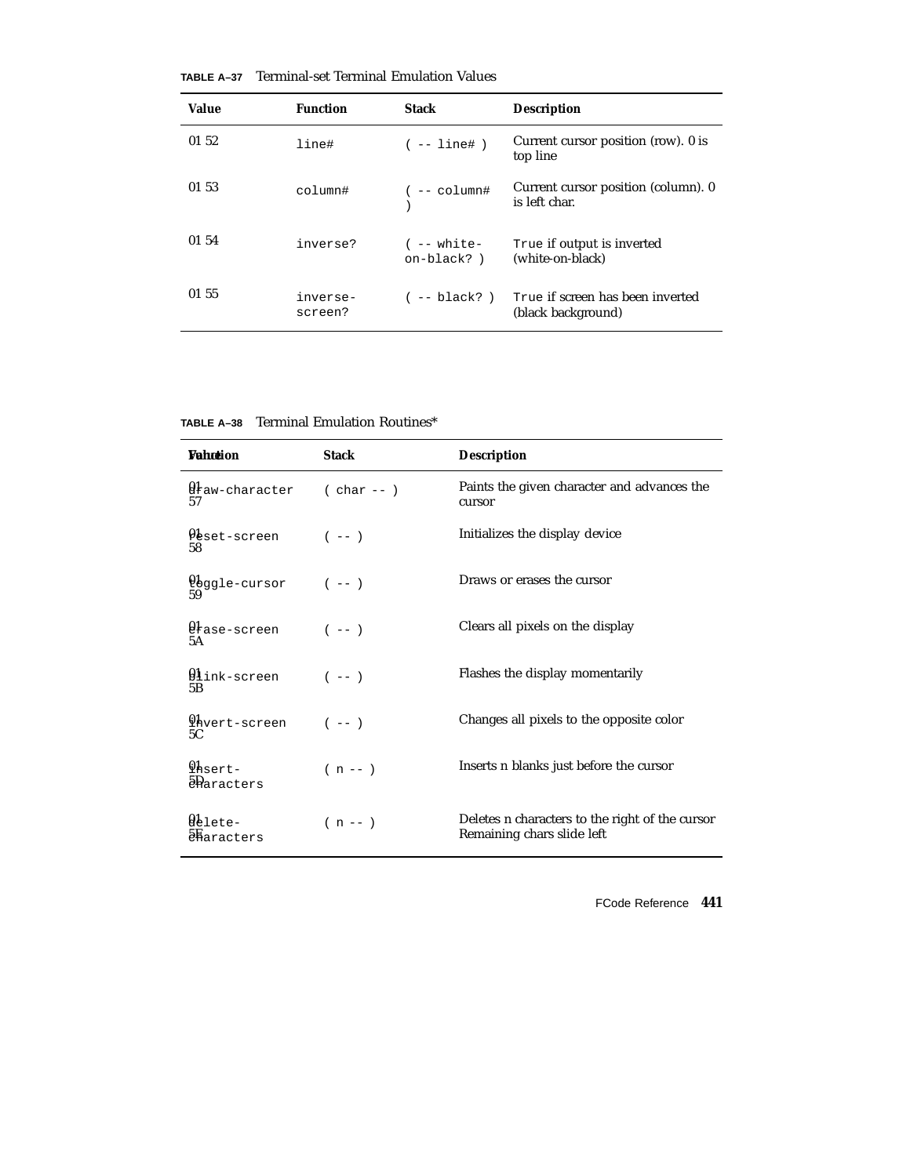| Value | <b>Function</b>     | <b>Stack</b>                   | <b>Description</b>                                     |
|-------|---------------------|--------------------------------|--------------------------------------------------------|
| 01 52 | line#               | $(- - 1ine# )$                 | Current cursor position (row). 0 is<br>top line        |
| 01 53 | column#             | $(- - \text{column#})$         | Current cursor position (column). 0<br>is left char.   |
| 01 54 | inverse?            | $($ -- white-<br>$on-black?$ ) | True if output is inverted<br>(white-on-black)         |
| 01 55 | inverse-<br>screen? | ( -- black? )                  | True if screen has been inverted<br>(black background) |

**TABLE A–37** Terminal-set Terminal Emulation Values

**TABLE A–38** Terminal Emulation Routines\*

| Wahotion                                   | <b>Stack</b> | <b>Description</b>                                                            |
|--------------------------------------------|--------------|-------------------------------------------------------------------------------|
| $\mathbf{\theta}$ ław-character<br>57      | $(char --)$  | Paints the given character and advances the<br>cursor                         |
| $\mathfrak{g}_{\tt{set-scoreen}}$<br>58    | $(- - )$     | Initializes the display device                                                |
| Ubggle-cursor<br>59                        | $(- - )$     | Draws or erases the cursor                                                    |
| $\mathfrak{g}_{\tt I}$ ase-screen<br>5A    | $(- - )$     | Clears all pixels on the display                                              |
| $\mathfrak{g}_1$ ink-screen<br>5B          | $(- - )$     | Flashes the display momentarily                                               |
| $q_{\text{hvert-screen}}$<br>5C            | $(- - )$     | Changes all pixels to the opposite color                                      |
| $Q$ <sub>hsert-</sub><br><b>P</b> aracters | $(n - - )$   | Inserts n blanks just before the cursor                                       |
| @elete-<br>$\delta$ haracters              | $(n - - )$   | Deletes n characters to the right of the cursor<br>Remaining chars slide left |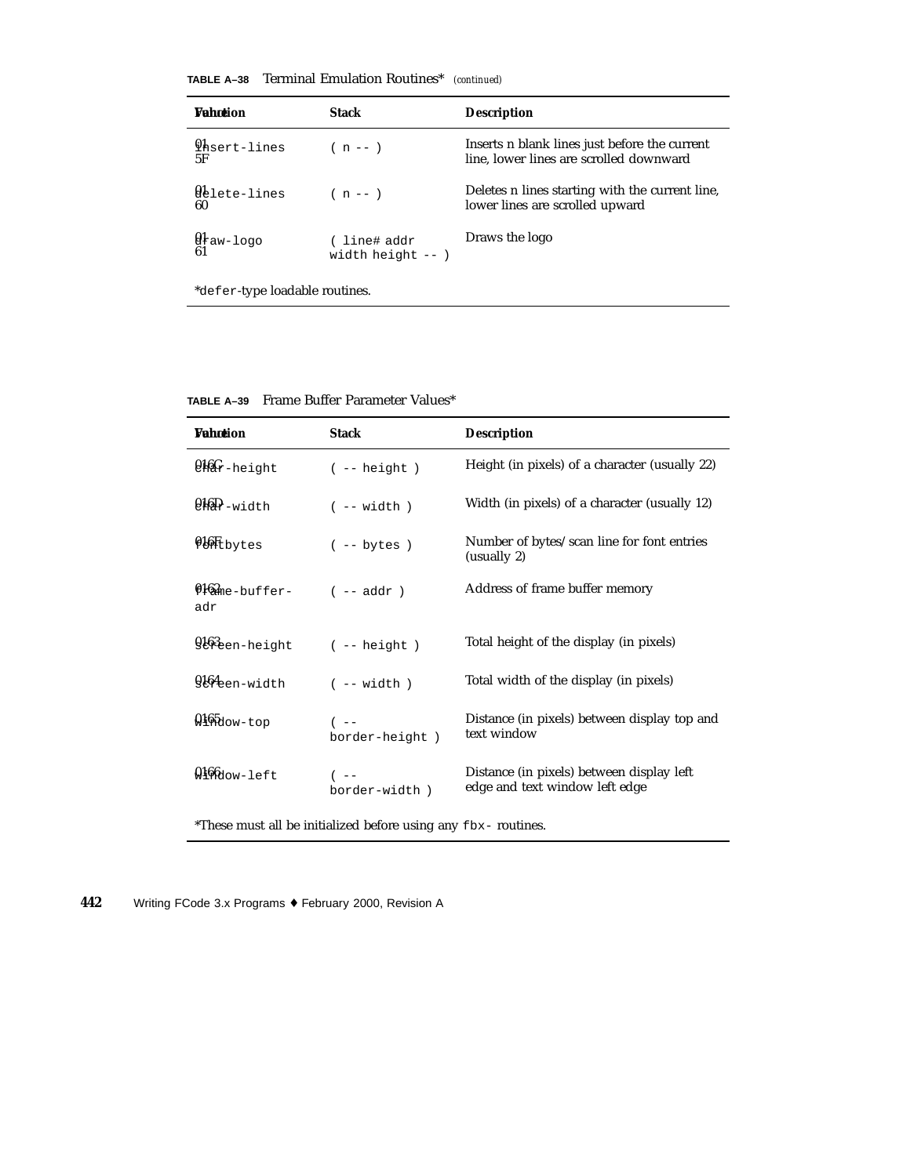| TABLE A-38 |  | <b>Terminal Emulation Routines*</b> | (continued) |
|------------|--|-------------------------------------|-------------|
|------------|--|-------------------------------------|-------------|

| <b>Wahntion</b>                             | <b>Stack</b>                        | <b>Description</b>                                                                       |
|---------------------------------------------|-------------------------------------|------------------------------------------------------------------------------------------|
| <i>lhsert-lines</i><br>5F                   | $(n - - )$                          | Inserts n blank lines just before the current<br>line, lower lines are scrolled downward |
| Qblete-lines<br>60                          | $(n - 1)$                           | Deletes n lines starting with the current line,<br>lower lines are scrolled upward       |
| $\mathfrak{g}_{\texttt{ław-}1\texttt{ogo}}$ | ( line# addr<br>width height $--$ ) | Draws the logo                                                                           |

\*defer-type loadable routines.

**TABLE A–39** Frame Buffer Parameter Values\*

| <b>Wahotion</b>                     | <b>Stack</b>             | <b>Description</b>                                                          |
|-------------------------------------|--------------------------|-----------------------------------------------------------------------------|
| $9.66$ r-height                     | $(- - height)$           | Height (in pixels) of a character (usually 22)                              |
| $0.16D$ -width                      | $(- - width)$            | Width (in pixels) of a character (usually 12)                               |
| <b>Qlit</b> bytes                   | $(- - bytes)$            | Number of bytes/scan line for font entries<br>(usually 2)                   |
| $0.62$ <sub>me-buffer-</sub><br>adr | $(- - addr)$             | Address of frame buffer memory                                              |
| 9163 <sub>een-height</sub>          | $(- - \text{height})$    | Total height of the display (in pixels)                                     |
| $9164$ en-width                     | $(- - width)$            | Total width of the display (in pixels)                                      |
| $0.165$ dow-top                     | $($ --<br>border-height) | Distance (in pixels) between display top and<br>text window                 |
| $0.166$ dow-left                    | $($ --<br>border-width)  | Distance (in pixels) between display left<br>edge and text window left edge |
|                                     |                          |                                                                             |

\*These must all be initialized before using any fbx- routines.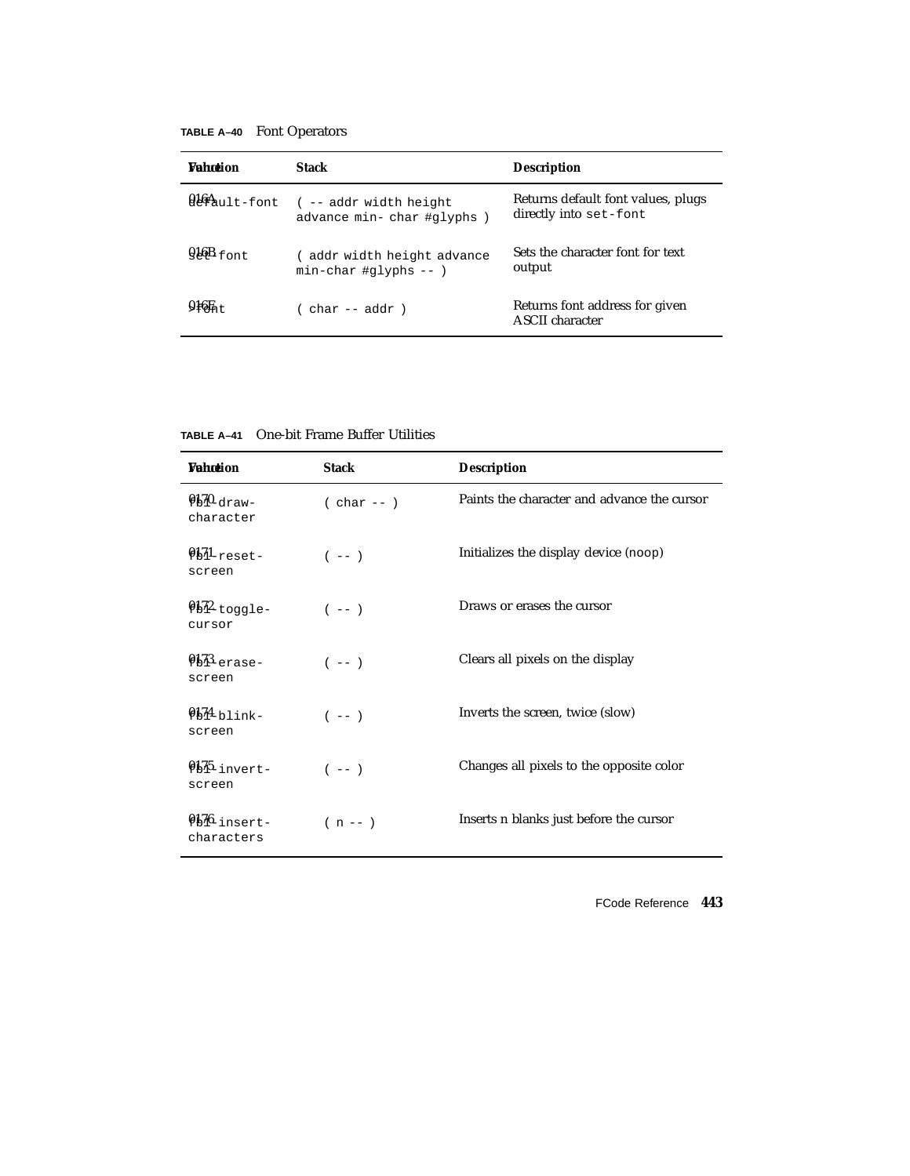**TABLE A–40** Font Operators

| <b>Wahntion</b> | <b>Stack</b>                                             | <b>Description</b>                                           |
|-----------------|----------------------------------------------------------|--------------------------------------------------------------|
| $916A$ ult-font | ( -- addr width height)<br>advance min-char #qlyphs)     | Returns default font values, plugs<br>directly into set-font |
| $016B$ font     | (addr width height advance<br>$min$ -char #qlyphs -- $)$ | Sets the character font for text<br>output                   |
| $016H_{n+}$     | char -- addr )                                           | Returns font address for given<br><b>ASCII</b> character     |

**TABLE A–41** One-bit Frame Buffer Utilities

| <b>Vahotion</b>             | <b>Stack</b> | <b>Description</b>                          |
|-----------------------------|--------------|---------------------------------------------|
| $950$ -draw-<br>character   | $(char --)$  | Paints the character and advance the cursor |
| $0.51$ reset-<br>screen     | $(- - )$     | Initializes the display device (noop)       |
| $9b^2$ -toggle-<br>cursor   | $(- - - )$   | Draws or erases the cursor                  |
| $9173$ erase-<br>screen     | $(- - - )$   | Clears all pixels on the display            |
| $9174$ blink-<br>screen     | $(- - )$     | Inverts the screen, twice (slow)            |
| $91\%$ -invert-<br>screen   | $(- - )$     | Changes all pixels to the opposite color    |
| $956$ insert-<br>characters | $(n - 1)$    | Inserts n blanks just before the cursor     |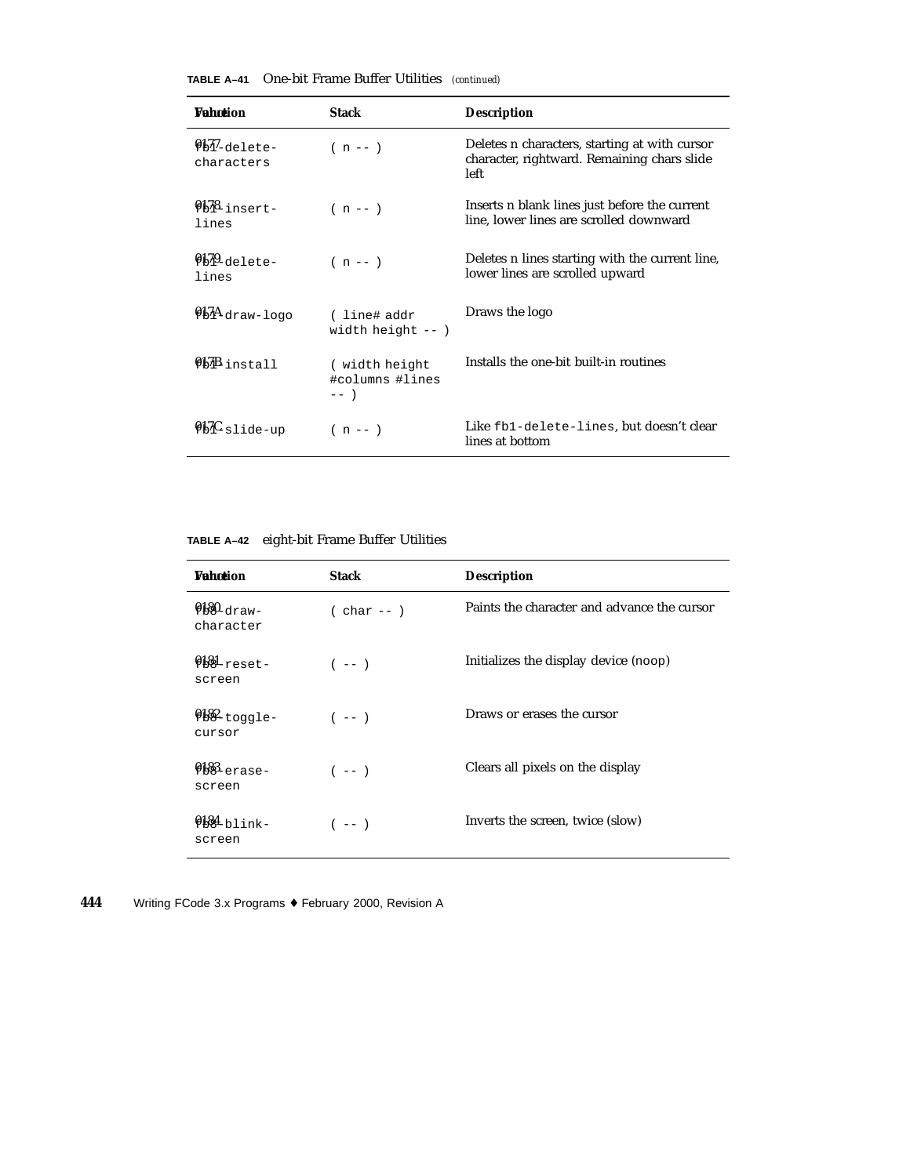| Wahotion                      | <b>Stack</b>                               | <b>Description</b>                                                                                   |
|-------------------------------|--------------------------------------------|------------------------------------------------------------------------------------------------------|
| $9b77$ -delete-<br>characters | $(n - 1)$                                  | Deletes n characters, starting at with cursor<br>character, rightward. Remaining chars slide<br>left |
| $0178$ -insert-<br>lines      | $(n - 1)$                                  | Inserts n blank lines just before the current<br>line, lower lines are scrolled downward             |
| $0.79$ -delete-<br>lines      | $(n - 1)$                                  | Deletes n lines starting with the current line,<br>lower lines are scrolled upward                   |
| $9bAdraw-logo$                | (line#addr<br>width height $--$ )          | Draws the logo                                                                                       |
| $917B$ install                | ( width height<br>#columns #lines<br>$---$ | Installs the one-bit built-in routines                                                               |
| $95K$ slide-up                | $(n - 1)$                                  | Like fb1-delete-lines, but doesn't clear<br>lines at bottom                                          |

**TABLE A–42** eight-bit Frame Buffer Utilities

| <b>Vahotion</b>           | <b>Stack</b> | <b>Description</b>                          |
|---------------------------|--------------|---------------------------------------------|
| $980$ -draw-<br>character | $(char --)$  | Paints the character and advance the cursor |
| $981$ -reset-<br>screen   | $(- - )$     | Initializes the display device (noop)       |
| $98%$ -toggle-<br>cursor  | $(- - )$     | Draws or erases the cursor                  |
| $988$ -erase-<br>screen   | $(- - )$     | Clears all pixels on the display            |
| $6181$ blink-<br>screen   | $(- - )$     | Inverts the screen, twice (slow)            |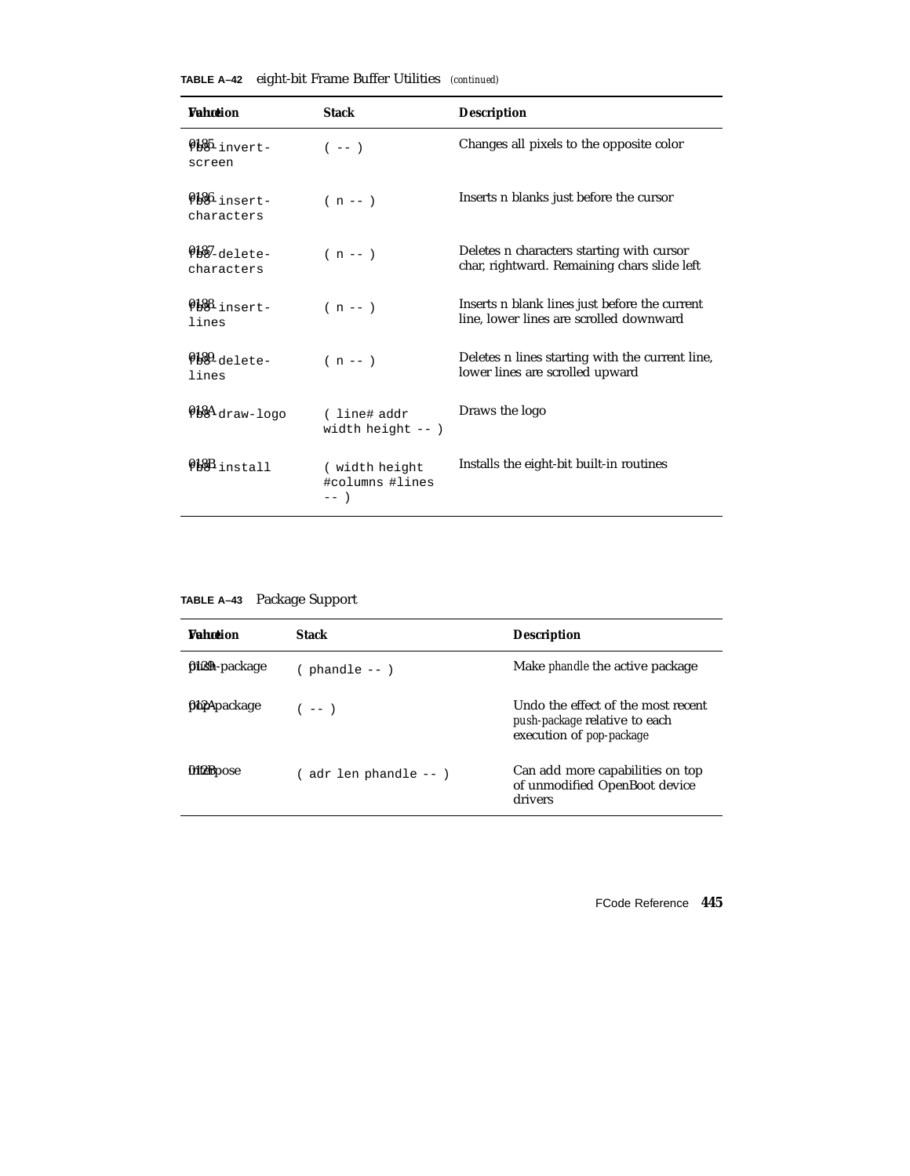|  |  | TABLE A-42 eight-bit Frame Buffer Utilities (continued) |  |
|--|--|---------------------------------------------------------|--|
|--|--|---------------------------------------------------------|--|

| <b>Wahntion</b>               | <b>Stack</b>                               | <b>Description</b>                                                                       |
|-------------------------------|--------------------------------------------|------------------------------------------------------------------------------------------|
| $6185$ -invert-<br>screen     | $(- - )$                                   | Changes all pixels to the opposite color                                                 |
| Q186 insert-<br>characters    | $(n - 1)$                                  | Inserts n blanks just before the cursor                                                  |
| $9187$ -delete-<br>characters | $(n - 1)$                                  | Deletes n characters starting with cursor<br>char, rightward. Remaining chars slide left |
| $0188$ -insert-<br>lines      | $(n - 1)$                                  | Inserts n blank lines just before the current<br>line, lower lines are scrolled downward |
| $0189 - 1010 = -$<br>lines    | $(n - 1)$                                  | Deletes n lines starting with the current line,<br>lower lines are scrolled upward       |
| $984$ draw-logo               | (line#addr<br>width height $--$ )          | Draws the logo                                                                           |
| $918B$ install                | ( width height<br>#columns #lines<br>$---$ | Installs the eight-bit built-in routines                                                 |

**TABLE A–43** Package Support

| <b><i>Vahotion</i></b> | <b>Stack</b>         | <b>Description</b>                                                                                     |
|------------------------|----------------------|--------------------------------------------------------------------------------------------------------|
| <b>filsh</b> -package  | $phandle - -$        | Make <i>phandle</i> the active package                                                                 |
| <b>ftb2Apackage</b>    | $(- - )$             | Undo the effect of the most recent<br>push-package relative to each<br>execution of <i>pop-package</i> |
| <b>M</b> terbose       | adr len phandle -- ) | Can add more capabilities on top<br>of unmodified OpenBoot device<br>drivers                           |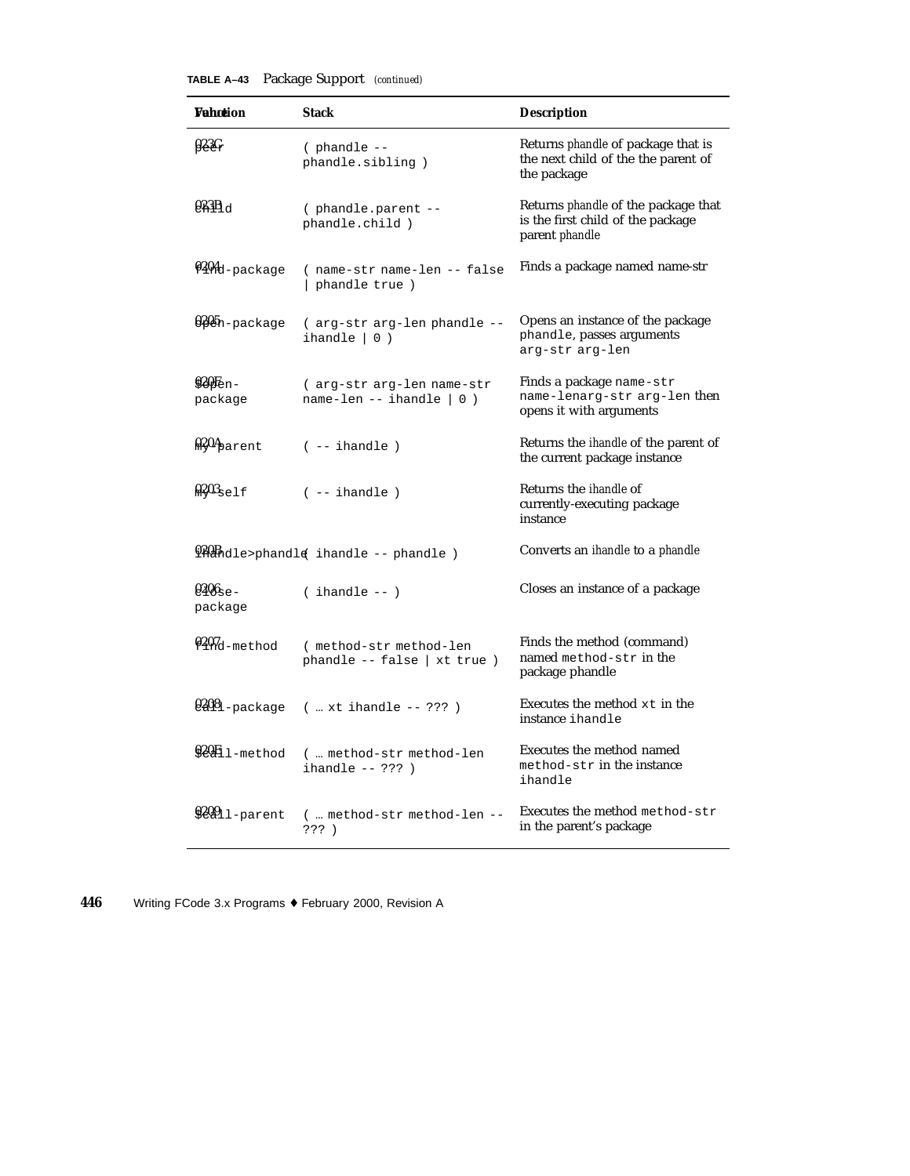| <b>TABLE A-43</b> Package Support (continued) |  |  |  |
|-----------------------------------------------|--|--|--|
|-----------------------------------------------|--|--|--|

| <b>Vahotion</b>                  | <b>Stack</b>                                              | <b>Description</b>                                                                                       |
|----------------------------------|-----------------------------------------------------------|----------------------------------------------------------------------------------------------------------|
| 923C                             | $($ phandle $--$<br>phandle.sibling)                      | Returns phandle of package that is<br>the next child of the the parent of<br>the package                 |
| $0.3B_{\rm d}$                   | (phandle.parent --<br>phandle.child)                      | Returns <i>phandle</i> of the package that<br>is the first child of the package<br>parent <i>phandle</i> |
| 0204d-package                    | (name-str name-len -- false<br>phandle true)              | Finds a package named name-str                                                                           |
| <b>Q2Ch-</b> package             | (arg-str arg-len phandle --<br>ihandle $ 0)$              | Opens an instance of the package<br>phandle, passes arguments<br>arg-str arg-len                         |
| $920F_{en}$<br>package           | (arg-str arg-len name-str<br>name-len -- ihandle $  0 $ ) | Finds a package name-str<br>name-lenarg-str arg-len then<br>opens it with arguments                      |
| $\frac{0.204}{0.202}$ arent      | $(- - i \hbox{handle})$                                   | Returns the <i>ihandle</i> of the parent of<br>the current package instance                              |
| $\frac{0.203}{0.5015}$           | $(- - i \text{handle})$                                   | Returns the <i>ihandle</i> of<br>currently-executing package<br>instance                                 |
|                                  | <i>PAB</i> Adle>phandle ihandle -- phandle)               | Converts an <i>ihandle</i> to a <i>phandle</i>                                                           |
| $0.406$ <sub>se</sub><br>package | $($ ihandle $- )$                                         | Closes an instance of a package                                                                          |
| $9207$ d-method                  | (method-str method-len<br>phandle $--$ false   xt true )  | Finds the method (command)<br>named method-str in the<br>package phandle                                 |
| $0.2081$ -package                | $(  x t ihandle -- ???)$                                  | Executes the method xt in the<br>instance ihandle                                                        |
| $920H1$ -method                  | (  method-str method-len<br>ihandle $-- ? ? ?$ )          | Executes the method named<br>method-str in the instance<br>ihandle                                       |
| 92811-parent                     | ( method-str method-len --<br>??? )                       | Executes the method method-str<br>in the parent's package                                                |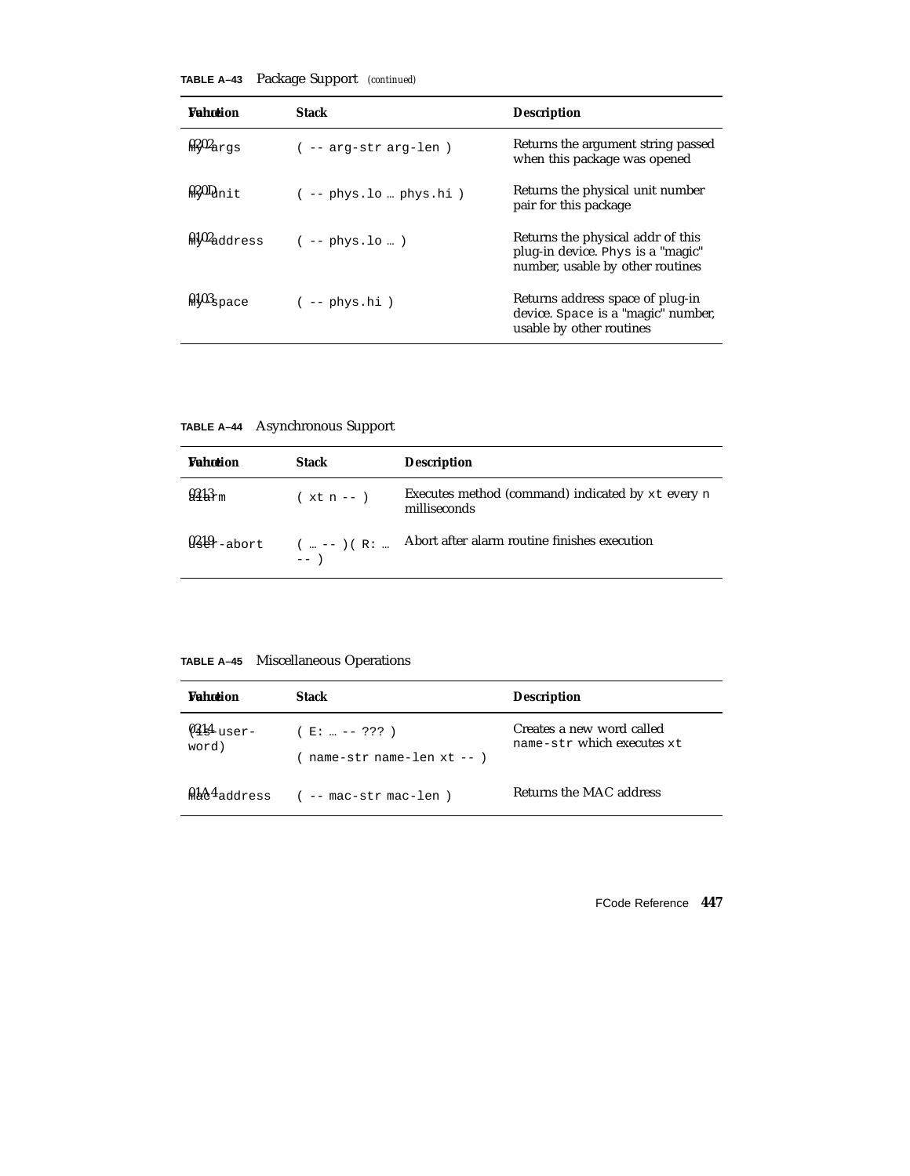**TABLE A–43** Package Support *(continued)*

| <b><i>Vahntion</i></b> | Stack                    | <b>Description</b>                                                                                         |
|------------------------|--------------------------|------------------------------------------------------------------------------------------------------------|
| $0.202$ args           | -- arg-str arg-len)      | Returns the argument string passed<br>when this package was opened                                         |
| $\frac{1}{2}$          | $(- - phys.lo  phys.hi)$ | Returns the physical unit number<br>pair for this package                                                  |
| $0.102$ address        | $(- - \text{phys.lo} )$  | Returns the physical addr of this<br>plug-in device. Phys is a "magic"<br>number, usable by other routines |
| $0.103$ space          | $(- - \text{phys.hi})$   | Returns address space of plug-in<br>device. Space is a "magic" number,<br>usable by other routines         |

**TABLE A–44** Asynchronous Support

| <b>Wahntion</b>    | <b>Stack</b>                               | <b>Description</b>                                                |
|--------------------|--------------------------------------------|-------------------------------------------------------------------|
| 9313 <sub>rm</sub> | $(xt n - )$                                | Executes method (command) indicated by xt every n<br>milliseconds |
|                    | $9.88r -$ abort $(  - ) ( R :  )$<br>$---$ | Abort after alarm routine finishes execution                      |

**TABLE A–45** Miscellaneous Operations

| <b><i>Vahotion</i></b> | <b>Stack</b>                                    | <b>Description</b>                                      |
|------------------------|-------------------------------------------------|---------------------------------------------------------|
| $Q_4$ lser-<br>word)   | $(E:  --- ???)$<br>$name-str$ name-len $xt$ --) | Creates a new word called<br>name-str which executes xt |
|                        | $h + 4$ address ( -- mac-str mac-len)           | Returns the MAC address                                 |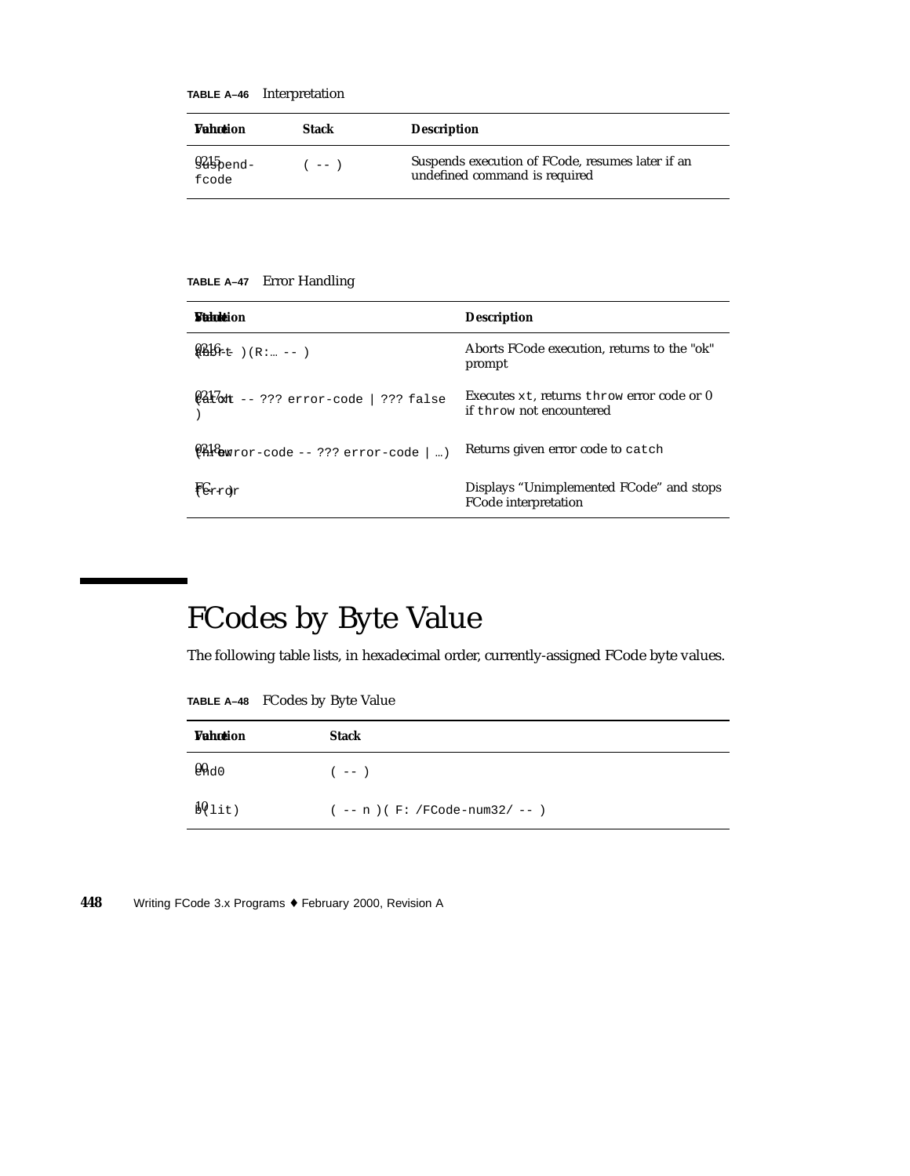**TABLE A–46** Interpretation

| <b>Vahotion</b>               | <b>Stack</b> | <b>Description</b>                                                                |
|-------------------------------|--------------|-----------------------------------------------------------------------------------|
| $945$ $\epsilon$ nd-<br>fcode | $---$        | Suspends execution of FCode, resumes later if an<br>undefined command is required |

**TABLE A–47** Error Handling

| <b><i>Muhuk</i></b> ion                              | <b>Description</b>                                                     |
|------------------------------------------------------|------------------------------------------------------------------------|
| $9.516$ $(E:  --- )$                                 | Aborts FCode execution, returns to the "ok"<br>prompt                  |
| $\frac{0.21}{0.21}$ at -- ??? error-code   ??? false | Executes xt, returns throw error code or 0<br>if throw not encountered |
| $\frac{1218}{1228}$ awror-code -- ??? error-code   ) | Returns given error code to catch                                      |
| Fer <sub>rdr</sub>                                   | Displays "Unimplemented FCode" and stops<br>FCode interpretation       |

## FCodes by Byte Value

The following table lists, in hexadecimal order, currently-assigned FCode byte values.

**TABLE A–48** FCodes by Byte Value

| <b>Vahotion</b> | <b>Stack</b>                     |
|-----------------|----------------------------------|
| $Q_{\rm AdO}$   | $(- - )$                         |
| $10$ lit)       | $(- - n)$ (F: /FCode-num32/ -- ) |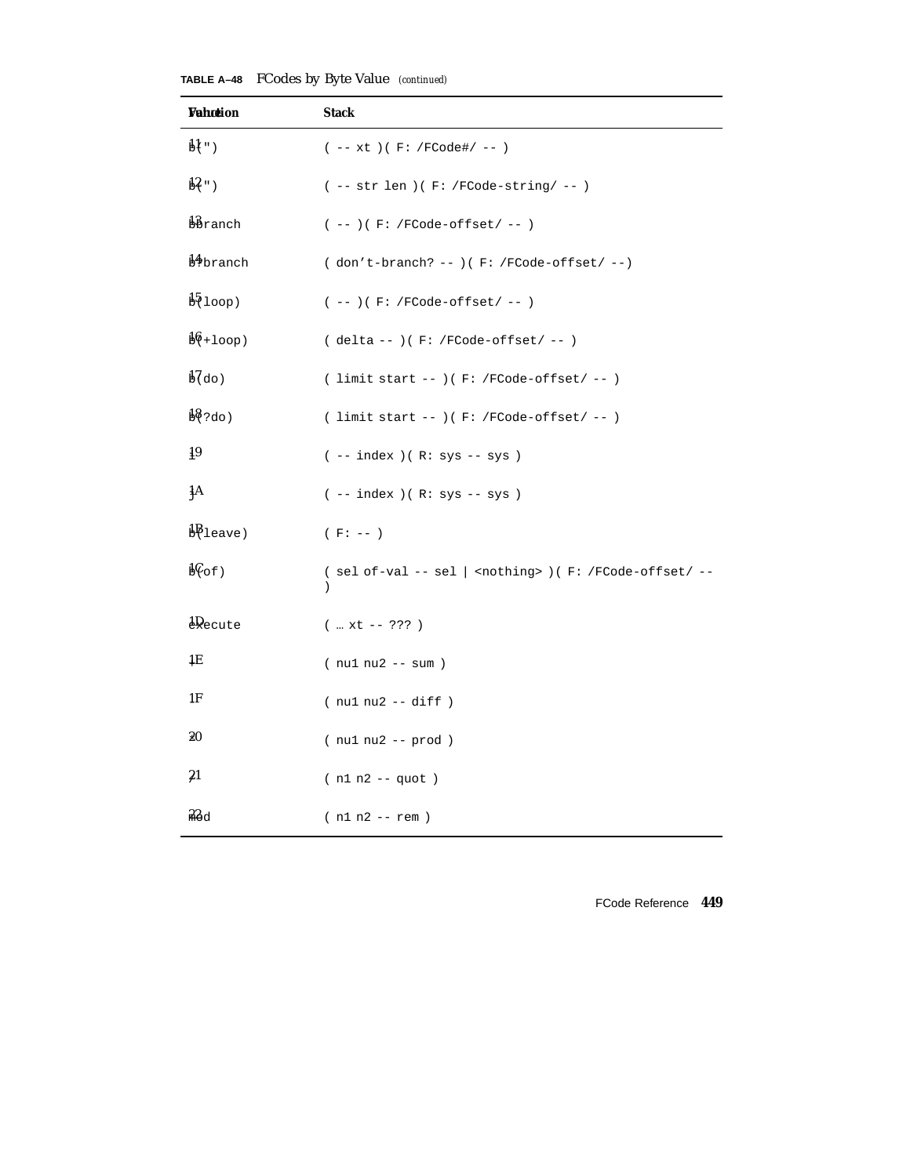| Wahœion                    | <b>Stack</b>                                                                                |
|----------------------------|---------------------------------------------------------------------------------------------|
| $\mathbf{H}$ ")            | $(- - xt) (F: /FCode\# / - - )$                                                             |
| $13$ ")                    | $(- - str len) ( F: /FCode-string / -- )$                                                   |
| bbranch                    | $(--) ( F: /FCode-offset / -- )$                                                            |
| <b>B</b> branch            | $( don't-branch? -- ) ( F: /FCode-offset / -- )$                                            |
| $\frac{15}{2}$ loop)       | $(- - ) ( F: /FCode-offset / -- )$                                                          |
| $\frac{16}{100}$           | $(delta --)(F: /FCode-offset / --)$                                                         |
| $\frac{1}{60}$ do)         | ( limit start -- ) ( $F:$ /FCode-offset/ -- )                                               |
| $\frac{18}{200}$           | ( limit start -- )( $F:$ /FCode-offset/ -- )                                                |
| 19                         | $(- - index) ( R: sys - sys )$                                                              |
| łА                         | $(- - index) ( R: sys - sys )$                                                              |
| $\mathbf{B}$ leave)        | $(F: --)$                                                                                   |
| $b\mathcal{C}_{\text{of}}$ | ( sel of-val -- sel   <nothing> ) ( F: /FCode-offset/ --<br/><math>\lambda</math></nothing> |
| $\frac{1}{2}$ ecute        | $($ xt -- ??? )                                                                             |
| 1E                         | $(nu1 nu2 - sum)$                                                                           |
| 1F                         | $(nu1 nu2 - - diff)$                                                                        |
| 20                         | $(nu1 nu2 - prod)$                                                                          |
| $^{21}$                    | $(n1 n2 - quot)$                                                                            |
| 22d                        | $(n1 n2 - rem)$                                                                             |

**TABLE A–48** FCodes by Byte Value *(continued)*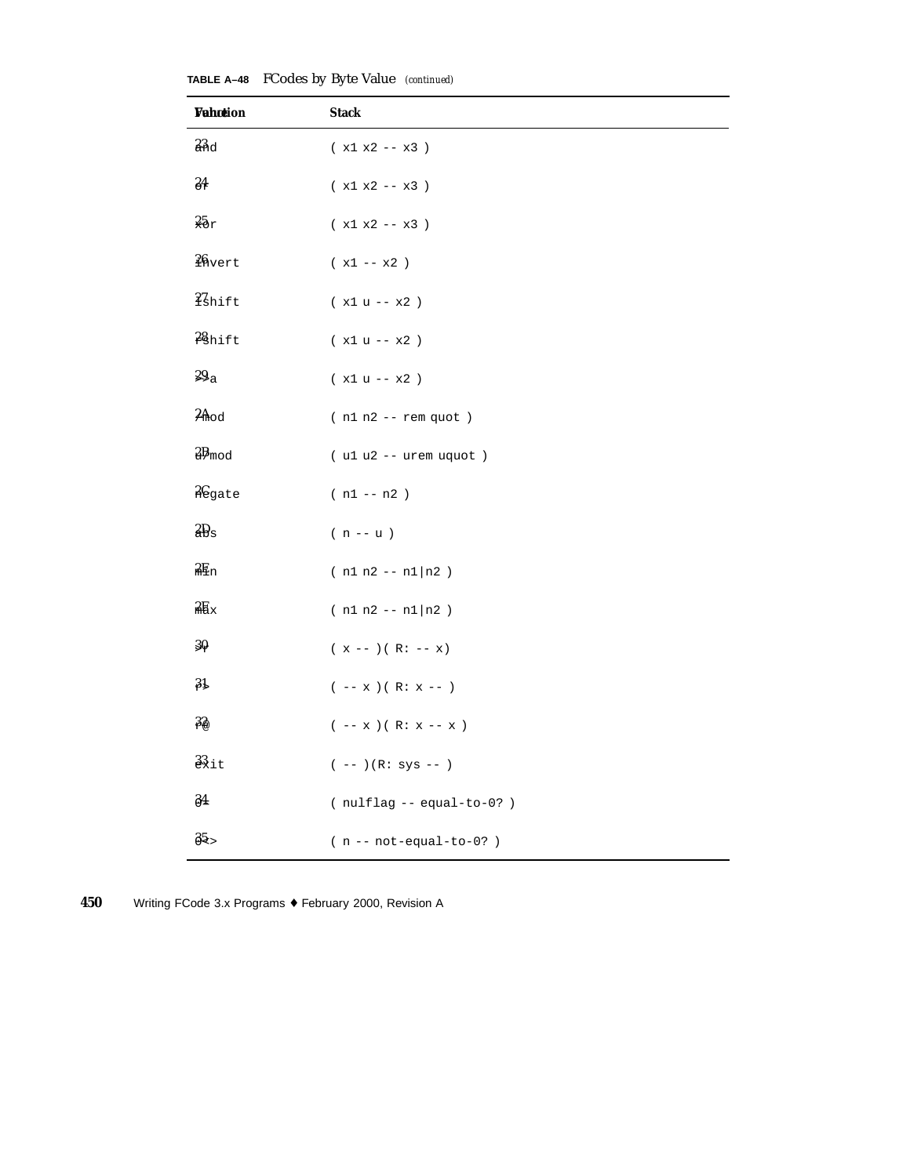| TABLE A-48 FCodes by Byte Value (continued) |  |  |  |  |
|---------------------------------------------|--|--|--|--|
|---------------------------------------------|--|--|--|--|

| <b>Vahction</b>   | <b>Stack</b>                        |
|-------------------|-------------------------------------|
| 23d               | $(x1 x2 - x3)$                      |
| 84                | $($ x1 x2<br>-- x3 $)\,$            |
| 25r               | $(x1 x2 - x3)$                      |
| $26$ vert         | $($ x1 $--$ x2 $\,)$                |
| <i>i</i> Shift    | $(x1 u - x2)$                       |
| 28hift            | $(x1 u - x2)$                       |
| 29a               | $(x1 u - x2)$                       |
| $2A$ od           | $(n1 n2 - rem quot)$                |
| $2B_{mod}$        | $( u1 u2 - - urem uquot )$          |
| <b>A</b> egate    | $(n1 - n2)$                         |
| 2D <sub>s</sub>   | $(n - u)$                           |
| $2E_{n}$          | $(n1 n2 - n1)n2)$                   |
| $2E_{\rm x}$      | $(n1 n2 - n1)n2)$                   |
| $30 -$            | $(x --)(R: -- x)$                   |
| 31                | $(- - x)(R: x --)$                  |
| 32                | $(- - x)(R: x - x)$                 |
| $\frac{33}{21}$ t | $(- - ) (R: sys -- )$               |
| $\frac{34}{3}$    | $(\text{nullflag} -- equal-to-0? )$ |
| $85 -$            | $(n - not-equal-to-0?)$             |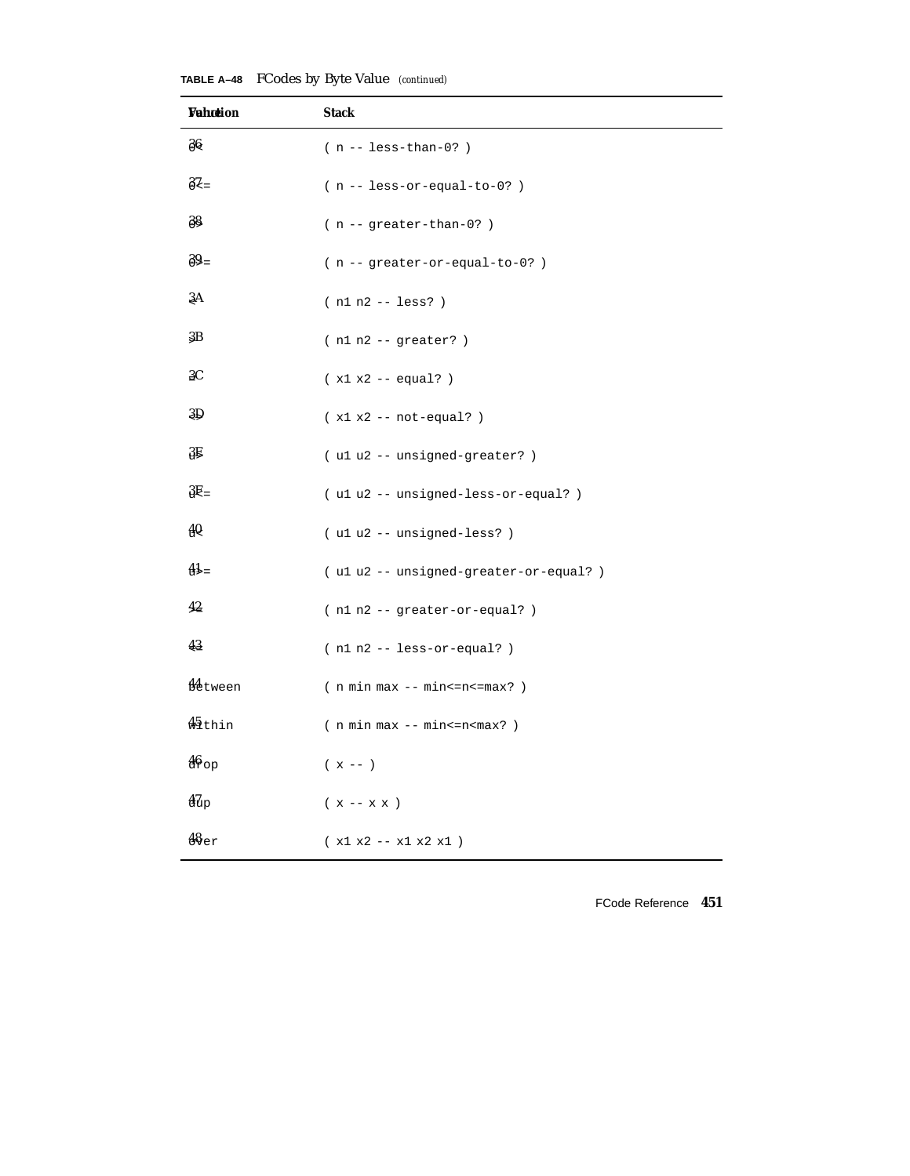| Wahotion            | <b>Stack</b>                         |
|---------------------|--------------------------------------|
| $\frac{36}{5}$      | $(n - - \text{less-than-0?})$        |
| $82 =$              | $(n - - less-or-equal-to-0?)$        |
| 38                  | $(n - - greater - than - 0?)$        |
| $39 =$              | $(n - - greater-or-equal-to-0?)$     |
| ξA                  | $(n1 n2 - - \text{less})$            |
| 3B                  | $(n1 n2 - 1)$                        |
| 3C                  | $(x1 x2 - equal?)$                   |
| 3D                  | $(x1 x2 - not-equal? )$              |
| 3Ę                  | (ulu2 -- unsigned-greater?)          |
| $3E =$              | (ulu2 -- unsigned-less-or-equal?)    |
| 40                  | (ulu2 -- unsigned-less?)             |
| $41 =$              | (ulu2 -- unsigned-greater-or-equal?) |
| 42                  | (n1 n2 -- greater-or-equal?)         |
| 43                  | $(n1 n2 - - less-cr-equal? )$        |
| <b>M</b> etween     | $(n min max - min < = n < = max? )$  |
| $\frac{45}{3}$ thin | $(n min max - min < = n < max? )$    |
| $46$ op             | $(x - - )$                           |
| $\frac{47}{40}$     | $(x - x x)$                          |
| 48 <sub>er</sub>    | $(x1 x2 - x1 x2 x1)$                 |

**TABLE A–48** FCodes by Byte Value *(continued)*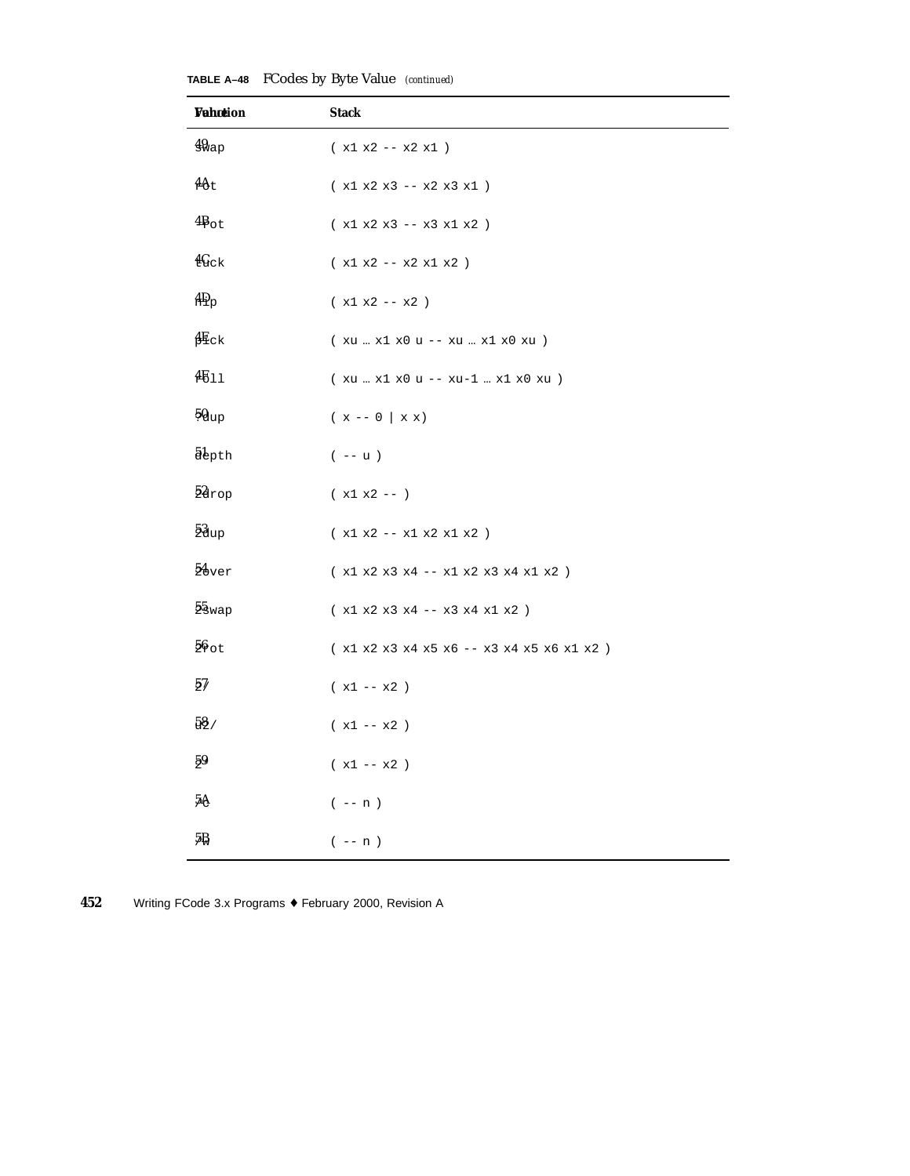| Wahotion          | <b>Stack</b>                                                                                                                                     |
|-------------------|--------------------------------------------------------------------------------------------------------------------------------------------------|
| $49_{\rm{ap}}$    | $(x1 x2 - x2 x1)$                                                                                                                                |
| $4\theta t$       | $(x1 x2 x3 - x2 x3 x1)$                                                                                                                          |
| $4B_{\text{ot}}$  | $(x1 x2 x3 -- x3 x1 x2 )$                                                                                                                        |
| 4Gck              | $(x1 x2 - x2 x1 x2)$                                                                                                                             |
| 4D <sub>p</sub>   | $(x1 x2 - x2)$                                                                                                                                   |
| $\frac{4E}{c}$ k  | $\left(\begin{array}{l}\text{xu} \ldots \text{x1} \text{x0} \text{u} \text{--} \text{xu} \ldots \text{x1} \text{x0} \text{xu}\end{array}\right)$ |
| 4511              | (xu  x1 x0 u -- xu-1  x1 x0 xu )                                                                                                                 |
| $50_{\text{up}}$  | $(x - 0 \mid x x)$                                                                                                                               |
| <i>abpth</i>      | $(- - u)$                                                                                                                                        |
| $2a$ rop          | $(x1 x2 - - )$                                                                                                                                   |
| $5\frac{3}{2}$ up | $(x1 x2 - x1 x2 x1 x2 )$                                                                                                                         |
| $54$ ver          | $(x1 x2 x3 x4 - x1 x2 x3 x4 x1 x2 )$                                                                                                             |
| 55 <sub>wap</sub> | $(x1 x2 x3 x4 -- x3 x4 x1 x2 )$                                                                                                                  |
| $56$ ot           | $($ x1 x2 x3 x4 x5 x6 -- x3 x4 x5 x6 x1 x2 $\,)$                                                                                                 |
| $5\%$             | $(x1 - x2)$                                                                                                                                      |
| $58$ /            | $(x1 - x2)$                                                                                                                                      |
| 59                | $($ x1 $--$ x2 $\,)$                                                                                                                             |
| 5Ą                | $(- - n)$                                                                                                                                        |
| 5₿                | $(- - n)$                                                                                                                                        |

**TABLE A–48** FCodes by Byte Value *(continued)*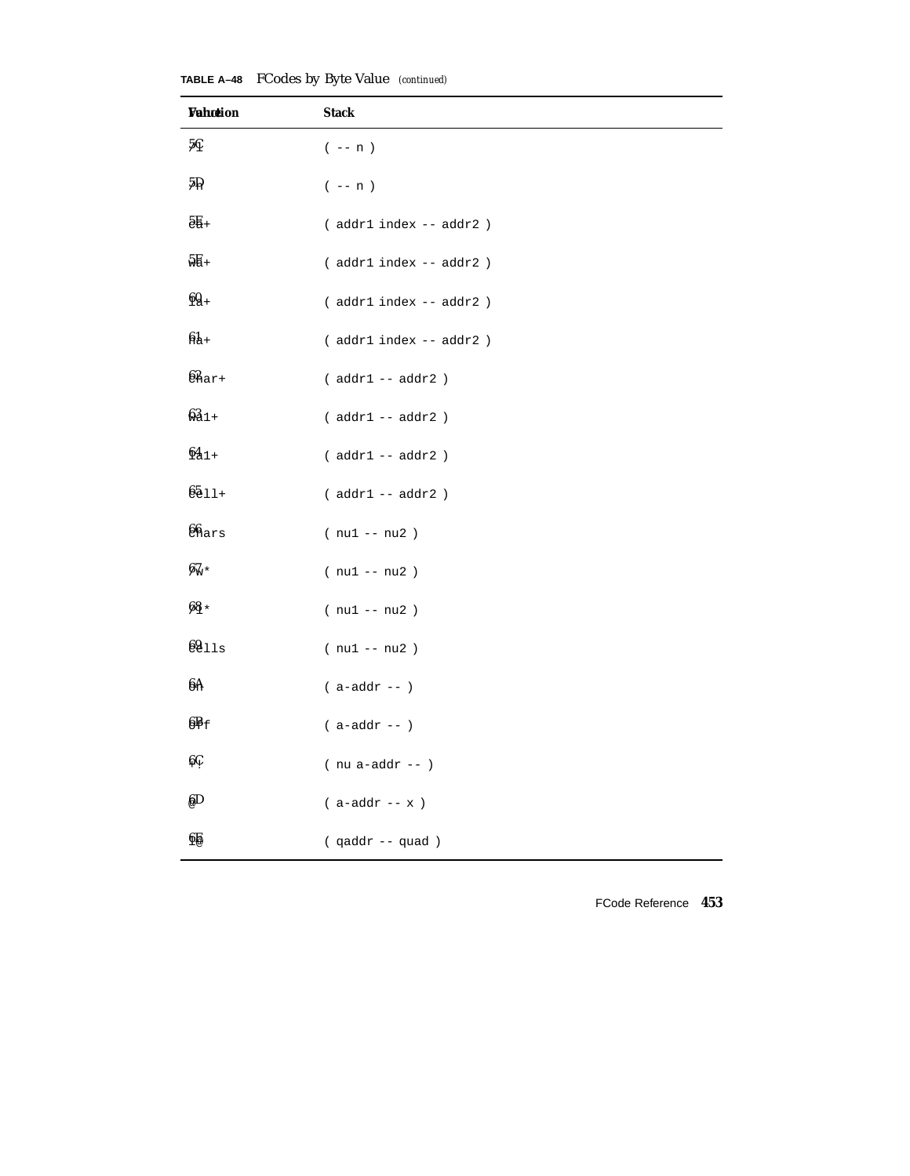| Wahation     | <b>Stack</b>                 |
|--------------|------------------------------|
| 5Ç           | $(- - n)$                    |
| $5\Omega$    | $(- - n)$                    |
| $5E_+$       | $($ addr1 index -- addr2 $)$ |
| 5E+          | (addr1 index -- addr2)       |
| $60 +$       | (addr1 index -- addr2)       |
| $64+$        | (addr1 index -- addr2)       |
| $62$ nar+    | $( addr1 -- addr2 )$         |
| $63 +$       | $($ addr $1$ -- addr $2$ $)$ |
| $64_{1+}$    | $($ addr $1$ -- addr $2$ $)$ |
| $6511 +$     | $($ addr $1$ -- addr $2$ $)$ |
| $66$ ars     | $(nu1 - nu2)$                |
| $67_{\circ}$ | $(nu1 - nu2)$                |
| 68 *         | $(nu1 - nu2)$                |
| 6911s        | $(nu1 - nu2)$                |
| 6A           | $( a-addr - )$               |
| $6F_f$       | $( a-addr -- )$              |
| ĢÇ.          | $(nu a-addr --)$             |
| 6D           | $($ a-addr -- $x$ )          |
| $6\%$        | (qaddr -- quad)              |

**TABLE A–48** FCodes by Byte Value *(continued)*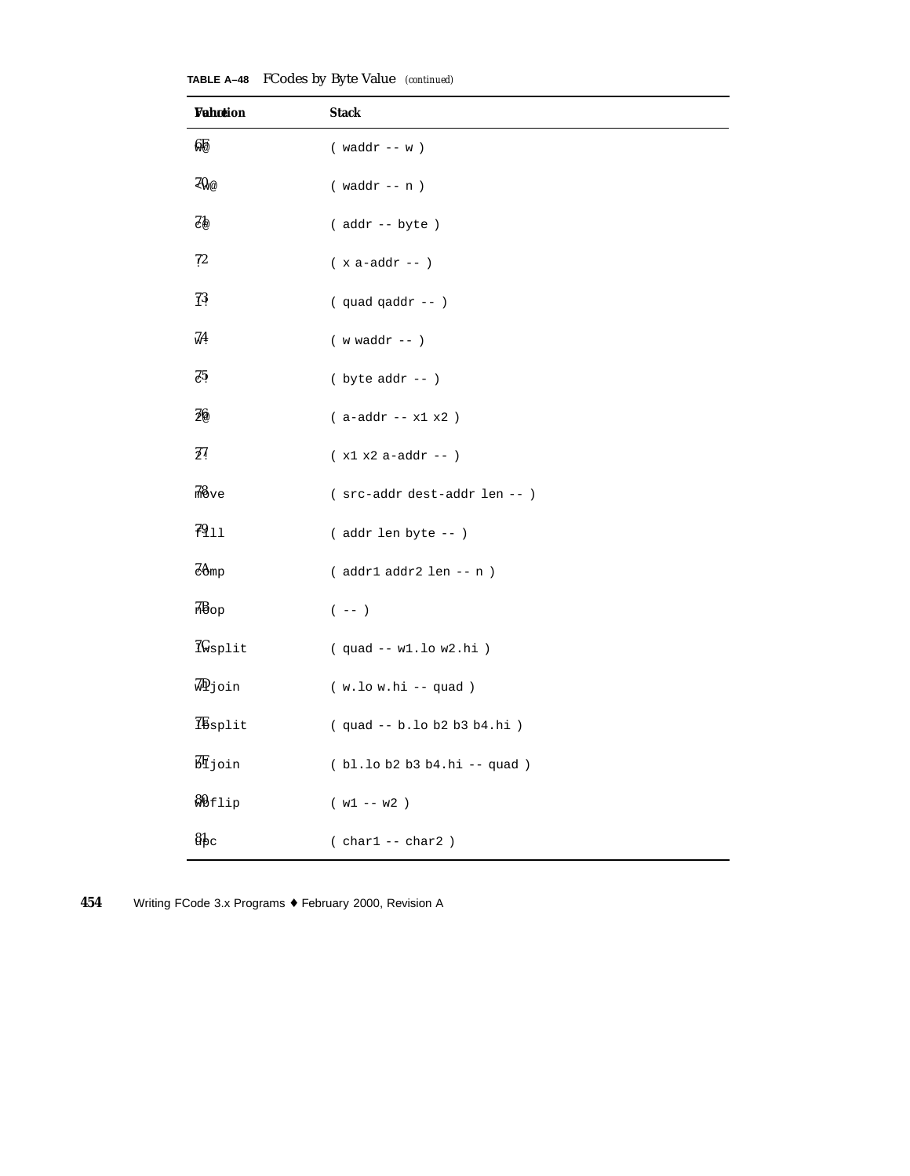| <b>Vahction</b>       | <b>Stack</b>                       |
|-----------------------|------------------------------------|
| 鋸                     | $(waddr - w)$                      |
| $ZQ_{V@}$             | $(waddr - n)$                      |
| 75                    | (addr -- byte)                     |
| 72                    | $($ x a-addr $\--$ )               |
| $\overline{1}3$       | $($ quad qaddr -- $)$              |
| 74                    | $($ $\,$ w $\,$ waddr $\,--\,$ $)$ |
| 25                    | $($ byte $addr -- )$               |
| 36                    | $(a-addr - x1 x2)$                 |
| $\frac{7}{4}$         | $(x1 x2 a - addr - )$              |
| 78 <sub>ve</sub>      | ( src-addr dest-addr len -- )      |
| 7911                  | (addr len byte -- )                |
| $Z\mathsf{Amp}$       | $( addr1 addr2 len - n )$          |
| 7B <sub>op</sub>      | $($ -- $)$                         |
| <i><b>I</b>wsplit</i> | $(quad -- w1.lo w2.hi)$            |
| √ipjoin               | $(w.lo w.hi - quad)$               |
| <i>I</i> Esplit       | (quad -- b.lo b2 b3 b4.hi)         |
| <b>班</b> join         | (bl.lob2b3b4.hi -- quad)           |
| <b>&amp;</b> Bflip    | $(w1 - w2)$                        |
| $8_{\rm bc}$          | $( char1 -- char2)$                |

**TABLE A–48** FCodes by Byte Value *(continued)*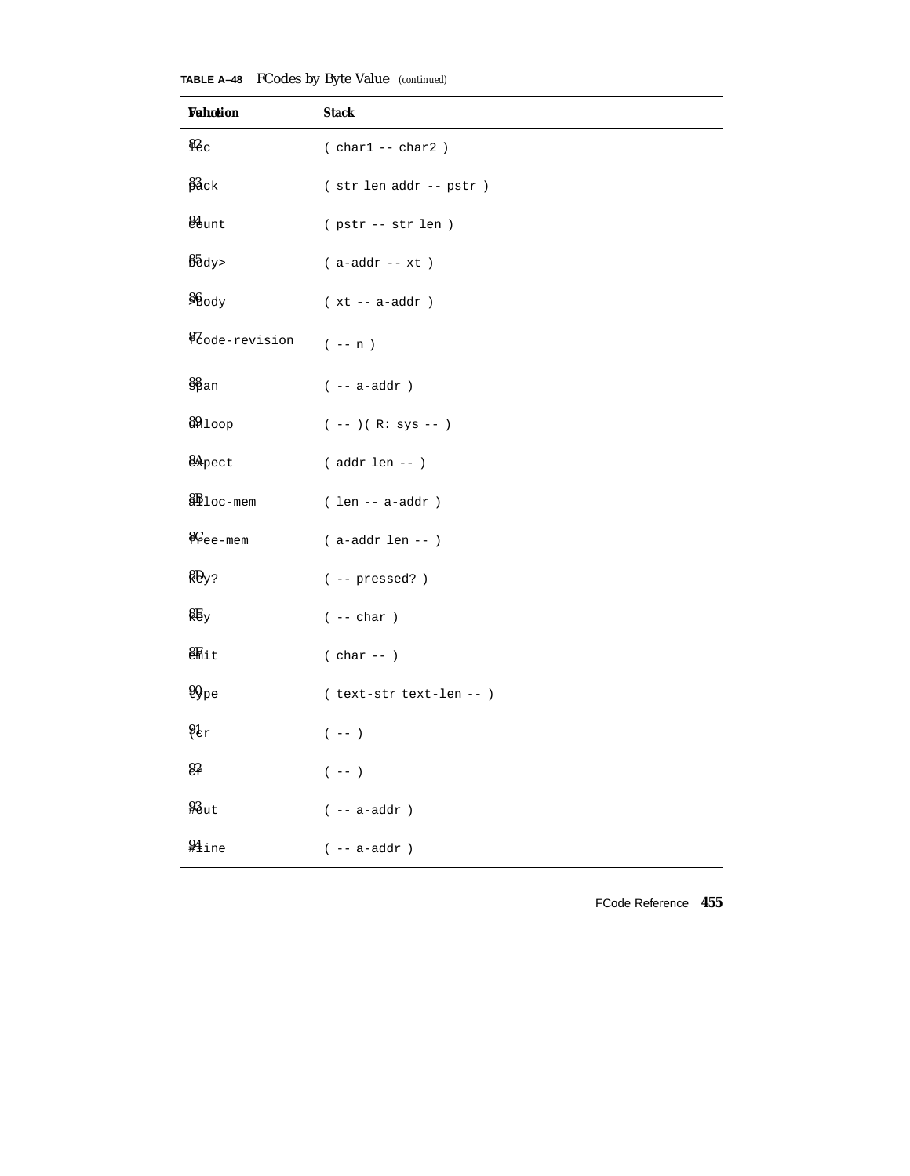**TABLE A–48** FCodes by Byte Value *(continued)*

| <b>Vahotion</b>                    | <b>Stack</b>                            |
|------------------------------------|-----------------------------------------|
| 82c                                | $( char1 -- char2)$                     |
| $\frac{83}{2}$ ck                  | $($ str len addr -- ${\tt pstr}$ )      |
| 81 <sub>unt</sub>                  | ( pstr -- str len )                     |
| $%$ $\delta$ $\Delta$ $\gamma$ $>$ | $(a-addr - xt)$                         |
| 86ody                              | $(xt - a - addr)$                       |
| <i>i</i> Code-revision             | $(- - n)$                               |
| $\S_{\rm pan}$                     | $( \ -  \texttt{a-addr}$ )              |
| 8910op                             | $(--) ( R: sys -- )$                    |
| & Pect                             | $($ addr len -- $)$                     |
| <b>&amp;B</b> <sub>loc-mem</sub>   | $( len -- a-addr )$                     |
| $C_{\text{ee-mem}}$                | $($ a-addr len -- $)$                   |
| $RQ_y$ ?                           | $(- - pressed?)$                        |
| $\frac{1}{2}$                      | $( \ - - \ {\rm char} \ )$              |
| $8F_{\text{hit}}$                  | $( char -- )$                           |
| 90 <sub>pe</sub>                   | (text-str text-len -- )                 |
| $9k_r$                             | $(\hspace{0.05in} - - \hspace{0.05in})$ |
| $9\frac{2}{5}$                     | $(- - )$                                |
| $43u$ t                            | $( \ -  \texttt{a-addr}$ )              |
| <b>¥</b> ine                       | $($ -- ${\tt a\text{-}addr}$ )          |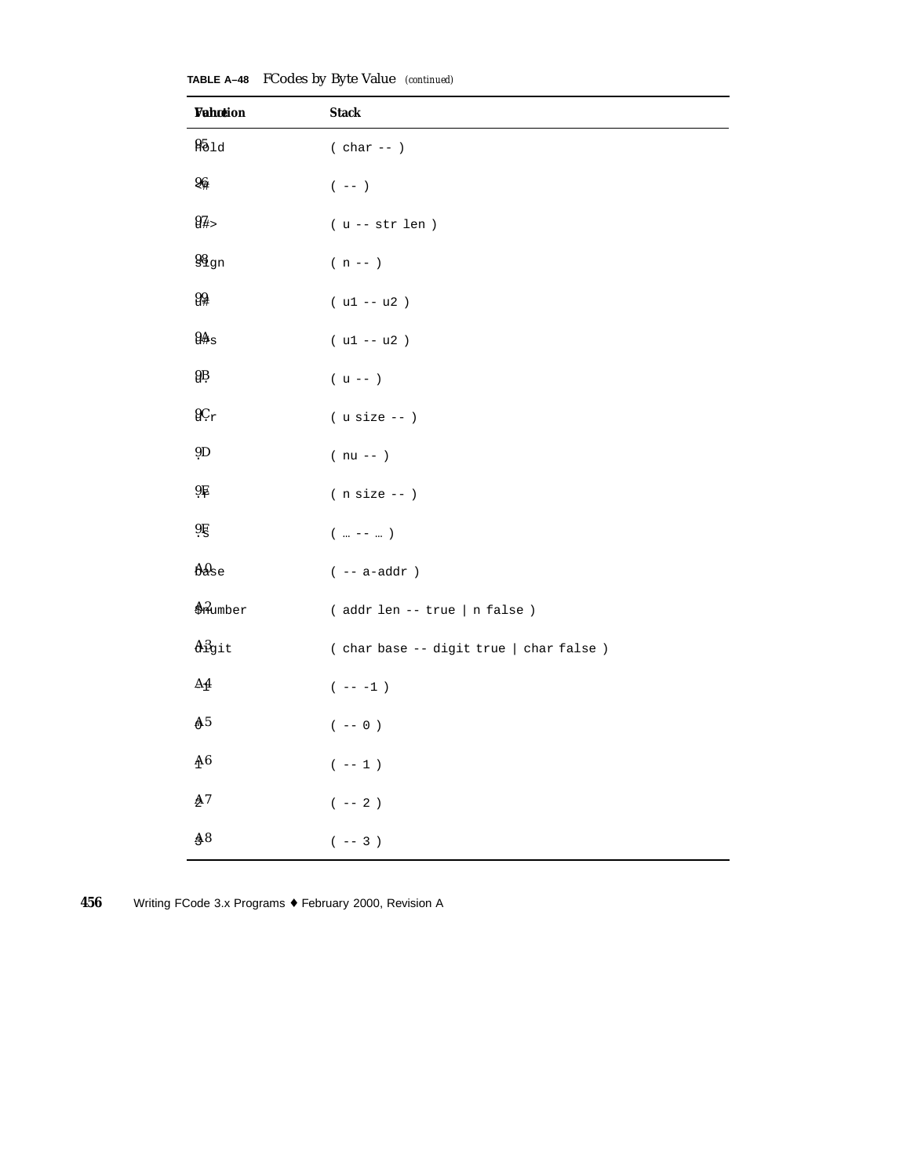| <b>Vahction</b>                      | <b>Stack</b>                                           |
|--------------------------------------|--------------------------------------------------------|
| 95d                                  | $( char -- )$                                          |
| 96                                   | $(\hspace{0.05in} - - \hspace{0.05in})$                |
| $94 -$                               | $(u -- str len)$                                       |
| $98$ gn                              | $( n \, -- \, )$                                       |
| 99                                   | $( u1 - u2 )$                                          |
| 94s                                  | $( u1 - u2 )$                                          |
| gŖ                                   | $(u --)$                                               |
| $9C_T$                               | $($ u size $- )$                                       |
| 9D                                   | $( nu -- )$                                            |
| $9\frac{1}{2}$                       | $(n size --)$                                          |
| 9E                                   | $(\quad \dots \ \-- \ \dots \ \ )$                     |
| $\mathbf{A}\mathbf{0}_{\mathrm{se}}$ | $( \ \ -- \ \text{a-addr} \ \ )$                       |
| Anumber                              | (addr len -- true   n false)                           |
| Aigit                                | ( char base -- digit true   char false )               |
| $\Delta \underline{4}$               | $(- - - 1)$                                            |
| A <sub>5</sub>                       | $(\hspace{0.2cm} - - \hspace{0.2cm} 0 \hspace{0.2cm})$ |
| $\Delta 6$                           | $(\hspace{0.2cm} - - \hspace{0.2cm} 1 \hspace{0.2cm})$ |
| $\Delta 7$                           | $( \ \-- 2 \ )$                                        |
| $\AA 8$                              | $(- - 3)$                                              |

**TABLE A–48** FCodes by Byte Value *(continued)*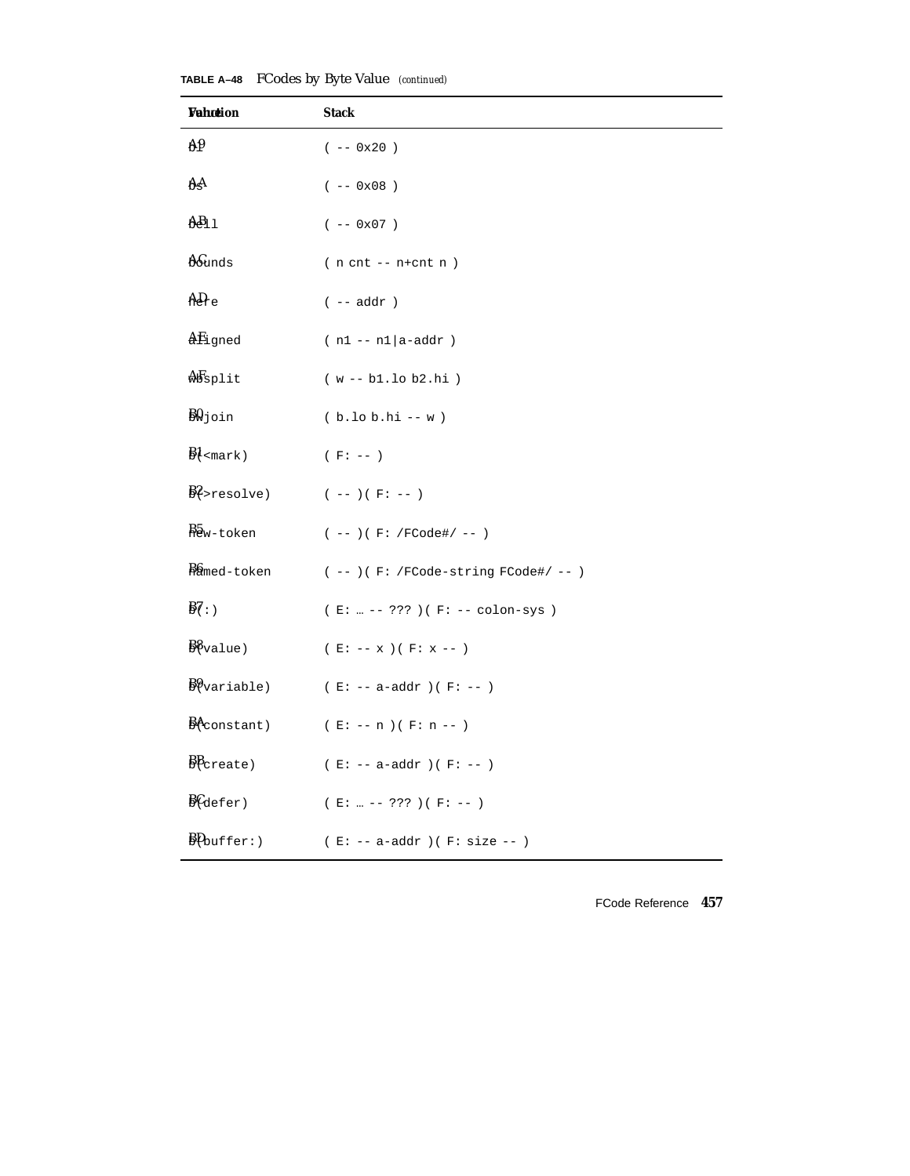| Wahotion                                                             | <b>Stack</b>                           |
|----------------------------------------------------------------------|----------------------------------------|
| A <sub>0</sub>                                                       | $(- - 0x20)$                           |
| ĄĄ                                                                   | $(- - 0x08)$                           |
| $AB_{11}$                                                            | $(- - 0x07)$                           |
| <b>A</b> Sunds                                                       | $(n \text{ cnt } -- \text{ n+cnt } n)$ |
| AD <sub>c</sub>                                                      | $(- - addr )$                          |
| AEigned                                                              | $(n1 - n1   a - addr)$                 |
| $\delta$ Seplit                                                      | $(w - b1.10 b2.hi)$                    |
| $\frac{1}{2}$ yoin                                                   | $(b.10 b.hi - w)$                      |
| $\frac{B1}{2}$ <mark)< td=""><td><math>(F: -- )</math></td></mark)<> | $(F: -- )$                             |
| $B$ ?>resolve)                                                       | $(- - ) ( F: - - )$                    |
| Baw-token                                                            | $(- - ) ( F: /FCode\# / - - )$         |
| Bamed-token                                                          | $(--)$ (F: /FCode-string FCode#/ -- )  |
| $\frac{1}{2}$                                                        | (E:  -- ??? ) (F: -- colon-sys )       |
|                                                                      | ( $E: -- x$ ) ( $F: x --$ )            |
| $B\$ variable)                                                       | ( $E: -- a-addr$ )( $F: --$ )          |
| $B$ <sup><math>\leftarrow</math></sup> constant)                     | ( $E: -- n$ )<br>( $F: n --$ )         |
| $\frac{B}{C_{\text{create}}}$                                        | ( $E: -- a-addr$ )( $F: --$ )          |
| $\frac{B}{\text{Gefer}}$                                             | $(E:  --- ??? ) (F: --- )$             |
| BPouffer: )                                                          | $(E: -- a-addr) (F: size --)$          |

**TABLE A–48** FCodes by Byte Value *(continued)*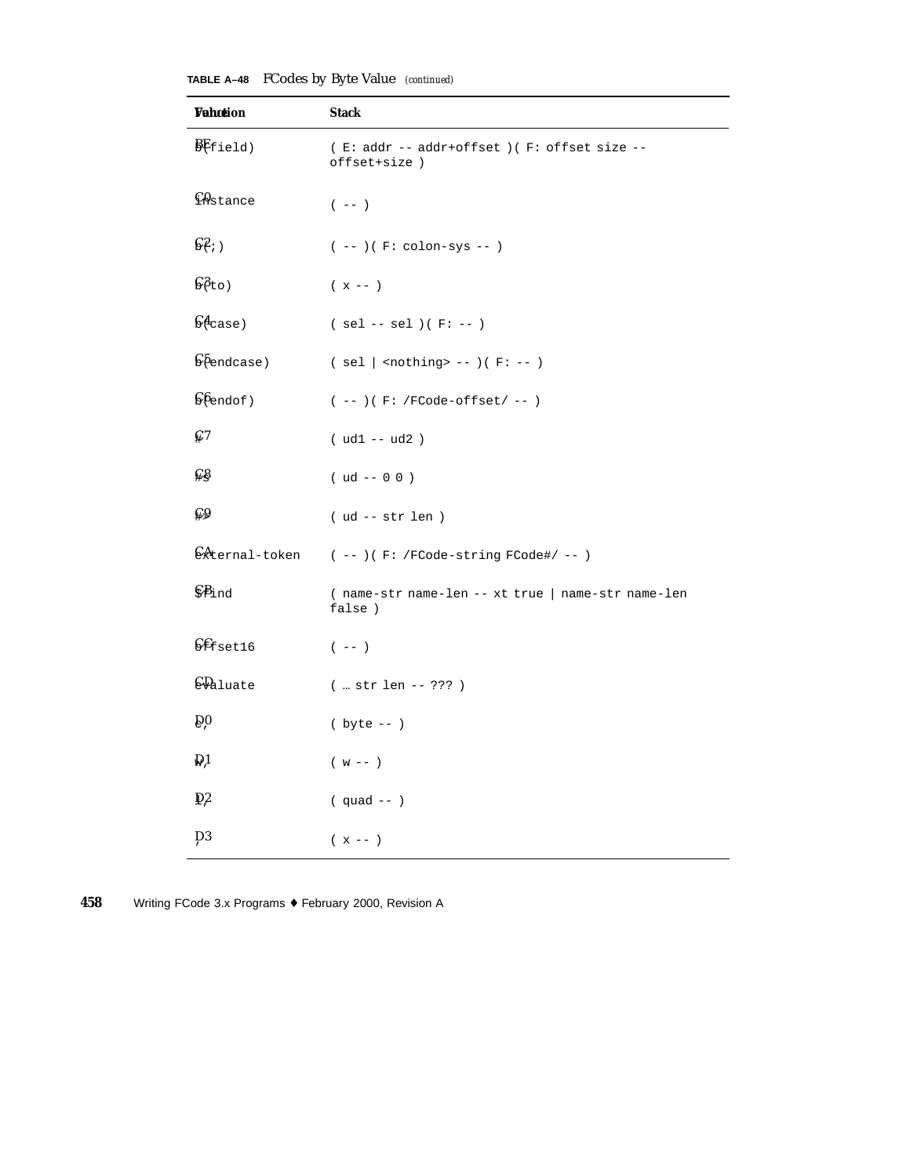| TABLE A-48 FCodes by Byte Value (continued) |  |  |  |  |
|---------------------------------------------|--|--|--|--|
|---------------------------------------------|--|--|--|--|

| Wahotion                            | <b>Stack</b>                                                |
|-------------------------------------|-------------------------------------------------------------|
| BFfield)                            | (E: addr -- addr+offset) (F: offset size --<br>offset+size) |
| <b>CAstance</b>                     | $(\hspace{0.05in} - - \hspace{0.05in})$                     |
| $\mathbb{S}^2$ ; )                  | $(- - ) ( F: colon-sys - )$                                 |
| 68t0)                               | $(x - - )$                                                  |
| $\mathsf{G4}_\mathtt{case}$ )       | $(sel -- sel)(F:-)$                                         |
| $\sqrt{6}$ endcase)                 | $(sel  $ <nothing> -- <math>)(F: --)</math></nothing>       |
|                                     | $(--) ( F: /FCode-offset / -- )$                            |
| $\mathbb{C}^7$                      | $( ud1 - ud2 )$                                             |
| ⊊§                                  | $( ud -- 0 0 )$                                             |
| $\mathbb{C}9$                       | $( ud -- str len )$                                         |
| External-token                      | $(--)$ (F: /FCode-string FCode#/ -- )                       |
| $\mathcal{E}$ ind                   | (name-str name-len -- xt true   name-str name-len<br>false) |
| $C\mathcal{E}_{\text{fset16}}$      | $(- - )$                                                    |
| <b>CP</b> aluate                    | $(  str len -- ???)$                                        |
| $\widehat{\mathsf{D}}$ <sup>0</sup> | $(yte - -)$                                                 |
| $\mathbb{D}1$                       | $(w - -)$                                                   |
| $\mathbb{D}^2$                      | $(quad --)$                                                 |
| $\overline{D}3$                     | $(x - - )$                                                  |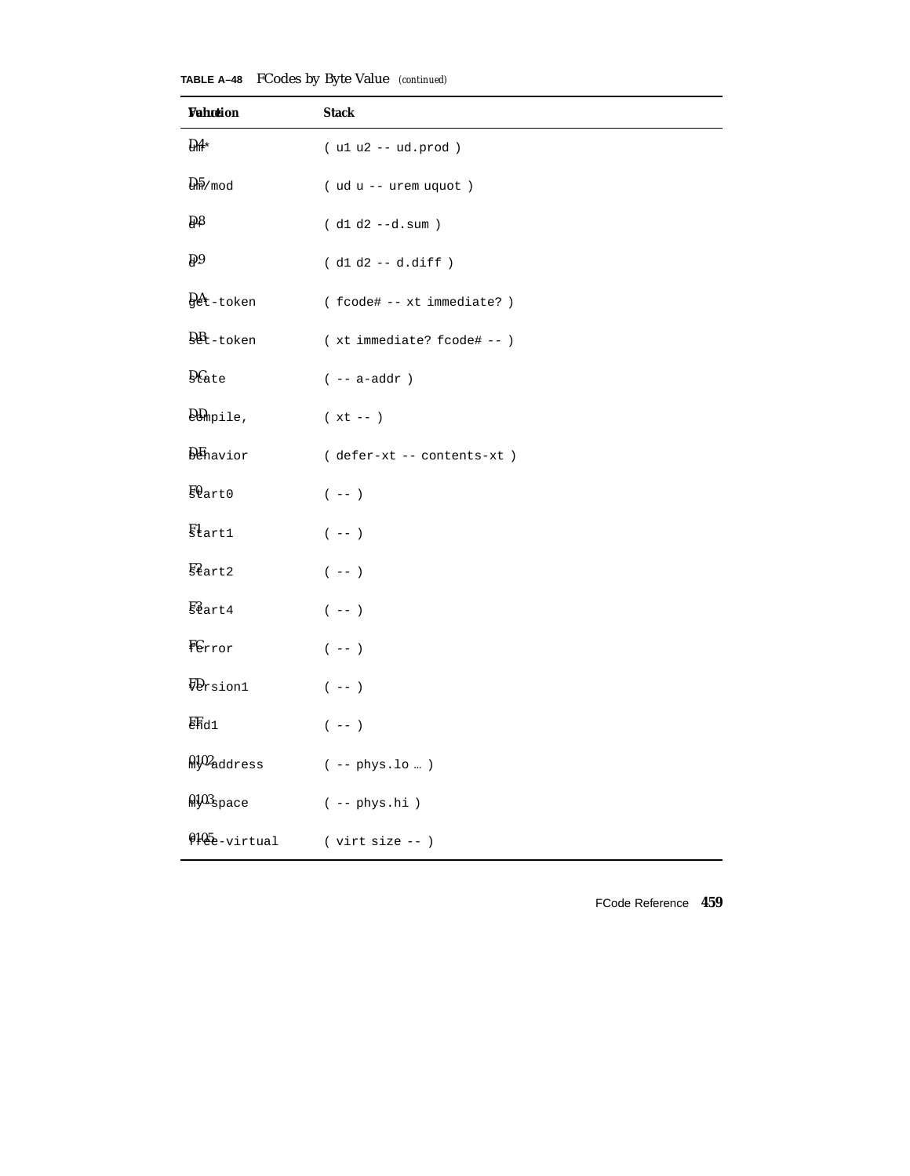**Vahction** Stack  $\frac{\partial A}{\partial x}$  (ulu2 -- ud.prod )  $\frac{D}{2}$  mod ( ud u -- urem uquot )  $Q\$  (d1 d2 --d.sum )  $Q9$  ( d1 d2 -- d.diff ) DAget-token ( fcode# -- xt immediate? )  $D_{\text{et}-\text{token}}$  (xt immediate? fcode# -- )  $D\$ {Date} (--a-addr) DDcompile, ( xt -- )

**TABLE A–48** FCodes by Byte Value *(continued)*

DE behavior ( defer-xt -- contents-xt )  $EQ$ art0 (--)  $\text{Start1}$  (--)  $\frac{E2}{\pi}$ art2 (--)  $\frac{12}{32}$ art4 (--)  $\mathbf{F}$ Error (--)  $FQ_{rsion1}$  (--)  $E_{\text{Hdl}}$  (-- )  $0.102$  address ( -- phys.lo ...)  $0.103$  space ( -- phys.hi )  $9105$ e-virtual ( virt size -- )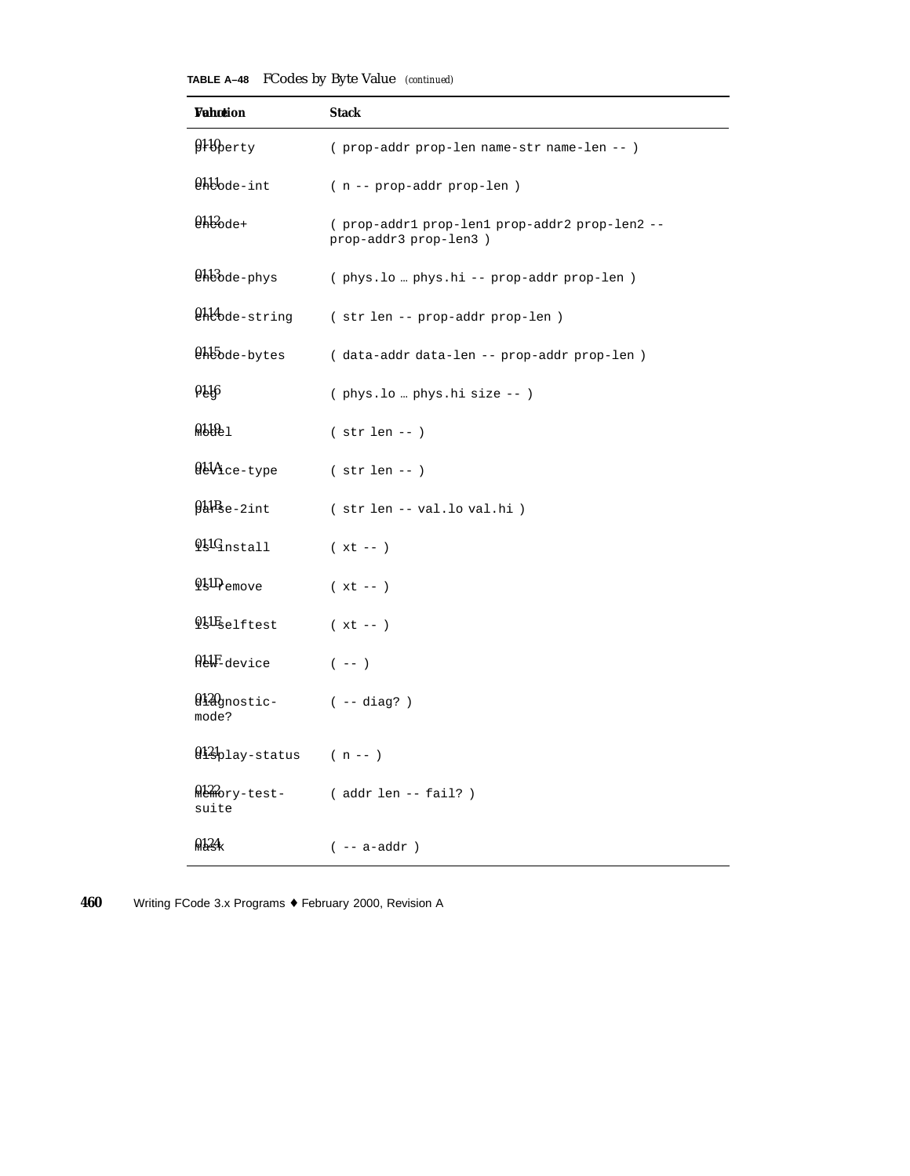| TABLE A-48 FCodes by Byte Value (continued) |  |  |  |  |
|---------------------------------------------|--|--|--|--|
|---------------------------------------------|--|--|--|--|

| <b>Vahotion</b>                                                                                                                                                                                                                                                                                                      | <b>Stack</b>                                                            |
|----------------------------------------------------------------------------------------------------------------------------------------------------------------------------------------------------------------------------------------------------------------------------------------------------------------------|-------------------------------------------------------------------------|
| $\mathfrak{g}_1 \mathfrak{g}_{\tt{Perty}}$                                                                                                                                                                                                                                                                           | (prop-addr prop-len name-str name-len -- )                              |
| <b>Chlode-int</b>                                                                                                                                                                                                                                                                                                    | ( n -- prop-addr prop-len )                                             |
| $0.12$ ode+                                                                                                                                                                                                                                                                                                          | ( prop-addr1 prop-len1 prop-addr2 prop-len2 --<br>prop-addr3 prop-len3) |
| <b>Chlode-phys</b>                                                                                                                                                                                                                                                                                                   | (phys.lo  phys.hi -- prop-addr prop-len)                                |
| <b>Chlode-string</b>                                                                                                                                                                                                                                                                                                 | (str len -- prop-addr prop-len)                                         |
| <b>Chbode-bytes</b>                                                                                                                                                                                                                                                                                                  | (data-addr data-len -- prop-addr prop-len)                              |
| 016                                                                                                                                                                                                                                                                                                                  | (phys.lo  phys.hi size -- )                                             |
| 0.1011                                                                                                                                                                                                                                                                                                               | $( str len -- )$                                                        |
| $0.44$ ce-type                                                                                                                                                                                                                                                                                                       | $(str len - )$                                                          |
| $94Bse-2int$                                                                                                                                                                                                                                                                                                         | (str len -- val.lo val.hi)                                              |
| $\mathbf{\mathfrak{g}}$ l $\mathbf{\mathfrak{q}}_{\text{nstal}}$                                                                                                                                                                                                                                                     | $(xt - )$                                                               |
| $9\frac{1}{2}$ $\frac{1}{2}$ $\frac{1}{2}$ $\frac{1}{2}$ $\frac{1}{2}$ $\frac{1}{2}$ $\frac{1}{2}$ $\frac{1}{2}$ $\frac{1}{2}$ $\frac{1}{2}$ $\frac{1}{2}$ $\frac{1}{2}$ $\frac{1}{2}$ $\frac{1}{2}$ $\frac{1}{2}$ $\frac{1}{2}$ $\frac{1}{2}$ $\frac{1}{2}$ $\frac{1}{2}$ $\frac{1}{2}$ $\frac{1}{2}$ $\frac{1}{2}$ | $(xt - )$                                                               |
| <b>QLIE</b> selftest                                                                                                                                                                                                                                                                                                 | $(xt - )$                                                               |
| ALLF-device                                                                                                                                                                                                                                                                                                          | $(- - )$                                                                |
| 0120 <sub>gnostic</sub><br>mode?                                                                                                                                                                                                                                                                                     | ( -- diag? )                                                            |
| $\mathbf{Q}$ l $\mathbf{Q}$ lay-status (n--)                                                                                                                                                                                                                                                                         |                                                                         |
| Memory-test-<br>suite                                                                                                                                                                                                                                                                                                | ( addr len -- fail? )                                                   |
| 9124                                                                                                                                                                                                                                                                                                                 | $(- - a - addr)$                                                        |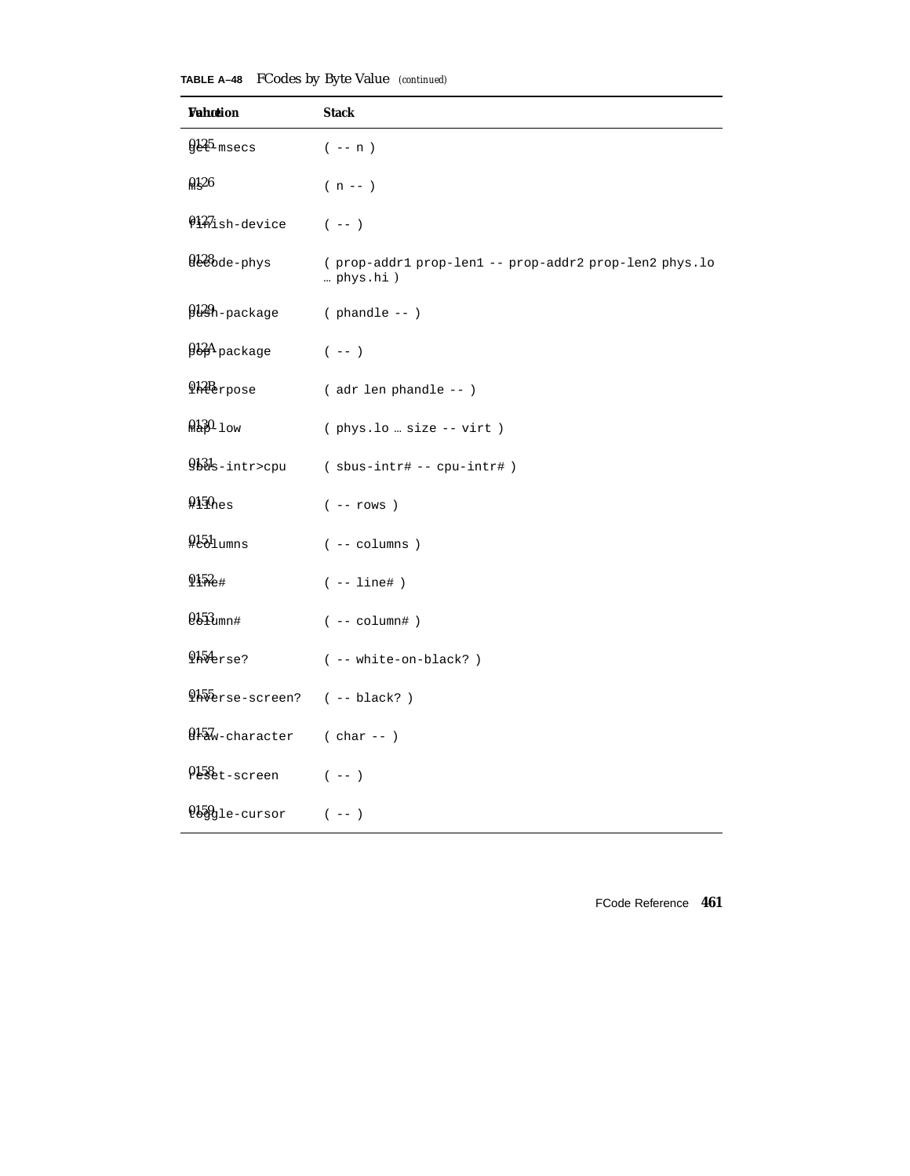| <b>TABLE A-48</b> FCodes by Byte Value (continued) |  |  |  |  |  |
|----------------------------------------------------|--|--|--|--|--|
|----------------------------------------------------|--|--|--|--|--|

| <b>Wahotion</b>        | <b>Stack</b>                                                      |
|------------------------|-------------------------------------------------------------------|
| $9125$ -msecs          | $(- - n)$                                                         |
| 0126                   | $(n - 1)$                                                         |
| 0127ish-device         | $(- - )$                                                          |
| 028 de-phys            | (prop-addr1 prop-len1 -- prop-addr2 prop-len2 phys.lo<br>phys.hi) |
| 0129h-package          | $( $ phandle -- $)$                                               |
|                        | $(- - )$                                                          |
| 912Berpose             | ( adr len phandle -- )                                            |
| $0.130 - 1$ ow         | (phys.lo  size -- virt)                                           |
| 931s-intr>cpu          | (sbus-intr# -- cpu-intr#)                                         |
| $9150$ <sub>nes</sub>  | $(- - \text{rows})$                                               |
| $951$ umns             | $(- - colums)$                                                    |
| $0152 +$               | $(- - 1ine# )$                                                    |
| $0.153$ umn#           | $(- - \text{column#})$                                            |
| <b>Qh</b> Aerse?       | ( -- white-on-black? )                                            |
| <i>Hiberse-screen?</i> | $(- - black?)$                                                    |
| 0157w-character        | $(char --)$                                                       |
| 0158et-screen          | $(- - )$                                                          |
| $0.59$ gle-cursor      | $(- - )$                                                          |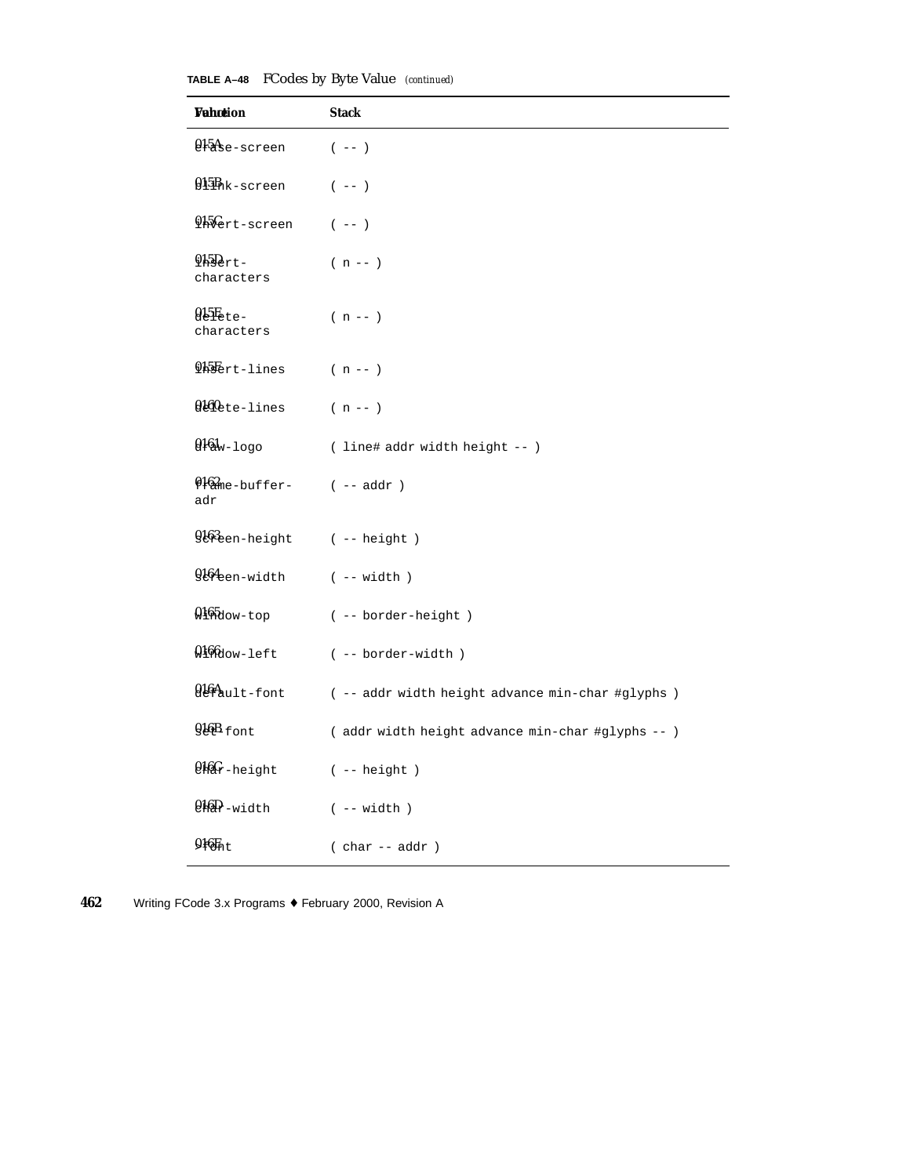| TABLE A-48 FCodes by Byte Value (continued) |  |  |  |  |
|---------------------------------------------|--|--|--|--|
|---------------------------------------------|--|--|--|--|

| Wahotion                            | <b>Stack</b>                                      |
|-------------------------------------|---------------------------------------------------|
| Q15A <sub>se-screen</sub>           | $(- - )$                                          |
| 015Bhk-screen                       | $(- - )$                                          |
| Hilert-screen                       | $(- - )$                                          |
| $9H_{2}F_{2}$<br>characters         | $(n - 1)$                                         |
| $0.5E$ <sub>ete</sub><br>characters | $(n - 1)$                                         |
| <b>Hillert-lines</b>                | $(n - 1)$                                         |
| 0160 <sub>ete-lines</sub>           | $(n - 1)$                                         |
| $9161w-1090$                        | ( line# addr width height -- )                    |
| 0162me-buffer-<br>adr               | $(- - addr )$                                     |
| 9163een-height                      | $(- - height )$                                   |
| 9164een-width                       | $(- - width)$                                     |
| $0.165$ dow-top                     | ( -- border-height )                              |
| 0100dow-left                        | ( -- border-width )                               |
| 016Ault-font                        | ( -- addr width height advance min-char #glyphs ) |
| $9.16B$ font                        | ( addr width height advance min-char #glyphs -- ) |
| $9.66$ r-height                     | ( -- height )                                     |
| $9.69 - width$                      | $(- - width)$                                     |
| 9 <sub>16</sub>                     | $( char -- addr )$                                |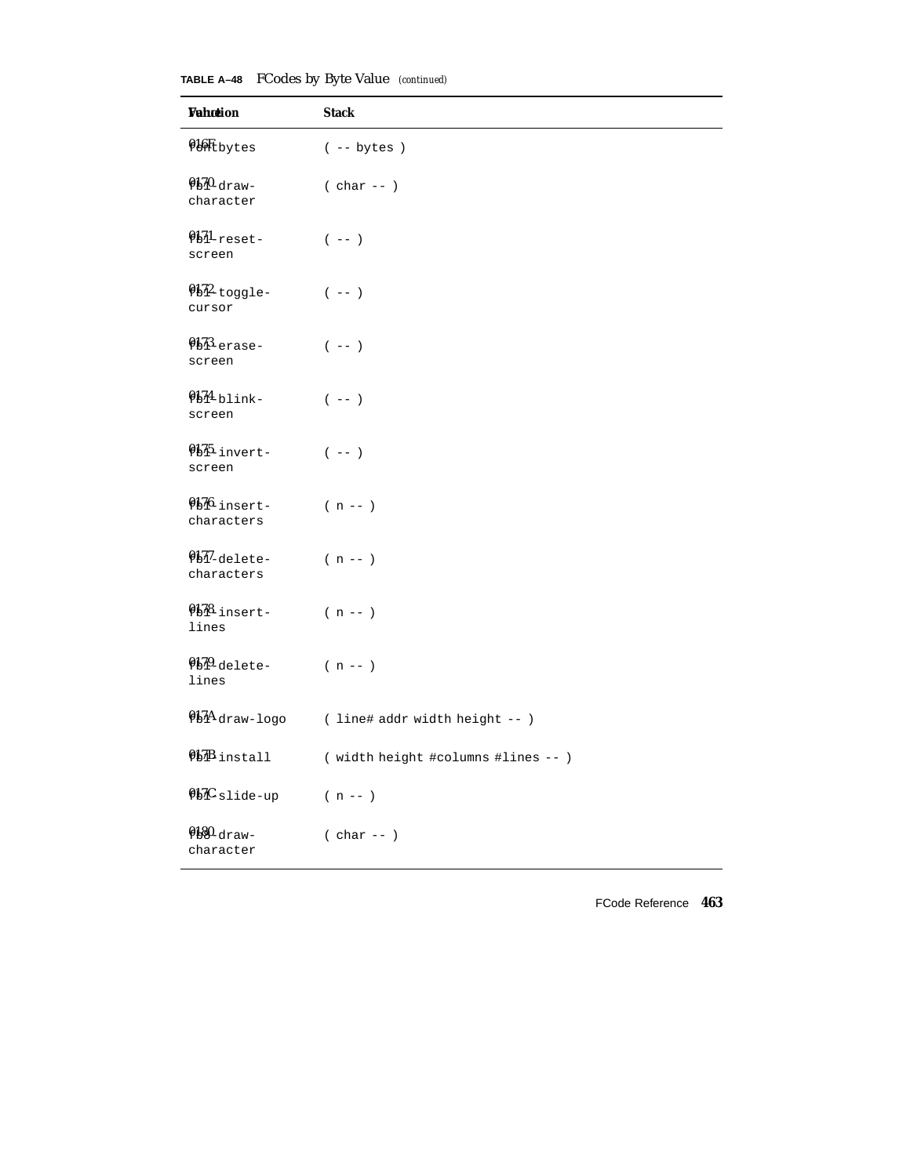## **TABLE A–48** FCodes by Byte Value *(continued)*

| Wahotion                                       | <b>Stack</b>                        |
|------------------------------------------------|-------------------------------------|
| <b>QUIL</b> bytes                              | $(- - bytes)$                       |
| $950$ -draw-<br>character                      | $( char -- )$                       |
| 0131-reset-<br>screen                          | $(- - )$                            |
| $952$ toggle-<br>cursor                        | $(- - )$                            |
| $9b$ <sup>3</sup> $_{\text{erase}-}$<br>screen | $(- - )$                            |
| $954$ blink-<br>screen                         | $(- - )$                            |
| QHL-invert-<br>screen                          | $(- - )$                            |
| Qb76_insert-<br>characters                     | $(n - 1)$                           |
| 01-delete-<br>characters                       | $(n - - )$                          |
| Q178_insert-<br>lines                          | $(n - - )$                          |
| 0130-delete-<br>lines                          | $(n - 1)$                           |
| $91/4$ draw-logo                               | ( line# addr width height -- )      |
| $95B$ install                                  | ( width height #columns #lines -- ) |
| $95C$ slide-up                                 | $(n - 1)$                           |
| $9180$ -draw-<br>character                     | $( char -- )$                       |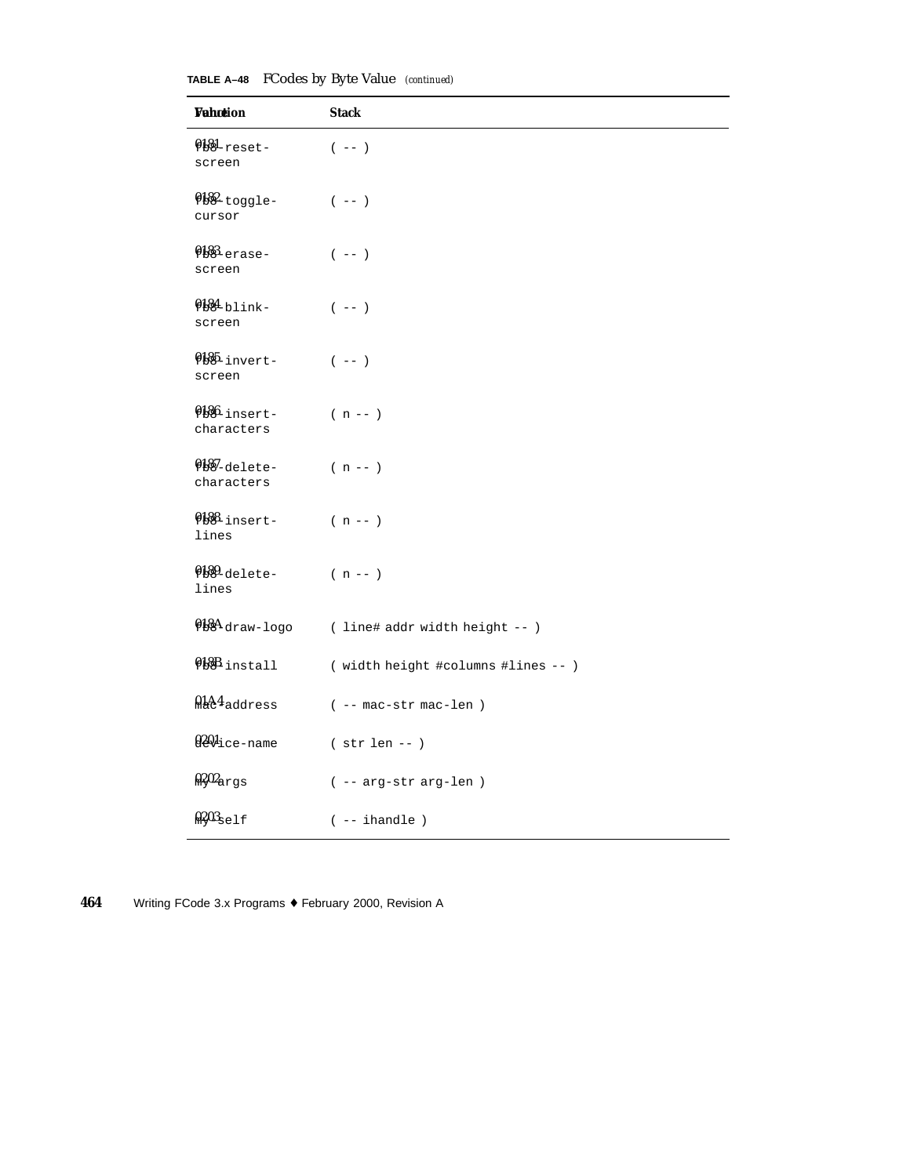| <b>Wahotion</b>            | <b>Stack</b>                                   |
|----------------------------|------------------------------------------------|
| $9181$ -reset-<br>screen   | $(- - )$                                       |
| Q182-toggle-<br>cursor     | $(- - )$                                       |
| 0188-erase-<br>screen      | $(- - )$                                       |
| Q184-blink-<br>screen      | $(- - )$                                       |
| 0185-invert-<br>screen     | $(- - )$                                       |
| Q186-insert-<br>characters | $(n - 1)$                                      |
| 0187-delete-<br>characters | $(n - 1)$                                      |
| Q188-insert-<br>lines      | $(n - 1)$                                      |
| 0189-delete-<br>lines      | $(n - 1)$                                      |
|                            | $9184$ draw-logo (line# addr width height -- ) |
| <b>QBB</b> install         | ( width height #columns #lines -- )            |
| MA44 address               | $($ -- $mac - str$ $mac - len$ $)$             |
| 0201ice-name               | $( str len -- )$                               |
| $0.202$ args               | ( -- arg-str arg-len )                         |
| $0.203$ self               | $(- - ihandle)$                                |

**TABLE A–48** FCodes by Byte Value *(continued)*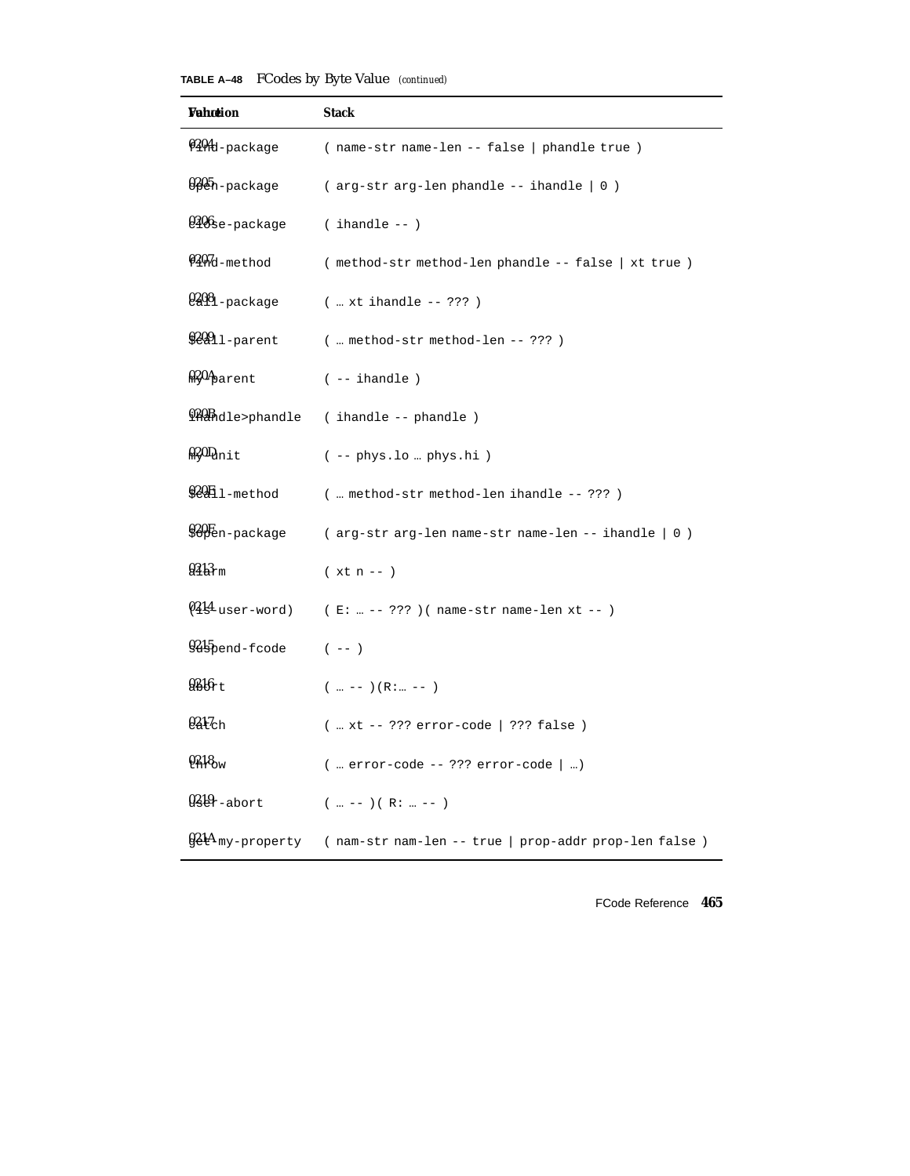**TABLE A–48** FCodes by Byte Value *(continued)*

| Wahœion                     | Stack                                                                   |
|-----------------------------|-------------------------------------------------------------------------|
| 0404d-package               | (name-str name-len -- false   phandle true )                            |
| 0205h-package               | $(arg-str arg-len phandle -- ihandle   0)$                              |
| 0406se-package              | $($ ihandle -- $)$                                                      |
| 0207d-method                | (method-str method-len phandle -- false   xt true)                      |
| 02081-package               | $(  x t ihandle -- ???)$                                                |
| $92991 -$ parent            | ( method-str method-len -- ???)                                         |
| $\frac{0.204}{0.202}$ arent | $(- - ihandle)$                                                         |
|                             | Q20Bhdle>phandle (ihandle -- phandle)                                   |
| $020D_{\text{unit}}$        | $(- - phys.lo  phys.hi)$                                                |
| $920E1$ -method             | (  method-str method-len ihandle -- ??? )                               |
| \$&Ben-package              | ( arg-str arg-len name-str name-len -- ihandle   0 )                    |
| $943$ <sub>rm</sub>         | $(xt n - )$                                                             |
| $Q_4$ l $q$ -user-word)     | ( E:  -- ??? )( name-str name-len xt -- )                               |
| $9.15$ pend-frode (--)      |                                                                         |
| 936t                        | $(\ldots --)(R: \ldots --)$                                             |
| $0217$ ch                   | (  xt -- ??? error-code   ??? false )                                   |
| 0.18 <sub>w</sub>           | $($ error-code -- ??? error-code $ $ )                                  |
| $0.29$ -abort               | $(m - -) (R: m - -)$                                                    |
|                             | $921A$ my-property (nam-str nam-len -- true   prop-addr prop-len false) |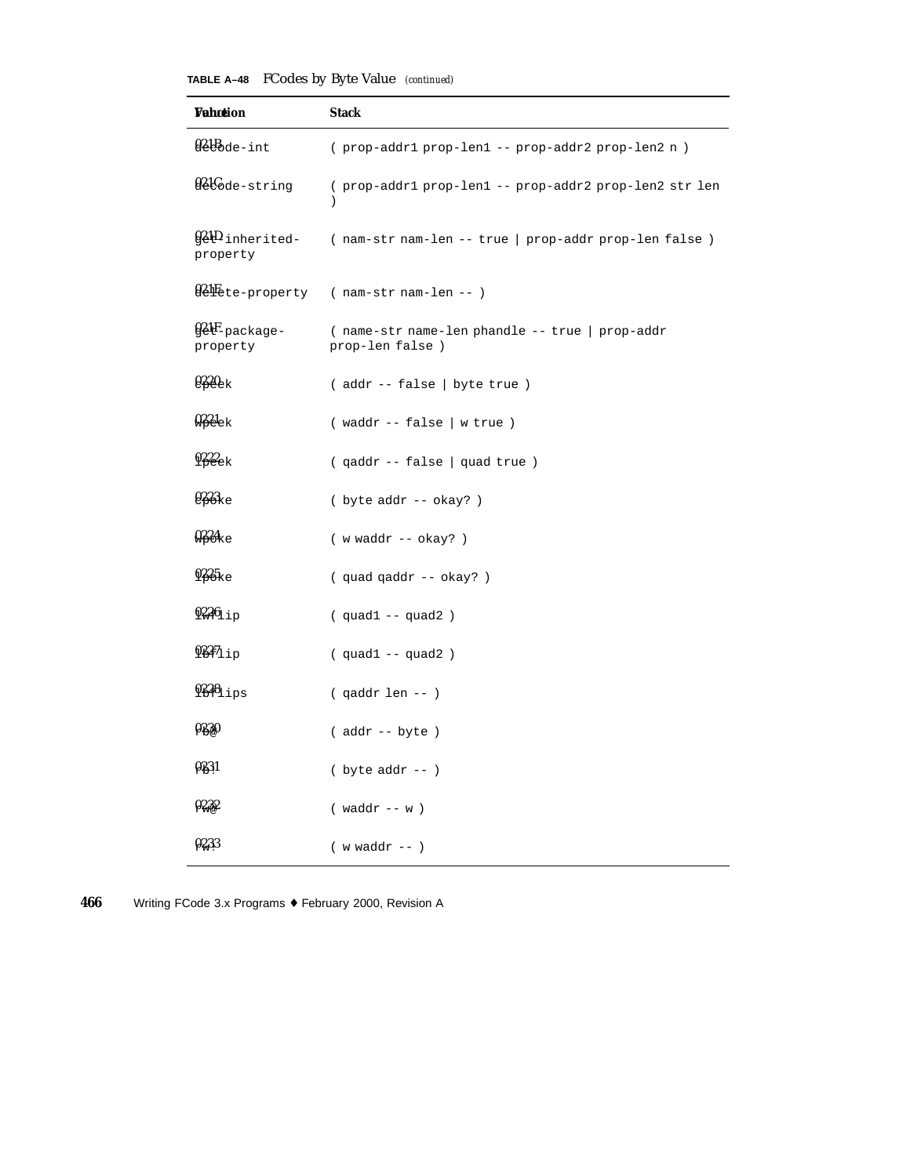| <b>TABLE A-48</b> FCodes by Byte Value (continued) |  |  |  |  |
|----------------------------------------------------|--|--|--|--|
|----------------------------------------------------|--|--|--|--|

| Wahotion                               | <b>Stack</b>                                                            |
|----------------------------------------|-------------------------------------------------------------------------|
| 021Bde-int                             | ( prop-addr1 prop-len1 -- prop-addr2 prop-len2 n)                       |
| 021Gde-string                          | ( prop-addr1 prop-len1 -- prop-addr2 prop-len2 str len<br>$\mathcal{E}$ |
| <b>G&amp;HD</b> inherited-<br>property | (nam-str nam-len -- true   prop-addr prop-len false)                    |
|                                        | 02Hete-property (nam-str nam-len -- )                                   |
| gelF-package-<br>property              | (name-str name-len phandle -- true   prop-addr<br>prop-len false)       |
| $0220$ <sub>ek</sub>                   | (addr -- false   byte true )                                            |
| $922$ ek                               | $($ waddr -- false $ $ w true $ $                                       |
| $922$ ek                               | (qaddr -- false   quad true)                                            |
| $0.23$ ke                              | ( byte addr -- okay? )                                                  |
| 924e                                   | $(w \text{ waddr } - - \text{ okay? })$                                 |
| $925_{\text{ke}}$                      | (quad qaddr -- okay?)                                                   |
| $9226_{11}$                            | $(quad1 -- quad2)$                                                      |
| $937_{11p}$                            | $(quad1 -- quad2)$                                                      |
| $9336_{\text{lips}}$                   | $( qaddr len -- )$                                                      |
| 0230                                   | $($ addr $--$ byte $)$                                                  |
| 0231                                   | $(\text{byte} addr --)$                                                 |
| 0232                                   | $(waddr -- w)$                                                          |
| 0233                                   | $(w \text{ waddr} --)$                                                  |

**<sup>466</sup>** Writing FCode 3.x Programs ♦ February 2000, Revision A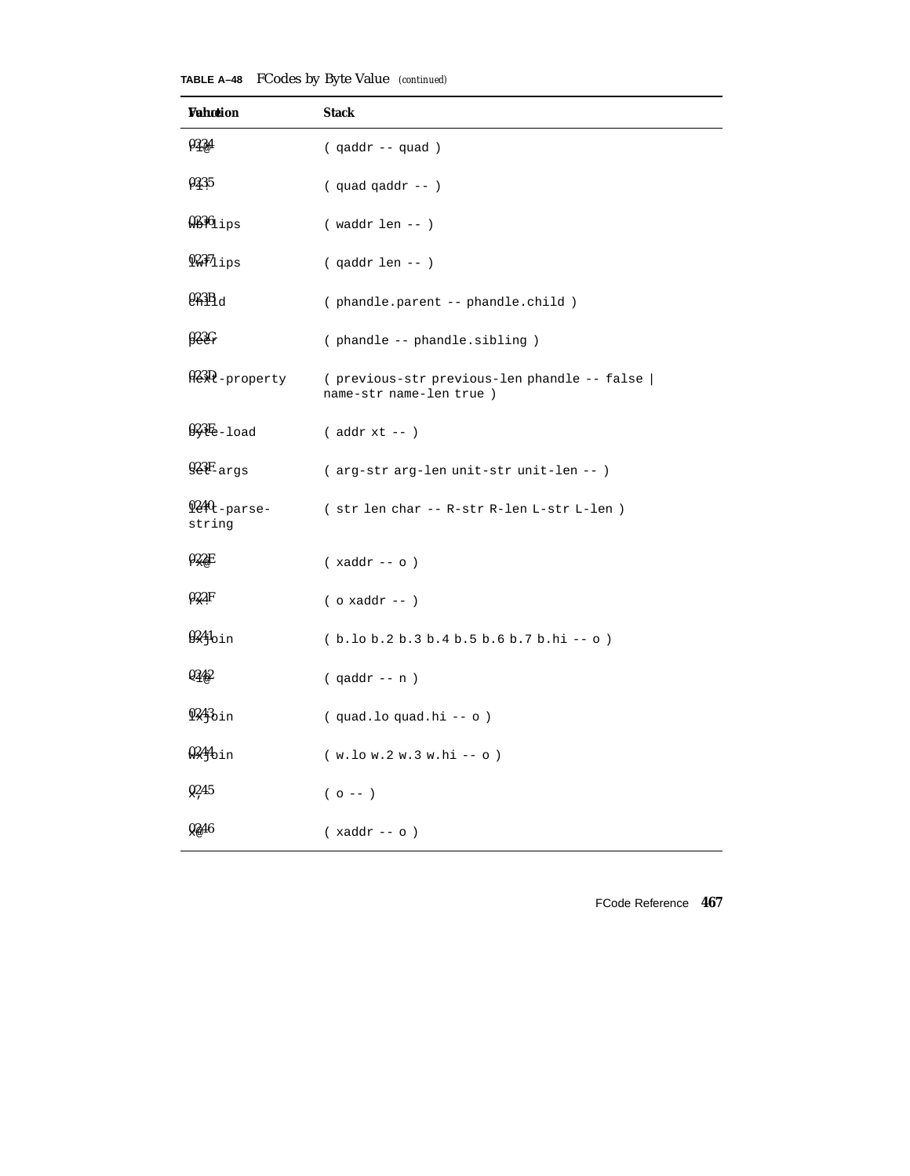| <b>TABLE A-48</b> FCodes by Byte Value (continued) |  |  |  |  |  |
|----------------------------------------------------|--|--|--|--|--|
|----------------------------------------------------|--|--|--|--|--|

| Wahotion                           | Stack                                                                    |
|------------------------------------|--------------------------------------------------------------------------|
| 0234                               | ( qaddr -- quad )                                                        |
| 0235                               | $(quad q)$ quad $q$ addr -- $)$                                          |
| $936$ ips                          | $(waddr len - )$                                                         |
| $927_{11}$                         | $( qaddr len -- )$                                                       |
| 0.3B <sub>d</sub>                  | (phandle.parent -- phandle.child)                                        |
| 922C                               | (phandle -- phandle.sibling)                                             |
| 023D-property                      | (previous-str previous-len phandle -- false  <br>name-str name-len true) |
| $9.3E-1$ oad                       | $($ addr $xt -- )$                                                       |
| $92F_{\text{args}}$                | (arg-str arg-len unit-str unit-len --)                                   |
| 0240 <sub>t-parse-</sub><br>string | (str len char -- R-str R-len L-str L-len )                               |
| 022F                               | $(xaddr -- o)$                                                           |
| 022F                               | $($ o xaddr -- $)$                                                       |
| $924$ oin                          | $(b.10 b.2 b.3 b.4 b.5 b.6 b.7 b.hi -o)$                                 |
| Q342                               | $( qaddr - n )$                                                          |
| $9243$ <sub>bin</sub>              | (quad.loquad.hi -- o)                                                    |
| $0.244$ bin                        | $(w.lo w.2 w.3 w.hi - o)$                                                |
| Q <sub>245</sub>                   | $(0 - -)$                                                                |
| 0246                               | $(xaddr -- o)$                                                           |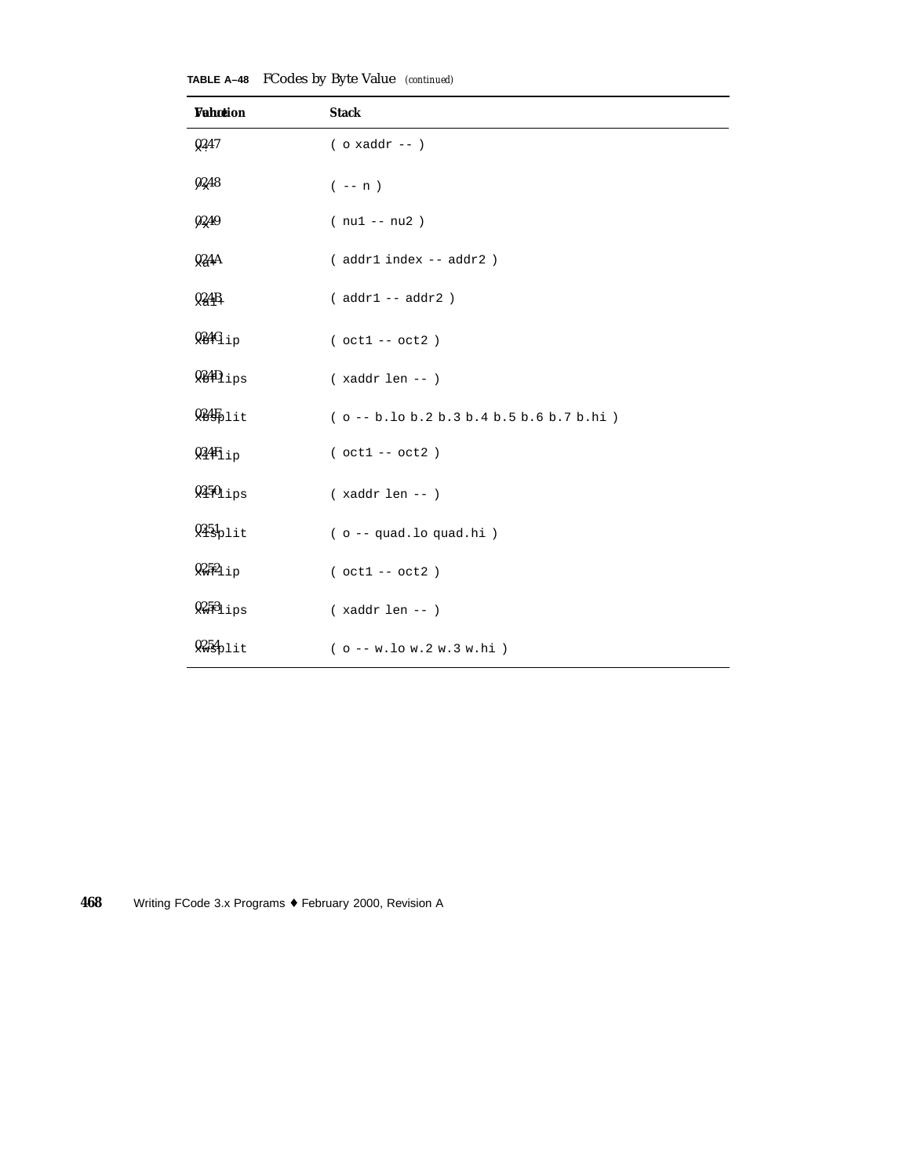| <b>Vahotion</b>               | <b>Stack</b>                               |
|-------------------------------|--------------------------------------------|
| Q <sub>247</sub>              | $($ o xaddr -- $)$                         |
| 0248                          | $(- - n)$                                  |
| 0249                          | $(nu1 - nu2)$                              |
| 024A                          | ( addr1 index -- addr2 )                   |
| 924B                          | $(addr1 - addr2)$                          |
| $9.44 \text{G}_{1p}$          | $( oct1 -- oct2 )$                         |
| $\mathcal{Q} \mathcal{L}$ ips | $(xaddr len - )$                           |
| $935$ plit                    | $(o - b.$ lo b.2 b.3 b.4 b.5 b.6 b.7 b.hi) |
| $94_{\text{tip}}$             | $( oct1 -- oct2 )$                         |
| $9450$ ips                    | $(xaddr len - )$                           |
| $935p$ lit                    | ( o -- quad.lo quad.hi)                    |
| $9252_{11}$                   | $( oct1 -- oct2 )$                         |
| 9.53                          | $(xaddr len - )$                           |
| $9254$ plit                   | $(o - w.lo w.2 w.3 w.hi)$                  |

**TABLE A–48** FCodes by Byte Value *(continued)*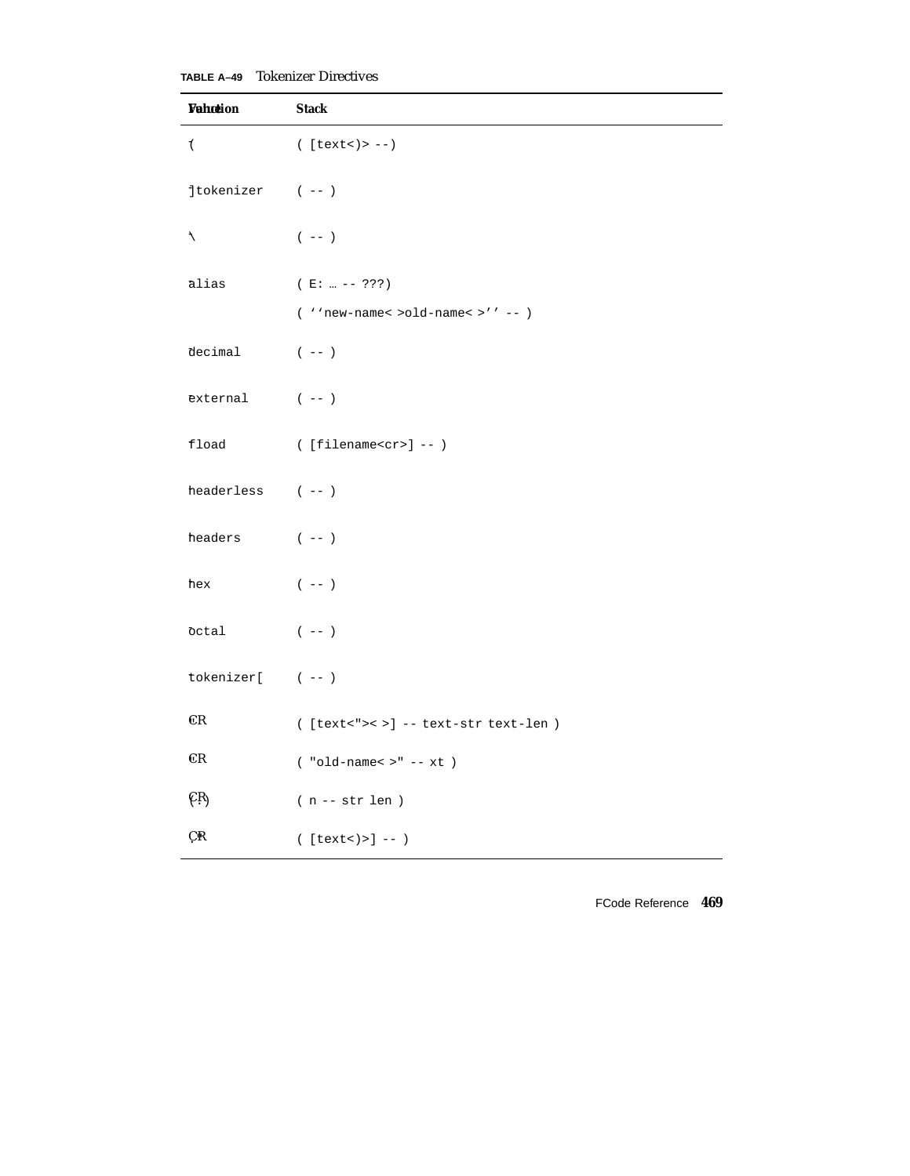**TABLE A–49** Tokenizer Directives

| Wahotion               | <b>Stack</b>                             |
|------------------------|------------------------------------------|
| 7                      | $($ [text < $)$ > -- $)$                 |
| $1$ tokenizer (--)     |                                          |
| $\mathcal{L}$          | $(- - )$                                 |
| ālias                  | $(E:  --- ???)$                          |
|                        | ( ''new-name< >old-name< >'' -- )        |
| decimal                | $(- - )$                                 |
| $external$ (--)        |                                          |
| fload                  | $( [filename < cr>] -- )$                |
| headerless $(--)$      |                                          |
| headers $(--)$         |                                          |
| hex                    | $(- - )$                                 |
| octal                  | $(- - )$                                 |
| $tokenizer[$ $(--)$    |                                          |
| CR                     | $([text">< ">> ] -- text-str text-len )$ |
| $\mathbb{C}\mathbf{R}$ | $($ "old-name< $>$ " -- $xt$ )           |
| CR <sub>1</sub>        | $( n \mathrel{-}\text{- str len } )$     |
| ÇR                     | $([text"><) >] --)$                      |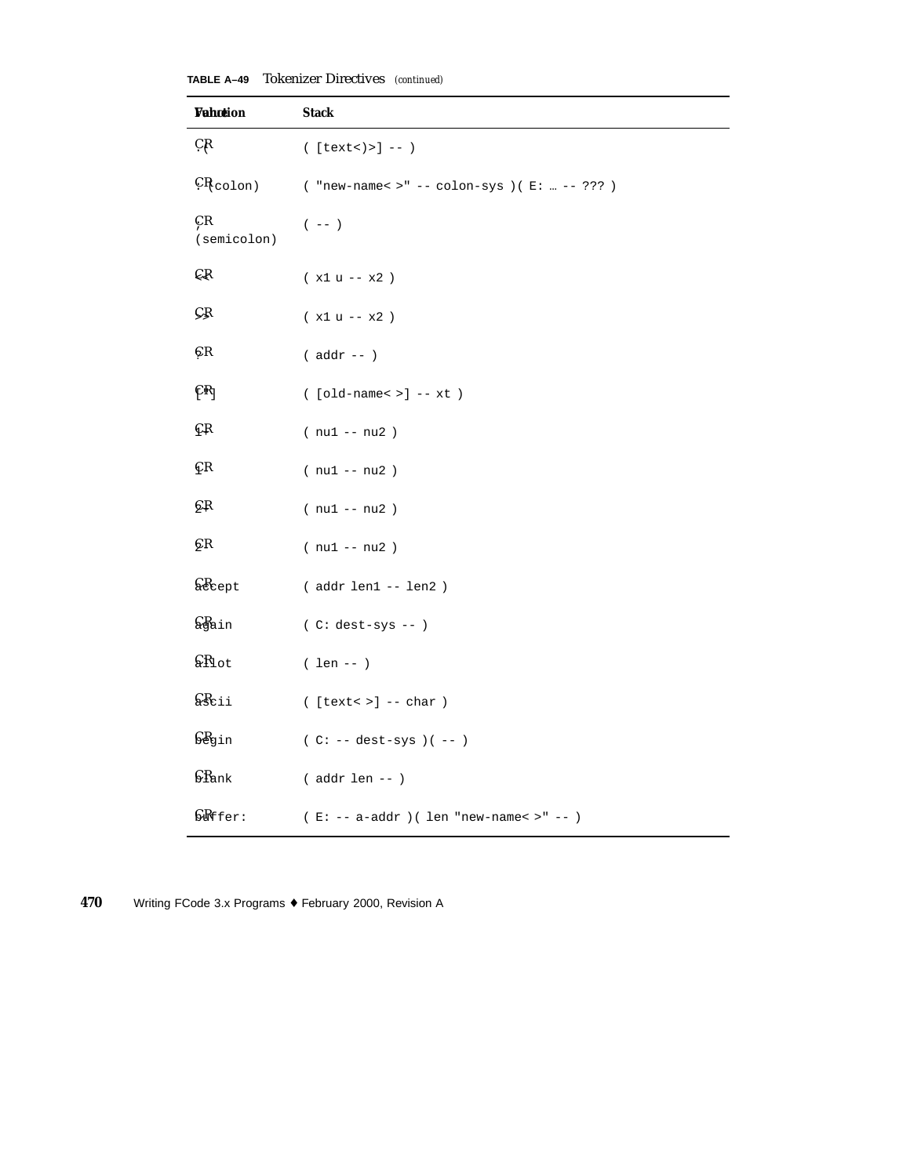| TABLE A-49 |  | <b>Tokenizer Directives</b> (continued) |  |
|------------|--|-----------------------------------------|--|
|------------|--|-----------------------------------------|--|

| <b>Vahction</b>              | <b>Stack</b>                                   |
|------------------------------|------------------------------------------------|
| ÇŖ                           | $([text"><) >] --)$                            |
| $CR_{\text{colon}}$          | ( "new-name< >" -- colon-sys )( $E:  -- ?$ ??) |
| ÇR<br>(semicolon)            | $(\hspace{0.05in} - - \hspace{0.05in})$        |
| ÇŖ                           | $(x1 u - x2)$                                  |
| ÇŖ                           | $(x1 u - x2)$                                  |
| ÇR                           | $($ addr -- $)$                                |
| $\mathbb{R}_1$               | $($ [old-name< >] -- xt $)$                    |
| €R                           | $(nu1 - nu2)$                                  |
| ÇК                           | $(nu1 - nu2)$                                  |
| çв                           | $(nu1 - nu2)$                                  |
| çк                           | $(nu1 - nu2)$                                  |
| $\Omega$ <sub>cept</sub>     | (addr len1 -- len2)                            |
| <b>G</b> ain                 | $(C: dest-sys --)$                             |
| $\mathcal{S}R_{\text{lot}}$  | $( len -- )$                                   |
| $\zeta_{\texttt{Scii}}$      | $($ [text < > ] -- char $)$                    |
| $\mathbb{S}\mathbb{B}$ gin   | $(C: -- dest-sys)$ $(--)$                      |
| $\int$ $R_{\rm ank}$         | $($ addr len -- $)$                            |
| $\mathbb{S}\mathbb{R}$ ffer: | $(E: -- a-addr) (len "new-name~) -- )$         |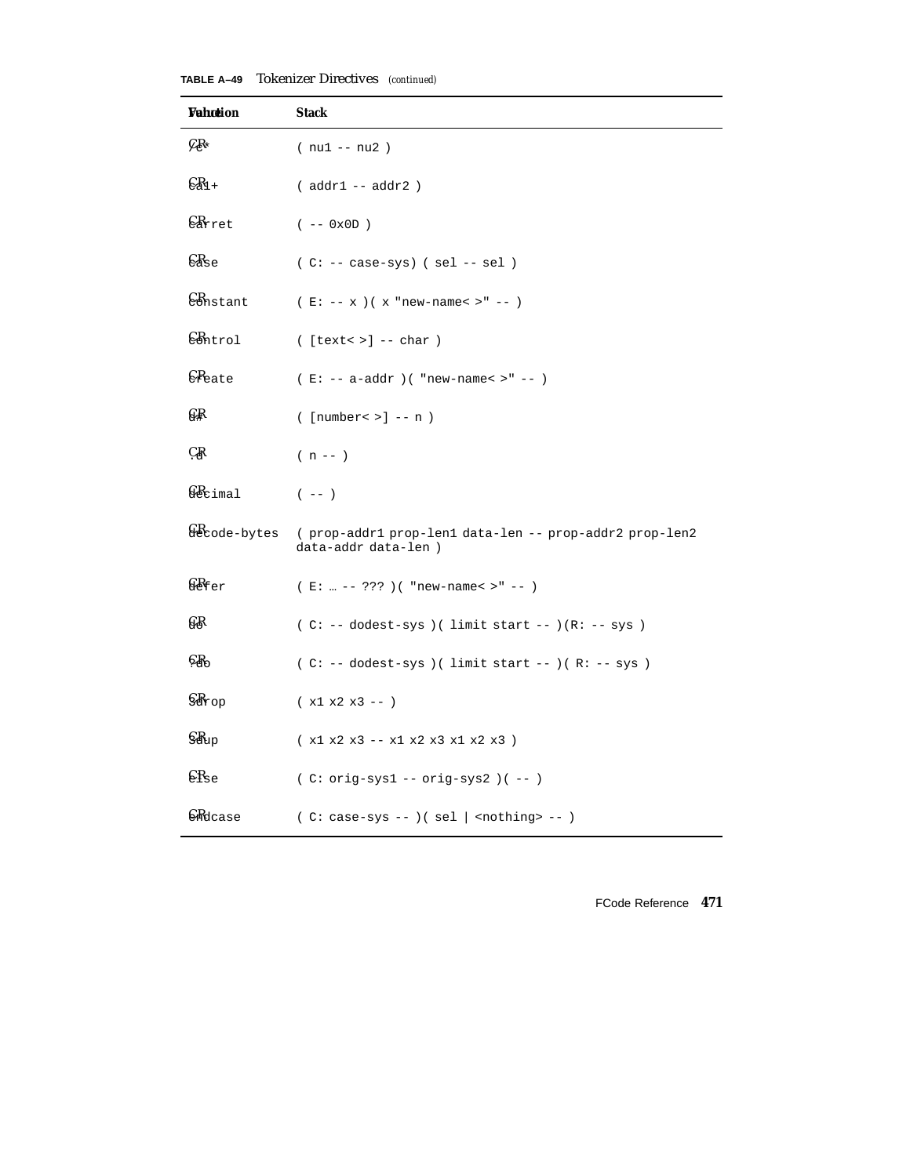| TABLE A-49 |  | <b>Tokenizer Directives</b> (continued) |  |
|------------|--|-----------------------------------------|--|
|------------|--|-----------------------------------------|--|

| Wahotion                    | <b>Stack</b>                                                                  |
|-----------------------------|-------------------------------------------------------------------------------|
| $\mathcal{C}$ R*            | $(nu1 - nu2)$                                                                 |
| $\mathbb{C}R_{1+}$          | $( addr1 -- addr2 )$                                                          |
| $\epsilon_{\texttt{Arret}}$ | $(- - 0x0D)$                                                                  |
| $\epsilon_{\texttt{dse}}$   | $(C: -- case-sys)$ (sel -- sel)                                               |
| Constant                    | $(E: -- x)(x "new-name < >" --")$                                             |
| $\mathbb{C}$ Antrol         | $($ [text< >] -- char $)$                                                     |
| <b>CR</b> eate              | $(E: -- a-addr)$ ( "new-name< >" -- )                                         |
| G₽                          | $(\text{number} > ] -- n)$                                                    |
| ÇŖ                          | $(n - 1)$                                                                     |
| $\Omega$ cimal              | $(- - )$                                                                      |
| & Code-bytes                | (prop-addr1 prop-len1 data-len -- prop-addr2 prop-len2<br>data-addr data-len) |
| $\Omega$ fer                | $(E:  --- ???)$ ( "new-name< >" -- )                                          |
| G₿                          | $(C: -- dodest-sys) ( limit start --)(R: -- sys)$                             |
| $C_{\rm 3}R_{\rm O}$        | $(C: -- dodest-sys) ( limit start --) (R: -- sys)$                            |
| $\mathbb{S}R$ rop           | $(x1 x2 x3 -- )$                                                              |
| $\c{G}R_{\text{up}}$        | (x1 x2 x3 -- x1 x2 x3 x1 x2 x3 )                                              |
| $\epsilon_{\rm Re}$         | $(C: orig-sys1 -- orig-sys2)$ $(--)$                                          |
| <b>CR</b> dcase             | $(C: case-sys --)( sel   nothing - )$                                         |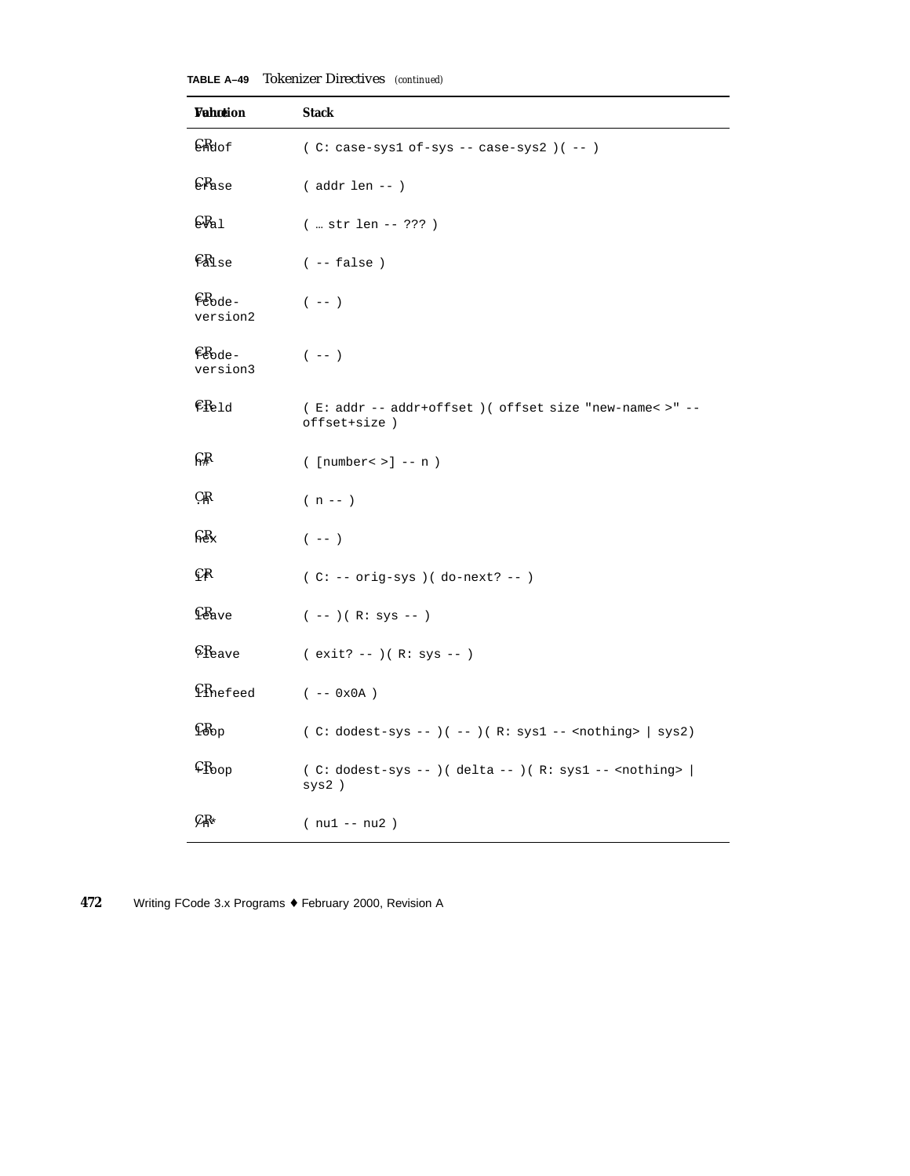| <b>Vahotion</b>                                      | <b>Stack</b>                                                            |
|------------------------------------------------------|-------------------------------------------------------------------------|
| $\mathcal{C}_{\text{Mod}}$                           | $(C: case-sys1 of-sys -- case-sys2)$ $(--)$                             |
| $\epsilon_{\text{Base}}$                             | $($ addr len -- $)$                                                     |
| $C_{a1}$                                             | $(  str len -- ???)$                                                    |
| $E_{\text{disc}}$                                    | $(- - false)$                                                           |
| $E_{\rm{ode}}$<br>version2                           | $(- - )$                                                                |
| $ER_{ode}$<br>version3                               | $(- - )$                                                                |
| $ER_{eld}$                                           | (E: addr -- addr+offset )( offset size "new-name< >" --<br>offset+size) |
| ନ୍∦                                                  | $(\text{number} > ] -- n)$                                              |
| ÇŖ                                                   | $(n - 1)$                                                               |
| $C_{\rm ex}$                                         | $(- - )$                                                                |
| $\mathbb{C}$ R                                       | $(C: -- orig-sys) (do-next? --)$                                        |
| $E_{\text{ave}}$                                     | $(--)$ ( R: sys -- )                                                    |
| $$R_{\text{eave}}$$                                  | $(exit? --)(R: sys --)$                                                 |
| $$$ <sup><math>\Omega</math></sup> <sup>nefeed</sup> | $(- - 0x0A)$                                                            |
| $C_{\text{bop}}$                                     | ( C: dodest-sys -- )( -- )( R: sys1 -- <nothing>   sys2)</nothing>      |
| $C_{\text{Koop}}$                                    | $(C: dodest-sys --)( delta --)( R: sys1 -- condition)$<br>sys2)         |
| $C_{\rm 1}R_{\star}$                                 | $(nu1 - nu2)$                                                           |

**TABLE A–49** Tokenizer Directives *(continued)*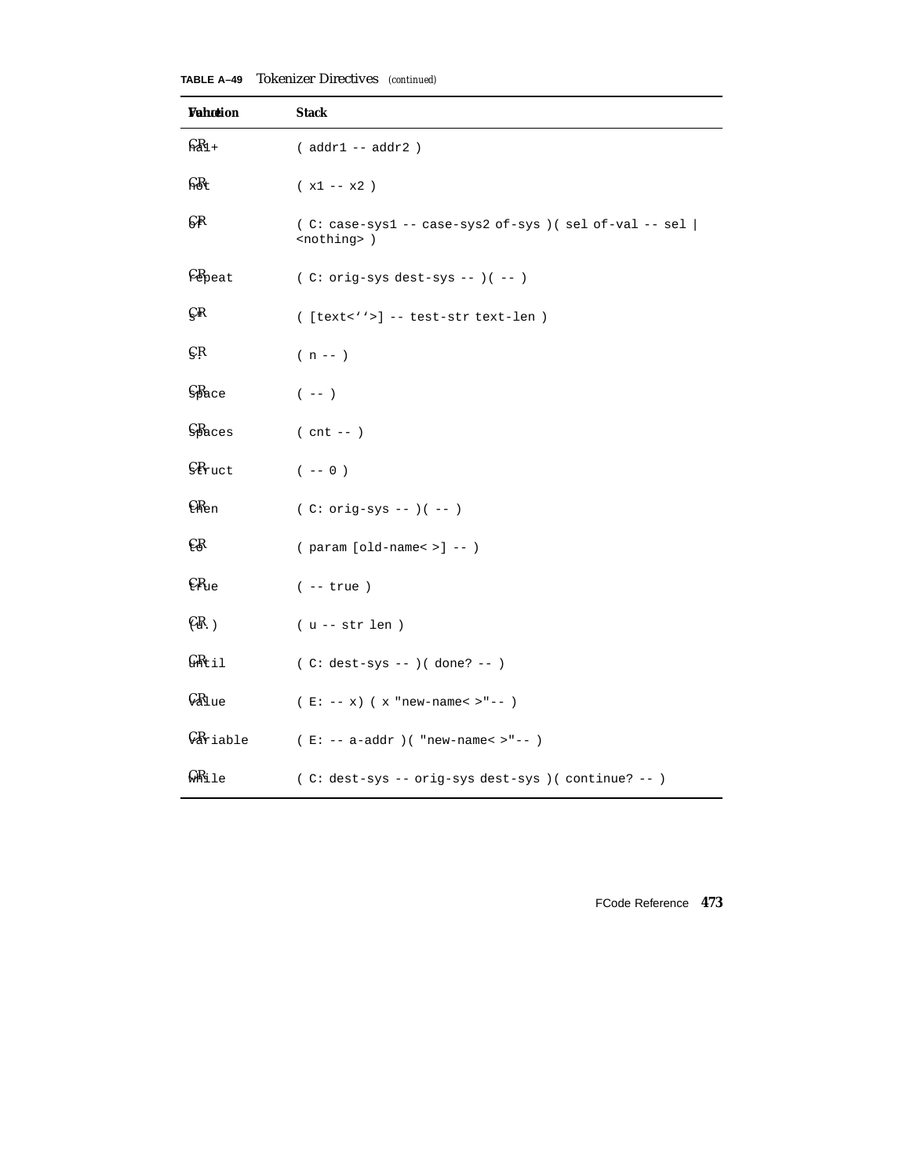| <b>Vahotion</b>                    | <b>Stack</b>                                                                      |
|------------------------------------|-----------------------------------------------------------------------------------|
| $R_{1+}$                           | ( addr1 -- addr2 )                                                                |
| $F_{\rm B}$                        | $(x1 - x2)$                                                                       |
| €₽                                 | $(C: case-sys1 -- case-sys2 of-sys)$ (sel of-val -- sel  <br><nothing>)</nothing> |
| $E_{\text{heat}}$                  | $(C: orig-sys dest-sys --)( --)$                                                  |
| ÇR                                 | ([text<''>] -- test-str text-len )                                                |
| ÇŖ                                 | $(n - 1)$                                                                         |
| $SP$ ace                           | $(- - )$                                                                          |
| $SB$ aces                          | $($ cnt $- )$                                                                     |
| $\Omega$ <sub>ruct</sub>           | $(- - 0)$                                                                         |
| $E$ Ren                            | $(C: orig-sys --)( --)$                                                           |
| €B                                 | $(parrow [old-name < >] --)$                                                      |
| $E_{\text{Re}}$                    | $(- - true)$                                                                      |
| CR.                                | $(u - str len)$                                                                   |
| $G$ $R$ <sub><math>i1</math></sub> | $(C: dest-sys --)( done? --)$                                                     |
| $\mathcal{G}_{\text{Blue}}$        | $(E: -- x)$ (x "new-name< >"-- )                                                  |
| $\mathcal{G}_{\texttt{Ariable}}$   | $(E: -- a-addr)$ ( "new-name< >"-- )                                              |
| ⊊Rile                              | (C: dest-sys -- orig-sys dest-sys ) (continue? -- )                               |

**TABLE A–49** Tokenizer Directives *(continued)*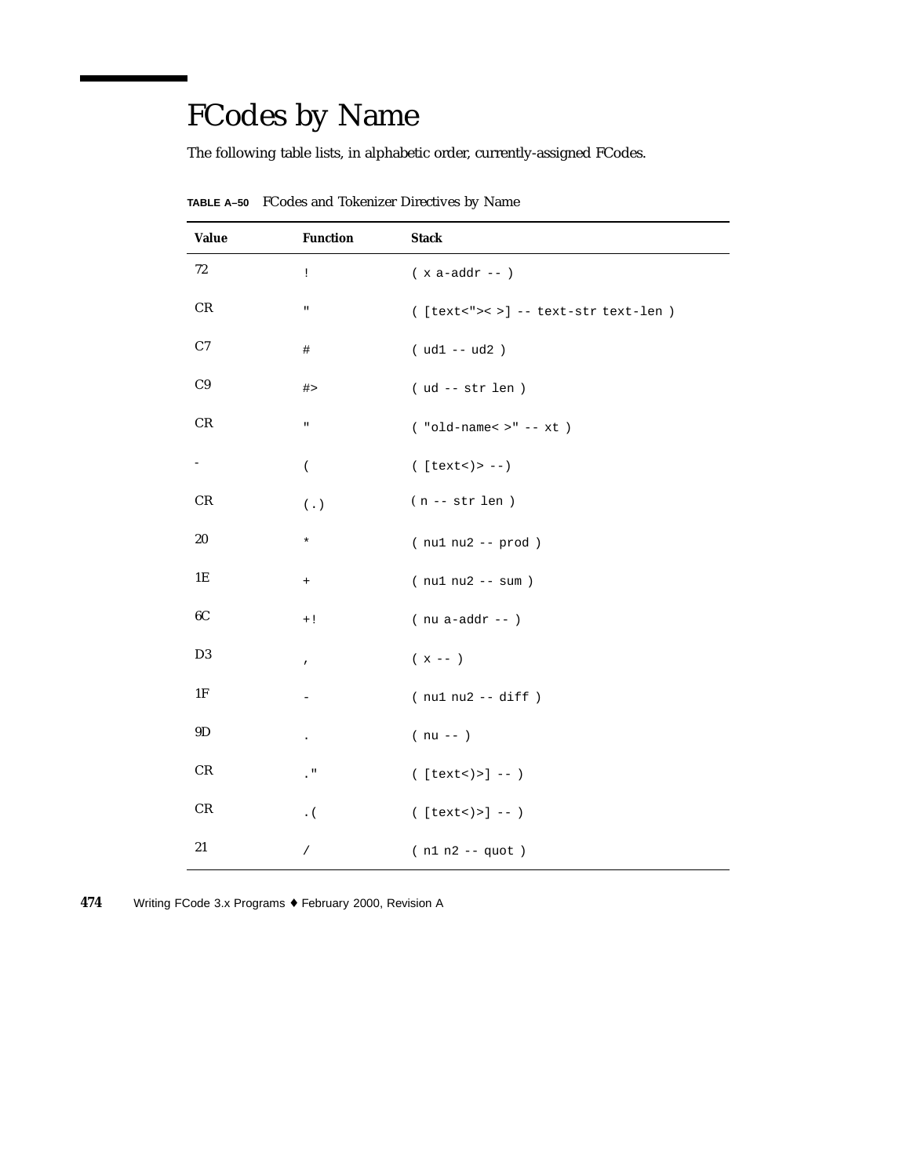# FCodes by Name

The following table lists, in alphabetic order, currently-assigned FCodes.

| <b>Value</b>   | <b>Function</b>  | <b>Stack</b>                         |
|----------------|------------------|--------------------------------------|
| 72             | Ţ                | $(x a-addr --)$                      |
| CR             | $\mathbf u$      | $([text<->-] -- text-str text-len )$ |
| C7             | #                | $( ud1 - ud2 )$                      |
| C9             | #>               | $( ud -- str len )$                  |
| CR             | $\mathbf{u}$     | $($ "old-name< $>$ " -- $xt$ )       |
| $\sim$         | $\overline{(\ }$ | $( [text 0 - -)$                     |
| CR             | $(\hbox{ . })$   | $(n - str len)$                      |
| 20             | $\star$          | $(nu1 nu2 - prod)$                   |
| 1E             | $^{+}$           | $(nu1 nu2 - sum)$                    |
| 6C             | $+!$             | $($ nu a-addr -- $)$                 |
| D <sub>3</sub> | $\pmb{\prime}$   | $(x - - )$                           |
| 1F             |                  | $(nu1 nu2 -- diff)$                  |
| 9D             | $\bullet$        | $(nu - )$                            |
| CR             | $\cdot$ "        | $([text"><) >] --)$                  |
| CR             | $\cdot$ (        | $([text"><) >] --)$                  |
| $21\,$         | $\sqrt{2}$       | $(n1 n2 - quot)$                     |

**TABLE A–50** FCodes and Tokenizer Directives by Name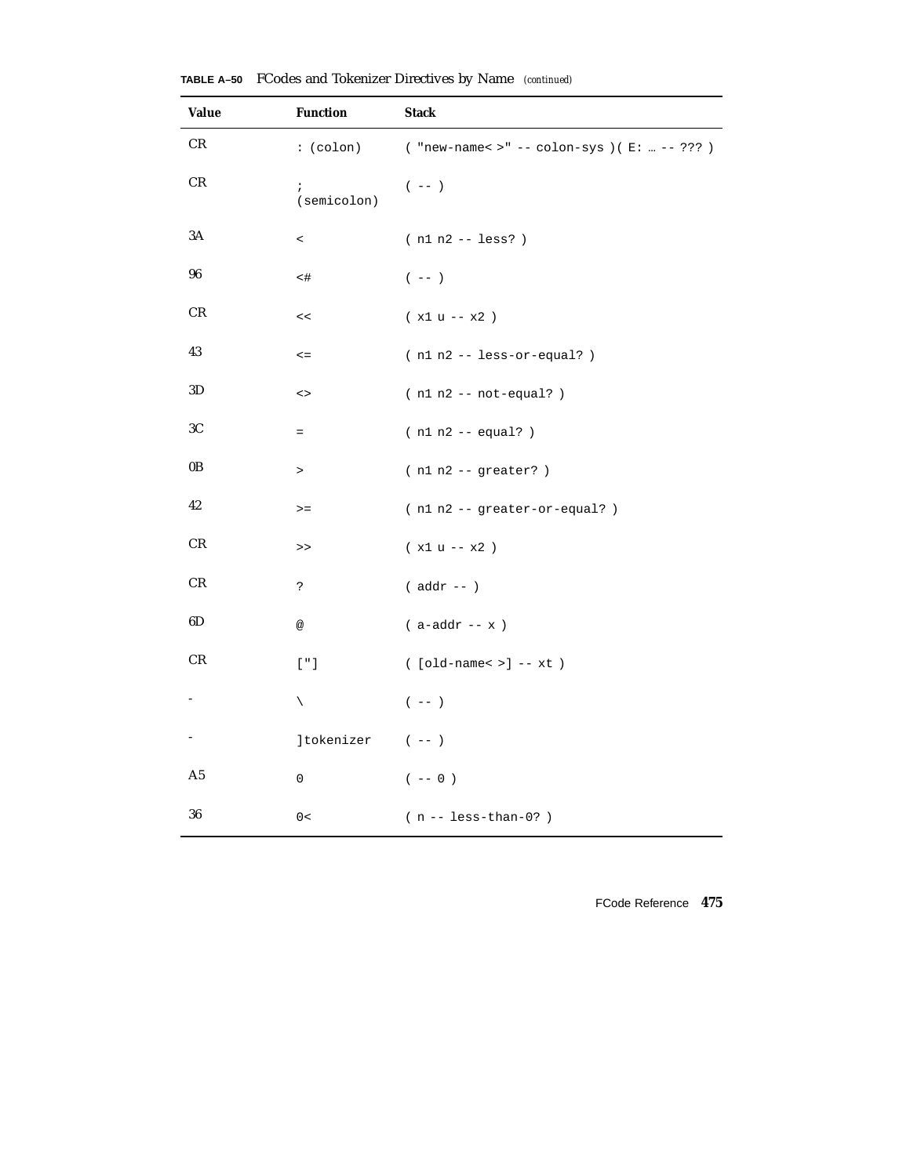| <b>Value</b>  | <b>Function</b>                                    | <b>Stack</b>                                   |
|---------------|----------------------------------------------------|------------------------------------------------|
| CR.           | $:(\text{colon})$                                  | ( "new-name< >" -- colon-sys )( $E:  -- ?$ ??) |
| CR            | $\ddot{ }$<br>(semicolon)                          | $(- - )$                                       |
| $3\mathrm{A}$ | $\,<\,$                                            | $(n1 n2 - 1ess?)$                              |
| 96            | $<$ #                                              | $(- - )$                                       |
| CR            | $\,<$                                              | $(x1 u - x2)$                                  |
| 43            | $\lt =$                                            | $(n1 n2 - \text{less-or-equal?})$              |
| 3D            | $\mathord{<} \mathord{>}$                          | $(n1 n2 -- not-equal? )$                       |
| 3C            | $=$                                                | $(n1 n2 - equal?)$                             |
| 0B            | $\, > \,$                                          | $(n1 n2 - 1)$ greater? )                       |
| 42            | $>=$                                               | (n1 n2 -- greater-or-equal?)                   |
| CR            | $\,>$                                              | $(x1 u - x2)$                                  |
| CR            | ċ.                                                 | $($ addr $- )$                                 |
| 6D            | $^{\circledR}$                                     | $($ a-addr -- $\ge$ $)$                        |
| CR            | $\left[\begin{array}{cc} n & 1 \end{array}\right]$ | $($ [old-name< >] -- $xt$ )                    |
|               | $\diagdown$                                        | $(- - )$                                       |
|               | ]tokenizer                                         | $(- - )$                                       |
| A5            | 0                                                  | $(- - 0)$                                      |
| 36            | 0<                                                 | $(n - - \text{less-than-0?})$                  |

**TABLE A–50** FCodes and Tokenizer Directives by Name *(continued)*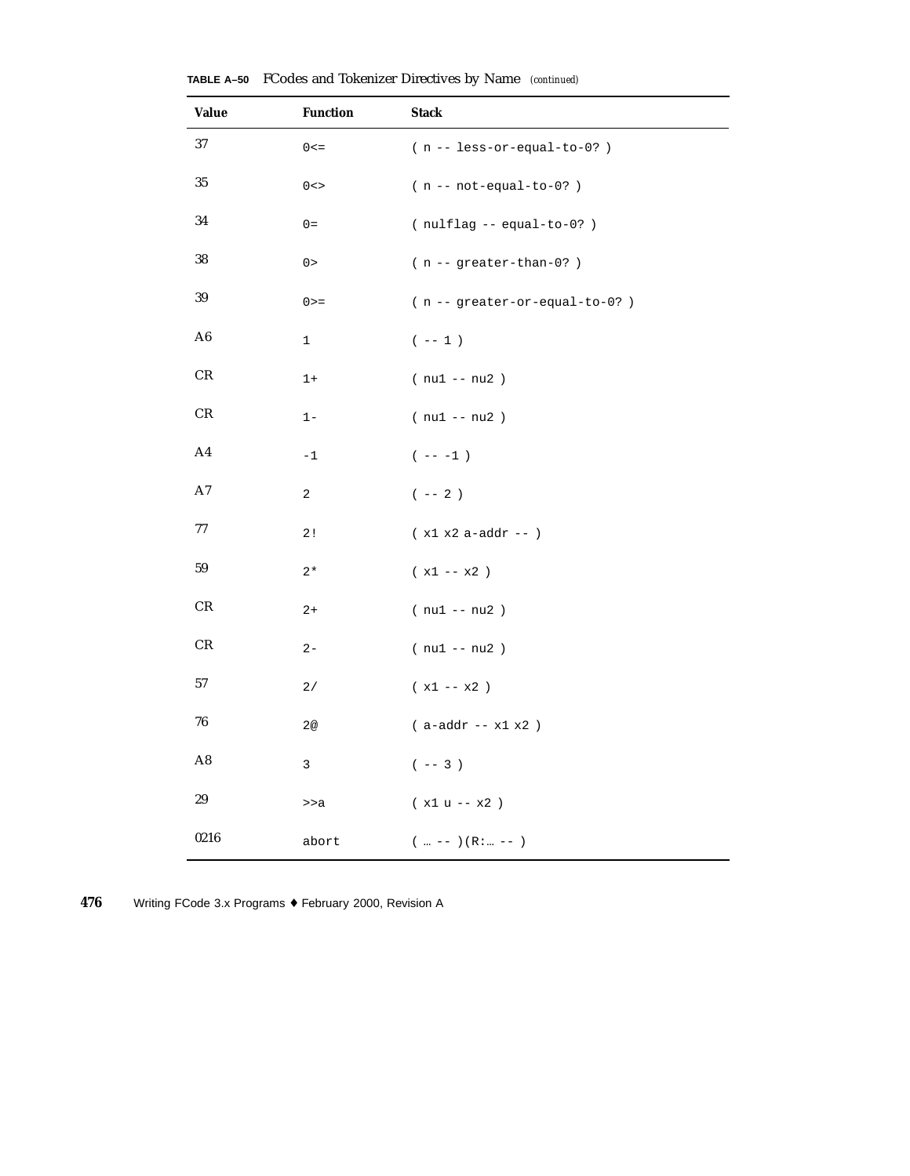| <b>Value</b>   | <b>Function</b> | <b>Stack</b>                          |
|----------------|-----------------|---------------------------------------|
| 37             | $0 < =$         | $(n - 1ess-cr-equal-to-0? )$          |
| 35             | $0 < \gt$       | $(n - not-equal-to-0?)$               |
| 34             | $0 =$           | $(nullflag -equal-to-0?)$             |
| 38             | 0>              | $(n -$ greater-than-0?)               |
| 39             | $0 > =$         | $(n - - greater-or-equal-to-0? )$     |
| A6             | $\mathbf 1$     | $(- - 1)$                             |
| $\mathrm{CR}$  | $1+$            | $(nu1 - nu2)$                         |
| $\mathrm{CR}$  | $1 -$           | $(nu1 - nu2)$                         |
| A <sub>4</sub> | $-1$            | $(- - - 1)$                           |
| A7             | 2               | $($ -- $2$ )                          |
| 77             | 2!              | $(x1 x2 a - addr - )$                 |
| 59             | $2*$            | $(x1 - x2)$                           |
| $\mathrm{CR}$  | $2+$            | $(nu1 - nu2)$                         |
| $\mathrm{CR}$  | $2 -$           | $(nu1 - nu2)$                         |
| 57             | 2/              | $(x1 - x2)$                           |
| ${\bf 76}$     | 2@              | $($ a-addr -- $\times 1$ $\times 2$ ) |
| A8             | 3               | $(- - 3)$                             |
| 29             | >>a             | $(x1 u - x2)$                         |
| 0216           | abort           | $(m - -) (R:  - -)$                   |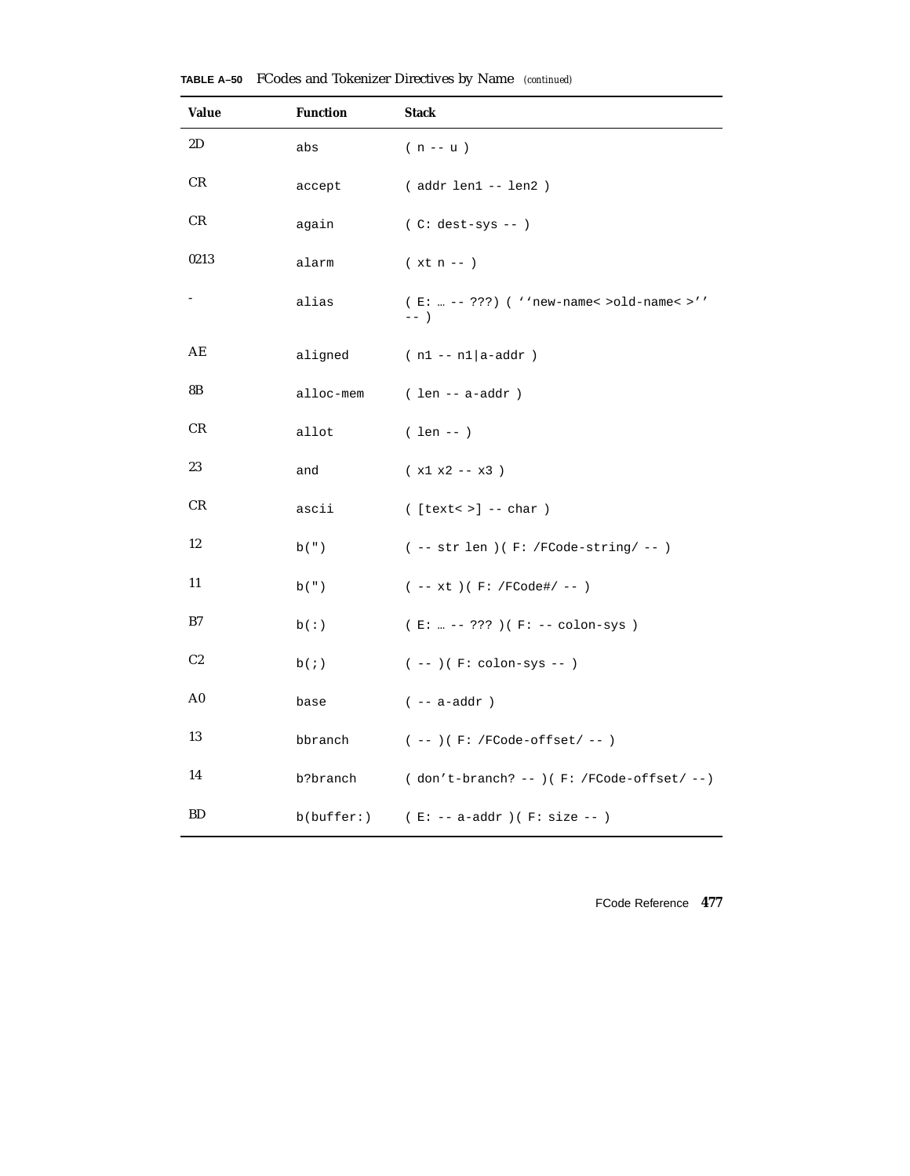| <b>Value</b>   | <b>Function</b>      | <b>Stack</b>                                        |
|----------------|----------------------|-----------------------------------------------------|
| 2D             | abs                  | $(n - u)$                                           |
| CR.            | accept               | (addr len1 -- len2)                                 |
| CR.            | again                | $(C: dest-sys -- )$                                 |
| 0213           | alarm                | $(xt n - )$                                         |
|                | alias                | (E:  -- ???) ( ''new-name< >old-name< >''<br>$---$  |
| AE             | aligned              | $(n1 - n1 a - addr)$                                |
| 8B             | alloc-mem            | $( len - a - addr )$                                |
| CR             | allot                | $( len -- )$                                        |
| 23             | and                  | $(x1 x2 - x3)$                                      |
| CR             | ascii                | $($ [text< >] -- char $)$                           |
| 12             | $\mathbf{b}$ ( $"$ ) | $(- - str len) ( F: /FCode-string / - - )$          |
| 11             | b(")                 | $(- - xt) (F: /FCode\# / - - )$                     |
| B7             | b(:)                 | (E:  -- ??? ) (F: -- colon-sys )                    |
| C <sub>2</sub> | b(i)                 | $(--)$ ( $F: colon-sys -- )$                        |
| A0             | base                 | $(- - a - addr)$                                    |
| 13             | bbranch              | $(- - )$ ( F: /FCode-offset/ -- )                   |
| 14             | b?branch             | ( don't-branch? -- )<br>( $F$ : /FCode-offset/ -- ) |
| <b>BD</b>      |                      | $b(buffer: )$ (E: -- a-addr)(F: size --)            |

**TABLE A–50** FCodes and Tokenizer Directives by Name *(continued)*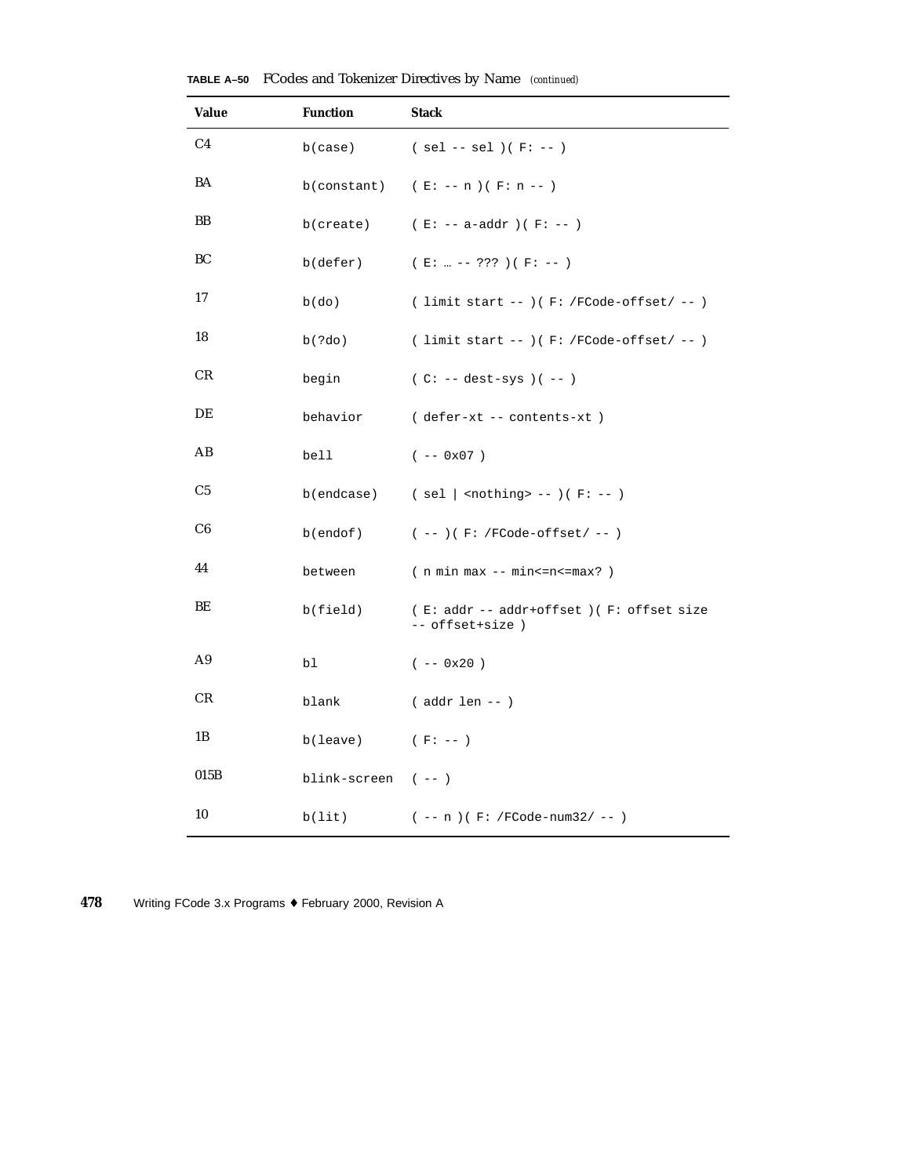| <b>Value</b>   | <b>Function</b>     | <b>Stack</b>                                                |
|----------------|---------------------|-------------------------------------------------------------|
| C <sub>4</sub> | b(case)             | $(sel -- sel)(F:-)$                                         |
| BA             |                     | b(constant) $(E: -- n)(F: n --)$                            |
| BB             | b(create)           | ( $E: -- a-addr$ ) ( $F: --$ )                              |
| BС             | $b$ (defer)         | $(E:  --- ??? ) (F: --- )$                                  |
| 17             | $b$ (do)            | ( limit start -- )( $F:$ /FCode-offset/ -- )                |
| 18             | b(?do)              | $($ limit start -- $)($ F: /FCode-offset/ -- $)$            |
| CR             | begin               | $(C: -- dest-sys)$ $(--)$                                   |
| DE             | behavior            | (defer-xt -- contents-xt)                                   |
| AB             | bell                | $(- - 0x07)$                                                |
| C5             | b(endcase)          | ( sel   <nothing> -- )( F: -- )</nothing>                   |
| C6             | $b($ endof $)$      | $(- - )$ (F: /FCode-offset/ -- )                            |
| 44             | between             | $(n min max - min < = n < = max? )$                         |
| BЕ             | b(field)            | (E: addr -- addr+offset) (F: offset size<br>-- offset+size) |
| A9             | bl                  | $(- - 0x20)$                                                |
| CR             | blank               | $($ addr len -- $)$                                         |
| 1B             | b(leave)            | $(F: --)$                                                   |
| 015B           | blink-screen $(--)$ |                                                             |
| 10             | b(lit)              | $(- - n) ( F: /FCode-num32 / -- )$                          |

**TABLE A–50** FCodes and Tokenizer Directives by Name *(continued)*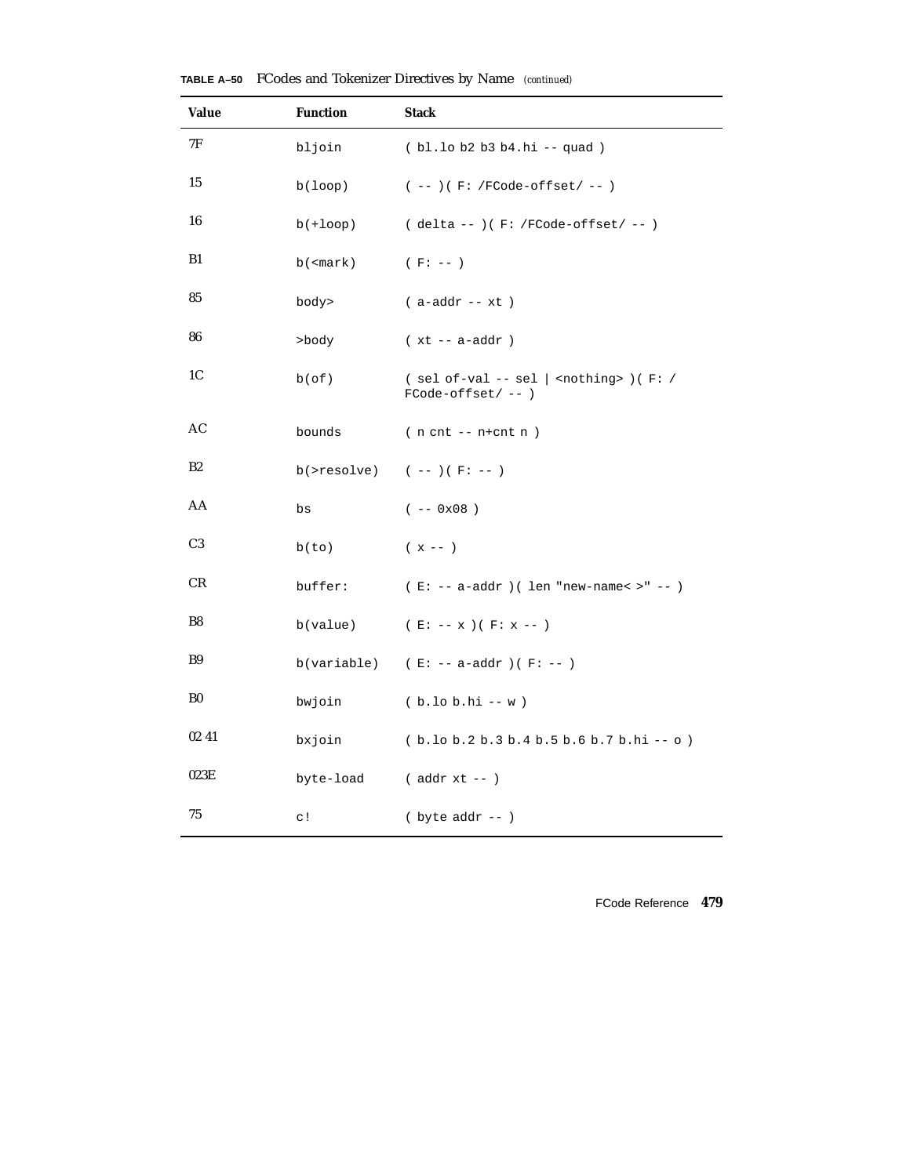| <b>Value</b>   | <b>Function</b>                                            | <b>Stack</b>                                                                                     |  |  |  |  |
|----------------|------------------------------------------------------------|--------------------------------------------------------------------------------------------------|--|--|--|--|
| 7F             | bljoin                                                     | (bl.lob2b3b4.hi -- quad)                                                                         |  |  |  |  |
| 15             | b(loop)                                                    | $(- - )$ ( F: /FCode-offset/ -- )                                                                |  |  |  |  |
| 16             | $b(+loop)$                                                 | ( delta -- )( F: /FCode-offset/ -- )                                                             |  |  |  |  |
| B1             | $b$ ( <mark)< th=""><th><math>(F: --)</math></th></mark)<> | $(F: --)$                                                                                        |  |  |  |  |
| 85             | body>                                                      | $(a-addr - xt)$                                                                                  |  |  |  |  |
| 86             | >body                                                      | $(xt - a - addr)$                                                                                |  |  |  |  |
| 1C             | $b$ (of)                                                   | $(sel of-val -- sel  $ <nothing> <math>)(F: /</math><br/><math>FCode-offset/--)</math></nothing> |  |  |  |  |
| AC             | bounds                                                     | $(n \text{ cnt } -- \text{ n+cnt } n)$                                                           |  |  |  |  |
| B2             |                                                            | b(>resolve) $(- - ) ( F: - )$                                                                    |  |  |  |  |
| AA             | bs                                                         | $(- - 0x08)$                                                                                     |  |  |  |  |
| C <sub>3</sub> | b(to)                                                      | $(x - - )$                                                                                       |  |  |  |  |
| CR             | buffer:                                                    | $(E: -- a-addr) (len "new-name < " - - )$                                                        |  |  |  |  |
| B8             |                                                            | b(value) $(E: -- x)(F: x --)$                                                                    |  |  |  |  |
| <b>B9</b>      |                                                            | b(variable) $(E: -- a-addr)$ (F: --)                                                             |  |  |  |  |
| B0             | bwjoin                                                     | $(b.10 b.hi - w)$                                                                                |  |  |  |  |
| 02 41          | bxjoin                                                     | $(b.10 b.2 b.3 b.4 b.5 b.6 b.7 b.hi -o)$                                                         |  |  |  |  |
| 023E           | byte-load                                                  | $($ addr $xt -- )$                                                                               |  |  |  |  |
| 75             | $\circ$ !                                                  | $(\text{byte addr --})$                                                                          |  |  |  |  |

**TABLE A–50** FCodes and Tokenizer Directives by Name *(continued)*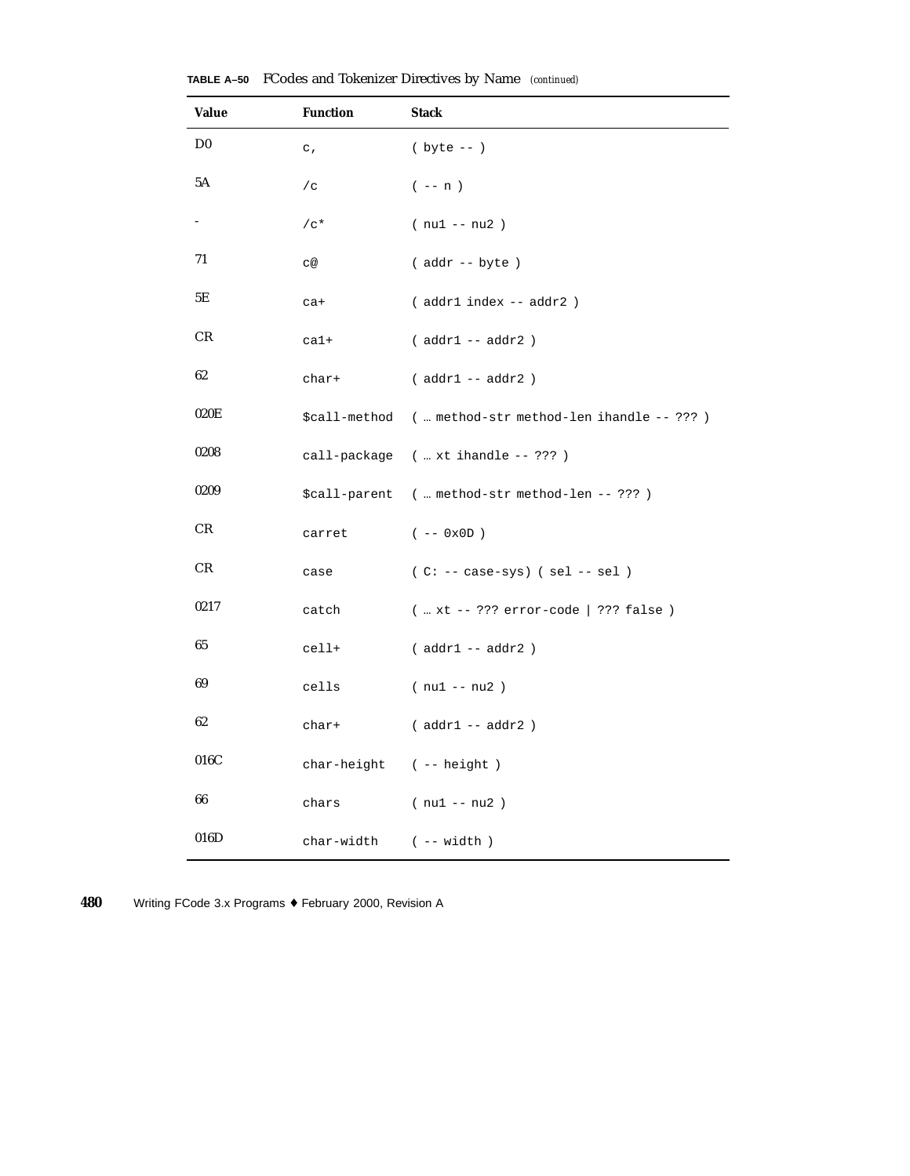| Value          | <b>Function</b> | <b>Stack</b>                                            |  |  |  |
|----------------|-----------------|---------------------------------------------------------|--|--|--|
| D <sub>0</sub> | $\mathtt{c}$ ,  | $(yte - -)$                                             |  |  |  |
| 5Α             | /c              | $(- - n)$                                               |  |  |  |
|                | $/c*$           | $(nu1 - nu2)$                                           |  |  |  |
| 71             | C@              | $($ addr $--$ byte $)$                                  |  |  |  |
| 5Ε             | $ca+$           | (addr1 index -- addr2)                                  |  |  |  |
| CR             | $ca1+$          | $(addr1 - addr2)$                                       |  |  |  |
| 62             | char+           | $(addr1 - addr2)$                                       |  |  |  |
| 020E           |                 | \$call-method (  method-str method-len ihandle -- ??? ) |  |  |  |
| 0208           |                 | call-package (  xt ihandle -- ??? )                     |  |  |  |
| 0209           |                 | \$call-parent (  method-str method-len -- ??? )         |  |  |  |
| CR             | carret          | $(- - 0x0D)$                                            |  |  |  |
| CR             | case            | $(C: -- case-sys)$ (sel -- sel)                         |  |  |  |
| 0217           | catch           | $(  xt -- ??? error-code   ??? false )$                 |  |  |  |
| 65             | cell+           | $(addr1 - addr2)$                                       |  |  |  |
| 69             | cells           | $(nu1 - nu2)$                                           |  |  |  |
| 62             | char+           | $(addr1 -- addr2)$                                      |  |  |  |
| 016C           |                 | $char-height$ ( -- $height$ )                           |  |  |  |
| 66             | chars           | $(nu1 - nu2)$                                           |  |  |  |
| 016D           | char-width      | $(- - width)$                                           |  |  |  |

**TABLE A–50** FCodes and Tokenizer Directives by Name *(continued)*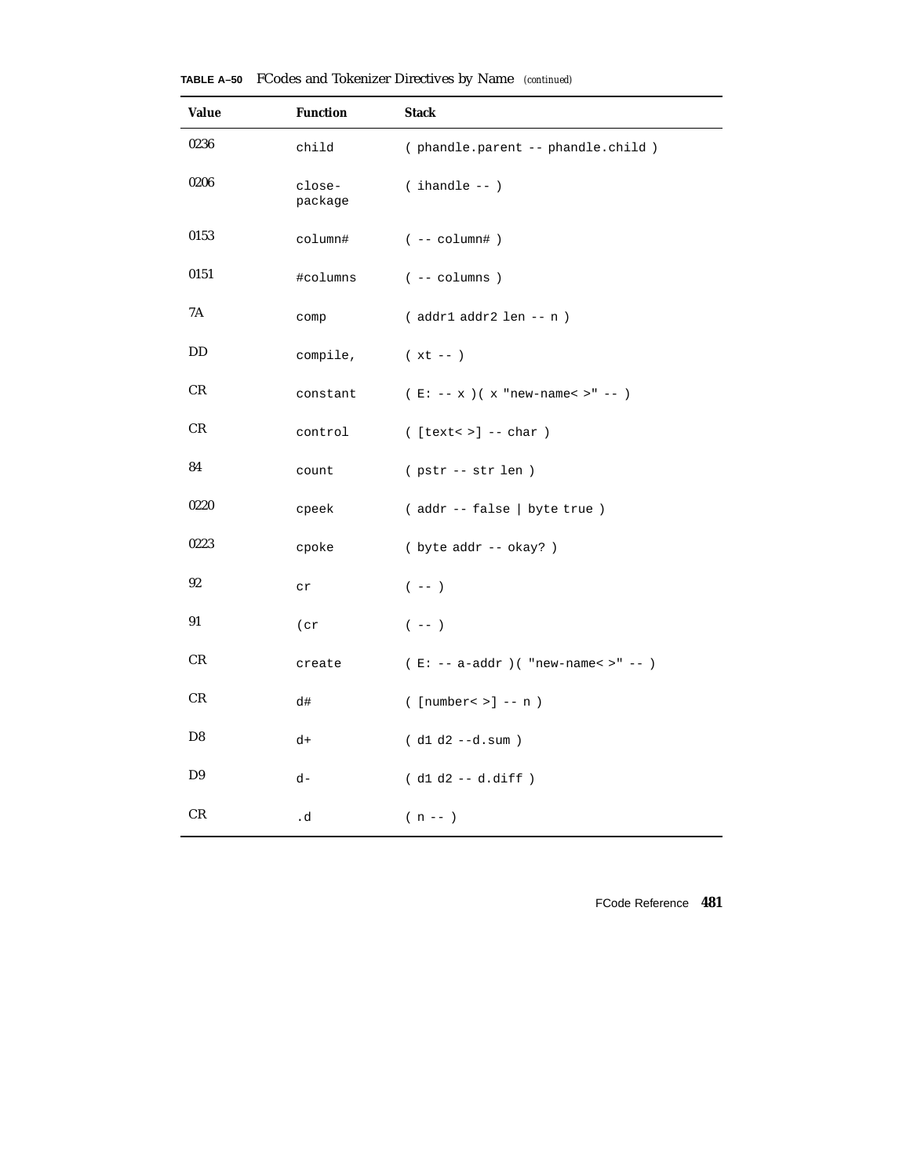| <b>Value</b> | <b>Function</b>   | <b>Stack</b>                                          |  |  |  |  |
|--------------|-------------------|-------------------------------------------------------|--|--|--|--|
| 0236         | child             | (phandle.parent -- phandle.child)                     |  |  |  |  |
| 0206         | close-<br>package | $($ ihandle -- $)$                                    |  |  |  |  |
| 0153         | column#           | $(- - \text{column#})$                                |  |  |  |  |
| 0151         | #columns          | $($ -- columns $)$                                    |  |  |  |  |
| 7Α           | comp              | $( addr1 addr2 len - n )$                             |  |  |  |  |
| DD           | compile,          | $(xt - )$                                             |  |  |  |  |
| CR           | constant          | (E: -- x ) ( x "new-name< $>$ " -- )                  |  |  |  |  |
| CR           | control           | $($ [text< >] -- char $)$                             |  |  |  |  |
| 84           | count             | (pstr -- str len)                                     |  |  |  |  |
| 0220         | cpeek             | (addr -- false   byte true )                          |  |  |  |  |
| 0223         | cpoke             | ( byte addr -- okay? )                                |  |  |  |  |
| 92           | ${\tt cr}$        | $(- - )$                                              |  |  |  |  |
| 91           | (cr               | $(- - )$                                              |  |  |  |  |
| CR           | create            | $(E: -- a-addr)$ ( "new-name< >" -- )                 |  |  |  |  |
| CR           | d#                | $(\lceil \text{number} \cdot \rangle \rceil$ -- n $)$ |  |  |  |  |
| D8           | d+                | $( d1 d2 - -d.sum )$                                  |  |  |  |  |
| D9           | d-                | $( d1 d2 -- d.diff )$                                 |  |  |  |  |
| CR           | .d                | $(n - 1)$                                             |  |  |  |  |

**TABLE A–50** FCodes and Tokenizer Directives by Name *(continued)*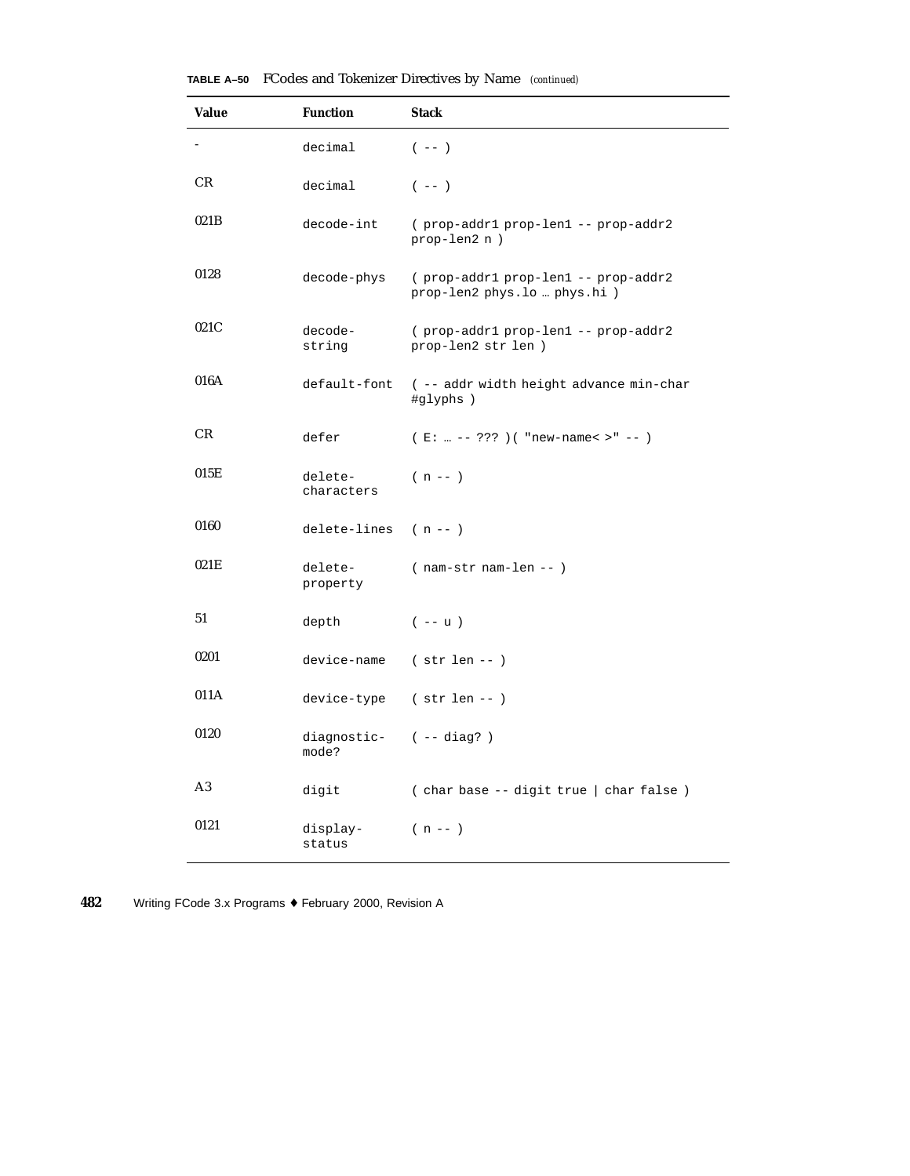| <b>Value</b> | <b>Function</b>                | <b>Stack</b>                                                        |  |  |  |  |
|--------------|--------------------------------|---------------------------------------------------------------------|--|--|--|--|
|              | decimal                        | $(- - )$                                                            |  |  |  |  |
| CR           | decimal                        | $(- - )$                                                            |  |  |  |  |
| 021B         | decode-int                     | (prop-addr1 prop-len1 -- prop-addr2<br>prop-len2 n)                 |  |  |  |  |
| 0128         | decode-phys                    | (prop-addr1 prop-len1 -- prop-addr2<br>prop-len2 phys.lo  phys.hi ) |  |  |  |  |
| 021C         | decode-<br>string              | (prop-addr1 prop-len1 -- prop-addr2<br>prop-len2 str len )          |  |  |  |  |
| 016A         |                                | default-font ( -- addr width height advance min-char<br>#glyphs)    |  |  |  |  |
| CR           | defer                          | (E:  -- ??? ) ( "new-name< >" -- )                                  |  |  |  |  |
| 015E         | delete-<br>characters          | $(n - 1)$                                                           |  |  |  |  |
| 0160         | delete-lines $(n - - )$        |                                                                     |  |  |  |  |
| 021E         | delete-<br>property            | $(nam-str nam-len - )$                                              |  |  |  |  |
| 51           | depth                          | $(- - u)$                                                           |  |  |  |  |
| 0201         | device-name                    | $(str len - )$                                                      |  |  |  |  |
| 011A         |                                | device-type (str len --)                                            |  |  |  |  |
| 0120         | diagnostic- (--diag?)<br>mode? |                                                                     |  |  |  |  |
| A3           | digit                          | (char base -- digit true   char false)                              |  |  |  |  |
| 0121         | display-<br>status             | $(n - 1)$                                                           |  |  |  |  |

L,

**TABLE A–50** FCodes and Tokenizer Directives by Name *(continued)*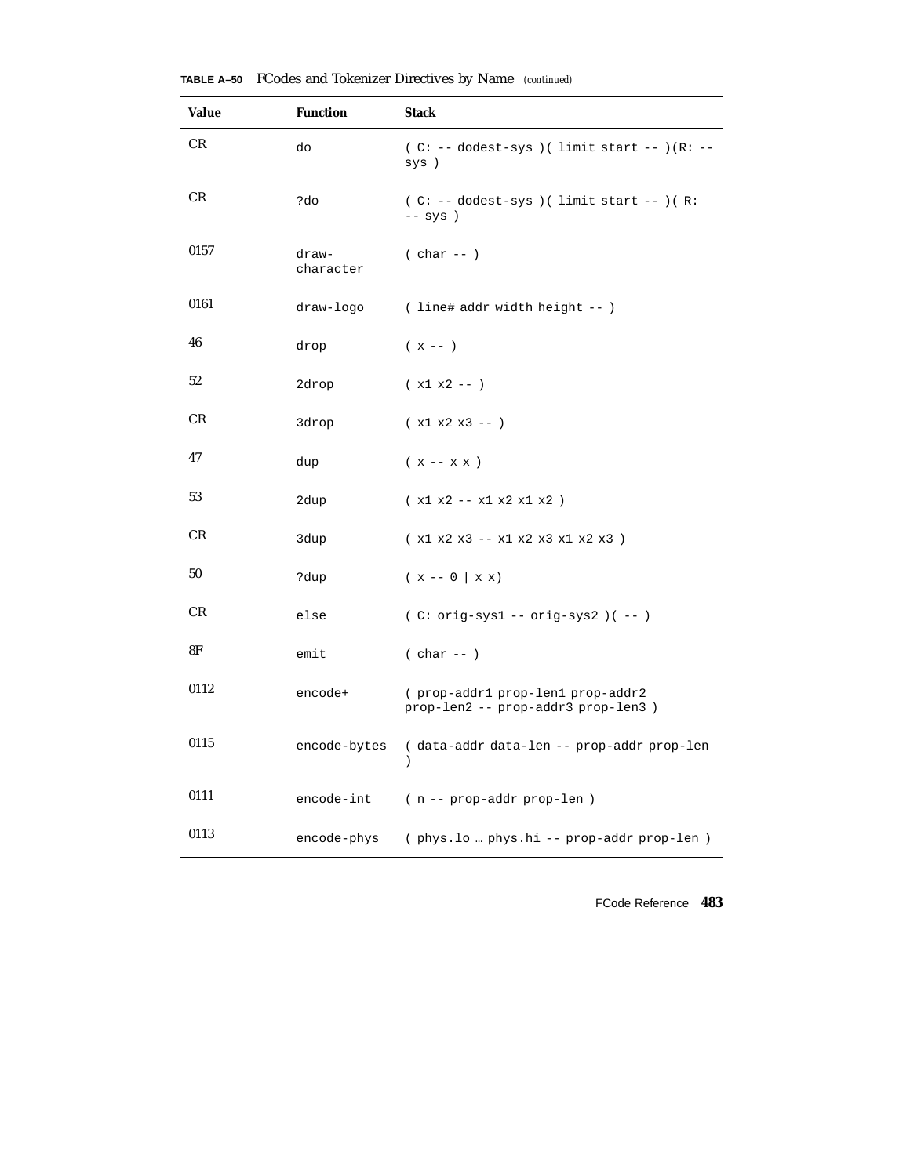| <b>Value</b> | <b>Function</b>    | <b>Stack</b>                                                           |  |  |  |  |
|--------------|--------------------|------------------------------------------------------------------------|--|--|--|--|
| <b>CR</b>    | do                 | ( $C: --$ dodest-sys ) ( limit start -- ) ( $R: --$<br>sys )           |  |  |  |  |
| CR           | ?do                | $(C: -- dodest-sys) ( limit start --) (R:$<br>$--$ sys $)$             |  |  |  |  |
| 0157         | draw-<br>character | $(char --)$                                                            |  |  |  |  |
| 0161         | draw-logo          | ( line# addr width height -- )                                         |  |  |  |  |
| 46           | drop               | $(x - - )$                                                             |  |  |  |  |
| 52           | 2drop              | $(x1 x2 -- )$                                                          |  |  |  |  |
| CR           | 3drop              | $(x1 x2 x3 -- )$                                                       |  |  |  |  |
| 47           | dup                | $(x -- x x)$                                                           |  |  |  |  |
| 53           | 2dup               | $(x1 x2 - x1 x2 x1 x2)$                                                |  |  |  |  |
| CR           | 3dup               | (x1 x2 x3 -- x1 x2 x3 x1 x2 x3 )                                       |  |  |  |  |
| 50           | ?dup               | $(x - 0   x x)$                                                        |  |  |  |  |
| CR           | else               | $(C: orig-sys1 -- orig-sys2)$ $(--)$                                   |  |  |  |  |
| 8F           | emit               | $(char --)$                                                            |  |  |  |  |
| 0112         | encode+            | (prop-addr1 prop-len1 prop-addr2<br>prop-len2 -- prop-addr3 prop-len3) |  |  |  |  |
| 0115         | encode-bytes       | (data-addr data-len -- prop-addr prop-len<br>$\lambda$                 |  |  |  |  |
| 0111         | encode-int         | (n -- prop-addr prop-len)                                              |  |  |  |  |
| 0113         | encode-phys        | (phys.lo  phys.hi -- prop-addr prop-len)                               |  |  |  |  |

**TABLE A–50** FCodes and Tokenizer Directives by Name *(continued)*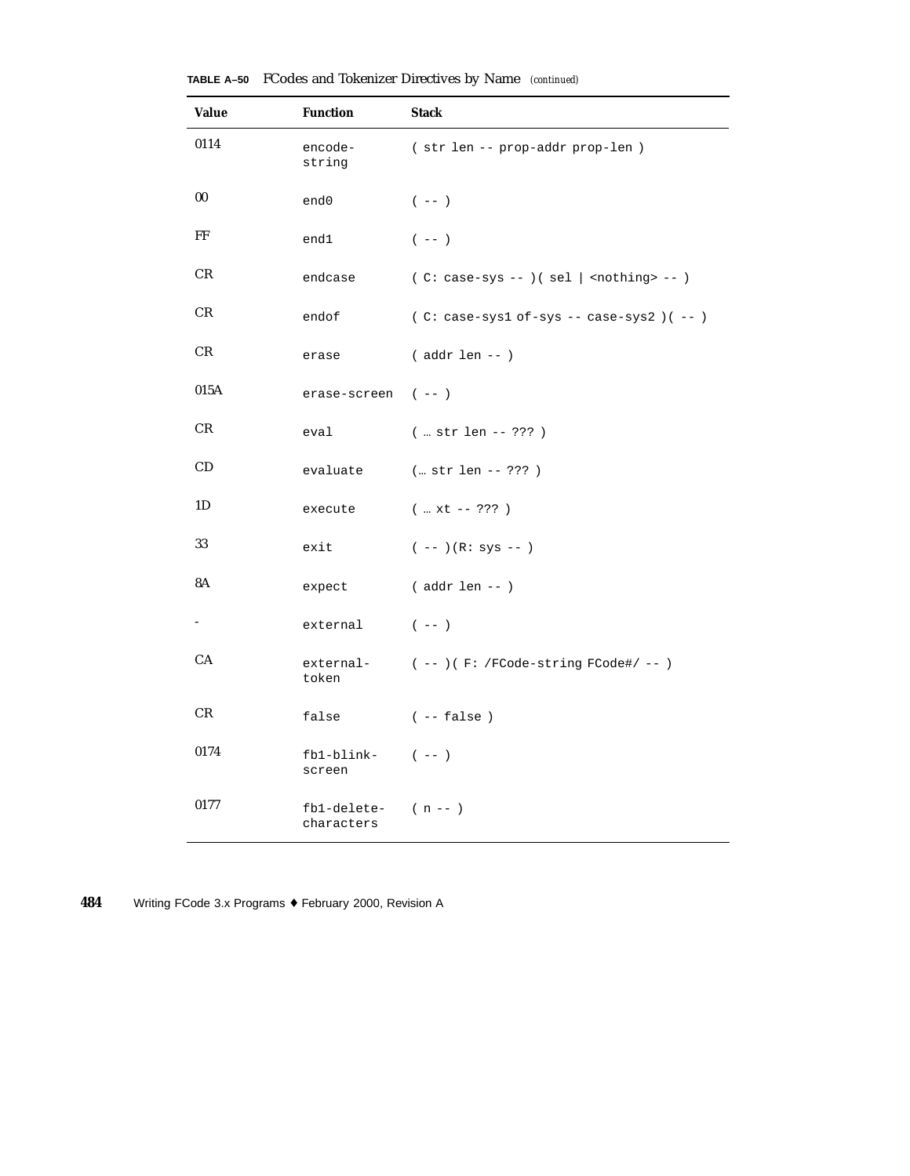| <b>Value</b> | <b>Function</b>                     | <b>Stack</b>                                     |  |  |  |
|--------------|-------------------------------------|--------------------------------------------------|--|--|--|
| 0114         | encode-<br>string                   | (str len -- prop-addr prop-len)                  |  |  |  |
| 00           | end0                                | $(- - )$                                         |  |  |  |
| FF           | end1                                | $(- - )$                                         |  |  |  |
| CR           | endcase                             | $(C: case-sys --)( sel   nothing --)$            |  |  |  |
| CR           | endof                               | $(C: case-sys1 of-sys -- case-sys2)$ $(--)$      |  |  |  |
| CR           | erase                               | $($ addr len -- $)$                              |  |  |  |
| 015A         | erase-screen (--)                   |                                                  |  |  |  |
| CR           | eval                                | $(  str len -- ???)$                             |  |  |  |
| CD           | evaluate                            | (… str len -- ??? )                              |  |  |  |
| 1D           | execute                             | $(  xt - - ? ? ? )$                              |  |  |  |
| 33           | exit                                | $(- - ) (R: sys - - )$                           |  |  |  |
| 8A           | expect                              | $($ addr len -- $)$                              |  |  |  |
|              | external                            | $(- - )$                                         |  |  |  |
| CA           | token                               | $external (--)$ $(F:$ /FCode-string FCode#/ -- ) |  |  |  |
| CR           | false                               | $(- - false)$                                    |  |  |  |
| 0174         | $fb1-blink-$ (--)<br>screen         |                                                  |  |  |  |
| 0177         | $fb1-delete (n - - )$<br>characters |                                                  |  |  |  |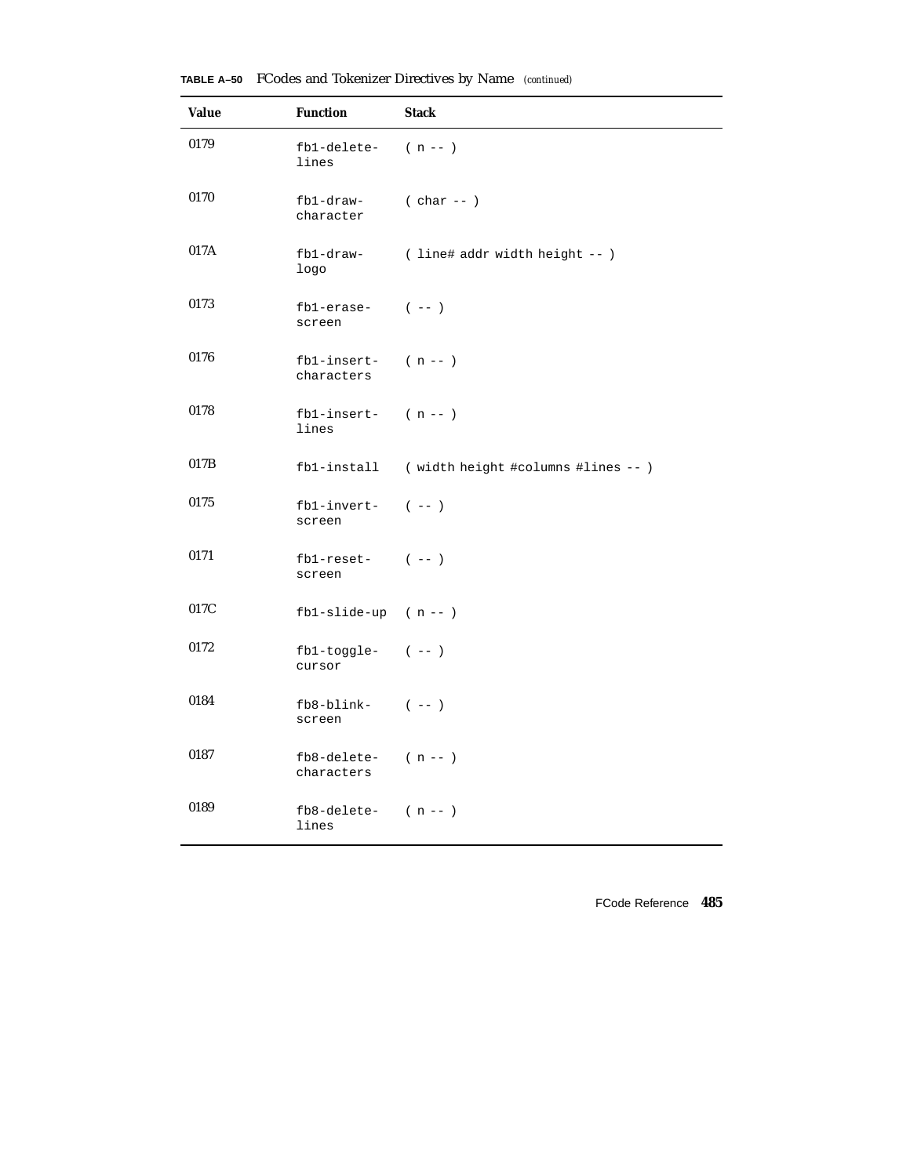| <b>Value</b> | <b>Function</b>                       | <b>Stack</b>                                   |
|--------------|---------------------------------------|------------------------------------------------|
| 0179         | fb1-delete-<br>lines                  | $(n - 1)$                                      |
| 0170         | fb1-draw-<br>character                | $(char --)$                                    |
| 017A         | fb1-draw-<br>logo                     | ( line# addr width height -- )                 |
| 0173         | $fb1-erase-$ (--)<br>screen           |                                                |
| 0176         | $fb1-insert-$ (n--)<br>characters     |                                                |
| 0178         | $fb1-insert-$ (n--)<br>lines          |                                                |
| 017B         |                                       | fb1-install (width height #columns #lines -- ) |
| 0175         | $fb1$ -invert- $(--)$<br>screen       |                                                |
| 0171         | $fb1-reset (--)$<br>screen            |                                                |
| 017C         | $fb1-slide-up$ (n--)                  |                                                |
| 0172         | $fb1-toggle-$ (--)<br>cursor          |                                                |
| 0184         | $fb8$ -blink- $(--)$<br>screen        |                                                |
| 0187         | $fb8$ -delete- $(n - )$<br>characters |                                                |
| 0189         | $fb8$ -delete- $(n - - )$<br>lines    |                                                |

**TABLE A–50** FCodes and Tokenizer Directives by Name *(continued)*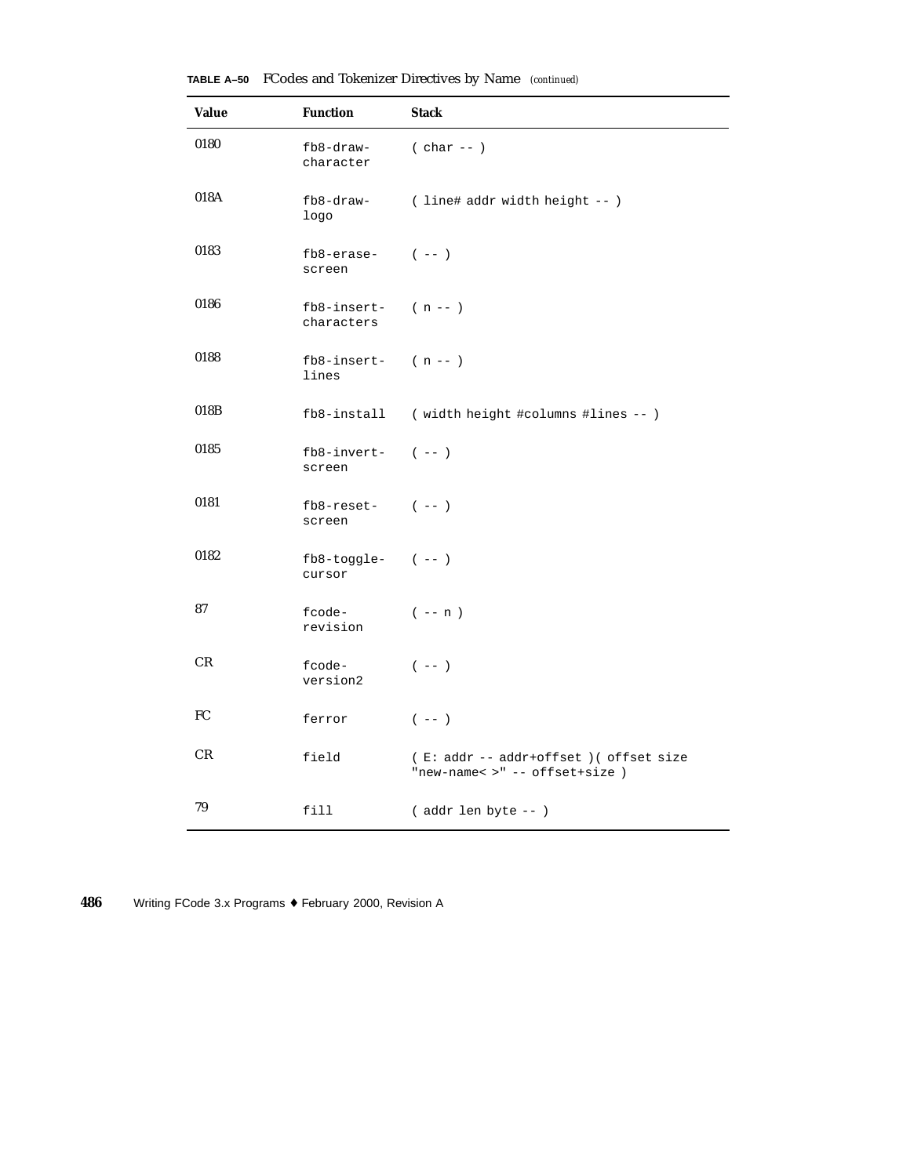| Value | <b>Function</b>                       | <b>Stack</b>                                                             |
|-------|---------------------------------------|--------------------------------------------------------------------------|
| 0180  | fb8-draw-<br>character                | $( char -- )$                                                            |
| 018A  | fb8-draw-<br>logo                     | ( line# addr width height -- )                                           |
| 0183  | $fb8-erase (--)$<br>screen            |                                                                          |
| 0186  | $fb8$ -insert- $(n - )$<br>characters |                                                                          |
| 0188  | $fb8$ -insert- $(n - )$<br>lines      |                                                                          |
| 018B  |                                       | fb8-install (width height #columns #lines -- )                           |
| 0185  | $fb8$ -invert- $(--)$<br>screen       |                                                                          |
| 0181  | $fb8$ -reset- $(--)$<br>screen        |                                                                          |
| 0182  | $fb8-toggle (--)$<br>cursor           |                                                                          |
| 87    | fcode-<br>revision                    | $(- - n)$                                                                |
| CR    | fcode-<br>version2                    | $(- - )$                                                                 |
| FC    | ferror                                | $(- - )$                                                                 |
| CR    | field                                 | (E: addr -- addr+offset) ( offset size<br>"new-name< >" -- offset+size ) |
| 79    | fill                                  | (addr len byte -- )                                                      |

**TABLE A–50** FCodes and Tokenizer Directives by Name *(continued)*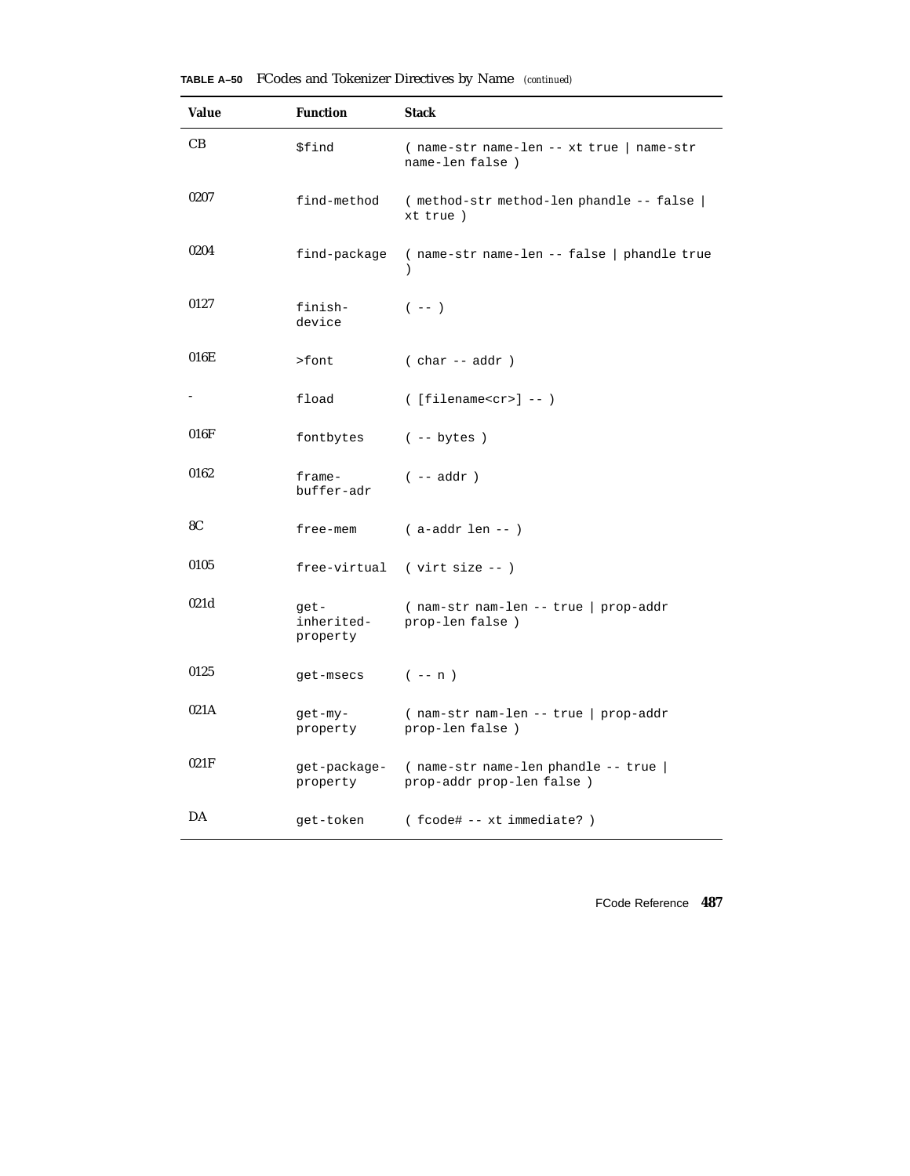| <b>Value</b> | <b>Function</b>                | <b>Stack</b>                                                      |  |  |  |  |
|--------------|--------------------------------|-------------------------------------------------------------------|--|--|--|--|
| CB           | \$find                         | (name-str name-len -- xt true   name-str<br>name-len false)       |  |  |  |  |
| 0207         | find-method                    | (method-str method-len phandle -- false  <br>xt true)             |  |  |  |  |
| 0204         | find-package                   | (name-str name-len -- false   phandle true                        |  |  |  |  |
| 0127         | finish-<br>device              | $(- - )$                                                          |  |  |  |  |
| 016E         | >font                          | $(char --addr)$                                                   |  |  |  |  |
|              | fload                          | $($ [filename <cr>] -- <math>)</math></cr>                        |  |  |  |  |
| 016F         | fontbytes                      | $(- - bytes)$                                                     |  |  |  |  |
| 0162         | $frame-$<br>buffer-adr         | $(- - addr)$                                                      |  |  |  |  |
| 8C           | free-mem                       | $(a-addr len - )$                                                 |  |  |  |  |
| 0105         | free-virtual                   | $(virt size --)$                                                  |  |  |  |  |
| 021d         | get-<br>inherited-<br>property | (nam-str nam-len -- true   prop-addr<br>prop-len false)           |  |  |  |  |
| 0125         | get-msecs                      | $(- - n)$                                                         |  |  |  |  |
| 021A         | get-my-<br>property            | (nam-str nam-len -- true   prop-addr<br>prop-len false)           |  |  |  |  |
| 021F         | get-package-<br>property       | (name-str name-len phandle -- true  <br>prop-addr prop-len false) |  |  |  |  |
| DA           | get-token                      | (fcode# -- xt immediate?)                                         |  |  |  |  |

**TABLE A–50** FCodes and Tokenizer Directives by Name *(continued)*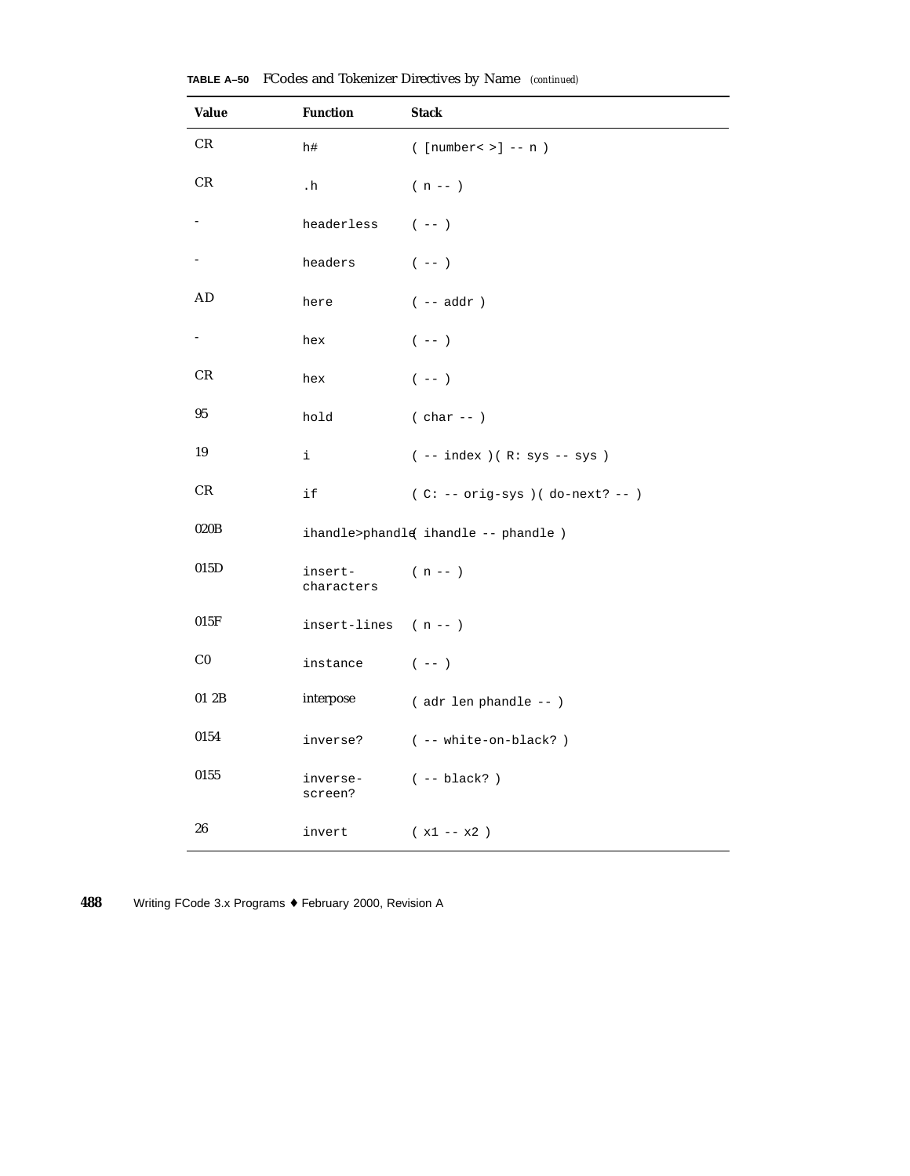| <b>Value</b>    | <b>Function</b>         | <b>Stack</b>                                          |
|-----------------|-------------------------|-------------------------------------------------------|
| CR              | h#                      | $(\lceil \text{number} \cdot \rangle \rceil$ -- n $)$ |
| CR              | $\cdot$ h               | $(n - 1)$                                             |
|                 | headerless              | $(- - )$                                              |
|                 | headers                 | $(\hspace{0.05in} - - \hspace{0.05in})$               |
| AD              | here                    | $(- - addr )$                                         |
| $\sim$ 10 $\pm$ | hex                     | $(- - )$                                              |
| CR              | hex                     | $(- - )$                                              |
| 95              | hold                    | $(char --)$                                           |
| 19              | i.                      | $(- - index) ( R: sys - sys )$                        |
| CR.             | if                      | $(C: -- orig-sys) (do-next? --)$                      |
| 020B            |                         | ihandle>phandle ihandle -- phandle )                  |
| 015D            | insert-<br>characters   | $(n - 1)$                                             |
| 015F            | insert-lines $(n - - )$ |                                                       |
| C <sub>0</sub>  | instance                | $(- - )$                                              |
| 01 2B           | interpose               | (adr len phandle -- )                                 |
| 0154            | inverse?                | ( -- white-on-black?)                                 |
| 0155            | inverse-<br>screen?     | $(- - black?)$                                        |
| 26              | invert                  | $(x1 - x2)$                                           |

**TABLE A–50** FCodes and Tokenizer Directives by Name *(continued)*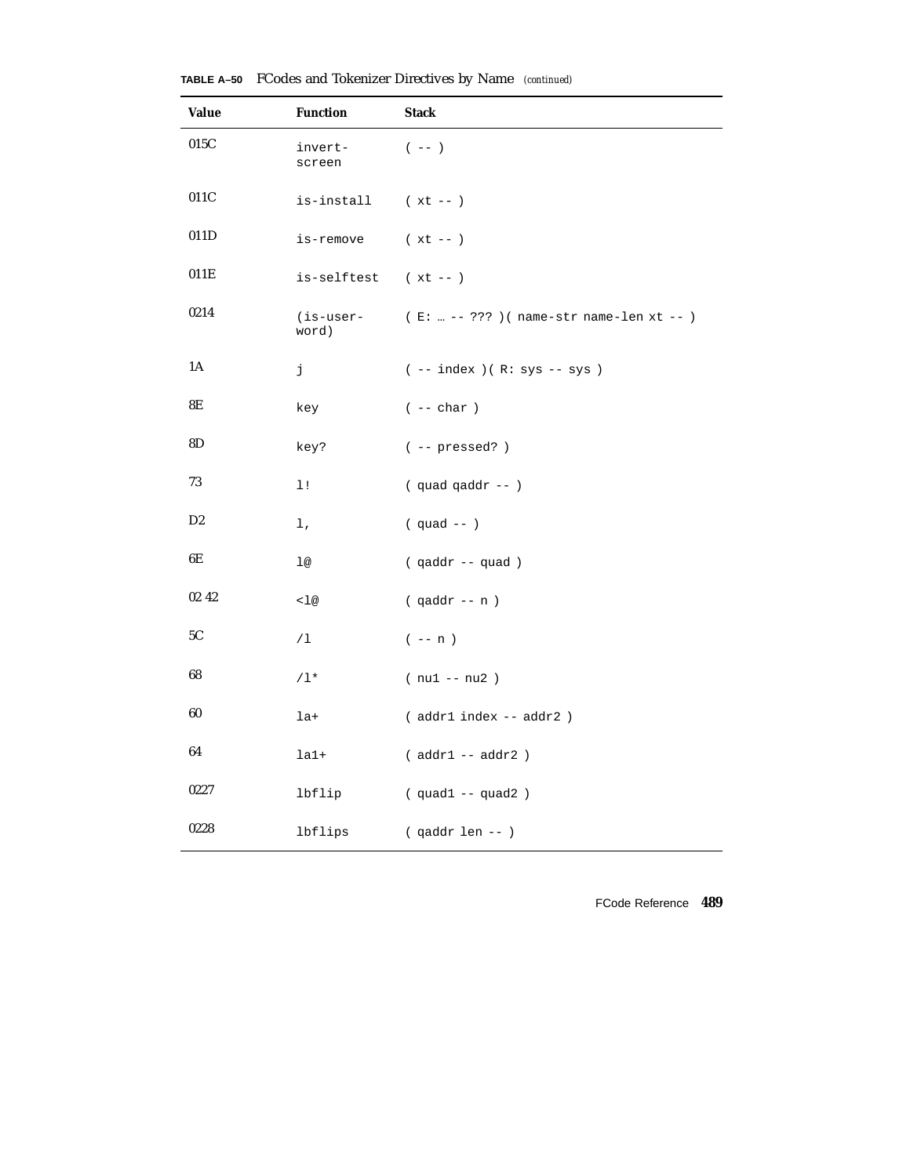| <b>Value</b>   | <b>Function</b>    | <b>Stack</b>                                  |  |  |  |  |  |
|----------------|--------------------|-----------------------------------------------|--|--|--|--|--|
| 015C           | invert-<br>screen  | $(- - )$                                      |  |  |  |  |  |
| 011C           | is-install         | $(xt - )$                                     |  |  |  |  |  |
| 011D           | is-remove          | $(xt - )$                                     |  |  |  |  |  |
| 011E           | is-selftest        | $(xt - - )$                                   |  |  |  |  |  |
| 0214           | (is-user-<br>word) | (E:  -- ??? ) ( $name-str$ name-len $xt$ -- ) |  |  |  |  |  |
| 1A             | j                  | $(- - index) ( R: sys - sys )$                |  |  |  |  |  |
| 8E             | key                | $( \ - - \ {\rm char} \ )$                    |  |  |  |  |  |
| 8D             | key?               | $(- -$ pressed?)                              |  |  |  |  |  |
| $73\,$         | 1!                 | $(quad quad qaddr --)$                        |  |  |  |  |  |
| D <sub>2</sub> | l,                 | $(quad --)$                                   |  |  |  |  |  |
| 6E             | 1@                 | (qaddr -- quad)                               |  |  |  |  |  |
| 02 42          | < 1@               | $( qaddr - n )$                               |  |  |  |  |  |
| 5C             | /1                 | $(- - n)$                                     |  |  |  |  |  |
| 68             | $/1*$              | $(nu1 - nu2)$                                 |  |  |  |  |  |
| $\bf{60}$      | $1a+$              | (addr1 index -- addr2)                        |  |  |  |  |  |
| 64             | $la1+$             | $( addr1 -- addr2 )$                          |  |  |  |  |  |
| 0227           | lbflip             | $(quad1 -- quad2)$                            |  |  |  |  |  |
| 0228           | lbflips            | $( qaddr len -- )$                            |  |  |  |  |  |

|  | TABLE A-50 FCodes and Tokenizer Directives by Name (continued) |  |  |  |  |
|--|----------------------------------------------------------------|--|--|--|--|
|--|----------------------------------------------------------------|--|--|--|--|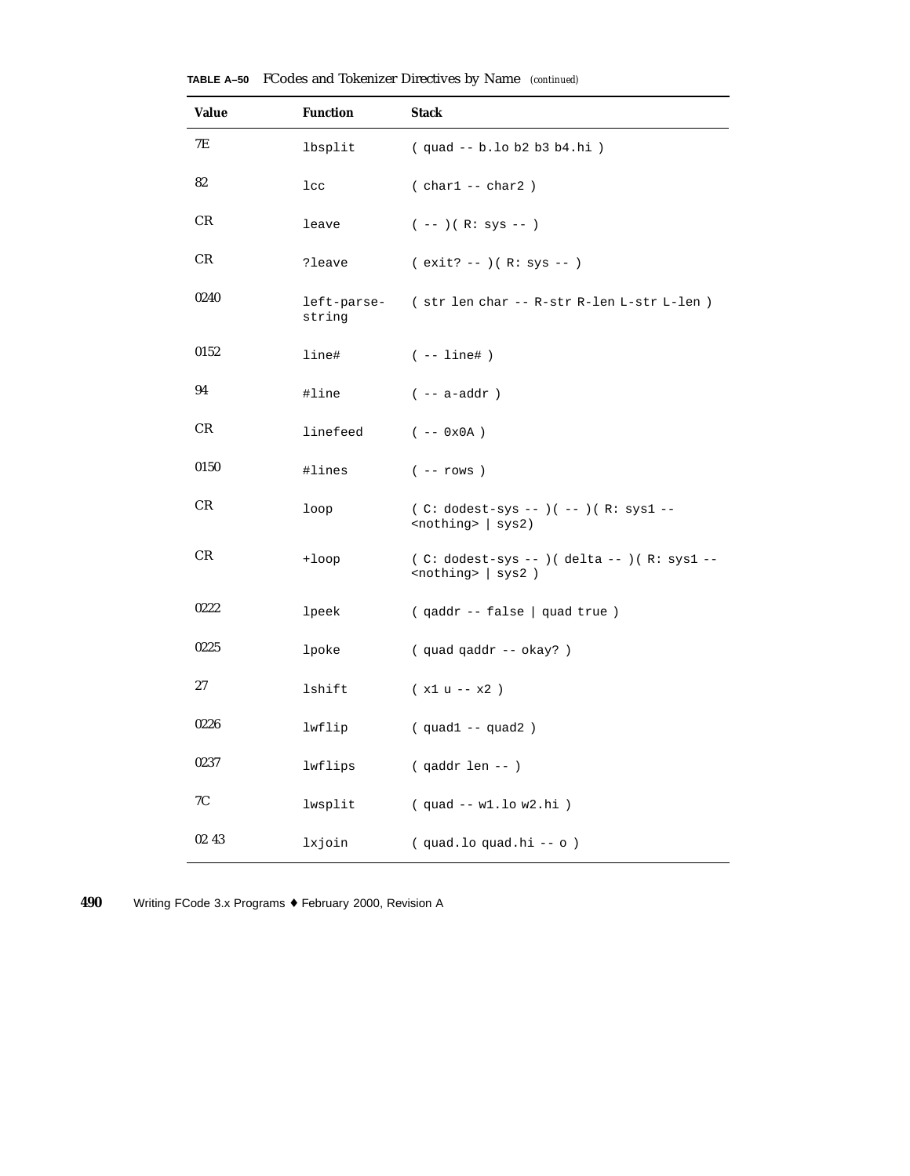| <b>Value</b> | <b>Function</b>       | <b>Stack</b>                                                                               |
|--------------|-----------------------|--------------------------------------------------------------------------------------------|
| 7Ε           | lbsplit               | (quad -- b.lo b2 b3 b4.hi)                                                                 |
| 82           | $_{\text{1cc}}$       | $( char1 -- char2)$                                                                        |
| CR           | leave                 | $(--)$ ( R: sys -- )                                                                       |
| CR.          | ?leave                | $(exit? -- ) ( R: sys -- )$                                                                |
| 0240         | left-parse-<br>string | (str len char -- R-str R-len L-str L-len )                                                 |
| 0152         | line#                 | $(- - 1ine# )$                                                                             |
| 94           | #line                 | $(- - a - addr)$                                                                           |
| CR           | linefeed              | $(- - 0x0A)$                                                                               |
| 0150         | #lines                | $(- - rows)$                                                                               |
| CR.          | loop                  | $(C: dodest-sys --)( --)( R: sys1 --$<br>$nothing >   sys2)$                               |
| CR           | $+1$ oop              | ( C: dodest-sys -- ) ( delta -- ) ( R: sys1 --<br>$\text{modhing} >   \text{sys2} \rangle$ |
| 0222         | lpeek                 | (qaddr -- false   quad true)                                                               |
| 0225         | lpoke                 | (quad qaddr -- okay?)                                                                      |
| 27           | lshift                | $(x1 u - x2)$                                                                              |
| 0226         | lwflip                | $(quad 1 -- quad 2)$                                                                       |
| 0237         | lwflips               | $( qaddr len -- )$                                                                         |
| 7C           | lwsplit               | $(quad -- w1.lo w2.hi)$                                                                    |
| 02 43        | lxjoin                | (quad.loquad.hi -- o)                                                                      |

**TABLE A–50** FCodes and Tokenizer Directives by Name *(continued)*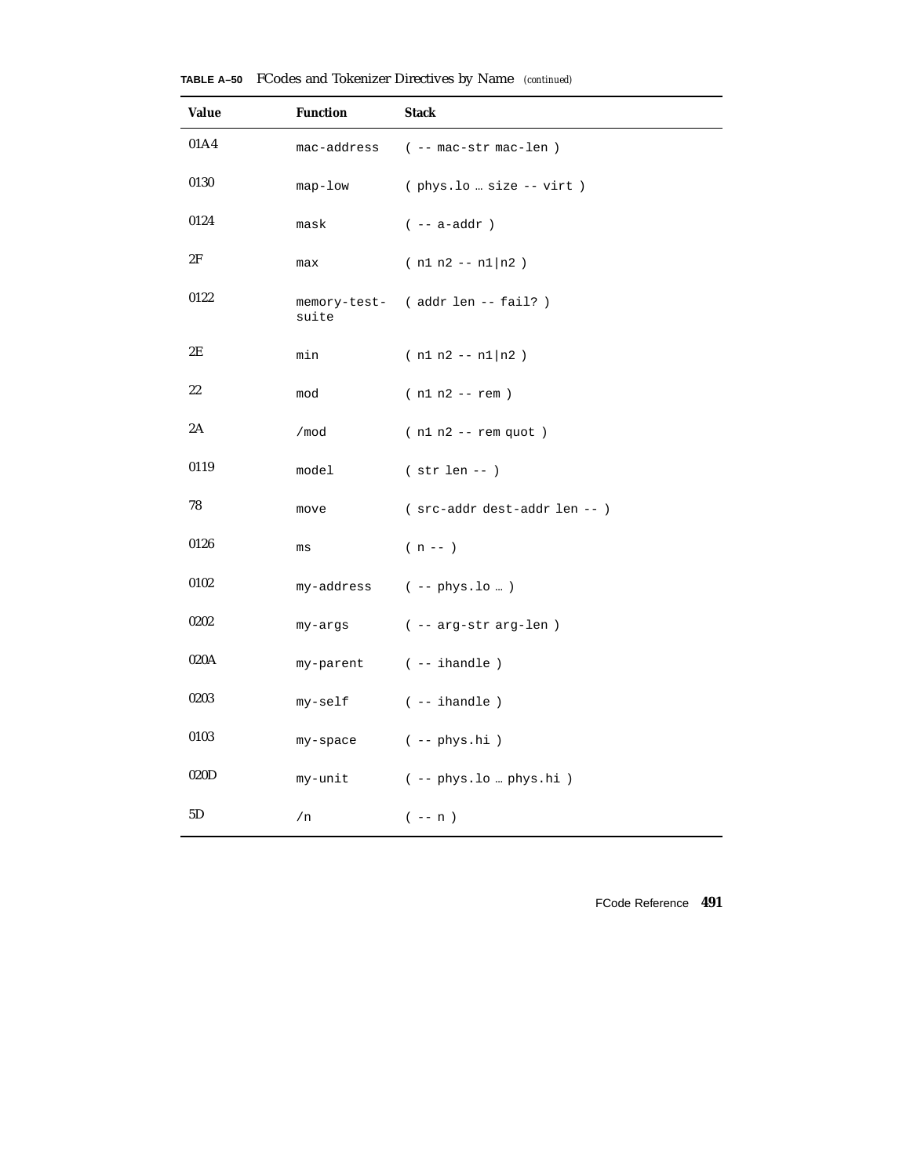| <b>Value</b> | <b>Function</b> | <b>Stack</b>                     |
|--------------|-----------------|----------------------------------|
| 01A4         | mac-address     | $(- -$ mac-str mac-len)          |
| 0130         | $map-low$       | $($ phys.lo  size -- virt)       |
| 0124         | mask            | $(- - a - addr)$                 |
| 2F           | max             | $(n1 n2 - n1)n2)$                |
| 0122         | suite           | memory-test- (addr len -- fail?) |
| 2E           | min             | $(n1 n2 - n1)n2)$                |
| 22           | mod             | $(n1 n2 - rem)$                  |
| 2A           | /mod            | $(n1 n2 - rem quot)$             |
| 0119         | model           | $(str len --)$                   |
| 78           | move            | (src-addr dest-addr len -- )     |
| 0126         | ms              | $(n - 1)$                        |
| 0102         |                 | $my-address$ ( -- $phys.lo$ )    |
| 0202         | my-args         | ( -- arg-str arg-len )           |
| 020A         | my-parent       | $(- - ihandle)$                  |
| 0203         | my-self         | $(- - ihandle)$                  |
| 0103         | my-space        | $(- - phys.hi)$                  |
| 020D         | my-unit         | ( -- phys.lo  phys.hi )          |
| 5D           | /n              | $(- - n)$                        |

**TABLE A–50** FCodes and Tokenizer Directives by Name *(continued)*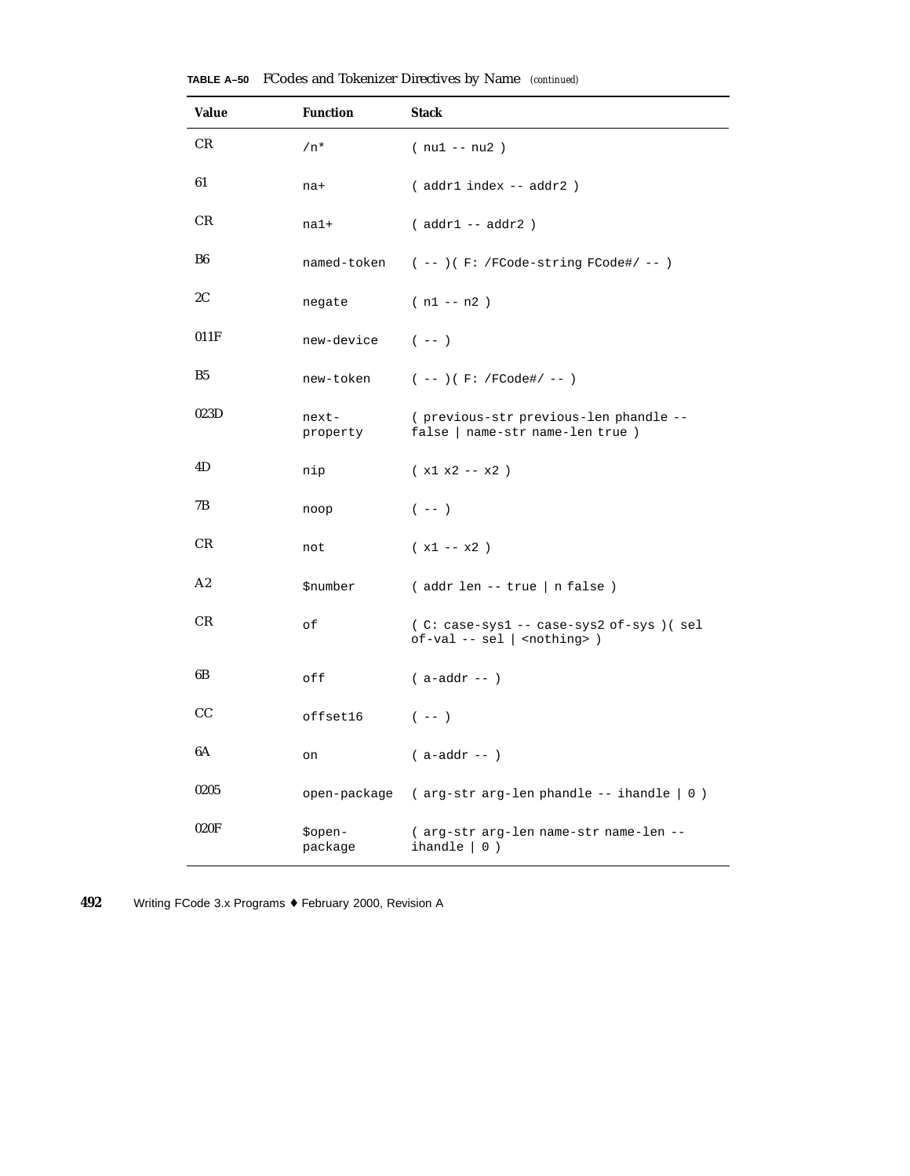| Value          | <b>Function</b>        | <b>Stack</b>                                                                      |
|----------------|------------------------|-----------------------------------------------------------------------------------|
| CR             | $/n*$                  | ( nu1 -- nu2 )                                                                    |
| 61             | na+                    | (addr1 index -- addr2)                                                            |
| CR             | $na1+$                 | $(addr1 - addr2)$                                                                 |
| B <sub>6</sub> | named-token            | $(- - )$ ( F: /FCode-string FCode#/ -- )                                          |
| 2C             | negate                 | $(n1 - n2)$                                                                       |
| 011F           | new-device             | $(- - )$                                                                          |
| B <sub>5</sub> | new-token              | $(- - ) ( F: /FCode\# / - - )$                                                    |
| 023D           | next-<br>property      | (previous-str previous-len phandle --<br>false   name-str name-len true )         |
| 4D             | nip                    | $(x1 x2 - x2)$                                                                    |
| 7В             | noop                   | $(- - )$                                                                          |
| CR             | not                    | $(x1 - x2)$                                                                       |
| A2             | <i><b>\$number</b></i> | (addr len -- true   n false )                                                     |
| CR             | оf                     | (C: case-sys1 -- case-sys2 of-sys) (sel<br>$of-val -- sel  $ <nothing>)</nothing> |
| 6B             | off                    | $( a-addr -- )$                                                                   |
| CС             | offset16               | $(- - )$                                                                          |
| 6A             | on                     | $( a-addr -- )$                                                                   |
| 0205           |                        | open-package ( $arg-str arg-len phandle -- inandle   0)$ )                        |
| 020F           | \$open-<br>package     | (arg-str arg-len name-str name-len --<br>ihandle $ 0)$                            |

**TABLE A–50** FCodes and Tokenizer Directives by Name *(continued)*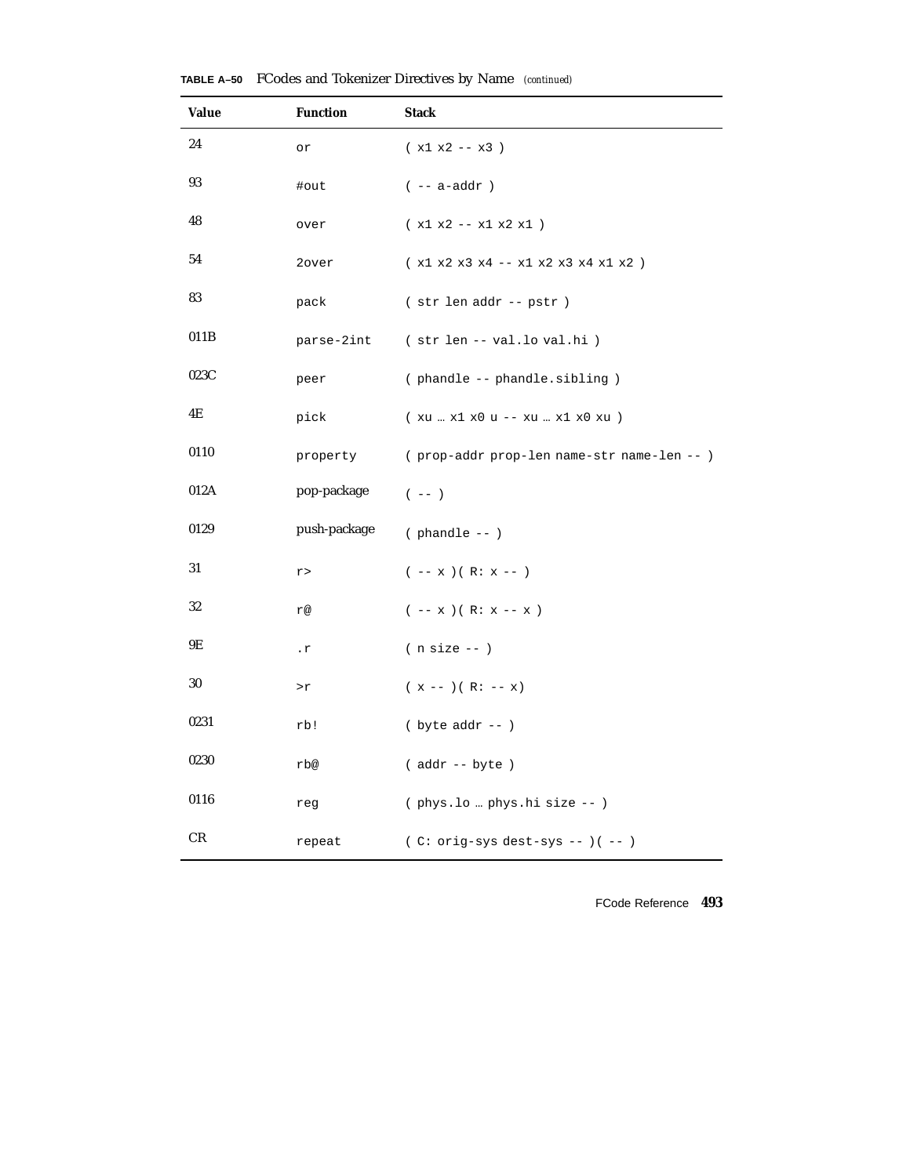| Value | <b>Function</b>                     | <b>Stack</b>                               |
|-------|-------------------------------------|--------------------------------------------|
| 24    | or                                  | $(x1 x2 - x3)$                             |
| 93    | #out                                | $(- - a - addr)$                           |
| 48    | over                                | $(x1 x2 - x1 x2 x1)$                       |
| 54    | 2over                               | $(x1 x2 x3 x4 - x1 x2 x3 x4 x1 x2 )$       |
| 83    | pack                                | (str len addr -- pstr )                    |
| 011B  | parse-2int                          | (str len -- val.lo val.hi)                 |
| 023C  | peer                                | (phandle -- phandle.sibling)               |
| 4E    | pick                                | (xu  x1 x0 u -- xu  x1 x0 xu )             |
| 0110  | property                            | (prop-addr prop-len name-str name-len -- ) |
| 012A  | pop-package                         | $(- - )$                                   |
| 0129  | push-package                        | $( $ phandle -- $)$                        |
| 31    | $\mathtt{r}$ $>$                    | $(- - x)(R: x --)$                         |
| 32    | r@                                  | $(- - x) ( R: x - x )$                     |
| 9Ε    | . $\mathtt{r}$                      | $(n size --)$                              |
| 30    | $\mathord{>}\mathord{\text{\rm r}}$ | $(x --- ) ( R: --- x)$                     |
| 0231  | rb!                                 | $(\text{byte addr} --)$                    |
| 0230  | rb@                                 | (addr -- byte)                             |
| 0116  | reg                                 | (phys.lo  phys.hi size -- )                |
| CR    | repeat                              | $(C: orig-sys dest-sys --)( --)$           |

**TABLE A–50** FCodes and Tokenizer Directives by Name *(continued)*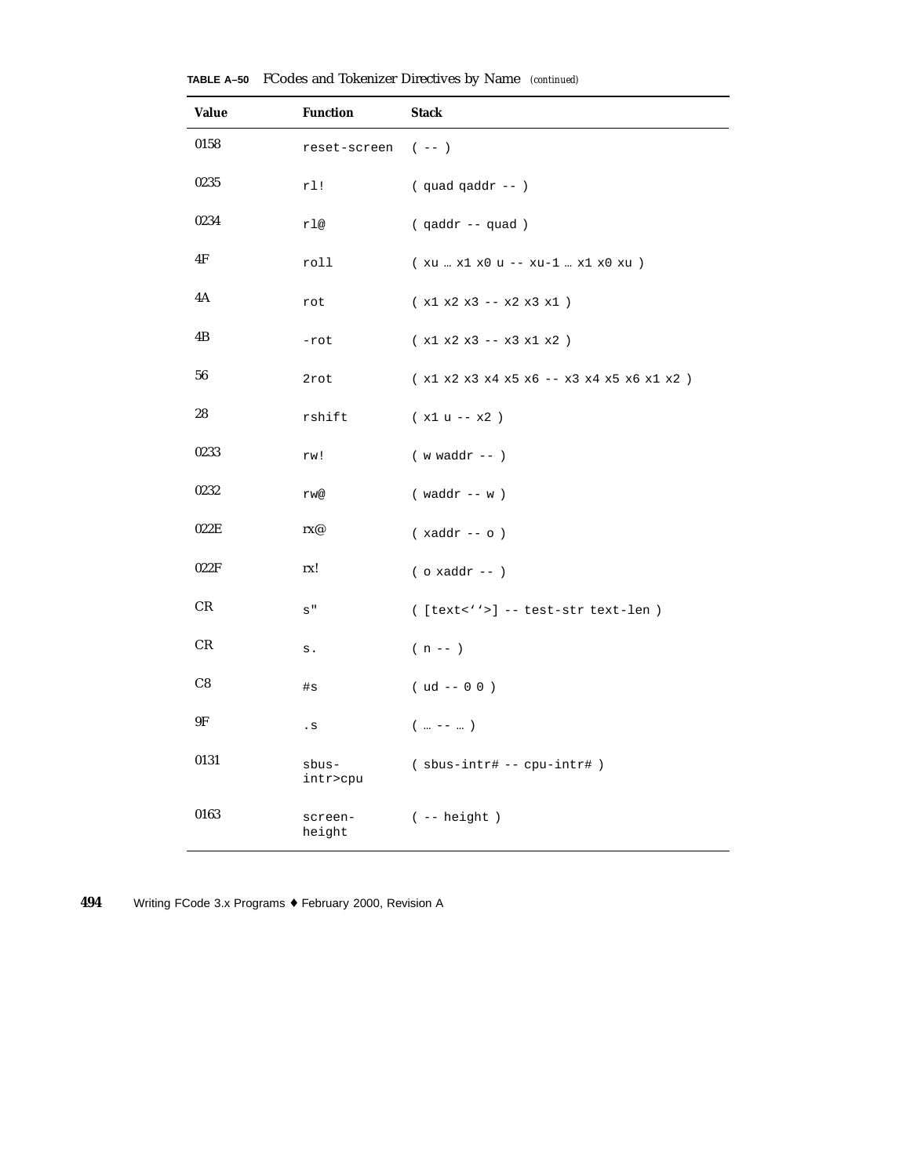| Value | <b>Function</b>   | <b>Stack</b>                                |
|-------|-------------------|---------------------------------------------|
| 0158  | reset-screen      | $(- - )$                                    |
| 0235  | rl!               | $($ quad qaddr -- $)$                       |
| 0234  | rl@               | $( qaddr - quad)$                           |
| 4F    | roll              | $(xu - x1 x0 u - - xu - 1 x1 x0 xu)$        |
| 4A    | rot               | $(x1 x2 x3 - x2 x3 x1)$                     |
| 4B    | $-rot$            | $(x1 x2 x3 -- x3 x1 x2)$                    |
| 56    | 2rot              | $(x1 x2 x3 x4 x5 x6 -- x3 x4 x5 x6 x1 x2 )$ |
| 28    | rshift            | $(x1 u - x2)$                               |
| 0233  | rw!               | $(w \text{ waddr } --)$                     |
| 0232  | rw@               | $(waddr - w)$                               |
| 022E  | rx@               | $(xaddr -- o)$                              |
| 022F  | rx!               | $($ o xaddr -- $)$                          |
| CR    | $\mathtt{s}$ "    | $([text='\\$ -- test-str text-len )         |
| CR    | $\mathtt{s}$ .    | $(n - 1)$                                   |
| C8    | #s                | $( ud -- 0 0 )$                             |
| 9F    | . $\mathbf s$     | $($ --  )                                   |
| 0131  | sbus-<br>intr>cpu | $(sbus-intr# -- cpu-intr# )$                |
| 0163  | screen-<br>height | $(- - height )$                             |

**TABLE A–50** FCodes and Tokenizer Directives by Name *(continued)*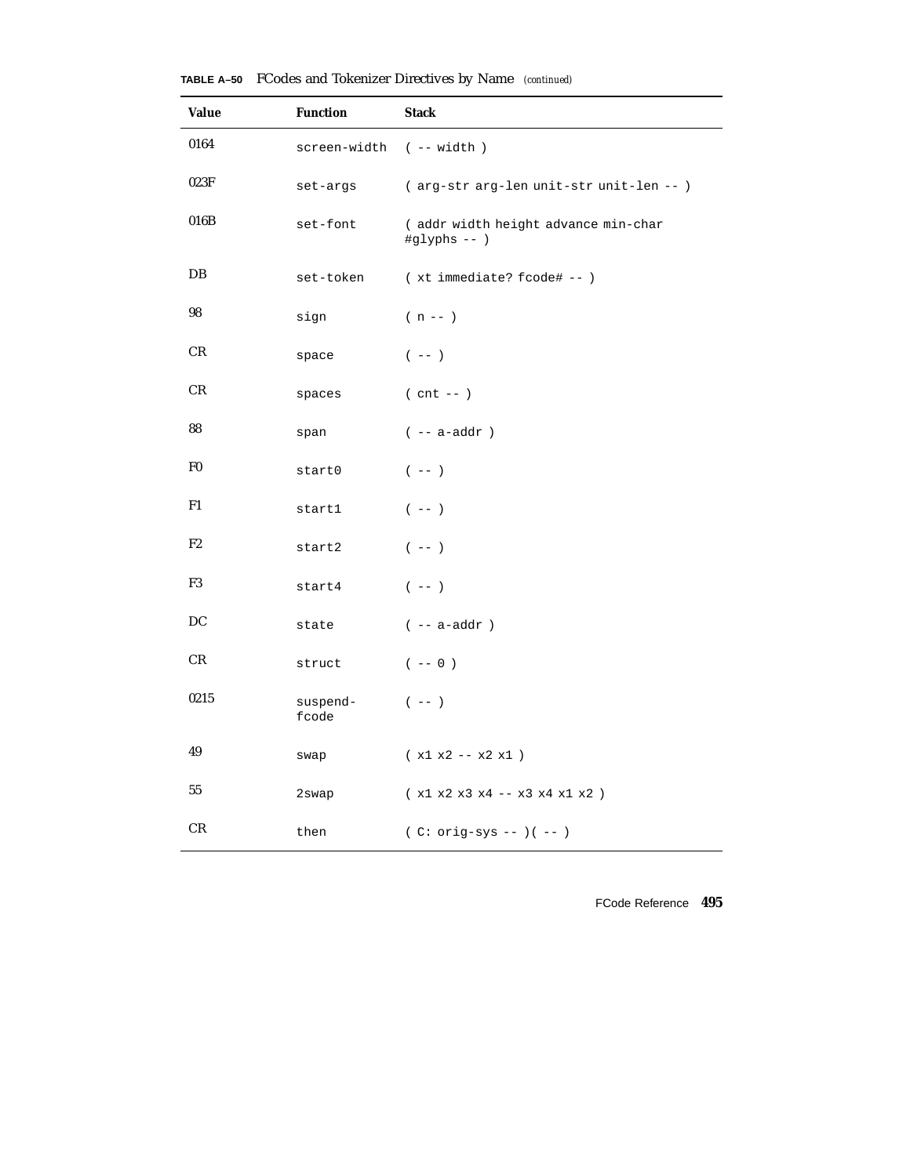| Value          | <b>Function</b>         | <b>Stack</b>                                                |
|----------------|-------------------------|-------------------------------------------------------------|
| 0164           | screen-width (-- width) |                                                             |
| 023F           | set-args                | (arg-str arg-len unit-str unit-len -- )                     |
| 016B           | set-font                | (addr width height advance min-char<br>$\sharp$ glyphs -- ) |
| DB             | set-token               | (xt immediate? fcode# -- )                                  |
| 98             | sign                    | $(n - 1)$                                                   |
| CR             | space                   | $(- - )$                                                    |
| CR             | spaces                  | $(\text{cnt} --)$                                           |
| 88             | span                    | $(- - a - addr)$                                            |
| F <sub>0</sub> | start0                  | $(- - )$                                                    |
| F1             | start1                  | $(- - )$                                                    |
| F2             | start2                  | $(- - )$                                                    |
| F3             | start4                  | $(- - )$                                                    |
| DC             | state                   | $(- - a - addr)$                                            |
| CR             | struct                  | $(- - 0)$                                                   |
| 0215           | suspend-<br>fcode       | $(- - )$                                                    |
| 49             | swap                    | $(x1 x2 - x2 x1)$                                           |
| 55             | 2swap                   | $(x1 x2 x3 x4 -- x3 x4 x1 x2 )$                             |
| CR             | then                    | $(C: orig-sys --)( --)$                                     |

**TABLE A–50** FCodes and Tokenizer Directives by Name *(continued)*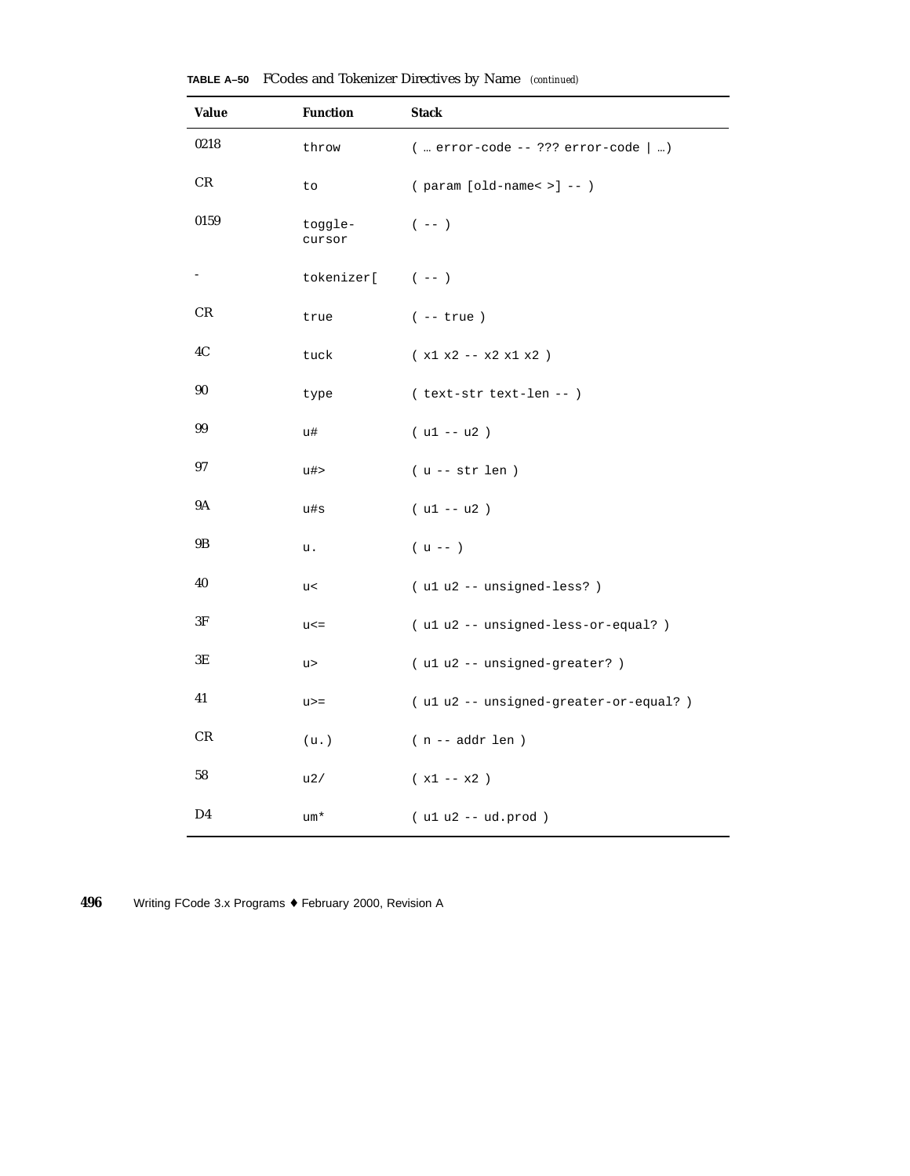| Value | <b>Function</b>   | <b>Stack</b>                           |
|-------|-------------------|----------------------------------------|
| 0218  | throw             | $($ error-code -- ??? error-code $ $ ) |
| CR.   | to                | $(parrow [old-name < >] --)$           |
| 0159  | toggle-<br>cursor | $(- - )$                               |
|       | tokenizer[ (--)   |                                        |
| CR    | true              | $(- - true)$                           |
| 4C    | tuck              | $(x1 x2 - x2 x1 x2)$                   |
| 90    | type              | (text-str text-len -- )                |
| 99    | u#                | $( u1 - u2 )$                          |
| 97    | u#>               | $(u -- str len)$                       |
| 9Α    | u#s               | $( u1 - u2 )$                          |
| 9B    | u.                | $(u --)$                               |
| 40    | u<                | (ulu2 -- unsigned-less?)               |
| 3F    | $u$ < $=$         | (ulu2 -- unsigned-less-or-equal?)      |
| 3Е    | u>                | (u1 u2 -- unsigned-greater?)           |
| 41    | $u>=$             | (ulu2 -- unsigned-greater-or-equal?)   |
| CR    | (u.)              | $(n -- addr len)$                      |
| 58    | u2/               | $(x1 - x2)$                            |
| D4    | um*               | $( u1 u2 -- ud.prod )$                 |

**TABLE A–50** FCodes and Tokenizer Directives by Name *(continued)*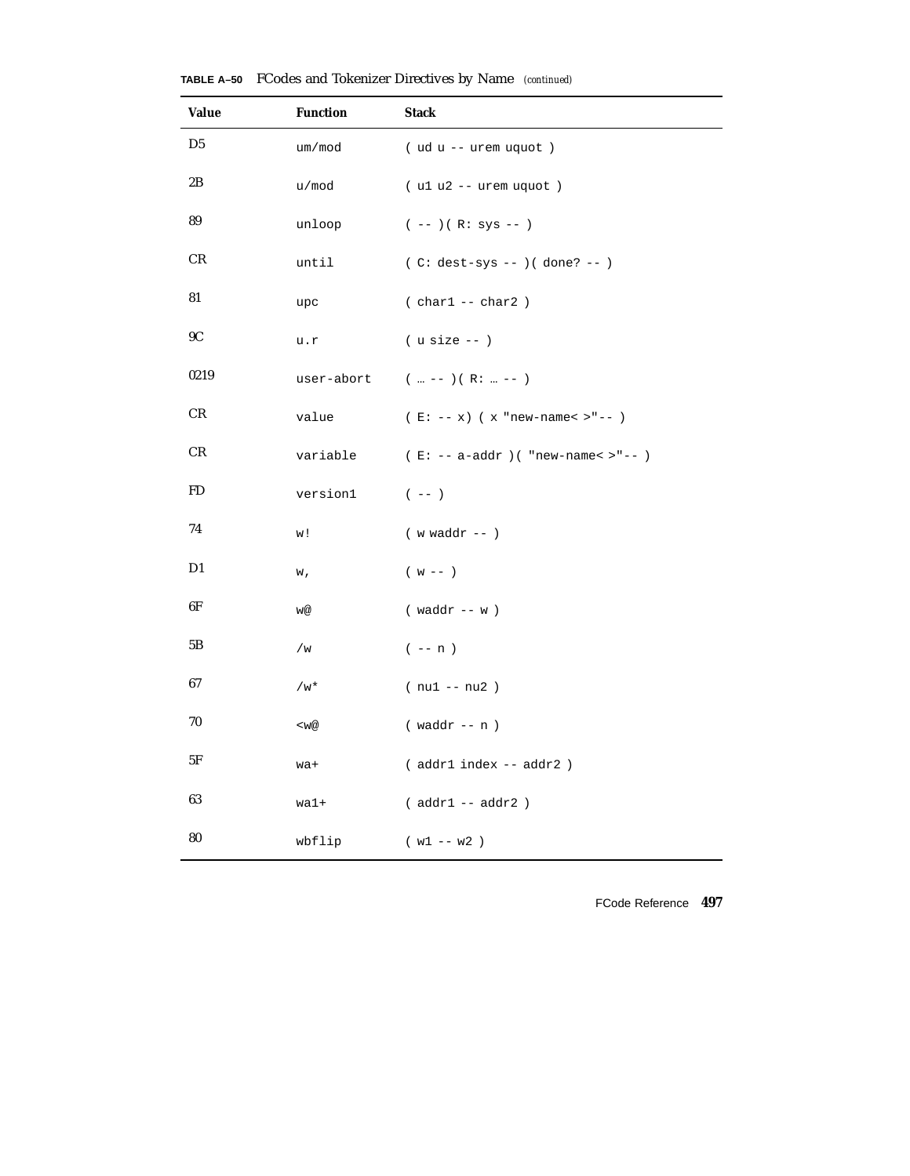| <b>Value</b>  | <b>Function</b> | <b>Stack</b>                         |
|---------------|-----------------|--------------------------------------|
| D5            | um/mod          | (ud u -- urem uquot)                 |
| 2B            | u/mod           | $( u1 u2 - - urem uquot )$           |
| 89            | unloop          | $(--)$ ( R: sys -- )                 |
| CR            | until           | $(C: dest-sys --)( done? --)$        |
| 81            | upc             | $( char1 -- char2)$                  |
| 9C            | u.r             | $($ u size $- )$                     |
| 0219          | user-abort      | $(m - -) (R:  - -)$                  |
| $\mathrm{CR}$ | value           | $(E: -- x)$ (x "new-name< >"-- )     |
| CR            | variable        | $(E: -- a-addr)$ ( "new-name< >"-- ) |
| FD            | version1        | $(- - )$                             |
| 74            | w!              | $(w \text{ waddr } --)$              |
| D1            | w,              | $(w - -)$                            |
| 6F            | w@              | $(waddr - w)$                        |
| 5Β            | /w              | $(- - n)$                            |
| 67            | $/w^*$          | $(nu1 - nu2)$                        |
| 70            | $<$ w@          | $(waddr - n)$                        |
| 5F            | wa+             | (addr1 index -- addr2)               |
| 63            | wa1+            | $(addr1 - addr2)$                    |
| 80            | wbflip          | $(w1 - w2)$                          |

**TABLE A–50** FCodes and Tokenizer Directives by Name *(continued)*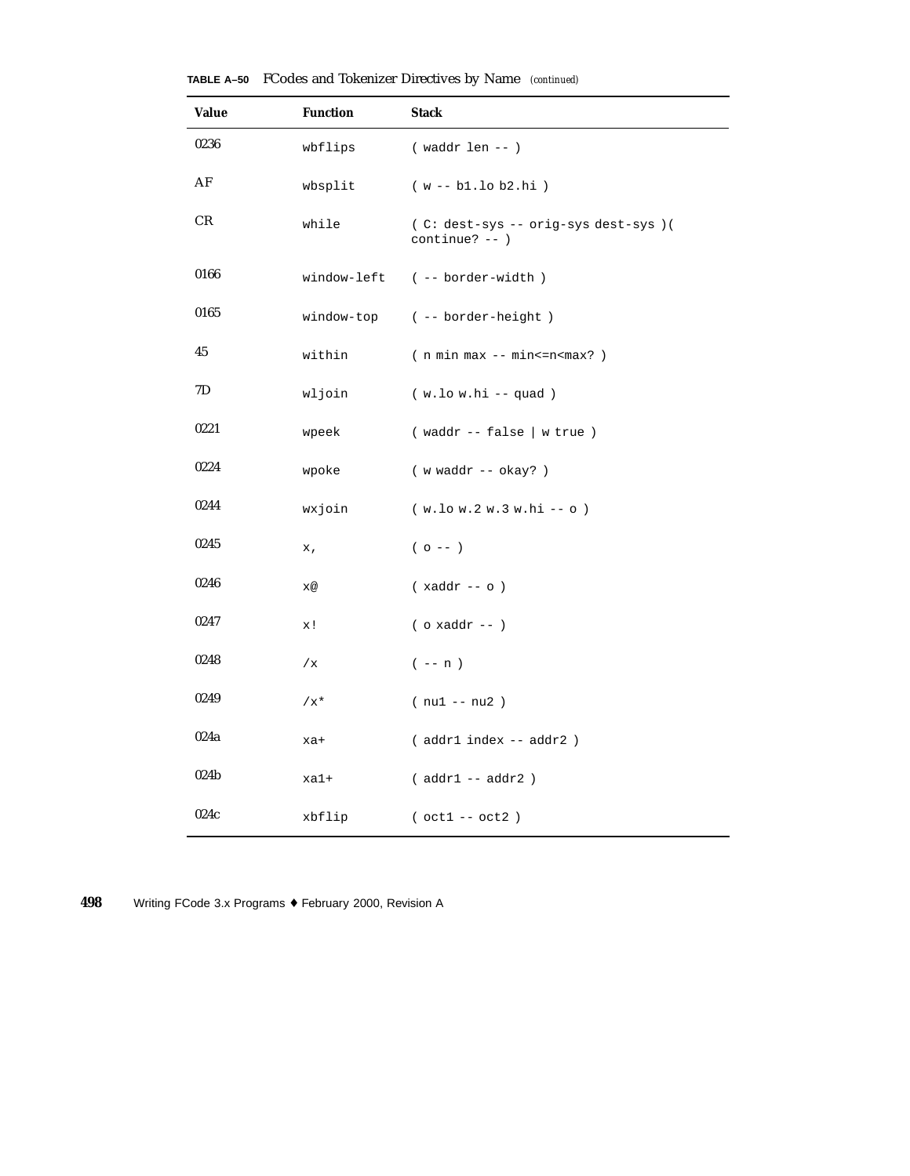| Value | <b>Function</b> | <b>Stack</b>                                             |
|-------|-----------------|----------------------------------------------------------|
| 0236  | wbflips         | $(waddr len - )$                                         |
| AF    | wbsplit         | $(w - b1.10 b2.hi)$                                      |
| CR    | while           | (C: dest-sys -- orig-sys dest-sys ) (<br>$continue? --)$ |
| 0166  |                 | window-left (-- border-width)                            |
| 0165  |                 | window-top (-- border-height)                            |
| 45    | within          | $(n min max - min < = n < max? )$                        |
| 7D    | wljoin          | $(w.lo w.hi -- quad)$                                    |
| 0221  | wpeek           | $($ waddr -- false $ $ w true $)$                        |
| 0224  | wpoke           | (wwaddr -- okay?)                                        |
| 0244  | wxjoin          | $(w.lo w.2 w.3 w.hi -o)$                                 |
| 0245  | x,              | $(0 - - )$                                               |
| 0246  | x@              | $(xaddr - o)$                                            |
| 0247  | x!              | $($ o xaddr -- $)$                                       |
| 0248  | /x              | $(- - n)$                                                |
| 0249  | $/x^{\star}$    | $(nu1 - nu2)$                                            |
| 024a  | xa+             | (addr1 index -- addr2)                                   |
| 024b  | xa1+            | $(addr1 - addr2)$                                        |
| 024c  | xbflip          | $( oct1 -- oct2 )$                                       |

**TABLE A–50** FCodes and Tokenizer Directives by Name *(continued)*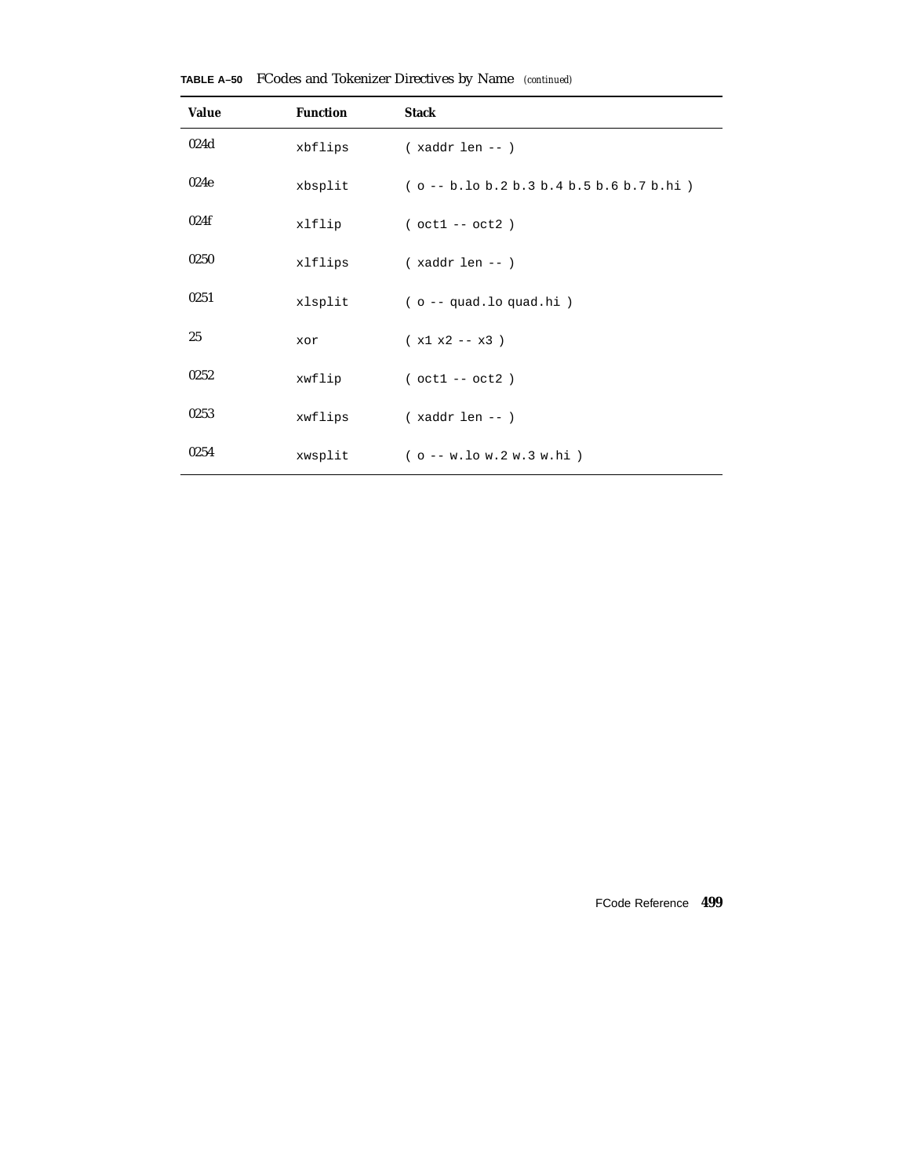| <b>Value</b> | <b>Function</b> | <b>Stack</b>                               |
|--------------|-----------------|--------------------------------------------|
| 024d         | xbflips         | $(xaddr len - )$                           |
| 024e         | xbsplit         | $(o - b.$ lo b.2 b.3 b.4 b.5 b.6 b.7 b.hi) |
| 024f         | xlflip          | $( oct1 -- oct2 )$                         |
| 0250         | xlflips         | $(xaddr len - )$                           |
| 0251         | xlsplit         | $( o -q uad.$ lo quad.hi)                  |
| 25           | xor             | $(x1 x2 - x3)$                             |
| 0252         | xwflip          | $( oct1 -- oct2 )$                         |
| 0253         | xwflips         | $(xaddr len - )$                           |
| 0254         | xwsplit         | $(o - w.lo w.2 w.3 w.hi)$                  |

**TABLE A–50** FCodes and Tokenizer Directives by Name *(continued)*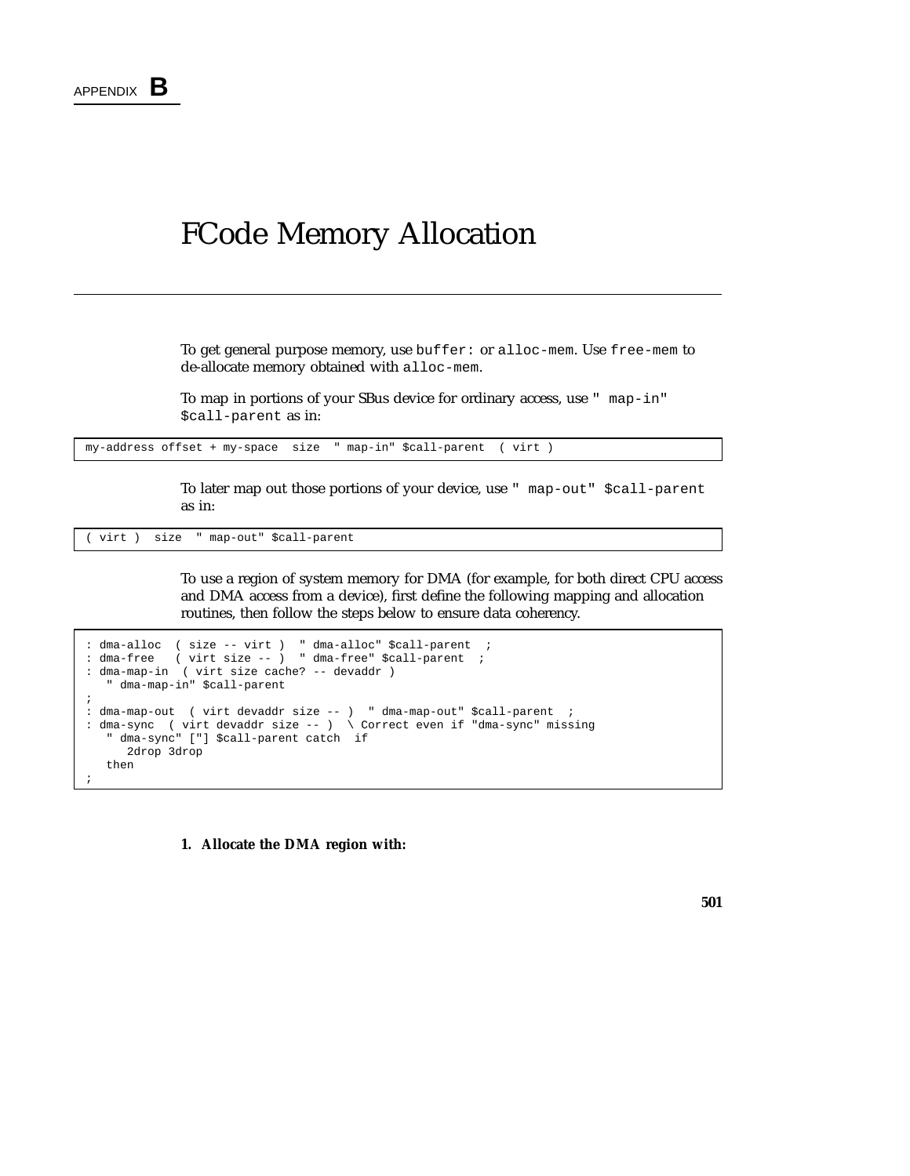#### FCode Memory Allocation

To get general purpose memory, use buffer: or alloc-mem. Use free-mem to de-allocate memory obtained with alloc-mem.

To map in portions of your SBus device for ordinary access, use " map-in" \$call-parent as in:

my-address offset + my-space size " map-in" \$call-parent ( virt )

To later map out those portions of your device, use " map-out" \$call-parent as in:

( virt ) size " map-out" \$call-parent

To use a region of system memory for DMA (for example, for both direct CPU access and DMA access from a device), first define the following mapping and allocation routines, then follow the steps below to ensure data coherency.

```
: dma-alloc ( size -- virt ) " dma-alloc" $call-parent ;
: dma-free ( virt size -- ) " dma-free" $call-parent ;
: dma-map-in ( virt size cache? -- devaddr )
   " dma-map-in" $call-parent
;
: dma-map-out ( virt devaddr size -- ) " dma-map-out" $call-parent ;
: dma-sync ( virt devaddr size -- ) \ Correct even if "dma-sync" missing
   " dma-sync" ["] $call-parent catch if
     2drop 3drop
  then
;
```
**1. Allocate the DMA region with:**

**501**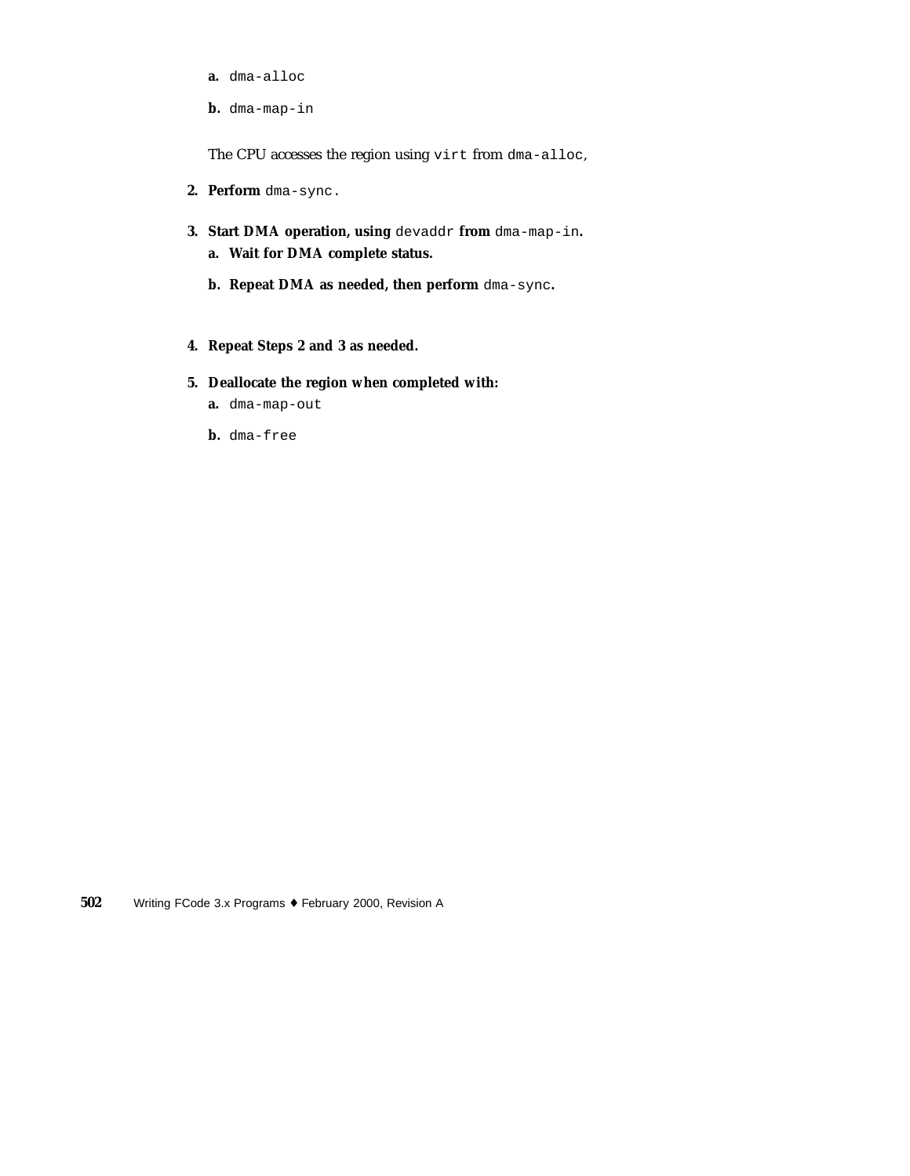- **a.** dma-alloc
- **b.** dma-map-in

The CPU accesses the region using virt from dma-alloc,

- **2. Perform** dma-sync.
- **3. Start DMA operation, using** devaddr **from** dma-map-in**. a. Wait for DMA complete status.**
	- **b. Repeat DMA as needed, then perform** dma-sync**.**
- **4. Repeat Steps 2 and 3 as needed.**
- **5. Deallocate the region when completed with:**
	- **a.** dma-map-out
	- **b.** dma-free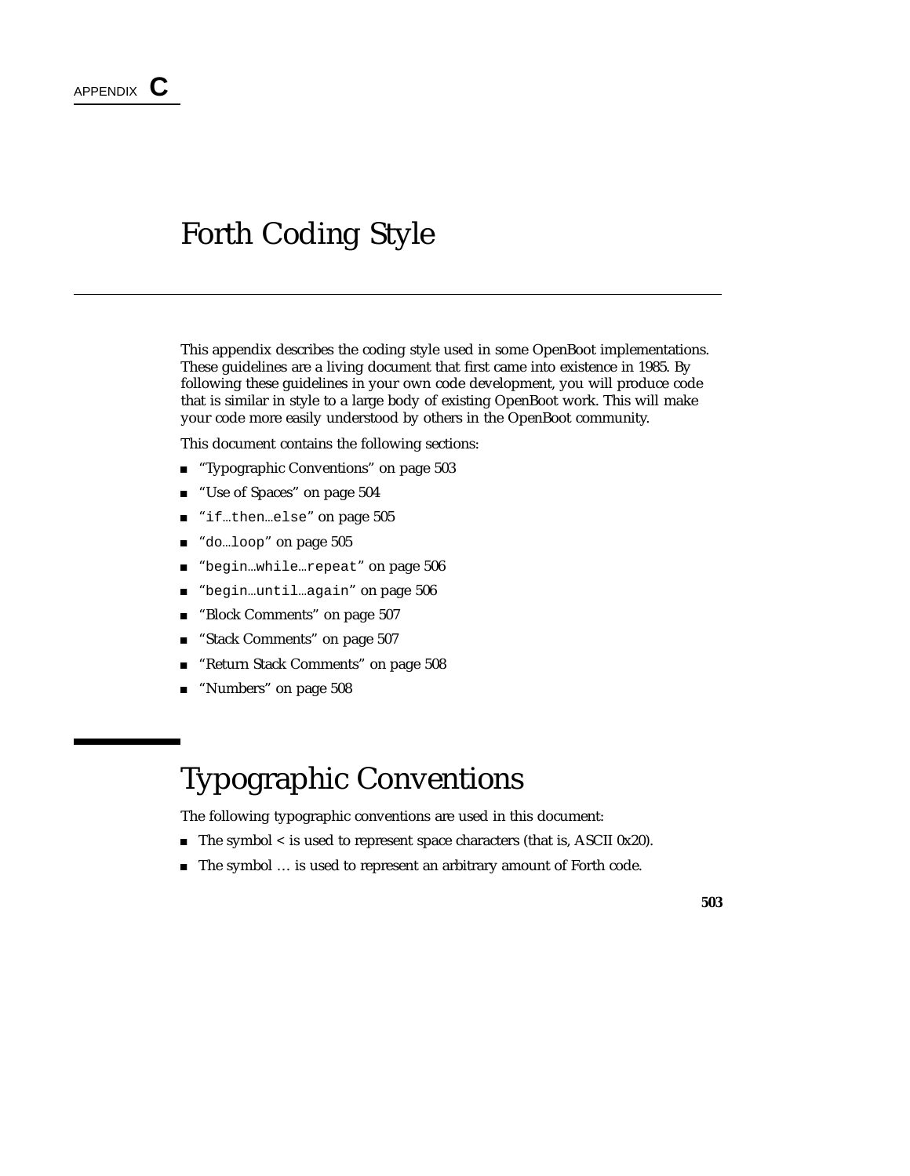### Forth Coding Style

This appendix describes the coding style used in some OpenBoot implementations. These guidelines are a living document that first came into existence in 1985. By following these guidelines in your own code development, you will produce code that is similar in style to a large body of existing OpenBoot work. This will make your code more easily understood by others in the OpenBoot community.

This document contains the following sections:

- "Typographic Conventions" on page 503
- "Use of Spaces" on page 504
- "if…then…else" on page 505
- do…loop" on page 505
- "begin…while…repeat" on page 506
- "begin...until...again" on page 506
- "Block Comments" on page 507
- "Stack Comments" on page 507
- "Return Stack Comments" on page 508
- "Numbers" on page 508

## Typographic Conventions

The following typographic conventions are used in this document:

- The symbol < is used to represent space characters (that is, ASCII 0x20).
- The symbol ... is used to represent an arbitrary amount of Forth code.

**503**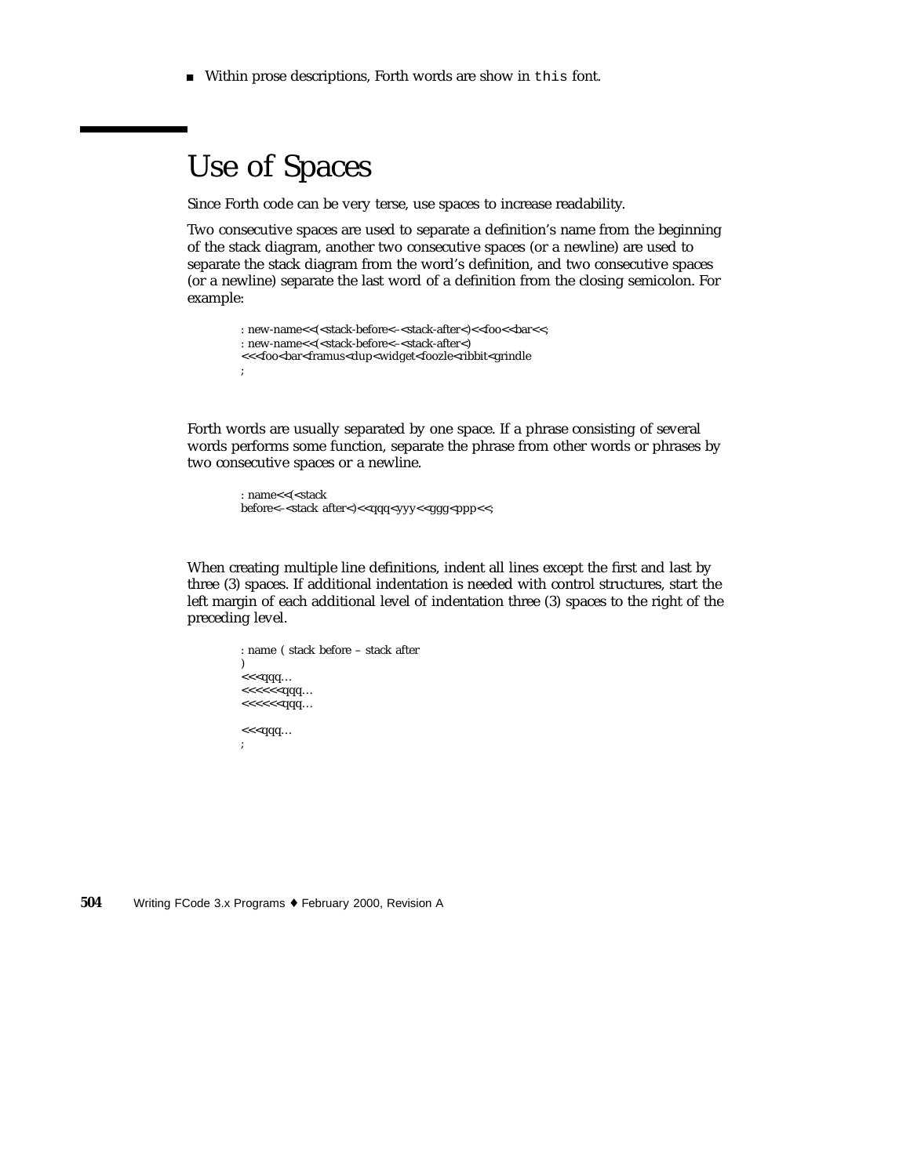Within prose descriptions, Forth words are show in this font.

### Use of Spaces

Since Forth code can be very terse, use spaces to increase readability.

Two consecutive spaces are used to separate a definition's name from the beginning of the stack diagram, another two consecutive spaces (or a newline) are used to separate the stack diagram from the word's definition, and two consecutive spaces (or a newline) separate the last word of a definition from the closing semicolon. For example:

```
: new-name<<(<stack-before<–<stack-after<)<<foo<<bar<<;
: new-name<<(<stack-before<–<stack-after<)
<<<foo<br/>sbar<framus<dup<widget<foozle<ribbit<grindle
;
```
Forth words are usually separated by one space. If a phrase consisting of several words performs some function, separate the phrase from other words or phrases by two consecutive spaces or a newline.

```
: name<<(<stack
before<-<stack after<)<<qqq<yyy<<ggg<ppp<<;
```
When creating multiple line definitions, indent all lines except the first and last by three (3) spaces. If additional indentation is needed with control structures, start the left margin of each additional level of indentation three (3) spaces to the right of the preceding level.

```
: name ( stack before – stack after
\overline{)}<<<qqq…
<<<<<<qqq…
<<<<<<qqq…
<<<qqq…
;
```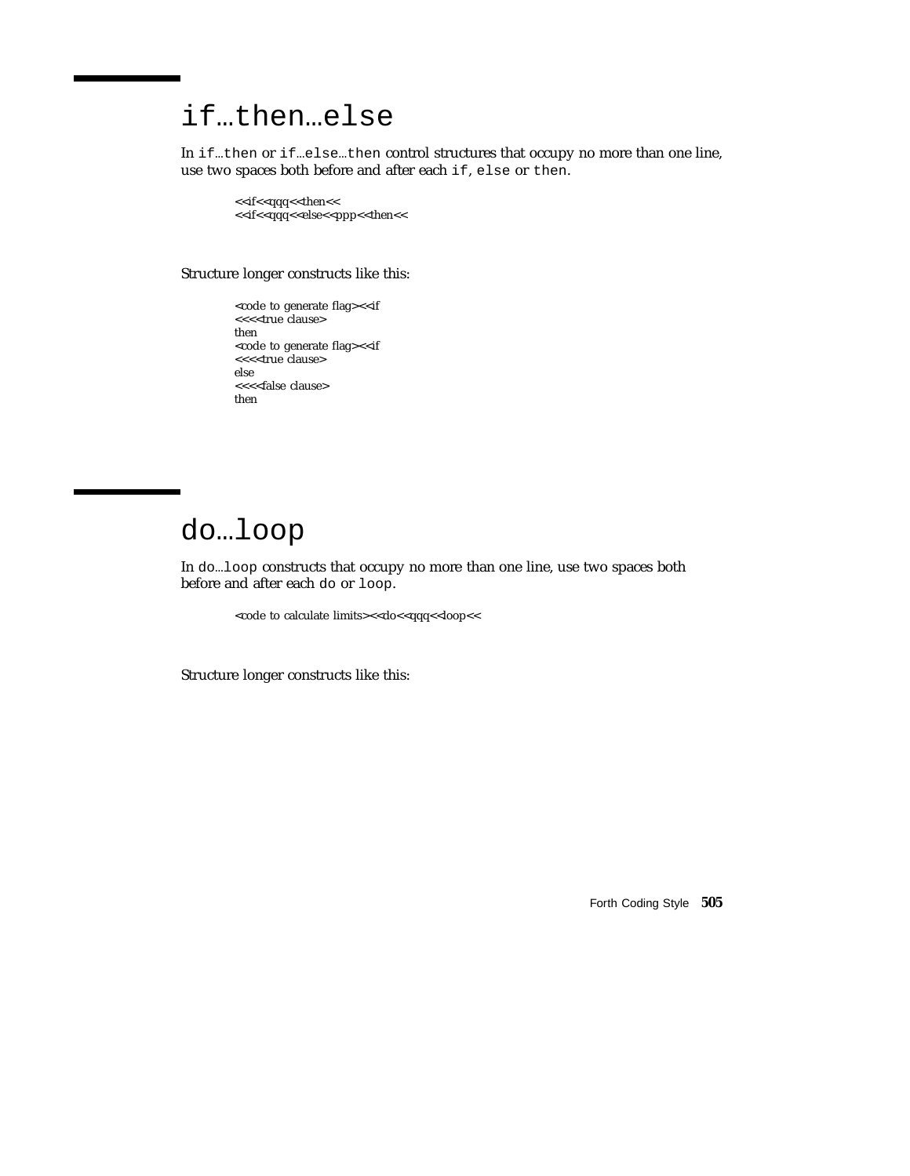## if…then…else

In if…then or if…else…then control structures that occupy no more than one line, use two spaces both before and after each if, else or then.

<<if<<qqq<<<then<< <<if<<qqq<<else<<ppp><<then<<

Structure longer constructs like this:

<code to generate flag><<if <<<<true clause> then <code to generate flag><<if <<<<true clause> else <<<<false clause> then

### do…loop

In do…loop constructs that occupy no more than one line, use two spaces both before and after each do or loop.

<code to calculate limits><<do<<qqq<<loop<<

Structure longer constructs like this:

Forth Coding Style **505**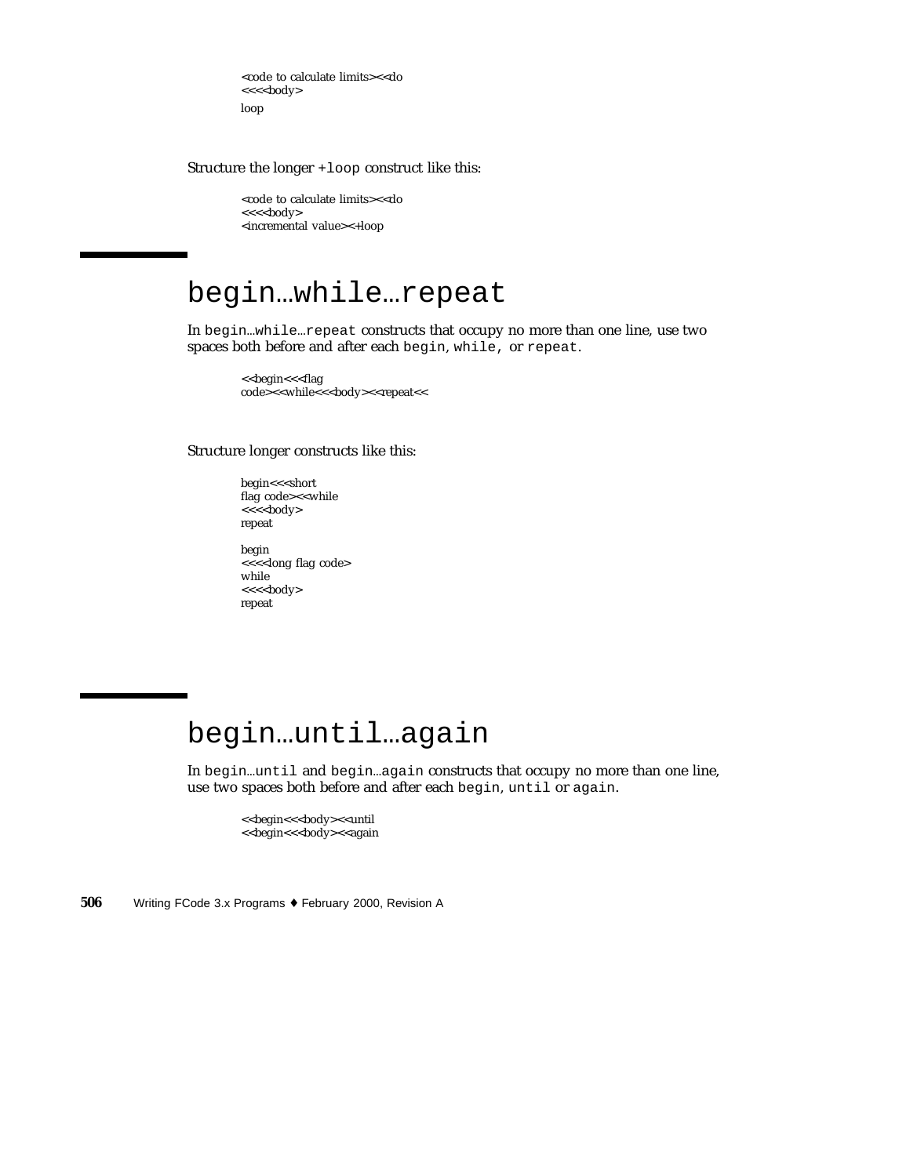<code to calculate limits><<do <<<<br/>sody> loop

Structure the longer +loop construct like this:

<code to calculate limits><<do <<<<br/>s<br/>c<br/>s<br/>eddy> <incremental value><+loop

#### begin…while…repeat

In begin…while…repeat constructs that occupy no more than one line, use two spaces both before and after each begin, while, or repeat.

> <<br/>begin<<<flag> code><<while<<<br/>sody><<repeat<<

Structure longer constructs like this:

begin<<<short flag code><<while <<<<br/>s<br/>cody> repeat

begin <<<<long flag code> while <<<<br/>s<br/>c<br/>s<br/>edy> repeat

## begin…until…again

In begin…until and begin…again constructs that occupy no more than one line, use two spaces both before and after each begin, until or again.

<<br/>begin<<<br/>sbody><<until <<br/>begin<<<br/>sbody><<again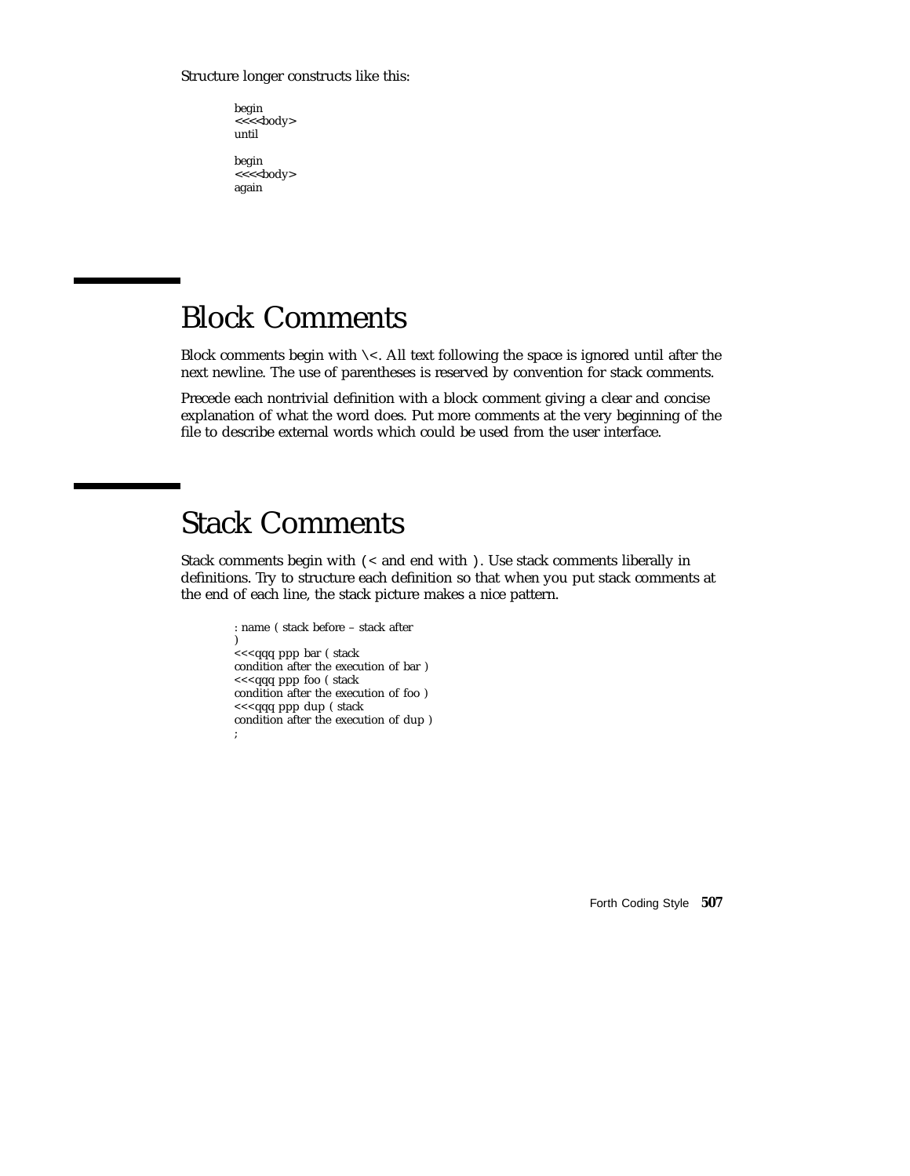#### Structure longer constructs like this:

begin <<<<<br/>body> until

begin <<<<<br/>body> again

#### Block Comments

Block comments begin with  $\backslash$  <. All text following the space is ignored until after the next newline. The use of parentheses is reserved by convention for stack comments.

Precede each nontrivial definition with a block comment giving a clear and concise explanation of what the word does. Put more comments at the very beginning of the file to describe external words which could be used from the user interface.

# Stack Comments

Stack comments begin with (< and end with ). Use stack comments liberally in definitions. Try to structure each definition so that when you put stack comments at the end of each line, the stack picture makes a nice pattern.

```
: name ( stack before – stack after
)
<<<qqq ppp bar ( stack
condition after the execution of bar )
<<<qqq ppp foo ( stack
condition after the execution of foo )
<<<qqq ppp dup ( stack
condition after the execution of dup )
;
```
Forth Coding Style **507**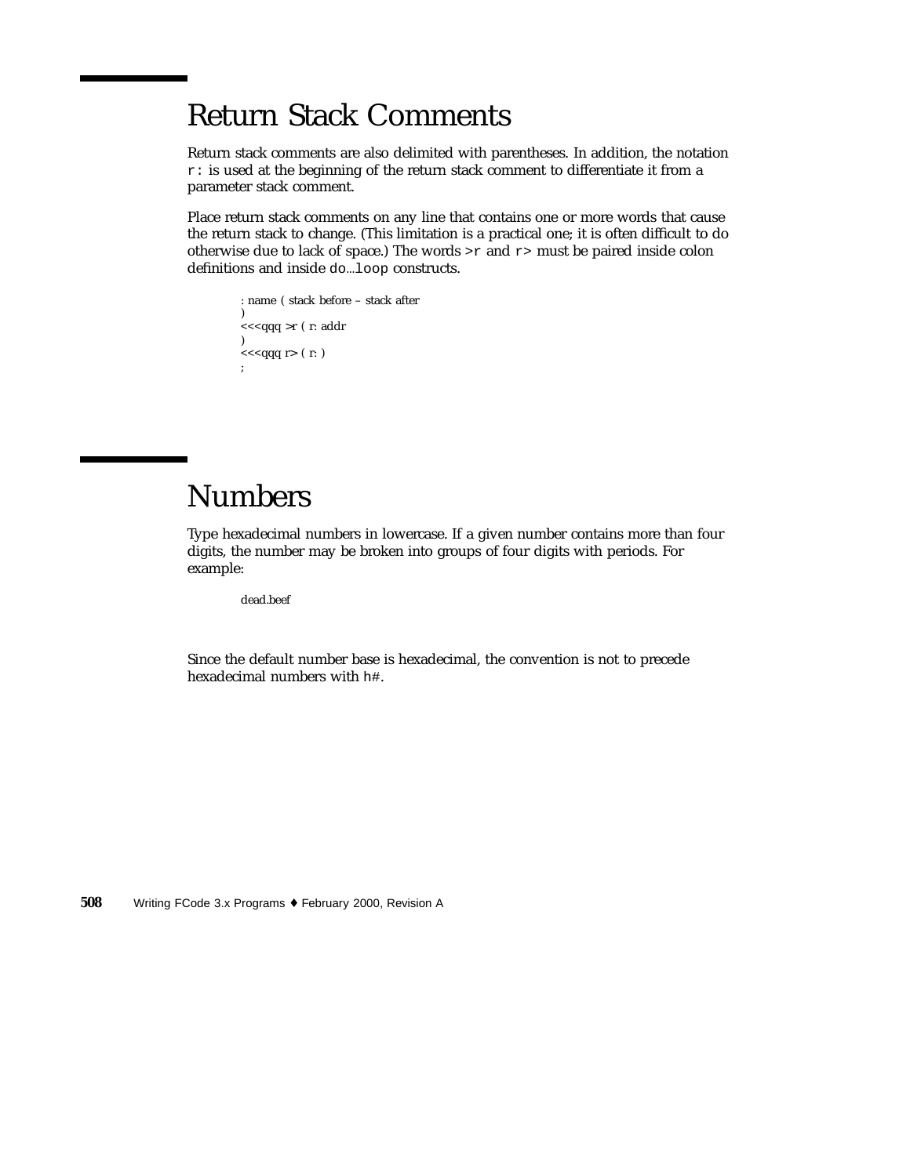# Return Stack Comments

Return stack comments are also delimited with parentheses. In addition, the notation r: is used at the beginning of the return stack comment to differentiate it from a parameter stack comment.

Place return stack comments on any line that contains one or more words that cause the return stack to change. (This limitation is a practical one; it is often difficult to do otherwise due to lack of space.) The words  $\geq r$  and  $r$  must be paired inside colon definitions and inside do…loop constructs.

: name ( stack before – stack after )  $<<$ qqq $>$ r $($ r: addr  $\overline{)}$  $<<$ qqq $r$  (  $r:$  ) ;

# Numbers

Type hexadecimal numbers in lowercase. If a given number contains more than four digits, the number may be broken into groups of four digits with periods. For example:

dead.beef

Since the default number base is hexadecimal, the convention is not to precede hexadecimal numbers with h#.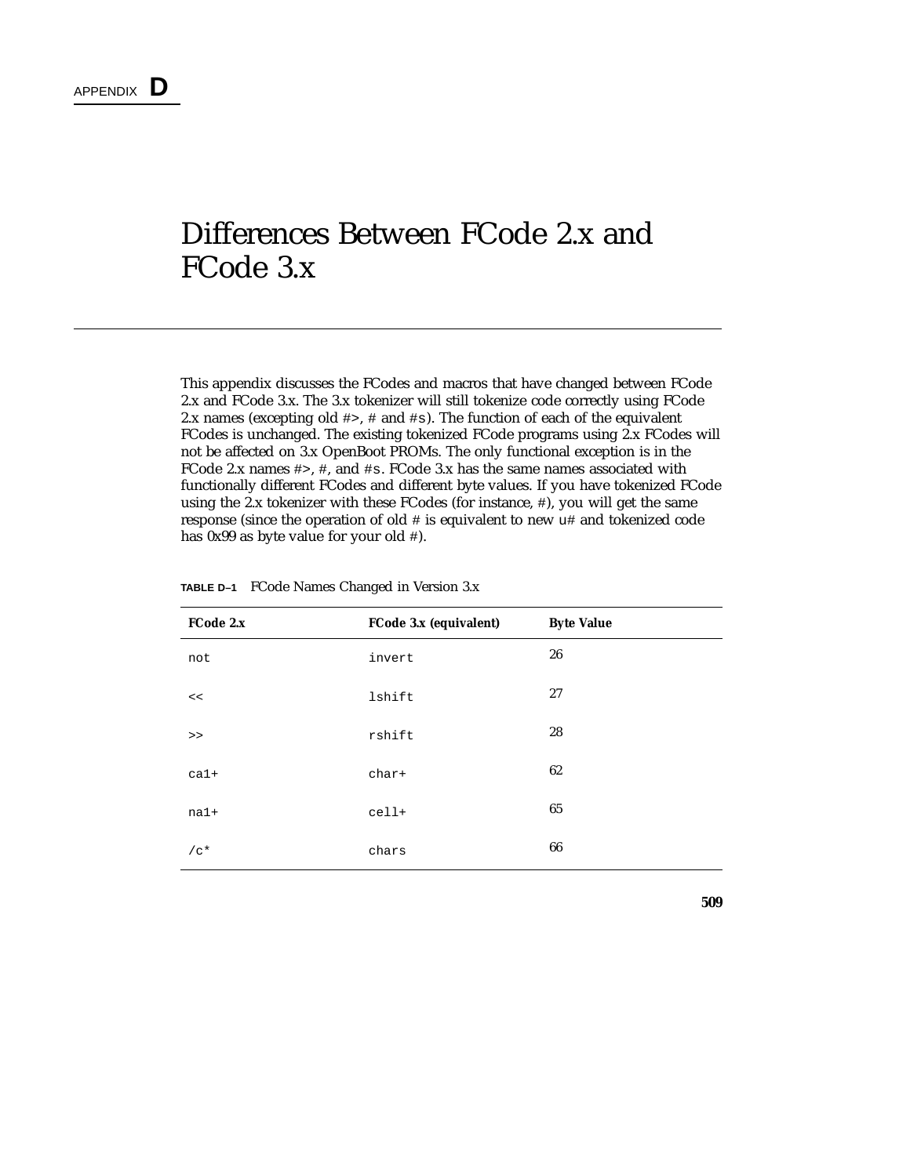# Differences Between FCode 2.x and FCode 3.x

This appendix discusses the FCodes and macros that have changed between FCode 2.x and FCode 3.x. The 3.x tokenizer will still tokenize code correctly using FCode 2.x names (excepting old  $\#$ >,  $\#$  and  $\#$ s). The function of each of the equivalent FCodes is unchanged. The existing tokenized FCode programs using 2.x FCodes will not be affected on 3.x OpenBoot PROMs. The only functional exception is in the FCode 2.x names #>, #, and #s. FCode 3.x has the same names associated with functionally different FCodes and different byte values. If you have tokenized FCode using the 2.x tokenizer with these FCodes (for instance, #), you will get the same response (since the operation of old # is equivalent to new u# and tokenized code has 0x99 as byte value for your old #).

| FCode 2.x | FCode 3.x (equivalent) | <b>Byte Value</b> |
|-----------|------------------------|-------------------|
| not       | invert                 | 26                |
| <<        | lshift                 | 27                |
| $\,>$     | rshift                 | 28                |
| $ca1+$    | char+                  | 62                |
| $na1+$    | cell+                  | 65                |
| $/c*$     | chars                  | 66                |

**TABLE D–1** FCode Names Changed in Version 3.x

**509**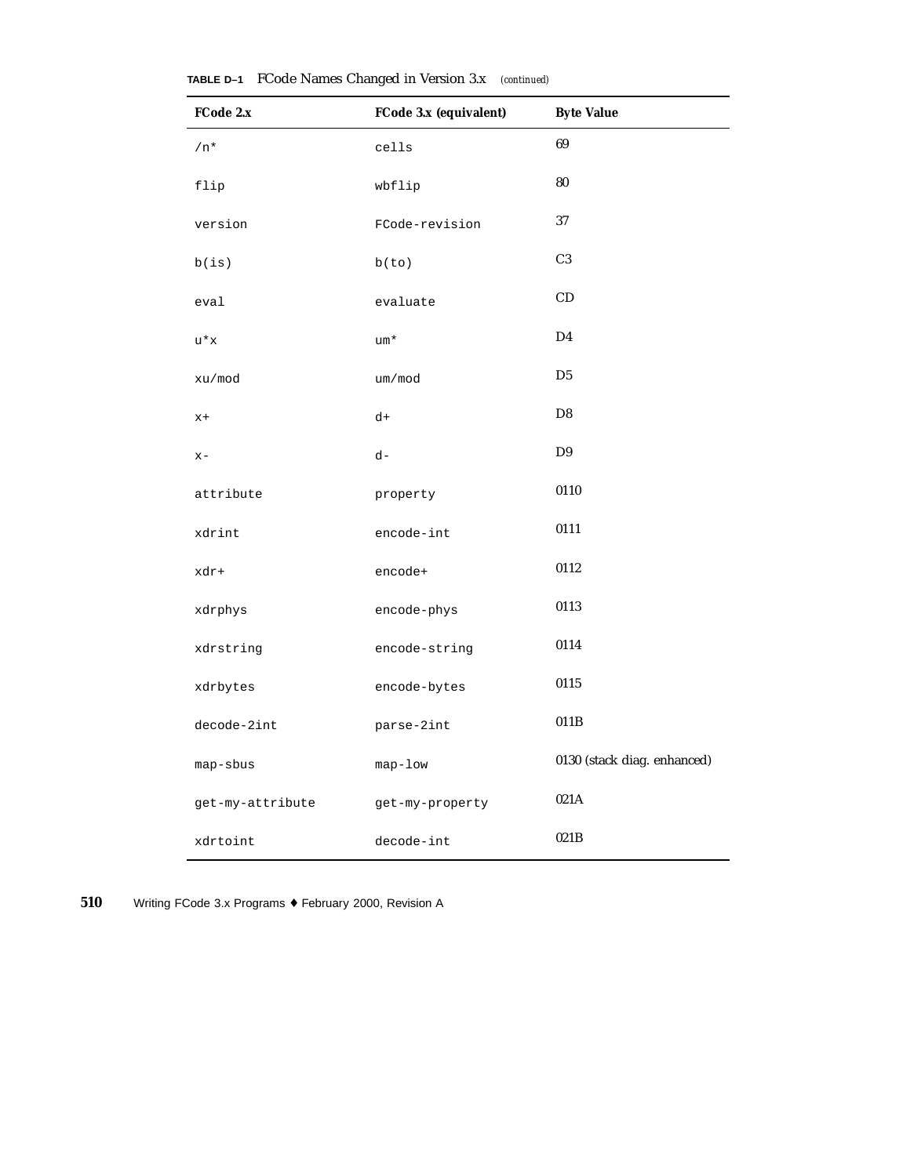| FCode 2.x        | FCode 3.x (equivalent) | <b>Byte Value</b>           |
|------------------|------------------------|-----------------------------|
| $/n*$            | cells                  | 69                          |
| flip             | wbflip                 | 80                          |
| version          | FCode-revision         | 37                          |
| b(is)            | b(to)                  | C <sub>3</sub>              |
| eval             | evaluate               | CD                          |
| $u^*x$           | um*                    | D <sub>4</sub>              |
| xu/mod           | um/mod                 | D <sub>5</sub>              |
| $x+$             | d+                     | D <sub>8</sub>              |
| $x -$            | $d -$                  | D <sub>9</sub>              |
| attribute        | property               | 0110                        |
| xdrint           | encode-int             | 0111                        |
| xdr+             | encode+                | 0112                        |
| xdrphys          | encode-phys            | 0113                        |
| xdrstring        | encode-string          | 0114                        |
| xdrbytes         | encode-bytes           | 0115                        |
| decode-2int      | parse-2int             | 011B                        |
| map-sbus         | map-low                | 0130 (stack diag. enhanced) |
| get-my-attribute | get-my-property        | 021A                        |
| xdrtoint         | decode-int             | 021B                        |

**TABLE D–1** FCode Names Changed in Version 3.x *(continued)*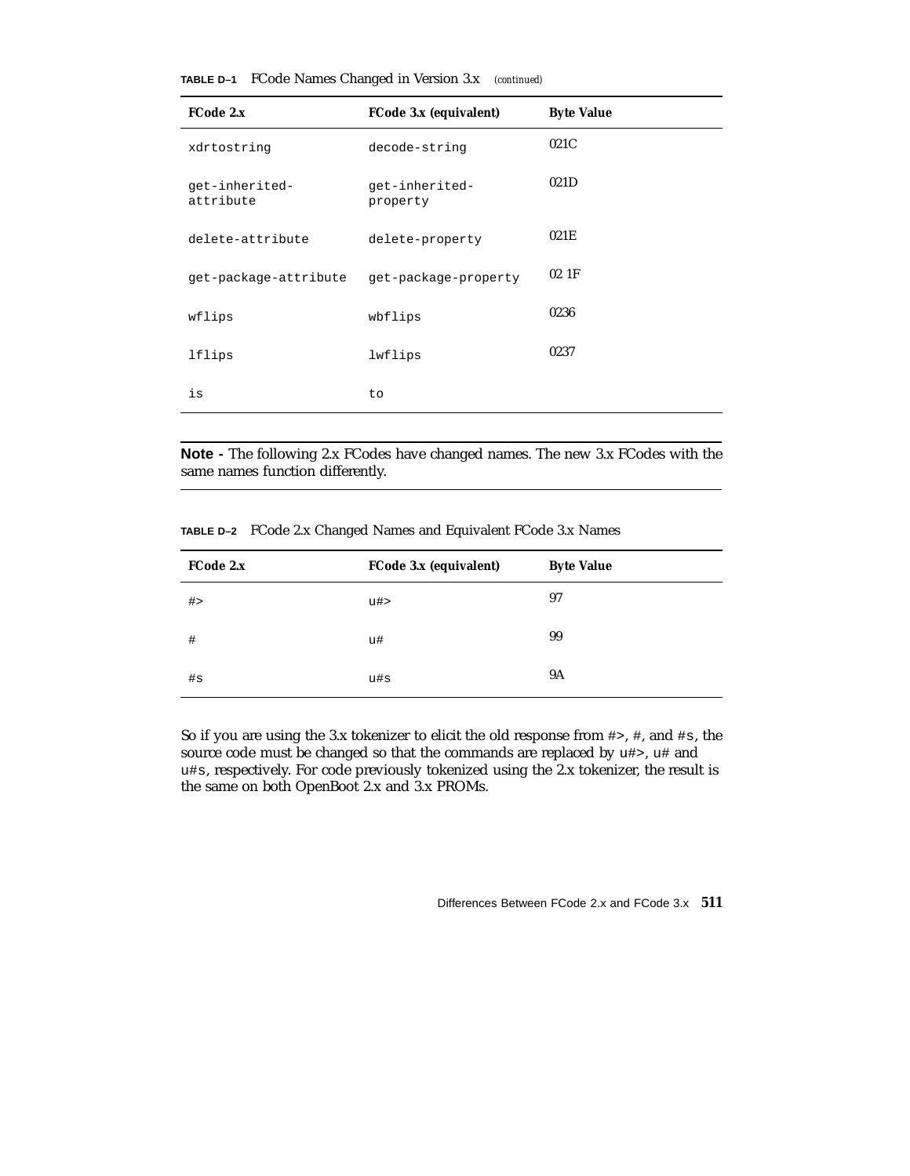| FCode 2.x                   | FCode 3.x (equivalent)     | <b>Byte Value</b> |
|-----------------------------|----------------------------|-------------------|
| xdrtostring                 | decode-string              | 021C              |
| qet-inherited-<br>attribute | get-inherited-<br>property | 021D              |
| delete-attribute            | delete-property            | 021E              |
| get-package-attribute       | get-package-property       | $02$ 1F           |
| wflips                      | wbflips                    | 0236              |
| lflips                      | lwflips                    | 0237              |
| is                          | to                         |                   |

**TABLE D–1** FCode Names Changed in Version 3.x *(continued)*

**Note -** The following 2.x FCodes have changed names. The new 3.x FCodes with the same names function differently.

| TABLE D-2 FCode 2.x Changed Names and Equivalent FCode 3.x Names |  |  |  |  |  |  |  |
|------------------------------------------------------------------|--|--|--|--|--|--|--|
|------------------------------------------------------------------|--|--|--|--|--|--|--|

| FCode 2.x | FCode 3.x (equivalent) | <b>Byte Value</b> |
|-----------|------------------------|-------------------|
| #         | u#>                    | 97                |
| #         | u#                     | 99                |
| $\#s$     | u#s                    | <b>9A</b>         |

So if you are using the 3.x tokenizer to elicit the old response from #>, #, and #s, the source code must be changed so that the commands are replaced by u#>, u# and u#s, respectively. For code previously tokenized using the 2.x tokenizer, the result is the same on both OpenBoot 2.x and 3.x PROMs.

Differences Between FCode 2.x and FCode 3.x **511**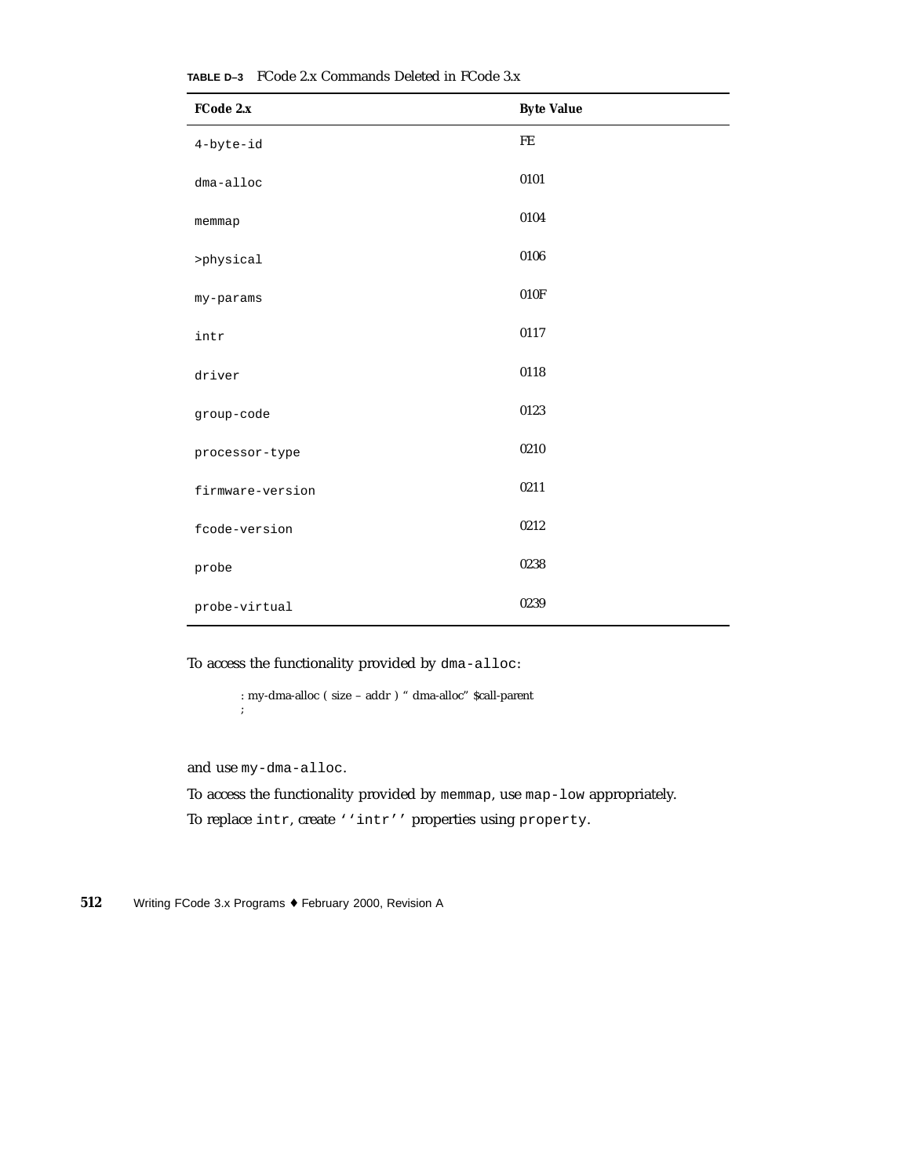| FCode 2.x        | <b>Byte Value</b> |
|------------------|-------------------|
| $4$ -byte-id     | FE                |
| dma-alloc        | 0101              |
| memmap           | 0104              |
| >physical        | 0106              |
| my-params        | 010F              |
| intr             | 0117              |
| driver           | 0118              |
| group-code       | 0123              |
| processor-type   | 0210              |
| firmware-version | 0211              |
| fcode-version    | 0212              |
| probe            | 0238              |
| probe-virtual    | 0239              |

**TABLE D–3** FCode 2.x Commands Deleted in FCode 3.x

To access the functionality provided by dma-alloc:

: my-dma-alloc ( size – addr ) " dma-alloc" \$call-parent ;

and use my-dma-alloc.

To access the functionality provided by memmap, use map-low appropriately. To replace intr, create ''intr'' properties using property.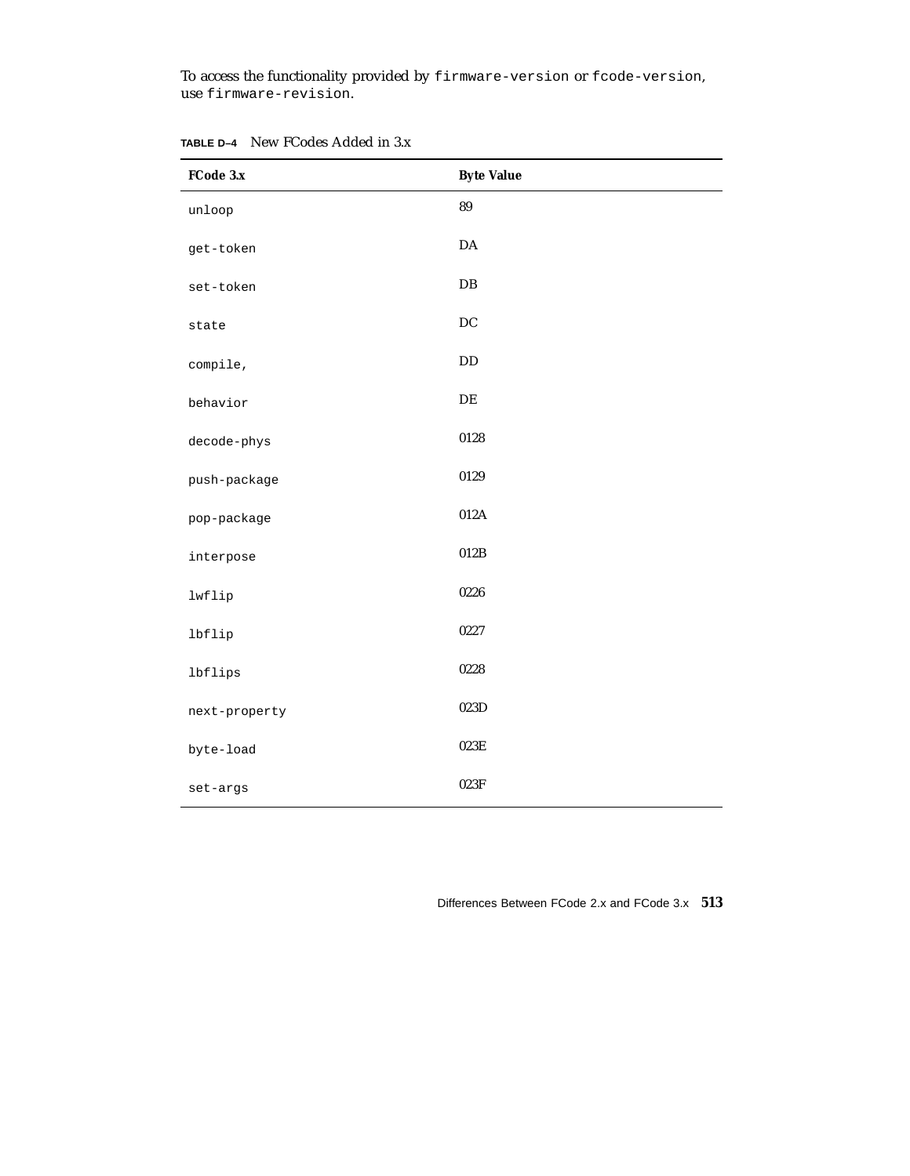To access the functionality provided by firmware-version or fcode-version, use firmware-revision.

| FCode 3.x     | <b>Byte Value</b> |
|---------------|-------------------|
| unloop        | 89                |
| get-token     | $\mathbf{DA}$     |
| set-token     | DB                |
| state         | DC                |
| compile,      | $\rm DD$          |
| behavior      | DE                |
| decode-phys   | 0128              |
| push-package  | 0129              |
| pop-package   | 012A              |
| interpose     | 012B              |
| lwflip        | 0226              |
| lbflip        | 0227              |
| lbflips       | 0228              |
| next-property | 023D              |
| byte-load     | $023\mathrm{E}$   |
| set-args      | 023F              |

**TABLE D–4** New FCodes Added in 3.x

Differences Between FCode 2.x and FCode 3.x **513**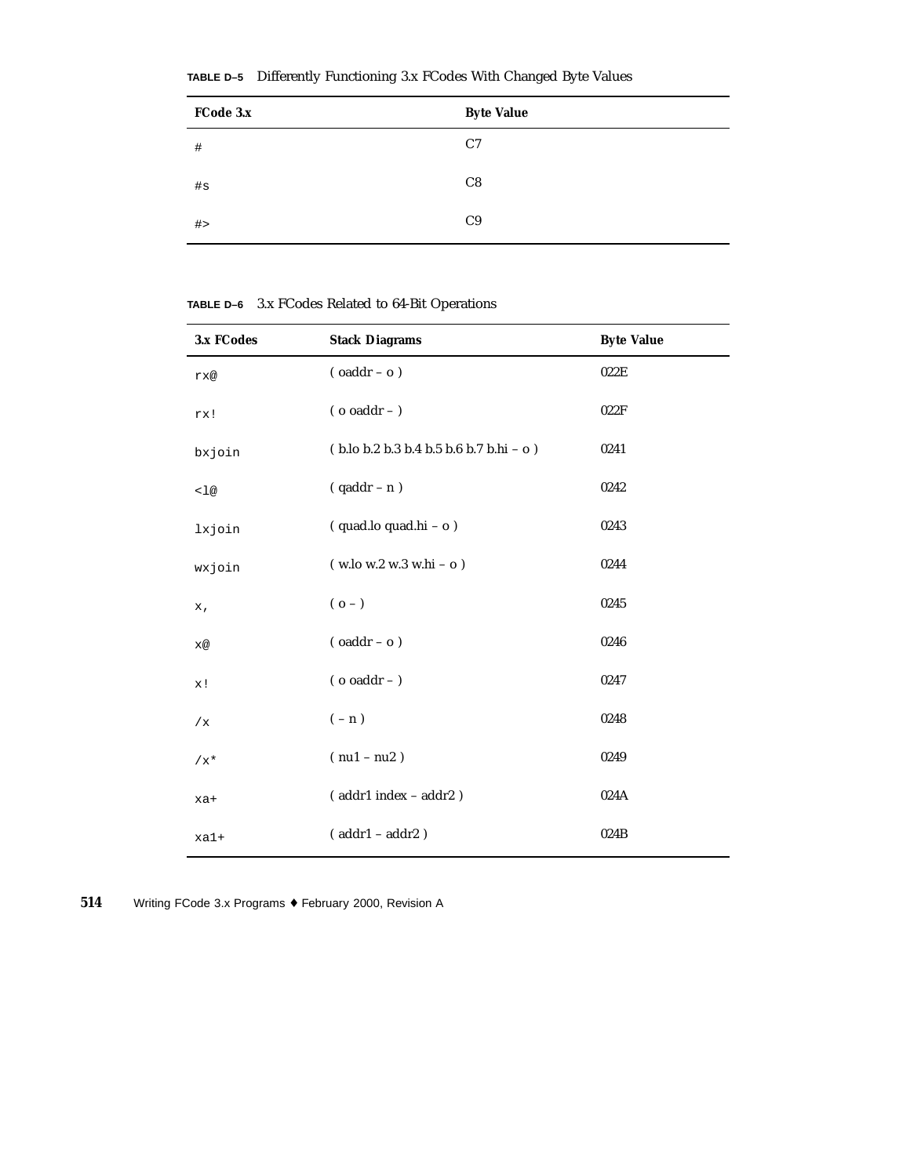| FCode 3.x | <b>Byte Value</b> |
|-----------|-------------------|
| $\#$      | C <sub>7</sub>    |
| #s        | C8                |
| #         | C9                |

**TABLE D–5** Differently Functioning 3.x FCodes With Changed Byte Values

**TABLE D–6** 3.x FCodes Related to 64-Bit Operations

| 3.x FCodes | <b>Stack Diagrams</b>                             | <b>Byte Value</b> |
|------------|---------------------------------------------------|-------------------|
| rx@        | $($ oaddr - o $)$                                 | 022E              |
| rx!        | ( $o\text{ o}addr$ – )                            | 022F              |
| bxjoin     | $(b.$ lo b.2 b.3 b.4 b.5 b.6 b.7 b.hi - o $)$     | 0241              |
| < 1@       | $( qaddr - n )$                                   | 0242              |
| lxjoin     | (quad.lo quad.hi - o)                             | 0243              |
| wxjoin     | $(w \cdot 10 w \cdot 2 w \cdot 3 w \cdot 16 - 0)$ | 0244              |
| x,         | $(0 - )$                                          | 0245              |
| x@         | $($ oaddr - o $)$                                 | 0246              |
| x!         | ( $o\text{ o}addr$ – )                            | 0247              |
| /x         | $(-n)$                                            | 0248              |
| $/x^*$     | $(nu1 - nu2)$                                     | 0249              |
| xa+        | $($ addr $1$ index – addr $2$ )                   | 024A              |
| $xa1+$     | $( addr1 - addr2)$                                | 024B              |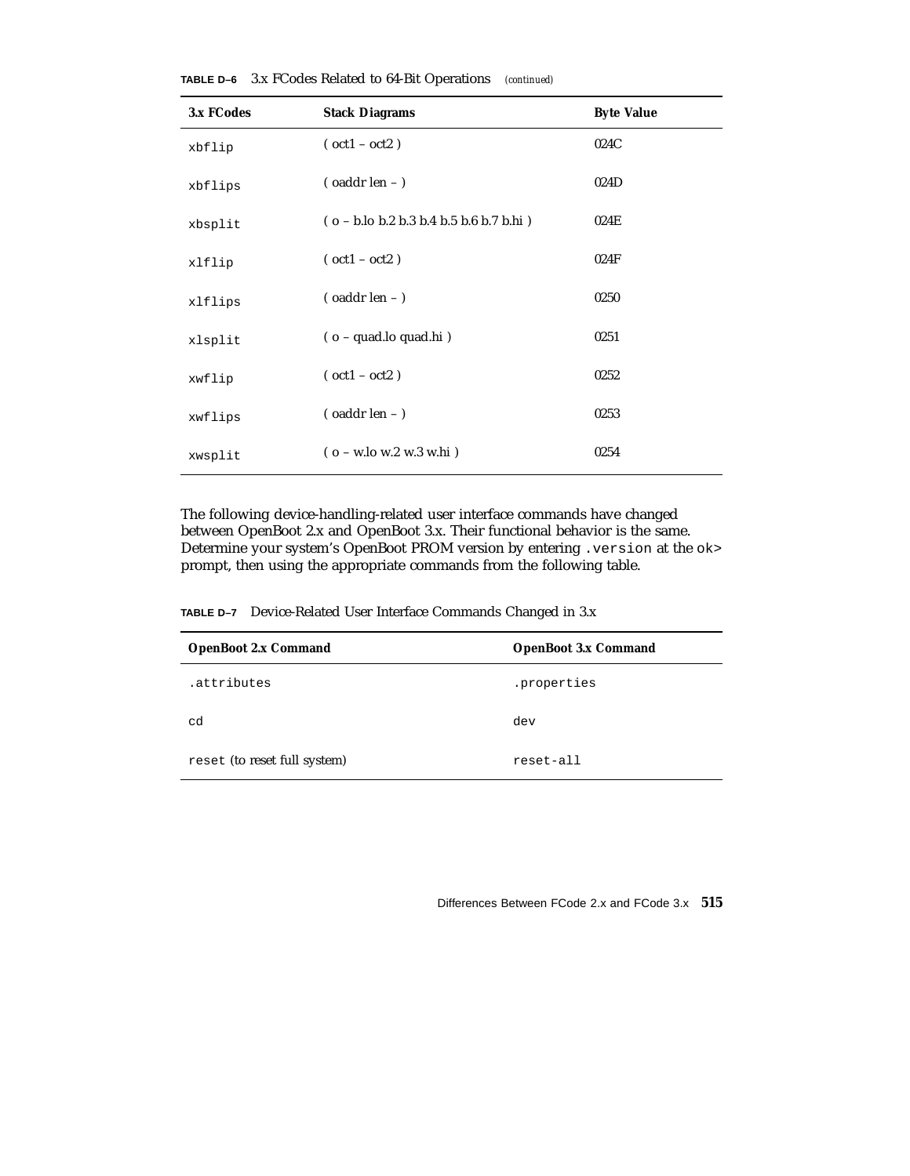| 3.x FCodes | <b>Stack Diagrams</b>                                                                     | <b>Byte Value</b> |
|------------|-------------------------------------------------------------------------------------------|-------------------|
| xbflip     | $(\text{oct1} - \text{ oct2})$                                                            | 024C              |
| xbflips    | $\sigma$ (oaddr len - )                                                                   | 024D              |
| xbsplit    | $(o - b \cdot lo b \cdot 2 b \cdot 3 b \cdot 4 b \cdot 5 b \cdot 6 b \cdot 7 b \cdot hi)$ | 024E              |
| xlflip     | $(oct1 - oct2)$                                                                           | 024F              |
| xlflips    | $\frac{1}{2}$ (oaddr len - )                                                              | 0250              |
| xlsplit    | $(o - quad.lo quad.hi)$                                                                   | 0251              |
| xwflip     | $(\text{oct1} - \text{ oct2})$                                                            | 0252              |
| xwflips    | $($ oaddr len $ )$                                                                        | 0253              |
| xwsplit    | $(o - w \cdot lo \le 2 w \cdot 3 w \cdot hi)$                                             | 0254              |

**TABLE D–6** 3.x FCodes Related to 64-Bit Operations *(continued)*

The following device-handling-related user interface commands have changed between OpenBoot 2.x and OpenBoot 3.x. Their functional behavior is the same. Determine your system's OpenBoot PROM version by entering .version at the ok> prompt, then using the appropriate commands from the following table.

**TABLE D–7** Device-Related User Interface Commands Changed in 3.x

| <b>OpenBoot 2.x Command</b>  | <b>OpenBoot 3.x Command</b> |
|------------------------------|-----------------------------|
| .attributes                  | .properties                 |
| cd                           | dev                         |
| reset (to reset full system) | reset-all                   |

Differences Between FCode 2.x and FCode 3.x **515**